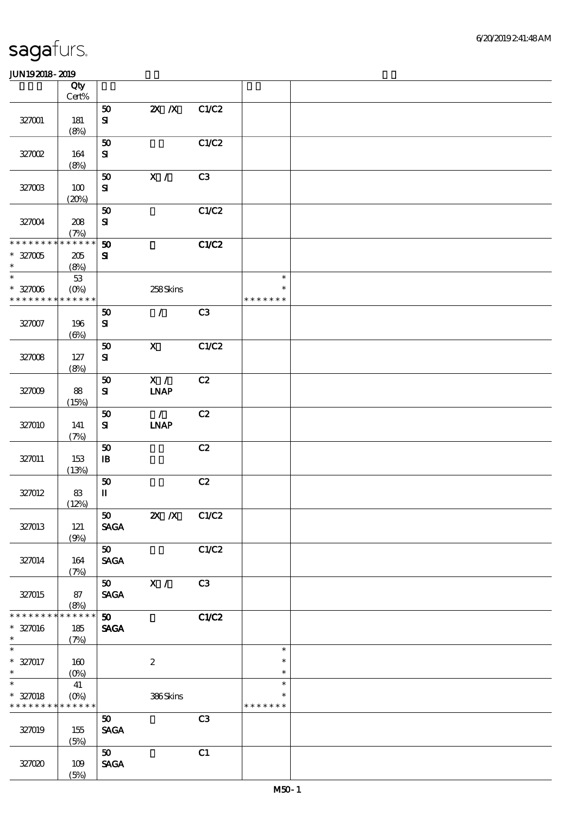|                                                                | Qty                        |                                            |                           |       |                                   |  |
|----------------------------------------------------------------|----------------------------|--------------------------------------------|---------------------------|-------|-----------------------------------|--|
|                                                                | $\mbox{Cert}\%$            |                                            |                           |       |                                   |  |
| 327001                                                         | 181<br>(8%)                | 50<br>${\bf S}$                            | $X$ $N$                   | C1/C2 |                                   |  |
| 327002                                                         | 164                        | ${\bf 50}$<br>${\bf S}$                    |                           | C1/C2 |                                   |  |
| 327003                                                         | (8%)<br>100                | 50<br>${\bf S\!I}$                         | X /                       | C3    |                                   |  |
|                                                                | (20%)                      | ${\bf 50}$                                 |                           | C1/C2 |                                   |  |
| 327004<br>* * * * * * * *                                      | 208<br>(7%)<br>*******     | ${\bf S}$                                  |                           |       |                                   |  |
| $* 327005$<br>$\ast$                                           | 205<br>(8%)                | $\boldsymbol{\mathfrak{D}}$<br>${\bf S}$   |                           | C1/C2 |                                   |  |
| $\overline{\ast}$<br>$* 327006$<br>* * * * * * * * * * * * * * | $5\!3$<br>$(O\%)$          |                                            | 258Skins                  |       | $\ast$<br>$\ast$<br>* * * * * * * |  |
| 327007                                                         | 196<br>$(\Theta)$          | 50<br>$\bf S\!I$                           | $\mathcal{L}$             | C3    |                                   |  |
| 327008                                                         | 127<br>(8%)                | $\pmb{\mathfrak{D}}$<br>${\bf S}$          | $\boldsymbol{\mathrm{X}}$ | C1/C2 |                                   |  |
| 327009                                                         | 88<br>(15%)                | 50<br>${\bf S\!I}$                         | X /<br><b>INAP</b>        | C2    |                                   |  |
| 327010                                                         | 141<br>(7%)                | 50<br>${\bf S}$                            | $\mathcal{L}$<br>INAP     | C2    |                                   |  |
| 327011                                                         | 153<br>(13%)               | 50<br>$\, {\bf I} \! {\bf B} \,$           |                           | C2    |                                   |  |
| 327012                                                         | 83<br>(12%)                | ${\bf 50}$<br>$\mathbf I$                  |                           | C2    |                                   |  |
| 327013                                                         | 121<br>(9%)                | 50<br><b>SAGA</b>                          | 2X /X C1/C2               |       |                                   |  |
| 327014                                                         | 164<br>(7%)                | 50<br><b>SAGA</b>                          |                           | C1/C2 |                                   |  |
| 327015                                                         | 87<br>(8%)                 | 50<br><b>SAGA</b>                          | X /                       | C3    |                                   |  |
| * * * * * * * *<br>* 327016<br>$\ast$                          | * * * * * *<br>185<br>(7%) | $\boldsymbol{\mathfrak{D}}$<br><b>SAGA</b> |                           | C1/C2 |                                   |  |
| $\ast$<br>$* 327017$<br>$\ast$                                 | 160<br>(0%)                |                                            | $\boldsymbol{2}$          |       | $\ast$<br>$\ast$<br>$\ast$        |  |
| $\ast$<br>$* 327018$<br>* * * * * * * * * * * * * *            | 41<br>$(0\%)$              |                                            | 386Skins                  |       | $\ast$<br>$\ast$<br>* * * * * * * |  |
| 327019                                                         | 155<br>(5%)                | 50<br>$\ensuremath{\mathsf{SAGA}}$         |                           | C3    |                                   |  |
| 327020                                                         | $109$<br>(5%)              | 50<br>$\operatorname{\mathsf{SAGA}}$       |                           | C1    |                                   |  |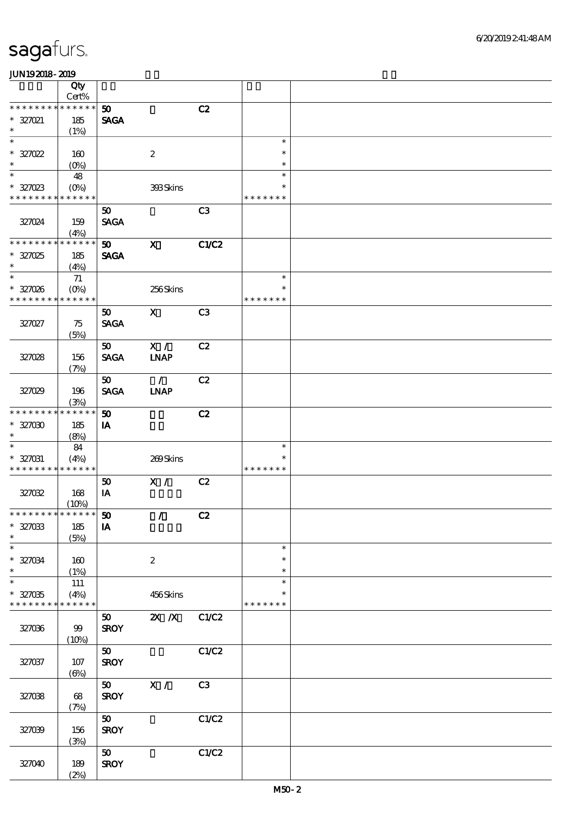|                                    | Qty                     |                         |                   |       |               |  |
|------------------------------------|-------------------------|-------------------------|-------------------|-------|---------------|--|
| * * * * * * * *                    | $Cert\%$<br>* * * * * * |                         |                   |       |               |  |
| $* 327021$                         | 185                     | 50<br><b>SAGA</b>       |                   | C2    |               |  |
| $\ast$                             | (1%)                    |                         |                   |       |               |  |
| $\ast$                             |                         |                         |                   |       | $\ast$        |  |
| $* 327022$                         | 160                     |                         | $\boldsymbol{2}$  |       | $\ast$        |  |
| $\ast$                             | $(0\%)$                 |                         |                   |       | $\ast$        |  |
| $\overline{\phantom{a}^*}$         | 48                      |                         |                   |       | $\ast$        |  |
| $* 327023$                         | $(O\%)$                 |                         | 393Skins          |       | $\ast$        |  |
| * * * * * * * *                    | * * * * * *             |                         |                   |       | * * * * * * * |  |
| 327024                             | 159<br>(4%)             | 50<br><b>SAGA</b>       |                   | C3    |               |  |
| * * * * * * * *                    | * * * * * *             | 50                      | $\mathbf X$       | C1/C2 |               |  |
| $* 327025$                         | 185                     | <b>SAGA</b>             |                   |       |               |  |
| $\ast$                             | (4%)                    |                         |                   |       |               |  |
| $\ast$                             | $7\!1$                  |                         |                   |       | $\ast$        |  |
| $* 327026$                         | $(O\%)$                 |                         | 256Skins          |       | $\ast$        |  |
| * * * * * * * *                    | * * * * * *             |                         |                   |       | * * * * * * * |  |
| 327027                             | 75<br>(5%)              | 50<br><b>SAGA</b>       | $\mathbf X$       | C3    |               |  |
|                                    |                         | 50                      | X /               | C2    |               |  |
| 327028                             | 156<br>(7%)             | <b>SAGA</b>             | <b>INAP</b>       |       |               |  |
|                                    |                         | 50 <sub>2</sub>         | $\mathcal{L}$     | C2    |               |  |
| 327029                             | 196<br>(3%)             | <b>SAGA</b>             | <b>LNAP</b>       |       |               |  |
| * * * * * * * *                    | * * * * * *             | 50                      |                   | C2    |               |  |
| $* 327000$                         | 185                     | IA                      |                   |       |               |  |
| $\ast$<br>$\ast$                   | (8%)                    |                         |                   |       | $\ast$        |  |
| $* 327031$                         | 84<br>(4%)              |                         | 269Skins          |       |               |  |
| * * * * * * * * * * * * * *        |                         |                         |                   |       | * * * * * * * |  |
|                                    |                         | ${\bf 50}$              | X /               | C2    |               |  |
| 327032                             | 168                     | $\mathbf{I} \mathbf{A}$ |                   |       |               |  |
|                                    | (10%)                   |                         |                   |       |               |  |
| ***************                    |                         | $\pmb{\mathfrak{w}}$    | $\mathcal{L}$     | C2    |               |  |
| $* 327033$                         | 185                     | IA                      |                   |       |               |  |
| $\ast$<br>$\overline{\phantom{0}}$ | (5%)                    |                         |                   |       | $\ast$        |  |
| $* 327034$                         | 160                     |                         | $\boldsymbol{2}$  |       | $\ast$        |  |
| $\ast$                             | (1%)                    |                         |                   |       | $\ast$        |  |
| $\ast$                             | $111\,$                 |                         |                   |       | $\ast$        |  |
| $* 327035$                         | (4%)                    |                         | 456Skins          |       |               |  |
| * * * * * * * * * * * * * *        |                         |                         |                   |       | * * * * * * * |  |
|                                    |                         | 50                      | <b>2X X</b> C1/C2 |       |               |  |
| 327036                             | 99                      | <b>SROY</b>             |                   |       |               |  |
|                                    | (10%)                   | 50                      |                   | C1/C2 |               |  |
| 327037                             | 107                     | <b>SROY</b>             |                   |       |               |  |
|                                    | $(\Theta)$              |                         |                   |       |               |  |
|                                    |                         | 50                      | X /               | C3    |               |  |
| 327038                             | 68                      | <b>SROY</b>             |                   |       |               |  |
|                                    | (7%)                    |                         |                   |       |               |  |
|                                    |                         | 50                      |                   | C1/C2 |               |  |
| 327039                             | 156                     | <b>SROY</b>             |                   |       |               |  |
|                                    | (3%)                    | 50                      |                   | C1/C2 |               |  |
| 327040                             | 189                     | <b>SROY</b>             |                   |       |               |  |
|                                    | (2%)                    |                         |                   |       |               |  |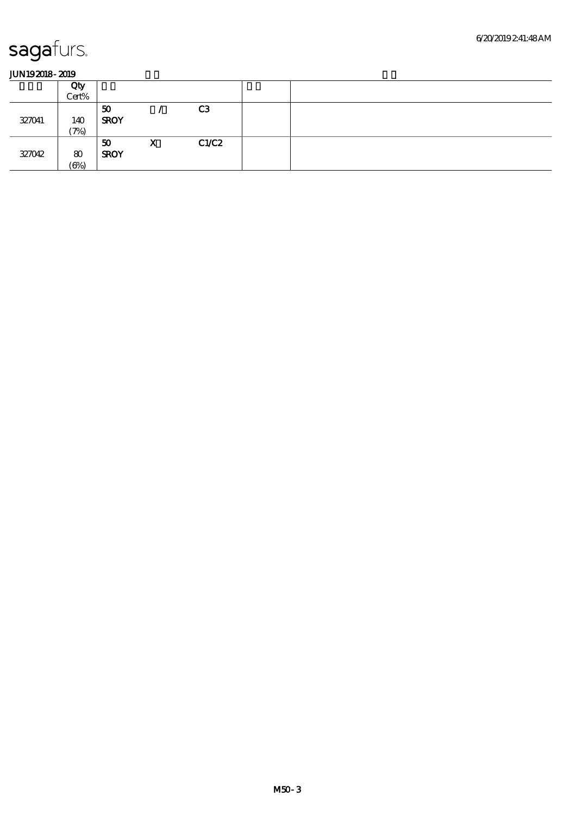|        | Qty<br>Cert%             |                   |   |                |  |  |
|--------|--------------------------|-------------------|---|----------------|--|--|
| 327041 | 140<br>$\mathcal{P}_{0}$ | 50<br><b>SROY</b> |   | C <sub>3</sub> |  |  |
| 327042 | 80<br>$(\Theta\% )$      | 50<br><b>SROY</b> | X | C1/C2          |  |  |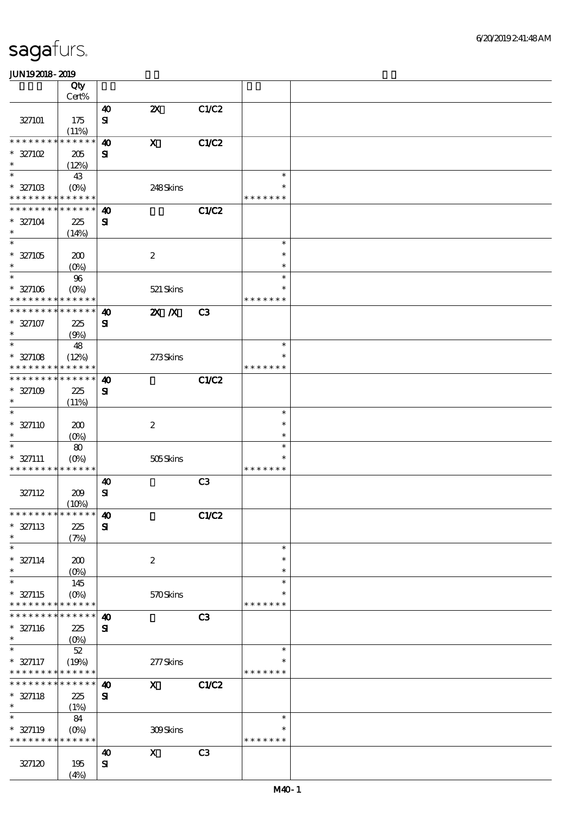|                                            | Qty<br>Cert%         |                       |                           |                |               |  |
|--------------------------------------------|----------------------|-----------------------|---------------------------|----------------|---------------|--|
|                                            |                      |                       | $\boldsymbol{\mathsf{z}}$ | C1/C2          |               |  |
|                                            |                      | $\boldsymbol{\omega}$ |                           |                |               |  |
| 327101                                     | 175                  | $\mathbf{S}$          |                           |                |               |  |
| * * * * * * * *                            | (11%)<br>* * * * * * |                       |                           |                |               |  |
|                                            |                      | $\boldsymbol{\omega}$ | $\boldsymbol{\mathrm{X}}$ | <b>C1/C2</b>   |               |  |
| $* 327102$                                 | 205                  | ${\bf s}$             |                           |                |               |  |
| $\ast$                                     | (12%)                |                       |                           |                |               |  |
| $\ast$                                     | 43                   |                       |                           |                | $\ast$        |  |
| $* 327103$                                 | $(O\%)$              |                       | 248Skins                  |                | *             |  |
| * * * * * * * * * * * * * *                |                      |                       |                           |                | * * * * * * * |  |
| * * * * * * * *                            | * * * * * *          | $\boldsymbol{\omega}$ |                           | <b>C1/C2</b>   |               |  |
| $* 327104$                                 | 225                  | $\mathbf{S}$          |                           |                |               |  |
| $\ast$                                     | (14%)                |                       |                           |                |               |  |
| $\ast$                                     |                      |                       |                           |                | $\ast$        |  |
| $* 327105$                                 | 200                  |                       | $\boldsymbol{2}$          |                | $\ast$        |  |
| $\ast$                                     | $(O\%)$              |                       |                           |                | $\ast$        |  |
| $\ast$                                     | 96                   |                       |                           |                | $\ast$        |  |
| $* 327106$                                 | $(O\!/\!o)$          |                       | 521 Skins                 |                | $\ast$        |  |
| * * * * * * * *                            | * * * * * *          |                       |                           |                | * * * * * * * |  |
| * * * * * * * *                            | * * * * * *          | $\boldsymbol{\omega}$ | $X$ $N$                   | C <sub>3</sub> |               |  |
| $* 327107$                                 | 225                  | ${\bf S}$             |                           |                |               |  |
| $\ast$                                     | (9%)                 |                       |                           |                |               |  |
| $\ast$                                     | 48                   |                       |                           |                | $\ast$        |  |
|                                            |                      |                       |                           |                | $\ast$        |  |
| $* 327108$                                 | (12%)                |                       | 273Skins                  |                | * * * * * * * |  |
| * * * * * * * *                            | * * * * * *          |                       |                           |                |               |  |
| * * * * * * * *                            | * * * * * *          | $\boldsymbol{\omega}$ |                           | <b>C1/C2</b>   |               |  |
| $* 327109$                                 | 225                  | $\mathbf{S}$          |                           |                |               |  |
| $\ast$                                     | (11%)                |                       |                           |                |               |  |
| $\ast$                                     |                      |                       |                           |                | $\ast$        |  |
| $* 327110$                                 | 200                  |                       | $\boldsymbol{2}$          |                | $\ast$        |  |
|                                            | $(0\%)$              |                       |                           |                | $\ast$        |  |
|                                            | 80                   |                       |                           |                | $\ast$        |  |
| $* 327111$                                 | $(O\%)$              |                       | 505Skins                  |                | $\ast$        |  |
| * * * * * * * * * * * * * *                |                      |                       |                           |                | * * * * * * * |  |
|                                            |                      | $\boldsymbol{\omega}$ |                           | C <sub>3</sub> |               |  |
| 327112                                     | 209                  | $\mathbf{S}$          |                           |                |               |  |
|                                            | (10%)                |                       |                           |                |               |  |
| ******** <mark>******</mark>               |                      | $\boldsymbol{\omega}$ |                           | <b>C1/C2</b>   |               |  |
| $* 327113$                                 | 225                  | ${\bf s}$             |                           |                |               |  |
| $\ast$                                     | (7%)                 |                       |                           |                |               |  |
| $\ast$                                     |                      |                       |                           |                | $\ast$        |  |
| $* 327114$                                 | 200                  |                       | $\boldsymbol{2}$          |                | $\ast$        |  |
| $\ast$                                     | $(O\%)$              |                       |                           |                | $\ast$        |  |
| $\ast$                                     | 145                  |                       |                           |                | $\ast$        |  |
| $* 327115$                                 | $(O\!/\!o)$          |                       | 570Skins                  |                | *             |  |
| * * * * * * * * * * * * * *                |                      |                       |                           |                | * * * * * * * |  |
| * * * * * * *                              | * * * * * *          | $\boldsymbol{\omega}$ |                           | C <sub>3</sub> |               |  |
| $* 327116$                                 | 225                  | ${\bf s}$             |                           |                |               |  |
| $\ast$                                     |                      |                       |                           |                |               |  |
| $\ast$                                     | $(0\%)$              |                       |                           |                | $\ast$        |  |
|                                            | $52\,$               |                       |                           |                |               |  |
| $* 327117$                                 | (19%)                |                       | 277Skins                  |                | $\ast$        |  |
| * * * * * * * * <mark>* * * * * *</mark> * |                      |                       |                           |                | * * * * * * * |  |
| * * * * * * * * * * * * * * *              |                      | $\boldsymbol{\omega}$ | $\mathbf X$               | <b>C1/C2</b>   |               |  |
| $* 327118$                                 | 225                  | $\mathbf{S}$          |                           |                |               |  |
| $\ast$                                     | (1%)                 |                       |                           |                |               |  |
| $\ast$                                     | 84                   |                       |                           |                | $\ast$        |  |
| $* 327119$                                 | $(0\%)$              |                       | 309Skins                  |                | $\ast$        |  |
| * * * * * * * * * * * * * *                |                      |                       |                           |                | * * * * * * * |  |
|                                            |                      | $\boldsymbol{\omega}$ | $\boldsymbol{\mathrm{X}}$ | C <sub>3</sub> |               |  |
| 327120                                     | 195                  | ${\bf s}$             |                           |                |               |  |
|                                            | (4%)                 |                       |                           |                |               |  |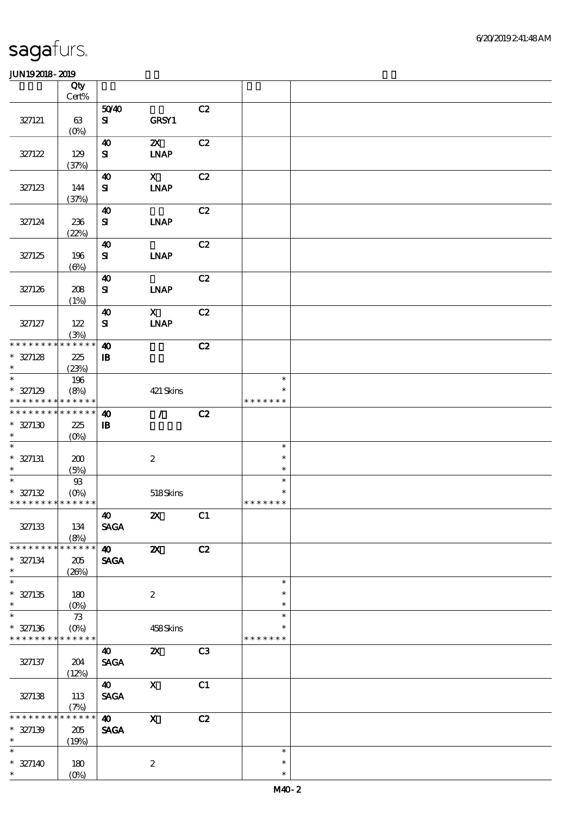|                                                     | Qty                                     |                                       |                                            |                |                                   |  |
|-----------------------------------------------------|-----------------------------------------|---------------------------------------|--------------------------------------------|----------------|-----------------------------------|--|
|                                                     | $Cert\%$                                |                                       |                                            |                |                                   |  |
| 327121                                              | 63<br>$(O\%)$                           | 5040<br>${\bf s}$                     | GRSY1                                      | C2             |                                   |  |
| 327122                                              | 129                                     | 40<br>${\bf s}$                       | $\boldsymbol{\mathsf{z}}$<br><b>INAP</b>   | C2             |                                   |  |
| 327123                                              | (37%)<br>144                            | $\boldsymbol{\omega}$<br>${\bf s}$    | $\mathbf{x}$<br><b>INAP</b>                | C2             |                                   |  |
| 327124                                              | (37%)<br>236                            | $\boldsymbol{\omega}$<br>${\bf s}$    | <b>INAP</b>                                | C2             |                                   |  |
| 327125                                              | (22%)<br>196                            | $\boldsymbol{\omega}$<br>${\bf S}$    | <b>LNAP</b>                                | C2             |                                   |  |
| 327126                                              | (6%)<br>208                             | $\boldsymbol{\omega}$<br>${\bf s}$    | <b>INAP</b>                                | C2             |                                   |  |
| 327127                                              | (1%)<br>122                             | $\boldsymbol{\omega}$<br>$\mathbf{S}$ | $\mathbf{X}$<br>$\ensuremath{\text{INAP}}$ | C2             |                                   |  |
| * * * * * * * *                                     | (3%)<br>* * * * * *                     | $\boldsymbol{\omega}$                 |                                            | C2             |                                   |  |
| $* 327128$<br>$\ast$                                | 225<br>(23%)                            | $\, {\bf I} \! {\bf B} \,$            |                                            |                |                                   |  |
| $\ast$<br>$* 327129$<br>* * * * * * * * * * * * * * | 196<br>(8%)                             |                                       | 421 Skins                                  |                | $\ast$<br>$\ast$<br>* * * * * * * |  |
| * * * * * * * * * * * * * *<br>$* 327130$<br>$\ast$ | 225<br>$(0\%)$                          | $\boldsymbol{\omega}$<br>$\, {\bf B}$ | $\mathcal{L}$                              | C2             |                                   |  |
| $\ast$<br>$* 327131$<br>$\ast$                      | 200<br>(5%)                             |                                       | $\boldsymbol{2}$                           |                | $\ast$<br>$\ast$<br>$\ast$        |  |
| $\ast$<br>$* 327132$<br>* * * * * * * * * * * * * * | $9\!\!3$<br>$(0\%)$                     |                                       | 518Skins                                   |                | $\ast$<br>$\ast$<br>* * * * * * * |  |
| 327133                                              | 134<br>(8%)                             | 40<br><b>SAGA</b>                     | $\boldsymbol{\mathsf{Z}}$                  | C1             |                                   |  |
| * * * * * * * *<br>$* 327134$<br>$\ast$             | * * * * * *<br>205<br>(20%)             | $\boldsymbol{40}$<br><b>SAGA</b>      | $\boldsymbol{\mathsf{z}}$                  | C2             |                                   |  |
| $\ast$<br>$^*$ 327135<br>$\ast$                     | 180<br>$(0\%)$                          |                                       | $\boldsymbol{2}$                           |                | $\ast$<br>$\ast$<br>$\ast$        |  |
| $\ast$<br>$* 327136$<br>* * * * * * * *             | 73<br>$(O\!/\!\!\delta)$<br>* * * * * * |                                       | 458Skins                                   |                | $\ast$<br>$\ast$<br>* * * * * * * |  |
| 327137                                              | 204<br>(12%)                            | 40<br><b>SAGA</b>                     | $\boldsymbol{\alpha}$                      | C <sub>3</sub> |                                   |  |
| 327138                                              | 113<br>(7%)                             | $\boldsymbol{\omega}$<br><b>SAGA</b>  | $\mathbf X$                                | C1             |                                   |  |
| * * * * * * *<br>$* 327139$<br>$\ast$               | * * * * * *<br>205<br>(19%)             | $\boldsymbol{\omega}$<br><b>SAGA</b>  | $\boldsymbol{\mathrm{X}}$                  | C2             |                                   |  |
| $\ast$<br>$* 327140$<br>$\ast$                      | 180<br>$(O\%)$                          |                                       | $\boldsymbol{2}$                           |                | $\ast$<br>$\ast$<br>$\ast$        |  |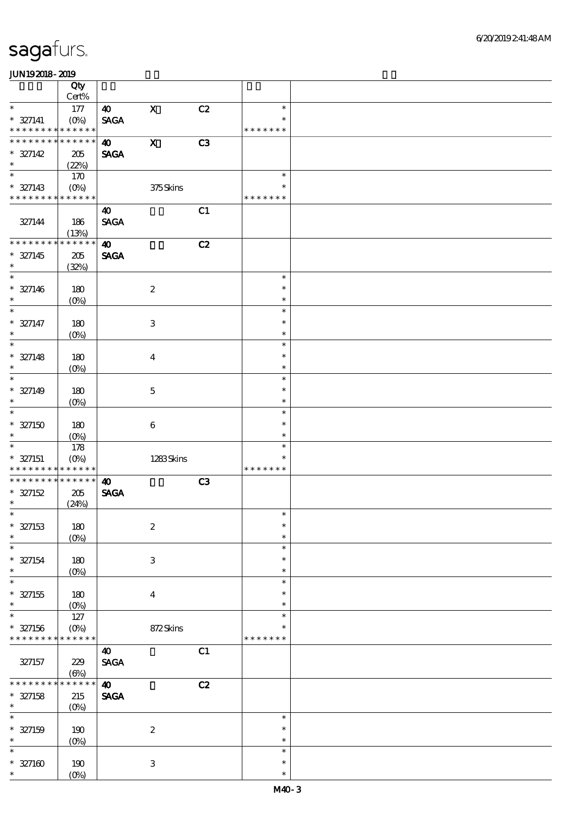|                             | Qty                       |                                      |                                 |                  |  |
|-----------------------------|---------------------------|--------------------------------------|---------------------------------|------------------|--|
| $\ast$                      | Cert%                     |                                      |                                 | $\ast$           |  |
| $* 327141$                  | 177<br>$(O\!/\!o)$        | $\boldsymbol{\omega}$<br><b>SAGA</b> | $\mathbf X$<br>C2               | $\ast$           |  |
| * * * * * * * *             | * * * * * *               |                                      |                                 | * * * * * * *    |  |
| ********                    | * * * * * *               | $\boldsymbol{\omega}$                | $\boldsymbol{\mathrm{X}}$<br>C3 |                  |  |
| $* 327142$                  | 205                       | <b>SAGA</b>                          |                                 |                  |  |
| $\ast$                      | (22%)                     |                                      |                                 |                  |  |
| $\overline{\phantom{0}}$    | 170                       |                                      |                                 | $\ast$           |  |
| $* 327143$                  | $(O\%)$                   |                                      | $375$ Skins                     |                  |  |
| * * * * * * * * * * * * * * |                           |                                      |                                 | * * * * * * *    |  |
|                             |                           | $\boldsymbol{\omega}$                | C1                              |                  |  |
| 327144                      | 186                       | <b>SAGA</b>                          |                                 |                  |  |
| * * * * * * * *             | (13%)<br>* * * * * *      | $\boldsymbol{\omega}$                | C2                              |                  |  |
| $* 327145$                  | 205                       | <b>SAGA</b>                          |                                 |                  |  |
| $\ast$                      | (32%)                     |                                      |                                 |                  |  |
| $\overline{\ast}$           |                           |                                      |                                 | $\ast$           |  |
| $* 327146$                  | 180                       |                                      | $\boldsymbol{2}$                | $\ast$           |  |
| $\ast$                      | $(O\%)$                   |                                      |                                 | $\ast$           |  |
| $\ast$                      |                           |                                      |                                 | $\ast$           |  |
| $* 327147$                  | 180                       |                                      | $\ensuremath{\mathbf{3}}$       | $\ast$           |  |
| $\ast$                      | $(O\!/\!o)$               |                                      |                                 | $\ast$           |  |
| $\overline{\phantom{0}}$    |                           |                                      |                                 | $\ast$           |  |
| $* 327148$<br>$\ast$        | 180                       |                                      | $\bf{4}$                        | $\ast$<br>$\ast$ |  |
| $\ast$                      | $(0\%)$                   |                                      |                                 | $\ast$           |  |
| $* 327149$                  | 180                       |                                      | $\mathbf{5}$                    | $\ast$           |  |
| $\ast$                      | $(O\!/\!o)$               |                                      |                                 | $\ast$           |  |
| $\ast$                      |                           |                                      |                                 | $\ast$           |  |
| $* 327150$                  | 180                       |                                      | 6                               | $\ast$           |  |
| $\ast$                      | $(0\%)$                   |                                      |                                 | $\ast$           |  |
| $\ast$                      | 178                       |                                      |                                 | $\ast$           |  |
| $* 327151$                  | $(O\%)$                   |                                      | 1283Skins                       | $\ast$           |  |
| * * * * * * * * * * * * * * |                           |                                      |                                 | * * * * * * *    |  |
| * * * * * * * *             | $******$                  | $\boldsymbol{\omega}$                | C3                              |                  |  |
| $* 327152$<br>$\ast$        | 205<br>(24%)              | <b>SAGA</b>                          |                                 |                  |  |
| $\ast$                      |                           |                                      |                                 | $\ast$           |  |
| $* 327153$                  | 180                       |                                      | $\boldsymbol{2}$                | $\ast$           |  |
| $\ast$                      | $(0\%)$                   |                                      |                                 |                  |  |
| $\ast$                      |                           |                                      |                                 | $\ast$           |  |
|                             |                           |                                      |                                 | $\ast$           |  |
| $* 327154$                  | 180                       |                                      | $\ensuremath{\mathbf{3}}$       | $\ast$           |  |
| $\ast$                      | $(0\%)$                   |                                      |                                 | $\ast$           |  |
| $\ast$                      |                           |                                      |                                 | $\ast$           |  |
| $^*$ 327155 $\,$            | 180                       |                                      | $\bf{4}$                        |                  |  |
| $\ast$                      | $(0\%)$                   |                                      |                                 | $\ast$           |  |
| $\ast$                      | 127                       |                                      |                                 | $\ast$           |  |
| $* 327156$                  | $(O\%)$                   |                                      | 872Skins                        | * * * * * * *    |  |
| * * * * * * * * * * * * * * |                           |                                      |                                 |                  |  |
|                             |                           | $\boldsymbol{\omega}$                | C1                              |                  |  |
| 327157                      | 229                       | <b>SAGA</b>                          |                                 |                  |  |
| * * * * * * *               | $(\Theta)$<br>* * * * * * | $\boldsymbol{\omega}$                | C2                              |                  |  |
| $* 327158$                  | 215                       | <b>SAGA</b>                          |                                 |                  |  |
| $\ast$                      | $(0\%)$                   |                                      |                                 |                  |  |
| $\ast$                      |                           |                                      |                                 | $\ast$           |  |
| $* 327159$                  | 190                       |                                      | $\boldsymbol{2}$                | $\ast$           |  |
| $\ast$                      | $(0\%)$                   |                                      |                                 | $\ast$           |  |
| $\ast$                      |                           |                                      |                                 | $\ast$           |  |
| $* 327100$<br>$\ast$        | 190<br>$(O\%)$            |                                      | $\ensuremath{\mathbf{3}}$       | $\ast$<br>$\ast$ |  |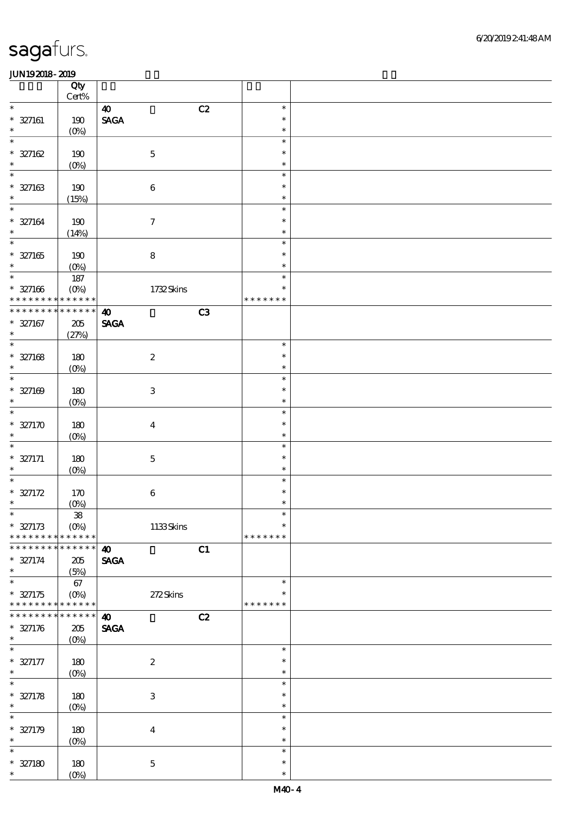|                          | Qty<br>Cert% |                              |               |  |
|--------------------------|--------------|------------------------------|---------------|--|
| $\ast$                   |              | C2<br>$\boldsymbol{\omega}$  | $\ast$        |  |
|                          |              |                              |               |  |
| $* 327161$               | 190          | $\ensuremath{\mathsf{SAGA}}$ | $\ast$        |  |
| $\ast$                   | $(0\%)$      |                              | $\ast$        |  |
| $\overline{\ast}$        |              |                              | $\ast$        |  |
| $* 327162$               | 190          | $\mathbf 5$                  | $\ast$        |  |
| $\ast$                   | $(0\%)$      |                              | $\ast$        |  |
| $\ast$                   |              |                              | $\ast$        |  |
|                          |              |                              |               |  |
| $* 327163$               | 190          | $\bf 6$                      | $\ast$        |  |
| $\ast$                   | (15%)        |                              | $\ast$        |  |
| $\ast$                   |              |                              | $\ast$        |  |
| $* 327164$               | 190          | $\tau$                       | $\ast$        |  |
| $\ast$                   |              |                              | $\ast$        |  |
| $\overline{\phantom{0}}$ | (14%)        |                              |               |  |
|                          |              |                              | $\ast$        |  |
| $* 327165$               | 190          | $\bf 8$                      | $\ast$        |  |
| $\ast$                   | $(0\%)$      |                              | $\ast$        |  |
| $\ast$                   | 187          |                              | $\ast$        |  |
|                          |              |                              | $\ast$        |  |
| $* 327166$               | $(0\%)$      | 1732Skins                    |               |  |
| * * * * * * * *          | * * * * * *  |                              | * * * * * * * |  |
| * * * * * * *            | * * * * * *  | C3<br>$\boldsymbol{\omega}$  |               |  |
| $* 327167$               | $205\,$      | <b>SAGA</b>                  |               |  |
| $\ast$                   | (27%)        |                              |               |  |
| $\overline{\ast}$        |              |                              | $\ast$        |  |
|                          |              |                              |               |  |
| $* 327168$               | 180          | $\boldsymbol{2}$             | $\ast$        |  |
| $\ast$                   | $(0\%)$      |                              | $\ast$        |  |
| $\overline{\ast}$        |              |                              | $\ast$        |  |
| $* 327169$               | 180          | $\ensuremath{\mathbf{3}}$    | $\ast$        |  |
| $\ast$                   |              |                              | $\ast$        |  |
| $\ast$                   | $(0\%)$      |                              |               |  |
|                          |              |                              | $\ast$        |  |
| $* 327170$               | 180          | $\bf{4}$                     | $\ast$        |  |
| $\ast$                   | $(0\%)$      |                              | $\ast$        |  |
| $\ast$                   |              |                              | $\ast$        |  |
| $* 327171$               | 180          | $\mathbf 5$                  | $\ast$        |  |
| $\ast$                   |              |                              | $\ast$        |  |
|                          | $(0\%)$      |                              |               |  |
| $\ast$                   |              |                              | $\ast$        |  |
| $* 327172$               | 170          | $\bf 6$                      | $\ast$        |  |
| $\ast$                   | $(0\%)$      |                              | $\ast$        |  |
| $\ast$                   | ${\bf 38}$   |                              | $\ast$        |  |
| $* 327173$               | $(O\%)$      | $1133$ Skins                 | $\ast$        |  |
| * * * * * * * *          | * * * * * *  |                              |               |  |
|                          |              |                              | * * * * * * * |  |
| * * * * * * *            | * * * * * *  | C1<br>$\boldsymbol{\omega}$  |               |  |
| $* 327174$               | 205          | <b>SAGA</b>                  |               |  |
| $\ast$                   | (5%)         |                              |               |  |
| $\overline{\ast}$        | 67           |                              | $\ast$        |  |
| $* 327175$               | $(O\%)$      | 272Skins                     | $\ast$        |  |
| * * * * * * * *          | * * * * * *  |                              | * * * * * * * |  |
|                          |              |                              |               |  |
| * * * * * * *            | * * * * * *  | C2<br>$\boldsymbol{\omega}$  |               |  |
| $* 327176$               | $205\,$      | <b>SAGA</b>                  |               |  |
| $\ast$                   | $(O\%)$      |                              |               |  |
| $\overline{\phantom{0}}$ |              |                              | $\ast$        |  |
|                          |              |                              | $\ast$        |  |
| $* 327177$               | 180          | $\boldsymbol{2}$             |               |  |
| $\ast$                   | $(0\%)$      |                              | $\ast$        |  |
| $\overline{\ast}$        |              |                              | $\ast$        |  |
| $* 327178$               | 180          | $\ensuremath{\mathsf{3}}$    | $\ast$        |  |
| $\ast$                   | $(0\%)$      |                              | $\ast$        |  |
| $\ast$                   |              |                              | $\ast$        |  |
|                          |              |                              |               |  |
| $* 327179$               | 180          | $\bf{4}$                     | $\ast$        |  |
| $\ast$                   | $(0\%)$      |                              | $\ast$        |  |
| $\ast$                   |              |                              | $\ast$        |  |
| $* 327180$               | 180          | $\mathbf 5$                  | $\ast$        |  |
| $\ast$                   | $(0\%)$      |                              | $\ast$        |  |
|                          |              |                              |               |  |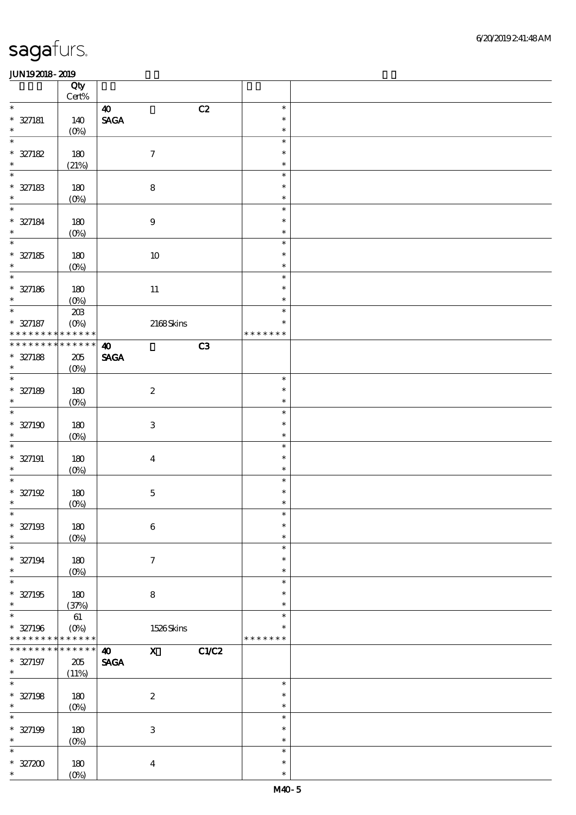|                                | Qty<br>$\mbox{Cert}\%$ |                                                |                            |  |
|--------------------------------|------------------------|------------------------------------------------|----------------------------|--|
| $\ast$                         |                        | C2<br>$\boldsymbol{\omega}$                    | $\ast$                     |  |
| $* 327181$                     | 140                    | $\ensuremath{\mathsf{SAGA}}$                   | $\ast$                     |  |
| $\ast$                         | $(0\%)$                |                                                | $\ast$                     |  |
| $\ast$<br>$* 327182$           | 180                    | $\boldsymbol{7}$                               | $\ast$<br>$\ast$           |  |
| $\ast$                         | (21%)                  |                                                | $\ast$                     |  |
| $\ast$<br>$* 327183$<br>$\ast$ | 180<br>$(0\%)$         | $\bf 8$                                        | $\ast$<br>$\ast$<br>$\ast$ |  |
| $\ast$                         |                        |                                                | $\ast$                     |  |
| $* 327184$<br>$\ast$           | 180<br>$(0\%)$         | $\boldsymbol{9}$                               | $\ast$<br>$\ast$           |  |
| $\ast$                         |                        |                                                | $\ast$                     |  |
| $* 327185$<br>$\ast$           | 180<br>$(0\%)$         | $10\,$                                         | $\ast$<br>$\ast$           |  |
| $\ast$                         |                        |                                                | $\ast$                     |  |
| $* 327186$<br>$\ast$           | 180<br>$(O\%)$         | $11\,$                                         | $\ast$<br>$\ast$           |  |
| $\overline{\ast}$              | $203\,$                |                                                | $\ast$                     |  |
| $* 327187$<br>* * * * * * * *  | $(O\%)$<br>* * * * * * | $2168$ Skins                                   | $\ast$<br>* * * * * * *    |  |
| * * * * * * *                  | * * * * * *            | C3<br>$\boldsymbol{\omega}$                    |                            |  |
| * 327188                       | 205                    | <b>SAGA</b>                                    |                            |  |
| $\ast$                         | $(0\%)$                |                                                |                            |  |
| $\ast$                         |                        |                                                | $\ast$                     |  |
| $* 327189$                     | 180                    | $\boldsymbol{2}$                               | $\ast$                     |  |
| $\ast$                         | $(0\%)$                |                                                | $\ast$                     |  |
| $\ast$                         |                        |                                                | $\ast$                     |  |
| $* 327190$                     | 180                    | $\ensuremath{\mathbf{3}}$                      | $\ast$                     |  |
| $\ast$                         |                        |                                                | $\ast$                     |  |
|                                | $(0\%)$                |                                                |                            |  |
| $\ast$                         |                        |                                                | $\ast$                     |  |
| $* 327191$                     | 180                    | $\boldsymbol{4}$                               | $\ast$                     |  |
| $\ast$                         | $(O\%)$                |                                                | $\ast$                     |  |
| $\ast$                         |                        |                                                | $\ast$                     |  |
| $* 327192$                     | $180$                  | $\mathbf 5$                                    | $\ast$                     |  |
| $\ast$                         | $(0\%)$                |                                                | $\ast$                     |  |
| $*$                            |                        |                                                | $\ast$                     |  |
| $* 327193$                     | $180$                  | $\,6\,$                                        | $\ast$                     |  |
| $\ast$                         | $(0\%)$                |                                                | $\ast$                     |  |
| $\ast$                         |                        |                                                | $\ast$                     |  |
| $* 327194$                     | 180                    | $\tau$                                         | $\ast$                     |  |
| $\ast$                         | $(O\%)$                |                                                | $\ast$                     |  |
| $\ast$                         |                        |                                                | $\ast$                     |  |
| $* 327195$                     | 180                    | $\bf8$                                         | $\ast$                     |  |
| $\ast$                         | (37%)                  |                                                | $\ast$                     |  |
| $\ast$                         | 61                     |                                                | $\ast$                     |  |
| $* 327196$                     | $(O\%)$                | 1526Skins                                      | $\ast$                     |  |
| * * * * * * * * * * * * * *    |                        |                                                | * * * * * * *              |  |
| * * * * * * *                  | $******$               | $\mathbf{x}$<br>C1/C2<br>$\boldsymbol{\omega}$ |                            |  |
| $* 327197$                     | 205                    | $\operatorname{\mathsf{SAGA}}$                 |                            |  |
| $\ast$                         | (11%)                  |                                                |                            |  |
| $\overline{\ast}$              |                        |                                                | $\ast$                     |  |
| $* 327198$                     | 180                    | $\boldsymbol{2}$                               | $\ast$                     |  |
| $\ast$                         | $(O\%)$                |                                                | $\ast$                     |  |
| $\ast$                         |                        |                                                | $\ast$                     |  |
|                                |                        |                                                | $\ast$                     |  |
| $* 327199$<br>$\ast$           | 180                    | $\,3$                                          |                            |  |
|                                | $(0\%)$                |                                                | $\ast$                     |  |
| $\ast$                         |                        |                                                | $\ast$                     |  |
| $* 327200$                     | 180                    | $\boldsymbol{4}$                               | $\ast$                     |  |
| $\ast$                         | $(O\%)$                |                                                | $\ast$                     |  |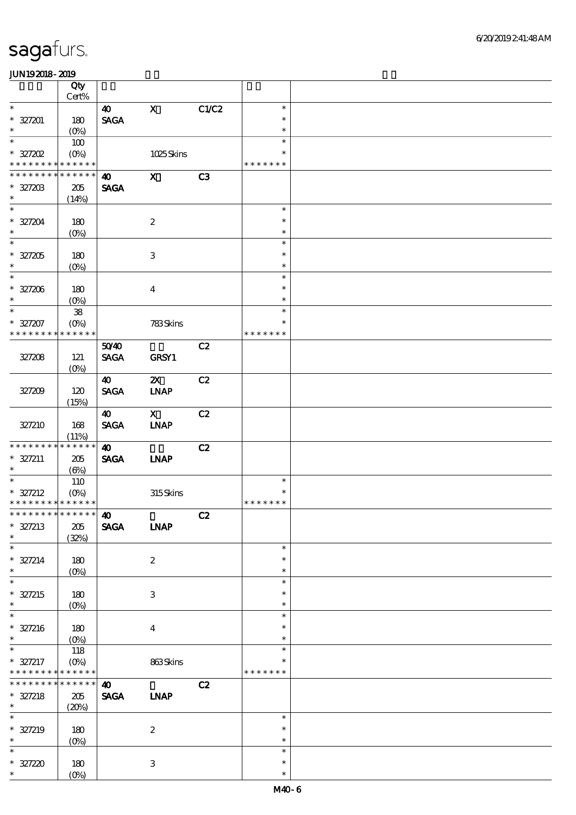|                                                  | Qty<br>Cert%                             |                                      |                                      |       |                            |  |
|--------------------------------------------------|------------------------------------------|--------------------------------------|--------------------------------------|-------|----------------------------|--|
| $\ast$                                           |                                          | $\boldsymbol{\omega}$                | $\mathbf X$                          | C1/C2 | $\ast$                     |  |
| $* 327201$                                       | 180                                      | <b>SAGA</b>                          |                                      |       | $\ast$                     |  |
| $\ast$<br>$\overline{\ast}$                      | $(O\%)$                                  |                                      |                                      |       | $\ast$                     |  |
| $*$ 327202                                       | 100<br>$(O\%)$                           |                                      | 1025Skins                            |       | $\ast$<br>$\ast$           |  |
| * * * * * * * *                                  | * * * * * *                              |                                      |                                      |       | * * * * * * *              |  |
| * * * * * * *<br>$* 327203$<br>$\ast$            | * * * * * *<br>205<br>(14%)              | $\boldsymbol{\omega}$<br><b>SAGA</b> | $\mathbf{X}$                         | C3    |                            |  |
| $\ast$<br>$* 327204$<br>$\ast$                   | 180<br>$(O\!/\!o)$                       |                                      | $\boldsymbol{2}$                     |       | $\ast$<br>$\ast$<br>$\ast$ |  |
| $\overline{\phantom{0}}$<br>$* 327205$<br>$\ast$ | 180<br>$(0\%)$                           |                                      | $\ensuremath{\mathbf{3}}$            |       | $\ast$<br>$\ast$<br>$\ast$ |  |
| $\overline{\ast}$                                |                                          |                                      |                                      |       | $\ast$                     |  |
| $* 327206$<br>$\ast$                             | 180<br>$(O\!/\!\!\delta)$                |                                      | $\overline{\mathbf{4}}$              |       | $\ast$<br>$\ast$           |  |
| $\ast$                                           | ${\bf 38}$                               |                                      |                                      |       | $\ast$                     |  |
| $* 327207$<br>* * * * * * * *                    | $(O\%)$<br>* * * * * *                   |                                      | 783Skins                             |       | $\ast$<br>* * * * * * *    |  |
|                                                  |                                          | 5040                                 |                                      | C2    |                            |  |
| 327208                                           | 121<br>$(0\%)$                           | <b>SAGA</b>                          | GRSY1                                |       |                            |  |
| 327209                                           | 120<br>(15%)                             | $\boldsymbol{\omega}$<br><b>SAGA</b> | $\boldsymbol{\alpha}$<br><b>INAP</b> | C2    |                            |  |
|                                                  |                                          | $\boldsymbol{\omega}$                | $\mathbf{X}$                         | C2    |                            |  |
| 327210                                           | 168<br>(11%)                             | <b>SACA</b>                          | INAP                                 |       |                            |  |
| * * * * * * * *                                  | * * * * * *                              | $\boldsymbol{\omega}$                |                                      | C2    |                            |  |
| $* 327211$<br>$\ast$                             | 205<br>$(\Theta)$                        | <b>SAGA</b>                          | <b>INAP</b>                          |       |                            |  |
| $\ast$                                           | 110                                      |                                      |                                      |       | $\ast$                     |  |
| $* 327212$                                       | $(O\% )$                                 |                                      | 315Skins                             |       | $\ast$                     |  |
| * * * * * * * * * * * * * *                      |                                          |                                      |                                      |       | * * * * * * *              |  |
| *************** 10                               |                                          |                                      |                                      |       |                            |  |
| $* 327213$<br>$\ast$                             | 205<br>(32%)                             | <b>SAGA</b>                          | <b>LNAP</b>                          | C2    |                            |  |
| $\ast$                                           |                                          |                                      |                                      |       | $\ast$                     |  |
| $* 327214$<br>$\ast$                             | 180<br>$(O\%)$                           |                                      | $\boldsymbol{z}$                     |       | $\ast$<br>$\ast$           |  |
| $\ast$<br>$* 327215$<br>$\ast$                   | 180<br>$(O\%)$                           |                                      | 3                                    |       | $\ast$<br>*<br>$\ast$      |  |
| $\ast$                                           |                                          |                                      |                                      |       | $\ast$                     |  |
| $* 327216$<br>$\ast$                             | 180<br>$(0\%)$                           |                                      | $\bf{4}$                             |       | $\ast$<br>$\ast$           |  |
| $\ast$                                           | 118                                      |                                      |                                      |       | $\ast$                     |  |
| $* 327217$<br>* * * * * * * *                    | $(O\!\!\!\!\!\!\!/\,\!o)$<br>* * * * * * |                                      | 863Skins                             |       | *<br>* * * * * * *         |  |
| * * * * * * * *                                  | * * * * * *                              | $\boldsymbol{\omega}$                |                                      | C2    |                            |  |
| $* 327218$<br>$\ast$                             | 205<br>(20%)                             | <b>SAGA</b>                          | <b>INAP</b>                          |       |                            |  |
| $\ast$                                           |                                          |                                      |                                      |       | $\ast$                     |  |
| $* 327219$<br>$\ast$                             | 180<br>$(0\%)$                           |                                      | $\boldsymbol{z}$                     |       | $\ast$<br>$\ast$           |  |
| $\ast$                                           |                                          |                                      |                                      |       | $\ast$                     |  |
| $* 327220$<br>$\ast$                             | 180<br>$(O\!/\!o)$                       |                                      | $\,3$                                |       | $\ast$<br>$\ast$           |  |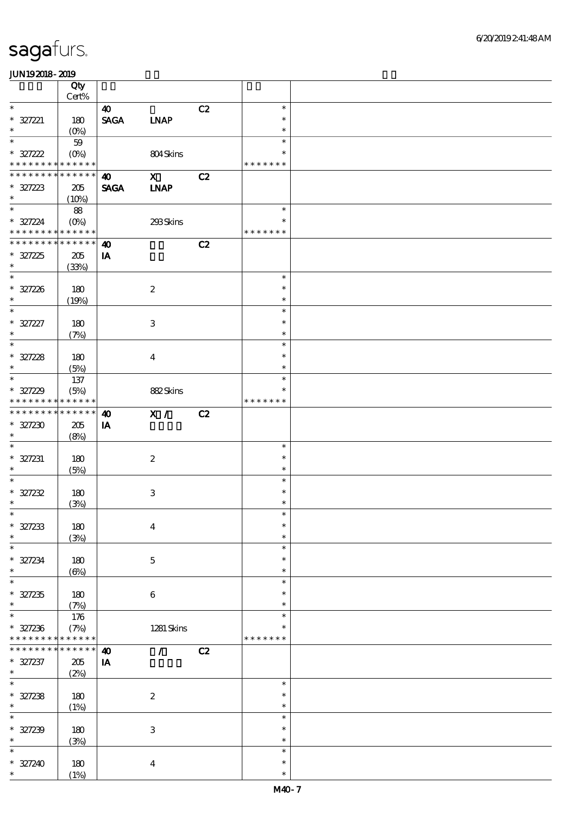|                               | Qty                 |                                      |                           |    |                  |  |
|-------------------------------|---------------------|--------------------------------------|---------------------------|----|------------------|--|
| $\ast$                        | Cert%               |                                      |                           |    | $\ast$           |  |
| $* 327221$                    | 180                 | $\boldsymbol{\omega}$<br><b>SAGA</b> | <b>LNAP</b>               | C2 | $\ast$           |  |
| $\ast$                        | (O <sub>0</sub> )   |                                      |                           |    | $\ast$           |  |
| $\ast$                        | 59                  |                                      |                           |    | $\ast$           |  |
| $* 327222$                    |                     |                                      | 804Skins                  |    | $\ast$           |  |
| * * * * * * * * * * * * * *   |                     |                                      |                           |    | * * * * * * *    |  |
| * * * * * * * * * * * * * *   |                     | $\boldsymbol{\omega}$                | $\mathbf X$               | C2 |                  |  |
| $* 327223$                    | 205                 | <b>SAGA</b>                          | <b>INAP</b>               |    |                  |  |
| $\ast$<br>$\overline{\ast}$   | (10%)               |                                      |                           |    | $\ast$           |  |
| $* 327224$                    | 88<br>$(O\!/\!o)$   |                                      | 293Skins                  |    | $\ast$           |  |
| * * * * * * * * * * * * * *   |                     |                                      |                           |    | * * * * * * *    |  |
| * * * * * * * *               | * * * * * *         | $\boldsymbol{\omega}$                |                           | C2 |                  |  |
| $* 327225$                    | 205                 | IA                                   |                           |    |                  |  |
| $\ast$                        | (33%)               |                                      |                           |    |                  |  |
| $\overline{\ast}$             |                     |                                      |                           |    | $\ast$           |  |
| $* 327226$                    | 180                 |                                      | $\boldsymbol{2}$          |    | $\ast$           |  |
| $\ast$<br>$\overline{\ast}$   | (19%)               |                                      |                           |    | $\ast$           |  |
| $* 327227$                    |                     |                                      |                           |    | $\ast$<br>$\ast$ |  |
| $\ast$                        | 180<br>(7%)         |                                      | $\ensuremath{\mathsf{3}}$ |    | $\ast$           |  |
| $\ast$                        |                     |                                      |                           |    | $\ast$           |  |
| $* 327228$                    | 180                 |                                      | $\bf{4}$                  |    | $\ast$           |  |
| $\ast$                        | (5%)                |                                      |                           |    | $\ast$           |  |
| $\ast$                        | 137                 |                                      |                           |    | $\ast$           |  |
| $* 327229$                    | (5%)                |                                      | 882Skins                  |    | $\ast$           |  |
| * * * * * * * *               | * * * * * *         |                                      |                           |    | * * * * * * *    |  |
| * * * * * * * *               | $******$            | $\boldsymbol{\omega}$                | X /                       | C2 |                  |  |
| $* 327230$<br>$\ast$          | 205                 | IA                                   |                           |    |                  |  |
| $\ast$                        | (8%)                |                                      |                           |    | $\ast$           |  |
| $* 327231$                    | 180                 |                                      | $\boldsymbol{z}$          |    | $\ast$           |  |
| $\ast$                        | (5%)                |                                      |                           |    | $\ast$           |  |
| $\ast$                        |                     |                                      |                           |    | $\ast$           |  |
| $* 327232$                    | 180                 |                                      | $\,3\,$                   |    | $\ast$           |  |
| $\ast$                        | (3)                 |                                      |                           |    | $\ast$           |  |
| $*$                           |                     |                                      |                           |    | $\ast$<br>$\ast$ |  |
| $* 327233$<br>$\ast$          | 180                 |                                      | $\boldsymbol{4}$          |    | $\ast$           |  |
| $\ast$                        | (3%)                |                                      |                           |    | $\ast$           |  |
| $* 327234$                    | 180                 |                                      | $\mathbf 5$               |    | $\ast$           |  |
| $\ast$                        | $(\Theta)$          |                                      |                           |    | $\ast$           |  |
| $\ast$                        |                     |                                      |                           |    | $\ast$           |  |
| $* 327235$                    | 180                 |                                      | $\bf 6$                   |    | $\ast$           |  |
| $\ast$<br>$\ast$              | (7%)                |                                      |                           |    | *                |  |
|                               | 176                 |                                      |                           |    | $\ast$           |  |
| $* 327236$<br>* * * * * * * * | (7%)<br>* * * * * * |                                      | 1281 Skins                |    | * * * * * * *    |  |
| * * * * * * *                 | * * * * * *         | $\boldsymbol{\omega}$                | $\mathcal{L}$             | C2 |                  |  |
| $* 327237$                    | 205                 | IA                                   |                           |    |                  |  |
| $\ast$                        | (2%)                |                                      |                           |    |                  |  |
| $\ast$                        |                     |                                      |                           |    | $\ast$           |  |
| $* 327238$                    | 180                 |                                      | $\boldsymbol{2}$          |    | $\ast$           |  |
| $\ast$<br>$\ast$              | (1%)                |                                      |                           |    | $\ast$<br>$\ast$ |  |
| $* 327239$                    |                     |                                      |                           |    | $\ast$           |  |
| $\ast$                        | 180<br>(3%)         |                                      | $\,3\,$                   |    | $\ast$           |  |
| $\ast$                        |                     |                                      |                           |    | $\ast$           |  |
| $* 327240$                    | 180                 |                                      | $\boldsymbol{4}$          |    | $\ast$           |  |
| $\ast$                        | (1%)                |                                      |                           |    | $\ast$           |  |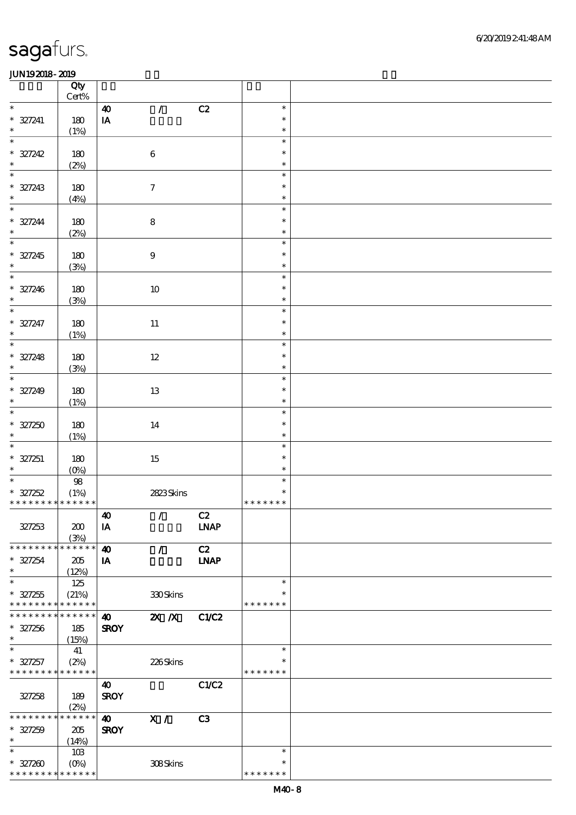|                                      | Qty                        |                         |                  |                |                  |  |
|--------------------------------------|----------------------------|-------------------------|------------------|----------------|------------------|--|
| $\ast$                               | Cert%                      |                         |                  |                | $\ast$           |  |
| $* 327241$                           |                            | $\boldsymbol{\omega}$   | $\mathcal{L}$    | C2             | $\ast$           |  |
| $\ast$                               | 180<br>(1%)                | $\,$ IA                 |                  |                | $\ast$           |  |
| $\ast$                               |                            |                         |                  |                | $\ast$           |  |
| $* 327242$                           | 180                        |                         | $\,6\,$          |                | $\ast$           |  |
| $\ast$                               | (2%)                       |                         |                  |                | $\ast$           |  |
| $\ast$                               |                            |                         |                  |                | $\ast$           |  |
| $* 327243$                           | 180                        |                         | $\boldsymbol{7}$ |                | $\ast$           |  |
| $\ast$                               | (4%)                       |                         |                  |                | $\ast$           |  |
| $\ast$                               |                            |                         |                  |                | $\ast$           |  |
| $* 327244$                           | 180                        |                         | $\bf 8$          |                | $\ast$           |  |
| $\ast$                               | (2%)                       |                         |                  |                | $\ast$           |  |
| $\overline{\phantom{a}^*}$           |                            |                         |                  |                | $\ast$           |  |
| $* 327245$                           | 180                        |                         | $\boldsymbol{9}$ |                | $\ast$           |  |
| $\ast$                               | (3%)                       |                         |                  |                | $\ast$           |  |
| $\overline{\ast}$                    |                            |                         |                  |                | $\ast$           |  |
| $* 327246$                           | 180                        |                         | $10\,$           |                | $\ast$           |  |
| $\ast$                               | (3%)                       |                         |                  |                | $\ast$           |  |
| $\overline{\ast}$                    |                            |                         |                  |                | $\ast$           |  |
| $* 327247$                           | 180                        |                         | $11\,$           |                | $\ast$           |  |
| $\ast$<br>$\overline{\phantom{a}^*}$ | (1%)                       |                         |                  |                | $\ast$           |  |
|                                      |                            |                         |                  |                | $\ast$<br>$\ast$ |  |
| $* 327248$<br>$\ast$                 | 180                        |                         | $12\,$           |                | $\ast$           |  |
| $\overline{\ast}$                    | (3%)                       |                         |                  |                | $\ast$           |  |
| $* 327249$                           | 180                        |                         | 13               |                | $\ast$           |  |
| $\ast$                               | (1%)                       |                         |                  |                | $\ast$           |  |
| $\ast$                               |                            |                         |                  |                | $\ast$           |  |
| $* 327250$                           | 180                        |                         | 14               |                | $\ast$           |  |
| $\ast$                               | (1%)                       |                         |                  |                | $\ast$           |  |
| $\ast$                               |                            |                         |                  |                | $\ast$           |  |
| $* 327251$                           | 180                        |                         | 15               |                | $\ast$           |  |
| $\ast$                               | (0%)                       |                         |                  |                | $\ast$           |  |
| $\ast$                               | 98                         |                         |                  |                | $\ast$           |  |
| $* 327252$                           | (1%)                       |                         | 2823Skins        |                | $\ast$           |  |
| * * * * * * * * * * * * * * *        |                            |                         |                  |                | * * * * * * *    |  |
|                                      |                            | $\overline{\mathbf{D}}$ | $\mathcal{T}$    | C2             |                  |  |
| 327253                               | 200                        | IA                      |                  | <b>LNAP</b>    |                  |  |
|                                      | (3%)<br>* * * * * *        |                         |                  |                |                  |  |
| * * * * * * *                        |                            | $\boldsymbol{\omega}$   | $\mathcal{L}$    | C2             |                  |  |
| $* 327254$<br>$\ast$                 | 205                        | IA                      |                  | <b>INAP</b>    |                  |  |
| $\ast$                               | (12%)<br>125               |                         |                  |                | $\ast$           |  |
| $* 327255$                           | (21%)                      |                         | 330Skins         |                | $\ast$           |  |
| * * * * * * * *                      | * * * * * *                |                         |                  |                | * * * * * * *    |  |
| * * * * * * * *                      | $\ast\ast\ast\ast\ast\ast$ | $\boldsymbol{\omega}$   | $X$ $N$          | <b>C1/C2</b>   |                  |  |
| $* 327256$                           | 185                        | <b>SROY</b>             |                  |                |                  |  |
| $\ast$                               | (15%)                      |                         |                  |                |                  |  |
| $\ast$                               | 41                         |                         |                  |                | $\ast$           |  |
| $* 327257$                           | (2%)                       |                         | 226Skins         |                | $\ast$           |  |
| * * * * * * * * * * * * * *          |                            |                         |                  |                | * * * * * * *    |  |
|                                      |                            | $\boldsymbol{\omega}$   |                  | C1/C2          |                  |  |
| 327258                               | 189                        | <b>SROY</b>             |                  |                |                  |  |
|                                      | (2%)                       |                         |                  |                |                  |  |
| * * * * * * *                        | * * * * * *                | $\boldsymbol{\omega}$   | $\mathbf{X}$ /   | C <sub>3</sub> |                  |  |
| $* 327259$<br>$\ast$                 | 205                        | <b>SROY</b>             |                  |                |                  |  |
| $\ast$                               | (14%)                      |                         |                  |                | $\ast$           |  |
| $* 327200$                           | 10B<br>$(0\%)$             |                         | 308Skins         |                | $\ast$           |  |
| * * * * * * * *                      | * * * * * *                |                         |                  |                | * * * * * * *    |  |
|                                      |                            |                         |                  |                |                  |  |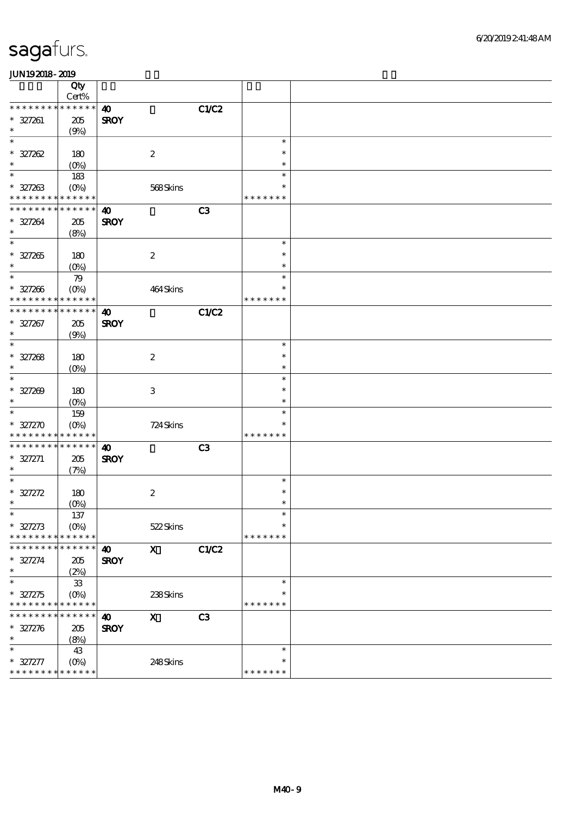| .                                          |                            |                       |                           |                |               |  |
|--------------------------------------------|----------------------------|-----------------------|---------------------------|----------------|---------------|--|
|                                            | $\overline{Q}$ ty<br>Cert% |                       |                           |                |               |  |
|                                            |                            |                       |                           |                |               |  |
| * * * * * * * *                            | * * * * * *                | $\boldsymbol{\omega}$ |                           | C1/C2          |               |  |
| $* 327261$                                 | 205                        | <b>SROY</b>           |                           |                |               |  |
| $\ast$                                     | (9%)                       |                       |                           |                |               |  |
| $\ast$                                     |                            |                       |                           |                | $\ast$        |  |
|                                            |                            |                       |                           |                |               |  |
| $* 327262$                                 | 180                        |                       | $\boldsymbol{2}$          |                | $\ast$        |  |
| $\ast$                                     | (O <sub>0</sub> )          |                       |                           |                | $\ast$        |  |
| $\ast$                                     | 183                        |                       |                           |                | $\ast$        |  |
|                                            |                            |                       | 568Skins                  |                |               |  |
| $* 327263$                                 | $(O\%)$                    |                       |                           |                |               |  |
| * * * * * * * * <mark>* * * * * * *</mark> |                            |                       |                           |                | * * * * * * * |  |
| * * * * * * * *                            | $* * * * * * *$            | $\boldsymbol{\omega}$ |                           | C3             |               |  |
| $* 327264$                                 | $205\,$                    | <b>SROY</b>           |                           |                |               |  |
| $\ast$                                     |                            |                       |                           |                |               |  |
|                                            | (8%)                       |                       |                           |                |               |  |
| $\ast$                                     |                            |                       |                           |                | $\ast$        |  |
| $* 327265$                                 | 180                        |                       | $\boldsymbol{2}$          |                | $\ast$        |  |
| $\ast$                                     | (O <sub>0</sub> )          |                       |                           |                | $\ast$        |  |
| $\ast$                                     |                            |                       |                           |                | $\ast$        |  |
|                                            | 79                         |                       |                           |                |               |  |
| $* 327266$                                 | $(O\% )$                   |                       | 464Skins                  |                |               |  |
| * * * * * * * * <mark>* * * * * * *</mark> |                            |                       |                           |                | * * * * * * * |  |
| * * * * * * * * * * * * * *                |                            | 40                    |                           | <b>C1/C2</b>   |               |  |
|                                            |                            |                       |                           |                |               |  |
| $* 327267$                                 | 205                        | <b>SROY</b>           |                           |                |               |  |
| $\ast$                                     | (9%)                       |                       |                           |                |               |  |
| $\ast$                                     |                            |                       |                           |                | $\ast$        |  |
| $* 327268$                                 | 180                        |                       | $\boldsymbol{2}$          |                | $\ast$        |  |
| $\ast$                                     |                            |                       |                           |                |               |  |
|                                            | $(0\%)$                    |                       |                           |                | $\ast$        |  |
| $\ast$                                     |                            |                       |                           |                | $\ast$        |  |
| $* 327209$                                 | 180                        |                       | $\,3$                     |                | $\ast$        |  |
|                                            |                            |                       |                           |                | $\ast$        |  |
| $\overline{\ast}$                          | (O <sub>0</sub> )          |                       |                           |                |               |  |
|                                            | 159                        |                       |                           |                | $\ast$        |  |
| $* 327270$                                 | $(O\%)$                    |                       | 724 Skins                 |                | $\ast$        |  |
| * * * * * * * * <mark>* * * * * * *</mark> |                            |                       |                           |                | * * * * * * * |  |
| * * * * * * * *                            | * * * * * *                | $\boldsymbol{\omega}$ |                           | C <sub>3</sub> |               |  |
|                                            |                            |                       |                           |                |               |  |
| $* 327271$                                 | 205                        | <b>SROY</b>           |                           |                |               |  |
| $\ast$                                     | (7%)                       |                       |                           |                |               |  |
| $\ast$                                     |                            |                       |                           |                | $\ast$        |  |
| $*$ 327272                                 | 180                        |                       | $\boldsymbol{2}$          |                | $\ast$        |  |
| $\ast$                                     |                            |                       |                           |                | $\ast$        |  |
|                                            | $(O\%)$                    |                       |                           |                |               |  |
| $\ast$                                     | 137                        |                       |                           |                | $\ast$        |  |
| $* 327273$                                 | (O <sub>0</sub> )          |                       | 522Skins                  |                | $\ast$        |  |
| * * * * * * *                              | * * * * * *                |                       |                           |                | * * * * * * * |  |
| * * * *<br>* * *                           | * * * * * *                |                       |                           |                |               |  |
|                                            |                            | $\boldsymbol{\omega}$ | $\boldsymbol{\mathrm{X}}$ | C1/C2          |               |  |
| $* 327274$                                 | 205                        | <b>SROY</b>           |                           |                |               |  |
| $\ast$                                     | (2%)                       |                       |                           |                |               |  |
| $\ast$                                     | ${\bf 33}$                 |                       |                           |                | $\ast$        |  |
|                                            |                            |                       |                           |                | $\ast$        |  |
| $* 327275$                                 | (O <sub>0</sub> )          |                       | 238Skins                  |                |               |  |
| * * * * * * * *                            | * * * * * *                |                       |                           |                | * * * * * * * |  |
| * * * * * * * *                            | * * * * * *                | $\boldsymbol{\omega}$ | $\boldsymbol{\mathrm{X}}$ | C3             |               |  |
| $* 327276$                                 | 205                        | <b>SROY</b>           |                           |                |               |  |
|                                            |                            |                       |                           |                |               |  |
| $\ast$                                     | (8%)                       |                       |                           |                |               |  |
| $\ast$                                     | 43                         |                       |                           |                | $\ast$        |  |
| $* 327277$                                 | $(O\%)$                    |                       | 248Skins                  |                | $\ast$        |  |
| * * * * * * * * * * * * * *                |                            |                       |                           |                | * * * * * * * |  |
|                                            |                            |                       |                           |                |               |  |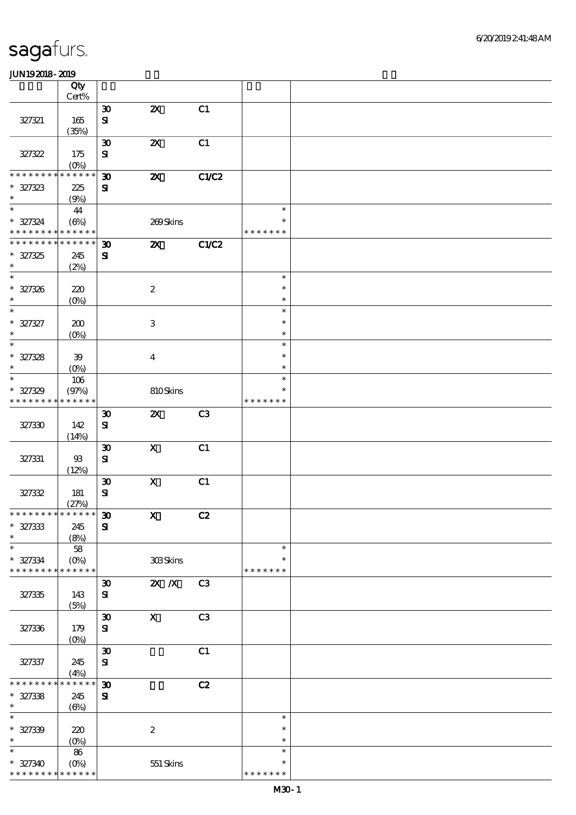|                                                          | Qty              |                                          |                                |       |                         |  |
|----------------------------------------------------------|------------------|------------------------------------------|--------------------------------|-------|-------------------------|--|
|                                                          | $Cert\%$         |                                          |                                |       |                         |  |
|                                                          |                  | $\pmb{\mathfrak{D}}$                     | $\pmb{\mathsf{zx}}$            | C1    |                         |  |
| 327321                                                   | 165<br>(35%)     | $\mathbf{S}$                             |                                |       |                         |  |
|                                                          |                  | $\boldsymbol{\mathfrak{D}}$              | $\boldsymbol{\mathsf{z}}$      | C1    |                         |  |
| 327322                                                   | 175              | ${\bf s}$                                |                                |       |                         |  |
|                                                          | $(0\%)$          |                                          |                                |       |                         |  |
| * * * * * * * *                                          | * * * * * *      | $\boldsymbol{\mathfrak{D}}$              | $\boldsymbol{\alpha}$          | C1/C2 |                         |  |
| $* 327323$                                               | 225              | ${\bf s}$                                |                                |       |                         |  |
| $\ast$                                                   | (9%)             |                                          |                                |       |                         |  |
| $\overline{\ast}$                                        | 44               |                                          |                                |       | $\ast$                  |  |
| $* 327324$<br>* * * * * * * * <mark>* * * * * * *</mark> | $(\Theta\%)$     |                                          | 269Skins                       |       | $\ast$<br>* * * * * * * |  |
| * * * * * * * * * * * * * *                              |                  |                                          | $\boldsymbol{\mathsf{X}}$      | C1/C2 |                         |  |
| $* 327325$                                               | 245              | $\boldsymbol{\mathfrak{D}}$<br>${\bf s}$ |                                |       |                         |  |
| $\ast$                                                   | (2%)             |                                          |                                |       |                         |  |
| $\overline{\ast}$                                        |                  |                                          |                                |       | $\ast$                  |  |
| $* 327326$                                               | 220              |                                          | $\boldsymbol{2}$               |       | $\ast$                  |  |
| $\ast$                                                   | $(O_0)$          |                                          |                                |       | $\ast$                  |  |
| $\overline{\ast}$                                        |                  |                                          |                                |       | $\ast$                  |  |
| $* 327327$                                               | 200              |                                          | $\ensuremath{\mathbf{3}}$      |       | $\ast$                  |  |
| $\ast$<br>$\ast$                                         | $(0\%)$          |                                          |                                |       | $\ast$                  |  |
|                                                          |                  |                                          |                                |       | $\ast$<br>$\ast$        |  |
| $* 327328$<br>$\ast$                                     | 39               |                                          | $\bf{4}$                       |       | $\ast$                  |  |
| $\ast$                                                   | $(0\%)$<br>106   |                                          |                                |       | $\ast$                  |  |
| $* 327329$                                               | (97%)            |                                          | 810Skins                       |       | $\ast$                  |  |
| * * * * * * * *                                          | * * * * * *      |                                          |                                |       | * * * * * * *           |  |
|                                                          |                  | $\boldsymbol{\mathfrak{D}}$              | $\boldsymbol{\mathsf{X}}$      | C3    |                         |  |
| 327330                                                   | 142              | ${\bf s}$                                |                                |       |                         |  |
|                                                          | (14%)            |                                          |                                |       |                         |  |
|                                                          |                  | $\pmb{\mathfrak{D}}$                     | $\boldsymbol{\mathsf{X}}$      | C1    |                         |  |
| 327331                                                   | $93$             | ${\bf s}$                                |                                |       |                         |  |
|                                                          | (12%)            |                                          |                                |       |                         |  |
| 327332                                                   | 181              | $\boldsymbol{\mathfrak{D}}$<br>${\bf S}$ | $\mathbf X$                    | C1    |                         |  |
|                                                          | (27%)            |                                          |                                |       |                         |  |
| ******** <mark>******</mark>                             |                  | $\pmb{\mathfrak{D}}$                     | $\mathbf{X}^-$                 | C2    |                         |  |
| $* 327333$                                               | 245              | ${\bf s}$                                |                                |       |                         |  |
| $\ast$                                                   | (8%)             |                                          |                                |       |                         |  |
| $\ast$                                                   | 58               |                                          |                                |       | $\ast$                  |  |
| $* 327334$                                               | $(O\%)$          |                                          | 308Skins                       |       | *                       |  |
| * * * * * * * *                                          | * * * * * *      |                                          |                                |       | * * * * * * *           |  |
|                                                          |                  | $\boldsymbol{\mathfrak{D}}$              | $\overline{2}X$ $\overline{X}$ | C3    |                         |  |
| 327335                                                   | 143<br>(5%)      | ${\bf s}$                                |                                |       |                         |  |
|                                                          |                  | $\pmb{\mathfrak{D}}$                     | $\boldsymbol{\mathrm{X}}$      | C3    |                         |  |
| 327336                                                   | 179              | ${\bf s}$                                |                                |       |                         |  |
|                                                          | $(0\%)$          |                                          |                                |       |                         |  |
|                                                          |                  | $\pmb{\mathfrak{D}}$                     |                                | C1    |                         |  |
| 327337                                                   | 245              | ${\bf s}$                                |                                |       |                         |  |
|                                                          | (4%)             |                                          |                                |       |                         |  |
| * * * * * * *                                            | * * * * * *      | $\boldsymbol{\mathfrak{D}}$              |                                | C2    |                         |  |
| $* 327338$<br>$\ast$                                     | 245              | $\mathbf{S}$                             |                                |       |                         |  |
| $\ast$                                                   | $(\Theta)$       |                                          |                                |       | $\ast$                  |  |
| $* 327339$                                               | 220              |                                          | $\boldsymbol{2}$               |       | $\ast$                  |  |
| $\ast$                                                   | $(O\%)$          |                                          |                                |       | $\ast$                  |  |
| $\ast$                                                   | 86               |                                          |                                |       | $\ast$                  |  |
| $* 327340$                                               | $(O\!/\!\delta)$ |                                          | 551 Skins                      |       | $\ast$                  |  |
| * * * * * * * *                                          | * * * * * *      |                                          |                                |       | * * * * * * *           |  |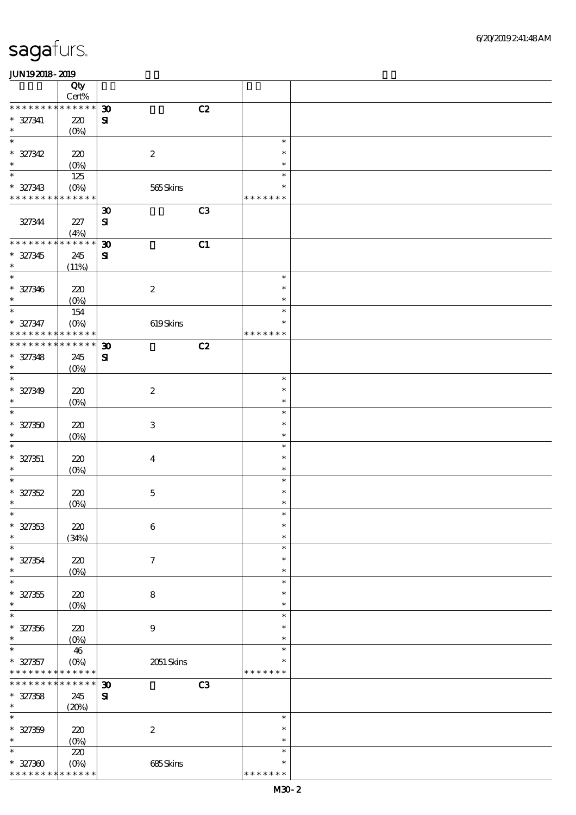|                      | Qty                    |                                   |               |  |
|----------------------|------------------------|-----------------------------------|---------------|--|
|                      | Cert%                  |                                   |               |  |
| * * * * * * * *      | * * * * * *            | C2<br>$\boldsymbol{\mathfrak{D}}$ |               |  |
| $* 327341$           | 220                    | $\mathbf{S}$                      |               |  |
| $\ast$               | $(O\%)$                |                                   |               |  |
| $\ast$               |                        |                                   | $\ast$        |  |
| $* 327342$           | 220                    | $\boldsymbol{2}$                  | $\ast$        |  |
| $\ast$               | $(0\%)$                |                                   | $\ast$        |  |
| $\ast$               | 125                    |                                   | $\ast$        |  |
| $* 327343$           | $(0\%)$                | 565Skins                          | $\ast$        |  |
| * * * * * * * *      | * * * * * *            |                                   | * * * * * * * |  |
|                      |                        | C3<br>$\boldsymbol{\mathfrak{D}}$ |               |  |
| 327344               | 227                    |                                   |               |  |
|                      |                        | $\mathbf{S}$                      |               |  |
| * * * * * * * *      | (4%)<br>* * * * * *    |                                   |               |  |
|                      |                        | C1<br>$\boldsymbol{\mathfrak{D}}$ |               |  |
| $* 327345$           | 245                    | ${\bf s}$                         |               |  |
| $\ast$               | (11%)                  |                                   |               |  |
| $\overline{\ast}$    |                        |                                   | $\ast$        |  |
| $* 327346$           | 220                    | $\boldsymbol{2}$                  | $\ast$        |  |
| $\ast$               | $(O\%)$                |                                   | $\ast$        |  |
| $\ast$               | 154                    |                                   | $\ast$        |  |
| $* 327347$           | $(O\%)$                | 619Skins                          | $\ast$        |  |
| * * * * * * *        | * * * * * *            |                                   | * * * * * * * |  |
| * * * * * * *        | * * * * * *            | $\boldsymbol{\mathfrak{D}}$<br>C2 |               |  |
| $* 327348$           | 245                    | $\mathbf{S}$                      |               |  |
| $\ast$               | $(O\%)$                |                                   |               |  |
| $\ast$               |                        |                                   | $\ast$        |  |
| $* 327349$           | 220                    | $\boldsymbol{2}$                  | $\ast$        |  |
| $\ast$               | $(O\!/\!o)$            |                                   | $\ast$        |  |
| $\ast$               |                        |                                   | $\ast$        |  |
| $* 327350$           | 220                    | $\,3\,$                           | $\ast$        |  |
| $\ast$               | $(0\%)$                |                                   | $\ast$        |  |
| $\ast$               |                        |                                   | $\ast$        |  |
| $* 327351$           |                        |                                   | $\ast$        |  |
| $\ast$               | 220                    | $\bf{4}$                          | $\ast$        |  |
| $\ast$               | $(0\%)$                |                                   | $\ast$        |  |
|                      |                        |                                   | $\ast$        |  |
| $* 327352$<br>$\ast$ | 220                    | $\mathbf 5$                       |               |  |
|                      | $(0\%)$                |                                   | $\ast$        |  |
| $\ast$               |                        |                                   | $\ast$        |  |
| $* 327353$           | 220                    | $\bf 6$                           | $\ast$        |  |
| $\ast$               | (34%)                  |                                   | $\ast$        |  |
| $\ast$               |                        |                                   | $\ast$        |  |
| $* 327354$           | 220                    | $\tau$                            | $\ast$        |  |
| $\ast$               | $(0\%)$                |                                   | $\ast$        |  |
| $\ast$               |                        |                                   | $\ast$        |  |
| $* 327355$           | 220                    | 8                                 | $\ast$        |  |
| $\ast$               | $(0\%)$                |                                   | $\ast$        |  |
| $\ast$               |                        |                                   | $\ast$        |  |
| $* 327356$           | 220                    | $\boldsymbol{9}$                  | $\ast$        |  |
| $\ast$               | $(0\%)$                |                                   | $\ast$        |  |
| $\ast$               | 46                     |                                   | $\ast$        |  |
| $* 327357$           | $(O\%)$                | $2051$ Skins                      | $\ast$        |  |
| * * * * * * * *      | * * * * * *            |                                   | * * * * * * * |  |
| * * * *              | * * * * * *            | C3<br>$\boldsymbol{\mathfrak{D}}$ |               |  |
| $* 327358$           | 245                    | $\mathbf{S}$                      |               |  |
| $\ast$               | (20%)                  |                                   |               |  |
| $\ast$               |                        |                                   | $\ast$        |  |
| $* 327359$           | 220                    | $\boldsymbol{2}$                  | $\ast$        |  |
| $\ast$               | (0%)                   |                                   | $\ast$        |  |
| $\ast$               | 220                    |                                   | $\ast$        |  |
| $* 327300$           |                        |                                   | $\ast$        |  |
| * * * * * * *        | $(0\%)$<br>* * * * * * | 685Skins                          | * * * * * * * |  |
|                      |                        |                                   |               |  |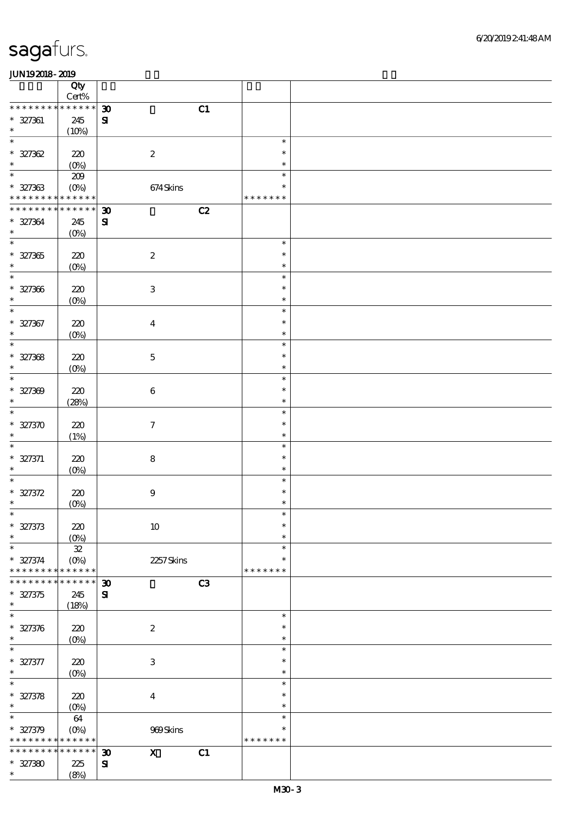|                                                        | Qty                            |                                                   |                  |  |
|--------------------------------------------------------|--------------------------------|---------------------------------------------------|------------------|--|
| * * * * * * * *                                        | $\mbox{Cert}\%$<br>* * * * * * |                                                   |                  |  |
| $* 327361$                                             | 245                            | C1<br>$\boldsymbol{\mathfrak{D}}$<br>${\bf S}$    |                  |  |
| $\ast$                                                 | (10%)                          |                                                   |                  |  |
| $\ast$                                                 |                                |                                                   | $\ast$           |  |
| $* 327362$                                             | 220                            | $\boldsymbol{2}$                                  | $\ast$           |  |
| $\ast$                                                 | $(0\%)$                        |                                                   | $\ast$           |  |
| $\ast$                                                 | $209$                          |                                                   | $\ast$           |  |
| $* 327363$                                             | $(O\%)$                        | 674Skins                                          | $\ast$           |  |
| * * * * * * * * <mark>* * * * * * *</mark>             |                                |                                                   | * * * * * * *    |  |
| * * * * * * * *                                        | $* * * * * * *$                | C2<br>$\boldsymbol{\mathfrak{D}}$                 |                  |  |
| $* 327364$<br>$\ast$                                   | 245                            | ${\bf s}$                                         |                  |  |
| $\overline{\phantom{0}}$                               | $(0\%)$                        |                                                   | $\ast$           |  |
| $* 327365$                                             | 220                            | $\boldsymbol{2}$                                  | $\ast$           |  |
| $\ast$                                                 | $(0\%)$                        |                                                   | $\ast$           |  |
| $\ast$                                                 |                                |                                                   | $\ast$           |  |
| $* 327366$                                             | $220$                          | $\ensuremath{\mathbf{3}}$                         | $\ast$           |  |
| $\ast$                                                 | $(0\%)$                        |                                                   | $\ast$           |  |
| $\ast$                                                 |                                |                                                   | $\ast$           |  |
| $* 327367$                                             | 220                            | $\boldsymbol{4}$                                  | $\ast$           |  |
| $\ast$                                                 | $(0\%)$                        |                                                   | $\ast$           |  |
| $\ast$                                                 |                                |                                                   | $\ast$           |  |
| $* 327368$                                             | 220                            | $\mathbf 5$                                       | $\ast$           |  |
| $\ast$                                                 | $(0\%)$                        |                                                   | $\ast$           |  |
| $\ast$                                                 |                                |                                                   | $\ast$           |  |
| $* 327309$                                             | 220                            | $\boldsymbol{6}$                                  | $\ast$           |  |
| $\ast$                                                 | (28%)                          |                                                   | $\ast$           |  |
| $\ast$                                                 |                                |                                                   | $\ast$           |  |
| $* 327370$<br>$\ast$                                   | 220                            | $\boldsymbol{\tau}$                               | $\ast$<br>$\ast$ |  |
| $\ast$                                                 | (1%)                           |                                                   | $\ast$           |  |
| $* 327371$                                             | 220                            | ${\bf 8}$                                         | $\ast$           |  |
| $\ast$                                                 | $(0\%)$                        |                                                   | $\ast$           |  |
| $\ast$                                                 |                                |                                                   | $\ast$           |  |
| $* 327372$                                             | $220$                          | $\boldsymbol{9}$                                  | $\ast$           |  |
| $\ast$                                                 | (0%)                           |                                                   | $\ast$           |  |
| $\ast$                                                 |                                |                                                   | $\ast$           |  |
| $* 327373$                                             | 220                            | $10\,$                                            | $\ast$           |  |
| $\ast$                                                 | $(0\%)$                        |                                                   | $\ast$           |  |
| $\ast$                                                 | ${\bf 32}$                     |                                                   | $\ast$           |  |
| $* 327374$<br>* * * * * * * *                          | $(O\%)$                        | 2257Skins                                         | $\ast$           |  |
| * * * * * * * *                                        | * * * * * *<br>* * * * * *     |                                                   | * * * * * * *    |  |
| $* 327375$                                             | 245                            | C3<br>$\boldsymbol{\mathfrak{D}}$<br>$\mathbf{S}$ |                  |  |
| $\ast$                                                 | (18%)                          |                                                   |                  |  |
| $\ast$                                                 |                                |                                                   | $\ast$           |  |
| $* 327376$                                             | 220                            | $\boldsymbol{2}$                                  | $\ast$           |  |
| $\ast$                                                 | $(0\%)$                        |                                                   | $\ast$           |  |
| $\ast$                                                 |                                |                                                   | $\ast$           |  |
| $* 327377$                                             | 220                            | $\,3$                                             | $\ast$           |  |
| $\ast$                                                 | $(O\!/\!o)$                    |                                                   | $\ast$           |  |
| $\ast$                                                 |                                |                                                   | $\ast$           |  |
| $* 327378$                                             | 220                            | $\boldsymbol{4}$                                  | $\ast$           |  |
| $\ast$<br>$\ast$                                       | $(O\%)$                        |                                                   | $\ast$           |  |
|                                                        | 64                             |                                                   | $\ast$<br>$\ast$ |  |
| $* 327379$<br>* * * * * * * * <mark>* * * * * *</mark> | $(O\%)$                        | 989Skins                                          | * * * * * * *    |  |
| * * * * * * * *                                        | * * * * * *                    | $\mathbf{X}$<br>C1<br>$\boldsymbol{\mathfrak{D}}$ |                  |  |
| $* 327380$                                             | 225                            | ${\bf S}$                                         |                  |  |
| $\ast$                                                 | (8%)                           |                                                   |                  |  |
|                                                        |                                |                                                   |                  |  |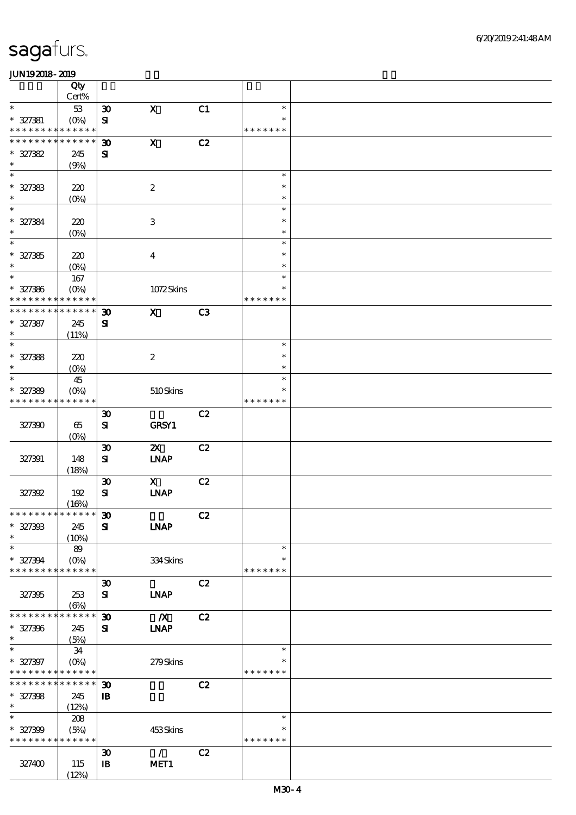|                                          | Qty                    |                             |                              |                |               |  |
|------------------------------------------|------------------------|-----------------------------|------------------------------|----------------|---------------|--|
|                                          | $\mbox{Cert}\%$        |                             |                              |                |               |  |
| $\ast$                                   | $5\!3$                 | $\boldsymbol{\mathfrak{D}}$ | $\mathbf X$                  | C1             | $\ast$        |  |
| $* 327381$                               | $(O\%)$                | $\mathbf{S}$                |                              |                | $\ast$        |  |
| * * * * * * * *                          | * * * * * *            |                             |                              |                | * * * * * * * |  |
| * * * * * * * *                          | * * * * * *            | $\boldsymbol{\mathfrak{D}}$ | $\mathbf X$                  | C2             |               |  |
| $* 327382$                               | 245                    | ${\bf s}$                   |                              |                |               |  |
| $\ast$                                   | (9%)                   |                             |                              |                |               |  |
| $\ast$                                   |                        |                             |                              |                | $\ast$        |  |
| $* 327383$                               | 220                    |                             | $\boldsymbol{2}$             |                | $\ast$        |  |
| $\ast$                                   | $(0\%)$                |                             |                              |                | $\ast$        |  |
| $\ast$                                   |                        |                             |                              |                | $\ast$        |  |
| $* 327384$                               | 220                    |                             | $\ensuremath{\mathbf{3}}$    |                | $\ast$        |  |
| $\ast$                                   | $(0\%)$                |                             |                              |                | $\ast$        |  |
| $\ast$                                   |                        |                             |                              |                | $\ast$        |  |
| $* 327335$                               | 220                    |                             | $\boldsymbol{4}$             |                | $\ast$        |  |
| $\ast$                                   | $(O\%)$                |                             |                              |                | $\ast$        |  |
| $\overline{\ast}$                        | $167$                  |                             |                              |                | $\ast$        |  |
| $* 327386$                               | $(O\!/\!\!\delta)$     |                             | 1072Skins                    |                | $\ast$        |  |
| * * * * * * *                            | * * * * * *            |                             |                              |                | * * * * * * * |  |
| * * * * * * * *                          | * * * * * *            | $\boldsymbol{\mathfrak{D}}$ | $\mathbf{x}$                 | C <sub>3</sub> |               |  |
| $* 327387$                               | 245                    | ${\bf s}$                   |                              |                |               |  |
| $\ast$<br>$\ast$                         | (11%)                  |                             |                              |                | $\ast$        |  |
|                                          |                        |                             |                              |                | $\ast$        |  |
| $* 327388$<br>$\ast$                     | 220                    |                             | $\boldsymbol{z}$             |                | $\ast$        |  |
| $\ast$                                   | (O <sub>0</sub> )      |                             |                              |                | $\ast$        |  |
| $* 327389$                               | 45                     |                             |                              |                | $\ast$        |  |
| * * * * * * * *                          | $(O\%)$<br>* * * * * * |                             | 510Skins                     |                | * * * * * * * |  |
|                                          |                        | $\boldsymbol{\mathfrak{D}}$ |                              | C2             |               |  |
| 327390                                   | 65                     | ${\bf s}$                   | <b>GRSY1</b>                 |                |               |  |
|                                          | (O <sub>0</sub> )      |                             |                              |                |               |  |
|                                          |                        | $\pmb{\mathfrak{D}}$        | $\boldsymbol{\mathsf{X}}$    | C2             |               |  |
| 327391                                   | 148                    | ${\bf S\!I}$                | $\ensuremath{\mathbf{INAP}}$ |                |               |  |
|                                          | (18%)                  |                             |                              |                |               |  |
|                                          |                        | $\boldsymbol{\mathfrak{D}}$ | $\mathbf{x}$                 | C2             |               |  |
| 327392                                   | $192$                  | ${\bf S}$                   | $\ensuremath{\text{INAP}}$   |                |               |  |
|                                          | (16%)                  |                             |                              |                |               |  |
| *************** 30                       |                        |                             |                              | C2             |               |  |
| $* 327303$                               | 245                    | ${\bf s}$                   | <b>LNAP</b>                  |                |               |  |
| $\ast$                                   | (10%)                  |                             |                              |                |               |  |
| $\ast$                                   | 89                     |                             |                              |                | $\ast$        |  |
| $* 327394$                               | $(O\%)$                |                             | 334Skins                     |                | $\ast$        |  |
| * * * * * * * *                          | * * * * * *            |                             |                              |                | * * * * * * * |  |
|                                          |                        | $\boldsymbol{\mathfrak{D}}$ |                              | C2             |               |  |
| 327395                                   | 253                    | ${\bf s}$                   | <b>INAP</b>                  |                |               |  |
|                                          | $(\Theta)$             |                             |                              |                |               |  |
| * * * * * * * *                          | * * * * * *            | $\boldsymbol{\mathfrak{D}}$ | $\mathbf{X}$                 | C2             |               |  |
| $* 327396$                               | 245                    | ${\bf s}$                   | <b>LNAP</b>                  |                |               |  |
| $\ast$                                   | (5%)                   |                             |                              |                |               |  |
| $\ast$                                   | $3\!4$                 |                             |                              |                | $\ast$        |  |
| $* 327397$                               | $(O\%)$                |                             | 279Skins                     |                | $\ast$        |  |
| * * * * * * * * * * * * * *              |                        |                             |                              |                | * * * * * * * |  |
| * * * * * * * *                          | $* * * * * * *$        | $\boldsymbol{\mathfrak{D}}$ |                              | C2             |               |  |
| $* 327398$                               | 245                    | $\, {\bf B}$                |                              |                |               |  |
| $\ast$                                   | (12%)                  |                             |                              |                |               |  |
| $\ast$                                   | 208                    |                             |                              |                | $\ast$        |  |
| $* 327399$                               | (5%)                   |                             | 453Skins                     |                | *             |  |
| * * * * * * * * <mark>* * * * * *</mark> |                        |                             |                              |                | * * * * * * * |  |
|                                          |                        | $\boldsymbol{\mathfrak{D}}$ | $\mathcal{L}$                | C2             |               |  |
| 327400                                   | 115                    | $\, {\bf I} \! {\bf B} \,$  | MET1                         |                |               |  |
|                                          | (12%)                  |                             |                              |                |               |  |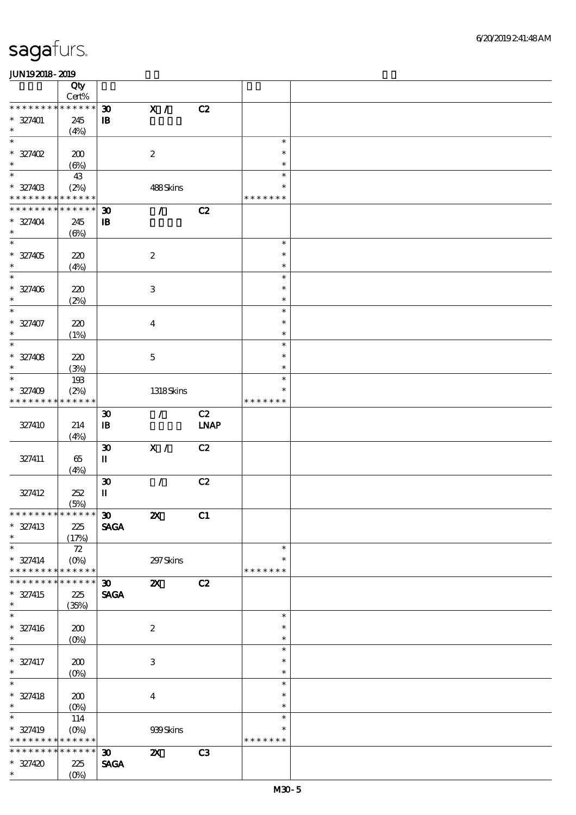|                                    | Qty                        |                              |                           |             |                  |  |
|------------------------------------|----------------------------|------------------------------|---------------------------|-------------|------------------|--|
|                                    | Cert%                      |                              |                           |             |                  |  |
| * * * * * * * *                    | ******                     | $\boldsymbol{\mathfrak{D}}$  | $\mathbf{X}$ /            | C2          |                  |  |
| $* 327401$                         | 245                        | ${\bf I\!B}$                 |                           |             |                  |  |
| $\ast$<br>$\ast$                   | (4%)                       |                              |                           |             |                  |  |
|                                    |                            |                              |                           |             | $\ast$           |  |
| $* 327402$                         | 200                        |                              | $\boldsymbol{2}$          |             | $\ast$           |  |
| $\ast$                             | $(\Theta)$                 |                              |                           |             | $\ast$           |  |
| $\ast$                             | 43                         |                              |                           |             | $\ast$           |  |
| $* 327408$                         | (2%)                       |                              | 488Skins                  |             | $\ast$           |  |
| * * * * * * * *                    | * * * * * *                |                              |                           |             | * * * * * * *    |  |
| * * * * * * * *                    | $\ast\ast\ast\ast\ast\ast$ | $\boldsymbol{\mathfrak{D}}$  | $\mathcal{L}$             | C2          |                  |  |
| $* 327404$                         | 245                        | ${\bf I\!B}$                 |                           |             |                  |  |
| $\ast$                             | $(\Theta)$                 |                              |                           |             |                  |  |
| $\ast$                             |                            |                              |                           |             | $\ast$           |  |
| $* 327405$                         | 220                        |                              | $\boldsymbol{2}$          |             | $\ast$           |  |
| $\ast$                             | (4%)                       |                              |                           |             | $\ast$           |  |
| $\ast$                             |                            |                              |                           |             | $\ast$           |  |
| $* 327406$                         | 220                        |                              | $\ensuremath{\mathbf{3}}$ |             | $\ast$           |  |
| $\ast$                             | (2%)                       |                              |                           |             | $\ast$           |  |
| $\overline{\ast}$                  |                            |                              |                           |             | $\ast$           |  |
| $* 327407$                         | 220                        |                              | $\boldsymbol{4}$          |             | $\ast$           |  |
| $\ast$                             | (1%)                       |                              |                           |             | $\ast$           |  |
| $\ast$                             |                            |                              |                           |             | $\ast$           |  |
| $* 327408$                         | 220                        |                              | $\mathbf 5$               |             | $\ast$           |  |
| $\ast$                             | (3%)                       |                              |                           |             | $\ast$           |  |
| $\ast$                             | 193                        |                              |                           |             | $\ast$           |  |
| $* 327409$                         | (2%)                       |                              | 1318Skins                 |             | $\ast$           |  |
| * * * * * * * *                    | * * * * * *                |                              |                           |             | * * * * * * *    |  |
|                                    |                            | $\boldsymbol{\mathfrak{D}}$  | $\mathcal{L}$             | C2          |                  |  |
| 327410                             | 214                        | $\, {\bf B}$                 |                           | <b>LNAP</b> |                  |  |
|                                    | (4%)                       |                              |                           |             |                  |  |
|                                    |                            | $\boldsymbol{\mathfrak{D}}$  | $\mathbf{X}$ /            | C2          |                  |  |
| 327411                             | 65                         | П                            |                           |             |                  |  |
|                                    | (4%)                       |                              |                           |             |                  |  |
|                                    |                            | $\boldsymbol{\mathfrak{D}}$  | $\mathcal{L}$             | C2          |                  |  |
| 327412                             | 252                        | $\mathbf I$                  |                           |             |                  |  |
|                                    | (5%)                       |                              |                           |             |                  |  |
| *************** 30                 |                            |                              | $\boldsymbol{\mathsf{z}}$ | C1          |                  |  |
| $* 327413$                         | 225                        | <b>SAGA</b>                  |                           |             |                  |  |
| $\ast$                             | (17%)                      |                              |                           |             |                  |  |
| $\ast$                             | $\mathcal{Z}$              |                              |                           |             | $\ast$           |  |
| $* 327414$                         | $(O\%)$                    |                              | 297 Skins                 |             | $\ast$           |  |
| * * * * * * * *                    | * * * * * *                |                              |                           |             | * * * * * * *    |  |
| * * * * * * *                      | * * * * * *                | $\boldsymbol{\mathfrak{D}}$  | $\boldsymbol{\mathsf{z}}$ | C2          |                  |  |
| $* 327415$                         | 225                        | <b>SAGA</b>                  |                           |             |                  |  |
| $\ast$<br>$\overline{\ast}$        | (35%)                      |                              |                           |             |                  |  |
|                                    |                            |                              |                           |             | $\ast$           |  |
| $* 327416$                         | 200                        |                              | $\boldsymbol{2}$          |             | $\ast$           |  |
| $\ast$<br>$\overline{\phantom{0}}$ | $(0\%)$                    |                              |                           |             | $\ast$           |  |
|                                    |                            |                              |                           |             | $\ast$           |  |
| $* 327417$                         | 200                        |                              | 3                         |             | $\ast$           |  |
| $\ast$<br>$\ast$                   | $(0\%)$                    |                              |                           |             | $\ast$           |  |
|                                    |                            |                              |                           |             | $\ast$           |  |
| $* 327418$                         | 200                        |                              | $\boldsymbol{4}$          |             | $\ast$           |  |
| $\ast$<br>$\overline{\phantom{0}}$ | $(0\%)$                    |                              |                           |             | $\ast$<br>$\ast$ |  |
|                                    | 114                        |                              |                           |             |                  |  |
| $* 327419$                         | $(O\%)$                    |                              | 939Skins                  |             | $\ast$           |  |
| * * * * * * * * * * * * * *        |                            |                              |                           |             | * * * * * * *    |  |
| * * * * * * * * * * * * * *        |                            | $\boldsymbol{\mathfrak{D}}$  | $\boldsymbol{\mathsf{z}}$ | C3          |                  |  |
| $* 327420$                         | 225                        | $\ensuremath{\mathsf{SAGA}}$ |                           |             |                  |  |
| $\ast$                             | (0%                        |                              |                           |             |                  |  |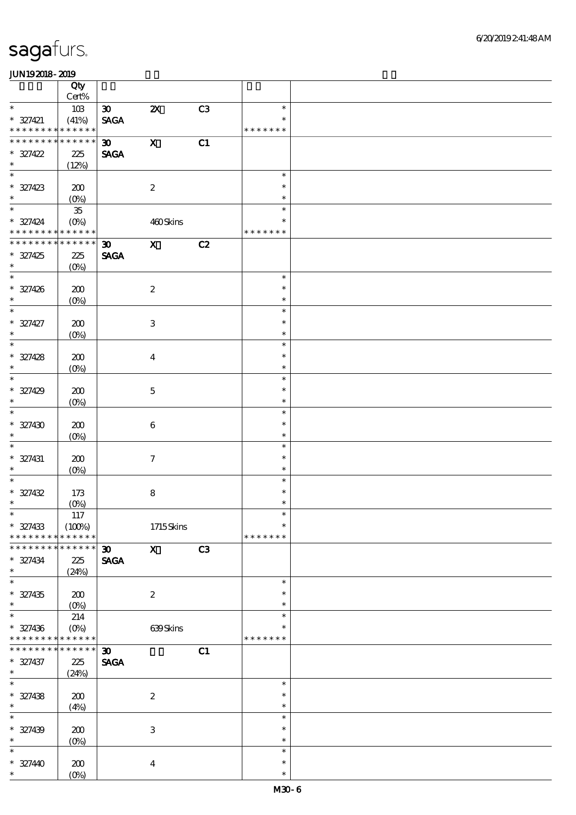|                                            | Qty                    |                                            |                           |    |                         |  |
|--------------------------------------------|------------------------|--------------------------------------------|---------------------------|----|-------------------------|--|
| $\ast$                                     | Cert%                  |                                            |                           |    |                         |  |
| $* 327421$                                 | 10B<br>(41%)           | $\boldsymbol{\mathfrak{D}}$<br><b>SAGA</b> | $\pmb{\mathsf{zx}}$       | C3 | $\ast$<br>$\ast$        |  |
| * * * * * * * * <mark>* * * * * * *</mark> |                        |                                            |                           |    | * * * * * * *           |  |
| * * * * * * *                              | * * * * * *            | $\boldsymbol{\mathfrak{D}}$                | $\mathbf X$               | C1 |                         |  |
| $* 327422$                                 | 225                    | <b>SAGA</b>                                |                           |    |                         |  |
| $\ast$                                     | (12%)                  |                                            |                           |    |                         |  |
| $\ast$                                     |                        |                                            |                           |    | $\ast$<br>$\ast$        |  |
| $* 327423$<br>$\ast$                       | 200<br>$(O\%)$         |                                            | $\boldsymbol{2}$          |    | $\ast$                  |  |
| $\overline{\ast}$                          | ${\bf 35}$             |                                            |                           |    | $\ast$                  |  |
| $* 327424$                                 | $(O\%)$                |                                            | 460Skins                  |    | *                       |  |
| * * * * * * * * * * * * * *                |                        |                                            |                           |    | * * * * * * *           |  |
| * * * * * * * *                            | * * * * * *            | $\boldsymbol{\mathfrak{D}}$                | $\boldsymbol{\mathrm{X}}$ | C2 |                         |  |
| $* 327425$<br>$\ast$                       | 225                    | <b>SAGA</b>                                |                           |    |                         |  |
| $\overline{\phantom{0}}$                   | $(O\%)$                |                                            |                           |    | $\ast$                  |  |
| $* 327426$                                 | 200                    |                                            | $\boldsymbol{2}$          |    | $\ast$                  |  |
| $\ast$                                     | $(0\%)$                |                                            |                           |    | $\ast$                  |  |
| $\overline{\phantom{0}}$                   |                        |                                            |                           |    | $\ast$                  |  |
| $* 327427$<br>$\ast$                       | 200                    |                                            | $\,3\,$                   |    | $\ast$                  |  |
| $\ast$                                     | $(O\!/\!o)$            |                                            |                           |    | $\ast$<br>$\ast$        |  |
| $* 327428$                                 | 200                    |                                            | $\overline{\mathbf{4}}$   |    | $\ast$                  |  |
| $\ast$                                     | $(O\%)$                |                                            |                           |    | $\ast$                  |  |
| $\ast$                                     |                        |                                            |                           |    | $\ast$                  |  |
| $* 327429$                                 | 200                    |                                            | $\mathbf 5$               |    | $\ast$                  |  |
| $\ast$<br>$\ast$                           | $(O\%)$                |                                            |                           |    | $\ast$<br>$\ast$        |  |
| $* 327430$                                 | 200                    |                                            | $\boldsymbol{6}$          |    | $\ast$                  |  |
| $\ast$                                     | $(0\%)$                |                                            |                           |    | $\ast$                  |  |
| $\ast$                                     |                        |                                            |                           |    | $\ast$                  |  |
| $* 327431$                                 | 200                    |                                            | $\boldsymbol{\tau}$       |    | $\ast$                  |  |
| $\ast$                                     | $(O\%)$                |                                            |                           |    | $\ast$                  |  |
| $\ast$                                     |                        |                                            |                           |    | $\ast$<br>$\ast$        |  |
| $* 327432$<br>$\ast$                       | 173<br>$(0\%)$         |                                            | $\bf 8$                   |    | $\ast$                  |  |
| $*$                                        | $117\,$                |                                            |                           |    | $\ast$                  |  |
| $* 327433$                                 | (100%)                 |                                            | 1715Skins                 |    | $\ast$                  |  |
| * * * * * * * *                            | * * * * * *            |                                            |                           |    | * * * * * * *           |  |
| * * * * * * * *                            | * * * * * *            | $\boldsymbol{\mathfrak{D}}$                | $\mathbf{X}$              | C3 |                         |  |
| $* 327434$<br>$\ast$                       | 225<br>(24%)           | $\operatorname{\mathsf{SAGA}}$             |                           |    |                         |  |
| $\ast$                                     |                        |                                            |                           |    | $\ast$                  |  |
| $* 327435$                                 | 200                    |                                            | $\boldsymbol{2}$          |    | $\ast$                  |  |
| $\ast$                                     | $(0\%)$                |                                            |                           |    | $\ast$                  |  |
| $\ast$                                     | 214                    |                                            |                           |    | $\ast$                  |  |
| $* 327436$<br>* * * * * * * *              | $(O\%)$<br>* * * * * * |                                            | 639Skins                  |    | $\ast$<br>* * * * * * * |  |
| * * * * * * *                              | * * * * * *            | $\boldsymbol{\mathfrak{D}}$                |                           | C1 |                         |  |
| * 327437                                   | 225                    | $\operatorname{\mathsf{SAGA}}$             |                           |    |                         |  |
| $\ast$                                     | (24%)                  |                                            |                           |    |                         |  |
| $\ast$                                     |                        |                                            |                           |    | $\ast$                  |  |
| $* 327438$                                 | 200                    |                                            | $\boldsymbol{2}$          |    | $\ast$                  |  |
| $\ast$<br>$\ast$                           | (4%)                   |                                            |                           |    | $\ast$<br>$\ast$        |  |
| $* 327439$                                 | 200                    |                                            | $\,3\,$                   |    | $\ast$                  |  |
| $\ast$                                     | $(0\%)$                |                                            |                           |    | $\ast$                  |  |
| $\ast$                                     |                        |                                            |                           |    | $\ast$                  |  |
| $* 32740$                                  | 200                    |                                            | $\boldsymbol{4}$          |    | $\ast$                  |  |
| $\ast$                                     | $(0\%)$                |                                            |                           |    | $\ast$                  |  |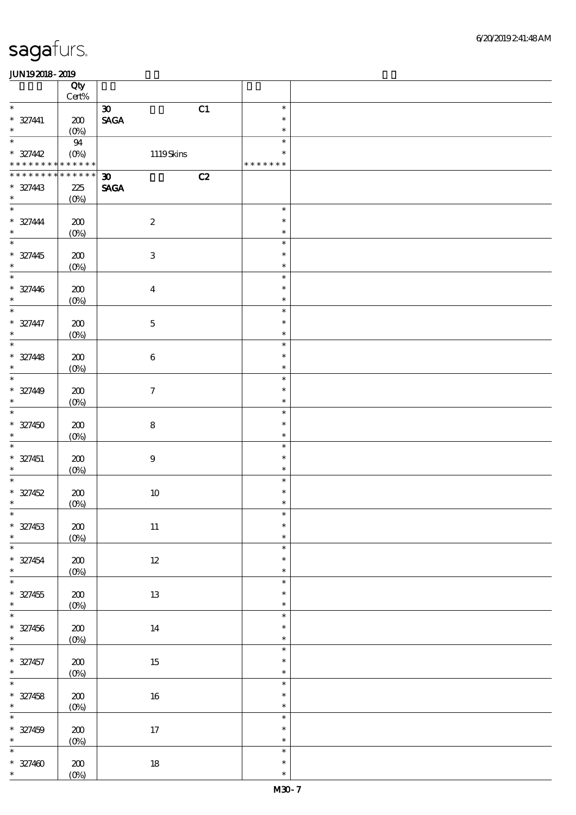|                                                    | Qty<br>$\mbox{Cert}\%$     |                                                  |                            |  |
|----------------------------------------------------|----------------------------|--------------------------------------------------|----------------------------|--|
| $\ast$                                             |                            | C1<br>$\boldsymbol{\mathfrak{D}}$                | $\ast$                     |  |
| $* 327441$<br>$\ast$                               | 200                        | $\ensuremath{\mathsf{SAGA}}$                     | $\ast$<br>$\ast$           |  |
| $\ast$                                             | (0%)                       |                                                  | $\ast$                     |  |
| $* 327442$<br>* * * * * * * * * * * * * *          | 94<br>$(O\%)$              | 1119Skins                                        | $\ast$                     |  |
|                                                    |                            |                                                  | * * * * * * *              |  |
| * * * * * * * *<br>$* 327443$<br>$\ast$            | $******$<br>$2\!2$<br>(0%) | $\boldsymbol{\mathfrak{D}}$<br>C2<br><b>SAGA</b> |                            |  |
| $\ast$<br>$* 327444$<br>$\ast$                     | 200<br>$(0\%)$             | $\boldsymbol{2}$                                 | $\ast$<br>$\ast$<br>$\ast$ |  |
| $\overline{\phantom{0}}$<br>$* 327445$<br>$\ast$   | 200<br>$(0\%)$             | $\ensuremath{\mathbf{3}}$                        | $\ast$<br>$\ast$<br>$\ast$ |  |
| $\ast$<br>$* 327446$<br>$\ast$                     | $200\,$<br>$(0\%)$         | $\boldsymbol{4}$                                 | $\ast$<br>$\ast$<br>$\ast$ |  |
| $\ast$                                             |                            |                                                  | $\ast$                     |  |
| $* 327447$<br>$\ast$                               | 200<br>$(0\%)$             | $\mathbf 5$                                      | $\ast$<br>$\ast$           |  |
| $\overline{\ast}$                                  |                            |                                                  | $\ast$                     |  |
| $* 327448$<br>$\ast$<br>$\ast$                     | 200<br>$(0\%)$             | $\bf 6$                                          | $\ast$<br>$\ast$           |  |
| $* 32740$<br>$\ast$                                | 200<br>$(0\%)$             | $\tau$                                           | $\ast$<br>$\ast$<br>$\ast$ |  |
| $\ast$<br>$* 327450$<br>$\ast$                     | 200<br>$(0\%)$             | $\bf 8$                                          | $\ast$<br>$\ast$<br>$\ast$ |  |
| $\ast$<br>$* 327451$<br>$\ast$                     | 200<br>$(O\%)$             | $\boldsymbol{9}$                                 | $\ast$<br>$\ast$<br>$\ast$ |  |
| $\ast$<br>$* 327452$<br>$\ast$                     | 200<br>(0%)                | $10\,$                                           | $\ast$<br>$\ast$<br>$\ast$ |  |
| $\ast$<br>$* 327453$<br>$\ast$                     | 200<br>$(0\%)$             | $11\,$                                           | $\ast$<br>$\ast$<br>$\ast$ |  |
| $\ast$<br>$* 327454$<br>$\ast$                     | ${\bf Z0}$<br>(0%)         | $12\,$                                           | $\ast$<br>$\ast$<br>$\ast$ |  |
| $\overline{\phantom{a}^*}$<br>$* 327455$<br>$\ast$ | ${\bf Z0}$<br>(0%)         | $1\!3$                                           | $\ast$<br>$\ast$<br>$\ast$ |  |
| $\overline{\ast}$<br>$* 327456$<br>$\ast$          | 200<br>$(0\%)$             | $14\,$                                           | $\ast$<br>$\ast$<br>$\ast$ |  |
| $\ast$<br>$* 327457$<br>$\ast$                     | ${\bf Z0}$<br>(0%)         | 15                                               | $\ast$<br>$\ast$<br>$\ast$ |  |
| $\overline{\ast}$<br>$* 327458$<br>$\ast$          | ${\bf 20}$<br>(0%)         | $16\,$                                           | $\ast$<br>$\ast$<br>$\ast$ |  |
| $\ast$<br>$* 327459$<br>$\ast$                     | 200<br>(0%)                | $17\,$                                           | $\ast$<br>$\ast$<br>$\ast$ |  |
| $\ast$<br>$* 327400$<br>$\ast$                     | $200$<br>$(0\%)$           | $18\,$                                           | $\ast$<br>$\ast$<br>$\ast$ |  |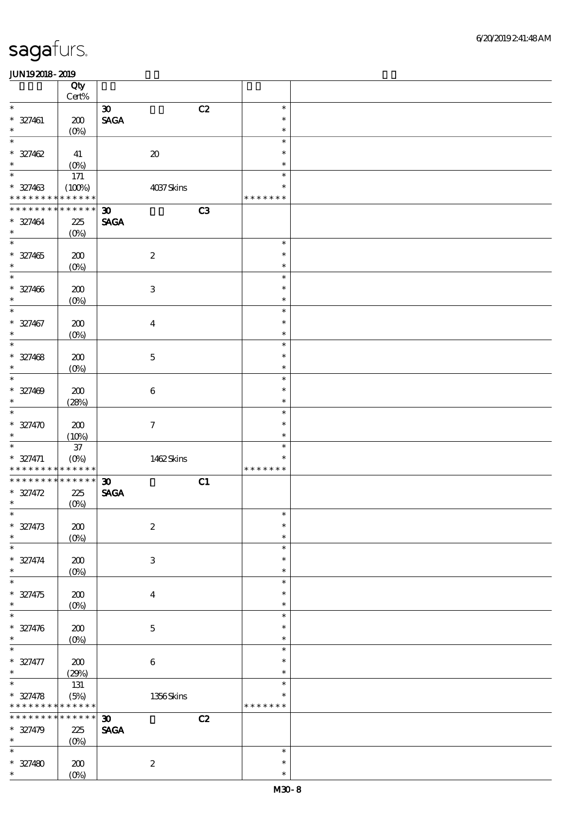|                                            | Qty<br>$\mbox{Cert}\%$ |                                   |               |  |
|--------------------------------------------|------------------------|-----------------------------------|---------------|--|
| $\ast$                                     |                        | C2<br>$\boldsymbol{\mathfrak{D}}$ | $\ast$        |  |
|                                            |                        |                                   | $\ast$        |  |
| $* 327461$                                 | 200                    | <b>SAGA</b>                       |               |  |
| $\ast$                                     | $(O\%)$                |                                   | $\ast$        |  |
| $\ast$                                     |                        |                                   | $\ast$        |  |
| $* 327462$                                 | 41                     | $\pmb{\mathcal{X}}$               | $\ast$        |  |
| $\ast$                                     | (O <sub>0</sub> )      |                                   | $\ast$        |  |
| $\ast$                                     | 171                    |                                   | $\ast$        |  |
| $* 327463$                                 | (100%)                 | 4037Skins                         | $\ast$        |  |
| * * * * * * * *                            | * * * * * *            |                                   | * * * * * * * |  |
| * * * * * * * *                            | * * * * * *            | C3<br>$\boldsymbol{\mathfrak{D}}$ |               |  |
|                                            |                        | <b>SAGA</b>                       |               |  |
| $* 327464$<br>$\ast$                       | 225                    |                                   |               |  |
|                                            | $(O\!/\!\!\delta)$     |                                   |               |  |
| $\ast$                                     |                        |                                   | $\ast$        |  |
| $* 327465$                                 | 200                    | $\boldsymbol{2}$                  | $\ast$        |  |
| $\ast$                                     | $(0\%)$                |                                   | $\ast$        |  |
| $\ast$                                     |                        |                                   | $\ast$        |  |
| $* 327406$                                 | 200                    | $\ensuremath{\mathbf{3}}$         | $\ast$        |  |
| $\ast$                                     | $(0\%)$                |                                   | $\ast$        |  |
| $\ast$                                     |                        |                                   | $\ast$        |  |
| $* 327467$                                 | 200                    | $\boldsymbol{4}$                  | $\ast$        |  |
| $\ast$                                     | $(0\%)$                |                                   | $\ast$        |  |
| $\ast$                                     |                        |                                   | $\ast$        |  |
|                                            |                        |                                   | $\ast$        |  |
| $* 327468$<br>$\ast$                       | 200                    | $\mathbf 5$                       |               |  |
|                                            | $(0\%)$                |                                   | $\ast$        |  |
| $\ast$                                     |                        |                                   | $\ast$        |  |
| $* 327409$                                 | 200                    | $\boldsymbol{6}$                  | $\ast$        |  |
| $\ast$                                     | (28%)                  |                                   | $\ast$        |  |
| $\ast$                                     |                        |                                   | $\ast$        |  |
| $* 327470$                                 | 200                    | $\boldsymbol{\tau}$               | $\ast$        |  |
|                                            |                        |                                   | $\ast$        |  |
| $\ast$                                     |                        |                                   |               |  |
| $\ast$                                     | (10%)                  |                                   | $\ast$        |  |
|                                            | $3\!7$                 |                                   | $\ast$        |  |
| $* 327471$<br>* * * * * * * * * * * * * *  | $(O\%)$                | 1462Skins                         | * * * * * * * |  |
| * * * * * * * *                            | * * * * * *            |                                   |               |  |
|                                            |                        | C1<br>$\boldsymbol{\mathfrak{D}}$ |               |  |
| $* 327472$<br>$\ast$                       | 225                    | <b>SAGA</b>                       |               |  |
| $*$                                        | $(0\%)$                |                                   | $\ast$        |  |
|                                            |                        |                                   |               |  |
| $* 327473$                                 | 200                    | $\boldsymbol{2}$                  | $\ast$        |  |
| $\ast$                                     | $(0\%)$                |                                   | $\ast$        |  |
| $\ast$                                     |                        |                                   | $\ast$        |  |
| $* 327474$                                 | 200                    | $\ensuremath{\mathbf{3}}$         | $\ast$        |  |
| $\ast$                                     | $(0\%)$                |                                   | $\ast$        |  |
| $\ast$                                     |                        |                                   | $\ast$        |  |
| $* 327475$                                 | 200                    | $\boldsymbol{4}$                  | $\ast$        |  |
| $\ast$                                     | $(O\%)$                |                                   | $\ast$        |  |
| $\ast$                                     |                        |                                   | $\ast$        |  |
|                                            |                        |                                   | $\ast$        |  |
| $* 327476$<br>$\ast$                       | 200                    | $\mathbf 5$                       | $\ast$        |  |
| $\ast$                                     | $(0\%)$                |                                   | $\ast$        |  |
|                                            |                        |                                   | $\ast$        |  |
| $* 327477$                                 | 200                    | $\boldsymbol{6}$                  |               |  |
| $\ast$                                     | (29%)                  |                                   | $\ast$        |  |
| $\ast$                                     | 131                    |                                   | $\ast$        |  |
| $* 327478$                                 | (5%)                   | $1356$ Skins                      | $\ast$        |  |
| * * * * * * * * <mark>* * * * * * *</mark> |                        |                                   | * * * * * * * |  |
| * * * * * * * *                            | * * * * * *            | C2<br>$\boldsymbol{\mathfrak{D}}$ |               |  |
| $* 327479$                                 | 225                    | <b>SAGA</b>                       |               |  |
| $\ast$                                     | $(O\%)$                |                                   |               |  |
| $\ast$                                     |                        |                                   | $\ast$        |  |
| $* 327480$<br>$\ast$                       | 200<br>$(0\%)$         | $\boldsymbol{2}$                  | $\ast$        |  |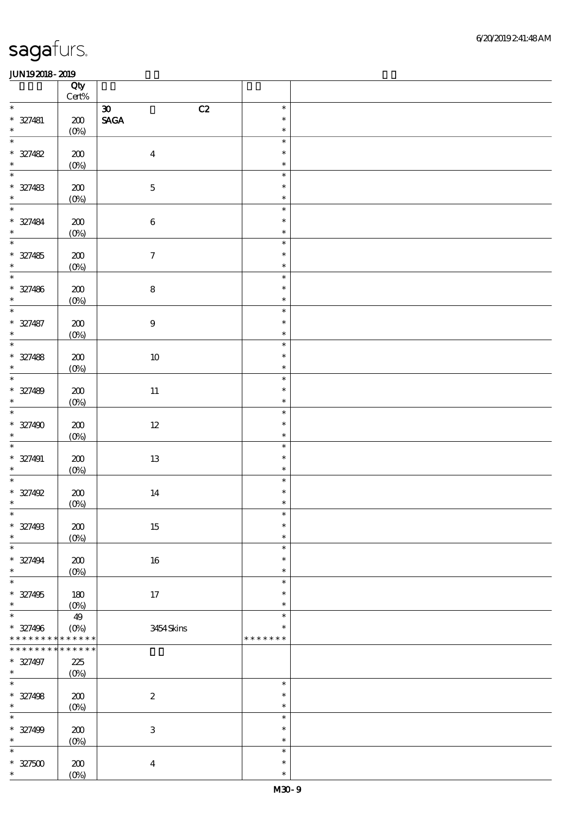|                             | Qty<br>$\mbox{Cert}\%$ |                                   |                  |  |
|-----------------------------|------------------------|-----------------------------------|------------------|--|
| $\ast$                      |                        | $\boldsymbol{\mathfrak{D}}$<br>C2 | $\ast$           |  |
| $* 327481$                  | $200$                  | $\ensuremath{\mathsf{SAGA}}$      | $\ast$           |  |
| $\ast$                      | $(0\%)$                |                                   | $\ast$           |  |
| $\ast$                      |                        |                                   | $\ast$           |  |
| $* 327482$                  | $200\,$                | $\boldsymbol{4}$                  | $\ast$           |  |
| $\ast$                      | (0%)                   |                                   | $\ast$           |  |
| $\ast$                      |                        |                                   | $\ast$           |  |
| $^\ast$ 327483 $^\ast$      | $200\,$                | $\mathbf 5$                       | $\ast$           |  |
|                             | (0%)                   |                                   | $\ast$           |  |
| $\overline{\ast}$           |                        |                                   | $\ast$           |  |
| $* 327484$                  | $200\,$                | $\,6\,$                           | $\ast$           |  |
| $\ast$                      | $(0\%)$                |                                   | $\ast$           |  |
| $\ast$                      |                        |                                   | $\ast$           |  |
| $* 327485$                  | $200\,$                | $\boldsymbol{7}$                  | $\ast$           |  |
| $\ast$                      | $(0\%)$                |                                   | $\ast$           |  |
| $\overline{\phantom{0}}$    |                        |                                   | $\ast$           |  |
| $* 327486$                  | $200\,$                | $\bf 8$                           | $\ast$           |  |
| $\ast$<br>$\overline{\ast}$ | (0%)                   |                                   | $\ast$           |  |
|                             |                        |                                   | $\ast$           |  |
| $* 327487$<br>$\ast$        | 200                    | $\boldsymbol{9}$                  | $\ast$           |  |
| $\overline{\phantom{0}}$    | $(0\%)$                |                                   | $\ast$<br>$\ast$ |  |
|                             |                        |                                   | $\ast$           |  |
| $* 327488$<br>$\ast$        | $200\,$                | $10\,$                            | $\ast$           |  |
| $\overline{\phantom{0}}$    | (0%)                   |                                   | $\ast$           |  |
| $* 327489$                  | $200\,$                | $11\,$                            | $\ast$           |  |
| $\ast$                      | (0%)                   |                                   | $\ast$           |  |
| $\overline{\phantom{a}^*}$  |                        |                                   | $\ast$           |  |
| $* 327490$                  | 200                    | $12\,$                            | $\ast$           |  |
| $\ast$                      | $(0\%)$                |                                   | $\ast$           |  |
| $\ast$                      |                        |                                   | $\ast$           |  |
| $* 327491$                  | $200\,$                | $13\,$                            | $\ast$           |  |
| $\ast$                      | $(0\%)$                |                                   | $\ast$           |  |
| $\ast$                      |                        |                                   | $\ast$           |  |
| $* 327492$                  | $200\,$                | $14\,$                            | $\ast$           |  |
| $\ast$                      | (0%)                   |                                   | $\ast$           |  |
| $*$                         |                        |                                   | $\ast$           |  |
| $* 327493$                  | 200                    | 15                                | $\ast$           |  |
| $\ast$                      | $(0\%)$                |                                   | $\ast$           |  |
| $\ast$                      |                        |                                   | $\ast$           |  |
| $* 327494$                  | 200                    | 16                                | $\ast$           |  |
| $\ast$<br>$\ast$            | $(0\%)$                |                                   | $\ast$           |  |
|                             |                        |                                   | $\ast$<br>$\ast$ |  |
| $* 327495$<br>$\ast$        | 180                    | 17                                | $\ast$           |  |
| $\ast$                      | (0%)<br>49             |                                   | $\ast$           |  |
| $* 327496$                  | $(O\%)$                | 3454Skins                         | $\ast$           |  |
| * * * * * * * *             | * * * * * *            |                                   | * * * * * * *    |  |
| * * * * * * *<br>∗          | * * * * * *            |                                   |                  |  |
| $* 327497$                  | 225                    |                                   |                  |  |
| $\ast$                      | (0%)                   |                                   |                  |  |
| $\ast$                      |                        |                                   | $\ast$           |  |
| $* 327498$                  | 200                    | $\boldsymbol{2}$                  | $\ast$           |  |
| $\ast$                      | $(0\%)$                |                                   | $\ast$           |  |
| $\ast$                      |                        |                                   | $\ast$           |  |
| $* 327499$                  | 200                    | $\ensuremath{\mathbf{3}}$         | $\ast$           |  |
| $\ast$                      | $(0\%)$                |                                   | $\ast$           |  |
| $\ast$                      |                        |                                   | $\ast$           |  |
| $* 327500$                  | ${\bf Z0}$             | $\boldsymbol{4}$                  | $\ast$           |  |
| $\ast$                      | $(0\%)$                |                                   | $\ast$           |  |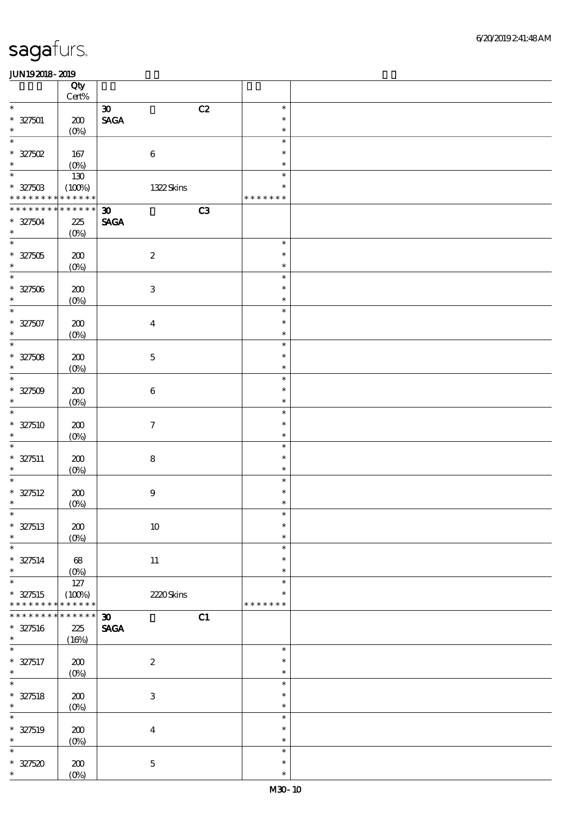|                             | Qty                   |                                   |                         |  |
|-----------------------------|-----------------------|-----------------------------------|-------------------------|--|
| $\ast$                      | $\mbox{Cert}\%$       | $\boldsymbol{\mathfrak{D}}$<br>C2 | $\ast$                  |  |
| $* 327501$                  | 200                   | $\ensuremath{\mathsf{SAGA}}$      | $\ast$                  |  |
| $\ast$                      | $(O\%)$               |                                   | $\ast$                  |  |
| $\ast$                      |                       |                                   | $\ast$                  |  |
| $* 327502$                  | 167                   | $\,6\,$                           | $\ast$                  |  |
| $\ast$                      | (0%)                  |                                   | $\ast$                  |  |
| $\ast$                      | 130                   |                                   | $\ast$                  |  |
| * 327503<br>* * * * * * * * | (100%)<br>* * * * * * | 1322Skins                         | $\ast$<br>* * * * * * * |  |
| * * * * * * * *             | * * * * * *           | C3<br>$\boldsymbol{\mathfrak{D}}$ |                         |  |
| $* 327504$                  | 225                   | <b>SAGA</b>                       |                         |  |
| $\ast$                      | $(O\%)$               |                                   |                         |  |
| $\overline{\ast}$           |                       |                                   | $\ast$                  |  |
| $* 327505$                  | 200                   | $\boldsymbol{2}$                  | $\ast$                  |  |
| $\ast$                      | $(0\%)$               |                                   | $\ast$                  |  |
| $\overline{\phantom{0}}$    |                       |                                   | $\ast$                  |  |
| $* 327506$<br>$\ast$        | 200                   | $\ensuremath{\mathbf{3}}$         | $\ast$<br>$\ast$        |  |
| $\ast$                      | $(0\%)$               |                                   | $\ast$                  |  |
| $* 327507$                  | 200                   | $\boldsymbol{4}$                  | $\ast$                  |  |
| $\ast$                      | $(0\%)$               |                                   | $\ast$                  |  |
| $\ast$                      |                       |                                   | $\ast$                  |  |
| * 327508                    | 200                   | $\mathbf 5$                       | $\ast$                  |  |
| $\ast$                      | $(0\%)$               |                                   | $\ast$                  |  |
| $\ast$                      |                       |                                   | $\ast$                  |  |
| $* 327509$<br>$\ast$        | 200<br>$(0\%)$        | $\bf 6$                           | $\ast$<br>$\ast$        |  |
| $\ast$                      |                       |                                   | $\ast$                  |  |
| $* 327510$                  | 200                   | $\tau$                            | $\ast$                  |  |
| $\ast$                      | $(0\%)$               |                                   | $\ast$                  |  |
| $\ast$                      |                       |                                   | $\ast$                  |  |
| $* 327511$                  | 200                   | ${\bf 8}$                         | $\ast$                  |  |
| $\ast$                      | $(0\%)$               |                                   | $\ast$                  |  |
| $* 327512$                  | 200                   | $\boldsymbol{9}$                  | $\ast$<br>$\ast$        |  |
| $\ast$                      | $(0\%)$               |                                   | $\ast$                  |  |
|                             |                       |                                   |                         |  |
| $* 327513$                  | 200                   | $10\,$                            | $\ast$                  |  |
| $\ast$                      | $(0\%)$               |                                   | $\ast$                  |  |
| $\ast$                      |                       |                                   | $\ast$                  |  |
| $* 327514$                  | $68\,$                | $11\,$                            | $\ast$                  |  |
| $\ast$<br>$\ast$            | $(O\%)$               |                                   | $\ast$<br>$\ast$        |  |
| $* 327515$                  | $127\,$<br>(100%)     | 2220Skins                         | $\ast$                  |  |
| * * * * * * * *             | * * * * * *           |                                   | * * * * * * *           |  |
| * * * * * * *               | * * * * * *           | C1<br>$\boldsymbol{\mathfrak{D}}$ |                         |  |
| $* 327516$                  | 225                   | $\pmb{\text{SAGA}}$               |                         |  |
| $\ast$                      | (16%)                 |                                   |                         |  |
| $\ast$                      |                       |                                   | $\ast$<br>$\ast$        |  |
| $* 327517$<br>$\ast$        | 200<br>$(0\%)$        | $\boldsymbol{2}$                  | $\ast$                  |  |
| $\ast$                      |                       |                                   | $\ast$                  |  |
| $* 327518$                  | 200                   | $\ensuremath{\mathbf{3}}$         | $\ast$                  |  |
| $\ast$                      | $(0\%)$               |                                   | $\ast$                  |  |
| $\ast$                      |                       |                                   | $\ast$                  |  |
| $* 327519$                  | 200                   | $\boldsymbol{4}$                  | $\ast$                  |  |
| $\ast$                      | $(0\%)$               |                                   | $\ast$                  |  |
| $\ast$                      |                       |                                   | $\ast$<br>$\ast$        |  |
| $* 327520$<br>$\ast$        | 200<br>$(0\%)$        | $\bf 5$                           | $\ast$                  |  |
|                             |                       |                                   |                         |  |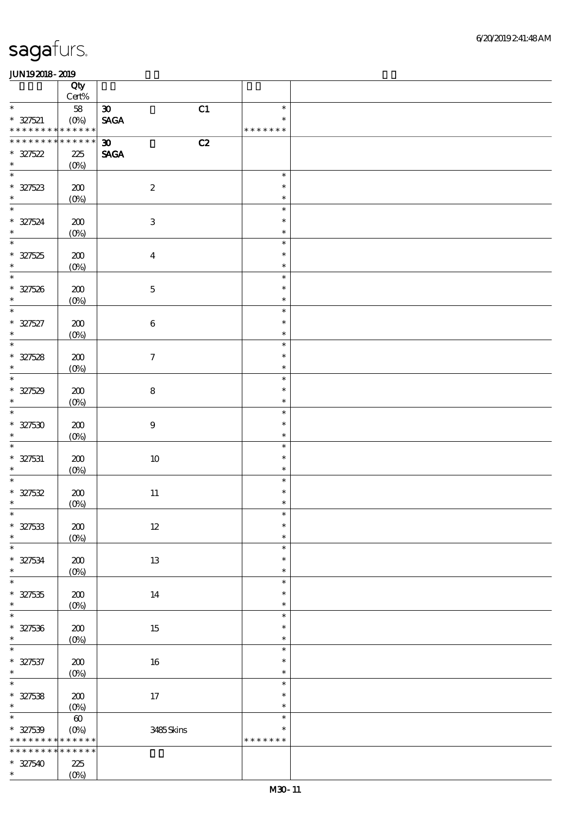|                                            | Qty<br>Cert%            |                                   |               |  |
|--------------------------------------------|-------------------------|-----------------------------------|---------------|--|
| $\ast$                                     | 58                      | C1<br>$\boldsymbol{\mathfrak{D}}$ | $\ast$        |  |
| $* 327521$                                 | $(0\%)$                 | $\ensuremath{\mathsf{SAGA}}$      | $\ast$        |  |
| * * * * * * * * <mark>* * * * * *</mark> * |                         |                                   | * * * * * * * |  |
| * * * * * * * *                            | * * * * * *             | C2<br>$\boldsymbol{\mathfrak{D}}$ |               |  |
| $* 327522$                                 | 225                     | <b>SAGA</b>                       |               |  |
| $\ast$                                     | $(0\%)$                 |                                   |               |  |
| $\overline{\ast}$                          |                         |                                   | $\ast$        |  |
| $* 327523$                                 | 200                     | $\boldsymbol{2}$                  | $\ast$        |  |
| $\ast$                                     | $(0\%)$                 |                                   | $\ast$        |  |
| $\ast$                                     |                         |                                   | $\ast$        |  |
| $* 327524$                                 | $200$                   | $\ensuremath{\mathbf{3}}$         | $\ast$        |  |
| $\ast$                                     | $(0\%)$                 |                                   | $\ast$        |  |
| $\overline{\phantom{0}}$                   |                         |                                   | $\ast$        |  |
| $* 327525$                                 |                         |                                   | $\ast$        |  |
| $\ast$                                     | $200\,$                 | $\boldsymbol{4}$                  | $\ast$        |  |
| $\overline{\phantom{0}}$                   | $(0\%)$                 |                                   | $\ast$        |  |
|                                            |                         |                                   |               |  |
| $* 327526$                                 | 200                     | $\mathbf 5$                       | $\ast$        |  |
| $\ast$                                     | $(0\%)$                 |                                   | $\ast$        |  |
| $\ast$                                     |                         |                                   | $\ast$        |  |
| $* 327527$                                 | 200                     | $\,6\,$                           | $\ast$        |  |
| $\ast$                                     | $(0\%)$                 |                                   | $\ast$        |  |
| $\overline{\ast}$                          |                         |                                   | $\ast$        |  |
| $* 327528$                                 | $200\,$                 | $\boldsymbol{7}$                  | $\ast$        |  |
| $\ast$                                     | $(0\%)$                 |                                   | $\ast$        |  |
| $\overline{\phantom{0}}$                   |                         |                                   | $\ast$        |  |
| $* 327529$                                 | 200                     | $\bf 8$                           | $\ast$        |  |
| $\ast$                                     | $(0\%)$                 |                                   | $\ast$        |  |
| $\ast$                                     |                         |                                   | $\ast$        |  |
| $* 327530$                                 | 200                     | $\boldsymbol{9}$                  | $\ast$        |  |
| $\ast$                                     | $(0\%)$                 |                                   | $\ast$        |  |
| $\ast$                                     |                         |                                   | $\ast$        |  |
| $* 327531$                                 | 200                     | $10\,$                            | $\ast$        |  |
| $\ast$                                     | $(0\%)$                 |                                   | $\ast$        |  |
| $\ast$                                     |                         |                                   | $\ast$        |  |
|                                            |                         |                                   | $\ast$        |  |
| $* 327532$<br>$\ast$                       | 200                     | $11\,$                            | $\ast$        |  |
| $\ast$                                     | (0%)                    |                                   | $\ast$        |  |
|                                            |                         |                                   |               |  |
| $* 327533$                                 | $\pmb{30}$              | $12\,$                            | $\ast$        |  |
| $\ast$                                     | $(0\%)$                 |                                   | $\ast$        |  |
| $\ast$                                     |                         |                                   | $\ast$        |  |
| $* 327534$                                 | $200\,$                 | 13                                | $\ast$        |  |
| $\ast$                                     | $(0\%)$                 |                                   | $\ast$        |  |
| $\ast$                                     |                         |                                   | $\ast$        |  |
| $* 327535$                                 | 200                     | 14                                | $\ast$        |  |
| $\ast$                                     | $(0\%)$                 |                                   | $\ast$        |  |
| $\ast$                                     |                         |                                   | $\ast$        |  |
| $* 327536$                                 | $\pmb{30}$              | $15\,$                            | $\ast$        |  |
| $\ast$                                     | $(0\%)$                 |                                   | $\ast$        |  |
| $\ast$                                     |                         |                                   | $\ast$        |  |
| $* 327537$                                 | $\pmb{30}$              | $16\,$                            | $\ast$        |  |
| $\ast$                                     | $(0\%)$                 |                                   | $\ast$        |  |
| $\overline{\ast}$                          |                         |                                   | $\ast$        |  |
| $* 327538$                                 | 200                     | $17\,$                            | $\ast$        |  |
| $\ast$                                     | (0%)                    |                                   | $\ast$        |  |
| $\ast$                                     | $\boldsymbol{\omega}$   |                                   | $\ast$        |  |
| $* 327539$                                 | $(O\!\!\!\!\!\!/\,\!o)$ | 3485Skins                         | $\ast$        |  |
| * * * * * * * *                            | * * * * * *             |                                   | * * * * * * * |  |
| * * * * * * *                              | * * * * * *             |                                   |               |  |
| $* 327540$                                 | 225                     |                                   |               |  |
| $\ast$                                     |                         |                                   |               |  |
|                                            | $(O\%)$                 |                                   |               |  |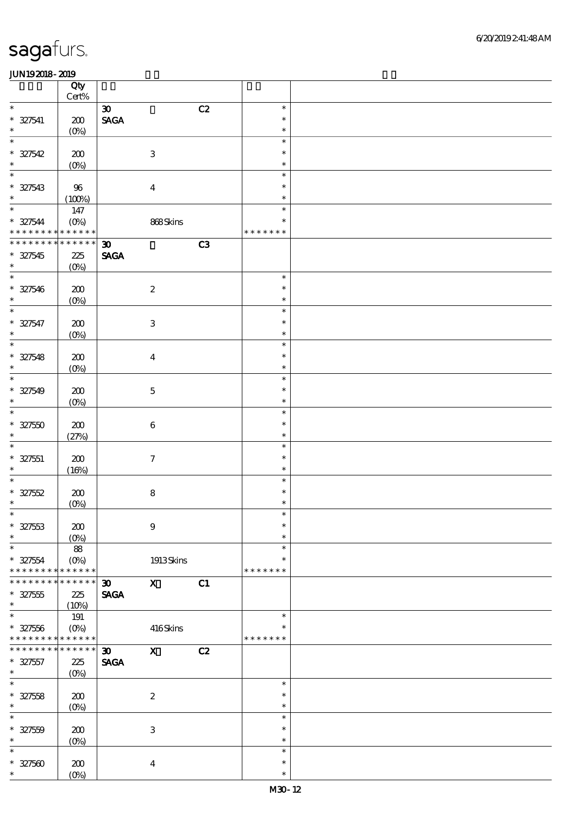|                                           | Qty            |                              |                           |                |                         |  |
|-------------------------------------------|----------------|------------------------------|---------------------------|----------------|-------------------------|--|
| $\ast$                                    | $Cert\%$       | $\boldsymbol{\mathfrak{D}}$  |                           | C2             | $\ast$                  |  |
| $* 327541$                                | 200            | $\ensuremath{\mathsf{SAGA}}$ |                           |                | $\ast$                  |  |
| $\ast$                                    | $(0\%)$        |                              |                           |                | $\ast$                  |  |
| $\ast$                                    |                |                              |                           |                | $\ast$                  |  |
| $* 327542$<br>$\ast$                      | 200            |                              | $\ensuremath{\mathbf{3}}$ |                | $\ast$<br>$\ast$        |  |
| $\ast$                                    | $(0\%)$        |                              |                           |                | $\ast$                  |  |
| $* 327543$                                | $96\,$         |                              | $\boldsymbol{4}$          |                | $\ast$                  |  |
| $\ast$                                    | (100%)         |                              |                           |                | $\ast$                  |  |
| $\ast$                                    | $147\,$        |                              |                           |                | $\ast$                  |  |
| $* 327544$<br>* * * * * * * * * * * * * * | $(O\%)$        |                              | 868Skins                  |                | $\ast$<br>* * * * * * * |  |
| * * * * * * * *                           | * * * * * *    | $\boldsymbol{\mathfrak{D}}$  |                           | C <sub>3</sub> |                         |  |
| $* 327545$                                | $225\,$        | <b>SAGA</b>                  |                           |                |                         |  |
| $\ast$                                    | $(0\%)$        |                              |                           |                |                         |  |
| $\ast$                                    |                |                              |                           |                | $\ast$                  |  |
| $* 327546$<br>$\ast$                      | 200<br>$(0\%)$ |                              | $\boldsymbol{2}$          |                | $\ast$<br>$\ast$        |  |
| $\ast$                                    |                |                              |                           |                | $\ast$                  |  |
| $* 327547$                                | 200            |                              | $\ensuremath{\mathbf{3}}$ |                | $\ast$                  |  |
| $\ast$                                    | $(0\%)$        |                              |                           |                | $\ast$                  |  |
| $\ast$                                    |                |                              |                           |                | $\ast$                  |  |
| $* 327548$<br>$\ast$                      | 200<br>$(0\%)$ |                              | $\boldsymbol{4}$          |                | $\ast$<br>$\ast$        |  |
| $\ast$                                    |                |                              |                           |                | $\ast$                  |  |
| $* 327549$                                | 200            |                              | $\mathbf 5$               |                | $\ast$                  |  |
| $\ast$                                    | $(0\%)$        |                              |                           |                | $\ast$                  |  |
| $\ast$                                    |                |                              |                           |                | $\ast$<br>$\ast$        |  |
| $* 32750$<br>$\ast$                       | 200<br>(27%)   |                              | $\boldsymbol{6}$          |                | $\ast$                  |  |
| $\ast$                                    |                |                              |                           |                | $\ast$                  |  |
| $* 327551$                                | 200            |                              | $\boldsymbol{7}$          |                | $\ast$                  |  |
| $\ast$<br>$\ast$                          | (16%)          |                              |                           |                | $\ast$                  |  |
| $* 327552$                                | 200            |                              | $\bf 8$                   |                | $\ast$<br>$\ast$        |  |
| $\ast$                                    | (0%)           |                              |                           |                | $\ast$                  |  |
| $*$                                       |                |                              |                           |                | $\ast$                  |  |
| $* 327553$                                | 200            |                              | $\boldsymbol{9}$          |                | $\ast$                  |  |
| $\ast$<br>$\ast$                          | $(O\%)$        |                              |                           |                | $\ast$<br>$\ast$        |  |
| $* 327554$                                | 88<br>$(O\%)$  |                              | $1913$ Skins              |                | $\ast$                  |  |
| * * * * * * * *                           | * * * * * *    |                              |                           |                | * * * * * * *           |  |
| * * * * * * *                             | * * * * * *    | $\boldsymbol{\mathfrak{D}}$  | $\mathbf{x}$              | C1             |                         |  |
| $* 327555$                                | 225            | <b>SAGA</b>                  |                           |                |                         |  |
| $\ast$<br>$\ast$                          | (10%)<br>191   |                              |                           |                | $\ast$                  |  |
| $* 327556$                                | $(O\%)$        |                              | 416Skins                  |                | $\ast$                  |  |
| * * * * * * * * * * * * * *               |                |                              |                           |                | * * * * * * *           |  |
| * * * * * * *                             | * * * * * *    | $\boldsymbol{\mathfrak{D}}$  | $\mathbf{X}$              | C2             |                         |  |
| $* 327557$<br>$\ast$                      | 225            | <b>SAGA</b>                  |                           |                |                         |  |
| $\ast$                                    | $(O\%)$        |                              |                           |                | $\ast$                  |  |
| $* 327558$                                | 200            |                              | $\boldsymbol{2}$          |                | $\ast$                  |  |
| $\ast$                                    | (0%)           |                              |                           |                | $\ast$                  |  |
| $\ast$                                    |                |                              |                           |                | $\ast$                  |  |
| $* 327559$<br>$\ast$                      | 200            |                              | $\ensuremath{\mathbf{3}}$ |                | $\ast$<br>$\ast$        |  |
| $\ast$                                    | $(0\%)$        |                              |                           |                | $\ast$                  |  |
| $* 327500$                                | 200            |                              | $\boldsymbol{4}$          |                | $\ast$                  |  |
| $\ast$                                    | $(0\%)$        |                              |                           |                | $\ast$                  |  |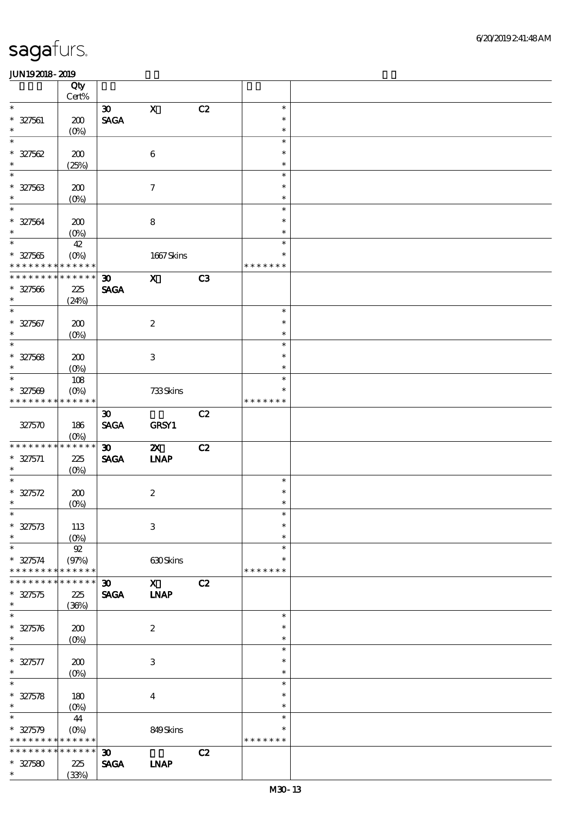|                          | Qty<br>Cert%                    |                                |                           |    |               |  |
|--------------------------|---------------------------------|--------------------------------|---------------------------|----|---------------|--|
|                          |                                 |                                |                           |    |               |  |
| $\ast$                   |                                 | $\boldsymbol{\mathfrak{D}}$    | $\mathbf X$               | C2 | $\ast$        |  |
| $* 327561$               | 200                             | <b>SAGA</b>                    |                           |    | $\ast$        |  |
| $\ast$                   | $(O\!/\!\!\delta)$              |                                |                           |    | $\ast$        |  |
| $\ast$                   |                                 |                                |                           |    | $\ast$        |  |
| $* 327562$               | 200                             |                                | $\bf 6$                   |    | $\ast$        |  |
| $\ast$                   |                                 |                                |                           |    | $\ast$        |  |
|                          | (25%)                           |                                |                           |    |               |  |
| $\ast$                   |                                 |                                |                           |    | $\ast$        |  |
| $* 327563$               | 200                             |                                | $\tau$                    |    | $\ast$        |  |
| $\ast$                   | $(0\%)$                         |                                |                           |    | $\ast$        |  |
| $\ast$                   |                                 |                                |                           |    | $\ast$        |  |
| $* 327564$               | 200                             |                                | 8                         |    | $\ast$        |  |
| $\ast$                   | $(O\%)$                         |                                |                           |    | $\ast$        |  |
| $\overline{\phantom{1}}$ |                                 |                                |                           |    | $\ast$        |  |
|                          | 42                              |                                |                           |    |               |  |
| $* 327565$               | $(O\%)$                         |                                | $1667$ Skins              |    | $\ast$        |  |
| * * * * * * * *          | * * * * * *                     |                                |                           |    | * * * * * * * |  |
| * * * * * * *            | * * * * * *                     | $\boldsymbol{\mathfrak{D}}$    | $\mathbf{X}$              | C3 |               |  |
| $* 327566$               | 225                             | <b>SAGA</b>                    |                           |    |               |  |
| $\ast$                   | (24%)                           |                                |                           |    |               |  |
| $\ast$                   |                                 |                                |                           |    | $\ast$        |  |
|                          |                                 |                                |                           |    |               |  |
| $* 327567$               | 200                             |                                | $\boldsymbol{z}$          |    | $\ast$        |  |
| $\ast$                   | $(O\!/\!o)$                     |                                |                           |    | $\ast$        |  |
| $\overline{\ast}$        |                                 |                                |                           |    | $\ast$        |  |
| $* 327568$               | 200                             |                                | $\,3\,$                   |    | $\ast$        |  |
| $\ast$                   | $(O\%)$                         |                                |                           |    | $\ast$        |  |
| $\ast$                   | 108                             |                                |                           |    | $\ast$        |  |
|                          |                                 |                                |                           |    | *             |  |
| $* 327569$               | $(O\%)$                         |                                | 733Skins                  |    |               |  |
| ********                 | * * * * * *                     |                                |                           |    | * * * * * * * |  |
|                          |                                 | $\boldsymbol{\mathfrak{D}}$    |                           | C2 |               |  |
| 327570                   | 186                             | <b>SAGA</b>                    | <b>GRSY1</b>              |    |               |  |
|                          | $(O\%)$                         |                                |                           |    |               |  |
| * * * * * * * *          | * * * * * *                     | $\boldsymbol{\mathfrak{D}}$    | $\boldsymbol{\alpha}$     | C2 |               |  |
| $* 327571$               |                                 |                                |                           |    |               |  |
| $\ast$                   | 225                             | $\operatorname{\mathbf{SAGA}}$ | <b>INAP</b>               |    |               |  |
|                          | $(O\%)$                         |                                |                           |    |               |  |
| $\ast$                   |                                 |                                |                           |    | $\ast$        |  |
| $* 327572$               | 200                             |                                | $\boldsymbol{2}$          |    | $\ast$        |  |
| $\ast$                   | $(0\%)$                         |                                |                           |    | $\ast$        |  |
| $\ast$                   |                                 |                                |                           |    | $\ast$        |  |
| $* 327573$               | 113                             |                                | $\,3$                     |    | $\ast$        |  |
| $\ast$                   | $(0\%)$                         |                                |                           |    | $\ast$        |  |
| $\ast$                   | 92                              |                                |                           |    | $\ast$        |  |
|                          |                                 |                                |                           |    |               |  |
| $* 327574$               | (97%)                           |                                | 630Skins                  |    | $\ast$        |  |
| * * * * * * *            | * * * * * *                     |                                |                           |    | * * * * * * * |  |
| * * * * * * *            | * * * * * *                     | $\boldsymbol{\mathfrak{D}}$    | $\mathbf x$               | C2 |               |  |
| $* 327575$               | 225                             | <b>SAGA</b>                    | <b>INAP</b>               |    |               |  |
| $\ast$                   | (36%)                           |                                |                           |    |               |  |
| $\ast$                   |                                 |                                |                           |    | $\ast$        |  |
| $* 327576$               | 200                             |                                | $\boldsymbol{2}$          |    | $\ast$        |  |
| $\ast$                   |                                 |                                |                           |    | $\ast$        |  |
| $\ast$                   | $(0\%)$                         |                                |                           |    |               |  |
|                          |                                 |                                |                           |    | $\ast$        |  |
| $* 327577$               | 200                             |                                | $\ensuremath{\mathsf{3}}$ |    | $\ast$        |  |
| $\ast$                   | $(0\%)$                         |                                |                           |    | $\ast$        |  |
| $\ast$                   |                                 |                                |                           |    | $\ast$        |  |
| $* 327578$               | 180                             |                                | $\bf{4}$                  |    | $\ast$        |  |
| $\ast$                   | $(0\%)$                         |                                |                           |    | $\ast$        |  |
| $\ast$                   |                                 |                                |                           |    | $\ast$        |  |
|                          | 44                              |                                |                           |    |               |  |
| $* 327579$               | $(O\!\!\!\!\!\!\backslash\rho)$ |                                | 849Skins                  |    | $\ast$        |  |
| * * * * * * * *          | * * * * * *                     |                                |                           |    | * * * * * * * |  |
| * * * * * * *            | * * * * * *                     | $\boldsymbol{\mathfrak{D}}$    |                           | C2 |               |  |
| $* 327580$               | 225                             | <b>SAGA</b>                    | <b>INAP</b>               |    |               |  |
|                          |                                 |                                |                           |    |               |  |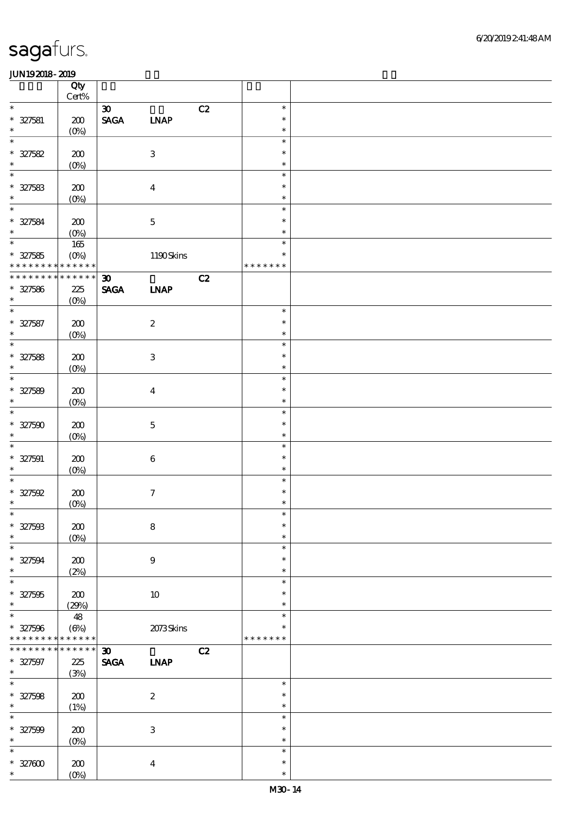|                                          | Qty<br>$Cert\%$ |                              |                           |    |               |  |
|------------------------------------------|-----------------|------------------------------|---------------------------|----|---------------|--|
| $\ast$                                   |                 |                              |                           |    | $\ast$        |  |
|                                          |                 | $\boldsymbol{\mathfrak{D}}$  |                           | C2 |               |  |
| $* 327581$                               | 200             | $\ensuremath{\mathsf{SAGA}}$ | <b>LNAP</b>               |    | $\ast$        |  |
| $\ast$                                   | $(0\%)$         |                              |                           |    | $\ast$        |  |
| $\ast$                                   |                 |                              |                           |    | $\ast$        |  |
| $* 327582$                               | 200             |                              | $\ensuremath{\mathbf{3}}$ |    | $\ast$        |  |
| $\ast$                                   | $(0\%)$         |                              |                           |    | $\ast$        |  |
| $\ast$                                   |                 |                              |                           |    | $\ast$        |  |
|                                          |                 |                              |                           |    | $\ast$        |  |
| $* 327583$                               | 200             |                              | $\boldsymbol{4}$          |    |               |  |
| $\ast$                                   | $(0\%)$         |                              |                           |    | $\ast$        |  |
| $\ast$                                   |                 |                              |                           |    | $\ast$        |  |
| $* 327584$                               | 200             |                              | $\mathbf 5$               |    | $\ast$        |  |
| $\ast$                                   | $(0\%)$         |                              |                           |    | $\ast$        |  |
| $\overline{\ast}$                        | $165\,$         |                              |                           |    | $\ast$        |  |
|                                          |                 |                              |                           |    | $\ast$        |  |
| $* 327585$                               | $(O\%)$         |                              | 1190Skins                 |    |               |  |
| * * * * * * * *                          | $******$        |                              |                           |    | * * * * * * * |  |
| * * * * * * * * * * * * * *              |                 | $\boldsymbol{\mathfrak{D}}$  |                           | C2 |               |  |
| $* 327586$                               | $225\,$         | $\ensuremath{\mathsf{SAGA}}$ | <b>INAP</b>               |    |               |  |
| $\ast$                                   | $(O\%)$         |                              |                           |    |               |  |
| $\ast$                                   |                 |                              |                           |    | $\ast$        |  |
| $* 327587$                               | 200             |                              | $\boldsymbol{2}$          |    | $\ast$        |  |
| $\ast$                                   |                 |                              |                           |    | $\ast$        |  |
| $\overline{\ast}$                        | $(0\%)$         |                              |                           |    | $\ast$        |  |
|                                          |                 |                              |                           |    |               |  |
| $* 327588$                               | 200             |                              | $\ensuremath{\mathbf{3}}$ |    | $\ast$        |  |
| $\ast$                                   | $(0\%)$         |                              |                           |    | $\ast$        |  |
| $\ast$                                   |                 |                              |                           |    | $\ast$        |  |
| $* 327589$                               | 200             |                              | $\boldsymbol{4}$          |    | $\ast$        |  |
| $\ast$                                   | $(0\%)$         |                              |                           |    | $\ast$        |  |
| $\ast$                                   |                 |                              |                           |    | $\ast$        |  |
|                                          |                 |                              |                           |    | $\ast$        |  |
| $* 327500$                               | 200             |                              | $\mathbf 5$               |    |               |  |
| $\ast$                                   | $(0\%)$         |                              |                           |    | $\ast$        |  |
| $\ast$                                   |                 |                              |                           |    | $\ast$        |  |
| $* 327591$                               | 200             |                              | $\,6\,$                   |    | $\ast$        |  |
| $\ast$                                   | $(0\%)$         |                              |                           |    | $\ast$        |  |
| $\ast$                                   |                 |                              |                           |    | $\ast$        |  |
| $* 327592$                               | 200             |                              | $\boldsymbol{7}$          |    | $\ast$        |  |
| $\ast$                                   |                 |                              |                           |    | $\ast$        |  |
| $\ast$                                   | $(0\%)$         |                              |                           |    | $\ast$        |  |
|                                          |                 |                              |                           |    |               |  |
| $* 327503$                               | 200             |                              | $\bf 8$                   |    | $\ast$        |  |
| $\ast$                                   | $(0\%)$         |                              |                           |    | $\ast$        |  |
| $\ast$                                   |                 |                              |                           |    | $\ast$        |  |
| $* 327594$                               | 200             |                              | 9                         |    | $\ast$        |  |
| $\ast$                                   | (2%)            |                              |                           |    | $\ast$        |  |
| $\ast$                                   |                 |                              |                           |    | $\ast$        |  |
| $* 327595$                               | 200             |                              | $10\,$                    |    | $\ast$        |  |
| $\ast$                                   |                 |                              |                           |    | $\ast$        |  |
|                                          | (29%)           |                              |                           |    |               |  |
| $\ast$                                   | 48              |                              |                           |    | $\ast$        |  |
| $* 327596$                               | (6%)            |                              | 2073Skins                 |    | $\ast$        |  |
| * * * * * * * * <mark>* * * * * *</mark> |                 |                              |                           |    | * * * * * * * |  |
| * * * * * * *                            | $******$        | $\boldsymbol{\mathfrak{D}}$  |                           | C2 |               |  |
| $* 327597$                               | 225             | <b>SAGA</b>                  | <b>INAP</b>               |    |               |  |
| $\ast$                                   | (3%)            |                              |                           |    |               |  |
| $\ast$                                   |                 |                              |                           |    | $\ast$        |  |
|                                          |                 |                              |                           |    | $\ast$        |  |
| $* 327508$                               | 200             |                              | $\boldsymbol{2}$          |    |               |  |
| $\ast$                                   | (1%)            |                              |                           |    | $\ast$        |  |
| $\ast$                                   |                 |                              |                           |    | $\ast$        |  |
| $* 327509$                               | 200             |                              | $\ensuremath{\mathbf{3}}$ |    | $\ast$        |  |
| $\ast$                                   | $(0\%)$         |                              |                           |    | $\ast$        |  |
| $\ast$                                   |                 |                              |                           |    | $\ast$        |  |
|                                          |                 |                              |                           |    | $\ast$        |  |
| $* 327000$                               | 200             |                              | $\boldsymbol{4}$          |    |               |  |
| $\ast$                                   | $(O\%)$         |                              |                           |    | $\ast$        |  |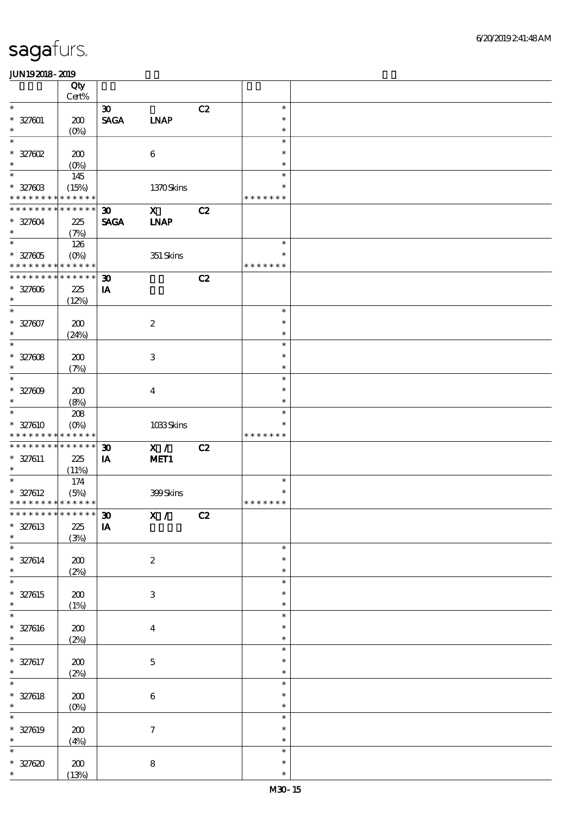|                                          | Qty<br>$Cert\%$    |                             |                           |    |               |  |
|------------------------------------------|--------------------|-----------------------------|---------------------------|----|---------------|--|
| $\ast$                                   |                    |                             |                           |    | $\ast$        |  |
|                                          |                    | $\boldsymbol{\mathfrak{D}}$ |                           | C2 |               |  |
| $* 327001$                               | 200                | $\pmb{\text{SAGA}}$         | <b>INAP</b>               |    | $\ast$        |  |
| $\ast$                                   | $(O\!/\!\!\delta)$ |                             |                           |    | $\ast$        |  |
| $\ast$                                   |                    |                             |                           |    | $\ast$        |  |
| $*$ 327602                               | 200                |                             | $\boldsymbol{6}$          |    | $\ast$        |  |
| $\ast$                                   | $(0\%)$            |                             |                           |    | $\ast$        |  |
| $\ast$                                   | 145                |                             |                           |    | $\ast$        |  |
| $* 32760B$                               | (15%)              |                             | 1370Skins                 |    | $\ast$        |  |
| * * * * * * * * <mark>* * * * * *</mark> |                    |                             |                           |    | * * * * * * * |  |
| * * * * * * * * * * * * * *              |                    | $\boldsymbol{\mathfrak{D}}$ | $\mathbf{x}$              | C2 |               |  |
|                                          |                    |                             | <b>INAP</b>               |    |               |  |
| $* 327004$<br>$\ast$                     | 225                | <b>SAGA</b>                 |                           |    |               |  |
| $\ast$                                   | (7%)               |                             |                           |    |               |  |
|                                          | 126                |                             |                           |    | $\ast$        |  |
| $* 327005$                               | $(O\%)$            |                             | 351 Skins                 |    | $\ast$        |  |
| * * * * * * * * * * * * * *              |                    |                             |                           |    | * * * * * * * |  |
| * * * * * * * * * * * * * *              |                    | $\boldsymbol{\mathfrak{D}}$ |                           | C2 |               |  |
| $* 327006$                               | 225                | IA                          |                           |    |               |  |
| $\ast$                                   | (12%)              |                             |                           |    |               |  |
| $\ast$                                   |                    |                             |                           |    | $\ast$        |  |
| $* 327607$                               | 200                |                             | $\boldsymbol{2}$          |    | $\ast$        |  |
| $\ast$                                   |                    |                             |                           |    | $\ast$        |  |
| $\ast$                                   | (24%)              |                             |                           |    | $\ast$        |  |
|                                          |                    |                             |                           |    |               |  |
| $* 327008$                               | 200                |                             | $\,3$                     |    | $\ast$        |  |
| $\ast$                                   | (7%)               |                             |                           |    | $\ast$        |  |
| $\ast$                                   |                    |                             |                           |    | $\ast$        |  |
| $* 327009$                               | 200                |                             | $\bf{4}$                  |    | $\ast$        |  |
| $\ast$                                   | (8%)               |                             |                           |    | $\ast$        |  |
| $\ast$                                   | 208                |                             |                           |    | $\ast$        |  |
| * 327610                                 | $(O\%)$            |                             | 1033Skins                 |    | $\ast$        |  |
| * * * * * * * * * * * * * *              |                    |                             |                           |    | * * * * * * * |  |
| * * * * * * * * * * * * * *              |                    | $\boldsymbol{\mathfrak{D}}$ |                           | C2 |               |  |
|                                          |                    |                             | X /                       |    |               |  |
| $* 327611$                               | 225                | IA                          | MET <sub>1</sub>          |    |               |  |
| $\ast$                                   | (11%)              |                             |                           |    |               |  |
| $\ast$                                   | 174                |                             |                           |    | $\ast$        |  |
| $* 327612$                               | (5%)               |                             | 399Skins                  |    | $\ast$        |  |
| * * * * * * * * * * * * * *              |                    |                             |                           |    | * * * * * * * |  |
| <b>C</b>  ************** <b>30</b>       |                    |                             | X /                       | C2 |               |  |
| $* 327613$                               | 225                | $\mathbf{I}\mathbf{A}$      |                           |    |               |  |
| $\ast$                                   | (3%)               |                             |                           |    |               |  |
| $\ast$                                   |                    |                             |                           |    | $\ast$        |  |
| $* 327614$                               | 200                |                             | $\boldsymbol{2}$          |    | $\ast$        |  |
| $\ast$                                   | (2%)               |                             |                           |    | $\ast$        |  |
| $\ast$                                   |                    |                             |                           |    | $\ast$        |  |
| $* 327615$                               | 200                |                             | $\ensuremath{\mathsf{3}}$ |    | $\ast$        |  |
| $\ast$                                   |                    |                             |                           |    | $\ast$        |  |
| $\ast$                                   | (1%)               |                             |                           |    |               |  |
|                                          |                    |                             |                           |    | $\ast$        |  |
| $* 327616$                               | 200                |                             | $\bf{4}$                  |    | $\ast$        |  |
| $\ast$                                   | (2%)               |                             |                           |    | $\ast$        |  |
|                                          |                    |                             |                           |    | $\ast$        |  |
| $* 327617$                               | 200                |                             | $\mathbf 5$               |    | $\ast$        |  |
| $\ast$                                   | (2%)               |                             |                           |    | $\ast$        |  |
| $\ast$                                   |                    |                             |                           |    | $\ast$        |  |
| $* 327618$                               | 200                |                             | $\,6\,$                   |    | $\ast$        |  |
| $\ast$                                   | $(0\%)$            |                             |                           |    | $\ast$        |  |
| $\ast$                                   |                    |                             |                           |    | $\ast$        |  |
|                                          |                    |                             |                           |    |               |  |
| $* 327619$                               | 200                |                             | $\boldsymbol{7}$          |    | $\ast$        |  |
| $\ast$                                   | (4%)               |                             |                           |    | $\ast$        |  |
| $\ast$                                   |                    |                             |                           |    | $\ast$        |  |
| $* 327620$                               | 200                |                             | $\bf 8$                   |    | $\ast$        |  |
|                                          | (13%)              |                             |                           |    | $\ast$        |  |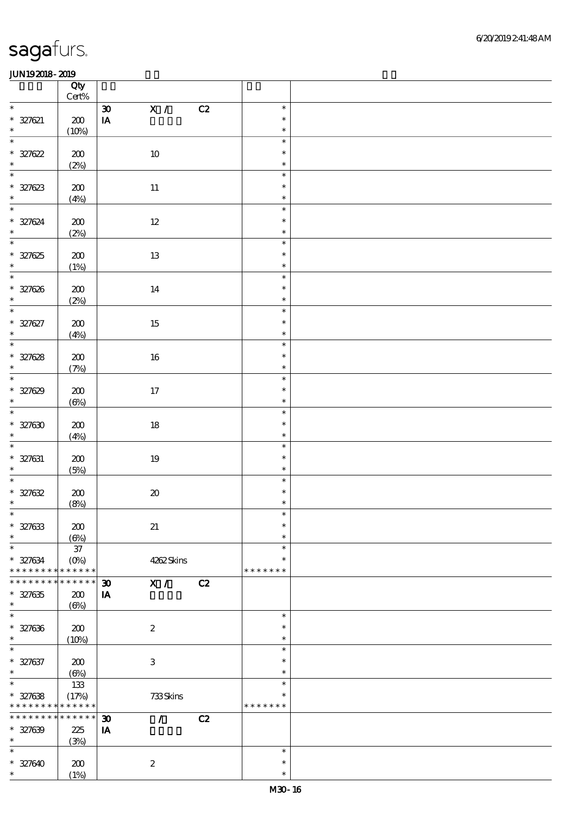|                                    | Qty                  |                             |                  |    |                  |  |
|------------------------------------|----------------------|-----------------------------|------------------|----|------------------|--|
| $\ast$                             | $\mbox{Cert}\%$      |                             |                  |    | $\ast$           |  |
|                                    |                      | $\pmb{\mathfrak{B}}$        | $\mathbf{X}$ /   | C2 | $\ast$           |  |
| $* 327621$<br>$\ast$               | 200                  | $\mathbf{I} \mathbf{A}$     |                  |    | $\ast$           |  |
| $\ast$                             | (10%)                |                             |                  |    | $\ast$           |  |
|                                    |                      |                             |                  |    | $\ast$           |  |
| $* 327622$<br>$\ast$               | 200                  |                             | $10\,$           |    | $\ast$           |  |
| $\ast$                             | (2%)                 |                             |                  |    | $\ast$           |  |
|                                    |                      |                             |                  |    |                  |  |
| * 327623                           | $200$                |                             | $11\,$           |    | $\ast$           |  |
| $\overline{\ast}$                  | (4%)                 |                             |                  |    | $\ast$           |  |
|                                    |                      |                             |                  |    | $\ast$           |  |
| * 327624                           | 200                  |                             | $12\,$           |    | $\ast$           |  |
| $\overline{\ast}$                  | (2%)                 |                             |                  |    | $\ast$           |  |
|                                    |                      |                             |                  |    | $\ast$           |  |
| $* 327625$                         | $200$                |                             | 13               |    | $\ast$           |  |
| $\overline{\phantom{0}}$           | (1%)                 |                             |                  |    | $\ast$           |  |
|                                    |                      |                             |                  |    | $\ast$           |  |
| $* 327626$                         | ${\bf Z0}$           |                             | $14\,$           |    | $\ast$           |  |
| $\ast$<br>$\overline{\ast}$        | (2%)                 |                             |                  |    | $\ast$           |  |
|                                    |                      |                             |                  |    | $\ast$           |  |
| $* 327627$                         | 200                  |                             | 15               |    | $\ast$           |  |
| $\ast$<br>$\overline{\phantom{0}}$ | (4%)                 |                             |                  |    | $\ast$           |  |
|                                    |                      |                             |                  |    | $\ast$           |  |
| $* 327628$                         | ${\bf Z0}$           |                             | $16\,$           |    | $\ast$           |  |
| $\ast$<br>$\overline{\phantom{0}}$ | (7%)                 |                             |                  |    | $\ast$           |  |
|                                    |                      |                             |                  |    | $\ast$           |  |
| $* 327629$                         | ${\bf Z0}$           |                             | 17               |    | $\ast$           |  |
| $\ast$<br>$\overline{\ast}$        | $(\Theta)$           |                             |                  |    | $\ast$           |  |
|                                    |                      |                             |                  |    | $\ast$           |  |
| $* 327630$                         | 200                  |                             | 18               |    | $\ast$           |  |
| $\ast$                             | (4%)                 |                             |                  |    | $\ast$           |  |
| $\ast$                             |                      |                             |                  |    | $\ast$           |  |
| $* 327631$                         | 200                  |                             | $19\,$           |    | $\ast$           |  |
| $\ast$                             | (5%)                 |                             |                  |    | $\ast$           |  |
| $\ast$                             |                      |                             |                  |    | $\ast$           |  |
| $* 327632$                         | ${\bf Z0}$           |                             | ${\bf 20}$       |    | $\ast$           |  |
| $\ast$<br>$\ast$                   | (8%)                 |                             |                  |    | $\ast$<br>$\ast$ |  |
|                                    |                      |                             |                  |    |                  |  |
| $* 327633$                         | 200                  |                             | 21               |    | $\ast$           |  |
| $\ast$                             | (6%)                 |                             |                  |    | $\ast$           |  |
| $\ast$                             | $37\,$               |                             |                  |    | $\ast$           |  |
| $* 327634$                         | $(O\%)$              |                             | 4262Skins        |    | $\ast$           |  |
| * * * * * * * *                    | * * * * * *          |                             |                  |    | * * * * * * *    |  |
| * * * * * * *                      | * * * * * *          | $\boldsymbol{\mathfrak{D}}$ | X /              | C2 |                  |  |
| $* 327635$<br>$\ast$               | 200                  | ${\bf I} {\bf A}$           |                  |    |                  |  |
| $\ast$                             | $(\Theta)$           |                             |                  |    | $\ast$           |  |
|                                    |                      |                             |                  |    |                  |  |
| $* 327636$<br>$\ast$               | 200                  |                             | $\boldsymbol{2}$ |    | $\ast$           |  |
| $\ast$                             | (10%)                |                             |                  |    | $\ast$<br>$\ast$ |  |
|                                    |                      |                             |                  |    | $\ast$           |  |
| $* 327637$<br>$\ast$               | 200                  |                             | $\,3$            |    | $\ast$           |  |
| $\ast$                             | $(\Theta)$           |                             |                  |    | $\ast$           |  |
|                                    | 133                  |                             |                  |    | $\ast$           |  |
| $* 327638$                         | (17%)<br>* * * * * * |                             | 733Skins         |    | * * * * * * *    |  |
| * * * * * * * *<br>* * * * * * *   | * * * * * *          |                             | $\mathcal{L}$    |    |                  |  |
|                                    |                      | $\boldsymbol{\mathfrak{D}}$ |                  | C2 |                  |  |
| $* 327639$<br>$\ast$               | 225                  | IA                          |                  |    |                  |  |
| $\ast$                             | (3%)                 |                             |                  |    | $\ast$           |  |
|                                    |                      |                             |                  |    | $\ast$           |  |
| $* 327640$<br>$\ast$               | 200                  |                             | $\boldsymbol{2}$ |    | $\ast$           |  |
|                                    | (1%)                 |                             |                  |    |                  |  |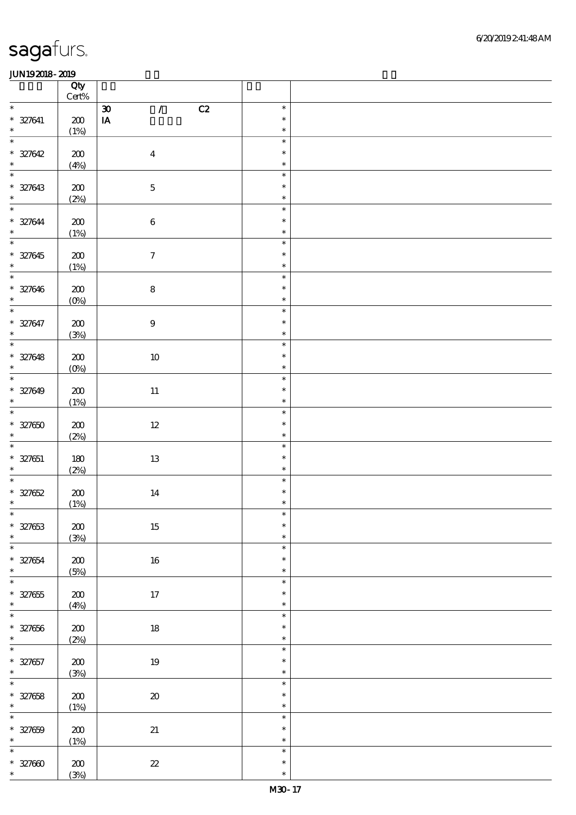|                                           | Qty<br>$\mbox{Cert}\%$ |                                             |                            |  |
|-------------------------------------------|------------------------|---------------------------------------------|----------------------------|--|
| $\ast$                                    |                        | $\mathcal{L}$<br>C2<br>$\pmb{\mathfrak{D}}$ | $\ast$                     |  |
| $* 327641$<br>$\ast$                      | $200\,$                | $\mathbf{I}\mathbf{A}$                      | $\ast$                     |  |
|                                           | (1%)                   |                                             | $\ast$                     |  |
| $\overline{\ast}$<br>$* 327642$<br>$\ast$ | $200\,$                | $\boldsymbol{4}$                            | $\ast$<br>$\ast$           |  |
|                                           | (4%)                   |                                             | $\ast$                     |  |
| $\overline{\ast}$<br>$* 327643$<br>$\ast$ | $200\,$<br>(2%)        | $\mathbf 5$                                 | $\ast$<br>$\ast$<br>$\ast$ |  |
| $\overline{\ast}$                         |                        |                                             | $\ast$                     |  |
| $* 327644$<br>$\ast$                      | $200\,$<br>(1%)        | $\,6\,$                                     | $\ast$<br>$\ast$           |  |
| $\overline{\phantom{0}}$                  |                        |                                             | $\ast$                     |  |
| * 327645<br>$\ast$                        | $\pmb{20}$<br>(1%)     | $\boldsymbol{7}$                            | $\ast$<br>$\ast$           |  |
| $\overline{\phantom{0}}$                  |                        |                                             | $\ast$                     |  |
| $* 327646$<br>$\ast$                      | $200\,$<br>(0%)        | $\bf 8$                                     | $\ast$<br>$\ast$           |  |
| $\overline{\ast}$                         |                        |                                             | $\ast$                     |  |
| $* 327647$<br>$\ast$                      | $200\,$<br>(3%)        | $\boldsymbol{9}$                            | $\ast$<br>$\ast$           |  |
| $\overline{\phantom{0}}$                  |                        |                                             | $\ast$                     |  |
| $* 327648$<br>$\ast$                      | $200\,$<br>(0%)        | $10\,$                                      | $\ast$<br>$\ast$           |  |
| $\overline{\ast}$                         |                        |                                             | $\ast$                     |  |
| $* 327649$<br>$\ast$                      | 200<br>(1%)            | $11\,$                                      | $\ast$<br>$\ast$           |  |
| $\ast$                                    |                        |                                             | $\ast$                     |  |
| $* 327650$<br>$\ast$                      | $\pmb{30}$<br>(2%)     | $12\,$                                      | $\ast$<br>$\ast$           |  |
| $\ast$                                    |                        |                                             | $\ast$                     |  |
| $* 327651$<br>$\ast$                      | $180$<br>(2%)          | $13\,$                                      | $\ast$<br>$\ast$           |  |
| $\ast$                                    |                        |                                             | $\ast$                     |  |
| $* 327652$<br>$\ast$                      | $200\,$<br>(1%)        | $14\,$                                      | $\ast$<br>$\ast$           |  |
| $\ast$                                    |                        |                                             | $\ast$                     |  |
| $* 327653$<br>$\ast$                      | $\pmb{30}$<br>(3%)     | $15\,$                                      | $\ast$<br>$\ast$           |  |
| $\ast$                                    |                        |                                             | $\ast$                     |  |
| $* 327654$<br>$\ast$                      | $200\,$<br>(5%)        | $16\,$                                      | $\ast$<br>$\ast$           |  |
| $\overline{\ast}$                         |                        |                                             | $\ast$                     |  |
| $* 327655$<br>$\ast$                      | $200\,$<br>(4%)        | $17\,$                                      | $\ast$<br>$\ast$           |  |
| $\ast$                                    |                        |                                             | $\ast$                     |  |
| $* 327656$<br>$\ast$                      | $200\,$<br>(2%)        | $18\,$                                      | $\ast$<br>$\ast$           |  |
| $\overline{\ast}$                         |                        |                                             | $\ast$                     |  |
| $* 327657$<br>$\ast$                      | $\pmb{30}$<br>(3%)     | $19\,$                                      | $\ast$<br>$\ast$           |  |
| $\overline{\ast}$                         |                        |                                             | $\ast$                     |  |
| $* 327658$<br>$\ast$                      | $200$<br>(1%)          | $\pmb{\mathcal{X}}$                         | $\ast$<br>$\ast$           |  |
| $\ast$                                    |                        |                                             | $\ast$                     |  |
| $* 327659$<br>$\ast$                      | $200\,$<br>(1%)        | $21\,$                                      | $\ast$<br>$\ast$           |  |
| $\ast$                                    |                        |                                             | $\ast$                     |  |
| $* 32700$                                 | $200$<br>(3%)          | $\boldsymbol{\mathcal{Z}}$                  | $\ast$<br>$\ast$           |  |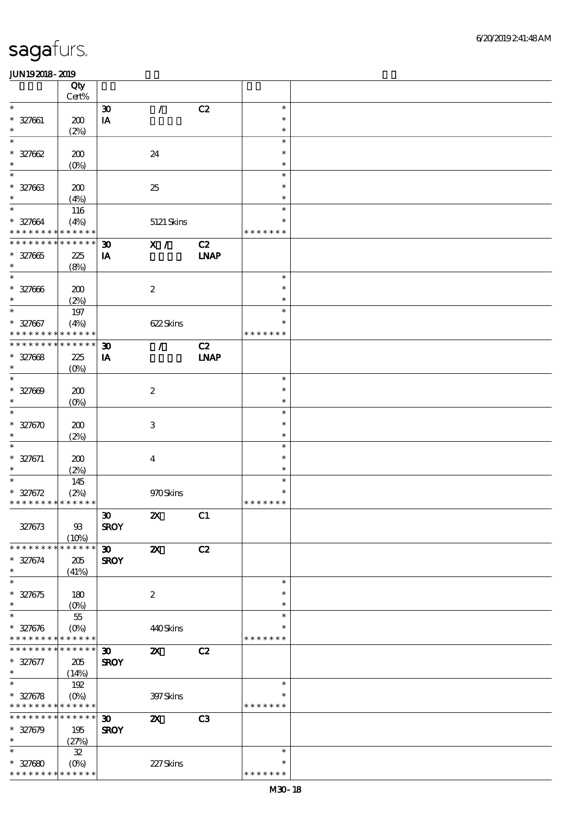|                                            | Qty               |                             |                           |                |                  |  |
|--------------------------------------------|-------------------|-----------------------------|---------------------------|----------------|------------------|--|
|                                            | $Cert\%$          |                             |                           |                |                  |  |
| $\ast$                                     |                   | $\boldsymbol{\mathfrak{D}}$ | $\mathcal{L}$             | C2             | $\ast$           |  |
| $* 327061$<br>$\ast$                       | 200               | IA                          |                           |                | $\ast$<br>$\ast$ |  |
| $\ast$                                     | (2%)              |                             |                           |                | $\ast$           |  |
| $* 327662$                                 | 200               |                             | 24                        |                | $\ast$           |  |
| $\ast$                                     | $(0\%)$           |                             |                           |                | $\ast$           |  |
| $\ast$                                     |                   |                             |                           |                | $\ast$           |  |
| $* 327663$                                 | 200               |                             | 25                        |                | $\ast$           |  |
| $\ast$                                     | (4%)              |                             |                           |                | $\ast$           |  |
| $\ast$                                     | 116               |                             |                           |                | $\ast$           |  |
| $* 327664$                                 | (4%)              |                             | 5121 Skins                |                | $\ast$           |  |
| * * * * * * * * * * * * * *                |                   |                             |                           |                | * * * * * * *    |  |
| * * * * * * * *                            | * * * * * *       | $\boldsymbol{\mathfrak{D}}$ | X /                       | C2             |                  |  |
| $* 327665$                                 | 225               | IA                          |                           | <b>INAP</b>    |                  |  |
| $\ast$                                     | (8%)              |                             |                           |                |                  |  |
| $\ast$                                     |                   |                             |                           |                | $\ast$           |  |
| $* 327006$                                 | 200               |                             | $\boldsymbol{2}$          |                | $\ast$           |  |
| $\ast$                                     | (2%)              |                             |                           |                | $\ast$           |  |
| $\ast$                                     | 197               |                             |                           |                | $\ast$           |  |
| $* 327667$                                 | (4%)              |                             | 622Skins                  |                | $\ast$           |  |
| * * * * * * * *                            | * * * * * *       |                             |                           |                | * * * * * * *    |  |
| * * * * * * *                              | * * * * * *       | $\boldsymbol{\mathfrak{D}}$ | $\mathcal{L}$             | C2             |                  |  |
| $* 327668$                                 | 225               | IA                          |                           | <b>INAP</b>    |                  |  |
| $\ast$                                     | (O <sub>0</sub> ) |                             |                           |                |                  |  |
| $\ast$                                     |                   |                             |                           |                | $\ast$           |  |
| $* 327609$                                 | 200               |                             | $\boldsymbol{2}$          |                | $\ast$           |  |
| $\ast$                                     | $(O\!/\!\delta)$  |                             |                           |                | $\ast$           |  |
| $\ast$                                     |                   |                             |                           |                | $\ast$           |  |
| $* 327670$                                 | 200               |                             | 3                         |                | $\ast$           |  |
| $\ast$                                     | (2%)              |                             |                           |                | $\ast$           |  |
| $\ast$                                     |                   |                             |                           |                | $\ast$           |  |
| $* 327671$<br>$\ast$                       | 200               |                             | $\boldsymbol{4}$          |                | $\ast$<br>$\ast$ |  |
| $\ast$                                     | (2%)              |                             |                           |                | $\ast$           |  |
| $* 327672$                                 | 145<br>(2%)       |                             | 970Skins                  |                | $\ast$           |  |
| * * * * * * * * * * * * * *                |                   |                             |                           |                | * * * * * * *    |  |
|                                            |                   | $\boldsymbol{\mathfrak{D}}$ | $\boldsymbol{\mathsf{X}}$ | C1             |                  |  |
| 327673                                     | $93$              | <b>SROY</b>                 |                           |                |                  |  |
|                                            | (10%)             |                             |                           |                |                  |  |
| * * * * * * * *                            | * * * * * *       | $\boldsymbol{\mathfrak{D}}$ | $\boldsymbol{\mathsf{X}}$ | C2             |                  |  |
| $* 327674$                                 | 205               | <b>SROY</b>                 |                           |                |                  |  |
| $\ast$                                     | (41%)             |                             |                           |                |                  |  |
| $\ast$                                     |                   |                             |                           |                | $\ast$           |  |
| $* 327675$                                 | 180               |                             | $\boldsymbol{2}$          |                | $\ast$           |  |
| $\ast$                                     | $(O\%)$           |                             |                           |                | $\ast$           |  |
| $\ast$                                     | $5\!$             |                             |                           |                | $\ast$           |  |
| $* 327676$                                 | $(O\%)$           |                             | 440Skins                  |                | ∗                |  |
| * * * * * * * * * * * * * *                |                   |                             |                           |                | * * * * * * *    |  |
| * * * * * * * * <mark>* * * * * * *</mark> |                   | $\boldsymbol{\mathfrak{D}}$ | $\boldsymbol{\mathsf{X}}$ | C2             |                  |  |
| $* 327677$                                 | 205               | <b>SROY</b>                 |                           |                |                  |  |
| $\ast$                                     | (14%)             |                             |                           |                |                  |  |
| $\ast$                                     | 192               |                             |                           |                | $\ast$           |  |
| $* 327678$                                 | $(O\%)$           |                             | 397Skins                  |                | $\ast$           |  |
| * * * * * * * * * * * * * *                |                   |                             |                           |                | * * * * * * *    |  |
| * * * * * * * * * * * * * *                |                   | $\boldsymbol{\mathfrak{D}}$ | $\boldsymbol{\mathsf{z}}$ | C <sub>3</sub> |                  |  |
| $* 327679$                                 | 195               | <b>SROY</b>                 |                           |                |                  |  |
| $\ast$                                     | (27%)             |                             |                           |                |                  |  |
| $\ast$                                     | ${\bf 3\!}$       |                             |                           |                | $\ast$           |  |
| $* 327680$                                 | $(0\%)$           |                             | 227Skins                  |                | $\ast$           |  |
| * * * * * * * * * * * * * *                |                   |                             |                           |                | * * * * * * *    |  |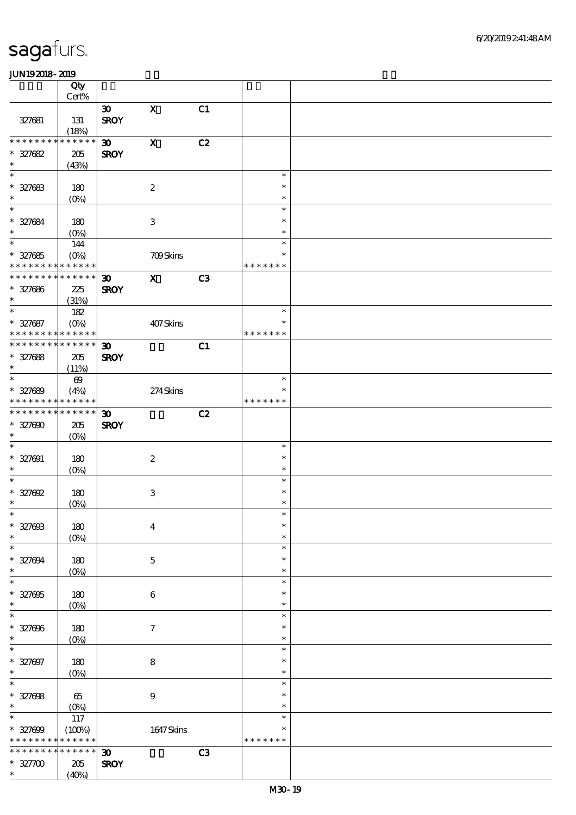|                               | Qty<br>Cert%           |                             |                                 |                |                         |  |
|-------------------------------|------------------------|-----------------------------|---------------------------------|----------------|-------------------------|--|
|                               |                        | $\boldsymbol{\mathfrak{D}}$ | $\mathbf X$                     | C1             |                         |  |
| 327681                        | 131                    | <b>SROY</b>                 |                                 |                |                         |  |
|                               | (18%)                  |                             |                                 |                |                         |  |
| * * * * * * * *               | * * * * * *            | $\boldsymbol{\mathfrak{D}}$ | $\mathbf X$                     | C2             |                         |  |
| $* 327682$<br>$\ast$          | 205<br>(43%)           | <b>SROY</b>                 |                                 |                |                         |  |
| $\ast$                        |                        |                             |                                 |                | $\ast$                  |  |
| $* 327683$                    | 180                    |                             | $\boldsymbol{2}$                |                | $\ast$                  |  |
| $\ast$                        | $(0\%)$                |                             |                                 |                | $\ast$                  |  |
| $\overline{\ast}$             |                        |                             |                                 |                | $\ast$                  |  |
| $* 327684$                    | 180                    |                             | $\ensuremath{\mathbf{3}}$       |                | $\ast$                  |  |
| $\ast$<br>$\ast$              | $(O\%)$                |                             |                                 |                | $\ast$<br>$\ast$        |  |
| $* 327685$                    | 144<br>$(O\%)$         |                             | <b>709Skins</b>                 |                | $\ast$                  |  |
| * * * * * * * *               | * * * * * *            |                             |                                 |                | * * * * * * *           |  |
| * * * * * * * *               | * * * * * *            | 30 <sub>o</sub>             | $\mathbf{x}$                    | C <sub>3</sub> |                         |  |
| $* 327686$                    | 225                    | <b>SROY</b>                 |                                 |                |                         |  |
| $\ast$                        | (31%)                  |                             |                                 |                |                         |  |
| $\ast$                        | $182$                  |                             |                                 |                | $\ast$                  |  |
| $* 327687$<br>* * * * * * * * | $(O\%)$<br>* * * * * * |                             | 407Skins                        |                | $\ast$<br>* * * * * * * |  |
| * * * * * * * *               | * * * * * *            | $\boldsymbol{\mathfrak{D}}$ |                                 | C1             |                         |  |
| $* 327688$                    | 205                    | <b>SROY</b>                 |                                 |                |                         |  |
| $\ast$                        | (11%)                  |                             |                                 |                |                         |  |
| $\ast$                        | $\boldsymbol{\omega}$  |                             |                                 |                | $\ast$                  |  |
| $* 327689$                    | (4%)                   |                             | $274\mspace{3mu}\mathrm{Skins}$ |                | $\ast$                  |  |
| * * * * * * * *               | * * * * * *            |                             |                                 |                | * * * * * * *           |  |
| * * * * * * * *               | $* * * * * * *$        | $\boldsymbol{\mathfrak{D}}$ |                                 | C2             |                         |  |
| $* 327000$<br>$\ast$          | 205<br>$(0\%)$         | <b>SROY</b>                 |                                 |                |                         |  |
| $\ast$                        |                        |                             |                                 |                | $\ast$                  |  |
| $* 327091$                    | 180                    |                             | $\boldsymbol{2}$                |                | $\ast$                  |  |
| $\ast$                        | $(0\%)$                |                             |                                 |                | $\ast$                  |  |
| $\ast$                        |                        |                             |                                 |                | $\ast$                  |  |
| $* 327002$                    | $180\,$                |                             | $\,3$                           |                | $\ast$                  |  |
| $\ast$<br>$*$                 | (0%)                   |                             |                                 |                | $\ast$<br>$\ast$        |  |
| $* 32700B$                    | $180\,$                |                             | $\boldsymbol{4}$                |                | $\ast$                  |  |
| $\ast$                        | $(0\%)$                |                             |                                 |                | $\ast$                  |  |
| $\ast$                        |                        |                             |                                 |                | $\ast$                  |  |
| $* 327004$                    | 180                    |                             | $\mathbf 5$                     |                | $\ast$                  |  |
| $\ast$                        | $(0\%)$                |                             |                                 |                | $\ast$                  |  |
| $\ast$                        |                        |                             |                                 |                | $\ast$<br>$\ast$        |  |
| $* 327005$<br>$\ast$          | 180                    |                             | $\boldsymbol{6}$                |                | $\ast$                  |  |
| $\ast$                        | $(0\%)$                |                             |                                 |                | $\ast$                  |  |
| $* 327006$                    | $180\,$                |                             | $\boldsymbol{7}$                |                | $\ast$                  |  |
| $\ast$                        | $(0\%)$                |                             |                                 |                | $\ast$                  |  |
| $\ast$                        |                        |                             |                                 |                | $\ast$                  |  |
| $* 327097$                    | 180                    |                             | $\bf 8$                         |                | $\ast$                  |  |
| $\ast$<br>$\overline{\ast}$   | $(0\%)$                |                             |                                 |                | $\ast$                  |  |
| $* 327008$                    | 65                     |                             | $\boldsymbol{9}$                |                | $\ast$<br>$\ast$        |  |
| $\ast$                        | $(O\!/\!o)$            |                             |                                 |                | $\ast$                  |  |
| $\ast$                        | 117                    |                             |                                 |                | $\ast$                  |  |
| $* 327000$                    | (100%)                 |                             | 1647Skins                       |                | $\ast$                  |  |
| * * * * * * * *               | * * * * * *            |                             |                                 |                | * * * * * * *           |  |
| * * * * * * *                 | * * * * * *            | $\boldsymbol{\mathfrak{D}}$ |                                 | C3             |                         |  |
| $* 32700$<br>$\ast$           | 205<br>(40%)           | <b>SROY</b>                 |                                 |                |                         |  |
|                               |                        |                             |                                 |                |                         |  |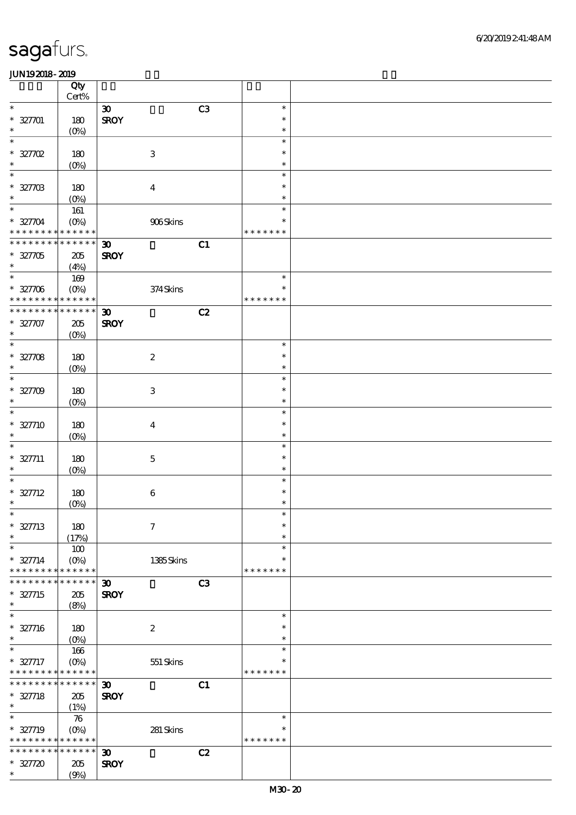|                                                          | Qty<br>Cert%               |                             |                |                  |  |
|----------------------------------------------------------|----------------------------|-----------------------------|----------------|------------------|--|
| $\ast$                                                   |                            | $\boldsymbol{\mathfrak{D}}$ | C3             | $\ast$           |  |
| $* 32701$                                                | 180                        | <b>SROY</b>                 |                | $\ast$           |  |
| $\ast$                                                   | $(O\%)$                    |                             |                | $\ast$           |  |
| $\ast$                                                   |                            |                             |                | $\ast$           |  |
| $* 32702$                                                | 180                        | $\,3$                       |                | $\ast$           |  |
| $\ast$                                                   | $(0\%)$                    |                             |                | $\ast$           |  |
| $\ast$                                                   |                            |                             |                | $\ast$           |  |
| $* 3270B$                                                | 180                        | $\boldsymbol{4}$            |                | $\ast$           |  |
| $\ast$                                                   | $(O\!/\!o)$                |                             |                | $\ast$           |  |
| $\ast$                                                   | 161                        |                             |                | $\ast$<br>$\ast$ |  |
| $* 327704$<br>* * * * * * * * <mark>* * * * * * *</mark> | $(O\%)$                    | 906Skins                    |                | * * * * * * *    |  |
| * * * * * * * *                                          | $\ast\ast\ast\ast\ast\ast$ | $\boldsymbol{\mathfrak{D}}$ | C1             |                  |  |
| $* 32705$                                                | 205                        | <b>SROY</b>                 |                |                  |  |
| $\ast$                                                   | (4%)                       |                             |                |                  |  |
| $\ast$                                                   | 169                        |                             |                | $\ast$           |  |
| $* 327706$                                               | $(O\!/\!\!\delta)$         | 374Skins                    |                | $\ast$           |  |
| * * * * * * * *                                          | $******$                   |                             |                | * * * * * * *    |  |
| * * * * * * * *                                          | * * * * * *                | $\boldsymbol{\mathfrak{D}}$ | C2             |                  |  |
| $* 327707$                                               | 205                        | <b>SROY</b>                 |                |                  |  |
| $\ast$                                                   | $(O\%)$                    |                             |                |                  |  |
| $\ast$                                                   |                            |                             |                | $\ast$           |  |
| $* 32708$                                                | 180                        | $\boldsymbol{2}$            |                | $\ast$           |  |
| $\ast$                                                   | $(0\%)$                    |                             |                | $\ast$           |  |
| $\ast$                                                   |                            |                             |                | $\ast$<br>$\ast$ |  |
| $* 32709$<br>$\ast$                                      | 180                        | $\,3$                       |                | $\ast$           |  |
| $\ast$                                                   | $(O\!/\!\delta)$           |                             |                | $\ast$           |  |
| $* 327710$                                               | 180                        | $\boldsymbol{4}$            |                | $\ast$           |  |
| $\ast$                                                   | $(0\%)$                    |                             |                | $\ast$           |  |
| $\ast$                                                   |                            |                             |                | $\ast$           |  |
| $* 327711$                                               | 180                        | $\mathbf 5$                 |                | $\ast$           |  |
| $\ast$                                                   | $(O\%)$                    |                             |                | $\ast$           |  |
| $\ast$                                                   |                            |                             |                | $\ast$           |  |
| $* 327712$                                               | 180                        | $\,6\,$                     |                | $\ast$           |  |
| $\ast$                                                   | $(0\%)$                    |                             |                | $\ast$           |  |
| $\ast$                                                   |                            |                             |                | $\ast$           |  |
| $* 327713$                                               | $180\,$                    | $\boldsymbol{7}$            |                | $\ast$           |  |
| $\ast$<br>$\ast$                                         | (17%)                      |                             |                | $\ast$<br>$\ast$ |  |
|                                                          | 100                        | 1385Skins                   |                | $\ast$           |  |
| $* 327714$<br>* * * * * * * *                            | $(O\%)$<br>* * * * * *     |                             |                | * * * * * * *    |  |
| * * * * * * *                                            | * * * * * *                | $\boldsymbol{\mathfrak{D}}$ | C <sub>3</sub> |                  |  |
| $* 327715$                                               | 205                        | <b>SROY</b>                 |                |                  |  |
| $\ast$                                                   | (8%)                       |                             |                |                  |  |
| $\ast$                                                   |                            |                             |                | $\ast$           |  |
| $* 327716$                                               | 180                        | $\boldsymbol{2}$            |                | $\ast$           |  |
| $\ast$                                                   | $(0\%)$                    |                             |                | $\ast$           |  |
| $\ast$                                                   | 166                        |                             |                | $\ast$           |  |
| $* 327717$                                               | $(O\%)$                    | $551$ Skins                 |                | $\ast$           |  |
| * * * * * * * *                                          | ******                     |                             |                | * * * * * * *    |  |
| * * * * * * *                                            | ******                     | $\boldsymbol{\mathfrak{D}}$ | C1             |                  |  |
| $* 327718$<br>$\ast$                                     | 205                        | <b>SROY</b>                 |                |                  |  |
| $\ast$                                                   | (1%)<br>$\boldsymbol{\pi}$ |                             |                | $\ast$           |  |
| $* 327719$                                               | $(0\%)$                    | 281 Skins                   |                | $\ast$           |  |
| * * * * * * * * * * * * * *                              |                            |                             |                | * * * * * * *    |  |
| * * * * * * * * <mark>* * * * * * *</mark>               |                            | $\boldsymbol{\mathfrak{D}}$ | C2             |                  |  |
| $* 327720$                                               | 205                        | <b>SROY</b>                 |                |                  |  |
| $\ast$                                                   | (9%)                       |                             |                |                  |  |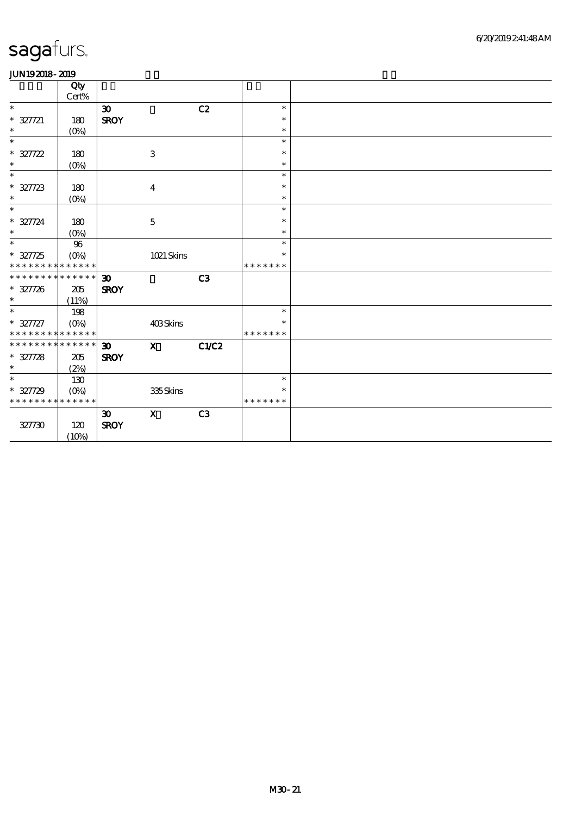|                                                             | Qty<br>Cert% |                             |                  |       |                  |  |
|-------------------------------------------------------------|--------------|-----------------------------|------------------|-------|------------------|--|
| $\ast$                                                      |              | $\boldsymbol{\mathfrak{D}}$ |                  | C2    | $\ast$           |  |
| $* 327721$                                                  | 180          | <b>SROY</b>                 |                  |       | $\ast$           |  |
| $\ast$                                                      | $(O\%)$      |                             |                  |       | $\ast$           |  |
| $\ast$                                                      |              |                             |                  |       | $\ast$           |  |
| $* 327722$                                                  | 180          |                             | 3                |       | $\ast$           |  |
| $\ast$<br>$\ast$                                            | $(O\%)$      |                             |                  |       | $\ast$           |  |
|                                                             |              |                             |                  |       | $\ast$<br>$\ast$ |  |
| $* 327723$<br>$\ast$                                        | 180          |                             | $\boldsymbol{4}$ |       | $\ast$           |  |
| $\overline{\ast}$                                           | $(O\%)$      |                             |                  |       | $\ast$           |  |
| $* 327724$                                                  | 180          |                             | $\mathbf 5$      |       | $\ast$           |  |
| $\ast$                                                      | $(O\%)$      |                             |                  |       | $\ast$           |  |
| $\overline{\phantom{0}}$                                    | 96           |                             |                  |       | $\ast$           |  |
| $* 327725$                                                  | $(O\%)$      |                             | 1021 Skins       |       | ∗                |  |
| * * * * * * * * * * * * * *                                 |              |                             |                  |       | * * * * * * *    |  |
| * * * * * * * * * * * * * * *                               |              | $\boldsymbol{\mathfrak{D}}$ |                  | C3    |                  |  |
| $* 327726$                                                  | 205          | <b>SROY</b>                 |                  |       |                  |  |
| $\ast$                                                      | (11%)        |                             |                  |       |                  |  |
| $\ast$                                                      | 198          |                             |                  |       | $\ast$           |  |
| $* 327727$                                                  |              |                             | 403Skins         |       | ∗                |  |
| * * * * * * * * * * * * * *<br>******** <mark>******</mark> |              |                             |                  |       | * * * * * * *    |  |
|                                                             |              | 30 <sub>o</sub>             | $\mathbf{X}$     | C1/C2 |                  |  |
| $* 327728$<br>$\ast$                                        | 205          | <b>SROY</b>                 |                  |       |                  |  |
| $\overline{\ast}$                                           | (2%)<br>130  |                             |                  |       | $\ast$           |  |
| $* 327729$                                                  | $(O\%)$      |                             | 335Skins         |       | $\ast$           |  |
| * * * * * * * * * * * * * *                                 |              |                             |                  |       | * * * * * * *    |  |
|                                                             |              | $\boldsymbol{\mathfrak{D}}$ | $\mathbf{x}$     | C3    |                  |  |
| 327730                                                      | 120          | <b>SROY</b>                 |                  |       |                  |  |
|                                                             | (10%)        |                             |                  |       |                  |  |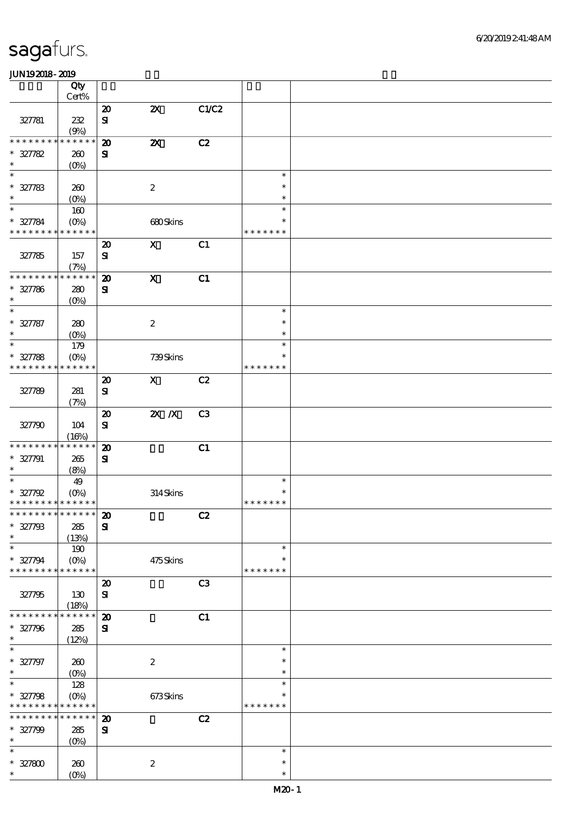|                                            | Qty                              |                             |                           |                |               |  |
|--------------------------------------------|----------------------------------|-----------------------------|---------------------------|----------------|---------------|--|
|                                            | Cert%                            |                             |                           |                |               |  |
|                                            |                                  | $\boldsymbol{\mathsf{20}}$  | $\boldsymbol{\mathsf{Z}}$ | C1/C2          |               |  |
| 327781                                     | 232                              | $\mathbf{S}$                |                           |                |               |  |
|                                            | (9%)                             |                             |                           |                |               |  |
| * * * * * * * *                            | * * * * * *                      | $\boldsymbol{\mathbf{z}}$   | $\boldsymbol{\mathsf{z}}$ | C2             |               |  |
| $* 327782$                                 | 260                              | ${\bf s}$                   |                           |                |               |  |
| $\ast$                                     | $(0\%)$                          |                             |                           |                |               |  |
| $\ast$                                     |                                  |                             |                           |                | $\ast$        |  |
| $* 327783$                                 | 260                              |                             | $\boldsymbol{2}$          |                | $\ast$        |  |
| $\ast$                                     | $(O_0)$                          |                             |                           |                | $\ast$        |  |
| $\overline{\ast}$                          | 160                              |                             |                           |                | $\ast$        |  |
| * 327784                                   | $(O\%)$                          |                             | 680Skins                  |                | $\ast$        |  |
| * * * * * * * * * * * * * *                |                                  |                             |                           |                | * * * * * * * |  |
|                                            |                                  | $\boldsymbol{\mathfrak{D}}$ | $\boldsymbol{\mathsf{X}}$ | C1             |               |  |
| 327785                                     | 157                              | ${\bf s}$                   |                           |                |               |  |
|                                            | (7%)                             |                             |                           |                |               |  |
| * * * * * * * *                            | * * * * * *                      | $\boldsymbol{\mathbf{z}}$   | $\mathbf{x}$              | C1             |               |  |
| $* 327786$                                 | 280                              | ${\bf s}$                   |                           |                |               |  |
| $\ast$                                     | (O <sub>0</sub> )                |                             |                           |                |               |  |
| $\ast$                                     |                                  |                             |                           |                | $\ast$        |  |
| $* 327787$                                 | 280                              |                             | $\boldsymbol{2}$          |                | $\ast$        |  |
| $\ast$                                     | $(O\%)$                          |                             |                           |                | $\ast$        |  |
| $\ast$                                     | 179                              |                             |                           |                | $\ast$        |  |
|                                            |                                  |                             | 739Skins                  |                | $\ast$        |  |
| $* 327788$<br>* * * * * * * *              | (O <sub>0</sub> )<br>* * * * * * |                             |                           |                | * * * * * * * |  |
|                                            |                                  |                             |                           |                |               |  |
|                                            |                                  | $\boldsymbol{\mathbf{z}}$   | $\mathbf{x}$              | C2             |               |  |
| 327789                                     | 281                              | $\mathbf{S}$                |                           |                |               |  |
|                                            | (7%)                             |                             |                           |                |               |  |
|                                            |                                  | $\boldsymbol{\mathsf{20}}$  | $X$ $X$                   | C <sub>3</sub> |               |  |
| 327790                                     | 104                              | ${\bf S}$                   |                           |                |               |  |
|                                            | (16%)                            |                             |                           |                |               |  |
| * * * * * * * *                            | * * * * * *                      | $\boldsymbol{\mathbf{z}}$   |                           | C1             |               |  |
| $* 327791$                                 | 265                              | ${\bf s}$                   |                           |                |               |  |
| $\ast$                                     | (8%)                             |                             |                           |                |               |  |
| $\ast$                                     | 49                               |                             |                           |                | $\ast$        |  |
| $* 327792$                                 | $(O\!/\!\!\delta)$               |                             | 314Skins                  |                |               |  |
| * * * * * * * * * * * * * *                |                                  |                             |                           |                | * * * * * * * |  |
| **************** 20                        |                                  |                             |                           | C2             |               |  |
| $* 327798$                                 | 285                              | ${\bf s}$                   |                           |                |               |  |
| $\ast$                                     | (13%)                            |                             |                           |                |               |  |
| $\ast$                                     | 190                              |                             |                           |                | $\ast$        |  |
| $* 327794$                                 | $(O\!/\!o)$                      |                             | 475Skins                  |                | $\ast$        |  |
| * * * * * * * *                            | * * * * * *                      |                             |                           |                | * * * * * * * |  |
|                                            |                                  | $\boldsymbol{\mathsf{20}}$  |                           | C <sub>3</sub> |               |  |
| 327795                                     | 130                              | $\mathbf{S}$                |                           |                |               |  |
|                                            | (18%)                            |                             |                           |                |               |  |
| * * * * * * * *                            | * * * * * *                      | $\boldsymbol{\mathbf{z}}$   |                           | C1             |               |  |
| $* 327796$                                 | 285                              | ${\bf s}$                   |                           |                |               |  |
| $\ast$                                     | (12%)                            |                             |                           |                |               |  |
| $\overline{\ast}$                          |                                  |                             |                           |                | $\ast$        |  |
| $* 327797$                                 | 260                              |                             | $\boldsymbol{2}$          |                | $\ast$        |  |
| $\ast$                                     | $(O\%)$                          |                             |                           |                | $\ast$        |  |
| $\ast$                                     | 128                              |                             |                           |                | $\ast$        |  |
| $* 327798$                                 | $(O\%)$                          |                             | 673Skins                  |                |               |  |
| * * * * * * * * <mark>* * * * * *</mark> * |                                  |                             |                           |                | * * * * * * * |  |
| * * * * * * * *                            | $\ast\ast\ast\ast\ast\ast$       | $\boldsymbol{\mathbf{z}}$   |                           | C2             |               |  |
|                                            |                                  |                             |                           |                |               |  |
| $* 327799$<br>$\ast$                       | 285                              | ${\bf S}$                   |                           |                |               |  |
| $\ast$                                     | $(0\%)$                          |                             |                           |                | $\ast$        |  |
|                                            |                                  |                             |                           |                |               |  |
| $* 327800$                                 | 260                              |                             | $\boldsymbol{2}$          |                | $\ast$        |  |
| $\ast$                                     | (O <sub>0</sub> )                |                             |                           |                | $\ast$        |  |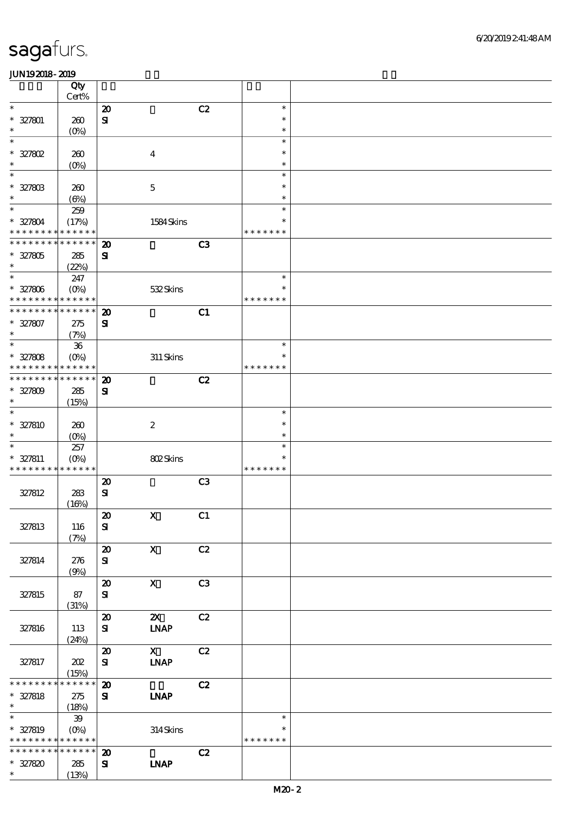|                                            | Qty                       |                                            |                                          |                |                  |  |
|--------------------------------------------|---------------------------|--------------------------------------------|------------------------------------------|----------------|------------------|--|
| $\ast$                                     | $\mbox{Cert}\%$           | $\boldsymbol{\mathsf{20}}$                 |                                          | C2             | $\ast$           |  |
| $* 327801$                                 | 260                       | ${\bf S}$                                  |                                          |                | $\ast$           |  |
| $\ast$                                     | $(O\%)$                   |                                            |                                          |                | $\ast$           |  |
| $\ast$                                     |                           |                                            |                                          |                | $\ast$           |  |
| $* 327802$                                 | 260                       |                                            | $\boldsymbol{4}$                         |                | $\ast$           |  |
| $\ast$<br>$\ast$                           | $(0\%)$                   |                                            |                                          |                | $\ast$<br>$\ast$ |  |
| $* 327803$                                 | 260                       |                                            | $\mathbf 5$                              |                | $\ast$           |  |
| $\ast$                                     | $(\Theta\% )$             |                                            |                                          |                | $\ast$           |  |
| $\ast$                                     | 259                       |                                            |                                          |                | $\ast$           |  |
| * 327804                                   | (17%)                     |                                            | 1584Skins                                |                | $\ast$           |  |
| * * * * * * * *                            | * * * * * *               |                                            |                                          |                | * * * * * * *    |  |
| * * * * * * * *                            | * * * * * *               | $\boldsymbol{\mathbf{z}}$                  |                                          | C <sub>3</sub> |                  |  |
| $* 327805$<br>$\ast$                       | 285<br>(22%)              | ${\bf s}$                                  |                                          |                |                  |  |
| $\ast$                                     | 247                       |                                            |                                          |                | $\ast$           |  |
| $* 327806$                                 | $(O\%)$                   |                                            | 532Skins                                 |                | $\ast$           |  |
|                                            | * * * * * *               |                                            |                                          |                | * * * * * * *    |  |
| * * * * * * * *                            | * * * * * *               | $\boldsymbol{\mathsf{20}}$                 |                                          | C1             |                  |  |
| $* 327807$<br>$\ast$                       | 275<br>(7%)               | $\mathbf{S}$                               |                                          |                |                  |  |
| $\ast$                                     | ${\bf 36}$                |                                            |                                          |                | $\ast$           |  |
| $* 327808$                                 | $(0\%)$                   |                                            | $311$ Skins                              |                | $\ast$           |  |
| * * * * * * * *                            | * * * * * *               |                                            |                                          |                | * * * * * * *    |  |
| * * * * * * *                              | * * * * * *               | $\boldsymbol{\mathbf{z}}$                  |                                          | C2             |                  |  |
| $* 327809$<br>$\ast$                       | 285                       | $\mathbf{S}$                               |                                          |                |                  |  |
| $\ast$                                     | (15%)                     |                                            |                                          |                | $\ast$           |  |
| $* 327810$                                 | 260                       |                                            | $\boldsymbol{2}$                         |                | $\ast$           |  |
| $\ast$                                     | $(O\%)$                   |                                            |                                          |                | $\ast$           |  |
| $\ast$                                     | 257                       |                                            |                                          |                | $\ast$           |  |
| * 327811                                   | $(O\%)$                   |                                            | 802Skins                                 |                | $\ast$           |  |
| * * * * * * * *                            | * * * * * *               |                                            |                                          |                | * * * * * * *    |  |
| 327812                                     | 283                       | $\boldsymbol{\mathsf{20}}$<br>$\mathbf{S}$ |                                          | C <sub>3</sub> |                  |  |
|                                            | (16%)                     |                                            |                                          |                |                  |  |
|                                            |                           | $\boldsymbol{\mathfrak{D}}$                | $\mathbf X$                              | C1             |                  |  |
| 327813                                     | 116                       | ${\bf s}$                                  |                                          |                |                  |  |
|                                            | (7%)                      |                                            |                                          |                |                  |  |
| 327814                                     | 276                       | $\boldsymbol{\mathbf{z}}$<br>${\bf s}$     | $\boldsymbol{\mathsf{X}}$                | C2             |                  |  |
|                                            | (9%)                      |                                            |                                          |                |                  |  |
|                                            |                           | $\pmb{\mathcal{D}}$                        | $\mathbf{x}$                             | C3             |                  |  |
| 327815                                     | 87                        | ${\bf s}$                                  |                                          |                |                  |  |
|                                            | (31%)                     |                                            |                                          |                |                  |  |
| 327816                                     |                           | $\boldsymbol{\mathfrak{D}}$                | $\boldsymbol{\mathsf{X}}$<br><b>INAP</b> | C2             |                  |  |
|                                            | 113<br>(24%)              | ${\bf s}$                                  |                                          |                |                  |  |
|                                            |                           | $\boldsymbol{\mathsf{20}}$                 | $\mathbf{X}$                             | C2             |                  |  |
| 327817                                     | 202                       | ${\bf s}$                                  | <b>INAP</b>                              |                |                  |  |
|                                            | (15%)                     |                                            |                                          |                |                  |  |
| * * * * * * * *                            | * * * * * *               | $\boldsymbol{\mathfrak{D}}$                |                                          | C2             |                  |  |
| $* 327818$<br>$\ast$                       | 275<br>(18%)              | ${\bf s}$                                  | <b>INAP</b>                              |                |                  |  |
| $\overline{\ast}$                          | 39                        |                                            |                                          |                | $\ast$           |  |
| $* 327819$                                 | $(O\!\!\!\!\!\!\!/\,\!o)$ |                                            | $314$ Skins                              |                | $\ast$           |  |
| * * * * * * * * <mark>* * * * * * *</mark> |                           |                                            |                                          |                | * * * * * * *    |  |
| * * * * * * * *                            | ******                    | $\boldsymbol{\mathfrak{D}}$                |                                          | C2             |                  |  |
| $* 327820$<br>$\ast$                       | 285                       | ${\bf s}$                                  | <b>INAP</b>                              |                |                  |  |
|                                            | (13%)                     |                                            |                                          |                |                  |  |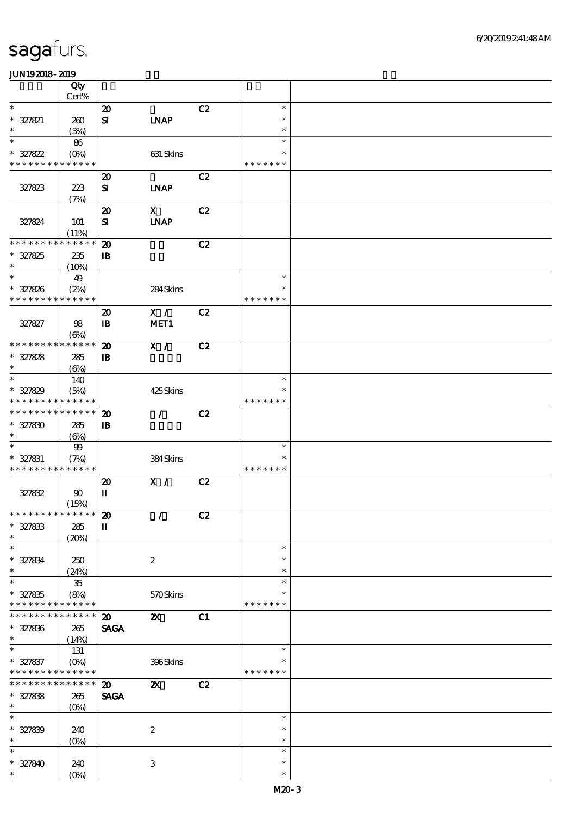|                                          | Qty                    |                             |                              |    |               |  |
|------------------------------------------|------------------------|-----------------------------|------------------------------|----|---------------|--|
|                                          | Cert%                  |                             |                              |    |               |  |
| $\ast$                                   |                        | $\boldsymbol{\mathsf{20}}$  |                              | C2 | $\ast$        |  |
| $* 327821$                               | 260                    | $\bf S\!I$                  | <b>LNAP</b>                  |    | $\ast$        |  |
| $\ast$                                   |                        |                             |                              |    | $\ast$        |  |
| $\ast$                                   | (3%)                   |                             |                              |    | $\ast$        |  |
|                                          | 86                     |                             |                              |    |               |  |
| $* 327822$                               | $(O\%)$                |                             | 631 Skins                    |    | $\ast$        |  |
| * * * * * * * * <mark>* * * * * *</mark> |                        |                             |                              |    | * * * * * * * |  |
|                                          |                        | $\boldsymbol{\mathbf{z}}$   |                              | C2 |               |  |
| 327823                                   | 223                    | ${\bf s}$                   | <b>INAP</b>                  |    |               |  |
|                                          | (7%)                   |                             |                              |    |               |  |
|                                          |                        | $\boldsymbol{\mathsf{20}}$  | $\mathbf x$                  | C2 |               |  |
| 327824                                   | 101                    | $\mathbf{S}$                | $\ensuremath{\mathbf{INAP}}$ |    |               |  |
|                                          | (11%)                  |                             |                              |    |               |  |
| * * * * * * *                            | * * * * * *            | $\boldsymbol{\mathbf{z}}$   |                              | C2 |               |  |
|                                          |                        |                             |                              |    |               |  |
| $* 327825$                               | 235                    | $\mathbf{B}$                |                              |    |               |  |
| $\ast$                                   | (10%)                  |                             |                              |    |               |  |
| $\ast$                                   | 49                     |                             |                              |    | $\ast$        |  |
| $* 327826$                               | (2%)                   |                             | 284Skins                     |    | $\ast$        |  |
| * * * * * * * *                          | * * * * * *            |                             |                              |    | * * * * * * * |  |
|                                          |                        | $\boldsymbol{\mathsf{20}}$  | X /                          | C2 |               |  |
| 327827                                   | 98                     | $\mathbf{B}$                | MET1                         |    |               |  |
|                                          | $(\Theta)$             |                             |                              |    |               |  |
| * * * * * * * *                          | * * * * * *            | $\boldsymbol{\mathbf{z}}$   | X /                          | C2 |               |  |
| $* 327828$                               | 285                    | $\mathbf{B}$                |                              |    |               |  |
| $\ast$                                   | $(\Theta)$             |                             |                              |    |               |  |
| $\ast$                                   |                        |                             |                              |    | $\ast$        |  |
|                                          | 140                    |                             |                              |    |               |  |
| $* 327829$                               | (5%)                   |                             | 425Skins                     |    | $\ast$        |  |
| * * * * * * * *                          | * * * * * *            |                             |                              |    | * * * * * * * |  |
| * * * * * * * * * * * * * *              |                        | $\boldsymbol{\mathfrak{D}}$ | $\mathcal{L}$                | C2 |               |  |
| $* 327830$                               | 285                    | ${\bf I\!B}$                |                              |    |               |  |
| $\ast$                                   | $(\Theta)$             |                             |                              |    |               |  |
| $\ast$                                   | $99$                   |                             |                              |    | $\ast$        |  |
| $* 327831$                               | (7%)                   |                             | 384Skins                     |    | *             |  |
| * * * * * * * * * * * * * *              |                        |                             |                              |    | * * * * * * * |  |
|                                          |                        | $\boldsymbol{\mathsf{20}}$  | X /                          | C2 |               |  |
| 327832                                   | 90                     | $\mathbf I$                 |                              |    |               |  |
|                                          |                        |                             |                              |    |               |  |
|                                          | (15%)                  |                             |                              |    |               |  |
| *************** 20                       |                        |                             | $\mathcal{L}(\mathcal{L})$   | C2 |               |  |
| $* 327833$                               | $285\,$                | $\mathbf I$                 |                              |    |               |  |
| $\ast$                                   | (20%)                  |                             |                              |    |               |  |
| $\ast$                                   |                        |                             |                              |    | $\ast$        |  |
| $* 327834$                               | 250                    |                             | $\boldsymbol{2}$             |    | $\ast$        |  |
| $\ast$                                   | (24%)                  |                             |                              |    | $\ast$        |  |
| $\ast$                                   | ${\bf 35}$             |                             |                              |    | $\ast$        |  |
| $* 327835$                               | (8%)                   |                             | 570Skins                     |    | $\ast$        |  |
| * * * * * * * *                          | * * * * * *            |                             |                              |    | * * * * * * * |  |
| * * * * * * *                            | * * * * * *            | $\boldsymbol{\mathfrak{D}}$ | $\boldsymbol{\mathsf{z}}$    | C1 |               |  |
| $* 327836$                               | 265                    | <b>SAGA</b>                 |                              |    |               |  |
| $\ast$                                   | (14%)                  |                             |                              |    |               |  |
| $\ast$                                   | 131                    |                             |                              |    | $\ast$        |  |
|                                          |                        |                             |                              |    |               |  |
| $* 327837$<br>* * * * * * * *            | $(O\%)$<br>* * * * * * |                             | 396Skins                     |    | * * * * * * * |  |
|                                          |                        |                             |                              |    |               |  |
| * * * * * * *                            | * * * * * *            | $\boldsymbol{\mathfrak{D}}$ | $\boldsymbol{\mathsf{z}}$    | C2 |               |  |
| $* 327838$                               | 265                    | <b>SAGA</b>                 |                              |    |               |  |
| $\ast$                                   | (O <sub>0</sub> )      |                             |                              |    |               |  |
| $\ast$                                   |                        |                             |                              |    | $\ast$        |  |
| $* 327839$                               | 240                    |                             | $\boldsymbol{2}$             |    | $\ast$        |  |
| $\ast$                                   | $(0\%)$                |                             |                              |    | $\ast$        |  |
| $\ast$                                   |                        |                             |                              |    | $\ast$        |  |
| $* 327840$                               | 240                    |                             | $\,3$                        |    | $\ast$        |  |
| $\ast$                                   | (O <sub>0</sub> )      |                             |                              |    | $\ast$        |  |
|                                          |                        |                             |                              |    |               |  |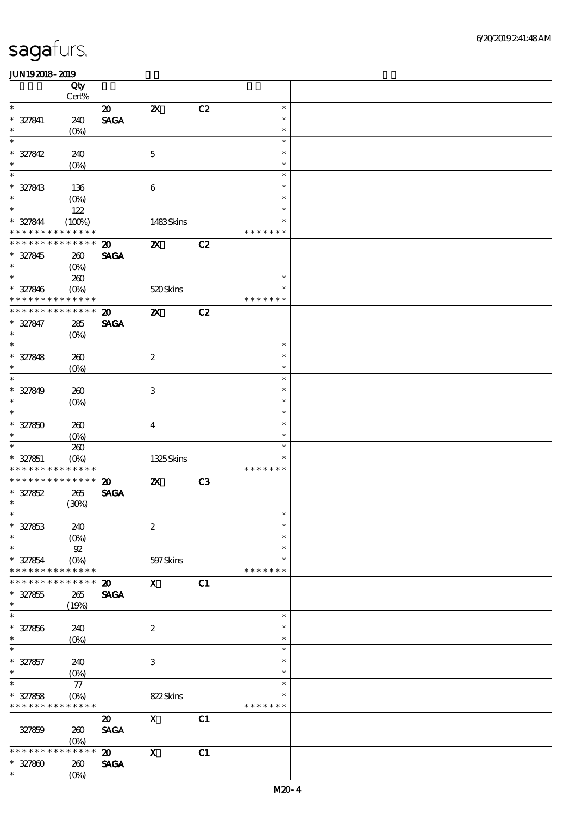|                      | Qty<br>$\mbox{Cert}\%$ |                             |                           |    |               |  |
|----------------------|------------------------|-----------------------------|---------------------------|----|---------------|--|
| $\ast$               |                        | $\boldsymbol{\mathsf{20}}$  | $\boldsymbol{\mathsf{z}}$ | C2 | $\ast$        |  |
|                      |                        |                             |                           |    | $\ast$        |  |
| $* 327841$<br>$\ast$ | 240                    | <b>SAGA</b>                 |                           |    | $\ast$        |  |
|                      | $(O\!/\!\!\delta)$     |                             |                           |    |               |  |
| $\ast$               |                        |                             |                           |    | $\ast$        |  |
| $* 327842$           | 240                    |                             | $\mathbf 5$               |    | $\ast$        |  |
| $\ast$               | $(0\%)$                |                             |                           |    | $\ast$        |  |
| $\ast$               |                        |                             |                           |    | $\ast$        |  |
| $* 327843$           | 136                    |                             | $\,6\,$                   |    | $\ast$        |  |
| $\ast$               | $(O\!/\!o)$            |                             |                           |    | $\ast$        |  |
| $\ast$               | 122                    |                             |                           |    | $\ast$        |  |
| $* 327844$           | (100%)                 |                             | 1483Skins                 |    | $\ast$        |  |
| * * * * * * * *      | * * * * * *            |                             |                           |    | * * * * * * * |  |
| * * * * * * * *      | * * * * * *            | $\boldsymbol{\mathfrak{D}}$ | $\boldsymbol{\mathsf{z}}$ | C2 |               |  |
|                      |                        | <b>SAGA</b>                 |                           |    |               |  |
| $* 327845$<br>$\ast$ | 260                    |                             |                           |    |               |  |
| $\ast$               | $(O\%)$                |                             |                           |    |               |  |
|                      | $200$                  |                             |                           |    | $\ast$        |  |
| $* 327846$           | $(O\%)$                |                             | 520Skins                  |    | $\ast$        |  |
| * * * *<br>* * *     | * * * * * *            |                             |                           |    | * * * * * * * |  |
| * * * * * * * *      | * * * * * *            | $\boldsymbol{\mathfrak{D}}$ | $\boldsymbol{\mathsf{z}}$ | C2 |               |  |
| * 327847             | 285                    | <b>SAGA</b>                 |                           |    |               |  |
| $\ast$               | $(O\!/\!\!\delta)$     |                             |                           |    |               |  |
| $\ast$               |                        |                             |                           |    | $\ast$        |  |
| $* 327848$           | 260                    |                             | $\boldsymbol{2}$          |    | $\ast$        |  |
| $\ast$               | $(O\%)$                |                             |                           |    | $\ast$        |  |
| $\ast$               |                        |                             |                           |    | $\ast$        |  |
| $* 327849$           | 260                    |                             | $\ensuremath{\mathbf{3}}$ |    | $\ast$        |  |
| $\ast$               |                        |                             |                           |    | $\ast$        |  |
| $\ast$               | $(O\!/\!\!\delta)$     |                             |                           |    | $\ast$        |  |
|                      |                        |                             |                           |    |               |  |
| $* 327850$           | 260                    |                             | $\boldsymbol{4}$          |    | $\ast$        |  |
| $\ast$               | $(O\%)$                |                             |                           |    | $\ast$        |  |
| $\ast$               | $200$                  |                             |                           |    | $\ast$        |  |
| * 327851             | $(O\%)$                |                             | 1325 Skins                |    | *             |  |
| * * * * * * * *      | * * * * * *            |                             |                           |    | * * * * * * * |  |
| * * * * * * *        | * * * * * *            | $\boldsymbol{\mathbf{z}}$   | $\boldsymbol{\mathsf{z}}$ | C3 |               |  |
| $* 327852$           | 265                    | <b>SAGA</b>                 |                           |    |               |  |
| $\ast$               | (30%)                  |                             |                           |    |               |  |
| $*$                  |                        |                             |                           |    | $\ast$        |  |
| $* 327853$           | 240                    |                             | $\boldsymbol{2}$          |    | $\ast$        |  |
| $\ast$               | $(O\%)$                |                             |                           |    | $\ast$        |  |
| $\ast$               | $92\,$                 |                             |                           |    | $\ast$        |  |
| $* 327854$           | $(O\%)$                |                             | 597Skins                  |    | $\ast$        |  |
| * * * * * * *        | * * * * * *            |                             |                           |    | * * * * * * * |  |
| * * * * * *          | * * * * * *            |                             |                           |    |               |  |
|                      |                        | $\boldsymbol{\mathbf{z}}$   | $\mathbf{X}$              | C1 |               |  |
| $* 327855$           | 265                    | <b>SAGA</b>                 |                           |    |               |  |
| $\ast$               | (19%)                  |                             |                           |    |               |  |
| $\ast$               |                        |                             |                           |    | $\ast$        |  |
| $* 327856$           | 240                    |                             | $\boldsymbol{2}$          |    | $\ast$        |  |
| $\ast$               | $(0\%)$                |                             |                           |    | $\ast$        |  |
| $\ast$               |                        |                             |                           |    | $\ast$        |  |
| $* 327857$           | 240                    |                             | $\ensuremath{\mathbf{3}}$ |    | $\ast$        |  |
| $\ast$               | $(0\%)$                |                             |                           |    | $\ast$        |  |
| $\ast$               | ${\bf 77}$             |                             |                           |    | $\ast$        |  |
| $* 327858$           | $(O\!/\!\!\delta)$     |                             | 822Skins                  |    | $\ast$        |  |
| * * * * * * * *      | * * * * * *            |                             |                           |    | * * * * * * * |  |
|                      |                        | $\boldsymbol{\mathfrak{D}}$ | $\mathbf{X}$              | C1 |               |  |
|                      |                        | <b>SAGA</b>                 |                           |    |               |  |
| 327859               | 260                    |                             |                           |    |               |  |
| * * * * * *          | $(O\%)$<br>* * * * * * |                             |                           |    |               |  |
|                      |                        | $\boldsymbol{\mathfrak{D}}$ | $\boldsymbol{\mathrm{X}}$ | C1 |               |  |
| $* 327800$           | $200$                  | <b>SAGA</b>                 |                           |    |               |  |
| $\ast$               | $(O\%)$                |                             |                           |    |               |  |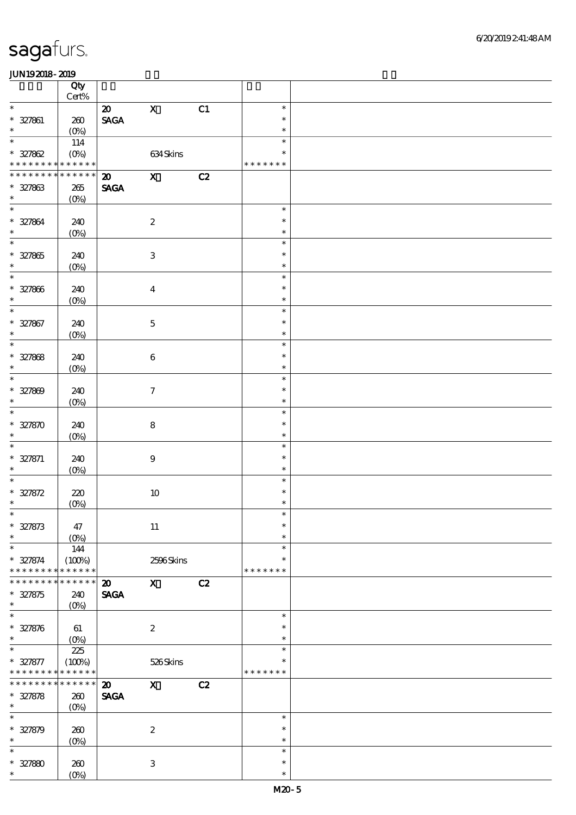|                                            | Qty<br>$Cert\%$       |                                            |                           |    |                         |  |
|--------------------------------------------|-----------------------|--------------------------------------------|---------------------------|----|-------------------------|--|
| $\ast$                                     |                       | $\boldsymbol{\mathsf{20}}$                 | $\mathbf X$               | C1 | $\ast$                  |  |
| $* 327861$                                 | 260                   | $\ensuremath{\mathsf{SAGA}}$               |                           |    | $\ast$                  |  |
| $\ast$                                     | $(0\%)$               |                                            |                           |    | $\ast$                  |  |
| $\ast$<br>$* 327862$                       | 114<br>$(O\%)$        |                                            | 634Skins                  |    | $\ast$<br>$\ast$        |  |
| * * * * * * * * <mark>* * * * * * *</mark> |                       |                                            |                           |    | * * * * * * *           |  |
| * * * * * * *                              | * * * * * *           | $\boldsymbol{\mathfrak{D}}$                | $\mathbf{x}$              | C2 |                         |  |
| $* 327863$<br>$\ast$                       | $265\,$<br>$(O\%)$    | <b>SAGA</b>                                |                           |    |                         |  |
| $\ast$                                     |                       |                                            |                           |    | $\ast$                  |  |
| $* 327864$<br>$\ast$                       | 240<br>$(0\%)$        |                                            | $\boldsymbol{2}$          |    | $\ast$<br>$\ast$        |  |
| $\overline{\ast}$                          |                       |                                            |                           |    | $\ast$                  |  |
| $* 327865$<br>$\ast$                       | 240<br>$(0\%)$        |                                            | $\ensuremath{\mathbf{3}}$ |    | $\ast$<br>$\ast$        |  |
| $\overline{\phantom{0}}$                   |                       |                                            |                           |    | $\ast$                  |  |
| $* 327866$<br>$\ast$                       | 240<br>$(0\%)$        |                                            | $\boldsymbol{4}$          |    | $\ast$<br>$\ast$        |  |
| $\ast$                                     |                       |                                            |                           |    | $\ast$                  |  |
| $* 327867$<br>$\ast$                       | 240<br>$(0\%)$        |                                            | $\mathbf 5$               |    | $\ast$<br>$\ast$        |  |
| $\overline{\ast}$                          |                       |                                            |                           |    | $\ast$                  |  |
| $* 327868$<br>$\ast$                       | 240<br>$(0\%)$        |                                            | $\,6$                     |    | $\ast$<br>$\ast$        |  |
| $\ast$                                     |                       |                                            |                           |    | $\ast$                  |  |
| $* 327809$<br>$\ast$                       | 240<br>$(O\%)$        |                                            | $\boldsymbol{7}$          |    | $\ast$<br>$\ast$        |  |
| $\ast$                                     |                       |                                            |                           |    | $\ast$                  |  |
| $* 327870$<br>$\ast$                       | 240<br>$(O\%)$        |                                            | $\bf 8$                   |    | $\ast$<br>$\ast$        |  |
| $\ast$                                     |                       |                                            |                           |    | $\ast$                  |  |
| $* 327871$<br>$\ast$                       | 240<br>$(0\%)$        |                                            | $\boldsymbol{9}$          |    | $\ast$<br>$\ast$        |  |
| $\ast$                                     |                       |                                            |                           |    | $\ast$                  |  |
| $* 327872$                                 | 220                   |                                            | $10\,$                    |    | $\ast$                  |  |
| $\ast$                                     | $(0\%)$               |                                            |                           |    | $\ast$                  |  |
| $\ast$                                     |                       |                                            |                           |    | $\ast$                  |  |
| $* 327873$<br>$\ast$                       | 47<br>$(0\%)$         |                                            | $11\,$                    |    | $\ast$<br>$\ast$        |  |
| $\ast$                                     | 144                   |                                            |                           |    | $\ast$                  |  |
| $* 327874$                                 | (100%)<br>* * * * * * |                                            | 2506Skins                 |    | $\ast$                  |  |
| * * * * * * * *<br>* * * * * * *           | * * * * * *           |                                            |                           |    | * * * * * * *           |  |
| $* 327875$                                 | 240                   | $\boldsymbol{\mathfrak{D}}$<br><b>SAGA</b> | $\mathbf{x}$              | C2 |                         |  |
| $\ast$                                     | (O <sub>0</sub> )     |                                            |                           |    |                         |  |
| $\ast$                                     |                       |                                            |                           |    | $\ast$                  |  |
| $* 327876$<br>$\ast$                       | 61<br>$(0\%)$         |                                            | $\boldsymbol{2}$          |    | $\ast$<br>$\ast$        |  |
| $\ast$                                     | 225                   |                                            |                           |    | $\ast$                  |  |
| $* 327877$<br>* * * * * * * *              | (100%)<br>* * * * * * |                                            | 526Skins                  |    | $\ast$<br>* * * * * * * |  |
| * * * * * * * *                            | * * * * * *           | $\boldsymbol{\mathfrak{D}}$                | $\mathbf X$               | C2 |                         |  |
| $* 327878$<br>$\ast$                       | 260                   | <b>SAGA</b>                                |                           |    |                         |  |
| $\ast$                                     | (O <sub>0</sub> )     |                                            |                           |    | $\ast$                  |  |
|                                            |                       |                                            |                           |    |                         |  |
| $* 327879$<br>$\ast$                       | 260<br>$(0\%)$        |                                            | $\boldsymbol{2}$          |    | $\ast$<br>$\ast$        |  |
| $\ast$                                     |                       |                                            |                           |    | $\ast$                  |  |
| $* 327880$                                 | 260                   |                                            | 3                         |    | $\ast$                  |  |
| $\ast$                                     | $(0\%)$               |                                            |                           |    | $\ast$                  |  |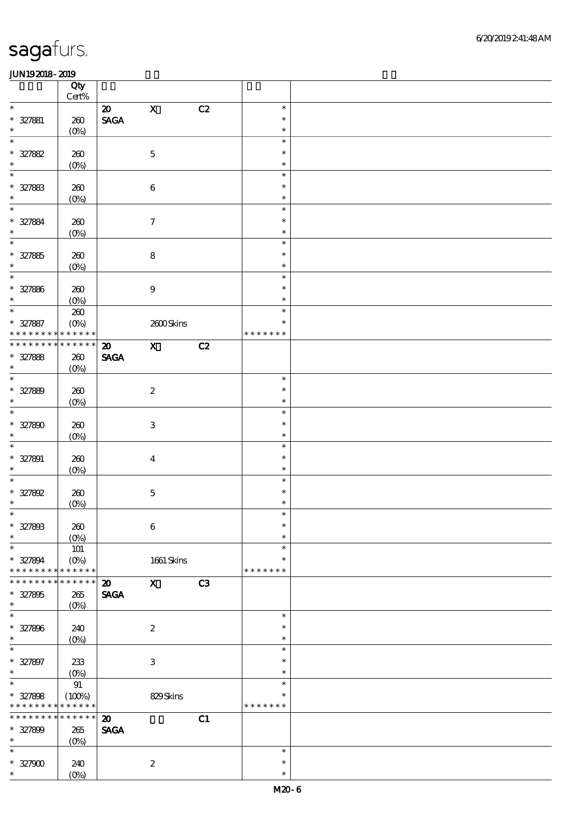|                             | Qty<br>Cert%      |                              |                           |    |               |  |
|-----------------------------|-------------------|------------------------------|---------------------------|----|---------------|--|
| $\ast$                      |                   | $\boldsymbol{\mathfrak{D}}$  | $\mathbf X$               | C2 | $\ast$        |  |
|                             |                   | $\ensuremath{\mathsf{SAGA}}$ |                           |    | $\ast$        |  |
| $* 327881$<br>$\ast$        | 260               |                              |                           |    | $\ast$        |  |
| $\ast$                      | $(0\%)$           |                              |                           |    | $\ast$        |  |
|                             |                   |                              |                           |    | $\ast$        |  |
| $* 327882$                  | $200$             |                              | $\mathbf 5$               |    |               |  |
| $\ast$                      | $(0\%)$           |                              |                           |    | $\ast$        |  |
| $\ast$                      |                   |                              |                           |    | $\ast$        |  |
| $* 327883$                  | 260               |                              | $\,6\,$                   |    | $\ast$        |  |
| $\ast$                      | $(0\%)$           |                              |                           |    | $\ast$        |  |
| $\ast$                      |                   |                              |                           |    | $\ast$        |  |
| $* 327884$                  | $200$             |                              | $\boldsymbol{7}$          |    | $\ast$        |  |
| $\ast$                      | $(0\%)$           |                              |                           |    | $\ast$        |  |
| $\overline{\phantom{1}}$    |                   |                              |                           |    | $\ast$        |  |
| $* 327885$                  | $200$             |                              | $\bf 8$                   |    | $\ast$        |  |
| $\ast$                      | $(0\%)$           |                              |                           |    | $\ast$        |  |
| $\overline{\ast}$           |                   |                              |                           |    | $\ast$        |  |
| $* 327886$                  | $200$             |                              | $\boldsymbol{9}$          |    | $\ast$        |  |
| $\ast$                      |                   |                              |                           |    | $\ast$        |  |
| $\ast$                      | $(O\%)$           |                              |                           |    | $\ast$        |  |
|                             | 260               |                              |                           |    |               |  |
| $* 327887$                  | $(0\%)$           |                              | 2600Skins                 |    | $\ast$        |  |
| * * * * * * * *             | * * * * * *       |                              |                           |    | * * * * * * * |  |
| * * * * * * * * * * * * * * |                   | $\boldsymbol{\mathsf{20}}$   | $\mathbf{x}$              | C2 |               |  |
| $* 327888$                  | 260               | <b>SAGA</b>                  |                           |    |               |  |
| $\ast$                      | $(0\%)$           |                              |                           |    |               |  |
| $\ast$                      |                   |                              |                           |    | $\ast$        |  |
| $* 327889$                  | 260               |                              | $\boldsymbol{2}$          |    | $\ast$        |  |
| $\ast$                      | $(0\%)$           |                              |                           |    | $\ast$        |  |
| $\ast$                      |                   |                              |                           |    | $\ast$        |  |
| $* 327800$                  | $200$             |                              | $\ensuremath{\mathbf{3}}$ |    | $\ast$        |  |
| $\ast$                      | $(0\%)$           |                              |                           |    | $\ast$        |  |
| $\ast$                      |                   |                              |                           |    | $\ast$        |  |
| $* 327891$                  |                   |                              |                           |    | $\ast$        |  |
| $\ast$                      | 260               |                              | $\boldsymbol{4}$          |    | $\ast$        |  |
| $\ast$                      | $(0\%)$           |                              |                           |    |               |  |
|                             |                   |                              |                           |    | $\ast$        |  |
| $* 327892$                  | $200$             |                              | $\mathbf 5$               |    | $\ast$        |  |
| $\ast$                      | (0%)              |                              |                           |    | $\ast$        |  |
| $\ast$                      |                   |                              |                           |    | $\ast$        |  |
| $* 327808$                  | 260               |                              | $\,6\,$                   |    | $\ast$        |  |
| $\ast$                      | $(O\%)$           |                              |                           |    | $\ast$        |  |
| $\ast$                      | 101               |                              |                           |    | $\ast$        |  |
| $* 327894$                  | $(O\%)$           |                              | $1661$ Skins              |    | $\ast$        |  |
| * * * * * * * *             | * * * * * *       |                              |                           |    | * * * * * * * |  |
| * * * *                     | * * * * * *       | $\boldsymbol{\mathbf{z}}$    | $\mathbf x$               | C3 |               |  |
| $* 327895$                  | 265               | <b>SAGA</b>                  |                           |    |               |  |
| $\ast$                      | (O <sub>0</sub> ) |                              |                           |    |               |  |
| $\ast$                      |                   |                              |                           |    | $\ast$        |  |
| $* 327806$                  | 240               |                              | $\boldsymbol{2}$          |    | $\ast$        |  |
| $\ast$                      | $(O\%)$           |                              |                           |    | $\ast$        |  |
| $\ast$                      |                   |                              |                           |    | $\ast$        |  |
|                             |                   |                              |                           |    | $\ast$        |  |
| $* 327897$                  | 233               |                              | $\,3$                     |    |               |  |
| $\ast$<br>$\ast$            | $(0\%)$           |                              |                           |    | $\ast$        |  |
|                             | 91                |                              |                           |    | $\ast$        |  |
| $* 327808$                  | (100%)            |                              | 829Skins                  |    | $\ast$        |  |
| * * * * * * * *             | * * * * * *       |                              |                           |    | * * * * * * * |  |
| * * * * * * *               | * * * * * *       | $\boldsymbol{\mathfrak{D}}$  |                           | C1 |               |  |
| $* 327800$                  | $265\,$           | <b>SAGA</b>                  |                           |    |               |  |
| $\ast$                      | $(O\%)$           |                              |                           |    |               |  |
| $\ast$                      |                   |                              |                           |    | $\ast$        |  |
| $* 327900$                  | 240               |                              | $\boldsymbol{2}$          |    | $\ast$        |  |
| $\ast$                      | $(0\%)$           |                              |                           |    | $\ast$        |  |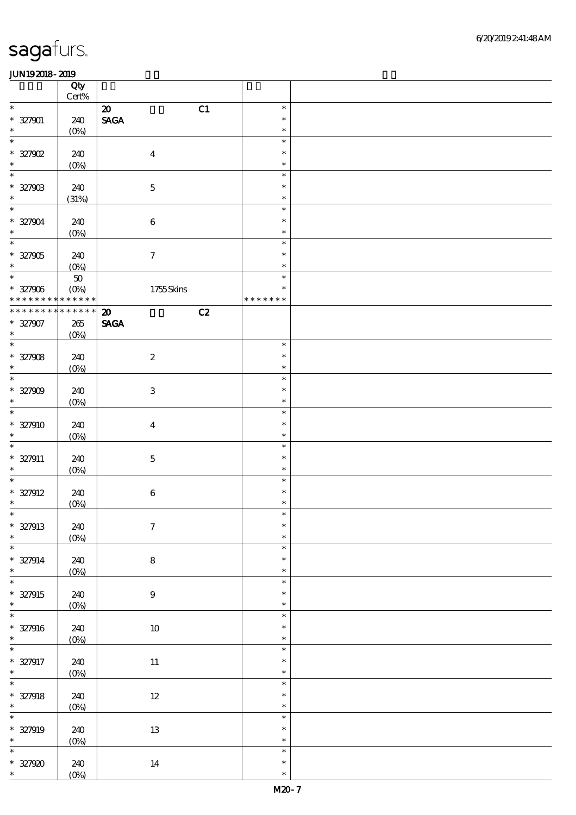|                             | Qty<br>$\mbox{Cert}\%$ |                                   |               |  |
|-----------------------------|------------------------|-----------------------------------|---------------|--|
| $\ast$                      |                        | C1<br>$\boldsymbol{\mathfrak{D}}$ | $\ast$        |  |
|                             |                        |                                   | $\ast$        |  |
| $* 327901$<br>$\ast$        | 240                    | $\ensuremath{\mathsf{SAGA}}$      | $\ast$        |  |
| $\ast$                      | $(0\%)$                |                                   | $\ast$        |  |
|                             |                        |                                   |               |  |
| $*$ 327902                  | 240                    | $\boldsymbol{4}$                  | $\ast$        |  |
| $\ast$                      | $(0\%)$                |                                   | $\ast$        |  |
| $\ast$                      |                        |                                   | $\ast$        |  |
| $* 32790B$                  | 240                    | $\mathbf 5$                       | $\ast$        |  |
| $\ast$                      | (31%)                  |                                   | $\ast$        |  |
| $\overline{\ast}$           |                        |                                   | $\ast$        |  |
| $* 327904$                  | 240                    | $\bf 6$                           | $\ast$        |  |
| $\ast$                      | $(0\%)$                |                                   | $\ast$        |  |
| $\overline{\ast}$           |                        |                                   | $\ast$        |  |
| $* 327905$                  | 240                    | $\boldsymbol{7}$                  | $\ast$        |  |
| $\ast$                      | $(0\%)$                |                                   | $\ast$        |  |
| $\overline{\ast}$           | $5\!\mathrm{O}$        |                                   | $\ast$        |  |
| $* 327906$                  | $(O\%)$                | $1755$ Skins                      | $\ast$        |  |
| * * *                       | * * * * * *            |                                   | * * * * * * * |  |
| * * * * * * *               | * * * * * *            | C2<br>$\boldsymbol{\mathfrak{D}}$ |               |  |
| $* 327907$                  | $265\,$                | <b>SAGA</b>                       |               |  |
| $\ast$                      |                        |                                   |               |  |
| $\overline{\ast}$           | $(0\%)$                |                                   | $\ast$        |  |
|                             |                        |                                   |               |  |
| $* 327908$                  | 240                    | $\boldsymbol{2}$                  | $\ast$        |  |
| $\ast$<br>$\overline{\ast}$ | $(0\%)$                |                                   | $\ast$        |  |
|                             |                        |                                   | $\ast$        |  |
| $* 327909$                  | 240                    | $\ensuremath{\mathsf{3}}$         | $\ast$        |  |
| $\ast$                      | $(0\%)$                |                                   | $\ast$        |  |
| $\overline{\ast}$           |                        |                                   | $\ast$        |  |
| $* 327910$                  | 240                    | $\boldsymbol{4}$                  | $\ast$        |  |
| $\ast$                      | $(0\%)$                |                                   | $\ast$        |  |
| $\ast$                      |                        |                                   | $\ast$        |  |
| $* 327911$                  | 240                    | $\mathbf 5$                       | $\ast$        |  |
| $\ast$                      | $(0\%)$                |                                   | $\ast$        |  |
| $\ast$                      |                        |                                   | $\ast$        |  |
| $* 327912$                  | 240                    | $\bf 6$                           | $\ast$        |  |
| $\ast$                      | (0%)                   |                                   | $\ast$        |  |
| $*$                         |                        |                                   | $\ast$        |  |
| $* 327913$                  | 240                    | $\boldsymbol{7}$                  | $\ast$        |  |
| $\ast$                      | $(0\%)$                |                                   | $\ast$        |  |
| $\frac{1}{\ast}$            |                        |                                   | $\ast$        |  |
| $* 327914$                  | 240                    | ${\bf 8}$                         | $\ast$        |  |
| $\ast$                      | (0%)                   |                                   | $\ast$        |  |
| $\overline{\ast}$           |                        |                                   | $\ast$        |  |
|                             |                        |                                   | $\ast$        |  |
| $* 327915$<br>$\ast$        | 240                    | $9\,$                             | $\ast$        |  |
| $\overline{\phantom{0}}$    | $(0\%)$                |                                   | $\ast$        |  |
|                             |                        |                                   |               |  |
| $* 327916$                  | 240                    | $10\,$                            | $\ast$        |  |
| $\ast$<br>$\ast$            | $(0\%)$                |                                   | $\ast$        |  |
|                             |                        |                                   | $\ast$        |  |
| $* 327917$                  | 240                    | $11\,$                            | $\ast$        |  |
| $\ast$                      | (0%)                   |                                   | $\ast$        |  |
| $\overline{\ast}$           |                        |                                   | $\ast$        |  |
| $* 327918$                  | 240                    | $12\,$                            | $\ast$        |  |
| $\ast$                      | $(0\%)$                |                                   | $\ast$        |  |
| $\overline{\ast}$           |                        |                                   | $\ast$        |  |
| $* 327919$                  | 240                    | $1\!3$                            | $\ast$        |  |
| $\ast$                      | $(0\%)$                |                                   | $\ast$        |  |
| $\ast$                      |                        |                                   | $\ast$        |  |
| $* 327920$                  | 240                    | $14\,$                            | $\ast$        |  |
|                             | $(0\%)$                |                                   | $\ast$        |  |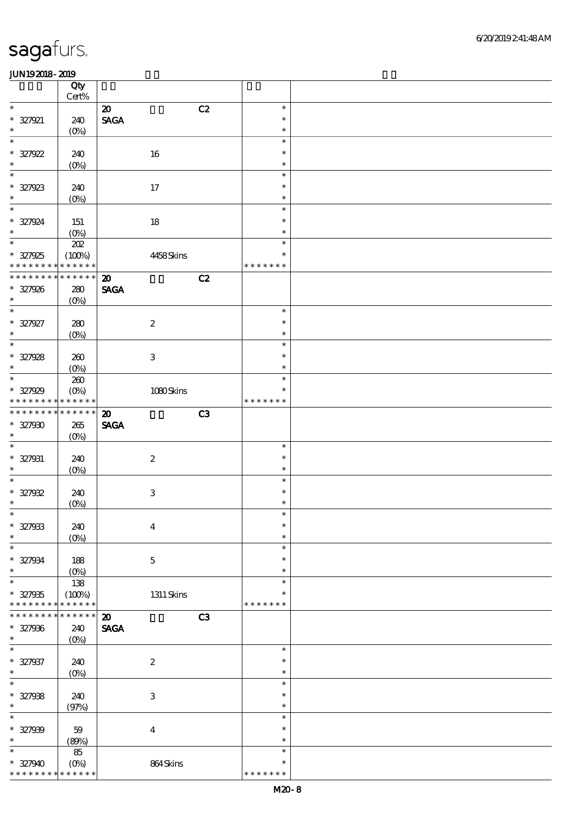|                                    | Qty         |                             |    |               |  |
|------------------------------------|-------------|-----------------------------|----|---------------|--|
|                                    | Cert%       |                             |    |               |  |
| $\ast$                             |             | $\boldsymbol{\mathfrak{D}}$ | C2 | $\ast$        |  |
| $* 327921$                         | 240         | <b>SAGA</b>                 |    | $\ast$        |  |
| $\ast$                             | $(0\%)$     |                             |    | $\ast$        |  |
| $\overline{\ast}$                  |             |                             |    | $\ast$        |  |
| $* 327922$                         | 240         | 16                          |    | $\ast$        |  |
| $\ast$                             | $(0\%)$     |                             |    | $\ast$        |  |
| $\ast$                             |             |                             |    | $\ast$        |  |
| $* 327923$                         | 240         | $17\,$                      |    | $\ast$        |  |
| $\ast$                             | $(0\%)$     |                             |    | $\ast$        |  |
| $\ast$                             |             |                             |    | $\ast$        |  |
| $* 327924$                         | 151         | $18\,$                      |    | $\ast$        |  |
| $\ast$                             | $(0\%)$     |                             |    | $\ast$        |  |
| $\overline{\ast}$                  | $202\,$     |                             |    | $\ast$        |  |
| $* 327925$                         | (100%)      | 4458Skins                   |    | $\ast$        |  |
| * * * * * * * *                    | * * * * * * |                             |    | * * * * * * * |  |
| * * * * * * * *                    | * * * * * * | $\boldsymbol{\mathbf{z}}$   | C2 |               |  |
|                                    |             |                             |    |               |  |
| $* 327926$<br>$\ast$               | 280         | <b>SAGA</b>                 |    |               |  |
| $\ast$                             | $(O\%)$     |                             |    | $\ast$        |  |
|                                    |             |                             |    | $\ast$        |  |
| $* 327927$                         | 280         | $\boldsymbol{z}$            |    |               |  |
| $\ast$<br>$\overline{\phantom{a}}$ | (0%)        |                             |    | $\ast$        |  |
|                                    |             |                             |    | $\ast$        |  |
| $* 327928$                         | 260         | $\ensuremath{\mathsf{3}}$   |    | $\ast$        |  |
| $\ast$                             | $(O\%)$     |                             |    | $\ast$        |  |
| $\ast$                             | 260         |                             |    | $\ast$        |  |
| $* 327929$                         | $(O\%)$     | 1080Skins                   |    |               |  |
| * * * * * * * *                    | * * * * * * |                             |    | * * * * * * * |  |
| * * * * * * *                      | * * * * * * | $\boldsymbol{\mathfrak{D}}$ | C3 |               |  |
| $* 327900$                         | $265\,$     | <b>SAGA</b>                 |    |               |  |
| $\ast$                             | $(O\%)$     |                             |    |               |  |
| $\ast$                             |             |                             |    | $\ast$        |  |
| $* 327931$                         | 240         | $\boldsymbol{2}$            |    | $\ast$        |  |
| $\ast$                             | $(O\%)$     |                             |    | $\ast$        |  |
| $\ast$                             |             |                             |    | $\ast$        |  |
| $* 327932$                         | 240         | $\ensuremath{\mathbf{3}}$   |    | $\ast$        |  |
| $\ast$                             | $(0\%)$     |                             |    | $\ast$        |  |
| $\ast$                             |             |                             |    | $\ast$        |  |
| $* 327933$                         | 240         | $\boldsymbol{4}$            |    | $\ast$        |  |
| $\ast$                             | $(O\%)$     |                             |    | $\ast$        |  |
| $\ast$                             |             |                             |    | $\ast$        |  |
| $* 327934$                         | 188         | $\mathbf 5$                 |    | $\ast$        |  |
| $\ast$                             | $(0\%)$     |                             |    | $\ast$        |  |
| $\ast$                             | 138         |                             |    | $\ast$        |  |
| $* 327935$                         | (100%)      | $1311$ Skins                |    |               |  |
| * * * * * * * *                    | * * * * * * |                             |    | * * * * * * * |  |
| * * * * * * *                      | * * * * * * |                             |    |               |  |
|                                    |             | $\boldsymbol{\mathbf{z}}$   | C3 |               |  |
| $* 327936$<br>$\ast$               | 240         | <b>SAGA</b>                 |    |               |  |
| $\ast$                             | $(O\%)$     |                             |    | $\ast$        |  |
|                                    |             |                             |    |               |  |
| $* 327937$                         | 240         | $\boldsymbol{2}$            |    | $\ast$        |  |
| $\ast$<br>$\ast$                   | $(O_0)$     |                             |    | $\ast$        |  |
|                                    |             |                             |    | $\ast$        |  |
| $* 327938$                         | 240         | $\ensuremath{\mathsf{3}}$   |    | $\ast$        |  |
| $\ast$                             | (97%)       |                             |    | $\ast$        |  |
| $\ast$                             |             |                             |    | $\ast$        |  |
| $* 327939$                         | 59          | $\boldsymbol{4}$            |    | $\ast$        |  |
| $\ast$                             | (80%)       |                             |    | $\ast$        |  |
| $\ast$                             | 85          |                             |    | $\ast$        |  |
| $* 327940$                         | $(O\!/\!o)$ | 864Skins                    |    | ∗             |  |
| * * * * * * *                      | * * * * * * |                             |    | * * * * * * * |  |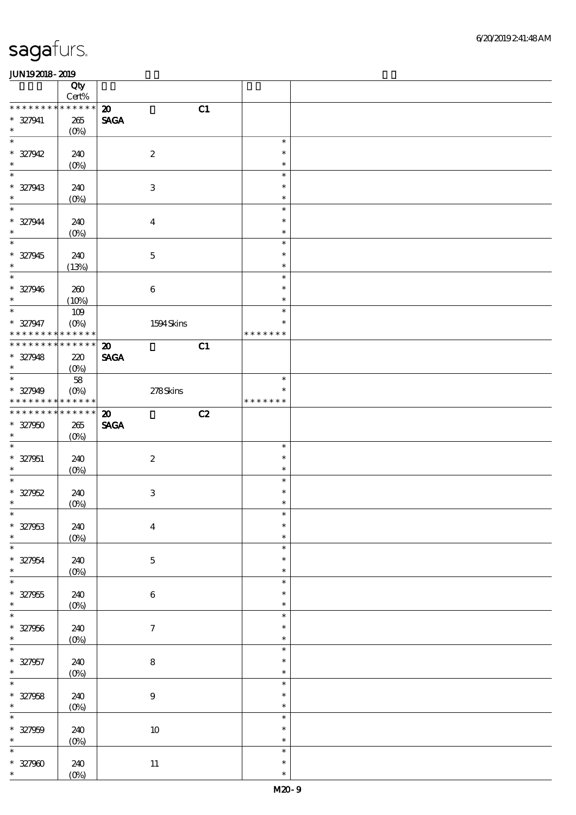|                             | Qty                       |                                   |                  |  |
|-----------------------------|---------------------------|-----------------------------------|------------------|--|
| * * * * * * * *             | $Cert\%$<br>* * * * * *   | $\boldsymbol{\mathfrak{D}}$       |                  |  |
| $* 327941$                  | 265                       | C1<br><b>SAGA</b>                 |                  |  |
| $\ast$                      | $(O\%)$                   |                                   |                  |  |
| $\ast$                      |                           |                                   | $\ast$           |  |
| $* 327942$                  | 240                       | $\boldsymbol{2}$                  | $\ast$           |  |
| $\ast$                      | $(0\%)$                   |                                   | $\ast$           |  |
| $\ast$                      |                           |                                   | $\ast$<br>$\ast$ |  |
| $* 327943$<br>$\ast$        | 240<br>$(0\%)$            | $\,3$                             | $\ast$           |  |
| $\ast$                      |                           |                                   | $\ast$           |  |
| $* 327944$                  | 240                       | $\boldsymbol{4}$                  | $\ast$           |  |
| $\ast$                      | $(0\%)$                   |                                   | $\ast$           |  |
| $\overline{\phantom{0}}$    |                           |                                   | $\ast$           |  |
| $* 327945$                  | 240                       | $\mathbf 5$                       | $\ast$           |  |
| $\ast$<br>$\overline{\ast}$ | (13%)                     |                                   | $\ast$<br>$\ast$ |  |
| $* 327946$                  | 260                       | $\,6\,$                           | $\ast$           |  |
| $\ast$                      | (10%)                     |                                   | $\ast$           |  |
| $\ast$                      | $109$                     |                                   | $\ast$           |  |
| * 327947                    | $(O\!\!\!\!\!\!\!/\,\!o)$ | 1594Skins                         | $\ast$           |  |
| * * * * * * * *             | * * * * * *               |                                   | * * * * * * *    |  |
| * * * * * * *               | * * * * * *               | C1<br>$\boldsymbol{\mathbf{z}}$   |                  |  |
| $* 327948$<br>$\ast$        | 220                       | <b>SAGA</b>                       |                  |  |
| $\overline{\phantom{0}}$    | $(O\%)$<br>${\bf 58}$     |                                   | $\ast$           |  |
| $* 327949$                  | $(O\%)$                   | 278Skins                          | $\ast$           |  |
| * * * * * * * *             | * * * * * *               |                                   | * * * * * * *    |  |
| * * * * * * * *             | * * * * * *               | C2<br>$\boldsymbol{\mathfrak{D}}$ |                  |  |
| $* 327950$                  | $265\,$                   | <b>SAGA</b>                       |                  |  |
| $\ast$                      | $(O\%)$                   |                                   |                  |  |
| $\ast$                      |                           |                                   | $\ast$           |  |
| $* 327951$<br>$\ast$        | 240<br>$(0\%)$            | $\boldsymbol{2}$                  | $\ast$<br>$\ast$ |  |
| $\ast$                      |                           |                                   | $\ast$           |  |
| $* 327952$                  | 240                       | $\,3$                             | $\ast$           |  |
| $\ast$                      | (0%)                      |                                   | $\ast$           |  |
| $*$                         |                           |                                   | $\ast$           |  |
| $* 327953$                  | 240                       | $\boldsymbol{4}$                  | $\ast$           |  |
| $\ast$<br>$\ast$            | $(0\%)$                   |                                   | $\ast$<br>$\ast$ |  |
| $* 327954$                  | 240                       | $\bf 5$                           | $\ast$           |  |
| $\ast$                      | (0%)                      |                                   | $\ast$           |  |
| $\ast$                      |                           |                                   | $\ast$           |  |
| $* 327955$                  | 240                       | $\,6\,$                           | $\ast$           |  |
| $\ast$                      | $(0\%)$                   |                                   | $\ast$           |  |
| $\ast$                      |                           |                                   | $\ast$           |  |
| $* 327956$<br>$\ast$        | 240                       | $\boldsymbol{7}$                  | $\ast$<br>$\ast$ |  |
| $\ast$                      | (0%)                      |                                   | $\ast$           |  |
| $* 327957$                  | 240                       | $\bf 8$                           | $\ast$           |  |
| $\ast$                      | (0%)                      |                                   | $\ast$           |  |
| $\overline{\ast}$           |                           |                                   | $\ast$           |  |
| $* 327958$                  | 240                       | $\boldsymbol{9}$                  | $\ast$           |  |
| $\ast$                      | (0%)                      |                                   | $\ast$           |  |
| $\ast$                      |                           |                                   | $\ast$           |  |
| $* 327959$<br>$\ast$        | 240                       | $10\,$                            | $\ast$<br>$\ast$ |  |
| $\ast$                      | $(O\!/\!\!\delta)$        |                                   | $\ast$           |  |
| * 327960 $*$                | 240                       | $11\,$                            | $\ast$           |  |
|                             | $(0\%)$                   |                                   | $\ast$           |  |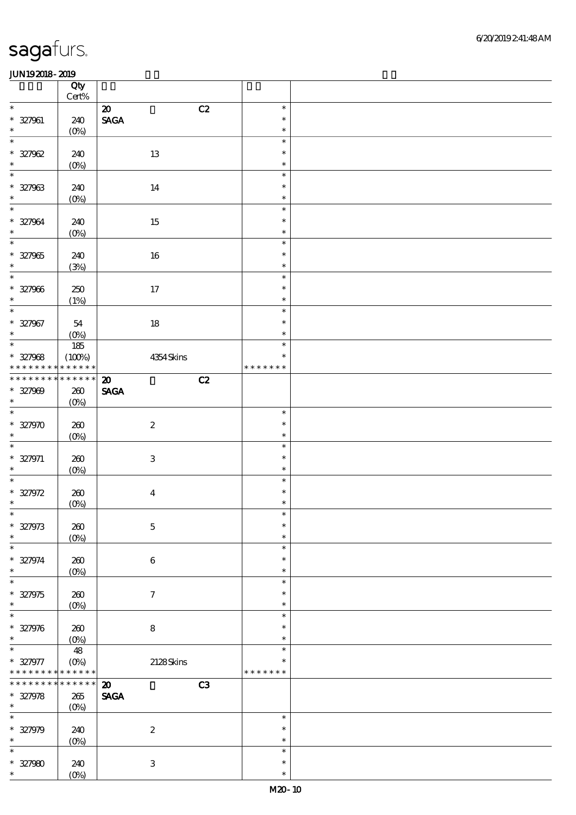|                                            | Qty               |                                   |                  |  |
|--------------------------------------------|-------------------|-----------------------------------|------------------|--|
| $\ast$                                     | $\mbox{Cert}\%$   | C2<br>${\bf Z}$                   | $\ast$           |  |
| $* 327961$                                 | 240               | <b>SAGA</b>                       | $\ast$           |  |
| $\ast$                                     | $(0\%)$           |                                   | $\ast$           |  |
| $\ast$                                     |                   |                                   | $\ast$           |  |
| $* 327962$                                 | 240               | 13                                | $\ast$           |  |
| $\ast$                                     | $(0\%)$           |                                   | $\ast$           |  |
| $\ast$                                     |                   |                                   | $\ast$           |  |
| $* 327963$                                 | 240               | $14\,$                            | $\ast$           |  |
| $\ast$                                     | $(0\%)$           |                                   | $\ast$           |  |
| $\ast$                                     |                   |                                   | $\ast$           |  |
| $* 327964$                                 | 240               | 15                                | $\ast$           |  |
| $\ast$                                     | $(0\%)$           |                                   | $\ast$           |  |
| $\ast$                                     |                   |                                   | $\ast$           |  |
| $* 327965$                                 | 240               | $16\,$                            | $\ast$           |  |
| $\ast$<br>$\overline{\ast}$                | (3%)              |                                   | $\ast$<br>$\ast$ |  |
|                                            |                   |                                   | $\ast$           |  |
| $* 327966$<br>$\ast$                       | 250<br>(1%)       | $17\,$                            | $\ast$           |  |
| $\overline{\ast}$                          |                   |                                   | $\ast$           |  |
| $* 327967$                                 | ${\bf 54}$        | $18\,$                            | $\ast$           |  |
| $\ast$                                     | (0%)              |                                   | $\ast$           |  |
| $\ast$                                     | $185\,$           |                                   | $\ast$           |  |
| $* 327968$                                 | (100%)            | 4354Skins                         | $\ast$           |  |
| * * * * * * * *                            | * * * * * *       |                                   | * * * * * * *    |  |
| * * * * * * *                              | * * * * * *       | $\boldsymbol{\mathfrak{D}}$<br>C2 |                  |  |
| $* 327909$                                 | $200$             | <b>SAGA</b>                       |                  |  |
| $\ast$                                     | $(0\%)$           |                                   |                  |  |
| $\overline{\ast}$                          |                   |                                   | $\ast$           |  |
| $* 327970$                                 | 260               | $\boldsymbol{2}$                  | $\ast$           |  |
| $\ast$<br>$\ast$                           | $(0\%)$           |                                   | $\ast$           |  |
|                                            |                   |                                   | $\ast$<br>$\ast$ |  |
| $* 327971$<br>$\ast$                       | $200$             | $\,3\,$                           | $\ast$           |  |
| $\ast$                                     | $(0\%)$           |                                   | $\ast$           |  |
| $* 327972$                                 | $200$             | $\overline{\mathbf{4}}$           | $\ast$           |  |
| $\ast$                                     | (0%)              |                                   | $\ast$           |  |
| $*$                                        |                   |                                   | $\ast$           |  |
| $* 327973$                                 | 260               | $\bf 5$                           | $\ast$           |  |
| $\ast$                                     | $(0\%)$           |                                   | $\ast$           |  |
| $\ast$                                     |                   |                                   | $\ast$           |  |
| $* 327974$                                 | $200$             | $\bf 6$                           | $\ast$           |  |
| $\ast$                                     | $(0\%)$           |                                   | $\ast$           |  |
| $\ast$                                     |                   |                                   | $\ast$           |  |
| $* 327975$<br>$\ast$                       | $200$             | $\boldsymbol{7}$                  | $\ast$           |  |
| $\ast$                                     | $(0\%)$           |                                   | $\ast$<br>$\ast$ |  |
| $* 327976$                                 | 260               | $\bf8$                            | $\ast$           |  |
| $\ast$                                     | (O <sub>0</sub> ) |                                   | $\ast$           |  |
| $\ast$                                     | 48                |                                   | $\ast$           |  |
| $* 327977$                                 | (0%)              | $2128$ Skins                      | *                |  |
| * * * * * * * * <mark>* * * * * *</mark> * |                   |                                   | * * * * * * *    |  |
| * * * * * * *                              | * * * * * *       | $\pmb{\mathfrak{D}}$<br>C3        |                  |  |
| $* 327978$                                 | $265\,$           | <b>SAGA</b>                       |                  |  |
| $\ast$                                     | $(0\%)$           |                                   |                  |  |
| $\ast$                                     |                   |                                   | $\ast$           |  |
| $* 327979$                                 | 240               | $\boldsymbol{2}$                  | $\ast$           |  |
| $\ast$                                     | $(0\%)$           |                                   | $\ast$           |  |
| $\ast$                                     |                   |                                   | $\ast$           |  |
| $* 327980$                                 | 240               | $\,3\,$                           | $\ast$           |  |
| $\ast$                                     | $(0\%)$           |                                   | $\ast$           |  |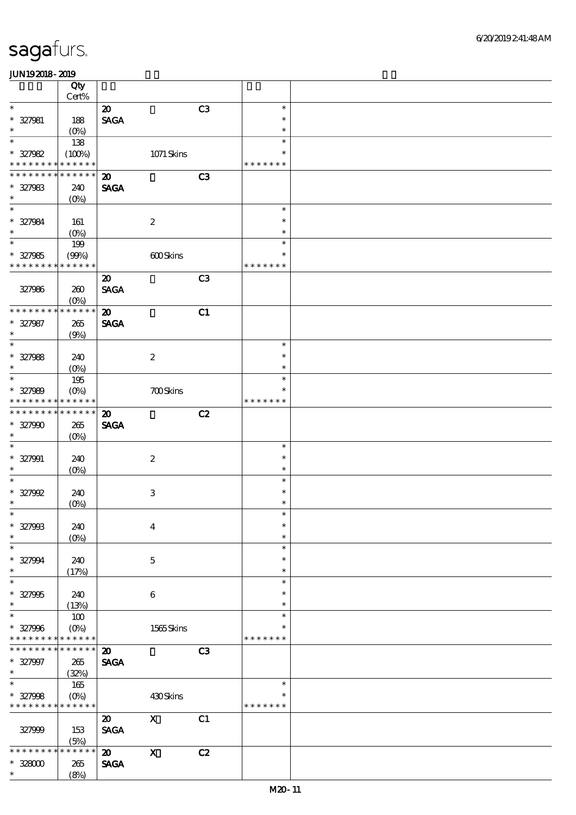|                               | Qty                               |                                |                           |                |                  |  |
|-------------------------------|-----------------------------------|--------------------------------|---------------------------|----------------|------------------|--|
|                               | Cert%                             |                                |                           |                |                  |  |
| $\ast$                        |                                   | $\boldsymbol{\mathsf{20}}$     |                           | C3             | $\ast$           |  |
| $* 327981$                    | 188                               | $\operatorname{\mathsf{SAGA}}$ |                           |                | $\ast$           |  |
| $\ast$<br>$\ast$              | $(O\%)$                           |                                |                           |                | $\ast$<br>$\ast$ |  |
|                               | 138                               |                                |                           |                | $\ast$           |  |
| $* 327982$<br>* * * * * * * * | (100%)<br>* * * * * *             |                                | $1071$ Skins              |                | * * * * * * *    |  |
| * * * * * * *                 | * * * * * *                       | $\boldsymbol{\mathfrak{D}}$    |                           | C3             |                  |  |
| $* 327983$                    | 240                               | <b>SAGA</b>                    |                           |                |                  |  |
| $\ast$                        | (O <sub>0</sub> )                 |                                |                           |                |                  |  |
| $\ast$                        |                                   |                                |                           |                | $\ast$           |  |
| $* 327984$                    | 161                               |                                | $\boldsymbol{2}$          |                | $\ast$           |  |
| $\ast$                        | $(O\%)$                           |                                |                           |                | $\ast$           |  |
| $\ast$                        | 199                               |                                |                           |                | $\ast$           |  |
| $* 327985$                    | (90%)                             |                                | 600Skins                  |                | $\ast$           |  |
| * * * * * * * *               | * * * * * *                       |                                |                           |                | * * * * * * *    |  |
|                               |                                   | $\boldsymbol{\mathbf{z}}$      |                           | C <sub>3</sub> |                  |  |
| 327986                        | 260                               | <b>SAGA</b>                    |                           |                |                  |  |
|                               | $(O\%)$                           |                                |                           |                |                  |  |
| * * * * * * * *               | * * * * * *                       | $\boldsymbol{\mathbf{z}}$      |                           | C1             |                  |  |
| $* 327987$                    | 265                               | <b>SAGA</b>                    |                           |                |                  |  |
| $\ast$<br>$\ast$              | (9%)                              |                                |                           |                | $\ast$           |  |
|                               |                                   |                                |                           |                | $\ast$           |  |
| $* 327988$<br>$\ast$          | 240                               |                                | $\boldsymbol{2}$          |                | $\ast$           |  |
| $\ast$                        | (O <sub>0</sub> )<br>195          |                                |                           |                | $\ast$           |  |
| $* 327989$                    | $(O\%)$                           |                                | <b>700Skins</b>           |                | $\ast$           |  |
| * * *                         | * * * * * *                       |                                |                           |                | * * * * * * *    |  |
| * * * * * * * *               | * * * * * *                       | $\boldsymbol{\mathfrak{D}}$    |                           | C2             |                  |  |
| $* 327990$                    | 265                               | <b>SAGA</b>                    |                           |                |                  |  |
| $\ast$                        | $(O\%)$                           |                                |                           |                |                  |  |
| $\ast$                        |                                   |                                |                           |                | $\ast$           |  |
| $* 327991$                    | 240                               |                                | $\boldsymbol{2}$          |                | $\ast$           |  |
| $\ast$                        | $(0\%)$                           |                                |                           |                | $\ast$           |  |
| $\ast$                        |                                   |                                |                           |                | $\ast$           |  |
| $*327992$                     | 240                               |                                | $\,3\,$                   |                | $\ast$           |  |
| $\ast$                        | $(0\%)$                           |                                |                           |                | $\ast$           |  |
| $\ast$                        |                                   |                                |                           |                | $\ast$           |  |
| $* 327908$<br>$\ast$          | 240                               |                                | $\bf{4}$                  |                | $\ast$<br>$\ast$ |  |
| $\ast$                        | (O <sub>0</sub> )                 |                                |                           |                | $\ast$           |  |
| $* 327994$                    | 240                               |                                | $\mathbf{5}$              |                | $\ast$           |  |
| $\ast$                        | (17%)                             |                                |                           |                | $\ast$           |  |
| $\ast$                        |                                   |                                |                           |                | $\ast$           |  |
| $* 327995$                    | 240                               |                                | $\boldsymbol{6}$          |                | $\ast$           |  |
| $\ast$                        | (13%)                             |                                |                           |                | $\ast$           |  |
| $\ast$                        | 100                               |                                |                           |                | $\ast$           |  |
| * 327996                      | $(O\%)$                           |                                | 1565Skins                 |                |                  |  |
| * * * * * * * *               | * * * * * *                       |                                |                           |                | * * * * * * *    |  |
| * * * * * * *                 | * * * * * *                       | $\boldsymbol{\mathfrak{D}}$    |                           | C3             |                  |  |
| $* 327997$                    | 265                               | <b>SAGA</b>                    |                           |                |                  |  |
| $\ast$<br>$\ast$              | (32%)                             |                                |                           |                |                  |  |
|                               | 165                               |                                |                           |                | $\ast$<br>$\ast$ |  |
| $* 327998$<br>* * * * * * * * | $(O\!/\!\!\delta)$<br>* * * * * * |                                | 430Skins                  |                | * * * * * * *    |  |
|                               |                                   | $\boldsymbol{\mathfrak{D}}$    | $\mathbf{x}$              | C1             |                  |  |
| 327999                        | 153                               | <b>SAGA</b>                    |                           |                |                  |  |
|                               | (5%)                              |                                |                           |                |                  |  |
| * * * * * * *                 | * * * * * *                       | $\boldsymbol{\omega}$          | $\boldsymbol{\mathrm{X}}$ | C2             |                  |  |
| $*32800$                      | 265                               | <b>SAGA</b>                    |                           |                |                  |  |
| $\ast$                        | (8%)                              |                                |                           |                |                  |  |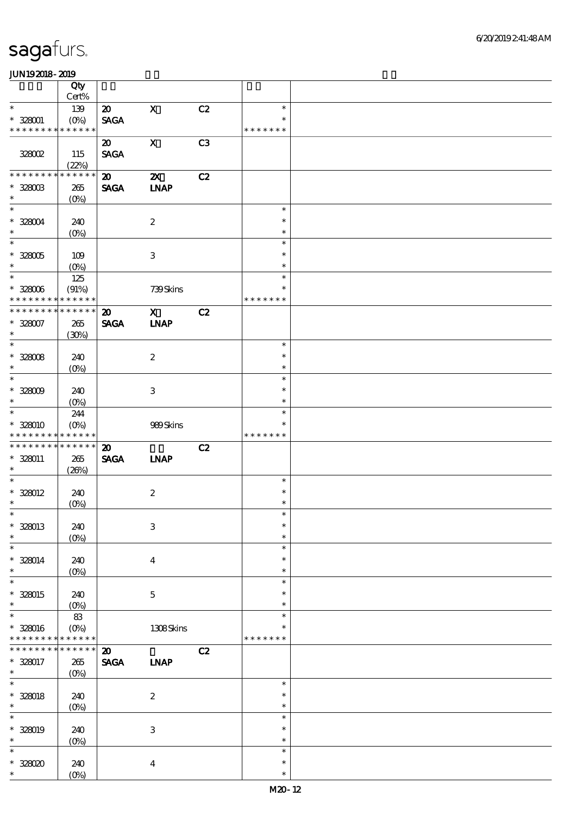|                                                                        | Qty                    |                             |                           |    |                  |  |
|------------------------------------------------------------------------|------------------------|-----------------------------|---------------------------|----|------------------|--|
|                                                                        | Cert%                  |                             |                           |    |                  |  |
| $\ast$                                                                 | 139                    | $\boldsymbol{\mathfrak{D}}$ | $\mathbf X$               | C2 | $\ast$           |  |
| $* 328001$                                                             | $(O\%)$                | <b>SAGA</b>                 |                           |    | $\ast$           |  |
| * * * * * * * * * * * * * *                                            |                        |                             |                           |    | * * * * * * *    |  |
|                                                                        |                        | $\boldsymbol{\mathfrak{D}}$ | $\mathbf X$               | C3 |                  |  |
| <b>328002</b>                                                          | 115                    | <b>SAGA</b>                 |                           |    |                  |  |
|                                                                        | (22%)                  |                             |                           |    |                  |  |
| * * * * * * * *                                                        | * * * * * *            | $\boldsymbol{\mathbf{z}}$   | $\boldsymbol{\mathsf{X}}$ | C2 |                  |  |
| $^*$ 328003 $\,$                                                       | 265                    | <b>SAGA</b>                 | <b>INAP</b>               |    |                  |  |
| $\ast$                                                                 | (O <sub>0</sub> )      |                             |                           |    |                  |  |
| $\ast$                                                                 |                        |                             |                           |    | $\ast$           |  |
| * 328004                                                               | 240                    |                             | $\boldsymbol{2}$          |    | $\ast$           |  |
| $\ast$                                                                 | $(0\%)$                |                             |                           |    | $\ast$           |  |
| $\overline{\ast}$                                                      |                        |                             |                           |    | $\ast$           |  |
| $* 328005$                                                             | 109                    |                             | $\,3$                     |    | $\ast$           |  |
| $\ast$                                                                 |                        |                             |                           |    | $\ast$           |  |
| $\overline{\phantom{0}}$                                               | $(O\%)$                |                             |                           |    | $\ast$           |  |
|                                                                        | 125                    |                             |                           |    | $\ast$           |  |
| $* 328006$<br>* * * * * * * *                                          | (91%)<br>* * * * * *   |                             | 739Skins                  |    | * * * * * * *    |  |
| * * * * * * * *                                                        | * * * * * *            |                             |                           |    |                  |  |
|                                                                        |                        | $\boldsymbol{\mathfrak{D}}$ | $\mathbf{X}$              | C2 |                  |  |
| $* 328007$                                                             | 265                    | <b>SAGA</b>                 | <b>INAP</b>               |    |                  |  |
| $\ast$                                                                 | (30%)                  |                             |                           |    |                  |  |
| $\ast$                                                                 |                        |                             |                           |    | $\ast$           |  |
| $* 328008$                                                             | 240                    |                             | $\boldsymbol{2}$          |    | $\ast$           |  |
| $\ast$                                                                 | (O <sub>0</sub> )      |                             |                           |    | $\ast$           |  |
| $\ast$                                                                 |                        |                             |                           |    | $\ast$           |  |
| $^\ast$ 328009                                                         | 240                    |                             | $\,3\,$                   |    | $\ast$           |  |
| $\ast$                                                                 | $(O\!/\!\!\delta)$     |                             |                           |    | $\ast$           |  |
| $\ast$                                                                 | 244                    |                             |                           |    | $\ast$           |  |
| $* 328010$                                                             | $(O\%)$                |                             | 989Skins                  |    | $\ast$           |  |
| * * * * * * * * * * * * * *                                            |                        |                             |                           |    | * * * * * * *    |  |
|                                                                        |                        |                             |                           |    |                  |  |
| * * * * * * * *                                                        | * * * * * *            | $\boldsymbol{\mathfrak{D}}$ |                           | C2 |                  |  |
| $* 328011$                                                             | 265                    | <b>SAGA</b>                 | <b>LNAP</b>               |    |                  |  |
| $\ast$                                                                 | (20%)                  |                             |                           |    |                  |  |
| $\ast$                                                                 |                        |                             |                           |    | $\ast$           |  |
|                                                                        | 240                    |                             |                           |    | $\ast$           |  |
| $* 328012$<br>$\ast$                                                   |                        |                             | $\boldsymbol{2}$          |    | $\ast$           |  |
| $*$                                                                    | $(0\%)$                |                             |                           |    | $\ast$           |  |
|                                                                        |                        |                             |                           |    | $\ast$           |  |
| $* 328013$<br>$\ast$                                                   | 240                    |                             | $\,3$                     |    | $\ast$           |  |
| $\ast$                                                                 | $(0\%)$                |                             |                           |    | $\ast$           |  |
|                                                                        |                        |                             |                           |    | $\ast$           |  |
| $* 328014$<br>$\ast$                                                   | 240                    |                             | $\boldsymbol{4}$          |    | $\ast$           |  |
| $\ast$                                                                 | $(0\%)$                |                             |                           |    | $\ast$           |  |
|                                                                        |                        |                             |                           |    | $\ast$           |  |
| $* 328015$<br>$\ast$                                                   | 240                    |                             | $\mathbf 5$               |    | $\ast$           |  |
| $\ast$                                                                 | (O <sub>0</sub> )      |                             |                           |    | $\ast$           |  |
|                                                                        | 83                     |                             |                           |    | $\ast$           |  |
| * * * * * * * *                                                        | $(O\%)$<br>* * * * * * |                             | 1308Skins                 |    | * * * * * * *    |  |
| * * * * * * *                                                          |                        |                             |                           |    |                  |  |
|                                                                        | * * * * * *            | $\boldsymbol{\mathfrak{D}}$ |                           | C2 |                  |  |
| $\ast$                                                                 | $265\,$                | <b>SAGA</b>                 | <b>INAP</b>               |    |                  |  |
|                                                                        | $(O\%)$                |                             |                           |    |                  |  |
|                                                                        |                        |                             |                           |    | $\ast$           |  |
|                                                                        | 240                    |                             | $\boldsymbol{2}$          |    | $\ast$           |  |
| $\ast$                                                                 | $(0\%)$                |                             |                           |    | $\ast$           |  |
| $\ast$                                                                 |                        |                             |                           |    | $\ast$           |  |
|                                                                        | 240                    |                             | $\,3$                     |    | $\ast$           |  |
| $* 328016$<br>* 328017<br>$\ast$<br>$* 328018$<br>$* 328019$<br>$\ast$ | $(0\%)$                |                             |                           |    | $\ast$           |  |
| $\ast$                                                                 |                        |                             |                           |    | $\ast$           |  |
| $* 32800$<br>$\ast$                                                    | 240<br>$(0\%)$         |                             | $\boldsymbol{4}$          |    | $\ast$<br>$\ast$ |  |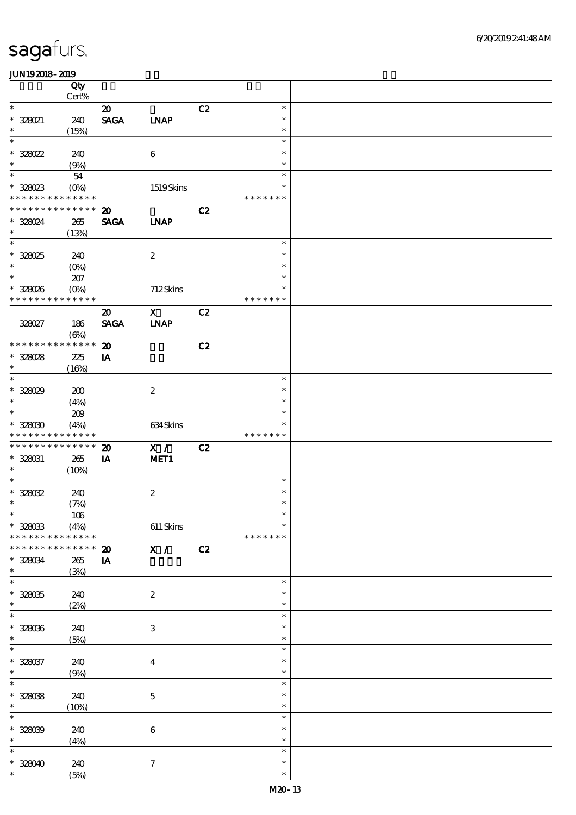|                                            | Qty<br>$Cert\%$ |                             |                           |    |               |  |
|--------------------------------------------|-----------------|-----------------------------|---------------------------|----|---------------|--|
| $\ast$                                     |                 | $\boldsymbol{\mathfrak{D}}$ |                           | C2 | $\ast$        |  |
|                                            |                 |                             |                           |    | $\ast$        |  |
| $*$ 328021                                 | 240             | $\pmb{\text{SAGA}}$         | <b>INAP</b>               |    |               |  |
| $\ast$                                     | (15%)           |                             |                           |    | $\ast$        |  |
| $\ast$                                     |                 |                             |                           |    | $\ast$        |  |
| $* 328022$                                 | 240             |                             | $\boldsymbol{6}$          |    | $\ast$        |  |
| $\ast$                                     | (9%)            |                             |                           |    | $\ast$        |  |
| $\ast$                                     | $54\,$          |                             |                           |    | $\ast$        |  |
| $* 328023$                                 | $(0\%)$         |                             | 1519Skins                 |    | $\ast$        |  |
| * * * * * * * * <mark>* * * * * * *</mark> |                 |                             |                           |    | * * * * * * * |  |
| * * * * * * * * * * * * * *                |                 | $\boldsymbol{\mathfrak{D}}$ |                           | C2 |               |  |
| * 328024                                   | 265             | <b>SAGA</b>                 | <b>INAP</b>               |    |               |  |
| $\ast$                                     |                 |                             |                           |    |               |  |
| $\ast$                                     | (13%)           |                             |                           |    |               |  |
|                                            |                 |                             |                           |    | $\ast$        |  |
| $* 328025$                                 | 240             |                             | $\boldsymbol{2}$          |    | $\ast$        |  |
| $\ast$                                     | $(0\%)$         |                             |                           |    | $\ast$        |  |
| $\ast$                                     | $207\,$         |                             |                           |    | $\ast$        |  |
| $* 328026$                                 | $(O\%)$         |                             | 712Skins                  |    | $\ast$        |  |
| * * * * * * * *                            | * * * * * *     |                             |                           |    | * * * * * * * |  |
|                                            |                 | $\boldsymbol{\mathfrak{D}}$ | $\mathbf x$               | C2 |               |  |
| 328027                                     | 186             | <b>SAGA</b>                 | <b>INAP</b>               |    |               |  |
|                                            | $(\Theta\%)$    |                             |                           |    |               |  |
| * * * * * * * *                            | * * * * * *     |                             |                           |    |               |  |
|                                            |                 | $\boldsymbol{\mathbf{z}}$   |                           | C2 |               |  |
| $* 328028$                                 | 225             | $\mathbf{I} \mathbf{A}$     |                           |    |               |  |
| $\ast$                                     | (16%)           |                             |                           |    |               |  |
| $\ast$                                     |                 |                             |                           |    | $\ast$        |  |
| $* 328029$                                 | 200             |                             | $\boldsymbol{2}$          |    | $\ast$        |  |
| $\ast$                                     | (4%)            |                             |                           |    | $\ast$        |  |
| $\ast$                                     | 209             |                             |                           |    | $\ast$        |  |
| $* 32800$                                  | (4%)            |                             | 634Skins                  |    | $\ast$        |  |
| * * * * * * * * * * * * * *                |                 |                             |                           |    | * * * * * * * |  |
| * * * * * * * *                            | * * * * * *     | $\boldsymbol{\mathbf{z}}$   | X /                       | C2 |               |  |
| $* 328031$                                 | 265             | IA                          | MET1                      |    |               |  |
| $\ast$                                     | (10%)           |                             |                           |    |               |  |
| $\ast$                                     |                 |                             |                           |    | $\ast$        |  |
| $* 328032$                                 | 240             |                             | $\boldsymbol{2}$          |    | $\ast$        |  |
| $\ast$                                     |                 |                             |                           |    | $\ast$        |  |
| $\ast$                                     | (7%)            |                             |                           |    | $\ast$        |  |
|                                            | $106\,$         |                             |                           |    | $\ast$        |  |
| $^*$ 328033                                | (4%)            |                             | $611$ Skins               |    |               |  |
| * * * * * * * *                            | * * * * * *     |                             |                           |    | * * * * * * * |  |
| * * * * * * *                              | * * * * * *     | $\boldsymbol{\mathbf{Z}}$   | $\mathbf{X}$ /            | C2 |               |  |
| $* 328034$                                 | 265             | IA                          |                           |    |               |  |
| $\ast$                                     | (3%)            |                             |                           |    |               |  |
| $\ast$                                     |                 |                             |                           |    | $\ast$        |  |
| $* 32805$                                  | 240             |                             | $\boldsymbol{2}$          |    | $\ast$        |  |
| $\ast$                                     | (2%)            |                             |                           |    | $\ast$        |  |
| $\ast$                                     |                 |                             |                           |    | $\ast$        |  |
| $* 328036$                                 | 240             |                             | $\ensuremath{\mathbf{3}}$ |    | $\ast$        |  |
| $\ast$                                     | (5%)            |                             |                           |    | $\ast$        |  |
| $\ast$                                     |                 |                             |                           |    | $\ast$        |  |
| $* 328037$                                 | 240             |                             | $\boldsymbol{4}$          |    | $\ast$        |  |
| $\ast$                                     | (9%)            |                             |                           |    | $\ast$        |  |
| $\ast$                                     |                 |                             |                           |    | $\ast$        |  |
|                                            |                 |                             |                           |    | $\ast$        |  |
| $* 328038$                                 | 240             |                             | $\mathbf 5$               |    |               |  |
| $\ast$                                     | (10%)           |                             |                           |    | $\ast$        |  |
| $\ast$                                     |                 |                             |                           |    | $\ast$        |  |
| $* 328039$                                 | 240             |                             | $\,6\,$                   |    | $\ast$        |  |
| $\ast$                                     | (4%)            |                             |                           |    | $\ast$        |  |
| $\ast$                                     |                 |                             |                           |    | $\ast$        |  |
| $* 328040$                                 | 240             |                             | $\boldsymbol{\tau}$       |    | $\ast$        |  |
| $\ast$                                     | (5%)            |                             |                           |    | $\ast$        |  |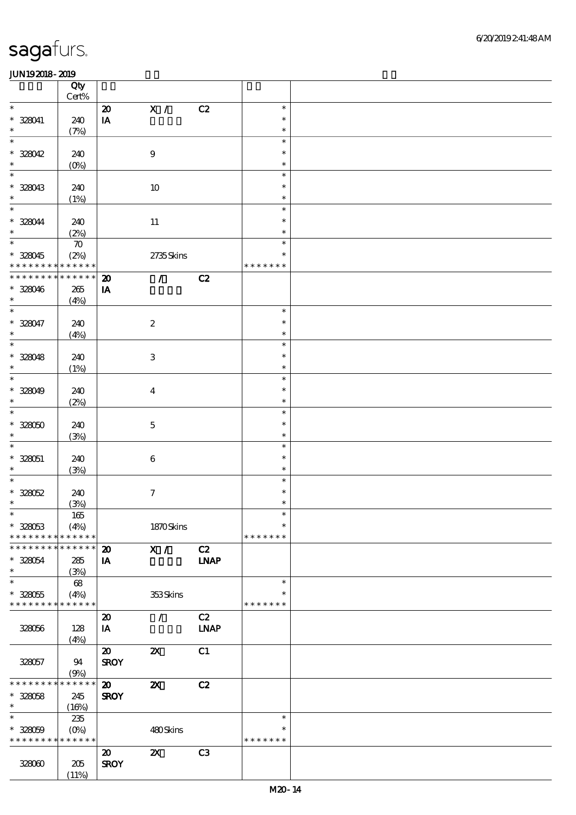|                                            | Qty<br>Cert%       |                             |                                 |                |               |  |
|--------------------------------------------|--------------------|-----------------------------|---------------------------------|----------------|---------------|--|
| $\ast$                                     |                    |                             |                                 |                | $\ast$        |  |
|                                            |                    | $\boldsymbol{\mathsf{20}}$  | $\mathbf{x}$ /                  | C2             |               |  |
| $* 328041$                                 | 240                | $\mathbf{I}\mathbf{A}$      |                                 |                | $\ast$        |  |
| $\ast$                                     | (7%)               |                             |                                 |                | $\ast$        |  |
| $\ast$                                     |                    |                             |                                 |                | $\ast$        |  |
| $* 328042$                                 | 240                |                             | $\boldsymbol{9}$                |                | $\ast$        |  |
| $\ast$                                     | $(0\%)$            |                             |                                 |                | $\ast$        |  |
| $\ast$                                     |                    |                             |                                 |                | $\ast$        |  |
| $* 328043$                                 | 240                |                             | $10\,$                          |                | $\ast$        |  |
| $\ast$                                     | (1%)               |                             |                                 |                | $\ast$        |  |
| $\ast$                                     |                    |                             |                                 |                | $\ast$        |  |
| * 328044                                   | 240                |                             | $11\,$                          |                | $\ast$        |  |
| $\ast$                                     |                    |                             |                                 |                | $\ast$        |  |
| $\ast$                                     | (2%)               |                             |                                 |                | $\ast$        |  |
|                                            | $\boldsymbol{\pi}$ |                             |                                 |                |               |  |
| * 328045                                   | (2%)               |                             | 2735Skins                       |                | $\ast$        |  |
| * * * * * * * * <mark>* * * * * * *</mark> |                    |                             |                                 |                | * * * * * * * |  |
| * * * * * * *                              | * * * * * *        | $\boldsymbol{\mathbf{z}}$   | $\mathcal{T}$ and $\mathcal{T}$ | C2             |               |  |
| $* 328046$                                 | $265\,$            | $\mathbf{I} \mathbf{A}$     |                                 |                |               |  |
| $\ast$                                     | (4%)               |                             |                                 |                |               |  |
| $\overline{\ast}$                          |                    |                             |                                 |                | $\ast$        |  |
| $* 328047$                                 | 240                |                             | $\boldsymbol{2}$                |                | $\ast$        |  |
| $\ast$                                     | (4%)               |                             |                                 |                | $\ast$        |  |
| $\overline{\ast}$                          |                    |                             |                                 |                | $\ast$        |  |
| $* 328048$                                 | 240                |                             | $\ensuremath{\mathbf{3}}$       |                | $\ast$        |  |
| $\ast$                                     | (1%)               |                             |                                 |                | $\ast$        |  |
| $\overline{\phantom{0}}$                   |                    |                             |                                 |                | $\ast$        |  |
|                                            |                    |                             |                                 |                | $\ast$        |  |
| $* 328049$                                 | 240                |                             | $\overline{\mathbf{4}}$         |                |               |  |
| $\ast$                                     | (2%)               |                             |                                 |                | $\ast$        |  |
| $\ast$                                     |                    |                             |                                 |                | $\ast$        |  |
| $* 328050$                                 | 240                |                             | $\mathbf 5$                     |                | $\ast$        |  |
| $\ast$                                     | (3%)               |                             |                                 |                | $\ast$        |  |
| $\ast$                                     |                    |                             |                                 |                | $\ast$        |  |
| $* 328051$                                 | 240                |                             | $\,6\,$                         |                | $\ast$        |  |
| $\ast$                                     | (3%)               |                             |                                 |                | $\ast$        |  |
| $\ast$                                     |                    |                             |                                 |                | $\ast$        |  |
| $* 328052$                                 | 240                |                             | $\boldsymbol{7}$                |                | $\ast$        |  |
| $\ast$                                     | (3%)               |                             |                                 |                | $\ast$        |  |
| $*$                                        | $165\,$            |                             |                                 |                | $\ast$        |  |
| $* 328053$                                 | (4%)               |                             | 1870Skins                       |                | $\ast$        |  |
| * * * * * * * *                            | * * * * * *        |                             |                                 |                | * * * * * * * |  |
| * * * * * * * * * * * * * *                |                    |                             |                                 |                |               |  |
|                                            |                    | $\boldsymbol{\mathfrak{D}}$ | X /                             | C2             |               |  |
| $* 328054$<br>$\ast$                       | 285                | IA                          |                                 | <b>INAP</b>    |               |  |
|                                            | (3%)               |                             |                                 |                |               |  |
| $\ast$                                     | 68                 |                             |                                 |                | $\ast$        |  |
| $* 328055$                                 | (4%)               |                             | 353Skins                        |                | $\ast$        |  |
| * * * * * * * *                            | * * * * * *        |                             |                                 |                | * * * * * * * |  |
|                                            |                    | $\boldsymbol{\mathfrak{D}}$ | $\mathcal{L}$                   | C2             |               |  |
| 328056                                     | 128                | IA                          |                                 | <b>LNAP</b>    |               |  |
|                                            | (4%)               |                             |                                 |                |               |  |
|                                            |                    | $\boldsymbol{\mathfrak{D}}$ | $\boldsymbol{\mathsf{z}}$       | C1             |               |  |
| 328057                                     | 94                 | <b>SROY</b>                 |                                 |                |               |  |
|                                            | (9%)               |                             |                                 |                |               |  |
| * * * * * * * *                            | * * * * * *        | $\boldsymbol{\mathfrak{D}}$ | $\boldsymbol{\mathsf{z}}$       | C2             |               |  |
| $* 328058$                                 | 245                | <b>SROY</b>                 |                                 |                |               |  |
| $\ast$                                     | (16%)              |                             |                                 |                |               |  |
| $\ast$                                     | 235                |                             |                                 |                | $\ast$        |  |
| $* 328059$                                 | $(0\%)$            |                             | 480Skins                        |                | $\ast$        |  |
| * * * * * * * * <mark>* * * * * *</mark>   |                    |                             |                                 |                | * * * * * * * |  |
|                                            |                    |                             |                                 |                |               |  |
|                                            |                    | $\boldsymbol{\mathfrak{D}}$ | $\boldsymbol{\mathsf{z}}$       | C <sub>3</sub> |               |  |
| 328000                                     | $205\,$            | <b>SROY</b>                 |                                 |                |               |  |
|                                            | (11%)              |                             |                                 |                |               |  |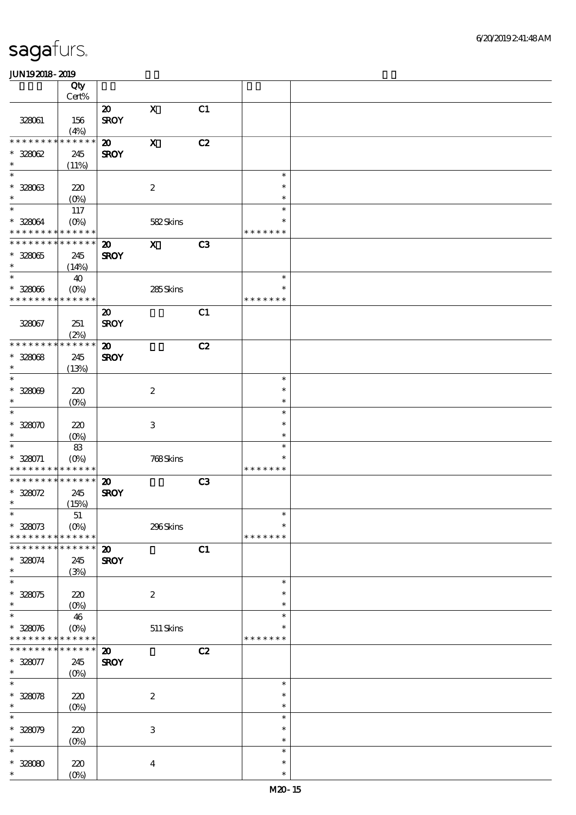|                                                          | Qty                 |                                          |                           |    |               |  |
|----------------------------------------------------------|---------------------|------------------------------------------|---------------------------|----|---------------|--|
|                                                          | Cert%               |                                          |                           |    |               |  |
|                                                          |                     | $\boldsymbol{\mathbf{z}}$<br><b>SROY</b> | $\mathbf X$               | C1 |               |  |
| 328061                                                   | 156<br>(4%)         |                                          |                           |    |               |  |
| * * * * * * *                                            | * * * * * *         | $\boldsymbol{\mathfrak{D}}$              | $\mathbf X$               | C2 |               |  |
| $* 32802$                                                | 245                 | <b>SROY</b>                              |                           |    |               |  |
| $\ast$                                                   | (11%)               |                                          |                           |    |               |  |
| $\ast$                                                   |                     |                                          |                           |    | $\ast$        |  |
| $* 328033$                                               | 220                 |                                          | $\boldsymbol{2}$          |    | $\ast$        |  |
| $\ast$<br>$\ast$                                         | (O <sub>0</sub> )   |                                          |                           |    | $\ast$        |  |
|                                                          | 117                 |                                          |                           |    | $\ast$<br>*   |  |
| * 328064<br>* * * * * * * * <mark>* * * * * *</mark>     | $(O\!/\!\!\delta)$  |                                          | 582Skins                  |    | * * * * * * * |  |
| * * * * * * * *                                          | * * * * * *         | $\boldsymbol{\mathfrak{D}}$              | $\boldsymbol{\mathrm{X}}$ | C3 |               |  |
| $* 32805$                                                | 245                 | <b>SROY</b>                              |                           |    |               |  |
| $\ast$                                                   | (14%)               |                                          |                           |    |               |  |
| $\ast$                                                   | 40                  |                                          |                           |    | $\ast$        |  |
| $* 328066$                                               | (O <sub>0</sub> )   |                                          | 285Skins                  |    | $\ast$        |  |
| * * * * * * * *                                          | * * * * * *         |                                          |                           |    | * * * * * * * |  |
|                                                          |                     | $\boldsymbol{\mathfrak{D}}$              |                           | C1 |               |  |
| 328067                                                   | 251                 | <b>SROY</b>                              |                           |    |               |  |
| * * * * * * * *                                          | (2%)<br>* * * * * * | $\boldsymbol{\mathfrak{D}}$              |                           | C2 |               |  |
| $* 328068$                                               | 245                 | <b>SROY</b>                              |                           |    |               |  |
| $\ast$                                                   | (13%)               |                                          |                           |    |               |  |
| $\ast$                                                   |                     |                                          |                           |    | $\ast$        |  |
| $* 328009$                                               | 220                 |                                          | $\boldsymbol{2}$          |    | $\ast$        |  |
| $\ast$                                                   | $(O\!/\!\!\delta)$  |                                          |                           |    | $\ast$        |  |
| $\ast$                                                   |                     |                                          |                           |    | $\ast$        |  |
| $* 328070$                                               | 220                 |                                          | $\,3$                     |    | $\ast$        |  |
| $\ast$                                                   | $(O\%)$             |                                          |                           |    | $\ast$        |  |
| $\ast$                                                   | $8\!3$              |                                          |                           |    | $\ast$<br>∗   |  |
| $* 328071$<br>* * * * * * * * <mark>* * * * * *</mark> * | $(O\%)$             |                                          | 768Skins                  |    | * * * * * * * |  |
| * * * * * * *                                            | * * * * * *         | $\boldsymbol{\mathfrak{D}}$              |                           | C3 |               |  |
| $* 328072$                                               | 245                 | <b>SROY</b>                              |                           |    |               |  |
| $\ast$                                                   | (15%)               |                                          |                           |    |               |  |
| $*$                                                      | $5\!1$              |                                          |                           |    | $\ast$        |  |
| $* 328073$                                               | $(O\%)$             |                                          | 296Skins                  |    | $\ast$        |  |
| * * * * * * * *                                          | * * * * * *         |                                          |                           |    | * * * * * * * |  |
| * * * * * * *                                            | * * * * * *         | $\boldsymbol{\mathbf{z}}$                |                           | C1 |               |  |
| $* 328074$<br>$\ast$                                     | 245<br>(3%)         | <b>SROY</b>                              |                           |    |               |  |
| $\ast$                                                   |                     |                                          |                           |    | $\ast$        |  |
| $* 328075$                                               | 220                 |                                          | $\boldsymbol{2}$          |    | $\ast$        |  |
| $\ast$                                                   | (O <sub>0</sub> )   |                                          |                           |    | $\ast$        |  |
| $\ast$                                                   | 46                  |                                          |                           |    | $\ast$        |  |
| $* 328076$                                               | $(O\%)$             |                                          | $511$ Skins               |    | $\ast$        |  |
| * * * * * * * *                                          | * * * * * *         |                                          |                           |    | * * * * * * * |  |
| * * * * * * *                                            | * * * * * *         | $\boldsymbol{\mathfrak{D}}$              |                           | C2 |               |  |
| * 328077<br>$\ast$                                       | 245                 | <b>SROY</b>                              |                           |    |               |  |
| $\ast$                                                   | $(O\%)$             |                                          |                           |    | $\ast$        |  |
| $* 328078$                                               | 220                 |                                          | $\boldsymbol{2}$          |    | $\ast$        |  |
| $\ast$                                                   | $(0\%)$             |                                          |                           |    | $\ast$        |  |
| $\ast$                                                   |                     |                                          |                           |    | $\ast$        |  |
| $* 328079$                                               | 220                 |                                          | $\ensuremath{\mathbf{3}}$ |    | $\ast$        |  |
| $\ast$                                                   | $(0\%)$             |                                          |                           |    | $\ast$        |  |
| $\ast$                                                   |                     |                                          |                           |    | $\ast$        |  |
| $* 328080$                                               | 220                 |                                          | $\boldsymbol{4}$          |    | $\ast$        |  |
| $\ast$                                                   | $(O\%)$             |                                          |                           |    | $\ast$        |  |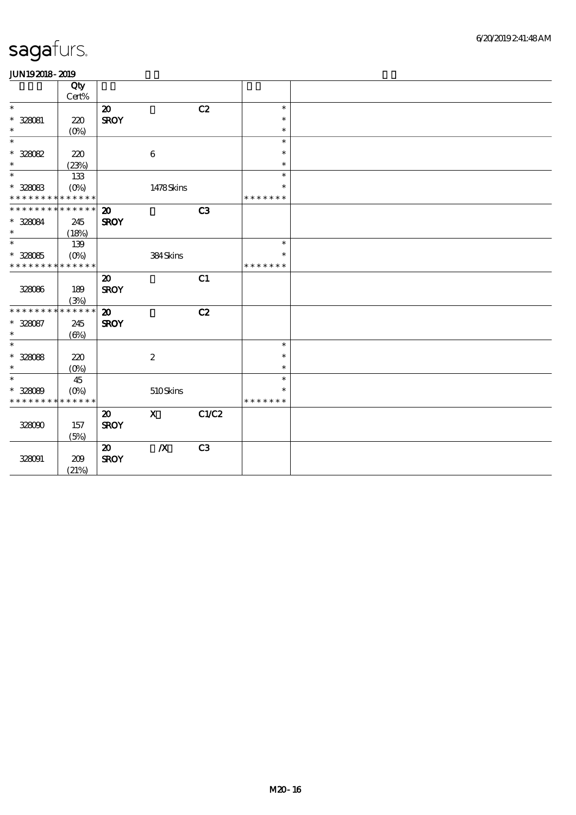| .                    |              |                             |                  |                |               |  |
|----------------------|--------------|-----------------------------|------------------|----------------|---------------|--|
|                      | Qty<br>Cert% |                             |                  |                |               |  |
| $\ast$               |              |                             |                  |                | $\ast$        |  |
|                      |              | $\boldsymbol{\mathbf{z}}$   |                  | C2             | $\ast$        |  |
| $* 328081$<br>$\ast$ | 220          | <b>SROY</b>                 |                  |                |               |  |
| $\ast$               | $(O\%)$      |                             |                  |                | $\ast$        |  |
|                      |              |                             |                  |                | $\ast$        |  |
| $* 328082$           | 220          |                             | $\,6\,$          |                | $\ast$        |  |
| $\ast$               | (23%)        |                             |                  |                | $\ast$        |  |
| $\ast$               | 133          |                             |                  |                | $\ast$        |  |
| $* 328083$           | $(O\%)$      |                             | 1478Skins        |                | $\ast$        |  |
| * * * * * * * *      | * * * * * *  |                             |                  |                | * * * * * * * |  |
| * * * * * * * *      | * * * * * *  | $\boldsymbol{\mathfrak{D}}$ |                  | C3             |               |  |
| $* 328084$           | 245          | <b>SROY</b>                 |                  |                |               |  |
| $\ast$               | (18%)        |                             |                  |                |               |  |
| $\ast$               | 139          |                             |                  |                | $\ast$        |  |
| $* 328085$           | $(O\% )$     |                             | 384Skins         |                | $\ast$        |  |
| * * * * * * * *      | * * * * * *  |                             |                  |                | * * * * * * * |  |
|                      |              | $\boldsymbol{\mathfrak{D}}$ |                  | C1             |               |  |
| 328086               | 189          | <b>SROY</b>                 |                  |                |               |  |
|                      | (3%)         |                             |                  |                |               |  |
| * * * * * * * *      | * * * * * *  | $\boldsymbol{\mathfrak{D}}$ |                  | C2             |               |  |
| $* 328087$           | 245          | <b>SROY</b>                 |                  |                |               |  |
| $\ast$               | $(\Theta)$   |                             |                  |                |               |  |
| $\ast$               |              |                             |                  |                | $\ast$        |  |
| $* 328088$           | 220          |                             | $\boldsymbol{2}$ |                | $\ast$        |  |
| $\ast$               | $(0\%)$      |                             |                  |                | $\ast$        |  |
| $\ast$               | 45           |                             |                  |                | $\ast$        |  |
| $* 328089$           | $(O\%)$      |                             | 510Skins         |                | $\ast$        |  |
| * * * * * * * *      | * * * * * *  |                             |                  |                | * * * * * * * |  |
|                      |              | $\boldsymbol{\mathfrak{D}}$ | $\mathbf x$      | C1/C2          |               |  |
| 328090               | 157          | <b>SROY</b>                 |                  |                |               |  |
|                      | (5%)         |                             |                  |                |               |  |
|                      |              | $\boldsymbol{\mathfrak{D}}$ | $\boldsymbol{X}$ | C <sub>3</sub> |               |  |
|                      |              |                             |                  |                |               |  |
| 328091               | 209          | <b>SROY</b>                 |                  |                |               |  |
|                      | (21%)        |                             |                  |                |               |  |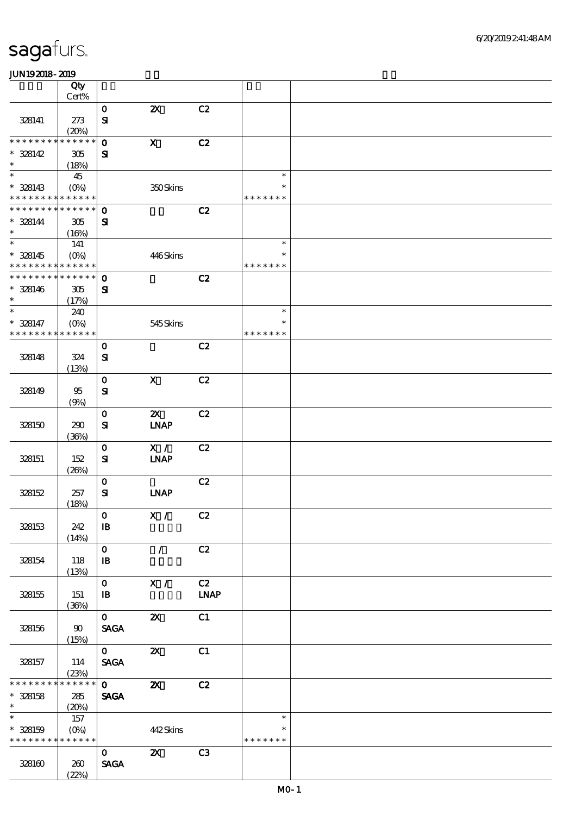|                                    | Qty                    |                                |                           |                |                  |  |
|------------------------------------|------------------------|--------------------------------|---------------------------|----------------|------------------|--|
|                                    | Cert%                  |                                |                           |                |                  |  |
|                                    |                        | $\mathbf 0$                    | $\boldsymbol{\mathsf{z}}$ | C2             |                  |  |
| 328141                             | 273                    | ${\bf s}$                      |                           |                |                  |  |
|                                    | (20%)                  |                                |                           |                |                  |  |
| * * * * * * * *                    | * * * * * *            | $\mathbf 0$                    | $\boldsymbol{\mathrm{X}}$ | C2             |                  |  |
| $* 328142$                         | $305\,$                | ${\bf s}$                      |                           |                |                  |  |
| $\ast$                             | (18%)                  |                                |                           |                |                  |  |
| $\ast$                             | 45                     |                                |                           |                | $\ast$           |  |
| $* 328143$                         | $(O\!/\!\delta)$       |                                | 350Skins                  |                | $\ast$           |  |
| * * * * * * * * * * * * * *        |                        |                                |                           |                | * * * * * * *    |  |
| * * * * * * * *                    | * * * * * *            | $\mathbf 0$                    |                           | C2             |                  |  |
| $* 328144$                         | 305                    | ${\bf s}$                      |                           |                |                  |  |
| $\ast$<br>$\overline{\phantom{0}}$ | (16%)                  |                                |                           |                |                  |  |
|                                    | 141                    |                                |                           |                | $\ast$           |  |
| $* 328145$                         | $(O\%)$                |                                | 446Skins                  |                | $\ast$           |  |
| * * * * * * * * * * * * * *        |                        |                                |                           |                | * * * * * * *    |  |
| * * * * * * * * * * * * * *        |                        | $\mathbf{o}$                   |                           | C2             |                  |  |
| $* 328146$<br>$\ast$               | 305                    | ${\bf s}$                      |                           |                |                  |  |
| $\ast$                             | (17%)                  |                                |                           |                |                  |  |
|                                    | 240                    |                                |                           |                | $\ast$<br>$\ast$ |  |
| $* 328147$<br>* * * * * * * *      | $(O\%)$<br>* * * * * * |                                | 545Skins                  |                | * * * * * * *    |  |
|                                    |                        |                                |                           |                |                  |  |
|                                    |                        | $\mathbf 0$                    |                           | C2             |                  |  |
| 328148                             | 324                    | ${\bf s}$                      |                           |                |                  |  |
|                                    | (13%)                  |                                |                           |                |                  |  |
|                                    |                        | $\mathbf 0$                    | $\boldsymbol{\mathrm{X}}$ | C2             |                  |  |
| 328149                             | 95                     | ${\bf s}$                      |                           |                |                  |  |
|                                    | (9%)                   |                                |                           |                |                  |  |
|                                    |                        | $\mathbf 0$                    | ZX                        | C2             |                  |  |
| 328150                             | 290                    | ${\bf S}$                      | <b>INAP</b>               |                |                  |  |
|                                    | (36%)                  | $\mathbf 0$                    | X /                       | C2             |                  |  |
|                                    | 152                    | ${\bf s}$                      | <b>INAP</b>               |                |                  |  |
| 328151                             | (20%)                  |                                |                           |                |                  |  |
|                                    |                        | $\mathbf 0$                    |                           | C2             |                  |  |
| 328152                             | 257                    | ${\bf s}$                      | <b>LNAP</b>               |                |                  |  |
|                                    | (18%)                  |                                |                           |                |                  |  |
|                                    |                        | $\mathbf{O}$                   | X / C2                    |                |                  |  |
| 328153                             | 242                    | $\mathbf{B}$                   |                           |                |                  |  |
|                                    | (14%)                  |                                |                           |                |                  |  |
|                                    |                        | $\mathbf 0$                    | $\mathcal{L}$             | C2             |                  |  |
| 328154                             | 118                    | $\mathbf{B}$                   |                           |                |                  |  |
|                                    | (13%)                  |                                |                           |                |                  |  |
|                                    |                        | $\mathbf{o}$                   | X /                       | C2             |                  |  |
| 328155                             | 151                    | $\mathbf{B}$                   |                           | <b>LNAP</b>    |                  |  |
|                                    | (36%)                  |                                |                           |                |                  |  |
|                                    |                        | $\mathbf{0}$                   | $\boldsymbol{\mathsf{z}}$ | C1             |                  |  |
| 328156                             | $90^{\circ}$           | <b>SAGA</b>                    |                           |                |                  |  |
|                                    | (15%)                  |                                |                           |                |                  |  |
|                                    |                        | $\mathbf{O}$                   | $\boldsymbol{\mathsf{z}}$ | C1             |                  |  |
| 328157                             | 114                    | <b>SAGA</b>                    |                           |                |                  |  |
|                                    | (23%)                  |                                |                           |                |                  |  |
| * * * * * * *                      | * * * * * *            | $\mathbf{O}$                   | $\boldsymbol{\mathsf{z}}$ | C2             |                  |  |
| $* 328158$                         | 285                    | <b>SAGA</b>                    |                           |                |                  |  |
| $*$                                | (20%)                  |                                |                           |                |                  |  |
| $\overline{\ast}$                  | 157                    |                                |                           |                | $\ast$           |  |
| $* 328159$                         | $(0\%)$                |                                | 442Skins                  |                | $\ast$           |  |
| * * * * * * * * * * * * * *        |                        |                                |                           |                | * * * * * * *    |  |
|                                    |                        | $\mathbf{O}$                   | $\boldsymbol{\mathsf{X}}$ | C <sub>3</sub> |                  |  |
| 328160                             | 260                    | $\operatorname{\mathsf{SAGA}}$ |                           |                |                  |  |
|                                    | (22%)                  |                                |                           |                |                  |  |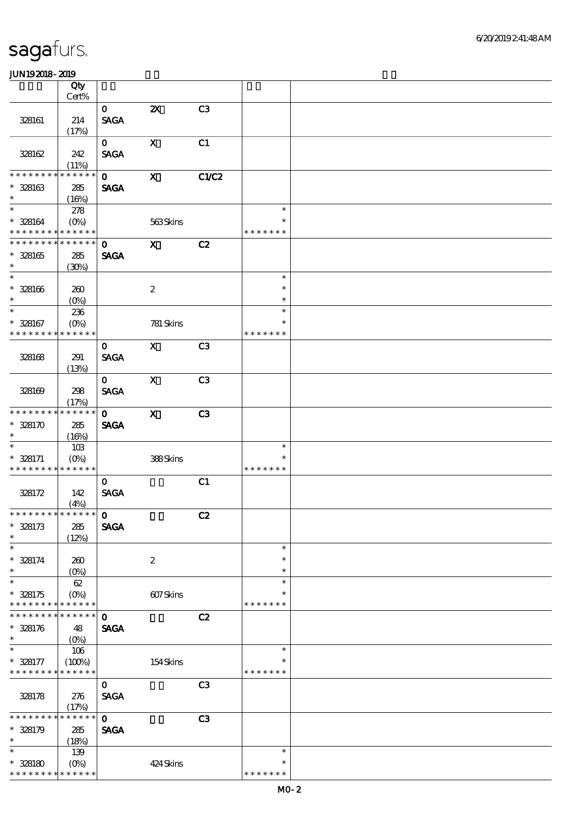|                               | Qty                    |              |                           |                |               |  |
|-------------------------------|------------------------|--------------|---------------------------|----------------|---------------|--|
|                               | Cert%                  |              |                           |                |               |  |
|                               |                        | $\mathbf{O}$ | $\boldsymbol{\mathsf{z}}$ | C3             |               |  |
| 328161                        | 214                    | <b>SAGA</b>  |                           |                |               |  |
|                               | (17%)                  |              |                           |                |               |  |
|                               |                        | $\mathbf{O}$ | $\mathbf X$               | C1             |               |  |
| 328162                        | 242                    | <b>SAGA</b>  |                           |                |               |  |
|                               | (11%)                  |              |                           |                |               |  |
| * * * * * * *                 | * * * * * *            | $\mathbf{o}$ | $\boldsymbol{\mathsf{X}}$ | C1/C2          |               |  |
| $* 328163$                    | 285                    | <b>SAGA</b>  |                           |                |               |  |
| $\ast$                        | (16%)                  |              |                           |                |               |  |
| $\overline{\ast}$             | 278                    |              |                           |                | $\ast$        |  |
| $* 328164$                    | $(O\%)$                |              | 563Skins                  |                | $\ast$        |  |
| * * * * * * * *               | * * * * * *            |              |                           |                | * * * * * * * |  |
| * * * * * * *                 | * * * * * *            | $\mathbf 0$  | $\mathbf{X}$              | C2             |               |  |
| $* 328165$                    | 285                    | <b>SAGA</b>  |                           |                |               |  |
| $\ast$                        | (30%)                  |              |                           |                |               |  |
| $\ast$                        |                        |              |                           |                | $\ast$        |  |
| $^\ast$ 328166                | 260                    |              | $\boldsymbol{2}$          |                | $\ast$        |  |
| $\ast$                        |                        |              |                           |                | $\ast$        |  |
| $\ast$                        | $(O\%)$                |              |                           |                | $\ast$        |  |
|                               | 236                    |              |                           |                | $\ast$        |  |
| $* 328167$<br>* * * * * * * * | $(O\%)$<br>* * * * * * |              | 781 Skins                 |                | * * * * * * * |  |
|                               |                        |              |                           |                |               |  |
|                               |                        | $\mathbf{O}$ | $\mathbf{x}$              | C3             |               |  |
| 328168                        | 291                    | <b>SAGA</b>  |                           |                |               |  |
|                               | (13%)                  |              |                           |                |               |  |
|                               |                        | $\mathbf{O}$ | $\boldsymbol{\mathrm{X}}$ | C3             |               |  |
| 328169                        | 298                    | <b>SAGA</b>  |                           |                |               |  |
|                               | (17%)                  |              |                           |                |               |  |
| * * * * * * * *               | $******$               | $\mathbf{O}$ | $\mathbf{X}$              | C <sub>3</sub> |               |  |
| $* 328170$                    | 285                    | <b>SAGA</b>  |                           |                |               |  |
| $\ast$                        | (16%)                  |              |                           |                |               |  |
| $\ast$                        | 10B                    |              |                           |                | $\ast$        |  |
| $* 328171$                    | $(O\%)$                |              | 388Skins                  |                | $\ast$        |  |
| * * * * * * * * * * * * * *   |                        |              |                           |                | * * * * * * * |  |
|                               |                        | $\mathbf{O}$ |                           | C1             |               |  |
| 328172                        | 142                    | <b>SAGA</b>  |                           |                |               |  |
|                               | (4%)                   |              |                           |                |               |  |
| **************                |                        | $\mathbf 0$  |                           | C2             |               |  |
| $* 328173$                    | 285                    | <b>SAGA</b>  |                           |                |               |  |
| $\ast$                        | (12%)                  |              |                           |                |               |  |
| $\ast$                        |                        |              |                           |                | $\ast$        |  |
| $* 328174$                    | 260                    |              | $\boldsymbol{2}$          |                | $\ast$        |  |
| $\ast$                        | $(O\%)$                |              |                           |                | $\ast$        |  |
| $\ast$                        | 62                     |              |                           |                | $\ast$        |  |
| $* 328175$                    | $(O\%)$                |              | 607Skins                  |                |               |  |
| * * * * * * * *               | * * * * * *            |              |                           |                | * * * * * * * |  |
| * * * * * * *                 | * * * * * *            | $\mathbf 0$  |                           | C2             |               |  |
| $* 328176$                    |                        | <b>SAGA</b>  |                           |                |               |  |
| $\ast$                        | 48                     |              |                           |                |               |  |
| $\ast$                        | $(0\%)$                |              |                           |                | $\ast$        |  |
|                               | 106                    |              |                           |                |               |  |
| $* 328177$<br>* * * * * * * * | (100%)<br>* * * * * *  |              | 154Skins                  |                | * * * * * * * |  |
|                               |                        |              |                           |                |               |  |
|                               |                        | $\mathbf 0$  |                           | C3             |               |  |
| 328178                        | 276                    | <b>SAGA</b>  |                           |                |               |  |
|                               | (17%)                  |              |                           |                |               |  |
| * * * * * * * *               | * * * * * *            | $\mathbf{o}$ |                           | C3             |               |  |
| $* 328179$                    | 285                    | <b>SAGA</b>  |                           |                |               |  |
| $\ast$                        | (18%)                  |              |                           |                |               |  |
| $\ast$                        | 139                    |              |                           |                | $\ast$        |  |
| $* 328180$                    | $(O\%)$                |              | 424 Skins                 |                | $\ast$        |  |
| * * * * * * * *               | * * * * * *            |              |                           |                | * * * * * * * |  |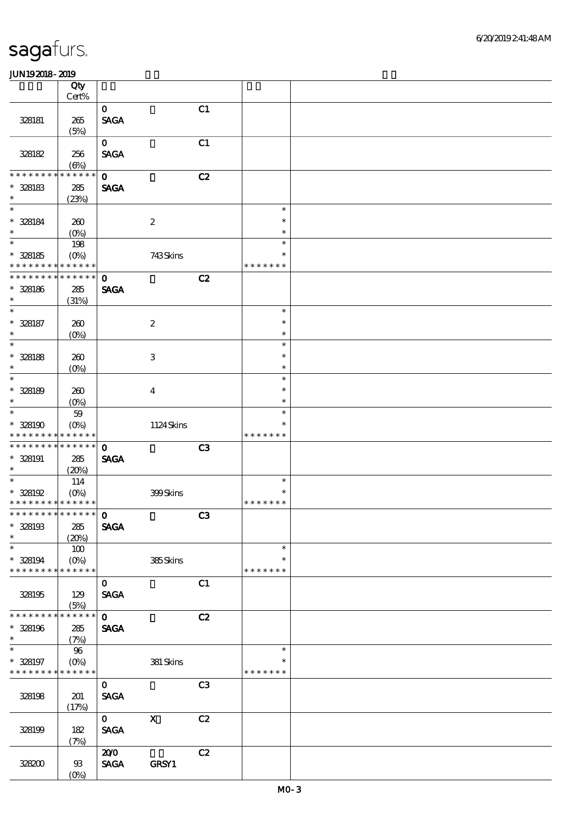|                             | Qty<br>Cert%        |              |                           |                |                  |  |
|-----------------------------|---------------------|--------------|---------------------------|----------------|------------------|--|
|                             |                     | $\mathbf{o}$ |                           | C1             |                  |  |
| 328181                      | 265                 | <b>SAGA</b>  |                           |                |                  |  |
|                             | (5%)                |              |                           |                |                  |  |
|                             |                     | $\mathbf 0$  |                           | C1             |                  |  |
| 328182                      | 256                 | <b>SAGA</b>  |                           |                |                  |  |
|                             | $(\Theta)$          |              |                           |                |                  |  |
| * * * * * * * *             | * * * * * *         | $\mathbf{o}$ |                           | C2             |                  |  |
| $* 328183$                  | 285                 | <b>SAGA</b>  |                           |                |                  |  |
| $\ast$                      | (23%)               |              |                           |                |                  |  |
| $\ast$                      |                     |              |                           |                | $\ast$           |  |
| $* 328184$                  | 260                 |              | $\boldsymbol{2}$          |                | $\ast$           |  |
| $\ast$                      | $(O\%)$             |              |                           |                | $\ast$           |  |
| $\overline{\ast}$           | 198                 |              |                           |                | $\ast$           |  |
| $* 328185$                  | $(O\%)$             |              | 743Skins                  |                | $\ast$           |  |
| * * * * * * * *             | * * * * * *         |              |                           |                | * * * * * * *    |  |
| * * * * * * * *             | * * * * * *         | $\mathbf{o}$ |                           | C2             |                  |  |
| $* 328186$                  | 285                 | <b>SAGA</b>  |                           |                |                  |  |
| $\ast$<br>$\ast$            | (31%)               |              |                           |                |                  |  |
|                             |                     |              |                           |                | $\ast$<br>$\ast$ |  |
| $* 328187$<br>$\ast$        | 260                 |              | $\boldsymbol{2}$          |                | $\ast$           |  |
| $\ast$                      | $(O\!/\!\!\delta)$  |              |                           |                | $\ast$           |  |
| $* 328188$                  | 260                 |              | $\,3$                     |                | $\ast$           |  |
| $\ast$                      | $(O\%)$             |              |                           |                | $\ast$           |  |
| $\ast$                      |                     |              |                           |                | $\ast$           |  |
| $* 328189$                  | 260                 |              | $\overline{4}$            |                | $\ast$           |  |
| $\ast$                      | $(O\!/\!\!\delta)$  |              |                           |                | $\ast$           |  |
| $\ast$                      | $5\hskip-2pt 9$     |              |                           |                | $\ast$           |  |
| $* 328190$                  | $(O\%)$             |              | 1124Skins                 |                | $\ast$           |  |
| * * * * * * * *             | * * * * * *         |              |                           |                | * * * * * * *    |  |
| * * * * * * * *             | * * * * * *         | $\mathbf 0$  |                           | C3             |                  |  |
| $* 328191$                  | 285                 | <b>SAGA</b>  |                           |                |                  |  |
| $\ast$                      | (20%)               |              |                           |                |                  |  |
| $\ast$                      | 114                 |              |                           |                | $\ast$           |  |
| $* 328192$                  | $(O\!/\!o)$         |              | 399Skins                  |                | $\ast$           |  |
| * * * * * * * * * * * * * * |                     |              |                           |                | * * * * * * *    |  |
|                             |                     |              |                           | C <sub>3</sub> |                  |  |
| $* 328193$                  | 285                 | <b>SAGA</b>  |                           |                |                  |  |
| $\ast$                      | (20%)               |              |                           |                |                  |  |
| $\ast$                      | 100                 |              |                           |                | $\ast$           |  |
| $* 328194$                  | $(O\!/\!o)$         |              | 385Skins                  |                | $\ast$           |  |
| * * * * * * * *             | * * * * * *         |              |                           |                | * * * * * * *    |  |
|                             |                     | $\mathbf{O}$ |                           | C1             |                  |  |
| 328195                      | 129                 | <b>SAGA</b>  |                           |                |                  |  |
| * * * * * * * *             | (5%)<br>* * * * * * |              |                           |                |                  |  |
|                             |                     | $\mathbf 0$  |                           | C2             |                  |  |
| $* 328196$<br>$\ast$        | 285                 | <b>SAGA</b>  |                           |                |                  |  |
| $\ast$                      | (7%)<br>96          |              |                           |                | $\ast$           |  |
| $* 328197$                  | $(O\%)$             |              | 381 Skins                 |                | $\ast$           |  |
| * * * * * * * * * * * * * * |                     |              |                           |                | * * * * * * *    |  |
|                             |                     | $\mathbf{O}$ |                           | C <sub>3</sub> |                  |  |
| 328198                      | 201                 | <b>SAGA</b>  |                           |                |                  |  |
|                             | (17%)               |              |                           |                |                  |  |
|                             |                     | $\mathbf{O}$ | $\boldsymbol{\mathsf{X}}$ | C2             |                  |  |
| 328199                      | 182                 | <b>SAGA</b>  |                           |                |                  |  |
|                             | (7%)                |              |                           |                |                  |  |
|                             |                     | 200          |                           | C2             |                  |  |
| 328200                      | $93$                | <b>SAGA</b>  | GRSY1                     |                |                  |  |
|                             | $(O\!/\!\!\delta)$  |              |                           |                |                  |  |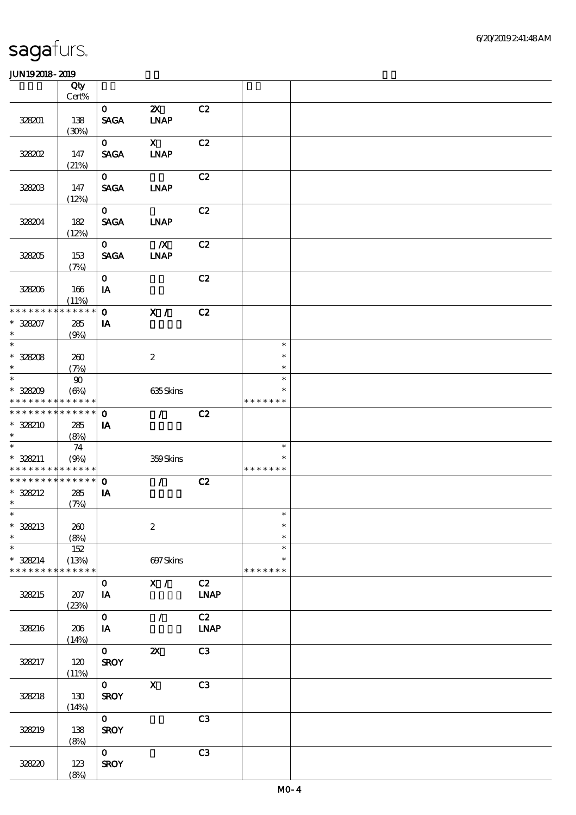|                                           | Qty<br>$Cert\%$ |                             |                                          |                              |                         |  |
|-------------------------------------------|-----------------|-----------------------------|------------------------------------------|------------------------------|-------------------------|--|
|                                           |                 |                             |                                          |                              |                         |  |
| 328201                                    | 138<br>(30%)    | $\mathbf{O}$<br><b>SAGA</b> | $\boldsymbol{\mathsf{Z}}$<br><b>INAP</b> | C2                           |                         |  |
|                                           |                 |                             |                                          |                              |                         |  |
| 328202                                    | 147             | $\mathbf{0}$<br><b>SAGA</b> | $\mathbf{X}$<br><b>LNAP</b>              | C2                           |                         |  |
|                                           | (21%)           |                             |                                          |                              |                         |  |
| 328203                                    | 147<br>(12%)    | $\mathbf{O}$<br><b>SAGA</b> | <b>INAP</b>                              | C2                           |                         |  |
|                                           |                 |                             |                                          |                              |                         |  |
| 328204                                    | 182<br>(12%)    | $\mathbf{O}$<br><b>SAGA</b> | <b>INAP</b>                              | C2                           |                         |  |
|                                           |                 | $\mathbf{O}$                | $\mathbf{X}$                             | C2                           |                         |  |
| 328205                                    | 153<br>(7%)     | <b>SAGA</b>                 | <b>LNAP</b>                              |                              |                         |  |
|                                           |                 | $\mathbf{o}$                |                                          | C2                           |                         |  |
| 328206                                    | 166<br>(11%)    | IA                          |                                          |                              |                         |  |
| * * * * * * * *                           | * * * * * *     | $\mathbf{o}$                | $\overline{\mathbf{X}$ /                 | C2                           |                         |  |
| $* 328207$<br>$\ast$                      | 285<br>(9%)     | IA                          |                                          |                              |                         |  |
| $\overline{\phantom{1}}$                  |                 |                             |                                          |                              | $\ast$                  |  |
|                                           |                 |                             |                                          |                              |                         |  |
| $* 328208$<br>$\ast$                      | 260<br>(7%)     |                             | $\boldsymbol{2}$                         |                              | $\ast$<br>$\ast$        |  |
| $\overline{\ast}$                         |                 |                             |                                          |                              | $\ast$                  |  |
|                                           | $90\,$          |                             |                                          |                              |                         |  |
| $* 328209$<br>* * * * * * * * * * * * * * | $(\Theta_0)$    |                             | 635Skins                                 |                              | $\ast$<br>* * * * * * * |  |
|                                           |                 |                             |                                          |                              |                         |  |
| * * * * * * * * * * * * * * *             |                 | $\mathbf 0$                 | $\mathcal{L}$                            | C2                           |                         |  |
| $* 328210$                                | 285             | IA                          |                                          |                              |                         |  |
| $\ast$                                    | (8%)            |                             |                                          |                              |                         |  |
| $\ast$                                    | 74              |                             |                                          |                              | $\ast$                  |  |
|                                           |                 |                             |                                          |                              | $\ast$                  |  |
| * 328211                                  | (9%)            |                             | 359Skins                                 |                              |                         |  |
| * * * * * * * * * * * * * *               |                 |                             |                                          |                              | * * * * * * *           |  |
| **************                            |                 | $\mathbf{o}$                | $\mathcal{F}$                            | C2                           |                         |  |
| $* 328212$                                | 285             | IA                          |                                          |                              |                         |  |
| $\ast$                                    | (7%)            |                             |                                          |                              |                         |  |
|                                           |                 |                             |                                          |                              | $\ast$                  |  |
|                                           |                 |                             |                                          |                              | $\ast$                  |  |
| $* 328213$<br>$\ast$                      | 260             |                             | $\boldsymbol{2}$                         |                              | $\ast$                  |  |
|                                           | (8%)            |                             |                                          |                              |                         |  |
| $\ast$                                    | 152             |                             |                                          |                              | $\ast$                  |  |
| * 328214                                  | (13%)           |                             | 697Skins                                 |                              | $\ast$                  |  |
| * * * * * * * *                           | * * * * * *     |                             |                                          |                              | * * * * * * *           |  |
|                                           |                 | $\mathbf{o}$                | $\mathbf{X}$ /                           | C2                           |                         |  |
| 328215                                    | 207             | IA                          |                                          | $\ensuremath{\mathbf{INAP}}$ |                         |  |
|                                           | (23%)           |                             |                                          |                              |                         |  |
|                                           |                 |                             |                                          |                              |                         |  |
|                                           |                 | $\mathbf 0$                 | $\mathcal{L}$                            | C2                           |                         |  |
| 328216                                    | 206             | IA                          |                                          | <b>INAP</b>                  |                         |  |
|                                           | (14%)           |                             |                                          |                              |                         |  |
|                                           |                 | $\mathbf{O}$                | $\pmb{\mathsf{z}}$                       | C <sub>3</sub>               |                         |  |
| 328217                                    | 120             | <b>SROY</b>                 |                                          |                              |                         |  |
|                                           | (11%)           |                             |                                          |                              |                         |  |
|                                           |                 | $\mathbf{0}$                | $\mathbf X$                              | C <sub>3</sub>               |                         |  |
|                                           |                 |                             |                                          |                              |                         |  |
| 328218                                    | 130             | <b>SROY</b>                 |                                          |                              |                         |  |
|                                           | (14%)           |                             |                                          |                              |                         |  |
|                                           |                 | $\mathbf{O}$                |                                          | C <sub>3</sub>               |                         |  |
| 328219                                    | 138             | <b>SROY</b>                 |                                          |                              |                         |  |
|                                           | (8%)            |                             |                                          |                              |                         |  |
|                                           |                 | $\mathbf{O}$                |                                          | C <sub>3</sub>               |                         |  |
|                                           |                 |                             |                                          |                              |                         |  |
| 32820                                     | 123             | <b>SROY</b>                 |                                          |                              |                         |  |
|                                           | (8%)            |                             |                                          |                              |                         |  |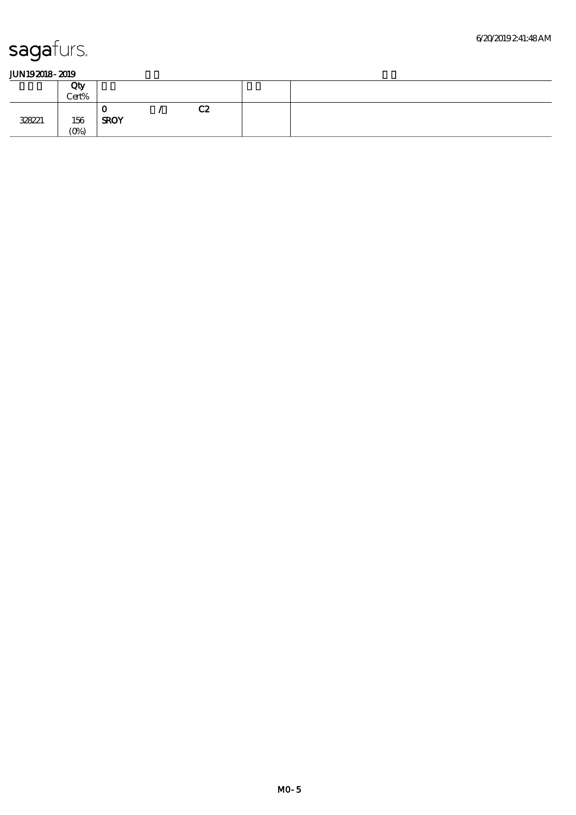|        | Qty<br>Cert%   |                  |         |  |
|--------|----------------|------------------|---------|--|
| 328221 | 156<br>$(O\%)$ | ∼<br><b>SROY</b> | rο<br>ັ |  |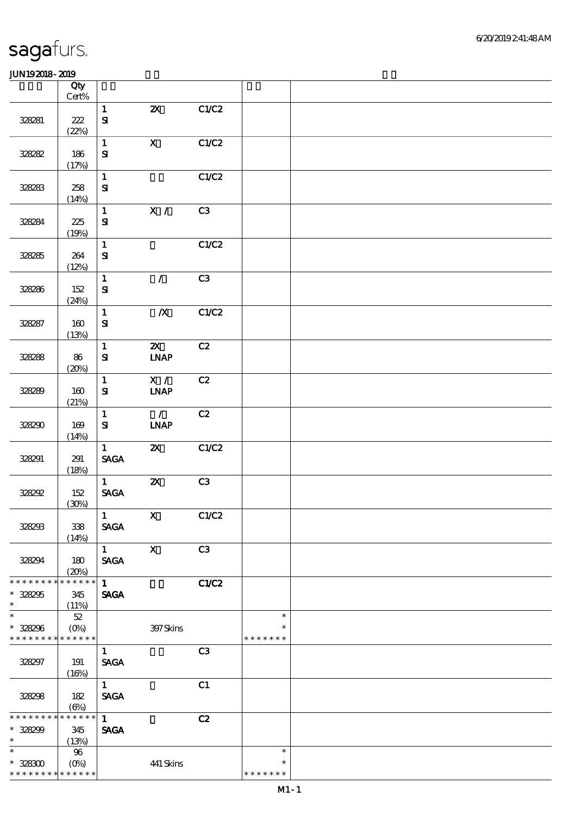|                                                     | Qty<br>Cert%                |                                                |                                                     |       |                                   |  |
|-----------------------------------------------------|-----------------------------|------------------------------------------------|-----------------------------------------------------|-------|-----------------------------------|--|
|                                                     |                             |                                                | $\boldsymbol{\mathsf{z}}$                           | C1/C2 |                                   |  |
| 328281                                              | 222<br>(22%)                | $\mathbf{1}$<br>${\bf s}$                      |                                                     |       |                                   |  |
| 328282                                              | 186                         | $\mathbf{1}$<br>$\mathbf{S}$                   | $\mathbf{X}$                                        | C1/C2 |                                   |  |
|                                                     | (17%)                       |                                                |                                                     |       |                                   |  |
| 328283                                              | 258<br>(14%)                | $\mathbf{1}$<br>${\bf s}$                      |                                                     | C1/C2 |                                   |  |
| 328284                                              | 225<br>(19%)                | $\mathbf{1}$<br>${\bf s}$                      | X /                                                 | C3    |                                   |  |
| 328285                                              | 264<br>(12%)                | $\mathbf{1}$<br>${\bf s}$                      |                                                     | C1/C2 |                                   |  |
| 328286                                              | 152<br>(24%)                | $\mathbf 1$<br>${\bf s}$                       | $\mathcal{L}$                                       | C3    |                                   |  |
| 328287                                              | 160<br>(13%)                | $\mathbf{1}$<br>${\bf s}$                      | $\boldsymbol{X}$                                    | C1/C2 |                                   |  |
| 328288                                              | 86<br>(20%)                 | $\mathbf{1}$<br>$\mathbf{S}$                   | $\boldsymbol{\alpha}$<br>$\ensuremath{\text{IMAP}}$ | C2    |                                   |  |
| 328289                                              | 160<br>(21%)                | $\mathbf{1}$<br>${\bf S}$                      | $\overline{X}$ /<br>$\ensuremath{\mathbf{INAP}}$    | C2    |                                   |  |
| 328290                                              | 169<br>(14%)                | $\mathbf{1}$<br>${\bf S}$                      | $\mathcal{L}$<br><b>INAP</b>                        | C2    |                                   |  |
| 328291                                              | 291<br>(18%)                | $\mathbf{1}$<br>$\operatorname{\mathsf{SAGA}}$ | $\boldsymbol{\mathsf{X}}$                           | C1/C2 |                                   |  |
| 328292                                              | 152<br>(30%)                | $\mathbf{1}$<br>$\ensuremath{\mathsf{SAGA}}$   | $\boldsymbol{\mathsf{z}}$                           | C3    |                                   |  |
| 328233                                              | 338<br>(14%)                | $\mathbf{1}$<br><b>SAGA</b>                    | $\mathbf{X}$                                        | C1/C2 |                                   |  |
| 328294                                              | 180<br>(20%)                | $1 \quad \blacksquare$<br><b>SAGA</b>          | $\mathbf{X}$                                        | C3    |                                   |  |
| * * * * * * * *<br>$* 328295$<br>$\ast$             | $******$<br>345<br>(11%)    | $\mathbf{1}$<br><b>SAGA</b>                    |                                                     | C1/C2 |                                   |  |
| $\ast$<br>* 328296<br>* * * * * * * * * * * * * *   | $52\,$<br>$(O\%)$           |                                                | 397Skins                                            |       | $\ast$<br>$\ast$<br>* * * * * * * |  |
| 328297                                              | 191<br>(16%)                | $\mathbf{1}$<br>$\operatorname{\mathsf{SAGA}}$ |                                                     | C3    |                                   |  |
| 328298                                              | 182<br>$(\Theta)$           | 1<br>$\ensuremath{\mathsf{SAGA}}$              |                                                     | C1    |                                   |  |
| * * * * * * *<br>$* 328299$<br>$\ast$               | * * * * * *<br>345<br>(13%) | $\mathbf{1}$<br><b>SAGA</b>                    |                                                     | C2    |                                   |  |
| $\ast$<br>$* 328300$<br>* * * * * * * * * * * * * * | 96                          |                                                | 441 Skins                                           |       | $\ast$<br>$\ast$<br>* * * * * * * |  |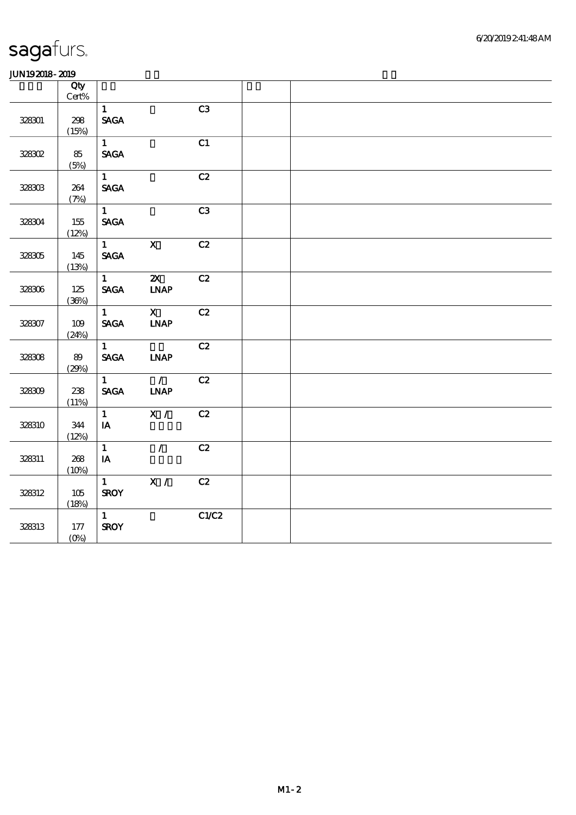| 6/20/2019241:48AM |
|-------------------|
|-------------------|

|        | Qty      |                        |                              |       |  |  |  |
|--------|----------|------------------------|------------------------------|-------|--|--|--|
|        | $Cert\%$ |                        |                              |       |  |  |  |
|        |          | $\mathbf{1}$           |                              | C3    |  |  |  |
| 328301 | 298      | <b>SAGA</b>            |                              |       |  |  |  |
|        | (15%)    |                        |                              |       |  |  |  |
|        |          | $1 -$                  |                              | C1    |  |  |  |
| 328302 | 85       | <b>SAGA</b>            |                              |       |  |  |  |
|        | (5%)     |                        |                              |       |  |  |  |
|        |          | $1 -$                  |                              | C2    |  |  |  |
| 328303 | 264      | <b>SAGA</b>            |                              |       |  |  |  |
|        | (7%)     |                        |                              |       |  |  |  |
|        |          | 1                      |                              | C3    |  |  |  |
| 328304 | 155      | <b>SAGA</b>            |                              |       |  |  |  |
|        | (12%)    |                        |                              |       |  |  |  |
|        |          | $1 \quad \blacksquare$ | $\mathbf{X}$                 | C2    |  |  |  |
| 328305 | 145      | <b>SAGA</b>            |                              |       |  |  |  |
|        | (13%)    |                        |                              |       |  |  |  |
|        |          | $1 \quad \blacksquare$ | $\boldsymbol{\mathsf{Z}}$    | C2    |  |  |  |
| 328306 | 125      | <b>SAGA</b>            | $\ensuremath{\mathbf{INAP}}$ |       |  |  |  |
|        | (36%)    |                        |                              |       |  |  |  |
|        |          | $1 \quad \blacksquare$ | $\mathbf{X}$                 | C2    |  |  |  |
| 328307 | 109      | <b>SAGA</b>            | <b>LNAP</b>                  |       |  |  |  |
|        | (24%)    |                        |                              |       |  |  |  |
|        |          | 1                      |                              | C2    |  |  |  |
| 328308 | 89       | <b>SAGA</b>            | <b>INAP</b>                  |       |  |  |  |
|        | (29%)    |                        |                              |       |  |  |  |
|        |          | $\mathbf{1}$           | $\mathcal{L}$                | C2    |  |  |  |
| 328309 | 238      | <b>SAGA</b>            | <b>INAP</b>                  |       |  |  |  |
|        | (11%)    |                        |                              |       |  |  |  |
|        |          | $\mathbf{1}$           | X /                          | C2    |  |  |  |
| 328310 | 344      | $I$ A                  |                              |       |  |  |  |
|        | (12%)    |                        |                              |       |  |  |  |
|        |          | $\mathbf{1}$           | $\mathcal{L}$                | C2    |  |  |  |
| 328311 | 268      | $I$ A                  |                              |       |  |  |  |
|        | (10%)    | 1                      | X /                          | C2    |  |  |  |
|        |          |                        |                              |       |  |  |  |
| 328312 | 105      | <b>SROY</b>            |                              |       |  |  |  |
|        | (18%)    | $\mathbf{1}$           |                              | C1/C2 |  |  |  |
|        |          |                        |                              |       |  |  |  |
| 328313 | $177$    | <b>SROY</b>            |                              |       |  |  |  |
|        | $(O\%)$  |                        |                              |       |  |  |  |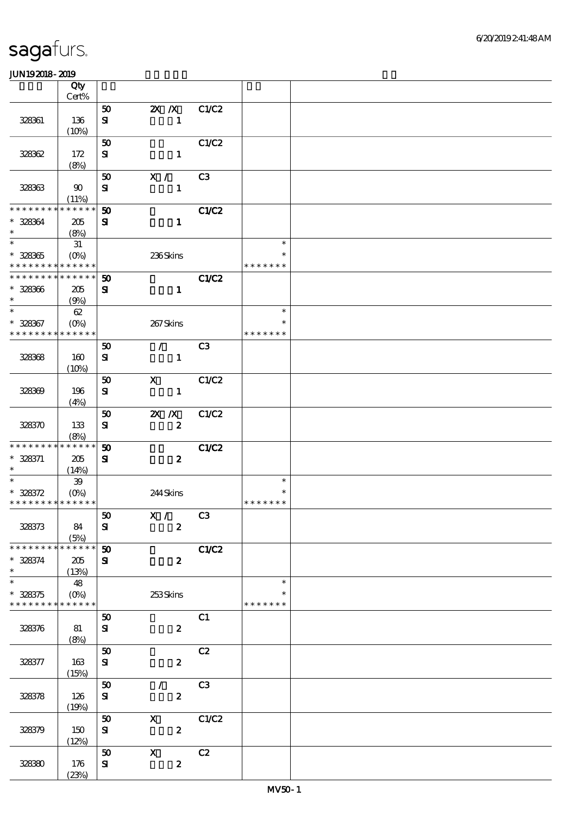|                                          | Qty<br>Cert%                    |                             |                                 |                |               |  |
|------------------------------------------|---------------------------------|-----------------------------|---------------------------------|----------------|---------------|--|
|                                          |                                 |                             |                                 |                |               |  |
|                                          |                                 | 50                          | <b>2X X</b> C1/C2               |                |               |  |
| 328361                                   | 136                             | ${\bf s}$                   | $\mathbf{1}$                    |                |               |  |
|                                          | (10%)                           |                             |                                 |                |               |  |
|                                          |                                 | 50                          |                                 | C1/C2          |               |  |
| 328362                                   | 172                             | ${\bf s}$                   | $\mathbf{1}$                    |                |               |  |
|                                          | (8%)                            |                             |                                 |                |               |  |
|                                          |                                 | 50                          | X / C3                          |                |               |  |
| 328363                                   | 90                              | ${\bf s}$                   | $\mathbf{1}$                    |                |               |  |
|                                          | (11%)                           |                             |                                 |                |               |  |
| * * * * * * * *                          | * * * * * *                     | 50                          |                                 | C1/C2          |               |  |
| $* 328364$                               | 205                             | ${\bf s}$                   | $\mathbf{1}$                    |                |               |  |
| $\ast$                                   | (8%)                            |                             |                                 |                |               |  |
| $\overline{\ast}$                        | 31                              |                             |                                 |                | $\ast$        |  |
|                                          |                                 |                             |                                 |                |               |  |
| $* 328365$                               | $(0\%)$                         |                             | 236Skins                        |                | $\ast$        |  |
| * * * * * * * * <mark>* * * * * *</mark> |                                 |                             |                                 |                | * * * * * * * |  |
| * * * * * * * * * * * * * *              |                                 | 50                          |                                 | C1/C2          |               |  |
| $* 328366$                               | 205                             | ${\bf s}$                   | $\mathbf{1}$                    |                |               |  |
| $\ast$                                   | (9%)                            |                             |                                 |                |               |  |
| $\ast$                                   | 62                              |                             |                                 |                | $\ast$        |  |
| $* 328367$                               | $(O\!\!\!\!\!\!\backslash\rho)$ |                             | 267Skins                        |                | $\ast$        |  |
| * * * * * * * *                          | * * * * * *                     |                             |                                 |                | * * * * * * * |  |
|                                          |                                 | 50                          | $\mathcal{L}$ and $\mathcal{L}$ | C <sub>3</sub> |               |  |
| 328368                                   | 160                             | ${\bf s}$                   | $\mathbf{1}$                    |                |               |  |
|                                          | (10%)                           |                             |                                 |                |               |  |
|                                          |                                 | 50                          | $\mathbf{x}$                    | C1/C2          |               |  |
| 328369                                   | 196                             | ${\bf s}$                   | $\mathbf{1}$                    |                |               |  |
|                                          | (4%)                            |                             |                                 |                |               |  |
|                                          |                                 |                             |                                 | C1/C2          |               |  |
|                                          |                                 | 50                          | $\mathbb{Z}$ X                  |                |               |  |
| 328370                                   | 133                             | ${\bf s}$                   | $\boldsymbol{z}$                |                |               |  |
|                                          | (8%)                            |                             |                                 |                |               |  |
| * * * * * * * *                          | * * * * * *                     | $\boldsymbol{\mathfrak{D}}$ |                                 | C1/C2          |               |  |
| $* 328371$                               | 205                             | ${\bf s}$                   | $\boldsymbol{z}$                |                |               |  |
| $\ast$                                   | (14%)                           |                             |                                 |                |               |  |
| $\ast$                                   | $\mathbf{39}$                   |                             |                                 |                | $\ast$        |  |
| $* 328372$                               | $(O\%)$                         |                             | 244Skins                        |                | $\ast$        |  |
| * * * * * * * * * * * * * *              |                                 |                             |                                 |                | * * * * * * * |  |
|                                          |                                 | $\boldsymbol{\omega}$       | $\overline{X}$ / C3             |                |               |  |
| 328373                                   | 84                              | ${\bf s}$                   | $\boldsymbol{z}$                |                |               |  |
|                                          | (5%)                            |                             |                                 |                |               |  |
| * * * * * * * *                          | * * * * * *                     | $\boldsymbol{\mathfrak{D}}$ |                                 | C1/C2          |               |  |
| $* 328374$                               | 205                             | ${\bf s}$                   | $\boldsymbol{z}$                |                |               |  |
| $\ast$                                   | (13%)                           |                             |                                 |                |               |  |
| $\ast$                                   | 48                              |                             |                                 |                | $\ast$        |  |
| $* 328375$                               |                                 |                             | 253Skins                        |                |               |  |
| * * * * * * * *                          | * * * * * *                     |                             |                                 |                | * * * * * * * |  |
|                                          |                                 | 50                          |                                 | C1             |               |  |
|                                          |                                 |                             |                                 |                |               |  |
| 328376                                   | 81                              | ${\bf s}$                   | $\boldsymbol{z}$                |                |               |  |
|                                          | (8%)                            |                             |                                 |                |               |  |
|                                          |                                 | 50                          |                                 | C2             |               |  |
| 328377                                   | 163                             | ${\bf s}$                   | $\boldsymbol{z}$                |                |               |  |
|                                          | (15%)                           |                             |                                 |                |               |  |
|                                          |                                 | 50                          | $\mathcal{L}$                   | C3             |               |  |
| 328378                                   | 126                             | ${\bf s}$                   | $\boldsymbol{z}$                |                |               |  |
|                                          | (19%)                           |                             |                                 |                |               |  |
|                                          |                                 | 50                          | $\boldsymbol{\mathsf{X}}$       | C1/C2          |               |  |
| 328379                                   | 150                             | ${\bf s}$                   | $\boldsymbol{z}$                |                |               |  |
|                                          | (12%)                           |                             |                                 |                |               |  |
|                                          |                                 | 50                          | $\mathbf x$                     | C2             |               |  |
| 328380                                   | 176                             | ${\bf s}$                   | $\boldsymbol{z}$                |                |               |  |
|                                          | (23%)                           |                             |                                 |                |               |  |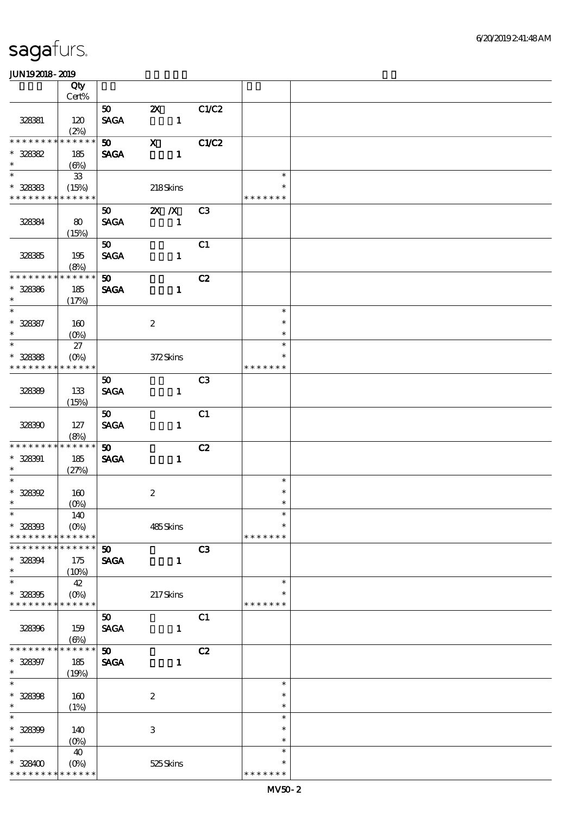|                               | Qty                        |                             |                           |                |                  |  |
|-------------------------------|----------------------------|-----------------------------|---------------------------|----------------|------------------|--|
|                               | $Cert\%$                   |                             |                           |                |                  |  |
|                               |                            | 50                          | $\boldsymbol{\mathsf{Z}}$ | C1/C2          |                  |  |
| 328381                        | 120<br>(2%)                | <b>SAGA</b>                 | $\mathbf{1}$              |                |                  |  |
| * * * * * * * *               | * * * * * *                | 50                          | $\mathbf{x}$              | C1/C2          |                  |  |
| $* 328382$                    | 185                        | <b>SAGA</b>                 | $\mathbf{1}$              |                |                  |  |
| $\ast$                        | $(\Theta)$                 |                             |                           |                |                  |  |
| $\ast$                        | ${\bf 33}$                 |                             |                           |                | $\ast$           |  |
| $* 328383$                    | (15%)                      |                             | 218Skins                  |                |                  |  |
| * * * * * * * *               | * * * * * *                |                             |                           |                | * * * * * * *    |  |
|                               |                            | 50 <sub>1</sub>             | $X$ $N$                   | C3             |                  |  |
| 328384                        | 80<br>(15%)                | <b>SAGA</b>                 | $\mathbf{1}$              |                |                  |  |
|                               |                            | $\boldsymbol{\mathfrak{D}}$ |                           | C1             |                  |  |
| 32835                         | 195                        | <b>SAGA</b>                 | $\mathbf{1}$              |                |                  |  |
|                               | (8%)                       |                             |                           |                |                  |  |
| * * * * * * * *               | * * * * * *                | 50 <sub>o</sub>             |                           | C2             |                  |  |
| $* 328366$                    | 185                        | <b>SAGA</b>                 | $\mathbf{1}$              |                |                  |  |
| $\ast$                        | (17%)                      |                             |                           |                |                  |  |
| $\overline{\ast}$             |                            |                             |                           |                | $\ast$           |  |
| $* 328387$<br>$\ast$          | 160                        |                             | $\boldsymbol{2}$          |                | $\ast$<br>$\ast$ |  |
| $\ast$                        | $(O\%)$<br>$27\,$          |                             |                           |                | $\ast$           |  |
| $* 328388$                    | $(O\%)$                    |                             | $372$ Skins               |                | $\ast$           |  |
| * * * * * * * *               | * * * * * *                |                             |                           |                | * * * * * * *    |  |
|                               |                            | 50 <sub>o</sub>             |                           | C <sub>3</sub> |                  |  |
| 32839                         | 133                        | <b>SAGA</b>                 | $\mathbf{1}$              |                |                  |  |
|                               | (15%)                      |                             |                           |                |                  |  |
|                               |                            | 50 <sub>1</sub>             |                           | C1             |                  |  |
| 328300                        | 127                        | <b>SAGA</b>                 | $\mathbf{1}$              |                |                  |  |
| * * * * * * *                 | (8%)<br>* * * * * *        | 50 <sub>2</sub>             |                           | C2             |                  |  |
| $* 328391$                    | 185                        | <b>SAGA</b>                 | $\mathbf{1}$              |                |                  |  |
| $\ast$                        | (27%)                      |                             |                           |                |                  |  |
| $\ast$                        |                            |                             |                           |                | $\ast$           |  |
| $* 328392$                    | 160                        |                             | $\boldsymbol{2}$          |                | $\ast$           |  |
| $\ast$<br>$*$                 | $(0\%)$                    |                             |                           |                | $\ast$           |  |
|                               | 140                        |                             |                           |                | $\ast$<br>$\ast$ |  |
| $* 328303$<br>* * * * * * * * | $(O\!/\!o)$<br>* * * * * * |                             | 485Skins                  |                | * * * * * * *    |  |
| * * * * * * * *               | * * * * * *                | $\boldsymbol{\mathfrak{D}}$ |                           | C3             |                  |  |
| $* 328394$                    | 175                        | <b>SAGA</b>                 | $\mathbf{1}$              |                |                  |  |
| $\ast$                        | (10%)                      |                             |                           |                |                  |  |
| $\ast$                        | 42                         |                             |                           |                | $\ast$           |  |
| $* 328305$                    | $(O\%)$                    |                             | 217Skins                  |                |                  |  |
| * * * * * * * *               | * * * * * *                |                             |                           |                | * * * * * * *    |  |
| 328396                        | 159                        | 50<br><b>SAGA</b>           | $\mathbf{1}$              | C1             |                  |  |
|                               | $(\Theta)$                 |                             |                           |                |                  |  |
| * * * * * * *                 | * * * * * *                | $\boldsymbol{\mathfrak{D}}$ |                           | C2             |                  |  |
| $* 328397$                    | 185                        | <b>SAGA</b>                 | $\mathbf{1}$              |                |                  |  |
| $\ast$                        | (19%)                      |                             |                           |                |                  |  |
| $\ast$                        |                            |                             |                           |                | $\ast$           |  |
| $* 328308$                    | 160                        |                             | $\boldsymbol{z}$          |                | $\ast$           |  |
| $\ast$<br>$\ast$              | (1%)                       |                             |                           |                | $\ast$<br>$\ast$ |  |
| $* 328399$                    |                            |                             | $\ensuremath{\mathbf{3}}$ |                | $\ast$           |  |
| $\ast$                        | 140<br>$(0\%)$             |                             |                           |                | $\ast$           |  |
| $\ast$                        | 40                         |                             |                           |                | $\ast$           |  |
| $* 328400$                    | $(O\%)$                    |                             | 525Skins                  |                | $\ast$           |  |
| * * * * * * * * * * * * * *   |                            |                             |                           |                | * * * * * * *    |  |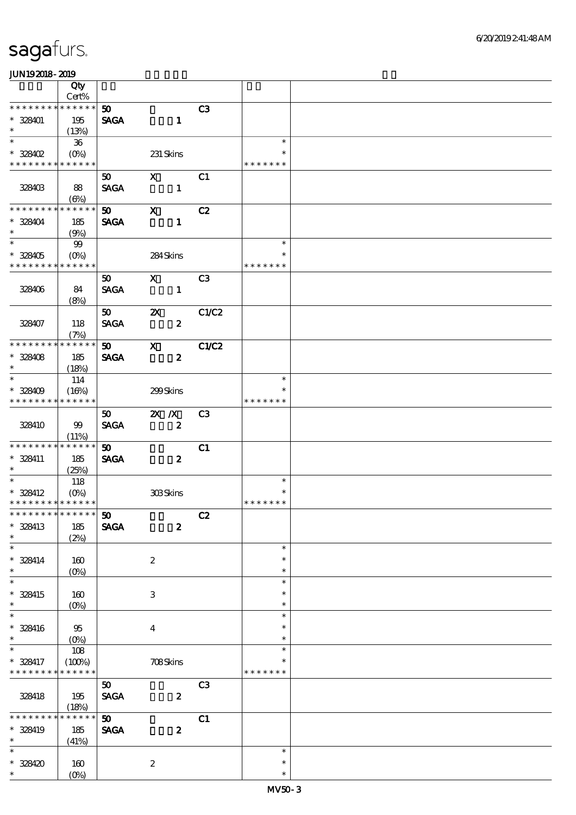|                                          | Qty                   |                             |                           |                |               |  |
|------------------------------------------|-----------------------|-----------------------------|---------------------------|----------------|---------------|--|
|                                          | Cert%                 |                             |                           |                |               |  |
| * * * * * * * *                          | * * * * * *           | 50 <sub>2</sub>             |                           | C3             |               |  |
| * 328401                                 | 195                   | <b>SAGA</b>                 | $\mathbf{1}$              |                |               |  |
| $\ast$                                   | (13%)                 |                             |                           |                |               |  |
| $\overline{\ast}$                        | - 36                  |                             |                           |                | $\ast$        |  |
| $*328402$                                | $(O\% )$              |                             | 231 Skins                 |                | $\ast$        |  |
| * * * * * * * * <mark>* * * * * *</mark> |                       |                             |                           |                | * * * * * * * |  |
|                                          |                       | 50                          | $\mathbf{x}$              | C1             |               |  |
| 328403                                   | 88                    | <b>SAGA</b>                 | $\mathbf{1}$              |                |               |  |
|                                          | $(\Theta)$            |                             |                           |                |               |  |
| * * * * * * * *                          | * * * * * *           | 50 <sub>1</sub>             | $\mathbf{x}$              | C2             |               |  |
| $* 328404$                               | 185                   | <b>SAGA</b>                 | $\mathbf{1}$              |                |               |  |
| $\ast$                                   | (9%)                  |                             |                           |                |               |  |
| $\overline{\ast}$                        | 99                    |                             |                           |                | $\ast$        |  |
| $* 328405$                               | $(O\%)$               |                             | 284Skins                  |                | $\ast$        |  |
| * * * * * * * * * * * * * *              |                       |                             |                           |                | * * * * * * * |  |
|                                          |                       | 50                          | $\mathbf{X}$              | C3             |               |  |
| 328406                                   | 84                    | <b>SAGA</b>                 | $\mathbf{1}$              |                |               |  |
|                                          | (8%)                  |                             |                           |                |               |  |
|                                          |                       | 50                          | $\boldsymbol{\mathsf{Z}}$ | C1/C2          |               |  |
| 328407                                   | 118                   | <b>SAGA</b>                 | $\boldsymbol{z}$          |                |               |  |
|                                          | (7%)                  |                             |                           |                |               |  |
| * * * * * * * * * * * * * *              |                       | 50                          | $\mathbf{x}$              | C1/C2          |               |  |
| $* 328408$                               | 185                   | <b>SAGA</b>                 | $\boldsymbol{z}$          |                |               |  |
| $\ast$                                   | (18%)                 |                             |                           |                |               |  |
| $\ast$                                   | 114                   |                             |                           |                | $\ast$        |  |
| $* 328409$                               | (16%)                 |                             | 299Skins                  |                | $\ast$        |  |
| * * * * * * * *                          | * * * * * *           |                             |                           |                | * * * * * * * |  |
|                                          |                       | 50                          | $X$ $X$                   | C <sub>3</sub> |               |  |
| 328410                                   | 99                    | <b>SAGA</b>                 | $\boldsymbol{z}$          |                |               |  |
|                                          |                       |                             |                           |                |               |  |
| * * * * * * * *                          | (11%)<br>* * * * * *  | 50 <sub>o</sub>             |                           | C1             |               |  |
|                                          |                       |                             |                           |                |               |  |
| * 328411<br>$\ast$                       | 185                   | <b>SAGA</b>                 | $\boldsymbol{z}$          |                |               |  |
| $\ast$                                   | (25%)<br>118          |                             |                           |                | $\ast$        |  |
| * 328412                                 |                       |                             |                           |                | $\ast$        |  |
| * * * * * * * * * * * * * *              | $(O\% )$              |                             | 308Skins                  |                | * * * * * * * |  |
| *************** 50                       |                       |                             | C2                        |                |               |  |
|                                          |                       |                             |                           |                |               |  |
| * 328413<br>$\ast$                       | 185                   | <b>SAGA</b>                 | $\boldsymbol{z}$          |                |               |  |
| $\ast$                                   | (2%)                  |                             |                           |                | $\ast$        |  |
|                                          |                       |                             |                           |                | $\ast$        |  |
| $* 328414$<br>$\ast$                     | 160                   |                             | $\boldsymbol{2}$          |                | $\ast$        |  |
| $\ast$                                   | $(O\%)$               |                             |                           |                | $\ast$        |  |
|                                          |                       |                             |                           |                | $\ast$        |  |
| * 328415<br>$\ast$                       | 160                   |                             | $\,3$                     |                | $\ast$        |  |
| $\ast$                                   | $(O\%)$               |                             |                           |                | $\ast$        |  |
|                                          |                       |                             |                           |                | $\ast$        |  |
| * 328416<br>$\ast$                       | 95                    |                             | $\overline{\mathbf{4}}$   |                | $\ast$        |  |
| $\ast$                                   | $(O\%)$               |                             |                           |                | $\ast$        |  |
|                                          | 108                   |                             |                           |                |               |  |
| * 328417                                 | (100%)<br>* * * * * * |                             | 708Skins                  |                |               |  |
| * * * * * * * *                          |                       |                             |                           |                | * * * * * * * |  |
|                                          |                       | 50 <sub>o</sub>             |                           | C <sub>3</sub> |               |  |
| 328418                                   | 195                   | <b>SAGA</b>                 | $\boldsymbol{z}$          |                |               |  |
|                                          | (18%)                 |                             |                           |                |               |  |
| * * * * * * *                            | * * * * * *           | $\boldsymbol{\mathfrak{D}}$ |                           | C1             |               |  |
| $* 328419$                               | 185                   | <b>SAGA</b>                 | $\boldsymbol{z}$          |                |               |  |
| $\ast$                                   | (41%)                 |                             |                           |                |               |  |
| $\ast$                                   |                       |                             |                           |                | $\ast$        |  |
| $* 328420$                               | 160                   |                             | $\boldsymbol{2}$          |                | $\ast$        |  |
| $\ast$                                   | $(O\%)$               |                             |                           |                | $\ast$        |  |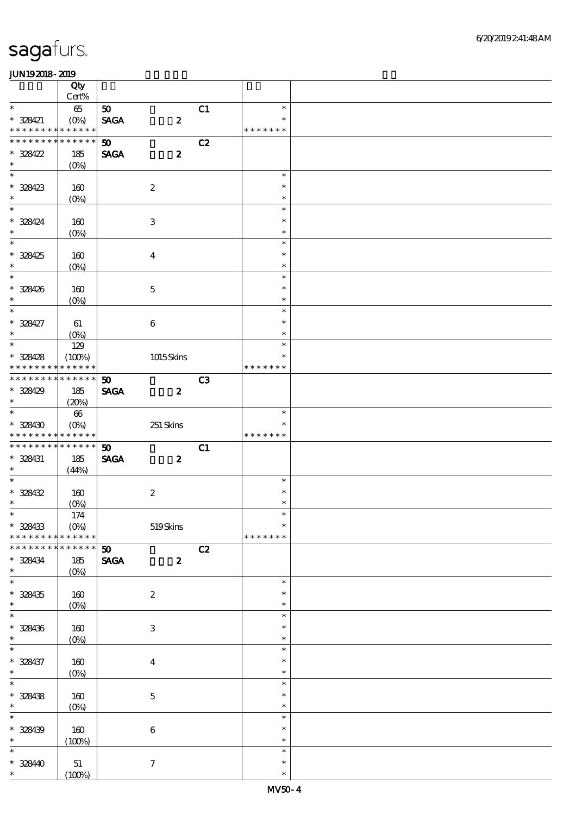|                                  | Qty                        |                             |                           |    |                         |  |
|----------------------------------|----------------------------|-----------------------------|---------------------------|----|-------------------------|--|
|                                  | $Cert\%$                   |                             |                           |    |                         |  |
| $\ast$                           | $65\,$                     | 50                          |                           | C1 | $\ast$                  |  |
| $* 328421$<br>* * * *<br>* * * * | $(0\%)$<br>* * * * * *     | <b>SAGA</b>                 | $\pmb{2}$                 |    | $\ast$<br>* * * * * * * |  |
| * * * * * * * *                  | * * * * * *                | $\boldsymbol{\mathfrak{D}}$ |                           | C2 |                         |  |
| $* 328422$                       | 185                        | <b>SAGA</b>                 | $\boldsymbol{2}$          |    |                         |  |
| $\ast$                           | $(0\%)$                    |                             |                           |    |                         |  |
| $\ast$                           |                            |                             |                           |    | $\ast$                  |  |
| $* 328423$                       | 160                        |                             | $\boldsymbol{z}$          |    | $\ast$                  |  |
| $\ast$                           | $(O\%)$                    |                             |                           |    | $\ast$                  |  |
| $\overline{\phantom{0}}$         |                            |                             |                           |    | $\ast$                  |  |
| $* 328424$                       | 160                        |                             | $\ensuremath{\mathsf{3}}$ |    | $\ast$                  |  |
| $\ast$                           | $(0\%)$                    |                             |                           |    | $\ast$                  |  |
|                                  |                            |                             |                           |    | $\ast$                  |  |
| $* 328425$                       | 160                        |                             | $\boldsymbol{4}$          |    | $\ast$                  |  |
| $\ast$                           | $(0\%)$                    |                             |                           |    | $\ast$                  |  |
|                                  |                            |                             |                           |    | $\ast$                  |  |
| * 328426                         | 160                        |                             | $\mathbf 5$               |    | $\ast$                  |  |
| $\ast$                           | $(O\%)$                    |                             |                           |    | $\ast$                  |  |
| $\overline{\phantom{0}}$         |                            |                             |                           |    | $\ast$                  |  |
| $* 328427$                       | 61                         |                             | $\bf 6$                   |    | $\ast$                  |  |
| $\ast$                           | $(O\%)$                    |                             |                           |    | $\ast$                  |  |
| $\ast$                           | 129                        |                             |                           |    | $\ast$                  |  |
| $* 328428$                       | (100%)                     |                             | 1015Skins                 |    | $\ast$                  |  |
| * * * * * * * *                  | * * * * * *                |                             |                           |    | * * * * * * *           |  |
| * * * * * * * *                  | * * * * * *                | 50                          |                           | C3 |                         |  |
| $* 328429$                       | 185                        | <b>SAGA</b>                 | $\boldsymbol{z}$          |    |                         |  |
| $\ast$                           | (20%)                      |                             |                           |    |                         |  |
| $\overline{\ast}$                | $66\,$                     |                             |                           |    | $\ast$                  |  |
| $* 328430$                       | $(O\%)$                    |                             | 251 Skins                 |    | $\ast$                  |  |
| * * * * * * * *                  | * * * * * *                |                             |                           |    | * * * * * * *           |  |
| * * * * * * * *                  | * * * * * *                | $\boldsymbol{\mathfrak{D}}$ |                           | C1 |                         |  |
| * 328431<br>$\ast$               | 185                        | <b>SAGA</b>                 | $\boldsymbol{z}$          |    |                         |  |
| $\ast$                           | (44%)                      |                             |                           |    | $\ast$                  |  |
| $* 328432$                       | 160                        |                             | $\boldsymbol{2}$          |    | $\ast$                  |  |
| $\ast$                           | $(O\%)$                    |                             |                           |    | $\ast$                  |  |
| $\ast$                           |                            |                             |                           |    |                         |  |
|                                  |                            |                             |                           |    |                         |  |
|                                  | 174                        |                             |                           |    | $\ast$                  |  |
| * 328433<br>* * * * * * * *      | $(O\!/\!o)$<br>* * * * * * |                             | $519S$ kins               |    | * * * * * * *           |  |
| * * * * * * *                    | * * * * * *                |                             |                           |    |                         |  |
|                                  |                            | $\boldsymbol{\mathfrak{D}}$ |                           | C2 |                         |  |
| * 328434<br>$\ast$               | 185<br>$(O\%)$             | <b>SAGA</b>                 | $\boldsymbol{z}$          |    |                         |  |
| $\ast$                           |                            |                             |                           |    | $\ast$                  |  |
| $* 328435$                       | 160                        |                             | $\boldsymbol{z}$          |    | $\ast$                  |  |
| $\ast$                           | $(0\%)$                    |                             |                           |    | $\ast$                  |  |
|                                  |                            |                             |                           |    | $\ast$                  |  |
| * 328436                         | $160$                      |                             | $\ensuremath{\mathsf{3}}$ |    | $\ast$                  |  |
| $\ast$                           | $(0\%)$                    |                             |                           |    | $\ast$                  |  |
| $\overline{\ast}$                |                            |                             |                           |    | $\ast$                  |  |
| * 328437                         | 160                        |                             | $\bf{4}$                  |    | ∗                       |  |
| $\ast$                           | $(0\%)$                    |                             |                           |    | $\ast$                  |  |
| $\overline{\ast}$                |                            |                             |                           |    | $\ast$                  |  |
| $* 328438$                       | $160$                      |                             | $\mathbf 5$               |    | $\ast$                  |  |
| $\ast$                           | $(0\%)$                    |                             |                           |    | $\ast$                  |  |
| $\overline{\phantom{0}}$         |                            |                             |                           |    | $\ast$                  |  |
| * 328439<br>$\ast$               | 160                        |                             | $\,6\,$                   |    | $\ast$<br>$\ast$        |  |
| $\ast$                           | (100%)                     |                             |                           |    | $\ast$                  |  |
| * 328440                         | $5\!1$                     |                             | $\boldsymbol{7}$          |    | $\ast$                  |  |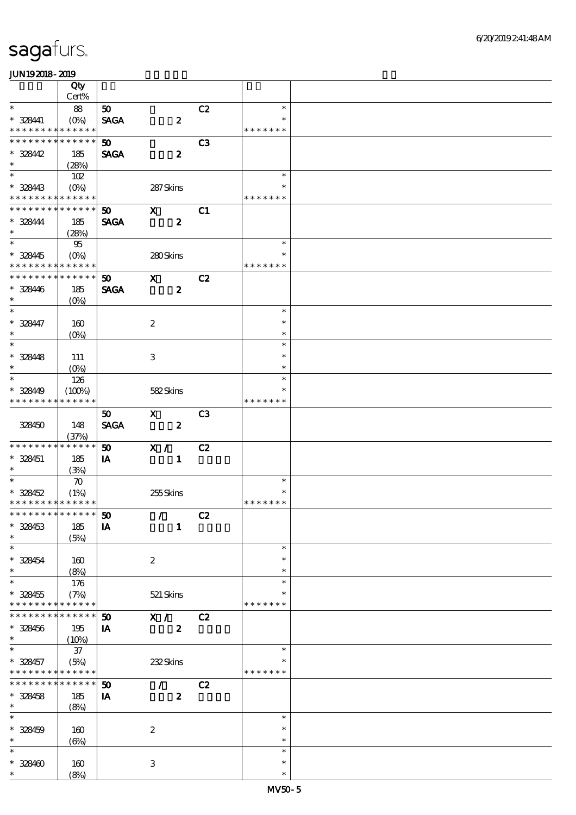|                                            | Qty                |                             |                         |    |               |  |
|--------------------------------------------|--------------------|-----------------------------|-------------------------|----|---------------|--|
|                                            | Cert%              |                             |                         |    |               |  |
| $\ast$                                     | 88                 | 50                          |                         | C2 | $\ast$        |  |
| $* 328411$                                 | $(O_0)$            | <b>SAGA</b>                 | $\boldsymbol{z}$        |    | $\ast$        |  |
| * * * * * * * *                            | * * * * * *        |                             |                         |    | * * * * * * * |  |
| * * * * * * * * * * * * * *                |                    | $\boldsymbol{\mathfrak{D}}$ |                         | C3 |               |  |
| $* 328442$                                 | 185                | <b>SAGA</b>                 | $\boldsymbol{z}$        |    |               |  |
| $\ast$                                     | (28%)              |                             |                         |    |               |  |
| $\ast$                                     | 102                |                             |                         |    | $\ast$        |  |
| $* 328443$                                 | $(O\%)$            |                             | 287Skins                |    | $\ast$        |  |
| * * * * * * * * <mark>* * * * * * *</mark> |                    |                             |                         |    | * * * * * * * |  |
| * * * * * * * * * * * * * *                |                    | 50                          | $\mathbf{x}$            | C1 |               |  |
| $* 328444$                                 | 185                | <b>SAGA</b>                 | $\boldsymbol{z}$        |    |               |  |
| $\ast$                                     | (28%)              |                             |                         |    |               |  |
| $\overline{\phantom{a}^*}$                 | 95                 |                             |                         |    | $\ast$        |  |
| $* 328445$                                 | $(O\%)$            |                             | 280Skins                |    | $\ast$        |  |
| * * * * * * * * <mark>* * * * * *</mark>   |                    |                             |                         |    | * * * * * * * |  |
| * * * * * * * * * * * * * *                |                    | 50                          | $\mathbf X$             | C2 |               |  |
| * 328446                                   | 185                | <b>SAGA</b>                 | $\boldsymbol{z}$        |    |               |  |
| $\ast$                                     | $(O\%)$            |                             |                         |    |               |  |
| $\overline{\ast}$                          |                    |                             |                         |    | $\ast$        |  |
| $* 328447$                                 | 160                |                             | $\boldsymbol{2}$        |    | $\ast$        |  |
| $\ast$                                     | $(O\%)$            |                             |                         |    | $\ast$        |  |
| $\overline{\ast}$                          |                    |                             |                         |    | $\ast$        |  |
| $* 328448$                                 | 111                |                             | $\,3\,$                 |    | $\ast$        |  |
| $\ast$                                     | $(O\%)$            |                             |                         |    | $\ast$        |  |
| $\ast$                                     | 126                |                             |                         |    | $\ast$        |  |
| $* 328449$                                 | (100%)             |                             | 582Skins                |    | $\ast$        |  |
| * * * * * * * *                            | * * * * * *        |                             |                         |    | * * * * * * * |  |
|                                            |                    | 50                          | $\mathbf{X}$            | C3 |               |  |
| 328450                                     | 148                | <b>SAGA</b>                 | $\overline{\mathbf{z}}$ |    |               |  |
|                                            | (37%)              |                             |                         |    |               |  |
| * * * * * * * *                            | * * * * * *        | $\boldsymbol{\mathfrak{D}}$ | X /                     | C2 |               |  |
| $* 328451$                                 | 185                | IA                          | $\mathbf{1}$            |    |               |  |
| $\ast$                                     | (3%)               |                             |                         |    |               |  |
| $\ast$                                     | $\boldsymbol{\pi}$ |                             |                         |    | $\ast$        |  |
| $* 328452$                                 | (1%)               |                             | 255Skins                |    | $\ast$        |  |
| * * * * * * * * * * * * * *                |                    |                             |                         |    | * * * * * * * |  |
| *************** 50                         |                    |                             | $\sqrt{C^2}$            |    |               |  |
| $* 328453$                                 | 185                | IA                          | $\mathbf{1}$            |    |               |  |
| $\ast$                                     | (5%)               |                             |                         |    |               |  |
| $\ast$                                     |                    |                             |                         |    | $\ast$        |  |
| $* 328454$                                 | 160                |                             | $\boldsymbol{2}$        |    | $\ast$        |  |
| $\ast$                                     | (8%)               |                             |                         |    | $\ast$        |  |
| $\ast$                                     | 176                |                             |                         |    | $\ast$        |  |
| $* 328455$                                 | (7%)               |                             | 521 Skins               |    | *             |  |
| * * * * * * * *                            | * * * * * *        |                             |                         |    | * * * * * * * |  |
| * * * * * * *                              | * * * * * *        | 50                          | X /                     | C2 |               |  |
| $* 328456$                                 | 195                | IA                          | $\boldsymbol{2}$        |    |               |  |
| $\ast$                                     | (10%)              |                             |                         |    |               |  |
| $\ast$                                     | $37\,$             |                             |                         |    | $\ast$        |  |
| $* 328457$                                 | (5%)               |                             | 232Skins                |    |               |  |
| * * * * * * * *                            | * * * * * *        |                             |                         |    | * * * * * * * |  |
| * * * * * * *                              | * * * * * *        | 50                          | $\mathcal{L}$           | C2 |               |  |
| $* 328458$                                 | 185                | IA                          | $\boldsymbol{z}$        |    |               |  |
| $\ast$                                     | (8%)               |                             |                         |    |               |  |
| $\ast$                                     |                    |                             |                         |    | $\ast$        |  |
| $* 328459$                                 | 160                |                             | $\boldsymbol{2}$        |    | $\ast$        |  |
| $\ast$                                     | $(\Theta)$         |                             |                         |    | $\ast$        |  |
| $\ast$                                     |                    |                             |                         |    | $\ast$        |  |
| $* 328400$                                 | 160                |                             | $\,3\,$                 |    | $\ast$        |  |
| $\ast$                                     | (8%)               |                             |                         |    | $\ast$        |  |
|                                            |                    |                             |                         |    |               |  |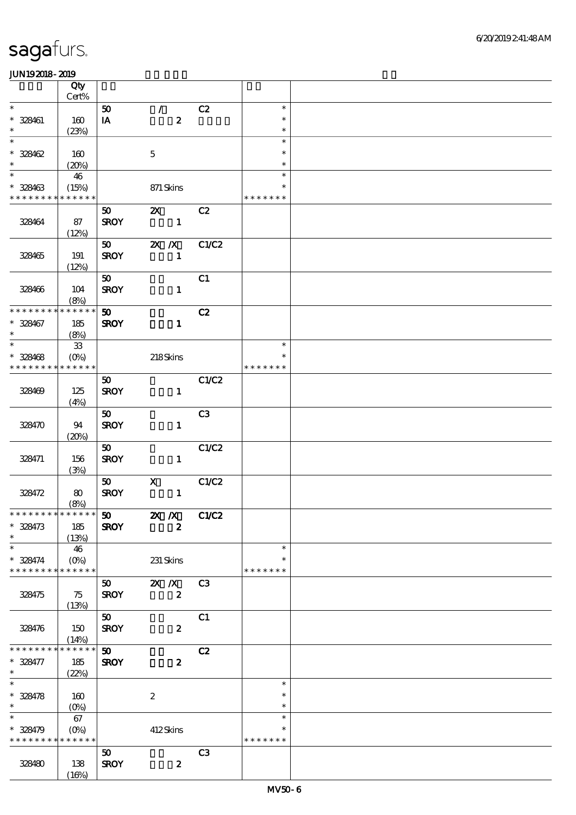|                                          | Qty          |                                |                         |                |                  |  |
|------------------------------------------|--------------|--------------------------------|-------------------------|----------------|------------------|--|
|                                          | Cert%        |                                |                         |                |                  |  |
| $\ast$                                   |              | 50                             | $\mathcal{L}$           | C2             | $\ast$           |  |
| $* 328461$<br>$\ast$                     | 160          | IA                             | $\boldsymbol{z}$        |                | $\ast$<br>$\ast$ |  |
| $\ast$                                   | (23%)        |                                |                         |                | $\ast$           |  |
| $* 328462$                               | 160          |                                | $\mathbf 5$             |                | $\ast$           |  |
| $\ast$                                   | (20%)        |                                |                         |                | $\ast$           |  |
| $\ast$                                   | 46           |                                |                         |                | $\ast$           |  |
| $* 328463$                               | (15%)        |                                | 871 Skins               |                | $\ast$           |  |
| * * * * * * * *                          | * * * * * *  |                                |                         |                | * * * * * * *    |  |
|                                          |              | 50                             | $\mathbf{z}$            | C2             |                  |  |
| 328464                                   | 87           | <b>SROY</b>                    | $\mathbf{1}$            |                |                  |  |
|                                          | (12%)        |                                |                         |                |                  |  |
|                                          |              | 50<br><b>SROY</b>              | $X$ $X$<br>$\mathbf{1}$ | C1/C2          |                  |  |
| 328465                                   | 191<br>(12%) |                                |                         |                |                  |  |
|                                          |              | 50                             |                         | C1             |                  |  |
| 328466                                   | 104          | <b>SROY</b>                    | $\mathbf{1}$            |                |                  |  |
|                                          | (8%)         |                                |                         |                |                  |  |
| * * * * * * * *                          | * * * * * *  | 50 <sub>2</sub>                |                         | C2             |                  |  |
| * 328467                                 | 185          | <b>SROY</b>                    | $\mathbf{1}$            |                |                  |  |
| $\ast$                                   | (8%)         |                                |                         |                |                  |  |
| $\ast$                                   | ${\bf 33}$   |                                |                         |                | $\ast$           |  |
| $* 328468$                               | $(O\%)$      |                                | 218Skins                |                | $\ast$           |  |
| * * * * * * * *                          | * * * * * *  |                                |                         |                | * * * * * * *    |  |
| 328469                                   | 125          | 50 <sub>2</sub><br><b>SROY</b> | $\mathbf{1}$            | C1/C2          |                  |  |
|                                          | (4%)         |                                |                         |                |                  |  |
|                                          |              | 50 <sub>o</sub>                |                         | C3             |                  |  |
| 328470                                   | 94           | <b>SROY</b>                    | $\mathbf{1}$            |                |                  |  |
|                                          | (20%)        |                                |                         |                |                  |  |
|                                          |              | 50                             |                         | C1/C2          |                  |  |
| 328471                                   | 156          | <b>SROY</b>                    | $\mathbf{1}$            |                |                  |  |
|                                          | (3%)         |                                |                         |                |                  |  |
|                                          |              | 50                             | $\mathbf{x}$            | C1/C2          |                  |  |
| 328472                                   | 80           | <b>SROY</b>                    | $\mathbf{1}$            |                |                  |  |
|                                          | (8%)         |                                |                         |                |                  |  |
| $* 328473$                               | 185          | <b>SROY</b>                    | $\boldsymbol{z}$        |                |                  |  |
| $\ast$                                   | (13%)        |                                |                         |                |                  |  |
| $\ast$                                   | 46           |                                |                         |                | $\ast$           |  |
| $* 328474$                               | $(O\% )$     |                                | 231 Skins               |                | $\ast$           |  |
| * * * * * * * *                          | * * * * * *  |                                |                         |                | * * * * * * *    |  |
|                                          |              | 50                             | $X$ $X$                 | C <sub>3</sub> |                  |  |
| 328475                                   | 75           | <b>SROY</b>                    | $\boldsymbol{z}$        |                |                  |  |
|                                          | (13%)        |                                |                         |                |                  |  |
|                                          |              | 50                             |                         | C1             |                  |  |
| 328476                                   | 150<br>(14%) | <b>SROY</b>                    | $\boldsymbol{z}$        |                |                  |  |
| * * * * * * *                            | * * * * * *  | $\boldsymbol{\mathfrak{D}}$    |                         | C2             |                  |  |
| $* 328477$                               | 185          | <b>SROY</b>                    | $\boldsymbol{z}$        |                |                  |  |
| $\ast$                                   | (22%)        |                                |                         |                |                  |  |
| $\ast$                                   |              |                                |                         |                | $\ast$           |  |
| $* 328478$                               | 160          |                                | $\boldsymbol{z}$        |                | $\ast$           |  |
| $\ast$                                   | $(O\%)$      |                                |                         |                | $\ast$           |  |
| $\ast$                                   | 67           |                                |                         |                | $\ast$           |  |
| $* 328479$                               | $(0\%)$      |                                | 412Skins                |                | $\ast$           |  |
| * * * * * * * * <mark>* * * * * *</mark> |              |                                |                         |                | * * * * * * *    |  |
| 328480                                   | 138          | 50<br><b>SROY</b>              | $\boldsymbol{z}$        | C <sub>3</sub> |                  |  |
|                                          | (16%)        |                                |                         |                |                  |  |
|                                          |              |                                |                         |                |                  |  |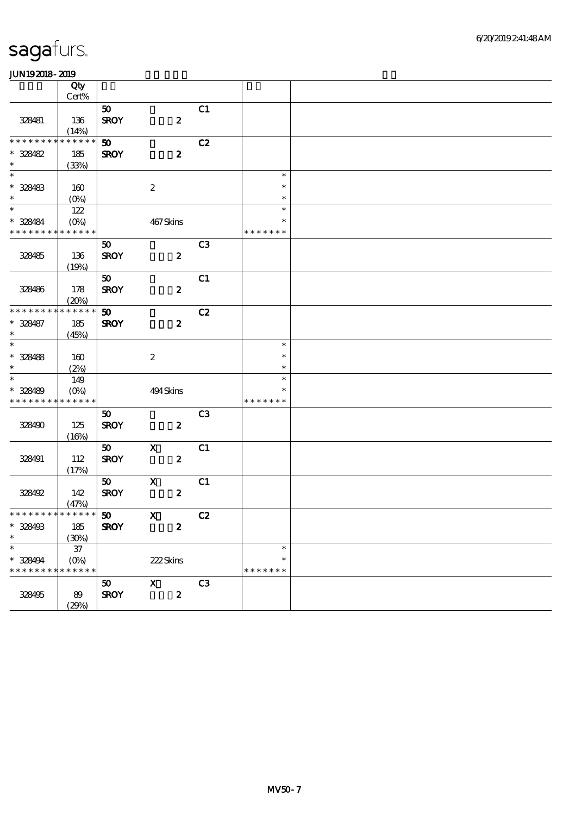|                             | Qty                |                 |                           |                |               |  |
|-----------------------------|--------------------|-----------------|---------------------------|----------------|---------------|--|
|                             | Cert%              |                 |                           |                |               |  |
|                             |                    | 50              |                           | C1             |               |  |
| 328481                      | 136                | <b>SROY</b>     | $\boldsymbol{z}$          |                |               |  |
|                             | (14%)              |                 |                           |                |               |  |
| * * * * * * * *             | * * * * * *        | 50 <sub>o</sub> |                           | C2             |               |  |
| $* 328482$                  | 185                | <b>SROY</b>     | $\boldsymbol{z}$          |                |               |  |
| $\ast$                      | (33%)              |                 |                           |                |               |  |
| $\ast$                      |                    |                 |                           |                | $\ast$        |  |
| $* 328483$                  | 160                |                 | $\boldsymbol{2}$          |                | $\ast$        |  |
| $\ast$                      | $(O\!/\!o)$        |                 |                           |                | $\ast$        |  |
| $\overline{\phantom{a}}$    | 122                |                 |                           |                | $\ast$        |  |
| * 328484                    | $(O\!/\!\!\delta)$ |                 | 467Skins                  |                | $\ast$        |  |
| * * * * * * * *             | * * * * * *        |                 |                           |                | * * * * * * * |  |
|                             |                    | 50              |                           | C <sub>3</sub> |               |  |
| 328485                      | 136                | <b>SROY</b>     | $\boldsymbol{z}$          |                |               |  |
|                             | (19%)              |                 |                           |                |               |  |
|                             |                    | 50 <sub>o</sub> |                           | C1             |               |  |
| 328486                      | 178                | <b>SROY</b>     | $\boldsymbol{z}$          |                |               |  |
|                             |                    |                 |                           |                |               |  |
| * * * * * * * *             | (20%)<br>$******$  |                 |                           |                |               |  |
|                             |                    | 50 <sub>o</sub> |                           | C2             |               |  |
| $* 328487$<br>$\ast$        | 185                | <b>SROY</b>     | $\boldsymbol{z}$          |                |               |  |
|                             | (45%)              |                 |                           |                |               |  |
| $\ast$                      |                    |                 |                           |                | $\ast$        |  |
| $* 328488$                  | 160                |                 | $\boldsymbol{2}$          |                | $\ast$        |  |
| $\ast$<br>$\overline{\ast}$ | (2%)               |                 |                           |                | $\ast$        |  |
|                             | 149                |                 |                           |                | $\ast$        |  |
| $* 328489$                  | $(O\%)$            |                 | 494 Skins                 |                | $\ast$        |  |
| * * * * * * * *             | * * * * * *        |                 |                           |                | * * * * * * * |  |
|                             |                    | 50              |                           | C <sub>3</sub> |               |  |
| 328490                      | 125                | <b>SROY</b>     | $\boldsymbol{z}$          |                |               |  |
|                             | (16%)              |                 |                           |                |               |  |
|                             |                    | 50              | $\boldsymbol{\mathsf{X}}$ | C1             |               |  |
| 328491                      | 112                | <b>SROY</b>     | $\boldsymbol{z}$          |                |               |  |
|                             | (17%)              |                 |                           |                |               |  |
|                             |                    | 50              | $\mathbf x$               | C1             |               |  |
| 328492                      | 142                | <b>SROY</b>     | $\boldsymbol{z}$          |                |               |  |
|                             | (47%)              |                 |                           |                |               |  |
| * * * * * * * * * * * * * * |                    | 50              | $\boldsymbol{\mathrm{X}}$ | C2             |               |  |
| * 328493                    | 185                | <b>SROY</b>     | $\boldsymbol{z}$          |                |               |  |
| $\ast$                      | (30%)              |                 |                           |                |               |  |
| $\ast$                      | $37\,$             |                 |                           |                | $\ast$        |  |
| $* 328494$                  | $(O\%)$            |                 | 222Skins                  |                | $\ast$        |  |
| * * * * * * * * * * * * * * |                    |                 |                           |                | * * * * * * * |  |
|                             |                    | 50              | $\mathbf X$               | C <sub>3</sub> |               |  |
| 328495                      | 89                 | <b>SROY</b>     | $\boldsymbol{z}$          |                |               |  |
|                             | (29%)              |                 |                           |                |               |  |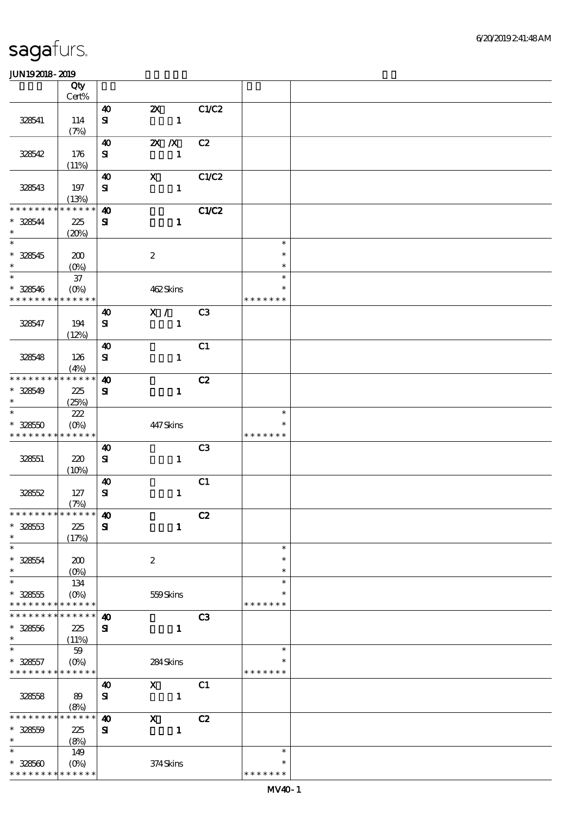|                             | Qty         |                       |                           |       |               |  |
|-----------------------------|-------------|-----------------------|---------------------------|-------|---------------|--|
|                             | $Cert\%$    |                       |                           |       |               |  |
|                             |             | $\boldsymbol{\omega}$ | $\mathbf{X}$              | C1/C2 |               |  |
| 328541                      | 114         | ${\bf s}$             | $\mathbf{1}$              |       |               |  |
|                             | (7%)        |                       |                           |       |               |  |
|                             |             | $\boldsymbol{\omega}$ | $X$ $N$                   | C2    |               |  |
| 328542                      | 176         | ${\bf s}$             | $\mathbf{1}$              |       |               |  |
|                             | (11%)       |                       |                           |       |               |  |
|                             |             | $\boldsymbol{\omega}$ | $\mathbf{X}$              | C1/C2 |               |  |
| 328543                      | 197         | ${\bf s}$             | $\mathbf{1}$              |       |               |  |
|                             | (13%)       |                       |                           |       |               |  |
| * * * * * * * *             | * * * * * * | $\boldsymbol{\omega}$ |                           | C1/C2 |               |  |
| $* 328544$                  | 225         | ${\bf z}$             | $\mathbf{1}$              |       |               |  |
| $\ast$                      | (20%)       |                       |                           |       |               |  |
| $\overline{\ast}$           |             |                       |                           |       | $\ast$        |  |
|                             |             |                       |                           |       | $\ast$        |  |
| $* 328545$                  | 200         |                       | $\boldsymbol{2}$          |       |               |  |
| $\ast$<br>$\overline{\ast}$ | $(O\%)$     |                       |                           |       | $\ast$        |  |
|                             | $37\,$      |                       |                           |       | $\ast$        |  |
| $* 328546$                  | $(O\!/\!o)$ |                       | 462Skins                  |       | $\ast$        |  |
| * * * * * * * *             | * * * * * * |                       |                           |       | * * * * * * * |  |
|                             |             | $\boldsymbol{\omega}$ | X /                       | C3    |               |  |
| 328547                      | 194         | ${\bf s}$             | $\mathbf{1}$              |       |               |  |
|                             | (12%)       |                       |                           |       |               |  |
|                             |             | $\boldsymbol{\omega}$ |                           | C1    |               |  |
| 328548                      | 126         | ${\bf S}$             | $\mathbf{1}$              |       |               |  |
|                             | (4%)        |                       |                           |       |               |  |
| * * * * * * * *             | ******      | $\boldsymbol{\omega}$ |                           | C2    |               |  |
| $* 328549$                  | 225         | ${\bf s}$             | $\mathbf{1}$              |       |               |  |
| $\ast$                      | (25%)       |                       |                           |       |               |  |
| $\ast$                      | 222         |                       |                           |       | $\ast$        |  |
| $* 32850$                   | $(O\%)$     |                       | 447Skins                  |       |               |  |
| * * * * * * * *             | * * * * * * |                       |                           |       | * * * * * * * |  |
|                             |             |                       |                           |       |               |  |
|                             |             | 40                    |                           | C3    |               |  |
| 328551                      | 220         | ${\bf s}$             | $\mathbf{1}$              |       |               |  |
|                             | (10%)       |                       |                           |       |               |  |
|                             |             | $\boldsymbol{\omega}$ |                           | C1    |               |  |
| 32852                       | 127         | $\mathbf{S}$          | $\mathbf{1}$              |       |               |  |
|                             | (7%)        |                       |                           |       |               |  |
| *************** 10          |             |                       |                           | C2    |               |  |
| $* 32853$                   | 225         | ${\bf s}$             | $\mathbf{1}$              |       |               |  |
| $\ast$                      | (17%)       |                       |                           |       |               |  |
| $\ast$                      |             |                       |                           |       | $\ast$        |  |
| $* 328554$                  | 200         |                       | $\boldsymbol{2}$          |       | $\ast$        |  |
| $\ast$                      | $(O\%)$     |                       |                           |       | $\ast$        |  |
| $\ast$                      | 134         |                       |                           |       | $\ast$        |  |
| $* 328555$                  | $(O\%)$     |                       | 559Skins                  |       |               |  |
| * * * * * * * *             | * * * * * * |                       |                           |       | * * * * * * * |  |
| * * * *                     | * * * * * * | $\boldsymbol{\omega}$ |                           | C3    |               |  |
| $* 32856$                   | 225         | ${\bf s}$             | $\mathbf{1}$              |       |               |  |
| $\ast$                      | (11%)       |                       |                           |       |               |  |
| $\ast$                      | $59\,$      |                       |                           |       | $\ast$        |  |
| $* 328557$                  | $(0\%)$     |                       | 284Skins                  |       | $\ast$        |  |
| * * * * * * * * * * * * * * |             |                       |                           |       | * * * * * * * |  |
|                             |             |                       |                           |       |               |  |
|                             |             | $\boldsymbol{\omega}$ | $\mathbf X$               | C1    |               |  |
| 328558                      | 89          | ${\bf s}$             | $\mathbf{1}$              |       |               |  |
|                             | (8%)        |                       |                           |       |               |  |
| * * * * * *                 | * * * * * * | $\boldsymbol{\omega}$ | $\boldsymbol{\mathrm{X}}$ | C2    |               |  |
| $* 32850$                   | 225         | ${\bf s}$             | $\mathbf{1}$              |       |               |  |
| $\ast$                      | (8%)        |                       |                           |       |               |  |
| $\ast$                      | 149         |                       |                           |       | $\ast$        |  |
| $* 328500$                  |             |                       | 374Skins                  |       | $\ast$        |  |
| * * * * * * * *             | * * * * * * |                       |                           |       | * * * * * * * |  |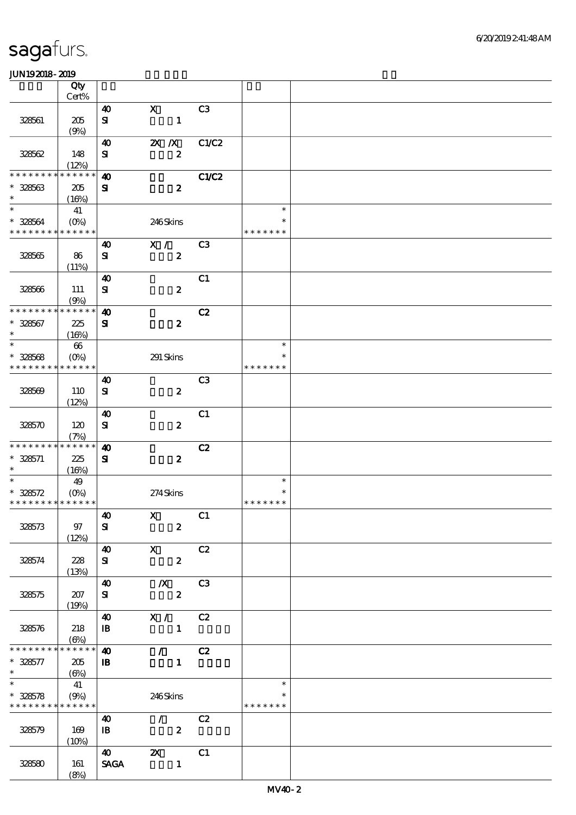|                             | Qty                                            |                            |                             |                |               |  |
|-----------------------------|------------------------------------------------|----------------------------|-----------------------------|----------------|---------------|--|
|                             | Cert%                                          |                            |                             |                |               |  |
|                             |                                                | $\boldsymbol{\omega}$      | $\mathbf X$                 | C3             |               |  |
| 328561                      | 205<br>(9%)                                    | ${\bf s}$                  | $\mathbf{1}$                |                |               |  |
|                             |                                                | 40                         | $X$ $X$                     | C1/C2          |               |  |
| 328562                      | 148                                            | ${\bf s}$                  | $\boldsymbol{z}$            |                |               |  |
|                             | (12%)                                          |                            |                             |                |               |  |
| * * * * * * * *             | * * * * * *                                    | $\boldsymbol{\omega}$      |                             | C1/C2          |               |  |
| $* 328563$                  | 205                                            | ${\bf s}$                  | $\boldsymbol{z}$            |                |               |  |
| $\ast$                      | (16%)                                          |                            |                             |                |               |  |
| $\ast$                      | 41                                             |                            |                             |                | $\ast$        |  |
| $* 328564$                  | $(O\%)$                                        |                            | 246Skins                    |                | $\ast$        |  |
| * * * * * * * * * * * * * * |                                                |                            |                             |                | * * * * * * * |  |
|                             |                                                | 40                         | X /                         | C <sub>3</sub> |               |  |
| 328565                      | 86                                             | ${\bf s}$                  | $\boldsymbol{z}$            |                |               |  |
|                             | (11%)                                          |                            |                             |                |               |  |
|                             |                                                | $\boldsymbol{\omega}$      |                             | C1             |               |  |
| 328566                      | 111                                            | ${\bf s}$                  | $\boldsymbol{z}$            |                |               |  |
|                             | (9%)                                           |                            |                             |                |               |  |
| * * * * * * * *             | * * * * * *                                    | $\boldsymbol{\omega}$      |                             | C2             |               |  |
| * 328567                    | 225                                            | ${\bf s}$                  | $\boldsymbol{z}$            |                |               |  |
| $\ast$                      | (16%)                                          |                            |                             |                |               |  |
| $\ast$                      | 66                                             |                            |                             |                | $\ast$        |  |
| $* 328568$                  | $(O\!\!\!\!\!\!\backslash\rho)$                |                            | 291 Skins                   |                | $\ast$        |  |
| * * * * * * * * * * * * * * |                                                |                            |                             |                | * * * * * * * |  |
|                             |                                                | 40                         |                             | C <sub>3</sub> |               |  |
| 328569                      | 110                                            | ${\bf s}$                  | $\boldsymbol{z}$            |                |               |  |
|                             | (12%)                                          |                            |                             |                |               |  |
|                             |                                                | $\boldsymbol{\omega}$      |                             | C1             |               |  |
| 328570                      | 120                                            | ${\bf s}$                  | $\boldsymbol{z}$            |                |               |  |
|                             | (7%)                                           |                            |                             |                |               |  |
| * * * * * * * *             | $\ast\ast\ast\ast\ast\ast$                     | $\boldsymbol{\omega}$      |                             | C2             |               |  |
| $* 328571$                  | 225                                            | ${\bf s}$                  | $\boldsymbol{z}$            |                |               |  |
| $\ast$                      | (16%)                                          |                            |                             |                |               |  |
| $\ast$                      | 49                                             |                            |                             |                | $\ast$        |  |
| $* 328572$                  |                                                |                            | 274Skins                    |                | $\ast$        |  |
| * * * * * * * * * * * * * * |                                                |                            |                             |                | * * * * * * * |  |
|                             |                                                | $\boldsymbol{\omega}$      | $X$ C1                      |                |               |  |
| 328573                      | $97\,$                                         | ${\bf s}$                  | $\boldsymbol{z}$            |                |               |  |
|                             | (12%)                                          | $\boldsymbol{\omega}$      | $\mathbf{x}$                | C2             |               |  |
|                             | 228                                            |                            | $\boldsymbol{z}$            |                |               |  |
| 328574                      | (13%)                                          | ${\bf s}$                  |                             |                |               |  |
|                             |                                                | $\boldsymbol{\omega}$      | $\chi$ C3                   |                |               |  |
| 328575                      | 207                                            | ${\bf s}$                  | $\boldsymbol{z}$            |                |               |  |
|                             | (19%)                                          |                            |                             |                |               |  |
|                             |                                                | $\boldsymbol{\omega}$      | X / C2                      |                |               |  |
| 328576                      | 218                                            | $\mathbf{B}$               | $\blacksquare$              |                |               |  |
|                             | $(\Theta)$                                     |                            |                             |                |               |  |
| * * * * * * * *             | $* * * * * * *$                                | $\boldsymbol{\omega}$      | $\mathcal{T} = \mathcal{I}$ | C2             |               |  |
| $* 328577$                  | 205                                            | $\, {\bf I} \! {\bf B} \,$ | $\mathbf{1}$                |                |               |  |
| $*$ and $*$                 | $\left(\frac{\partial y_0}{\partial x}\right)$ |                            |                             |                |               |  |
| $\overline{\ast}$           | 41                                             |                            |                             |                | $\ast$        |  |
| $* 328578$                  | (9%)                                           |                            | 246Skins                    |                | $\ast$        |  |
| * * * * * * * * * * * * * * |                                                |                            |                             |                | * * * * * * * |  |
|                             |                                                | 40                         | $\mathcal{T} = \mathcal{I}$ | C2             |               |  |
| 328579                      | 169                                            | $\mathbf{B}$               | $\boldsymbol{2}$            |                |               |  |
|                             | (10%)                                          |                            |                             |                |               |  |
|                             |                                                | <b>40</b>                  | $\boldsymbol{\alpha}$       | C1             |               |  |
| 328580                      | 161                                            | <b>SAGA</b>                | $\mathbf{1}$                |                |               |  |
|                             | (8%)                                           |                            |                             |                |               |  |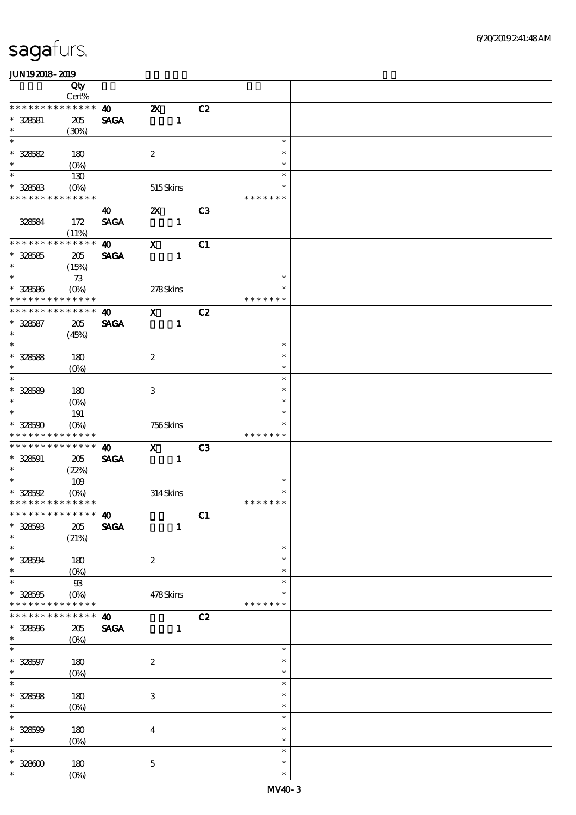|                                    | Qty                       |                       |                           |              |                         |               |  |
|------------------------------------|---------------------------|-----------------------|---------------------------|--------------|-------------------------|---------------|--|
|                                    | $Cert\%$                  |                       |                           |              |                         |               |  |
| * * * * * * * *                    | * * * * * *               | $\boldsymbol{\omega}$ | $\boldsymbol{\mathsf{z}}$ |              | C2                      |               |  |
| $* 328581$                         | 205                       | <b>SAGA</b>           |                           | $\mathbf{1}$ |                         |               |  |
| $\ast$                             | (30%)                     |                       |                           |              |                         |               |  |
| $\ast$                             |                           |                       |                           |              |                         | $\ast$        |  |
| $* 328582$                         | 180                       |                       | $\boldsymbol{z}$          |              |                         | $\ast$        |  |
| $\ast$                             | $(O\%)$                   |                       |                           |              |                         | $\ast$        |  |
| $\ast$                             |                           |                       |                           |              |                         | $\ast$        |  |
|                                    | 130                       |                       |                           |              |                         | $\ast$        |  |
| $* 328583$                         | $(O\!\!\!\!\!\!\!/\,\!o)$ |                       | 515Skins                  |              |                         |               |  |
| * * * * * * * *                    | * * * * * *               |                       |                           |              |                         | * * * * * * * |  |
|                                    |                           | 40                    | $\boldsymbol{\mathsf{Z}}$ |              | C <sub>3</sub>          |               |  |
| 328584                             | 172                       | <b>SAGA</b>           |                           | $\mathbf{1}$ |                         |               |  |
|                                    | (11%)                     |                       |                           |              |                         |               |  |
| * * * * * * *                      | * * * * * *               | $\boldsymbol{\omega}$ | $\mathbf X$               |              | C1                      |               |  |
| $* 328585$                         | 205                       | <b>SAGA</b>           |                           | $\mathbf{1}$ |                         |               |  |
| $\ast$                             | (15%)                     |                       |                           |              |                         |               |  |
| $\ast$                             | $73$                      |                       |                           |              |                         | $\ast$        |  |
| $* 328586$                         | $(O\%)$                   |                       | 278Skins                  |              |                         | $\ast$        |  |
| * * * * * * * *                    | * * * * * *               |                       |                           |              |                         | * * * * * * * |  |
| * * * * * * * *                    | * * * * * *               | $\boldsymbol{\omega}$ | $\mathbf{x}$              |              | C2                      |               |  |
| $* 328587$                         | 205                       | <b>SAGA</b>           |                           | $\mathbf{1}$ |                         |               |  |
| $\ast$                             | (45%)                     |                       |                           |              |                         |               |  |
| $\ast$                             |                           |                       |                           |              |                         | $\ast$        |  |
|                                    |                           |                       |                           |              |                         | $\ast$        |  |
| $* 328588$<br>$\ast$               | 180                       |                       | $\boldsymbol{2}$          |              |                         | $\ast$        |  |
| $\ast$                             | $(0\%)$                   |                       |                           |              |                         | $\ast$        |  |
|                                    |                           |                       |                           |              |                         |               |  |
| $* 328589$                         | 180                       |                       | 3                         |              |                         | $\ast$        |  |
| $\ast$                             | $(O\%)$                   |                       |                           |              |                         | $\ast$        |  |
| $\ast$                             | 191                       |                       |                           |              |                         | $\ast$        |  |
| $* 328500$                         | $(O\%)$                   |                       | 756Skins                  |              |                         | $\ast$        |  |
| * * * * * * *                      | * * * * * *               |                       |                           |              |                         | * * * * * * * |  |
| * * * * * * *                      | * * * * * *               | $\boldsymbol{\omega}$ | $\mathbf{x}$              |              | C3                      |               |  |
| $* 328591$                         | 205                       | <b>SAGA</b>           |                           | $\mathbf{1}$ |                         |               |  |
| $\ast$                             | (22%)                     |                       |                           |              |                         |               |  |
| $\ast$                             | 109                       |                       |                           |              |                         | $\ast$        |  |
| $* 328592$                         | $(O\!\!\!\!\!\!\!/\,\!o)$ |                       | 314Skins                  |              |                         |               |  |
| * * * * * * * * * * * * * *        |                           |                       |                           |              |                         | * * * * * * * |  |
| *************** <b>40</b>          |                           |                       |                           |              | $\overline{\text{c}}$ 1 |               |  |
| $* 328503$                         | $205\,$                   | <b>SAGA</b>           |                           | $\mathbf{1}$ |                         |               |  |
| $\ast$                             | (21%)                     |                       |                           |              |                         |               |  |
| $\ast$                             |                           |                       |                           |              |                         | $\ast$        |  |
| $* 328594$                         | 180                       |                       | $\boldsymbol{2}$          |              |                         | $\ast$        |  |
| $\ast$                             | $(O_0)$                   |                       |                           |              |                         | $\ast$        |  |
| $\ast$                             | ${\mathfrak B}$           |                       |                           |              |                         | $\ast$        |  |
|                                    |                           |                       | 478Skins                  |              |                         | $\ast$        |  |
| $* 328505$<br>* * * * * * * *      | $(O\%)$<br>* * * * * *    |                       |                           |              |                         | * * * * * * * |  |
| * * * * * * *                      | $*******$                 |                       |                           |              |                         |               |  |
|                                    |                           | $\boldsymbol{\omega}$ |                           |              | C2                      |               |  |
| $* 328596$                         | 205                       | <b>SAGA</b>           |                           | $\mathbf{1}$ |                         |               |  |
| $\ast$<br>$\overline{\phantom{1}}$ | $(O\%)$                   |                       |                           |              |                         |               |  |
|                                    |                           |                       |                           |              |                         | $\ast$        |  |
| $* 328597$                         | 180                       |                       | $\boldsymbol{2}$          |              |                         | $\ast$        |  |
| $\ast$                             | $(0\%)$                   |                       |                           |              |                         | $\ast$        |  |
| $\ast$                             |                           |                       |                           |              |                         | $\ast$        |  |
| $* 328508$                         | 180                       |                       | $\ensuremath{\mathsf{3}}$ |              |                         | $\ast$        |  |
| $\ast$                             | $(Q_0)$                   |                       |                           |              |                         | $\ast$        |  |
| $\overline{\phantom{0}}$           |                           |                       |                           |              |                         | $\ast$        |  |
| $* 328500$                         | 180                       |                       | $\boldsymbol{4}$          |              |                         | $\ast$        |  |
| $\ast$                             | $(0\%)$                   |                       |                           |              |                         | $\ast$        |  |
| $\ast$                             |                           |                       |                           |              |                         | $\ast$        |  |
| $^\ast$ 328600                     | 180                       |                       | $\bf 5$                   |              |                         | $\ast$        |  |
| $\ast$                             | $(0\%)$                   |                       |                           |              |                         | $\ast$        |  |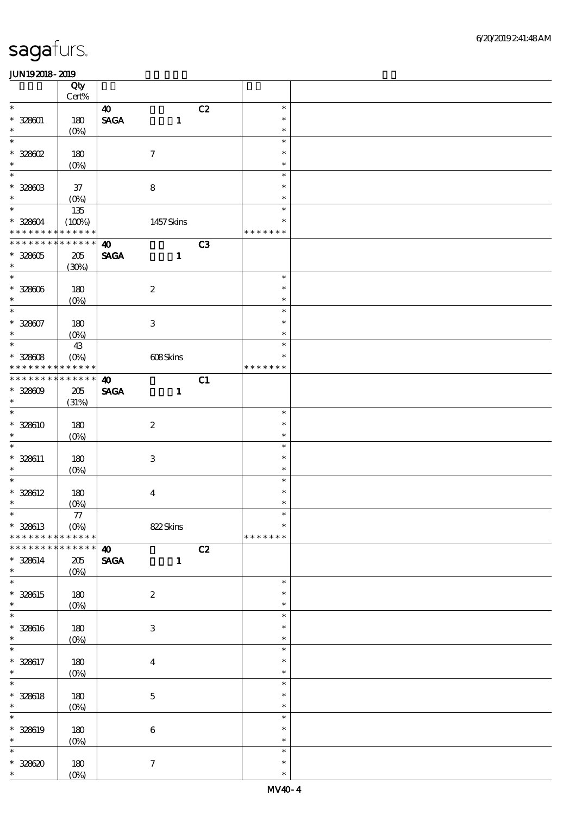|                             | Qty<br>Cert%       |                                |                           |                |               |  |
|-----------------------------|--------------------|--------------------------------|---------------------------|----------------|---------------|--|
| $\ast$                      |                    |                                |                           | C2             | $\ast$        |  |
|                             |                    | $\boldsymbol{\omega}$          |                           |                |               |  |
| $* 328001$                  | 180                | $\ensuremath{\mathsf{SAGA}}$   | $\mathbf{1}$              |                | $\ast$        |  |
| $\ast$                      | $(O\!/\!\!\delta)$ |                                |                           |                | $\ast$        |  |
| $\ast$                      |                    |                                |                           |                | $\ast$        |  |
| $*$ 328602                  | 180                |                                | $\boldsymbol{\tau}$       |                | $\ast$        |  |
|                             |                    |                                |                           |                |               |  |
| $\ast$                      | $(0\%)$            |                                |                           |                | $\ast$        |  |
| $\ast$                      |                    |                                |                           |                | $\ast$        |  |
| $* 32860B$                  | $37\,$             |                                | $\bf8$                    |                | $\ast$        |  |
| $\ast$                      | $(O\%)$            |                                |                           |                | $\ast$        |  |
| $\ast$                      |                    |                                |                           |                | $\ast$        |  |
|                             | $135\,$            |                                |                           |                |               |  |
| $* 328004$                  | (100%)             |                                | 1457 Skins                |                | $\ast$        |  |
| * * * * * * * *             | * * * * * *        |                                |                           |                | * * * * * * * |  |
| * * * * * * * * * * * * * * |                    | $\boldsymbol{\omega}$          |                           | C <sub>3</sub> |               |  |
|                             |                    | <b>SAGA</b>                    |                           |                |               |  |
| $* 328005$                  | 205                |                                | $\mathbf{1}$              |                |               |  |
| $\ast$                      | (30%)              |                                |                           |                |               |  |
| $\overline{\ast}$           |                    |                                |                           |                | $\ast$        |  |
| $^\ast$ 328606              | 180                |                                | $\boldsymbol{2}$          |                | $\ast$        |  |
| $\ast$                      | $(O\%)$            |                                |                           |                | $\ast$        |  |
| $\overline{\ast}$           |                    |                                |                           |                |               |  |
|                             |                    |                                |                           |                | $\ast$        |  |
| $* 328007$                  | 180                |                                | $\ensuremath{\mathbf{3}}$ |                | $\ast$        |  |
| $\ast$                      | $(O\!/\!o)$        |                                |                           |                | $\ast$        |  |
| $\overline{\ast}$           | 43                 |                                |                           |                | $\ast$        |  |
|                             |                    |                                |                           |                | $\ast$        |  |
| $* 32808$                   | $(O\%)$            |                                | 608Skins                  |                |               |  |
| * * * * * * * *             | * * * * * *        |                                |                           |                | * * * * * * * |  |
| * * * * * * *               | * * * * * *        | $\boldsymbol{\omega}$          |                           | C1             |               |  |
| $* 32800$                   | 205                | <b>SAGA</b>                    | $\mathbf{1}$              |                |               |  |
| $\ast$                      | (31%)              |                                |                           |                |               |  |
| $\ast$                      |                    |                                |                           |                | $\ast$        |  |
|                             |                    |                                |                           |                |               |  |
| $* 328610$                  | 180                |                                | $\boldsymbol{2}$          |                | $\ast$        |  |
| $\ast$                      | $(0\%)$            |                                |                           |                | $\ast$        |  |
| $\ast$                      |                    |                                |                           |                | $\ast$        |  |
|                             |                    |                                |                           |                | $\ast$        |  |
| $* 328611$                  | 180                |                                | $\ensuremath{\mathbf{3}}$ |                |               |  |
| $\ast$                      | $(O\%)$            |                                |                           |                | $\ast$        |  |
| $\ast$                      |                    |                                |                           |                | $\ast$        |  |
| $* 328612$                  | 180                |                                | $\boldsymbol{4}$          |                | $\ast$        |  |
| $\ast$                      | $(0\%)$            |                                |                           |                | $\ast$        |  |
| $\ast$                      |                    |                                |                           |                | $\ast$        |  |
|                             | ${\it 77}$         |                                |                           |                |               |  |
| $* 328613$                  | $(O\%)$            |                                | 822Skins                  |                | $\ast$        |  |
| * * * * * * * *             | * * * * * *        |                                |                           |                | * * * * * * * |  |
| * * * * * * *               | * * * * * *        | $\boldsymbol{\omega}$          |                           | C2             |               |  |
|                             |                    |                                |                           |                |               |  |
| $* 328614$                  | 205                | $\operatorname{\mathsf{SAGA}}$ | $\mathbf{1}$              |                |               |  |
| $\ast$                      | $(0\%)$            |                                |                           |                |               |  |
| $\overline{\ast}$           |                    |                                |                           |                | $\ast$        |  |
| $* 328615$                  | 180                |                                | $\boldsymbol{2}$          |                | $\ast$        |  |
| $\ast$                      | $(0\%)$            |                                |                           |                | $\ast$        |  |
| $\ast$                      |                    |                                |                           |                | $\ast$        |  |
|                             |                    |                                |                           |                |               |  |
| $* 328616$                  | $180$              |                                | $\ensuremath{\mathbf{3}}$ |                | $\ast$        |  |
| $\ast$                      | $(0\%)$            |                                |                           |                | $\ast$        |  |
| $\ast$                      |                    |                                |                           |                | $\ast$        |  |
| $* 328617$                  | 180                |                                |                           |                | $\ast$        |  |
|                             |                    |                                | $\boldsymbol{4}$          |                |               |  |
| $\ast$                      | $(0\%)$            |                                |                           |                | $\ast$        |  |
| $\ast$                      |                    |                                |                           |                | $\ast$        |  |
| $* 328618$                  | 180                |                                | $\mathbf 5$               |                | $\ast$        |  |
| $\ast$                      | $(0\%)$            |                                |                           |                | $\ast$        |  |
| $\ast$                      |                    |                                |                           |                | $\ast$        |  |
|                             |                    |                                |                           |                |               |  |
| $* 328619$                  | 180                |                                | $\,6\,$                   |                | $\ast$        |  |
| $\ast$                      | $(0\%)$            |                                |                           |                | $\ast$        |  |
| $\ast$                      |                    |                                |                           |                | $\ast$        |  |
|                             |                    |                                |                           |                | $\ast$        |  |
| $* 328620$                  | 180                |                                | $\boldsymbol{7}$          |                |               |  |
| $\ast$                      | $(0\%)$            |                                |                           |                | $\ast$        |  |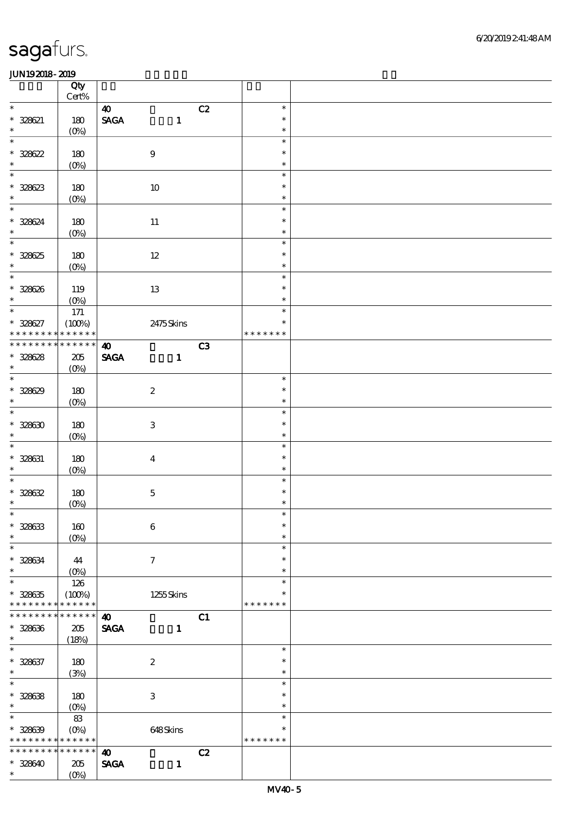|                                          | Qty<br>Cert%          |                              |                           |                |               |  |
|------------------------------------------|-----------------------|------------------------------|---------------------------|----------------|---------------|--|
| $\ast$                                   |                       |                              |                           |                | $\ast$        |  |
|                                          |                       | $\boldsymbol{\omega}$        |                           | C2             |               |  |
| $* 328621$                               | 180                   | $\ensuremath{\mathsf{SAGA}}$ | $\mathbf{1}$              |                | $\ast$        |  |
| $\ast$                                   | $(0\%)$               |                              |                           |                | $\ast$        |  |
| $\ast$                                   |                       |                              |                           |                | $\ast$        |  |
| $* 328622$                               | 180                   |                              | $\boldsymbol{9}$          |                | $\ast$        |  |
| $\ast$                                   | $(O\%)$               |                              |                           |                | $\ast$        |  |
| $\ast$                                   |                       |                              |                           |                | $\ast$        |  |
| $* 328623$                               | 180                   |                              | 10                        |                | $\ast$        |  |
| $\ast$                                   | $(0\%)$               |                              |                           |                | $\ast$        |  |
| $\ast$                                   |                       |                              |                           |                | $\ast$        |  |
|                                          |                       |                              |                           |                | $\ast$        |  |
| * 328624                                 | 180                   |                              | $11\,$                    |                |               |  |
| $\ast$<br>$\overline{\phantom{0}}$       | $(0\%)$               |                              |                           |                | $\ast$        |  |
|                                          |                       |                              |                           |                | $\ast$        |  |
| $* 328625$                               | 180                   |                              | $12\,$                    |                | $\ast$        |  |
| $\ast$                                   | $(0\%)$               |                              |                           |                | $\ast$        |  |
| $\overline{\ast}$                        |                       |                              |                           |                | $\ast$        |  |
| $* 328626$                               | 119                   |                              | 13                        |                | $\ast$        |  |
| $\ast$                                   | $(O\%)$               |                              |                           |                | $\ast$        |  |
| $\overline{\ast}$                        | $171\,$               |                              |                           |                | $\ast$        |  |
| * 328627                                 | (100%)                |                              | 2475Skins                 |                | $\ast$        |  |
| * * * * * * * *                          | * * * * * *           |                              |                           |                | * * * * * * * |  |
| * * * * * * * *                          | * * * * * *           | $\boldsymbol{\omega}$        |                           | C <sub>3</sub> |               |  |
|                                          |                       |                              |                           |                |               |  |
| $* 328628$                               | 205                   | <b>SAGA</b>                  | $\mathbf{1}$              |                |               |  |
| $\ast$<br>$\overline{\phantom{0}}$       | $(O\%)$               |                              |                           |                |               |  |
|                                          |                       |                              |                           |                | $\ast$        |  |
| $* 328629$                               | 180                   |                              | $\boldsymbol{2}$          |                | $\ast$        |  |
| $\ast$                                   | $(O\!/\!o)$           |                              |                           |                | $\ast$        |  |
| $\ast$                                   |                       |                              |                           |                | $\ast$        |  |
| $* 328630$                               | 180                   |                              | $\ensuremath{\mathbf{3}}$ |                | $\ast$        |  |
| $\ast$                                   | $(0\%)$               |                              |                           |                | $\ast$        |  |
| $\ast$                                   |                       |                              |                           |                | $\ast$        |  |
|                                          |                       |                              |                           |                | $\ast$        |  |
| $* 328631$<br>$\ast$                     | 180                   |                              | $\boldsymbol{4}$          |                |               |  |
|                                          | $(0\%)$               |                              |                           |                | $\ast$        |  |
| $\ast$                                   |                       |                              |                           |                | $\ast$        |  |
| $* 328632$                               | 180                   |                              | $\mathbf 5$               |                | $\ast$        |  |
| $\ast$                                   | $(0\%)$               |                              |                           |                | $\ast$        |  |
| $\ast$                                   |                       |                              |                           |                | $\ast$        |  |
| $* 328633$                               | 160                   |                              | $\,6\,$                   |                | $\ast$        |  |
| $\ast$                                   | $(O\%)$               |                              |                           |                | $\ast$        |  |
| $\ast$                                   |                       |                              |                           |                | $\ast$        |  |
| $* 328634$                               | 44                    |                              | $\tau$                    |                | $\ast$        |  |
| $\ast$                                   | $(0\%)$               |                              |                           |                | $\ast$        |  |
| $\ast$                                   | 126                   |                              |                           |                | $\ast$        |  |
|                                          |                       |                              |                           |                | $\ast$        |  |
| $* 328635$                               | (100%)<br>* * * * * * |                              | 1255Skins                 |                |               |  |
| * * * * * * * *                          |                       |                              |                           |                | * * * * * * * |  |
| * * * * * * *                            | * * * * * *           | $\boldsymbol{\omega}$        |                           | C1             |               |  |
| $* 328636$                               | 205                   | <b>SAGA</b>                  | $\mathbf{1}$              |                |               |  |
| $\ast$                                   | (18%)                 |                              |                           |                |               |  |
| $\ast$                                   |                       |                              |                           |                | $\ast$        |  |
| $* 328637$                               | 180                   |                              | $\boldsymbol{2}$          |                | $\ast$        |  |
| $\ast$                                   | (3%)                  |                              |                           |                | $\ast$        |  |
| $\ast$                                   |                       |                              |                           |                | $\ast$        |  |
| $* 328638$                               | 180                   |                              | $\,3$                     |                | $\ast$        |  |
| $\ast$                                   |                       |                              |                           |                | $\ast$        |  |
| $\ast$                                   | $(O\%)$               |                              |                           |                | $\ast$        |  |
|                                          | 83                    |                              |                           |                |               |  |
| $* 328639$                               | $(O\%)$               |                              | 648Skins                  |                | $\ast$        |  |
| * * * * * * * * <mark>* * * * * *</mark> |                       |                              |                           |                | * * * * * * * |  |
| ********                                 | * * * * * *           | $\boldsymbol{\omega}$        |                           | C2             |               |  |
| $* 328640$                               | 205                   | <b>SAGA</b>                  | $\mathbf{1}$              |                |               |  |
| $\ast$                                   | $(O\%)$               |                              |                           |                |               |  |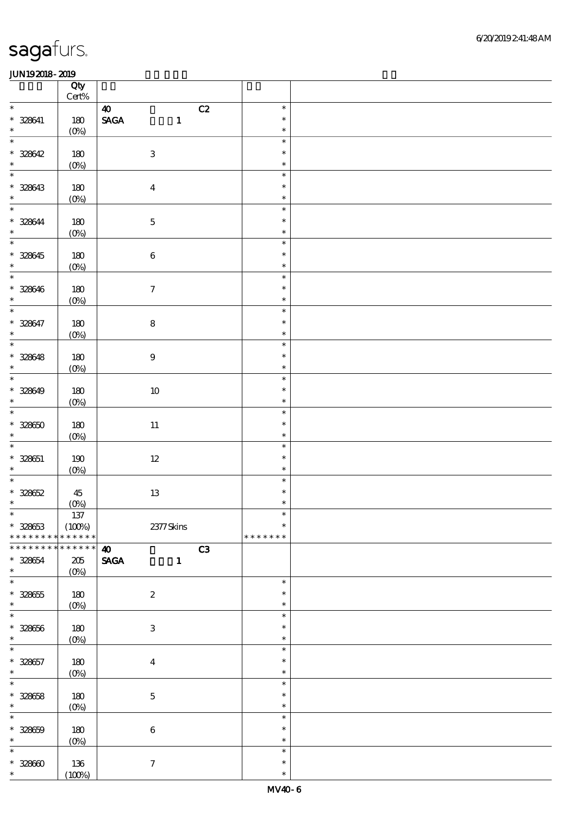|                          | Qty<br>$\mbox{Cert}\%$ |                                              |               |  |
|--------------------------|------------------------|----------------------------------------------|---------------|--|
| $\ast$                   |                        | $\boldsymbol{\omega}$<br>C2                  | $\ast$        |  |
|                          |                        |                                              |               |  |
| $* 328641$               | 180                    | $\ensuremath{\mathsf{SAGA}}$<br>$\mathbf{1}$ | $\ast$        |  |
| $\ast$                   | (0%)                   |                                              | $\ast$        |  |
| $\overline{\ast}$        |                        |                                              | $\ast$        |  |
| $* 328642$               | 180                    | $\ensuremath{\mathbf{3}}$                    | $\ast$        |  |
| $\ast$                   | $(0\%)$                |                                              | $\ast$        |  |
| $\ast$                   |                        |                                              | $\ast$        |  |
|                          |                        |                                              | $\ast$        |  |
| $* 328643$               | $180$                  | $\boldsymbol{4}$                             |               |  |
| $\ast$                   | $(0\%)$                |                                              | $\ast$        |  |
| $\overline{\ast}$        |                        |                                              | $\ast$        |  |
| $* 328644$               | $180$                  | $\mathbf 5$                                  | $\ast$        |  |
| $\ast$                   | $(0\%)$                |                                              | $\ast$        |  |
| $\overline{\ast}$        |                        |                                              | $\ast$        |  |
| $* 328645$               | 180                    | $\bf 6$                                      | $\ast$        |  |
| $\ast$                   |                        |                                              | $\ast$        |  |
| $\overline{\ast}$        | $(0\%)$                |                                              | $\ast$        |  |
|                          |                        |                                              |               |  |
| $* 328646$               | 180                    | $\boldsymbol{7}$                             | $\ast$        |  |
| $\ast$                   | $(0\%)$                |                                              | $\ast$        |  |
| $\overline{\ast}$        |                        |                                              | $\ast$        |  |
| $* 328647$               | 180                    | ${\bf 8}$                                    | $\ast$        |  |
| $\ast$                   | $(0\%)$                |                                              | $\ast$        |  |
| $\overline{\ast}$        |                        |                                              | $\ast$        |  |
| $* 328648$               | 180                    | $\boldsymbol{9}$                             | $\ast$        |  |
| $\ast$                   |                        |                                              | $\ast$        |  |
| $\overline{\ast}$        | $(0\%)$                |                                              |               |  |
|                          |                        |                                              | $\ast$        |  |
| $* 328649$               | $180$                  | $10\,$                                       | $\ast$        |  |
| $\ast$                   | (0%)                   |                                              | $\ast$        |  |
| $\ast$                   |                        |                                              | $\ast$        |  |
| $* 32860$                | 180                    | $11\,$                                       | $\ast$        |  |
| $\ast$                   | $(0\%)$                |                                              | $\ast$        |  |
| $\ast$                   |                        |                                              | $\ast$        |  |
| $* 328651$               | 190                    | $12\,$                                       | $\ast$        |  |
| $\ast$                   |                        |                                              | $\ast$        |  |
| $\ast$                   | $(0\%)$                |                                              |               |  |
|                          |                        |                                              | $\ast$        |  |
| $* 328652$               | ${\bf 45}$             | $13\,$                                       | $\ast$        |  |
| $\ast$                   | (0%)                   |                                              | $\ast$        |  |
| $\ast$                   | $137\,$                |                                              | $\ast$        |  |
| $* 328653$               | (100%)                 | $2377$ Skins                                 | $\ast$        |  |
| * * * * * * *            | * * * * * *            |                                              | * * * * * * * |  |
| * * * * * * *            | * * * * * *            | C3<br>$\boldsymbol{\omega}$                  |               |  |
| $* 328654$               | 205                    | $\ensuremath{\mathsf{SAGA}}$<br>$\mathbf{1}$ |               |  |
| $\ast$                   |                        |                                              |               |  |
| $\overline{\ast}$        | $(0\%)$                |                                              |               |  |
|                          |                        |                                              | $\ast$        |  |
| $^\ast$ 328655           | 180                    | $\boldsymbol{2}$                             | $\ast$        |  |
| $\ast$                   | $(0\%)$                |                                              | $\ast$        |  |
| $\ast$                   |                        |                                              | $\ast$        |  |
| $* 328656$               | $180\,$                | $\ensuremath{\mathbf{3}}$                    | $\ast$        |  |
| $\ast$                   | $(0\%)$                |                                              | $\ast$        |  |
| $\overline{\phantom{0}}$ |                        |                                              | $\ast$        |  |
| $* 328657$               | $180\,$                | $\boldsymbol{4}$                             | $\ast$        |  |
| $\ast$                   |                        |                                              | $\ast$        |  |
| $\ast$                   | $(0\%)$                |                                              | $\ast$        |  |
|                          |                        |                                              |               |  |
| $* 328658$               | 180                    | $\bf 5$                                      | $\ast$        |  |
| $\ast$                   | $(0\%)$                |                                              | $\ast$        |  |
| $\ast$                   |                        |                                              | $\ast$        |  |
| $* 32860$                | 180                    | $\bf 6$                                      | $\ast$        |  |
| $\ast$                   | $(0\%)$                |                                              | $\ast$        |  |
| $\ast$                   |                        |                                              | $\ast$        |  |
| $* 32860$                | $136\,$                | $\boldsymbol{\tau}$                          | $\ast$        |  |
| $\ast$                   | (100%)                 |                                              | $\ast$        |  |
|                          |                        |                                              |               |  |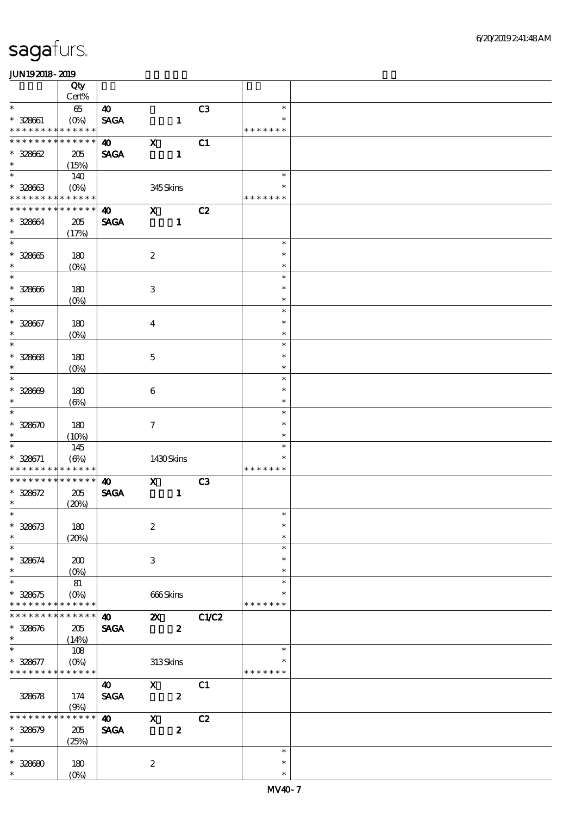6/20/2019 2:41:48 AM

# sagafurs.

|                                                | Qty                 |                       |                  |                  |       |                         |  |
|------------------------------------------------|---------------------|-----------------------|------------------|------------------|-------|-------------------------|--|
|                                                | $Cert\%$            |                       |                  |                  |       |                         |  |
| $\ast$                                         | 65                  | $\boldsymbol{\omega}$ |                  |                  | C3    | $\ast$                  |  |
| $* 328661$                                     | $(O\!/\!o)$         | <b>SAGA</b>           |                  | $\mathbf{1}$     |       | $\ast$<br>* * * * * * * |  |
| * * * * * * * * * * * * * *<br>* * * * * * * * | * * * * * *         |                       |                  |                  |       |                         |  |
|                                                |                     | $\boldsymbol{\omega}$ | $\mathbf X$      |                  | C1    |                         |  |
| $* 32862$<br>$\ast$                            | 205                 | <b>SAGA</b>           |                  | $\mathbf{1}$     |       |                         |  |
| $\ast$                                         | (15%)<br>140        |                       |                  |                  |       | $\ast$                  |  |
| $* 32863$                                      | $(O\!/\!o)$         |                       | 345Skins         |                  |       | $\ast$                  |  |
| * * * * * * * * * * * * * *                    |                     |                       |                  |                  |       | * * * * * * *           |  |
| * * * * * * * * * * * * * *                    |                     | $\boldsymbol{\omega}$ | $\mathbf{x}$     |                  | C2    |                         |  |
| * 328664                                       | 205                 | <b>SAGA</b>           |                  | $\mathbf{1}$     |       |                         |  |
| $\ast$                                         | (17%)               |                       |                  |                  |       |                         |  |
| $\ast$                                         |                     |                       |                  |                  |       | $\ast$                  |  |
| $* 328665$                                     | 180                 |                       | $\boldsymbol{2}$ |                  |       | $\ast$                  |  |
| $\ast$                                         | $(0\%)$             |                       |                  |                  |       | $\ast$                  |  |
| $\ast$                                         |                     |                       |                  |                  |       | $\ast$                  |  |
| $* 328666$                                     | 180                 |                       | 3                |                  |       | $\ast$                  |  |
| $\ast$                                         | $(O\!/\!o)$         |                       |                  |                  |       | $\ast$                  |  |
| $\ast$                                         |                     |                       |                  |                  |       | $\ast$                  |  |
| $* 328667$                                     | 180                 |                       | $\boldsymbol{4}$ |                  |       | $\ast$                  |  |
| $\ast$<br>$\ast$                               | $(O\%)$             |                       |                  |                  |       | $\ast$<br>$\ast$        |  |
| $* 32868$                                      |                     |                       |                  |                  |       | $\ast$                  |  |
| $\ast$                                         | 180<br>$(0\%)$      |                       | $\mathbf 5$      |                  |       | $\ast$                  |  |
| $\ast$                                         |                     |                       |                  |                  |       | $\ast$                  |  |
| $* 328609$                                     | 180                 |                       | 6                |                  |       | $\ast$                  |  |
| $\ast$                                         | $(\Theta)$          |                       |                  |                  |       | $\ast$                  |  |
| $\ast$                                         |                     |                       |                  |                  |       | $\ast$                  |  |
| $* 328670$                                     | 180                 |                       | $\mathcal I$     |                  |       | $\ast$                  |  |
| $\ast$                                         | (10%)               |                       |                  |                  |       | $\ast$                  |  |
| $\ast$                                         | 145                 |                       |                  |                  |       | $\ast$                  |  |
| $* 328671$                                     | $(\Theta\%)$        |                       | 1430Skins        |                  |       | $\ast$                  |  |
|                                                |                     |                       |                  |                  |       |                         |  |
| * * * * * * * * * * * * * *                    |                     |                       |                  |                  |       | * * * * * * *           |  |
| * * * * * * * * * * * * * *                    |                     | $\boldsymbol{\omega}$ | $\mathbf{x}$     |                  | C3    |                         |  |
| $* 328672$                                     | 205                 | <b>SAGA</b>           |                  | $\mathbf{1}$     |       |                         |  |
| $\ast$                                         | (20%)               |                       |                  |                  |       |                         |  |
| $*$                                            |                     |                       |                  |                  |       | $\ast$                  |  |
| $* 328673$<br>$\ast$                           | $180\,$             |                       | $\boldsymbol{2}$ |                  |       | $\ast$<br>$\ast$        |  |
| $\ast$                                         | (20%)               |                       |                  |                  |       | $\ast$                  |  |
|                                                |                     |                       |                  |                  |       | $\ast$                  |  |
| $* 328674$<br>$\ast$                           | 200<br>$(O\% )$     |                       | 3                |                  |       | $\ast$                  |  |
| $\ast$                                         | 81                  |                       |                  |                  |       | $\ast$                  |  |
| $* 328675$                                     | $(O\%)$             |                       | 666Skins         |                  |       | $\ast$                  |  |
| * * * * * * * *                                | * * * * * *         |                       |                  |                  |       | * * * * * * *           |  |
| * * * * * * * * * * * * * *                    |                     | $\boldsymbol{\omega}$ | $\mathbf{X}$     |                  | C1/C2 |                         |  |
| $* 328676$                                     | 205                 | <b>SAGA</b>           |                  | $\boldsymbol{z}$ |       |                         |  |
| $\ast$                                         | (14%)               |                       |                  |                  |       |                         |  |
| $\ast$                                         | 108                 |                       |                  |                  |       | $\ast$                  |  |
| $* 328677$                                     | $(O\%)$             |                       | 313Skins         |                  |       | $\ast$<br>* * * * * * * |  |
| * * * * * * * * * * * * * *                    |                     |                       |                  |                  |       |                         |  |
|                                                |                     | 40                    | $\mathbf{x}$     |                  | C1    |                         |  |
| 328678                                         | 174                 | <b>SAGA</b>           |                  | $\boldsymbol{z}$ |       |                         |  |
| * * * * * * *                                  | (9%)<br>* * * * * * | $\boldsymbol{\omega}$ |                  |                  |       |                         |  |
| $* 328679$                                     |                     |                       | $\mathbf X$      | $\boldsymbol{z}$ | C2    |                         |  |
| $\ast$                                         | 205<br>(25%)        | <b>SAGA</b>           |                  |                  |       |                         |  |
| $\ast$                                         |                     |                       |                  |                  |       | $\ast$                  |  |
| $* 328680$<br>$\ast$                           | 180                 |                       | $\boldsymbol{2}$ |                  |       | $\ast$                  |  |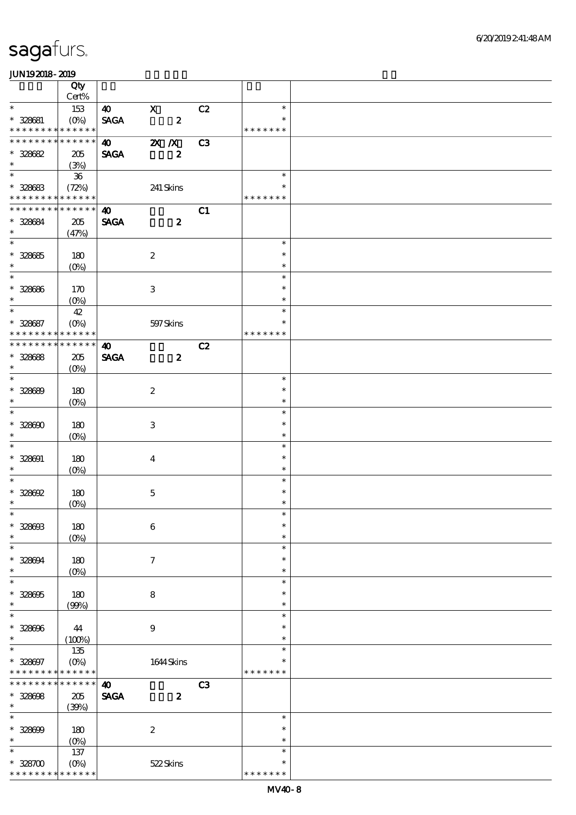|                                                          | Qty                        |                       |                                                 |                  |                |                         |  |
|----------------------------------------------------------|----------------------------|-----------------------|-------------------------------------------------|------------------|----------------|-------------------------|--|
|                                                          | $Cert\%$                   |                       |                                                 |                  |                |                         |  |
| $\ast$                                                   | 153                        | $\boldsymbol{\omega}$ | $\mathbf{x}$                                    |                  | C2             | $\ast$                  |  |
| $* 328081$<br>* * * * * * * * <mark>* * * * * *</mark> * | $(O\!/\!o)$                | <b>SAGA</b>           |                                                 | $\boldsymbol{z}$ |                | $\ast$<br>* * * * * * * |  |
| * * * * * * * *                                          | * * * * * *                | $\boldsymbol{\omega}$ | $\overline{\mathbf{X}}$ $\overline{\mathbf{X}}$ |                  | C <sub>3</sub> |                         |  |
| $* 328682$                                               | 205                        | <b>SAGA</b>           |                                                 | $\boldsymbol{z}$ |                |                         |  |
| $\ast$                                                   | (3%)                       |                       |                                                 |                  |                |                         |  |
| $\overline{\phantom{0}}$                                 | 36                         |                       |                                                 |                  |                | $\ast$                  |  |
| $* 328683$                                               | (72%)                      |                       | 241 Skins                                       |                  |                | $\ast$                  |  |
| * * * * * * * * <mark>* * * * * *</mark> *               |                            |                       |                                                 |                  |                | * * * * * * *           |  |
| * * * * * * * *                                          | * * * * * *                | $\boldsymbol{\omega}$ |                                                 |                  | C1             |                         |  |
| * 328684                                                 | 205                        | <b>SAGA</b>           |                                                 | $\boldsymbol{z}$ |                |                         |  |
| $\ast$                                                   | (47%)                      |                       |                                                 |                  |                |                         |  |
| $\overline{\ast}$                                        |                            |                       |                                                 |                  |                | $\ast$                  |  |
| $* 328685$                                               | 180                        |                       | $\boldsymbol{2}$                                |                  |                | $\ast$                  |  |
| $\ast$                                                   | $(0\%)$                    |                       |                                                 |                  |                | $\ast$                  |  |
| $\overline{\phantom{0}}$                                 |                            |                       |                                                 |                  |                | $\ast$                  |  |
| $* 328686$                                               | 170                        |                       | $\ensuremath{\mathbf{3}}$                       |                  |                | $\ast$                  |  |
| $\ast$                                                   | $(O\%)$                    |                       |                                                 |                  |                | $\ast$                  |  |
| $\overline{\ast}$                                        | 42                         |                       |                                                 |                  |                | $\ast$                  |  |
| $* 328687$                                               | $(O\%)$                    |                       | 597Skins                                        |                  |                | $\ast$                  |  |
| * * * * * * * *                                          | * * * * * *                |                       |                                                 |                  |                | * * * * * * *           |  |
| * * * * * * *                                            | * * * * * *                | $\boldsymbol{\omega}$ |                                                 |                  | C2             |                         |  |
| $* 328688$                                               | 205                        | <b>SAGA</b>           |                                                 | $\boldsymbol{z}$ |                |                         |  |
| $\ast$<br>$\overline{\phantom{a}^*}$                     | $(O\%)$                    |                       |                                                 |                  |                |                         |  |
|                                                          |                            |                       |                                                 |                  |                | $\ast$<br>$\ast$        |  |
| $* 328689$<br>$\ast$                                     | 180                        |                       | $\boldsymbol{2}$                                |                  |                | $\ast$                  |  |
| $\overline{\ast}$                                        | $(O\!/\!\!\delta)$         |                       |                                                 |                  |                | $\ast$                  |  |
| $* 328600$                                               | 180                        |                       | $\ensuremath{\mathbf{3}}$                       |                  |                | $\ast$                  |  |
| $\ast$                                                   | $(0\%)$                    |                       |                                                 |                  |                | $\ast$                  |  |
| $\ast$                                                   |                            |                       |                                                 |                  |                | $\ast$                  |  |
| $* 328001$                                               | 180                        |                       | $\boldsymbol{4}$                                |                  |                | $\ast$                  |  |
| $\ast$                                                   | $(O\%)$                    |                       |                                                 |                  |                | $\ast$                  |  |
| $\ast$                                                   |                            |                       |                                                 |                  |                | $\ast$                  |  |
| $* 328692$                                               | 180                        |                       | $\mathbf 5$                                     |                  |                | $\ast$                  |  |
| $\ast$                                                   | $(0\%)$                    |                       |                                                 |                  |                | $\ast$                  |  |
| $*$                                                      |                            |                       |                                                 |                  |                | $\ast$                  |  |
| $* 328003$                                               | 180                        |                       | $\,6\,$                                         |                  |                | $\ast$                  |  |
| $\ast$                                                   | $(0\%)$                    |                       |                                                 |                  |                | $\ast$                  |  |
| $\ast$                                                   |                            |                       |                                                 |                  |                | $\ast$                  |  |
| $* 328094$                                               | 180                        |                       | $\boldsymbol{7}$                                |                  |                | $\ast$                  |  |
| $\ast$                                                   | $(0\%)$                    |                       |                                                 |                  |                | $\ast$                  |  |
| $\ast$                                                   |                            |                       |                                                 |                  |                | $\ast$                  |  |
| $* 328005$                                               | 180                        |                       | $\bf 8$                                         |                  |                | $\ast$                  |  |
| $\ast$                                                   | (90%)                      |                       |                                                 |                  |                | $\ast$                  |  |
| $\ast$                                                   |                            |                       |                                                 |                  |                | $\ast$                  |  |
| $* 328006$                                               | 44                         |                       | $9$                                             |                  |                | $\ast$                  |  |
| $\ast$                                                   | (100%)                     |                       |                                                 |                  |                | $\ast$                  |  |
| $\ast$                                                   | $135\,$                    |                       |                                                 |                  |                | $\ast$                  |  |
| $* 328007$                                               | $(O\%)$                    |                       | 1644Skins                                       |                  |                | ∗                       |  |
| * * * * * * * *<br>* * * * * * *                         | * * * * * *<br>* * * * * * |                       |                                                 |                  |                | * * * * * * *           |  |
|                                                          |                            | $\boldsymbol{\omega}$ |                                                 |                  | C <sub>3</sub> |                         |  |
| $* 328008$<br>$\ast$                                     | $205\,$                    | <b>SAGA</b>           |                                                 | $\boldsymbol{z}$ |                |                         |  |
| $\ast$                                                   | (39%)                      |                       |                                                 |                  |                | $\ast$                  |  |
|                                                          |                            |                       |                                                 |                  |                | $\ast$                  |  |
| $* 328000$<br>$\ast$                                     | 180                        |                       | $\boldsymbol{2}$                                |                  |                | $\ast$                  |  |
| $\ast$                                                   | $(O\%)$<br>$137$           |                       |                                                 |                  |                | $\ast$                  |  |
| $* 328700$                                               | $(O\%)$                    |                       | 522Skins                                        |                  |                | $\ast$                  |  |
| * * * * * * * *                                          | * * * * * *                |                       |                                                 |                  |                | * * * * * * *           |  |
|                                                          |                            |                       |                                                 |                  |                |                         |  |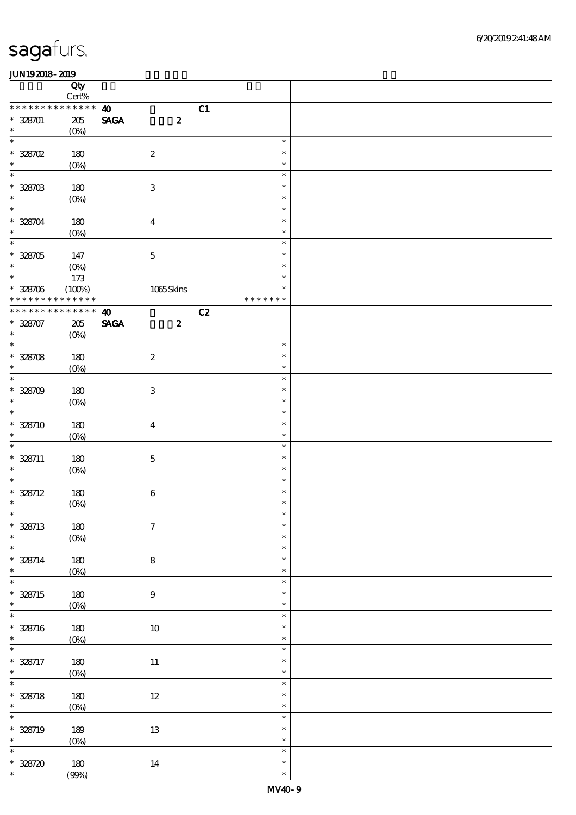| * * * * * *<br>C1<br>* * * * * * *<br>$\boldsymbol{\omega}$<br>$\operatorname{\mathbf{SAGA}}$<br>$\boldsymbol{z}$<br>$205\,$<br>$\ast$<br>$(0\%)$<br>$\ast$<br>$\ast$<br>180<br>$\boldsymbol{2}$<br>$\ast$<br>$\ast$<br>$(0\%)$<br>$\ast$<br>$\overline{\ast}$<br>$\ast$<br>$\ensuremath{\mathbf{3}}$<br>180<br>$\ast$<br>$\ast$<br>$(0\%)$<br>$\ast$<br>$\ast$<br>$\ast$<br>180<br>$\boldsymbol{4}$<br>$\ast$<br>$(0\%)$<br>$\ast$<br>$\overline{\phantom{0}}$<br>$\ast$<br>$\ast$<br>$\mathbf 5$<br>147<br>$(0\%)$<br>$\ast$<br>$\ast$<br>$173$<br>$\ast$<br>$1065$ Skins<br>(100%)<br>$\ast$<br>* * * * * *<br>* * * * * * * *<br>* * * * * * *<br>* * * * * *<br>$\boldsymbol{\omega}$<br>C2<br>* * * * * * *<br>$\ensuremath{\mathsf{SAGA}}$<br>$\boldsymbol{z}$<br>205<br>$\ast$<br>$(0\%)$<br>$\overline{\phantom{0}}$<br>$\ast$<br>$\boldsymbol{2}$<br>180<br>$\ast$<br>$\ast$<br>$(0\%)$<br>$\ast$<br>$\overline{\phantom{0}}$<br>$\ast$<br>$\,3\,$<br>180<br>$\ast$<br>$\ast$<br>$(0\%)$<br>$\ast$<br>$\ast$<br>$\ast$<br>180<br>$\boldsymbol{4}$<br>$\ast$<br>$\ast$<br>$(0\%)$<br>$\ast$<br>$\ast$<br>$\ast$<br>180<br>$\mathbf 5$<br>$\ast$<br>$\ast$<br>$(0\%)$<br>$\ast$<br>$\ast$<br>$\ast$<br>$\,6\,$<br>180<br>$\ast$<br>$\ast$<br>(0%)<br>$\ast$<br>$\ast$<br>$\ast$<br>$\boldsymbol{7}$<br>$180$<br>$\ast$<br>$\ast$<br>$\ast$<br>$(0\%)$<br>$\ast$<br>$\ast$<br>180<br>$\bf 8$<br>$\ast$<br>$\ast$<br>(0%)<br>$\ast$<br>$\overline{\ast}$<br>$\ast$<br>$180$<br>$\boldsymbol{9}$<br>$\ast$<br>$\ast$<br>$\ast$<br>(0%)<br>$\ast$<br>$\ast$<br>$180$<br>$10\,$<br>$\ast$<br>$\ast$<br>$(0\%)$<br>$\ast$<br>$\ast$<br>$\ast$<br>$180$<br>$11\,$<br>$\ast$<br>$\ast$<br>(0%)<br>$\ast$<br>$\ast$<br>$* 328718$<br>$12\,$<br>$180$<br>$\ast$<br>$\ast$<br>$\ast$<br>(0%)<br>$\ast$<br>$\ast$<br>189<br>$13\,$<br>$\ast$<br>$\ast$<br>$(O\!/\!\delta)$<br>$\ast$<br>$\ast$<br>$\ast$<br>* 328720<br>$180\,$<br>14<br>$\ast$<br>(90%)<br>$\ast$ |                      | Qty<br>$Cert\%$ |  |  |  |
|----------------------------------------------------------------------------------------------------------------------------------------------------------------------------------------------------------------------------------------------------------------------------------------------------------------------------------------------------------------------------------------------------------------------------------------------------------------------------------------------------------------------------------------------------------------------------------------------------------------------------------------------------------------------------------------------------------------------------------------------------------------------------------------------------------------------------------------------------------------------------------------------------------------------------------------------------------------------------------------------------------------------------------------------------------------------------------------------------------------------------------------------------------------------------------------------------------------------------------------------------------------------------------------------------------------------------------------------------------------------------------------------------------------------------------------------------------------------------------------------------------------------------------------------------------------------------------------------------------------------------------------------------------------------------------------------------------------------------------------------------------------------------------------------------------------------------------------------------------------------------------------------------------------------------------------------------------------|----------------------|-----------------|--|--|--|
|                                                                                                                                                                                                                                                                                                                                                                                                                                                                                                                                                                                                                                                                                                                                                                                                                                                                                                                                                                                                                                                                                                                                                                                                                                                                                                                                                                                                                                                                                                                                                                                                                                                                                                                                                                                                                                                                                                                                                                |                      |                 |  |  |  |
|                                                                                                                                                                                                                                                                                                                                                                                                                                                                                                                                                                                                                                                                                                                                                                                                                                                                                                                                                                                                                                                                                                                                                                                                                                                                                                                                                                                                                                                                                                                                                                                                                                                                                                                                                                                                                                                                                                                                                                | $* 328701$           |                 |  |  |  |
|                                                                                                                                                                                                                                                                                                                                                                                                                                                                                                                                                                                                                                                                                                                                                                                                                                                                                                                                                                                                                                                                                                                                                                                                                                                                                                                                                                                                                                                                                                                                                                                                                                                                                                                                                                                                                                                                                                                                                                |                      |                 |  |  |  |
|                                                                                                                                                                                                                                                                                                                                                                                                                                                                                                                                                                                                                                                                                                                                                                                                                                                                                                                                                                                                                                                                                                                                                                                                                                                                                                                                                                                                                                                                                                                                                                                                                                                                                                                                                                                                                                                                                                                                                                | $*328702$            |                 |  |  |  |
|                                                                                                                                                                                                                                                                                                                                                                                                                                                                                                                                                                                                                                                                                                                                                                                                                                                                                                                                                                                                                                                                                                                                                                                                                                                                                                                                                                                                                                                                                                                                                                                                                                                                                                                                                                                                                                                                                                                                                                |                      |                 |  |  |  |
|                                                                                                                                                                                                                                                                                                                                                                                                                                                                                                                                                                                                                                                                                                                                                                                                                                                                                                                                                                                                                                                                                                                                                                                                                                                                                                                                                                                                                                                                                                                                                                                                                                                                                                                                                                                                                                                                                                                                                                | $* 328703$           |                 |  |  |  |
|                                                                                                                                                                                                                                                                                                                                                                                                                                                                                                                                                                                                                                                                                                                                                                                                                                                                                                                                                                                                                                                                                                                                                                                                                                                                                                                                                                                                                                                                                                                                                                                                                                                                                                                                                                                                                                                                                                                                                                |                      |                 |  |  |  |
|                                                                                                                                                                                                                                                                                                                                                                                                                                                                                                                                                                                                                                                                                                                                                                                                                                                                                                                                                                                                                                                                                                                                                                                                                                                                                                                                                                                                                                                                                                                                                                                                                                                                                                                                                                                                                                                                                                                                                                |                      |                 |  |  |  |
|                                                                                                                                                                                                                                                                                                                                                                                                                                                                                                                                                                                                                                                                                                                                                                                                                                                                                                                                                                                                                                                                                                                                                                                                                                                                                                                                                                                                                                                                                                                                                                                                                                                                                                                                                                                                                                                                                                                                                                | $* 328704$<br>$\ast$ |                 |  |  |  |
|                                                                                                                                                                                                                                                                                                                                                                                                                                                                                                                                                                                                                                                                                                                                                                                                                                                                                                                                                                                                                                                                                                                                                                                                                                                                                                                                                                                                                                                                                                                                                                                                                                                                                                                                                                                                                                                                                                                                                                |                      |                 |  |  |  |
|                                                                                                                                                                                                                                                                                                                                                                                                                                                                                                                                                                                                                                                                                                                                                                                                                                                                                                                                                                                                                                                                                                                                                                                                                                                                                                                                                                                                                                                                                                                                                                                                                                                                                                                                                                                                                                                                                                                                                                | $* 328705$<br>$\ast$ |                 |  |  |  |
|                                                                                                                                                                                                                                                                                                                                                                                                                                                                                                                                                                                                                                                                                                                                                                                                                                                                                                                                                                                                                                                                                                                                                                                                                                                                                                                                                                                                                                                                                                                                                                                                                                                                                                                                                                                                                                                                                                                                                                |                      |                 |  |  |  |
|                                                                                                                                                                                                                                                                                                                                                                                                                                                                                                                                                                                                                                                                                                                                                                                                                                                                                                                                                                                                                                                                                                                                                                                                                                                                                                                                                                                                                                                                                                                                                                                                                                                                                                                                                                                                                                                                                                                                                                | $* 328706$           |                 |  |  |  |
|                                                                                                                                                                                                                                                                                                                                                                                                                                                                                                                                                                                                                                                                                                                                                                                                                                                                                                                                                                                                                                                                                                                                                                                                                                                                                                                                                                                                                                                                                                                                                                                                                                                                                                                                                                                                                                                                                                                                                                |                      |                 |  |  |  |
|                                                                                                                                                                                                                                                                                                                                                                                                                                                                                                                                                                                                                                                                                                                                                                                                                                                                                                                                                                                                                                                                                                                                                                                                                                                                                                                                                                                                                                                                                                                                                                                                                                                                                                                                                                                                                                                                                                                                                                | $* 328707$           |                 |  |  |  |
|                                                                                                                                                                                                                                                                                                                                                                                                                                                                                                                                                                                                                                                                                                                                                                                                                                                                                                                                                                                                                                                                                                                                                                                                                                                                                                                                                                                                                                                                                                                                                                                                                                                                                                                                                                                                                                                                                                                                                                |                      |                 |  |  |  |
|                                                                                                                                                                                                                                                                                                                                                                                                                                                                                                                                                                                                                                                                                                                                                                                                                                                                                                                                                                                                                                                                                                                                                                                                                                                                                                                                                                                                                                                                                                                                                                                                                                                                                                                                                                                                                                                                                                                                                                | $* 328708$           |                 |  |  |  |
|                                                                                                                                                                                                                                                                                                                                                                                                                                                                                                                                                                                                                                                                                                                                                                                                                                                                                                                                                                                                                                                                                                                                                                                                                                                                                                                                                                                                                                                                                                                                                                                                                                                                                                                                                                                                                                                                                                                                                                |                      |                 |  |  |  |
|                                                                                                                                                                                                                                                                                                                                                                                                                                                                                                                                                                                                                                                                                                                                                                                                                                                                                                                                                                                                                                                                                                                                                                                                                                                                                                                                                                                                                                                                                                                                                                                                                                                                                                                                                                                                                                                                                                                                                                | $* 328709$           |                 |  |  |  |
|                                                                                                                                                                                                                                                                                                                                                                                                                                                                                                                                                                                                                                                                                                                                                                                                                                                                                                                                                                                                                                                                                                                                                                                                                                                                                                                                                                                                                                                                                                                                                                                                                                                                                                                                                                                                                                                                                                                                                                |                      |                 |  |  |  |
|                                                                                                                                                                                                                                                                                                                                                                                                                                                                                                                                                                                                                                                                                                                                                                                                                                                                                                                                                                                                                                                                                                                                                                                                                                                                                                                                                                                                                                                                                                                                                                                                                                                                                                                                                                                                                                                                                                                                                                | $* 328710$           |                 |  |  |  |
|                                                                                                                                                                                                                                                                                                                                                                                                                                                                                                                                                                                                                                                                                                                                                                                                                                                                                                                                                                                                                                                                                                                                                                                                                                                                                                                                                                                                                                                                                                                                                                                                                                                                                                                                                                                                                                                                                                                                                                |                      |                 |  |  |  |
|                                                                                                                                                                                                                                                                                                                                                                                                                                                                                                                                                                                                                                                                                                                                                                                                                                                                                                                                                                                                                                                                                                                                                                                                                                                                                                                                                                                                                                                                                                                                                                                                                                                                                                                                                                                                                                                                                                                                                                | $* 328711$           |                 |  |  |  |
|                                                                                                                                                                                                                                                                                                                                                                                                                                                                                                                                                                                                                                                                                                                                                                                                                                                                                                                                                                                                                                                                                                                                                                                                                                                                                                                                                                                                                                                                                                                                                                                                                                                                                                                                                                                                                                                                                                                                                                |                      |                 |  |  |  |
|                                                                                                                                                                                                                                                                                                                                                                                                                                                                                                                                                                                                                                                                                                                                                                                                                                                                                                                                                                                                                                                                                                                                                                                                                                                                                                                                                                                                                                                                                                                                                                                                                                                                                                                                                                                                                                                                                                                                                                | * 328712             |                 |  |  |  |
|                                                                                                                                                                                                                                                                                                                                                                                                                                                                                                                                                                                                                                                                                                                                                                                                                                                                                                                                                                                                                                                                                                                                                                                                                                                                                                                                                                                                                                                                                                                                                                                                                                                                                                                                                                                                                                                                                                                                                                |                      |                 |  |  |  |
|                                                                                                                                                                                                                                                                                                                                                                                                                                                                                                                                                                                                                                                                                                                                                                                                                                                                                                                                                                                                                                                                                                                                                                                                                                                                                                                                                                                                                                                                                                                                                                                                                                                                                                                                                                                                                                                                                                                                                                | $* 328713$           |                 |  |  |  |
|                                                                                                                                                                                                                                                                                                                                                                                                                                                                                                                                                                                                                                                                                                                                                                                                                                                                                                                                                                                                                                                                                                                                                                                                                                                                                                                                                                                                                                                                                                                                                                                                                                                                                                                                                                                                                                                                                                                                                                |                      |                 |  |  |  |
|                                                                                                                                                                                                                                                                                                                                                                                                                                                                                                                                                                                                                                                                                                                                                                                                                                                                                                                                                                                                                                                                                                                                                                                                                                                                                                                                                                                                                                                                                                                                                                                                                                                                                                                                                                                                                                                                                                                                                                | $* 328714$           |                 |  |  |  |
|                                                                                                                                                                                                                                                                                                                                                                                                                                                                                                                                                                                                                                                                                                                                                                                                                                                                                                                                                                                                                                                                                                                                                                                                                                                                                                                                                                                                                                                                                                                                                                                                                                                                                                                                                                                                                                                                                                                                                                |                      |                 |  |  |  |
|                                                                                                                                                                                                                                                                                                                                                                                                                                                                                                                                                                                                                                                                                                                                                                                                                                                                                                                                                                                                                                                                                                                                                                                                                                                                                                                                                                                                                                                                                                                                                                                                                                                                                                                                                                                                                                                                                                                                                                | $* 328715$           |                 |  |  |  |
|                                                                                                                                                                                                                                                                                                                                                                                                                                                                                                                                                                                                                                                                                                                                                                                                                                                                                                                                                                                                                                                                                                                                                                                                                                                                                                                                                                                                                                                                                                                                                                                                                                                                                                                                                                                                                                                                                                                                                                |                      |                 |  |  |  |
|                                                                                                                                                                                                                                                                                                                                                                                                                                                                                                                                                                                                                                                                                                                                                                                                                                                                                                                                                                                                                                                                                                                                                                                                                                                                                                                                                                                                                                                                                                                                                                                                                                                                                                                                                                                                                                                                                                                                                                | $* 328716$           |                 |  |  |  |
|                                                                                                                                                                                                                                                                                                                                                                                                                                                                                                                                                                                                                                                                                                                                                                                                                                                                                                                                                                                                                                                                                                                                                                                                                                                                                                                                                                                                                                                                                                                                                                                                                                                                                                                                                                                                                                                                                                                                                                |                      |                 |  |  |  |
|                                                                                                                                                                                                                                                                                                                                                                                                                                                                                                                                                                                                                                                                                                                                                                                                                                                                                                                                                                                                                                                                                                                                                                                                                                                                                                                                                                                                                                                                                                                                                                                                                                                                                                                                                                                                                                                                                                                                                                | $* 328717$           |                 |  |  |  |
|                                                                                                                                                                                                                                                                                                                                                                                                                                                                                                                                                                                                                                                                                                                                                                                                                                                                                                                                                                                                                                                                                                                                                                                                                                                                                                                                                                                                                                                                                                                                                                                                                                                                                                                                                                                                                                                                                                                                                                | $\overline{\ast}$    |                 |  |  |  |
|                                                                                                                                                                                                                                                                                                                                                                                                                                                                                                                                                                                                                                                                                                                                                                                                                                                                                                                                                                                                                                                                                                                                                                                                                                                                                                                                                                                                                                                                                                                                                                                                                                                                                                                                                                                                                                                                                                                                                                |                      |                 |  |  |  |
|                                                                                                                                                                                                                                                                                                                                                                                                                                                                                                                                                                                                                                                                                                                                                                                                                                                                                                                                                                                                                                                                                                                                                                                                                                                                                                                                                                                                                                                                                                                                                                                                                                                                                                                                                                                                                                                                                                                                                                |                      |                 |  |  |  |
|                                                                                                                                                                                                                                                                                                                                                                                                                                                                                                                                                                                                                                                                                                                                                                                                                                                                                                                                                                                                                                                                                                                                                                                                                                                                                                                                                                                                                                                                                                                                                                                                                                                                                                                                                                                                                                                                                                                                                                | $* 328719$           |                 |  |  |  |
|                                                                                                                                                                                                                                                                                                                                                                                                                                                                                                                                                                                                                                                                                                                                                                                                                                                                                                                                                                                                                                                                                                                                                                                                                                                                                                                                                                                                                                                                                                                                                                                                                                                                                                                                                                                                                                                                                                                                                                |                      |                 |  |  |  |
|                                                                                                                                                                                                                                                                                                                                                                                                                                                                                                                                                                                                                                                                                                                                                                                                                                                                                                                                                                                                                                                                                                                                                                                                                                                                                                                                                                                                                                                                                                                                                                                                                                                                                                                                                                                                                                                                                                                                                                |                      |                 |  |  |  |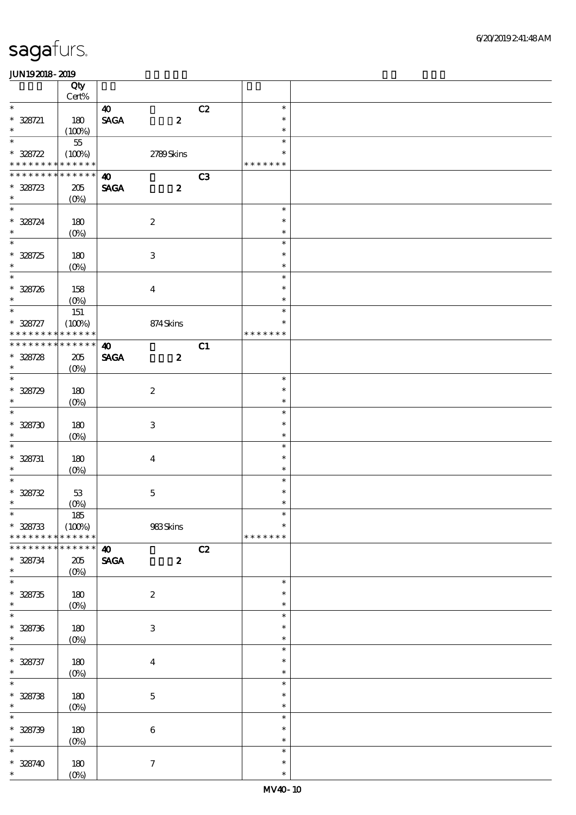|                             | Qty               |                                |                           |    |                  |  |
|-----------------------------|-------------------|--------------------------------|---------------------------|----|------------------|--|
|                             | $Cert\%$          |                                |                           |    |                  |  |
| $\ast$                      |                   | $\boldsymbol{\omega}$          |                           | C2 | $\ast$           |  |
| $* 328721$<br>$\ast$        | 180               | $\operatorname{\mathsf{SAGA}}$ | $\boldsymbol{z}$          |    | $\ast$<br>$\ast$ |  |
| $\ast$                      | (100%)<br>$5\!5$  |                                |                           |    | $\ast$           |  |
| $* 328722$                  | (100%)            |                                | 2789Skins                 |    | $\ast$           |  |
| * * * * * * * * * * * * * * |                   |                                |                           |    | * * * * * * *    |  |
| * * * * * * *               | * * * * * *       | $\boldsymbol{\omega}$          |                           | C3 |                  |  |
| $* 328723$                  | 205               | <b>SAGA</b>                    | $\boldsymbol{z}$          |    |                  |  |
| $\ast$                      | $(O\%)$           |                                |                           |    |                  |  |
| $\overline{\ast}$           |                   |                                |                           |    | $\ast$           |  |
| $* 328724$                  | 180               |                                | $\boldsymbol{2}$          |    | $\ast$           |  |
| $\ast$                      | $(0\%)$           |                                |                           |    | $\ast$           |  |
| $\ast$                      |                   |                                |                           |    | $\ast$           |  |
| $* 328725$                  | 180               |                                | $\ensuremath{\mathbf{3}}$ |    | $\ast$           |  |
| $\ast$<br>$\ast$            | $(0\%)$           |                                |                           |    | $\ast$<br>$\ast$ |  |
| $* 328726$                  |                   |                                |                           |    | $\ast$           |  |
| $\ast$                      | 158<br>$(O\%)$    |                                | $\boldsymbol{4}$          |    | $\ast$           |  |
| $\overline{\ast}$           | 151               |                                |                           |    | $\ast$           |  |
| $* 328727$                  | (100%)            |                                | 874Skins                  |    | $\ast$           |  |
| * * * * * * * *             | * * * * * *       |                                |                           |    | * * * * * * *    |  |
| * * * * * * * *             | * * * * * *       | $\boldsymbol{\omega}$          |                           | C1 |                  |  |
| $* 328728$                  | 205               | <b>SAGA</b>                    | $\boldsymbol{z}$          |    |                  |  |
| $\ast$                      | $(O\%)$           |                                |                           |    |                  |  |
| $\ast$                      |                   |                                |                           |    | $\ast$           |  |
| $* 328729$                  | 180               |                                | $\boldsymbol{2}$          |    | $\ast$           |  |
| $\ast$                      | $(O\%)$           |                                |                           |    | $\ast$           |  |
| $\overline{\ast}$           |                   |                                |                           |    | $\ast$           |  |
| $* 328730$                  | 180               |                                | $\ensuremath{\mathbf{3}}$ |    | $\ast$           |  |
| $\ast$                      | $(0\%)$           |                                |                           |    | $\ast$           |  |
| $\ast$                      |                   |                                |                           |    | $\ast$           |  |
| $* 328731$<br>$\ast$        | 180               |                                | $\boldsymbol{4}$          |    | $\ast$<br>$\ast$ |  |
| $\ast$                      | (O <sub>0</sub> ) |                                |                           |    | $\ast$           |  |
| $* 328732$                  | $5\!3$            |                                | $\mathbf 5$               |    | $\ast$           |  |
| $\ast$                      | $(0\%)$           |                                |                           |    | $\ast$           |  |
| $\ast$                      | 185               |                                |                           |    |                  |  |
| $* 328733$                  | (100%)            |                                | 983Skins                  |    | $\ast$           |  |
| * * * * * * * *             | * * * * * *       |                                |                           |    | * * * * * * *    |  |
| * * * * * * *               | * * * * * *       | $\boldsymbol{\omega}$          |                           | C2 |                  |  |
| $* 328734$                  | $205\,$           | $\ensuremath{\mathsf{SAGA}}$   | $\boldsymbol{z}$          |    |                  |  |
| $\ast$                      | $(O\%)$           |                                |                           |    |                  |  |
| $\ast$                      |                   |                                |                           |    | $\ast$<br>$\ast$ |  |
| $* 328735$<br>$\ast$        | 180               |                                | $\boldsymbol{2}$          |    | $\ast$           |  |
| $\overline{\ast}$           | $(0\%)$           |                                |                           |    | $\ast$           |  |
| $* 328736$                  | 180               |                                | $\,3$                     |    | $\ast$           |  |
| $\ast$                      | $(0\%)$           |                                |                           |    | $\ast$           |  |
| $\ast$                      |                   |                                |                           |    | $\ast$           |  |
| $* 328737$                  | 180               |                                | $\boldsymbol{4}$          |    | $\ast$           |  |
| $\ast$                      | $(0\%)$           |                                |                           |    | $\ast$           |  |
| $\ast$                      |                   |                                |                           |    | $\ast$           |  |
| $* 328738$                  | 180               |                                | $\mathbf 5$               |    | $\ast$           |  |
| $\ast$                      | $(0\%)$           |                                |                           |    | $\ast$           |  |
| $\ast$                      |                   |                                |                           |    | $\ast$           |  |
| $* 328739$                  | $180$             |                                | $\,6\,$                   |    | $\ast$           |  |
| $\ast$                      | $(0\%)$           |                                |                           |    | $\ast$           |  |
| $\ast$                      |                   |                                |                           |    | $\ast$           |  |
| $* 328740$                  | 180               |                                | $\boldsymbol{7}$          |    | $\ast$           |  |
| $\ast$                      | $(0\%)$           |                                |                           |    | $\ast$           |  |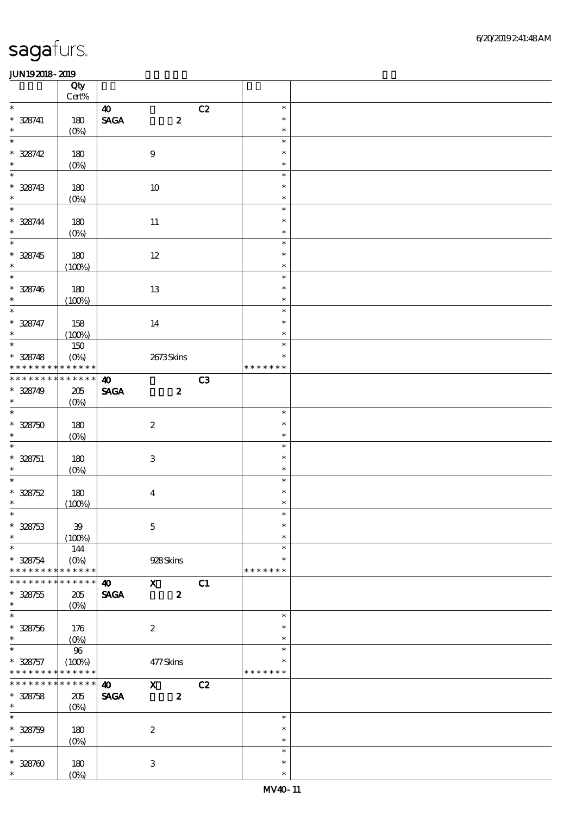|                               | Qty<br>Cert%                 |                                |                           |                  |    |               |  |
|-------------------------------|------------------------------|--------------------------------|---------------------------|------------------|----|---------------|--|
| $\ast$                        |                              | $\boldsymbol{\omega}$          |                           |                  | C2 | $\ast$        |  |
| $* 328741$                    | 180                          | $\ensuremath{\mathsf{SAGA}}$   |                           | $\boldsymbol{z}$ |    | $\ast$        |  |
| $\ast$                        | $(O\%)$                      |                                |                           |                  |    | $\ast$        |  |
| $\ast$                        |                              |                                |                           |                  |    | $\ast$        |  |
| $* 328742$                    | 180                          |                                | $\boldsymbol{9}$          |                  |    | $\ast$        |  |
| $\ast$                        | $(0\%)$                      |                                |                           |                  |    | $\ast$        |  |
| $\ast$                        |                              |                                |                           |                  |    | $\ast$        |  |
| $* 328743$                    | 180                          |                                | 10                        |                  |    | $\ast$        |  |
| $\ast$                        | $(0\%)$                      |                                |                           |                  |    | $\ast$        |  |
| $\ast$                        |                              |                                |                           |                  |    | $\ast$        |  |
| $* 328744$                    | 180                          |                                | $11\,$                    |                  |    | $\ast$        |  |
| $\ast$                        | $(0\%)$                      |                                |                           |                  |    | $\ast$        |  |
| $\overline{\phantom{0}}$      |                              |                                |                           |                  |    | $\ast$        |  |
| $* 328745$                    | 180                          |                                | $12\,$                    |                  |    | $\ast$        |  |
| $\ast$                        | (100%)                       |                                |                           |                  |    | $\ast$        |  |
| $\overline{\ast}$             |                              |                                |                           |                  |    | $\ast$        |  |
| $* 328746$                    | 180                          |                                | 13                        |                  |    | $\ast$        |  |
| $\ast$                        | (100%)                       |                                |                           |                  |    | $\ast$        |  |
| $\overline{\ast}$             |                              |                                |                           |                  |    | $\ast$        |  |
| $* 328747$                    | 158                          |                                | 14                        |                  |    | $\ast$        |  |
| $\ast$                        | (100%)                       |                                |                           |                  |    | $\ast$        |  |
| $\overline{\phantom{0}}$      | $150\,$                      |                                |                           |                  |    | $\ast$        |  |
| $* 328748$<br>* * * * * * * * | $(O\%)$                      |                                |                           | 2673Skins        |    | $\ast$        |  |
| * * * * * * * *               | $***$ * * * *<br>* * * * * * |                                |                           |                  |    | * * * * * * * |  |
|                               |                              | $\boldsymbol{\omega}$          |                           |                  | C3 |               |  |
| $* 328749$<br>$\ast$          | 205                          | <b>SAGA</b>                    |                           | $\boldsymbol{z}$ |    |               |  |
| $\ast$                        | (O <sub>0</sub> )            |                                |                           |                  |    | $\ast$        |  |
| $* 328750$                    | 180                          |                                | $\boldsymbol{2}$          |                  |    | $\ast$        |  |
| $\ast$                        | $(O\%)$                      |                                |                           |                  |    | $\ast$        |  |
| $\ast$                        |                              |                                |                           |                  |    | $\ast$        |  |
| $* 328751$                    | 180                          |                                | $\ensuremath{\mathbf{3}}$ |                  |    | $\ast$        |  |
| $\ast$                        | $(O\%)$                      |                                |                           |                  |    | $\ast$        |  |
| $\ast$                        |                              |                                |                           |                  |    | $\ast$        |  |
| $* 328752$                    | 180                          |                                | $\boldsymbol{4}$          |                  |    | $\ast$        |  |
| $\ast$                        | (100%)                       |                                |                           |                  |    | $\ast$        |  |
| $\ast$                        |                              |                                |                           |                  |    | $\ast$        |  |
| $* 328753$                    | ${\bf 39}$                   |                                | $\mathbf 5$               |                  |    | $\ast$        |  |
| $\ast$                        | (100%)                       |                                |                           |                  |    | $\ast$        |  |
| $\ast$                        | 144                          |                                |                           |                  |    | $\ast$        |  |
| $* 328754$                    | $(O\%)$                      |                                | 928Skins                  |                  |    | $\ast$        |  |
| * * * * * * * *               | * * * * * *                  |                                |                           |                  |    | * * * * * * * |  |
| * * * * * * *                 | * * * * * *                  | $\boldsymbol{\omega}$          | $\mathbf{x}$              |                  | C1 |               |  |
| $* 328755$<br>$\ast$          | 205                          | <b>SAGA</b>                    |                           | $\boldsymbol{z}$ |    |               |  |
| $\ast$                        | (O <sub>0</sub> )            |                                |                           |                  |    | $\ast$        |  |
| $* 328756$                    |                              |                                | $\boldsymbol{2}$          |                  |    | $\ast$        |  |
| $\ast$                        | 176                          |                                |                           |                  |    | $\ast$        |  |
| $\ast$                        | $(0\%)$<br>$96\,$            |                                |                           |                  |    | $\ast$        |  |
| $* 328757$                    | (100%)                       |                                | 477Skins                  |                  |    | $\ast$        |  |
| * * * * * * * *               | * * * * * *                  |                                |                           |                  |    | * * * * * * * |  |
| * * * * * * * *               | * * * * * *                  | $\boldsymbol{\omega}$          | $\mathbf{x}$              |                  | C2 |               |  |
| $* 328758$                    | 205                          | $\operatorname{\mathbf{SAGA}}$ |                           | $\boldsymbol{z}$ |    |               |  |
| $\ast$                        | (O <sub>0</sub> )            |                                |                           |                  |    |               |  |
| $\ast$                        |                              |                                |                           |                  |    | $\ast$        |  |
| $* 328759$                    | 180                          |                                | $\boldsymbol{2}$          |                  |    | $\ast$        |  |
| $\ast$                        | $(0\%)$                      |                                |                           |                  |    | $\ast$        |  |
| $\ast$                        |                              |                                |                           |                  |    | $\ast$        |  |
| $* 328700$                    | 180                          |                                | $\,3$                     |                  |    | $\ast$        |  |
| $\ast$                        | $(O\%)$                      |                                |                           |                  |    | $\ast$        |  |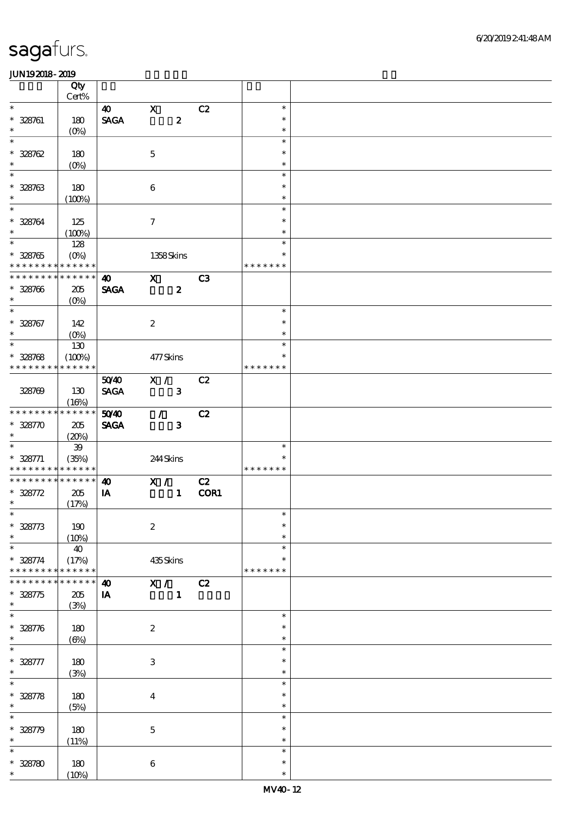|                      | Qty<br>Cert%      |                                                         |                                 |                |                  |  |
|----------------------|-------------------|---------------------------------------------------------|---------------------------------|----------------|------------------|--|
|                      |                   |                                                         |                                 |                |                  |  |
| $\ast$<br>$* 328761$ | 180               | $\boldsymbol{\omega}$<br>$\operatorname{\mathsf{SAGA}}$ | $\mathbf x$<br>$\boldsymbol{z}$ | C2             | $\ast$<br>$\ast$ |  |
| $\ast$               | (O <sub>0</sub> ) |                                                         |                                 |                | $\ast$           |  |
| $\ast$<br>$* 328762$ | 180               |                                                         | $\mathbf 5$                     |                | $\ast$<br>$\ast$ |  |
| $\ast$               | $(0\%)$           |                                                         |                                 |                | $\ast$           |  |
| $\ast$               |                   |                                                         |                                 |                |                  |  |
|                      |                   |                                                         |                                 |                | $\ast$           |  |
| $* 328763$           | 180               |                                                         | $\,6\,$                         |                | $\ast$           |  |
|                      |                   |                                                         |                                 |                |                  |  |
| $\ast$               | (100%)            |                                                         |                                 |                | $\ast$           |  |
| $\ast$               |                   |                                                         |                                 |                | $\ast$           |  |
|                      |                   |                                                         |                                 |                |                  |  |
| $* 328764$           | 125               |                                                         | $\boldsymbol{\tau}$             |                | $\ast$           |  |
| $\ast$               | (100%)            |                                                         |                                 |                | $\ast$           |  |
|                      |                   |                                                         |                                 |                |                  |  |
| $\overline{\ast}$    | 128               |                                                         |                                 |                | $\ast$           |  |
| $* 328765$           | $(O\%)$           |                                                         | 1358Skins                       |                | $\ast$           |  |
|                      |                   |                                                         |                                 |                |                  |  |
| * * * * * * * *      | * * * * * *       |                                                         |                                 |                | * * * * * * *    |  |
| * * * * * * *        | * * * * * *       | $\boldsymbol{\omega}$                                   | $\mathbf x$                     | C <sub>3</sub> |                  |  |
|                      |                   |                                                         |                                 |                |                  |  |
| $* 328706$           | 205               | <b>SAGA</b>                                             | $\boldsymbol{z}$                |                |                  |  |
| $\ast$               | $(O\%)$           |                                                         |                                 |                |                  |  |
|                      |                   |                                                         |                                 |                |                  |  |
| $\ast$               |                   |                                                         |                                 |                | $\ast$           |  |
| $* 328767$           | 142               |                                                         | $\boldsymbol{2}$                |                | $\ast$           |  |
| $\ast$               |                   |                                                         |                                 |                | $\ast$           |  |
|                      | $(O\%)$           |                                                         |                                 |                |                  |  |
| $\overline{\ast}$    | 130               |                                                         |                                 |                | $\ast$           |  |
|                      |                   |                                                         |                                 |                | $\ast$           |  |
| $* 328768$           | (100%)            |                                                         | 477Skins                        |                |                  |  |
| * * * * * * * *      | * * * * * *       |                                                         |                                 |                | * * * * * * *    |  |
|                      |                   | 5040                                                    | $X / \sqrt{2}$                  | C2             |                  |  |
|                      |                   |                                                         |                                 |                |                  |  |
| 328769               | 130               | <b>SAGA</b>                                             | $\mathbf{3}$                    |                |                  |  |
|                      | (16%)             |                                                         |                                 |                |                  |  |
|                      |                   |                                                         |                                 |                |                  |  |
| * * * * * * * *      | * * * * * *       | 50 <sup>/40</sup>                                       | $\mathcal{L}$                   | C2             |                  |  |
| $* 32870$            | 205               | <b>SAGA</b>                                             | $\mathbf{3}$                    |                |                  |  |
| $\ast$               |                   |                                                         |                                 |                |                  |  |
|                      | (20%)             |                                                         |                                 |                |                  |  |
| $\ast$               | ${\bf 39}$        |                                                         |                                 |                | $\ast$           |  |
| $* 328771$           | (35%)             |                                                         | $244\mspace{3mu}\mathrm{Skins}$ |                | $\ast$           |  |
|                      |                   |                                                         |                                 |                |                  |  |
| * * * * * * * *      | * * * * * *       |                                                         |                                 |                | * * * * * * *    |  |
| * * * * * * *        | * * * * * *       | $\boldsymbol{\omega}$                                   | X /                             | C2             |                  |  |
| $* 328772$           | 205               | IA                                                      | $\mathbf{1}$                    | COR1           |                  |  |
|                      |                   |                                                         |                                 |                |                  |  |
| $\ast$               | (17%)             |                                                         |                                 |                |                  |  |
|                      |                   |                                                         |                                 |                |                  |  |
| $* 328773$           | 190               |                                                         | $\boldsymbol{2}$                |                | $\ast$           |  |
|                      |                   |                                                         |                                 |                |                  |  |
| $\ast$               | (10%)             |                                                         |                                 |                | $\ast$           |  |
| $\ast$               | 40                |                                                         |                                 |                | $\ast$           |  |
|                      |                   |                                                         |                                 |                | $\ast$           |  |
| $* 328774$           | (17%)             |                                                         | 435Skins                        |                |                  |  |
| * * * * * * * *      | * * * * * *       |                                                         |                                 |                | * * * * * * *    |  |
| * * * * * * * *      | * * * * * *       | $\boldsymbol{\omega}$                                   | $\mathbf{X}$ /                  | C2             |                  |  |
|                      |                   |                                                         |                                 |                |                  |  |
| $* 328775$           | $205\,$           | $\mathbf{I} \mathbf{A}$                                 | $\mathbf{1}$                    |                |                  |  |
| $\ast$               | (3%)              |                                                         |                                 |                |                  |  |
| $\ast$               |                   |                                                         |                                 |                | $\ast$           |  |
|                      |                   |                                                         |                                 |                |                  |  |
| $* 328776$           | 180               |                                                         | $\boldsymbol{2}$                |                | $\ast$           |  |
| $\ast$               | $(\Theta)$        |                                                         |                                 |                | $\ast$           |  |
| $\overline{\ast}$    |                   |                                                         |                                 |                | $\ast$           |  |
|                      |                   |                                                         |                                 |                |                  |  |
| $* 328777$           | 180               |                                                         | $\,3$                           |                | $\ast$           |  |
| $\ast$               | (3%)              |                                                         |                                 |                | $\ast$           |  |
|                      |                   |                                                         |                                 |                |                  |  |
| $\ast$               |                   |                                                         |                                 |                | $\ast$           |  |
| $* 328778$           | 180               |                                                         | $\boldsymbol{4}$                |                | *                |  |
| $\ast$               |                   |                                                         |                                 |                |                  |  |
|                      | (5%)              |                                                         |                                 |                | $\ast$           |  |
| $\ast$               |                   |                                                         |                                 |                | $\ast$           |  |
| $* 328779$           | 180               |                                                         |                                 |                | $\ast$           |  |
|                      |                   |                                                         | $\mathbf 5$                     |                |                  |  |
| $\ast$               | (11%)             |                                                         |                                 |                | $\ast$           |  |
|                      |                   |                                                         |                                 |                | $\ast$           |  |
|                      |                   |                                                         |                                 |                |                  |  |
| $* 328780$           | 180               |                                                         | $\,6\,$                         |                | $\ast$           |  |
| $\ast$               | (10%)             |                                                         |                                 |                | $\ast$           |  |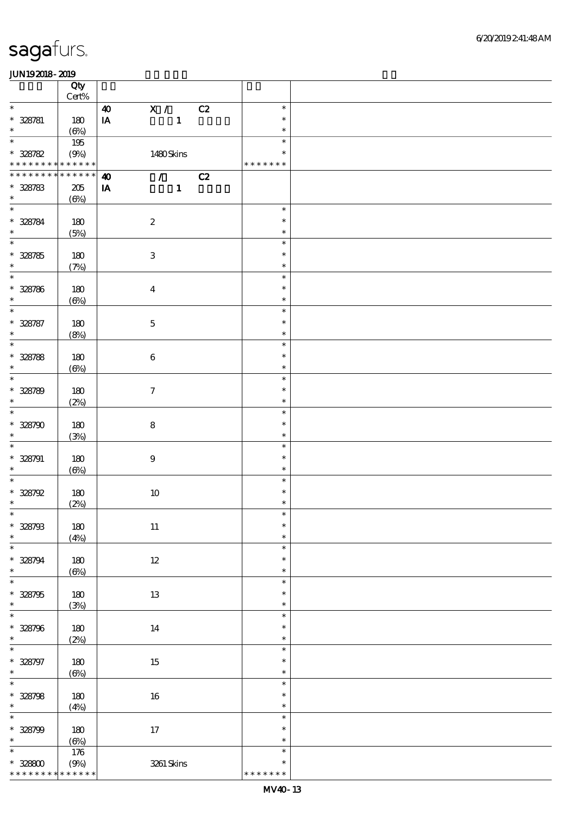|                                            | Qty           |                                                            |                  |  |
|--------------------------------------------|---------------|------------------------------------------------------------|------------------|--|
|                                            | $Cert\%$      |                                                            |                  |  |
| $\ast$                                     |               | X / C2<br>$\boldsymbol{\omega}$                            | $\ast$           |  |
| $* 328781$                                 | 180           | $\mathbf{1}$<br>$\mathbf{I}\mathbf{A}$                     | $\ast$           |  |
| $\ast$                                     | (6%)          |                                                            | $\ast$           |  |
| $\ast$                                     | 195           |                                                            | $\ast$           |  |
| $* 328782$                                 | (9%)          | 1480Skins                                                  | $\ast$           |  |
| * * * * * * * * <mark>* * * * * * *</mark> |               |                                                            | * * * * * * *    |  |
| * * * * * * *                              | * * * * * *   | C2<br>$\mathcal{T} = \mathcal{I}$<br>$\boldsymbol{\omega}$ |                  |  |
| $* 328783$<br>$\ast$                       | $205\,$       | ${\bf I} {\bf A}$<br>$\mathbf{1}$                          |                  |  |
| $\ast$                                     | $(\Theta)$    |                                                            |                  |  |
|                                            |               |                                                            | $\ast$           |  |
| $* 328784$                                 | 180           | $\boldsymbol{2}$                                           | $\ast$           |  |
| $\ast$<br>$\ast$                           | (5%)          |                                                            | $\ast$           |  |
|                                            |               |                                                            | $\ast$           |  |
| $* 328785$                                 | 180           | $\ensuremath{\mathbf{3}}$                                  | $\ast$           |  |
| $\ast$                                     | (7%)          |                                                            | $\ast$           |  |
| $\overline{\ast}$                          |               |                                                            | $\ast$           |  |
| $* 328786$                                 | 180           | $\boldsymbol{4}$                                           | $\ast$           |  |
| $\ast$                                     | $(\Theta\% )$ |                                                            | $\ast$           |  |
| $\ast$                                     |               |                                                            | $\ast$           |  |
| $* 328787$                                 | 180           | $\mathbf 5$                                                | $\ast$           |  |
| $\ast$                                     | (8%)          |                                                            | $\ast$           |  |
| $\ast$                                     |               |                                                            | $\ast$           |  |
| $* 328788$                                 | 180           | $\bf 6$                                                    | $\ast$           |  |
| $\ast$<br>$\ast$                           | $(\Theta)$    |                                                            | $\ast$           |  |
|                                            |               |                                                            | $\ast$           |  |
| $* 328789$                                 | 180           | $\boldsymbol{\tau}$                                        | $\ast$           |  |
| $\ast$<br>$\ast$                           | (2%)          |                                                            | $\ast$           |  |
|                                            |               |                                                            | $\ast$           |  |
| $* 328790$                                 | 180           | ${\bf 8}$                                                  | $\ast$           |  |
| $\ast$<br>$\ast$                           | (3%)          |                                                            | $\ast$           |  |
|                                            |               |                                                            | $\ast$           |  |
| $* 328791$<br>$\ast$                       | 180           | $\boldsymbol{9}$                                           | $\ast$<br>$\ast$ |  |
| $\ast$                                     | $(\Theta\%$   |                                                            | $\ast$           |  |
| $*328792$                                  |               |                                                            | $\ast$           |  |
| $\ast$                                     | 180           | $10\,$                                                     | $\ast$           |  |
| $*$                                        | (2%)          |                                                            | $\ast$           |  |
| $* 328793$                                 | $180$         | $11\,$                                                     | $\ast$           |  |
| $\ast$                                     | (4%)          |                                                            | $\ast$           |  |
| $\ast$                                     |               |                                                            | $\ast$           |  |
| $* 328794$                                 | 180           | $12\,$                                                     | $\ast$           |  |
| $\ast$                                     | $(\Theta)$    |                                                            | $\ast$           |  |
| $\ast$                                     |               |                                                            | $\ast$           |  |
| $* 328795$                                 | 180           | $13\,$                                                     | $\ast$           |  |
| $\ast$                                     | (3%)          |                                                            | $\ast$           |  |
| $\ast$                                     |               |                                                            | $\ast$           |  |
| $* 328796$                                 | 180           | 14                                                         | $\ast$           |  |
| $\ast$                                     | (2%)          |                                                            | $\ast$           |  |
| $\ast$                                     |               |                                                            | $\ast$           |  |
| $* 328797$                                 | $180$         | $15\,$                                                     | $\ast$           |  |
| $\ast$                                     | $(\Theta)$    |                                                            | $\ast$           |  |
| $\overline{\ast}$                          |               |                                                            | $\ast$           |  |
| $* 328798$                                 | $180$         | $16\,$                                                     | $\ast$           |  |
| $\ast$                                     | (4%)          |                                                            | $\ast$           |  |
| $\ast$                                     |               |                                                            | $\ast$           |  |
| $* 328799$                                 | 180           | $17\,$                                                     | $\ast$           |  |
| $\ast$                                     | $(\Theta)$    |                                                            | $\ast$           |  |
| $\ast$                                     | $176$         |                                                            | $\ast$           |  |
| $^\ast$ 328800                             | (9%)          | 3261 Skins                                                 | $\ast$           |  |
| * * * * * * * *                            | ******        |                                                            | * * * * * * *    |  |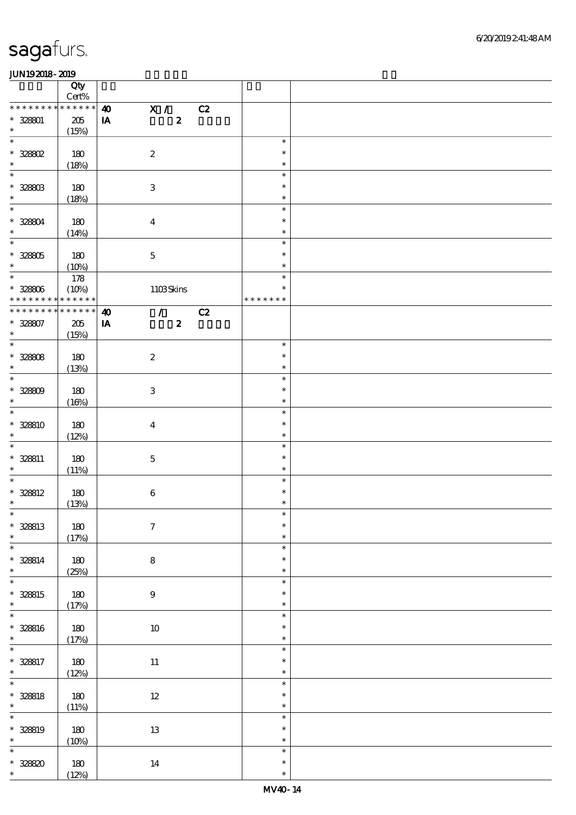|                                  | Qty<br>Cert%                |                                                                            |                            |  |
|----------------------------------|-----------------------------|----------------------------------------------------------------------------|----------------------------|--|
| * * * * * * * *                  | ******                      | $\overline{X}$ /<br>$\boldsymbol{\omega}$<br>C2                            |                            |  |
| $* 32801$<br>$\ast$              | $205\,$<br>(15%)            | $\boldsymbol{2}$<br>${\bf I} {\bf A}$                                      |                            |  |
| $\ast$                           |                             |                                                                            | $\ast$                     |  |
| $*$ 328802<br>$\ast$             | 180<br>(18%)                | $\boldsymbol{2}$                                                           | $\ast$<br>$\ast$           |  |
| $\ast$                           |                             |                                                                            | $\ast$                     |  |
| $^*$ 328803<br>$\ast$            | 180<br>(18%)                | $\ensuremath{\mathbf{3}}$                                                  | $\ast$<br>$\ast$           |  |
| $\ast$                           |                             |                                                                            | $\ast$                     |  |
| $* 328804$<br>$\ast$             | $180$<br>(14%)              | $\boldsymbol{4}$                                                           | $\ast$<br>$\ast$           |  |
| $\overline{\ast}$                |                             |                                                                            | $\ast$                     |  |
| $^\ast$ 328805<br>$\ast$         | 180<br>(10%)                | $\mathbf 5$                                                                | $\ast$<br>$\ast$           |  |
| $\ast$                           |                             |                                                                            | $\ast$                     |  |
| $^\ast$ 328806<br>* * *<br>* * * | 178<br>(10%)<br>* * * * * * | $110B$ Skins                                                               | $\ast$<br>* * * * * * *    |  |
| * * * * * * * *                  | $******$                    | $\mathcal{T}^{\mathcal{A}}$                                                |                            |  |
| $* 328807$<br>$\ast$             | $205\,$<br>(15%)            | C2<br>$\boldsymbol{\omega}$<br>$\boldsymbol{z}$<br>$\mathbf{I} \mathbf{A}$ |                            |  |
| $\overline{\phantom{0}}$         |                             |                                                                            | $\ast$                     |  |
| $* 32808$<br>$\ast$              | 180                         | $\boldsymbol{2}$                                                           | $\ast$<br>$\ast$           |  |
| $\ast$                           | (13%)                       |                                                                            |                            |  |
| $* 32800$<br>$\ast$              | 180<br>(16%)                | $\,3$                                                                      | $\ast$<br>$\ast$<br>$\ast$ |  |
| $\ast$                           |                             |                                                                            | $\ast$                     |  |
| $* 328810$<br>$\ast$             | 180<br>(12%)                | $\boldsymbol{4}$                                                           | $\ast$<br>$\ast$           |  |
| $\ast$                           |                             |                                                                            | $\ast$                     |  |
| $* 328811$<br>$\ast$             | 180<br>(11%)                | $\mathbf 5$                                                                | $\ast$<br>$\ast$           |  |
| $\ast$                           |                             |                                                                            | $\ast$                     |  |
| $* 328812$<br>$\ast$             | 180<br>(13%)                | $\,6\,$                                                                    | $\ast$<br>$\ast$           |  |
| $*$                              |                             |                                                                            | $\ast$                     |  |
| $* 328813$<br>$\ast$             | $180\,$<br>(17%)            | $\boldsymbol{7}$                                                           | $\ast$<br>$\ast$           |  |
| $\overline{\phantom{0}}$         |                             |                                                                            | $\ast$                     |  |
| $* 328814$<br>$\ast$             | $180$<br>(25%)              | $\bf 8$                                                                    | $\ast$<br>$\ast$           |  |
| $\ast$                           |                             |                                                                            | $\ast$                     |  |
| $* 328815$<br>$\ast$             | $180\,$<br>(17%)            | $\boldsymbol{9}$                                                           | $\ast$<br>$\ast$           |  |
| $\overline{\ast}$                |                             |                                                                            | $\ast$                     |  |
| $* 328816$<br>$\ast$             | $180$<br>(17%)              | $10\,$                                                                     | $\ast$<br>$\ast$           |  |
| $\ast$                           |                             |                                                                            | $\ast$                     |  |
| $* 328817$<br>$\ast$             | $180\,$<br>(12%)            | $11\,$                                                                     | $\ast$<br>$\ast$           |  |
| $\ast$<br>$* 328818$             | $180\,$                     | $12\,$                                                                     | $\ast$<br>$\ast$           |  |
| $\ast$                           | (11%)                       |                                                                            | $\ast$                     |  |
| $\ast$                           |                             |                                                                            | $\ast$                     |  |
|                                  |                             |                                                                            |                            |  |
| $* 328819$                       | 180                         | $13\,$                                                                     | $\ast$                     |  |
| $\ast$                           | (10%)                       |                                                                            | $\ast$                     |  |
| $\ast$                           |                             |                                                                            | $\ast$                     |  |
| * 328820 *                       | 180                         | $14\,$                                                                     | $\ast$                     |  |
|                                  | (12%)                       |                                                                            | $\ast$                     |  |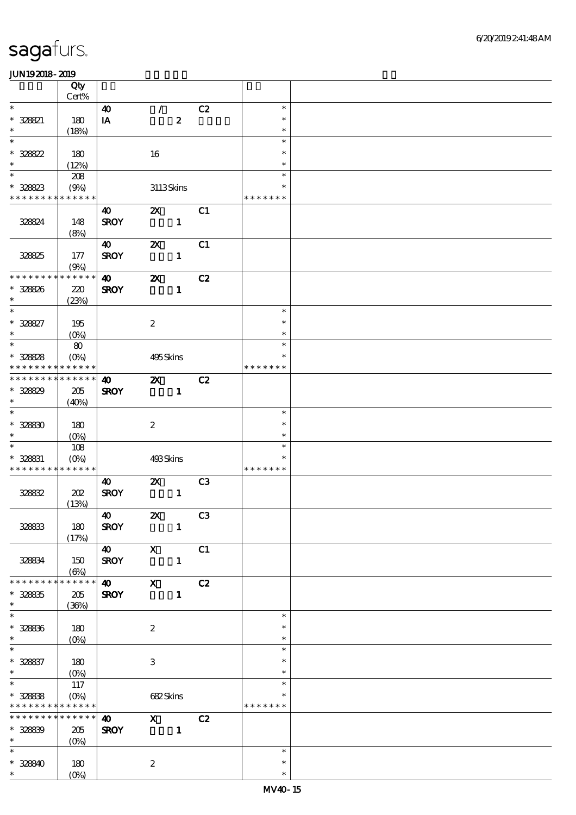|                                            | Qty<br>Cert%      |                       |                           |                  |                |               |  |
|--------------------------------------------|-------------------|-----------------------|---------------------------|------------------|----------------|---------------|--|
|                                            |                   |                       |                           |                  |                |               |  |
| $\ast$                                     |                   | $\boldsymbol{\omega}$ | $\mathcal{F}$             |                  | C2             | $\ast$        |  |
| $* 328821$                                 | 180               | IA                    |                           | $\boldsymbol{z}$ |                | $\ast$        |  |
| $\ast$                                     | (18%)             |                       |                           |                  |                | $\ast$        |  |
| $\ast$                                     |                   |                       |                           |                  |                | $\ast$        |  |
| $* 328822$                                 | 180               |                       | 16                        |                  |                | $\ast$        |  |
| $\ast$                                     | (12%)             |                       |                           |                  |                | $\ast$        |  |
| $\ast$                                     | 208               |                       |                           |                  |                | $\ast$        |  |
|                                            |                   |                       |                           |                  |                | $\ast$        |  |
| $* 328823$                                 | (9%)              |                       | 3113Skins                 |                  |                |               |  |
| * * * * * * * * <mark>* * * * * *</mark>   |                   |                       |                           |                  |                | * * * * * * * |  |
|                                            |                   | $\boldsymbol{\omega}$ | $\boldsymbol{\mathsf{Z}}$ |                  | C1             |               |  |
| 328824                                     | 148               | <b>SROY</b>           |                           | $\mathbf{1}$     |                |               |  |
|                                            | (8%)              |                       |                           |                  |                |               |  |
|                                            |                   | $\boldsymbol{\omega}$ | $\boldsymbol{\mathsf{z}}$ |                  | C1             |               |  |
|                                            |                   |                       |                           |                  |                |               |  |
| 328825                                     | 177               | <b>SROY</b>           |                           | $\mathbf{1}$     |                |               |  |
|                                            | (9%)              |                       |                           |                  |                |               |  |
| * * * * * * *                              | * * * * * *       | $\boldsymbol{\omega}$ | $\boldsymbol{\alpha}$     |                  | C2             |               |  |
| * 328826                                   | 220               | <b>SROY</b>           |                           | $\mathbf{1}$     |                |               |  |
| $\ast$                                     | (23%)             |                       |                           |                  |                |               |  |
| $\ast$                                     |                   |                       |                           |                  |                | $\ast$        |  |
| $* 328827$                                 | 195               |                       | $\boldsymbol{2}$          |                  |                | $\ast$        |  |
| $\ast$                                     | $(O\%)$           |                       |                           |                  |                | $\ast$        |  |
| $\overline{\phantom{0}}$                   |                   |                       |                           |                  |                | $\ast$        |  |
|                                            | 80                |                       |                           |                  |                |               |  |
| $* 328828$                                 | $(O\%)$           |                       | 495Skins                  |                  |                | $\ast$        |  |
| * * *                                      | * * * * * *       |                       |                           |                  |                | * * * * * * * |  |
| * * * * * * * *                            | * * * * * *       | $\boldsymbol{\omega}$ | $\boldsymbol{\mathsf{z}}$ |                  | C2             |               |  |
| * 328829                                   | 205               | <b>SROY</b>           |                           | $\mathbf{1}$     |                |               |  |
| $\ast$                                     | (40%)             |                       |                           |                  |                |               |  |
| $\ast$                                     |                   |                       |                           |                  |                | $\ast$        |  |
|                                            |                   |                       |                           |                  |                | $\ast$        |  |
| $* 32830$                                  | 180               |                       | $\boldsymbol{2}$          |                  |                |               |  |
| $\ast$                                     | $(0\%)$           |                       |                           |                  |                | $\ast$        |  |
| $\ast$                                     | 108               |                       |                           |                  |                | $\ast$        |  |
| $* 328831$                                 | $(O\%)$           |                       | 493Skins                  |                  |                | $\ast$        |  |
| * * * * * * * *                            | * * * * * *       |                       |                           |                  |                | * * * * * * * |  |
|                                            |                   | 40                    | $\boldsymbol{\mathsf{Z}}$ |                  | C <sub>3</sub> |               |  |
| 328832                                     | 202               | <b>SROY</b>           |                           | $\mathbf{1}$     |                |               |  |
|                                            | (13%)             |                       |                           |                  |                |               |  |
|                                            |                   | $\boldsymbol{\omega}$ |                           | <b>2X</b> C3     |                |               |  |
|                                            |                   |                       |                           |                  |                |               |  |
| 328833                                     | 180               | <b>SROY</b>           |                           | $\mathbf{1}$     |                |               |  |
|                                            | (17%)             |                       |                           |                  |                |               |  |
|                                            |                   | $\boldsymbol{\omega}$ | $\boldsymbol{\mathsf{X}}$ |                  | C1             |               |  |
| 328834                                     | 150               | <b>SROY</b>           |                           | $\mathbf{1}$     |                |               |  |
|                                            | $(\Theta)$        |                       |                           |                  |                |               |  |
| * * * * * * * *                            | * * * * * *       | $\boldsymbol{\omega}$ | $\mathbf x$               |                  | C2             |               |  |
| $* 32835$                                  | $205\,$           | <b>SROY</b>           |                           | $\mathbf{1}$     |                |               |  |
| $\ast$                                     | (36%)             |                       |                           |                  |                |               |  |
| $\ast$                                     |                   |                       |                           |                  |                | $\ast$        |  |
|                                            |                   |                       |                           |                  |                | $\ast$        |  |
| $* 32836$<br>$\ast$                        | 180               |                       | $\boldsymbol{2}$          |                  |                |               |  |
|                                            | $(0\%)$           |                       |                           |                  |                | $\ast$        |  |
| $\ast$                                     |                   |                       |                           |                  |                | $\ast$        |  |
| $* 328837$                                 | 180               |                       | $\,3$                     |                  |                | $\ast$        |  |
| $\ast$                                     | $(O\!/\!\delta)$  |                       |                           |                  |                | $\ast$        |  |
| $\ast$                                     | 117               |                       |                           |                  |                | $\ast$        |  |
| $* 328838$                                 | $(O\%)$           |                       | 682Skins                  |                  |                |               |  |
| * * * * * * * * <mark>* * * * * *</mark> * |                   |                       |                           |                  |                | * * * * * * * |  |
| * * * * * * * *                            | $******$          | $\boldsymbol{\omega}$ | $\boldsymbol{\mathrm{X}}$ |                  | C2             |               |  |
|                                            |                   |                       |                           |                  |                |               |  |
| $* 32839$<br>$\ast$                        | $205\,$           | <b>SROY</b>           |                           | $\blacksquare$   |                |               |  |
|                                            | (O <sub>0</sub> ) |                       |                           |                  |                |               |  |
| $\ast$                                     |                   |                       |                           |                  |                | $\ast$        |  |
| $* 328840$                                 | 180               |                       | $\boldsymbol{2}$          |                  |                | $\ast$        |  |
| $\ast$                                     | $(O\%)$           |                       |                           |                  |                | $\ast$        |  |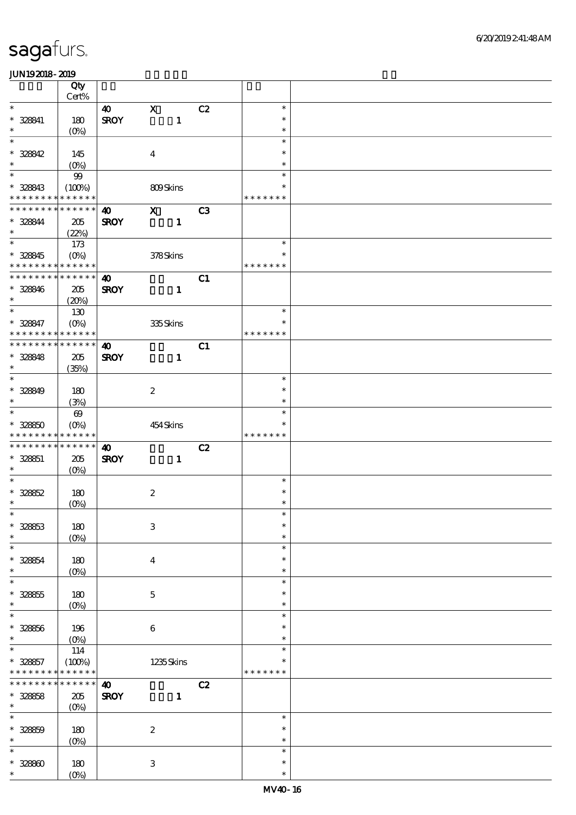|                                                          | Qty                                                       |                       |                           |    |                         |  |
|----------------------------------------------------------|-----------------------------------------------------------|-----------------------|---------------------------|----|-------------------------|--|
| $\ast$                                                   | $Cert\%$                                                  | $\boldsymbol{\omega}$ | $\boldsymbol{\mathrm{X}}$ | C2 | $\ast$                  |  |
| $* 328841$<br>$\ast$                                     | 180                                                       | <b>SROY</b>           | $\mathbf{1}$              |    | $\ast$<br>$\ast$        |  |
| $\ast$                                                   | $(O\%)$                                                   |                       |                           |    | $\ast$                  |  |
| $* 328842$<br>$\ast$                                     | 145                                                       |                       | $\boldsymbol{4}$          |    | $\ast$<br>$\ast$        |  |
| $\ast$                                                   | (O <sub>0</sub> )<br>$99$                                 |                       |                           |    | $\ast$                  |  |
| $* 328843$<br>* * * * * * * * * * * * * *                | (100%)                                                    |                       | 809Skins                  |    | $\ast$<br>* * * * * * * |  |
| * * * * * * * * <mark>* * * * * *</mark>                 |                                                           | 40                    | $\mathbf{x}$              | C3 |                         |  |
| * 328844<br>$\ast$                                       | 205<br>(22%)                                              | <b>SROY</b>           | $\mathbf{1}$              |    |                         |  |
|                                                          | 173                                                       |                       |                           |    | $\ast$                  |  |
| $* 328845$<br>* * * * * * * * <mark>* * * * * *</mark> * | $(O\% )$                                                  |                       | 378Skins                  |    | $\ast$<br>* * * * * * * |  |
| * * * * * * * * <mark>* * * * * *</mark>                 |                                                           | $\boldsymbol{\omega}$ |                           | C1 |                         |  |
| $* 328846$<br>$\ast$                                     | 205<br>(20%)                                              | <b>SROY</b>           | $\mathbf{1}$              |    |                         |  |
| $\overline{\ast}$                                        | 130                                                       |                       |                           |    | $\ast$                  |  |
| $* 328847$<br>* * * * * * * *                            | $(O\!\!\!\!\!\!\!/\,\!o)$<br>* * * * * *                  |                       | 335Skins                  |    | $\ast$<br>* * * * * * * |  |
| * * * * * * * * * * * * * *                              |                                                           | $\boldsymbol{\omega}$ |                           | C1 |                         |  |
| $* 328848$                                               | 205                                                       | <b>SROY</b>           | $\mathbf{1}$              |    |                         |  |
| $\ast$                                                   | (35%)                                                     |                       |                           |    |                         |  |
| $\ast$                                                   |                                                           |                       |                           |    | $\ast$                  |  |
| $* 328849$                                               | 180                                                       |                       | $\boldsymbol{2}$          |    | $\ast$                  |  |
| $\ast$                                                   | (3%)                                                      |                       |                           |    | $\ast$                  |  |
| $\overline{\ast}$                                        | $\boldsymbol{\omega}$                                     |                       |                           |    | $\ast$<br>$\ast$        |  |
| $* 32850$                                                | $(O\!/\!o)$<br>* * * * * * * * <mark>* * * * * *</mark> * |                       | 454Skins                  |    | * * * * * * *           |  |
|                                                          |                                                           |                       |                           |    |                         |  |
| * * * * * * * *                                          | * * * * * *                                               |                       |                           |    |                         |  |
|                                                          |                                                           | $\boldsymbol{\omega}$ |                           | C2 |                         |  |
| $* 328851$<br>$\ast$                                     | 205<br>$(O\%)$                                            | <b>SROY</b>           | $\mathbf{1}$              |    |                         |  |
| $\ast$                                                   |                                                           |                       |                           |    | $\ast$                  |  |
| $* 328852$                                               | 180                                                       |                       | $\boldsymbol{2}$          |    | $\ast$                  |  |
| $\ast$                                                   | $(O\%)$                                                   |                       |                           |    | $\ast$                  |  |
| $\ast$                                                   |                                                           |                       |                           |    | $\ast$                  |  |
| $* 32863$<br>$\ast$                                      | 180                                                       |                       | $\,3$                     |    | $\ast$<br>$\ast$        |  |
| $\ast$                                                   | $(0\%)$                                                   |                       |                           |    | $\ast$                  |  |
| $* 328854$                                               | 180                                                       |                       | $\bf{4}$                  |    | $\ast$                  |  |
| $\ast$                                                   | $(0\%)$                                                   |                       |                           |    | $\ast$                  |  |
| $\ast$                                                   |                                                           |                       |                           |    | $\ast$                  |  |
| $^\ast$ 328855                                           | 180                                                       |                       | $\mathbf 5$               |    | $\ast$                  |  |
| $\ast$<br>$\ast$                                         | (O <sub>0</sub> )                                         |                       |                           |    | $\ast$<br>$\ast$        |  |
|                                                          |                                                           |                       |                           |    | $\ast$                  |  |
| $* 328856$<br>$\ast$                                     | 196                                                       |                       | $\bf 6$                   |    | $\ast$                  |  |
| $\ast$                                                   | $(0\%)$<br>114                                            |                       |                           |    | $\ast$                  |  |
| * 328857                                                 | (100%)                                                    |                       | 1235Skins                 |    | *                       |  |
| * * * * * * * *                                          | * * * * * *                                               |                       |                           |    | * * * * * * *           |  |
| * * * *                                                  | * * * * * *                                               | $\boldsymbol{\omega}$ |                           | C2 |                         |  |
| $\ast$                                                   | $205\,$                                                   | <b>SROY</b>           | $\mathbf{1}$              |    |                         |  |
| * 32858<br>$\overline{\ast}$                             | $(O\%)$                                                   |                       |                           |    | $\ast$                  |  |
| $* 328859$                                               | 180                                                       |                       | $\boldsymbol{2}$          |    | $\ast$                  |  |
| $\ast$                                                   | $(0\%)$                                                   |                       |                           |    | $\ast$                  |  |
| $\ast$                                                   |                                                           |                       |                           |    | $\ast$                  |  |
| $* 32880$<br>$\ast$                                      | 180<br>(O <sub>0</sub> )                                  |                       | $\,3$                     |    | $\ast$<br>$\ast$        |  |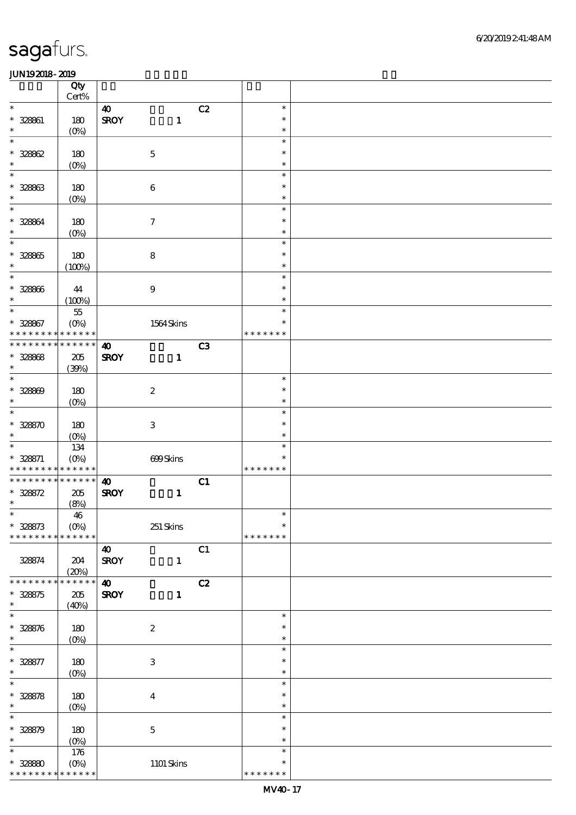|                                    | Qty                        |                           |              |    |                         |  |
|------------------------------------|----------------------------|---------------------------|--------------|----|-------------------------|--|
|                                    | Cert%                      |                           |              |    |                         |  |
| $\ast$                             |                            | $\boldsymbol{\omega}$     |              | C2 | $\ast$                  |  |
| $* 32861$                          | 180                        | <b>SROY</b>               | $\mathbf{1}$ |    | $\ast$                  |  |
| $\ast$                             | $(0\%)$                    |                           |              |    | $\ast$                  |  |
| $\ast$                             |                            |                           |              |    | $\ast$                  |  |
| $* 328802$                         | 180                        | $\mathbf 5$               |              |    | $\ast$                  |  |
| $\ast$                             | $(0\%)$                    |                           |              |    | $\ast$                  |  |
| $\ast$                             |                            |                           |              |    | $\ast$                  |  |
| $* 32863$                          | 180                        | $\,6\,$                   |              |    | $\ast$                  |  |
| $\ast$                             | $(0\%)$                    |                           |              |    | $\ast$                  |  |
| $\ast$                             |                            |                           |              |    | $\ast$                  |  |
| * 328864                           | 180                        | $\boldsymbol{\tau}$       |              |    | $\ast$                  |  |
| $\ast$<br>$\overline{\phantom{0}}$ | $(0\%)$                    |                           |              |    | $\ast$                  |  |
|                                    |                            |                           |              |    | $\ast$                  |  |
| $* 328865$                         | 180                        | ${\bf 8}$                 |              |    | $\ast$                  |  |
| $\ast$                             | (100%)                     |                           |              |    | $\ast$                  |  |
| $\ast$                             |                            |                           |              |    | $\ast$                  |  |
| $* 328866$                         | 44                         | $\boldsymbol{9}$          |              |    | $\ast$                  |  |
| $\ast$                             | (100%)                     |                           |              |    | $\ast$                  |  |
| $\ast$                             | $5\!5$                     |                           |              |    | $\ast$                  |  |
| $* 328867$                         | $(O\%)$                    |                           | 1564 Skins   |    | $\ast$                  |  |
| * * * * * * * *                    | * * * * * *<br>* * * * * * |                           |              |    | * * * * * * *           |  |
| * * * * * * *<br>∗                 |                            | $\boldsymbol{\omega}$     |              | C3 |                         |  |
| $* 32868$                          | 205                        | <b>SROY</b>               | $\mathbf{1}$ |    |                         |  |
| $\ast$<br>$\ast$                   | (30%)                      |                           |              |    |                         |  |
|                                    |                            |                           |              |    | $\ast$                  |  |
| $* 328809$<br>$\ast$               | 180                        | $\boldsymbol{2}$          |              |    | $\ast$                  |  |
|                                    | (O <sub>0</sub> )          |                           |              |    | $\ast$                  |  |
| $\ast$                             |                            |                           |              |    | $\ast$                  |  |
| $* 32850$                          | 180                        | $\ensuremath{\mathbf{3}}$ |              |    | $\ast$                  |  |
| $\ast$                             | (O <sub>0</sub> )          |                           |              |    | $\ast$                  |  |
| $\ast$                             | 134                        |                           |              |    | $\ast$                  |  |
| $* 328871$<br>* * *                | $(O\%)$<br>***********     | 699Skins                  |              |    | $\ast$<br>* * * * * * * |  |
| * * * * * * * * * * * * * *        |                            |                           |              |    |                         |  |
|                                    |                            | $\boldsymbol{\omega}$     |              | C1 |                         |  |
| $* 328572$<br>$\ast$               | 205                        | <b>SROY</b>               | $\mathbf{1}$ |    |                         |  |
| $\ast$                             | (8%)                       |                           |              |    | $\ast$                  |  |
| $* 328873$                         | 46<br>$(O\%)$              |                           |              |    | $\ast$                  |  |
| * * * * * * * *                    | * * * * * *                | 251 Skins                 |              |    | * * * * * * *           |  |
|                                    |                            | $\boldsymbol{\omega}$     |              | C1 |                         |  |
|                                    |                            | <b>SROY</b>               |              |    |                         |  |
| 328874                             | 204<br>(20%)               |                           | $\mathbf{1}$ |    |                         |  |
| * * * * * * * *                    | * * * * * *                | $\boldsymbol{\omega}$     |              | C2 |                         |  |
| $* 328875$                         | 205                        | <b>SROY</b>               | $\mathbf{1}$ |    |                         |  |
| $\ast$                             | (40%)                      |                           |              |    |                         |  |
| $\ast$                             |                            |                           |              |    | $\ast$                  |  |
| $* 328876$                         | 180                        | $\boldsymbol{2}$          |              |    | $\ast$                  |  |
| $\ast$                             | $(O\%)$                    |                           |              |    | $\ast$                  |  |
| $\ast$                             |                            |                           |              |    | $\ast$                  |  |
| $* 328877$                         | 180                        | $\,3$                     |              |    | $\ast$                  |  |
| $\ast$                             | $(0\%)$                    |                           |              |    | $\ast$                  |  |
| $\ast$                             |                            |                           |              |    | $\ast$                  |  |
| $* 328878$                         | 180                        | $\boldsymbol{4}$          |              |    | $\ast$                  |  |
| $\ast$                             | $(O\!/\!\delta)$           |                           |              |    | $\ast$                  |  |
| $\ast$                             |                            |                           |              |    | $\ast$                  |  |
| $* 328879$                         | 180                        | $\mathbf 5$               |              |    | $\ast$                  |  |
| $\ast$                             | (0%)                       |                           |              |    | $\ast$                  |  |
| $\ast$                             | 176                        |                           |              |    | $\ast$                  |  |
| $* 32880$                          | $(O\%)$                    |                           | 1101 Skins   |    | $\ast$                  |  |
| * * * * * * * *                    | * * * * * *                |                           |              |    | * * * * * * *           |  |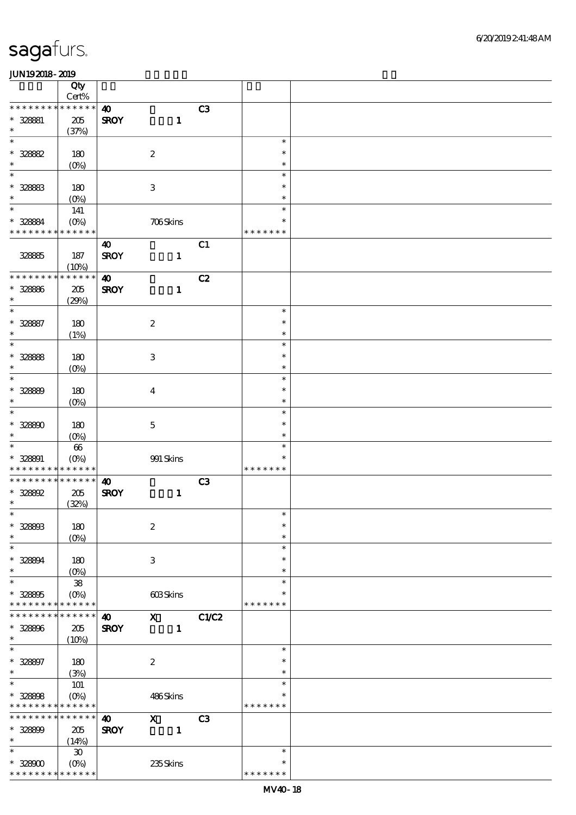|                 | Qty                |                        |                           |                |               |  |
|-----------------|--------------------|------------------------|---------------------------|----------------|---------------|--|
|                 | Cert%              |                        |                           |                |               |  |
| * * * * * * * * | * * * * * *        | $\boldsymbol{\Lambda}$ |                           | C3             |               |  |
| $* 328881$      | 205                | <b>SROY</b>            | $\mathbf{1}$              |                |               |  |
| $\ast$          | (37%)              |                        |                           |                |               |  |
| $\ast$          |                    |                        |                           |                | $\ast$        |  |
| $* 32882$       | 180                |                        | $\boldsymbol{2}$          |                | $\ast$        |  |
| $\ast$          | $(0\%)$            |                        |                           |                | $\ast$        |  |
| $\ast$          |                    |                        |                           |                | $\ast$        |  |
| $* 32883$       | 180                |                        | $\,3$                     |                | $\ast$        |  |
| $\ast$          | $(O\!/\!o)$        |                        |                           |                | $\ast$        |  |
| $\ast$          | 141                |                        |                           |                | $\ast$        |  |
| * 328884        | $(O\%)$            |                        | 706Skins                  |                | $\ast$        |  |
| * * * * * * * * | * * * * * *        |                        |                           |                | * * * * * * * |  |
|                 |                    | $\boldsymbol{\omega}$  |                           | C1             |               |  |
| 32885           | 187                | <b>SROY</b>            | $\mathbf{1}$              |                |               |  |
|                 | (10%)              |                        |                           |                |               |  |
| * * * * * * * * | * * * * * *        | $\boldsymbol{\omega}$  |                           | C2             |               |  |
| $* 32886$       | $205\,$            | <b>SROY</b>            | $\mathbf{1}$              |                |               |  |
| $\ast$          | (29%)              |                        |                           |                |               |  |
| $\ast$          |                    |                        |                           |                | $\ast$        |  |
| $* 328887$      | 180                |                        | $\boldsymbol{2}$          |                | $\ast$        |  |
| $\ast$          | (1%)               |                        |                           |                | $\ast$        |  |
| $\ast$          |                    |                        |                           |                | $\ast$        |  |
| $* 32888$       | 180                |                        | $\,3$                     |                | $\ast$        |  |
| $\ast$          | (O <sub>0</sub> )  |                        |                           |                | $\ast$        |  |
| $\ast$          |                    |                        |                           |                | $\ast$        |  |
| $* 32889$       | 180                |                        | $\boldsymbol{4}$          |                | $\ast$        |  |
| $\ast$          | $(O\!/\!\delta)$   |                        |                           |                | $\ast$        |  |
| $\ast$          |                    |                        |                           |                | $\ast$        |  |
| $* 328800$      | 180                |                        | $\mathbf 5$               |                | $\ast$        |  |
| $\ast$          | $(O\%)$            |                        |                           |                | $\ast$        |  |
| $\ast$          | $66\,$             |                        |                           |                | $\ast$        |  |
| * 328891        | $(O\%)$            |                        | 991 Skins                 |                | $\ast$        |  |
| * * * *         | * * * * * *        |                        |                           |                | * * * * * * * |  |
| * * * * * * *   | $******$           | $\boldsymbol{\omega}$  |                           | C3             |               |  |
| $* 328892$      | $205\,$            | <b>SROY</b>            | $\mathbf{1}$              |                |               |  |
| $\ast$          | (32%)              |                        |                           |                |               |  |
| $\ast$          |                    |                        |                           |                | $\ast$        |  |
| $* 328803$      | 180                |                        | $\boldsymbol{2}$          |                | $\ast$        |  |
| $\ast$          | $(O\%)$            |                        |                           |                | $\ast$        |  |
| $\ast$          |                    |                        |                           |                | $\ast$        |  |
| $* 328894$      | 180                |                        | $\,3$                     |                | $\ast$        |  |
| $\ast$          | $(O\%)$            |                        |                           |                | $\ast$        |  |
| $\ast$          | ${\bf 38}$         |                        |                           |                | $\ast$        |  |
| $* 328805$      | $(0\%)$            |                        | 603Skins                  |                | $\ast$        |  |
| * * * * * * * * | * * * * * *        |                        |                           |                | * * * * * * * |  |
| $\ast$<br>* * * | * * * * * *        | $\boldsymbol{\omega}$  | $\mathbf{x}$              | C1/C2          |               |  |
| * 328896        | 205                | <b>SROY</b>            | $\mathbf{1}$              |                |               |  |
| $\ast$          | (10%)              |                        |                           |                |               |  |
| $\ast$          |                    |                        |                           |                | $\ast$        |  |
| $* 328897$      | 180                |                        | $\boldsymbol{2}$          |                | $\ast$        |  |
| $\ast$          | (3%)               |                        |                           |                | $\ast$        |  |
| $\ast$          | <b>101</b>         |                        |                           |                | $\ast$        |  |
| $* 328808$      | $(O\!/\!\!\delta)$ |                        | 486Skins                  |                | $\ast$        |  |
| * * * *         | * * * * * *        |                        |                           |                | * * * * * * * |  |
| * * * * * * * * | * * * * * *        | $\boldsymbol{\omega}$  | $\boldsymbol{\mathrm{X}}$ | C <sub>3</sub> |               |  |
| $* 328809$      | 205                | <b>SROY</b>            | $\mathbf{1}$              |                |               |  |
| $\ast$          | (14%)              |                        |                           |                |               |  |
| $\ast$          | 30                 |                        |                           |                | $\ast$        |  |
| $*32800$        |                    |                        | 235Skins                  |                | ∗             |  |
| * * * * * * * * | * * * * * *        |                        |                           |                | * * * * * * * |  |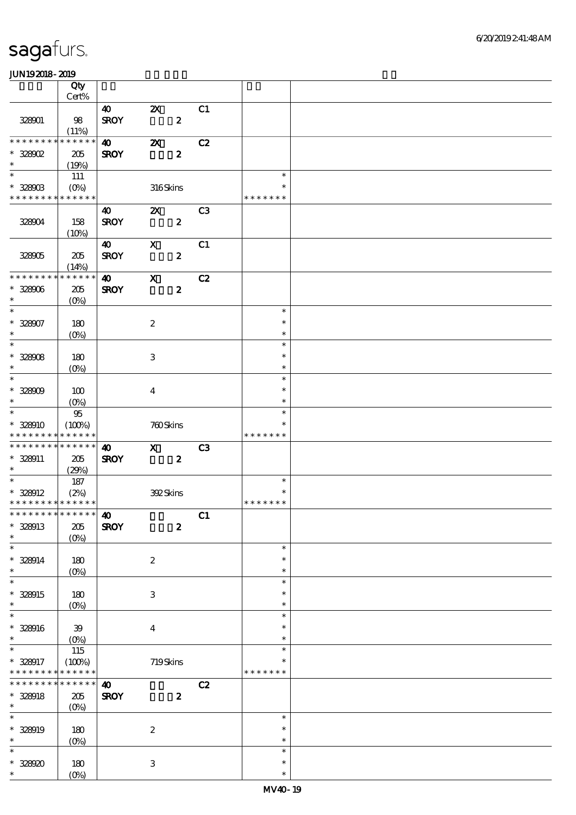|                                                          | Qty                                    |                       |                           |                  |                |                  |  |
|----------------------------------------------------------|----------------------------------------|-----------------------|---------------------------|------------------|----------------|------------------|--|
|                                                          | $\mbox{Cert}\%$                        |                       |                           |                  |                |                  |  |
|                                                          |                                        | $\boldsymbol{\omega}$ | $\boldsymbol{\mathsf{Z}}$ |                  | C <sub>1</sub> |                  |  |
| 328901                                                   | 98<br>(11%)                            | <b>SROY</b>           |                           | $\boldsymbol{z}$ |                |                  |  |
| * * * * * * * *                                          | * * * * * *                            | $\boldsymbol{\omega}$ | $\boldsymbol{\mathsf{z}}$ |                  | C2             |                  |  |
| $*$ 328002                                               | 205                                    | <b>SROY</b>           |                           | $\boldsymbol{z}$ |                |                  |  |
| $\ast$                                                   | (19%)                                  |                       |                           |                  |                |                  |  |
| $\ast$                                                   | 111                                    |                       |                           |                  |                | $\ast$           |  |
| $* 328003$                                               | $(O\!/\!o)$                            |                       | 316Skins                  |                  |                | $\ast$           |  |
| * * * * * * * * * * * * * *                              |                                        |                       |                           |                  |                | * * * * * * *    |  |
|                                                          |                                        | $\boldsymbol{\omega}$ | $\boldsymbol{\mathsf{Z}}$ |                  | C <sub>3</sub> |                  |  |
| 328004                                                   | 158<br>(10%)                           | <b>SROY</b>           |                           | $\boldsymbol{z}$ |                |                  |  |
|                                                          |                                        | $\boldsymbol{40}$     | $\boldsymbol{\mathrm{X}}$ |                  | C1             |                  |  |
| 328005                                                   | 205                                    | <b>SROY</b>           |                           | $\boldsymbol{z}$ |                |                  |  |
|                                                          | (14%)                                  |                       |                           |                  |                |                  |  |
| * * * * * * * *                                          | ==<br>  * * * * * *                    | $\boldsymbol{\omega}$ | $\mathbf{x}$              |                  | C2             |                  |  |
| $* 328006$                                               | 205                                    | <b>SROY</b>           |                           | $\boldsymbol{z}$ |                |                  |  |
| $\ast$<br>$\overline{\phantom{a}^*}$                     | $(O\%)$                                |                       |                           |                  |                |                  |  |
| $* 328007$                                               |                                        |                       |                           |                  |                | $\ast$<br>$\ast$ |  |
| $\ast$                                                   | 180<br>$(O\!/\!\delta)$                |                       | $\boldsymbol{2}$          |                  |                | $\ast$           |  |
| $\overline{\phantom{0}}$                                 |                                        |                       |                           |                  |                | $\ast$           |  |
| $* 328008$                                               | 180                                    |                       | $\ensuremath{\mathbf{3}}$ |                  |                | $\ast$           |  |
| $\ast$                                                   | $(O\%)$                                |                       |                           |                  |                | $\ast$           |  |
| $\overline{\ast}$                                        |                                        |                       |                           |                  |                | $\ast$           |  |
| $* 32800$                                                | 100                                    |                       | $\bf{4}$                  |                  |                | $\ast$           |  |
| $\ast$<br>$\overline{\ast}$                              | $(O\%)$                                |                       |                           |                  |                | $\ast$           |  |
| * 328910                                                 | $95\,$                                 |                       |                           |                  |                | $\ast$           |  |
| * * * * * * * *                                          | (100%)<br>* * * * * *                  |                       | 760Skins                  |                  |                | * * * * * * *    |  |
| * * * * * * * * * * * * * *                              |                                        | $\boldsymbol{\omega}$ | $\boldsymbol{\mathrm{X}}$ |                  | C <sub>3</sub> |                  |  |
| $* 328011$                                               | 205                                    | <b>SROY</b>           |                           | $\boldsymbol{z}$ |                |                  |  |
| $\ast$                                                   | (29%)                                  |                       |                           |                  |                |                  |  |
| $\overline{\ast}$                                        | 187                                    |                       |                           |                  |                | $\ast$           |  |
| $* 328912$                                               | (2%)                                   |                       | 392Skins                  |                  |                | $\ast$           |  |
| * * * * * * * * * * * * * *<br>*************** <b>10</b> |                                        |                       |                           |                  |                | * * * * * * *    |  |
| $*328913$                                                | 205                                    | <b>SROY</b>           |                           | $\boldsymbol{z}$ | C1             |                  |  |
| $\ast$                                                   | $(0\%)$                                |                       |                           |                  |                |                  |  |
| $\overline{\ast}$                                        |                                        |                       |                           |                  |                | $\ast$           |  |
| $* 328914$                                               | 180                                    |                       | $\boldsymbol{2}$          |                  |                | $\ast$           |  |
| $\ast$                                                   | $(O_0)$                                |                       |                           |                  |                | $\ast$           |  |
| $\ast$                                                   |                                        |                       |                           |                  |                | $\ast$           |  |
| $* 328915$<br>$\ast$                                     | 180                                    |                       | $\ensuremath{\mathbf{3}}$ |                  |                | $\ast$           |  |
| $\overline{\phantom{a}}$                                 |                                        |                       |                           |                  |                |                  |  |
|                                                          | $(0\%)$                                |                       |                           |                  |                | $\ast$           |  |
|                                                          |                                        |                       |                           |                  |                | $\ast$<br>*      |  |
| $* 328916$<br>$\ast$                                     | 39                                     |                       | $\bf{4}$                  |                  |                | $\ast$           |  |
| $\ast$                                                   | $(O\!\!\!\!\!\!\backslash\rho)$<br>115 |                       |                           |                  |                | *                |  |
| * 328917                                                 | (100%)                                 |                       | 719Skins                  |                  |                |                  |  |
| * * * * * * * *                                          | * * * * * *                            |                       |                           |                  |                | * * * * * * *    |  |
| * * * * * * *<br>$\ast$                                  | * * * * * *                            | $\boldsymbol{\omega}$ |                           |                  | C2             |                  |  |
| $* 328918$                                               | 205                                    | <b>SROY</b>           |                           | $\boldsymbol{z}$ |                |                  |  |
| $\ast$<br>$\overline{\phantom{0}}$                       | $(O\!/\!o)$                            |                       |                           |                  |                | $\ast$           |  |
|                                                          |                                        |                       |                           |                  |                | $\ast$           |  |
| $* 328919$<br>$\ast$                                     | 180<br>$(0\%)$                         |                       | $\boldsymbol{2}$          |                  |                | $\ast$           |  |
| $\ast$                                                   |                                        |                       |                           |                  |                | $\ast$           |  |
| $* 328920$<br>$\ast$                                     | 180<br>$(O\%)$                         |                       | $\,3$                     |                  |                | $\ast$<br>$\ast$ |  |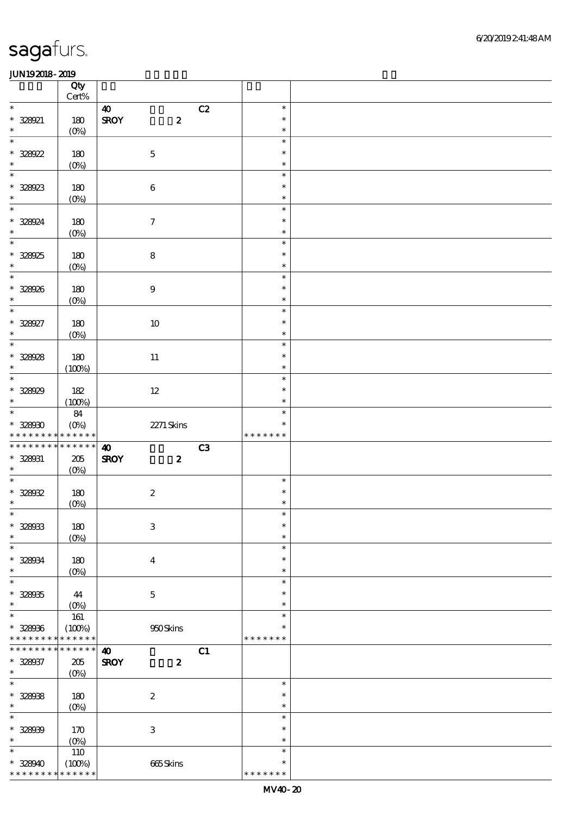|                               | Qty<br>$Cert\%$             |                                 |    |                         |  |
|-------------------------------|-----------------------------|---------------------------------|----|-------------------------|--|
| $\ast$                        |                             | $\boldsymbol{\omega}$           | C2 | $\ast$                  |  |
|                               |                             |                                 |    | $\ast$                  |  |
| $* 328021$<br>$\ast$          | 180                         | <b>SROY</b><br>$\pmb{2}$        |    | $\ast$                  |  |
| $\ast$                        | (0%)                        |                                 |    |                         |  |
|                               |                             |                                 |    | $\ast$                  |  |
| $* 328922$                    | 180                         | $\mathbf 5$                     |    | $\ast$                  |  |
| $\ast$                        | $(0\%)$                     |                                 |    | $\ast$                  |  |
| $\ast$                        |                             |                                 |    | $\ast$                  |  |
| $* 328923$                    | 180                         | $\,6\,$                         |    | $\ast$                  |  |
| $\ast$                        | $(0\%)$                     |                                 |    | $\ast$                  |  |
| $\ast$                        |                             |                                 |    | $\ast$                  |  |
| * 328924                      | 180                         | $\boldsymbol{\tau}$             |    | $\ast$                  |  |
| $\ast$                        | $(0\%)$                     |                                 |    | $\ast$                  |  |
| $_{*}^{-}$                    |                             |                                 |    | $\ast$                  |  |
| $* 328925$                    | 180                         | $\bf 8$                         |    | $\ast$                  |  |
| $\ast$                        | $(0\%)$                     |                                 |    | $\ast$                  |  |
| $\ast$                        |                             |                                 |    | $\ast$                  |  |
|                               |                             |                                 |    | $\ast$                  |  |
| $* 328926$                    | 180                         | $\boldsymbol{9}$                |    |                         |  |
| $\ast$                        | $(0\%)$                     |                                 |    | $\ast$                  |  |
| $\overline{\ast}$             |                             |                                 |    | $\ast$                  |  |
| $* 328027$                    | 180                         | $10\,$                          |    | $\ast$                  |  |
| $\ast$                        | $(0\%)$                     |                                 |    | $\ast$                  |  |
| $\overline{\ast}$             |                             |                                 |    | $\ast$                  |  |
| $* 328928$                    | 180                         | $11\,$                          |    | $\ast$                  |  |
| $\ast$                        | (100%)                      |                                 |    | $\ast$                  |  |
| $\ast$                        |                             |                                 |    | $\ast$                  |  |
| $* 328929$                    | 182                         | $12\,$                          |    | $\ast$                  |  |
| $\ast$                        | (100%)                      |                                 |    | $\ast$                  |  |
| $\ast$                        | 84                          |                                 |    | $\ast$                  |  |
| $* 32800$                     | $(O\%)$                     | $2271$ Skins                    |    |                         |  |
|                               | * * * * * * * * * * * * * * |                                 |    | * * * * * * *           |  |
|                               |                             |                                 |    |                         |  |
|                               |                             |                                 |    |                         |  |
| * * * * * * * *               | $* * * * * * *$             | $\boldsymbol{\omega}$           | C3 |                         |  |
| * 328031                      | 205                         | <b>SROY</b><br>$\boldsymbol{z}$ |    |                         |  |
| $\ast$                        | $(O\%)$                     |                                 |    |                         |  |
| $\ast$                        |                             |                                 |    | $\ast$                  |  |
| $* 32802$                     | 180                         | $\boldsymbol{2}$                |    | $\ast$                  |  |
| $\ast$                        | (0%)                        |                                 |    | $\ast$                  |  |
| $*$                           |                             |                                 |    | $\ast$                  |  |
| $* 328033$                    | 180                         | $\,3$                           |    | $\ast$                  |  |
| $\ast$                        | $(0\%)$                     |                                 |    | $\ast$                  |  |
| $\ast$                        |                             |                                 |    | $\ast$                  |  |
| $* 328034$                    | 180                         | $\boldsymbol{4}$                |    | $\ast$                  |  |
| $\ast$                        | (O <sub>0</sub> )           |                                 |    | $\ast$                  |  |
| $\ast$                        |                             |                                 |    | $\ast$                  |  |
| $* 32805$                     | 44                          | $\mathbf 5$                     |    | $\ast$                  |  |
| $\ast$                        | $(0\%)$                     |                                 |    | $\ast$                  |  |
| $\ast$                        | 161                         |                                 |    | $\ast$                  |  |
| $* 328036$                    |                             |                                 |    |                         |  |
| * * * * * * * *               | (100%)<br>* * * * * *       | 950Skins                        |    | * * * * * * *           |  |
| * * * * * * *                 | * * * * * *                 |                                 |    |                         |  |
|                               |                             | $\boldsymbol{\omega}$           | C1 |                         |  |
| * 328037<br>$\ast$            | $205\,$                     | <b>SROY</b><br>$\boldsymbol{z}$ |    |                         |  |
| $\ast$                        | $(O\%)$                     |                                 |    | $\ast$                  |  |
|                               |                             |                                 |    | $\ast$                  |  |
| $* 32808$                     | 180                         | $\boldsymbol{2}$                |    |                         |  |
| $\ast$                        | $(0\%)$                     |                                 |    | $\ast$                  |  |
| $\ast$                        |                             |                                 |    | $\ast$                  |  |
| $* 32800$                     | 170                         | $\,3\,$                         |    | $\ast$                  |  |
| $\ast$                        | $(0\%)$                     |                                 |    | $\ast$                  |  |
| $\ast$                        | 110                         |                                 |    | $\ast$                  |  |
| $* 328940$<br>* * * * * * * * | (100%)<br>* * * * * *       | 665Skins                        |    | $\ast$<br>* * * * * * * |  |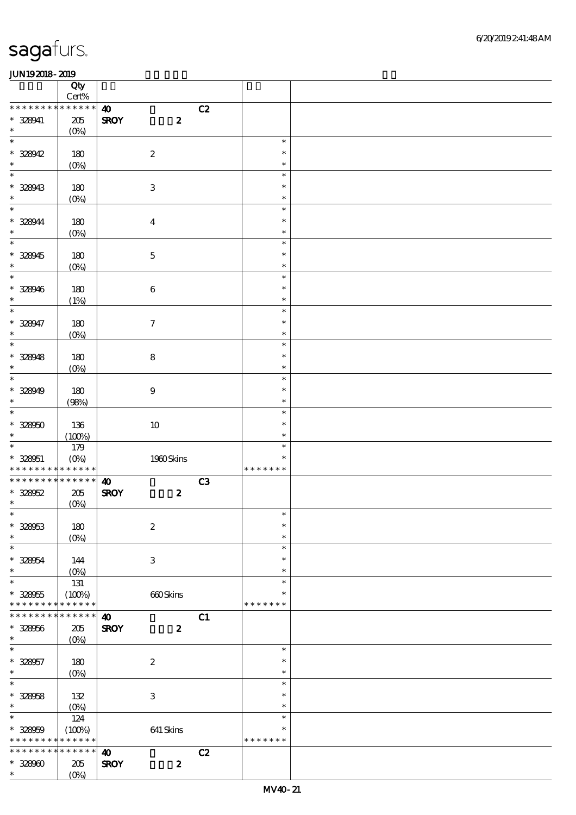|                                            | Qty                     |                       |                  |    |               |  |
|--------------------------------------------|-------------------------|-----------------------|------------------|----|---------------|--|
| * * * * * * * *                            | $Cert\%$<br>* * * * * * |                       |                  |    |               |  |
|                                            |                         | $\boldsymbol{\omega}$ |                  | C2 |               |  |
| $* 328941$<br>$\ast$                       | $205\,$                 | <b>SROY</b>           | $\boldsymbol{z}$ |    |               |  |
| $\ast$                                     | $(0\%)$                 |                       |                  |    | $\ast$        |  |
| $* 328942$                                 | 180                     |                       | $\boldsymbol{2}$ |    | $\ast$        |  |
| $\ast$                                     | $(0\%)$                 |                       |                  |    | $\ast$        |  |
| $\ast$                                     |                         |                       |                  |    | $\ast$        |  |
| $* 328043$                                 | 180                     |                       | $\,3$            |    | $\ast$        |  |
| $\ast$                                     | $(0\%)$                 |                       |                  |    | $\ast$        |  |
| $\ast$                                     |                         |                       |                  |    | $\ast$        |  |
| * 328944                                   | 180                     |                       | $\boldsymbol{4}$ |    | $\ast$        |  |
| $\ast$                                     | $(0\%)$                 |                       |                  |    | $\ast$        |  |
| $\ast$                                     |                         |                       |                  |    | $\ast$        |  |
| $* 328945$                                 | 180                     |                       | $\mathbf 5$      |    | $\ast$        |  |
| $\ast$                                     | $(0\%)$                 |                       |                  |    | $\ast$        |  |
| $\overline{\ast}$                          |                         |                       |                  |    | $\ast$        |  |
| $* 328946$                                 | 180                     |                       | $\,6\,$          |    | $\ast$        |  |
| $\ast$                                     | (1%)                    |                       |                  |    | $\ast$        |  |
| $\ast$                                     |                         |                       |                  |    | $\ast$        |  |
| $* 328947$                                 | 180                     |                       | $\boldsymbol{7}$ |    | $\ast$        |  |
| $\ast$                                     | $(0\%)$                 |                       |                  |    | $\ast$        |  |
| $\ast$                                     |                         |                       |                  |    | $\ast$        |  |
| $* 328048$                                 | 180                     |                       | $\bf 8$          |    | $\ast$        |  |
| $\ast$                                     | $(0\%)$                 |                       |                  |    | $\ast$        |  |
| $\ast$                                     |                         |                       |                  |    | $\ast$        |  |
| $* 328949$                                 | 180                     |                       | $\boldsymbol{9}$ |    | $\ast$        |  |
| $\ast$                                     | (98%)                   |                       |                  |    | $\ast$        |  |
| $\ast$                                     |                         |                       |                  |    | $\ast$        |  |
| $* 32800$                                  | 136                     |                       | $10\,$           |    | $\ast$        |  |
| $\ast$                                     | (100%)                  |                       |                  |    | $\ast$        |  |
| $\ast$                                     | 179                     |                       |                  |    | $\ast$        |  |
| $* 328051$                                 | $(O\%)$                 |                       | 1930Skins        |    | $\ast$        |  |
| * * * * * * * * <mark>* * * * * *</mark> * |                         |                       |                  |    | * * * * * * * |  |
| * * * * * * * *                            | $******$                | $\boldsymbol{\omega}$ |                  | C3 |               |  |
| $* 328052$<br>$\ast$                       | $205\,$                 | <b>SROY</b>           | $\pmb{2}$        |    |               |  |
| $\ast$                                     | (0%)                    |                       |                  |    | $\ast$        |  |
| $* 328053$                                 | 180                     |                       | $\boldsymbol{2}$ |    | $\ast$        |  |
| $\ast$                                     | $(O\%)$                 |                       |                  |    | $\ast$        |  |
| $\ast$                                     |                         |                       |                  |    | $\ast$        |  |
| $* 328054$                                 | 144                     |                       | $\,3\,$          |    | $\ast$        |  |
| $\ast$                                     | $(O_0)$                 |                       |                  |    | $\ast$        |  |
| $\ast$                                     | 131                     |                       |                  |    | $\ast$        |  |
| $* 328055$                                 | (100%)                  |                       | 660Skins         |    | $\ast$        |  |
| * * * * * * * *                            | * * * * * *             |                       |                  |    | * * * * * * * |  |
| * * * * * * * *                            | * * * * * *             | $\boldsymbol{\omega}$ |                  | C1 |               |  |
| $* 328056$                                 | $205\,$                 | <b>SROY</b>           | $\boldsymbol{z}$ |    |               |  |
| $\ast$                                     | $(O\% )$                |                       |                  |    |               |  |
| $\overline{\phantom{a}}$                   |                         |                       |                  |    | $\ast$        |  |
| $* 328057$                                 | 180                     |                       | $\boldsymbol{2}$ |    | $\ast$        |  |
| $\ast$                                     | $(O\!/\!o)$             |                       |                  |    | $\ast$        |  |
| $\overline{\ast}$                          |                         |                       |                  |    | $\ast$        |  |
| $* 328058$                                 | 132                     |                       | $\,3$            |    | $\ast$        |  |
| $\ast$                                     | $(O\%)$                 |                       |                  |    | $\ast$        |  |
| $\ast$                                     | 124                     |                       |                  |    | $\ast$        |  |
| $* 328000$                                 | (100%)                  |                       | $641$ Skins      |    | $\ast$        |  |
| * * * * * * * * <mark>* * * * * *</mark>   |                         |                       |                  |    | * * * * * * * |  |
| * * * * * * * *                            | * * * * * *             | $\boldsymbol{\omega}$ |                  | C2 |               |  |
| $* 32800$<br>$\ast$                        | 205                     | <b>SROY</b>           | $\boldsymbol{z}$ |    |               |  |
|                                            | $(O\!/\!\!\delta)$      |                       |                  |    |               |  |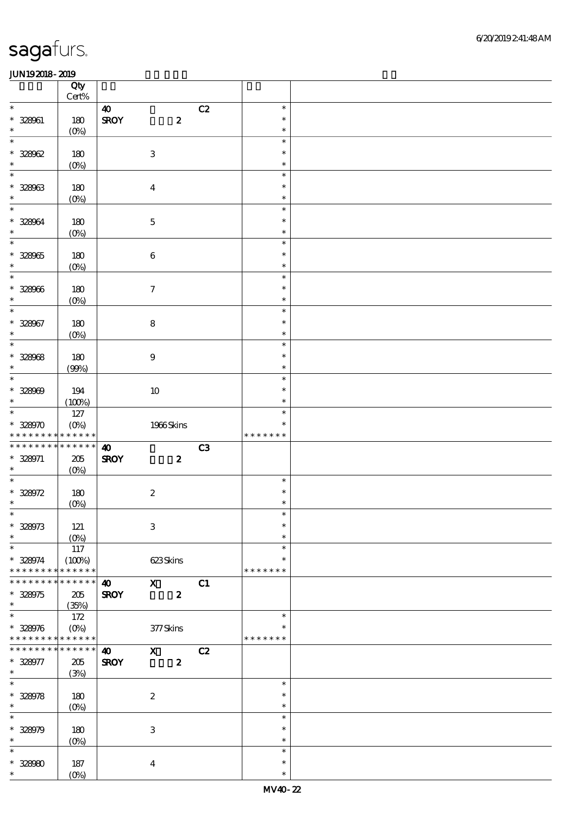|                                    | Qty<br>Cert%      |                       |                           |                  |    |                  |  |
|------------------------------------|-------------------|-----------------------|---------------------------|------------------|----|------------------|--|
| $\ast$                             |                   |                       |                           |                  |    | $\ast$           |  |
|                                    |                   | $\boldsymbol{\omega}$ |                           |                  | C2 | $\ast$           |  |
| $* 328061$                         | 180               | <b>SROY</b>           |                           | $\pmb{2}$        |    |                  |  |
| $\ast$                             | $(0\%)$           |                       |                           |                  |    | $\ast$           |  |
| $\ast$                             |                   |                       |                           |                  |    | $\ast$           |  |
| $* 328062$                         | 180               |                       | $\ensuremath{\mathbf{3}}$ |                  |    | $\ast$           |  |
| $\ast$                             | $(0\%)$           |                       |                           |                  |    | $\ast$           |  |
| $\ast$                             |                   |                       |                           |                  |    | $\ast$           |  |
| $* 32803$                          | 180               |                       | $\boldsymbol{4}$          |                  |    | $\ast$           |  |
| $\ast$                             | $(0\%)$           |                       |                           |                  |    | $\ast$           |  |
| $\ast$                             |                   |                       |                           |                  |    | $\ast$           |  |
| $* 328064$                         | 180               |                       | $\mathbf 5$               |                  |    | $\ast$           |  |
| $\ast$                             | $(O\%)$           |                       |                           |                  |    | $\ast$           |  |
| $\overline{\ast}$                  |                   |                       |                           |                  |    | $\ast$           |  |
| $* 328005$                         | 180               |                       | $\bf 6$                   |                  |    | $\ast$           |  |
| $\ast$                             | $(0\%)$           |                       |                           |                  |    | $\ast$           |  |
| $\overline{\ast}$                  |                   |                       |                           |                  |    | $\ast$           |  |
|                                    |                   |                       |                           |                  |    | $\ast$           |  |
| $* 328066$<br>$\ast$               | 180               |                       | $\boldsymbol{7}$          |                  |    |                  |  |
| $\overline{\ast}$                  | $(O\%)$           |                       |                           |                  |    | $\ast$           |  |
|                                    |                   |                       |                           |                  |    | $\ast$           |  |
| $* 328067$                         | 180               |                       | ${\bf 8}$                 |                  |    | $\ast$           |  |
| $\ast$                             | $(Q_0)$           |                       |                           |                  |    | $\ast$           |  |
| $\overline{\phantom{1}}$           |                   |                       |                           |                  |    | $\ast$           |  |
| $* 32808$                          | 180               |                       | 9                         |                  |    | $\ast$           |  |
| $\ast$                             | (90%)             |                       |                           |                  |    | $\ast$           |  |
| $\ast$                             |                   |                       |                           |                  |    | $\ast$           |  |
| $* 32800$                          | 194               |                       | $10\,$                    |                  |    | $\ast$           |  |
| $\ast$                             | (100%)            |                       |                           |                  |    | $\ast$           |  |
| $\ast$                             | $127$             |                       |                           |                  |    | $\ast$           |  |
| $* 328970$                         | $(O\%)$           |                       |                           | $1966$ Skins     |    | $\ast$           |  |
| * * * * * * * *                    | * * * * * *       |                       |                           |                  |    | * * * * * * *    |  |
| * * * * * * * *                    | * * * * * *       | $\boldsymbol{\omega}$ |                           |                  | C3 |                  |  |
| $* 328971$                         | $205\,$           | <b>SROY</b>           |                           | $\boldsymbol{z}$ |    |                  |  |
| $\ast$                             | (0%)              |                       |                           |                  |    |                  |  |
| $\ast$                             |                   |                       |                           |                  |    | $\ast$           |  |
| $* 328972$                         | 180               |                       | $\boldsymbol{2}$          |                  |    | $\ast$           |  |
| $\ast$                             | $(0\%)$           |                       |                           |                  |    | $\ast$           |  |
| $\ast$                             |                   |                       |                           |                  |    | $\ast$           |  |
|                                    |                   |                       |                           |                  |    | $\ast$           |  |
| $* 328973$                         | 121               |                       | $\ensuremath{\mathbf{3}}$ |                  |    |                  |  |
| $\ast$<br>$\ast$                   | (O <sub>0</sub> ) |                       |                           |                  |    | $\ast$<br>$\ast$ |  |
|                                    | 117               |                       |                           |                  |    |                  |  |
| $* 328974$                         | (100%)            |                       | 623Skins                  |                  |    | $\ast$           |  |
| * * * * * * *                      | * * * * * *       |                       |                           |                  |    | * * * * * * *    |  |
| * * * * * * *                      | * * * * * *       | $\boldsymbol{\omega}$ | $\mathbf{x}$              |                  | C1 |                  |  |
| $* 328975$                         | 205               | <b>SROY</b>           |                           | $\boldsymbol{z}$ |    |                  |  |
| $\ast$                             | (35%)             |                       |                           |                  |    |                  |  |
| $\ast$                             |                   |                       |                           |                  |    | $\ast$           |  |
| $* 328976$                         | 172               |                       |                           |                  |    |                  |  |
|                                    | $(O\%)$           |                       | $377$ Skins               |                  |    | ∗                |  |
| * * * * * * * *                    | * * * * * *       |                       |                           |                  |    | * * * * * * *    |  |
| * * * * * * *                      | * * * * * *       | $\boldsymbol{\omega}$ | $\mathbf{x}$              |                  | C2 |                  |  |
|                                    | 205               | <b>SROY</b>           |                           | $\boldsymbol{z}$ |    |                  |  |
| $\ast$                             | (3%)              |                       |                           |                  |    |                  |  |
| $\ast$                             |                   |                       |                           |                  |    | $\ast$           |  |
|                                    |                   |                       |                           |                  |    | $\ast$           |  |
| $\ast$                             | 180               |                       | $\boldsymbol{2}$          |                  |    | $\ast$           |  |
| $* 328977$<br>$* 328978$<br>$\ast$ | $(0\%)$           |                       |                           |                  |    | $\ast$           |  |
|                                    |                   |                       |                           |                  |    | $\ast$           |  |
| $* 328979$<br>$\ast$               | 180               |                       | $\,3\,$                   |                  |    | $\ast$           |  |
| $\ast$                             | $(0\%)$           |                       |                           |                  |    | $\ast$           |  |
|                                    |                   |                       |                           |                  |    |                  |  |
| $* 328980$<br>$\ast$               | 187<br>$(O\%)$    |                       | $\boldsymbol{4}$          |                  |    | $\ast$<br>$\ast$ |  |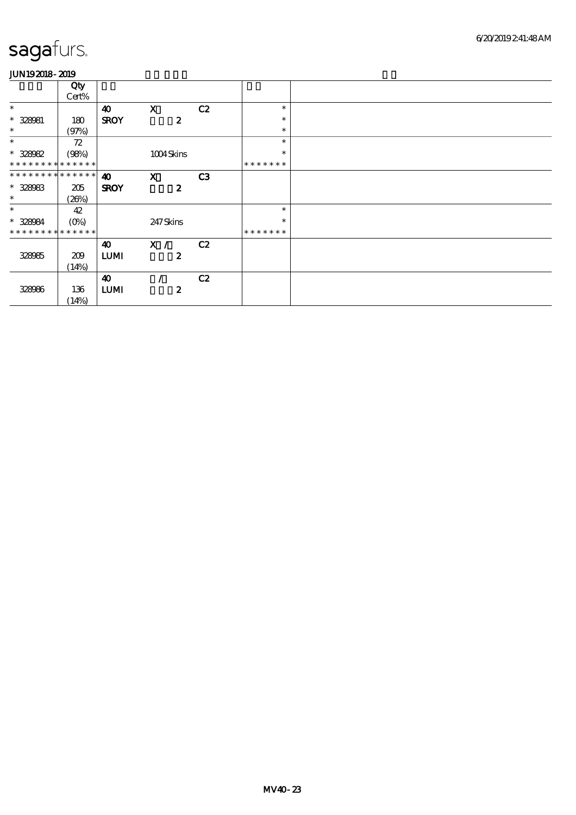|                               | Qty<br>Cert% |                       |                  |    |               |  |
|-------------------------------|--------------|-----------------------|------------------|----|---------------|--|
| $\ast$                        |              | $\boldsymbol{\omega}$ | $\mathbf{X}$     | C2 | $\ast$        |  |
| $* 328081$                    | 180          | <b>SROY</b>           | $\boldsymbol{z}$ |    | $\ast$        |  |
| $\ast$                        | (97%)        |                       |                  |    | $\ast$        |  |
| $\ast$                        | 72           |                       |                  |    | $\ast$        |  |
| $* 328082$                    | (98%)        |                       | 1004Skins        |    | $\ast$        |  |
| * * * * * * * * * * * * * * * |              |                       |                  |    | *******       |  |
| ******** <mark>******</mark>  |              | $\boldsymbol{\omega}$ | $\mathbf{x}$     | C3 |               |  |
| $* 328083$                    | 205          | <b>SROY</b>           | $\boldsymbol{z}$ |    |               |  |
| $\ast$                        | (20%)        |                       |                  |    |               |  |
| $\ast$                        | 42           |                       |                  |    | $\ast$        |  |
| $* 328084$                    |              |                       | 247Skins         |    | $\ast$        |  |
| * * * * * * * * * * * * * * * |              |                       |                  |    | * * * * * * * |  |
|                               |              | 40                    | X /              | C2 |               |  |
| 328985                        | 209          | <b>LUMI</b>           | $\boldsymbol{z}$ |    |               |  |
|                               | (14%)        |                       |                  |    |               |  |
|                               |              | 40                    |                  | C2 |               |  |
| 328986                        | 136          | <b>LUMI</b>           | $\boldsymbol{z}$ |    |               |  |
|                               | (14%)        |                       |                  |    |               |  |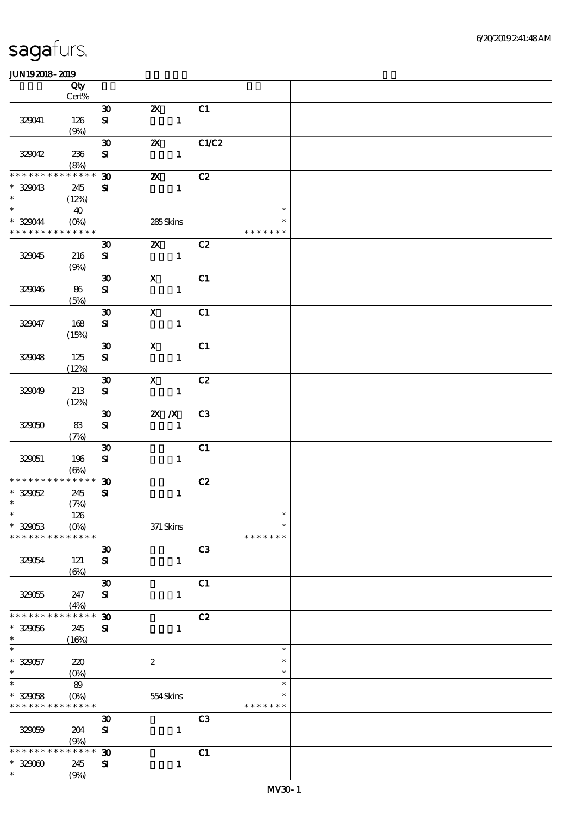|                               | Qty<br>Cert%            |                                          |                                           |                  |                         |  |
|-------------------------------|-------------------------|------------------------------------------|-------------------------------------------|------------------|-------------------------|--|
|                               |                         |                                          |                                           |                  |                         |  |
| 329041                        | 126                     | $\boldsymbol{\mathfrak{D}}$<br>${\bf s}$ | $\mathbf{X}$<br>$\mathbf{1}$              | C1               |                         |  |
|                               | (9%)                    |                                          |                                           |                  |                         |  |
| 329042                        | 236<br>(8%)             | $\boldsymbol{\mathfrak{D}}$<br>${\bf s}$ | $\boldsymbol{\mathsf{X}}$<br>$\mathbf{1}$ | C1/C2            |                         |  |
| * * * * * * *                 | $******$                | $\boldsymbol{\mathfrak{D}}$              | $\boldsymbol{\mathsf{Z}}$                 | C2               |                         |  |
| $*329043$<br>$\ast$           | 245<br>(12%)            | ${\bf s}$                                | $\mathbf{1}$                              |                  |                         |  |
| $\overline{\ast}$             | 40                      |                                          |                                           |                  | $\ast$                  |  |
| $*329044$<br>* * * * * * * *  | $(O\% )$<br>* * * * * * |                                          | 285Skins                                  |                  | $\ast$<br>* * * * * * * |  |
|                               |                         | $\boldsymbol{\mathfrak{D}}$              | <b>2X</b> C <sub>2</sub>                  |                  |                         |  |
| 320045                        | 216<br>(9%)             | ${\bf s}$                                | $\mathbf{1}$                              |                  |                         |  |
|                               |                         | $\boldsymbol{\mathfrak{D}}$              | $\mathbf{x}$                              | C1               |                         |  |
| 329046                        | 86<br>(5%)              | ${\bf s}$                                | $\mathbf{1}$                              |                  |                         |  |
|                               |                         | $\boldsymbol{\mathfrak{D}}$              | $\mathbf x$                               | C1               |                         |  |
| 329047                        | 168<br>(15%)            | ${\bf s}$                                | $\mathbf{1}$                              |                  |                         |  |
|                               |                         | $\boldsymbol{\mathfrak{D}}$              | $\mathbf{x}$                              | $\overline{C_1}$ |                         |  |
| 320048                        | 125<br>(12%)            | ${\bf s}$                                | $\mathbf{1}$                              |                  |                         |  |
|                               |                         | $\boldsymbol{\mathfrak{D}}$              | $\mathbf{x}$                              | C2               |                         |  |
| 320049                        | 213<br>(12%)            | ${\bf s}$                                | $\mathbf{1}$                              |                  |                         |  |
| 32050                         | 83                      | $\boldsymbol{\mathfrak{D}}$<br>${\bf s}$ | <b>2X</b> / <b>X</b> C3<br>$\mathbf{1}$   |                  |                         |  |
|                               | (7%)                    |                                          |                                           |                  |                         |  |
|                               |                         | $\boldsymbol{\mathfrak{D}}$              |                                           | C1               |                         |  |
| 329051                        | 196<br>$(\Theta)$       | ${\bf s}$                                | $\mathbf{1}$                              |                  |                         |  |
| * * * * * * * *               | * * * * * *             | $\boldsymbol{\mathfrak{D}}$              |                                           | C2               |                         |  |
| $* 320052$                    | 245                     | ${\bf s}$                                | $\mathbf{1}$                              |                  |                         |  |
| $\ast$                        | (7%)                    |                                          |                                           |                  |                         |  |
| $\ast$                        | 126                     |                                          |                                           |                  | $\ast$                  |  |
| $* 329053$<br>* * * * * * * * | $(O\%)$<br>* * * * * *  |                                          | 371 Skins                                 |                  | $\ast$<br>* * * * * * * |  |
|                               |                         | $\boldsymbol{\mathfrak{D}}$              |                                           | C <sub>3</sub>   |                         |  |
| 320054                        | 121<br>(6%)             | ${\bf s}$                                | $\mathbf{1}$                              |                  |                         |  |
|                               |                         | $\boldsymbol{\mathfrak{D}}$              |                                           | C1               |                         |  |
| 32005                         | 247<br>(4%)             | $\mathbf{S}$                             | $\mathbf{1}$                              |                  |                         |  |
| * * * * * * *                 | * * * * * *             | $\boldsymbol{\mathfrak{D}}$              |                                           | C2               |                         |  |
| $* 329056$<br>$\ast$          | 245<br>(16%)            | ${\bf s}$                                | $\mathbf{1}$                              |                  |                         |  |
| $\ast$                        |                         |                                          |                                           |                  | $\ast$                  |  |
| $* 320057$                    | 220                     |                                          | $\boldsymbol{z}$                          |                  | $\ast$                  |  |
| $\ast$<br>$\ast$              | $(O_0)$                 |                                          |                                           |                  | $\ast$<br>$\ast$        |  |
|                               | 89                      |                                          |                                           |                  |                         |  |
| $* 320058$<br>* * * * * * * * | $(0\%)$<br>* * * * * *  |                                          | $554$ Skins                               |                  | * * * * * * *           |  |
|                               |                         | $\boldsymbol{\mathfrak{D}}$              |                                           | C <sub>3</sub>   |                         |  |
| 32009                         | 204<br>(9%)             | ${\bf s}$                                | $\mathbf{1}$                              |                  |                         |  |
| * * * * * * * *               | * * * * * *             | $\boldsymbol{\mathfrak{D}}$              |                                           | C1               |                         |  |
| $* 32900$                     | 245                     | ${\bf s}$                                | $\mathbf{1}$                              |                  |                         |  |
| $\ast$                        | (9%)                    |                                          |                                           |                  |                         |  |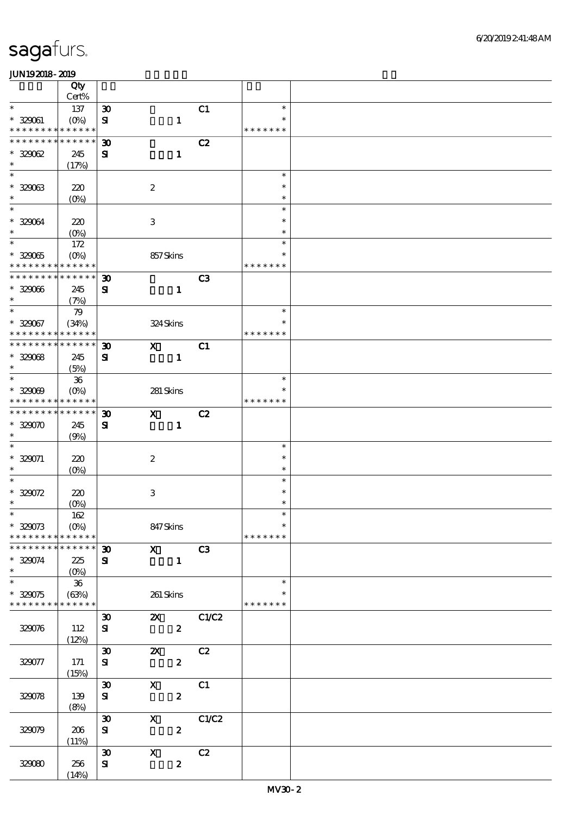|                                    | Qty                                      |                             |                           |                  |       |                  |  |
|------------------------------------|------------------------------------------|-----------------------------|---------------------------|------------------|-------|------------------|--|
| $\ast$                             | Cert%                                    |                             |                           |                  |       | $\ast$           |  |
| $* 329061$                         | 137                                      | $\boldsymbol{\mathfrak{D}}$ |                           |                  | C1    | $\ast$           |  |
| * * * * * * * *                    | $(0\%)$<br>* * * * * *                   | $\mathbf{S}$                |                           | $\mathbf{1}$     |       | * * * * * * *    |  |
| * * * * * * * *                    | * * * * * *                              | $\boldsymbol{\mathfrak{D}}$ |                           |                  | C2    |                  |  |
| $* 32002$                          | 245                                      | ${\bf s}$                   |                           | $\mathbf{1}$     |       |                  |  |
| $\ast$                             | (17%)                                    |                             |                           |                  |       |                  |  |
| $\overline{\phantom{0}}$           |                                          |                             |                           |                  |       | $\ast$           |  |
| $* 32903$                          | 220                                      |                             | $\boldsymbol{2}$          |                  |       | $\ast$           |  |
| $\ast$                             | $(O\%)$                                  |                             |                           |                  |       | $\ast$           |  |
| $\overline{\ast}$                  |                                          |                             |                           |                  |       | $\ast$           |  |
| $* 320034$                         | 220                                      |                             | $\,3$                     |                  |       | $\ast$           |  |
| $\ast$<br>$\ast$                   | $(O\%)$                                  |                             |                           |                  |       | $\ast$           |  |
|                                    | 172                                      |                             |                           |                  |       | $\ast$<br>$\ast$ |  |
| $* 32005$<br>* * * * * * * *       | $(O\!\!\!\!\!\!\!/\,\!o)$<br>* * * * * * |                             | 857Skins                  |                  |       | * * * * * * *    |  |
| * * * * * * * *                    | * * * * * *                              | $\boldsymbol{\mathfrak{D}}$ |                           |                  | C3    |                  |  |
| $* 329066$                         | 245                                      | $\mathbf{S}$                |                           | $\mathbf{1}$     |       |                  |  |
| $\ast$                             | (7%)                                     |                             |                           |                  |       |                  |  |
| $\overline{\ast}$                  | 79                                       |                             |                           |                  |       | $\ast$           |  |
| $* 329067$                         | (34%)                                    |                             | 324Skins                  |                  |       | $\ast$           |  |
| * * * * * * * *                    | * * * * * *                              |                             |                           |                  |       | * * * * * * *    |  |
| * * * * * * * *                    | * * * * * *                              | $\boldsymbol{\mathfrak{D}}$ | $\mathbf{x}$              |                  | C1    |                  |  |
| $* 32008$                          | 245                                      | ${\bf s}$                   |                           | $\mathbf{1}$     |       |                  |  |
| $\ast$                             | (5%)                                     |                             |                           |                  |       |                  |  |
| $\overline{\ast}$                  | ${\bf 36}$                               |                             |                           |                  |       | $\ast$           |  |
| $* 329009$                         | $(O\%)$                                  |                             | 281 Skins                 |                  |       | $\ast$           |  |
| * * * * * * * *<br>* * * * * * * * | * * * * * *<br>* * * * * *               |                             |                           |                  |       | * * * * * * *    |  |
| $* 32900$                          |                                          | $\boldsymbol{\mathfrak{D}}$ | $\mathbf{x}$              |                  | C2    |                  |  |
| $\ast$                             | 245<br>(9%)                              | ${\bf s}$                   |                           | $\mathbf{1}$     |       |                  |  |
| $\ast$                             |                                          |                             |                           |                  |       | $\ast$           |  |
| $* 329071$                         | 220                                      |                             | $\boldsymbol{2}$          |                  |       | $\ast$           |  |
| $\ast$                             | $(O\%)$                                  |                             |                           |                  |       | $\ast$           |  |
| $\ast$                             |                                          |                             |                           |                  |       | $\ast$           |  |
| $* 329072$                         | 220                                      |                             | $\,3$                     |                  |       | $\ast$           |  |
| $\ast$                             | $(O\%)$                                  |                             |                           |                  |       | $\ast$           |  |
| $\ast$                             | $162$                                    |                             |                           |                  |       | $\ast$           |  |
| $* 320073$                         | $(O\!\!\!\!\!\!\!/\,\!o)$                |                             | 847Skins                  |                  |       | $\ast$           |  |
| * * * * * * * *                    | * * * * * *                              |                             |                           |                  |       | * * * * * * *    |  |
| * * * * * * * *                    | * * * * * *                              | $\boldsymbol{\mathfrak{D}}$ | $\mathbf X$               |                  | C3    |                  |  |
| $* 329074$<br>$\ast$               | 225<br>$(O\%)$                           | ${\bf s}$                   |                           | $\mathbf{1}$     |       |                  |  |
| $\overline{\phantom{0}}$           | $36\,$                                   |                             |                           |                  |       | $\ast$           |  |
| $* 329075$                         | (63%)                                    |                             | 261 Skins                 |                  |       | $\ast$           |  |
| * * * * * * * *                    | * * * * * *                              |                             |                           |                  |       | * * * * * * *    |  |
|                                    |                                          | $\boldsymbol{\mathfrak{D}}$ | $\mathbf{x}$              |                  | C1/C2 |                  |  |
| 329076                             | 112                                      | ${\bf s}$                   |                           | $\boldsymbol{2}$ |       |                  |  |
|                                    | (12%)                                    |                             |                           |                  |       |                  |  |
|                                    |                                          | $\boldsymbol{\mathfrak{D}}$ | $\boldsymbol{\mathsf{Z}}$ |                  | C2    |                  |  |
| 329077                             | 171                                      | ${\bf s}$                   |                           | $\boldsymbol{z}$ |       |                  |  |
|                                    | (15%)                                    |                             |                           |                  |       |                  |  |
|                                    |                                          | $\boldsymbol{\mathfrak{D}}$ | $\mathbf X$               |                  | C1    |                  |  |
| 329078                             | 139                                      | ${\bf s}$                   |                           | $\boldsymbol{z}$ |       |                  |  |
|                                    | (8%)                                     | $\boldsymbol{\mathfrak{D}}$ | $\boldsymbol{\mathsf{X}}$ |                  | C1/C2 |                  |  |
| 329079                             | 206                                      | ${\bf s}$                   |                           | $\boldsymbol{z}$ |       |                  |  |
|                                    | (11%)                                    |                             |                           |                  |       |                  |  |
|                                    |                                          | $\boldsymbol{\mathfrak{D}}$ | $\mathbf{x}$              |                  | C2    |                  |  |
|                                    |                                          |                             |                           |                  |       |                  |  |
| 32080                              | 256                                      | ${\bf s}$                   |                           | $\boldsymbol{z}$ |       |                  |  |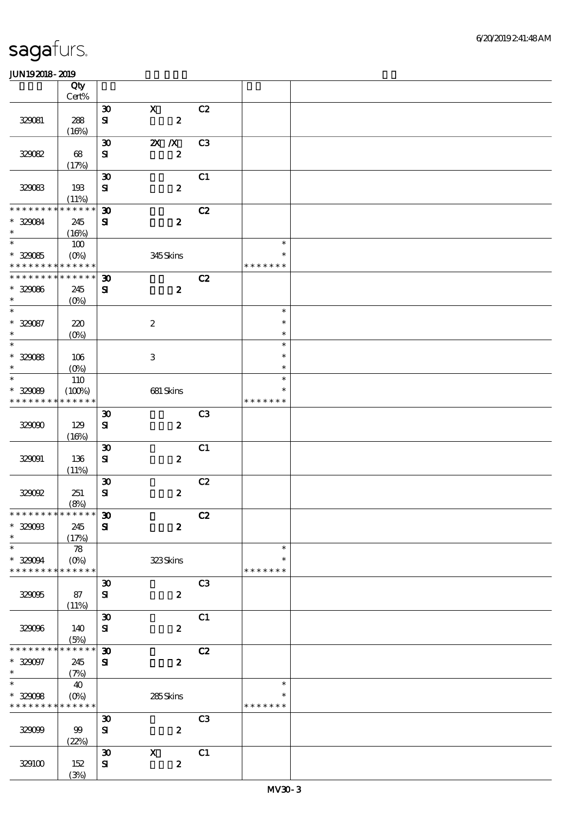| 6/20/2019241:48AM |
|-------------------|
|                   |

|                                                          | Qty                                         |                                             |                                  |                |                                   |  |
|----------------------------------------------------------|---------------------------------------------|---------------------------------------------|----------------------------------|----------------|-----------------------------------|--|
|                                                          | Cert%                                       |                                             |                                  |                |                                   |  |
| 329081                                                   | 288<br>(16%)                                | $\boldsymbol{\mathfrak{D}}$<br>${\bf s}$    | $\mathbf{x}$<br>$\boldsymbol{z}$ | C2             |                                   |  |
| 320022                                                   | 68<br>(17%)                                 | $\boldsymbol{\mathfrak{D}}$<br>${\bf s}$    | $X$ $X$<br>$\boldsymbol{2}$      | C <sub>3</sub> |                                   |  |
| 329083                                                   | 193<br>(11%)                                | $\boldsymbol{\mathfrak{D}}$<br>${\bf s}$    | $\boldsymbol{2}$                 | C1             |                                   |  |
| * * * * * * * *<br>$* 320034$<br>$\ast$                  | * * * * * *<br>245<br>(16%)                 | $\boldsymbol{\mathfrak{D}}$<br>$\mathbf{S}$ | $\boldsymbol{z}$                 | C2             |                                   |  |
| $* 329085$<br>* * * * * * * * <mark>* * * * * * *</mark> | 100<br>$(O\% )$                             |                                             | 345Skins                         |                | $\ast$<br>* * * * * * *           |  |
| * * * * * * * *<br>$* 32006$<br>$\ast$                   | * * * * * *<br>245<br>$(0\%)$               | $\boldsymbol{\mathfrak{D}}$<br>${\bf s}$    | $\boldsymbol{z}$                 | C2             |                                   |  |
| $\overline{\ast}$<br>$* 329087$<br>$\ast$                | 220<br>$(O\%)$                              |                                             | $\boldsymbol{2}$                 |                | $\ast$<br>$\ast$<br>$\ast$        |  |
| $\overline{\ast}$<br>$* 32008$<br>$\ast$                 | 106<br>$(0\%)$                              |                                             | $\ensuremath{\mathbf{3}}$        |                | $\ast$<br>$\ast$<br>$\ast$        |  |
| $\ast$<br>$* 329089$<br>* * * * * * * *                  | 110<br>(100%)<br>* * * * * *                |                                             | 681 Skins                        |                | $\ast$<br>$\ast$<br>* * * * * * * |  |
| 32000                                                    | 129<br>(16%)                                | $\boldsymbol{\mathfrak{D}}$<br>${\bf S}$    | $\boldsymbol{z}$                 | C <sub>3</sub> |                                   |  |
| 320001                                                   | 136<br>(11%)                                | $\boldsymbol{\mathfrak{D}}$<br>${\bf s}$    | $\boldsymbol{2}$                 | C1             |                                   |  |
| 32002                                                    | 251<br>(8%)                                 | $\boldsymbol{\mathfrak{D}}$<br>$\mathbf{S}$ | $\boldsymbol{z}$                 | C2             |                                   |  |
| *************** 30<br>$^\ast$ 329003<br>$\ast$           | 245<br>(17%)                                | ${\bf s}$                                   | $\boldsymbol{2}$                 | C2             |                                   |  |
| $\ast$<br>$* 32004$<br>* * * * * * * *                   | $\boldsymbol{78}$<br>$(0\%)$<br>* * * * * * |                                             | 323Skins                         |                | $\ast$<br>$\ast$<br>* * * * * * * |  |
| 32005                                                    | 87<br>(11%)                                 | $\boldsymbol{\mathfrak{D}}$<br>$\mathbf{S}$ | $\boldsymbol{z}$                 | C <sub>3</sub> |                                   |  |
| 329096                                                   | 140<br>(5%)                                 | $\boldsymbol{\mathfrak{D}}$<br>${\bf s}$    | $\boldsymbol{z}$                 | C1             |                                   |  |
| * * * * * * * *<br>$* 32007$<br>$\ast$                   | * * * * * *<br>245<br>(7%)                  | $\boldsymbol{\mathfrak{D}}$<br>${\bf s}$    | $\boldsymbol{z}$                 | C2             |                                   |  |
| $\ast$<br>$* 329098$<br>* * * * * * * * * * * * * *      | 40<br>$(O\%)$                               |                                             | 285Skins                         |                | $\ast$<br>∗<br>* * * * * * *      |  |
| 32009                                                    | 99<br>(22%)                                 | $\boldsymbol{\mathfrak{D}}$<br>${\bf S}$    | $\boldsymbol{2}$                 | C <sub>3</sub> |                                   |  |
| 329100                                                   | 152<br>(3%)                                 | $\boldsymbol{\mathfrak{D}}$<br>${\bf S\!I}$ | $\mathbf X$<br>$\pmb{2}$         | C1             |                                   |  |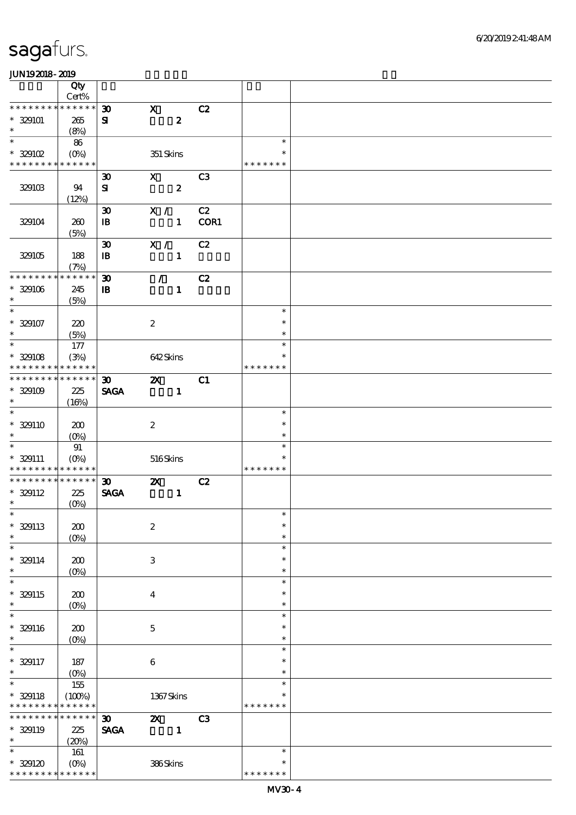|                             | Qty               |                             |                           |                  |                |               |  |
|-----------------------------|-------------------|-----------------------------|---------------------------|------------------|----------------|---------------|--|
|                             | $Cert\%$          |                             |                           |                  |                |               |  |
| * * * * * * * *             | * * * * * *       | $\boldsymbol{\mathfrak{D}}$ | $\mathbf x$               |                  | C2             |               |  |
| $* 329101$                  | 265               | ${\bf s}$                   |                           | $\boldsymbol{2}$ |                |               |  |
| $\ast$                      | (8%)              |                             |                           |                  |                |               |  |
| $\ast$                      | 86                |                             |                           |                  |                | $\ast$        |  |
| $*329102$                   | $(O\%)$           |                             | 351 Skins                 |                  |                | $\ast$        |  |
| * * * * * * * *             | * * * * * *       |                             |                           |                  |                | * * * * * * * |  |
|                             |                   | $\boldsymbol{\mathfrak{D}}$ | $\mathbf{x}$              |                  | C <sub>3</sub> |               |  |
| 329103                      | 94                | ${\bf s}$                   |                           | $\boldsymbol{z}$ |                |               |  |
|                             | (12%)             |                             |                           |                  |                |               |  |
|                             |                   | $\boldsymbol{\mathfrak{D}}$ | X /                       |                  | C2             |               |  |
| 329104                      | 260               | $\, {\bf I} \! {\bf B} \,$  |                           | $\mathbf{1}$     | COR1           |               |  |
|                             | (5%)              |                             |                           |                  |                |               |  |
|                             |                   | $\boldsymbol{\mathfrak{D}}$ | X /                       |                  | C2             |               |  |
| 329105                      | 188               | $\, {\bf I} \! {\bf B} \,$  |                           | $\mathbf{1}$     |                |               |  |
|                             | (7%)              |                             |                           |                  |                |               |  |
| * * * * * * * *             | * * * * * *       | $\boldsymbol{\mathfrak{D}}$ | $\mathcal{L}$             |                  | C2             |               |  |
| $* 329106$                  | 245               | $\mathbf{B}$                |                           | $\mathbf{1}$     |                |               |  |
| $\ast$                      | (5%)              |                             |                           |                  |                |               |  |
| $\ast$                      |                   |                             |                           |                  |                | $\ast$        |  |
| $* 329107$                  | 220               |                             | $\boldsymbol{2}$          |                  |                | $\ast$        |  |
| $\ast$                      | (5%)              |                             |                           |                  |                | $\ast$        |  |
| $\ast$                      | 177               |                             |                           |                  |                | $\ast$        |  |
| $* 329108$                  | (3%)              |                             | 642Skins                  |                  |                | $\ast$        |  |
| * * * * * * * *             | * * * * * *       |                             |                           |                  |                | * * * * * * * |  |
| * * * * * * * *             | * * * * * *       | 30 <sub>o</sub>             | $\boldsymbol{\alpha}$     |                  | C1             |               |  |
| $* 329109$                  | 225               | <b>SAGA</b>                 |                           | $\mathbf{1}$     |                |               |  |
| $\ast$                      | (16%)             |                             |                           |                  |                |               |  |
| $\ast$                      |                   |                             |                           |                  |                | $\ast$        |  |
| $* 329110$                  | 200               |                             | $\boldsymbol{2}$          |                  |                | $\ast$        |  |
| $\ast$                      | (O <sub>0</sub> ) |                             |                           |                  |                | $\ast$        |  |
| $\ast$                      | $91\,$            |                             |                           |                  |                | $\ast$        |  |
| $* 329111$                  | $(O\%)$           |                             | 516Skins                  |                  |                | $\ast$        |  |
| * * * * * * * * * * * * * * |                   |                             |                           |                  |                | * * * * * * * |  |
| * * * * * * * *             | $* * * * * * *$   | $\boldsymbol{\mathfrak{D}}$ | $\boldsymbol{\mathsf{z}}$ |                  | C2             |               |  |
| $* 329112$<br>$\ast$        | 225               | <b>SAGA</b>                 |                           | $\mathbf{1}$     |                |               |  |
| $*$                         | $(0\%)$           |                             |                           |                  |                | $\ast$        |  |
|                             |                   |                             |                           |                  |                | $\ast$        |  |
| $* 329113$<br>$\ast$        | 200               |                             | $\boldsymbol{2}$          |                  |                | $\ast$        |  |
| $\ast$                      | $(0\%)$           |                             |                           |                  |                | $\ast$        |  |
| $* 329114$                  | 200               |                             | $\,3$                     |                  |                | $\ast$        |  |
| $\ast$                      |                   |                             |                           |                  |                | $\ast$        |  |
| $\ast$                      | $(O\!/\!o)$       |                             |                           |                  |                | $\ast$        |  |
| $* 329115$                  | 200               |                             | $\boldsymbol{4}$          |                  |                | $\ast$        |  |
| $\ast$                      | $(O\!/\!o)$       |                             |                           |                  |                | $\ast$        |  |
| $\ast$                      |                   |                             |                           |                  |                | $\ast$        |  |
| $* 329116$                  | 200               |                             | $\mathbf 5$               |                  |                | $\ast$        |  |
| $\ast$                      | $(0\%)$           |                             |                           |                  |                | $\ast$        |  |
| $\ast$                      |                   |                             |                           |                  |                | $\ast$        |  |
| $* 329117$                  | 187               |                             | $\,6\,$                   |                  |                | $\ast$        |  |
| $\ast$                      | $(O_0)$           |                             |                           |                  |                | $\ast$        |  |
| $\ast$                      | $155\,$           |                             |                           |                  |                | $\ast$        |  |
| $* 329118$                  | (100%)            |                             | 1367Skins                 |                  |                | $\ast$        |  |
| * * * * * * * *             | * * * * * *       |                             |                           |                  |                | * * * * * * * |  |
| * * * * * * *               | * * * * * *       | $\boldsymbol{\mathfrak{D}}$ | $\boldsymbol{\mathsf{z}}$ |                  | C3             |               |  |
| $* 329119$                  | 225               | <b>SAGA</b>                 |                           | $\mathbf{1}$     |                |               |  |
| $\ast$                      | (20%)             |                             |                           |                  |                |               |  |
| $\ast$                      | 161               |                             |                           |                  |                | $\ast$        |  |
| $* 329120$                  | $(O\%)$           |                             | 386Skins                  |                  |                | $\ast$        |  |
| * * * * * * * *             | * * * * * *       |                             |                           |                  |                | * * * * * * * |  |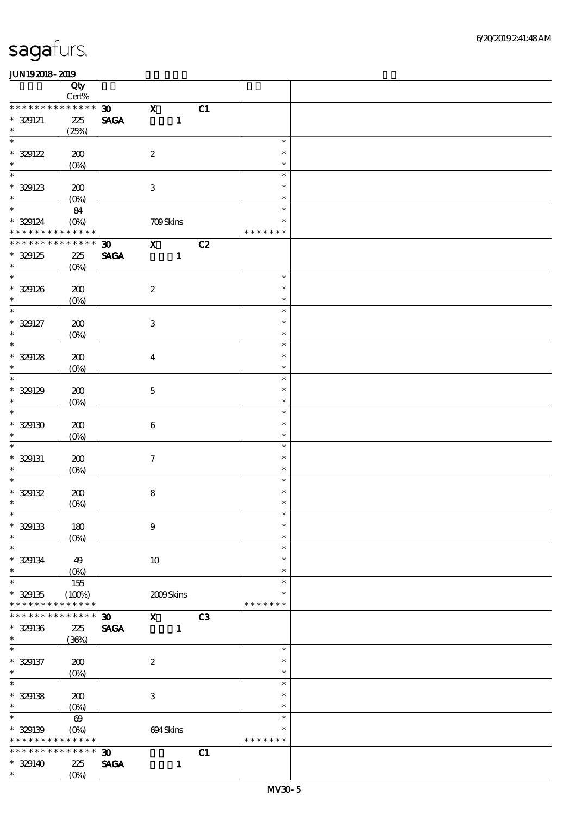|                                          | Qty<br>Cert%          |                              |                           |              |                |               |  |
|------------------------------------------|-----------------------|------------------------------|---------------------------|--------------|----------------|---------------|--|
| * * * * * * *                            | * * * * * *           | $\boldsymbol{\mathfrak{D}}$  | $\mathbf x$               |              | C1             |               |  |
| $* 329121$                               | 225                   | $\ensuremath{\mathsf{SAGA}}$ |                           | $\mathbf{1}$ |                |               |  |
| $\ast$                                   | (25%)                 |                              |                           |              |                |               |  |
| $\ast$                                   |                       |                              |                           |              |                | $\ast$        |  |
| $* 329122$                               | 200                   |                              | $\boldsymbol{2}$          |              |                | $\ast$        |  |
| $\ast$                                   |                       |                              |                           |              |                | $\ast$        |  |
| $\overline{\phantom{0}}$                 | $(O\%)$               |                              |                           |              |                |               |  |
|                                          |                       |                              |                           |              |                | $\ast$        |  |
| $* 329123$                               | 200                   |                              | $\ensuremath{\mathbf{3}}$ |              |                | $\ast$        |  |
| $\ast$                                   | $(O\%)$               |                              |                           |              |                | $\ast$        |  |
| $\overline{\ast}$                        | 84                    |                              |                           |              |                | $\ast$        |  |
| $* 329124$                               | $(O\%)$               |                              | 709Skins                  |              |                | $\ast$        |  |
| * * * * * * * * * * * * * *              |                       |                              |                           |              |                | * * * * * * * |  |
| * * * * * * * * * * * * * *              |                       | $\boldsymbol{\mathfrak{D}}$  | $\mathbf{x}$              | C2           |                |               |  |
| $* 329125$                               | 225                   | <b>SAGA</b>                  |                           | $\mathbf{1}$ |                |               |  |
| $\ast$                                   | $(O\%)$               |                              |                           |              |                |               |  |
| $\overline{\ast}$                        |                       |                              |                           |              |                | $\ast$        |  |
| $* 329126$                               | 200                   |                              | $\boldsymbol{2}$          |              |                | $\ast$        |  |
| $\ast$                                   | $(O\%)$               |                              |                           |              |                | $\ast$        |  |
| $\overline{\ast}$                        |                       |                              |                           |              |                | $\ast$        |  |
| $* 329127$                               | 200                   |                              | $\ensuremath{\mathbf{3}}$ |              |                | $\ast$        |  |
| $\ast$                                   | $(0\%)$               |                              |                           |              |                | $\ast$        |  |
| $\overline{\phantom{0}}$                 |                       |                              |                           |              |                | $\ast$        |  |
| $* 329128$                               | 200                   |                              |                           |              |                | $\ast$        |  |
| $\ast$                                   |                       |                              | $\bf{4}$                  |              |                | $\ast$        |  |
| $\overline{\ast}$                        | $(O\%)$               |                              |                           |              |                | $\ast$        |  |
|                                          |                       |                              |                           |              |                | $\ast$        |  |
| $* 329129$<br>$\ast$                     | 200                   |                              | $\mathbf 5$               |              |                |               |  |
|                                          | $(O\!/\!o)$           |                              |                           |              |                | $\ast$        |  |
| $\ast$                                   |                       |                              |                           |              |                | $\ast$        |  |
| $^*$ 329130 $\,$                         | 200                   |                              | $\,6\,$                   |              |                | $\ast$        |  |
| $\ast$                                   | $(0\%)$               |                              |                           |              |                | $\ast$        |  |
| $\ast$                                   |                       |                              |                           |              |                | $\ast$        |  |
| $*$ 329131                               | 200                   |                              | $\boldsymbol{\tau}$       |              |                | $\ast$        |  |
| $\ast$                                   | $(0\%)$               |                              |                           |              |                | $\ast$        |  |
| $\ast$                                   |                       |                              |                           |              |                | $\ast$        |  |
| $* 329132$                               | 200                   |                              | $\bf 8$                   |              |                | $\ast$        |  |
| $\ast$                                   | $(0\%)$               |                              |                           |              |                | $\ast$        |  |
| $\ast$                                   |                       |                              |                           |              |                | $\ast$        |  |
| $* 329133$                               | 180                   |                              | $\boldsymbol{9}$          |              |                | $\ast$        |  |
| $\ast$                                   | $(O\%)$               |                              |                           |              |                | $\ast$        |  |
| $\ast$                                   |                       |                              |                           |              |                | $\ast$        |  |
| $* 329134$                               | 49                    |                              | $10\,$                    |              |                | $\ast$        |  |
| $\ast$                                   | $(0\%)$               |                              |                           |              |                | $\ast$        |  |
| $\ast$                                   | 155                   |                              |                           |              |                | $\ast$        |  |
| $* 329135$                               | (100%)                |                              | 2009Skins                 |              |                | $\ast$        |  |
| * * * * * * * *                          | ******                |                              |                           |              |                | * * * * * * * |  |
| * * * * * * *                            | * * * * * *           | $\boldsymbol{\mathfrak{D}}$  | $\mathbf{x}$              |              | C <sub>3</sub> |               |  |
| $* 329136$                               | 225                   | <b>SAGA</b>                  |                           | $\mathbf{1}$ |                |               |  |
| $\ast$                                   | (36%)                 |                              |                           |              |                |               |  |
| $\ast$                                   |                       |                              |                           |              |                | $\ast$        |  |
| $* 329137$                               |                       |                              |                           |              |                | $\ast$        |  |
| $\ast$                                   | 200                   |                              | $\boldsymbol{2}$          |              |                | $\ast$        |  |
| $\overline{\ast}$                        | $(O\%)$               |                              |                           |              |                | $\ast$        |  |
|                                          |                       |                              |                           |              |                | $\ast$        |  |
| $*$ 329138<br>$\ast$                     | 200                   |                              | $\,3$                     |              |                |               |  |
| $\ast$                                   | $(O\%)$               |                              |                           |              |                | $\ast$        |  |
|                                          | $\boldsymbol{\omega}$ |                              |                           |              |                | $\ast$        |  |
| $* 329139$                               | $(O\%)$               |                              | 694Skins                  |              |                | $\ast$        |  |
| * * * * * * * * <mark>* * * * * *</mark> |                       |                              |                           |              |                | * * * * * * * |  |
| __<br>* * * * * * * *                    | * * * * * *           | 30 <sub>o</sub>              |                           |              | C1             |               |  |
| $* 329140$                               | 225                   | <b>SAGA</b>                  |                           | $\mathbf{1}$ |                |               |  |
| $\ast$                                   | $(O\%)$               |                              |                           |              |                |               |  |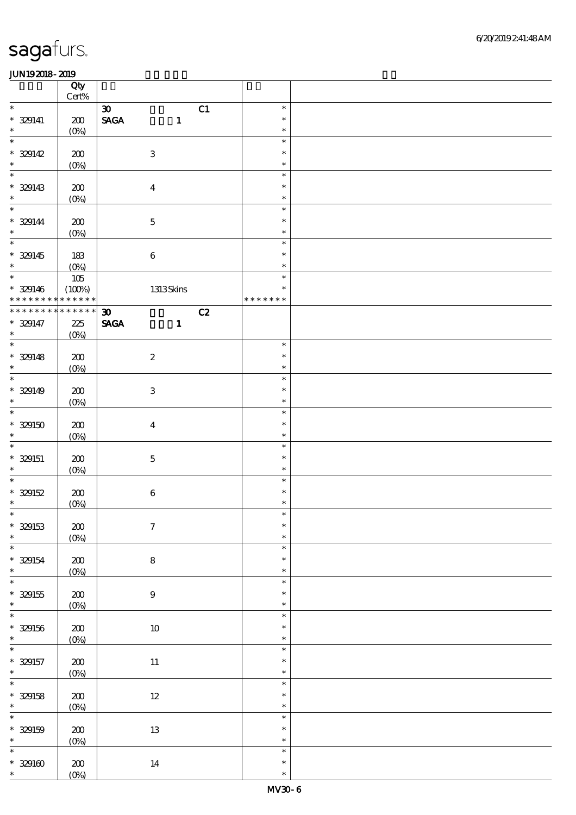|                                | Qty<br>$\mbox{Cert}\%$       |                                                |    |                            |  |
|--------------------------------|------------------------------|------------------------------------------------|----|----------------------------|--|
| $\ast$                         |                              | $\boldsymbol{\mathfrak{D}}$                    | C1 | $\ast$                     |  |
| $* 329141$<br>$\ast$           | 200                          | $\operatorname{\mathbf{SAGA}}$<br>$\mathbf{1}$ |    | $\ast$<br>$\ast$           |  |
|                                | $(0\%)$                      |                                                |    |                            |  |
| $\ast$<br>$* 329142$<br>$\ast$ | 200                          | $\ensuremath{\mathbf{3}}$                      |    | $\ast$<br>$\ast$<br>$\ast$ |  |
| $\overline{\ast}$              | $(0\%)$                      |                                                |    |                            |  |
| $*$ 329143                     | $200\,$<br>$(0\%)$           | $\boldsymbol{4}$                               |    | $\ast$<br>$\ast$<br>$\ast$ |  |
| $\overline{\ast}$              |                              |                                                |    | $\ast$                     |  |
| $* 329144$<br>$\ast$           | 200<br>$(0\%)$               | $\mathbf 5$                                    |    | $\ast$<br>$\ast$           |  |
| $\ast$                         |                              |                                                |    | $\ast$                     |  |
| $* 329145$<br>$\ast$           | 183<br>$(0\%)$               | $\,6\,$                                        |    | $\ast$<br>$\ast$           |  |
| $\overline{\phantom{0}}$       | $105\,$                      |                                                |    | $\ast$                     |  |
| $* 329146$<br>* * * * * * * *  | (100%)<br>* * * * * *        | $1313$ Skins                                   |    | $\ast$<br>* * * * * * *    |  |
| * * * * * * * *                | * * * * * *                  | $\boldsymbol{\mathfrak{D}}$                    | C2 |                            |  |
| $* 329147$<br>$\ast$           | $225\,$<br>(O <sub>0</sub> ) | <b>SAGA</b><br>$\mathbf{1}$                    |    |                            |  |
| $\ast$                         |                              |                                                |    | $\ast$                     |  |
| $* 329148$                     | $200\,$                      |                                                |    | $\ast$                     |  |
| $\ast$                         |                              | $\boldsymbol{2}$                               |    | $\ast$                     |  |
| $\overline{\phantom{a}^*}$     | $(0\%)$                      |                                                |    |                            |  |
|                                |                              |                                                |    | $\ast$                     |  |
| $* 329149$                     | $200\,$                      | $\,3\,$                                        |    | $\ast$                     |  |
| $\ast$                         | $(0\%)$                      |                                                |    | $\ast$                     |  |
| $\ast$                         |                              |                                                |    | $\ast$                     |  |
| $^\ast$ 329150                 | 200                          | $\boldsymbol{4}$                               |    | $\ast$                     |  |
| $\ast$                         | $(0\%)$                      |                                                |    | $\ast$                     |  |
| $\ast$                         |                              |                                                |    | $\ast$                     |  |
|                                |                              |                                                |    | $\ast$                     |  |
| $*$ 329151<br>$\ast$           | 200                          | $\mathbf 5$                                    |    |                            |  |
| $\ast$                         | $(0\%)$                      |                                                |    | $\ast$                     |  |
|                                |                              |                                                |    | $\ast$                     |  |
| $* 329152$                     | 200                          | $\,$ 6 $\,$                                    |    | $\ast$                     |  |
| $\ast$                         | (0%)                         |                                                |    | $\ast$                     |  |
| $*$                            |                              |                                                |    | $\ast$                     |  |
| $*$ 329153                     | 200                          | $\boldsymbol{7}$                               |    | $\ast$                     |  |
| $\ast$                         | $(0\%)$                      |                                                |    | $\ast$                     |  |
| $\ast$                         |                              |                                                |    | $\ast$                     |  |
| $* 329154$                     | $200\,$                      | $\bf 8$                                        |    | $\ast$                     |  |
| $\ast$                         | (0%)                         |                                                |    | $\ast$                     |  |
| $\ast$                         |                              |                                                |    | $\ast$                     |  |
| $^\ast$ 329155                 | $200\,$                      | $\boldsymbol{9}$                               |    | $\ast$                     |  |
| $\ast$                         | $(0\%)$                      |                                                |    | $\ast$                     |  |
| $\ast$                         |                              |                                                |    | $\ast$                     |  |
| $*$ 329156                     | $\pmb{30}$                   | $10\,$                                         |    | $\ast$                     |  |
| $\ast$                         | $(0\%)$                      |                                                |    | $\ast$                     |  |
| $\ast$                         |                              |                                                |    | $\ast$                     |  |
|                                |                              |                                                |    | $\ast$                     |  |
| $* 329157$<br>$\ast$           | $200\,$                      | $11\,$                                         |    | $\ast$                     |  |
| $\ast$                         | (0%)                         |                                                |    |                            |  |
|                                |                              |                                                |    | $\ast$                     |  |
| $*$ 329158                     | $\pmb{30}$                   | $12\,$                                         |    | $\ast$                     |  |
| $\ast$                         | (0%)                         |                                                |    | $\ast$                     |  |
| $\ast$                         |                              |                                                |    | $\ast$                     |  |
| $* 329159$                     | $\pmb{30}$                   | $1\!3$                                         |    | $\ast$                     |  |
| $\ast$                         | $(0\%)$                      |                                                |    | $\ast$                     |  |
| $\ast$                         |                              |                                                |    | $\ast$                     |  |
|                                |                              |                                                |    | $\ast$                     |  |
| $* 329160$<br>$\ast$           | $200\,$                      | $14\,$                                         |    |                            |  |
|                                | $(0\%)$                      |                                                |    | $\ast$                     |  |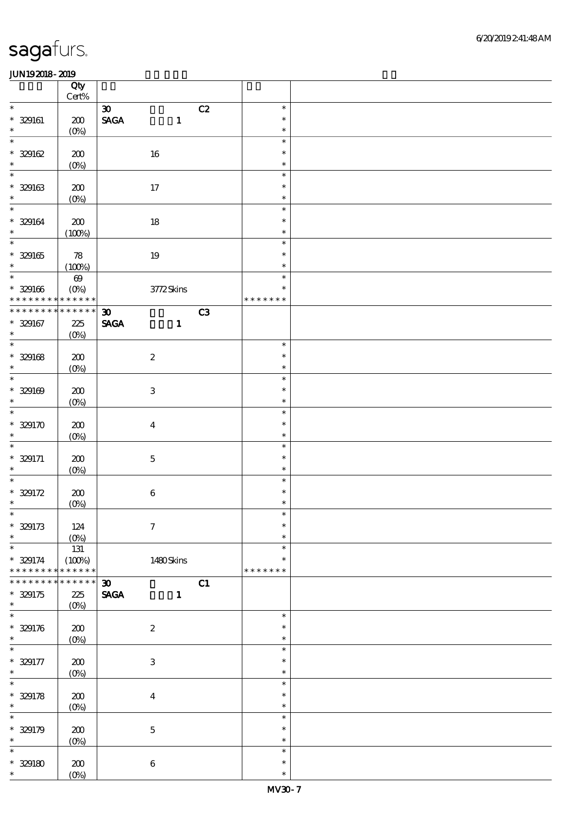|                          | Qty<br>Cert%      |                                |              |    |               |  |
|--------------------------|-------------------|--------------------------------|--------------|----|---------------|--|
| $\ast$                   |                   |                                |              |    | $\ast$        |  |
|                          |                   | $\boldsymbol{\mathfrak{D}}$    |              | C2 |               |  |
| $* 329161$               | 200               | $\ensuremath{\mathsf{SAGA}}$   | $\mathbf{1}$ |    | $\ast$        |  |
| $\ast$                   | $(0\%)$           |                                |              |    | $\ast$        |  |
| $\ast$                   |                   |                                |              |    | $\ast$        |  |
| $* 329162$               | 200               |                                | $16\,$       |    | $\ast$        |  |
|                          |                   |                                |              |    |               |  |
| $\ast$                   | $(0\%)$           |                                |              |    | $\ast$        |  |
| $\ast$                   |                   |                                |              |    | $\ast$        |  |
| $* 329163$               | 200               | $17$                           |              |    | $\ast$        |  |
| $\ast$                   | $(0\%)$           |                                |              |    | $\ast$        |  |
| $\ast$                   |                   |                                |              |    | $\ast$        |  |
|                          |                   |                                |              |    |               |  |
| $* 329164$               | 200               |                                | $18\,$       |    | $\ast$        |  |
| $\ast$                   | (100%)            |                                |              |    | $\ast$        |  |
| $\overline{\phantom{0}}$ |                   |                                |              |    | $\ast$        |  |
| $* 329165$               |                   |                                | $19\,$       |    | $\ast$        |  |
|                          | $\boldsymbol{78}$ |                                |              |    |               |  |
| $\ast$                   | (100%)            |                                |              |    | $\ast$        |  |
| $\ast$                   | $\pmb{\infty}$    |                                |              |    | $\ast$        |  |
| $* 329166$               | $(O\%)$           |                                | $3772$ Skins |    | $\ast$        |  |
| * * * * * * * *          | * * * * * *       |                                |              |    | * * * * * * * |  |
| * * * * * * *            | * * * * * *       | $\boldsymbol{\mathfrak{D}}$    |              | C3 |               |  |
|                          |                   |                                |              |    |               |  |
| $* 329167$               | 225               | <b>SAGA</b>                    | $\mathbf{1}$ |    |               |  |
| $\ast$                   | $(0\%)$           |                                |              |    |               |  |
| $\overline{\ast}$        |                   |                                |              |    | $\ast$        |  |
| $* 329168$               | 200               | $\boldsymbol{2}$               |              |    | $\ast$        |  |
| $\ast$                   |                   |                                |              |    | $\ast$        |  |
|                          | $(0\%)$           |                                |              |    |               |  |
| $\ast$                   |                   |                                |              |    | $\ast$        |  |
| $* 329169$               | 200               | $\ensuremath{\mathbf{3}}$      |              |    | $\ast$        |  |
| $\ast$                   | $(0\%)$           |                                |              |    | $\ast$        |  |
| $\ast$                   |                   |                                |              |    | $\ast$        |  |
|                          |                   |                                |              |    | $\ast$        |  |
| $* 329170$               | 200               | $\boldsymbol{4}$               |              |    |               |  |
| $\ast$                   | $(0\%)$           |                                |              |    | $\ast$        |  |
| $\ast$                   |                   |                                |              |    | $\ast$        |  |
| $* 329171$               | 200               | $\mathbf 5$                    |              |    | $\ast$        |  |
| $\ast$                   | $(0\%)$           |                                |              |    | $\ast$        |  |
| $\ast$                   |                   |                                |              |    | $\ast$        |  |
|                          |                   |                                |              |    |               |  |
| $* 329172$               | 200               | $\,6\,$                        |              |    | $\ast$        |  |
| $\ast$                   | (0%)              |                                |              |    | $\ast$        |  |
| $\ast$                   |                   |                                |              |    | $\ast$        |  |
|                          |                   |                                |              |    | $\ast$        |  |
| $* 329173$               | 124               | $\boldsymbol{\tau}$            |              |    |               |  |
| $\ast$                   | (0%)              |                                |              |    | $\ast$        |  |
| $\ast$                   | 131               |                                |              |    | $\ast$        |  |
| $* 329174$               | (100%)            |                                | 1480Skins    |    | $\ast$        |  |
| * * * * * * * *          | * * * * * *       |                                |              |    | * * * * * * * |  |
| * * * * * * *            | * * * * * *       | $\boldsymbol{\mathfrak{D}}$    |              | C1 |               |  |
|                          |                   |                                |              |    |               |  |
| $* 329175$               | 225               | $\operatorname{\mathsf{SAGA}}$ | $\mathbf{1}$ |    |               |  |
| $\ast$                   | $(O\%)$           |                                |              |    |               |  |
| $\ast$                   |                   |                                |              |    | $\ast$        |  |
| $* 329176$               | 200               | $\boldsymbol{2}$               |              |    | $\ast$        |  |
| $\ast$                   | $(O\%)$           |                                |              |    | $\ast$        |  |
| $\ast$                   |                   |                                |              |    | $\ast$        |  |
|                          |                   |                                |              |    |               |  |
| $* 329177$               | 200               | $\ensuremath{\mathbf{3}}$      |              |    | $\ast$        |  |
| $\ast$                   | $(0\%)$           |                                |              |    | $\ast$        |  |
| $\ast$                   |                   |                                |              |    | $\ast$        |  |
| $* 329178$               |                   |                                |              |    | $\ast$        |  |
|                          | 200               | $\bf{4}$                       |              |    |               |  |
| $\ast$                   | $(0\%)$           |                                |              |    | $\ast$        |  |
| $\ast$                   |                   |                                |              |    | $\ast$        |  |
| $* 329179$               | 200               | $\mathbf 5$                    |              |    | $\ast$        |  |
| $\ast$                   | $(0\%)$           |                                |              |    | $\ast$        |  |
| $\ast$                   |                   |                                |              |    | $\ast$        |  |
|                          |                   |                                |              |    |               |  |
| $*$ 329180               | 200               | $\,6$                          |              |    | $\ast$        |  |
| $\ast$                   | $(0\%)$           |                                |              |    | $\ast$        |  |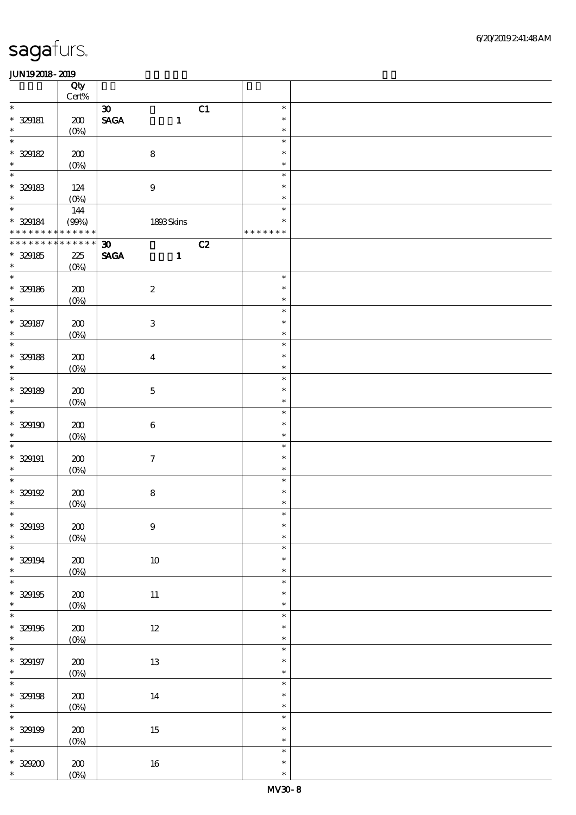|                             | Qty<br>Cert%          |                                                             |                           |    |                  |  |
|-----------------------------|-----------------------|-------------------------------------------------------------|---------------------------|----|------------------|--|
| $\ast$                      |                       |                                                             |                           | C1 | $\ast$           |  |
| $* 329181$                  | 200                   | $\boldsymbol{\mathfrak{D}}$<br>$\ensuremath{\mathsf{SAGA}}$ | $\mathbf 1$               |    | $\ast$           |  |
| $\ast$                      | $(0\%)$               |                                                             |                           |    | $\ast$           |  |
| $\ast$                      |                       |                                                             |                           |    | $\ast$           |  |
| $* 329182$<br>$\ast$        | $200\,$<br>$(0\%)$    |                                                             | $\bf 8$                   |    | $\ast$<br>$\ast$ |  |
| $\ast$                      |                       |                                                             |                           |    | $\ast$           |  |
| $*$ 329183                  | 124                   |                                                             | $\boldsymbol{9}$          |    | $\ast$           |  |
| $\ast$                      | $(O\%)$               |                                                             |                           |    | $\ast$           |  |
| $\ast$<br>$* 329184$        | 144<br>(90%)          |                                                             |                           |    | $\ast$<br>$\ast$ |  |
| * * * * * * * *             | ******                |                                                             | 1893Skins                 |    | * * * * * * *    |  |
| * * * * * * * * * * * * * * |                       | $\boldsymbol{\mathfrak{D}}$                                 |                           | C2 |                  |  |
| $* 329185$                  | 225                   | <b>SAGA</b>                                                 | $\mathbf{1}$              |    |                  |  |
| $\ast$                      | (0%)                  |                                                             |                           |    |                  |  |
| $\overline{\ast}$           |                       |                                                             |                           |    | $\ast$           |  |
| $*$ 329186<br>$\ast$        | 200<br>$(0\%)$        |                                                             | $\boldsymbol{2}$          |    | $\ast$<br>$\ast$ |  |
| $\overline{\phantom{0}}$    |                       |                                                             |                           |    | $\ast$           |  |
| $* 329187$                  | 200                   |                                                             | $\ensuremath{\mathbf{3}}$ |    | $\ast$           |  |
| $\ast$                      | $(0\%)$               |                                                             |                           |    | $\ast$           |  |
| $\overline{\ast}$           |                       |                                                             |                           |    | $\ast$<br>$\ast$ |  |
| $*$ 329188<br>$\ast$        | 200<br>$(0\%)$        |                                                             | $\bf{4}$                  |    | $\ast$           |  |
| $\ast$                      |                       |                                                             |                           |    | $\ast$           |  |
| $* 329189$                  | 200                   |                                                             | $\mathbf 5$               |    | $\ast$           |  |
| $\ast$                      | $(0\%)$               |                                                             |                           |    | $\ast$           |  |
| $\ast$<br>$* 329190$        |                       |                                                             |                           |    | $\ast$<br>$\ast$ |  |
| $\ast$                      | 200<br>$(0\%)$        |                                                             | $\,6\,$                   |    | $\ast$           |  |
| $\ast$                      |                       |                                                             |                           |    | $\ast$           |  |
| $*$ 329191                  | 200                   |                                                             | $\boldsymbol{\tau}$       |    | $\ast$           |  |
| $\ast$<br>$\ast$            | $(0\%)$               |                                                             |                           |    | $\ast$<br>$\ast$ |  |
| $* 329192$                  | 200                   |                                                             | $\bf 8$                   |    | $\ast$           |  |
| $\ast$                      | $(0\%)$               |                                                             |                           |    | $\ast$           |  |
| $\ast$                      |                       |                                                             |                           |    | $\ast$           |  |
| $*$ 329193<br>$\ast$        | $\pmb{30}$            |                                                             | $\boldsymbol{9}$          |    | $\ast$<br>$\ast$ |  |
| $\ast$                      | $(0\%)$               |                                                             |                           |    | $\ast$           |  |
| $* 329194$                  | $200\,$               |                                                             | $10\,$                    |    | $\ast$           |  |
| $\ast$                      | $(0\%)$               |                                                             |                           |    | $\ast$           |  |
| $\overline{\ast}$           |                       |                                                             |                           |    | $\ast$<br>$\ast$ |  |
| $* 329195$<br>$\ast$        | 200<br>$(0\%)$        |                                                             | $11\,$                    |    | $\ast$           |  |
| $\ast$                      |                       |                                                             |                           |    | $\ast$           |  |
| $* 329196$                  | ${\bf Z0}$            |                                                             | $12\,$                    |    | $\ast$           |  |
| $\ast$<br>$_*^-$            | $(0\%)$               |                                                             |                           |    | $\ast$           |  |
|                             |                       |                                                             |                           |    | $\ast$<br>$\ast$ |  |
| $* 329197$<br>$\ast$        | $\pmb{30}$<br>$(0\%)$ |                                                             | $1\!3$                    |    | $\ast$           |  |
| $\overline{\ast}$           |                       |                                                             |                           |    | $\ast$           |  |
| $*$ 329198                  | 200                   |                                                             | $14\,$                    |    | $\ast$           |  |
| $\ast$<br>$\ast$            | (0%)                  |                                                             |                           |    | $\ast$           |  |
| $* 329199$                  | ${\bf Z0}$            |                                                             | $15\,$                    |    | $\ast$<br>$\ast$ |  |
| $\ast$                      | (0%)                  |                                                             |                           |    | $\ast$           |  |
| $\ast$                      |                       |                                                             |                           |    | $\ast$           |  |
| * 329200 *                  | $\pmb{30}$            |                                                             | $16\,$                    |    | $\ast$           |  |
|                             | $(0\%)$               |                                                             |                           |    | $\ast$           |  |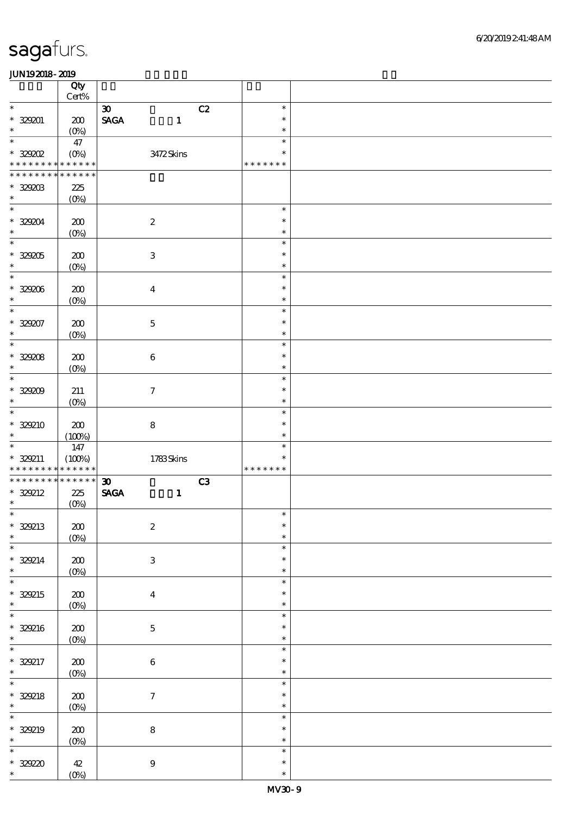|                                           | Qty<br>Cert%  |                                              |    |                  |  |
|-------------------------------------------|---------------|----------------------------------------------|----|------------------|--|
| $\ast$                                    |               | $\boldsymbol{\mathfrak{D}}$                  | C2 | $\ast$           |  |
| $* 329001$                                | 200           | $\ensuremath{\mathsf{SAGA}}$<br>$\mathbf{1}$ |    | $\ast$           |  |
| $\ast$                                    | $(O\%)$       |                                              |    | $\ast$           |  |
| $\ast$<br>$*32902$                        | 47<br>$(0\%)$ | 3472Skins                                    |    | $\ast$<br>$\ast$ |  |
| * * * * * * * * <mark>* * * * * *</mark>  |               |                                              |    | * * * * * * *    |  |
| * * * * * * *                             | * * * * * *   |                                              |    |                  |  |
| $* 329203$                                | 225           |                                              |    |                  |  |
| $\ast$                                    |               |                                              |    |                  |  |
|                                           | $(0\%)$       |                                              |    |                  |  |
| $\ast$                                    |               |                                              |    | $\ast$           |  |
| $* 329204$                                | 200           | $\boldsymbol{2}$                             |    | $\ast$           |  |
| $\ast$                                    | $(0\%)$       |                                              |    | $\ast$           |  |
| $\overline{\ast}$                         |               |                                              |    | $\ast$           |  |
| $* 329205$                                | 200           | $\ensuremath{\mathbf{3}}$                    |    | $\ast$           |  |
| $\ast$                                    |               |                                              |    | $\ast$           |  |
|                                           | $(0\%)$       |                                              |    |                  |  |
| $\ast$                                    |               |                                              |    | $\ast$           |  |
| $* 329006$                                | 200           | $\boldsymbol{4}$                             |    | $\ast$           |  |
| $\ast$                                    | $(0\%)$       |                                              |    | $\ast$           |  |
| $\ast$                                    |               |                                              |    | $\ast$           |  |
| $* 329207$                                | 200           | $\mathbf 5$                                  |    | $\ast$           |  |
| $\ast$                                    | $(0\%)$       |                                              |    | $\ast$           |  |
| $\overline{\ast}$                         |               |                                              |    | $\ast$           |  |
|                                           |               |                                              |    | $\ast$           |  |
| $* 32908$                                 | 200           | $\,6\,$                                      |    |                  |  |
| $\ast$                                    | $(0\%)$       |                                              |    | $\ast$           |  |
| $\ast$                                    |               |                                              |    | $\ast$           |  |
| $* 329009$                                | 211           | $\boldsymbol{7}$                             |    | $\ast$           |  |
| $\ast$                                    | $(0\%)$       |                                              |    | $\ast$           |  |
| $\ast$                                    |               |                                              |    | $\ast$           |  |
| $* 329210$                                | 200           | $\bf 8$                                      |    | $\ast$           |  |
| $\ast$                                    |               |                                              |    | $\ast$           |  |
|                                           | (100%)        |                                              |    |                  |  |
|                                           |               |                                              |    |                  |  |
| $\ast$                                    | $147\,$       |                                              |    | $\ast$           |  |
| * 329211                                  | (100%)        | 1783Skins                                    |    | $\ast$           |  |
| * * * * * * * * <mark>* * * * * *</mark>  |               |                                              |    | * * * * * * *    |  |
| * * * * * * * * * * * * * *               |               | $\boldsymbol{\mathfrak{D}}$                  | C3 |                  |  |
| $* 329212$                                | 225           | <b>SAGA</b><br>$\mathbf{1}$                  |    |                  |  |
| $\ast$                                    |               |                                              |    |                  |  |
| $\ast$                                    | $(0\%)$       |                                              |    | $\ast$           |  |
|                                           |               |                                              |    | $\ast$           |  |
| $* 329213$                                | $\pmb{30}$    | $\boldsymbol{2}$                             |    |                  |  |
| $\ast$                                    | $(0\%)$       |                                              |    | $\ast$           |  |
| $\ast$                                    |               |                                              |    | $\ast$           |  |
| $* 329214$                                | $200\,$       | $\,3$                                        |    | $\ast$           |  |
| $\ast$                                    | (0%)          |                                              |    | $\ast$           |  |
| $\overline{\ast}$                         |               |                                              |    | $\ast$           |  |
|                                           |               |                                              |    | $\ast$           |  |
| * 329215<br>$\ast$                        | $200\,$       | $\boldsymbol{4}$                             |    | $\ast$           |  |
| $\ast$                                    | $(0\%)$       |                                              |    | $\ast$           |  |
|                                           |               |                                              |    |                  |  |
| $* 329216$                                | $200\,$       | $\mathbf 5$                                  |    | $\ast$           |  |
| $\ast$                                    | $(0\%)$       |                                              |    | $\ast$           |  |
| $\overline{\ast}$                         |               |                                              |    | $\ast$           |  |
| * 329217                                  | $\pmb{30}$    | $\,6\,$                                      |    | $\ast$           |  |
| $\ast$                                    | (0%)          |                                              |    | $\ast$           |  |
|                                           |               |                                              |    | $\ast$           |  |
|                                           |               |                                              |    | $\ast$           |  |
| $\overline{\ast}$<br>$* 329218$<br>$\ast$ | 200           | $\boldsymbol{7}$                             |    | $\ast$           |  |
| $\ast$                                    | (0%)          |                                              |    |                  |  |
|                                           |               |                                              |    | $\ast$           |  |
| $* 329219$                                | $200\,$       | $\bf 8$                                      |    | $\ast$           |  |
| $\ast$                                    | (0%)          |                                              |    | $\ast$           |  |
| $\ast$                                    |               |                                              |    | $\ast$           |  |
| $* 32920$<br>$\ast$                       | 42<br>$(0\%)$ | $\boldsymbol{9}$                             |    | $\ast$           |  |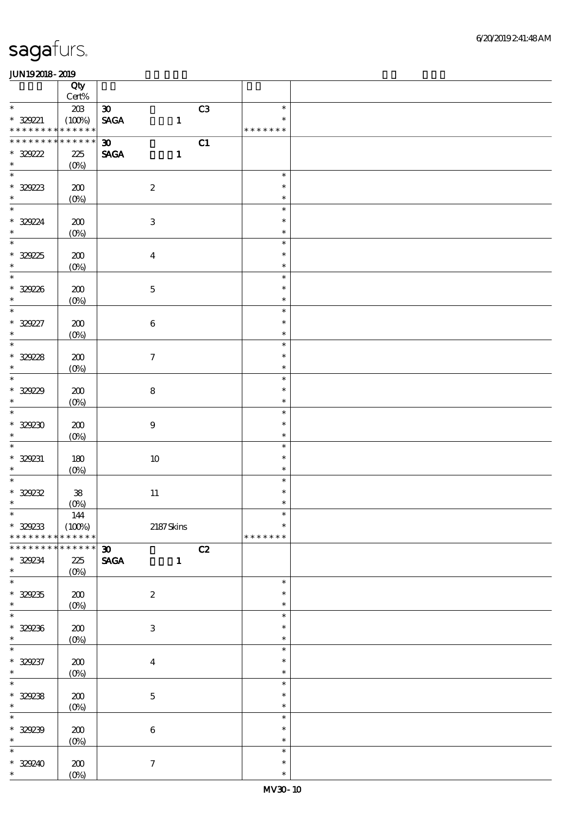|                                    | Qty<br>$Cert\%$                      |                                                |                         |  |
|------------------------------------|--------------------------------------|------------------------------------------------|-------------------------|--|
| $\ast$                             | 203                                  | $\boldsymbol{\mathfrak{D}}$<br>C3              | $\ast$                  |  |
| $* 329221$<br>* * * * * * * *      | (100%)<br>$\ast\ast\ast\ast\ast\ast$ | $\operatorname{\mathsf{SAGA}}$<br>$\mathbf{1}$ | $\ast$<br>* * * * * * * |  |
| * * * * * * * *                    | $***$ * * * *                        | C1<br>$\boldsymbol{\mathfrak{D}}$              |                         |  |
|                                    |                                      |                                                |                         |  |
| $* 329222$                         | 225                                  | <b>SAGA</b><br>$\mathbf{1}$                    |                         |  |
| $\ast$<br>$\overline{\phantom{0}}$ | $(O\%)$                              |                                                |                         |  |
|                                    |                                      |                                                | $\ast$                  |  |
| * 32923                            | 200                                  | $\boldsymbol{2}$                               | $\ast$                  |  |
|                                    | $(0\%)$                              |                                                | $\ast$                  |  |
|                                    |                                      |                                                | $\ast$                  |  |
|                                    | 200                                  | $\ensuremath{\mathbf{3}}$                      | $\ast$                  |  |
| * 32924                            | $(0\%)$                              |                                                | $\ast$                  |  |
|                                    |                                      |                                                | $\ast$                  |  |
|                                    |                                      |                                                | $\ast$                  |  |
| * 32925                            | 200                                  | $\boldsymbol{4}$                               |                         |  |
|                                    | $(0\%)$                              |                                                | $\ast$                  |  |
|                                    |                                      |                                                | $\ast$                  |  |
| * 329236                           | 200                                  | $\mathbf 5$                                    | $\ast$                  |  |
| $\ast$                             | $(0\%)$                              |                                                | $\ast$                  |  |
| $\overline{\ast}$                  |                                      |                                                | $\ast$                  |  |
| $* 329227$                         | 200                                  | $\bf 6$                                        | $\ast$                  |  |
| $\ast$                             | $(0\%)$                              |                                                | $\ast$                  |  |
|                                    |                                      |                                                | $\ast$                  |  |
| $* 32928$                          | 200                                  | $\boldsymbol{\tau}$                            | $\ast$                  |  |
| $\ast$                             |                                      |                                                | $\ast$                  |  |
|                                    | $(0\%)$                              |                                                | $\ast$                  |  |
|                                    |                                      |                                                |                         |  |
| $* 32929$                          | 200                                  | $\bf8$                                         | $\ast$                  |  |
| $\ast$                             | $(0\%)$                              |                                                | $\ast$                  |  |
|                                    |                                      |                                                | $\ast$                  |  |
| $* 329230$                         | 200                                  | $\boldsymbol{9}$                               | $\ast$                  |  |
| $\ast$                             | $(O\%)$                              |                                                | $\ast$                  |  |
|                                    |                                      |                                                | $\ast$                  |  |
| * 329231                           | 180                                  | $10\,$                                         | $\ast$                  |  |
| $\ast$                             | $(O\%)$                              |                                                | $\ast$                  |  |
| $\ast$                             |                                      |                                                | $\ast$                  |  |
| * 329232                           | ${\bf 38}$                           | $11\,$                                         | $\ast$                  |  |
| $\ast$                             | (0%)                                 |                                                | $\ast$                  |  |
| $\ast$                             | 144                                  |                                                | $\ast$                  |  |
| $* 329233$                         | (100%)                               | 2187Skins                                      | $\ast$                  |  |
| * * * * * * * *                    | * * * * * *                          |                                                | * * * * * * *           |  |
| * * * * * * * *                    | * * * * * *                          | C2<br>$\boldsymbol{\mathfrak{D}}$              |                         |  |
|                                    |                                      |                                                |                         |  |
| * 329234<br>$\ast$                 | 225                                  | <b>SAGA</b><br>$\mathbf{1}$                    |                         |  |
| $*$                                | $(O\%)$                              |                                                | $\ast$                  |  |
|                                    |                                      |                                                |                         |  |
| $* 329235$                         | 200                                  | $\boldsymbol{z}$                               | $\ast$                  |  |
| $\ast$                             | $(0\%)$                              |                                                | $\ast$                  |  |
|                                    |                                      |                                                | $\ast$                  |  |
| * 329236                           | 200                                  | $\ensuremath{\mathsf{3}}$                      | $\ast$                  |  |
| $\ast$                             | $(0\%)$                              |                                                | $\ast$                  |  |
|                                    |                                      |                                                | $\ast$                  |  |
| * 329237                           | ${\bf Z0}$                           | $\boldsymbol{4}$                               | $\ast$                  |  |
| $*$                                | $(0\%)$                              |                                                | $\ast$                  |  |
| $\overline{\ast}$                  |                                      |                                                | $\ast$                  |  |
| * 329238                           | ${\bf Z0}$                           | $\mathbf 5$                                    | $\ast$                  |  |
| $\ast$                             | $(0\%)$                              |                                                | $\ast$                  |  |
| $\overline{\ast}$                  |                                      |                                                | $\ast$                  |  |
| * 329239                           | ${\bf Z0}$                           | $\bf 6$                                        | $\ast$                  |  |
| $\ast$                             | $(0\%)$                              |                                                | $\ast$                  |  |
| $\ast$                             |                                      |                                                | $\ast$                  |  |
| $* 329240$                         |                                      |                                                | $\ast$                  |  |
| $\ast$                             | 200<br>$(O\%)$                       | $\boldsymbol{7}$                               | $\ast$                  |  |
|                                    |                                      |                                                |                         |  |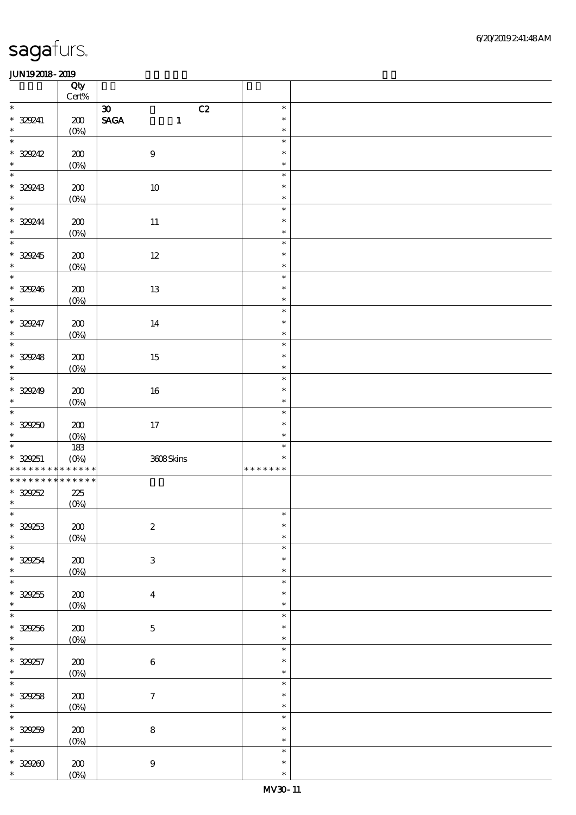|                             | Qty<br>$\mbox{Cert}\%$ |                                                |                  |  |
|-----------------------------|------------------------|------------------------------------------------|------------------|--|
| $\ast$                      |                        | $\boldsymbol{\mathfrak{D}}$<br>C2              | $\ast$           |  |
| $* 329241$<br>$\ast$        | 200                    | $\operatorname{\mathsf{SAGA}}$<br>$\mathbf{1}$ | $\ast$<br>$\ast$ |  |
| $\ast$                      | $(0\%)$                |                                                | $\ast$           |  |
| $*329242$<br>$\ast$         | 200<br>$(0\%)$         | $\boldsymbol{9}$                               | $\ast$<br>$\ast$ |  |
| $\ast$                      |                        |                                                | $\ast$           |  |
| $* 329243$<br>$\ast$        | 200<br>$(0\%)$         | $10\,$                                         | $\ast$<br>$\ast$ |  |
| $\ast$                      |                        |                                                | $\ast$           |  |
| $* 329244$<br>$\ast$        | 200<br>$(0\%)$         | $11\,$                                         | $\ast$<br>$\ast$ |  |
| $\ast$                      |                        |                                                | $\ast$           |  |
| $* 329245$<br>$\ast$        | 200<br>$(0\%)$         | $12\,$                                         | $\ast$<br>$\ast$ |  |
| $\overline{\phantom{0}}$    |                        |                                                | $\ast$           |  |
| $* 329246$<br>$\ast$        | 200<br>$(0\%)$         | $13\,$                                         | $\ast$<br>$\ast$ |  |
| $\overline{\phantom{0}}$    |                        |                                                | $\ast$           |  |
| $* 329247$<br>$\ast$        | 200<br>$(0\%)$         | $14\,$                                         | $\ast$<br>$\ast$ |  |
| $\ast$                      |                        |                                                | $\ast$           |  |
| $* 329248$<br>$\ast$        | 200<br>$(0\%)$         | $15\,$                                         | $\ast$<br>$\ast$ |  |
| $\overline{\phantom{0}}$    |                        |                                                | $\ast$           |  |
| $* 329249$<br>$\ast$        | 200<br>$(0\%)$         | $16\,$                                         | $\ast$<br>$\ast$ |  |
| $\overline{\phantom{a}^*}$  |                        |                                                | $\ast$           |  |
| $* 329250$<br>$\ast$        | 200<br>$(O\%)$         | $17$                                           | $\ast$<br>$\ast$ |  |
| $\ast$                      | 183                    |                                                | $\ast$           |  |
| $* 329251$                  | $(O\%)$                | 3608Skins                                      | $\ast$           |  |
| * * * * * * * * * * * * * * |                        |                                                | * * * * * * *    |  |
| * * * * * * * *             | * * * * * *            |                                                |                  |  |
| $* 329252$                  | $225\,$                |                                                |                  |  |
| $\ast$                      | $(0\%)$                |                                                |                  |  |
| $*$                         |                        |                                                | $\ast$           |  |
| $* 329253$                  | 200                    | $\boldsymbol{2}$                               | $\ast$           |  |
| $\ast$                      | $(0\%)$                |                                                | $\ast$           |  |
| $\overline{\phantom{0}}$    |                        |                                                | $\ast$           |  |
| $* 329254$<br>$\ast$        | 200<br>(0%)            | $\ensuremath{\mathbf{3}}$                      | $\ast$<br>$\ast$ |  |
| $\overline{\phantom{0}}$    |                        |                                                | $\ast$           |  |
| $* 329255$<br>$\ast$        | ${\bf Z0}$<br>$(0\%)$  | $\boldsymbol{4}$                               | $\ast$<br>$\ast$ |  |
| $\overline{\ast}$           |                        |                                                | $\ast$           |  |
| $* 329256$<br>$\ast$        | ${\bf Z0}$<br>$(0\%)$  | $\mathbf 5$                                    | $\ast$<br>$\ast$ |  |
| $\ast$                      |                        |                                                | $\ast$           |  |
| $* 329257$<br>$\ast$        | $200\,$<br>$(0\%)$     | $\,6\,$                                        | $\ast$<br>$\ast$ |  |
| $\ast$                      |                        |                                                | $\ast$           |  |
| $* 329258$<br>$\ast$        | ${\bf Z0}$<br>$(0\%)$  | $\boldsymbol{7}$                               | $\ast$<br>$\ast$ |  |
| $\ast$                      |                        |                                                | $\ast$           |  |
| $* 329259$                  | $\pmb{30}$             | $\bf 8$                                        | $\ast$           |  |
| $\ast$                      | $(0\%)$                |                                                | $\ast$           |  |
| $\ast$                      |                        |                                                | $\ast$           |  |
| $* 329200$                  | $200\,$                | $\boldsymbol{9}$                               | $\ast$           |  |
| $\ast$                      | $(0\%)$                |                                                | $\ast$           |  |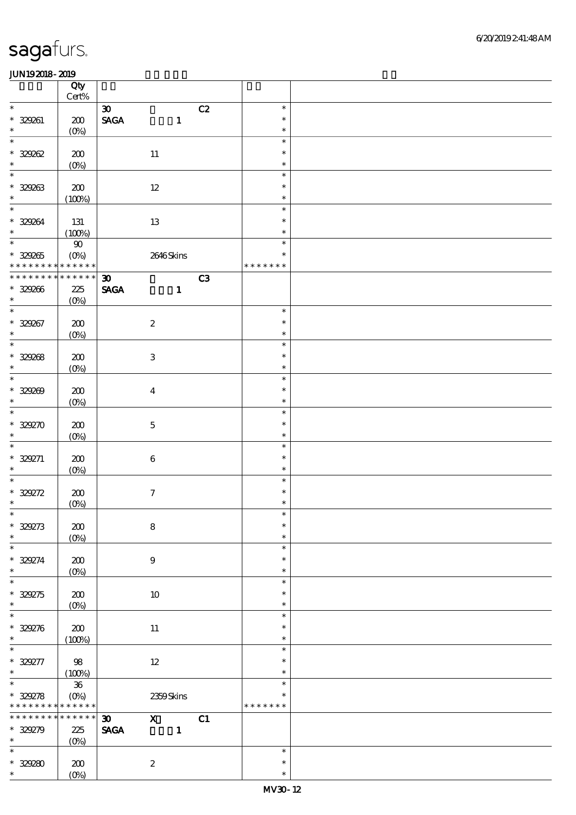|                                           | Qty<br>Cert%   |                              |                                |    |                  |  |
|-------------------------------------------|----------------|------------------------------|--------------------------------|----|------------------|--|
| $\ast$                                    |                | $\boldsymbol{\mathfrak{D}}$  |                                | C2 | $\ast$           |  |
| $* 329261$                                | $200$          | $\ensuremath{\mathsf{SAGA}}$ | $\mathbf{1}$                   |    | $\ast$           |  |
| $\ast$                                    | $(0\%)$        |                              |                                |    | $\ast$           |  |
| $\ast$                                    |                |                              |                                |    | $\ast$           |  |
| $* 329262$                                | 200            |                              | $11\,$                         |    | $\ast$           |  |
| $\ast$                                    | $(0\%)$        |                              |                                |    | $\ast$           |  |
| $\ast$                                    |                |                              |                                |    | $\ast$           |  |
| $* 329263$<br>$\ast$                      | 200            |                              | $12 \,$                        |    | $\ast$           |  |
| $\ast$                                    | (100%)         |                              |                                |    | $\ast$<br>$\ast$ |  |
| * 329264                                  | 131            |                              | 13                             |    | $\ast$           |  |
| $\ast$                                    | (100%)         |                              |                                |    | $\ast$           |  |
| $\ast$                                    | ${\bf 90}$     |                              |                                |    | $\ast$           |  |
| $* 329265$                                | $(O\%)$        |                              | 2646Skins                      |    | $\ast$           |  |
| * * * * * * * * * * * * * *               |                |                              |                                |    | * * * * * * *    |  |
| * * * * * * * *                           | * * * * * *    | $\boldsymbol{\mathfrak{D}}$  |                                | C3 |                  |  |
| $* 329266$                                | 225            | <b>SAGA</b>                  | $\mathbf{1}$                   |    |                  |  |
| $\ast$                                    | $(O\%)$        |                              |                                |    |                  |  |
| $\overline{\ast}$                         |                |                              |                                |    | $\ast$           |  |
| $* 329267$<br>$\ast$                      | 200            |                              | $\boldsymbol{2}$               |    | $\ast$<br>$\ast$ |  |
| $\overline{\phantom{0}}$                  | $(0\%)$        |                              |                                |    | $\ast$           |  |
| $* 329268$                                | 200            |                              | $\ensuremath{\mathbf{3}}$      |    | $\ast$           |  |
| $\ast$                                    | $(0\%)$        |                              |                                |    | $\ast$           |  |
| $\ast$                                    |                |                              |                                |    | $\ast$           |  |
| $* 329209$                                | 200            |                              | $\overline{\mathbf{4}}$        |    | $\ast$           |  |
| $\ast$                                    | $(O\%)$        |                              |                                |    | $\ast$           |  |
| $\ast$                                    |                |                              |                                |    | $\ast$           |  |
| $* 329270$                                | 200            |                              | $\mathbf 5$                    |    | $\ast$           |  |
| $\ast$                                    | $(0\%)$        |                              |                                |    | $\ast$           |  |
| $\ast$                                    |                |                              |                                |    | $\ast$<br>$\ast$ |  |
| $* 329271$<br>$\ast$                      | 200<br>$(O\%)$ |                              | $\,6\,$                        |    | $\ast$           |  |
| $\ast$                                    |                |                              |                                |    | $\ast$           |  |
| $* 329272$                                | 200            |                              | $\boldsymbol{\tau}$            |    | $\ast$           |  |
| $\ast$                                    | (0%)           |                              |                                |    | $\ast$           |  |
| $\ast$                                    |                |                              |                                |    | $\ast$           |  |
| $*$ 329273                                | 200            |                              | $\bf 8$                        |    | $\ast$           |  |
| $\ast$                                    | $(O\%)$        |                              |                                |    | $\ast$           |  |
| $\ast$                                    |                |                              |                                |    | $\ast$           |  |
| $* 329274$                                | 200            |                              | $\boldsymbol{9}$               |    | $\ast$           |  |
| $\ast$<br>$\ast$                          | $(0\%)$        |                              |                                |    | $\ast$<br>$\ast$ |  |
| $* 329275$                                | 200            |                              | 10                             |    | $\ast$           |  |
| $\ast$                                    | $(O\!/\!o)$    |                              |                                |    | $\ast$           |  |
| $\ast$                                    |                |                              |                                |    | $\ast$           |  |
| $* 329276$                                | 200            |                              | 11                             |    | $\ast$           |  |
| $\ast$                                    | (100%)         |                              |                                |    | $\ast$           |  |
| $\ast$                                    |                |                              |                                |    | $\ast$           |  |
| $* 329277$                                | 98             |                              | $12 \,$                        |    | $\ast$           |  |
| $\ast$                                    | (100%)         |                              |                                |    | $\ast$           |  |
| $\ast$                                    | 36             |                              |                                |    | $\ast$<br>$\ast$ |  |
| $* 329278$<br>* * * * * * * * * * * * * * | $(0\%)$        |                              | 2359Skins                      |    | * * * * * * *    |  |
| * * * * * * * * * * * * * *               |                | $\boldsymbol{\mathfrak{D}}$  |                                | C1 |                  |  |
| $* 329279$                                | 225            | <b>SAGA</b>                  | $\overline{x}$<br>$\mathbf{1}$ |    |                  |  |
| $\ast$                                    | $(0\%)$        |                              |                                |    |                  |  |
| $\ast$                                    |                |                              |                                |    | $\ast$           |  |
| $* 329280$                                | 200            |                              | $\boldsymbol{2}$               |    | $\ast$           |  |
| $\ast$                                    | $(O\%)$        |                              |                                |    | $\ast$           |  |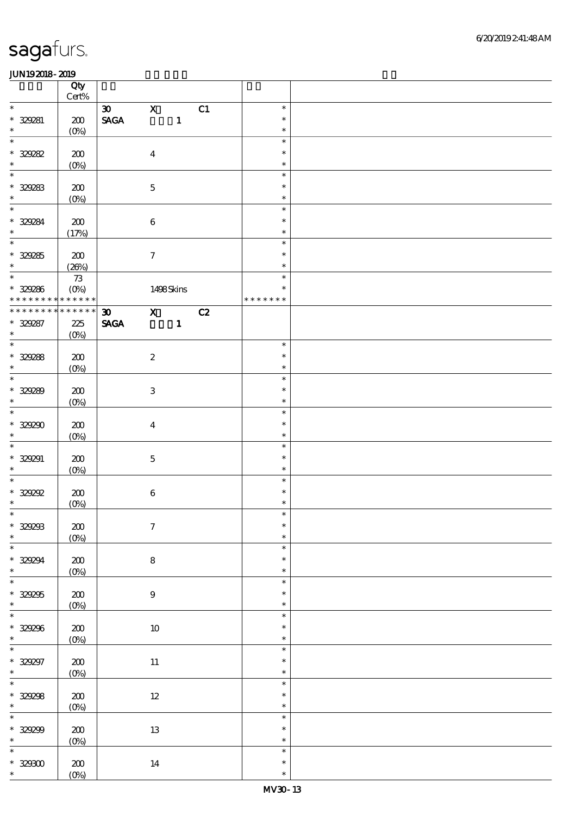|                          | Qty<br>$\mbox{Cert}\%$ |                                                        |              |    |               |  |
|--------------------------|------------------------|--------------------------------------------------------|--------------|----|---------------|--|
|                          |                        |                                                        |              |    |               |  |
| $\ast$                   |                        | $\mathbf{X}$<br>$\boldsymbol{\mathfrak{D}}$            |              | C1 | $\ast$        |  |
| $* 329281$               | $200\,$                | $\operatorname{\mathbf{SAGA}}$                         | $\mathbf{1}$ |    | $\ast$        |  |
| $\ast$                   | $(0\%)$                |                                                        |              |    | $\ast$        |  |
| $\ast$                   |                        |                                                        |              |    | $\ast$        |  |
|                          |                        |                                                        |              |    | $\ast$        |  |
| $* 329282$               | 200                    | $\boldsymbol{4}$                                       |              |    |               |  |
| $\ast$                   | $(O\%)$                |                                                        |              |    | $\ast$        |  |
| $\ast$                   |                        |                                                        |              |    | $\ast$        |  |
| $* 329283$               | 200                    | $\mathbf 5$                                            |              |    | $\ast$        |  |
| $\ast$                   |                        |                                                        |              |    | $\ast$        |  |
|                          | $(O\%)$                |                                                        |              |    |               |  |
| $\overline{\ast}$        |                        |                                                        |              |    | $\ast$        |  |
| * 329284                 | $200$                  | $\bf 6$                                                |              |    | $\ast$        |  |
|                          | (17%)                  |                                                        |              |    | $\ast$        |  |
| $\overline{\ast}$        |                        |                                                        |              |    | $\ast$        |  |
|                          |                        |                                                        |              |    | $\ast$        |  |
| $* 329285$               | 200                    | $\boldsymbol{7}$                                       |              |    |               |  |
| $\ast$                   | (20%)                  |                                                        |              |    | $\ast$        |  |
|                          | $73\,$                 |                                                        |              |    | $\ast$        |  |
| * 329286                 | $(O\!/\!o)$            |                                                        | 1498Skins    |    | $\ast$        |  |
| * * * * * * * *          | * * * * * *            |                                                        |              |    | * * * * * * * |  |
| * * * * * * * *          | ******                 |                                                        |              |    |               |  |
|                          |                        | $\overline{\mathbf{x}}$<br>$\boldsymbol{\mathfrak{D}}$ | C2           |    |               |  |
| $* 329287$               | 225                    | <b>SAGA</b>                                            | $\mathbf{1}$ |    |               |  |
| $\ast$                   | $(O\%)$                |                                                        |              |    |               |  |
| $\overline{\ast}$        |                        |                                                        |              |    | $\ast$        |  |
| $* 329288$               | 200                    | $\boldsymbol{2}$                                       |              |    | $\ast$        |  |
| $\ast$                   |                        |                                                        |              |    |               |  |
|                          | $(0\%)$                |                                                        |              |    | $\ast$        |  |
| $\overline{\ast}$        |                        |                                                        |              |    | $\ast$        |  |
| $* 329289$               | 200                    | $\,3$                                                  |              |    | $\ast$        |  |
| $\ast$                   | $(O\%)$                |                                                        |              |    | $\ast$        |  |
| $\overline{\ast}$        |                        |                                                        |              |    | $\ast$        |  |
|                          |                        |                                                        |              |    |               |  |
| $* 329290$               | 200                    | $\boldsymbol{4}$                                       |              |    | $\ast$        |  |
| $\ast$                   | $(0\%)$                |                                                        |              |    | $\ast$        |  |
| $\ast$                   |                        |                                                        |              |    | $\ast$        |  |
| $* 329291$               | 200                    | $\mathbf 5$                                            |              |    | $\ast$        |  |
| $\ast$                   |                        |                                                        |              |    | $\ast$        |  |
|                          | $(O\%)$                |                                                        |              |    |               |  |
| $\ast$                   |                        |                                                        |              |    | $\ast$        |  |
| $*$ 329292               | 200                    | $\bf 6$                                                |              |    | $\ast$        |  |
| $\ast$                   | $(0\%)$                |                                                        |              |    | $\ast$        |  |
|                          |                        |                                                        |              |    |               |  |
|                          |                        |                                                        |              |    | $\ast$        |  |
| $* 329293$               | $\pmb{30}$             | $\boldsymbol{7}$                                       |              |    |               |  |
| $\ast$                   | $(0\%)$                |                                                        |              |    | $\ast$        |  |
| $\overline{\phantom{0}}$ |                        |                                                        |              |    | $\ast$        |  |
| $* 329294$               | $200\,$                | $\bf 8$                                                |              |    | $\ast$        |  |
| $\ast$                   | (0%)                   |                                                        |              |    | $\ast$        |  |
| $\ast$                   |                        |                                                        |              |    | $\ast$        |  |
|                          |                        |                                                        |              |    |               |  |
| $* 32925$                | $200\,$                | $\boldsymbol{9}$                                       |              |    | $\ast$        |  |
| $\ast$                   | (0%)                   |                                                        |              |    | $\ast$        |  |
| $\overline{\ast}$        |                        |                                                        |              |    | $\ast$        |  |
| $* 329296$               | $200\,$                | $10\,$                                                 |              |    | $\ast$        |  |
| $\ast$                   | $(0\%)$                |                                                        |              |    | $\ast$        |  |
| $\overline{\phantom{0}}$ |                        |                                                        |              |    |               |  |
|                          |                        |                                                        |              |    | $\ast$        |  |
| $* 329297$               | $200\,$                | $11\,$                                                 |              |    | $\ast$        |  |
| $\ast$                   | (0%)                   |                                                        |              |    | $\ast$        |  |
| $\ast$                   |                        |                                                        |              |    | $\ast$        |  |
| $* 329298$               | 200                    | $12\,$                                                 |              |    | $\ast$        |  |
| $\ast$                   |                        |                                                        |              |    |               |  |
|                          | (0%)                   |                                                        |              |    | $\ast$        |  |
| $\overline{\phantom{0}}$ |                        |                                                        |              |    | $\ast$        |  |
| $* 329299$               | $200\,$                | $13\,$                                                 |              |    | $\ast$        |  |
| $\ast$                   | (0%)                   |                                                        |              |    | $\ast$        |  |
| $\ast$                   |                        |                                                        |              |    | $\ast$        |  |
|                          |                        |                                                        |              |    | $\ast$        |  |
| $^\ast$ 329300           | 200                    | $14\,$                                                 |              |    |               |  |
| $\ast$                   | $(O\%)$                |                                                        |              |    | $\ast$        |  |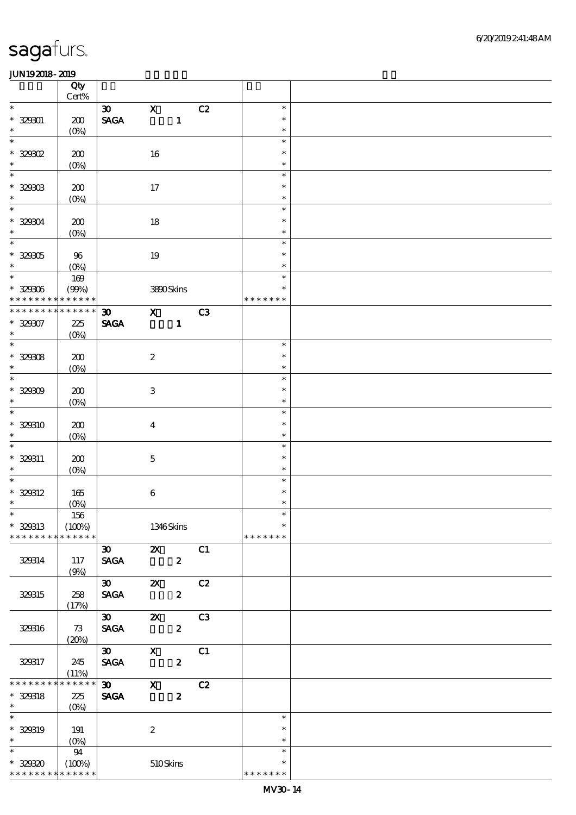|                                    | Qty<br>$Cert\%$   |                                |                           |                  |                |                  |  |
|------------------------------------|-------------------|--------------------------------|---------------------------|------------------|----------------|------------------|--|
| $\overline{\ast}$                  |                   |                                |                           |                  |                |                  |  |
|                                    |                   | $\boldsymbol{\mathfrak{D}}$    | $\overline{\mathbf{x}}$   |                  | C2             | $\ast$           |  |
| $* 329001$<br>$\ast$               | 200               | $\operatorname{\mathsf{SAGA}}$ |                           | $\mathbf{1}$     |                | $\ast$<br>$\ast$ |  |
| $\ast$                             | $(0\%)$           |                                |                           |                  |                | $\ast$           |  |
|                                    |                   |                                |                           |                  |                | $\ast$           |  |
| $*$ 329302<br>$\ast$               | 200               |                                | 16                        |                  |                |                  |  |
| $\ast$                             | $(0\%)$           |                                |                           |                  |                | $\ast$           |  |
|                                    |                   |                                |                           |                  |                | $\ast$           |  |
| $^\ast$ 329303                     | 200               |                                | $17$                      |                  |                | $\ast$           |  |
| $\ast$                             | $(0\%)$           |                                |                           |                  |                | $\ast$           |  |
| $\ast$                             |                   |                                |                           |                  |                | $\ast$           |  |
| $* 329004$                         | 200               |                                | $18\,$                    |                  |                | $\ast$           |  |
| $\ast$                             | $(0\%)$           |                                |                           |                  |                | $\ast$           |  |
| $\overline{\ast}$                  |                   |                                |                           |                  |                | $\ast$           |  |
| $* 329005$                         | 96                |                                | 19                        |                  |                | $\ast$           |  |
| $\ast$                             | $(0\%)$           |                                |                           |                  |                | $\ast$           |  |
| $\overline{\ast}$                  | 169               |                                |                           |                  |                | $\ast$           |  |
| $* 329006$                         | (90%)             |                                |                           | 3800Skins        |                | $\ast$           |  |
| * * * * * * * *                    | * * * * * *       |                                |                           |                  |                | * * * * * * *    |  |
| * * * * * * *                      | * * * * * *       | $\boldsymbol{\mathfrak{D}}$    | $\mathbf{X}$              |                  | C3             |                  |  |
| $* 32907$                          | 225               | <b>SAGA</b>                    |                           | $\mathbf{1}$     |                |                  |  |
| $\ast$                             | $(0\%)$           |                                |                           |                  |                |                  |  |
| $\overline{\ast}$                  |                   |                                |                           |                  |                | $\ast$           |  |
| $* 32908$                          | 200               |                                | $\boldsymbol{2}$          |                  |                | $\ast$           |  |
| $\ast$                             | $(0\%)$           |                                |                           |                  |                | $\ast$           |  |
| $\ast$                             |                   |                                |                           |                  |                | $\ast$           |  |
| $* 32909$                          | 200               |                                | $\,3$                     |                  |                | $\ast$           |  |
| $\ast$                             | $(0\%)$           |                                |                           |                  |                | $\ast$           |  |
| $\ast$                             |                   |                                |                           |                  |                | $\ast$           |  |
| $* 329310$                         | 200               |                                | $\boldsymbol{4}$          |                  |                | $\ast$           |  |
| $\ast$                             | $(0\%)$           |                                |                           |                  |                | $\ast$           |  |
| $\ast$                             |                   |                                |                           |                  |                | $\ast$           |  |
| * 329311                           | 200               |                                | $\mathbf 5$               |                  |                | $\ast$           |  |
| $\ast$                             | $(0\%)$           |                                |                           |                  |                | $\ast$           |  |
| $\ast$                             |                   |                                |                           |                  |                | $\ast$           |  |
| $* 329312$                         | $165\,$           |                                | $\,6\,$                   |                  |                | $\ast$           |  |
| $\ast$                             | $(0\%)$           |                                |                           |                  |                | $\ast$           |  |
| $\ast$                             | 156               |                                |                           |                  |                |                  |  |
| $* 329313$                         | (100%)            |                                |                           | 1346Skins        |                | $\ast$           |  |
| * * * * * * * *                    | * * * * * *       |                                |                           |                  |                | * * * * * * *    |  |
|                                    |                   | $\boldsymbol{\mathfrak{D}}$    | $\boldsymbol{\mathsf{X}}$ |                  | C1             |                  |  |
| 329314                             | 117               | $\operatorname{\mathsf{SAGA}}$ |                           | $\boldsymbol{z}$ |                |                  |  |
|                                    | (9%)              |                                |                           |                  |                |                  |  |
|                                    |                   | $\infty$                       | $\boldsymbol{\mathsf{z}}$ |                  | C2             |                  |  |
| 329315                             | 258               | <b>SAGA</b>                    |                           | $\boldsymbol{z}$ |                |                  |  |
|                                    | (17%)             |                                |                           |                  |                |                  |  |
|                                    |                   | $\infty$                       | $\boldsymbol{\mathsf{X}}$ |                  | C <sub>3</sub> |                  |  |
| 329316                             | 73                | <b>SAGA</b>                    |                           | $\boldsymbol{z}$ |                |                  |  |
|                                    | (20%)             |                                |                           |                  |                |                  |  |
|                                    |                   | $\boldsymbol{\mathfrak{D}}$    | $\boldsymbol{\mathrm{X}}$ |                  | C1             |                  |  |
| 329317                             | 245               | <b>SAGA</b>                    |                           | $\boldsymbol{z}$ |                |                  |  |
|                                    | (11%)             |                                |                           |                  |                |                  |  |
| * * * * * * * *                    | * * * * * *       | 30                             | $\mathbf{x}$              |                  | C2             |                  |  |
| $*$ 329318                         | 225               | <b>SAGA</b>                    |                           | $\boldsymbol{z}$ |                |                  |  |
| $\ast$<br>$\overline{\phantom{0}}$ | (O <sub>0</sub> ) |                                |                           |                  |                |                  |  |
|                                    |                   |                                |                           |                  |                | $\ast$           |  |
| $* 329319$                         | 191               |                                | $\boldsymbol{2}$          |                  |                | $\ast$           |  |
| $\ast$                             | $(0\%)$           |                                |                           |                  |                | $\ast$           |  |
| $\overline{\phantom{0}}$           | $94\,$            |                                |                           |                  |                | $\ast$           |  |
| $* 32930$                          | (100%)            |                                | $510S$ kins               |                  |                | $\ast$           |  |
| * * * * * * * *                    | * * * * * *       |                                |                           |                  |                | * * * * * * *    |  |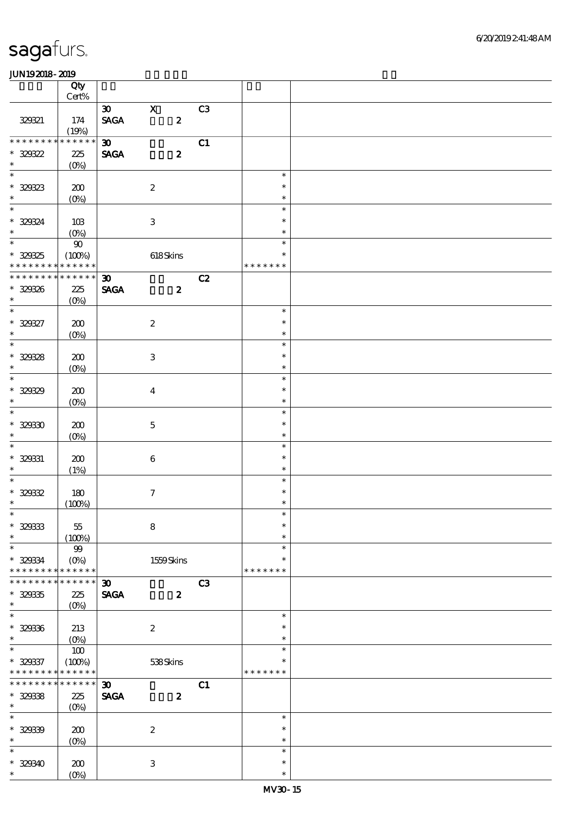|                                                                           | Qty                        |                                                             |                                  |    |                         |  |
|---------------------------------------------------------------------------|----------------------------|-------------------------------------------------------------|----------------------------------|----|-------------------------|--|
|                                                                           | $Cert\%$                   |                                                             |                                  |    |                         |  |
| 329321                                                                    | 174<br>(19%)               | $\boldsymbol{\mathfrak{D}}$<br>$\ensuremath{\mathsf{SAGA}}$ | $\mathbf{X}$<br>$\boldsymbol{z}$ | C3 |                         |  |
| * * * * * * *                                                             | ******                     | $\boldsymbol{\mathfrak{D}}$                                 |                                  | C1 |                         |  |
| $* 329322$<br>$\ast$                                                      | $2\!2$<br>$(0\%)$          | <b>SAGA</b>                                                 | $\boldsymbol{z}$                 |    |                         |  |
| $\ast$                                                                    |                            |                                                             |                                  |    | $\ast$                  |  |
| $* 32933$                                                                 | 200<br>$(0\%)$             |                                                             | $\boldsymbol{2}$                 |    | $\ast$<br>$\ast$        |  |
|                                                                           |                            |                                                             |                                  |    | $\ast$<br>$\ast$        |  |
| * 320324                                                                  | 10B<br>$(O\%)$             |                                                             | $\,3\,$                          |    | $\ast$                  |  |
|                                                                           | $90\,$                     |                                                             |                                  |    | $\ast$                  |  |
| $* 329325$                                                                | (100%)                     |                                                             | 618Skins                         |    | $\ast$                  |  |
| * * * * * * * * <mark>* * * * * *</mark> *<br>* * * * * * * * * * * * * * |                            | $\boldsymbol{\mathfrak{D}}$                                 |                                  | C2 | * * * * * * *           |  |
| * 329326<br>$*$                                                           | 225<br>$(O\%)$             | <b>SAGA</b>                                                 | $\boldsymbol{z}$                 |    |                         |  |
|                                                                           |                            |                                                             |                                  |    | $\ast$                  |  |
| $* 329327$<br>$\ast$                                                      | 200<br>$(0\%)$             |                                                             | $\boldsymbol{2}$                 |    | $\ast$<br>$\ast$        |  |
| $* 329328$                                                                |                            |                                                             |                                  |    | $\ast$<br>$\ast$        |  |
| $\ast$                                                                    | 200<br>$(0\%)$             |                                                             | $\,3\,$                          |    | $\ast$                  |  |
| $\overline{\ast}$                                                         |                            |                                                             |                                  |    | $\ast$                  |  |
| $* 329329$                                                                | 200                        |                                                             | $\boldsymbol{4}$                 |    | $\ast$                  |  |
| $\ast$<br>$\overline{\phantom{a}^*}$                                      | $(O\!/\!\!\delta)$         |                                                             |                                  |    | $\ast$<br>$\ast$        |  |
| $* 32930$<br>$\ast$                                                       | 200                        |                                                             | $\mathbf 5$                      |    | $\ast$<br>$\ast$        |  |
| $\overline{\phantom{0}}$                                                  | $(0\%)$                    |                                                             |                                  |    | $\ast$                  |  |
| $* 329331$<br>$\ast$                                                      | 200<br>(1%)                |                                                             | $\,6\,$                          |    | $\ast$<br>$\ast$        |  |
| $\ast$                                                                    |                            |                                                             |                                  |    | $\ast$                  |  |
| $* 32932$<br>$\ast$                                                       | 180                        |                                                             | $\boldsymbol{\tau}$              |    | $\ast$                  |  |
| $*$                                                                       | (100%)                     |                                                             |                                  |    | $\ast$                  |  |
| $* 329333$<br>$\ast$                                                      | $55\,$<br>(100%)           |                                                             | $\bf 8$                          |    | $\ast$<br>$\ast$        |  |
| $\ast$                                                                    | $99$                       |                                                             |                                  |    | $\ast$                  |  |
| $* 329334$<br>* * * * * * * *                                             | $(O\!/\!o)$<br>* * * * * * |                                                             | 1559Skins                        |    | $\ast$<br>* * * * * * * |  |
| * * * * * * *                                                             | * * * * * *                | $\boldsymbol{\mathfrak{D}}$                                 |                                  | C3 |                         |  |
| $* 329335$<br>$\ast$                                                      | 225<br>$(O\!/\!\!\delta)$  | <b>SAGA</b>                                                 | $\boldsymbol{z}$                 |    |                         |  |
| $\overline{\ast}$                                                         |                            |                                                             |                                  |    | $\ast$                  |  |
| $* 329336$<br>$\ast$                                                      | 213<br>$(0\%)$             |                                                             | $\boldsymbol{2}$                 |    | $\ast$<br>$\ast$        |  |
| $\ast$                                                                    | 100                        |                                                             |                                  |    | $\ast$                  |  |
| $* 329337$                                                                | (100%)                     |                                                             | 538Skins                         |    | *                       |  |
| * * * * * * * *<br>* * * * * * *                                          | * * * * * *<br>* * * * * * | $\boldsymbol{\mathfrak{D}}$                                 |                                  | C1 | * * * * * * *           |  |
| $* 329338$                                                                | 225                        | <b>SAGA</b>                                                 | $\boldsymbol{z}$                 |    |                         |  |
| $\ast$                                                                    | $(O\!/\!\!\delta)$         |                                                             |                                  |    |                         |  |
| $\overline{\ast}$                                                         |                            |                                                             |                                  |    | $\ast$                  |  |
| $* 32939$<br>$\ast$                                                       | 200<br>$(0\%)$             |                                                             | $\boldsymbol{2}$                 |    | $\ast$<br>$\ast$        |  |
| $\ast$                                                                    |                            |                                                             |                                  |    | $\ast$                  |  |
| $* 329340$                                                                | 200                        |                                                             | $\,3$                            |    | $\ast$                  |  |
| $\ast$                                                                    | $(O\!/\!\!\delta)$         |                                                             |                                  |    | $\ast$                  |  |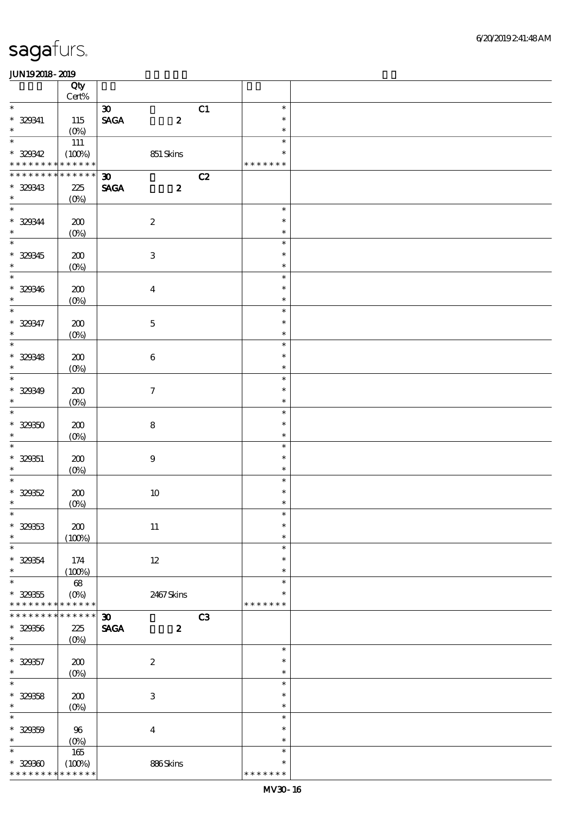|                          | Qty                |                                                             |                           |                |                  |  |
|--------------------------|--------------------|-------------------------------------------------------------|---------------------------|----------------|------------------|--|
| $\ast$                   | $Cert\%$           |                                                             |                           |                | $\ast$           |  |
| $* 329341$               |                    | $\boldsymbol{\mathfrak{D}}$<br>$\ensuremath{\mathsf{SAGA}}$ | $\boldsymbol{z}$          | C1             | $\ast$           |  |
| $\ast$                   | 115<br>(0%)        |                                                             |                           |                | $\ast$           |  |
| $\ast$                   | 111                |                                                             |                           |                | $\ast$           |  |
| $* 329342$               | (100%)             |                                                             | 851 Skins                 |                | $\ast$           |  |
| * * * * * * * *          | * * * * * *        |                                                             |                           |                | * * * * * * *    |  |
| * * * * * * *            | * * * * * *        | $\boldsymbol{\mathfrak{D}}$                                 |                           | C2             |                  |  |
| $* 329343$               | $225\,$            | <b>SAGA</b>                                                 | $\boldsymbol{z}$          |                |                  |  |
| $\ast$                   | $(O\%)$            |                                                             |                           |                |                  |  |
| $\overline{\ast}$        |                    |                                                             |                           |                | $\ast$           |  |
| $* 329344$<br>$\ast$     | 200                |                                                             | $\boldsymbol{2}$          |                | $\ast$<br>$\ast$ |  |
| $\overline{\phantom{0}}$ | $(0\%)$            |                                                             |                           |                | $\ast$           |  |
| $* 329345$               | 200                |                                                             | $\ensuremath{\mathbf{3}}$ |                | $\ast$           |  |
| $\ast$                   | $(0\%)$            |                                                             |                           |                | $\ast$           |  |
| $\overline{\ast}$        |                    |                                                             |                           |                | $\ast$           |  |
| $* 329346$               | 200                |                                                             | $\boldsymbol{4}$          |                | $\ast$           |  |
| $\ast$                   | $(0\%)$            |                                                             |                           |                | $\ast$           |  |
| $\overline{\ast}$        |                    |                                                             |                           |                | $\ast$           |  |
| $* 329347$<br>$\ast$     | $200\,$            |                                                             | $\mathbf 5$               |                | $\ast$<br>$\ast$ |  |
| $\ast$                   | $(0\%)$            |                                                             |                           |                | $\ast$           |  |
| $* 329348$               | 200                |                                                             | $\,6\,$                   |                | $\ast$           |  |
| $\ast$                   | $(0\%)$            |                                                             |                           |                | $\ast$           |  |
| $\overline{\phantom{0}}$ |                    |                                                             |                           |                | $\ast$           |  |
| $* 329349$               | 200                |                                                             | $\boldsymbol{\tau}$       |                | $\ast$           |  |
| $\ast$                   | $(0\%)$            |                                                             |                           |                | $\ast$           |  |
| $\ast$                   |                    |                                                             |                           |                | $\ast$           |  |
| $* 329350$               | 200                |                                                             | $\bf 8$                   |                | $\ast$           |  |
| $\ast$<br>$\ast$         | $(0\%)$            |                                                             |                           |                | $\ast$<br>$\ast$ |  |
| $* 329351$               | 200                |                                                             | $\boldsymbol{9}$          |                | $\ast$           |  |
| $\ast$                   | $(0\%)$            |                                                             |                           |                | $\ast$           |  |
| $\ast$                   |                    |                                                             |                           |                | $\ast$           |  |
| $* 329352$               | 200                |                                                             | $10\,$                    |                | $\ast$           |  |
| $\ast$                   | (0%)               |                                                             |                           |                | $\ast$           |  |
| $*$                      |                    |                                                             |                           |                | $\ast$           |  |
| $* 32953$<br>$\ast$      | 200                |                                                             | $11\,$                    |                | $\ast$<br>$\ast$ |  |
| $\ast$                   | (100%)             |                                                             |                           |                | $\ast$           |  |
| $* 329354$               | 174                |                                                             | $12\,$                    |                | $\ast$           |  |
| $\ast$                   | (100%)             |                                                             |                           |                | $\ast$           |  |
| $\ast$                   | $68\,$             |                                                             |                           |                | $\ast$           |  |
| $^\ast$ 329355           | $(O\%)$            |                                                             | 2467Skins                 |                | $\ast$           |  |
| * * * * * * * *          | * * * * * *        |                                                             |                           |                | * * * * * * *    |  |
| * * * * * * *            | * * * * * *        | $\boldsymbol{\mathfrak{D}}$                                 |                           | C <sub>3</sub> |                  |  |
| $* 329356$<br>$\ast$     | 225                | <b>SAGA</b>                                                 | $\boldsymbol{z}$          |                |                  |  |
| $\overline{\phantom{0}}$ | $(O\%)$            |                                                             |                           |                | $\ast$           |  |
| $* 329357$               | 200                |                                                             | $\boldsymbol{2}$          |                | $\ast$           |  |
| $\ast$                   | $(O\!/\!o)$        |                                                             |                           |                | $\ast$           |  |
| $\overline{\ast}$        |                    |                                                             |                           |                | $\ast$           |  |
| $* 329358$               | 200                |                                                             | $\,3$                     |                | $\ast$           |  |
| $\ast$                   | $(0\%)$            |                                                             |                           |                | $\ast$           |  |
| $\ast$                   |                    |                                                             |                           |                | $\ast$           |  |
| $* 329359$<br>$\ast$     | 96                 |                                                             | $\boldsymbol{4}$          |                | $\ast$<br>$\ast$ |  |
| $\ast$                   | $(0\%)$<br>$165\,$ |                                                             |                           |                | $\ast$           |  |
| $* 32930$                | (100%)             |                                                             | 886Skins                  |                | $\ast$           |  |
| * * * * * * * *          | * * * * * *        |                                                             |                           |                | * * * * * * *    |  |
|                          |                    |                                                             |                           |                |                  |  |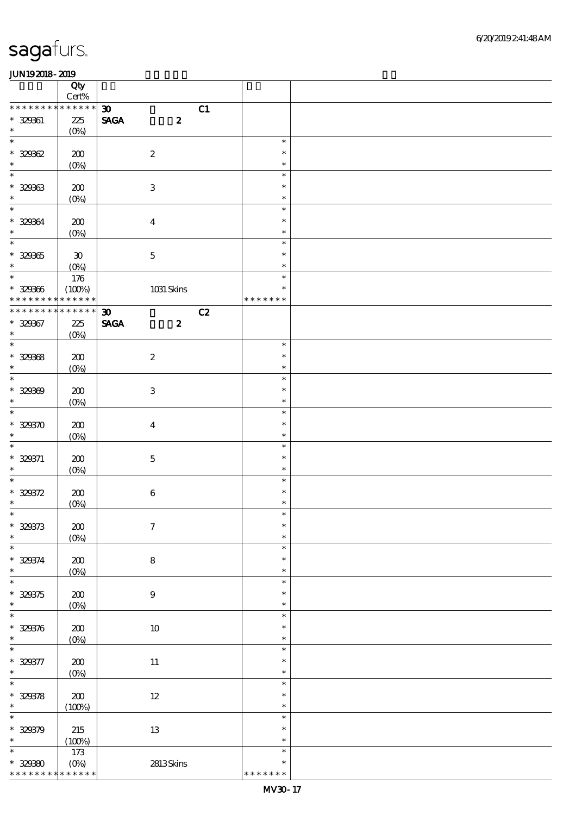|                              | Qty                         |                                                    |    |                  |  |
|------------------------------|-----------------------------|----------------------------------------------------|----|------------------|--|
| * * * * * * * *              | $Cert\%$<br>* * * * * *     |                                                    |    |                  |  |
|                              |                             | $\boldsymbol{\mathfrak{D}}$                        | C1 |                  |  |
| $* 32961$                    | $2\!2$                      | $\operatorname{\mathbf{SAGA}}$<br>$\boldsymbol{z}$ |    |                  |  |
| $\ast$                       | $(O\!/\!\!\delta)$          |                                                    |    |                  |  |
| $\ast$                       |                             |                                                    |    | $\ast$           |  |
| $* 32962$                    | 200                         | $\boldsymbol{2}$                                   |    | $\ast$           |  |
|                              | $(0\%)$                     |                                                    |    | $\ast$           |  |
| $\ast$                       |                             |                                                    |    | $\ast$           |  |
| $* 32963$                    | 200                         | $\ensuremath{\mathbf{3}}$                          |    | $\ast$           |  |
| $\ast$                       | $(0\%)$                     |                                                    |    | $\ast$           |  |
| $\ast$                       |                             |                                                    |    | $\ast$           |  |
| $* 329364$                   | 200                         | $\boldsymbol{4}$                                   |    | $\ast$           |  |
| $\ast$                       | $(0\%)$                     |                                                    |    | $\ast$           |  |
| $\ast$                       |                             |                                                    |    | $\ast$           |  |
| $* 329365$                   | $\boldsymbol{\mathfrak{D}}$ | $\mathbf 5$                                        |    | $\ast$           |  |
| $\ast$                       | (0%)                        |                                                    |    | $\ast$           |  |
| $\overline{\phantom{0}}$     | $176$                       |                                                    |    | $\ast$           |  |
| $* 329966$                   | (100%)                      | $1031$ Skins                                       |    | $\ast$           |  |
| * * *<br>* * *               | * * * * * *                 |                                                    |    | * * * * * * *    |  |
| * * * * * * * *              | * * * * * *                 | $\boldsymbol{\mathfrak{D}}$                        | C2 |                  |  |
| $* 329367$                   | $225\,$                     | <b>SAGA</b><br>$\boldsymbol{z}$                    |    |                  |  |
| $\ast$                       | $(0\%)$                     |                                                    |    |                  |  |
| $\ast$                       |                             |                                                    |    | $\ast$           |  |
| $* 329368$                   | 200                         | $\boldsymbol{2}$                                   |    | $\ast$           |  |
| $\ast$                       | $(0\%)$                     |                                                    |    | $\ast$           |  |
| $\overline{\ast}$            |                             |                                                    |    | $\ast$           |  |
| $* 32969$                    | 200                         | $\ensuremath{\mathbf{3}}$                          |    | $\ast$           |  |
| $\ast$                       | $(0\%)$                     |                                                    |    | $\ast$           |  |
| $\ast$                       |                             |                                                    |    | $\ast$           |  |
| $* 329370$                   | 200                         | $\boldsymbol{4}$                                   |    | $\ast$           |  |
| $\ast$                       | $(0\%)$                     |                                                    |    | $\ast$           |  |
| $\ast$                       |                             |                                                    |    | $\ast$           |  |
| $* 329371$                   | 200                         | $\mathbf 5$                                        |    | $\ast$           |  |
| $\ast$                       | $(0\%)$                     |                                                    |    | $\ast$           |  |
| $\ast$                       |                             |                                                    |    | $\ast$           |  |
| $* 329372$                   | 200                         | $\bf 6$                                            |    | $\ast$           |  |
| $\ast$                       | (0%)                        |                                                    |    | $\ast$           |  |
| $*$                          |                             |                                                    |    | $\ast$           |  |
| $* 329373$                   | 200                         | $\boldsymbol{7}$                                   |    | $\ast$           |  |
| $\ast$                       | $(0\%)$                     |                                                    |    | $\ast$           |  |
| $\ast$                       |                             |                                                    |    | $\ast$           |  |
| $* 329374$<br>$\ast$         | 200                         | $\bf 8$                                            |    | $\ast$           |  |
| $\ast$                       | $(0\%)$                     |                                                    |    | $\ast$           |  |
|                              |                             |                                                    |    | $\ast$<br>$\ast$ |  |
| $* 329375$<br>$\ast$         | 200                         | $9$                                                |    |                  |  |
| $\ast$                       | $(0\%)$                     |                                                    |    | $\ast$<br>$\ast$ |  |
|                              |                             |                                                    |    | $\ast$           |  |
| $* 329376$<br>$\ast$         | 200                         | $10\,$                                             |    | $\ast$           |  |
| $\ast$                       | $(0\%)$                     |                                                    |    | $\ast$           |  |
| $* 329377$                   |                             |                                                    |    | $\ast$           |  |
| $\ast$                       | $\pmb{30}$                  | $11\,$                                             |    | $\ast$           |  |
| $\ast$                       | $(0\%)$                     |                                                    |    | $\ast$           |  |
|                              |                             |                                                    |    | $\ast$           |  |
| $* 329378$<br>$\ast$         | $\pmb{30}$                  | $12\,$                                             |    | $\ast$           |  |
| $\ast$                       | (100%)                      |                                                    |    | $\ast$           |  |
|                              |                             |                                                    |    | $\ast$           |  |
| $* 329379$<br>$\ast$         | 215                         | $13\,$                                             |    | $\ast$           |  |
| $\ast$                       | (100%)                      |                                                    |    | $\ast$           |  |
|                              | $173$                       |                                                    |    | $\ast$           |  |
| $* 32930$<br>* * * * * * * * | $(0\%)$<br>* * * * * *      | 2813Skins                                          |    | * * * * * * *    |  |
|                              |                             |                                                    |    |                  |  |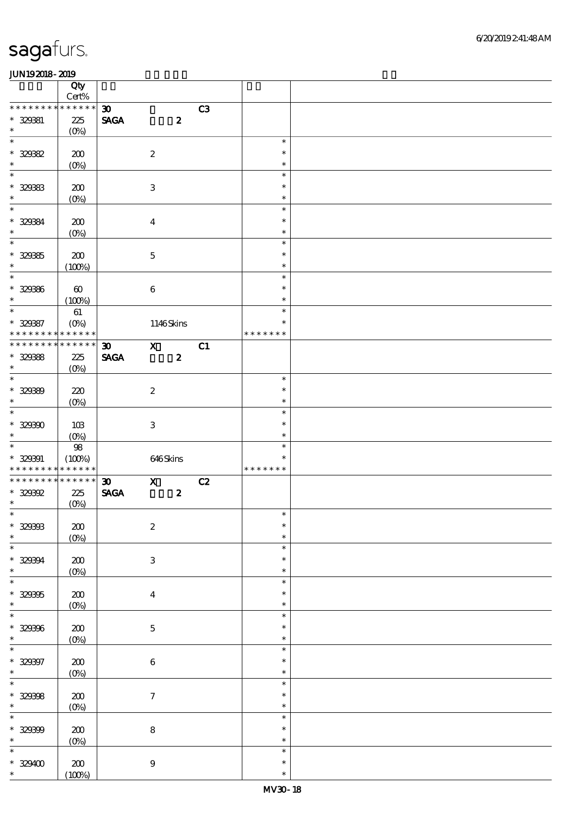|                               | Qty<br>Cert%          |                             |                           |                  |    |                  |  |
|-------------------------------|-----------------------|-----------------------------|---------------------------|------------------|----|------------------|--|
| * * * * * * * *               | $******$              | $\boldsymbol{\mathfrak{D}}$ |                           |                  | C3 |                  |  |
| $* 329331$<br>$\ast$          | 225<br>$(O\%)$        | <b>SAGA</b>                 |                           | $\boldsymbol{z}$ |    |                  |  |
| $\ast$                        |                       |                             |                           |                  |    | $\ast$           |  |
| $* 32932$                     | 200                   |                             | $\boldsymbol{2}$          |                  |    | $\ast$           |  |
| $\ast$                        |                       |                             |                           |                  |    | $\ast$           |  |
| $\ast$                        | $(0\%)$               |                             |                           |                  |    | $\ast$           |  |
|                               |                       |                             |                           |                  |    |                  |  |
| $* 329333$                    | 200                   |                             | $\,3$                     |                  |    | $\ast$           |  |
| $\ast$                        | $(0\%)$               |                             |                           |                  |    | $\ast$           |  |
| $\ast$                        |                       |                             |                           |                  |    | $\ast$           |  |
| $* 329384$                    | 200                   |                             | $\boldsymbol{4}$          |                  |    | $\ast$           |  |
| $\ast$                        | $(0\%)$               |                             |                           |                  |    | $\ast$           |  |
| $\overline{\phantom{0}}$      |                       |                             |                           |                  |    | $\ast$           |  |
| $* 32935$                     | 200                   |                             | $\mathbf 5$               |                  |    | $\ast$           |  |
| $\ast$                        | (100%)                |                             |                           |                  |    | $\ast$           |  |
| $\overline{\phantom{0}}$      |                       |                             |                           |                  |    | $\ast$           |  |
| $* 32936$                     | $\boldsymbol{\omega}$ |                             | $\bf 6$                   |                  |    | $\ast$           |  |
| $\ast$                        | (100%)                |                             |                           |                  |    | $\ast$           |  |
| $\overline{\ast}$             | 61                    |                             |                           |                  |    | $\ast$           |  |
| $* 329387$                    | $(O\%)$               |                             |                           | 1146Skins        |    | $\ast$           |  |
| * * * * * * * *               | * * * * * *           |                             |                           |                  |    | * * * * * * *    |  |
| * * * * * * *                 | * * * * * *<br>$\ast$ | $\boldsymbol{\mathfrak{D}}$ | $\mathbf{x}$              |                  | C1 |                  |  |
|                               |                       |                             |                           |                  |    |                  |  |
| $* 329388$                    | 225                   | <b>SAGA</b>                 |                           | $\boldsymbol{z}$ |    |                  |  |
| $\ast$<br>$\overline{\ast}$   | $(O\%)$               |                             |                           |                  |    |                  |  |
|                               |                       |                             |                           |                  |    | $\ast$           |  |
| $* 329399$                    | 220                   |                             | $\boldsymbol{2}$          |                  |    | $\ast$           |  |
| $\ast$                        | $(O\!/\!o)$           |                             |                           |                  |    | $\ast$           |  |
| $\ast$                        |                       |                             |                           |                  |    | $\ast$           |  |
|                               | 10B                   |                             | $\ensuremath{\mathbf{3}}$ |                  |    | $\ast$           |  |
|                               |                       |                             |                           |                  |    |                  |  |
| $* 329300$<br>$\ast$          |                       |                             |                           |                  |    | $\ast$           |  |
| $\ast$                        | $(0\%)$               |                             |                           |                  |    | $\ast$           |  |
|                               | ${\bf 98}$            |                             |                           |                  |    | $\ast$           |  |
| $* 320001$<br>* * * * * * * * | (100%)<br>* * * * * * |                             | 646Skins                  |                  |    | * * * * * * *    |  |
| * * * * * * * * * * * * * *   |                       |                             |                           |                  |    |                  |  |
|                               |                       | $\boldsymbol{\mathfrak{D}}$ | $\mathbf{x}$              |                  | C2 |                  |  |
| $*$ 329392<br>$\ast$          | 225                   | <b>SAGA</b>                 |                           | $\boldsymbol{z}$ |    |                  |  |
| $\ast$                        | (0%)                  |                             |                           |                  |    | $\ast$           |  |
|                               |                       |                             |                           |                  |    |                  |  |
| $* 329303$                    | 200                   |                             | $\boldsymbol{2}$          |                  |    | $\ast$<br>$\ast$ |  |
| $\ast$                        | $(0\%)$               |                             |                           |                  |    |                  |  |
| $\ast$                        |                       |                             |                           |                  |    | $\ast$           |  |
| $* 329394$                    | $200\,$               |                             | $\ensuremath{\mathbf{3}}$ |                  |    | $\ast$           |  |
| $\ast$                        | $(0\%)$               |                             |                           |                  |    | $\ast$           |  |
| $\ast$                        |                       |                             |                           |                  |    | $\ast$           |  |
| $* 329305$                    | 200                   |                             | $\boldsymbol{4}$          |                  |    | $\ast$           |  |
| $\ast$                        | $(0\%)$               |                             |                           |                  |    | $\ast$           |  |
| $\ast$                        |                       |                             |                           |                  |    | $\ast$           |  |
| $* 329306$                    | $200\,$               |                             | $\mathbf 5$               |                  |    | $\ast$           |  |
| $\ast$                        | $(0\%)$               |                             |                           |                  |    | $\ast$           |  |
| $\ast$                        |                       |                             |                           |                  |    | $\ast$           |  |
|                               |                       |                             |                           |                  |    | $\ast$           |  |
| $* 329397$<br>$\ast$          | $200$                 |                             | $\,6\,$                   |                  |    | $\ast$           |  |
| $\ast$                        | $(0\%)$               |                             |                           |                  |    | $\ast$           |  |
|                               |                       |                             |                           |                  |    | $\ast$           |  |
| $* 329308$<br>$\ast$          | 200                   |                             | $\boldsymbol{7}$          |                  |    | $\ast$           |  |
|                               | $(0\%)$               |                             |                           |                  |    |                  |  |
| $\ast$                        |                       |                             |                           |                  |    | $\ast$           |  |
| $* 329399$                    | 200                   |                             | $\bf 8$                   |                  |    | $\ast$           |  |
| $\ast$                        | $(0\%)$               |                             |                           |                  |    | $\ast$           |  |
| $\ast$                        |                       |                             |                           |                  |    | $\ast$           |  |
| $*329100$                     | 200<br>(100%)         |                             | $9\,$                     |                  |    | $\ast$<br>$\ast$ |  |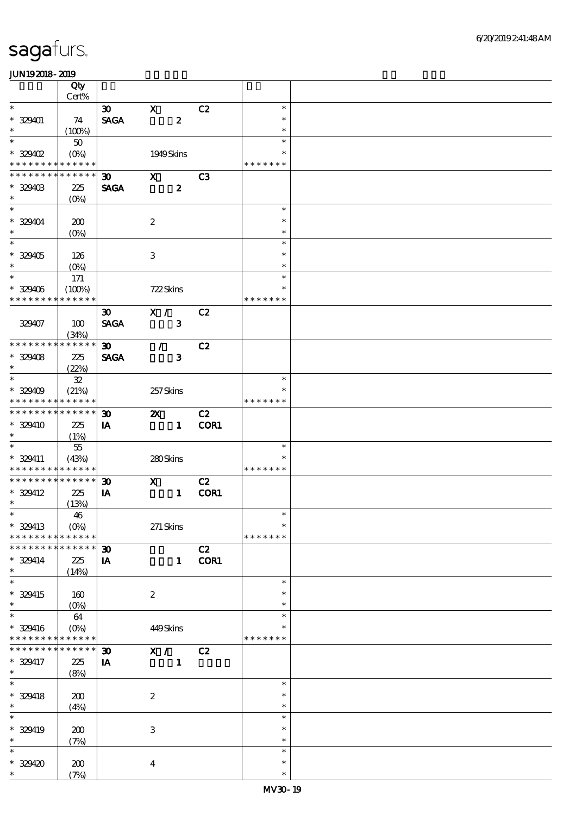|                                            | Qty         |                             |                           |                  |      |                      |  |
|--------------------------------------------|-------------|-----------------------------|---------------------------|------------------|------|----------------------|--|
|                                            | Cert%       |                             |                           |                  |      |                      |  |
| $\ast$                                     |             | $\boldsymbol{\mathfrak{D}}$ | $\mathbf{x}$              |                  | C2   | $\ast$               |  |
| $* 329401$                                 | 74          | <b>SAGA</b>                 |                           | $\boldsymbol{z}$ |      | $\ast$               |  |
| $\ast$                                     | (100%)      |                             |                           |                  |      | $\ast$               |  |
| $\overline{\ast}$                          | $50\,$      |                             |                           |                  |      | $\ast$               |  |
| $*329102$                                  | $(O\%)$     |                             | 1949Skins                 |                  |      | $\ast$               |  |
| * * * * * * * * <mark>* * * * * *</mark> * |             |                             |                           |                  |      | * * * * * * *        |  |
| * * * * * * *<br>∗                         | * * * * * * | $\boldsymbol{\mathfrak{D}}$ | $\mathbf{x}$              |                  | C3   |                      |  |
| $*329403$                                  | 225         | <b>SAGA</b>                 |                           | $\boldsymbol{z}$ |      |                      |  |
| $\ast$                                     |             |                             |                           |                  |      |                      |  |
| $\ast$                                     | $(O\%)$     |                             |                           |                  |      | $\ast$               |  |
|                                            |             |                             |                           |                  |      |                      |  |
| * 329404                                   | 200         |                             | $\boldsymbol{2}$          |                  |      | $\ast$               |  |
| $\ast$                                     | $(O\!/\!o)$ |                             |                           |                  |      | $\ast$               |  |
| $\overline{\phantom{0}}$                   |             |                             |                           |                  |      | $\ast$               |  |
| $*329405$                                  | 126         |                             | $\ensuremath{\mathbf{3}}$ |                  |      | $\ast$               |  |
| $\ast$                                     | $(O\%)$     |                             |                           |                  |      | $\ast$               |  |
| $\overline{\phantom{0}}$                   | 171         |                             |                           |                  |      | $\ast$               |  |
| $*329406$                                  | (100%)      |                             | 722Skins                  |                  |      | $\ast$               |  |
| * * * * * * * *                            | * * * * * * |                             |                           |                  |      | * * * * * * *        |  |
|                                            |             | $\boldsymbol{\mathfrak{D}}$ | X /                       |                  | C2   |                      |  |
| 329407                                     | 100         | <b>SAGA</b>                 |                           | $\mathbf{3}$     |      |                      |  |
|                                            | (34%)       |                             |                           |                  |      |                      |  |
| * * * * * * * * * * * * * *                |             | $\boldsymbol{\mathfrak{D}}$ | $\mathcal{L}$             |                  | C2   |                      |  |
|                                            |             |                             |                           |                  |      |                      |  |
| $*329408$                                  | 225         | <b>SAGA</b>                 |                           | $\mathbf{3}$     |      |                      |  |
| $\ast$                                     | (22%)       |                             |                           |                  |      |                      |  |
| $\ast$                                     | ${\bf 32}$  |                             |                           |                  |      | $\ast$               |  |
| $* 329409$                                 | (21%)       |                             | 257Skins                  |                  |      | $\ast$               |  |
| * * * * * * * *                            | * * * * * * |                             |                           |                  |      | * * * * * * *        |  |
| * * * * * * * *                            | * * * * * * | $\boldsymbol{\mathfrak{D}}$ | $\boldsymbol{\mathsf{z}}$ |                  | C2   |                      |  |
| * 329410                                   | 225         | IA                          |                           | $\mathbf{1}$     | COR1 |                      |  |
| $\ast$                                     | (1%)        |                             |                           |                  |      |                      |  |
| $\ast$                                     | 55          |                             |                           |                  |      | $\ast$               |  |
| * 329411                                   | (43%)       |                             | 280Skins                  |                  |      | $\ast$               |  |
| * * * * * * * *                            | * * * * * * |                             |                           |                  |      | * * * * * * *        |  |
| * * * * * * * * * * * * * *                |             | $\boldsymbol{\mathfrak{D}}$ | $\mathbf{x}$              |                  | C2   |                      |  |
| * 329412                                   | 225         | IA                          |                           | $\mathbf{1}$     | COR1 |                      |  |
| $\ast$                                     |             |                             |                           |                  |      |                      |  |
| $\ast$                                     | (13%)       |                             |                           |                  |      | $\ddot{\phantom{1}}$ |  |
|                                            | 46          |                             |                           |                  |      |                      |  |
| * 329413                                   | $(O\%)$     |                             | 271 Skins                 |                  |      | $\ast$               |  |
| * * * * * * * *                            | * * * * * * |                             |                           |                  |      | * * * * * * *        |  |
| * * * * * * *                              | * * * * * * | $\boldsymbol{\mathfrak{D}}$ |                           |                  | C2   |                      |  |
| $* 329414$                                 | 225         | IA                          |                           | $\mathbf{1}$     | COR1 |                      |  |
| $\ast$                                     | (14%)       |                             |                           |                  |      |                      |  |
| $\ast$                                     |             |                             |                           |                  |      | $\ast$               |  |
| $* 329415$                                 | 160         |                             | $\boldsymbol{2}$          |                  |      | $\ast$               |  |
| $\ast$                                     | $(O\%)$     |                             |                           |                  |      | $\ast$               |  |
| $\ast$                                     | 64          |                             |                           |                  |      | $\ast$               |  |
| * 329416                                   | $(O\%)$     |                             | 449Skins                  |                  |      | *                    |  |
| * * * * * * * *                            | * * * * * * |                             |                           |                  |      | * * * * * * *        |  |
| * * * * * * *                              | * * * * * * | $\boldsymbol{\mathfrak{D}}$ | X /                       |                  | C2   |                      |  |
| * 329417                                   | 225         | IA                          |                           | $\mathbf{1}$     |      |                      |  |
| $\ast$                                     | (8%)        |                             |                           |                  |      |                      |  |
| $\ast$                                     |             |                             |                           |                  |      | $\ast$               |  |
|                                            |             |                             |                           |                  |      | $\ast$               |  |
| $* 329418$<br>$\ast$                       | 200         |                             | $\boldsymbol{2}$          |                  |      |                      |  |
|                                            | (4%)        |                             |                           |                  |      | $\ast$               |  |
| $\ast$                                     |             |                             |                           |                  |      | $\ast$               |  |
| $* 329419$                                 | 200         |                             | $\,3$                     |                  |      | $\ast$               |  |
| $\ast$                                     | (7%)        |                             |                           |                  |      | $\ast$               |  |
| $\ast$                                     |             |                             |                           |                  |      | $\ast$               |  |
| $* 329420$                                 | 200         |                             | $\bf{4}$                  |                  |      | $\ast$               |  |
| $\ast$                                     | (7%)        |                             |                           |                  |      | $\ast$               |  |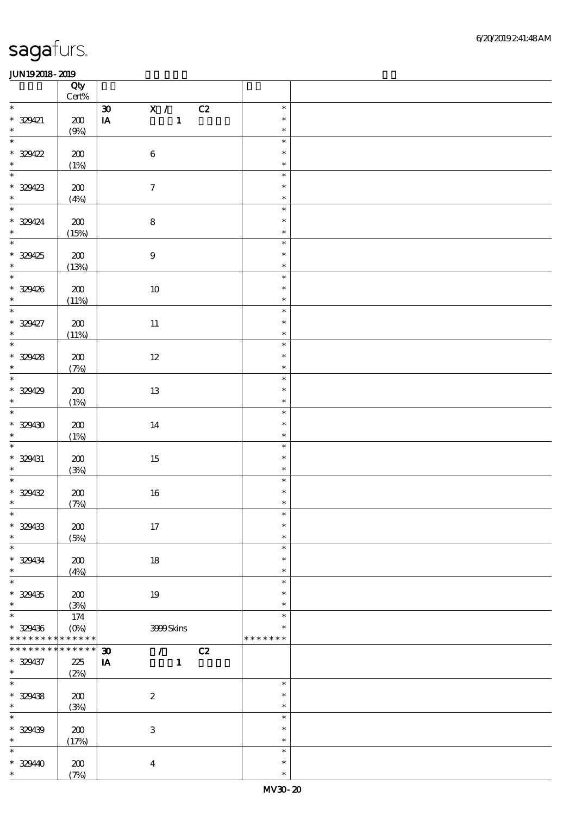|                          | Qty<br>$Cert\%$ |                                                    |               |  |
|--------------------------|-----------------|----------------------------------------------------|---------------|--|
|                          |                 |                                                    |               |  |
| $*$                      |                 | X / C2<br>$\boldsymbol{\mathfrak{D}}$              | $\ast$        |  |
| $* 329421$               | 200             | $\blacksquare$<br>$\mathbf{I} \mathbf{A}$          | $\ast$        |  |
| $\ast$                   | (9%)            |                                                    | $\ast$        |  |
|                          |                 |                                                    | $\ast$        |  |
|                          |                 |                                                    |               |  |
| * 329422                 | 200             | $\bf 6$                                            | $\ast$        |  |
| $\ast$                   | (1%)            |                                                    | $\ast$        |  |
|                          |                 |                                                    | $\ast$        |  |
|                          |                 |                                                    |               |  |
| $* 329423$               | 200             | $\boldsymbol{\tau}$                                | $\ast$        |  |
| $\ast$                   | (4%)            |                                                    | $\ast$        |  |
| $*$                      |                 |                                                    |               |  |
|                          |                 |                                                    | $\ast$        |  |
| $* 329424$               | 200             | $\bf8$                                             | $\ast$        |  |
| $\ast$                   | (15%)           |                                                    | $\ast$        |  |
|                          |                 |                                                    |               |  |
|                          |                 |                                                    | $\ast$        |  |
| $* 329425$               | 200             | $\boldsymbol{9}$                                   | $\ast$        |  |
| $\ast$                   |                 |                                                    | $\ast$        |  |
|                          | (13%)           |                                                    |               |  |
|                          |                 |                                                    | $\ast$        |  |
| * 329426                 | 200             | $10\,$                                             | $\ast$        |  |
| $\star$                  |                 |                                                    | $\ast$        |  |
|                          | (11%)           |                                                    |               |  |
| $*$                      |                 |                                                    | $\ast$        |  |
| $* 329427$               | 200             | $11\,$                                             | $\ast$        |  |
| $\ast$                   |                 |                                                    | $\ast$        |  |
|                          | (11%)           |                                                    |               |  |
| $\overline{\phantom{0}}$ |                 |                                                    | $\ast$        |  |
| * 329428                 | 200             | $12\,$                                             | $\ast$        |  |
|                          |                 |                                                    |               |  |
| $\ast$                   | (7%)            |                                                    | $\ast$        |  |
| $\overline{\ast}$        |                 |                                                    | $\ast$        |  |
| $* 329429$               | $200\,$         | $13\,$                                             | $\ast$        |  |
|                          |                 |                                                    |               |  |
| $\ast$                   | (1%)            |                                                    | $\ast$        |  |
| $\overline{\ast}$        |                 |                                                    | $\ast$        |  |
| $* 329430$               | 200             | $14\,$                                             | $\ast$        |  |
|                          |                 |                                                    |               |  |
| $\ast$                   | (1%)            |                                                    | $\ast$        |  |
| $\overline{\phantom{0}}$ |                 |                                                    | $\ast$        |  |
| $* 329431$               |                 |                                                    | $\ast$        |  |
|                          | 200             | 15                                                 |               |  |
| $\ast$                   | (3%)            |                                                    | $\ast$        |  |
|                          |                 |                                                    | $\ast$        |  |
| * 329432                 | ${\bf Z0}$      | $16\,$                                             | $\ast$        |  |
|                          |                 |                                                    |               |  |
| $\ast$                   | (7%)            |                                                    | $\ast$        |  |
| $\ast$                   |                 |                                                    |               |  |
| * 329433                 | 200             | $17\,$                                             | $\ast$        |  |
|                          |                 |                                                    |               |  |
| $\ast$                   | (5%)            |                                                    | $\ast$        |  |
| $\ast$                   |                 |                                                    | $\ast$        |  |
| * 329434                 |                 |                                                    | $\ast$        |  |
|                          | 200             | $18\,$                                             |               |  |
| $\ast$                   | (4%)            |                                                    | $\ast$        |  |
| $\overline{\ast}$        |                 |                                                    | $\ast$        |  |
| $* 329435$               | 200             | 19                                                 | $\ast$        |  |
|                          |                 |                                                    |               |  |
| $\ast$                   | (3%)            |                                                    | $\ast$        |  |
| $\ast$                   | 174             |                                                    | $\ast$        |  |
|                          |                 |                                                    | $\ast$        |  |
| * 329436                 | $(O\%)$         | 3999Skins                                          |               |  |
| * * * * * * * *          | * * * * * *     |                                                    | * * * * * * * |  |
| * * * * * * *            | * * * * * *     | $\boldsymbol{\mathfrak{D}}$<br>C2<br>$\mathcal{F}$ |               |  |
|                          | 225             | $\mathbf{1}$                                       |               |  |
| * 329437                 |                 | IA                                                 |               |  |
| $\ast$                   | (2%)            |                                                    |               |  |
| $\overline{\ast}$        |                 |                                                    | $\ast$        |  |
|                          |                 |                                                    | $\ast$        |  |
| $* 329438$               | $\pmb{30}$      | $\boldsymbol{z}$                                   |               |  |
| $\ast$                   | (3%)            |                                                    | $\ast$        |  |
| $\ast$                   |                 |                                                    | $\ast$        |  |
|                          |                 |                                                    |               |  |
| $* 329439$               | 200             | $\,3$                                              | $\ast$        |  |
| $\ast$                   | (17%)           |                                                    | $\ast$        |  |
| $\ast$                   |                 |                                                    | $\ast$        |  |
|                          |                 |                                                    |               |  |
| $* 32940$                | $\pmb{30}$      | $\boldsymbol{4}$                                   | $\ast$        |  |
| $\ast$                   | (7%)            |                                                    | $\ast$        |  |
|                          |                 |                                                    |               |  |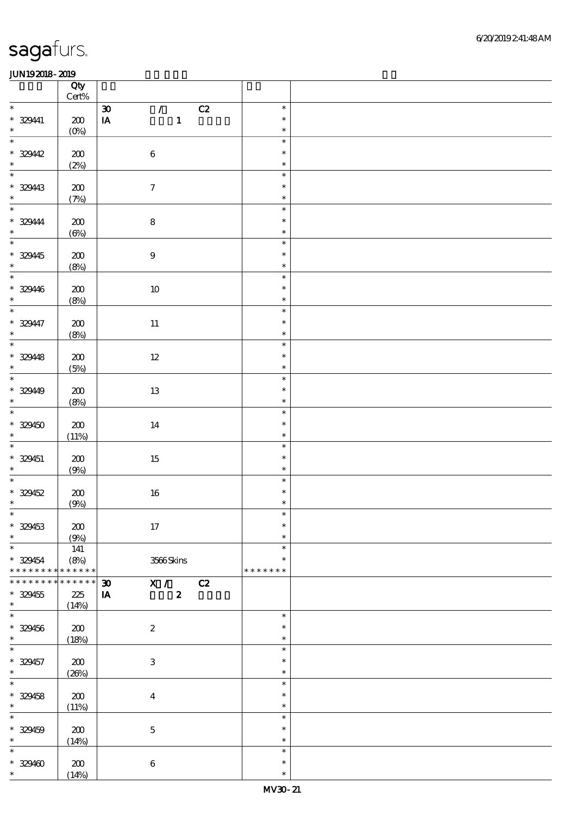|                                    | Qty<br>$\mbox{Cert\%}$ |                                                           |                         |  |
|------------------------------------|------------------------|-----------------------------------------------------------|-------------------------|--|
| $\ast$                             |                        | $\pmb{\mathfrak{D}}$<br>$\mathcal{T}^{\mathcal{A}}$<br>C2 | $\ast$                  |  |
| $* 32941$                          | $200\,$                | $\mathbf{1}$<br>$\mathbf{I}\mathbf{A}$                    | $\ast$                  |  |
| $\ast$                             | (0%)                   |                                                           | $\ast$                  |  |
| $\ast$<br>$* 32942$                |                        |                                                           | $\ast$<br>$\ast$        |  |
| $\ast$                             | $200\,$<br>(2%)        | $\,6\,$                                                   | $\ast$                  |  |
| $\ast$                             |                        |                                                           | $\ast$                  |  |
| $* 32943$                          | $200\,$                | $\boldsymbol{7}$                                          | $\ast$                  |  |
| $\overline{\ast}$                  | (7%)                   |                                                           | $\ast$<br>$\ast$        |  |
| * 329444                           | $200\,$                | $\bf 8$                                                   | $\ast$                  |  |
| $\ast$<br>$\overline{\ast}$        | $(\Theta)$             |                                                           | $\ast$<br>$\ast$        |  |
|                                    |                        |                                                           | $\ast$                  |  |
| $* 32945$<br>$\ast$                | $200\,$<br>(8%)        | $\boldsymbol{9}$                                          | $\ast$                  |  |
| $\overline{\phantom{0}}$           |                        |                                                           | $\ast$                  |  |
| $* 329446$                         | $\pmb{30}$             | $10\,$                                                    | $\ast$                  |  |
| $\ast$<br>$\overline{\phantom{0}}$ | (8%)                   |                                                           | $\ast$<br>$\ast$        |  |
| $* 329447$                         | 200                    | $11\,$                                                    | $\ast$                  |  |
| $\ast$                             | (8%)                   |                                                           | $\ast$                  |  |
| $\overline{\ast}$                  |                        |                                                           | $\ast$                  |  |
| $* 32948$<br>$\ast$                | $200\,$<br>(5%)        | $12\,$                                                    | $\ast$<br>$\ast$        |  |
| $\overline{\phantom{0}}$           |                        |                                                           | $\ast$                  |  |
| $* 32949$                          | $200\,$                | $13\,$                                                    | $\ast$                  |  |
| $\ast$<br>$\overline{\ast}$        | (8%)                   |                                                           | $\ast$<br>$\ast$        |  |
| $* 329450$                         | $200\,$                | 14                                                        | $\ast$                  |  |
| $\ast$                             | (11%)                  |                                                           | $\ast$                  |  |
| $\ast$                             |                        |                                                           | $\ast$<br>$\ast$        |  |
| $* 329451$<br>$\ast$               | $\pmb{30}$<br>(9%)     | $15\,$                                                    | $\ast$                  |  |
| $\ast$                             |                        |                                                           | $\ast$                  |  |
| * 329452                           | $\pmb{30}$             | $16\,$                                                    | $\ast$                  |  |
| $\ast$<br>$*$                      | (9%)                   |                                                           | $\ast$<br>$\ast$        |  |
| $* 329453$                         | 200                    | 17                                                        | $\ast$                  |  |
| $\ast$                             | (9%)                   |                                                           | $\ast$                  |  |
| $\ast$                             | 141                    |                                                           | $\ast$                  |  |
| $* 329454$<br>* * * * * * * *      | (8%)<br>* * * * * *    | 3566Skins                                                 | $\ast$<br>* * * * * * * |  |
| * * * * * * *                      | * * * * * *            | X /<br>$\boldsymbol{\mathfrak{D}}$<br>C2                  |                         |  |
| $* 329455$                         | 225                    | $\boldsymbol{z}$<br>$\mathbf{I}\mathbf{A}$                |                         |  |
| $\ast$                             | (14%)                  |                                                           |                         |  |
| $\overline{\ast}$                  |                        |                                                           | $\ast$                  |  |
| $* 329456$<br>$\ast$               | 200<br>(18%)           | $\boldsymbol{2}$                                          | $\ast$<br>$\ast$        |  |
| $\ast$                             |                        |                                                           | $\ast$                  |  |
| $* 329457$                         | 200                    | $\ensuremath{\mathbf{3}}$                                 | $\ast$                  |  |
| $\ast$<br>$\ast$                   | (20%)                  |                                                           | $\ast$<br>$\ast$        |  |
| $* 329458$                         | 200                    | $\boldsymbol{4}$                                          | $\ast$                  |  |
| $\ast$                             | (11%)                  |                                                           | $\ast$                  |  |
| $\ast$                             |                        |                                                           | $\ast$                  |  |
| $* 329459$<br>$\ast$               | 200                    | $\mathbf 5$                                               | $\ast$<br>$\ast$        |  |
| $\ast$                             | (14%)                  |                                                           | $\ast$                  |  |
| $* 329400$                         | 200                    | $\,6\,$                                                   | $\ast$                  |  |
| $\ast$                             | (14%)                  |                                                           | $\ast$                  |  |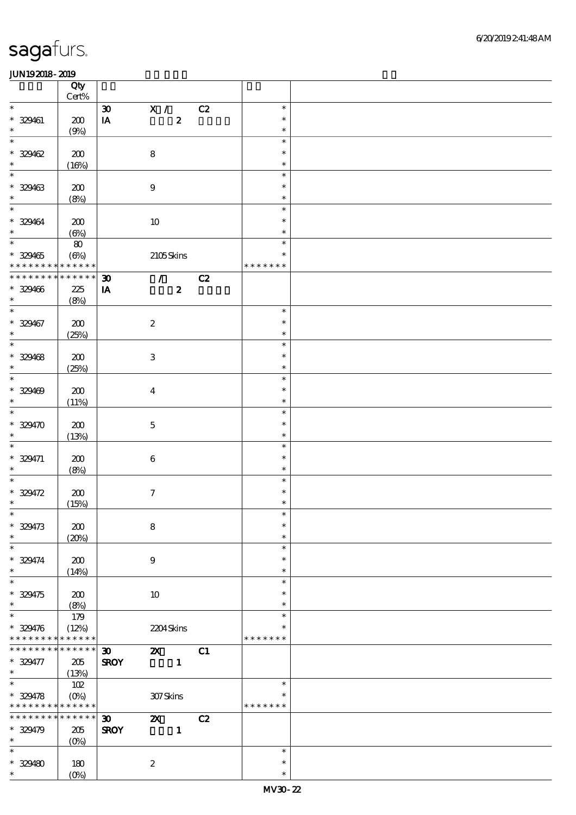|                                            | Qty                       |                             |                             |    |               |  |
|--------------------------------------------|---------------------------|-----------------------------|-----------------------------|----|---------------|--|
| $\ast$                                     | $\mbox{Cert}\%$           |                             |                             |    | $\ast$        |  |
|                                            |                           | $\pmb{\mathfrak{D}}$        | X / C2                      |    |               |  |
| $* 329461$<br>$\ast$                       | 200                       | $\mathbf{I}\mathbf{A}$      | $\boldsymbol{2}$            |    | $\ast$        |  |
| $\ast$                                     | (9%)                      |                             |                             |    | $\ast$        |  |
|                                            |                           |                             |                             |    | $\ast$        |  |
| $* 329462$                                 | 200                       |                             | $\bf 8$                     |    | $\ast$        |  |
| $\ast$                                     | (16%)                     |                             |                             |    | $\ast$        |  |
| $\ast$                                     |                           |                             |                             |    | $\ast$        |  |
| $* 329463$                                 | 200                       |                             | $\boldsymbol{9}$            |    | $\ast$        |  |
| $\ast$                                     | (8%)                      |                             |                             |    | $\ast$        |  |
| $\ast$                                     |                           |                             |                             |    | $\ast$        |  |
| $* 329464$                                 | 200                       |                             | 10                          |    | $\ast$        |  |
| $\ast$                                     | $(\Theta\%)$              |                             |                             |    | $\ast$        |  |
| $\ast$                                     | ${\bf 80}$                |                             |                             |    | $\ast$        |  |
| $* 329465$                                 | $(\Theta\%)$              |                             | 2105Skins                   |    | $\ast$        |  |
| * * * * * * * * <mark>* * * * * *</mark> * |                           |                             |                             |    | * * * * * * * |  |
| * * * * * * *                              | * * * * * *               | $\boldsymbol{\mathfrak{D}}$ | $\mathcal{T} = \mathcal{I}$ | C2 |               |  |
| $* 329406$                                 | 225                       | $\mathbf{I} \mathbf{A}$     | $\boldsymbol{z}$            |    |               |  |
| $\ast$                                     | (8%)                      |                             |                             |    |               |  |
| $\overline{\ast}$                          |                           |                             |                             |    | $\ast$        |  |
| $* 329467$                                 | 200                       |                             | $\boldsymbol{2}$            |    | $\ast$        |  |
| $\ast$                                     | (25%)                     |                             |                             |    | $\ast$        |  |
| $\ast$                                     |                           |                             |                             |    | $\ast$        |  |
| $* 329468$                                 | $200\,$                   |                             | $\,3\,$                     |    | $\ast$        |  |
| $\ast$                                     | (25%)                     |                             |                             |    | $\ast$        |  |
| $\ast$                                     |                           |                             |                             |    | $\ast$        |  |
| $* 329409$                                 | 200                       |                             | $\boldsymbol{4}$            |    | $\ast$        |  |
| $\ast$                                     |                           |                             |                             |    | $\ast$        |  |
| $\overline{\ast}$                          | (11%)                     |                             |                             |    | $\ast$        |  |
| $* 329470$                                 |                           |                             |                             |    | $\ast$        |  |
| $\ast$                                     | 200                       |                             | $\mathbf 5$                 |    |               |  |
| $\ast$                                     | (13%)                     |                             |                             |    | $\ast$        |  |
|                                            |                           |                             |                             |    | $\ast$        |  |
| $* 329471$                                 | 200                       |                             | $\bf 6$                     |    | $\ast$        |  |
| $\ast$                                     | (8%)                      |                             |                             |    | $\ast$        |  |
| $\ast$                                     |                           |                             |                             |    | $\ast$        |  |
| $* 329472$                                 | 200                       |                             | $\boldsymbol{7}$            |    | $\ast$        |  |
| $\ast$                                     | (15%)                     |                             |                             |    | $\ast$        |  |
| $*$                                        |                           |                             |                             |    | $\ast$        |  |
| $* 329473$                                 | 200                       |                             | $\bf 8$                     |    | $\ast$        |  |
| $\ast$                                     | (20%)                     |                             |                             |    | $\ast$        |  |
| $\ast$                                     |                           |                             |                             |    | $\ast$        |  |
| $* 329474$                                 | 200                       |                             | $\boldsymbol{9}$            |    | $\ast$        |  |
| $\ast$                                     | (14%)                     |                             |                             |    | $\ast$        |  |
| $\ast$                                     |                           |                             |                             |    | $\ast$        |  |
| $* 329475$                                 | 200                       |                             | $10\,$                      |    | $\ast$        |  |
| $\ast$                                     | (8%)                      |                             |                             |    | $\ast$        |  |
| $\ast$                                     | 179                       |                             |                             |    | $\ast$        |  |
| $* 329476$                                 | (12%)                     |                             | 2204Skins                   |    | $\ast$        |  |
| * * * * * * * *                            | * * * * * *               |                             |                             |    | * * * * * * * |  |
| * * * * * * * *                            | * * * * * *               | $\boldsymbol{\mathfrak{D}}$ | $\boldsymbol{\alpha}$       | C1 |               |  |
| * 329477                                   | 205                       | <b>SROY</b>                 | $\mathbf{1}$                |    |               |  |
| $\ast$                                     | (13%)                     |                             |                             |    |               |  |
| $\overline{\phantom{0}}$                   | 102                       |                             |                             |    | $\ast$        |  |
| $* 329478$                                 | $(O\!\!\!\!\!\!\!/\,\!o)$ |                             | 307Skins                    |    | $\ast$        |  |
| * * * * * * * * <mark>* * * * * *</mark> * |                           |                             |                             |    | * * * * * * * |  |
| * * * * * * * * * * * * * *                |                           | $\boldsymbol{\mathfrak{D}}$ | $\boldsymbol{\mathsf{z}}$   | C2 |               |  |
| $* 329479$                                 | $205\,$                   | <b>SROY</b>                 | $\mathbf{1}$                |    |               |  |
| $\ast$                                     | $(0\%)$                   |                             |                             |    |               |  |
| $\ast$                                     |                           |                             |                             |    | $\ast$        |  |
| $* 329480$                                 | 180                       |                             | $\boldsymbol{2}$            |    | $\ast$        |  |
| $\ast$                                     | $(O_0)$                   |                             |                             |    | $\ast$        |  |
|                                            |                           |                             |                             |    |               |  |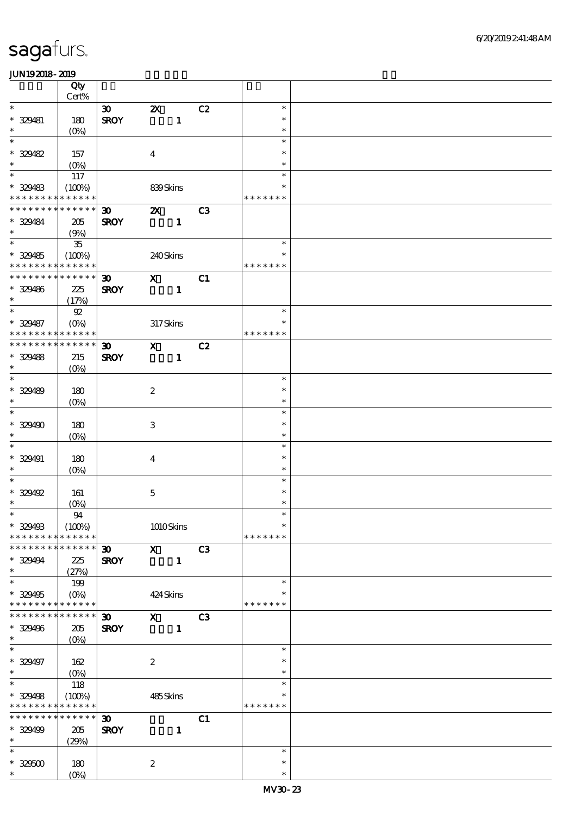|                                            | Qty         |                             |                           |              |                |               |  |
|--------------------------------------------|-------------|-----------------------------|---------------------------|--------------|----------------|---------------|--|
| $\ast$                                     | Cert%       |                             |                           |              |                | $\ast$        |  |
|                                            |             | $\boldsymbol{\mathfrak{D}}$ | $\boldsymbol{\mathsf{Z}}$ |              | C2             |               |  |
| * 329481                                   | 180         | <b>SROY</b>                 |                           | $\mathbf{1}$ |                | $\ast$        |  |
| $\ast$                                     | $(O\%)$     |                             |                           |              |                | $\ast$        |  |
| $\ast$                                     |             |                             |                           |              |                | $\ast$        |  |
| * 329482                                   | 157         |                             | $\boldsymbol{4}$          |              |                | $\ast$        |  |
| $\ast$                                     | $(O\%)$     |                             |                           |              |                | $\ast$        |  |
| $\ast$                                     | 117         |                             |                           |              |                | $\ast$        |  |
| $* 329483$                                 | (100%)      |                             | 839Skins                  |              |                | $\ast$        |  |
| * * * * * * * * <mark>* * * * * *</mark>   |             |                             |                           |              |                | * * * * * * * |  |
| * * * * * * * * * * * * * *                |             | $\boldsymbol{\mathfrak{D}}$ | $\boldsymbol{\mathsf{Z}}$ |              | C <sub>3</sub> |               |  |
| * 329484                                   | 205         | <b>SROY</b>                 |                           | $\mathbf{1}$ |                |               |  |
| $\ast$                                     | (9%)        |                             |                           |              |                |               |  |
| $\overline{\ast}$                          | ${\bf 35}$  |                             |                           |              |                | $\ast$        |  |
| $*329485$                                  |             |                             |                           |              |                | $\ast$        |  |
| * * * * * * * * <mark>* * * * * *</mark>   | (100%)      |                             | 240Skins                  |              |                | * * * * * * * |  |
| * * * * * * * * * * * * * *                |             |                             |                           |              |                |               |  |
|                                            |             | $\boldsymbol{\mathfrak{D}}$ | $\mathbf{x}$              |              | C1             |               |  |
| * 329486                                   | 225         | <b>SROY</b>                 |                           | $\mathbf{1}$ |                |               |  |
| $\ast$                                     | (17%)       |                             |                           |              |                |               |  |
| $\ast$                                     | 92          |                             |                           |              |                | $\ast$        |  |
| $* 329487$                                 | $(O\%)$     |                             | 317Skins                  |              |                | $\ast$        |  |
| * * * * * * * * <mark>* * * * * * *</mark> |             |                             |                           |              |                | * * * * * * * |  |
| * * * * * * * * * * * * * *                |             | $\boldsymbol{\mathfrak{D}}$ | $\mathbf{x}$              |              | C2             |               |  |
| * 329488                                   | 215         | <b>SROY</b>                 |                           | $\mathbf{1}$ |                |               |  |
| $\ast$                                     | $(O\%)$     |                             |                           |              |                |               |  |
| $\ast$                                     |             |                             |                           |              |                | $\ast$        |  |
| $* 329489$                                 | 180         |                             | $\boldsymbol{2}$          |              |                | $\ast$        |  |
| $\ast$                                     | $(O\%)$     |                             |                           |              |                | $\ast$        |  |
| $\ast$                                     |             |                             |                           |              |                | $\ast$        |  |
|                                            |             |                             |                           |              |                |               |  |
| * 329490                                   | 180         |                             | $\ensuremath{\mathbf{3}}$ |              |                | $\ast$        |  |
| $\ast$                                     | $(0\%)$     |                             |                           |              |                | $\ast$        |  |
| $\ast$                                     |             |                             |                           |              |                | $\ast$        |  |
| * 329491                                   | 180         |                             | $\boldsymbol{4}$          |              |                | $\ast$        |  |
| $\ast$                                     | $(O\%)$     |                             |                           |              |                | $\ast$        |  |
| $\ast$                                     |             |                             |                           |              |                | $\ast$        |  |
| * 329492                                   | 161         |                             | $\mathbf 5$               |              |                | $\ast$        |  |
| $\ast$                                     | $(O\%)$     |                             |                           |              |                | $\ast$        |  |
| $\ast$                                     | 94          |                             |                           |              |                |               |  |
| * 329498                                   | (100%)      |                             |                           | 1010Skins    |                | $\ast$        |  |
| * * * * * * * *                            | * * * * * * |                             |                           |              |                | * * * * * * * |  |
| * * * * * * * * * * * * * *                |             | $\boldsymbol{\mathfrak{D}}$ | $\mathbf{x}$              |              | C3             |               |  |
| $* 329494$                                 | 225         | <b>SROY</b>                 |                           | $\mathbf{1}$ |                |               |  |
| $\ast$                                     | (27%)       |                             |                           |              |                |               |  |
| $\ast$                                     |             |                             |                           |              |                | $\ast$        |  |
|                                            | 199         |                             |                           |              |                | $\ast$        |  |
| $* 329495$                                 | $(O\%)$     |                             | 424Skins                  |              |                |               |  |
| * * * * * * * * * * * * * *                |             |                             |                           |              |                | * * * * * * * |  |
| * * * * * * * *                            | * * * * * * | $\boldsymbol{\mathfrak{D}}$ | $\mathbf X$               |              | C <sub>3</sub> |               |  |
| * 329496                                   | 205         | <b>SROY</b>                 |                           | $\mathbf{1}$ |                |               |  |
| $\ast$                                     | $(0\%)$     |                             |                           |              |                |               |  |
| $\ast$                                     |             |                             |                           |              |                | $\ast$        |  |
| $* 329497$                                 | 162         |                             | $\boldsymbol{2}$          |              |                | $\ast$        |  |
| $\ast$                                     | $(O\%)$     |                             |                           |              |                | $\ast$        |  |
| $\ast$                                     | 118         |                             |                           |              |                | $\ast$        |  |
| * 329498                                   | (100%)      |                             | 485Skins                  |              |                | *             |  |
| * * * * * * * * * * * * * *                |             |                             |                           |              |                | * * * * * * * |  |
| * * * * * * * *                            | * * * * * * | $\boldsymbol{\mathfrak{D}}$ |                           |              | C1             |               |  |
| $* 329499$                                 | 205         | <b>SROY</b>                 |                           | $\mathbf{1}$ |                |               |  |
| $\ast$                                     |             |                             |                           |              |                |               |  |
| $\ast$                                     | (29%)       |                             |                           |              |                | $\ast$        |  |
|                                            |             |                             |                           |              |                |               |  |
| $* 329500$                                 | 180         |                             | $\boldsymbol{2}$          |              |                | $\ast$        |  |
| $\ast$                                     | $(O\%)$     |                             |                           |              |                | $\ast$        |  |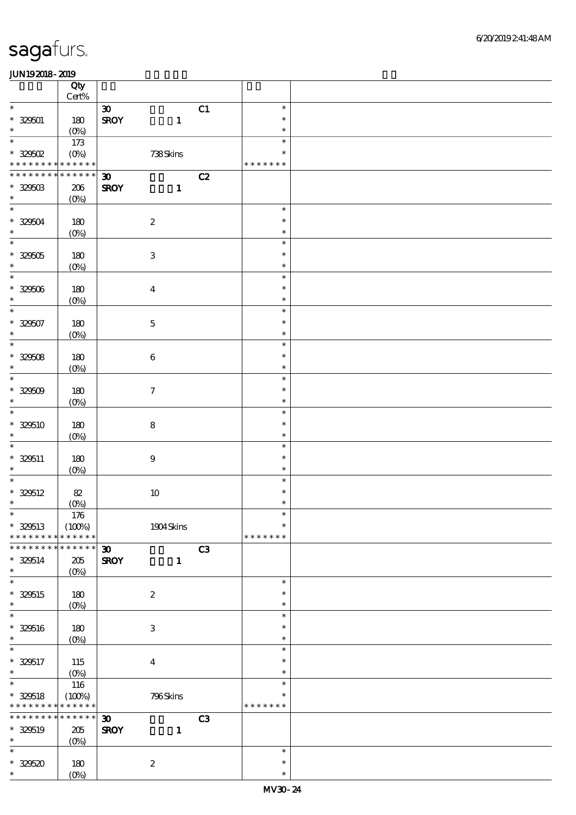|                                            | Qty                        |                             |                           |    |                  |  |
|--------------------------------------------|----------------------------|-----------------------------|---------------------------|----|------------------|--|
| $\ast$                                     | $\mbox{Cert}\%$            |                             |                           |    |                  |  |
|                                            |                            | $\boldsymbol{\mathfrak{D}}$ |                           | C1 | $\ast$           |  |
| $* 329501$<br>$\ast$                       | 180                        | <b>SROY</b>                 | $\mathbf{1}$              |    | $\ast$<br>$\ast$ |  |
| $\ast$                                     | $(O\!/\!o)$                |                             |                           |    | $\ast$           |  |
|                                            | 173                        |                             |                           |    | $\ast$           |  |
| $*32502$<br>* * * * * * * * * * * * * *    | $(0\%)$                    |                             | 738Skins                  |    | * * * * * * *    |  |
| * * * * * * * * * * * * * *                |                            |                             |                           |    |                  |  |
|                                            |                            | $\boldsymbol{\mathfrak{D}}$ |                           | C2 |                  |  |
| $^\ast$ 329503<br>$\ast$                   | 206                        | <b>SROY</b>                 | $\mathbf{1}$              |    |                  |  |
| $\overline{\ast}$                          | $(0\%)$                    |                             |                           |    |                  |  |
|                                            |                            |                             |                           |    | $\ast$           |  |
| $* 329504$                                 | 180                        |                             | $\boldsymbol{2}$          |    | $\ast$           |  |
| $\ast$                                     | $(0\%)$                    |                             |                           |    | $\ast$           |  |
| $\ast$                                     |                            |                             |                           |    | $\ast$           |  |
| $* 329505$                                 | 180                        |                             | $\ensuremath{\mathbf{3}}$ |    | $\ast$           |  |
| $\ast$<br>$\overline{\phantom{0}}$         | $(0\%)$                    |                             |                           |    | $\ast$           |  |
|                                            |                            |                             |                           |    | $\ast$           |  |
| $* 32506$                                  | 180                        |                             | $\boldsymbol{4}$          |    | $\ast$           |  |
| $\ast$<br>$\overline{\ast}$                | $(0\%)$                    |                             |                           |    | $\ast$           |  |
|                                            |                            |                             |                           |    | $\ast$           |  |
| $* 329507$                                 | 180                        |                             | $\mathbf 5$               |    | $\ast$           |  |
| $\ast$                                     | (0%)                       |                             |                           |    | $\ast$           |  |
| $\ast$                                     |                            |                             |                           |    | $\ast$           |  |
| $* 32508$                                  | 180                        |                             | $\,6\,$                   |    | $\ast$           |  |
| $\ast$<br>$\overline{\phantom{a}^*}$       | $(0\%)$                    |                             |                           |    | $\ast$           |  |
|                                            |                            |                             |                           |    | $\ast$           |  |
| $* 32509$                                  | 180                        |                             | $\boldsymbol{7}$          |    | $\ast$           |  |
| $\ast$                                     | $(0\%)$                    |                             |                           |    | $\ast$           |  |
| $\overline{\ast}$                          |                            |                             |                           |    | $\ast$           |  |
| $* 320510$                                 | 180                        |                             | $\bf 8$                   |    | $\ast$           |  |
| $\ast$                                     | $(0\%)$                    |                             |                           |    | $\ast$           |  |
| $\ast$                                     |                            |                             |                           |    | $\ast$           |  |
| $* 320511$                                 | 180                        |                             | $\boldsymbol{9}$          |    | $\ast$           |  |
| $\ast$                                     | $(0\%)$                    |                             |                           |    | $\ast$           |  |
| $\ast$                                     |                            |                             |                           |    | $\ast$           |  |
| $* 320512$                                 | $8\!2$                     |                             | 10                        |    | $\ast$           |  |
| $\ast$<br>$*$                              | $(0\%)$                    |                             |                           |    | $\ast$<br>$\ast$ |  |
|                                            | 176                        |                             |                           |    |                  |  |
| $* 329513$                                 | (100%)                     |                             | 1904 Skins                |    | $\ast$           |  |
| * * * * * * * *                            | * * * * * *<br>* * * * * * |                             |                           |    | * * * * * * *    |  |
| * * * * * * * *                            |                            | $\boldsymbol{\mathfrak{D}}$ |                           | C3 |                  |  |
| $* 320514$                                 | 205                        | <b>SROY</b>                 | $\mathbf{1}$              |    |                  |  |
| $\ast$<br>$\ast$                           | $(0\%)$                    |                             |                           |    |                  |  |
|                                            |                            |                             |                           |    | $\ast$<br>$\ast$ |  |
| $* 320515$<br>$\ast$                       | 180                        |                             | $\boldsymbol{2}$          |    | $\ast$           |  |
| $\ast$                                     | $(0\%)$                    |                             |                           |    | $\ast$           |  |
|                                            |                            |                             |                           |    | $\ast$           |  |
| $* 320516$<br>$\ast$                       | 180                        |                             | $\,3$                     |    | $\ast$           |  |
| $\ast$                                     | $(0\%)$                    |                             |                           |    | $\ast$           |  |
|                                            |                            |                             |                           |    | $\ast$           |  |
| $* 329517$<br>$\ast$                       | 115                        |                             | $\boldsymbol{4}$          |    | $\ast$           |  |
| $\overline{\phantom{a}^*}$                 | $(0\%)$<br>116             |                             |                           |    | $\ast$           |  |
| $* 320518$                                 | (100%)                     |                             | 796Skins                  |    | $\ast$           |  |
| * * * * * * * * <mark>* * * * * *</mark> * |                            |                             |                           |    | * * * * * * *    |  |
| * * * * * * * * * * * * * *                |                            | $\boldsymbol{\mathfrak{D}}$ |                           | C3 |                  |  |
| $* 329519$                                 | 205                        | <b>SROY</b>                 | $\mathbf{1}$              |    |                  |  |
| $\ast$                                     | $(0\%)$                    |                             |                           |    |                  |  |
| $\ast$                                     |                            |                             |                           |    | $\ast$           |  |
| $* 32520$                                  | 180                        |                             | $\boldsymbol{2}$          |    | $\ast$           |  |
| $\ast$                                     | $(0\%)$                    |                             |                           |    | $\ast$           |  |
|                                            |                            |                             |                           |    |                  |  |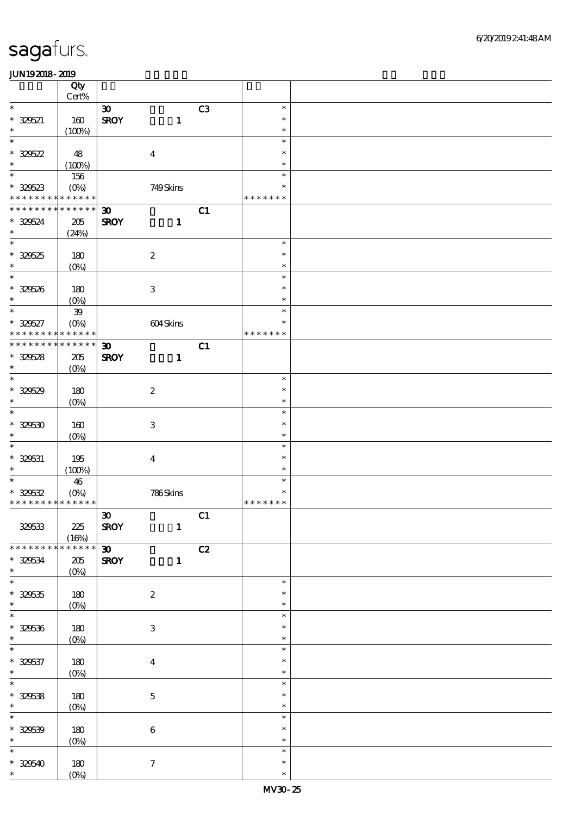|                             | Qty<br>Cert%     |                             |                           |              |    |               |  |
|-----------------------------|------------------|-----------------------------|---------------------------|--------------|----|---------------|--|
| $\ast$                      |                  |                             |                           |              |    | $\ast$        |  |
|                             |                  | $\boldsymbol{\mathfrak{D}}$ |                           |              | C3 |               |  |
| $* 329521$                  | 160              | <b>SROY</b>                 |                           | $\mathbf{1}$ |    | $\ast$        |  |
| $\ast$                      | (100%)           |                             |                           |              |    | $\ast$        |  |
| $\ast$                      |                  |                             |                           |              |    | $\ast$        |  |
| $* 325622$                  | 48               |                             | $\boldsymbol{4}$          |              |    | $\ast$        |  |
| $\ast$                      |                  |                             |                           |              |    | $\ast$        |  |
|                             | (100%)           |                             |                           |              |    |               |  |
| $\overline{\phantom{0}}$    | 156              |                             |                           |              |    | $\ast$        |  |
| $* 32523$                   | $(O\%)$          |                             | 749Skins                  |              |    | $\ast$        |  |
| * * * * * * * * * * * * * * |                  |                             |                           |              |    | * * * * * * * |  |
| * * * * * * * * * * * * * * |                  | $\boldsymbol{\mathfrak{D}}$ |                           |              | C1 |               |  |
|                             |                  |                             |                           |              |    |               |  |
| $* 329524$                  | 205              | <b>SROY</b>                 |                           | $\mathbf{1}$ |    |               |  |
| $\ast$                      | (24%)            |                             |                           |              |    |               |  |
| $\overline{\phantom{a}^*}$  |                  |                             |                           |              |    | $\ast$        |  |
| $* 32525$                   | 180              |                             | $\boldsymbol{2}$          |              |    | $\ast$        |  |
| $\ast$                      |                  |                             |                           |              |    | $\ast$        |  |
| $\overline{\ast}$           | $(O\%)$          |                             |                           |              |    |               |  |
|                             |                  |                             |                           |              |    | $\ast$        |  |
| $* 329526$                  | 180              |                             | $\ensuremath{\mathbf{3}}$ |              |    | $\ast$        |  |
| $\ast$                      | $(O_0)$          |                             |                           |              |    | $\ast$        |  |
| $\overline{\phantom{0}}$    | ${\bf 39}$       |                             |                           |              |    | $\ast$        |  |
|                             |                  |                             |                           |              |    | $\ast$        |  |
| $* 329527$                  | $(O\%)$          |                             | 604Skins                  |              |    |               |  |
| * * * * * * * *             | * * * * * *      |                             |                           |              |    | * * * * * * * |  |
| * * * * * * * * * * * * * * |                  | $\boldsymbol{\mathfrak{D}}$ |                           |              | C1 |               |  |
| $* 32528$                   | 205              | <b>SROY</b>                 |                           | $\mathbf{1}$ |    |               |  |
| $\ast$                      | $(O\%)$          |                             |                           |              |    |               |  |
| $\overline{\phantom{0}}$    |                  |                             |                           |              |    |               |  |
|                             |                  |                             |                           |              |    | $\ast$        |  |
| $* 329529$                  | 180              |                             | $\boldsymbol{2}$          |              |    | $\ast$        |  |
| $\ast$                      | $(O\!/\!\delta)$ |                             |                           |              |    | $\ast$        |  |
| $\ast$                      |                  |                             |                           |              |    | $\ast$        |  |
| $* 329530$                  |                  |                             |                           |              |    | $\ast$        |  |
|                             | 160              |                             | 3                         |              |    |               |  |
| $\ast$                      | $(0\%)$          |                             |                           |              |    | $\ast$        |  |
| $\ast$                      |                  |                             |                           |              |    | $\ast$        |  |
| $* 329531$                  | 195              |                             | $\boldsymbol{4}$          |              |    | $\ast$        |  |
| $\ast$                      | (100%)           |                             |                           |              |    | $\ast$        |  |
| $\ast$                      |                  |                             |                           |              |    | $\ast$        |  |
|                             | 46               |                             |                           |              |    |               |  |
| $* 329532$                  | $(O\!/\!o)$      |                             | 786Skins                  |              |    | $\ast$        |  |
| * * * * * * * * * * * * * * |                  |                             |                           |              |    | * * * * * * * |  |
|                             |                  | $\boldsymbol{\mathfrak{D}}$ |                           |              | C1 |               |  |
| 329533                      | $225\,$          | <b>SROY</b>                 |                           |              |    |               |  |
|                             |                  |                             |                           | $\mathbf{1}$ |    |               |  |
|                             | (16%)            |                             |                           |              |    |               |  |
| * * * * * * * *             | * * * * * *      | 30 <sub>2</sub>             |                           |              | C2 |               |  |
| $* 329534$                  | 205              | <b>SROY</b>                 |                           | $\mathbf{1}$ |    |               |  |
| $\ast$                      | (0%)             |                             |                           |              |    |               |  |
| $\overline{\ast}$           |                  |                             |                           |              |    | $\ast$        |  |
|                             |                  |                             |                           |              |    | $\ast$        |  |
| $* 329535$                  | 180              |                             | $\boldsymbol{2}$          |              |    |               |  |
| $\ast$                      | $(0\%)$          |                             |                           |              |    | $\ast$        |  |
| $\ast$                      |                  |                             |                           |              |    | $\ast$        |  |
| $* 32536$                   | $180$            |                             | $\,3$                     |              |    | $\ast$        |  |
| $\ast$                      | $(0\%)$          |                             |                           |              |    | $\ast$        |  |
| $\ast$                      |                  |                             |                           |              |    |               |  |
|                             |                  |                             |                           |              |    | $\ast$        |  |
| $* 329537$                  | 180              |                             | $\boldsymbol{4}$          |              |    | $\ast$        |  |
| $\ast$                      | $(0\%)$          |                             |                           |              |    | $\ast$        |  |
| $\ast$                      |                  |                             |                           |              |    | $\ast$        |  |
| $* 32538$                   |                  |                             |                           |              |    | $\ast$        |  |
|                             | 180              |                             | $\mathbf 5$               |              |    |               |  |
| $\ast$                      | $(0\%)$          |                             |                           |              |    | $\ast$        |  |
| $\ast$                      |                  |                             |                           |              |    | $\ast$        |  |
| $* 325539$                  | 180              |                             | $\,6\,$                   |              |    | $\ast$        |  |
| $\ast$                      | $(0\%)$          |                             |                           |              |    | $\ast$        |  |
| $\ast$                      |                  |                             |                           |              |    | $\ast$        |  |
|                             |                  |                             |                           |              |    |               |  |
| $* 329540$                  | 180              |                             | $\boldsymbol{\tau}$       |              |    | $\ast$        |  |
| $\ast$                      | $(0\%)$          |                             |                           |              |    | $\ast$        |  |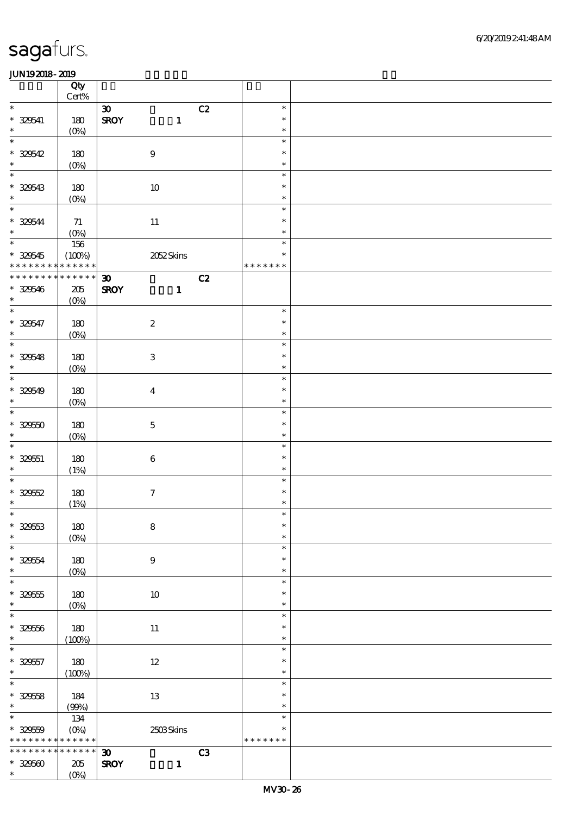|                                            | Qty<br>Cert%              |                             |    |               |  |
|--------------------------------------------|---------------------------|-----------------------------|----|---------------|--|
| $\ast$                                     |                           | $\boldsymbol{\mathfrak{D}}$ | C2 | $\ast$        |  |
| * 329541                                   | 180                       | <b>SROY</b><br>$\mathbf{1}$ |    | $\ast$        |  |
| $\ast$                                     |                           |                             |    | $\ast$        |  |
| $\ast$                                     | $(0\%)$                   |                             |    | $\ast$        |  |
|                                            |                           |                             |    |               |  |
| $* 329542$                                 | 180                       | $\boldsymbol{9}$            |    | $\ast$        |  |
| $\ast$                                     | $(O\%)$                   |                             |    | $\ast$        |  |
| $\overline{\ast}$                          |                           |                             |    | $\ast$        |  |
| $* 329543$                                 | 180                       | 10                          |    | $\ast$        |  |
| $\ast$                                     | $(0\%)$                   |                             |    | $\ast$        |  |
| $\ast$                                     |                           |                             |    | $\ast$        |  |
| $* 329544$                                 | 71                        |                             |    | $\ast$        |  |
| $\ast$                                     |                           | $11\,$                      |    | $\ast$        |  |
| $\overline{\phantom{a}^*}$                 | (0%)                      |                             |    |               |  |
|                                            | 156                       |                             |    | $\ast$        |  |
| $* 329545$                                 | (100%)                    | 2052 Skins                  |    | $\ast$        |  |
| * * * * * * * *                            | $******$                  |                             |    | * * * * * * * |  |
| * * * * * * * * * * * * * *                |                           | $\boldsymbol{\mathfrak{D}}$ | C2 |               |  |
| $* 329546$                                 | 205                       | <b>SROY</b><br>$\mathbf{1}$ |    |               |  |
| $\ast$                                     | $(O\%)$                   |                             |    |               |  |
| $\overline{\ast}$                          |                           |                             |    | $\ast$        |  |
| $* 329547$                                 | 180                       |                             |    | $\ast$        |  |
| $\ast$                                     |                           | $\boldsymbol{z}$            |    |               |  |
| $\overline{\phantom{a}}$                   | $(0\%)$                   |                             |    | $\ast$        |  |
|                                            |                           |                             |    | $\ast$        |  |
| $* 329548$                                 | 180                       | $\ensuremath{\mathbf{3}}$   |    | $\ast$        |  |
| $\ast$                                     | $(O\%)$                   |                             |    | $\ast$        |  |
| $\overline{\phantom{0}}$                   |                           |                             |    | $\ast$        |  |
| $* 329549$                                 | 180                       | $\boldsymbol{4}$            |    | $\ast$        |  |
| $\ast$                                     | $(O\!/\!\delta)$          |                             |    | $\ast$        |  |
| $\ast$                                     |                           |                             |    | $\ast$        |  |
| $* 32950$                                  |                           |                             |    | $\ast$        |  |
|                                            | 180                       | $\mathbf 5$                 |    |               |  |
| $\ast$                                     | $(0\%)$                   |                             |    | $\ast$        |  |
| $\ast$                                     |                           |                             |    | $\ast$        |  |
| $* 329551$                                 | 180                       | $\,6\,$                     |    | $\ast$        |  |
| $\ast$                                     | (1%)                      |                             |    | $\ast$        |  |
| $\ast$                                     |                           |                             |    | $\ast$        |  |
| $* 329552$                                 | 180                       | $\boldsymbol{7}$            |    | $\ast$        |  |
| $\ast$                                     | (1%)                      |                             |    | $\ast$        |  |
| $\ast$                                     |                           |                             |    | $\ast$        |  |
| $* 32953$                                  | $180$                     | $\bf 8$                     |    | $\ast$        |  |
| $\ast$                                     |                           |                             |    | $\ast$        |  |
| $\ast$                                     | $(0\%)$                   |                             |    |               |  |
|                                            |                           |                             |    | $\ast$        |  |
| $* 329554$                                 | 180                       | $\boldsymbol{9}$            |    | $\ast$        |  |
| $\ast$                                     | $(0\%)$                   |                             |    | $\ast$        |  |
| $\ast$                                     |                           |                             |    | $\ast$        |  |
| $* 329555$                                 | 180                       | $10\,$                      |    | $\ast$        |  |
| $\ast$                                     | $(O\%)$                   |                             |    | $\ast$        |  |
| $\ast$                                     |                           |                             |    | $\ast$        |  |
| $* 329566$                                 | $180$                     | $11\,$                      |    | $\ast$        |  |
| $\ast$                                     | (100%)                    |                             |    | $\ast$        |  |
| $\ast$                                     |                           |                             |    | $\ast$        |  |
|                                            |                           |                             |    |               |  |
| $* 329557$                                 | 180                       | $12\,$                      |    | $\ast$        |  |
| $\ast$                                     | (100%)                    |                             |    | $\ast$        |  |
| $\ast$                                     |                           |                             |    | $\ast$        |  |
| $* 329558$                                 | 184                       | 13                          |    | $\ast$        |  |
| $\ast$                                     | (90%)                     |                             |    | $\ast$        |  |
| $\ast$                                     | 134                       |                             |    | $\ast$        |  |
| $* 329559$                                 | $(O\!\!\!\!\!\!\!/\,\!o)$ | 2503Skins                   |    | $\ast$        |  |
| * * * * * * * * <mark>* * * * * * *</mark> |                           |                             |    | * * * * * * * |  |
| * * * * * * * *                            | $******$                  | $\boldsymbol{\mathfrak{D}}$ | C3 |               |  |
|                                            |                           |                             |    |               |  |
| $* 329500$                                 | 205                       | <b>SROY</b><br>$\mathbf{1}$ |    |               |  |
| $\ast$                                     | $(O\%)$                   |                             |    |               |  |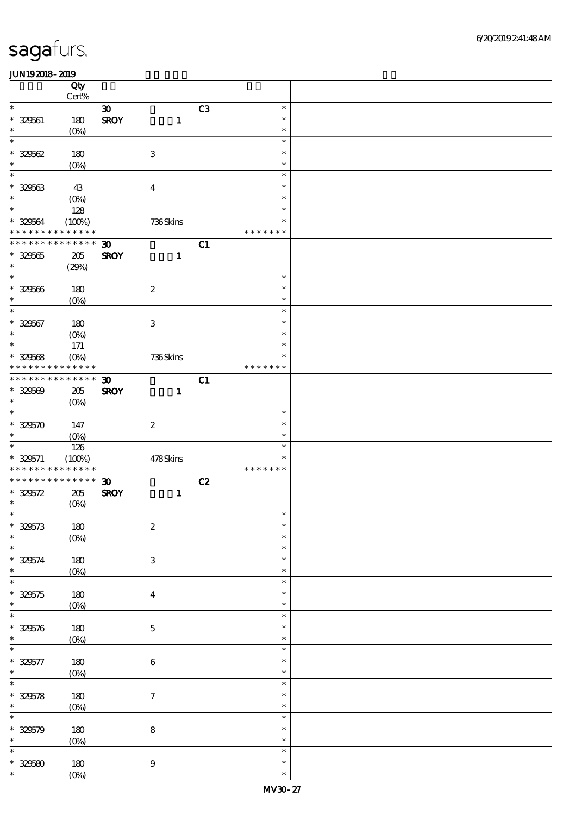|                                           | Qty<br>Cert%       |                             |                           |    |                  |  |
|-------------------------------------------|--------------------|-----------------------------|---------------------------|----|------------------|--|
| $\ast$                                    |                    | $\boldsymbol{\mathfrak{D}}$ |                           | C3 | $\ast$           |  |
|                                           |                    |                             |                           |    |                  |  |
| $* 329561$                                | 180                | <b>SROY</b>                 | $\mathbf{1}$              |    | $\ast$           |  |
| $\ast$                                    | $(O\!/\!\!\delta)$ |                             |                           |    | $\ast$           |  |
| $\ast$                                    |                    |                             |                           |    | $\ast$           |  |
| $* 32562$                                 | 180                |                             | $\,3$                     |    | $\ast$           |  |
| $\ast$                                    | $(0\%)$            |                             |                           |    | $\ast$           |  |
| $\ast$                                    |                    |                             |                           |    | $\ast$           |  |
|                                           |                    |                             |                           |    |                  |  |
| $* 329563$                                | 43                 |                             | $\boldsymbol{4}$          |    | $\ast$           |  |
| $\ast$                                    | $(O\%)$            |                             |                           |    | $\ast$           |  |
| $\ast$                                    | 128                |                             |                           |    | $\ast$           |  |
|                                           |                    |                             |                           |    | $\ast$           |  |
| $* 329564$                                | (100%)             |                             | 736Skins                  |    |                  |  |
| * * * * * * * *                           | * * * * * *        |                             |                           |    | * * * * * * *    |  |
| * * * * * * * * * * * * * *               |                    | $\boldsymbol{\mathfrak{D}}$ |                           | C1 |                  |  |
| $* 329565$                                | 205                | <b>SROY</b>                 | $\mathbf{1}$              |    |                  |  |
| $\ast$                                    | (29%)              |                             |                           |    |                  |  |
| $\ast$                                    |                    |                             |                           |    | $\ast$           |  |
|                                           |                    |                             |                           |    |                  |  |
| $* 329566$                                | 180                |                             | $\boldsymbol{2}$          |    | $\ast$           |  |
| $\ast$                                    | $(O\%)$            |                             |                           |    | $\ast$           |  |
| $\ast$                                    |                    |                             |                           |    | $\ast$           |  |
| $* 329567$                                | 180                |                             | $\ensuremath{\mathbf{3}}$ |    | $\ast$           |  |
| $\ast$                                    |                    |                             |                           |    |                  |  |
|                                           | $(O\%)$            |                             |                           |    | $\ast$           |  |
| $\overline{\phantom{0}}$                  | $171$              |                             |                           |    | $\ast$           |  |
| $* 329568$                                | $(O\%)$            |                             | 736Skins                  |    | $\ast$           |  |
| * * * * * * * *                           | $******$           |                             |                           |    | * * * * * * *    |  |
| * * * * * * * *                           | * * * * * *        | $\boldsymbol{\mathfrak{D}}$ |                           | C1 |                  |  |
|                                           |                    |                             |                           |    |                  |  |
| $* 329569$                                | 205                | <b>SROY</b>                 | $\mathbf{1}$              |    |                  |  |
| $\ast$                                    | $(O\%)$            |                             |                           |    |                  |  |
| $\ast$                                    |                    |                             |                           |    | $\ast$           |  |
| $* 329570$                                | 147                |                             | $\boldsymbol{2}$          |    | $\ast$           |  |
|                                           |                    |                             |                           |    |                  |  |
| $\ast$                                    | $(0\%)$            |                             |                           |    | $\ast$           |  |
|                                           |                    |                             |                           |    |                  |  |
| $\ast$                                    | 126                |                             |                           |    | $\ast$           |  |
|                                           |                    |                             |                           |    | $\ast$           |  |
| $* 329571$<br>* * * * * * * * * * * * * * | (100%)             |                             | 478Skins                  |    | * * * * * * *    |  |
|                                           |                    |                             |                           |    |                  |  |
| * * * * * * * * * * * * * *               |                    | $\boldsymbol{\mathfrak{D}}$ |                           | C2 |                  |  |
| $* 329572$                                | 205                | <b>SROY</b>                 | $\mathbf{1}$              |    |                  |  |
| $\ast$                                    | $(0\%)$            |                             |                           |    |                  |  |
| $\ast$                                    |                    |                             |                           |    | $\ast$           |  |
|                                           |                    |                             |                           |    | $\ast$           |  |
| $* 329573$                                | $180$              |                             | $\boldsymbol{2}$          |    | $\ast$           |  |
| $\ast$                                    | $(0\%)$            |                             |                           |    |                  |  |
| $\ast$                                    |                    |                             |                           |    | $\ast$           |  |
| $* 329574$                                | 180                |                             | $\ensuremath{\mathbf{3}}$ |    | $\ast$           |  |
| $\ast$                                    |                    |                             |                           |    | $\ast$           |  |
| $\ast$                                    | $(0\%)$            |                             |                           |    | $\ast$           |  |
|                                           |                    |                             |                           |    | $\ast$           |  |
| $* 329575$                                | 180                |                             | $\boldsymbol{4}$          |    |                  |  |
| $\ast$                                    | $(0\%)$            |                             |                           |    | $\ast$           |  |
| $\ast$                                    |                    |                             |                           |    | $\ast$           |  |
|                                           | $180$              |                             |                           |    | $\ast$           |  |
| $* 329576$<br>$\ast$                      |                    |                             | $\mathbf 5$               |    | $\ast$           |  |
| $\ast$                                    | $(0\%)$            |                             |                           |    |                  |  |
|                                           |                    |                             |                           |    | $\ast$           |  |
| $* 329577$                                | 180                |                             | $\,6\,$                   |    | $\ast$           |  |
| $\ast$                                    | (0%)               |                             |                           |    | $\ast$           |  |
| $\ast$                                    |                    |                             |                           |    | $\ast$           |  |
|                                           |                    |                             |                           |    | $\ast$           |  |
| $* 329578$                                | 180                |                             | $\boldsymbol{7}$          |    |                  |  |
| $\ast$                                    | (0%)               |                             |                           |    | $\ast$           |  |
| $\ast$                                    |                    |                             |                           |    | $\ast$           |  |
| $* 329579$                                | 180                |                             |                           |    | $\ast$           |  |
| $\ast$                                    |                    |                             | $\bf 8$                   |    | $\ast$           |  |
| $\ast$                                    | (0%)               |                             |                           |    |                  |  |
|                                           |                    |                             |                           |    | $\ast$           |  |
| $* 329580$<br>$\ast$                      | 180<br>$(0\%)$     |                             | $9\,$                     |    | $\ast$<br>$\ast$ |  |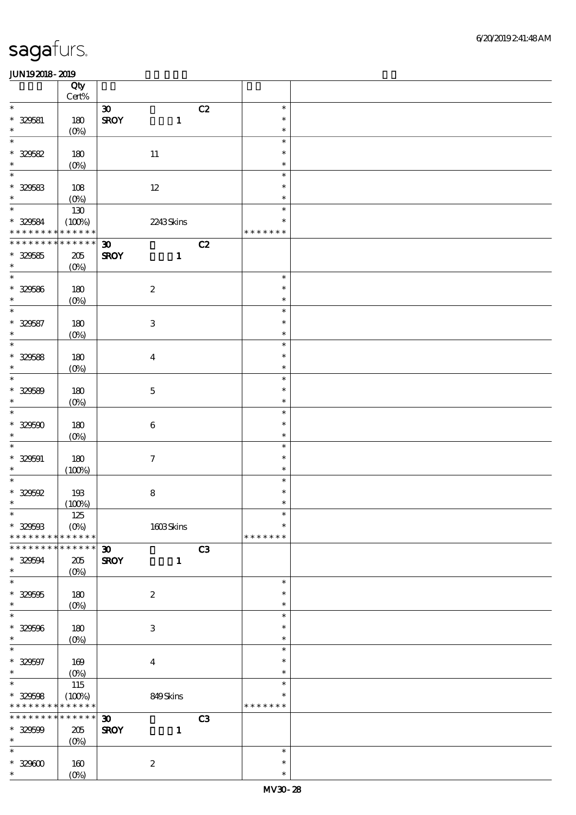|                                            | Qty<br>$Cert\%$ |                             |                           |    |                  |  |
|--------------------------------------------|-----------------|-----------------------------|---------------------------|----|------------------|--|
| $\ast$                                     |                 | $\boldsymbol{\mathfrak{D}}$ |                           | C2 | $\ast$           |  |
| $* 329581$                                 | 180             | <b>SROY</b>                 | $\mathbf{1}$              |    | $\ast$           |  |
| $\ast$                                     | $(0\%)$         |                             |                           |    | $\ast$           |  |
| $\ast$                                     |                 |                             |                           |    | $\ast$           |  |
| $* 32562$                                  | 180             |                             | $11\,$                    |    | $\ast$           |  |
| $\ast$                                     | $(0\%)$         |                             |                           |    | $\ast$           |  |
| $\ast$                                     |                 |                             |                           |    | $\ast$           |  |
| $* 329583$                                 | 108             |                             | $12\,$                    |    | $\ast$           |  |
| $\ast$                                     | $(O\%)$         |                             |                           |    | $\ast$           |  |
| $\ast$                                     | 130             |                             |                           |    | $\ast$           |  |
| $* 329584$                                 | (100%)          |                             | 2243Skins                 |    | $\ast$           |  |
| * * * * * * * * <mark>* * * * * *</mark>   |                 |                             |                           |    | * * * * * * *    |  |
| * * * * * * * *                            | * * * * * *     | $\boldsymbol{\mathfrak{D}}$ |                           | C2 |                  |  |
| $* 329585$<br>$\ast$                       | $205\,$         | <b>SROY</b>                 | $\mathbf{1}$              |    |                  |  |
| $\ast$                                     | $(O\%)$         |                             |                           |    | $\ast$           |  |
| $* 320586$                                 | 180             |                             |                           |    | $\ast$           |  |
| $\ast$                                     | $(0\%)$         |                             | $\boldsymbol{2}$          |    | $\ast$           |  |
| $\ast$                                     |                 |                             |                           |    | $\ast$           |  |
| $* 329587$                                 | 180             |                             | $\ensuremath{\mathbf{3}}$ |    | $\ast$           |  |
| $\ast$                                     | $(0\%)$         |                             |                           |    | $\ast$           |  |
| $\overline{\ast}$                          |                 |                             |                           |    | $\ast$           |  |
| $* 325688$                                 | 180             |                             | $\boldsymbol{4}$          |    | $\ast$           |  |
| $\ast$                                     | $(0\%)$         |                             |                           |    | $\ast$           |  |
| $\ast$                                     |                 |                             |                           |    | $\ast$           |  |
| $* 329589$                                 | 180             |                             | $\mathbf 5$               |    | $\ast$           |  |
| $\ast$                                     | $(O\!/\!o)$     |                             |                           |    | $\ast$           |  |
| $\ast$                                     |                 |                             |                           |    | $\ast$           |  |
| $* 329500$                                 | 180             |                             | $\boldsymbol{6}$          |    | $\ast$           |  |
| $\ast$                                     | $(0\%)$         |                             |                           |    | $\ast$           |  |
| $\ast$                                     |                 |                             |                           |    | $\ast$<br>$\ast$ |  |
| $* 329591$<br>$\ast$                       | 180             |                             | $\boldsymbol{7}$          |    | $\ast$           |  |
| $\ast$                                     | (100%)          |                             |                           |    | $\ast$           |  |
| $\hspace{0.1cm}^*$ 329592                  | 193             |                             | $\bf8$                    |    | $\ast$           |  |
| $\ast$                                     | (100%)          |                             |                           |    | $\ast$           |  |
| $*$                                        | $125\,$         |                             |                           |    | $\ast$           |  |
| $* 329503$                                 | $(O\%)$         |                             | $1608$ Skins              |    | $\ast$           |  |
| * * * * * * * *                            | $* * * * * * *$ |                             |                           |    | * * * * * * *    |  |
| * * * * * * * *                            | $******$        | $\boldsymbol{\mathfrak{D}}$ |                           | C3 |                  |  |
| $* 329594$                                 | 205             | <b>SROY</b>                 | $\mathbf{1}$              |    |                  |  |
| $\ast$                                     | $(O\%)$         |                             |                           |    |                  |  |
| $\ast$                                     |                 |                             |                           |    | $\ast$           |  |
| $* 329505$<br>$\ast$                       | 180             |                             | $\boldsymbol{2}$          |    | $\ast$<br>$\ast$ |  |
| $\ast$                                     | $(O\%)$         |                             |                           |    | $\ast$           |  |
| $* 329596$                                 | 180             |                             | $\ensuremath{\mathbf{3}}$ |    | $\ast$           |  |
| $\ast$                                     | $(O\%)$         |                             |                           |    | $\ast$           |  |
| $\ast$                                     |                 |                             |                           |    | $\ast$           |  |
| $* 329597$                                 | 169             |                             | $\boldsymbol{4}$          |    | $\ast$           |  |
| $\ast$                                     | $(0\%)$         |                             |                           |    | $\ast$           |  |
| $\ast$                                     | 115             |                             |                           |    | $\ast$           |  |
| $* 32568$                                  | (100%)          |                             | 849Skins                  |    | $\ast$           |  |
| * * * * * * * * <mark>* * * * * * *</mark> |                 |                             |                           |    | * * * * * * *    |  |
| * * * * * * * * * * * * * *                |                 | $\boldsymbol{\mathfrak{D}}$ |                           | C3 |                  |  |
| $* 329509$                                 | 205             | <b>SROY</b>                 | $\mathbf{1}$              |    |                  |  |
| $\ast$                                     | (0%)            |                             |                           |    |                  |  |
| $\ast$                                     |                 |                             |                           |    | $\ast$           |  |
| $^\ast$ 329600<br>$\ast$                   | 160             |                             | $\boldsymbol{2}$          |    | $\ast$<br>$\ast$ |  |
|                                            | $(O\%)$         |                             |                           |    |                  |  |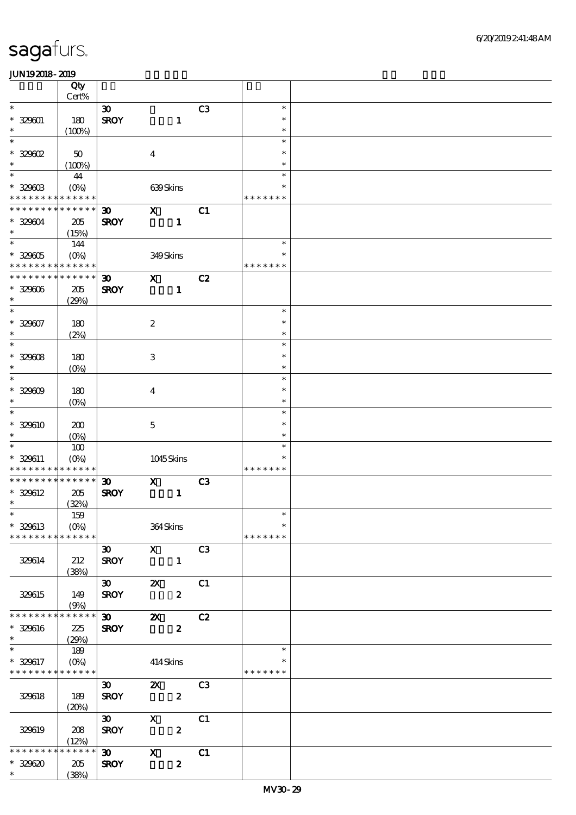|                                            | Qty                       |                             |                           |                  |                |               |  |
|--------------------------------------------|---------------------------|-----------------------------|---------------------------|------------------|----------------|---------------|--|
|                                            | Cert%                     |                             |                           |                  |                |               |  |
| $\ast$                                     |                           | $\boldsymbol{\mathfrak{D}}$ |                           |                  | C3             | $\ast$        |  |
| $* 329001$                                 | 180                       | <b>SROY</b>                 |                           | $\mathbf{1}$     |                | $\ast$        |  |
| $\ast$                                     | (100%)                    |                             |                           |                  |                | $\ast$        |  |
| $\ast$                                     |                           |                             |                           |                  |                | $\ast$        |  |
|                                            |                           |                             |                           |                  |                |               |  |
| $*$ 329602                                 | 50                        |                             | $\boldsymbol{4}$          |                  |                | $\ast$        |  |
| $\ast$                                     | (100%)                    |                             |                           |                  |                | $\ast$        |  |
| $\ast$                                     | 44                        |                             |                           |                  |                | $\ast$        |  |
|                                            |                           |                             |                           |                  |                | $\ast$        |  |
| $* 32900B$                                 | $(O\%)$                   |                             | 639Skins                  |                  |                |               |  |
| * * * * * * * *                            | * * * * * *               |                             |                           |                  |                | * * * * * * * |  |
| * * * * * * * * * * * * * *                |                           | $\boldsymbol{\mathfrak{D}}$ | $\mathbf{x}$              |                  | C1             |               |  |
| $* 329004$                                 | 205                       | <b>SROY</b>                 |                           | $\mathbf{1}$     |                |               |  |
| $\ast$                                     |                           |                             |                           |                  |                |               |  |
|                                            | (15%)                     |                             |                           |                  |                |               |  |
| $\ast$                                     | 144                       |                             |                           |                  |                | $\ast$        |  |
| $* 329005$                                 | $(O\%)$                   |                             | 349Skins                  |                  |                |               |  |
| * * * * * * * * <mark>* * * * * *</mark> * |                           |                             |                           |                  |                | * * * * * * * |  |
| * * * * * * * *                            | * * * * * *               |                             |                           |                  |                |               |  |
|                                            |                           | $\boldsymbol{\mathfrak{D}}$ | $\mathbf{x}$              |                  | C2             |               |  |
| $* 329006$                                 | 205                       | <b>SROY</b>                 |                           | $\mathbf{1}$     |                |               |  |
| $\ast$                                     | (29%)                     |                             |                           |                  |                |               |  |
| $\overline{\ast}$                          |                           |                             |                           |                  |                | $\ast$        |  |
| $* 329007$                                 | 180                       |                             | $\boldsymbol{2}$          |                  |                | $\ast$        |  |
|                                            |                           |                             |                           |                  |                |               |  |
| $\ast$                                     | (2%)                      |                             |                           |                  |                | $\ast$        |  |
| $\ast$                                     |                           |                             |                           |                  |                | $\ast$        |  |
| $* 32908$                                  | 180                       |                             | $\,3\,$                   |                  |                | $\ast$        |  |
| $\ast$                                     | $(O\%)$                   |                             |                           |                  |                | $\ast$        |  |
| $\ast$                                     |                           |                             |                           |                  |                | $\ast$        |  |
|                                            |                           |                             |                           |                  |                |               |  |
| $* 329009$                                 | 180                       |                             | $\bf{4}$                  |                  |                | $\ast$        |  |
| $\ast$                                     | (O <sub>0</sub> )         |                             |                           |                  |                | $\ast$        |  |
| $\ast$                                     |                           |                             |                           |                  |                | $\ast$        |  |
|                                            |                           |                             |                           |                  |                | $\ast$        |  |
| $* 329610$                                 | 200                       |                             | $\mathbf 5$               |                  |                |               |  |
| $\ast$                                     | $(O\%)$                   |                             |                           |                  |                | $\ast$        |  |
| $\ast$                                     | 100                       |                             |                           |                  |                | $\ast$        |  |
| * 329611                                   | $(O\%)$                   |                             |                           | 1045Skins        |                |               |  |
| * * * * * * * * * * * * * *                |                           |                             |                           |                  |                | * * * * * * * |  |
|                                            |                           |                             |                           |                  |                |               |  |
| * * * * * * * * * * * * * *                |                           | $\boldsymbol{\mathfrak{D}}$ | $\mathbf{x}$              |                  | C3             |               |  |
| * 329612                                   | 205                       | <b>SROY</b>                 |                           | $\mathbf{1}$     |                |               |  |
| $\ast$                                     | (32%)                     |                             |                           |                  |                |               |  |
| $\ast$                                     | 159                       |                             |                           |                  |                | $\rightarrow$ |  |
|                                            |                           |                             |                           |                  |                | $\ast$        |  |
| * 329613                                   | $(O\%)$                   |                             | 364Skins                  |                  |                |               |  |
| * * * * * * * * * * * * * *                |                           |                             |                           |                  |                | * * * * * * * |  |
|                                            |                           | $\boldsymbol{\mathfrak{D}}$ | $\mathbf{x}$              |                  | C <sub>3</sub> |               |  |
| 329614                                     | 212                       | <b>SROY</b>                 |                           | $\mathbf{1}$     |                |               |  |
|                                            |                           |                             |                           |                  |                |               |  |
|                                            | (38%)                     |                             |                           |                  |                |               |  |
|                                            |                           | $\infty$                    | $\boldsymbol{\mathsf{z}}$ |                  | C1             |               |  |
| 329615                                     | 149                       | <b>SROY</b>                 |                           | $\boldsymbol{z}$ |                |               |  |
|                                            | (9%)                      |                             |                           |                  |                |               |  |
| * * * * * * * *                            | * * * * * *               | $\boldsymbol{\mathfrak{D}}$ | $\boldsymbol{\mathsf{z}}$ |                  | C2             |               |  |
|                                            |                           |                             |                           |                  |                |               |  |
| $* 329616$                                 |                           | <b>SROY</b>                 |                           | $\boldsymbol{z}$ |                |               |  |
|                                            | 225                       |                             |                           |                  |                |               |  |
| $\ast$                                     | (29%)                     |                             |                           |                  |                |               |  |
| $\ast$                                     |                           |                             |                           |                  |                | $\ast$        |  |
|                                            | 189                       |                             |                           |                  |                |               |  |
| * 329617                                   | $(O\!\!\!\!\!\!\!/\,\!o)$ |                             | 414Skins                  |                  |                | * * * * * * * |  |
| * * * * * * * * <mark>* * * * * *</mark>   |                           |                             |                           |                  |                |               |  |
|                                            |                           | $\boldsymbol{\mathfrak{D}}$ | $\mathbf{x}$              |                  | C <sub>3</sub> |               |  |
| 329618                                     | 189                       | <b>SROY</b>                 |                           | $\boldsymbol{z}$ |                |               |  |
|                                            |                           |                             |                           |                  |                |               |  |
|                                            | (20%)                     |                             |                           |                  |                |               |  |
|                                            |                           | $\boldsymbol{\mathfrak{D}}$ | $\boldsymbol{\mathsf{X}}$ |                  | C1             |               |  |
| 329619                                     | 208                       | <b>SROY</b>                 |                           | $\boldsymbol{z}$ |                |               |  |
|                                            | (12%)                     |                             |                           |                  |                |               |  |
| * * * * * * *                              | ******                    | $\boldsymbol{\mathfrak{D}}$ | $\boldsymbol{\mathrm{X}}$ |                  | C1             |               |  |
|                                            |                           |                             |                           |                  |                |               |  |
| $* 329620$<br>$\ast$                       | 205<br>(38%)              | <b>SROY</b>                 |                           | $\boldsymbol{z}$ |                |               |  |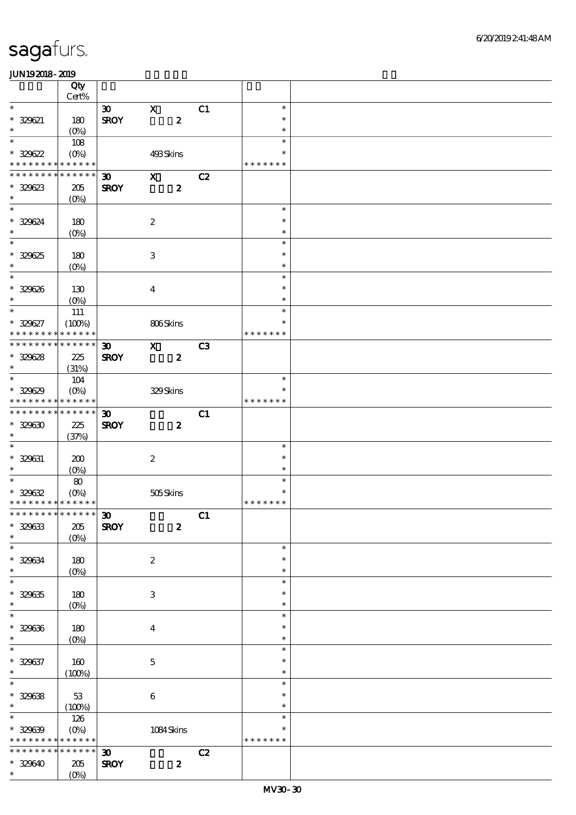|                                            | Qty                       |                             |                  |                  |                |               |  |
|--------------------------------------------|---------------------------|-----------------------------|------------------|------------------|----------------|---------------|--|
|                                            | $Cert\%$                  |                             |                  |                  |                |               |  |
| $\ast$                                     |                           | $\boldsymbol{\mathfrak{D}}$ | $\mathbf{x}$     |                  | C1             | $\ast$        |  |
| $* 329621$                                 | 180                       | <b>SROY</b>                 |                  | $\boldsymbol{z}$ |                | $\ast$        |  |
| $\ast$                                     | $(O_0)$                   |                             |                  |                  |                | $\ast$        |  |
| $\ast$                                     |                           |                             |                  |                  |                | $\ast$        |  |
|                                            | 108                       |                             |                  |                  |                |               |  |
| * 329622                                   | $(O\!\!\!\!\!\!\!/\,\!o)$ |                             | 493Skins         |                  |                | $\ast$        |  |
| * * *                                      | * * * * * *               |                             |                  |                  |                | * * * * * * * |  |
| * * * * * * * *                            | * * * * * *               | $\boldsymbol{\mathfrak{D}}$ | $\mathbf{x}$     |                  | C2             |               |  |
|                                            |                           |                             |                  |                  |                |               |  |
| $* 329623$                                 | $205\,$                   | <b>SROY</b>                 |                  | $\boldsymbol{z}$ |                |               |  |
| $\ast$                                     | $(O\%)$                   |                             |                  |                  |                |               |  |
| $\ast$                                     |                           |                             |                  |                  |                | $\ast$        |  |
|                                            | 180                       |                             |                  |                  |                | $\ast$        |  |
| * 329624                                   |                           |                             | $\boldsymbol{2}$ |                  |                |               |  |
|                                            | $(0\%)$                   |                             |                  |                  |                | $\ast$        |  |
| $\overline{\phantom{0}}$                   |                           |                             |                  |                  |                | $\ast$        |  |
| $* 329625$                                 | 180                       |                             | $\,3$            |                  |                | $\ast$        |  |
| $\ast$                                     |                           |                             |                  |                  |                | $\ast$        |  |
|                                            | $(0\%)$                   |                             |                  |                  |                |               |  |
| $\overline{\ast}$                          |                           |                             |                  |                  |                | $\ast$        |  |
| $* 329626$                                 | 130                       |                             | $\bf{4}$         |                  |                | $\ast$        |  |
| $\ast$                                     | $(O\%)$                   |                             |                  |                  |                | $\ast$        |  |
| $\overline{\ast}$                          |                           |                             |                  |                  |                | $\ast$        |  |
|                                            | 111                       |                             |                  |                  |                |               |  |
| * 329627                                   | (100%)                    |                             | 806Skins         |                  |                | $\ast$        |  |
| * * * * * * * *                            | * * * * * *               |                             |                  |                  |                | * * * * * * * |  |
| * * * * * * * *                            | * * * * * *               | $\boldsymbol{\mathfrak{D}}$ | $\mathbf{x}$     |                  | C <sub>3</sub> |               |  |
|                                            |                           |                             |                  |                  |                |               |  |
| $* 329628$                                 | 225                       | <b>SROY</b>                 |                  | $\boldsymbol{z}$ |                |               |  |
| $\ast$                                     | (31%)                     |                             |                  |                  |                |               |  |
| $\ast$                                     | 104                       |                             |                  |                  |                | $\ast$        |  |
| $* 329629$                                 |                           |                             |                  |                  |                | $\ast$        |  |
|                                            | $(O\%)$                   |                             | 329Skins         |                  |                |               |  |
| * * * * * * * *                            | * * * * * *               |                             |                  |                  |                | * * * * * * * |  |
| * * * * * * * *                            | * * * * * *               | $\boldsymbol{\mathfrak{D}}$ |                  |                  | C1             |               |  |
| $* 329630$                                 | 225                       | <b>SROY</b>                 |                  | $\boldsymbol{z}$ |                |               |  |
|                                            |                           |                             |                  |                  |                |               |  |
| $\ast$                                     | (37%)                     |                             |                  |                  |                |               |  |
| $\ast$                                     |                           |                             |                  |                  |                | $\ast$        |  |
| $* 329631$                                 | 200                       |                             | $\boldsymbol{2}$ |                  |                | $\ast$        |  |
| $\ast$                                     |                           |                             |                  |                  |                | $\ast$        |  |
| $\ast$                                     | $(0\%)$                   |                             |                  |                  |                |               |  |
|                                            | $\pmb{8}$                 |                             |                  |                  |                | $\ast$        |  |
| $* 329632$                                 | $(0\%)$                   |                             | 505Skins         |                  |                | $\ast$        |  |
| * * * * * * * * <mark>* * * * * * *</mark> |                           |                             |                  |                  |                | * * * * * * * |  |
| * * * * * * * * * * * * * * *              |                           |                             |                  |                  | C1             |               |  |
|                                            |                           | $\mathbf{D}$                |                  |                  |                |               |  |
| $* 329633$                                 | 205                       | <b>SROY</b>                 |                  | $\boldsymbol{z}$ |                |               |  |
| $\ast$                                     | (0%)                      |                             |                  |                  |                |               |  |
| $\overline{\ast}$                          |                           |                             |                  |                  |                | $\ast$        |  |
| $* 329634$                                 | $180\,$                   |                             | $\boldsymbol{2}$ |                  |                | $\ast$        |  |
|                                            |                           |                             |                  |                  |                |               |  |
| $\ast$                                     | (O <sub>0</sub> )         |                             |                  |                  |                | $\ast$        |  |
| $\overline{\ast}$                          |                           |                             |                  |                  |                | $\ast$        |  |
| $^\ast$ 329635                             | 180                       |                             | $\,3$            |                  |                | $\ast$        |  |
| $\ast$                                     | $(0\%)$                   |                             |                  |                  |                | $\ast$        |  |
| $\ast$                                     |                           |                             |                  |                  |                |               |  |
|                                            |                           |                             |                  |                  |                | $\ast$        |  |
| $* 329636$                                 | 180                       |                             | $\boldsymbol{4}$ |                  |                | $\ast$        |  |
| $\ast$                                     | $(0\%)$                   |                             |                  |                  |                | $\ast$        |  |
| $\ast$                                     |                           |                             |                  |                  |                | $\ast$        |  |
|                                            |                           |                             |                  |                  |                |               |  |
| $* 329637$                                 | $160$                     |                             | $\mathbf 5$      |                  |                | $\ast$        |  |
| $\ast$                                     | (100%)                    |                             |                  |                  |                | $\ast$        |  |
| $\ast$                                     |                           |                             |                  |                  |                | $\ast$        |  |
|                                            |                           |                             |                  |                  |                | $\ast$        |  |
| $* 329638$                                 | $53\,$                    |                             | $\,6\,$          |                  |                |               |  |
| $\ast$                                     | (100%)                    |                             |                  |                  |                | $\ast$        |  |
| $\ast$                                     | 126                       |                             |                  |                  |                | $\ast$        |  |
| $* 329639$                                 | $(O\!\!\!\!\!\!\!/\,\!o)$ |                             | 1084Skins        |                  |                | $\ast$        |  |
| * * * * * * * *                            | * * * * * *               |                             |                  |                  |                | * * * * * * * |  |
|                                            |                           |                             |                  |                  |                |               |  |
| * * * * * * * *                            | ******                    | $\boldsymbol{\mathfrak{D}}$ |                  |                  | C2             |               |  |
| $* 329640$                                 | $205\,$                   | <b>SROY</b>                 |                  | $\boldsymbol{z}$ |                |               |  |
| $\ast$                                     | (0%)                      |                             |                  |                  |                |               |  |
|                                            |                           |                             |                  |                  |                |               |  |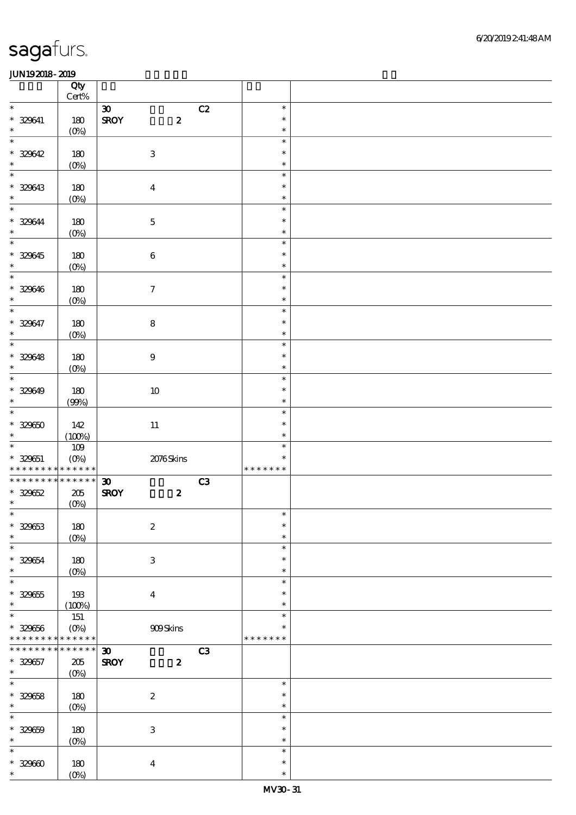|                                           | Qty<br>$Cert\%$ |                                 |               |  |
|-------------------------------------------|-----------------|---------------------------------|---------------|--|
| $\ast$                                    |                 | $\boldsymbol{\mathfrak{D}}$     | C2<br>$\ast$  |  |
| $* 329641$                                | 180             | <b>SROY</b><br>$\boldsymbol{z}$ | $\ast$        |  |
| $\ast$                                    |                 |                                 | $\ast$        |  |
| $\ast$                                    | $(0\%)$         |                                 | $\ast$        |  |
|                                           |                 |                                 | $\ast$        |  |
| $* 329642$                                | 180             | $\,3\,$                         |               |  |
| $\ast$                                    | $(0\%)$         |                                 | $\ast$        |  |
| $\ast$                                    |                 |                                 | $\ast$        |  |
| $* 329643$                                | 180             | $\boldsymbol{4}$                | $\ast$        |  |
| $\ast$                                    | $(0\%)$         |                                 | $\ast$        |  |
| $\ast$                                    |                 |                                 | $\ast$        |  |
| $* 329644$                                | 180             | $\mathbf 5$                     | $\ast$        |  |
| $\ast$                                    | $(0\%)$         |                                 | $\ast$        |  |
| $\overline{\phantom{a}^*}$                |                 |                                 | $\ast$        |  |
| $* 329645$                                | 180             | $\,6\,$                         | $\ast$        |  |
| $\ast$                                    | $(0\%)$         |                                 | $\ast$        |  |
| $\overline{\ast}$                         |                 |                                 | $\ast$        |  |
| $* 329646$                                |                 |                                 | $\ast$        |  |
| $\ast$                                    | 180             | $\boldsymbol{7}$                | $\ast$        |  |
| $\overline{\phantom{0}}$                  | $(0\%)$         |                                 |               |  |
|                                           |                 |                                 | $\ast$        |  |
| $* 329647$                                | 180             | ${\bf 8}$                       | $\ast$        |  |
| $\ast$                                    | $(0\%)$         |                                 | $\ast$        |  |
| $\overline{\ast}$                         |                 |                                 | $\ast$        |  |
| $* 329648$                                | 180             | $\boldsymbol{9}$                | $\ast$        |  |
| $\ast$                                    | $(0\%)$         |                                 | $\ast$        |  |
| $\overline{\ast}$                         |                 |                                 | $\ast$        |  |
| $* 329649$                                | 180             | $10\,$                          | $\ast$        |  |
| $\ast$                                    | (90%)           |                                 | $\ast$        |  |
| $\ast$                                    |                 |                                 | $\ast$        |  |
| $* 32960$                                 | 142             | $11\,$                          | $\ast$        |  |
| $\ast$                                    | (100%)          |                                 | $\ast$        |  |
| $\ast$                                    | $109$           |                                 | $\ast$        |  |
|                                           |                 |                                 | $\ast$        |  |
| $* 329651$<br>* * * * * * * * * * * * * * | (0%)            | 2076Skins                       | * * * * * * * |  |
| * * * * * * * * * * * * * *               |                 |                                 | C3            |  |
|                                           |                 | $\boldsymbol{\mathfrak{D}}$     |               |  |
| $* 329652$<br>$\ast$                      | $205\,$         | <b>SROY</b><br>$\boldsymbol{z}$ |               |  |
| $\ast$                                    | (0%)            |                                 | $\ast$        |  |
|                                           |                 |                                 |               |  |
| $* 329653$                                | $180\,$         | $\boldsymbol{2}$                | $\ast$        |  |
| $\ast$                                    | $(0\%)$         |                                 | $\ast$        |  |
| $\ast$                                    |                 |                                 | $\ast$        |  |
| $* 329654$                                | 180             | $\ensuremath{\mathbf{3}}$       | $\ast$        |  |
| $\ast$                                    | $(0\%)$         |                                 | $\ast$        |  |
| $\ast$                                    |                 |                                 | $\ast$        |  |
| $* 329655$                                | 193             | $\boldsymbol{4}$                | $\ast$        |  |
| $\ast$                                    | (100%)          |                                 | $\ast$        |  |
| $\ast$                                    | 151             |                                 | $\ast$        |  |
| $* 329656$                                | $(O\%)$         | 909Skins                        | $\ast$        |  |
| * * * * * * * * <mark>* * * * * *</mark>  |                 |                                 | * * * * * * * |  |
| * * * * * * *                             | $******$        | $\boldsymbol{\mathfrak{D}}$     | C3            |  |
| $* 329657$                                | $205\,$         | <b>SROY</b><br>$\boldsymbol{z}$ |               |  |
| $\ast$                                    | $(0\%)$         |                                 |               |  |
| $\ast$                                    |                 |                                 | $\ast$        |  |
| $* 329658$                                | 180             | $\boldsymbol{2}$                | $\ast$        |  |
| $\ast$                                    |                 |                                 | $\ast$        |  |
| $\ast$                                    | $(O\%)$         |                                 | $\ast$        |  |
|                                           |                 |                                 |               |  |
| $* 329659$                                | 180             | $\ensuremath{\mathbf{3}}$       | $\ast$        |  |
| $\ast$                                    | $(0\%)$         |                                 | $\ast$        |  |
| $\ast$                                    |                 |                                 | $\ast$        |  |
| $* 32960$                                 | 180             | $\boldsymbol{4}$                | $\ast$        |  |
| $\ast$                                    | $(O\%)$         |                                 | $\ast$        |  |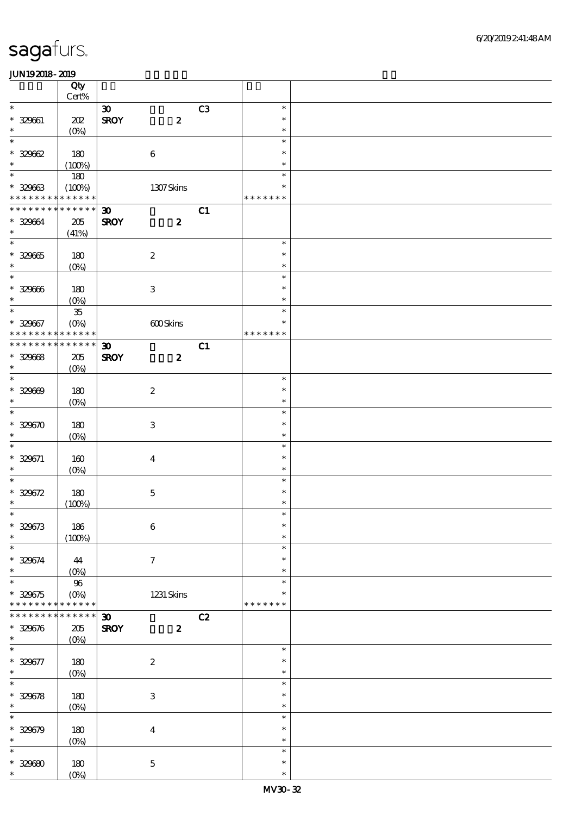|                               | Qty                    |                             |                           |    |               |  |
|-------------------------------|------------------------|-----------------------------|---------------------------|----|---------------|--|
|                               | $Cert\%$               |                             |                           |    |               |  |
| $\ast$                        |                        | $\boldsymbol{\mathfrak{D}}$ |                           | C3 | $\ast$        |  |
| $* 329661$                    | 202                    | <b>SROY</b>                 | $\boldsymbol{z}$          |    | $\ast$        |  |
| $\ast$                        | $(O\%)$                |                             |                           |    | $\ast$        |  |
| $\ast$                        |                        |                             |                           |    | $\ast$        |  |
| $* 32962$                     | 180                    |                             | $\,6\,$                   |    | $\ast$        |  |
| $\ast$                        | (100%)                 |                             |                           |    | $\ast$        |  |
| $\ast$                        | 180                    |                             |                           |    | $\ast$        |  |
| $* 32963$                     | (100%)                 |                             | 1307Skins                 |    | $\ast$        |  |
| * * * * * * * * * * * * * *   |                        |                             |                           |    | * * * * * * * |  |
| * * * * * * * *               | $******$               | $\boldsymbol{\mathfrak{D}}$ |                           | C1 |               |  |
| $* 329664$                    | 205                    | <b>SROY</b>                 | $\boldsymbol{z}$          |    |               |  |
| $\ast$                        | (41%)                  |                             |                           |    |               |  |
| $\overline{\ast}$             |                        |                             |                           |    | $\ast$        |  |
| $* 329665$                    | 180                    |                             | $\boldsymbol{2}$          |    | $\ast$        |  |
| $\ast$                        | $(O\%)$                |                             |                           |    | $\ast$        |  |
| $\overline{\phantom{a}^*}$    |                        |                             |                           |    | $\ast$        |  |
| $* 329666$                    | 180                    |                             | $\ensuremath{\mathbf{3}}$ |    | $\ast$        |  |
| $\ast$                        | $(O\%)$                |                             |                           |    | $\ast$        |  |
| $\ast$                        | ${\bf 35}$             |                             |                           |    | $\ast$        |  |
| $* 329667$                    | $(O\!/\!\!\delta)$     |                             | 600Skins                  |    | $\ast$        |  |
| * * *<br>* * *                | * * * * * *            |                             |                           |    | * * * * * * * |  |
| * * * * * * * * * * * * * *   |                        | $\boldsymbol{\mathfrak{D}}$ |                           | C1 |               |  |
| $* 32968$                     | 205                    | <b>SROY</b>                 | $\boldsymbol{z}$          |    |               |  |
| $\ast$                        | $(O\%)$                |                             |                           |    |               |  |
| $\ast$                        |                        |                             |                           |    | $\ast$        |  |
| $* 329609$                    | 180                    |                             | $\boldsymbol{2}$          |    | $\ast$        |  |
| $\ast$                        | $(O\%)$                |                             |                           |    | $\ast$        |  |
| $\ast$                        |                        |                             |                           |    | $\ast$        |  |
| $* 329670$                    | 180                    |                             | $\,3$                     |    | $\ast$        |  |
| $\ast$                        | $(0\%)$                |                             |                           |    | $\ast$        |  |
| $\ast$                        |                        |                             |                           |    | $\ast$        |  |
| $* 329671$                    | 160                    |                             | $\bf{4}$                  |    | $\ast$        |  |
| $\ast$                        | $(O\%)$                |                             |                           |    | $\ast$        |  |
| $\ast$                        |                        |                             |                           |    | $\ast$        |  |
| $* 329672$                    | 180                    |                             | $\mathbf 5$               |    | $\ast$        |  |
| $\ast$                        | (100%)                 |                             |                           |    | $\ast$        |  |
|                               |                        |                             |                           |    |               |  |
| $* 329673$                    | 186                    |                             | $\,6\,$                   |    | $\ast$        |  |
| $\ast$                        |                        |                             |                           |    | $\ast$        |  |
| $\ast$                        | (100%)                 |                             |                           |    | $\ast$        |  |
|                               |                        |                             |                           |    | $\ast$        |  |
| $* 329674$<br>$\ast$          | 44                     |                             | $\tau$                    |    | $\ast$        |  |
| $\ast$                        | $(O\%)$                |                             |                           |    | $\ast$        |  |
|                               | $96\,$                 |                             |                           |    | $\ast$        |  |
| $* 329675$<br>* * * * * * * * | $(O\%)$<br>* * * * * * |                             | 1231 Skins                |    | * * * * * * * |  |
| * * * * * * *                 | * * * * * *            | $\boldsymbol{\mathfrak{D}}$ |                           |    |               |  |
|                               | 205                    |                             | $\boldsymbol{z}$          | C2 |               |  |
| $* 329676$<br>$\ast$          |                        | <b>SROY</b>                 |                           |    |               |  |
| $\ast$                        | $(O\%)$                |                             |                           |    | $\ast$        |  |
|                               |                        |                             |                           |    | $\ast$        |  |
| $* 329677$<br>$\ast$          | 180                    |                             | $\boldsymbol{2}$          |    | $\ast$        |  |
| $\ast$                        | $(O\%)$                |                             |                           |    | $\ast$        |  |
|                               |                        |                             |                           |    | $\ast$        |  |
| $* 329678$<br>$\ast$          | 180                    |                             | $\ensuremath{\mathbf{3}}$ |    |               |  |
| $\ast$                        | $(O\%)$                |                             |                           |    | $\ast$        |  |
|                               |                        |                             |                           |    | $\ast$        |  |
| $* 329679$                    | 180                    |                             | $\boldsymbol{4}$          |    | $\ast$        |  |
| $\ast$                        | $(0\%)$                |                             |                           |    | $\ast$        |  |
| $\ast$                        |                        |                             |                           |    | $\ast$        |  |
| $* 32960$                     | 180                    |                             | $\mathbf 5$               |    | $\ast$        |  |
| $\ast$                        | $(0\%)$                |                             |                           |    | $\ast$        |  |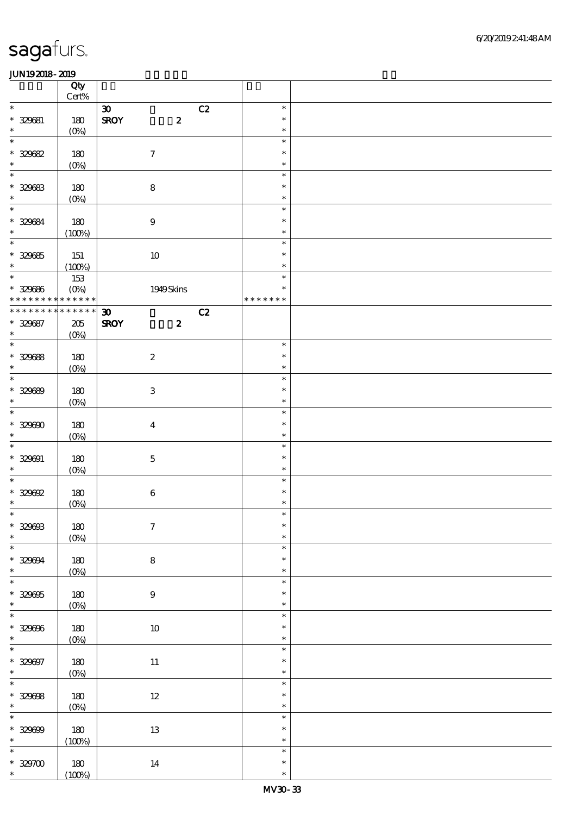|                            | Qty<br>Cert% |                                   |               |  |
|----------------------------|--------------|-----------------------------------|---------------|--|
| $\ast$                     |              | C2<br>$\boldsymbol{\mathfrak{D}}$ | $\ast$        |  |
|                            |              |                                   |               |  |
| $* 329681$                 | 180          | <b>SROY</b><br>$\pmb{2}$          | $\ast$        |  |
| $\ast$                     | $(0\%)$      |                                   | $\ast$        |  |
| $\ast$                     |              |                                   | $\ast$        |  |
| $* 329682$                 | 180          | $\boldsymbol{7}$                  | $\ast$        |  |
| $\ast$                     |              |                                   | $\ast$        |  |
|                            | $(0\%)$      |                                   |               |  |
| $\ast$                     |              |                                   | $\ast$        |  |
| $* 329683$                 | 180          | ${\bf 8}$                         | $\ast$        |  |
| $\ast$                     | $(0\%)$      |                                   | $\ast$        |  |
| $\overline{\ast}$          |              |                                   | $\ast$        |  |
|                            |              |                                   | $\ast$        |  |
| * 329684                   | $180$        | $\bf 9$                           |               |  |
| $\ast$                     | (100%)       |                                   | $\ast$        |  |
| $\overline{\phantom{a}^*}$ |              |                                   | $\ast$        |  |
| $* 329685$                 | 151          | $10\,$                            | $\ast$        |  |
| $\ast$                     | (100%)       |                                   | $\ast$        |  |
| $\overline{\phantom{0}}$   |              |                                   | $\ast$        |  |
|                            | 153          |                                   |               |  |
| $* 329686$                 | $(O\%)$      | 1949Skins                         | $\ast$        |  |
| * * * * * * * *            | * * * * * *  |                                   | * * * * * * * |  |
| * * * * * * *              | * * * * * *  | C2<br>$\boldsymbol{\mathfrak{D}}$ |               |  |
| $* 329687$                 | $205\,$      | <b>SROY</b><br>$\boldsymbol{z}$   |               |  |
| $\ast$                     | $(0\%)$      |                                   |               |  |
| $_{*}^{-}$                 |              |                                   | $\ast$        |  |
|                            |              |                                   |               |  |
| $* 329688$                 | 180          | $\boldsymbol{2}$                  | $\ast$        |  |
| $\ast$                     | $(0\%)$      |                                   | $\ast$        |  |
| $\overline{\ast}$          |              |                                   | $\ast$        |  |
| $* 329689$                 | 180          | $\ensuremath{\mathbf{3}}$         | $\ast$        |  |
| $\ast$                     | $(0\%)$      |                                   | $\ast$        |  |
| $\ast$                     |              |                                   | $\ast$        |  |
|                            |              |                                   | $\ast$        |  |
| $* 329600$                 | 180          | $\boldsymbol{4}$                  |               |  |
| $\ast$                     | $(0\%)$      |                                   | $\ast$        |  |
| $\ast$                     |              |                                   | $\ast$        |  |
| $* 329001$                 | 180          | $\mathbf 5$                       | $\ast$        |  |
| $\ast$                     | $(0\%)$      |                                   | $\ast$        |  |
| $\ast$                     |              |                                   | $\ast$        |  |
| $*$ 329692                 | 180          |                                   | $\ast$        |  |
| $\ast$                     |              | $\bf 6$                           | $\ast$        |  |
|                            | (0%)         |                                   |               |  |
| $\ast$                     |              |                                   | $\ast$        |  |
| $* 329603$                 | $180\,$      | $\boldsymbol{7}$                  | $\ast$        |  |
| $\ast$                     | $(0\%)$      |                                   | $\ast$        |  |
| $\overline{\phantom{0}}$   |              |                                   | $\ast$        |  |
| $* 329694$                 | $180\,$      | ${\bf 8}$                         | $\ast$        |  |
| $\ast$                     |              |                                   | $\ast$        |  |
| $\overline{\ast}$          | $(0\%)$      |                                   |               |  |
|                            |              |                                   | $\ast$        |  |
| $* 329005$                 | $180\,$      | $\boldsymbol{9}$                  | $\ast$        |  |
| $\ast$                     | $(0\%)$      |                                   | $\ast$        |  |
| $\ast$                     |              |                                   | $\ast$        |  |
| $* 329696$                 | $180\,$      | $10\,$                            | $\ast$        |  |
| $\ast$                     |              |                                   | $\ast$        |  |
| $\overline{\phantom{0}}$   | $(0\%)$      |                                   | $\ast$        |  |
|                            |              |                                   |               |  |
| $* 329097$                 | $180\,$      | $11\,$                            | $\ast$        |  |
| $\ast$                     | (0%)         |                                   | $\ast$        |  |
| $\overline{\ast}$          |              |                                   | $\ast$        |  |
| $* 329008$                 | 180          | $12\,$                            | $\ast$        |  |
| $\ast$                     | (0%)         |                                   | $\ast$        |  |
| $\ast$                     |              |                                   | $\ast$        |  |
|                            |              |                                   |               |  |
| $* 329009$                 | 180          | $1\!3$                            | $\ast$        |  |
| $\ast$                     | (100%)       |                                   | $\ast$        |  |
| $\ast$                     |              |                                   | $\ast$        |  |
|                            | 180          | $14\,$                            | $\ast$        |  |
| $*329700$                  | (100%)       |                                   | $\ast$        |  |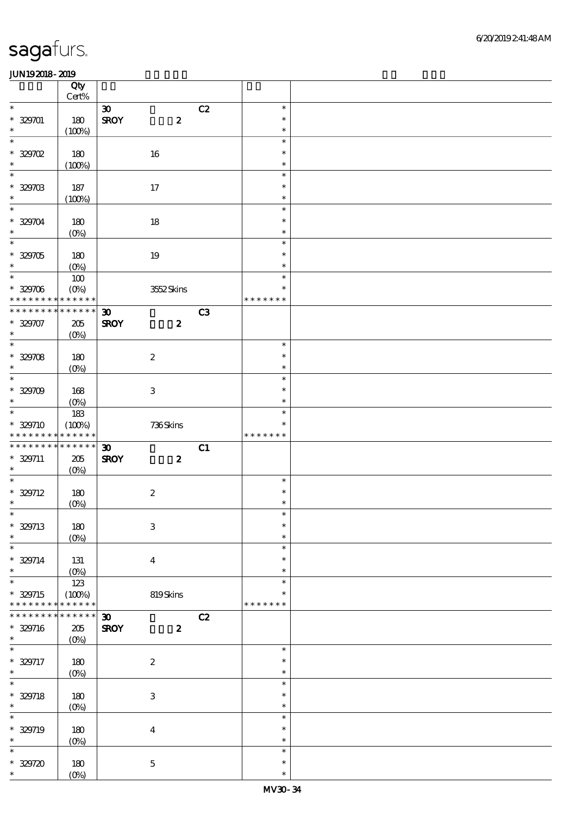|                                            | Qty                   |                             |                           |    |                  |  |
|--------------------------------------------|-----------------------|-----------------------------|---------------------------|----|------------------|--|
| $\ast$                                     | $Cert\%$              |                             |                           |    |                  |  |
|                                            |                       | $\boldsymbol{\mathfrak{D}}$ |                           | C2 | $\ast$<br>$\ast$ |  |
| $* 329701$<br>$\ast$                       | 180                   | <b>SROY</b>                 | $\boldsymbol{z}$          |    | $\ast$           |  |
| $\ast$                                     | (100%)                |                             |                           |    | $\ast$           |  |
|                                            |                       |                             |                           |    |                  |  |
| $*329702$                                  | 180                   |                             | 16                        |    | $\ast$           |  |
| $\ast$                                     | (100%)                |                             |                           |    | $\ast$           |  |
| $\ast$                                     |                       |                             |                           |    | $\ast$           |  |
| $^\ast$ 329703 $^\ast$                     | 187                   |                             | $17$                      |    | $\ast$           |  |
|                                            | (100%)                |                             |                           |    | $\ast$           |  |
| $\ast$                                     |                       |                             |                           |    | $\ast$           |  |
| $* 329704$                                 | 180                   |                             | $18\,$                    |    | $\ast$           |  |
| $\ast$                                     | $(0\%)$               |                             |                           |    | $\ast$           |  |
| $\overline{\ast}$                          |                       |                             |                           |    | $\ast$           |  |
| $* 329705$                                 | 180                   |                             | 19                        |    | $\ast$           |  |
| $\ast$                                     | $(O\%)$               |                             |                           |    | $\ast$           |  |
| $_{*}^{-}$                                 | 100                   |                             |                           |    | $\ast$           |  |
| $* 329706$                                 | $(O\%)$               |                             | 3552Skins                 |    | $\ast$           |  |
| * * * * * * * * <mark>* * * * * *</mark> * |                       |                             |                           |    | * * * * * * *    |  |
| * * * * * * * * * * * * * *                |                       | $\boldsymbol{\mathfrak{D}}$ |                           | C3 |                  |  |
| $* 329707$                                 | $205\,$               | <b>SROY</b>                 | $\boldsymbol{z}$          |    |                  |  |
| $\ast$                                     | $(O\%)$               |                             |                           |    |                  |  |
| $\overline{\ast}$                          |                       |                             |                           |    | $\ast$           |  |
| $* 329708$                                 | 180                   |                             | $\boldsymbol{2}$          |    | $\ast$           |  |
| $\ast$                                     | $(O\%)$               |                             |                           |    | $\ast$           |  |
| $\ast$                                     |                       |                             |                           |    | $\ast$           |  |
| $* 329709$                                 | 168                   |                             | $\ensuremath{\mathbf{3}}$ |    | $\ast$           |  |
| $\ast$                                     | $(O\%)$               |                             |                           |    | $\ast$           |  |
| $\ast$                                     | 183                   |                             |                           |    | $\ast$           |  |
| $* 329710$                                 | (100%)                |                             | 736Skins                  |    | $\ast$           |  |
|                                            |                       |                             |                           |    |                  |  |
| * * * * * * * *                            | * * * * * *           |                             |                           |    | * * * * * * *    |  |
| * * * * * * * *                            | * * * * * *           | $\boldsymbol{\mathfrak{D}}$ |                           |    |                  |  |
|                                            |                       |                             | $\boldsymbol{z}$          | C1 |                  |  |
| $* 329711$<br>$\ast$                       | $205\,$<br>$(O\%)$    | <b>SROY</b>                 |                           |    |                  |  |
| $\ast$                                     |                       |                             |                           |    | $\ast$           |  |
| $* 329712$                                 | 180                   |                             |                           |    | $\ast$           |  |
| $\ast$                                     |                       |                             | $\boldsymbol{2}$          |    | $\ast$           |  |
| $\ast$                                     | (0%)                  |                             |                           |    |                  |  |
|                                            |                       |                             |                           |    | $\ast$           |  |
| $* 329713$<br>$\ast$                       | 180                   |                             | $\,3$                     |    | $\ast$           |  |
| $\ast$                                     | $(0\%)$               |                             |                           |    | $\ast$           |  |
|                                            |                       |                             |                           |    | $\ast$           |  |
| $* 329714$<br>$\ast$                       | 131<br>$(O\%)$        |                             | $\boldsymbol{4}$          |    | $\ast$           |  |
| $\ast$                                     |                       |                             |                           |    | $\ast$           |  |
|                                            | 123                   |                             |                           |    | $\ast$           |  |
| $* 329715$<br>* * * * * * * *              | (100%)<br>* * * * * * |                             | 819Skins                  |    | * * * * * * *    |  |
| * * * * * * *                              | * * * * * *           | $\boldsymbol{\mathfrak{D}}$ |                           | C2 |                  |  |
|                                            |                       |                             |                           |    |                  |  |
| $* 329716$<br>$\ast$                       | $205\,$<br>$(O\%)$    | <b>SROY</b>                 | $\boldsymbol{z}$          |    |                  |  |
| $\ast$                                     |                       |                             |                           |    | $\ast$           |  |
|                                            |                       |                             |                           |    | $\ast$           |  |
| $* 329717$<br>$\ast$                       | 180                   |                             | $\boldsymbol{2}$          |    | $\ast$           |  |
| $\ast$                                     | $(O\%)$               |                             |                           |    | $\ast$           |  |
| $* 329718$                                 | 180                   |                             | $\,3$                     |    | $\ast$           |  |
| $\ast$                                     |                       |                             |                           |    | $\ast$           |  |
| $\ast$                                     | $(0\%)$               |                             |                           |    | $\ast$           |  |
|                                            |                       |                             |                           |    | $\ast$           |  |
| $* 329719$<br>$\ast$                       | 180                   |                             | $\boldsymbol{4}$          |    | $\ast$           |  |
| $\ast$                                     | $(0\%)$               |                             |                           |    | $\ast$           |  |
| $* 329720$                                 | 180                   |                             | $\bf 5$                   |    | $\ast$           |  |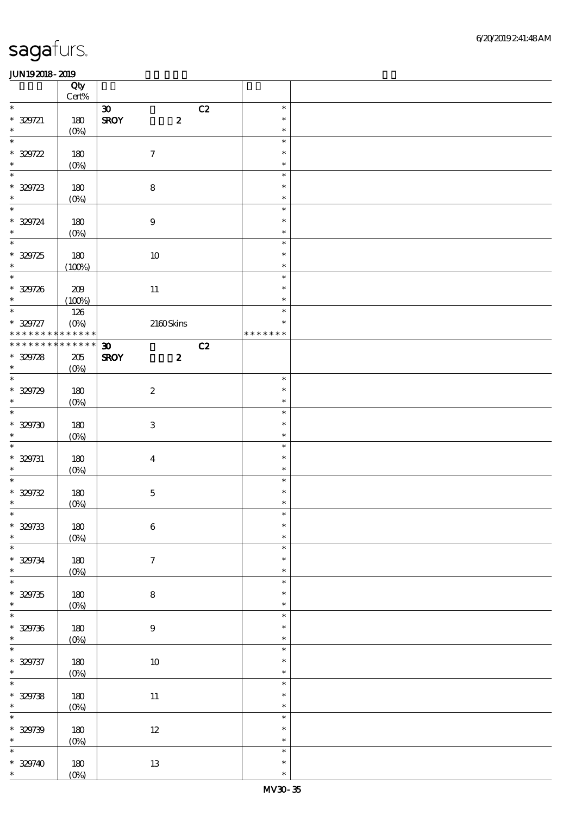| $\ast$<br>C2<br>$\boldsymbol{\mathfrak{D}}$<br>$\ast$<br>$* 329721$<br><b>SROY</b><br>$\boldsymbol{z}$<br>180<br>$\ast$<br>$\ast$<br>$(0\%)$<br>$\ast$<br>$\ast$<br>$\ast$<br>$* 329722$<br>180<br>$\boldsymbol{7}$<br>$\ast$<br>$\ast$<br>$(0\%)$<br>$\ast$<br>$\ast$<br>$\ast$<br>$* 329723$<br>180<br>${\bf 8}$<br>$\ast$<br>$\ast$<br>$\ast$<br>$(0\%)$<br>$\ast$<br>$\ast$<br>$* 329724$<br>180<br>$9\,$<br>$\ast$<br>$\ast$<br>$(0\%)$<br>$\ast$<br>$_{*}^{-}$<br>$\ast$<br>$* 329725$<br>180<br>$10\,$<br>$\ast$<br>$\ast$<br>(100%)<br>$\ast$<br>$\overline{\ast}$<br>$\ast$<br>$* 329726$<br>209<br>$11\,$<br>$\ast$<br>$\ast$<br>$\ast$<br>(100%)<br>$\overline{\phantom{0}}$<br>126<br>$\ast$<br>$* 329727$<br>$(O\%)$<br>$2160$ Skins<br>$\ast$<br>* * * * * *<br>* * * * * * *<br>* * * * * * * *<br>* * * * * * * * * * * * * *<br>$\boldsymbol{\mathfrak{D}}$<br>C2<br><b>SROY</b><br>$* 329728$<br>$\boldsymbol{z}$<br>205<br>$\ast$<br>$(O\%)$<br>$\overline{\ast}$<br>$\ast$<br>$* 329729$<br>$\boldsymbol{2}$<br>180<br>$\ast$<br>$\ast$<br>$\ast$<br>$(O\%)$<br>$\ast$<br>$\ast$<br>$* 329730$<br>$\ensuremath{\mathbf{3}}$<br>180<br>$\ast$<br>$\ast$<br>$(O\%)$<br>$\ast$<br>$\ast$<br>$\ast$<br>$* 329731$<br>180<br>$\ast$<br>$\boldsymbol{4}$<br>$\ast$<br>$O($ %)<br>$\ast$<br>$\ast$<br>$\ast$<br>$* 329732$<br>$\mathbf 5$<br>180<br>$\ast$<br>$\ast$<br>$\ast$<br>(0%)<br>$\ast$<br>$\ast$<br>$* 329733$<br>$180\,$<br>$\,6\,$<br>$\ast$<br>$\ast$<br>(0%)<br>$\ast$<br>$\ast$<br>$\ast$<br>$* 329734$<br>$180$<br>$\tau$<br>$\ast$<br>$\ast$<br>$(0\%)$<br>$\ast$<br>$\overline{\ast}$<br>$\ast$<br>$* 329735$<br>$180$<br>$\bf 8$<br>$\ast$<br>$\ast$<br>$\ast$<br>$(0\%)$<br>$\ast$<br>$\ast$<br>$* 329736$<br>$180\,$<br>$\boldsymbol{9}$<br>$\ast$<br>$\ast$<br>$(0\%)$<br>$\ast$<br>$\ast$<br>$\ast$<br>$* 329737$<br>$10\,$<br>$180\,$<br>$\ast$<br>$\ast$<br>$\ast$<br>(0%)<br>$\ast$<br>$\ast$<br>$* 329738$<br>$11\,$<br>180<br>$\ast$<br>$\ast$<br>$\ast$<br>(0%)<br>$\ast$<br>$\ast$<br>$* 329739$<br>$180\,$<br>$12\,$<br>$\ast$<br>$\ast$<br>(0%)<br>$\ast$<br>$\ast$<br>$\ast$<br>$13\,$<br>$180\,$<br>$\ast$ |            | Qty<br>Cert% |  |  |  |
|-----------------------------------------------------------------------------------------------------------------------------------------------------------------------------------------------------------------------------------------------------------------------------------------------------------------------------------------------------------------------------------------------------------------------------------------------------------------------------------------------------------------------------------------------------------------------------------------------------------------------------------------------------------------------------------------------------------------------------------------------------------------------------------------------------------------------------------------------------------------------------------------------------------------------------------------------------------------------------------------------------------------------------------------------------------------------------------------------------------------------------------------------------------------------------------------------------------------------------------------------------------------------------------------------------------------------------------------------------------------------------------------------------------------------------------------------------------------------------------------------------------------------------------------------------------------------------------------------------------------------------------------------------------------------------------------------------------------------------------------------------------------------------------------------------------------------------------------------------------------------------------------------------------------------------------------------------------------------------------------------------------------------------------------------------------------------------------------------------------------------------------------------------------|------------|--------------|--|--|--|
|                                                                                                                                                                                                                                                                                                                                                                                                                                                                                                                                                                                                                                                                                                                                                                                                                                                                                                                                                                                                                                                                                                                                                                                                                                                                                                                                                                                                                                                                                                                                                                                                                                                                                                                                                                                                                                                                                                                                                                                                                                                                                                                                                           |            |              |  |  |  |
|                                                                                                                                                                                                                                                                                                                                                                                                                                                                                                                                                                                                                                                                                                                                                                                                                                                                                                                                                                                                                                                                                                                                                                                                                                                                                                                                                                                                                                                                                                                                                                                                                                                                                                                                                                                                                                                                                                                                                                                                                                                                                                                                                           |            |              |  |  |  |
|                                                                                                                                                                                                                                                                                                                                                                                                                                                                                                                                                                                                                                                                                                                                                                                                                                                                                                                                                                                                                                                                                                                                                                                                                                                                                                                                                                                                                                                                                                                                                                                                                                                                                                                                                                                                                                                                                                                                                                                                                                                                                                                                                           |            |              |  |  |  |
|                                                                                                                                                                                                                                                                                                                                                                                                                                                                                                                                                                                                                                                                                                                                                                                                                                                                                                                                                                                                                                                                                                                                                                                                                                                                                                                                                                                                                                                                                                                                                                                                                                                                                                                                                                                                                                                                                                                                                                                                                                                                                                                                                           |            |              |  |  |  |
|                                                                                                                                                                                                                                                                                                                                                                                                                                                                                                                                                                                                                                                                                                                                                                                                                                                                                                                                                                                                                                                                                                                                                                                                                                                                                                                                                                                                                                                                                                                                                                                                                                                                                                                                                                                                                                                                                                                                                                                                                                                                                                                                                           |            |              |  |  |  |
|                                                                                                                                                                                                                                                                                                                                                                                                                                                                                                                                                                                                                                                                                                                                                                                                                                                                                                                                                                                                                                                                                                                                                                                                                                                                                                                                                                                                                                                                                                                                                                                                                                                                                                                                                                                                                                                                                                                                                                                                                                                                                                                                                           |            |              |  |  |  |
|                                                                                                                                                                                                                                                                                                                                                                                                                                                                                                                                                                                                                                                                                                                                                                                                                                                                                                                                                                                                                                                                                                                                                                                                                                                                                                                                                                                                                                                                                                                                                                                                                                                                                                                                                                                                                                                                                                                                                                                                                                                                                                                                                           |            |              |  |  |  |
|                                                                                                                                                                                                                                                                                                                                                                                                                                                                                                                                                                                                                                                                                                                                                                                                                                                                                                                                                                                                                                                                                                                                                                                                                                                                                                                                                                                                                                                                                                                                                                                                                                                                                                                                                                                                                                                                                                                                                                                                                                                                                                                                                           |            |              |  |  |  |
|                                                                                                                                                                                                                                                                                                                                                                                                                                                                                                                                                                                                                                                                                                                                                                                                                                                                                                                                                                                                                                                                                                                                                                                                                                                                                                                                                                                                                                                                                                                                                                                                                                                                                                                                                                                                                                                                                                                                                                                                                                                                                                                                                           |            |              |  |  |  |
|                                                                                                                                                                                                                                                                                                                                                                                                                                                                                                                                                                                                                                                                                                                                                                                                                                                                                                                                                                                                                                                                                                                                                                                                                                                                                                                                                                                                                                                                                                                                                                                                                                                                                                                                                                                                                                                                                                                                                                                                                                                                                                                                                           |            |              |  |  |  |
|                                                                                                                                                                                                                                                                                                                                                                                                                                                                                                                                                                                                                                                                                                                                                                                                                                                                                                                                                                                                                                                                                                                                                                                                                                                                                                                                                                                                                                                                                                                                                                                                                                                                                                                                                                                                                                                                                                                                                                                                                                                                                                                                                           |            |              |  |  |  |
|                                                                                                                                                                                                                                                                                                                                                                                                                                                                                                                                                                                                                                                                                                                                                                                                                                                                                                                                                                                                                                                                                                                                                                                                                                                                                                                                                                                                                                                                                                                                                                                                                                                                                                                                                                                                                                                                                                                                                                                                                                                                                                                                                           |            |              |  |  |  |
|                                                                                                                                                                                                                                                                                                                                                                                                                                                                                                                                                                                                                                                                                                                                                                                                                                                                                                                                                                                                                                                                                                                                                                                                                                                                                                                                                                                                                                                                                                                                                                                                                                                                                                                                                                                                                                                                                                                                                                                                                                                                                                                                                           |            |              |  |  |  |
|                                                                                                                                                                                                                                                                                                                                                                                                                                                                                                                                                                                                                                                                                                                                                                                                                                                                                                                                                                                                                                                                                                                                                                                                                                                                                                                                                                                                                                                                                                                                                                                                                                                                                                                                                                                                                                                                                                                                                                                                                                                                                                                                                           |            |              |  |  |  |
|                                                                                                                                                                                                                                                                                                                                                                                                                                                                                                                                                                                                                                                                                                                                                                                                                                                                                                                                                                                                                                                                                                                                                                                                                                                                                                                                                                                                                                                                                                                                                                                                                                                                                                                                                                                                                                                                                                                                                                                                                                                                                                                                                           |            |              |  |  |  |
|                                                                                                                                                                                                                                                                                                                                                                                                                                                                                                                                                                                                                                                                                                                                                                                                                                                                                                                                                                                                                                                                                                                                                                                                                                                                                                                                                                                                                                                                                                                                                                                                                                                                                                                                                                                                                                                                                                                                                                                                                                                                                                                                                           |            |              |  |  |  |
|                                                                                                                                                                                                                                                                                                                                                                                                                                                                                                                                                                                                                                                                                                                                                                                                                                                                                                                                                                                                                                                                                                                                                                                                                                                                                                                                                                                                                                                                                                                                                                                                                                                                                                                                                                                                                                                                                                                                                                                                                                                                                                                                                           |            |              |  |  |  |
|                                                                                                                                                                                                                                                                                                                                                                                                                                                                                                                                                                                                                                                                                                                                                                                                                                                                                                                                                                                                                                                                                                                                                                                                                                                                                                                                                                                                                                                                                                                                                                                                                                                                                                                                                                                                                                                                                                                                                                                                                                                                                                                                                           |            |              |  |  |  |
|                                                                                                                                                                                                                                                                                                                                                                                                                                                                                                                                                                                                                                                                                                                                                                                                                                                                                                                                                                                                                                                                                                                                                                                                                                                                                                                                                                                                                                                                                                                                                                                                                                                                                                                                                                                                                                                                                                                                                                                                                                                                                                                                                           |            |              |  |  |  |
|                                                                                                                                                                                                                                                                                                                                                                                                                                                                                                                                                                                                                                                                                                                                                                                                                                                                                                                                                                                                                                                                                                                                                                                                                                                                                                                                                                                                                                                                                                                                                                                                                                                                                                                                                                                                                                                                                                                                                                                                                                                                                                                                                           |            |              |  |  |  |
|                                                                                                                                                                                                                                                                                                                                                                                                                                                                                                                                                                                                                                                                                                                                                                                                                                                                                                                                                                                                                                                                                                                                                                                                                                                                                                                                                                                                                                                                                                                                                                                                                                                                                                                                                                                                                                                                                                                                                                                                                                                                                                                                                           |            |              |  |  |  |
|                                                                                                                                                                                                                                                                                                                                                                                                                                                                                                                                                                                                                                                                                                                                                                                                                                                                                                                                                                                                                                                                                                                                                                                                                                                                                                                                                                                                                                                                                                                                                                                                                                                                                                                                                                                                                                                                                                                                                                                                                                                                                                                                                           |            |              |  |  |  |
|                                                                                                                                                                                                                                                                                                                                                                                                                                                                                                                                                                                                                                                                                                                                                                                                                                                                                                                                                                                                                                                                                                                                                                                                                                                                                                                                                                                                                                                                                                                                                                                                                                                                                                                                                                                                                                                                                                                                                                                                                                                                                                                                                           |            |              |  |  |  |
|                                                                                                                                                                                                                                                                                                                                                                                                                                                                                                                                                                                                                                                                                                                                                                                                                                                                                                                                                                                                                                                                                                                                                                                                                                                                                                                                                                                                                                                                                                                                                                                                                                                                                                                                                                                                                                                                                                                                                                                                                                                                                                                                                           |            |              |  |  |  |
|                                                                                                                                                                                                                                                                                                                                                                                                                                                                                                                                                                                                                                                                                                                                                                                                                                                                                                                                                                                                                                                                                                                                                                                                                                                                                                                                                                                                                                                                                                                                                                                                                                                                                                                                                                                                                                                                                                                                                                                                                                                                                                                                                           |            |              |  |  |  |
|                                                                                                                                                                                                                                                                                                                                                                                                                                                                                                                                                                                                                                                                                                                                                                                                                                                                                                                                                                                                                                                                                                                                                                                                                                                                                                                                                                                                                                                                                                                                                                                                                                                                                                                                                                                                                                                                                                                                                                                                                                                                                                                                                           |            |              |  |  |  |
|                                                                                                                                                                                                                                                                                                                                                                                                                                                                                                                                                                                                                                                                                                                                                                                                                                                                                                                                                                                                                                                                                                                                                                                                                                                                                                                                                                                                                                                                                                                                                                                                                                                                                                                                                                                                                                                                                                                                                                                                                                                                                                                                                           |            |              |  |  |  |
|                                                                                                                                                                                                                                                                                                                                                                                                                                                                                                                                                                                                                                                                                                                                                                                                                                                                                                                                                                                                                                                                                                                                                                                                                                                                                                                                                                                                                                                                                                                                                                                                                                                                                                                                                                                                                                                                                                                                                                                                                                                                                                                                                           |            |              |  |  |  |
|                                                                                                                                                                                                                                                                                                                                                                                                                                                                                                                                                                                                                                                                                                                                                                                                                                                                                                                                                                                                                                                                                                                                                                                                                                                                                                                                                                                                                                                                                                                                                                                                                                                                                                                                                                                                                                                                                                                                                                                                                                                                                                                                                           |            |              |  |  |  |
|                                                                                                                                                                                                                                                                                                                                                                                                                                                                                                                                                                                                                                                                                                                                                                                                                                                                                                                                                                                                                                                                                                                                                                                                                                                                                                                                                                                                                                                                                                                                                                                                                                                                                                                                                                                                                                                                                                                                                                                                                                                                                                                                                           |            |              |  |  |  |
|                                                                                                                                                                                                                                                                                                                                                                                                                                                                                                                                                                                                                                                                                                                                                                                                                                                                                                                                                                                                                                                                                                                                                                                                                                                                                                                                                                                                                                                                                                                                                                                                                                                                                                                                                                                                                                                                                                                                                                                                                                                                                                                                                           |            |              |  |  |  |
|                                                                                                                                                                                                                                                                                                                                                                                                                                                                                                                                                                                                                                                                                                                                                                                                                                                                                                                                                                                                                                                                                                                                                                                                                                                                                                                                                                                                                                                                                                                                                                                                                                                                                                                                                                                                                                                                                                                                                                                                                                                                                                                                                           |            |              |  |  |  |
|                                                                                                                                                                                                                                                                                                                                                                                                                                                                                                                                                                                                                                                                                                                                                                                                                                                                                                                                                                                                                                                                                                                                                                                                                                                                                                                                                                                                                                                                                                                                                                                                                                                                                                                                                                                                                                                                                                                                                                                                                                                                                                                                                           |            |              |  |  |  |
|                                                                                                                                                                                                                                                                                                                                                                                                                                                                                                                                                                                                                                                                                                                                                                                                                                                                                                                                                                                                                                                                                                                                                                                                                                                                                                                                                                                                                                                                                                                                                                                                                                                                                                                                                                                                                                                                                                                                                                                                                                                                                                                                                           |            |              |  |  |  |
|                                                                                                                                                                                                                                                                                                                                                                                                                                                                                                                                                                                                                                                                                                                                                                                                                                                                                                                                                                                                                                                                                                                                                                                                                                                                                                                                                                                                                                                                                                                                                                                                                                                                                                                                                                                                                                                                                                                                                                                                                                                                                                                                                           |            |              |  |  |  |
|                                                                                                                                                                                                                                                                                                                                                                                                                                                                                                                                                                                                                                                                                                                                                                                                                                                                                                                                                                                                                                                                                                                                                                                                                                                                                                                                                                                                                                                                                                                                                                                                                                                                                                                                                                                                                                                                                                                                                                                                                                                                                                                                                           |            |              |  |  |  |
|                                                                                                                                                                                                                                                                                                                                                                                                                                                                                                                                                                                                                                                                                                                                                                                                                                                                                                                                                                                                                                                                                                                                                                                                                                                                                                                                                                                                                                                                                                                                                                                                                                                                                                                                                                                                                                                                                                                                                                                                                                                                                                                                                           |            |              |  |  |  |
|                                                                                                                                                                                                                                                                                                                                                                                                                                                                                                                                                                                                                                                                                                                                                                                                                                                                                                                                                                                                                                                                                                                                                                                                                                                                                                                                                                                                                                                                                                                                                                                                                                                                                                                                                                                                                                                                                                                                                                                                                                                                                                                                                           |            |              |  |  |  |
|                                                                                                                                                                                                                                                                                                                                                                                                                                                                                                                                                                                                                                                                                                                                                                                                                                                                                                                                                                                                                                                                                                                                                                                                                                                                                                                                                                                                                                                                                                                                                                                                                                                                                                                                                                                                                                                                                                                                                                                                                                                                                                                                                           |            |              |  |  |  |
| $(O\%)$<br>$\ast$                                                                                                                                                                                                                                                                                                                                                                                                                                                                                                                                                                                                                                                                                                                                                                                                                                                                                                                                                                                                                                                                                                                                                                                                                                                                                                                                                                                                                                                                                                                                                                                                                                                                                                                                                                                                                                                                                                                                                                                                                                                                                                                                         | $* 329740$ |              |  |  |  |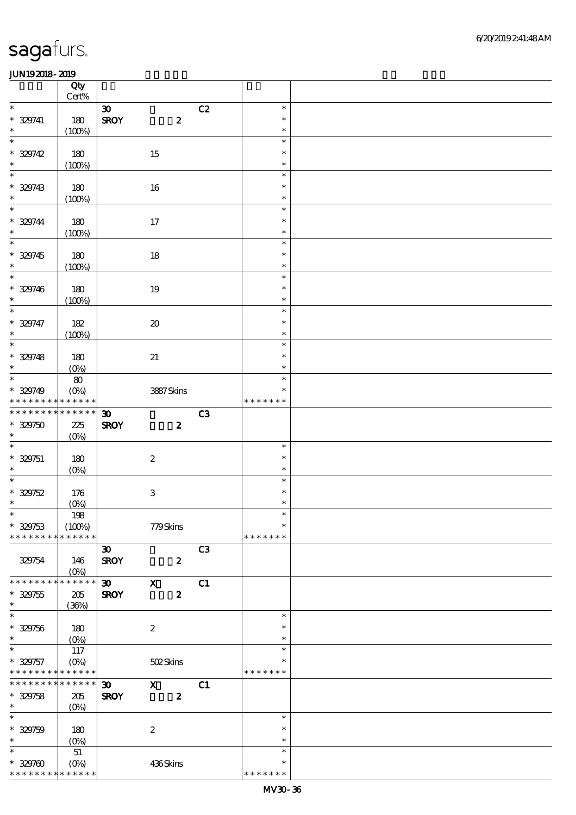|                                                        | Qty               |                             |                                     |                  |                |               |  |
|--------------------------------------------------------|-------------------|-----------------------------|-------------------------------------|------------------|----------------|---------------|--|
| $\ast$                                                 | $Cert\%$          |                             |                                     |                  |                | $\ast$        |  |
|                                                        |                   | $\boldsymbol{\mathfrak{D}}$ |                                     |                  | C2             | $\ast$        |  |
| $* 329741$<br>$\ast$                                   | 180               | <b>SROY</b>                 |                                     | $\boldsymbol{z}$ |                | $\ast$        |  |
| $\ast$                                                 | (100%)            |                             |                                     |                  |                | $\ast$        |  |
|                                                        |                   |                             |                                     |                  |                | $\ast$        |  |
| $* 329742$                                             | 180               |                             | 15                                  |                  |                |               |  |
| $\ast$<br>$\ast$                                       | (100%)            |                             |                                     |                  |                | $\ast$        |  |
|                                                        |                   |                             |                                     |                  |                | $\ast$        |  |
| $* 329743$                                             | 180               |                             | 16                                  |                  |                | $\ast$        |  |
| $\ast$                                                 | (100%)            |                             |                                     |                  |                | $\ast$        |  |
| $\ast$                                                 |                   |                             |                                     |                  |                | $\ast$        |  |
| $* 329744$                                             | 180               |                             | 17                                  |                  |                | $\ast$        |  |
| $\ast$                                                 | (100%)            |                             |                                     |                  |                | $\ast$        |  |
| $\overline{\phantom{0}}$                               |                   |                             |                                     |                  |                | $\ast$        |  |
| $* 329745$                                             | 180               |                             | $18\,$                              |                  |                | $\ast$        |  |
| $\ast$                                                 | (100%)            |                             |                                     |                  |                | $\ast$        |  |
| $\ast$                                                 |                   |                             |                                     |                  |                | $\ast$        |  |
| $* 329746$                                             | 180               |                             | $19\,$                              |                  |                | $\ast$        |  |
| $\ast$                                                 | (100%)            |                             |                                     |                  |                | $\ast$        |  |
| $\ast$                                                 |                   |                             |                                     |                  |                | $\ast$        |  |
| $* 329747$                                             | 182               |                             | $\boldsymbol{\boldsymbol{\lambda}}$ |                  |                | $\ast$        |  |
| $\ast$                                                 | (100%)            |                             |                                     |                  |                | $\ast$        |  |
| $\overline{\phantom{0}}$                               |                   |                             |                                     |                  |                | $\ast$        |  |
| $* 329748$                                             | 180               |                             | 21                                  |                  |                | $\ast$        |  |
| $\ast$                                                 | (0%)              |                             |                                     |                  |                | $\ast$        |  |
| $\ast$                                                 | $\bf{8}$          |                             |                                     |                  |                | $\ast$        |  |
| $* 329749$                                             | $(O\%)$           |                             | 3887Skins                           |                  |                | *             |  |
| * * * * * * * * * * * * * *                            |                   |                             |                                     |                  |                | * * * * * * * |  |
| * * * * * * * * * * * * * *                            |                   | $\boldsymbol{\mathfrak{D}}$ |                                     |                  | C <sub>3</sub> |               |  |
| $* 329750$                                             | 225               | <b>SROY</b>                 |                                     | $\boldsymbol{z}$ |                |               |  |
| $\ast$                                                 | (O <sub>0</sub> ) |                             |                                     |                  |                |               |  |
| $\ast$                                                 |                   |                             |                                     |                  |                | $\ast$        |  |
| $* 329751$                                             | 180               |                             | $\boldsymbol{2}$                    |                  |                | $\ast$        |  |
| $\ast$                                                 | $(O\%)$           |                             |                                     |                  |                | $\ast$        |  |
| $\ast$                                                 |                   |                             |                                     |                  |                | $\ast$        |  |
| $* 329752$                                             | 176               |                             | $\ensuremath{\mathbf{3}}$           |                  |                | $\ast$        |  |
| $\ast$                                                 | $(O\%)$           |                             |                                     |                  |                | $\ast$        |  |
| $\ast$                                                 | $198\,$           |                             |                                     |                  |                | $\ast$        |  |
| $* 329753$                                             | (100%)            |                             | 779Skins                            |                  |                | $\ast$        |  |
| * * * * * * * *                                        | * * * * * *       |                             |                                     |                  |                | * * * * * * * |  |
|                                                        |                   | $\boldsymbol{\mathfrak{D}}$ |                                     |                  | C <sub>3</sub> |               |  |
| 329754                                                 | 146               | <b>SROY</b>                 |                                     | $\boldsymbol{z}$ |                |               |  |
|                                                        | $(O\%)$           |                             |                                     |                  |                |               |  |
| * * * * * * * *                                        | * * * * * *       | $\boldsymbol{\mathfrak{D}}$ | $\mathbf x$                         |                  | C1             |               |  |
| $* 329755$                                             | 205               | <b>SROY</b>                 |                                     | $\boldsymbol{z}$ |                |               |  |
| $\ast$                                                 | (36%)             |                             |                                     |                  |                |               |  |
| $\ast$                                                 |                   |                             |                                     |                  |                | $\ast$        |  |
| $* 329756$                                             | 180               |                             | $\boldsymbol{2}$                    |                  |                | $\ast$        |  |
| $\ast$                                                 | $(0\%)$           |                             |                                     |                  |                | $\ast$        |  |
| $\ast$                                                 | 117               |                             |                                     |                  |                | $\ast$        |  |
| $* 329757$                                             | $(O\%)$           |                             | 502Skins                            |                  |                | $\ast$        |  |
| * * * * * * * * <mark>* * * * * *</mark>               |                   |                             |                                     |                  |                | * * * * * * * |  |
| * * * * * * * *                                        | $******$          | $\boldsymbol{\mathfrak{D}}$ | $\mathbf{X}$                        |                  | C1             |               |  |
| $* 329758$                                             | $205\,$           | <b>SROY</b>                 |                                     | $\boldsymbol{z}$ |                |               |  |
| $\ast$                                                 | $(O\%)$           |                             |                                     |                  |                |               |  |
| $\ast$                                                 |                   |                             |                                     |                  |                | $\ast$        |  |
| $* 329759$                                             |                   |                             |                                     |                  |                | $\ast$        |  |
| $\ast$                                                 | 180               |                             | $\boldsymbol{2}$                    |                  |                | $\ast$        |  |
| $\ast$                                                 | (O <sub>0</sub> ) |                             |                                     |                  |                | $\ast$        |  |
|                                                        | 51                |                             |                                     |                  |                | $\ast$        |  |
| $* 329700$<br>* * * * * * * * <mark>* * * * * *</mark> | $(0\%)$           |                             | 436Skins                            |                  |                | * * * * * * * |  |
|                                                        |                   |                             |                                     |                  |                |               |  |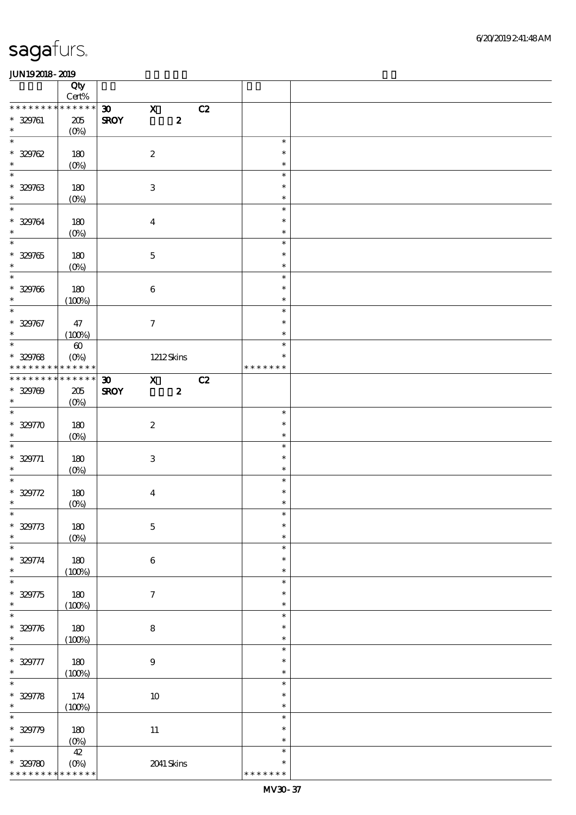|                             | Qty                     |                             |                           |                  |    |                  |  |
|-----------------------------|-------------------------|-----------------------------|---------------------------|------------------|----|------------------|--|
| * * * * * * * *             | $Cert\%$<br>* * * * * * |                             |                           |                  |    |                  |  |
|                             |                         | $\boldsymbol{\mathfrak{D}}$ | $\mathbf{x}$              |                  | C2 |                  |  |
| $* 329761$                  | 205                     | <b>SROY</b>                 |                           | $\boldsymbol{z}$ |    |                  |  |
| $\ast$<br>$\overline{\ast}$ | $(0\%)$                 |                             |                           |                  |    |                  |  |
|                             |                         |                             |                           |                  |    | $\ast$           |  |
| $* 329762$                  | 180                     |                             | $\boldsymbol{2}$          |                  |    | $\ast$           |  |
| $\ast$                      | (0%)                    |                             |                           |                  |    | $\ast$           |  |
| $\overline{\ast}$           |                         |                             |                           |                  |    | $\ast$           |  |
| $* 329763$                  | 180                     |                             | $\,3$                     |                  |    | $\ast$           |  |
| $\ast$                      | $(0\%)$                 |                             |                           |                  |    | $\ast$           |  |
| $\ast$                      |                         |                             |                           |                  |    | $\ast$           |  |
| $* 329764$                  | 180                     |                             | $\boldsymbol{4}$          |                  |    | $\ast$           |  |
| $\ast$                      | $(0\%)$                 |                             |                           |                  |    | $\ast$           |  |
| $\overline{\phantom{0}}$    |                         |                             |                           |                  |    | $\ast$           |  |
| $* 329765$                  | 180                     |                             | $\mathbf 5$               |                  |    | $\ast$           |  |
| $\ast$                      | $(0\%)$                 |                             |                           |                  |    | $\ast$           |  |
| $\overline{\phantom{0}}$    |                         |                             |                           |                  |    | $\ast$           |  |
| $* 329766$                  | 180                     |                             | $\bf 6$                   |                  |    | $\ast$           |  |
| $\ast$                      |                         |                             |                           |                  |    | $\ast$           |  |
| $\ast$                      | (100%)                  |                             |                           |                  |    | $\ast$           |  |
|                             |                         |                             |                           |                  |    | $\ast$           |  |
| $* 329767$<br>$\ast$        | 47                      |                             | $\tau$                    |                  |    |                  |  |
| $\overline{\phantom{0}}$    | (100%)                  |                             |                           |                  |    | $\ast$           |  |
|                             | $\pmb{\infty}$          |                             |                           |                  |    | $\ast$           |  |
| $* 329768$                  | $(O\%)$                 |                             | $1212$ Skins              |                  |    | $\ast$           |  |
| * * * * * * * *             | * * * * * *             |                             |                           |                  |    | * * * * * * *    |  |
| * * * * * * *               | * * * * * *             | $\boldsymbol{\mathfrak{D}}$ | $\mathbf{x}$              |                  | C2 |                  |  |
| $* 329709$                  | 205                     | <b>SROY</b>                 |                           | $\boldsymbol{z}$ |    |                  |  |
| $\ast$                      | $(O\!/\!o)$             |                             |                           |                  |    |                  |  |
| $\ast$                      |                         |                             |                           |                  |    | $\ast$           |  |
| $* 32970$                   | 180                     |                             | $\boldsymbol{2}$          |                  |    | $\ast$           |  |
| $\ast$                      | $(0\%)$                 |                             |                           |                  |    | $\ast$           |  |
| $\ast$                      |                         |                             |                           |                  |    | $\ast$           |  |
| $* 329771$                  | 180                     |                             | $\ensuremath{\mathbf{3}}$ |                  |    | $\ast$           |  |
| $\ast$                      | $(O\%)$                 |                             |                           |                  |    | $\ast$           |  |
| $\ast$                      |                         |                             |                           |                  |    | $\ast$           |  |
| * 329772                    | 180                     |                             | $\boldsymbol{4}$          |                  |    | $\ast$           |  |
| $\ast$                      | (0%)                    |                             |                           |                  |    | $\ast$           |  |
| $\ast$                      |                         |                             |                           |                  |    | $\ast$           |  |
| $* 329773$                  | 180                     |                             | $\mathbf 5$               |                  |    | $\ast$           |  |
| $\ast$                      |                         |                             |                           |                  |    | $\ast$           |  |
| $\ast$                      | $(0\%)$                 |                             |                           |                  |    | $\ast$           |  |
|                             |                         |                             |                           |                  |    |                  |  |
| $* 329774$<br>$\ast$        | 180                     |                             | $\,6$                     |                  |    | $\ast$<br>$\ast$ |  |
| $\ast$                      | (100%)                  |                             |                           |                  |    |                  |  |
|                             |                         |                             |                           |                  |    | $\ast$           |  |
| $* 329775$                  | 180                     |                             | $\boldsymbol{\tau}$       |                  |    | $\ast$           |  |
| $\ast$                      | (100%)                  |                             |                           |                  |    | $\ast$           |  |
| $\ast$                      |                         |                             |                           |                  |    | $\ast$           |  |
| $* 329776$                  |                         |                             |                           |                  |    |                  |  |
| $\ast$                      | $180\,$                 |                             | $\bf 8$                   |                  |    | $\ast$           |  |
|                             | (100%)                  |                             |                           |                  |    | $\ast$           |  |
| $\ast$                      |                         |                             |                           |                  |    | $\ast$           |  |
| $* 329777$                  | 180                     |                             | $\boldsymbol{9}$          |                  |    | $\ast$           |  |
| $\ast$                      | (100%)                  |                             |                           |                  |    | $\ast$           |  |
| $\ast$                      |                         |                             |                           |                  |    | $\ast$           |  |
| $* 329778$                  | 174                     |                             | 10                        |                  |    | $\ast$           |  |
| $\ast$                      | (100%)                  |                             |                           |                  |    | $\ast$           |  |
| $\ast$                      |                         |                             |                           |                  |    | $\ast$           |  |
| $* 329779$                  | 180                     |                             |                           |                  |    | $\ast$           |  |
| $\ast$                      |                         |                             | $11\,$                    |                  |    | $\ast$           |  |
| $\ast$                      | (0%)                    |                             |                           |                  |    | $\ast$           |  |
| $* 329780$                  | $4\!2$<br>$(0\%)$       |                             | 2041 Skins                |                  |    | $\ast$           |  |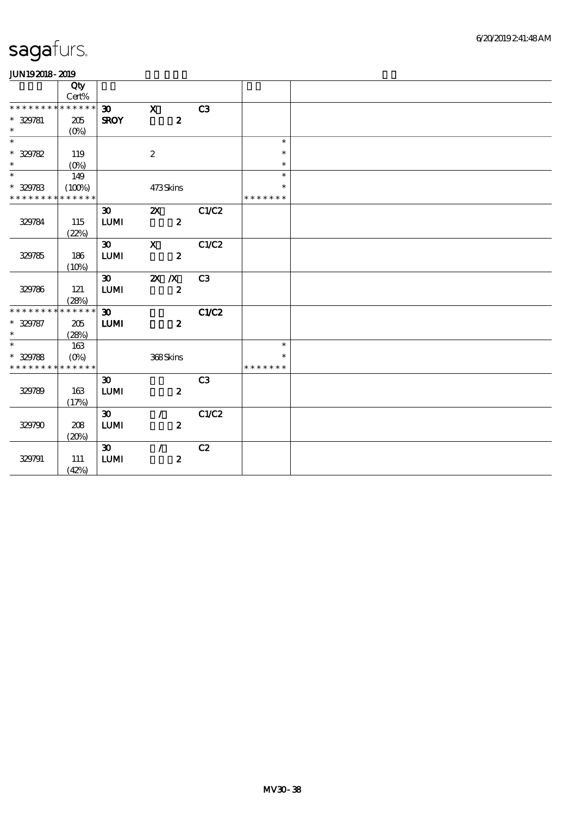| .                           |             |                                  |                           |                   |                 |               |
|-----------------------------|-------------|----------------------------------|---------------------------|-------------------|-----------------|---------------|
|                             | Qty         |                                  |                           |                   |                 |               |
|                             | Cert%       |                                  |                           |                   |                 |               |
| * * * * * * * * * * * * * * |             | $\infty$                         | $\mathbf{x}$              |                   | C3              |               |
| $* 329781$                  | 205         | <b>SROY</b>                      |                           | $\boldsymbol{z}$  |                 |               |
| $\ast$                      | $(O\%)$     |                                  |                           |                   |                 |               |
| $\overline{\ast}$           |             |                                  |                           |                   |                 | $\ast$        |
| $* 329782$                  | 119         |                                  | $\boldsymbol{2}$          |                   |                 | $\ast$        |
| $\ast$                      | $(O\%)$     |                                  |                           |                   |                 | $\ast$        |
| $\ast$                      | 149         |                                  |                           |                   |                 | $\ast$        |
| $* 329783$                  | (100%)      |                                  | 473Skins                  |                   |                 |               |
| * * * * * * * *             | * * * * * * |                                  |                           |                   |                 | * * * * * * * |
|                             |             | $\infty$                         |                           |                   | <b>2X</b> C1/C2 |               |
| 329784                      | 115         | <b>LUMI</b>                      |                           | $\boldsymbol{2}$  |                 |               |
|                             |             |                                  |                           |                   |                 |               |
|                             | (22%)       |                                  |                           |                   |                 |               |
|                             |             | 30                               | $\mathbf{X}$              |                   | C1/C2           |               |
| 329785                      | 186         | $\textbf{L}\textbf{U}\textbf{M}$ |                           | $\boldsymbol{2}$  |                 |               |
|                             | (10%)       |                                  |                           |                   |                 |               |
|                             |             | 30                               | $\mathbf{X}$ $\mathbf{X}$ |                   | C <sub>3</sub>  |               |
| 329786                      | 121         | <b>LUMI</b>                      |                           | $\boldsymbol{2}$  |                 |               |
|                             | (28%)       |                                  |                           |                   |                 |               |
| * * * * * * * *             | $******$    | $\boldsymbol{\mathfrak{D}}$      |                           |                   | C1/C2           |               |
| $* 329787$                  | 205         | <b>LUMI</b>                      |                           | $\boldsymbol{2}$  |                 |               |
| $\ast$                      | (28%)       |                                  |                           |                   |                 |               |
| $\ast$                      | 163         |                                  |                           |                   |                 | $\ast$        |
| $* 329788$                  | $(O\!/\!o)$ |                                  | 368Skins                  |                   |                 | $\ast$        |
| * * * * * * * * * * * * * * |             |                                  |                           |                   |                 | * * * * * * * |
|                             |             | $\boldsymbol{\mathfrak{D}}$      |                           |                   | C <sub>3</sub>  |               |
| 329789                      | 163         | ${\bf LUM}$                      |                           | $\boldsymbol{z}$  |                 |               |
|                             |             |                                  |                           |                   |                 |               |
|                             | (17%)       |                                  |                           |                   |                 |               |
|                             |             | $\boldsymbol{\mathfrak{D}}$      |                           | $\mathcal{F}$ and | C1/C2           |               |
| 329790                      | 208         | ${\bf LUM}$                      |                           | $\boldsymbol{z}$  |                 |               |
|                             | (20%)       |                                  |                           |                   |                 |               |
|                             |             | $\boldsymbol{\mathfrak{D}}$      | $\mathcal{L}$             |                   | C2              |               |
| 329791                      | 111         | LUM                              |                           | $\boldsymbol{z}$  |                 |               |
|                             | (42%)       |                                  |                           |                   |                 |               |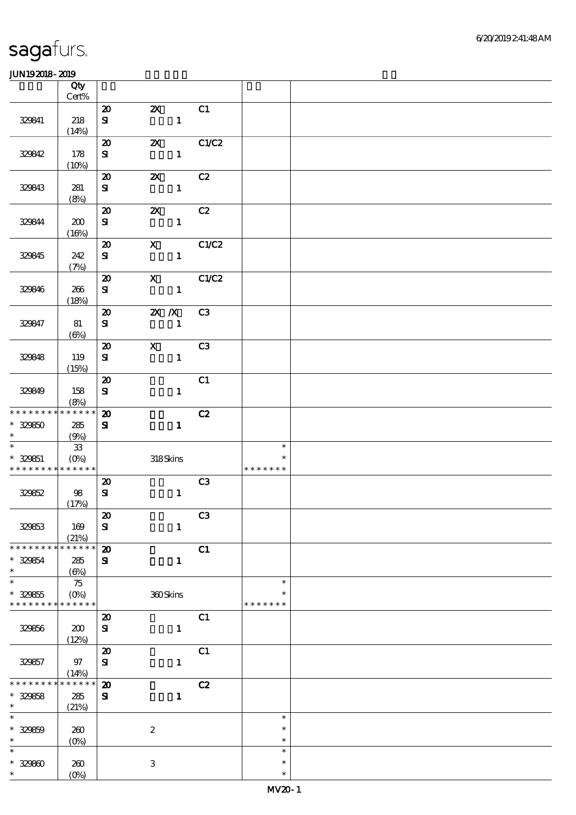|                             | Qty<br>Cert%              |                             |                           |                |               |  |
|-----------------------------|---------------------------|-----------------------------|---------------------------|----------------|---------------|--|
|                             |                           |                             |                           |                |               |  |
|                             |                           | $\boldsymbol{\mathbf{z}}$   | $\mathbf{X}$              | C1             |               |  |
| 329841                      | 218                       | ${\bf s}$                   | $\mathbf{1}$              |                |               |  |
|                             | (14%)                     |                             |                           |                |               |  |
|                             |                           | $\boldsymbol{\mathsf{20}}$  | $\boldsymbol{\mathsf{Z}}$ | C1/C2          |               |  |
| 329842                      | 178                       | ${\bf S}$                   | $\mathbf{1}$              |                |               |  |
|                             | (10%)                     |                             |                           |                |               |  |
|                             |                           | $\boldsymbol{\mathsf{20}}$  | $\boldsymbol{\mathsf{z}}$ | C2             |               |  |
| 329843                      | 281                       | ${\bf s}$                   | $\mathbf{1}$              |                |               |  |
|                             | (8%)                      |                             |                           |                |               |  |
|                             |                           | $\boldsymbol{\mathfrak{D}}$ | $\boldsymbol{\mathsf{Z}}$ | C2             |               |  |
| 329844                      | 200                       | ${\bf s}$                   | $\mathbf{1}$              |                |               |  |
|                             | (16%)                     |                             |                           |                |               |  |
|                             |                           | $\boldsymbol{\mathfrak{D}}$ | $\mathbf{x}$              | C1/C2          |               |  |
| 329845                      | 242                       | $\mathbf{S}$                | $\mathbf{1}$              |                |               |  |
|                             | (7%)                      |                             |                           |                |               |  |
|                             |                           | $\boldsymbol{\mathbf{z}}$   | $\mathbf{x}$              | C1/C2          |               |  |
| 329846                      | 266                       | ${\bf s}$                   | $\mathbf{1}$              |                |               |  |
|                             | (18%)                     |                             |                           |                |               |  |
|                             |                           | $\boldsymbol{\mathfrak{D}}$ | $X$ $X$                   | C3             |               |  |
| 329847                      | 81                        | ${\bf s}$                   | $\mathbf{1}$              |                |               |  |
|                             | $(\Theta)$                |                             |                           |                |               |  |
|                             |                           | $\boldsymbol{\mathfrak{D}}$ | $\mathbf{X}$              | C <sub>3</sub> |               |  |
| 329848                      | 119                       | ${\bf s}$                   | $\mathbf{1}$              |                |               |  |
|                             | (15%)                     |                             |                           |                |               |  |
|                             |                           | $\boldsymbol{\mathbf{z}}$   |                           | C1             |               |  |
| 329849                      | 158                       | ${\bf s}$                   | $\mathbf{1}$              |                |               |  |
| * * * * * * * * * * * * * * | (8%)                      | $\boldsymbol{\mathbf{z}}$   |                           | C2             |               |  |
| $* 329850$                  |                           |                             |                           |                |               |  |
| $\ast$                      | 285                       | ${\bf s}$                   | $\mathbf{1}$              |                |               |  |
| $\overline{\ast}$           | (9%)                      |                             |                           |                | $\ast$        |  |
| $* 329851$                  | ${\bf 33}$<br>$(O\!/\!o)$ |                             | $318S$ kins               |                | $\ast$        |  |
| * * * * * * * * * * * * * * |                           |                             |                           |                | * * * * * * * |  |
|                             |                           | $\boldsymbol{\mathfrak{D}}$ |                           | C <sub>3</sub> |               |  |
| 329652                      | 98                        | ${\bf s}$                   | $\mathbf{1}$              |                |               |  |
|                             | (17%)                     |                             |                           |                |               |  |
|                             |                           | $\overline{\mathbf{a}}$     |                           | C3             |               |  |
| 329853                      | 169                       | ${\bf s}$                   | $\mathbf{1}$              |                |               |  |
|                             | (21%)                     |                             |                           |                |               |  |
| * * * * * * * *             | * * * * * *               | $\boldsymbol{\mathbf{z}}$   |                           | C1             |               |  |
| * 329854                    | 285                       | ${\bf s}$                   | $\mathbf{1}$              |                |               |  |
| $\ast$                      | $(\Theta)$                |                             |                           |                |               |  |
| $\ast$                      | 75                        |                             |                           |                | $\ast$        |  |
| $* 329855$                  |                           |                             | 360Skins                  |                | $\ast$        |  |
| * * * * * * * *             | * * * * * *               |                             |                           |                | * * * * * * * |  |
|                             |                           | $\boldsymbol{\mathfrak{D}}$ |                           | C1             |               |  |
| 329856                      | 200                       | ${\bf s}$                   | $\mathbf{1}$              |                |               |  |
|                             | (12%)                     |                             |                           |                |               |  |
|                             |                           | $\boldsymbol{\mathsf{20}}$  |                           | C1             |               |  |
| 329857                      | 97                        | ${\bf s}$                   | $\mathbf{1}$              |                |               |  |
|                             | (14%)                     |                             |                           |                |               |  |
| * * * * * *                 | * * * * * *               | $\boldsymbol{\mathsf{20}}$  |                           | C2             |               |  |
| $* 329858$                  | 285                       | $\mathbf{S}$                | $\mathbf{1}$              |                |               |  |
| $\ast$                      | (21%)                     |                             |                           |                |               |  |
| $\ast$                      |                           |                             |                           |                | $\ast$        |  |
| $* 329859$                  | 260                       |                             | $\boldsymbol{2}$          |                | $\ast$        |  |
| $\ast$                      | $(0\%)$                   |                             |                           |                | $\ast$        |  |
| $\ast$                      |                           |                             |                           |                | $\ast$        |  |
| $* 32980$                   | 260                       |                             | $\,3\,$                   |                | $\ast$        |  |
| $\ast$                      | $(O\!/\!o)$               |                             |                           |                | $\ast$        |  |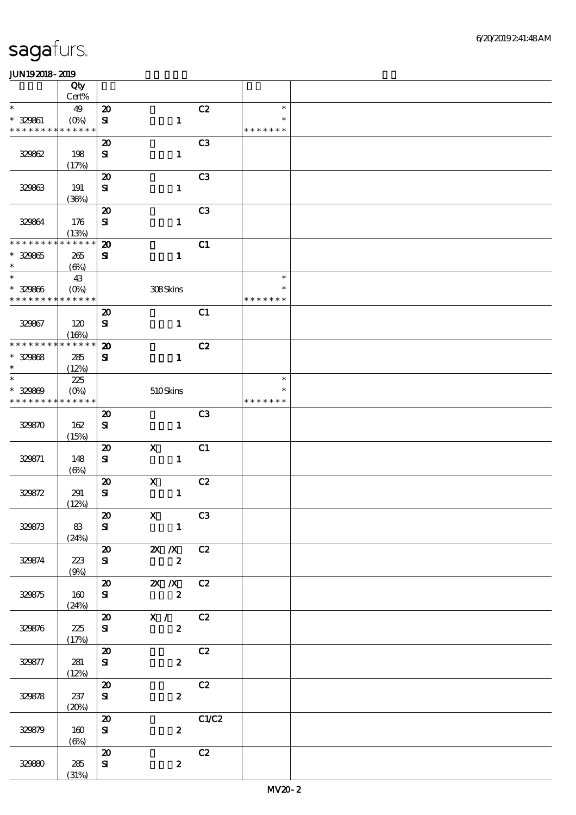|                               | Qty<br>Cert%           |                             |                           |                |               |  |
|-------------------------------|------------------------|-----------------------------|---------------------------|----------------|---------------|--|
| $\ast$                        |                        |                             |                           |                | $\ast$        |  |
|                               | 49                     | $\boldsymbol{\mathbf{z}}$   |                           | C2             | $\ast$        |  |
| $* 329601$<br>* * * * * * * * | $(0\%)$<br>* * * * * * | $\bf S\!I$                  | $\mathbf{1}$              |                | * * * * * * * |  |
|                               |                        | $\boldsymbol{\mathsf{20}}$  |                           | C <sub>3</sub> |               |  |
| 329862                        | 198                    | ${\bf S}$                   | $\mathbf{1}$              |                |               |  |
|                               | (17%)                  |                             |                           |                |               |  |
|                               |                        | $\boldsymbol{\mathsf{20}}$  |                           | C <sub>3</sub> |               |  |
| 329863                        | 191                    | ${\bf S\!I}$                | $\mathbf{1}$              |                |               |  |
|                               | (36%)                  |                             |                           |                |               |  |
|                               |                        | $\boldsymbol{\mathsf{20}}$  |                           | C <sub>3</sub> |               |  |
| 32964                         | 176                    | $\bf S\!I$                  | $\mathbf{1}$              |                |               |  |
|                               | (13%)                  |                             |                           |                |               |  |
| * * * * * * * *               | * * * * * *            | $\boldsymbol{\mathsf{20}}$  |                           | C1             |               |  |
| $* 329865$                    | 265                    | ${\bf s}$                   | $\mathbf{1}$              |                |               |  |
| $\ast$                        | $(\Theta_0)$           |                             |                           |                |               |  |
| $\ast$                        | 43                     |                             |                           |                | $\ast$        |  |
| $* 32966$                     | $(0\%)$                |                             | 308Skins                  |                | $\ast$        |  |
| * * * * * * * *               | * * * * * *            |                             |                           |                | * * * * * * * |  |
|                               |                        | $\boldsymbol{\mathbf{z}}$   |                           | C1             |               |  |
| 329867                        | 120                    |                             |                           |                |               |  |
|                               |                        | $\bf S\bf I$                | $\mathbf{1}$              |                |               |  |
| * * * * * * * *               | (16%)<br>* * * * * *   | $\boldsymbol{\mathbf{z}}$   |                           | C2             |               |  |
|                               |                        |                             |                           |                |               |  |
| $* 32968$<br>$\ast$           | 285                    | ${\bf s}$                   | $\mathbf{1}$              |                |               |  |
| $\ast$                        | (12%)                  |                             |                           |                | $\ast$        |  |
|                               | 225                    |                             |                           |                | $\ast$        |  |
| $* 329809$<br>* * * * * * * * | $(O\%)$<br>* * * * * * |                             | $510\mbox{Skins}$         |                | * * * * * * * |  |
|                               |                        |                             |                           |                |               |  |
|                               |                        | $\boldsymbol{\mathsf{20}}$  |                           | C <sub>3</sub> |               |  |
| 329870                        | 162                    | ${\bf s}$                   | $\mathbf{1}$              |                |               |  |
|                               | (15%)                  |                             |                           |                |               |  |
|                               |                        | $\boldsymbol{\mathbf{z}}$   | $\boldsymbol{\mathrm{X}}$ | C1             |               |  |
| 329871                        | 148                    | ${\bf S}$                   | $\mathbf{1}$              |                |               |  |
|                               | $(\Theta)$             |                             |                           |                |               |  |
|                               |                        | $\boldsymbol{\mathsf{20}}$  | $\mathbf X$               | C2             |               |  |
| 329872                        | 291                    | $\mathbf{S}$                | $\mathbf{1}$              |                |               |  |
|                               | (12%)                  |                             |                           |                |               |  |
|                               |                        | $\boldsymbol{\omega}$       | $\mathbf{X}$              | C3             |               |  |
| 329873                        | 83                     | ${\bf s}$                   | $\mathbf{1}$              |                |               |  |
|                               | (24%)                  |                             |                           |                |               |  |
|                               |                        |                             | 20 2X /X C2               |                |               |  |
| 329874                        | 223                    | ${\bf s}$                   | $\overline{\mathbf{2}}$   |                |               |  |
|                               | (9%)                   |                             |                           |                |               |  |
|                               |                        |                             | 20 2X X C2                |                |               |  |
| 329875                        | 160                    | ${\bf s}$                   | $\overline{\mathbf{z}}$   |                |               |  |
|                               | (24%)                  |                             |                           |                |               |  |
|                               |                        |                             | 20 X / C2                 |                |               |  |
| 329876                        | 225                    | $S_{\mathbf{I}}$            |                           | $\mathbf{2}$   |               |  |
|                               | (17%)                  |                             |                           |                |               |  |
|                               |                        | $\boldsymbol{\mathsf{20}}$  |                           | C2             |               |  |
| 329877                        | 281                    | ${\bf s}$                   | $\mathbf{z}$              |                |               |  |
|                               | (12%)                  |                             |                           |                |               |  |
|                               |                        | $\boldsymbol{\mathbf{z}}$   |                           | C2             |               |  |
| 329878                        | 237                    | ${\bf s}$                   | $\boldsymbol{z}$          |                |               |  |
|                               | (20%)                  |                             |                           |                |               |  |
|                               |                        | $\boldsymbol{\mathfrak{D}}$ |                           | C1/C2          |               |  |
| 329879                        | 160                    | ${\bf s}$                   | $\mathbf{2}$              |                |               |  |
|                               | (6%)                   |                             |                           |                |               |  |
|                               |                        | $\boldsymbol{\mathfrak{D}}$ |                           | C2             |               |  |
| 32980                         | 285                    | ${\bf s}$                   | $\boldsymbol{z}$          |                |               |  |
|                               | (31%)                  |                             |                           |                |               |  |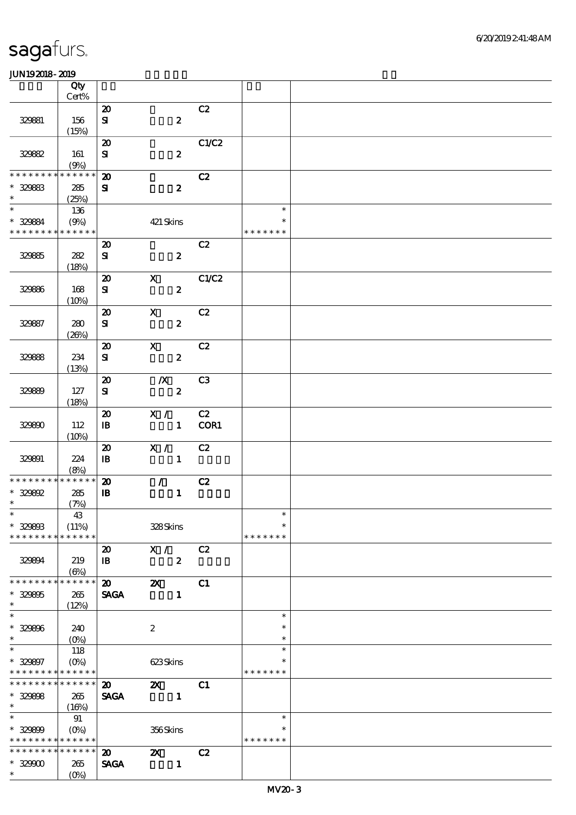|                                           | Qty<br>Cert% |                                             |                            |                |                         |  |
|-------------------------------------------|--------------|---------------------------------------------|----------------------------|----------------|-------------------------|--|
|                                           |              | $\boldsymbol{\mathbf{z}}$                   |                            | C2             |                         |  |
| 329881                                    | 156<br>(15%) | ${\bf S\hspace{-.075ex}I}$                  | $\boldsymbol{z}$           |                |                         |  |
|                                           |              | $\boldsymbol{\mathfrak{D}}$                 |                            | C1/C2          |                         |  |
| 329882                                    | 161<br>(9%)  | ${\bf S}$                                   | $\boldsymbol{z}$           |                |                         |  |
| * * * * * * * *                           | $******$     | $\boldsymbol{\mathbf{z}}$                   |                            | C2             |                         |  |
| $* 329883$<br>$\ast$                      | 285<br>(25%) | ${\bf s}$                                   | $\boldsymbol{z}$           |                |                         |  |
| $\ast$                                    | 136          |                                             |                            |                | $\ast$                  |  |
| * 329884<br>* * * * * * * * * * * * * *   | (9%)         |                                             | 421 Skins                  |                | $\ast$<br>* * * * * * * |  |
|                                           |              | $\boldsymbol{\mathfrak{D}}$                 |                            | C2             |                         |  |
| 32985                                     | 282          | ${\bf s}$                                   | $\boldsymbol{z}$           |                |                         |  |
|                                           | (18%)        | $\boldsymbol{\mathbf{Z}}$                   | $\mathbf{x}$               | C1/C2          |                         |  |
| 329886                                    | 168<br>(10%) | ${\bf s}$                                   | $\boldsymbol{z}$           |                |                         |  |
|                                           |              | $\boldsymbol{\mathsf{20}}$                  | $\mathbf X$                | C2             |                         |  |
| 329887                                    | 280<br>(20%) | $\mathbf{S}$                                | $\boldsymbol{z}$           |                |                         |  |
|                                           |              | $\boldsymbol{\mathfrak{D}}$                 | $\mathbf{X}$               | C2             |                         |  |
| 32988                                     | 234<br>(13%) | ${\bf S}$                                   | $\boldsymbol{z}$           |                |                         |  |
|                                           |              | $\boldsymbol{\mathfrak{D}}$                 | $\overline{\mathbf{X}}$    | C <sub>3</sub> |                         |  |
| 329899                                    | 127<br>(18%) | ${\bf s}$                                   | $\boldsymbol{z}$           |                |                         |  |
|                                           |              | $\boldsymbol{\mathsf{20}}$                  | X / C2                     |                |                         |  |
| 329800                                    | 112<br>(10%) | $\mathbf{B}$                                |                            | 1 COR1         |                         |  |
|                                           |              | $\boldsymbol{\mathfrak{D}}$                 | X / C2                     |                |                         |  |
| 329891                                    | 224<br>(8%)  | $\mathbf{B}$                                | $\blacksquare$             |                |                         |  |
| * * * * * * * * * * * * * *               |              | $\boldsymbol{\mathbf{z}}$                   | $\mathcal{T}=\mathcal{I}$  | C2             |                         |  |
| $* 329892$<br>$\ast$                      | 285          | $\mathbf{B}$                                | $\mathbf{1}$               |                |                         |  |
| $*$                                       | (7%)<br>43   |                                             |                            |                | $\ast$                  |  |
| $* 329803$                                | (11%)        |                                             | 328Skins                   |                | $\ast$                  |  |
| * * * * * * * *                           | * * * * * *  |                                             |                            |                | * * * * * * *           |  |
| 329894                                    | 219          | $\boldsymbol{\mathfrak{D}}$<br>$\mathbf{B}$ | X / C2<br>$\boldsymbol{z}$ |                |                         |  |
|                                           | $(\Theta)$   |                                             |                            |                |                         |  |
| * * * * * * * *                           | * * * * * *  | $\boldsymbol{\mathsf{20}}$                  | $\boldsymbol{\mathsf{z}}$  | C1             |                         |  |
| $* 329805$                                | 265          | <b>SAGA</b>                                 | $\mathbf{1}$               |                |                         |  |
| $\ast$<br>$\ast$                          | (12%)        |                                             |                            |                | $\ast$                  |  |
| $* 329806$                                | 240          |                                             | $\boldsymbol{z}$           |                | $\ast$                  |  |
| $\ast$                                    | $(0\%)$      |                                             |                            |                | $\ast$                  |  |
| $\ast$                                    | 118          |                                             |                            |                | $\ast$                  |  |
| $* 329897$<br>* * * * * * * * * * * * * * | $(O\%)$      |                                             | 623Skins                   |                | $\ast$<br>* * * * * * * |  |
| * * * * * * * * * * * * * * *             |              | $\boldsymbol{\mathfrak{D}}$                 | $\mathbf{X}$               | C1             |                         |  |
| $* 329808$                                | 265          | <b>SAGA</b>                                 | $\blacksquare$             |                |                         |  |
| $*$ $*$                                   | (16%)        |                                             |                            |                |                         |  |
| $\ast$                                    | 91           |                                             |                            |                | $\ast$<br>$\ast$        |  |
| $* 329809$<br>* * * * * * * * * * * * * * |              |                                             | 356Skins                   |                | * * * * * * *           |  |
| * * * * * * * * * * * * * *               |              | $\boldsymbol{\mathsf{20}}$                  | $\mathbf{X}$               | C2             |                         |  |
| $* 32900$                                 | 265          | <b>SAGA</b>                                 | $\mathbf 1$                |                |                         |  |
| $\ast$                                    | $(O\%)$      |                                             |                            |                |                         |  |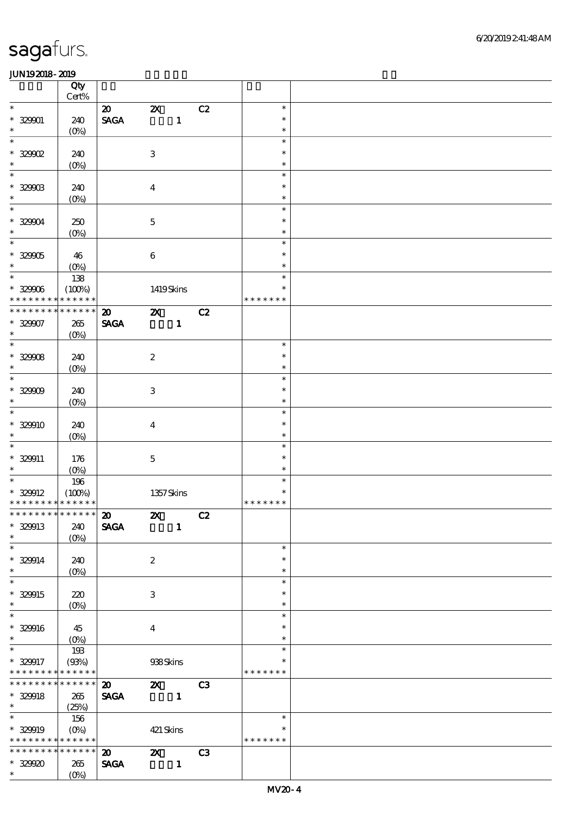|                                                       | Qty<br>$\mbox{Cert}\%$    |                                |                           |              |    |                         |  |
|-------------------------------------------------------|---------------------------|--------------------------------|---------------------------|--------------|----|-------------------------|--|
| $\ast$                                                |                           | $\boldsymbol{\mathfrak{D}}$    | $\boldsymbol{\mathsf{Z}}$ |              | C2 | $\ast$                  |  |
| $* 329001$<br>$\ast$                                  | 240<br>$(O\!/\!o)$        | $\ensuremath{\mathsf{SAGA}}$   |                           | $\mathbf{1}$ |    | $\ast$<br>$\ast$        |  |
| $\ast$                                                |                           |                                |                           |              |    | $\ast$                  |  |
| $*32902$<br>$\ast$                                    | 240                       |                                | $\ensuremath{\mathbf{3}}$ |              |    | $\ast$<br>$\ast$        |  |
| $\ast$                                                | $(0\%)$                   |                                |                           |              |    | $\ast$                  |  |
| $^*$ 329003 $\,$<br>$\ast$                            | 240                       |                                | $\boldsymbol{4}$          |              |    | $\ast$<br>$\ast$        |  |
| $\ast$                                                | $(0\%)$                   |                                |                           |              |    | $\ast$                  |  |
| $* 32904$<br>$\ast$                                   | 250<br>$(O\%)$            |                                | $\mathbf 5$               |              |    | $\ast$<br>$\ast$        |  |
| $\overline{\phantom{0}}$                              |                           |                                |                           |              |    | $\ast$                  |  |
| $* 32905$<br>$\ast$                                   | 46<br>$(0\%)$             |                                | $\bf 6$                   |              |    | $\ast$<br>$\ast$        |  |
| $\overline{\ast}$                                     | 138                       |                                |                           |              |    | $\ast$                  |  |
| $* 32906$<br>* * * * * * * *                          | (100%)<br>* * * * * *     |                                | 1419Skins                 |              |    | ∗<br>* * * * * * *      |  |
| * * * * * * * *                                       | * * * * * *               | $\boldsymbol{\mathfrak{D}}$    | $\boldsymbol{\mathsf{Z}}$ |              | C2 |                         |  |
| $* 329007$<br>$\ast$                                  | $265\,$<br>$(O\!/\!o)$    | <b>SAGA</b>                    |                           | $\mathbf{1}$ |    |                         |  |
| $\overline{\phantom{0}}$                              |                           |                                |                           |              |    | $\ast$                  |  |
|                                                       |                           |                                |                           |              |    |                         |  |
| $* 32908$                                             | 240                       |                                | $\boldsymbol{2}$          |              |    | $\ast$                  |  |
| $\ast$                                                | $(O\%)$                   |                                |                           |              |    | $\ast$                  |  |
| $\overline{\ast}$                                     |                           |                                |                           |              |    | $\ast$                  |  |
| $* 32909$                                             | 240                       |                                | $\ensuremath{\mathbf{3}}$ |              |    | $\ast$                  |  |
| $\ast$                                                | $(O\!/\!o)$               |                                |                           |              |    | $\ast$                  |  |
| $\ast$                                                |                           |                                |                           |              |    | $\ast$                  |  |
| $* 32900$                                             | 240                       |                                | $\boldsymbol{4}$          |              |    | $\ast$                  |  |
| $\ast$                                                | $(0\%)$                   |                                |                           |              |    | $\ast$                  |  |
| $\ast$                                                |                           |                                |                           |              |    | $\ast$                  |  |
| $* 329911$                                            | 176                       |                                | $\mathbf 5$               |              |    | $\ast$                  |  |
| $\ast$                                                | $(O\%)$                   |                                |                           |              |    | $\ast$                  |  |
| $\ast$                                                | $196\,$                   |                                |                           |              |    | $\ast$                  |  |
| * 329912                                              |                           |                                | 1357Skins                 |              |    |                         |  |
| * * * * * * * * * * * * * *                           | (100%)                    |                                |                           |              |    | * * * * * * *           |  |
|                                                       |                           |                                |                           |              |    |                         |  |
| * * * * * * * * * * * * * * *<br>$* 329013$<br>$\ast$ | 240<br>$(0\%)$            | 20<br><b>SAGA</b>              | $\boldsymbol{\mathsf{z}}$ | $\mathbf{1}$ | C2 |                         |  |
| $\overline{\phantom{0}}$                              |                           |                                |                           |              |    | $\ast$                  |  |
|                                                       |                           |                                |                           |              |    | $\ast$                  |  |
| $* 329914$<br>$\ast$                                  | 240                       |                                | $\boldsymbol{2}$          |              |    |                         |  |
| $\overline{\ast}$                                     | $(O\!/\!o)$               |                                |                           |              |    | $\ast$                  |  |
|                                                       |                           |                                |                           |              |    | $\ast$                  |  |
| $* 329915$                                            | 220                       |                                | $\ensuremath{\mathbf{3}}$ |              |    | $\ast$                  |  |
| $\ast$                                                | $(0\%)$                   |                                |                           |              |    | $\ast$                  |  |
| $\overline{\phantom{0}}$                              |                           |                                |                           |              |    | $\ast$                  |  |
| $* 329016$                                            | 45                        |                                | $\boldsymbol{4}$          |              |    | $\ast$                  |  |
| $\ast$                                                | $(0\%)$                   |                                |                           |              |    | $\ast$                  |  |
| $\ast$                                                | 193                       |                                |                           |              |    | $\ast$                  |  |
| $* 329917$<br>* * * * * * * *                         | (93%)<br>* * * * * *      |                                | 938Skins                  |              |    | $\ast$<br>* * * * * * * |  |
| * * * * * * *                                         | * * * * * *               | $\boldsymbol{\mathfrak{D}}$    | $\boldsymbol{\mathsf{X}}$ |              | C3 |                         |  |
| $* 329018$                                            | 265                       | <b>SAGA</b>                    |                           | $\mathbf{1}$ |    |                         |  |
| $\ast$                                                | (25%)                     |                                |                           |              |    |                         |  |
| $\overline{\phantom{0}}$                              |                           |                                |                           |              |    | $\ast$                  |  |
|                                                       | 156                       |                                |                           |              |    | $\ast$                  |  |
| $* 329919$<br>* * * * * * * * * * * * * *             | $(O\!\!\!\!\!\!\!/\,\!o)$ |                                | 421 Skins                 |              |    |                         |  |
|                                                       |                           |                                |                           |              |    | * * * * * * *           |  |
| * * * * * * * *                                       | * * * * * *               | $\boldsymbol{\mathfrak{D}}$    | $\boldsymbol{\mathsf{Z}}$ |              | C3 |                         |  |
| $* 32990$                                             | 265                       | $\operatorname{\mathsf{SAGA}}$ |                           | $\mathbf{1}$ |    |                         |  |
| $\ast$                                                | (0%)                      |                                |                           |              |    |                         |  |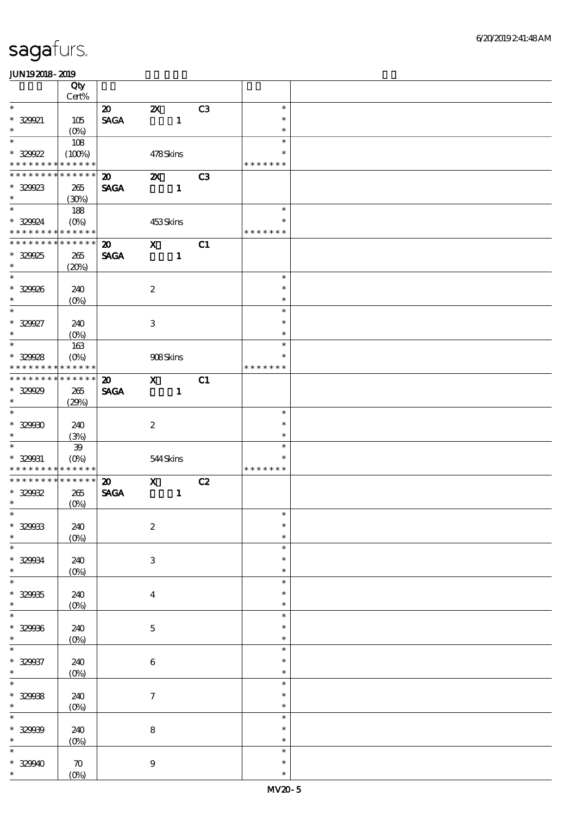|                                          | Qty                          |                                |                           |              |                |                  |  |
|------------------------------------------|------------------------------|--------------------------------|---------------------------|--------------|----------------|------------------|--|
|                                          | $Cert\%$                     |                                |                           |              |                |                  |  |
| $\overline{\phantom{0}}$                 |                              | $\boldsymbol{\mathfrak{D}}$    | $\boldsymbol{\mathsf{z}}$ |              | C <sub>3</sub> | $\ast$           |  |
| $* 329921$<br>$\ast$                     | 105                          | $\operatorname{\mathsf{SAGA}}$ |                           | $\mathbf{1}$ |                | $\ast$<br>$\ast$ |  |
| $\ast$                                   | $(O_0)$<br>108               |                                |                           |              |                | $\ast$           |  |
| $* 329922$                               | (100%)                       |                                | 478Skins                  |              |                | $\ast$           |  |
| * * * * * * * *                          | * * * * * *                  |                                |                           |              |                | * * * * * * *    |  |
| * * * * * * * *                          | * * * * * *                  | $\boldsymbol{\mathsf{20}}$     | $\boldsymbol{\alpha}$     |              | C <sub>3</sub> |                  |  |
| $* 329923$                               | 265                          | <b>SAGA</b>                    |                           | $\mathbf{1}$ |                |                  |  |
| $\ast$                                   | (30%)                        |                                |                           |              |                |                  |  |
| $\overline{\phantom{0}}$                 | 188                          |                                |                           |              |                | $\ast$           |  |
| * 329924                                 | $(O\!/\!o)$                  |                                | 453Skins                  |              |                | $\ast$           |  |
| * * * * * * * * <mark>* * * * * *</mark> |                              |                                |                           |              |                | * * * * * * *    |  |
| * * * * * * * *                          | * * * * * *                  | $\boldsymbol{\mathfrak{D}}$    | $\boldsymbol{\mathrm{X}}$ |              | C1             |                  |  |
| $* 329925$                               | 265                          | <b>SAGA</b>                    |                           | $\mathbf{1}$ |                |                  |  |
| $\ast$<br>$\overline{\ast}$              | (20%)                        |                                |                           |              |                |                  |  |
|                                          |                              |                                |                           |              |                | $\ast$<br>$\ast$ |  |
| $* 329926$<br>$\ast$                     | 240<br>$(O\%)$               |                                | $\boldsymbol{2}$          |              |                | $\ast$           |  |
| $\overline{\phantom{0}}$                 |                              |                                |                           |              |                | $\ast$           |  |
| $* 329927$                               | 240                          |                                | $\ensuremath{\mathbf{3}}$ |              |                | $\ast$           |  |
| $\ast$                                   | $(O\!/\!\!\delta)$           |                                |                           |              |                | $\ast$           |  |
| $\ast$                                   | 163                          |                                |                           |              |                | $\ast$           |  |
| $* 329928$                               | $(O\%)$                      |                                | 908Skins                  |              |                | $\ast$           |  |
| * * * * * * * *                          | * * * * * *                  |                                |                           |              |                | * * * * * * *    |  |
| * * * * * * * *                          | * * * * * *                  | $\boldsymbol{\mathbf{z}}$      | $\mathbf{x}$              |              | C1             |                  |  |
| $* 329929$                               | 265                          | <b>SAGA</b>                    |                           | $\mathbf{1}$ |                |                  |  |
| $\ast$                                   | (29%)                        |                                |                           |              |                |                  |  |
| $\overline{\phantom{0}}$                 |                              |                                |                           |              |                | $\ast$           |  |
| $* 32900$                                | 240                          |                                | $\boldsymbol{2}$          |              |                | $\ast$           |  |
| $\ast$<br>$\ast$                         | (3%)                         |                                |                           |              |                | $\ast$           |  |
|                                          | ${\bf 39}$                   |                                |                           |              |                | $\ast$<br>$\ast$ |  |
| $* 329031$<br>* * * * * * * *            | $(O\!/\!\!\delta)$<br>****** |                                | 544Skins                  |              |                | * * * * * * *    |  |
| * * * * * * * *                          | * * * * * *                  | $\boldsymbol{\mathfrak{D}}$    | $\mathbf{x}$              |              | C2             |                  |  |
| $* 329032$                               | 265                          | <b>SAGA</b>                    |                           | $\mathbf{1}$ |                |                  |  |
| $\ast$                                   | $(O\%)$                      |                                |                           |              |                |                  |  |
| $\star$                                  |                              |                                |                           |              |                | $\star$          |  |
| $* 329033$                               | 240                          |                                | $\boldsymbol{2}$          |              |                | $\ast$           |  |
| $\ast$                                   | $(0\%)$                      |                                |                           |              |                | $\ast$           |  |
| $\ast$                                   |                              |                                |                           |              |                | $\ast$           |  |
| $* 329034$                               | 240                          |                                | $\ensuremath{\mathbf{3}}$ |              |                | $\ast$           |  |
| $\ast$                                   | $(0\%)$                      |                                |                           |              |                | $\ast$           |  |
| $\ast$                                   |                              |                                |                           |              |                | $\ast$<br>$\ast$ |  |
| $^\ast$ 329035<br>$\ast$                 | 240                          |                                | $\boldsymbol{4}$          |              |                | $\ast$           |  |
| $\overline{\ast}$                        | $(0\%)$                      |                                |                           |              |                | $\ast$           |  |
| $* 329966$                               | 240                          |                                | $\mathbf 5$               |              |                | $\ast$           |  |
| $\ast$                                   | $(0\%)$                      |                                |                           |              |                | $\ast$           |  |
| $\ast$                                   |                              |                                |                           |              |                | $\ast$           |  |
| $* 329937$                               | 240                          |                                | $\,6\,$                   |              |                | ∗                |  |
| $\ast$                                   | $(0\%)$                      |                                |                           |              |                | $\ast$           |  |
| $\ast$                                   |                              |                                |                           |              |                | $\ast$           |  |
| $* 32903$                                | 240                          |                                | $\boldsymbol{7}$          |              |                | $\ast$           |  |
| $\ast$                                   | $(0\%)$                      |                                |                           |              |                | $\ast$           |  |
| $\ast$                                   |                              |                                |                           |              |                | $\ast$           |  |
| $* 32999$                                | 240                          |                                | $\bf 8$                   |              |                | $\ast$           |  |
| $\ast$<br>$\ast$                         | $(0\%)$                      |                                |                           |              |                | $\ast$           |  |
|                                          |                              |                                |                           |              |                | $\ast$<br>$\ast$ |  |
| $* 32940$                                | $\boldsymbol{\pi}$           |                                | $\boldsymbol{9}$          |              |                | $\ast$           |  |
| $\ast$                                   | $(0\%)$                      |                                |                           |              |                |                  |  |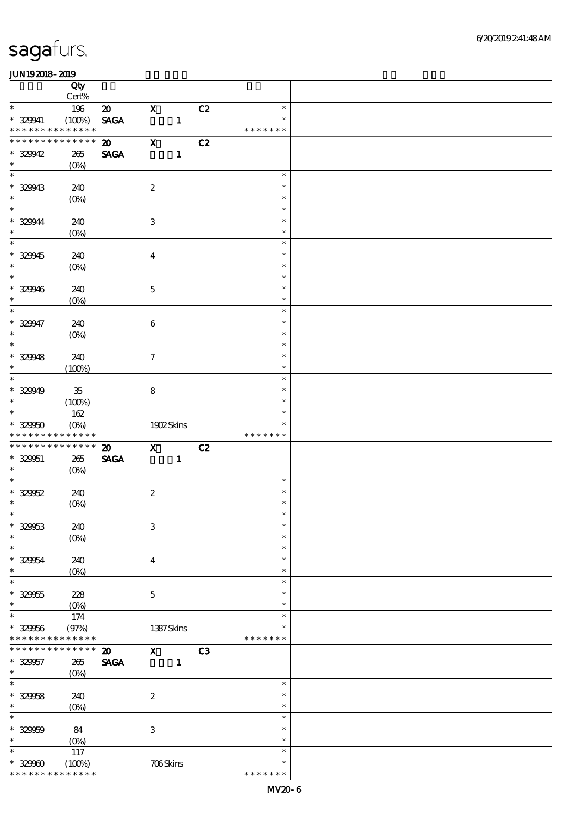|                                                                          | Qty                   |                             |                           |              |                |                    |  |
|--------------------------------------------------------------------------|-----------------------|-----------------------------|---------------------------|--------------|----------------|--------------------|--|
|                                                                          | $Cert\%$              |                             |                           |              |                |                    |  |
| $\ast$                                                                   | 196                   | $\boldsymbol{\mathfrak{D}}$ | $\mathbf x$               |              | C2             | $\ast$<br>$\ast$   |  |
| $* 329941$<br>* * * * * * * *                                            | (100%)<br>* * * * * * | <b>SAGA</b>                 |                           | $\mathbf{1}$ |                | * * * * * * *      |  |
| * * * * * * * *                                                          | * * * * * *           | $\boldsymbol{\mathfrak{D}}$ | $\mathbf{x}$              |              | C2             |                    |  |
| $* 32942$                                                                | 265                   | <b>SAGA</b>                 |                           | $\mathbf{1}$ |                |                    |  |
| $\ast$                                                                   | $(0\%)$               |                             |                           |              |                |                    |  |
| $\overline{\phantom{0}}$                                                 |                       |                             |                           |              |                | $\ast$             |  |
| * 329943<br>$\ast$                                                       | 240                   |                             | $\boldsymbol{2}$          |              |                | $\ast$             |  |
|                                                                          | $(0\%)$               |                             |                           |              |                | $\ast$<br>$\ast$   |  |
| $* 329944$                                                               | 240                   |                             | 3                         |              |                | $\ast$             |  |
| $\ast$                                                                   | $(O\%)$               |                             |                           |              |                | $\ast$             |  |
| $\overline{\phantom{0}}$                                                 |                       |                             |                           |              |                | $\ast$             |  |
| $* 329945$                                                               | 240                   |                             | $\boldsymbol{4}$          |              |                | $\ast$             |  |
| $\ast$                                                                   | $(0\%)$               |                             |                           |              |                | $\ast$             |  |
| $\overline{\phantom{0}}$                                                 |                       |                             |                           |              |                | $\ast$             |  |
| $* 32946$                                                                | 240                   |                             | $\mathbf 5$               |              |                | $\ast$             |  |
| $\ast$<br>$\ast$                                                         | $(O\!/\!o)$           |                             |                           |              |                | $\ast$<br>$\ast$   |  |
| $* 329947$                                                               | 240                   |                             | $\bf 6$                   |              |                | $\ast$             |  |
| $\ast$                                                                   | $(O\%)$               |                             |                           |              |                | $\ast$             |  |
| $\ast$                                                                   |                       |                             |                           |              |                | $\ast$             |  |
| $* 329948$                                                               | 240                   |                             | $\tau$                    |              |                | $\ast$             |  |
| $\ast$                                                                   | (100%)                |                             |                           |              |                | $\ast$             |  |
| $\overline{\ast}$                                                        |                       |                             |                           |              |                | $\ast$             |  |
| $* 32949$                                                                | $35\,$                |                             | $\bf8$                    |              |                | $\ast$             |  |
| $\ast$<br>$\overline{\ast}$                                              | (100%)                |                             |                           |              |                | $\ast$<br>$\ast$   |  |
| $* 32950$                                                                | 162<br>$(O\%)$        |                             | 1902Skins                 |              |                | ∗                  |  |
| * * * * * * * * * * * * * *                                              |                       |                             |                           |              |                | * * * * * * *      |  |
|                                                                          |                       |                             |                           |              |                |                    |  |
| * * * * * * * *                                                          | $******$              | $\boldsymbol{\mathfrak{D}}$ | $\mathbf{X}$              |              | C2             |                    |  |
| $* 329051$                                                               | 265                   | <b>SAGA</b>                 |                           | $\mathbf{1}$ |                |                    |  |
| $\ast$                                                                   | $(O\%)$               |                             |                           |              |                |                    |  |
| $\ast$                                                                   |                       |                             |                           |              |                | $\ast$             |  |
| $* 32962$                                                                | 240                   |                             | $\boldsymbol{2}$          |              |                | $\ast$             |  |
| $\ast$<br>$\ast$                                                         | $(O_0)$               |                             |                           |              |                | $\ast$<br>$\ast$   |  |
|                                                                          |                       |                             |                           |              |                | $\ast$             |  |
| $* 32963$<br>$\ast$                                                      | 240<br>$(O\%)$        |                             | $\ensuremath{\mathbf{3}}$ |              |                | $\ast$             |  |
| $\ast$                                                                   |                       |                             |                           |              |                | $\ast$             |  |
| $* 32964$                                                                | 240                   |                             | $\bf{4}$                  |              |                | $\ast$             |  |
| $\ast$                                                                   | $(O\%)$               |                             |                           |              |                | $\ast$             |  |
| $\ast$                                                                   |                       |                             |                           |              |                | $\ast$<br>$\ast$   |  |
| $* 329955$<br>$\ast$                                                     | 228                   |                             | $\mathbf 5$               |              |                | $\ast$             |  |
| $\ast$                                                                   | $(0\%)$<br>174        |                             |                           |              |                | $\ast$             |  |
|                                                                          | (97%)                 |                             | 1387Skins                 |              |                | ∗                  |  |
| $* 32956$<br>* * * * * * * *                                             | * * * * * *           |                             |                           |              |                | * * * * * * *      |  |
| * * * * * * * *                                                          | $* * * * * * *$       | $\boldsymbol{\mathfrak{D}}$ | $\mathbf{x}$              |              | C <sub>3</sub> |                    |  |
|                                                                          | 265                   | <b>SAGA</b>                 |                           | $\mathbf{1}$ |                |                    |  |
| $* 329057$<br>$\ast$                                                     | $(O_0)$               |                             |                           |              |                |                    |  |
|                                                                          |                       |                             |                           |              |                | $\ast$<br>$\ast$   |  |
|                                                                          | 240                   |                             | $\boldsymbol{z}$          |              |                | $\ast$             |  |
|                                                                          | $(O\%)$               |                             |                           |              |                | $\ast$             |  |
|                                                                          | 84                    |                             | $\ensuremath{\mathsf{3}}$ |              |                | $\ast$             |  |
|                                                                          | $(0\%)$               |                             |                           |              |                | $\ast$             |  |
| $\ast$<br>$* 32968$<br>$\ast$<br>$\ast$<br>$* 32969$<br>$\ast$<br>$\ast$ | 117                   |                             |                           |              |                | $\ast$             |  |
| $* 32900$<br>* * * * * * * * <mark>* * * * * *</mark>                    | (100%)                |                             | 706Skins                  |              |                | ∗<br>* * * * * * * |  |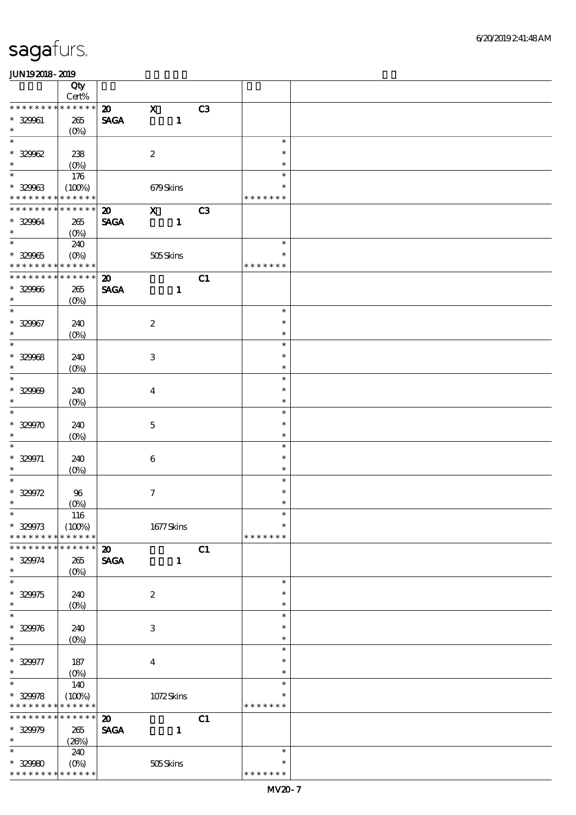|                                          | Qty               |                             |                     |              |    |               |  |
|------------------------------------------|-------------------|-----------------------------|---------------------|--------------|----|---------------|--|
|                                          | Cert%             |                             |                     |              |    |               |  |
| * * * * * * * * * * * * * *              |                   | $\boldsymbol{\omega}$       | $\mathbf{x}$        |              | C3 |               |  |
| $* 329961$                               | 265               | <b>SAGA</b>                 |                     | $\mathbf{1}$ |    |               |  |
| $\ast$                                   | $(O\%)$           |                             |                     |              |    |               |  |
| $\overline{\ast}$                        |                   |                             |                     |              |    | $\ast$        |  |
| $* 329962$                               | 238               |                             | $\boldsymbol{2}$    |              |    | $\ast$        |  |
| $\ast$                                   | $(O\%)$           |                             |                     |              |    | $\ast$        |  |
| $\ast$                                   | 176               |                             |                     |              |    | $\ast$        |  |
| $* 32963$                                | (100%)            |                             | 679Skins            |              |    | $\ast$        |  |
| * * * * * * * *                          | * * * * * *       |                             |                     |              |    | * * * * * * * |  |
| * * * * * * * *                          | $* * * * * * *$   | $\boldsymbol{\omega}$       | $\mathbf{x}$        |              | C3 |               |  |
| $* 32964$                                | 265               | <b>SAGA</b>                 |                     | $\mathbf{1}$ |    |               |  |
| $\ast$                                   | $(O\!/\!o)$       |                             |                     |              |    |               |  |
| $\overline{\ast}$                        | 240               |                             |                     |              |    | $\ast$        |  |
| $* 32905$                                | $(O\%)$           |                             | 505Skins            |              |    | $\ast$        |  |
| * * * * * * * * <mark>* * * * * *</mark> |                   |                             |                     |              |    | * * * * * * * |  |
| * * * * * * * * * * * * * *              |                   | $\boldsymbol{\mathfrak{D}}$ |                     |              | C1 |               |  |
| $* 329966$                               | 265               | <b>SAGA</b>                 |                     | $\mathbf{1}$ |    |               |  |
| $\ast$                                   | $(O\%)$           |                             |                     |              |    |               |  |
| $\overline{\phantom{0}}$                 |                   |                             |                     |              |    | $\ast$        |  |
| $* 329967$                               | 240               |                             | $\boldsymbol{2}$    |              |    | $\ast$        |  |
| $\ast$                                   | $(O\!/\!o)$       |                             |                     |              |    | $\ast$        |  |
| $\overline{\ast}$                        |                   |                             |                     |              |    | $\ast$        |  |
| $* 32908$                                | 240               |                             | $\,3\,$             |              |    | $\ast$        |  |
| $\ast$                                   |                   |                             |                     |              |    | $\ast$        |  |
| $\ast$                                   | $(O\%)$           |                             |                     |              |    | $\ast$        |  |
|                                          |                   |                             |                     |              |    | $\ast$        |  |
| $* 32900$<br>$\ast$                      | 240               |                             | $\bf{4}$            |              |    | $\ast$        |  |
| $\ast$                                   | $(O\!/\!o)$       |                             |                     |              |    | $\ast$        |  |
|                                          |                   |                             |                     |              |    | $\ast$        |  |
| $* 329970$                               | 240               |                             | $\mathbf 5$         |              |    |               |  |
| $\ast$                                   | $(O\%)$           |                             |                     |              |    | $\ast$        |  |
| $\ast$                                   |                   |                             |                     |              |    | $\ast$        |  |
| $* 329971$                               | 240               |                             | $\boldsymbol{6}$    |              |    | $\ast$        |  |
| $\ast$                                   | $(O\%)$           |                             |                     |              |    | $\ast$        |  |
|                                          |                   |                             |                     |              |    | $\ast$        |  |
| $* 329972$<br>$\ast$                     | 96                |                             | $\boldsymbol{\tau}$ |              |    | $\ast$        |  |
|                                          | $(0\%)$           |                             |                     |              |    | $\ast$        |  |
| $*$                                      | 116               |                             |                     |              |    |               |  |
| $* 329973$                               | (100%)            |                             | 1677Skins           |              |    | $\ast$        |  |
| * * * * * * * *                          | * * * * * *       |                             |                     |              |    | * * * * * * * |  |
| * * * * * * * *                          | $******$          | $\boldsymbol{\mathbf{z}}$   |                     |              | C1 |               |  |
| $* 329974$                               | 265               | <b>SAGA</b>                 |                     | $\mathbf{1}$ |    |               |  |
| $\ast$                                   | (O <sub>0</sub> ) |                             |                     |              |    |               |  |
| $\ast$                                   |                   |                             |                     |              |    | $\ast$        |  |
| $* 329975$                               | 240               |                             | $\boldsymbol{2}$    |              |    | $\ast$        |  |
| $\ast$                                   | $(O\!/\!o)$       |                             |                     |              |    | $\ast$        |  |
| $\ast$                                   |                   |                             |                     |              |    | $\ast$        |  |
| $* 329976$                               | 240               |                             | $\,3$               |              |    | $\ast$        |  |
| $\ast$                                   | $(0\%)$           |                             |                     |              |    | $\ast$        |  |
| $\ast$                                   |                   |                             |                     |              |    | $\ast$        |  |
| $* 329977$                               | 187               |                             | $\overline{4}$      |              |    | *             |  |
| $\ast$                                   | $(O\%)$           |                             |                     |              |    | $\ast$        |  |
| $\ast$                                   | 140               |                             |                     |              |    | $\ast$        |  |
| $* 329978$                               | (100%)            |                             | 1072Skins           |              |    |               |  |
| * * * * * * * * * * * * * *              |                   |                             |                     |              |    | * * * * * * * |  |
| * * * * * * * * * * * * * *              |                   | $\boldsymbol{\mathbf{z}}$   |                     |              | C1 |               |  |
| $* 32979$                                | $265\,$           | <b>SAGA</b>                 |                     | $\mathbf{1}$ |    |               |  |
| $\ast$                                   | (26%)             |                             |                     |              |    |               |  |
| $\ast$                                   | 240               |                             |                     |              |    | $\ast$        |  |
| $* 32980$                                | $(0\%)$           |                             | 505Skins            |              |    | $\ast$        |  |
| * * * * * * * * * * * * * *              |                   |                             |                     |              |    | * * * * * * * |  |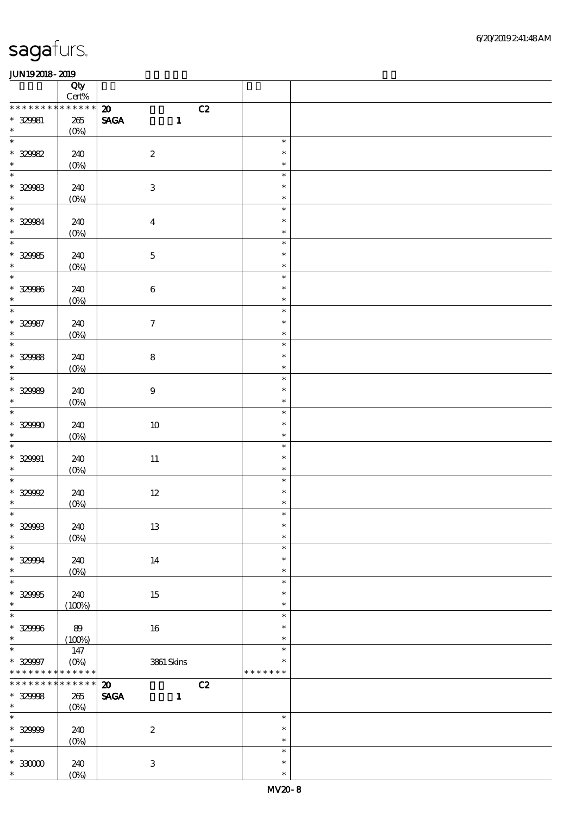|                                                          | Qty<br>$\mbox{Cert}\%$    |                                                |    |                  |  |
|----------------------------------------------------------|---------------------------|------------------------------------------------|----|------------------|--|
| * * * * * * * *                                          | * * * * * *               | $\boldsymbol{\mathfrak{D}}$                    | C2 |                  |  |
| $* 329981$                                               | $265\,$                   | $\operatorname{\mathbf{SAGA}}$<br>$\mathbf{1}$ |    |                  |  |
| $\ast$                                                   | $(0\%)$                   |                                                |    |                  |  |
| $\ast$                                                   |                           |                                                |    | $\ast$<br>$\ast$ |  |
| $* 32982$                                                | 240                       | $\boldsymbol{2}$                               |    | $\ast$           |  |
| $\overline{\ast}$                                        | $(0\%)$                   |                                                |    | $\ast$           |  |
| $* 329983$                                               | 240                       | $\,3$                                          |    | $\ast$           |  |
| $\ast$                                                   | $(0\%)$                   |                                                |    | $\ast$           |  |
| $\ast$                                                   |                           |                                                |    | $\ast$           |  |
| $* 329984$                                               | 240                       | $\boldsymbol{4}$                               |    | $\ast$           |  |
| $\ast$<br>$\overline{\phantom{0}}$                       | $(0\%)$                   |                                                |    | $\ast$           |  |
| $* 329985$                                               |                           |                                                |    | $\ast$<br>$\ast$ |  |
| $\ast$                                                   | 240<br>(0%)               | $\mathbf 5$                                    |    | $\ast$           |  |
| $\overline{\phantom{0}}$                                 |                           |                                                |    | $\ast$           |  |
| $* 329966$                                               | 240                       | $\,6\,$                                        |    | $\ast$           |  |
| $\ast$                                                   | $(0\%)$                   |                                                |    | $\ast$           |  |
| $\overline{\ast}$                                        |                           |                                                |    | $\ast$           |  |
| $* 329987$<br>$\ast$                                     | 240                       | $\boldsymbol{7}$                               |    | $\ast$<br>$\ast$ |  |
| $\overline{\ast}$                                        | (0%)                      |                                                |    | $\ast$           |  |
| $* 329988$                                               | 240                       | $\bf 8$                                        |    | $\ast$           |  |
| $\ast$                                                   | $(0\%)$                   |                                                |    | $\ast$           |  |
| $\overline{\phantom{0}}$                                 |                           |                                                |    | $\ast$           |  |
| $* 329999$                                               | 240                       | $\boldsymbol{9}$                               |    | $\ast$           |  |
| $\ast$<br>$\overline{\ast}$                              | $(0\%)$                   |                                                |    | $\ast$           |  |
| $* 32990$                                                |                           |                                                |    | $\ast$<br>$\ast$ |  |
| $\ast$                                                   | 240<br>$(0\%)$            | $10\,$                                         |    | $\ast$           |  |
| $\ast$                                                   |                           |                                                |    | $\ast$           |  |
| $* 329991$                                               | 240                       | $11\,$                                         |    | $\ast$           |  |
| $\ast$                                                   | $(0\%)$                   |                                                |    | $\ast$           |  |
| $\ast$                                                   |                           |                                                |    | $\ast$           |  |
| $* 329992$<br>$\ast$                                     | 240                       | $12\,$                                         |    | $\ast$<br>$\ast$ |  |
| $\ast$                                                   | $(0\%)$                   |                                                |    | $\ast$           |  |
| $* 32998$                                                | 240                       | 13                                             |    | $\ast$           |  |
| $\ast$                                                   | $(0\%)$                   |                                                |    | $\ast$           |  |
| $\ast$                                                   |                           |                                                |    | $\ast$           |  |
| $* 32994$                                                | 240                       | 14                                             |    | $\ast$           |  |
| $\ast$<br>$\overline{\ast}$                              | $(0\%)$                   |                                                |    | $\ast$           |  |
| $* 32995$                                                | 240                       | 15                                             |    | $\ast$<br>$\ast$ |  |
| $\ast$                                                   | (100%)                    |                                                |    | $\ast$           |  |
| $\ast$                                                   |                           |                                                |    | $\ast$           |  |
| $* 32996$                                                | 89                        | 16                                             |    | $\ast$           |  |
| $\ast$<br>$\overline{\phantom{0}}$                       | (100%)                    |                                                |    | $\ast$           |  |
|                                                          | 147                       |                                                |    | $\ast$<br>$\ast$ |  |
| $* 329997$<br>* * * * * * * * <mark>* * * * * *</mark> * | $(O\!\!\!\!\!\!\!/\,\!o)$ | $3861\,$ Skins                                 |    | * * * * * * *    |  |
| * * * * * * * * * * * * * * *                            |                           | $\boldsymbol{\mathfrak{D}}$                    | C2 |                  |  |
| $* 32998$                                                | 265                       | SAGA<br>$\mathbf{1}$                           |    |                  |  |
| $*$ $*$                                                  | $(O\%)$                   |                                                |    |                  |  |
| $\overline{\ast}$                                        |                           |                                                |    | $\ast$           |  |
| $* 329999$<br>$\ast$                                     | 240                       | $\boldsymbol{2}$                               |    | $\ast$<br>$\ast$ |  |
| $\ast$                                                   | $(0\%)$                   |                                                |    | $\ast$           |  |
| $^\ast$ 33000                                            | 240                       | $\,3\,$                                        |    | $\ast$           |  |
| $\ast$                                                   | $(O\%)$                   |                                                |    | $\ast$           |  |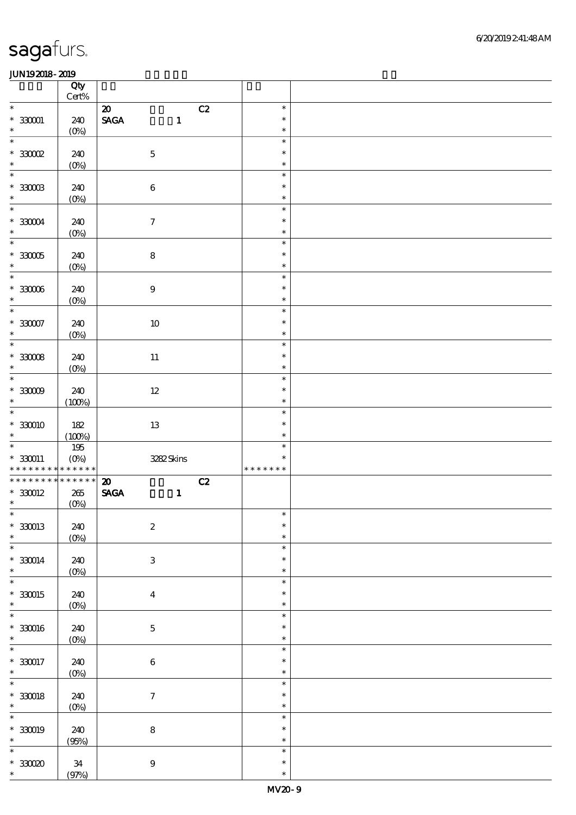|                                    | Qty<br>$\mbox{Cert}\%$ |                                                |                  |  |
|------------------------------------|------------------------|------------------------------------------------|------------------|--|
| $\ast$                             |                        | C2<br>$\boldsymbol{\mathsf{20}}$               | $\ast$           |  |
| $^\ast$ 330001                     | 240                    | $\operatorname{\mathsf{SAGA}}$<br>$\mathbf{1}$ | $\ast$           |  |
| $\ast$                             | $(0\%)$                |                                                | $\ast$           |  |
| $\ast$                             |                        |                                                | $\ast$           |  |
|                                    |                        |                                                | $\ast$           |  |
| $*30002$                           | 240                    | $\mathbf 5$                                    |                  |  |
| $\ast$                             | $(0\%)$                |                                                | $\ast$           |  |
| $\ast$                             |                        |                                                | $\ast$           |  |
| $^\ast$ 330003                     | 240                    | $\bf 6$                                        | $\ast$           |  |
| $\ast$                             | $(0\%)$                |                                                | $\ast$           |  |
| $\ast$                             |                        |                                                | $\ast$           |  |
|                                    |                        |                                                | $\ast$           |  |
| $^\ast$ 330004                     | 240                    | $\boldsymbol{\tau}$                            |                  |  |
| $\ast$<br>$\overline{\phantom{0}}$ | $(0\%)$                |                                                | $\ast$           |  |
|                                    |                        |                                                | $\ast$           |  |
| $^\ast$ 33005                      | 240                    | $\bf 8$                                        | $\ast$           |  |
| $\ast$                             | $(0\%)$                |                                                | $\ast$           |  |
| $\overline{\phantom{0}}$           |                        |                                                | $\ast$           |  |
| $^\ast$ 33006                      | 240                    | $\boldsymbol{9}$                               | $\ast$           |  |
| $\ast$                             |                        |                                                | $\ast$           |  |
| $\overline{\ast}$                  | $(0\%)$                |                                                | $\ast$           |  |
|                                    |                        |                                                |                  |  |
| $^\ast$ 330007                     | 240                    | $10\,$                                         | $\ast$           |  |
| $\ast$                             | $(0\%)$                |                                                | $\ast$           |  |
| $\overline{\ast}$                  |                        |                                                | $\ast$           |  |
| $^\ast$ 33008                      | 240                    | $11\,$                                         | $\ast$           |  |
| $\ast$                             | $(0\%)$                |                                                | $\ast$           |  |
| $\ast$                             |                        |                                                | $\ast$           |  |
|                                    |                        |                                                |                  |  |
| $^\ast$ 33009                      | 240                    | $12\,$                                         | $\ast$           |  |
| $\ast$                             | (100%)                 |                                                | $\ast$           |  |
| $\ast$                             |                        |                                                | $\ast$           |  |
| $*330010$                          | $182\,$                | $13\,$                                         | $\ast$           |  |
|                                    |                        |                                                | $\ast$           |  |
| $\ast$                             |                        |                                                |                  |  |
|                                    | (100%)                 |                                                |                  |  |
| $\ast$                             | 195                    |                                                | $\ast$           |  |
| $*330011$                          | $(0\%)$                | 3282Skins                                      | $\ast$           |  |
| * * * * * * * *                    | * * * * * *            |                                                | * * * * * * *    |  |
| * * * * * * * * * * * * * *        |                        | $\boldsymbol{\mathfrak{D}}$<br>C2              |                  |  |
| $^*$ 330012 $\,$                   | $265\,$                | $\ensuremath{\mathsf{SAGA}}$<br>$\mathbf{1}$   |                  |  |
| $\ast$                             | (0%)                   |                                                |                  |  |
| $*$                                |                        |                                                | $\ast$           |  |
|                                    |                        |                                                | $\ast$           |  |
| $*330013$<br>$\ast$                | 240                    | $\boldsymbol{2}$                               | $\ast$           |  |
| $\ast$                             | $(0\%)$                |                                                |                  |  |
|                                    |                        |                                                | $\ast$           |  |
| $* 330014$                         | 240                    | $\,3$                                          | $\ast$           |  |
| $\ast$                             | $(0\%)$                |                                                | $\ast$           |  |
| $\ast$                             |                        |                                                | $\ast$           |  |
| $*330015$                          | 240                    | $\boldsymbol{4}$                               | $\ast$           |  |
| $\ast$                             | $(0\%)$                |                                                | $\ast$           |  |
| $\ast$                             |                        |                                                | $\ast$           |  |
|                                    |                        |                                                | $\ast$           |  |
| $*330016$<br>$\ast$                | 240                    | $\mathbf 5$                                    | $\ast$           |  |
|                                    | $(0\%)$                |                                                |                  |  |
| $\ast$                             |                        |                                                | $\ast$           |  |
| $* 330017$                         | 240                    | $\,6\,$                                        | $\ast$           |  |
| $\ast$                             | $(0\%)$                |                                                | $\ast$           |  |
| $\ast$                             |                        |                                                | $\ast$           |  |
| $* 330018$                         | 240                    | $\boldsymbol{7}$                               | $\ast$           |  |
| $\ast$                             |                        |                                                | $\ast$           |  |
| $\ast$                             | (0%)                   |                                                | $\ast$           |  |
|                                    |                        |                                                | $\ast$           |  |
| $* 330019$                         | 240                    | $\bf 8$                                        |                  |  |
| $\ast$                             | (95%)                  |                                                | $\ast$           |  |
| $\ast$                             |                        |                                                | $\ast$           |  |
| $^\ast$ 330020<br>$\ast$           | $34\,$<br>(97%)        | $\boldsymbol{9}$                               | $\ast$<br>$\ast$ |  |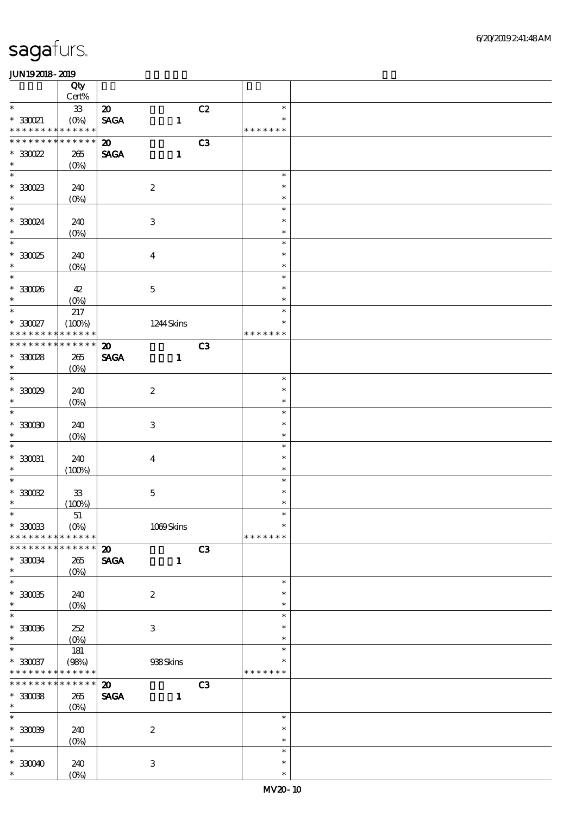|                              | Qty<br>$Cert\%$        |                             |                           |    |                         |  |
|------------------------------|------------------------|-----------------------------|---------------------------|----|-------------------------|--|
| $\ast$                       | ${\bf 33}$             | $\boldsymbol{\mathfrak{D}}$ |                           | C2 | $\ast$                  |  |
| $*33021$<br>* * * * * * * *  | $(O\%)$<br>* * * * * * | <b>SAGA</b>                 | $\mathbf{1}$              |    | $\ast$<br>* * * * * * * |  |
| * * * * * * * *              | * * * * * *            | $\boldsymbol{\mathfrak{D}}$ |                           | C3 |                         |  |
| $*30022$                     | $265\,$                | <b>SAGA</b>                 | $\mathbf{1}$              |    |                         |  |
| $\ast$                       |                        |                             |                           |    |                         |  |
|                              | $(O\%)$                |                             |                           |    | $\ast$                  |  |
|                              |                        |                             |                           |    |                         |  |
| $*30023$                     | 240                    |                             | $\boldsymbol{2}$          |    | $\ast$                  |  |
| $\ast$                       | $(0\%)$                |                             |                           |    | $\ast$                  |  |
|                              |                        |                             |                           |    | $\ast$                  |  |
| $*30024$                     | 240                    |                             | $\ensuremath{\mathsf{3}}$ |    | $\ast$                  |  |
| $\ast$                       | $(0\%)$                |                             |                           |    | $\ast$                  |  |
|                              |                        |                             |                           |    | $\ast$                  |  |
| $*30025$                     | 240                    |                             | $\boldsymbol{4}$          |    | $\ast$                  |  |
| $\ast$                       | $(O\%)$                |                             |                           |    | $\ast$                  |  |
| $\overline{\phantom{0}}$     |                        |                             |                           |    | $\ast$                  |  |
|                              |                        |                             |                           |    | $\ast$                  |  |
| $*30006$<br>$\ast$           | 42                     |                             | $\mathbf 5$               |    | $\ast$                  |  |
| $*$                          | $(O\%)$                |                             |                           |    |                         |  |
|                              | $217\,$                |                             |                           |    | $\ast$                  |  |
| $*30027$                     | (100%)                 |                             | 1244 Skins                |    | $\ast$                  |  |
| * * * * * * * *              | * * * * * *            |                             |                           |    | * * * * * * *           |  |
| * * * * * * * *              | * * * * * *            | $\boldsymbol{\mathbf{z}}$   |                           | C3 |                         |  |
| $*30028$                     | $265\,$                | <b>SAGA</b>                 | $\mathbf{1}$              |    |                         |  |
| $\ast$                       | $(O\%)$                |                             |                           |    |                         |  |
| $\ast$                       |                        |                             |                           |    | $\ast$                  |  |
| $*30029$                     | 240                    |                             | $\boldsymbol{z}$          |    | $\ast$                  |  |
| $\ast$                       | $(0\%)$                |                             |                           |    | $\ast$                  |  |
| $\overline{\ast}$            |                        |                             |                           |    | $\ast$                  |  |
| $*30000$                     | 240                    |                             | $\,3$                     |    | $\ast$                  |  |
| $\ast$                       | $(0\%)$                |                             |                           |    | $\ast$                  |  |
| $\ast$                       |                        |                             |                           |    | $\ast$                  |  |
| $*$ 330031                   |                        |                             |                           |    | $\ast$                  |  |
| $\ast$                       | 240                    |                             | $\boldsymbol{4}$          |    | $\ast$                  |  |
| $\ast$                       | (100%)                 |                             |                           |    | $\ast$                  |  |
|                              |                        |                             |                           |    |                         |  |
| $*30032$                     | ${\bf 33}$             |                             | $\mathbf 5$               |    | $\ast$                  |  |
| $\ast$                       | (100%)                 |                             |                           |    | $\ast$                  |  |
| $\ast$                       | 51                     |                             |                           |    | $\ast$                  |  |
| $*$ 330033                   | $(O\%)$                |                             | $1009$ Skins              |    | $\ast$                  |  |
| * * * * * * * *              | * * * * * *            |                             |                           |    | * * * * * * *           |  |
| * * * * * * * *              | * * * * * *            | $\boldsymbol{\mathbf{z}}$   |                           | C3 |                         |  |
| $*330034$                    | 265                    | <b>SAGA</b>                 | $\mathbf{1}$              |    |                         |  |
| $\ast$                       | $(O\%)$                |                             |                           |    |                         |  |
| $\ast$                       |                        |                             |                           |    | $\ast$                  |  |
| $*30035$                     | 240                    |                             | $\boldsymbol{2}$          |    | $\ast$                  |  |
| $\ast$                       | $(O\!/\!\!\delta)$     |                             |                           |    | $\ast$                  |  |
|                              |                        |                             |                           |    | $\ast$                  |  |
| $*30006$                     | 252                    |                             | $\,3$                     |    | $\ast$                  |  |
| $\ast$                       | $(0\%)$                |                             |                           |    | $\ast$                  |  |
| $*$                          | 181                    |                             |                           |    | $\ast$                  |  |
|                              |                        |                             |                           |    | ∗                       |  |
| $*330037$<br>* * * * * * * * | (98%)<br>* * * * * *   |                             | 938Skins                  |    | * * * * * * *           |  |
| * * * * * * * *              | * * * * * *            |                             |                           |    |                         |  |
|                              |                        | $\boldsymbol{\mathfrak{D}}$ |                           | C3 |                         |  |
| $*3008$                      | 265                    | <b>SAGA</b>                 | $\mathbf{1}$              |    |                         |  |
| $\ast$                       | $(O\%)$                |                             |                           |    |                         |  |
|                              |                        |                             |                           |    | $\ast$                  |  |
| $*30009$                     | 240                    |                             | $\boldsymbol{z}$          |    | $\ast$                  |  |
| $\ast$                       | $(0\%)$                |                             |                           |    | $\ast$                  |  |
| $\ast$                       |                        |                             |                           |    | $\ast$                  |  |
| $*30040$                     | 240                    |                             | $\,3$                     |    | $\ast$                  |  |
| $\ast$                       | $(O\%)$                |                             |                           |    | $\ast$                  |  |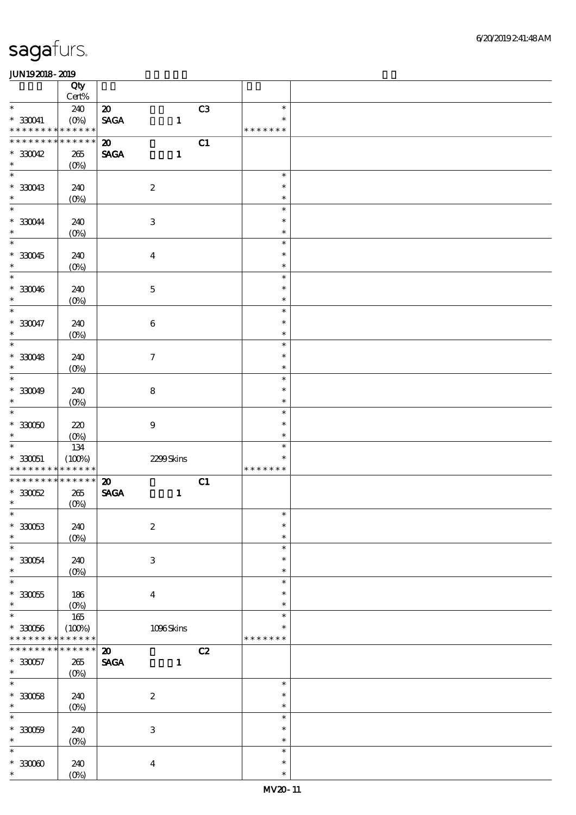|                               | Qty<br>$Cert\%$       |                                                               |    |                         |  |
|-------------------------------|-----------------------|---------------------------------------------------------------|----|-------------------------|--|
| $\ast$                        |                       |                                                               |    | $\ast$                  |  |
| $^\ast$ 330041                | 240                   | $\boldsymbol{\mathfrak{D}}$<br>$\operatorname{\mathsf{SAGA}}$ | C3 | $\ast$                  |  |
| * * * * * * * * * * * * * *   | $(O\%)$               | $\mathbf{1}$                                                  |    | * * * * * * *           |  |
| * * * * * * * *               | * * * * * *           | $\boldsymbol{\mathfrak{D}}$                                   | C1 |                         |  |
| $*30042$                      | 265                   | <b>SAGA</b><br>$\mathbf{1}$                                   |    |                         |  |
| $\ast$                        | (O <sub>0</sub> )     |                                                               |    |                         |  |
| $\overline{\phantom{0}}$      |                       |                                                               |    | $\ast$                  |  |
| $*30043$                      | 240                   | $\boldsymbol{2}$                                              |    | $\ast$                  |  |
| $\ast$                        | $(0\%)$               |                                                               |    | $\ast$                  |  |
| $\overline{\ast}$             |                       |                                                               |    | $\ast$                  |  |
| $*330044$                     | 240                   | $\,3\,$                                                       |    | $\ast$                  |  |
| $\ast$                        | $(0\%)$               |                                                               |    | $\ast$                  |  |
| $\ast$                        |                       |                                                               |    | $\ast$                  |  |
| $*30045$                      | 240                   | $\boldsymbol{4}$                                              |    | $\ast$                  |  |
| $\ast$                        | $(O\%)$               |                                                               |    | $\ast$                  |  |
| $\ast$                        |                       |                                                               |    | $\ast$                  |  |
| $*330046$                     | 240                   | $\mathbf 5$                                                   |    | $\ast$                  |  |
| $\ast$                        | $(0\%)$               |                                                               |    | $\ast$                  |  |
| $\ast$                        |                       |                                                               |    | $\ast$                  |  |
| $*330047$                     | 240                   | $\,6\,$                                                       |    | $\ast$                  |  |
| $\ast$                        | $(0\%)$               |                                                               |    | $\ast$                  |  |
| $\ast$                        |                       |                                                               |    | $\ast$                  |  |
| $*30048$                      | 240                   | $\boldsymbol{7}$                                              |    | $\ast$                  |  |
| $\ast$                        | $(O\%)$               |                                                               |    | $\ast$                  |  |
| $\ast$                        |                       |                                                               |    | $\ast$                  |  |
| $*30049$                      | 240                   | $\bf8$                                                        |    | $\ast$                  |  |
| $\ast$                        | $(O\%)$               |                                                               |    | $\ast$                  |  |
| $\ast$                        |                       |                                                               |    | $\ast$                  |  |
| $^\ast$ 330050                | 220                   | $\boldsymbol{9}$                                              |    | $\ast$                  |  |
| $\ast$                        | $(O\%)$               |                                                               |    | $\ast$                  |  |
| $\ast$                        | $134\,$               |                                                               |    | $\ast$                  |  |
| $* 330051$<br>* * * * * * * * | (100%)<br>* * * * * * | 2299Skins                                                     |    | $\ast$<br>* * * * * * * |  |
| * * * * * * * *               | $******$              | $\boldsymbol{\mathsf{20}}$                                    | C1 |                         |  |
| $*30052$                      | 265                   | $\operatorname{\mathbf{SAGA}}$<br>$\mathbf{1}$                |    |                         |  |
| $\ast$                        | $(0\%)$               |                                                               |    |                         |  |
| $\ast$                        |                       |                                                               |    | $\ast$                  |  |
| $^\ast$ 330053                | 240                   | $\boldsymbol{2}$                                              |    | $\ast$                  |  |
| $\ast$                        | $(0\%)$               |                                                               |    | $\ast$                  |  |
| $\ast$                        |                       |                                                               |    | $\ast$                  |  |
| $*330054$                     | 240                   | $\,3$                                                         |    | $\ast$                  |  |
| $\ast$                        | $(O\%)$               |                                                               |    | $\ast$                  |  |
| $\ast$                        |                       |                                                               |    | $\ast$                  |  |
| $^\ast$ 330055                | 186                   | $\boldsymbol{4}$                                              |    | $\ast$                  |  |
| $\ast$                        | $(0\%)$               |                                                               |    | $\ast$                  |  |
| $\ast$                        | $165\,$               |                                                               |    | $\ast$                  |  |
| $^\ast$ 330056                | (100%)                | $1096$ Skins                                                  |    | ∗                       |  |
| * * * * * * * *               | * * * * * *           |                                                               |    | * * * * * * *           |  |
| * * * * * * * *               | * * * * * *           | $\boldsymbol{\mathsf{20}}$                                    | C2 |                         |  |
| $*330057$                     | 265                   | $\operatorname{\mathsf{SAGA}}$<br>$\mathbf{1}$                |    |                         |  |
| $\ast$<br>$\overline{\ast}$   | $(O\%)$               |                                                               |    |                         |  |
|                               |                       |                                                               |    | $\ast$                  |  |
|                               | 240<br>(0%)           | $\boldsymbol{2}$                                              |    | $\ast$<br>$\ast$        |  |
| $*30058$                      |                       |                                                               |    | $\ast$                  |  |
| $\ast$                        |                       |                                                               |    |                         |  |
| $\ast$                        |                       |                                                               |    |                         |  |
| $*30059$                      | 240                   | $\,3$                                                         |    | $\ast$                  |  |
| $\ast$                        | $(0\%)$               |                                                               |    | $\ast$                  |  |
| $\ast$                        |                       |                                                               |    | $\ast$<br>$\ast$        |  |
| $^\ast$ 33000<br>$\ast$       | 240<br>$(O\%)$        | $\boldsymbol{4}$                                              |    | $\ast$                  |  |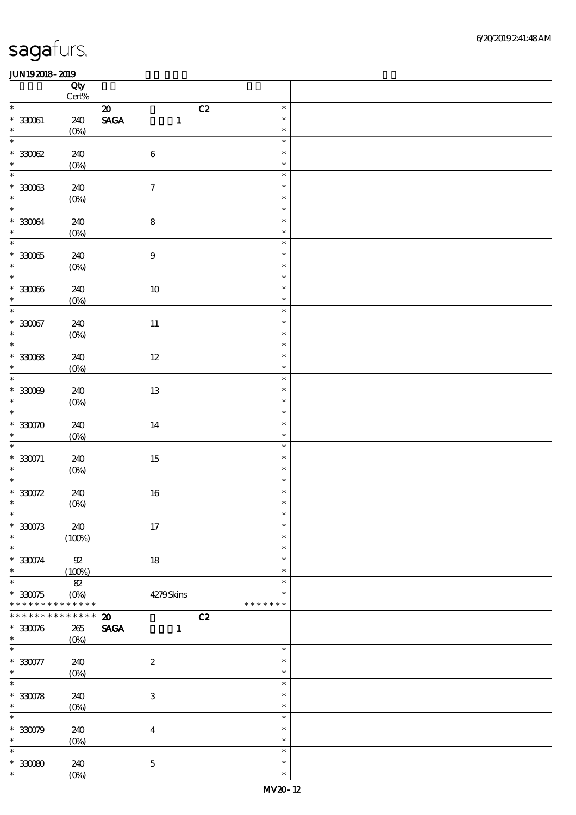|                                    | Qty<br>$\mbox{Cert}\%$     |                                                                  |                  |  |
|------------------------------------|----------------------------|------------------------------------------------------------------|------------------|--|
| $\ast$                             |                            | $\boldsymbol{\mathfrak{D}}$<br>C2                                | $\ast$           |  |
| $^\ast$ 330061<br>$\ast$           | 240<br>$(0\%)$             | $\ensuremath{\mathsf{SAGA}}$<br>$\mathbf{1}$                     | $\ast$<br>$\ast$ |  |
| $\ast$                             |                            |                                                                  | $\ast$           |  |
| $^\ast$ 33002<br>$\ast$            | 240<br>$(0\%)$             | $\,6\,$                                                          | $\ast$<br>$\ast$ |  |
| $\ast$                             |                            |                                                                  | $\ast$           |  |
| $^\ast$ 330063<br>$\ast$           | 240<br>$(0\%)$             | $\boldsymbol{\tau}$                                              | $\ast$<br>$\ast$ |  |
| $\ast$                             |                            |                                                                  | $\ast$           |  |
| $^\ast$ 330064<br>$\ast$           | 240<br>$(0\%)$             | ${\bf 8}$                                                        | $\ast$<br>$\ast$ |  |
| $\overline{\phantom{0}}$           |                            |                                                                  | $\ast$           |  |
| $^\ast$ 330065<br>$\ast$           | 240<br>(0%)                | $\boldsymbol{9}$                                                 | $\ast$<br>$\ast$ |  |
| $\overline{\phantom{0}}$           |                            |                                                                  | $\ast$           |  |
| $^\ast$ 330066<br>$\ast$           | 240<br>$(0\%)$             | $10\,$                                                           | $\ast$<br>$\ast$ |  |
| $\overline{\ast}$                  |                            |                                                                  | $\ast$           |  |
| $^\ast$ 330067<br>$\ast$           | 240<br>(0%)                | $11\,$                                                           | $\ast$<br>$\ast$ |  |
| $\overline{\phantom{0}}$           |                            |                                                                  | $\ast$           |  |
| $^\ast$ 33008<br>$\ast$            | 240<br>(0%)                | $12\,$                                                           | $\ast$<br>$\ast$ |  |
| $\overline{\phantom{0}}$           |                            |                                                                  | $\ast$           |  |
| $*30009$<br>$\ast$                 | 240<br>$(0\%)$             | 13                                                               | $\ast$<br>$\ast$ |  |
| $\ast$                             |                            |                                                                  | $\ast$           |  |
| $*3000$<br>$\ast$                  | 240<br>$(0\%)$             | $14\,$                                                           | $\ast$<br>$\ast$ |  |
| $\ast$                             |                            |                                                                  | $\ast$           |  |
| $* 330071$<br>$\ast$               | 240<br>$(0\%)$             | $15\,$                                                           | $\ast$<br>$\ast$ |  |
| $\ast$                             |                            |                                                                  | $\ast$           |  |
| $^\ast$ 330072<br>$\ast$           | 240                        | $16\,$                                                           | $\ast$           |  |
| $*$                                | $(0\%)$                    |                                                                  | $\ast$<br>$\ast$ |  |
| $*30073$                           | 240                        | $17$                                                             | $\ast$           |  |
| $\ast$<br>$\ast$                   | (100%)                     |                                                                  | $\ast$<br>$\ast$ |  |
| $* 330074$<br>$\ast$               | $92\,$                     | $18\,$                                                           | $\ast$<br>$\ast$ |  |
| $\ast$                             | (100%)<br>$82\,$           |                                                                  | $\ast$           |  |
| $*30075$                           | $(0\%)$                    | 4279Skins                                                        | $\ast$           |  |
| * * * * * * * *<br>* * * * * * * * | * * * * * *<br>* * * * * * |                                                                  | * * * * * * *    |  |
| $* 330076$                         | $265\,$                    | C2<br>$\boldsymbol{\mathfrak{D}}$<br><b>SAGA</b><br>$\mathbf{1}$ |                  |  |
| $\ast$                             | $(O\%)$                    |                                                                  |                  |  |
| $\ast$                             |                            |                                                                  | $\ast$           |  |
| $^\ast$ 330077<br>$\ast$           | 240<br>$(O\!/\!\delta)$    | $\boldsymbol{2}$                                                 | $\ast$<br>$\ast$ |  |
| $\ast$                             |                            |                                                                  | $\ast$           |  |
| $*30078$<br>$\ast$                 | 240<br>$(0\%)$             | $\ensuremath{\mathbf{3}}$                                        | $\ast$<br>$\ast$ |  |
| $\ast$                             |                            |                                                                  | $\ast$           |  |
| $*30079$                           | 240                        | $\boldsymbol{4}$                                                 | $\ast$           |  |
| $\ast$                             | $(0\%)$                    |                                                                  | $\ast$           |  |
| $\ast$                             |                            |                                                                  | $\ast$           |  |
| $^\ast$ 33000<br>$\ast$            | 240<br>$(O\%)$             | $\mathbf 5$                                                      | $\ast$<br>$\ast$ |  |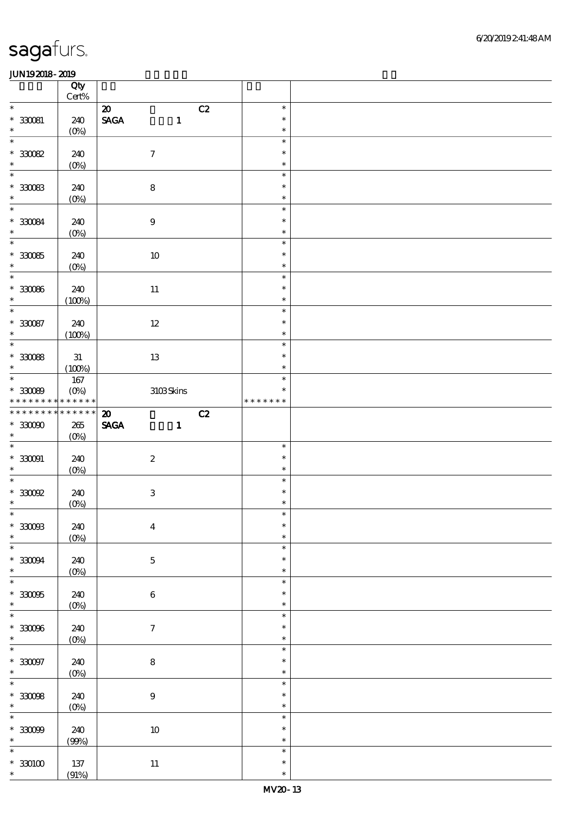|                                                   | Qty<br>Cert% |                                              |               |  |
|---------------------------------------------------|--------------|----------------------------------------------|---------------|--|
| $\ast$                                            |              |                                              | $\ast$        |  |
|                                                   |              | C2<br>$\boldsymbol{\mathfrak{D}}$            |               |  |
| $^*$ 330081 $\,$                                  | 240          | $\ensuremath{\mathsf{SAGA}}$<br>$\mathbf{1}$ | $\ast$        |  |
| $\ast$                                            | $(0\%)$      |                                              | $\ast$        |  |
| $\overline{\ast}$                                 |              |                                              | $\ast$        |  |
| $^\ast$ 330082                                    | 240          | $\boldsymbol{\tau}$                          | $\ast$        |  |
|                                                   |              |                                              |               |  |
| $\ast$                                            | $(0\%)$      |                                              | $\ast$        |  |
| $\overline{\phantom{0}}$                          |              |                                              | $\ast$        |  |
| $^\ast$ 330083                                    | 240          | $\bf 8$                                      | $\ast$        |  |
| $\ast$                                            |              |                                              | $\ast$        |  |
|                                                   | $(0\%)$      |                                              |               |  |
| $\overline{\ast}$                                 |              |                                              | $\ast$        |  |
| $*30084$                                          | 240          | $\bf 9$                                      | $\ast$        |  |
| $\ast$                                            | $(0\%)$      |                                              | $\ast$        |  |
| $\overline{\phantom{a}^*}$                        |              |                                              | $\ast$        |  |
|                                                   |              |                                              |               |  |
| $^\ast$ 330085                                    | 240          | $10\,$                                       | $\ast$        |  |
| $\ast$                                            | $(0\%)$      |                                              | $\ast$        |  |
| $\overline{\ast}$                                 |              |                                              | $\ast$        |  |
|                                                   |              |                                              | $\ast$        |  |
| $*30086$                                          | 240          | $11\,$                                       |               |  |
| $\ast$                                            | (100%)       |                                              | $\ast$        |  |
| $\overline{\ast}$                                 |              |                                              | $\ast$        |  |
| $^\ast$ 330087                                    | 240          | $12\,$                                       | $\ast$        |  |
| $\ast$                                            |              |                                              | $\ast$        |  |
| $_{*}^{-}$                                        | (100%)       |                                              |               |  |
|                                                   |              |                                              | $\ast$        |  |
| $*30088$                                          | 31           | 13                                           | $\ast$        |  |
| $\ast$                                            | (100%)       |                                              | $\ast$        |  |
| $\overline{\ast}$                                 |              |                                              | $\ast$        |  |
|                                                   | $167\,$      |                                              |               |  |
| $*30089$                                          | $(O\%)$      | $3103\mathrm{S} \mathrm{kins}$               | $\ast$        |  |
| * * * * * * * *                                   | * * * * * *  |                                              | * * * * * * * |  |
| * * * * * * * *                                   | * * * * * *  | C2<br>$\boldsymbol{\mathfrak{D}}$            |               |  |
|                                                   |              |                                              |               |  |
|                                                   |              | <b>SAGA</b><br>$\mathbf{1}$                  |               |  |
| $^\ast$ 33000                                     | 265          |                                              |               |  |
| $\ast$                                            | $(O\%)$      |                                              |               |  |
| $\overline{\phantom{0}}$                          |              |                                              | $\ast$        |  |
|                                                   |              |                                              |               |  |
|                                                   | 240          | $\boldsymbol{2}$                             | $\ast$        |  |
| $\ast$                                            | $(0\%)$      |                                              | $\ast$        |  |
| $\ast$                                            |              |                                              | $\ast$        |  |
|                                                   |              |                                              | $\ast$        |  |
|                                                   | 240          | $\,3$                                        | $\ast$        |  |
| $\ast$                                            | $(0\%)$      |                                              |               |  |
| $\ast$                                            |              |                                              | $\ast$        |  |
| $^\ast$ 330083                                    | 240          | $\boldsymbol{4}$                             | $\ast$        |  |
| $\ast$                                            |              |                                              | $\ast$        |  |
|                                                   | $(0\%)$      |                                              | $\ast$        |  |
| $\overline{\phantom{0}}$                          |              |                                              |               |  |
| $*33004$                                          | 240          | $\mathbf 5$                                  | $\ast$        |  |
| $\ast$                                            | (0%)         |                                              | $\ast$        |  |
| $* 330001$<br>$^\ast$ 330092<br>$\overline{\ast}$ |              |                                              | $\ast$        |  |
|                                                   |              |                                              | $\ast$        |  |
|                                                   | 240          | $\bf 6$                                      |               |  |
| $\ast$                                            | $(0\%)$      |                                              | $\ast$        |  |
| $^\ast$ 330065<br>$\ast$                          |              |                                              | $\ast$        |  |
|                                                   |              |                                              | $\ast$        |  |
| $*30006$                                          | 240          | $\boldsymbol{7}$                             | $\ast$        |  |
| $\ast$                                            | $(0\%)$      |                                              |               |  |
| $\overline{\phantom{0}}$                          |              |                                              | $\ast$        |  |
| $^\ast$ 330097                                    | 240          | $\bf 8$                                      | $\ast$        |  |
| $\ast$                                            |              |                                              | $\ast$        |  |
| $\overline{\ast}$                                 | $(0\%)$      |                                              |               |  |
|                                                   |              |                                              | $\ast$        |  |
| $*30008$                                          | 240          | $\boldsymbol{9}$                             | $\ast$        |  |
| $\ast$                                            | $(0\%)$      |                                              | $\ast$        |  |
| $\ast$                                            |              |                                              | $\ast$        |  |
|                                                   |              |                                              |               |  |
| $*30099$                                          | 240          | $10\,$                                       | $\ast$        |  |
| $\ast$                                            | (90%)        |                                              | $\ast$        |  |
| $\ast$                                            |              |                                              | $\ast$        |  |
|                                                   |              |                                              | $\ast$        |  |
| $^\ast$ 330100 $^\ast$                            | 137<br>(91%) | $11\,$                                       | $\ast$        |  |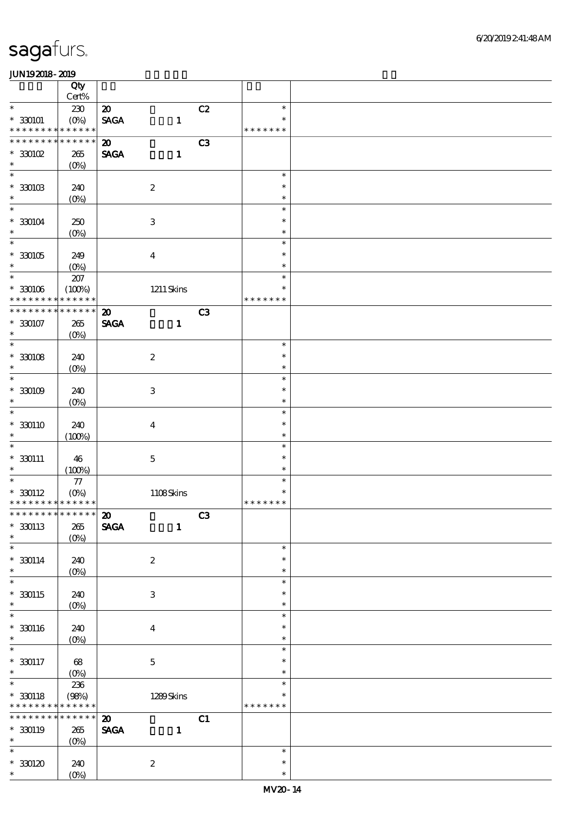|                                    | Qty                    |                             |                           |    |                  |  |
|------------------------------------|------------------------|-----------------------------|---------------------------|----|------------------|--|
|                                    | $Cert\%$               |                             |                           |    |                  |  |
| $\ast$                             | 230                    | $\boldsymbol{\mathsf{20}}$  |                           | C2 | $\ast$<br>$\ast$ |  |
| $*30001$<br>* * * * * * * *        | $(O\%)$<br>* * * * * * | <b>SAGA</b>                 | $\mathbf{1}$              |    | * * * * * * *    |  |
| * * * * * * *                      | * * * * * *            | $\boldsymbol{\mathfrak{D}}$ |                           | C3 |                  |  |
| $*30102$                           | $265\,$                | <b>SAGA</b>                 | $\mathbf{1}$              |    |                  |  |
| $\ast$                             | $(O\%)$                |                             |                           |    |                  |  |
| $\ast$                             |                        |                             |                           |    | $\ast$           |  |
| $*$ 330103                         | 240                    |                             | $\boldsymbol{2}$          |    | $\ast$           |  |
| $\ast$                             | $(0\%)$                |                             |                           |    | $\ast$           |  |
| $\overline{\ast}$                  |                        |                             |                           |    | $\ast$           |  |
| $*3004$                            | 250                    |                             | $\ensuremath{\mathsf{3}}$ |    | $\ast$           |  |
| $\ast$                             | $(O\%)$                |                             |                           |    | $\ast$           |  |
| $\overline{\phantom{0}}$           |                        |                             |                           |    | $\ast$           |  |
| $*$ 330105                         | 249                    |                             | $\boldsymbol{4}$          |    | $\ast$           |  |
| $\ast$<br>$\overline{\phantom{0}}$ | $(O\%)$                |                             |                           |    | $\ast$           |  |
|                                    | $207\,$                |                             |                           |    | $\ast$<br>$\ast$ |  |
| $*30006$<br>* * * * * * * *        | (100%)<br>* * * * * *  |                             | $1211$ Skins              |    | * * * * * * *    |  |
| * * * * * * * *                    | * * * * * *            | $\boldsymbol{\mathfrak{D}}$ |                           | C3 |                  |  |
| $*30007$                           | 265                    | <b>SAGA</b>                 | $\mathbf{1}$              |    |                  |  |
| $\ast$                             | $(O\%)$                |                             |                           |    |                  |  |
| $\overline{\ast}$                  |                        |                             |                           |    | $\ast$           |  |
| $*3008$                            | 240                    |                             | $\boldsymbol{2}$          |    | $\ast$           |  |
| $\ast$                             | $(O\%)$                |                             |                           |    | $\ast$           |  |
| $\ast$                             |                        |                             |                           |    | $\ast$           |  |
| $*30009$                           | 240                    |                             | $\ensuremath{\mathsf{3}}$ |    | $\ast$           |  |
| $\ast$                             | $(O\%)$                |                             |                           |    | $\ast$           |  |
| $\overline{\ast}$                  |                        |                             |                           |    | $\ast$           |  |
| $*330110$                          | 240                    |                             | $\bf{4}$                  |    | $\ast$           |  |
| $\ast$                             | (100%)                 |                             |                           |    | $\ast$           |  |
| $\ast$                             |                        |                             |                           |    | $\ast$           |  |
| $* 330111$<br>$\ast$               | 46                     |                             | $\mathbf 5$               |    | $\ast$<br>$\ast$ |  |
| $\ast$                             | (100%)<br>$77\,$       |                             |                           |    | $\ast$           |  |
| $* 330112$                         | (0%)                   |                             | $1108$ Skins              |    | $\ast$           |  |
| * * * * * * * * * * * * * *        |                        |                             |                           |    | * * * * * * *    |  |
| *************** 20                 |                        |                             |                           | C3 |                  |  |
| $*330113$                          | $265\,$                | <b>SAGA</b>                 | $\mathbf{1}$              |    |                  |  |
| $\ast$                             | $(O\%)$                |                             |                           |    |                  |  |
| $\ast$                             |                        |                             |                           |    | $\ast$           |  |
| $* 330114$                         | 240                    |                             | $\boldsymbol{2}$          |    | $\ast$           |  |
| $\ast$                             | $(0\%)$                |                             |                           |    | $\ast$           |  |
| $\overline{\ast}$                  |                        |                             |                           |    | $\ast$           |  |
| $*330115$                          | 240                    |                             | $\ensuremath{\mathsf{3}}$ |    | $\ast$           |  |
| $\ast$<br>$\overline{\phantom{0}}$ | $(0\%)$                |                             |                           |    | $\ast$<br>$\ast$ |  |
|                                    |                        |                             |                           |    | $\ast$           |  |
| $* 330116$<br>$\ast$               | 240                    |                             | $\bf{4}$                  |    | $\ast$           |  |
| $\overline{\phantom{0}}$           | $(0\%)$                |                             |                           |    | $\ast$           |  |
| * 330117                           | 68                     |                             | $\mathbf{5}$              |    | $\ast$           |  |
| $*$                                | $(0\%)$                |                             |                           |    | $\ast$           |  |
| $\overline{\ast}$                  | 236                    |                             |                           |    | $\ast$           |  |
| $* 330118$                         | (98%)                  |                             | $1289S$ kins              |    | $\ast$           |  |
| * * * * * * * *                    | * * * * * *            |                             |                           |    | * * * * * * *    |  |
| * * * * * * * *                    | $******$               | $\boldsymbol{\mathsf{20}}$  |                           | C1 |                  |  |
| $* 330119$                         | 265                    | <b>SAGA</b>                 | $\mathbf{1}$              |    |                  |  |
| $*$                                | $(O\%)$                |                             |                           |    |                  |  |
| $\overline{\ast}$                  |                        |                             |                           |    | $\ast$           |  |
| $*30120$                           | 240                    |                             | $\boldsymbol{2}$          |    | $\ast$           |  |
| $\ast$                             | $(0\%)$                |                             |                           |    | $\ast$           |  |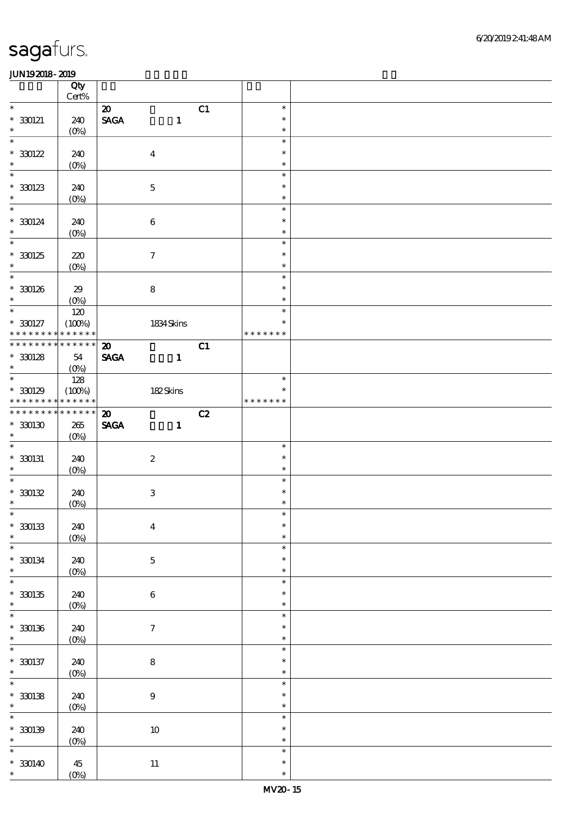|                          | Qty<br>Cert%                |                              |                  |    |               |  |
|--------------------------|-----------------------------|------------------------------|------------------|----|---------------|--|
| $\ast$                   |                             |                              |                  | C1 | $\ast$        |  |
|                          |                             | $\boldsymbol{\mathfrak{D}}$  |                  |    |               |  |
| $* 330121$               | 240                         | $\ensuremath{\mathsf{SAGA}}$ | $\mathbf{1}$     |    | $\ast$        |  |
| $\ast$                   | $(O\!/\!o)$                 |                              |                  |    | $\ast$        |  |
| $\ast$                   |                             |                              |                  |    | $\ast$        |  |
| $*30122$                 | 240                         |                              | $\boldsymbol{4}$ |    | $\ast$        |  |
|                          |                             |                              |                  |    |               |  |
| $\ast$                   | $(0\%)$                     |                              |                  |    | $\ast$        |  |
| $\ast$                   |                             |                              |                  |    | $\ast$        |  |
| $*30123$                 | 240                         |                              | $\mathbf 5$      |    | $\ast$        |  |
| $\ast$                   | $(0\%)$                     |                              |                  |    | $\ast$        |  |
| $\ast$                   |                             |                              |                  |    |               |  |
|                          |                             |                              |                  |    | $\ast$        |  |
| $* 30024$                | 240                         |                              | $\bf 6$          |    | $\ast$        |  |
| $\ast$                   | $(O\%)$                     |                              |                  |    | $\ast$        |  |
| $\overline{\phantom{0}}$ |                             |                              |                  |    | $\ast$        |  |
| $*30125$                 | 220                         |                              | $\tau$           |    | $\ast$        |  |
|                          |                             |                              |                  |    |               |  |
| $\ast$                   | $(0\%)$                     |                              |                  |    | $\ast$        |  |
| $\overline{\phantom{0}}$ |                             |                              |                  |    | $\ast$        |  |
| $^\ast$ 330126           | 29                          |                              | $\bf8$           |    | $\ast$        |  |
| $\ast$                   | $(O\%)$                     |                              |                  |    | $\ast$        |  |
| $\overline{\ast}$        |                             |                              |                  |    | $\ast$        |  |
|                          | 120                         |                              |                  |    |               |  |
| $* 30027$                | (100%)                      |                              | 1834 Skins       |    | $\ast$        |  |
| * * * * * * * *          | * * * * * *                 |                              |                  |    | * * * * * * * |  |
|                          | * * * * * * * * * * * * * * | $\boldsymbol{\mathfrak{D}}$  |                  | C1 |               |  |
| $*30128$                 | 54                          | <b>SAGA</b>                  | $\mathbf{1}$     |    |               |  |
| $\ast$                   |                             |                              |                  |    |               |  |
|                          | $(0\%)$                     |                              |                  |    |               |  |
| $\overline{\ast}$        | 128                         |                              |                  |    | $\ast$        |  |
| $*30129$                 | (100%)                      |                              | 182Skins         |    | $\ast$        |  |
|                          | * * * * * * * * * * * * * * |                              |                  |    | * * * * * * * |  |
| * * * * * * * *          | $* * * * * * *$             | $\boldsymbol{\mathfrak{D}}$  |                  | C2 |               |  |
|                          |                             |                              |                  |    |               |  |
| $*$ 330130               | 265                         | <b>SAGA</b>                  | $\mathbf{1}$     |    |               |  |
| $\ast$                   | $(O\%)$                     |                              |                  |    |               |  |
| $\ast$                   |                             |                              |                  |    | $\ast$        |  |
| $* 330131$               | 240                         |                              | $\boldsymbol{2}$ |    | $\ast$        |  |
| $\ast$                   |                             |                              |                  |    | $\ast$        |  |
|                          | $(O\%)$                     |                              |                  |    |               |  |
| $\ast$                   |                             |                              |                  |    | $\ast$        |  |
| $*30132$                 | 240                         |                              | $\,3$            |    | $\ast$        |  |
| $\ast$                   | $(0\%)$                     |                              |                  |    | $\ast$        |  |
| $\ast$                   |                             |                              |                  |    | $\ast$        |  |
|                          |                             |                              |                  |    |               |  |
| $*30133$                 | 240                         |                              | $\boldsymbol{4}$ |    | $\ast$        |  |
| $\ast$                   | $(0\%)$                     |                              |                  |    | $\ast$        |  |
| $\ast$                   |                             |                              |                  |    | $\ast$        |  |
| $* 30034$                | 240                         |                              | $\mathbf 5$      |    | $\ast$        |  |
| $\ast$                   |                             |                              |                  |    | $\ast$        |  |
|                          | $(0\%)$                     |                              |                  |    |               |  |
| $\ast$                   |                             |                              |                  |    | $\ast$        |  |
| $^\ast$ 330135           | 240                         |                              | $\,6\,$          |    | $\ast$        |  |
| $\ast$                   | $(0\%)$                     |                              |                  |    | $\ast$        |  |
| $\ast$                   |                             |                              |                  |    | $\ast$        |  |
|                          |                             |                              |                  |    | $\ast$        |  |
| $* 30136$                | 240                         |                              | $\boldsymbol{7}$ |    |               |  |
| $\ast$                   | $(0\%)$                     |                              |                  |    | $\ast$        |  |
| $\ast$                   |                             |                              |                  |    | $\ast$        |  |
| $* 330137$               | 240                         |                              | $\bf 8$          |    | $\ast$        |  |
| $\ast$                   | $(0\%)$                     |                              |                  |    | $\ast$        |  |
| $\ast$                   |                             |                              |                  |    |               |  |
|                          |                             |                              |                  |    | $\ast$        |  |
| $*$ 330138               | 240                         |                              | $\boldsymbol{9}$ |    | $\ast$        |  |
| $\ast$                   | O(6)                        |                              |                  |    | $\ast$        |  |
| $\ast$                   |                             |                              |                  |    | $\ast$        |  |
|                          |                             |                              |                  |    |               |  |
| $* 330139$               |                             |                              |                  |    |               |  |
| $\ast$                   | 240                         |                              | $10\,$           |    | $\ast$        |  |
|                          | $(0\%)$                     |                              |                  |    | $\ast$        |  |
| $\ast$                   |                             |                              |                  |    | $\ast$        |  |
|                          |                             |                              |                  |    | $\ast$        |  |
| $* 330140$<br>$\ast$     | 45<br>$(O\%)$               |                              | $11\,$           |    | $\ast$        |  |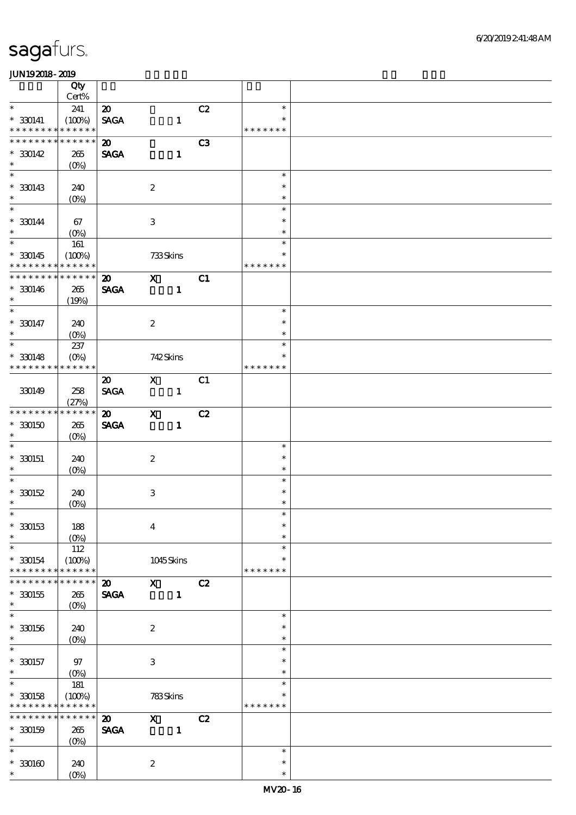|                               | $\overline{Q}$ ty               |                             |                           |              |                |                         |  |
|-------------------------------|---------------------------------|-----------------------------|---------------------------|--------------|----------------|-------------------------|--|
|                               | Cert%                           |                             |                           |              |                |                         |  |
| $\overline{\phantom{0}}$      | 241                             | $\boldsymbol{\mathfrak{D}}$ |                           |              | C2             | $\ast$                  |  |
| $* 330141$<br>* * * * * * * * | (100%)<br>* * * * * *           | <b>SAGA</b>                 |                           | $\mathbf{1}$ |                | $\ast$<br>* * * * * * * |  |
| * * * * * * *                 | * * * * * *                     | $\boldsymbol{\mathfrak{D}}$ |                           |              | C <sub>3</sub> |                         |  |
| $* 30142$                     | 265                             | <b>SAGA</b>                 |                           | $\mathbf{1}$ |                |                         |  |
| $\ast$                        | $(0\%)$                         |                             |                           |              |                |                         |  |
| $\overline{\ast}$             |                                 |                             |                           |              |                | $\ast$                  |  |
| $* 30143$                     | 240                             |                             | $\boldsymbol{2}$          |              |                | $\ast$                  |  |
| $\ast$                        | $(0\%)$                         |                             |                           |              |                | $\ast$                  |  |
| $\overline{\phantom{0}}$      |                                 |                             |                           |              |                | $\ast$                  |  |
| $* 330144$                    | 67                              |                             | $\,3$                     |              |                | $\ast$                  |  |
| $\ast$<br>$\overline{\ast}$   | $(0\%)$                         |                             |                           |              |                | $\ast$                  |  |
|                               | 161                             |                             |                           |              |                | $\ast$                  |  |
| $* 30145$<br>* * * * * * * *  | (100%)<br>* * * * * *           |                             | 733Skins                  |              |                | $\ast$<br>* * * * * * * |  |
| * * * * * * * *               | * * * * * *                     | $\boldsymbol{\mathsf{20}}$  | $\mathbf x$               |              | C1             |                         |  |
| $* 330146$                    | 265                             | <b>SAGA</b>                 |                           | $\mathbf{1}$ |                |                         |  |
| $\ast$                        | (19%)                           |                             |                           |              |                |                         |  |
| $\overline{\ast}$             |                                 |                             |                           |              |                | $\ast$                  |  |
| $* 330147$                    | 240                             |                             | $\boldsymbol{2}$          |              |                | $\ast$                  |  |
| $\ast$                        | $(0\%)$                         |                             |                           |              |                | $\ast$                  |  |
| $\overline{\ast}$             | 237                             |                             |                           |              |                | $\ast$                  |  |
| $* 30148$                     | $(O\!\!\!\!\!\!\backslash\rho)$ |                             | 742Skins                  |              |                | $\ast$                  |  |
| * * * * * * * *               | * * * * * *                     |                             |                           |              |                | * * * * * * *           |  |
|                               |                                 | $\boldsymbol{\mathfrak{D}}$ | $\mathbf{x}$              |              | C1             |                         |  |
| 330149                        | 258                             | <b>SAGA</b>                 |                           | $\mathbf{1}$ |                |                         |  |
| * * * * * * * *               | (27%)<br>* * * * * *            | $\boldsymbol{\mathfrak{D}}$ | $\mathbf{x}$              |              | C2             |                         |  |
| $^\ast$ 330150                | 265                             | <b>SAGA</b>                 |                           | $\mathbf{1}$ |                |                         |  |
| $\ast$                        | $(0\%)$                         |                             |                           |              |                |                         |  |
| $\overline{\ast}$             |                                 |                             |                           |              |                | $\ast$                  |  |
| $*$ 330151                    | 240                             |                             | $\boldsymbol{2}$          |              |                | $\ast$                  |  |
| $\ast$                        | $(O\!/\!o)$                     |                             |                           |              |                | $\ast$                  |  |
| $\ast$                        |                                 |                             |                           |              |                | $\ast$                  |  |
| $* 30152$                     | 240                             |                             | $\ensuremath{\mathbf{3}}$ |              |                | $\ast$                  |  |
| $\ast$                        | $(O\%)$                         |                             |                           |              |                | $\ast$                  |  |
| $\ast$                        |                                 |                             |                           |              |                | $\ast$                  |  |
| $* 30153$<br>$\ast$           | 188                             |                             | $\boldsymbol{4}$          |              |                | $\ast$                  |  |
| $\ast$                        | $(O\%)$<br>112                  |                             |                           |              |                | $\ast$                  |  |
| $* 330154$                    | (100%)                          |                             | 1045Skins                 |              |                | $\ast$                  |  |
| * * * * * * * *               | * * * * * *                     |                             |                           |              |                | * * * * * * *           |  |
| * * * * * * *                 | * * * * * *                     | $\boldsymbol{\mathfrak{D}}$ | $\mathbf{x}$              |              | C2             |                         |  |
| $*30155$                      | 265                             | <b>SAGA</b>                 |                           | $\mathbf{1}$ |                |                         |  |
| $\ast$                        | $(O\%)$                         |                             |                           |              |                |                         |  |
| $\ast$                        |                                 |                             |                           |              |                | $\ast$                  |  |
| $^\ast$ 330156                | 240                             |                             | $\boldsymbol{2}$          |              |                | $\ast$                  |  |
| $\ast$<br>$\ast$              | $(0\%)$                         |                             |                           |              |                | $\ast$                  |  |
|                               |                                 |                             |                           |              |                | $\ast$<br>$\ast$        |  |
| $* 330157$<br>$\ast$          | 97<br>$(O\%)$                   |                             | $\,3$                     |              |                | $\ast$                  |  |
| $\ast$                        | 181                             |                             |                           |              |                | $\ast$                  |  |
| $*$ 330158                    | (100%)                          |                             | 783Skins                  |              |                | $\ast$                  |  |
| * * * * * * * *               | * * * * * *                     |                             |                           |              |                | * * * * * * *           |  |
| * * * * * * * *               | * * * * * *                     | $\boldsymbol{\mathbf{z}}$   | $\mathbf X$               |              | C2             |                         |  |
| $* 30059$                     | 265                             | <b>SAGA</b>                 |                           | $\mathbf{1}$ |                |                         |  |
| $\ast$                        | $(O\%)$                         |                             |                           |              |                |                         |  |
| $\ast$                        |                                 |                             |                           |              |                | $\ast$                  |  |
| $^\ast$ 330160                | 240                             |                             | $\boldsymbol{2}$          |              |                | $\ast$                  |  |
| $\ast$                        | $(O\%)$                         |                             |                           |              |                | $\ast$                  |  |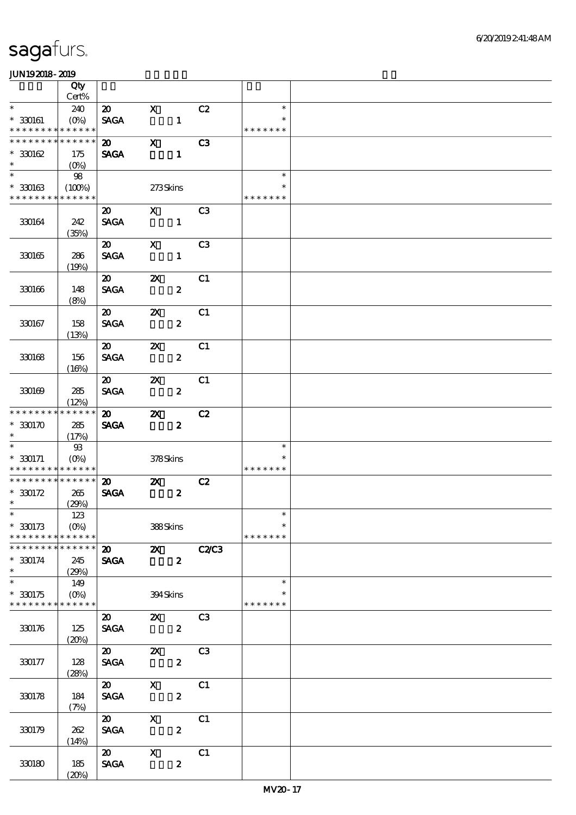|                             | $\overline{Q}$ ty          |                                            |                                               |                |               |  |
|-----------------------------|----------------------------|--------------------------------------------|-----------------------------------------------|----------------|---------------|--|
| $\overline{\ast}$           | Cert%                      |                                            |                                               |                | $\ast$        |  |
| $^\ast$ 330161              | 240                        | $\boldsymbol{\mathfrak{D}}$                | $\mathbf{x}$<br>$\mathbf{1}$                  | C2             | $\ast$        |  |
| * * * * * * * *             | $(O\!/\!o)$<br>* * * * * * | <b>SAGA</b>                                |                                               |                | * * * * * * * |  |
| * * * * * * * *             | * * * * * *                | $\boldsymbol{\mathfrak{D}}$                | $\mathbf{x}$                                  | C3             |               |  |
| $*30062$                    | 175                        | <b>SAGA</b>                                | $\mathbf{1}$                                  |                |               |  |
| $\ast$                      | $(O\% )$                   |                                            |                                               |                |               |  |
| $\ast$                      | 98                         |                                            |                                               |                | $\ast$        |  |
| $* 330163$                  | (100%)                     |                                            | 273Skins                                      |                | $\ast$        |  |
| * * * * * * * *             | * * * * * *                |                                            |                                               |                | * * * * * * * |  |
|                             |                            | $\boldsymbol{\mathfrak{D}}$                | $\mathbf x$                                   | C <sub>3</sub> |               |  |
| 330164                      | 242<br>(35%)               | <b>SAGA</b>                                | $\mathbf{1}$                                  |                |               |  |
|                             |                            | $\boldsymbol{\mathfrak{D}}$                | $\mathbf X$                                   | C3             |               |  |
| 330165                      | 286                        | <b>SAGA</b>                                | $\mathbf{1}$                                  |                |               |  |
|                             | (19%)                      |                                            |                                               |                |               |  |
|                             |                            | $\boldsymbol{\mathfrak{D}}$                | $\boldsymbol{\alpha}$                         | C <sub>1</sub> |               |  |
| 330166                      | 148                        | <b>SAGA</b>                                | $\boldsymbol{z}$                              |                |               |  |
|                             | (8%)                       |                                            |                                               |                |               |  |
|                             |                            | $\boldsymbol{\mathfrak{D}}$<br><b>SAGA</b> | $\boldsymbol{\mathsf{Z}}$<br>$\boldsymbol{z}$ | C1             |               |  |
| 330167                      | 158<br>(13%)               |                                            |                                               |                |               |  |
|                             |                            | $\boldsymbol{\mathfrak{D}}$                | $\boldsymbol{\mathsf{z}}$                     | C1             |               |  |
| 330168                      | 156                        | <b>SAGA</b>                                | $\boldsymbol{z}$                              |                |               |  |
|                             | (16%)                      |                                            |                                               |                |               |  |
|                             |                            | $\boldsymbol{\mathfrak{D}}$                | $\boldsymbol{\mathsf{X}}$                     | C1             |               |  |
| 330169                      | 285                        | <b>SAGA</b>                                | $\boldsymbol{z}$                              |                |               |  |
| * * * * * * * *             | (12%)<br>* * * * * *       |                                            |                                               |                |               |  |
| $*30170$                    | 285                        | $\boldsymbol{\mathfrak{D}}$<br><b>SAGA</b> | $\boldsymbol{\mathsf{z}}$<br>$\boldsymbol{z}$ | C2             |               |  |
| $\ast$                      | (17%)                      |                                            |                                               |                |               |  |
| $*$                         | $9\!\!3$                   |                                            |                                               |                | $\ast$        |  |
| $* 330171$                  | $(O\%)$                    |                                            | 378Skins                                      |                | ∗             |  |
| * * * * * * * *             | * * * * * *                |                                            |                                               |                | * * * * * * * |  |
| * * * * * * * *             | * * * * * *                | $\boldsymbol{\mathfrak{D}}$                | $\mathbf{x}$                                  | C2             |               |  |
| $*30172$<br>$\ast$          | 265                        | <b>SAGA</b>                                | $\boldsymbol{z}$                              |                |               |  |
| $\ast$                      | (29%)<br>123               |                                            |                                               |                | $\rightarrow$ |  |
| $^\ast$ 330173              | $(O\%)$                    |                                            | 388Skins                                      |                | $\ast$        |  |
| * * * * * * * *             | * * * * * *                |                                            |                                               |                | * * * * * * * |  |
| * * * * * * * *             | $\ast\ast\ast\ast\ast\ast$ | $\boldsymbol{\mathfrak{D}}$                | $\boldsymbol{\mathsf{Z}}$                     | <b>C2/C3</b>   |               |  |
| $* 30074$                   | 245                        | <b>SAGA</b>                                | $\boldsymbol{z}$                              |                |               |  |
| $\ast$                      | (29%)                      |                                            |                                               |                |               |  |
| $\ast$                      | 149                        |                                            |                                               |                | $\ast$        |  |
| $*30175$<br>* * * * * * * * | $(O\% )$<br>* * * * * *    |                                            | 394Skins                                      |                | * * * * * * * |  |
|                             |                            | $\boldsymbol{\mathfrak{D}}$                | $\mathbf{x}$                                  | C <sub>3</sub> |               |  |
| 330176                      | 125                        | <b>SAGA</b>                                | $\boldsymbol{z}$                              |                |               |  |
|                             | (20%)                      |                                            |                                               |                |               |  |
|                             |                            | $\boldsymbol{\mathsf{20}}$                 | $\boldsymbol{\alpha}$                         | C3             |               |  |
| 330177                      | 128                        | <b>SAGA</b>                                | $\boldsymbol{z}$                              |                |               |  |
|                             | (28%)                      |                                            |                                               |                |               |  |
| 330178                      | 184                        | $\boldsymbol{\mathsf{20}}$<br><b>SAGA</b>  | $\mathbf{X}$<br>$\boldsymbol{z}$              | C1             |               |  |
|                             | (7%)                       |                                            |                                               |                |               |  |
|                             |                            | $\boldsymbol{\omega}$                      | $\mathbf{X}$                                  | C1             |               |  |
| 330179                      | 262                        | $\pmb{\text{SAGA}}$                        | $\boldsymbol{z}$                              |                |               |  |
|                             | (14%)                      |                                            |                                               |                |               |  |
|                             |                            | $\boldsymbol{\omega}$                      | $\mathbf x$                                   | C1             |               |  |
| 330180                      | 185<br>(20%)               | $\operatorname{\mathsf{SAGA}}$             | $\pmb{2}$                                     |                |               |  |
|                             |                            |                                            |                                               |                |               |  |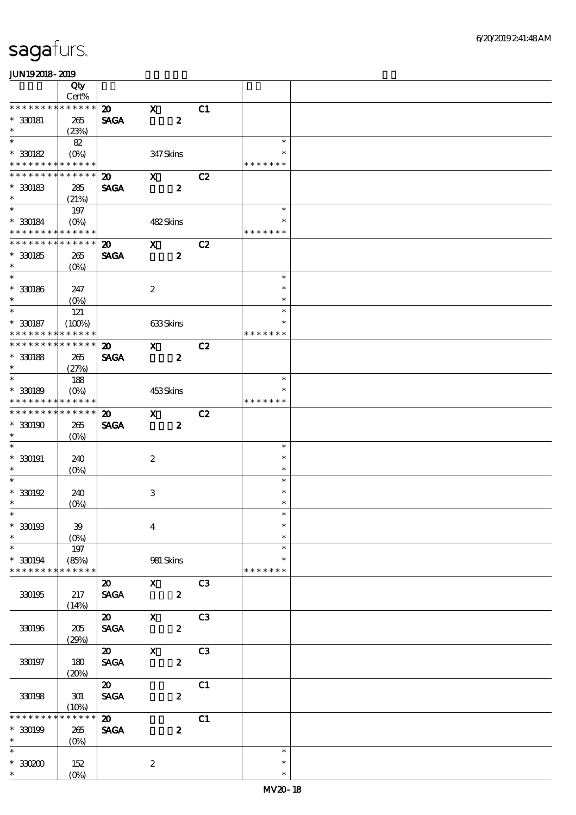|                                          | Qty                    |                             |                           |                  |                |                  |  |
|------------------------------------------|------------------------|-----------------------------|---------------------------|------------------|----------------|------------------|--|
|                                          | $Cert\%$               |                             |                           |                  |                |                  |  |
| * * * * * * * *                          | * * * * * *            | $\boldsymbol{\mathfrak{D}}$ | $\mathbf{x}$              |                  | C1             |                  |  |
| $^\ast$ 330181<br>$\ast$                 | $265\,$                | <b>SAGA</b>                 |                           | $\boldsymbol{z}$ |                |                  |  |
| $\overline{\ast}$                        | (23%)                  |                             |                           |                  |                | $\ast$           |  |
| $*30182$                                 | 82                     |                             |                           |                  |                | $\ast$           |  |
| * * * * * * * *                          | $(O\%)$<br>* * * * * * |                             | 347Skins                  |                  |                | * * * * * * *    |  |
| * * * * * * * *                          | * * * * * *            |                             |                           |                  |                |                  |  |
|                                          |                        | $\boldsymbol{\mathsf{20}}$  | $\mathbf{x}$              |                  | C2             |                  |  |
| $^\ast$ 330183<br>$\ast$                 | 285                    | <b>SAGA</b>                 |                           | $\boldsymbol{z}$ |                |                  |  |
| $\overline{\ast}$                        | (21%)                  |                             |                           |                  |                |                  |  |
|                                          | 197                    |                             |                           |                  |                | $\ast$<br>$\ast$ |  |
| $*30084$                                 | $(O\% )$               |                             | 482Skins                  |                  |                |                  |  |
| * * * * * * * * <mark>* * * * * *</mark> |                        |                             |                           |                  |                | * * * * * * *    |  |
| * * * * * * * *                          | * * * * * *            | $\boldsymbol{\mathfrak{D}}$ | $\mathbf{x}$              |                  | C2             |                  |  |
| $*30085$                                 | 265                    | <b>SAGA</b>                 |                           | $\boldsymbol{z}$ |                |                  |  |
| $\ast$<br>$\ast$                         | (O <sub>0</sub> )      |                             |                           |                  |                |                  |  |
|                                          |                        |                             |                           |                  |                | $\ast$           |  |
| $*$ 330186                               | 247                    |                             | $\boldsymbol{2}$          |                  |                | $\ast$           |  |
| $\ast$                                   | $(O\!/\!\!\delta)$     |                             |                           |                  |                | $\ast$           |  |
| $\overline{\ast}$                        | 121                    |                             |                           |                  |                | $\ast$           |  |
| $* 30087$                                | (100%)                 |                             | 633Skins                  |                  |                | $\ast$           |  |
| * * * * * * *                            | * * * * * *            |                             |                           |                  |                | * * * * * * *    |  |
| * * * * * * * *                          | * * * * * *            | $\boldsymbol{\mathbf{z}}$   | $\boldsymbol{\mathrm{X}}$ |                  | C2             |                  |  |
| $^\ast$ 330188                           | 265                    | <b>SAGA</b>                 |                           | $\boldsymbol{z}$ |                |                  |  |
| $\ast$                                   | (27%)                  |                             |                           |                  |                |                  |  |
| $\ast$                                   | 188                    |                             |                           |                  |                | $\ast$           |  |
| $* 30089$                                | $(O\%)$                |                             | 453Skins                  |                  |                | $\ast$           |  |
| * * * * * * * *                          | * * * * * *            |                             |                           |                  |                | * * * * * * *    |  |
| * * * * * * *                            | * * * * * *            | $\boldsymbol{\mathfrak{D}}$ | $\mathbf{x}$              |                  | C2             |                  |  |
| $*3000$                                  | 265                    | <b>SAGA</b>                 |                           | $\boldsymbol{z}$ |                |                  |  |
| $\ast$                                   | $(0\%)$                |                             |                           |                  |                |                  |  |
| $\ast$                                   |                        |                             |                           |                  |                | $\ast$           |  |
| $*$ 330191                               | 240                    |                             | $\boldsymbol{2}$          |                  |                | $\ast$           |  |
| $\ast$                                   | $(O\!/\!o)$            |                             |                           |                  |                | $\ast$           |  |
| $\ast$                                   |                        |                             |                           |                  |                | $\ast$           |  |
| $^*$ 330192 $\,$                         | 240                    |                             | $\,3$                     |                  |                | $\ast$           |  |
| $\ast$                                   | $(0\%)$                |                             |                           |                  |                | $\ast$           |  |
| $*$                                      |                        |                             |                           |                  |                |                  |  |
| $^\ast$ 330193                           | ${\bf 39}$             |                             | $\boldsymbol{4}$          |                  |                | $\ast$           |  |
| $\ast$                                   | $(O\%)$                |                             |                           |                  |                | $\ast$           |  |
| $\ast$                                   | $197$                  |                             |                           |                  |                | $\ast$           |  |
| $* 330194$                               | (85%)                  |                             | 981 Skins                 |                  |                | $\ast$           |  |
| * * * * * * * *                          | * * * * * *            |                             |                           |                  |                | * * * * * * *    |  |
|                                          |                        | $\boldsymbol{\mathfrak{D}}$ | $\mathbf{X}$              |                  | C <sub>3</sub> |                  |  |
| 330195                                   | 217                    | <b>SAGA</b>                 |                           | $\boldsymbol{z}$ |                |                  |  |
|                                          | (14%)                  |                             |                           |                  |                |                  |  |
|                                          |                        | $\boldsymbol{\mathsf{20}}$  | $\boldsymbol{\mathrm{X}}$ |                  | C <sub>3</sub> |                  |  |
| 330196                                   | 205                    | <b>SAGA</b>                 |                           | $\boldsymbol{2}$ |                |                  |  |
|                                          | (29%)                  |                             |                           |                  |                |                  |  |
|                                          |                        | $\boldsymbol{\mathsf{20}}$  | $\boldsymbol{\mathrm{X}}$ |                  | C <sub>3</sub> |                  |  |
| 330197                                   | 180                    | <b>SAGA</b>                 |                           | $\boldsymbol{z}$ |                |                  |  |
|                                          | (20%)                  |                             |                           |                  |                |                  |  |
|                                          |                        | $\boldsymbol{\omega}^-$     |                           |                  | C1             |                  |  |
| 330198                                   | 301                    | <b>SAGA</b>                 |                           | $\boldsymbol{z}$ |                |                  |  |
|                                          | (10%)                  |                             |                           |                  |                |                  |  |
| * * * * * * *                            | * * * * * *            | $\boldsymbol{\mathfrak{D}}$ |                           |                  | C1             |                  |  |
| $* 30099$                                | $265\,$                | <b>SAGA</b>                 |                           | $\boldsymbol{z}$ |                |                  |  |
| $*$                                      | $(0\%)$                |                             |                           |                  |                |                  |  |
| $\ast$                                   |                        |                             |                           |                  |                | $\ast$           |  |
| $^\ast$ 330200                           | 152                    |                             | $\boldsymbol{2}$          |                  |                | $\ast$           |  |
| $\ast$                                   | $(O\%)$                |                             |                           |                  |                | $\ast$           |  |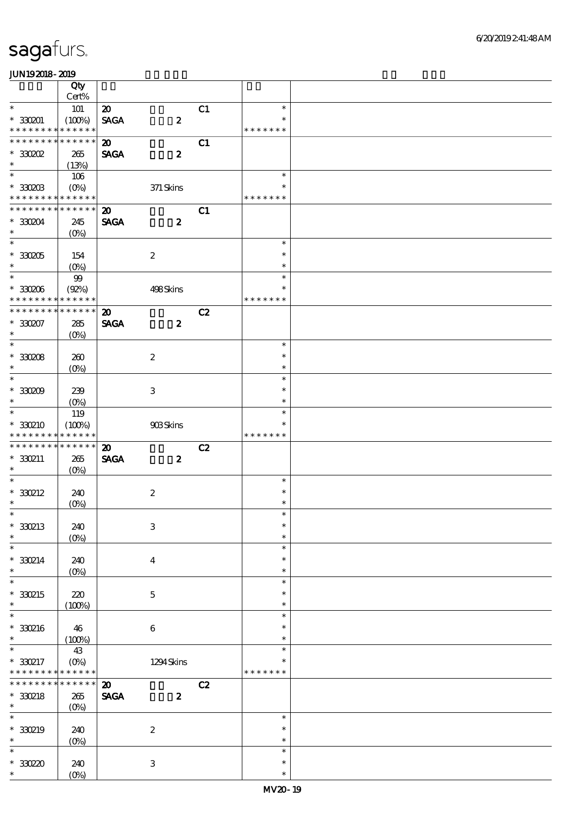|                                                              | Qty                        |                              |                           |    |                  |  |
|--------------------------------------------------------------|----------------------------|------------------------------|---------------------------|----|------------------|--|
|                                                              | Cert%                      |                              |                           |    |                  |  |
| $\ast$                                                       | 101                        | $\boldsymbol{\mathfrak{D}}$  |                           | C1 | $\ast$<br>$\ast$ |  |
| $*30201$<br>* * * * * * * *                                  | (100%)<br>* * * * * *      | <b>SAGA</b>                  | $\boldsymbol{z}$          |    | * * * * * * *    |  |
| * * * * * * *                                                | * * * * * *                | $\boldsymbol{\mathbf{z}}$    |                           | C1 |                  |  |
| $^\ast$ 330202                                               | 265                        | <b>SAGA</b>                  | $\boldsymbol{z}$          |    |                  |  |
| $\ast$                                                       | (13%)                      |                              |                           |    |                  |  |
| $\ast$                                                       | 106                        |                              |                           |    | $\ast$<br>$\ast$ |  |
| $^\ast$ 330203<br>* * * * * * * * <mark>* * * * * *</mark> * | $(O\%)$                    |                              | $371$ Skins               |    | * * * * * * *    |  |
| * * * * * * * * * * * * * *                                  |                            | $\boldsymbol{\mathfrak{D}}$  |                           | C1 |                  |  |
| $^*$ 330204 $\,$                                             | 245                        | <b>SAGA</b>                  | $\boldsymbol{z}$          |    |                  |  |
| $\ast$                                                       | $(O\%)$                    |                              |                           |    |                  |  |
| $\ast$                                                       |                            |                              |                           |    | $\ast$           |  |
| $*30005$<br>$\ast$                                           | 154                        |                              | $\boldsymbol{2}$          |    | $\ast$<br>$\ast$ |  |
| $\ast$                                                       | $(0\%)$<br>$99\,$          |                              |                           |    | $\ast$           |  |
| $*30006$                                                     | (Q2%)                      |                              | 498Skins                  |    | $\ast$           |  |
| * * * * * * * *                                              | * * * * * *                |                              |                           |    | * * * * * * *    |  |
| * * * * * * * *                                              | * * * * * *                | $\boldsymbol{\mathfrak{D}}$  |                           | C2 |                  |  |
| $*30007$                                                     | 285                        | <b>SAGA</b>                  | $\boldsymbol{z}$          |    |                  |  |
| $\ast$<br>$\overline{\ast}$                                  | (O <sub>0</sub> )          |                              |                           |    | $\ast$           |  |
| $*30008$                                                     | 260                        |                              | $\boldsymbol{2}$          |    | $\ast$           |  |
| $\ast$                                                       | $(0\%)$                    |                              |                           |    | $\ast$           |  |
| $\ast$                                                       |                            |                              |                           |    | $\ast$           |  |
| $^\ast$ 330209                                               | 239                        |                              | $\,3\,$                   |    | $\ast$           |  |
| $\ast$<br>$\ast$                                             | $(O\%)$                    |                              |                           |    | $\ast$<br>$\ast$ |  |
| * 330210                                                     | 119<br>(100%)              |                              | 908Skins                  |    | $\ast$           |  |
|                                                              |                            |                              |                           |    |                  |  |
| * * * * * * * *                                              | * * * * * *                |                              |                           |    | * * * * * * *    |  |
| * * * * * * * *                                              | $\ast\ast\ast\ast\ast\ast$ | $\boldsymbol{\mathfrak{D}}$  |                           | C2 |                  |  |
| $*330211$                                                    | 265                        | <b>SAGA</b>                  | $\boldsymbol{z}$          |    |                  |  |
| $\ast$                                                       | $(O\%)$                    |                              |                           |    |                  |  |
| $\ast$                                                       |                            |                              |                           |    | $\ast$           |  |
| $*330212$<br>$\ast$                                          | 240                        |                              | $\boldsymbol{2}$          |    | $\ast$<br>$\ast$ |  |
|                                                              | $(O\%)$                    |                              |                           |    |                  |  |
|                                                              | 240                        |                              | $\ensuremath{\mathbf{3}}$ |    | $\ast$           |  |
| $*330213$<br>$\ast$                                          | $(0\%)$                    |                              |                           |    | $\ast$           |  |
| $\ast$                                                       |                            |                              |                           |    | $\ast$           |  |
| $*330214$<br>$\ast$                                          | 240                        |                              | $\bf{4}$                  |    | $\ast$<br>$\ast$ |  |
| $\ast$                                                       | $(O_0)$                    |                              |                           |    | $\ast$           |  |
| $*330215$                                                    | 220                        |                              | $\mathbf 5$               |    | $\ast$           |  |
| $\ast$                                                       | (100%)                     |                              |                           |    | $\ast$           |  |
| $\ast$                                                       |                            |                              |                           |    | $\ast$           |  |
| $*330216$                                                    | 46                         |                              | $\bf 6$                   |    | $\ast$           |  |
| $\ast$<br>$\ast$                                             | (100%)                     |                              |                           |    | $\ast$<br>$\ast$ |  |
| $*330217$                                                    | 43<br>$(O\!/\!\!\delta)$   |                              | 1294Skins                 |    | $\ast$           |  |
| * * * * * * *                                                | * * * * * *                |                              |                           |    | * * * * * * *    |  |
| * * * * * * *                                                | * * * * * *                | $\boldsymbol{\mathfrak{D}}$  |                           | C2 |                  |  |
| $*330218$                                                    | $265\,$                    | $\ensuremath{\mathsf{SAGA}}$ | $\boldsymbol{z}$          |    |                  |  |
| $\ast$<br>$\ast$                                             | $(O\%)$                    |                              |                           |    | $\ast$           |  |
|                                                              |                            |                              |                           |    | $\ast$           |  |
| $*330219$<br>$\ast$                                          | 240<br>$(0\%)$             |                              | $\boldsymbol{z}$          |    | $\ast$           |  |
| $\ast$                                                       |                            |                              |                           |    | $\ast$           |  |
| $^*$ 330220<br>$\ast$                                        | 240<br>$(0\%)$             |                              | $\,3$                     |    | $\ast$<br>$\ast$ |  |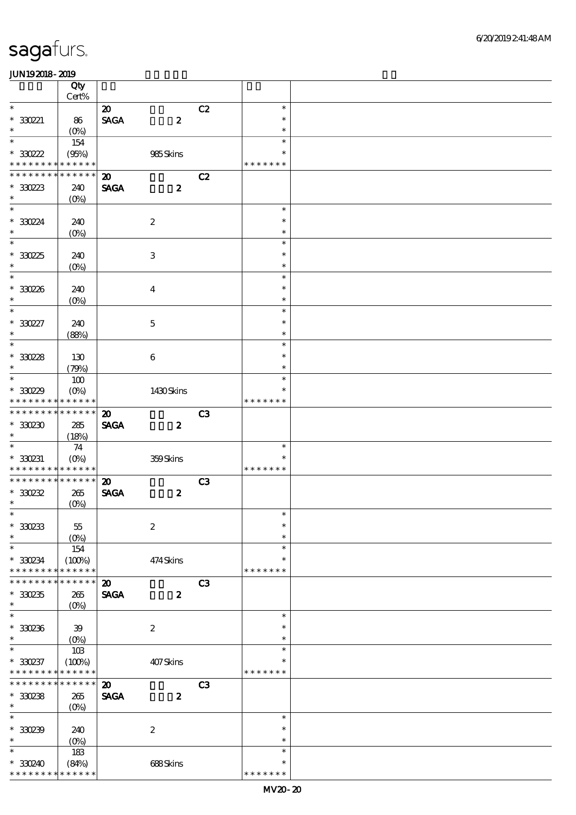|                                            | Qty                        |                                |                  |                |                  |  |
|--------------------------------------------|----------------------------|--------------------------------|------------------|----------------|------------------|--|
|                                            | $Cert\%$                   |                                |                  |                |                  |  |
| $\ast$                                     |                            | $\boldsymbol{\mathfrak{D}}$    |                  | C2             | $\ast$           |  |
| $*330221$                                  | 86                         | $\operatorname{\mathsf{SAGA}}$ | $\boldsymbol{z}$ |                | $\ast$           |  |
| $\ast$                                     | $(O_0)$                    |                                |                  |                | $\ast$           |  |
| $\ast$                                     | 154                        |                                |                  |                | $\ast$           |  |
| $^*$ 330222                                | (95%)                      |                                | 985Skins         |                | $\ast$           |  |
| * * * * * * * * <mark>* * * * * *</mark>   |                            |                                |                  |                | * * * * * * *    |  |
| * * * * * * * *                            | * * * * * *                | $\boldsymbol{\mathbf{z}}$      |                  | C2             |                  |  |
| $*30223$                                   | 240                        | <b>SAGA</b>                    | $\boldsymbol{z}$ |                |                  |  |
| $\ast$<br>$\overline{\ast}$                | (O <sub>0</sub> )          |                                |                  |                |                  |  |
|                                            |                            |                                |                  |                | $\ast$           |  |
| * 330224<br>$\ast$                         | 240                        |                                | $\boldsymbol{2}$ |                | $\ast$<br>$\ast$ |  |
| $\ast$                                     | $(0\%)$                    |                                |                  |                | $\ast$           |  |
| $*3025$                                    |                            |                                |                  |                | $\ast$           |  |
| $\ast$                                     | 240                        |                                | $\,3$            |                | $\ast$           |  |
| $\ast$                                     | $(O\!/\!o)$                |                                |                  |                | $\ast$           |  |
| $*30226$                                   | 240                        |                                | $\boldsymbol{4}$ |                | $\ast$           |  |
| $\ast$                                     | $(O\!/\!\!\delta)$         |                                |                  |                | $\ast$           |  |
| $\overline{\phantom{0}}$                   |                            |                                |                  |                | $\ast$           |  |
| $^*$ 330227 $\,$                           | 240                        |                                | $\mathbf 5$      |                | $\ast$           |  |
| $\ast$                                     | (88%)                      |                                |                  |                | $\ast$           |  |
| $\ast$                                     |                            |                                |                  |                | $\ast$           |  |
| $*30228$                                   | 130                        |                                | $\bf 6$          |                | $\ast$           |  |
| $\ast$                                     | (79%)                      |                                |                  |                | $\ast$           |  |
| $\ast$                                     | 100                        |                                |                  |                | $\ast$           |  |
| $*30229$                                   | $(O\%)$                    |                                | 1430Skins        |                | $\ast$           |  |
| * * * * * * * *                            | * * * * * *                |                                |                  |                | * * * * * * *    |  |
| * * * * * * * * * * * * * *                |                            | $\boldsymbol{\mathfrak{D}}$    |                  | C <sub>3</sub> |                  |  |
| $^*$ 330230 $\,$                           | 285                        | <b>SAGA</b>                    | $\boldsymbol{z}$ |                |                  |  |
| $\ast$                                     | (18%)                      |                                |                  |                |                  |  |
| $\ast$                                     | 74                         |                                |                  |                | $\ast$           |  |
| $*30231$                                   | $(O\!/\!o)$                |                                | 359Skins         |                | $\ast$           |  |
| * * * * * * * * <mark>* * * * * *</mark> * |                            |                                |                  |                | * * * * * * *    |  |
| * * * * * * * *                            | * * * * * *                | $\boldsymbol{\mathfrak{D}}$    |                  | C3             |                  |  |
| $*30232$                                   | 265                        | <b>SAGA</b>                    | $\boldsymbol{z}$ |                |                  |  |
| $\ast$                                     | $(O\%)$                    |                                |                  |                | $*$              |  |
| $*$                                        |                            |                                |                  |                | $\ast$           |  |
| $^\ast$ 330233<br>$\ast$                   | $5\!$                      |                                | $\boldsymbol{2}$ |                | $\ast$           |  |
| $\ast$                                     | (O <sub>0</sub> )<br>$154$ |                                |                  |                | $\ast$           |  |
| $*330234$                                  | (100%)                     |                                | 474Skins         |                | $\ast$           |  |
| * * * * * * * *                            | * * * * * *                |                                |                  |                | * * * * * * *    |  |
| * * * * * * *                              | * * * * * *                | $\boldsymbol{\mathbf{z}}$      |                  | C <sub>3</sub> |                  |  |
| $*30235$                                   | 265                        | <b>SAGA</b>                    | $\boldsymbol{z}$ |                |                  |  |
| $\ast$                                     | $(O\!/\!\!\delta)$         |                                |                  |                |                  |  |
| $\ast$                                     |                            |                                |                  |                | $\ast$           |  |
| $*330236$                                  | 39                         |                                | $\boldsymbol{2}$ |                | $\ast$           |  |
| $\ast$                                     |                            |                                |                  |                | $\ast$           |  |
| $\ast$                                     | $10B$                      |                                |                  |                | $\ast$           |  |
| $*30237$                                   | (100%)                     |                                | 407Skins         |                | $\ast$           |  |
| * * * * * * * *                            | * * * * * *                |                                |                  |                | * * * * * * *    |  |
| * * * * * * * *                            | * * * * * *                | $\boldsymbol{\mathfrak{D}}$    |                  | C <sub>3</sub> |                  |  |
| $*30238$                                   | 265                        | <b>SAGA</b>                    | $\boldsymbol{z}$ |                |                  |  |
| $\ast$                                     | $(O\!/\!\!\delta)$         |                                |                  |                |                  |  |
| $\overline{\phantom{0}}$                   |                            |                                |                  |                | $\ast$           |  |
| $*330239$                                  | 240                        |                                | $\boldsymbol{2}$ |                | $\ast$           |  |
| $\ast$                                     | (O <sub>0</sub> )          |                                |                  |                | $\ast$           |  |
| $\ast$                                     | 183                        |                                |                  |                | $\ast$           |  |
| $*330240$                                  | (84%)                      |                                | 688Skins         |                | $\ast$           |  |
| * * * * * * * *                            | * * * * * *                |                                |                  |                | * * * * * * *    |  |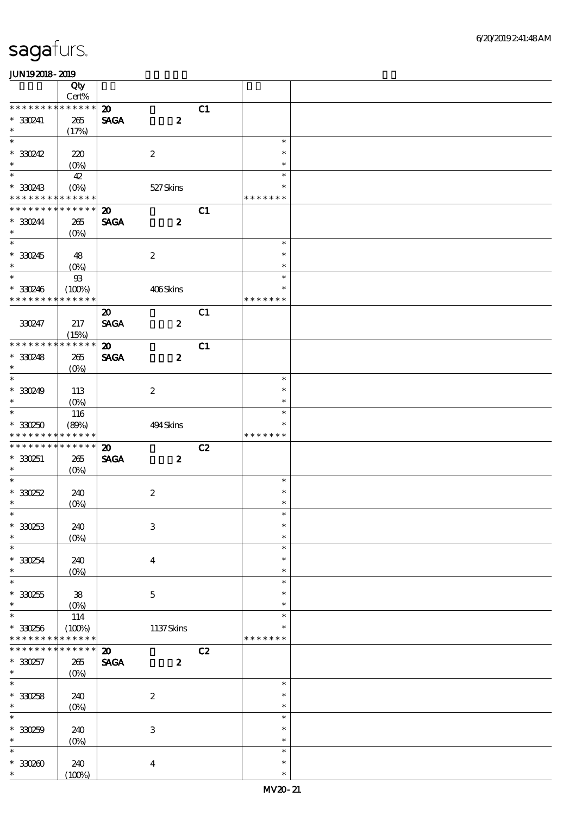|                                                                           | Qty                   |                                            |                  |    |                  |  |
|---------------------------------------------------------------------------|-----------------------|--------------------------------------------|------------------|----|------------------|--|
|                                                                           | Cert%                 |                                            |                  |    |                  |  |
| * * * * * * * * * * * * * *                                               |                       | $\boldsymbol{\mathfrak{D}}$                |                  | C1 |                  |  |
| $*330241$<br>$\ast$                                                       | 265<br>(17%)          | $\operatorname{\mathsf{SAGA}}$             | $\boldsymbol{z}$ |    |                  |  |
| $\overline{\ast}$                                                         |                       |                                            |                  |    | $\ast$           |  |
| $*30242$                                                                  | 220                   |                                            | $\boldsymbol{2}$ |    | $\ast$           |  |
| $\ast$                                                                    | (O <sub>0</sub> )     |                                            |                  |    | $\ast$           |  |
| $\ast$                                                                    | 42                    |                                            |                  |    | $\ast$           |  |
| $*30243$                                                                  | $(O\% )$              |                                            | 527Skins         |    | $\ast$           |  |
| * * * * * * * *                                                           | * * * * * *           |                                            |                  |    | * * * * * * *    |  |
| * * * * * * * *                                                           | * * * * * *           | $\boldsymbol{\mathfrak{D}}$                |                  | C1 |                  |  |
| $*30244$<br>$\ast$                                                        | 265                   | <b>SAGA</b>                                | $\boldsymbol{z}$ |    |                  |  |
|                                                                           | (O <sub>0</sub> )     |                                            |                  |    | $\ast$           |  |
| $*30245$                                                                  | 48                    |                                            | $\boldsymbol{2}$ |    | $\ast$           |  |
| $\ast$                                                                    | $(0\%)$               |                                            |                  |    | $\ast$           |  |
| $\overline{\ast}$                                                         | $93\,$                |                                            |                  |    | $\ast$           |  |
| $*330246$                                                                 | (100%)                |                                            | 406Skins         |    | $\ast$           |  |
| * * * * * * * *                                                           | * * * * * *           |                                            |                  |    | * * * * * * *    |  |
|                                                                           |                       | $\boldsymbol{\mathfrak{D}}$                |                  | C1 |                  |  |
| 330247                                                                    | 217                   | <b>SAGA</b>                                | $\boldsymbol{z}$ |    |                  |  |
| * * * * * * * *                                                           | (15%)<br>* * * * * *  |                                            |                  |    |                  |  |
| $*30248$                                                                  | 265                   | $\boldsymbol{\mathfrak{D}}$<br><b>SAGA</b> | $\boldsymbol{z}$ | C1 |                  |  |
| $\ast$                                                                    | (O <sub>0</sub> )     |                                            |                  |    |                  |  |
| $\ast$                                                                    |                       |                                            |                  |    | $\ast$           |  |
| $*30249$                                                                  | 113                   |                                            | $\boldsymbol{z}$ |    | $\ast$           |  |
| $\ast$                                                                    | $(O\%)$               |                                            |                  |    | $\ast$           |  |
| $\overline{\ast}$                                                         | 116                   |                                            |                  |    | $\ast$           |  |
| $*30250$                                                                  | (80%)                 |                                            | 494Skins         |    | $\ast$           |  |
| * * * * * * * *                                                           | * * * * * *           |                                            |                  |    | * * * * * * *    |  |
|                                                                           |                       |                                            |                  |    |                  |  |
| * * * * * * * *                                                           | * * * * * *           | $\boldsymbol{\mathbf{z}}$                  |                  | C2 |                  |  |
| $*330251$<br>$\ast$                                                       | 265                   | <b>SAGA</b>                                | $\boldsymbol{z}$ |    |                  |  |
| $\ast$                                                                    | $(O\%)$               |                                            |                  |    | $\ast$           |  |
|                                                                           | 240                   |                                            |                  |    | $\ast$           |  |
| $\ast$                                                                    | $(0\%)$               |                                            | $\boldsymbol{2}$ |    | $\ast$           |  |
|                                                                           |                       |                                            |                  |    | $\ast$           |  |
| $*30252$<br>$\ast$<br>$*30253$                                            | 240                   |                                            | $\,3$            |    | $\ast$           |  |
| $\ast$                                                                    | $(0\%)$               |                                            |                  |    | $\ast$           |  |
|                                                                           |                       |                                            |                  |    | $\ast$           |  |
|                                                                           | 240                   |                                            | $\boldsymbol{4}$ |    | $\ast$           |  |
| $\overline{\ast}$<br>$*330254$<br>$\ast$<br>$\ast$                        | $(0\%)$               |                                            |                  |    | $\ast$<br>$\ast$ |  |
|                                                                           |                       |                                            |                  |    | $\ast$           |  |
| $\ast$                                                                    | ${\bf 38}$<br>$(O\%)$ |                                            | $\mathbf 5$      |    | $\ast$           |  |
| $^\ast$ 330255<br>$\ast$                                                  | 114                   |                                            |                  |    | $\ast$           |  |
| $*330256$                                                                 | (100%)                |                                            | 1137Skins        |    | $\ast$           |  |
| * * * * * * *                                                             | * * * * * *           |                                            |                  |    | * * * * * * *    |  |
| * * * * * * *                                                             | * * * * * *           | $\boldsymbol{\mathsf{20}}$                 |                  | C2 |                  |  |
|                                                                           | $265\,$               | $\operatorname{\mathsf{SAGA}}$             | $\boldsymbol{z}$ |    |                  |  |
|                                                                           | $(O\!/\!o)$           |                                            |                  |    | $\ast$           |  |
|                                                                           |                       |                                            |                  |    | $\ast$           |  |
|                                                                           | 240<br>$(O\%)$        |                                            | $\boldsymbol{2}$ |    | $\ast$           |  |
| $\overline{\ast}$                                                         |                       |                                            |                  |    | $\ast$           |  |
|                                                                           | 240                   |                                            | $\,3$            |    | $\ast$           |  |
| $*30257$<br>$\ast$<br>$\ast$<br>$*30258$<br>$\ast$<br>$*330259$<br>$\ast$ | $(0\%)$               |                                            |                  |    | $\ast$           |  |
| $\ast$                                                                    |                       |                                            |                  |    | $\ast$           |  |
| $^\ast$ 330260<br>$\ast$                                                  | 240<br>(100%)         |                                            | $\boldsymbol{4}$ |    | $\ast$<br>$\ast$ |  |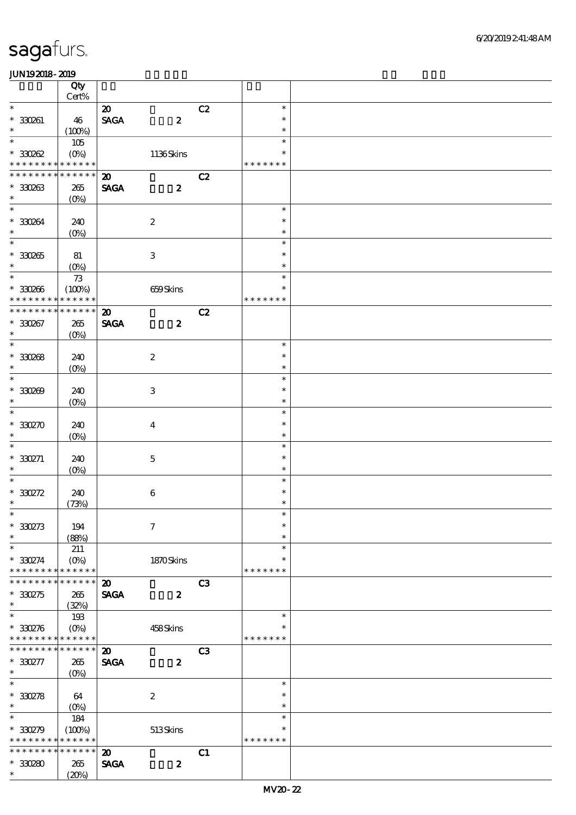|                                          | Qty                       |                              |                  |                |                  |  |
|------------------------------------------|---------------------------|------------------------------|------------------|----------------|------------------|--|
|                                          | $Cert\%$                  |                              |                  |                |                  |  |
| $\ast$                                   |                           | $\boldsymbol{\mathfrak{D}}$  |                  | C2             | $\ast$           |  |
| $* 330261$                               | 46                        | $\ensuremath{\mathsf{SAGA}}$ | $\boldsymbol{z}$ |                | $\ast$           |  |
| $\ast$                                   | (100%)                    |                              |                  |                | $\ast$           |  |
| $\ast$                                   |                           |                              |                  |                | $\ast$           |  |
|                                          | 105                       |                              |                  |                |                  |  |
| $*30002$                                 | $(O\!\!\!\!\!\!\!/\,\!o)$ |                              | 1136Skins        |                | $\ast$           |  |
| * * * * * * * * <mark>* * * * * *</mark> |                           |                              |                  |                | * * * * * * *    |  |
| * * * * * * * *                          | * * * * * *               | $\boldsymbol{\mathbf{z}}$    |                  | C2             |                  |  |
| $*30033$                                 | 265                       | <b>SAGA</b>                  | $\boldsymbol{z}$ |                |                  |  |
| $\ast$                                   | (O <sub>0</sub> )         |                              |                  |                |                  |  |
| $\overline{\ast}$                        |                           |                              |                  |                | $\ast$           |  |
| $*30064$                                 | 240                       |                              | $\boldsymbol{2}$ |                | $\ast$           |  |
| $\ast$                                   | $(0\%)$                   |                              |                  |                | $\ast$           |  |
| $\ast$                                   |                           |                              |                  |                | $\ast$           |  |
|                                          |                           |                              |                  |                | $\ast$           |  |
| $*30265$<br>$\ast$                       | 81                        |                              | $\,3$            |                |                  |  |
|                                          | (O <sub>0</sub> )         |                              |                  |                | $\ast$           |  |
| $\ast$                                   | $7\!3$                    |                              |                  |                | $\ast$           |  |
| $*30066$                                 | (100%)                    |                              | 659Skins         |                | $\ast$           |  |
| * * * * * * * *                          | * * * * * *               |                              |                  |                | * * * * * * *    |  |
| * * * * * * * * * * * * * *              |                           | $\boldsymbol{\mathfrak{D}}$  |                  | C2             |                  |  |
| $* 330267$                               | $265\,$                   | <b>SAGA</b>                  | $\boldsymbol{z}$ |                |                  |  |
| $\ast$                                   | $(O\%)$                   |                              |                  |                |                  |  |
| $\ast$                                   |                           |                              |                  |                | $\ast$           |  |
| $* 330088$                               | 240                       |                              | $\boldsymbol{2}$ |                | $\ast$           |  |
| $\ast$                                   | (O <sub>0</sub> )         |                              |                  |                | $\ast$           |  |
| $\ast$                                   |                           |                              |                  |                | $\ast$           |  |
|                                          |                           |                              |                  |                | $\ast$           |  |
| $* 330209$                               | 240                       |                              | $\,3\,$          |                |                  |  |
| $\ast$                                   | $(O\!/\!\!\delta)$        |                              |                  |                | $\ast$           |  |
| $\ast$                                   |                           |                              |                  |                | $\ast$           |  |
| $*30270$                                 | 240                       |                              | $\boldsymbol{4}$ |                | $\ast$           |  |
| $\ast$                                   | $(0\%)$                   |                              |                  |                | $\ast$           |  |
| $\ast$                                   |                           |                              |                  |                | $\ast$           |  |
| $*330271$                                | 240                       |                              | $\mathbf 5$      |                | $\ast$           |  |
| $\ast$                                   | (O <sub>0</sub> )         |                              |                  |                | $\ast$           |  |
| $\ast$                                   |                           |                              |                  |                | $\ast$           |  |
| $*330272$                                | 240                       |                              | $\bf 6$          |                | $\ast$           |  |
| $\ast$                                   | (73%)                     |                              |                  |                | $\ast$           |  |
|                                          |                           |                              |                  |                |                  |  |
| $*330273$                                |                           |                              | $\boldsymbol{7}$ |                | $\ast$           |  |
| $\ast$                                   | 194                       |                              |                  |                |                  |  |
| $\ast$                                   | (88%)                     |                              |                  |                | $\ast$<br>$\ast$ |  |
|                                          | 211                       |                              |                  |                |                  |  |
| $*330274$                                | $(O\%)$                   |                              | 1870Skins        |                | $\ast$           |  |
| * * * * * * * *                          | * * * * * *               |                              |                  |                | * * * * * * *    |  |
| * * * * * * *                            | * * * * * *               | $\boldsymbol{\mathfrak{D}}$  |                  | C3             |                  |  |
| $*30275$                                 | 265                       | <b>SAGA</b>                  | $\boldsymbol{z}$ |                |                  |  |
| $\ast$                                   | (32%)                     |                              |                  |                |                  |  |
| $\ast$                                   | 193                       |                              |                  |                | $\ast$           |  |
| $*30276$                                 | $(O\!\!\!\!\!\!\!/\,\!o)$ |                              | 458Skins         |                | $\ast$           |  |
| * * * * * * * *                          | * * * * * *               |                              |                  |                | * * * * * * *    |  |
| * * * * * * *                            | * * * * * *               | $\boldsymbol{\mathbf{z}}$    |                  | C <sub>3</sub> |                  |  |
| $*30277$                                 | 265                       | <b>SAGA</b>                  | $\boldsymbol{z}$ |                |                  |  |
| $\ast$                                   |                           |                              |                  |                |                  |  |
| $\ast$                                   | $(0\%)$                   |                              |                  |                |                  |  |
|                                          |                           |                              |                  |                | $\ast$           |  |
| $*30278$                                 | 64                        |                              | $\boldsymbol{2}$ |                | $\ast$           |  |
| $\ast$                                   | $(O\%)$                   |                              |                  |                | $\ast$           |  |
| $\overline{\phantom{0}}$                 | 184                       |                              |                  |                | $\ast$           |  |
| $*30279$                                 | (100%)                    |                              | 513Skins         |                | $\ast$           |  |
| * * * * * * * *                          | * * * * * *               |                              |                  |                | * * * * * * *    |  |
| * * * * * * * *                          | * * * * * *               | $\boldsymbol{\mathbf{z}}$    |                  | C1             |                  |  |
| $*30280$                                 | 265                       | <b>SAGA</b>                  | $\boldsymbol{z}$ |                |                  |  |
| $\ast$                                   | (20%)                     |                              |                  |                |                  |  |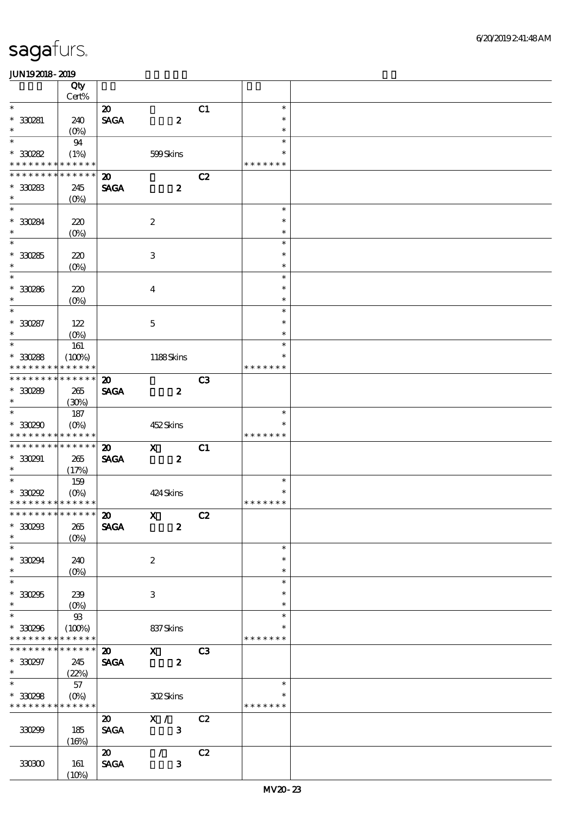|                                                        | Qty<br>Cert%                             |                                                               |                         |                |                         |  |
|--------------------------------------------------------|------------------------------------------|---------------------------------------------------------------|-------------------------|----------------|-------------------------|--|
| $\overline{\phantom{0}}$                               |                                          |                                                               |                         |                | $\ast$                  |  |
| $*30281$<br>$\ast$                                     | 240                                      | $\boldsymbol{\mathfrak{D}}$<br>$\operatorname{\mathsf{SAGA}}$ | $\boldsymbol{z}$        | C1             | $\ast$<br>$\ast$        |  |
| $\overline{\ast}$                                      | $(O\%)$                                  |                                                               |                         |                | $\ast$                  |  |
| $^\ast$ 330282<br>* * * * * * * *                      | 94<br>(1%)<br>* * * * * *                |                                                               | 599Skins                |                | $\ast$<br>* * * * * * * |  |
|                                                        |                                          |                                                               |                         |                |                         |  |
| * * * * * * *<br>$*30283$<br>$\ast$                    | * * * * * *<br>245<br>$(O\%)$            | $\boldsymbol{\mathfrak{D}}$<br><b>SAGA</b>                    | $\boldsymbol{z}$        | C2             |                         |  |
| $\overline{\ast}$                                      |                                          |                                                               |                         |                | $\ast$                  |  |
| $*30284$<br>$\ast$                                     | 220<br>$(O\!/\!o)$                       |                                                               | $\boldsymbol{2}$        |                | $\ast$<br>$\ast$        |  |
| $\overline{\phantom{0}}$                               |                                          |                                                               |                         |                | $\ast$                  |  |
| $^\ast$ 330285<br>$\ast$                               | 220<br>$(0\%)$                           |                                                               | $\,3$                   |                | $\ast$<br>$\ast$        |  |
| $\ast$                                                 |                                          |                                                               |                         |                | $\ast$                  |  |
| $* 330286$<br>$\ast$                                   | 220<br>$(O\%)$                           |                                                               | $\boldsymbol{4}$        |                | $\ast$<br>$\ast$        |  |
| $\overline{\phantom{0}}$                               |                                          |                                                               |                         |                | $\ast$                  |  |
| $* 330287$<br>$\ast$                                   | 122<br>$(O\%)$                           |                                                               | $\mathbf 5$             |                | $\ast$<br>$\ast$        |  |
| $\ast$                                                 | 161                                      |                                                               |                         |                | $\ast$                  |  |
| $*30288$<br>* * * * * * * *                            | (100%)<br>* * * * * *                    |                                                               | 1188Skins               |                | $\ast$<br>* * * * * * * |  |
| * * * * * * * *                                        | * * * * * *                              | $\boldsymbol{\mathfrak{D}}$                                   |                         | C3             |                         |  |
| $*30289$<br>$\ast$                                     | 265<br>(30%)                             | <b>SAGA</b>                                                   | $\boldsymbol{z}$        |                |                         |  |
| $\overline{\ast}$                                      | 187                                      |                                                               |                         |                | $\ast$                  |  |
| $*30290$<br>* * * * * * * *                            | $(0\%)$<br>* * * * * *                   |                                                               | 452Skins                |                | $\ast$<br>* * * * * * * |  |
| * * * * * * * *                                        | * * * * * *                              | $\boldsymbol{\mathfrak{D}}$                                   | $\mathbf{x}$            | C1             |                         |  |
| $* 330291$<br>$\ast$                                   | 265<br>(17%)                             | <b>SAGA</b>                                                   | $\boldsymbol{z}$        |                |                         |  |
| $\ast$                                                 | 159                                      |                                                               |                         |                | $\ast$                  |  |
| $*30292$<br>* * * * * * * * <mark>* * * * * * *</mark> | $(O\% )$                                 |                                                               | 424 Skins               |                | $\ast$<br>* * * * * * * |  |
|                                                        |                                          |                                                               | $X$ $C2$                |                |                         |  |
| $\hspace{0.1cm}^*$ 330293<br>$\ast$                    | $265\,$<br>$(0\%)$                       | <b>SAGA</b>                                                   | $\boldsymbol{z}$        |                |                         |  |
| $\overline{\ast}$                                      |                                          |                                                               |                         |                | $\ast$                  |  |
| $*330294$<br>$\ast$                                    | 240<br>$(O\%)$                           |                                                               | $\boldsymbol{2}$        |                | $\ast$<br>$\ast$        |  |
| $\overline{\ast}$                                      |                                          |                                                               |                         |                | $\ast$                  |  |
| $^\ast$ 330295<br>$\ast$                               | 239<br>$(0\%)$                           |                                                               | 3                       |                | $\ast$<br>$\ast$        |  |
| $\overline{\phantom{0}}$                               | $93\,$                                   |                                                               |                         |                | $\ast$                  |  |
| $*30296$<br>* * * * * * * *                            | (100%)<br>* * * * * *                    |                                                               | 837Skins                |                | $\ast$<br>* * * * * * * |  |
| * * * * * * *                                          | * * * * * *                              | $\boldsymbol{\mathfrak{D}}$                                   | $\mathbf{x}$            | C <sub>3</sub> |                         |  |
| $*30297$<br>$\ast$                                     | 245<br>(22%)                             | <b>SAGA</b>                                                   | $\boldsymbol{z}$        |                |                         |  |
| $\overline{\ast}$                                      | 57                                       |                                                               |                         |                | $\ast$                  |  |
| $*30298$<br>* * * * * * * *                            | $(O\!\!\!\!\!\!\!/\,\!o)$<br>* * * * * * |                                                               | 302Skins                |                | $\ast$<br>* * * * * * * |  |
|                                                        |                                          | $\boldsymbol{\omega}$                                         | $\mathbf{X}$ /          | C2             |                         |  |
| 330299                                                 | 185<br>(16%)                             | <b>SAGA</b>                                                   | $\overline{\mathbf{3}}$ |                |                         |  |
|                                                        |                                          | $\boldsymbol{\omega}$                                         | $\mathcal{L}$           | C2             |                         |  |
| 330300                                                 | 161<br>(10%)                             | <b>SAGA</b>                                                   | $\mathbf{3}$            |                |                         |  |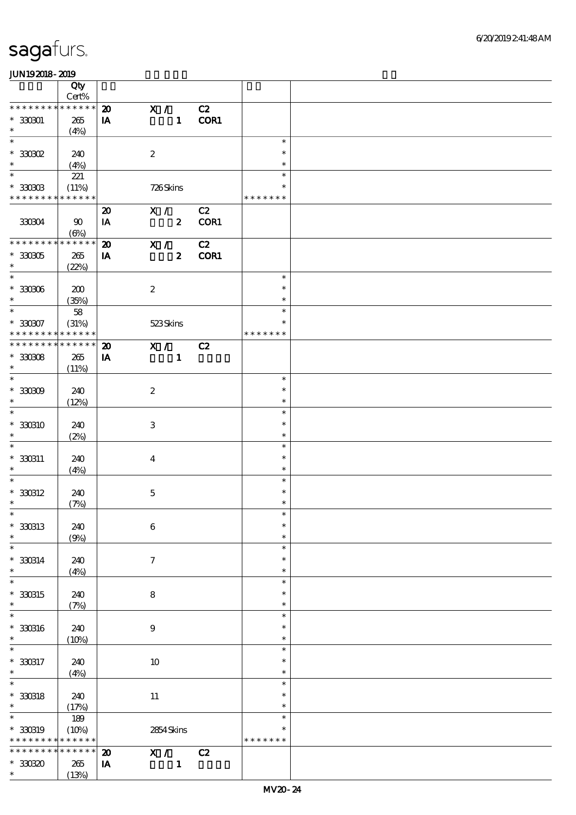|                          | Qty<br>$\mbox{Cert}\%$ |                             |                  |                  |        |               |  |
|--------------------------|------------------------|-----------------------------|------------------|------------------|--------|---------------|--|
| $* * *$<br>* * * *       | * * * * * *            |                             |                  |                  |        |               |  |
|                          |                        | $\boldsymbol{\mathfrak{D}}$ | X /              |                  | C2     |               |  |
| $* 330001$               | 265                    | IA                          |                  |                  | 1 COR1 |               |  |
| $\ast$                   | (4%)                   |                             |                  |                  |        |               |  |
| $\ast$                   |                        |                             |                  |                  |        | $\ast$        |  |
| $*30002$                 |                        |                             |                  |                  |        | $\ast$        |  |
|                          | 240                    |                             | $\boldsymbol{z}$ |                  |        |               |  |
| $\ast$                   | (4%)                   |                             |                  |                  |        | $\ast$        |  |
| $\ast$                   | 221                    |                             |                  |                  |        | $\ast$        |  |
| $^*$ 330303              | (11%)                  |                             | 726Skins         |                  |        | ∗             |  |
|                          |                        |                             |                  |                  |        | * * * * * * * |  |
| * * * * * * * *          | * * * * * *            |                             |                  |                  |        |               |  |
|                          |                        | $\boldsymbol{\mathbf{z}}$   | X /              |                  | C2     |               |  |
| 330304                   | 90                     | IA                          |                  | $\boldsymbol{z}$ | COR1   |               |  |
|                          |                        |                             |                  |                  |        |               |  |
|                          | $(\Theta)$             |                             |                  |                  |        |               |  |
| * * * * * * * *          | $******$               | $\boldsymbol{\mathbf{z}}$   | $X / \sqrt{2}$   |                  | C2     |               |  |
| $*30005$                 | 265                    | IA                          |                  | $\boldsymbol{z}$ | COR1   |               |  |
| $\ast$                   | (22%)                  |                             |                  |                  |        |               |  |
| $\overline{\phantom{0}}$ |                        |                             |                  |                  |        | $\ast$        |  |
|                          |                        |                             |                  |                  |        |               |  |
| $^\ast$ 330306           | 200                    |                             | $\boldsymbol{2}$ |                  |        | $\ast$        |  |
| $\ast$                   | (35%)                  |                             |                  |                  |        | $\ast$        |  |
| $\overline{\phantom{0}}$ | $5\!8$                 |                             |                  |                  |        | $\ast$        |  |
|                          |                        |                             |                  |                  |        |               |  |
| $* 330307$               | (31%)                  |                             | 523Skins         |                  |        |               |  |
| * * * * * * * *          | * * * * * *            |                             |                  |                  |        | * * * * * * * |  |
| * * * * * * * *          | * * * * * *            | $\boldsymbol{\mathbf{z}}$   |                  | $\mathbf{X}$ /   | C2     |               |  |
| $^*$ 330308              | 265                    | IA                          |                  | $\mathbf{1}$     |        |               |  |
|                          |                        |                             |                  |                  |        |               |  |
| $\ast$                   | (11%)                  |                             |                  |                  |        |               |  |
| $\ast$                   |                        |                             |                  |                  |        | $\ast$        |  |
| $*30009$                 | 240                    |                             | $\boldsymbol{z}$ |                  |        | $\ast$        |  |
| $\ast$                   |                        |                             |                  |                  |        | $\ast$        |  |
|                          | (12%)                  |                             |                  |                  |        |               |  |
| $\ast$                   |                        |                             |                  |                  |        | $\ast$        |  |
| $*330310$                | 240                    |                             | 3                |                  |        | $\ast$        |  |
| $\ast$                   |                        |                             |                  |                  |        | $\ast$        |  |
|                          | (2%)                   |                             |                  |                  |        |               |  |
| $\ast$                   |                        |                             |                  |                  |        | $\ast$        |  |
| $*$ 330311               | 240                    |                             | $\bf{4}$         |                  |        | $\ast$        |  |
| $\ast$                   | (4%)                   |                             |                  |                  |        | $\ast$        |  |
| $\ast$                   |                        |                             |                  |                  |        | $\ast$        |  |
|                          |                        |                             |                  |                  |        |               |  |
| $*$ 330312               | 240                    |                             | $\mathbf 5$      |                  |        | $\ast$        |  |
| $\ast$                   | (7%)                   |                             |                  |                  |        | $\ast$        |  |
| $*$                      |                        |                             |                  |                  |        | $\ast$        |  |
|                          |                        |                             |                  |                  |        |               |  |
| $*$ 330313               | 240                    |                             | $\bf 6$          |                  |        | $\ast$        |  |
| $\ast$                   | (9%)                   |                             |                  |                  |        | $\ast$        |  |
| $\ast$                   |                        |                             |                  |                  |        | $\ast$        |  |
|                          |                        |                             |                  |                  |        |               |  |
| $* 330314$               | 240                    |                             | $\boldsymbol{7}$ |                  |        | $\ast$        |  |
| $\ast$                   | (4%)                   |                             |                  |                  |        | $\ast$        |  |
| $\ast$                   |                        |                             |                  |                  |        | $\ast$        |  |
|                          |                        |                             |                  |                  |        | $\ast$        |  |
| $*$ 330315               | 240                    |                             | 8                |                  |        |               |  |
| $\ast$                   | (7%)                   |                             |                  |                  |        | $\ast$        |  |
| $\ast$                   |                        |                             |                  |                  |        | $\ast$        |  |
| $* 330316$               | 240                    |                             | $9\phantom{.0}$  |                  |        | ∗             |  |
| $\ast$                   |                        |                             |                  |                  |        |               |  |
|                          | (10%)                  |                             |                  |                  |        | $\ast$        |  |
| $\ast$                   |                        |                             |                  |                  |        | $\ast$        |  |
| $* 330317$               | 240                    |                             | $10\,$           |                  |        | $\ast$        |  |
| $\ast$                   |                        |                             |                  |                  |        | $\ast$        |  |
|                          | (4%)                   |                             |                  |                  |        |               |  |
| $\ast$                   |                        |                             |                  |                  |        | $\ast$        |  |
| $^\ast$ 330318           | 240                    |                             | $11\,$           |                  |        | $\ast$        |  |
| $\ast$                   | (17%)                  |                             |                  |                  |        | $\ast$        |  |
| $\overline{\ast}$        |                        |                             |                  |                  |        | $\ast$        |  |
|                          | 189                    |                             |                  |                  |        |               |  |
| * 330319                 | (10%)                  |                             |                  | 2854 Skins       |        |               |  |
| * * * *<br>* * * *       | * * * * * *            |                             |                  |                  |        | * * * * * * * |  |
| * * * * * * * *          | * * * * * *            | $\boldsymbol{\mathsf{20}}$  |                  | X / C2           |        |               |  |
|                          |                        |                             |                  |                  |        |               |  |
| $*3030$                  | 265                    | IA                          |                  | $\mathbf{1}$     |        |               |  |
| $*$                      | (13%)                  |                             |                  |                  |        |               |  |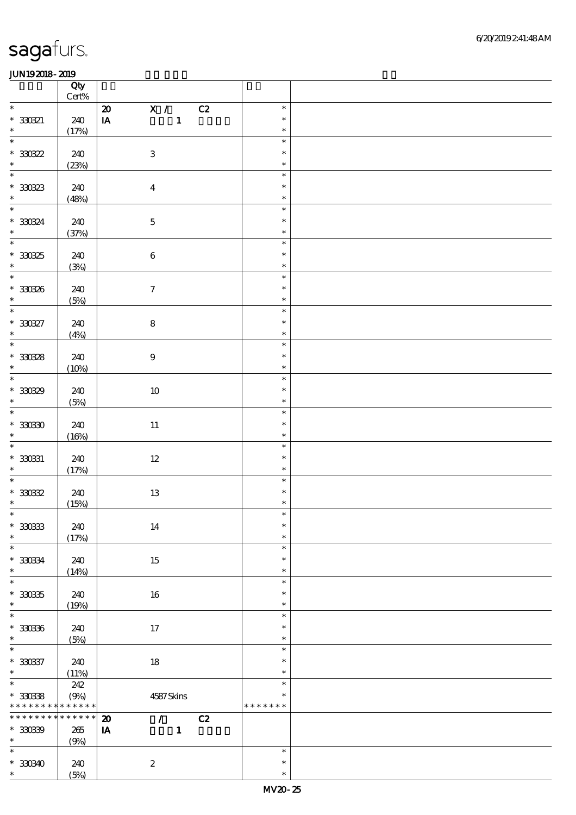|                          | Qty<br>$Cert\%$ |                                                  |               |  |
|--------------------------|-----------------|--------------------------------------------------|---------------|--|
|                          |                 |                                                  |               |  |
| $\ast$                   |                 | ${\bf Z}$<br>X / C2                              | $\ast$        |  |
| $*30021$                 | 240             | $\mathbf{1}$<br>IA                               | $\ast$        |  |
| $\ast$                   | (17%)           |                                                  | $\ast$        |  |
|                          |                 |                                                  | $\ast$        |  |
|                          |                 |                                                  |               |  |
| $*30022$                 | 240             | $\sqrt{3}$                                       | $\ast$        |  |
| $\ast$                   | (23%)           |                                                  | $\ast$        |  |
| $\overline{\phantom{0}}$ |                 |                                                  | $\ast$        |  |
|                          |                 |                                                  | $\ast$        |  |
| $*33023$                 | 240             | $\boldsymbol{4}$                                 |               |  |
| $\ast$                   | (48%)           |                                                  | $\ast$        |  |
| $\overline{\ast}$        |                 |                                                  | $\ast$        |  |
|                          |                 |                                                  | $\ast$        |  |
| $* 33024$                | 240             | $\mathbf 5$                                      |               |  |
| $\ast$                   | (37%)           |                                                  | $\ast$        |  |
|                          |                 |                                                  | $\ast$        |  |
|                          | 240             | $\bf 6$                                          | $\ast$        |  |
| $* 30825$                |                 |                                                  |               |  |
|                          | (3%)            |                                                  | $\ast$        |  |
|                          |                 |                                                  | $\ast$        |  |
| $* 330336$               | 240             | $\boldsymbol{\tau}$                              | $\ast$        |  |
| $\ast$                   |                 |                                                  | $\ast$        |  |
|                          | (5%)            |                                                  |               |  |
|                          |                 |                                                  | $\ast$        |  |
| $* 30827$                | 240             | ${\bf 8}$                                        | $\ast$        |  |
|                          | (4%)            |                                                  | $\ast$        |  |
|                          |                 |                                                  | $\ast$        |  |
|                          |                 |                                                  |               |  |
|                          | 240             | $\boldsymbol{9}$                                 | $\ast$        |  |
| $* 3088$                 | (10%)           |                                                  | $\ast$        |  |
|                          |                 |                                                  | $\ast$        |  |
|                          |                 |                                                  |               |  |
| $* 33029$                | 240             | $10\,$                                           | $\ast$        |  |
| $\ast$                   | (5%)            |                                                  | $\ast$        |  |
|                          |                 |                                                  | $\ast$        |  |
|                          |                 |                                                  |               |  |
| $*30030$                 | 240             | $11\,$                                           | $\ast$        |  |
| $*$ and $*$              | (16%)           |                                                  | $\ast$        |  |
|                          |                 |                                                  | $\ast$        |  |
|                          |                 |                                                  | $\ast$        |  |
| $^*$ 330331              | 240             | $12\,$                                           |               |  |
| $\ast$                   | (17%)           |                                                  | $\ast$        |  |
| $\overline{\phantom{0}}$ |                 |                                                  | $\ast$        |  |
| $*30032$                 | 240             | 13                                               | $\ast$        |  |
| $\ast$                   |                 |                                                  |               |  |
|                          | (15%)           |                                                  | $\ast$        |  |
| $\ast$                   |                 |                                                  | ∗             |  |
| $*30033$                 | 240             | 14                                               | $\ast$        |  |
| $\ast$                   |                 |                                                  | $\ast$        |  |
| $\overline{\ast}$        | (17%)           |                                                  |               |  |
|                          |                 |                                                  | $\ast$        |  |
| $* 33034$                | 240             | $15\,$                                           | $\ast$        |  |
| $\ast$                   | (14%)           |                                                  | $\ast$        |  |
| $\overline{\ast}$        |                 |                                                  | $\ast$        |  |
|                          |                 |                                                  |               |  |
| $*330335$                | 240             | $16\,$                                           | $\ast$        |  |
| $\ast$                   | (19%)           |                                                  | $\ast$        |  |
| $\overline{\phantom{0}}$ |                 |                                                  | $\ast$        |  |
|                          |                 |                                                  |               |  |
| $* 330336$               | 240             | $17\,$                                           | $\ast$        |  |
| $\ast$                   | (5%)            |                                                  | $\ast$        |  |
| $\overline{\ast}$        |                 |                                                  | $\ast$        |  |
| $* 330337$               |                 | $18\,$                                           | $\ast$        |  |
|                          | 240             |                                                  |               |  |
| $\ast$                   | (11%)           |                                                  | $\ast$        |  |
| $\overline{\ast}$        | 242             |                                                  | $\ast$        |  |
| $*30038$                 | (9%)            | 4587Skins                                        | $\ast$        |  |
| * * * * * * * *          | * * * * * *     |                                                  | * * * * * * * |  |
|                          |                 |                                                  |               |  |
| * * * * * * * *          | * * * * * *     | C2<br>$\boldsymbol{\mathbf{z}}$<br>$\mathcal{F}$ |               |  |
| $*30039$                 | $265\,$         | ${\bf I} {\bf A}$<br>$\mathbf{1}$                |               |  |
| $\ast$                   | (9%)            |                                                  |               |  |
|                          |                 |                                                  |               |  |
| $\ast$                   |                 |                                                  | $\ast$        |  |
| $*30340$                 | 240             | $\boldsymbol{2}$                                 | $\ast$        |  |
| $\ast$                   | (5%)            |                                                  | $\ast$        |  |
|                          |                 |                                                  |               |  |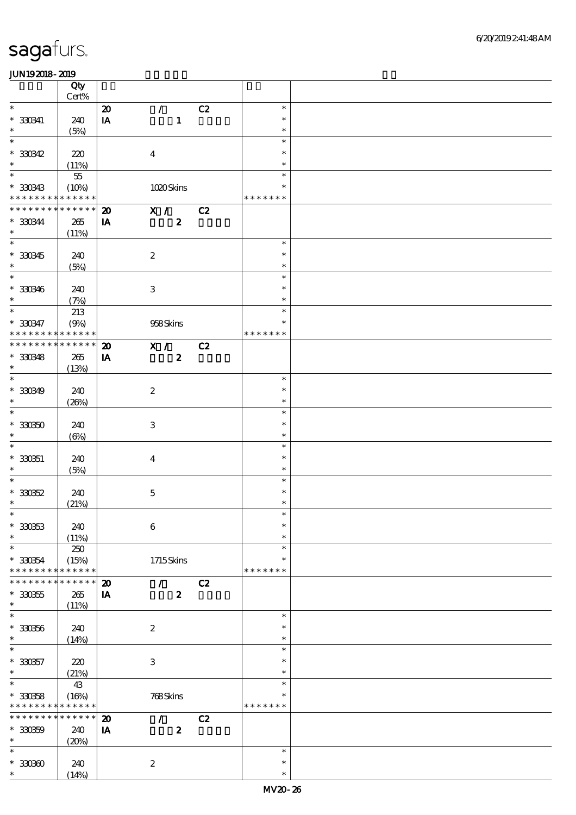|                          | Qty<br>Cert%    |                             |                                            |    |                  |  |
|--------------------------|-----------------|-----------------------------|--------------------------------------------|----|------------------|--|
|                          |                 |                             |                                            |    |                  |  |
| $\ast$<br>$* 330341$     | 240             | $\pmb{\mathcal{D}}$<br>IA   | $\mathcal{F}^{\mathbb{R}}$<br>$\mathbf{1}$ | C2 | $\ast$<br>$\ast$ |  |
| $\ast$                   | (5%)            |                             |                                            |    | $\ast$           |  |
| $\ast$                   |                 |                             |                                            |    | $\ast$           |  |
| $*30342$                 | 220             |                             | $\boldsymbol{4}$                           |    | $\ast$           |  |
| $\ast$                   |                 |                             |                                            |    | $\ast$           |  |
|                          | (11%)           |                             |                                            |    |                  |  |
| $\ast$                   | $5\!5$          |                             |                                            |    | $\ast$           |  |
| $*330343$                | (10%)           |                             | 1020Skins                                  |    | $\ast$           |  |
| * * * * * * * *          | * * * * * *     |                             |                                            |    | * * * * * * *    |  |
| * * * * * * * *          | $* * * * * * *$ | $\boldsymbol{\mathfrak{D}}$ | X / C2                                     |    |                  |  |
| $* 330344$               | $265\,$         | IA                          | $\boldsymbol{z}$                           |    |                  |  |
| $\ast$                   | (11%)           |                             |                                            |    |                  |  |
| $\overline{\ast}$        |                 |                             |                                            |    | $\ast$           |  |
|                          |                 |                             |                                            |    |                  |  |
| $* 330345$               | 240             |                             | $\boldsymbol{2}$                           |    | $\ast$           |  |
| $\ast$                   | (5%)            |                             |                                            |    | $\ast$           |  |
| $\ast$                   |                 |                             |                                            |    | $\ast$           |  |
| $* 330346$               | 240             |                             | $\,3$                                      |    | $\ast$           |  |
| $\ast$                   | (7%)            |                             |                                            |    | $\ast$           |  |
| $\overline{\phantom{0}}$ | 213             |                             |                                            |    | $\ast$           |  |
| $* 330347$               | (9%)            |                             | 958Skins                                   |    | $\ast$           |  |
|                          |                 |                             |                                            |    |                  |  |
| * * *                    | * * * * * *     |                             |                                            |    | * * * * * * *    |  |
| * * * * * * * *          | * * * * * *     | $\boldsymbol{\mathfrak{D}}$ | X /                                        | C2 |                  |  |
| $* 330348$               | 265             | IA                          | $\boldsymbol{z}$                           |    |                  |  |
| $\ast$                   | (13%)           |                             |                                            |    |                  |  |
| $\ast$                   |                 |                             |                                            |    | $\ast$           |  |
| $* 330349$               | 240             |                             | $\boldsymbol{2}$                           |    | $\ast$           |  |
| $\ast$                   | (20%)           |                             |                                            |    | $\ast$           |  |
| $\ast$                   |                 |                             |                                            |    | $\ast$           |  |
|                          |                 |                             |                                            |    |                  |  |
| $^\ast$ 330350           | 240             |                             | $\,3\,$                                    |    | $\ast$           |  |
| $\ast$                   | $(\Theta)$      |                             |                                            |    | $\ast$           |  |
| $\ast$                   |                 |                             |                                            |    | $\ast$           |  |
| $* 330351$               | 240             |                             | $\boldsymbol{4}$                           |    | $\ast$           |  |
| $\ast$                   | (5%)            |                             |                                            |    | $\ast$           |  |
| $\ast$                   |                 |                             |                                            |    | $\ast$           |  |
| $*30052$                 | 240             |                             | $\mathbf 5$                                |    | $\ast$           |  |
| $\ast$                   |                 |                             |                                            |    | $\ast$           |  |
|                          | (21%)           |                             |                                            |    |                  |  |
|                          |                 |                             |                                            |    |                  |  |
| $* 330353$               | 240             |                             | $\,6\,$                                    |    | $\ast$           |  |
| $\ast$                   | (11%)           |                             |                                            |    | $\ast$           |  |
| $\ast$                   | 250             |                             |                                            |    | $\ast$           |  |
| $* 330354$               | (15%)           |                             | 1715Skins                                  |    | $\ast$           |  |
| * * * * * * * *          | * * * * * *     |                             |                                            |    | * * * * * * *    |  |
| * * * * * * *            | * * * * * *     | $\boldsymbol{\mathfrak{D}}$ | $\mathcal{L}$                              | C2 |                  |  |
|                          |                 |                             |                                            |    |                  |  |
| $^\ast$ 330355<br>$\ast$ | 265             | $\mathbf{I} \mathbf{A}$     | $\boldsymbol{z}$                           |    |                  |  |
|                          | (11%)           |                             |                                            |    |                  |  |
| $\ast$                   |                 |                             |                                            |    | $\ast$           |  |
| $^\ast$ 330356           | 240             |                             | $\boldsymbol{2}$                           |    | $\ast$           |  |
| $\ast$                   | (14%)           |                             |                                            |    | $\ast$           |  |
| $\ast$                   |                 |                             |                                            |    | $\ast$           |  |
| $* 330357$               | 220             |                             | $\,3$                                      |    | $\ast$           |  |
| $\ast$                   | (21%)           |                             |                                            |    | $\ast$           |  |
| $\ast$                   |                 |                             |                                            |    | $\ast$           |  |
|                          | 43              |                             |                                            |    | $\ast$           |  |
| $* 30058$                | (16%)           |                             | 768Skins                                   |    |                  |  |
| * * * * * * * *          | * * * * * *     |                             |                                            |    | * * * * * * *    |  |
| * * * * * * * *          | * * * * * *     | $\boldsymbol{\mathbf{z}}$   | $\mathcal{L}$                              | C2 |                  |  |
| $* 30059$                | 240             | ${\bf I} {\bf A}$           | $\boldsymbol{2}$                           |    |                  |  |
| $\ast$                   | (20%)           |                             |                                            |    |                  |  |
| $\ast$                   |                 |                             |                                            |    | $\ast$           |  |
| $* 30000$                | 240             |                             | $\boldsymbol{2}$                           |    | $\ast$           |  |
| $\ast$                   | (14%)           |                             |                                            |    | $\ast$           |  |
|                          |                 |                             |                                            |    |                  |  |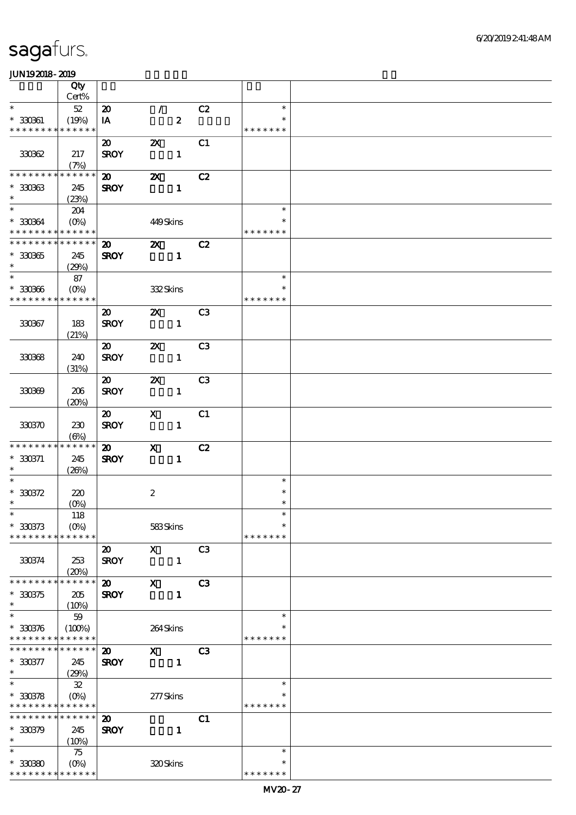|                                            | $\overline{Q}$ ty    |                                            |                                |                  |                |               |  |
|--------------------------------------------|----------------------|--------------------------------------------|--------------------------------|------------------|----------------|---------------|--|
|                                            | $\mbox{Cert}\%$      |                                            |                                |                  |                |               |  |
| $\ast$                                     | 52                   | $\boldsymbol{\mathfrak{D}}$                | $\mathbb{Z}_{\mathbb{Z}_{>0}}$ |                  | C2             | $\ast$        |  |
| $* 330361$                                 | (19%)                | IA                                         |                                | $\boldsymbol{z}$ |                |               |  |
| * * * * * * * * * * * * * *                |                      |                                            |                                |                  |                | * * * * * * * |  |
|                                            |                      | $\boldsymbol{\mathfrak{D}}$                | $\boldsymbol{\mathsf{Z}}$      |                  | C1             |               |  |
| 330362                                     | 217                  | <b>SROY</b>                                |                                | $\mathbf{1}$     |                |               |  |
|                                            | (7%)                 |                                            |                                |                  |                |               |  |
| * * * * * * * *                            | * * * * * *          | $\boldsymbol{\omega}$                      | $\boldsymbol{\mathsf{X}}$      |                  | C2             |               |  |
| $*30063$                                   | 245                  | <b>SROY</b>                                |                                | $\mathbf{1}$     |                |               |  |
| $\ast$                                     | (23%)                |                                            |                                |                  |                |               |  |
|                                            | 204                  |                                            |                                |                  |                | $\ast$        |  |
| $* 33064$                                  | $(O\% )$             |                                            | 449Skins                       |                  |                |               |  |
| * * * * * * * * * * * * * *                |                      |                                            |                                |                  |                | * * * * * * * |  |
| * * * * * * * * * * * * * *                |                      | $\boldsymbol{\mathsf{20}}$                 | $\mathbf{z}$                   |                  | C2             |               |  |
| $* 330365$                                 | 245                  | <b>SROY</b>                                |                                |                  |                |               |  |
| $\ast$                                     | (29%)                |                                            |                                |                  |                |               |  |
| $*$                                        | 87                   |                                            |                                |                  |                | $\ast$        |  |
| $* 30006$                                  |                      |                                            | 332Skins                       |                  |                |               |  |
| * * * * * * * * * * * * * *                |                      |                                            |                                |                  |                | * * * * * * * |  |
|                                            |                      | 20                                         | $\mathbf{z}$                   |                  | C3             |               |  |
| 330367                                     | 183                  | <b>SROY</b>                                | $\sim$ $\sim$ 1                |                  |                |               |  |
|                                            | (21%)                |                                            |                                |                  |                |               |  |
|                                            |                      | $\boldsymbol{\mathsf{20}}$                 | $\boldsymbol{\mathsf{Z}}$      |                  | C <sub>3</sub> |               |  |
| 330368                                     | 240                  | <b>SROY</b>                                |                                | $\mathbf{1}$     |                |               |  |
|                                            | (31%)                |                                            |                                |                  |                |               |  |
|                                            |                      | $\boldsymbol{\mathfrak{D}}$                | $\boldsymbol{\mathsf{Z}}$      |                  | C <sub>3</sub> |               |  |
| 330369                                     | 206                  | <b>SROY</b>                                |                                | $\mathbf{1}$     |                |               |  |
|                                            | (20%)                |                                            |                                |                  |                |               |  |
|                                            |                      | $\boldsymbol{\mathsf{20}}$                 | $\mathbf{x}$                   |                  | C1             |               |  |
| 330370                                     | 230                  | <b>SROY</b>                                |                                | $\mathbf{1}$     |                |               |  |
|                                            | (6%)                 |                                            |                                |                  |                |               |  |
| * * * * * * * *                            | $******$             | $\boldsymbol{\mathsf{20}}$                 | $\mathbf{X}$                   |                  | C2             |               |  |
| $* 330371$                                 | 245                  | <b>SROY</b>                                |                                | $\mathbf{1}$     |                |               |  |
| $\ast$                                     | (20%)                |                                            |                                |                  |                |               |  |
| $\ast$                                     |                      |                                            |                                |                  |                | $\ast$        |  |
| $* 330372$                                 | 220                  |                                            | $\boldsymbol{2}$               |                  |                | $\ast$        |  |
| $\ast$                                     | $(O\%)$              |                                            |                                |                  |                | $\ast$        |  |
|                                            | 118                  |                                            |                                |                  |                |               |  |
| $*330373$                                  | $(0\%)$              |                                            | 583Skins                       |                  |                | $\ast$        |  |
| * * * * * * * *                            | * * * * * *          |                                            |                                |                  |                | * * * * * * * |  |
|                                            |                      | $\boldsymbol{\mathfrak{D}}$                | $\mathbf{x}$                   |                  | C <sub>3</sub> |               |  |
| 330374                                     | 253                  | <b>SROY</b>                                |                                | $\mathbf{1}$     |                |               |  |
| * * * * * * * *                            | (20%)<br>* * * * * * |                                            |                                |                  |                |               |  |
| $* 330375$                                 | 205                  | $\boldsymbol{\mathfrak{D}}$<br><b>SROY</b> | $\boldsymbol{\mathrm{X}}$      | $\mathbf{1}$     | C3             |               |  |
| $\ast$                                     |                      |                                            |                                |                  |                |               |  |
| $\ast$                                     | $(10\%)$<br>59       |                                            |                                |                  |                | $\ast$        |  |
| $* 330376$                                 | (100%)               |                                            | 264Skins                       |                  |                | $\ast$        |  |
| * * * * * * * *                            | * * * * * *          |                                            |                                |                  |                | * * * * * *   |  |
| * * * * * * * *                            | * * * * * *          | $\boldsymbol{\mathfrak{D}}$                | $\mathbf{x}$                   |                  | C <sub>3</sub> |               |  |
| $* 330377$                                 | 245                  | <b>SROY</b>                                |                                | $\mathbf{1}$     |                |               |  |
| $\ast$                                     | (29%)                |                                            |                                |                  |                |               |  |
| $\ast$                                     | ${\bf 32}$           |                                            |                                |                  |                | $\ast$        |  |
| $* 330378$                                 | $(O\%)$              |                                            | 277Skins                       |                  |                |               |  |
| * * * * * * * * <mark>* * * * * *</mark>   |                      |                                            |                                |                  |                | * * * * * * * |  |
| * * * * * * * * <mark>* * * * * * *</mark> |                      | $\boldsymbol{\mathfrak{D}}$                |                                |                  | C1             |               |  |
| $*30379$                                   | 245                  | <b>SROY</b>                                |                                | $\mathbf{1}$     |                |               |  |
| $\ast$                                     | (10%)                |                                            |                                |                  |                |               |  |
| $\ast$                                     | 75                   |                                            |                                |                  |                | $\ast$        |  |
| $^\ast$ 33080                              | $(0\%)$              |                                            | 320Skins                       |                  |                | $\ast$        |  |
| * * * * * * * * <mark>* * * * * *</mark>   |                      |                                            |                                |                  |                | * * * * * * * |  |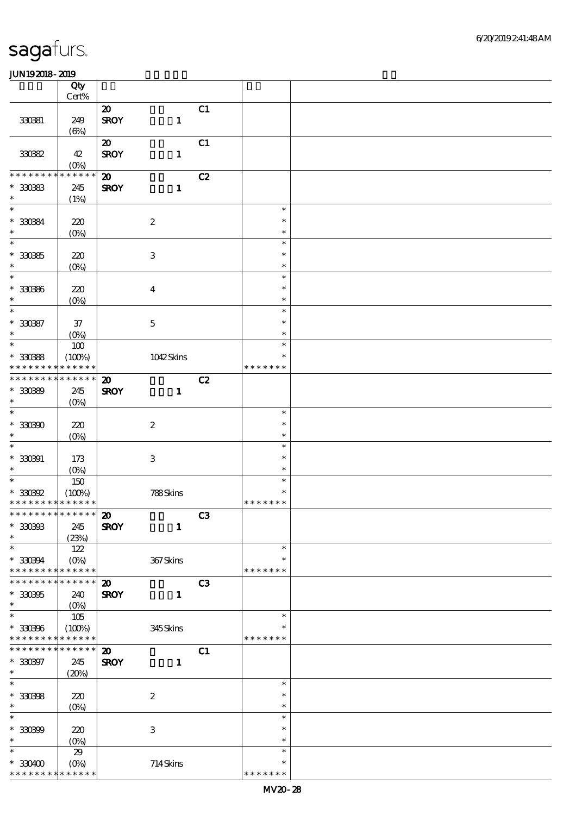|                               | Qty                             |                             |                        |    |               |  |
|-------------------------------|---------------------------------|-----------------------------|------------------------|----|---------------|--|
|                               | Cert%                           |                             |                        |    |               |  |
|                               |                                 | $\boldsymbol{\mathfrak{D}}$ |                        | C1 |               |  |
| 330381                        | 249                             | <b>SROY</b>                 | $\mathbf{1}$           |    |               |  |
|                               | $(\Theta)$                      |                             |                        |    |               |  |
|                               |                                 | $\boldsymbol{\mathfrak{D}}$ |                        | C1 |               |  |
| 33082                         | 42                              | <b>SROY</b>                 | $\mathbf{1}$           |    |               |  |
| * * * * * * * *               | $(0\%)$<br>* * * * * *          | $\boldsymbol{\mathfrak{D}}$ |                        | C2 |               |  |
| $* 33083$                     | 245                             | <b>SROY</b>                 | $\mathbf{1}$           |    |               |  |
| $\ast$                        | (1%)                            |                             |                        |    |               |  |
| $\ast$                        |                                 |                             |                        |    | $\ast$        |  |
| $* 30084$                     | 220                             |                             | $\boldsymbol{2}$       |    | $\ast$        |  |
| $\ast$                        | $(O\%)$                         |                             |                        |    | $\ast$        |  |
| $\overline{\ast}$             |                                 |                             |                        |    | $\ast$        |  |
| $*30085$                      | 220                             |                             | $\,3\,$                |    | $\ast$        |  |
| $\ast$                        | $(0\%)$                         |                             |                        |    | $\ast$        |  |
| $\ast$                        |                                 |                             |                        |    | $\ast$        |  |
| $* 30086$                     | 220                             |                             | $\boldsymbol{4}$       |    | $\ast$        |  |
| $\ast$                        | $(O\%)$                         |                             |                        |    | $\ast$        |  |
| $\overline{\ast}$             |                                 |                             |                        |    | $\ast$        |  |
| $* 330387$                    | $37\,$                          |                             | $\mathbf 5$            |    | $\ast$        |  |
| $\ast$                        | $(O\%)$                         |                             |                        |    | $\ast$        |  |
| $\overline{\ast}$             | $100\,$                         |                             |                        |    | $\ast$        |  |
| $^\ast$ 33088                 | (100%)                          |                             | 1042Skins              |    | $\ast$        |  |
| * * * * * * * *               | $* * * * * * *$                 |                             |                        |    | * * * * * * * |  |
| * * * * * * * *               | * * * * * *                     | $\boldsymbol{\mathsf{20}}$  |                        | C2 |               |  |
| $* 30089$                     | 245                             | <b>SROY</b>                 | $\mathbf{1}$           |    |               |  |
| $\ast$                        | $(O\%)$                         |                             |                        |    |               |  |
| $\ast$                        |                                 |                             |                        |    | $\ast$        |  |
| $* 330900$                    | 220                             |                             | $\boldsymbol{2}$       |    | $\ast$        |  |
| $\ast$                        | $(0\%)$                         |                             |                        |    | $\ast$        |  |
| $\ast$                        |                                 |                             |                        |    | $\ast$        |  |
| $* 330901$                    | 173                             |                             | $\,3\,$                |    | $\ast$        |  |
| $\ast$                        | $(O\!\!\!\!\!\!\backslash\rho)$ |                             |                        |    | $\ast$        |  |
| $\ast$                        | 150                             |                             |                        |    | $\ast$        |  |
| $*30002$                      | (100%)                          |                             | 788Skins               |    | $\ast$        |  |
| * * * * * * * * * * * * * *   |                                 |                             |                        |    | * * * * * *   |  |
| *************** 20            |                                 |                             | $\overline{\text{C3}}$ |    |               |  |
| $^\ast$ 330393                | 245                             | <b>SROY</b>                 | $\mathbf{1}$           |    |               |  |
| $\ast$                        | (23%)                           |                             |                        |    |               |  |
| $\ast$                        | 122                             |                             |                        |    | $\ast$        |  |
| $* 330394$                    | $(O\%)$                         |                             | 367Skins               |    | $\ast$        |  |
| * * * * * * * *               | * * * * * *                     |                             |                        |    | * * * * * * * |  |
| * * * * * * * *               | $* * * * * * *$                 | $\boldsymbol{\mathfrak{D}}$ |                        | C3 |               |  |
| $* 30005$                     | 240                             | <b>SROY</b>                 | $\mathbf{1}$           |    |               |  |
| $\ast$                        | $(O_0)$                         |                             |                        |    |               |  |
| $\ast$                        | 105                             |                             |                        |    | $\ast$        |  |
| $* 330306$<br>* * * * * * * * | (100%)<br>* * * * * *           |                             | 345Skins               |    | $\ast$        |  |
| * * * * * * * *               | * * * * * *                     |                             |                        |    | * * * * * * * |  |
|                               |                                 | $\boldsymbol{\mathbf{z}}$   |                        | C1 |               |  |
| $* 330397$<br>$\ast$          | 245                             | <b>SROY</b>                 | $\mathbf{1}$           |    |               |  |
| $\ast$                        | (20%)                           |                             |                        |    | $\ast$        |  |
|                               |                                 |                             |                        |    | $\ast$        |  |
| $*30008$<br>$\ast$            | 220                             |                             | $\boldsymbol{2}$       |    | $\ast$        |  |
| $\ast$                        | $(O\%)$                         |                             |                        |    | $\ast$        |  |
|                               |                                 |                             |                        |    | $\ast$        |  |
| $* 330399$<br>$\ast$          | 220                             |                             | $\,3\,$                |    | $\ast$        |  |
| $\ast$                        | $(0\%)$                         |                             |                        |    | $\ast$        |  |
|                               | 29                              |                             |                        |    | $\ast$        |  |
| $*330400$<br>* * * * * * * *  | $(0\%)$<br>* * * * * *          |                             | 714Skins               |    | * * * * * * * |  |
|                               |                                 |                             |                        |    |               |  |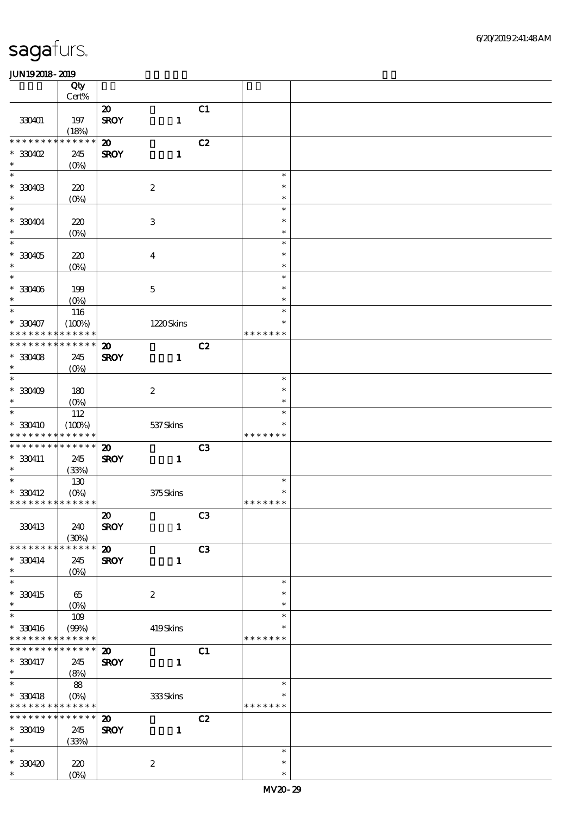|                                           | Qty               |                             |                  |    |               |  |
|-------------------------------------------|-------------------|-----------------------------|------------------|----|---------------|--|
|                                           | $Cert\%$          |                             |                  |    |               |  |
|                                           |                   | $\boldsymbol{\mathsf{20}}$  |                  | C1 |               |  |
| 330401                                    | 197<br>(18%)      | <b>SROY</b>                 | $\mathbf{1}$     |    |               |  |
| * * * * * * * *                           | * * * * * *       | $\boldsymbol{\mathfrak{D}}$ |                  | C2 |               |  |
| $*30002$                                  | 245               | <b>SROY</b>                 | $\mathbf{1}$     |    |               |  |
| $\ast$                                    | $(O\%)$           |                             |                  |    |               |  |
| $\ast$                                    |                   |                             |                  |    | $\ast$        |  |
|                                           | 220               |                             | $\boldsymbol{2}$ |    | $\ast$        |  |
| $*$ 330403                                | (O <sub>0</sub> ) |                             |                  |    | $\ast$        |  |
| $\ast$                                    |                   |                             |                  |    | $\ast$        |  |
| $*330404$                                 | 220               |                             | $\,3$            |    | $\ast$        |  |
| $\ast$                                    | $(O\!/\!o)$       |                             |                  |    | $\ast$        |  |
| $\overline{\ast}$                         |                   |                             |                  |    | $\ast$        |  |
| $*330405$                                 | 220               |                             | $\boldsymbol{4}$ |    | $\ast$        |  |
| $\ast$                                    | $(0\%)$           |                             |                  |    | $\ast$        |  |
| $\ast$                                    |                   |                             |                  |    | $\ast$        |  |
| $* 330406$                                | 199               |                             | $\mathbf 5$      |    | $\ast$        |  |
| $\ast$                                    | $(O\%)$           |                             |                  |    | $\ast$        |  |
| $\overline{\ast}$                         | 116               |                             |                  |    | $\ast$        |  |
| $* 330407$                                | (100%)            |                             | 1220Skins        |    | $\ast$        |  |
| * * * * * * *                             | * * * * * *       |                             |                  |    | * * * * * * * |  |
| * * * * * * * *                           | * * * * * *       | $\boldsymbol{\mathbf{z}}$   |                  | C2 |               |  |
| $*30408$                                  | 245               | <b>SROY</b>                 | $\mathbf{1}$     |    |               |  |
| $\ast$                                    | $(O\%)$           |                             |                  |    |               |  |
| $\ast$                                    |                   |                             |                  |    | $\ast$        |  |
| $*330409$                                 | 180               |                             | $\boldsymbol{2}$ |    | $\ast$        |  |
| $\ast$                                    | $(O\%)$           |                             |                  |    | $\ast$        |  |
| $\ast$                                    | 112               |                             |                  |    | $\ast$        |  |
| * 330410                                  | (100%)            |                             | 537Skins         |    | $\ast$        |  |
| * * * * * * * *                           | * * * * * *       |                             |                  |    | * * * * * * * |  |
| * * * * * * * *                           | * * * * * *       | $\boldsymbol{\mathbf{z}}$   |                  | C3 |               |  |
| $* 330411$                                | 245               | <b>SROY</b>                 | $\mathbf{1}$     |    |               |  |
| $\ast$<br>$\ast$                          | (33%)             |                             |                  |    | $\ast$        |  |
|                                           | 130               |                             |                  |    | $\ast$        |  |
| $* 330412$<br>* * * * * * * * * * * * * * | $(O\!/\!o)$       |                             | 375Skins         |    | * * * * * * * |  |
|                                           |                   | $\pmb{\mathcal{Z}}$         |                  | C3 |               |  |
| 330413                                    | 240               | <b>SROY</b>                 | $\mathbf{1}$     |    |               |  |
|                                           | (30%)             |                             |                  |    |               |  |
| * * * * * * * *                           | * * * * * *       | $\boldsymbol{\mathfrak{D}}$ |                  | C3 |               |  |
| $* 330414$                                | 245               | <b>SROY</b>                 | $\mathbf{1}$     |    |               |  |
| $\ast$                                    | $(O\%)$           |                             |                  |    |               |  |
| $\ast$                                    |                   |                             |                  |    | $\ast$        |  |
| $* 330415$                                | 65                |                             | $\boldsymbol{2}$ |    | $\ast$        |  |
| $\ast$                                    | $(O\%)$           |                             |                  |    | $\ast$        |  |
| $\ast$                                    | $109$             |                             |                  |    | $\ast$        |  |
| $* 330416$                                | (90%)             |                             | 419Skins         |    | $\ast$        |  |
| * * * * * * * *                           | * * * * * *       |                             |                  |    | * * * * * * * |  |
| * * * * * * *                             | * * * * * *       | $\boldsymbol{\mathbf{z}}$   |                  | C1 |               |  |
| * 330417                                  | 245               | <b>SROY</b>                 | $\mathbf{1}$     |    |               |  |
| $\ast$                                    | (8%)              |                             |                  |    |               |  |
| $\ast$                                    | 88                |                             |                  |    | $\ast$        |  |
| $* 330418$                                | $(O\!/\!o)$       |                             | 333Skins         |    |               |  |
| * * * * * * * * <mark>* * * * * *</mark>  |                   |                             |                  |    | * * * * * * * |  |
| * * * * * * * *                           | * * * * * *       | $\boldsymbol{\mathbf{z}}$   |                  | C2 |               |  |
| * 330419                                  | 245               | <b>SROY</b>                 | $\mathbf{1}$     |    |               |  |
| $\ast$                                    | (33%)             |                             |                  |    |               |  |
| $\ast$                                    |                   |                             |                  |    | $\ast$        |  |
| $*30420$                                  | 220               |                             | $\boldsymbol{2}$ |    | $\ast$        |  |
| $\ast$                                    | $(0\%)$           |                             |                  |    | $\ast$        |  |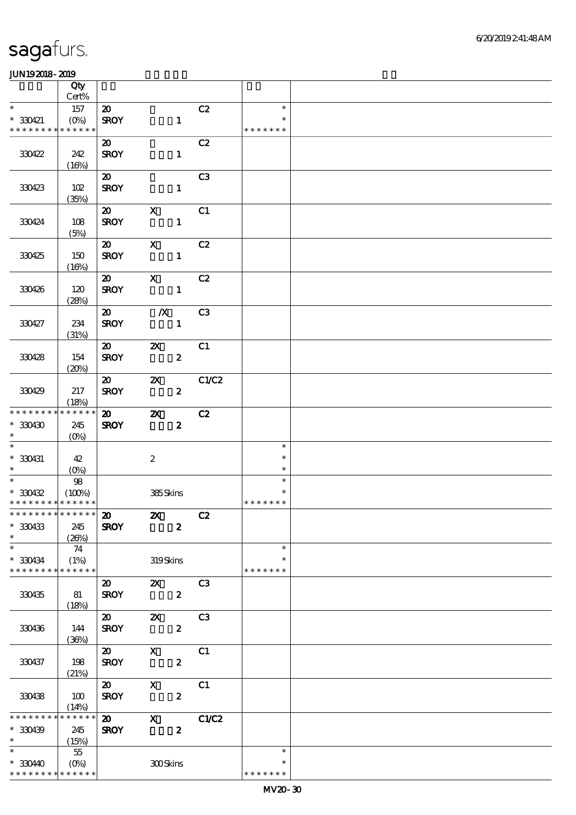|                                            | Qty                       |                                            |                                                                 |                        |               |  |
|--------------------------------------------|---------------------------|--------------------------------------------|-----------------------------------------------------------------|------------------------|---------------|--|
|                                            | $Cert\%$                  |                                            |                                                                 |                        |               |  |
| $\ast$                                     | 157                       | $\boldsymbol{\mathfrak{D}}$                |                                                                 | C2                     | $\ast$        |  |
| $*330421$                                  | $(O\%)$                   | <b>SROY</b>                                | $\mathbf{1}$                                                    |                        |               |  |
| * * * * * * * *                            | * * * * * *               |                                            |                                                                 |                        | * * * * * * * |  |
| 330422                                     | 242                       | $\boldsymbol{\mathfrak{D}}$<br><b>SROY</b> | $\mathbf{1}$                                                    | C2                     |               |  |
|                                            | (16%)                     |                                            |                                                                 |                        |               |  |
|                                            |                           | $\boldsymbol{\mathfrak{D}}$                |                                                                 | C <sub>3</sub>         |               |  |
| 330423                                     | 102                       | <b>SROY</b>                                | $\mathbf{1}$                                                    |                        |               |  |
|                                            | (35%)                     |                                            |                                                                 |                        |               |  |
|                                            |                           | $\boldsymbol{\mathfrak{D}}$                | $\mathbf x$                                                     | C1                     |               |  |
| 330424                                     | 108                       | <b>SROY</b>                                | $\mathbf{1}$                                                    |                        |               |  |
|                                            | (5%)                      |                                            |                                                                 |                        |               |  |
|                                            |                           | $\boldsymbol{\mathfrak{D}}$                | $\boldsymbol{\mathsf{X}}$                                       | C2                     |               |  |
| 330425                                     | 150                       | <b>SROY</b>                                |                                                                 | $\mathbf{1}$           |               |  |
|                                            | (16%)                     |                                            |                                                                 |                        |               |  |
| 330426                                     | 120                       | $\boldsymbol{\mathfrak{D}}$<br><b>SROY</b> | $\mathbf{X}$<br>$\mathbf{1}$                                    | C2                     |               |  |
|                                            | (28%)                     |                                            |                                                                 |                        |               |  |
|                                            |                           | $\boldsymbol{\mathfrak{D}}$                | $\boldsymbol{X}$                                                | C3                     |               |  |
| 330427                                     | 234                       | <b>SROY</b>                                | $\sim$ 1                                                        |                        |               |  |
|                                            | (31%)                     |                                            |                                                                 |                        |               |  |
|                                            |                           | $\boldsymbol{\mathsf{20}}$                 | $\boldsymbol{\mathsf{Z}}$                                       | C1                     |               |  |
| 330428                                     | 154                       | <b>SROY</b>                                |                                                                 | $\boldsymbol{z}$       |               |  |
|                                            | (20%)                     |                                            |                                                                 |                        |               |  |
|                                            |                           | $\boldsymbol{\mathfrak{D}}$                | $\boldsymbol{\mathsf{Z}}$                                       | C1/C2                  |               |  |
| 330429                                     | 217                       | <b>SROY</b>                                |                                                                 | $\boldsymbol{z}$       |               |  |
| * * * * * * * *                            | (18%)<br>* * * * * *      | $\boldsymbol{\mathfrak{D}}$                |                                                                 |                        |               |  |
| $*30430$                                   | 245                       | <b>SROY</b>                                | $\boldsymbol{\mathsf{z}}$                                       | C2<br>$\boldsymbol{z}$ |               |  |
| $\ast$                                     | $(O\%)$                   |                                            |                                                                 |                        |               |  |
|                                            |                           |                                            |                                                                 |                        | $\ast$        |  |
| $*330431$                                  | 42                        |                                            | $\boldsymbol{2}$                                                |                        | $\ast$        |  |
| $\ast$                                     | $(O\%)$                   |                                            |                                                                 |                        | $\ast$        |  |
| $*$                                        | ${\bf 98}$                |                                            |                                                                 |                        | $\ast$        |  |
| $*30432$                                   | (100%)                    |                                            | 385Skins                                                        |                        | *             |  |
| * * * * * * * * <mark>* * * * * * *</mark> |                           |                                            |                                                                 |                        | * * * * * * * |  |
| ************** 20                          |                           |                                            | $\boldsymbol{\mathsf{Z}}$                                       | C2                     |               |  |
| $*330433$<br>$*$                           | 245                       | <b>SROY</b>                                | $\overline{\mathbf{2}}$                                         |                        |               |  |
| $*$                                        | (20%)<br>74               |                                            |                                                                 |                        | $\ast$        |  |
| $* 330434$                                 | (1%)                      |                                            | 319Skins                                                        |                        | $\ast$        |  |
| * * * * * * * *                            | * * * * * *               |                                            |                                                                 |                        | * * * * * * * |  |
|                                            |                           | $\boldsymbol{\mathsf{20}}$                 | $\mathbf{x}$                                                    | C <sub>3</sub>         |               |  |
| 330435                                     | 81                        | <b>SROY</b>                                |                                                                 | $\boldsymbol{z}$       |               |  |
|                                            | (18%)                     |                                            |                                                                 |                        |               |  |
|                                            |                           | $\boldsymbol{\mathsf{20}}$                 | $\boldsymbol{\mathsf{Z}}$                                       | C3                     |               |  |
| 330436                                     | 144                       | <b>SROY</b>                                |                                                                 | $\boldsymbol{z}$       |               |  |
|                                            | (36%)                     |                                            |                                                                 |                        |               |  |
|                                            |                           | $\boldsymbol{\mathsf{20}}$                 | $\mathbf{X}$                                                    | C1                     |               |  |
| 330437                                     | 198<br>(21%)              | <b>SROY</b>                                |                                                                 | $\boldsymbol{2}$       |               |  |
|                                            |                           | $\boldsymbol{\omega}$                      | $\mathbf{X}$ and $\mathbf{X}$ and $\mathbf{X}$ and $\mathbf{X}$ | C1                     |               |  |
| 330438                                     | 100                       | <b>SROY</b>                                |                                                                 | $\boldsymbol{z}$       |               |  |
|                                            | (14%)                     |                                            |                                                                 |                        |               |  |
| * * * * * * * *                            | * * * * * *               | $\boldsymbol{\mathsf{20}}$                 | $\mathbf{X}$                                                    | C1/C2                  |               |  |
| $*30439$                                   | 245                       | <b>SROY</b>                                | $\boldsymbol{z}$                                                |                        |               |  |
| $*$ and $*$                                | (15%)                     |                                            |                                                                 |                        |               |  |
| $\ast$                                     | 55                        |                                            |                                                                 |                        | $\ast$        |  |
| * 330440                                   | $(O\!/\!\!\!\!\!\!\circ)$ |                                            | 300Skins                                                        |                        |               |  |
| * * * * * * * * <mark>* * * * * * *</mark> |                           |                                            |                                                                 |                        | * * * * * * * |  |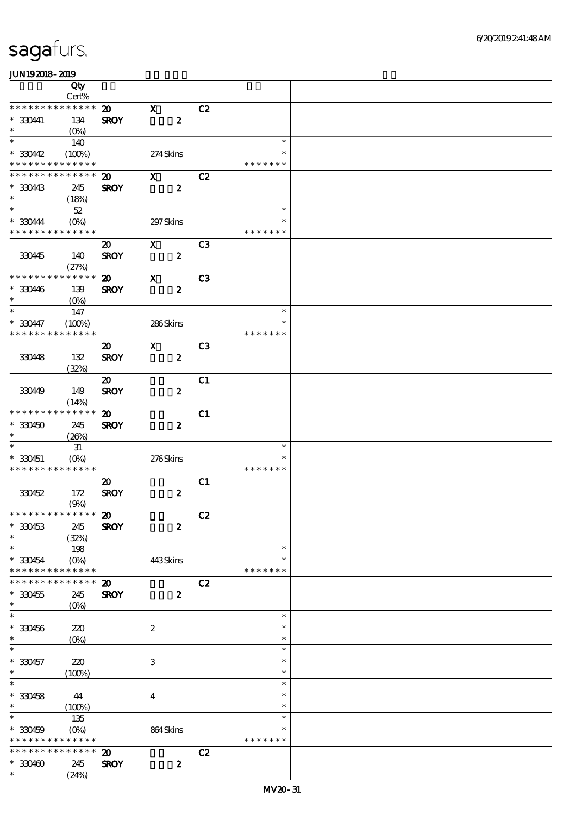|                              | <b>Qty</b>             |                             |                           |                  |                |               |  |
|------------------------------|------------------------|-----------------------------|---------------------------|------------------|----------------|---------------|--|
|                              | Cert%                  |                             |                           |                  |                |               |  |
| * * * * * * * *              | $******$               | $\boldsymbol{\mathfrak{D}}$ | $\mathbf x$               |                  | C2             |               |  |
| * 330441                     | 134                    | <b>SROY</b>                 |                           | $\boldsymbol{z}$ |                |               |  |
| $\ast$                       | $(O\!/\!o)$            |                             |                           |                  |                |               |  |
| $\overline{\ast}$            | 140                    |                             |                           |                  |                | $\ast$        |  |
| $*3042$                      | (100%)                 |                             | 274Skins                  |                  |                | $\ast$        |  |
| * * * * * * * * *            | * * * * * *            |                             |                           |                  |                | * * * * * * * |  |
| * * * * * * * *              | * * * * * *            | $\boldsymbol{\mathfrak{D}}$ | $\mathbf{x}$              |                  | C2             |               |  |
| $*33043$                     | 245                    | <b>SROY</b>                 |                           | $\boldsymbol{z}$ |                |               |  |
| $\ast$                       | (18%)                  |                             |                           |                  |                |               |  |
| $\ast$                       | $52\,$                 |                             |                           |                  |                | $\ast$        |  |
|                              |                        |                             |                           |                  |                | ∗             |  |
| $*330444$<br>* * * * * * * * | $(O\%)$<br>* * * * * * |                             | 297 Skins                 |                  |                | * * * * * * * |  |
|                              |                        |                             |                           |                  |                |               |  |
|                              |                        | $\boldsymbol{\mathfrak{D}}$ | $\boldsymbol{\mathsf{X}}$ |                  | C <sub>3</sub> |               |  |
| 330445                       | 140                    | <b>SROY</b>                 |                           | $\boldsymbol{z}$ |                |               |  |
|                              | (27%)                  |                             |                           |                  |                |               |  |
| * * * * * * * *              | * * * * * *            | $\boldsymbol{\mathbf{z}}$   | $\boldsymbol{\mathsf{X}}$ |                  | C <sub>3</sub> |               |  |
| $* 330446$                   | 139                    | <b>SROY</b>                 |                           | $\boldsymbol{z}$ |                |               |  |
| $\ast$                       | $(O\%)$                |                             |                           |                  |                |               |  |
| $\overline{\ast}$            | 147                    |                             |                           |                  |                | $\ast$        |  |
| $*330447$                    | (100%)                 |                             | 286Skins                  |                  |                | $\ast$        |  |
| * * * * * * * *              | * * * * * *            |                             |                           |                  |                | * * * * * * * |  |
|                              |                        | $\boldsymbol{\mathfrak{D}}$ | $\mathbf{X}$              |                  | C <sub>3</sub> |               |  |
|                              |                        |                             |                           |                  |                |               |  |
| 330448                       | 132                    | <b>SROY</b>                 |                           | $\boldsymbol{z}$ |                |               |  |
|                              | (32%)                  |                             |                           |                  |                |               |  |
|                              |                        | $\boldsymbol{\mathfrak{D}}$ |                           |                  | C1             |               |  |
| 33049                        | 149                    | <b>SROY</b>                 |                           | $\boldsymbol{z}$ |                |               |  |
|                              | (14%)                  |                             |                           |                  |                |               |  |
| * * * * * * * *              | * * * * * *            | $\boldsymbol{\mathfrak{D}}$ |                           |                  | C1             |               |  |
| $*330450$                    | 245                    | <b>SROY</b>                 |                           | $\boldsymbol{z}$ |                |               |  |
| $\ast$                       | (20%)                  |                             |                           |                  |                |               |  |
| $\ast$                       | 31                     |                             |                           |                  |                | $\ast$        |  |
| $*330451$                    | $(O\!/\!o)$            |                             | 276Skins                  |                  |                | ∗             |  |
| * * * * * * * * * * * * * *  |                        |                             |                           |                  |                | * * * * * * * |  |
|                              |                        |                             |                           |                  |                |               |  |
|                              |                        | $\boldsymbol{\mathsf{20}}$  |                           |                  | C1             |               |  |
| 330452                       | 172                    | <b>SROY</b>                 |                           | $\boldsymbol{z}$ |                |               |  |
|                              | (9%)                   |                             |                           |                  |                |               |  |
| ************** 20            |                        |                             |                           |                  | C2             |               |  |
| $* 330453$                   | 245                    | <b>SROY</b>                 |                           | $\boldsymbol{z}$ |                |               |  |
| $\ast$                       | (32%)                  |                             |                           |                  |                |               |  |
| $\ast$                       | 198                    |                             |                           |                  |                | $\ast$        |  |
| $* 330454$                   | $(O\%)$                |                             | 443Skins                  |                  |                | $\ast$        |  |
| * * * * * * * *              | * * * * * *            |                             |                           |                  |                | * * * * * * * |  |
| * * * * * * *                | * * * * * *            | $\boldsymbol{\mathfrak{D}}$ |                           |                  | C2             |               |  |
| $*330455$                    | 245                    | <b>SROY</b>                 |                           | $\boldsymbol{z}$ |                |               |  |
| $\ast$                       |                        |                             |                           |                  |                |               |  |
| $\ast$                       | $(O\%)$                |                             |                           |                  |                | $\ast$        |  |
|                              |                        |                             |                           |                  |                |               |  |
| $*330456$                    | 220                    |                             | $\boldsymbol{z}$          |                  |                | $\ast$        |  |
| $\ast$                       | $(O\!/\!o)$            |                             |                           |                  |                | $\ast$        |  |
| $\ast$                       |                        |                             |                           |                  |                | $\ast$        |  |
| $*330457$                    | 220                    |                             | 3                         |                  |                | ∗             |  |
| $\ast$                       | (100%)                 |                             |                           |                  |                | $\ast$        |  |
| $\ast$                       |                        |                             |                           |                  |                | $\ast$        |  |
| $*330458$                    | 44                     |                             | $\bf{4}$                  |                  |                | $\ast$        |  |
| $\ast$                       | (100%)                 |                             |                           |                  |                | $\ast$        |  |
| $\ast$                       | 135                    |                             |                           |                  |                | $\ast$        |  |
| $*330459$                    | $(O\%)$                |                             | 864Skins                  |                  |                |               |  |
| * * * * * * * *              | * * * * * *            |                             |                           |                  |                | * * * * * * * |  |
| * * * * * * * *              | ******                 |                             |                           |                  |                |               |  |
|                              |                        | $\boldsymbol{\mathfrak{D}}$ |                           |                  | C2             |               |  |
| $*330460$                    | 245                    | <b>SROY</b>                 |                           | $\pmb{2}$        |                |               |  |
| $\ast$                       | (24%)                  |                             |                           |                  |                |               |  |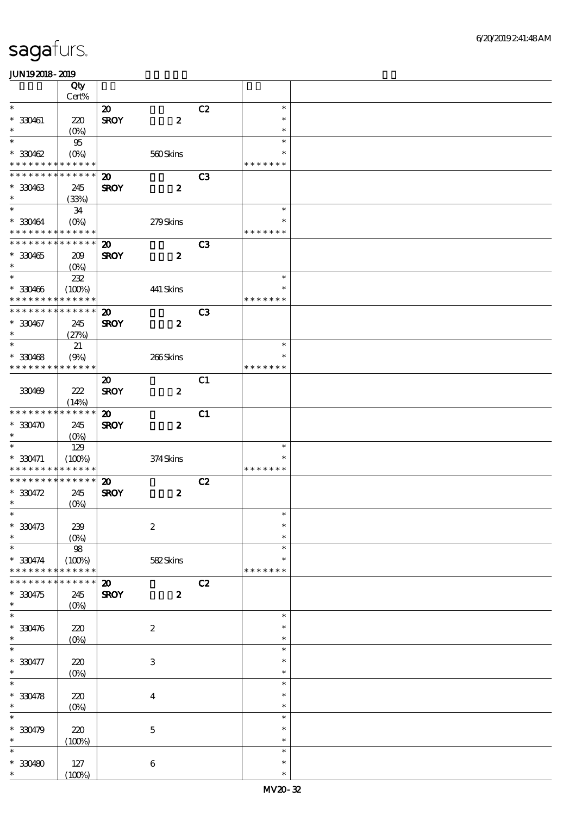|                                          | Qty<br>Cert%          |                             |                  |                |               |  |
|------------------------------------------|-----------------------|-----------------------------|------------------|----------------|---------------|--|
| $\ast$                                   |                       |                             |                  |                | $\ast$        |  |
|                                          |                       | $\boldsymbol{\mathfrak{D}}$ |                  | C2             | $\ast$        |  |
| $* 330461$                               | 220                   | <b>SROY</b>                 | $\boldsymbol{z}$ |                |               |  |
| $\ast$<br>$\overline{\ast}$              | $(O\!/\!\!\delta)$    |                             |                  |                | $\ast$        |  |
|                                          | $95\,$                |                             |                  |                | $\ast$        |  |
| $*30462$                                 | $(O\%)$               |                             | 560Skins         |                | $\ast$        |  |
| * * * * * * * *                          | * * * * * *           |                             |                  |                | * * * * * * * |  |
| * * * * * * * *                          | * * * * * *           | $\boldsymbol{\mathfrak{D}}$ |                  | C3             |               |  |
| $*30463$                                 | 245                   | <b>SROY</b>                 | $\boldsymbol{z}$ |                |               |  |
| $\ast$                                   | (33%)                 |                             |                  |                |               |  |
| $\ast$                                   | ${\bf 34}$            |                             |                  |                | $\ast$        |  |
| $*330464$                                | $(O\%)$               |                             | 279Skins         |                | $\ast$        |  |
| * * * * * * * * <mark>* * * * * *</mark> |                       |                             |                  |                | * * * * * * * |  |
| * * * * * * *                            | * * * * * *           | $\boldsymbol{\mathfrak{D}}$ |                  | C <sub>3</sub> |               |  |
| $*30465$                                 | 209                   | <b>SROY</b>                 | $\boldsymbol{z}$ |                |               |  |
| $\ast$                                   | $(O\%)$               |                             |                  |                |               |  |
| $\ast$                                   | 232                   |                             |                  |                | $\ast$        |  |
|                                          |                       |                             |                  |                | $\ast$        |  |
| $*330466$<br>* * * * * * * * * * * * * * | (100%)                |                             | 441 Skins        |                | * * * * * * * |  |
|                                          |                       |                             |                  |                |               |  |
| * * * * * * * *                          | * * * * * *           | $\boldsymbol{\mathfrak{D}}$ |                  | C <sub>3</sub> |               |  |
| * 330467                                 | 245                   | <b>SROY</b>                 | $\boldsymbol{z}$ |                |               |  |
| $\ast$                                   | (27%)                 |                             |                  |                |               |  |
| $\ast$                                   | $21\,$                |                             |                  |                | $\ast$        |  |
| $*330468$                                | (9%)                  |                             | 266Skins         |                | $\ast$        |  |
| * * * * * * * *                          | * * * * * *           |                             |                  |                | * * * * * * * |  |
|                                          |                       | $\boldsymbol{\mathfrak{D}}$ |                  | C1             |               |  |
| 330469                                   | 222                   | <b>SROY</b>                 | $\boldsymbol{z}$ |                |               |  |
|                                          | (14%)                 |                             |                  |                |               |  |
| * * * * * * * *                          | * * * * * *           | $\boldsymbol{\mathfrak{D}}$ |                  | C1             |               |  |
| $^*$ 330470 $\,$                         | 245                   | <b>SROY</b>                 | $\boldsymbol{z}$ |                |               |  |
| $\ast$                                   | (O <sub>0</sub> )     |                             |                  |                |               |  |
| $\ast$                                   | 129                   |                             |                  |                | $\ast$        |  |
|                                          |                       |                             |                  |                | $\ast$        |  |
| $* 330471$<br>* * * * * * * *            | (100%)<br>* * * * * * |                             | 374Skins         |                | * * * * * * * |  |
| * * * * * * * *                          | * * * * * *           |                             |                  |                |               |  |
|                                          |                       | $\boldsymbol{\mathfrak{D}}$ |                  | C2             |               |  |
| $*330472$<br>$\ast$                      | 245                   | <b>SROY</b>                 | $\boldsymbol{z}$ |                |               |  |
|                                          | $(O\%)$               |                             |                  |                | $\ast$        |  |
|                                          |                       |                             |                  |                |               |  |
| $* 330473$                               | 239                   |                             | $\boldsymbol{2}$ |                | $\ast$        |  |
| $\ast$                                   | $(0\%)$               |                             |                  |                | $\ast$        |  |
| $\ast$                                   | ${\bf 98}$            |                             |                  |                | $\ast$        |  |
| $*330474$                                | (100%)                |                             | 582Skins         |                | $\ast$        |  |
| * * * * * * * *                          | * * * * * *           |                             |                  |                | * * * * * * * |  |
| * * * * * * *                            | * * * * * *           | $\boldsymbol{\mathfrak{D}}$ |                  | C2             |               |  |
| $* 330475$                               | 245                   | <b>SROY</b>                 | $\boldsymbol{z}$ |                |               |  |
| $\ast$                                   | $(O\%)$               |                             |                  |                |               |  |
| $\ast$                                   |                       |                             |                  |                | $\ast$        |  |
| $* 330476$                               | 220                   |                             | $\boldsymbol{2}$ |                | $\ast$        |  |
| $\ast$                                   | $(0\%)$               |                             |                  |                | $\ast$        |  |
| $\ast$                                   |                       |                             |                  |                | $\ast$        |  |
| $* 330477$                               | 220                   |                             | $\,3$            |                | $\ast$        |  |
| $\ast$                                   | $(O\!/\!o)$           |                             |                  |                | $\ast$        |  |
| $\ast$                                   |                       |                             |                  |                | $\ast$        |  |
|                                          |                       |                             |                  |                | $\ast$        |  |
| $*30478$<br>$\ast$                       | $220$                 |                             | $\boldsymbol{4}$ |                | $\ast$        |  |
| $\ast$                                   | $(0\%)$               |                             |                  |                | $\ast$        |  |
|                                          |                       |                             |                  |                |               |  |
| $* 330479$                               | $220$                 |                             | $\mathbf 5$      |                | $\ast$        |  |
| $\ast$                                   | (100%)                |                             |                  |                | $\ast$        |  |
| $\ast$                                   |                       |                             |                  |                | $\ast$        |  |
| $* 330480$                               | 127                   |                             | $\,6\,$          |                | $\ast$        |  |
| $\ast$                                   | (100%)                |                             |                  |                | $\ast$        |  |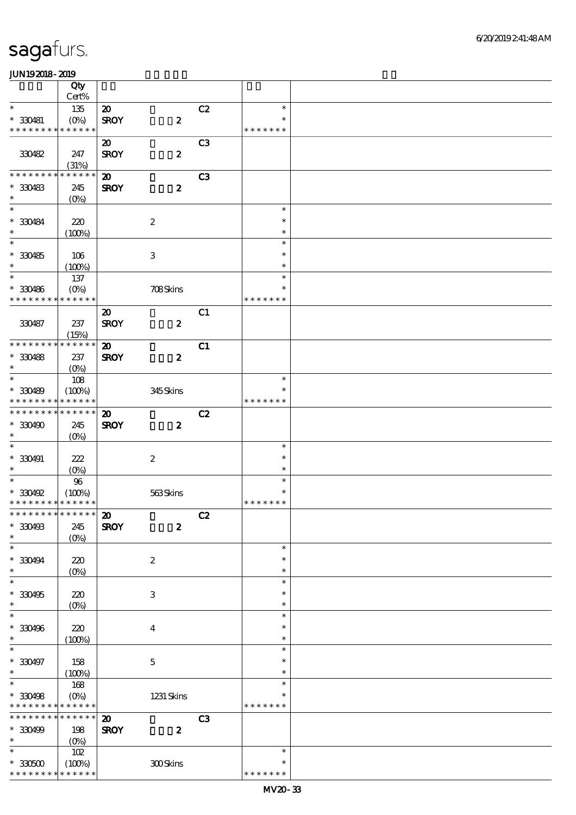| 6/20/2019241:48AM |
|-------------------|
|                   |

|                             | $135\,$              |                             |                           |                | $\ast$        |  |
|-----------------------------|----------------------|-----------------------------|---------------------------|----------------|---------------|--|
| $* 330481$                  | $(O\%)$              | <b>SROY</b>                 | $\pmb{2}$                 |                |               |  |
| * * * * * * * * * * * * * * |                      |                             |                           |                | * * * * * * * |  |
|                             |                      | $\boldsymbol{\mathfrak{D}}$ |                           | C <sub>3</sub> |               |  |
| 330482                      | 247                  | <b>SROY</b>                 | $\boldsymbol{2}$          |                |               |  |
|                             | (31%)                |                             |                           |                |               |  |
| * * * * * * * *             | * * * * * *          | $\boldsymbol{\mathbf{z}}$   |                           | C3             |               |  |
|                             |                      |                             |                           |                |               |  |
| $*330483$                   | 245                  | <b>SROY</b>                 | $\pmb{2}$                 |                |               |  |
| $\ast$                      | $(O\%)$              |                             |                           |                |               |  |
| $\ast$                      |                      |                             |                           |                | $\ast$        |  |
| $* 330484$                  | 220                  |                             | $\boldsymbol{2}$          |                | $\ast$        |  |
| $\ast$                      | (100%)               |                             |                           |                | $\ast$        |  |
| $\overline{\ast}$           |                      |                             |                           |                | $\ast$        |  |
| $*30485$                    | 106                  |                             | $\ensuremath{\mathbf{3}}$ |                | $\ast$        |  |
| $\ast$                      | (100%)               |                             |                           |                | $\ast$        |  |
| $\ast$                      | $137\,$              |                             |                           |                | $\ast$        |  |
| $* 330486$                  | $(0\%)$              |                             | 708Skins                  |                | $\ast$        |  |
| * * * * * * * *             | * * * * * *          |                             |                           |                | * * * * * * * |  |
|                             |                      |                             |                           |                |               |  |
|                             |                      | $\boldsymbol{\mathsf{20}}$  |                           | C1             |               |  |
| 330487                      | 237                  | <b>SROY</b>                 | $\boldsymbol{z}$          |                |               |  |
|                             | (15%)<br>* * * * * * |                             |                           |                |               |  |
| * * * * * * * *             |                      | $\boldsymbol{\mathbf{z}}$   |                           | C1             |               |  |
| $* 30488$                   | 237                  | <b>SROY</b>                 | $\boldsymbol{z}$          |                |               |  |
| $\ast$                      | $(O\%)$              |                             |                           |                |               |  |
| $\ast$                      | 108                  |                             |                           |                | $\ast$        |  |
| $* 330489$                  | (100%)               |                             | 345Skins                  |                | $\ast$        |  |
| * * * * * * * *             | * * * * * *          |                             |                           |                | * * * * * * * |  |
| * * * * * * * *             | $* * * * * * *$      | $\boldsymbol{\mathfrak{D}}$ |                           | C2             |               |  |
| $*30490$                    | 245                  | <b>SROY</b>                 | $\boldsymbol{z}$          |                |               |  |
| $\ast$                      | $(O\%)$              |                             |                           |                |               |  |
| $\ast$                      |                      |                             |                           |                | $\ast$        |  |
| $* 330491$                  | 222                  |                             | $\boldsymbol{2}$          |                | $\ast$        |  |
| $\ast$                      | $(O\%)$              |                             |                           |                | $\ast$        |  |
| $\ast$                      | 96                   |                             |                           |                | $\ast$        |  |
| $*30492$                    | (100%)               |                             | 563Skins                  |                | $\ast$        |  |
| * * * * * * * * * * * * * * |                      |                             |                           |                | * * * * * * * |  |
| * * * * * * * * * * * * * * |                      |                             |                           |                |               |  |
|                             |                      |                             |                           |                |               |  |
|                             |                      | $\boldsymbol{\mathfrak{D}}$ |                           | C2             |               |  |
| $* 330493$                  | 245                  | <b>SROY</b>                 | $\boldsymbol{z}$          |                |               |  |
| $\ast$                      | $(O\%)$              |                             |                           |                |               |  |
| $\ast$                      |                      |                             |                           |                | $\ast$        |  |
| $* 330494$                  | 220                  |                             | $\boldsymbol{2}$          |                | $\ast$        |  |
| $\ast$                      | $(0\%)$              |                             |                           |                | $\ast$        |  |
| $\ast$                      |                      |                             |                           |                | $\ast$        |  |
| $*30495$                    | 220                  |                             | $\ensuremath{\mathbf{3}}$ |                | $\ast$        |  |
| $\ast$                      | $(O\!/\!o)$          |                             |                           |                | $\ast$        |  |
| $\ast$                      |                      |                             |                           |                | $\ast$        |  |
|                             |                      |                             |                           |                | $\ast$        |  |
| $* 330496$<br>$\ast$        | 220                  |                             | $\boldsymbol{4}$          |                | $\ast$        |  |
| $\ast$                      | (100%)               |                             |                           |                | $\ast$        |  |
|                             |                      |                             |                           |                | $\ast$        |  |
| $* 330497$                  | 158                  |                             | $\mathbf 5$               |                | $\ast$        |  |
| $\ast$                      | (100%)               |                             |                           |                |               |  |
| $\ast$                      | 168                  |                             |                           |                | $\ast$        |  |
| $*30498$                    | $(O\%)$              |                             | $1231$ Skins              |                | ∗             |  |
| * * * * * * * *             | * * * * * *          |                             |                           |                | * * * * * * * |  |
| * * * * * * * *             | * * * * * *          | $\boldsymbol{\mathbf{z}}$   |                           | C3             |               |  |
| $*30499$                    | 198                  | <b>SROY</b>                 | $\boldsymbol{z}$          |                |               |  |
| $\ast$                      | (0%                  |                             |                           |                |               |  |
| $\ast$                      | 102                  |                             |                           |                | $\ast$        |  |
| $^\ast$ 330500              | (100%)               |                             | 300Skins                  |                |               |  |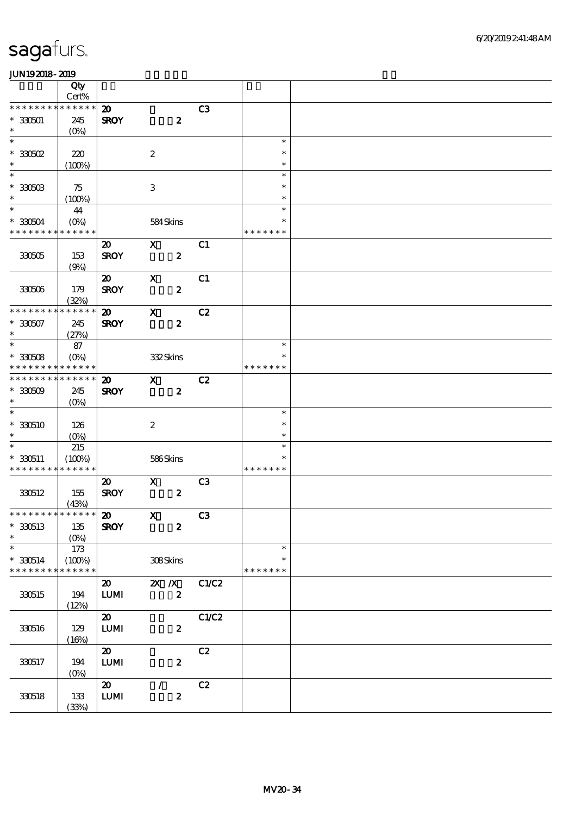|                             | Qty<br>$Cert\%$ |                             |                           |                |               |  |
|-----------------------------|-----------------|-----------------------------|---------------------------|----------------|---------------|--|
| * * * * * * * *             | * * * * * *     | $\boldsymbol{\mathfrak{D}}$ |                           | C3             |               |  |
| $*330501$                   | 245             | <b>SROY</b>                 | $\boldsymbol{z}$          |                |               |  |
| $\ast$                      |                 |                             |                           |                |               |  |
| $\ast$                      | $(0\%)$         |                             |                           |                | $\ast$        |  |
|                             |                 |                             |                           |                | $\ast$        |  |
| $^\ast$ 330502<br>$\ast$    | 220             |                             | $\boldsymbol{2}$          |                |               |  |
| $\overline{\ast}$           | (100%)          |                             |                           |                | $\ast$        |  |
|                             |                 |                             |                           |                | $\ast$        |  |
| $^\ast$ 330503              | 75              |                             | $\,3$                     |                | $\ast$        |  |
| $\ast$                      | (100%)          |                             |                           |                | $\ast$        |  |
| $\overline{\phantom{0}}$    | 44              |                             |                           |                | $\ast$        |  |
| $*30504$                    | $(O\%)$         |                             | 584Skins                  |                | $\ast$        |  |
| * * * * * * * *             | * * * * * *     |                             |                           |                | * * * * * * * |  |
|                             |                 | $\boldsymbol{\mathfrak{D}}$ | $\mathbf{x}$              | C1             |               |  |
| 330505                      | 153             | <b>SROY</b>                 | $\boldsymbol{z}$          |                |               |  |
|                             | (9%)            |                             |                           |                |               |  |
|                             |                 | $\boldsymbol{\mathfrak{D}}$ | $\boldsymbol{\mathrm{X}}$ | C1             |               |  |
| 330506                      | 179             | <b>SROY</b>                 | $\boldsymbol{z}$          |                |               |  |
|                             | (32%)           |                             |                           |                |               |  |
| * * * * * * * *             | * * * * * *     | $\boldsymbol{\mathfrak{D}}$ | $\mathbf x$               | C2             |               |  |
| $*30507$                    |                 |                             | $\boldsymbol{z}$          |                |               |  |
| $\ast$                      | 245             | <b>SROY</b>                 |                           |                |               |  |
| $\ast$                      | (27%)           |                             |                           |                | $\ast$        |  |
|                             | 87              |                             |                           |                |               |  |
| $*30508$                    | $(O\%)$         |                             | 332Skins                  |                | ∗             |  |
| * * * * * * * *             | * * * * * *     |                             |                           |                | * * * * * * * |  |
| * * * * * * * *             | * * * * * *     | $\boldsymbol{\mathbf{z}}$   | $\mathbf{x}$              | C2             |               |  |
| $*30509$                    | 245             | <b>SROY</b>                 | $\boldsymbol{z}$          |                |               |  |
| $\ast$                      | $(O\%)$         |                             |                           |                |               |  |
| $\overline{\ast}$           |                 |                             |                           |                | $\ast$        |  |
| $*330510$                   | 126             |                             | $\boldsymbol{2}$          |                | $\ast$        |  |
| $\ast$                      | $(O\%)$         |                             |                           |                | $\ast$        |  |
| $\ast$                      | 215             |                             |                           |                | $\ast$        |  |
| $*330511$                   | (100%)          |                             | 586Skins                  |                | $\ast$        |  |
| * * * * * * * *             | * * * * * *     |                             |                           |                | * * * * * * * |  |
|                             |                 | $\boldsymbol{\mathfrak{D}}$ | $\mathbf{x}$              | C <sub>3</sub> |               |  |
| 330512                      | 155             | <b>SROY</b>                 | $\boldsymbol{z}$          |                |               |  |
|                             | (43%)           |                             |                           |                |               |  |
| * * * * * * * * * * * * * * |                 | $\boldsymbol{\mathfrak{D}}$ | $\mathbf x$               | C <sub>3</sub> |               |  |
| $*30013$                    | 135             | <b>SROY</b>                 | $\boldsymbol{z}$          |                |               |  |
| $\ast$                      |                 |                             |                           |                |               |  |
| $\ast$                      | $(O\%)$         |                             |                           |                | $\ast$        |  |
|                             | 173             |                             |                           |                | $\ast$        |  |
| $*330514$                   | (100%)          |                             | 308Skins                  |                |               |  |
| * * * * * * * *             | * * * * * *     |                             |                           |                | * * * * * * * |  |
|                             |                 | $\boldsymbol{\mathfrak{D}}$ | $X$ $X$                   | C1/C2          |               |  |
| 330515                      | 194             | <b>LUM</b>                  | $\pmb{2}$                 |                |               |  |
|                             | (12%)           |                             |                           |                |               |  |
|                             |                 | $\boldsymbol{\mathfrak{D}}$ |                           | C1/C2          |               |  |
| 330516                      | 129             | <b>LUMI</b>                 | $\boldsymbol{z}$          |                |               |  |
|                             | (16%)           |                             |                           |                |               |  |
|                             |                 | $\boldsymbol{\mathfrak{D}}$ |                           | C2             |               |  |
| 330517                      | 194             | <b>LUMI</b>                 | $\boldsymbol{2}$          |                |               |  |
|                             | $(O_0)$         |                             |                           |                |               |  |
|                             |                 | $\boldsymbol{\mathsf{20}}$  | $\mathcal{L}$             | C2             |               |  |
| 330518                      | 133             | <b>LUM</b>                  | $\boldsymbol{z}$          |                |               |  |
|                             | (33%)           |                             |                           |                |               |  |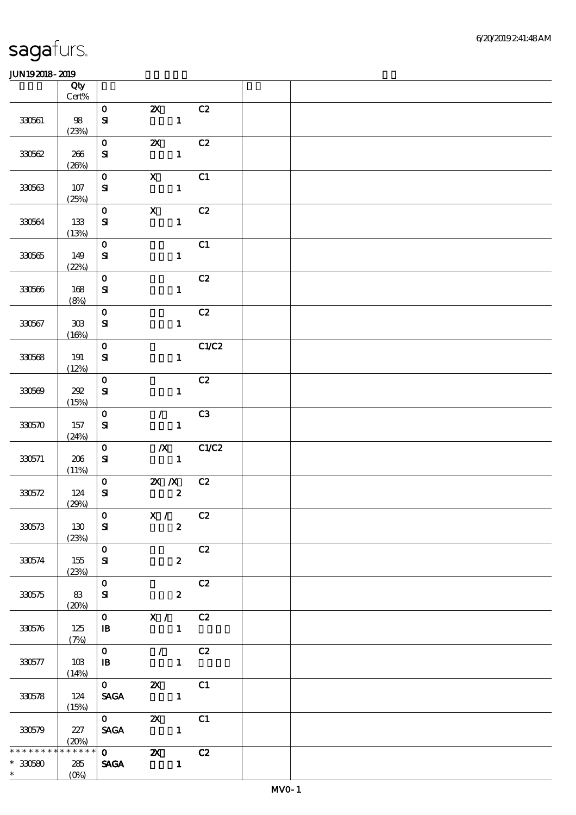|               | Qty<br>Cert%                              |                         |                           |       |  |
|---------------|-------------------------------------------|-------------------------|---------------------------|-------|--|
|               |                                           | $\mathbf 0$             | $\boldsymbol{\mathsf{X}}$ | C2    |  |
| 330561        | 98<br>(23%)                               | ${\bf S\!I}$            | $\mathbf{1}$              |       |  |
|               |                                           | $\mathbf{O}$            | $\boldsymbol{\mathsf{z}}$ | C2    |  |
| 330562        | 266<br>(20%)                              | ${\bf S}$               | $\mathbf{1}$              |       |  |
|               |                                           | $\mathbf O$             | $\boldsymbol{\mathrm{X}}$ | C1    |  |
| 330563        | $107$<br>(25%)                            | ${\bf S\!I}$            | $\mathbf{1}$              |       |  |
|               |                                           | $\mathbf 0$             | $\mathbf X$               | C2    |  |
| 330564        | 133<br>(13%)                              | $\mathbf{S}$            | $\mathbf{1}$              |       |  |
|               |                                           | $\mathbf 0$             |                           | C1    |  |
| 330565        | 149<br>(22%)                              | ${\bf s}$               | $\mathbf{1}$              |       |  |
|               |                                           | $\mathbf 0$             |                           | C2    |  |
| 330566        | 168<br>(8%)                               | ${\bf S\!I}$            | $\mathbf{1}$              |       |  |
|               |                                           | $\mathbf{o}$            |                           | C2    |  |
| 330567        | $\mathbf{3}\mathbf{0}\mathbf{3}$<br>(16%) | ${\bf S}$               | $\mathbf{1}$              |       |  |
|               |                                           | $\mathbf{o}$            |                           | C1/C2 |  |
| 330568        | 191<br>(12%)                              | ${\bf S}$               | $\mathbf{1}$              |       |  |
|               |                                           | $\mathbf O$             |                           | C2    |  |
| 330569        | 202<br>(15%)                              | ${\bf S\!I}$            | $\mathbf{1}$              |       |  |
|               |                                           | $\mathbf 0$             | $\mathcal{L}$             | C3    |  |
| 330570        | 157<br>(24%)                              | $\mathbf{S}$            | $\mathbf{1}$              |       |  |
|               |                                           | $\mathbf 0$             | $\boldsymbol{X}$          | C1/C2 |  |
| 330571        | 206<br>(11%)                              | ${\bf s}$               | $\mathbf{1}$              |       |  |
|               |                                           | $\mathbf 0$             | $X$ $X$                   | C2    |  |
| 330572        | 124<br>(29%)                              | ${\bf S\!I}$            | $\boldsymbol{z}$          |       |  |
|               |                                           | $\boxed{\mathbf{o}}$    | X / C2                    |       |  |
| 330573        | 130<br>(23%)                              | $\mathbf{S}$            | $\boldsymbol{z}$          |       |  |
|               |                                           | $\mathbf{0}$            |                           | C2    |  |
| 330574        | 155<br>(23%)                              | ${\bf s}$               | $\boldsymbol{z}$          |       |  |
|               |                                           | $\overline{\mathbf{o}}$ |                           | C2    |  |
| 330575        | 83<br>(20%)                               | ${\bf s}$               | $\boldsymbol{z}$          |       |  |
|               |                                           | $\mathbf{O}$            | $\overline{X}$ / C2       |       |  |
| 330576        | 125<br>(7%)                               | $\mathbf{B}$            | $\mathbf{1}$              |       |  |
|               |                                           | $\mathbf{O}$            | $\sqrt{C^2}$              |       |  |
| 330577        | 10 <sup>3</sup><br>(14%)                  | $\mathbf{B}$            | $\mathbf{1}$              |       |  |
|               |                                           |                         |                           |       |  |
| $3305\%$      | 124<br>(15%)                              |                         | SAGA 1                    |       |  |
|               |                                           | $\mathbf{0}$            | 2X C1                     |       |  |
| 330579        | 227                                       | <b>SAGA</b>             | $\mathbf{1}$              |       |  |
| * * * * * * * | (20%)<br>******                           | $\overline{\mathbf{0}}$ | <b>2X</b> C <sub>2</sub>  |       |  |
| $*30580$      | 285                                       | <b>SAGA</b>             |                           |       |  |
| $\ast$        | $(O\%)$                                   |                         |                           |       |  |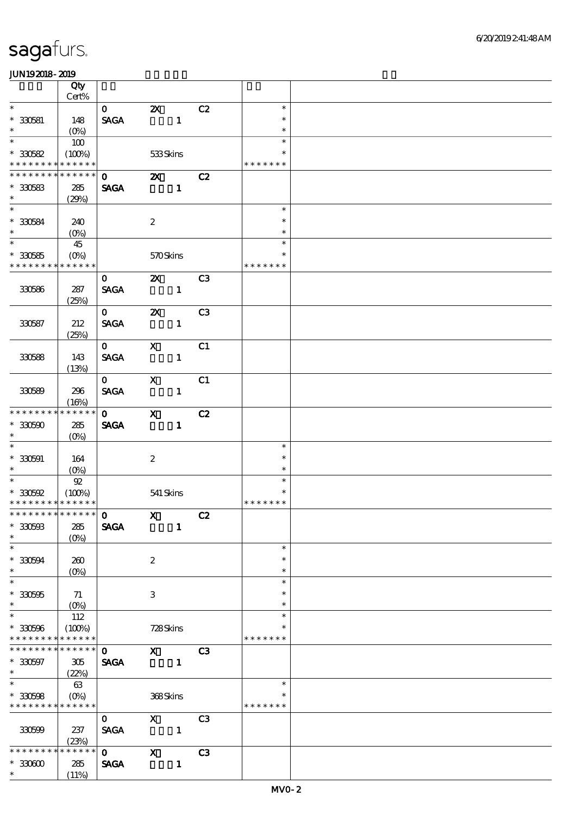|                                   | Qty                         |                                |                               |                |                |                  |  |
|-----------------------------------|-----------------------------|--------------------------------|-------------------------------|----------------|----------------|------------------|--|
|                                   | Cert%                       |                                |                               |                |                |                  |  |
| $\overline{\ast}$                 |                             | $\mathbf{O}$                   | $\mathbf{Z}$                  |                | C2             | $\ast$           |  |
| $* 330581$<br>$\ast$              | 148<br>$(O\%)$              | $\operatorname{\mathsf{SAGA}}$ |                               | $\mathbf{1}$   |                | $\ast$<br>$\ast$ |  |
| $\ast$                            | 100                         |                                |                               |                |                | $\ast$           |  |
| $^\ast$ 330582                    | (100%)                      |                                | 533Skins                      |                |                | $\ast$           |  |
| * * * * * * * *                   | * * * * * *                 |                                |                               |                |                | * * * * * * *    |  |
| * * * * * * * *                   | * * * * * *                 | $\mathbf{0}$                   | $\boldsymbol{\mathsf{Z}}$     |                | C2             |                  |  |
| $*30583$                          | 285                         | <b>SAGA</b>                    |                               | $\mathbf{1}$   |                |                  |  |
| $\ast$                            | (29%)                       |                                |                               |                |                |                  |  |
| $\overline{\phantom{0}}$          |                             |                                |                               |                |                | $\ast$           |  |
| $*30584$                          | 240                         |                                | $\boldsymbol{2}$              |                |                | $\ast$           |  |
| $\ast$                            | $(O\%)$                     |                                |                               |                |                | $\ast$           |  |
| $\overline{\ast}$                 | 45                          |                                |                               |                |                | $\ast$           |  |
| $*30585$                          | $(O\%)$                     |                                | 570Skins                      |                |                | $\ast$           |  |
| * * * * * * * * * * * * * *       |                             |                                |                               |                |                | * * * * * * *    |  |
|                                   |                             | $\mathbf{O}$                   | $\mathbf{x}$                  |                | C3             |                  |  |
| 330586                            | 287<br>(25%)                | <b>SAGA</b>                    |                               | $\blacksquare$ |                |                  |  |
|                                   |                             | $\mathbf{O}$                   | $\boldsymbol{\mathsf{Z}}$     |                | C3             |                  |  |
| 330587                            | 212                         | <b>SAGA</b>                    |                               | $\mathbf{1}$   |                |                  |  |
|                                   | (25%)                       |                                |                               |                |                |                  |  |
|                                   |                             | $\mathbf{O}$                   | $\mathbf{X}$                  |                | C1             |                  |  |
| 330588                            | 143                         | <b>SAGA</b>                    |                               | $\mathbf{1}$   |                |                  |  |
|                                   | (13%)                       |                                |                               |                |                |                  |  |
|                                   |                             | $\mathbf{O}$                   | $\mathbf{x}$                  |                | C1             |                  |  |
| 330589                            | 296                         | <b>SAGA</b>                    |                               | $\mathbf{1}$   |                |                  |  |
|                                   | (16%)                       |                                |                               |                |                |                  |  |
| * * * * * * * *                   | * * * * * *                 | $\mathbf{O}$                   | $\mathbf{X}$                  |                | C2             |                  |  |
| $*30500$                          | 285                         | <b>SAGA</b>                    |                               | $\mathbf{1}$   |                |                  |  |
| $\ast$                            | $(O\%)$                     |                                |                               |                |                |                  |  |
| $\ast$                            |                             |                                |                               |                |                | $\ast$           |  |
| $* 330591$<br>$\ast$              | 164                         |                                | $\boldsymbol{2}$              |                |                | $\ast$<br>$\ast$ |  |
| $\ast$                            | $(0\%)$<br>${\mathfrak{A}}$ |                                |                               |                |                | $\ast$           |  |
| $*30592$                          | (100%)                      |                                | 541 Skins                     |                |                | $\ast$           |  |
| * * * * * * * * * * * * * *       |                             |                                |                               |                |                | * * * * * * *    |  |
|                                   |                             |                                | $X$ C <sub>2</sub>            |                |                |                  |  |
| $^\ast$ 330593                    | $285\,$                     | <b>SAGA</b>                    |                               | $\mathbf{1}$   |                |                  |  |
| $\ast$                            | $(O\%)$                     |                                |                               |                |                |                  |  |
| $\ast$                            |                             |                                |                               |                |                | $\ast$           |  |
| $* 330594$                        | 260                         |                                | $\boldsymbol{2}$              |                |                | $\ast$           |  |
| $\ast$                            | $(O\%)$                     |                                |                               |                |                | $\ast$           |  |
| $\ast$                            |                             |                                |                               |                |                | $\ast$           |  |
| $*330505$                         | 71                          |                                | 3                             |                |                | $\ast$           |  |
| $\ast$<br>$\overline{\ast}$       |                             |                                |                               |                |                | $\ast$           |  |
|                                   | 112                         |                                |                               |                |                | $\ast$<br>*      |  |
| $^\ast$ 330596<br>* * * * * * * * | (100%)<br>* * * * * *       |                                | 728Skins                      |                |                | * * * * * * *    |  |
| * * * * * * * *                   | * * * * * *                 | $\mathbf{O}$                   | $\mathbf{X}$ and $\mathbf{X}$ |                | C3             |                  |  |
| $*30597$                          | 305                         | <b>SAGA</b>                    |                               |                |                |                  |  |
| $\ast$                            | (22%)                       |                                |                               |                |                |                  |  |
| $\ast$                            | 63                          |                                |                               |                |                | $\ast$           |  |
| $*30598$                          | $(0\%)$                     |                                | 368Skins                      |                |                |                  |  |
| * * * * * * * *                   | * * * * * *                 |                                |                               |                |                | * * * * * * *    |  |
|                                   |                             | $\mathbf{O}$                   | $X$ C3                        |                |                |                  |  |
| 330599                            | 237                         | <b>SAGA</b>                    |                               |                |                |                  |  |
|                                   | (23%)                       |                                |                               |                |                |                  |  |
| * * * * * * * *                   | $******$                    | $\mathbf{O}$                   | $\mathbf{x}$                  |                | C <sub>3</sub> |                  |  |
| $*33000$                          | 285                         | <b>SAGA</b>                    |                               | $\mathbf{1}$   |                |                  |  |
| $\ast$                            | (11%)                       |                                |                               |                |                |                  |  |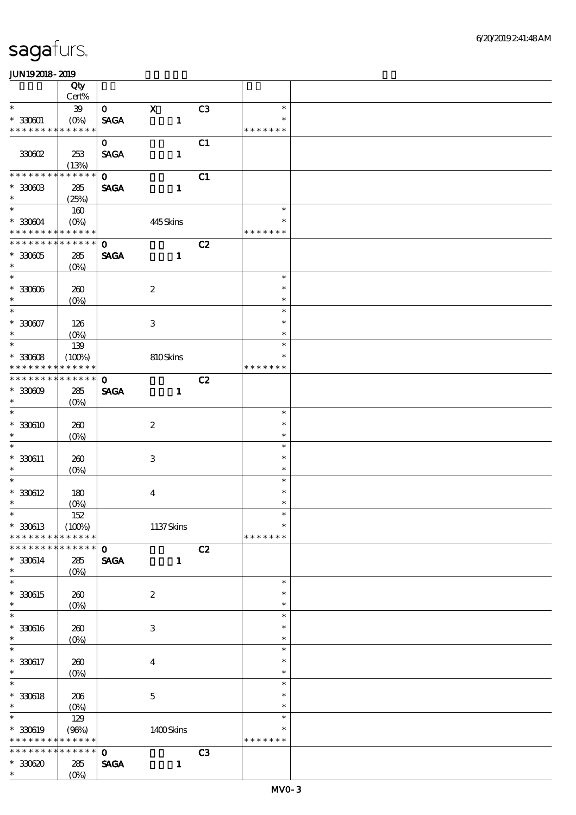|                               | Qty<br>Cert%           |              |                           |    |               |  |
|-------------------------------|------------------------|--------------|---------------------------|----|---------------|--|
| $\ast$                        |                        |              | $\mathbf X$               |    | $\ast$        |  |
|                               | ${\bf 39}$             | $\mathbf{O}$ |                           | C3 | $\ast$        |  |
| $* 330001$<br>* * * * * * * * | $(O_0)$<br>* * * * * * | <b>SAGA</b>  | $\mathbf{1}$              |    | * * * * * * * |  |
|                               |                        |              |                           |    |               |  |
|                               |                        | $\mathbf{O}$ |                           | C1 |               |  |
| 330602                        | 253                    | <b>SAGA</b>  | $\mathbf{1}$              |    |               |  |
|                               | (13%)                  |              |                           |    |               |  |
| * * * * * * * *               | $******$               | $\mathbf{o}$ |                           | C1 |               |  |
| $*33060B$                     | 285                    | <b>SAGA</b>  | $\mathbf{1}$              |    |               |  |
| $\ast$                        | (25%)                  |              |                           |    |               |  |
| $\ast$                        | 160                    |              |                           |    | $\ast$        |  |
| $* 33004$                     | $(O\%)$                |              | 445Skins                  |    | $\ast$        |  |
| * * * * * * * *               | * * * * * *            |              |                           |    | * * * * * * * |  |
| * * * * * * * * * * * * * *   |                        | $\mathbf 0$  |                           | C2 |               |  |
| $^\ast$ 330605                | 285                    | <b>SAGA</b>  | $\mathbf{1}$              |    |               |  |
| $\ast$                        | $(O\%)$                |              |                           |    |               |  |
| $\overline{\phantom{0}}$      |                        |              |                           |    | $\ast$        |  |
| $^\ast$ 330606                | 260                    |              | $\boldsymbol{2}$          |    | $\ast$        |  |
| $\ast$                        |                        |              |                           |    | $\ast$        |  |
| $\ast$                        | $(O\!/\!o)$            |              |                           |    | $\ast$        |  |
|                               |                        |              |                           |    |               |  |
| $^\ast$ 330607                | 126                    |              | $\ensuremath{\mathsf{3}}$ |    | $\ast$        |  |
| $\ast$                        | $(O\%)$                |              |                           |    | $\ast$        |  |
| $\overline{\phantom{0}}$      | 139                    |              |                           |    | $\ast$        |  |
| $*30008$                      | (100%)                 |              | 810Skins                  |    | $\ast$        |  |
| * * * * * * *                 | * * * * * *            |              |                           |    | * * * * * * * |  |
| * * * * * * *                 | * * * * * *            | $\mathbf{o}$ |                           | C2 |               |  |
| $*30009$                      | 285                    | <b>SAGA</b>  | $\mathbf{1}$              |    |               |  |
| $\ast$                        | $(O\%)$                |              |                           |    |               |  |
| $\ast$                        |                        |              |                           |    | $\ast$        |  |
| $*330610$                     | 260                    |              | $\boldsymbol{2}$          |    | $\ast$        |  |
| $\ast$                        | $(O\%)$                |              |                           |    | $\ast$        |  |
| $\ast$                        |                        |              |                           |    | $\ast$        |  |
| $*330611$                     |                        |              |                           |    | $\ast$        |  |
| $\ast$                        | 260                    |              | $\,3\,$                   |    | $\ast$        |  |
| $\ast$                        | $(O\%)$                |              |                           |    | $\ast$        |  |
|                               |                        |              |                           |    |               |  |
| $* 330612$                    | 180                    |              | $\bf{4}$                  |    | $\ast$        |  |
| $\ast$                        | $(O\!/\!o)$            |              |                           |    | $\ast$        |  |
| $\ast$                        | 152                    |              |                           |    | $\ast$        |  |
| $*$ 330613                    | (100%)                 |              | 1137Skins                 |    | $\ast$        |  |
| * * * * * * * *               | * * * * * *            |              |                           |    | * * * * * * * |  |
| * * * * * * *                 | * * * * * *            | $\mathbf 0$  |                           | C2 |               |  |
| $* 330614$                    | 285                    | <b>SAGA</b>  | $\mathbf{1}$              |    |               |  |
| $\ast$                        | (O <sub>0</sub> )      |              |                           |    |               |  |
| $\ast$                        |                        |              |                           |    | $\ast$        |  |
| $* 330615$                    | 260                    |              | $\boldsymbol{2}$          |    | $\ast$        |  |
| $\ast$                        | $(O\!/\!o)$            |              |                           |    | $\ast$        |  |
| $\ast$                        |                        |              |                           |    | $\ast$        |  |
| $* 330616$                    | 200                    |              | $\,3\,$                   |    | $\ast$        |  |
| $\ast$                        | $(0\%)$                |              |                           |    | $\ast$        |  |
| $\ast$                        |                        |              |                           |    | $\ast$        |  |
|                               |                        |              |                           |    | $\ast$        |  |
| $* 330617$                    | 260                    |              | $\boldsymbol{4}$          |    |               |  |
| $\ast$<br>$\overline{\ast}$   | $(O\%)$                |              |                           |    | $\ast$        |  |
|                               |                        |              |                           |    | $\ast$        |  |
| $*$ 330618                    | 206                    |              | $\mathbf 5$               |    | $\ast$        |  |
| $\ast$                        | $(O\!/\!o)$            |              |                           |    | $\ast$        |  |
| $\ast$                        | 129                    |              |                           |    | $\ast$        |  |
| $* 330619$                    | (96%)                  |              | 1400Skins                 |    | $\ast$        |  |
| * * * * * * * *               | * * * * * *            |              |                           |    | * * * * * * * |  |
| * * * * * * * *               | * * * * * *            | $\mathbf 0$  |                           | C3 |               |  |
| $^\ast$ 330620                | 285                    | <b>SAGA</b>  | $\mathbf{1}$              |    |               |  |
| $\ast$                        | $(O\%)$                |              |                           |    |               |  |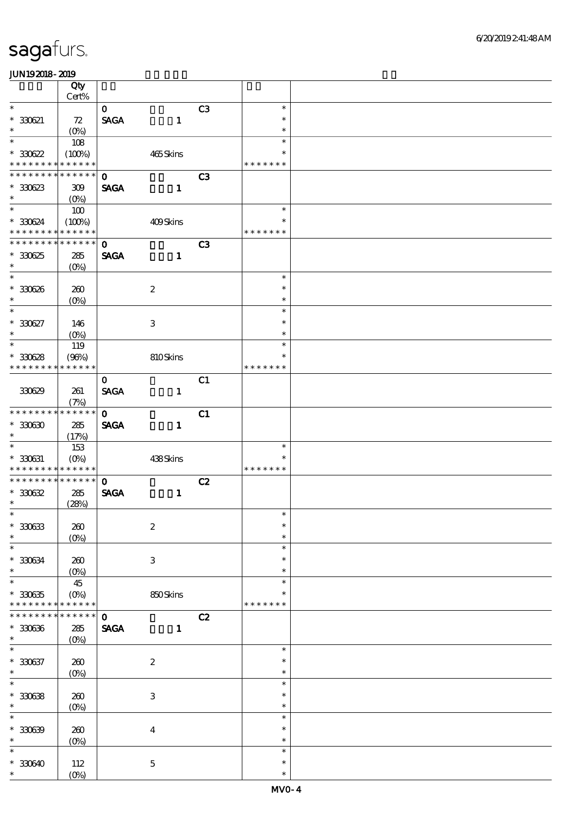|                                            | Qty<br>Cert% |              |                  |                |               |  |
|--------------------------------------------|--------------|--------------|------------------|----------------|---------------|--|
| $\ast$                                     |              |              |                  |                | $\ast$        |  |
|                                            |              | $\mathbf{O}$ |                  | C3             |               |  |
| $*30021$                                   | 72           | <b>SAGA</b>  | $\mathbf{1}$     |                | $\ast$        |  |
| $\ast$                                     | $(O\%)$      |              |                  |                | $\ast$        |  |
| $\ast$                                     | 108          |              |                  |                | $\ast$        |  |
| $*30622$                                   | (100%)       |              | 465Skins         |                | $\ast$        |  |
| * * * * * * * *                            | * * * * * *  |              |                  |                | * * * * * * * |  |
| * * * * * * * * * * * * * *                |              | $\mathbf 0$  |                  | C <sub>3</sub> |               |  |
| $*30623$                                   | 309          | <b>SAGA</b>  | $\mathbf{1}$     |                |               |  |
| $\ast$                                     | $(O\% )$     |              |                  |                |               |  |
| $\overline{\ast}$                          | 100          |              |                  |                | $\ast$        |  |
|                                            |              |              |                  |                | $\ast$        |  |
| $*30624$<br>* * * * * * * * * * * * * *    | (100%)       |              | 409Skins         |                | * * * * * * * |  |
|                                            |              |              |                  |                |               |  |
| * * * * * * * * * * * * * *                |              | $\mathbf 0$  |                  | C <sub>3</sub> |               |  |
| $*30625$                                   | 285          | <b>SAGA</b>  | $\mathbf{1}$     |                |               |  |
| $\ast$                                     | $(O\%)$      |              |                  |                |               |  |
| $\overline{\ast}$                          |              |              |                  |                | $\ast$        |  |
| $* 330626$                                 | 260          |              | $\boldsymbol{2}$ |                | $\ast$        |  |
| $\ast$                                     | $(O\!/\!o)$  |              |                  |                | $\ast$        |  |
| $\ast$                                     |              |              |                  |                | $\ast$        |  |
|                                            |              |              |                  |                | $\ast$        |  |
| $* 330627$                                 | 146          |              | 3                |                |               |  |
| $\ast$<br>$\overline{\ast}$                | $(O_0)$      |              |                  |                | $\ast$        |  |
|                                            | 119          |              |                  |                | $\ast$        |  |
| $*30628$                                   | (96%)        |              | 810Skins         |                | $\ast$        |  |
| * * * * * * * *                            | * * * * * *  |              |                  |                | * * * * * * * |  |
|                                            |              | $\mathbf{O}$ |                  | C1             |               |  |
| 330629                                     | 261          | <b>SAGA</b>  | $\mathbf{1}$     |                |               |  |
|                                            | (7%)         |              |                  |                |               |  |
| * * * * * * * * * * * * * *                |              | $\mathbf{0}$ |                  | C1             |               |  |
|                                            |              |              |                  |                |               |  |
| $*30630$                                   | 285          | <b>SAGA</b>  | $\mathbf{1}$     |                |               |  |
| $\ast$                                     | (17%)        |              |                  |                |               |  |
| $\ast$                                     | 153          |              |                  |                | $\ast$        |  |
| $* 330631$                                 | $(O\%)$      |              | 438Skins         |                | $\ast$        |  |
| * * * * * * * * <mark>* * * * * * *</mark> |              |              |                  |                | * * * * * * * |  |
| * * * * * * * * * * * * * * *              |              | $\mathbf{o}$ |                  | C2             |               |  |
| $* 30632$                                  | 285          | <b>SAGA</b>  | $\mathbf{1}$     |                |               |  |
| $*$                                        | (28%)        |              |                  |                |               |  |
| $*$                                        |              |              |                  |                | $\ast$        |  |
| $*30633$                                   | 260          |              | $\boldsymbol{2}$ |                | $\ast$        |  |
| $\ast$                                     |              |              |                  |                | $\ast$        |  |
|                                            | $(0\%)$      |              |                  |                |               |  |
| $\ast$                                     |              |              |                  |                | $\ast$        |  |
| $* 330634$                                 | 260          |              | $\,3$            |                | $\ast$        |  |
| $\ast$                                     | $(O\%)$      |              |                  |                | $\ast$        |  |
| $\ast$                                     | 45           |              |                  |                | $\ast$        |  |
| $*30635$                                   | $(O\%)$      |              | 850Skins         |                |               |  |
| * * * * * * * *                            | * * * * * *  |              |                  |                | * * * * * * * |  |
| * * * * * * *                              | * * * * * *  | $\mathbf 0$  |                  | C2             |               |  |
| $*30636$                                   | ${\bf 285}$  | <b>SAGA</b>  | $\mathbf{1}$     |                |               |  |
| $\ast$                                     |              |              |                  |                |               |  |
| $\ast$                                     | $(O\%)$      |              |                  |                | $\ast$        |  |
|                                            |              |              |                  |                |               |  |
| $* 330637$                                 | 260          |              | $\boldsymbol{2}$ |                | $\ast$        |  |
| $\ast$                                     | $(0\%)$      |              |                  |                | $\ast$        |  |
| $\ast$                                     |              |              |                  |                | $\ast$        |  |
| $*30638$                                   | 260          |              | $\,3$            |                | $\ast$        |  |
| $\ast$                                     | $(O\!/\!o)$  |              |                  |                | $\ast$        |  |
| $\ast$                                     |              |              |                  |                | $\ast$        |  |
| $* 30699$                                  | 260          |              | $\boldsymbol{4}$ |                | $\ast$        |  |
| $\ast$                                     |              |              |                  |                | $\ast$        |  |
| $\ast$                                     | $(0\%)$      |              |                  |                | $\ast$        |  |
|                                            |              |              |                  |                |               |  |
| $*30640$                                   | 112          |              | $\mathbf{5}$     |                | $\ast$        |  |
| $\ast$                                     | $(0\%)$      |              |                  |                | $\ast$        |  |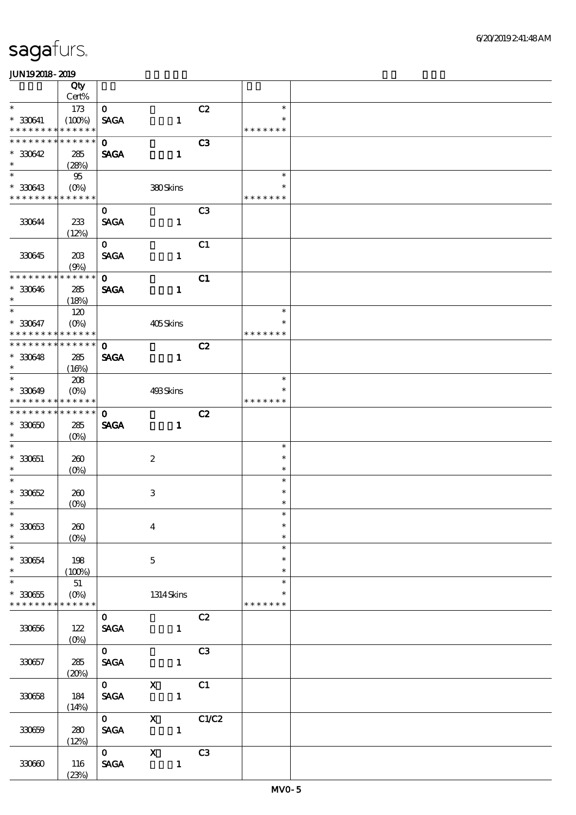|                                    | Qty                             |                             |                             |                |                         |  |
|------------------------------------|---------------------------------|-----------------------------|-----------------------------|----------------|-------------------------|--|
| $\ast$                             | Cert%                           | $\mathbf{O}$                |                             | C2             | $\ast$                  |  |
| $* 330641$                         | 173<br>(100%)                   | <b>SAGA</b>                 | $\mathbf{1}$                |                | $\ast$                  |  |
| * * * * * * * *                    | * * * * * *                     |                             |                             |                | * * * * * * *           |  |
| * * * * * * *                      | * * * * * *                     | $\mathbf{O}$                |                             | C3             |                         |  |
| $*30642$                           | 285                             | <b>SAGA</b>                 | $\mathbf{1}$                |                |                         |  |
| $\ast$                             | (28%)                           |                             |                             |                |                         |  |
| $\ast$                             | 95                              |                             |                             |                | $\ast$                  |  |
| $*330643$<br>* * * * * * * *       | * * * * * *                     |                             | 380Skins                    |                | $\ast$<br>* * * * * * * |  |
|                                    |                                 |                             |                             | C3             |                         |  |
| 330644                             | 233                             | $\mathbf{O}$<br><b>SAGA</b> | $\mathbf{1}$                |                |                         |  |
|                                    | (12%)                           |                             |                             |                |                         |  |
|                                    |                                 | $\mathbf{0}$                |                             | C1             |                         |  |
| 330645                             | 20B                             | <b>SAGA</b>                 | $\mathbf{1}$                |                |                         |  |
|                                    | (9%)                            |                             |                             |                |                         |  |
| * * * * * * * *                    | * * * * * *                     | $\mathbf{0}$                |                             | C1             |                         |  |
| $* 330646$<br>$\ast$               | $285\,$                         | <b>SAGA</b>                 | $\mathbf{1}$                |                |                         |  |
| $\ast$                             | (18%)<br>120                    |                             |                             |                | $\ast$                  |  |
| $* 330647$                         | $(O\!\!\!\!\!\!\backslash\rho)$ |                             | 405Skins                    |                | $\ast$                  |  |
| * * * * * * * *                    | * * * * * *                     |                             |                             |                | * * * * * * *           |  |
| * * * * * * *                      | * * * * * *                     | $\mathbf{O}$                |                             | C2             |                         |  |
| $* 330648$                         | 285                             | <b>SAGA</b>                 | $\mathbf{1}$                |                |                         |  |
| $\ast$                             | (16%)                           |                             |                             |                |                         |  |
| $\ast$                             | 208                             |                             |                             |                | $\ast$<br>$\ast$        |  |
| $*30649$<br>* * * * * * *          | $(O\%)$<br>* * * * * *          |                             | 493Skins                    |                | * * * * * * *           |  |
| * * * * * * * *                    | * * * * * *                     | $\mathbf{o}$                |                             | C2             |                         |  |
| $*3060$                            | 285                             | <b>SAGA</b>                 | $\mathbf{1}$                |                |                         |  |
| $\ast$                             | $(O\%)$                         |                             |                             |                |                         |  |
| $\ast$                             |                                 |                             |                             |                | $\ast$                  |  |
| $* 330651$                         | 260                             |                             | $\boldsymbol{2}$            |                | $\ast$                  |  |
| $\ast$<br>$\ast$                   | $(O\%)$                         |                             |                             |                | $\ast$                  |  |
| $*3062$                            |                                 |                             |                             |                | $\ast$<br>$\ast$        |  |
| $\ast$                             | 260<br>$(O\%)$                  |                             | $\ensuremath{\mathbf{3}}$   |                | $\ast$                  |  |
| $*$                                |                                 |                             |                             |                | $\ast$                  |  |
| $* 30053$                          | 260                             |                             | $\boldsymbol{4}$            |                | $\ast$                  |  |
| $\ast$                             | $(0\%)$                         |                             |                             |                | $\ast$                  |  |
| $\ast$                             |                                 |                             |                             |                | $\ast$                  |  |
| $* 330654$                         | 198                             |                             | $\mathbf{5}$                |                | $\ast$                  |  |
| $\ast$<br>$\overline{\phantom{0}}$ | (100%)<br>51                    |                             |                             |                | $\ast$<br>$\ast$        |  |
| $^\ast$ 330655                     | $(0\%)$                         |                             | 1314 Skins                  |                | $\ast$                  |  |
| * * * * * * * *                    | * * * * * *                     |                             |                             |                | * * * * * * *           |  |
|                                    |                                 | $\mathbf{O}$                |                             | C2             |                         |  |
| 330656                             | 122                             | <b>SAGA</b>                 | $\mathbf{1}$                |                |                         |  |
|                                    | $(O\!\!\!\!\!\!\backslash\rho)$ |                             |                             |                |                         |  |
|                                    |                                 | $\mathbf{O}$                |                             | C3             |                         |  |
| 330657                             | 285                             | <b>SAGA</b>                 | $\mathbf{1}$                |                |                         |  |
|                                    | (20%)                           | $\mathbf{O}$                | $\mathbf X$                 | C1             |                         |  |
| 330658                             | 184                             | <b>SAGA</b>                 | $\mathbf{1}$                |                |                         |  |
|                                    | (14%)                           |                             |                             |                |                         |  |
|                                    |                                 | $\mathbf{O}$                | $\mathbf{X}$                | $C1$ $C2$      |                         |  |
| 330659                             | 280                             | <b>SAGA</b>                 | $\mathbf{1}$                |                |                         |  |
|                                    | (12%)                           |                             |                             |                |                         |  |
| 330600                             | 116                             | $\mathbf{O}$<br><b>SAGA</b> | $\mathbf X$<br>$\mathbf{1}$ | C <sub>3</sub> |                         |  |
|                                    | (23%)                           |                             |                             |                |                         |  |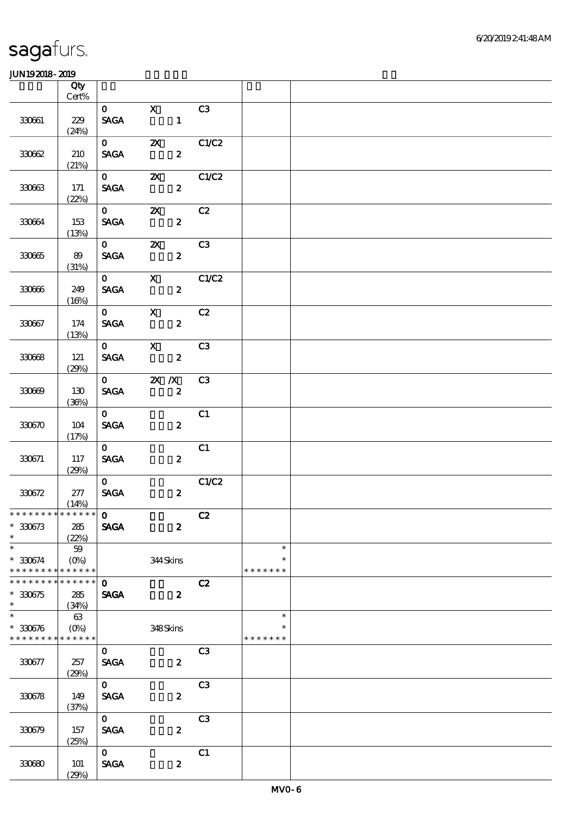|                               | Qty<br>$Cert\%$            |                                                         |                                                             |                   |                         |  |
|-------------------------------|----------------------------|---------------------------------------------------------|-------------------------------------------------------------|-------------------|-------------------------|--|
|                               |                            |                                                         |                                                             |                   |                         |  |
| 330661                        | 229                        | $\mathbf{O}$<br><b>SAGA</b>                             | $\overline{\mathbf{X}}$                                     | C3                |                         |  |
|                               | (24%)                      |                                                         |                                                             |                   |                         |  |
| 330622                        | 210                        | $\mathbf{O}$<br><b>SAGA</b>                             | $\overline{\text{C1} \text{C2}}$<br>$\boldsymbol{z}$        |                   |                         |  |
|                               | (21%)                      |                                                         |                                                             |                   |                         |  |
| 330663                        | 171                        | $\mathbf{O}$<br>$\operatorname{\mathbf{SAGA}}$          | $\mathbf{x}$<br>$\mathbf{z}$                                | C1/C2             |                         |  |
|                               | (22%)                      |                                                         |                                                             |                   |                         |  |
| 330664                        | 153                        | $\overline{\mathbf{0}}$<br>$\ensuremath{\mathsf{SAGA}}$ | $Z\!X$<br>$\boldsymbol{z}$                                  | C2                |                         |  |
|                               | (13%)                      |                                                         |                                                             |                   |                         |  |
| 330665                        | 89<br>(31%)                | $\mathbf{O}$<br><b>SAGA</b>                             | $\mathbf{X}$<br>$\boldsymbol{2}$                            | C3                |                         |  |
|                               |                            | $\mathbf{O}$                                            | $\mathbf{X}$                                                | C1/C2             |                         |  |
| 330666                        | 249<br>(16%)               | <b>SAGA</b>                                             | $\mathbf{2}$                                                |                   |                         |  |
|                               |                            | $\mathbf{O}$                                            | $\mathbf{X}$                                                | C2                |                         |  |
| 330667                        | 174<br>(13%)               | <b>SAGA</b>                                             | $\overline{\mathbf{z}}$                                     |                   |                         |  |
|                               |                            | $\mathbf{O}$                                            | $\mathbf{X}$                                                | C <sub>3</sub>    |                         |  |
| 330668                        | 121<br>(29%)               | <b>SAGA</b>                                             | $\overline{\mathbf{2}}$                                     |                   |                         |  |
|                               |                            |                                                         | $\overline{0}$ $\overline{z}$ $\overline{z}$ $\overline{z}$ | C3                |                         |  |
| 330669                        | 130<br>(36%)               | <b>SAGA</b>                                             | $\overline{\mathbf{z}}$                                     |                   |                         |  |
|                               |                            | $\mathbf{O}$                                            |                                                             | C1                |                         |  |
| 330670                        | 104<br>(17%)               | <b>SAGA</b>                                             | $\boldsymbol{z}$                                            |                   |                         |  |
|                               |                            | $\mathbf{O}$                                            |                                                             | C1                |                         |  |
| 330671                        | 117<br>(29%)               | <b>SAGA</b>                                             | $\mathbf{2}$                                                |                   |                         |  |
|                               |                            | $\mathbf{O}$                                            |                                                             | $\overline{C1}C2$ |                         |  |
| $330672\,$                    | 277<br>(14%)               | <b>SAGA</b>                                             | $\mathbf{z}$                                                |                   |                         |  |
| *************** 0             |                            |                                                         | C2                                                          |                   |                         |  |
| $* 330673$                    |                            |                                                         |                                                             |                   |                         |  |
| $\ast$<br>$\ast$              | 285<br>(22%)               | <b>SAGA</b>                                             | $\boldsymbol{z}$                                            |                   | $\ast$                  |  |
|                               | $59$                       |                                                         |                                                             |                   |                         |  |
| $* 330674$<br>* * * * * * * * | $(O\%)$<br>* * * * * *     |                                                         | 344Skins                                                    |                   | $\ast$<br>* * * * * * * |  |
| * * * * * * * *               | * * * * * *                | $\mathbf{o}$                                            |                                                             | C2                |                         |  |
| $* 330675$<br>$\ast$          | 285<br>(34%)               | <b>SAGA</b>                                             | $\mathbf{2}$                                                |                   |                         |  |
| $\ast$                        | 63                         |                                                         |                                                             |                   | $\ast$                  |  |
| $* 330676$<br>* * * * * * * * | $(O\%)$<br>$* * * * * * *$ |                                                         | 348Skins                                                    |                   | $\ast$<br>* * * * * * * |  |
|                               |                            | $\mathbf{O}$                                            |                                                             | C <sub>3</sub>    |                         |  |
| 330677                        | 257<br>(29%)               | <b>SAGA</b>                                             | $\boldsymbol{z}$                                            |                   |                         |  |
|                               |                            | $\mathbf{O}$                                            |                                                             | C <sub>3</sub>    |                         |  |
| 330678                        | 149<br>(37%)               | <b>SAGA</b>                                             | $\boldsymbol{z}$                                            |                   |                         |  |
|                               |                            | $\mathbf{O}$                                            |                                                             | C <sub>3</sub>    |                         |  |
| 330679                        | 157<br>(25%)               | <b>SAGA</b>                                             | $\boldsymbol{z}$                                            |                   |                         |  |
|                               |                            | $\mathbf{0}$                                            |                                                             | C1                |                         |  |
| 330680                        | 101<br>(29%)               | $\operatorname{\mathbf{SAGA}}$                          | $\pmb{2}$                                                   |                   |                         |  |
|                               |                            |                                                         |                                                             |                   |                         |  |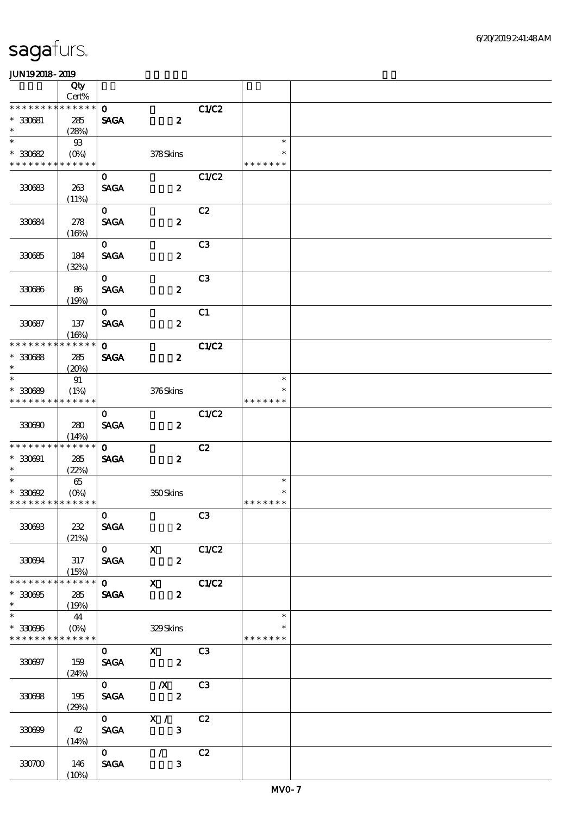|                                                   | Qty<br>Cert%                    |                               |                                                                   |                |                                   |  |
|---------------------------------------------------|---------------------------------|-------------------------------|-------------------------------------------------------------------|----------------|-----------------------------------|--|
| * * * * * * * *                                   | * * * * * *                     | $\mathbf{O}$                  |                                                                   |                |                                   |  |
| $* 330681$<br>$\ast$                              | 285<br>(28%)                    | <b>SAGA</b>                   | $\boldsymbol{z}$                                                  | C1/C2          |                                   |  |
| $\ast$                                            | $\mathfrak{B}$                  |                               |                                                                   |                | $\ast$                            |  |
| $^\ast$ 330682<br>* * * * * * * * * * * * * *     | $(O\!\!\!\!\!\!\backslash\rho)$ |                               | 378Skins                                                          |                | $\ast$<br>* * * * * * *           |  |
|                                                   |                                 | $\mathbf{O}$                  |                                                                   | C1/C2          |                                   |  |
| 330683                                            | 263<br>(11%)                    | <b>SAGA</b>                   | $\boldsymbol{z}$                                                  |                |                                   |  |
| 330684                                            | 278<br>(16%)                    | $\mathbf{O}$<br><b>SAGA</b>   | $\boldsymbol{z}$                                                  | C2             |                                   |  |
| 330685                                            | 184<br>(32%)                    | $\mathbf{O}$<br><b>SAGA</b>   | $\boldsymbol{z}$                                                  | C <sub>3</sub> |                                   |  |
| 330686                                            | 86<br>(19%)                     | $\mathbf{O}$<br><b>SAGA</b>   | $\boldsymbol{z}$                                                  | C <sub>3</sub> |                                   |  |
| 330687                                            | 137                             | $\mathbf{O}$<br><b>SAGA</b>   | $\boldsymbol{z}$                                                  | C1             |                                   |  |
| * * * * * * * * * * * * * *                       | (16%)                           |                               |                                                                   |                |                                   |  |
| $* 30088$<br>$\ast$                               | 285<br>(20%)                    | $\mathbf{O}$<br><b>SAGA</b>   | $\boldsymbol{z}$                                                  | C1/C2          |                                   |  |
| $\ast$                                            | 91                              |                               |                                                                   |                | $\ast$                            |  |
| $* 30089$<br>* * * * * * * * * * * * * *          | (1%)                            |                               | 376Skins                                                          |                | *<br>* * * * * * *                |  |
| 330690                                            | 280<br>(14%)                    | $\mathbf{O}$<br><b>SAGA</b>   | $\boldsymbol{z}$                                                  | C1/C2          |                                   |  |
| * * * * * * * *<br>$* 330001$<br>$*$              | * * * * * *<br>285<br>(22%)     | $\mathbf{o}$<br><b>SAGA</b>   | $\boldsymbol{z}$                                                  | C2             |                                   |  |
| $\ast$<br>$*30002$<br>* * * * * * * * * * * * * * | 65                              |                               | 350Skins                                                          |                | $\ast$<br>$\ast$<br>* * * * * * * |  |
| 330603                                            | 232<br>(21%)                    | $\mathbf{O}$<br><b>SAGA</b>   | $\boldsymbol{z}$                                                  | C3             |                                   |  |
| 330694                                            | 317<br>(15%)                    | <b>SAGA</b>                   | $\overline{0}$ X<br>$\mathbf{2}$                                  | C1/C2          |                                   |  |
| * * * * * * * *<br>$^\ast$ 330695<br>$\ast$       | ******<br>285<br>(19%)          |                               | $\overline{0}$ x $\overline{C1}C2$<br>$\mathbf{2}$<br><b>SAGA</b> |                |                                   |  |
| $* 330006$<br>* * * * * * * * * * * * * *         | 44<br>$(O\!\!\!\!\!\!\!/\,\!o)$ |                               | 329Skins                                                          |                | $\ast$<br>$\ast$<br>* * * * * * * |  |
| 330697                                            | 159<br>(24%)                    | $\mathbf{O}$<br><b>SAGA</b>   | $X$ C3<br>$\overline{\mathbf{z}}$                                 |                |                                   |  |
| 330698                                            | 195<br>(29%)                    | $\mathbf 0$<br><b>SAGA</b>    | $\frac{1}{\sqrt{1-\frac{1}{2}}}$                                  | C3             |                                   |  |
| 330699                                            | 42<br>(14%)                     | $\mathbf 0$<br><b>SAGA</b>    | X /<br>$\overline{\mathbf{3}}$                                    | C2             |                                   |  |
| 330700                                            | 146<br>(10%)                    | $\overline{0}$<br><b>SAGA</b> | $\mathcal{L}$<br>$\mathbf{3}$                                     | C2             |                                   |  |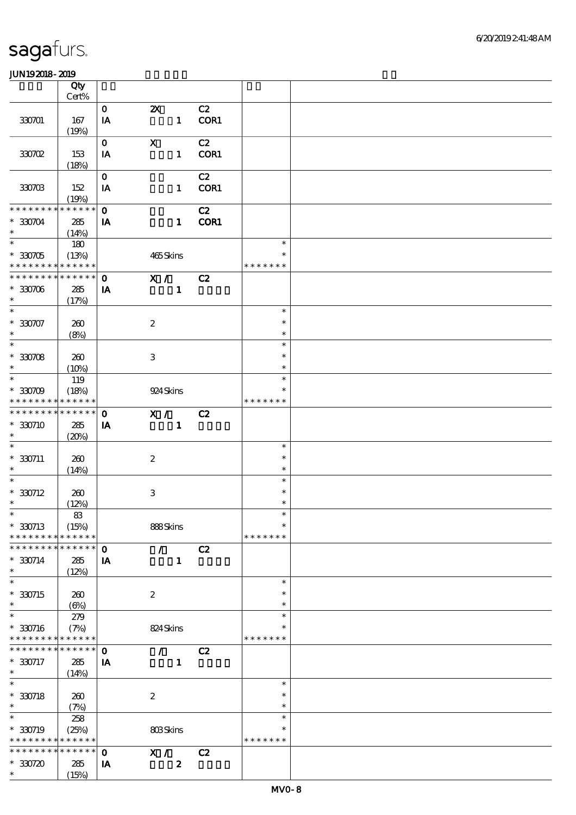|                                                            | Qty             |              |                           |                           |      |                  |  |
|------------------------------------------------------------|-----------------|--------------|---------------------------|---------------------------|------|------------------|--|
|                                                            | Cert%           |              |                           |                           |      |                  |  |
|                                                            |                 | $\mathbf{O}$ | $\boldsymbol{\mathsf{Z}}$ |                           | C2   |                  |  |
| 330701                                                     | 167             | IA           |                           | $\mathbf{1}$              | COR1 |                  |  |
|                                                            | (19%)           |              |                           |                           |      |                  |  |
|                                                            |                 | $\mathbf{O}$ | $\mathbf X$               |                           | C2   |                  |  |
| 330702                                                     | 153             | IA           |                           | $\mathbf{1}$              | COR1 |                  |  |
|                                                            | (18%)           |              |                           |                           |      |                  |  |
|                                                            |                 | $\mathbf 0$  |                           |                           | C2   |                  |  |
| 330703                                                     | 152             | IA           |                           | $\mathbf{1}$              | COR1 |                  |  |
| * * * * * * * *                                            | (19%)           |              |                           |                           |      |                  |  |
|                                                            | * * * * * *     | $\mathbf 0$  |                           |                           | C2   |                  |  |
| $*330704$<br>$\ast$                                        | 285             | IA           |                           | $\mathbf{1}$              | COR1 |                  |  |
| $\overline{\phantom{0}}$                                   | (14%)           |              |                           |                           |      | $\ast$           |  |
|                                                            | 180             |              |                           |                           |      |                  |  |
| $*30005$                                                   | (13%)           |              |                           | 465Skins                  |      | $\ast$           |  |
| * * * * * * * * * * * * * *<br>* * * * * * * * * * * * * * |                 |              |                           |                           |      | * * * * * * *    |  |
|                                                            |                 | $\mathbf 0$  |                           | $\overline{\mathbf{x}}$ / | C2   |                  |  |
| $*30706$<br>$\ast$                                         | 285             | IA           |                           | $\mathbf{1}$              |      |                  |  |
| $\ast$                                                     | (17%)           |              |                           |                           |      | $\ast$           |  |
|                                                            |                 |              |                           |                           |      | $\ast$           |  |
| $* 330707$<br>$\ast$                                       | 260             |              | $\boldsymbol{2}$          |                           |      | $\ast$           |  |
| $\overline{\ast}$                                          | (8%)            |              |                           |                           |      | $\ast$           |  |
|                                                            |                 |              |                           |                           |      |                  |  |
| $*30708$<br>$\ast$                                         | 260             |              | 3                         |                           |      | $\ast$<br>$\ast$ |  |
| $\ast$                                                     | (10%)           |              |                           |                           |      | $\ast$           |  |
|                                                            | 119             |              |                           |                           |      |                  |  |
| $*330709$<br>* * * * * * * * * * * * * *                   | (18%)           |              |                           | 924 Skins                 |      | * * * * * * *    |  |
| * * * * * * * * * * * * * *                                |                 |              |                           |                           |      |                  |  |
|                                                            |                 | $\mathbf 0$  |                           | X /                       | C2   |                  |  |
| * 330710<br>$\ast$                                         | 285             | IA           |                           | $\mathbf{1}$              |      |                  |  |
| $\ast$                                                     | (20%)           |              |                           |                           |      | $\ast$           |  |
|                                                            |                 |              |                           |                           |      | $\ast$           |  |
| $*330711$<br>$\ast$                                        | 260             |              | $\boldsymbol{2}$          |                           |      | $\ast$           |  |
| $\ast$                                                     | (14%)           |              |                           |                           |      | $\ast$           |  |
| $* 330712$                                                 |                 |              |                           |                           |      | $\ast$           |  |
| $\ast$                                                     | 260             |              | $\,3$                     |                           |      | $\ast$           |  |
| $\ast$                                                     | (12%)<br>$8\!3$ |              |                           |                           |      | $\ast$           |  |
| $*330713$                                                  | (15%)           |              |                           | 888Skins                  |      | $\ast$           |  |
| * * * * * * * *                                            | * * * * * *     |              |                           |                           |      | * * * * * * *    |  |
| * * * * * * *                                              | * * * * * *     | $\mathbf 0$  | $\mathcal{L}$             |                           | C2   |                  |  |
| $* 330714$                                                 | 285             | IA           |                           | $\mathbf{1}$              |      |                  |  |
| $\ast$                                                     | (12%)           |              |                           |                           |      |                  |  |
| $\ast$                                                     |                 |              |                           |                           |      | $\ast$           |  |
| $*330715$                                                  | 260             |              | $\boldsymbol{2}$          |                           |      | ∗                |  |
| $\ast$                                                     | $(\Theta)$      |              |                           |                           |      | $\ast$           |  |
| $\ast$                                                     | 279             |              |                           |                           |      | $\ast$           |  |
| $* 330716$                                                 | (7%)            |              |                           | 824Skins                  |      | ∗                |  |
| * * * * * * * * <mark>* * * * * *</mark> *                 |                 |              |                           |                           |      | * * * * * * *    |  |
| * * * * * * *                                              | * * * * * *     | $\mathbf{o}$ | $\mathcal{L}$             |                           | C2   |                  |  |
| * 330717                                                   | 285             | IA           |                           | $\mathbf{1}$              |      |                  |  |
| $\ast$                                                     | (14%)           |              |                           |                           |      |                  |  |
| $\ast$                                                     |                 |              |                           |                           |      | $\ast$           |  |
| $* 330718$                                                 | 260             |              | $\boldsymbol{2}$          |                           |      | $\ast$           |  |
| $\ast$                                                     | (7%)            |              |                           |                           |      | $\ast$           |  |
| $\ast$                                                     | 258             |              |                           |                           |      | $\ast$           |  |
| $*330719$                                                  | (25%)           |              |                           | 803Skins                  |      | $\ast$           |  |
| * * * * * * * * * * * * * *                                |                 |              |                           |                           |      | * * * * * * *    |  |
| * * * * * * *                                              | * * * * * *     | $\mathbf 0$  | X /                       |                           | C2   |                  |  |
| $*30720$                                                   | 285             | IA           |                           | $\boldsymbol{z}$          |      |                  |  |
| $\ast$                                                     | (15%)           |              |                           |                           |      |                  |  |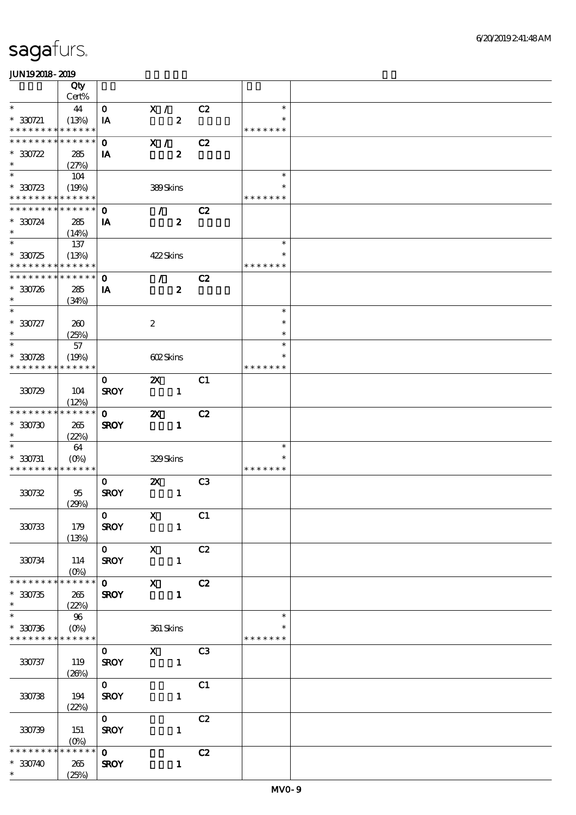|                             | Qty<br>Cert%               |                         |                             |                  |    |               |  |
|-----------------------------|----------------------------|-------------------------|-----------------------------|------------------|----|---------------|--|
| $\ast$                      |                            |                         |                             |                  |    | $\ast$        |  |
| $* 330721$                  | 44                         | $\mathbf 0$             | $\mathbf{X}$ /              | $\boldsymbol{z}$ | C2 |               |  |
| * * * * * * * * * * * * * * | (13%)                      | IA                      |                             |                  |    | * * * * * * * |  |
| * * * * * * * *             | * * * * * *                | $\mathbf 0$             | X /                         |                  | C2 |               |  |
| $*30722$                    | 285                        | IA                      |                             | $\boldsymbol{2}$ |    |               |  |
| $\ast$                      | (27%)                      |                         |                             |                  |    |               |  |
| $\ast$                      | 104                        |                         |                             |                  |    | $\ast$        |  |
| $*30723$                    | (19%)                      |                         | 389Skins                    |                  |    |               |  |
| * * * * * * * * * * * * * * |                            |                         |                             |                  |    | * * * * * * * |  |
| * * * * * * * *             | $\ast\ast\ast\ast\ast\ast$ | $\mathbf{o}$            | $\mathcal{F}^{\mathcal{F}}$ |                  | C2 |               |  |
| $*30724$                    | 285                        | IA                      |                             | $\boldsymbol{z}$ |    |               |  |
| $\ast$                      | (14%)                      |                         |                             |                  |    |               |  |
| $\overline{\ast}$           | 137                        |                         |                             |                  |    | $\ast$        |  |
| $*30725$                    | (13%)                      |                         | 422Skins                    |                  |    | $\ast$        |  |
| * * * * * * * * * * * * * * |                            |                         |                             |                  |    | * * * * * * * |  |
| * * * * * * * * * * * * * * |                            | $\mathbf 0$             | $\mathcal{L}$               |                  | C2 |               |  |
| $* 330726$                  | 285                        | IA                      |                             | $\boldsymbol{z}$ |    |               |  |
| $\ast$                      | (34%)                      |                         |                             |                  |    |               |  |
| $\ast$                      |                            |                         |                             |                  |    | $\ast$        |  |
| $* 330727$                  | 260                        |                         | $\boldsymbol{2}$            |                  |    | $\ast$        |  |
| $\ast$                      | (25%)                      |                         |                             |                  |    | $\ast$        |  |
| $\overline{\ast}$           | 57                         |                         |                             |                  |    | $\ast$        |  |
| $*30728$                    | (19%)                      |                         | 602Skins                    |                  |    | $\ast$        |  |
| * * * * * * * *             | * * * * * *                |                         |                             |                  |    | * * * * * * * |  |
|                             |                            | $\mathbf 0$             | $\boldsymbol{\mathsf{Z}}$   |                  | C1 |               |  |
| 330729                      | 104                        | <b>SROY</b>             |                             | $\mathbf{1}$     |    |               |  |
|                             | (12%)                      |                         |                             |                  |    |               |  |
| * * * * * * * *             | * * * * * *                | $\mathbf 0$             | $\boldsymbol{\mathsf{z}}$   |                  | C2 |               |  |
| $*30730$                    | 265                        | <b>SROY</b>             |                             | $\mathbf{1}$     |    |               |  |
| $\ast$                      | (22%)                      |                         |                             |                  |    |               |  |
| $\ast$                      | 64                         |                         |                             |                  |    | $\ast$        |  |
| $* 330731$                  | $(O\%)$                    |                         | 329Skins                    |                  |    |               |  |
| * * * * * * * * * * * * * * |                            |                         |                             |                  |    | * * * * * * * |  |
|                             |                            | $\mathbf{O}$            | $\boldsymbol{\mathsf{Z}}$   |                  | C3 |               |  |
| 330732                      | 95                         | <b>SROY</b>             |                             | $\mathbf{1}$     |    |               |  |
|                             | (29%)                      |                         |                             |                  |    |               |  |
|                             |                            | $\mathbf{O}$            | $X$ $C1$                    |                  |    |               |  |
| 330733                      | 179                        | <b>SROY</b>             |                             | $\mathbf{1}$     |    |               |  |
|                             | (13%)                      |                         |                             |                  |    |               |  |
|                             |                            | $\overline{\mathbf{0}}$ | $\mathbf{X}$                |                  | C2 |               |  |
| 330734                      | 114                        | <b>SROY</b>             |                             | $\mathbf{1}$     |    |               |  |
|                             | $(0\%)$                    |                         |                             |                  |    |               |  |
| * * * * * * * *             | $******$                   | $\overline{\mathbf{O}}$ | $\mathbf{x}$                |                  | C2 |               |  |
| $* 30735$                   | 265                        | <b>SROY</b>             |                             | $\mathbf{1}$     |    |               |  |
| $\ast$                      | (22%)                      |                         |                             |                  |    |               |  |
| $\ast$                      | 96                         |                         |                             |                  |    | $\ast$        |  |
| $* 330736$                  | $(O\!/\!o)$                |                         | 361 Skins                   |                  |    |               |  |
| * * * * * * * * * * * * * * |                            |                         |                             |                  |    | * * * * * * * |  |
|                             |                            | $\mathbf{O}$            | $X$ C3                      |                  |    |               |  |
| 330737                      | 119                        | <b>SROY</b>             |                             | $\blacksquare$   |    |               |  |
|                             | (20%)                      |                         |                             |                  |    |               |  |
|                             |                            | $\mathbf{O}$            |                             |                  | C1 |               |  |
| 330738                      | 194                        | <b>SROY</b>             |                             | $\mathbf{1}$     |    |               |  |
|                             | (22%)                      |                         |                             |                  |    |               |  |
|                             |                            | $\mathbf{O}$            |                             |                  | C2 |               |  |
| 330739                      | 151                        | <b>SROY</b>             |                             | $\mathbf{1}$     |    |               |  |
| * * * * * * *               | $(0\%)$<br>* * * * * *     | $\mathbf{o}$            |                             |                  | C2 |               |  |
| $* 330740$                  | 265                        | <b>SROY</b>             |                             | $\mathbf{1}$     |    |               |  |
| $\ast$                      | (25%)                      |                         |                             |                  |    |               |  |
|                             |                            |                         |                             |                  |    |               |  |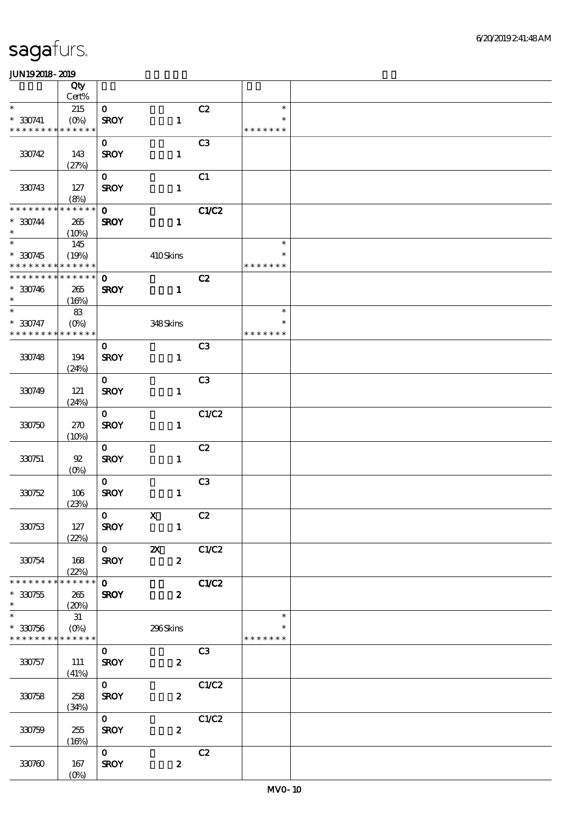|                                                         | Qty                                      |                         |                       |                |                         |  |
|---------------------------------------------------------|------------------------------------------|-------------------------|-----------------------|----------------|-------------------------|--|
| $\ast$                                                  | $Cert\%$<br>215                          | $\mathbf{o}$            |                       | C2             | $\ast$                  |  |
| $* 330741$<br>* * * * * * * * * * * * * *               | $(0\%)$                                  | <b>SROY</b>             | $\mathbf{1}$          |                | $\ast$<br>* * * * * * * |  |
|                                                         |                                          | $\mathbf{O}$            |                       | C <sub>3</sub> |                         |  |
| 330742                                                  | 143<br>(27%)                             | <b>SROY</b>             | $\mathbf{1}$          |                |                         |  |
|                                                         |                                          | $\mathbf{o}$            |                       | C1             |                         |  |
| 330743                                                  | 127<br>(8%)                              | <b>SROY</b>             | $\mathbf{1}$          |                |                         |  |
| * * * * * * * *                                         | * * * * * *                              | $\mathbf 0$             |                       | C1/C2          |                         |  |
| $*30744$<br>$\ast$                                      | 265<br>(10%)                             | <b>SROY</b>             | $\mathbf{1}$          |                |                         |  |
| $\ast$                                                  | 145                                      |                         |                       |                | $\ast$                  |  |
| $*30745$<br>* * * * * * * * * * * * * *                 | (19%)                                    |                         | 410Skins              |                | ∗<br>* * * * * * *      |  |
| * * * * * * * * * * * * * *                             |                                          | $\mathbf 0$             |                       | C2             |                         |  |
| $* 330746$<br>$\ast$                                    | 265<br>(16%)                             | <b>SROY</b>             | $\mathbf{1}$          |                |                         |  |
| $\overline{\ast}$                                       | 83                                       |                         |                       |                | $\ast$                  |  |
| $* 330747$<br>* * * * * * * *                           | $(O\!\!\!\!\!\!\!/\,\!o)$<br>* * * * * * |                         | 348Skins              |                | $\ast$<br>* * * * * * * |  |
|                                                         |                                          | $\mathbf{O}$            |                       | C <sub>3</sub> |                         |  |
| 330748                                                  | 194<br>(24%)                             | <b>SROY</b>             | $\mathbf{1}$          |                |                         |  |
|                                                         |                                          | $\mathbf{O}$            |                       | C <sub>3</sub> |                         |  |
| 330749                                                  | 121<br>(24%)                             | <b>SROY</b>             | $\mathbf{1}$          |                |                         |  |
|                                                         |                                          | $\mathbf{O}$            |                       | C1/C2          |                         |  |
| 330750                                                  | 270<br>(10%)                             | <b>SROY</b>             | $\mathbf{1}$          |                |                         |  |
|                                                         |                                          | $\mathbf{O}$            |                       | C2             |                         |  |
| 330751                                                  | 92<br>$(O\%)$                            | <b>SROY</b>             | $\mathbf{1}$          |                |                         |  |
|                                                         |                                          | $\mathbf{O}$            |                       | C <sub>3</sub> |                         |  |
| 330752                                                  | $106$<br>(23%)                           | <b>SROY</b>             | $\mathbf{1}$          |                |                         |  |
|                                                         |                                          | $\mathbf{O}$            | $\mathbf{X}$          | C2             |                         |  |
| 330753                                                  | 127<br>(22%)                             | <b>SROY</b>             | $\mathbf{1}$          |                |                         |  |
|                                                         |                                          | $\overline{\mathbf{0}}$ | $\boldsymbol{\alpha}$ | C1/C2          |                         |  |
| 330754                                                  | 168<br>(22%)                             | <b>SROY</b>             | $\boldsymbol{2}$      |                |                         |  |
| * * * * * * * *                                         | * * * * * *<br>265                       | $\overline{\mathbf{o}}$ | $\boldsymbol{z}$      | C1/C2          |                         |  |
| $*30755$<br>$\ast$                                      | (20%)                                    | <b>SROY</b>             |                       |                |                         |  |
| $\ast$                                                  | $31\,$                                   |                         |                       |                | $\ast$                  |  |
| $*330756$<br>* * * * * * * * <mark>* * * * * * *</mark> | $(O\!\!\!\!\!\!\!/\,\!o)$                |                         | 296Skins              |                | $\ast$<br>* * * * * * * |  |
|                                                         |                                          | $\mathbf{O}$            |                       | C <sub>3</sub> |                         |  |
| 330757                                                  | 111<br>(41%)                             | <b>SROY</b>             | $\boldsymbol{z}$      |                |                         |  |
|                                                         |                                          | $\mathbf{O}$            |                       | C1/C2          |                         |  |
| 330758                                                  | 258<br>(34%)                             | <b>SROY</b>             | $\boldsymbol{z}$      |                |                         |  |
|                                                         |                                          | $\mathbf{O}$            |                       | C1/C2          |                         |  |
| 330759                                                  | 255<br>(16%)                             | <b>SROY</b>             | $\boldsymbol{z}$      |                |                         |  |
|                                                         |                                          | $\overline{0}$          |                       | C2             |                         |  |
| 330760                                                  | 167<br>(O <sub>0</sub> )                 | <b>SROY</b>             | $\boldsymbol{z}$      |                |                         |  |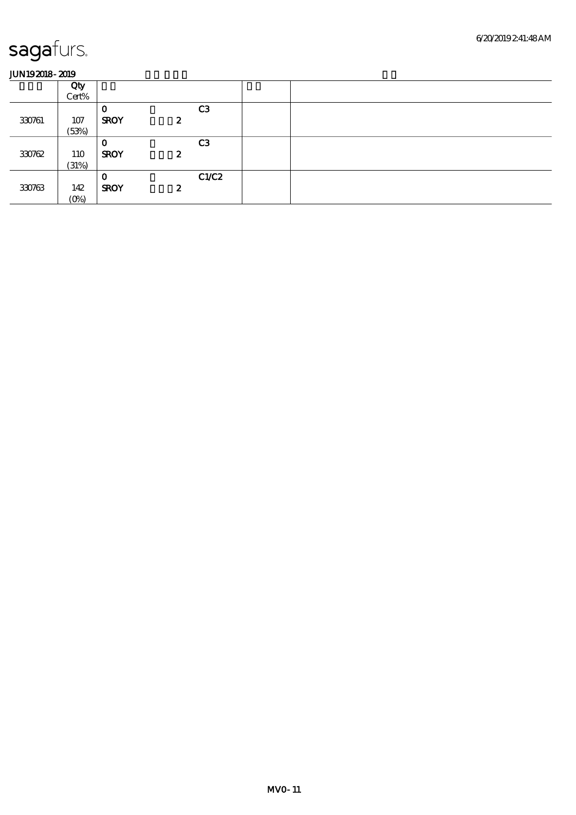|        | Qty        |             |                  |                |  |
|--------|------------|-------------|------------------|----------------|--|
|        | Cert%      |             |                  |                |  |
|        |            | O           |                  | C <sub>3</sub> |  |
| 330761 | 107        | <b>SROY</b> | $\boldsymbol{z}$ |                |  |
|        | (53%)      |             |                  |                |  |
|        |            | O           |                  | C <sub>3</sub> |  |
| 330762 | <b>110</b> | <b>SROY</b> | $\boldsymbol{z}$ |                |  |
|        | (31%)      |             |                  |                |  |
|        |            | O           |                  | C1/C2          |  |
| 330763 | 142        | <b>SROY</b> | $\boldsymbol{z}$ |                |  |
|        | $(0\%)$    |             |                  |                |  |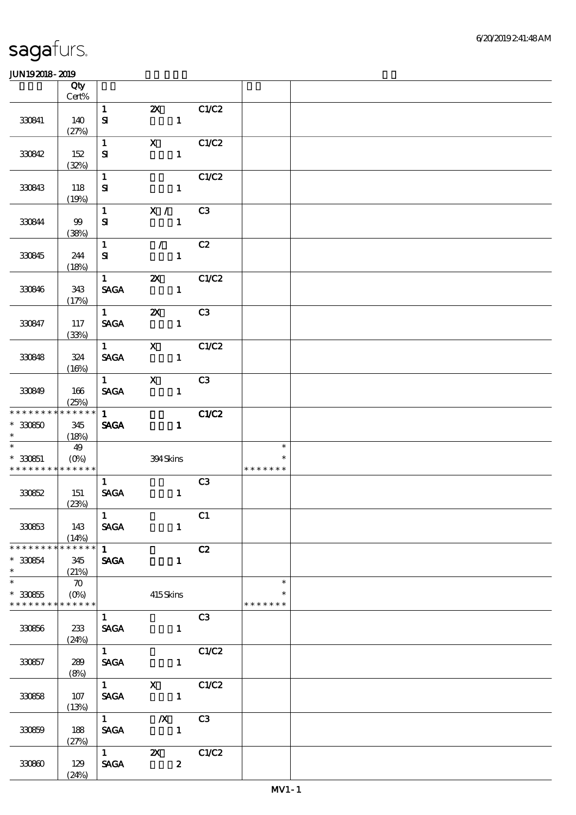|                             | Qty<br>Cert% |                           |                                           |                 |               |  |
|-----------------------------|--------------|---------------------------|-------------------------------------------|-----------------|---------------|--|
|                             |              |                           |                                           |                 |               |  |
| 330841                      | 140          | $\mathbf{1}$<br>${\bf s}$ | $\boldsymbol{\mathsf{Z}}$<br>$\mathbf{1}$ | C1/C2           |               |  |
|                             | (27%)        |                           |                                           |                 |               |  |
|                             |              | $\mathbf{1}$              | $\mathbf x$                               | C1/C2           |               |  |
| 330842                      | 152          | ${\bf s}$                 |                                           | $\mathbf{1}$    |               |  |
|                             | (32%)        |                           |                                           |                 |               |  |
|                             |              | $\mathbf{1}$              |                                           | C1/C2           |               |  |
| 330843                      | 118          | ${\bf s}$                 |                                           | $\mathbf{1}$    |               |  |
|                             | (19%)        |                           |                                           |                 |               |  |
|                             |              | $\mathbf{1}$              | X / C3                                    |                 |               |  |
| 330844                      | 99           | ${\bf s}$                 |                                           | $\mathbf{1}$    |               |  |
|                             | (38%)        |                           |                                           |                 |               |  |
|                             |              | $\mathbf{1}$              | $\mathcal{L}$                             | C2              |               |  |
| 330845                      | 244          | ${\bf s}$                 |                                           | $\mathbf{1}$    |               |  |
|                             | (18%)        |                           |                                           |                 |               |  |
|                             |              | $1 \quad \blacksquare$    | $\mathbf{X}$                              | C1/C2           |               |  |
| 330846                      | 343          | <b>SAGA</b>               |                                           | $\mathbf{1}$    |               |  |
|                             | (17%)        |                           |                                           |                 |               |  |
|                             |              | $1 \quad \Box$            | $Z\!X$                                    | C3              |               |  |
| 330847                      | 117          | <b>SAGA</b>               | $\mathbf{1}$                              |                 |               |  |
|                             | (33%)        |                           |                                           |                 |               |  |
|                             |              | $\overline{1}$            | $X$ $C1/C2$                               |                 |               |  |
| 330848                      | 324          | <b>SAGA</b>               |                                           | $\mathbf{1}$    |               |  |
|                             | (16%)        |                           |                                           |                 |               |  |
|                             |              |                           | $1$ $X$                                   | C3              |               |  |
| 330849                      | 166          | <b>SAGA</b>               |                                           | $\mathbf{1}$    |               |  |
|                             | (25%)        |                           |                                           |                 |               |  |
| * * * * * * * *             | * * * * * *  | $1 \quad$                 |                                           | C1/C2           |               |  |
| $^\ast$ 330850              | 345          | <b>SAGA</b>               | $\mathbf{1}$                              |                 |               |  |
| $\ast$                      | (18%)        |                           |                                           |                 |               |  |
| $\overline{\phantom{0}}$    | 49           |                           |                                           |                 | $\ast$        |  |
| $* 330651$                  | $(0\%)$      |                           | 394Skins                                  |                 | $\ast$        |  |
| * * * * * * * * * * * * * * |              |                           |                                           |                 | * * * * * * * |  |
|                             |              | $\mathbf{1}$              |                                           | C <sub>3</sub>  |               |  |
| 30852                       | 151          | <b>SAGA</b>               | $\mathbf{1}$                              |                 |               |  |
|                             | (23%)        |                           |                                           |                 |               |  |
|                             |              | $\vert 1 \vert$           |                                           | C1              |               |  |
| 330853                      | 143          | <b>SAGA</b>               |                                           |                 |               |  |
|                             | (14%)        |                           |                                           |                 |               |  |
| * * * * * * * *             | * * * * * *  | $1 \quad \blacksquare$    |                                           | C2              |               |  |
| $* 33064$                   | 345          |                           | <b>SAGA</b>                               | $\mathbf{1}$    |               |  |
| $\ast$                      | (21%)        |                           |                                           |                 |               |  |
|                             | $\infty$     |                           |                                           |                 | $\ast$        |  |
| $*330855$                   | $(O\% )$     |                           | 415Skins                                  |                 |               |  |
| * * * * * * * * * * * * * * |              |                           |                                           |                 | * * * * * * * |  |
|                             |              | $\mathbf{1}$              |                                           | C3              |               |  |
| 330856                      | 233          |                           | <b>SAGA</b>                               | $\mathbf{1}$    |               |  |
|                             | (24%)        |                           |                                           |                 |               |  |
|                             |              | $1 \quad \blacksquare$    |                                           | C1/C2           |               |  |
| 330857                      | 289          | <b>SAGA</b>               | $\mathbf{1}$                              |                 |               |  |
|                             | (8%)         |                           |                                           |                 |               |  |
|                             |              |                           | $\frac{1}{SAGA}$ X C1C2                   |                 |               |  |
| 330858                      | 107          |                           |                                           |                 |               |  |
|                             | (13%)        |                           |                                           |                 |               |  |
|                             |              |                           | $\overline{1}$ X                          | C3              |               |  |
| 330859                      | 188          | <b>SAGA</b>               | $\mathbf{1}$                              |                 |               |  |
|                             | (27%)        |                           |                                           |                 |               |  |
|                             |              | $\mathbf 1$               |                                           |                 |               |  |
|                             |              |                           |                                           | <b>2X</b> C1/C2 |               |  |
| 330860                      | 129          | <b>SAGA</b>               | $\boldsymbol{z}$                          |                 |               |  |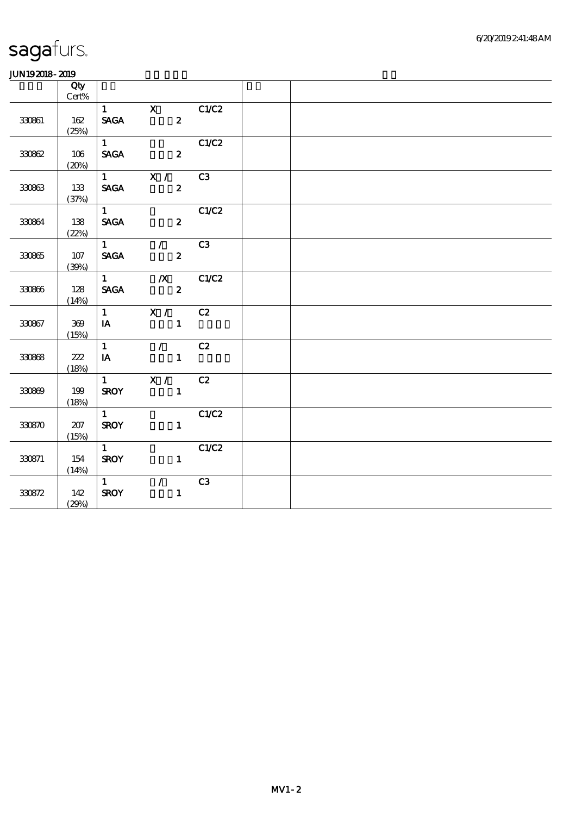| .      |              |                                                 |                             |       |  |  |  |
|--------|--------------|-------------------------------------------------|-----------------------------|-------|--|--|--|
|        | Qty<br>Cert% |                                                 |                             |       |  |  |  |
|        |              |                                                 | 1 X C1/C2                   |       |  |  |  |
| 330861 | 162          |                                                 | <b>SAGA</b><br>$\mathbf{2}$ |       |  |  |  |
|        | (25%)        |                                                 |                             |       |  |  |  |
|        |              | $1 \quad \blacksquare$                          |                             | C1/C2 |  |  |  |
| 30862  | 106          |                                                 | SAGA 2                      |       |  |  |  |
|        | (20%)        |                                                 |                             |       |  |  |  |
|        |              |                                                 | 1 $X / C3$                  |       |  |  |  |
| 330863 | 133          | <b>SAGA</b>                                     | $\mathbf{2}$                |       |  |  |  |
|        | (37%)        | $1 \quad \blacksquare$                          | C1/C2                       |       |  |  |  |
| 330864 | 138          | <b>SAGA</b>                                     | $\overline{\mathbf{z}}$     |       |  |  |  |
|        | (22%)        |                                                 |                             |       |  |  |  |
|        |              | $1 \quad \blacksquare$                          | $\mathcal{L}(\mathcal{L})$  | C3    |  |  |  |
| 330865 | 107          | <b>SAGA</b>                                     | $\mathbf{2}$                |       |  |  |  |
|        | (39%)        |                                                 |                             |       |  |  |  |
|        |              | $1 \quad \blacksquare$                          | $\overline{X}$ C1/C2        |       |  |  |  |
| 330866 | 128          | <b>SAGA</b>                                     | $\mathbf{2}$                |       |  |  |  |
|        | (14%)        |                                                 |                             |       |  |  |  |
| 330867 | 369          | $1 \qquad \qquad$<br>$I$ A                      | X / C2<br>$\sim$ $\sim$ 1   |       |  |  |  |
|        | (15%)        |                                                 |                             |       |  |  |  |
|        |              | 1                                               | $\mathcal{L} = \mathcal{L}$ | C2    |  |  |  |
| 330868 | 222          | $I$ A                                           |                             |       |  |  |  |
|        | (18%)        |                                                 |                             |       |  |  |  |
|        |              |                                                 | $1$ $X /$                   | C2    |  |  |  |
| 330869 | 199          | <b>SROY</b>                                     | $\mathbf{1}$                |       |  |  |  |
|        | (18%)        |                                                 |                             |       |  |  |  |
| 330870 | 207          | $1 \quad \overline{\phantom{1}}$<br><b>SROY</b> | $\mathbf{1}$                | C1/C2 |  |  |  |
|        | (15%)        |                                                 |                             |       |  |  |  |
|        |              | $1 \qquad \qquad$                               |                             | C1/C2 |  |  |  |
| 330871 | 154          | <b>SROY</b>                                     | $\mathbf{1}$                |       |  |  |  |
|        | (14%)        |                                                 |                             |       |  |  |  |
|        |              | $1 \quad \blacksquare$                          | $\mathcal{L} = \mathcal{L}$ | C3    |  |  |  |
| 330872 | 142          | <b>SROY</b>                                     | $\mathbf{1}$                |       |  |  |  |
|        | (29%)        |                                                 |                             |       |  |  |  |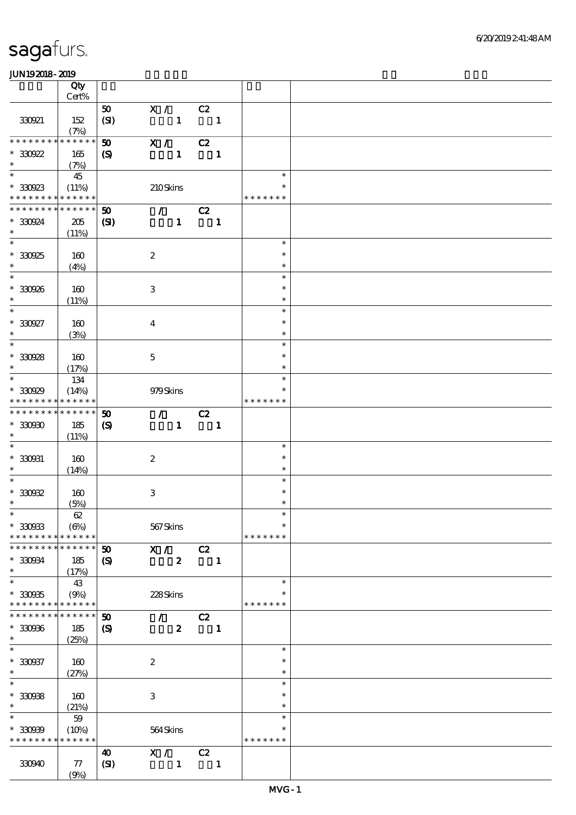|                                            | Qty<br>Cert% |                             |                                 |                            |                |               |  |
|--------------------------------------------|--------------|-----------------------------|---------------------------------|----------------------------|----------------|---------------|--|
|                                            |              |                             |                                 |                            |                |               |  |
| 330921                                     | 152<br>(7%)  | 50<br>(SI)                  | X / C2<br>$\mathbf{1}$          | $\blacksquare$             |                |               |  |
| * * * * * * *                              | * * * * * *  | 50                          | X /                             | C2                         |                |               |  |
| $*30022$                                   | 165          |                             | $\mathbf{1}$                    | $\overline{\phantom{a}}$   |                |               |  |
| $\ast$                                     | (7%)         | $\boldsymbol{S}$            |                                 |                            |                |               |  |
| $\ast$                                     | 45           |                             |                                 |                            |                | $\ast$        |  |
| $*30023$                                   | (11%)        |                             | 210Skins                        |                            |                | $\ast$        |  |
| * * * * * * * * <mark>* * * * * * *</mark> |              |                             |                                 |                            |                | * * * * * * * |  |
| * * * * * * * *                            | * * * * * *  | 50                          | $\sqrt{C^2}$                    |                            |                |               |  |
| $*30024$                                   | 205          | (S)                         | $\mathbf{1}$                    | $\overline{\phantom{a}}$   |                |               |  |
| $\ast$                                     | (11%)        |                             |                                 |                            |                |               |  |
| $\ast$                                     |              |                             |                                 |                            |                | $\ast$        |  |
| $*30925$                                   | 160          |                             | $\boldsymbol{2}$                |                            |                | $\ast$        |  |
| $\ast$                                     | (4%)         |                             |                                 |                            |                | $\ast$        |  |
| $\overline{\phantom{0}}$                   |              |                             |                                 |                            |                | $\ast$        |  |
| $*330926$                                  | 160          |                             | 3                               |                            |                | $\ast$        |  |
| $\ast$                                     | (11%)        |                             |                                 |                            |                | $\ast$        |  |
| $\overline{\phantom{0}}$                   |              |                             |                                 |                            |                | $\ast$        |  |
| $*330927$                                  | 160          |                             | $\overline{\mathbf{4}}$         |                            |                | $\ast$        |  |
| $\ast$                                     | (3%)         |                             |                                 |                            |                | $\ast$        |  |
| $\overline{\ast}$                          |              |                             |                                 |                            |                | $\ast$        |  |
| $*30928$                                   | 160          |                             | $\mathbf 5$                     |                            |                | $\ast$        |  |
| $\ast$                                     | (17%)        |                             |                                 |                            |                | $\ast$        |  |
| $\overline{\ast}$                          | 134          |                             |                                 |                            |                | $\ast$        |  |
| $*30029$                                   | (14%)        |                             | 979Skins                        |                            |                | $\ast$        |  |
| * * * * * * * *                            | * * * * * *  |                             |                                 |                            |                | * * * * * * * |  |
| * * * * * * * *                            | $******$     | 50                          | $\mathcal{L}$ and $\mathcal{L}$ | C2                         |                |               |  |
| $*3000$                                    | 185          | $\boldsymbol{S}$            | $\mathbf{1}$                    | $\overline{\phantom{a}}$ 1 |                |               |  |
| $\ast$                                     | (11%)        |                             |                                 |                            |                |               |  |
| $\ast$                                     |              |                             |                                 |                            |                | $\ast$        |  |
| $* 330031$                                 | 160          |                             | $\boldsymbol{2}$                |                            |                | $\ast$        |  |
| $\ast$                                     | (14%)        |                             |                                 |                            |                | $\ast$        |  |
| $\ast$                                     |              |                             |                                 |                            |                | $\ast$        |  |
| $*30002$                                   | 160          |                             | $\ensuremath{\mathbf{3}}$       |                            |                | $\ast$        |  |
| $\ast$                                     | (5%)         |                             |                                 |                            |                | $\ast$        |  |
| $*$                                        | 62           |                             |                                 |                            |                | $\ast$        |  |
| $*30033$                                   | (6%)         |                             | 567Skins                        |                            |                | $\ast$        |  |
| * * * * * * * *                            | * * * * * *  |                             |                                 |                            |                | * * * * * * * |  |
| * * * * * * * * * * * * * *                |              | $\boldsymbol{\mathfrak{D}}$ | X /                             | C2                         |                |               |  |
| $^\ast$ 330934                             | 185          | $\boldsymbol{\mathcal{S}}$  | $\boldsymbol{z}$                |                            | $\blacksquare$ |               |  |
| $\ast$                                     | (17%)        |                             |                                 |                            |                |               |  |
| $\ast$                                     | 43           |                             |                                 |                            |                | $\ast$        |  |
| $*30035$                                   | (9%)         |                             | 228Skins                        |                            |                | $\ast$        |  |
| * * * * * * * *                            | * * * * * *  |                             |                                 |                            |                | * * * * * * * |  |
| * * * * * * * *                            | * * * * * *  | 50                          | $\mathcal{L}$ and $\mathcal{L}$ | C2                         |                |               |  |
| $*30006$                                   | 185          | $\boldsymbol{S}$            | $\mathbf{z}$                    | $\blacksquare$             |                |               |  |
| $\ast$                                     | (25%)        |                             |                                 |                            |                |               |  |
| $\ast$                                     |              |                             |                                 |                            |                | $\ast$        |  |
| $*30037$                                   | 160          |                             | $\boldsymbol{2}$                |                            |                | $\ast$        |  |
| $\ast$                                     | (27%)        |                             |                                 |                            |                | $\ast$        |  |
| $\ast$                                     |              |                             |                                 |                            |                | $\ast$        |  |
| $*30038$                                   | 160          |                             | $\ensuremath{\mathbf{3}}$       |                            |                | $\ast$        |  |
| $\ast$                                     | (21%)        |                             |                                 |                            |                | $\ast$        |  |
| $\ast$                                     | $59$         |                             |                                 |                            |                | $\ast$        |  |
| $*30009$                                   | (10%)        |                             | 564Skins                        |                            |                | $\ast$        |  |
| * * * * * * * * <mark>* * * * * *</mark>   |              |                             |                                 |                            |                | * * * * * * * |  |
|                                            |              | $\boldsymbol{\omega}$       | $\mathbf{X}$ /                  | C2                         |                |               |  |
| 330940                                     | ${\bf 77}$   | (SI)                        | $\mathbf{1}$                    |                            | $\mathbf{1}$   |               |  |
|                                            | (9%)         |                             |                                 |                            |                |               |  |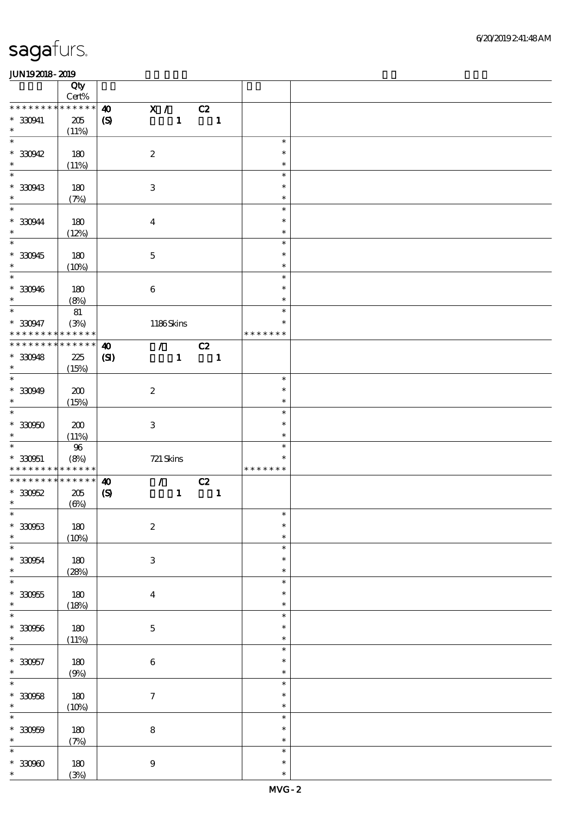|                                                        | Qty<br>$\mbox{Cert}\%$ |                             |                           |                             |                          |              |                         |  |
|--------------------------------------------------------|------------------------|-----------------------------|---------------------------|-----------------------------|--------------------------|--------------|-------------------------|--|
| * * * * * * * *                                        | $* * * * * * *$        | $\boldsymbol{\omega}$       | $\overline{\mathbf{x}}$ / |                             | C2                       |              |                         |  |
| $* 330941$<br>$\ast$                                   | 205<br>(11%)           | $\pmb{\infty}$              |                           | $\mathbf{1}$                | $\overline{\phantom{a}}$ |              |                         |  |
| $\ast$                                                 |                        |                             |                           |                             |                          |              | $\ast$                  |  |
| $*30042$<br>$\ast$                                     | 180<br>(11%)           |                             | $\boldsymbol{2}$          |                             |                          |              | $\ast$<br>$\ast$        |  |
| $\overline{\phantom{0}}$                               |                        |                             |                           |                             |                          |              | $\ast$                  |  |
| $*30943$<br>$\ast$                                     | 180<br>(7%)            |                             | $\,3\,$                   |                             |                          |              | $\ast$<br>$\ast$        |  |
| $\ast$                                                 |                        |                             |                           |                             |                          |              | $\ast$                  |  |
| $* 330944$<br>$\ast$                                   | 180<br>(12%)           |                             | $\boldsymbol{4}$          |                             |                          |              | $\ast$<br>$\ast$        |  |
| $\overline{\phantom{0}}$                               |                        |                             |                           |                             |                          |              | $\ast$                  |  |
| $*30045$<br>$\ast$                                     | 180<br>(10%)           |                             | $\mathbf 5$               |                             |                          |              | $\ast$<br>$\ast$        |  |
| $\overline{\phantom{0}}$                               |                        |                             |                           |                             |                          |              | $\ast$                  |  |
| $* 330946$<br>$\ast$                                   | 180<br>(8%)            |                             | $\,6\,$                   |                             |                          |              | $\ast$<br>$\ast$        |  |
| $\overline{\ast}$                                      | $8\!1$                 |                             |                           |                             |                          |              | $\ast$                  |  |
| $* 330947$<br>* * * * * * * *                          | (3%)<br>* * * * * *    |                             | 1186Skins                 |                             |                          |              | $\ast$<br>* * * * * * * |  |
| * * * * * * *                                          | * * * * * *            | $\boldsymbol{\omega}$       |                           | $\mathcal{L}$               | C2                       |              |                         |  |
| $* 330948$<br>$\ast$                                   | $225\,$<br>(15%)       | $\boldsymbol{\mathrm{(S)}}$ |                           | $\mathbf{1}$                | $\overline{\phantom{a}}$ |              |                         |  |
| $\overline{\phantom{0}}$                               |                        |                             |                           |                             |                          |              | $\ast$                  |  |
| $* 330949$<br>$\ast$                                   | 200<br>(15%)           |                             | $\boldsymbol{2}$          |                             |                          |              | $\ast$<br>$\ast$        |  |
| $\ast$                                                 |                        |                             |                           |                             |                          |              | $\ast$                  |  |
| $* 330950$<br>$\ast$                                   | 200<br>(11%)           |                             | $\,3$                     |                             |                          |              | $\ast$<br>$\ast$        |  |
| $\ast$                                                 | $9\!6$                 |                             |                           |                             |                          |              | $\ast$                  |  |
| $* 330051$<br>* * * * * * * * <mark>* * * * * *</mark> | (8%)                   |                             | 721 Skins                 |                             |                          |              | $\ast$<br>* * * * * * * |  |
| * * * * * * * * * * * * * *                            |                        |                             |                           |                             |                          |              |                         |  |
|                                                        |                        | $\boldsymbol{\omega}$       |                           | $\mathcal{T} = \mathcal{I}$ | C2                       |              |                         |  |
| $*30052$                                               | $205\,$                | $\boldsymbol{\mathrm{(S)}}$ |                           | $\mathbf{1}$                |                          | $\mathbf{1}$ |                         |  |
| $*$                                                    | (6%)                   |                             |                           |                             |                          |              |                         |  |
| $*$                                                    |                        |                             |                           |                             |                          |              | $\ast$                  |  |
| $* 330953$<br>$\ast$                                   | 180<br>(10%)           |                             | $\boldsymbol{2}$          |                             |                          |              | $\ast$<br>$\ast$        |  |
| $\ast$                                                 |                        |                             |                           |                             |                          |              | $\ast$                  |  |
| $* 330054$<br>$\ast$                                   | 180<br>(28%)           |                             | $\,3\,$                   |                             |                          |              | $\ast$<br>$\ast$        |  |
| $\overline{\ast}$                                      |                        |                             |                           |                             |                          |              | $\ast$                  |  |
| $^\ast$ 330955<br>$\ast$                               | $180\,$<br>(18%)       |                             | $\boldsymbol{4}$          |                             |                          |              | $\ast$<br>$\ast$        |  |
| $\ast$                                                 |                        |                             |                           |                             |                          |              | $\ast$                  |  |
| $* 330956$<br>$\ast$                                   | 180<br>(11%)           |                             | $\mathbf 5$               |                             |                          |              | $\ast$<br>$\ast$        |  |
| $\ast$                                                 |                        |                             |                           |                             |                          |              | $\ast$                  |  |
| $* 330957$<br>$\ast$                                   | 180<br>(9%)            |                             | $\,6\,$                   |                             |                          |              | $\ast$<br>$\ast$        |  |
| $\overline{\ast}$                                      |                        |                             |                           |                             |                          |              | $\ast$                  |  |
| $* 330058$<br>$\ast$                                   | $180$<br>(10%)         |                             | $\boldsymbol{7}$          |                             |                          |              | $\ast$<br>$\ast$        |  |
| $\ast$                                                 |                        |                             |                           |                             |                          |              | $\ast$                  |  |
| $* 330009$<br>$\ast$                                   | 180<br>(7%)            |                             | $\bf 8$                   |                             |                          |              | $\ast$<br>$\ast$        |  |
| $\ast$                                                 |                        |                             |                           |                             |                          |              | $\ast$                  |  |
| $^\ast$ 330900<br>$\ast$                               | 180<br>(3%)            |                             | $\boldsymbol{9}$          |                             |                          |              | $\ast$<br>$\ast$        |  |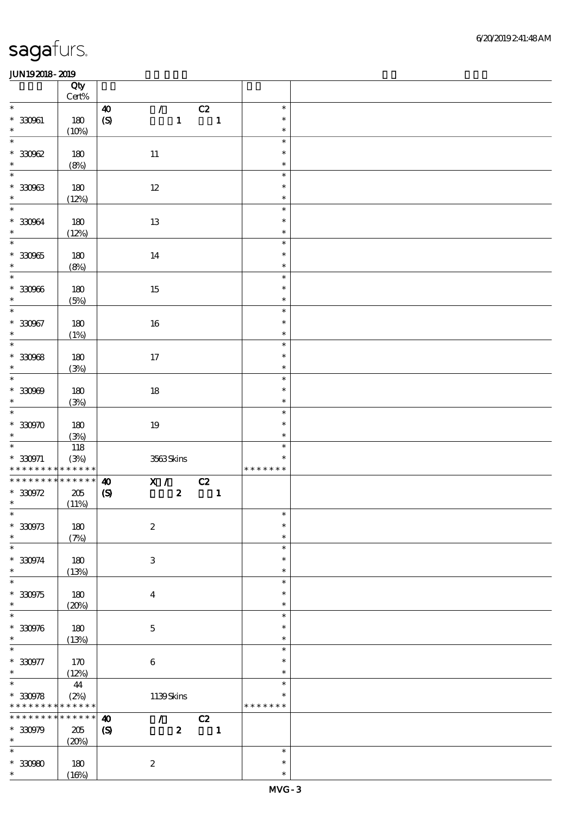|                                                                                      | Qty<br>$\mbox{Cert}\%$      |                                              |                                                 |                                |                                   |  |
|--------------------------------------------------------------------------------------|-----------------------------|----------------------------------------------|-------------------------------------------------|--------------------------------|-----------------------------------|--|
| $\ast$<br>$^\ast$ 330961<br>$\ast$                                                   | 180<br>(10%)                | $\boldsymbol{\omega}$<br>$\pmb{\in}$         | $\mathcal{L}^{\text{max}}$<br>$\mathbf{1}$      | C2<br>$\overline{\phantom{a}}$ | $\ast$<br>$\ast$<br>$\ast$        |  |
| $\overline{\ast}$<br>$*30062$<br>$\ast$                                              | 180<br>(8%)                 | $11\,$                                       |                                                 |                                | $\ast$<br>$\ast$<br>$\ast$        |  |
| $\overline{\ast}$<br>$* 330963$<br>$\ast$                                            | 180<br>(12%)                | $12\,$                                       |                                                 |                                | $\ast$<br>$\ast$<br>$\ast$        |  |
| $\overline{\ast}$<br>$^\ast$ 33064<br>$\ast$                                         | 180<br>(12%)                | $13\,$                                       |                                                 |                                | $\ast$<br>$\ast$<br>$\ast$        |  |
| $\overline{\phantom{0}}$<br>$* 330965$<br>$\ast$                                     | 180<br>(8%)                 | $14\,$                                       |                                                 |                                | $\ast$<br>$\ast$<br>$\ast$        |  |
| $\overline{\phantom{0}}$<br>$^\ast$ 330966<br>$\ast$                                 | 180<br>(5%)                 | $15\,$                                       |                                                 |                                | $\ast$<br>$\ast$<br>$\ast$        |  |
| $\ast$<br>$^*$ 330967<br>$\ast$                                                      | 180<br>(1%)                 | $16\,$                                       |                                                 |                                | $\ast$<br>$\ast$<br>$\ast$        |  |
| $\overline{\ast}$<br>$* 30068$<br>$\ast$                                             | 180<br>(3%)                 | $17$                                         |                                                 |                                | $\ast$<br>$\ast$<br>$\ast$        |  |
| $\overline{\phantom{0}}$<br>$* 330909$<br>$\ast$                                     | 180<br>(3%)                 | $18\,$                                       |                                                 |                                | $\ast$<br>$\ast$<br>$\ast$        |  |
| $\ast$<br>$*330970$<br>$\ast$                                                        | 180<br>(3%)                 | $19\,$                                       |                                                 |                                | $\ast$<br>$\ast$<br>$\ast$        |  |
| $\overline{\phantom{0}}$<br>$* 330971$<br>* * * * * * * * <mark>* * * * * * *</mark> | 118<br>(3%)                 |                                              | 3563Skins                                       |                                | $\ast$<br>$\ast$<br>* * * * * * * |  |
| * * * * * * * * * * * * * *<br>$*30072$<br>$\ast$                                    | $205\,$<br>(11%)            | $\boldsymbol{\omega}$<br>$\pmb{\mathcal{S}}$ | $\mathbf{X}$ /<br>$\boldsymbol{z}$              | C2<br>$\blacksquare$           |                                   |  |
| $*$<br>$* 330973$<br>$\ast$                                                          | 180<br>(7%)                 | $\boldsymbol{2}$                             |                                                 |                                | $\ast$<br>$\ast$<br>$\ast$        |  |
| $\ast$<br>$* 330974$<br>$\ast$                                                       | 180<br>(13%)                | $\,3\,$                                      |                                                 |                                | $\ast$<br>$\ast$<br>$\ast$        |  |
| $\ast$<br>$*30075$<br>$\ast$                                                         | 180<br>(20%)                | $\boldsymbol{4}$                             |                                                 |                                | $\ast$<br>$\ast$<br>$\ast$        |  |
| $\ast$<br>$* 330976$<br>$\ast$                                                       | 180<br>(13%)                | $\mathbf 5$                                  |                                                 |                                | $\ast$<br>$\ast$<br>$\ast$        |  |
| $\ast$<br>$* 330977$<br>$\ast$                                                       | 170<br>(12%)                | $\,6\,$                                      |                                                 |                                | $\ast$<br>$\ast$<br>$\ast$        |  |
| $\overline{\ast}$<br>$*30078$<br>* * * * * * * * <mark>* * * * * *</mark>            | 44<br>(2%)                  |                                              | 1139Skins                                       |                                | $\ast$<br>*<br>* * * * * * *      |  |
| * * * * * * * *<br>$*30079$<br>$\ast$                                                | * * * * * *<br>205<br>(20%) | $\boldsymbol{\omega}$<br>$\boldsymbol{S}$    | $\mathcal{T} = \mathcal{I}$<br>$\boldsymbol{z}$ | C2<br>$\mathbf{1}$             |                                   |  |
| $\ast$<br>$* 30000$<br>$\ast$                                                        | 180<br>(16%)                | $\boldsymbol{2}$                             |                                                 |                                | $\ast$<br>$\ast$<br>$\ast$        |  |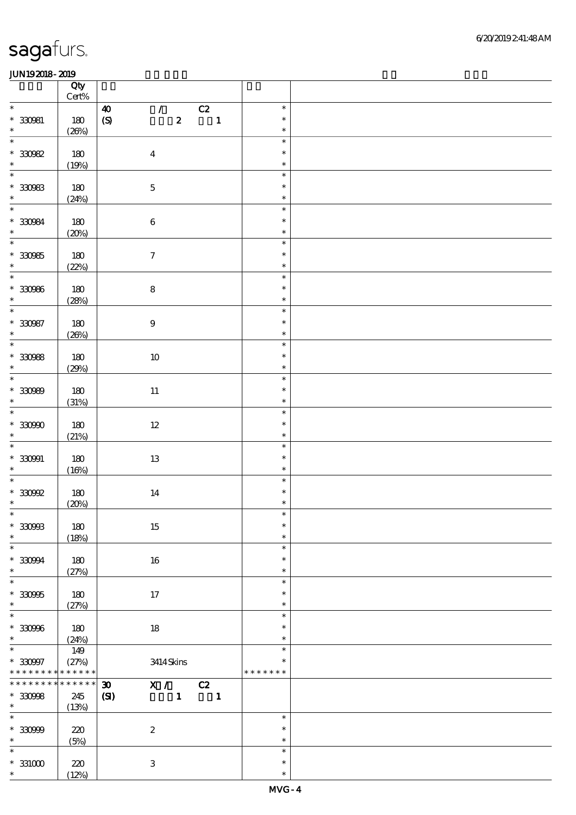|                                                                       | Qty<br>$\mbox{Cert}\%$        |                                                                                                                                                               |                                   |  |
|-----------------------------------------------------------------------|-------------------------------|---------------------------------------------------------------------------------------------------------------------------------------------------------------|-----------------------------------|--|
| $\ast$<br>$* 330981$<br>$\ast$                                        | 180<br>(20%)                  | $\mathcal{L}$ and $\mathcal{L}$<br>$\overline{c}$<br>$\boldsymbol{\omega}$<br>$\boldsymbol{z}$<br>$\blacksquare$<br>$\pmb{\text{(S)}}$                        | $\ast$<br>$\ast$<br>$\ast$        |  |
| $\overline{\ast}$<br>$^\ast$ 33082 $^\ast$                            | 180<br>(19%)                  | $\boldsymbol{4}$                                                                                                                                              | $\ast$<br>$\ast$<br>$\ast$        |  |
| $\overline{\ast}$<br>$^\ast$ 330983<br>$*$                            | 180<br>(24%)                  | $\mathbf 5$                                                                                                                                                   | $\ast$<br>$\ast$<br>$\ast$        |  |
| $\overline{\phantom{0}}$<br>$* 30084$<br>$\ast$                       | 180<br>(20%)                  | $\,6\,$                                                                                                                                                       | $\ast$<br>$\ast$<br>$\ast$        |  |
| $\overline{\phantom{0}}$<br>$^\ast$ 330985<br>$\ast$                  | 180<br>(22%)                  | $\boldsymbol{7}$                                                                                                                                              | $\ast$<br>$\ast$<br>$\ast$        |  |
| $\overline{\ast}$<br>$* 330966$<br>$\ast$                             | 180<br>(28%)                  | $\bf 8$                                                                                                                                                       | $\ast$<br>$\ast$<br>$\ast$        |  |
| $\overline{\ast}$<br>$* 330987$<br>$\ast$<br>$\overline{\phantom{a}}$ | 180<br>(20%)                  | $\boldsymbol{9}$                                                                                                                                              | $\ast$<br>$\ast$<br>$\ast$        |  |
| $* 30088$<br>$\ast$<br>$\overline{\ast}$                              | 180<br>(29%)                  | $10\,$                                                                                                                                                        | $\ast$<br>$\ast$<br>$\ast$        |  |
| $* 30000$<br>$\ast$                                                   | 180<br>(31%)                  | $11\,$                                                                                                                                                        | $\ast$<br>$\ast$<br>$\ast$        |  |
| $\ast$<br>$^\ast$ 330900<br>$\ast$<br>$\overline{\phantom{0}}$        | 180<br>(21%)                  | $12\,$                                                                                                                                                        | $\ast$<br>$\ast$<br>$\ast$        |  |
| $^\ast$ 330991<br>$\ast$                                              | 180<br>(16%)                  | $13\,$                                                                                                                                                        | $\ast$<br>$\ast$<br>$\ast$        |  |
| $\ast$<br>$^\ast$ 330992<br>$\ast$                                    | 180<br>(20%)                  | $14\,$                                                                                                                                                        | $\ast$<br>$\ast$<br>$\ast$        |  |
| $*$<br>$^\ast$ 330903<br>$\ast$                                       | 180<br>(18%)                  | 15                                                                                                                                                            | $\ast$<br>$\ast$<br>$\ast$        |  |
| $\ast$<br>$* 33094$<br>$\ast$<br>$\ast$                               | 180<br>(27%)                  | 16                                                                                                                                                            | $\ast$<br>$\ast$<br>$\ast$        |  |
| $* 33095$<br>$\ast$<br>$\ast$                                         | 180<br>(27%)                  | 17                                                                                                                                                            | $\ast$<br>$\ast$<br>$\ast$        |  |
| $* 330966$<br>$\ast$<br>$\overline{\phantom{0}}$                      | 180<br>(24%)                  | $18\,$                                                                                                                                                        | $\ast$<br>$\ast$<br>$\ast$        |  |
| $* 330907$<br>* * * * * * * * <mark>* * * * * * *</mark>              | 149<br>(27%)                  | 3414Skins                                                                                                                                                     | $\ast$<br>$\ast$<br>* * * * * * * |  |
| $* * * * * * * * *$<br>$* 33098$<br>$\ast$                            | $***$ * * * *<br>245<br>(13%) | $\overline{\mathbf{X}}$ / $\overline{\mathbf{C}}$ $\mathbf{C}$ $\mathbf{Z}$<br>$\boldsymbol{\mathfrak{D}}$<br>$\mathbf{1}$<br>$\overline{\phantom{a}}$<br>(S) |                                   |  |
| $\ast$<br>$* 330999$<br>$\ast$                                        | 220<br>(5%)                   | $\boldsymbol{2}$                                                                                                                                              | $\ast$<br>$\ast$<br>$\ast$        |  |
| $\ast$<br>$^\ast$ 331000<br>$\ast$                                    | 220<br>(12%)                  | $\,3$                                                                                                                                                         | $\ast$<br>$\ast$<br>$\ast$        |  |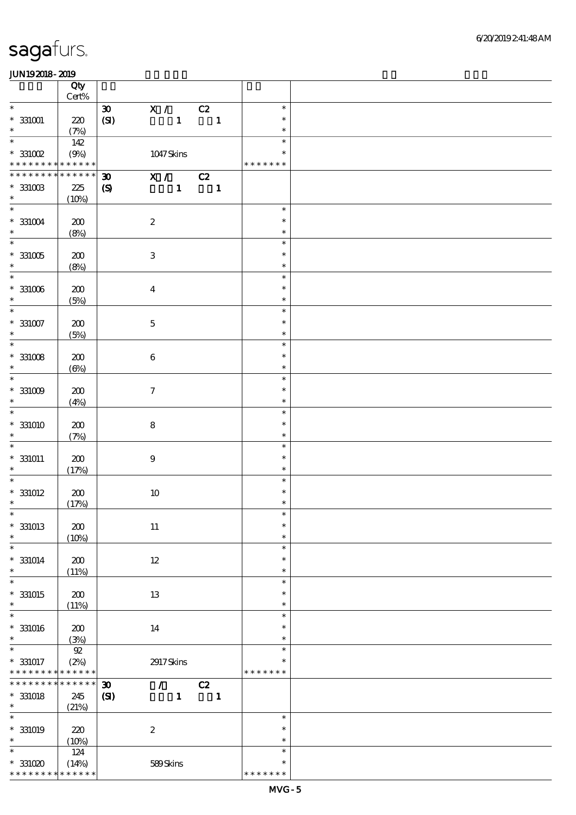|                                   | Qty<br>$\mbox{Cert}\%$ |                             |               |                            |                         |  |
|-----------------------------------|------------------------|-----------------------------|---------------|----------------------------|-------------------------|--|
| $\ast$                            |                        | $\pmb{\mathfrak{D}}$        | X / C2        |                            | $\ast$                  |  |
| $^\ast$ 331001<br>$\ast$          | 220<br>(7%)            | (SI)                        | $\mathbf{1}$  | $\overline{\phantom{a}}$   | $\ast$<br>$\ast$        |  |
| $\ast$                            | 142                    |                             |               |                            | $\ast$                  |  |
| $^\ast$ 331002<br>* * * * * * * * | (9%)<br>* * * * * *    |                             | 1047Skins     |                            | $\ast$<br>* * * * * * * |  |
| * * * * * * * *                   | * * * * * *            | $\boldsymbol{\mathfrak{D}}$ | X / C2        |                            |                         |  |
| $^\ast$ 331003<br>$\ast$          | 225<br>(10%)           | $\boldsymbol{\mathcal{S}}$  | $\mathbf{1}$  | $\overline{\phantom{a}}$ 1 |                         |  |
| $\overline{\phantom{0}}$          |                        |                             |               |                            | $\ast$                  |  |
| $^\ast$ 331004<br>$\ast$          | 200<br>(8%)            | $\boldsymbol{2}$            |               |                            | $\ast$<br>$\ast$        |  |
| $\overline{\ast}$                 |                        |                             |               |                            | $\ast$                  |  |
| $^\ast$ 331005<br>$\ast$          | 200<br>(8%)            | $\ensuremath{\mathbf{3}}$   |               |                            | $\ast$<br>$\ast$        |  |
| $\overline{\ast}$                 |                        |                             |               |                            | $\ast$                  |  |
| $^\ast$ 331006<br>$\ast$          | 200<br>(5%)            | $\boldsymbol{4}$            |               |                            | $\ast$<br>$\ast$        |  |
| $\overline{\ast}$                 |                        |                             |               |                            | $\ast$                  |  |
| $^\ast$ 331007<br>$\ast$          | 200<br>(5%)            | $\mathbf 5$                 |               |                            | $\ast$<br>$\ast$        |  |
| $\overline{\ast}$                 |                        |                             |               |                            | $\ast$                  |  |
| $^\ast$ 331008<br>$\ast$          | 200<br>$(\Theta)$      | $\,6\,$                     |               |                            | $\ast$<br>$\ast$        |  |
| $\ast$                            |                        |                             |               |                            | $\ast$                  |  |
| $^\ast$ 331009<br>$\ast$          | 200<br>(4%)            | $\boldsymbol{7}$            |               |                            | $\ast$<br>$\ast$        |  |
| $\ast$                            |                        |                             |               |                            | $\ast$                  |  |
| $*331010$<br>$\ast$               | 200<br>(7%)            | $\bf 8$                     |               |                            | $\ast$<br>$\ast$        |  |
| $\ast$                            |                        |                             |               |                            | $\ast$                  |  |
| $*$ 331011<br>$\ast$              | 200<br>(17%)           | $\boldsymbol{9}$            |               |                            | $\ast$<br>$\ast$        |  |
| $\ast$                            |                        |                             |               |                            | $\ast$                  |  |
| $* 331012$<br>$\ast$              | 200<br>(17%)           |                             | $10$          |                            | $\ast$<br>$\ast$        |  |
| $*$                               |                        |                             |               |                            | $\ast$                  |  |
| $* 331013$<br>$\ast$              | 200<br>(10%)           |                             | $11\,$        |                            | $\ast$<br>$\ast$        |  |
| $\ast$                            |                        |                             |               |                            | $\ast$                  |  |
| $* 331014$<br>$\ast$              | 200<br>(11%)           |                             | $12\,$        |                            | $\ast$<br>$\ast$        |  |
| $\ast$                            |                        |                             |               |                            | $\ast$                  |  |
| $* 331015$<br>$\ast$              | 200<br>(11%)           |                             | 13            |                            | $\ast$<br>$\ast$        |  |
| $\ast$                            |                        |                             |               |                            | $\ast$                  |  |
| $* 331016$<br>$\ast$              | 200<br>(3%)            |                             | 14            |                            | $\ast$<br>$\ast$        |  |
| $\ast$                            | $92\,$                 |                             |               |                            | $\ast$                  |  |
| $* 331017$<br>* * * * * * * *     | (2%)<br>* * * * * *    |                             | 2917 Skins    |                            | $\ast$<br>* * * * * * * |  |
| * * * * * * *                     | * * * * * *            | $\boldsymbol{\mathfrak{D}}$ | $\mathcal{L}$ | C2                         |                         |  |
| $* 331018$                        | 245                    | (S)                         | $\mathbf{1}$  | $\mathbf{1}$               |                         |  |
| $\ast$                            | (21%)                  |                             |               |                            |                         |  |
| $\overline{\ast}$                 |                        |                             |               |                            | $\ast$                  |  |
| $* 331019$<br>$\ast$              | 220                    | $\boldsymbol{2}$            |               |                            | $\ast$                  |  |
| $\ast$                            | (10%)                  |                             |               |                            | $\ast$<br>$\ast$        |  |
| $^*$ 331020                       | 124<br>(14%)           |                             | $589\,$ Skins |                            | $\ast$                  |  |
| * * * * * * * *                   | * * * * * *            |                             |               |                            | * * * * * * *           |  |
|                                   |                        |                             |               |                            |                         |  |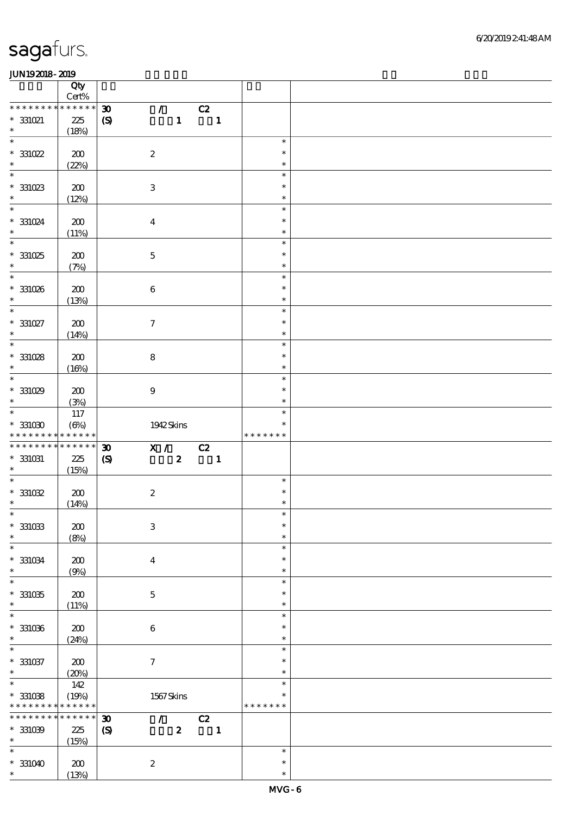|                                                               | Qty<br>$Cert\%$                    |                                                                                           |                                   |                                   |  |
|---------------------------------------------------------------|------------------------------------|-------------------------------------------------------------------------------------------|-----------------------------------|-----------------------------------|--|
| * * * * * * * *<br>$^*$ 331021 $\,$<br>$\ast$                 | * * * * * *<br>225<br>(18%)        | $\mathcal{L}^{\pm}$<br>$\boldsymbol{\mathfrak{D}}$<br>$\mathbf{1}$<br>$\pmb{\mathcal{S}}$ | C2<br>$\blacksquare$              |                                   |  |
| $\ast$<br>$^*$ 331022<br>$\ast$                               | 200<br>(22%)                       | $\boldsymbol{2}$                                                                          |                                   | $\ast$<br>$\ast$<br>$\ast$        |  |
| $\ast$<br>$*331023$<br>$\ast$                                 | 200<br>(12%)                       | $\ensuremath{\mathbf{3}}$                                                                 |                                   | $\ast$<br>$\ast$<br>$\ast$        |  |
| $\overline{\ast}$<br>$* 331024$<br>$\ast$                     | 200<br>(11%)                       | $\boldsymbol{4}$                                                                          |                                   | $\ast$<br>$\ast$<br>$\ast$        |  |
| $\overline{\ast}$<br>$*331025$<br>$\ast$                      | 200<br>(7%)                        | $\mathbf 5$                                                                               |                                   | $\ast$<br>$\ast$<br>$\ast$        |  |
| $*$<br>$* 331026$<br>$\ast$                                   | ${\bf Z0}$<br>(13%)                | $\,6\,$                                                                                   |                                   | $\ast$<br>$\ast$<br>$\ast$        |  |
| $\ast$<br>$^*$ 331027 $\,$<br>$\ast$                          | 200<br>(14%)                       | $\boldsymbol{7}$                                                                          |                                   | $\ast$<br>$\ast$<br>$\ast$        |  |
| $\ast$<br>$*331028$<br>$\ast$                                 | 200<br>(16%)                       | $\bf 8$                                                                                   |                                   | $\ast$<br>$\ast$<br>$\ast$        |  |
| $\ast$<br>$*331029$<br>$\ast$                                 | 200<br>(3%)                        | $\boldsymbol{9}$                                                                          |                                   | $\ast$<br>$\ast$<br>$\ast$        |  |
| $\ast$<br>$^\ast$ 331030<br>* * * * * * * *                   | 117<br>$(\Theta\%)$<br>* * * * * * | 1942Skins                                                                                 |                                   | $\ast$<br>$\ast$<br>* * * * * * * |  |
| * * * * * * * *                                               | * * * * * *                        | X /<br>$\boldsymbol{\mathfrak{D}}$                                                        | $\overline{c}z$                   |                                   |  |
| $^*$ 331031 $\,$<br>$\ast$                                    | 225<br>(15%)                       | $\boldsymbol{2}$<br>$\boldsymbol{\mathcal{S}}$                                            | $\overline{\phantom{a}}$          |                                   |  |
| $\ast$<br>$^\ast$ 331032<br>$\ast$                            | 200<br>(14%)                       | $\boldsymbol{2}$                                                                          |                                   | $\ast$<br>$\ast$<br>$\ast$        |  |
| $*$<br>$^\ast$ 331033<br>$\ast$                               | 200<br>(8%)                        | $\,3$                                                                                     |                                   | $\ast$<br>$\ast$<br>$\ast$        |  |
| $\ast$<br>$^\ast$ 331034<br>$\ast$                            | 200<br>(9%)                        | $\boldsymbol{4}$                                                                          |                                   | $\ast$<br>$\ast$<br>$\ast$        |  |
| $\ast$<br>$*331035$<br>$\ast$                                 | ${\bf Z0}$<br>(11%)                | $\mathbf 5$                                                                               |                                   | $\ast$<br>$\ast$<br>$\ast$        |  |
| $\ast$<br>$^\ast$ 331036<br>$\ast$                            | 200<br>(24%)                       | $\,6\,$                                                                                   |                                   | $\ast$<br>$\ast$<br>$\ast$        |  |
| $\ast$<br>$* 331037$<br>$\ast$                                | 200<br>(20%)                       | $\boldsymbol{\tau}$                                                                       |                                   | $\ast$<br>$\ast$<br>$\ast$        |  |
| $\overline{\phantom{0}}$<br>$^\ast$ 331038<br>* * * * * * * * | 142<br>(19%)<br>* * * * * *        | 1567Skins                                                                                 |                                   | $\ast$<br>$\ast$<br>* * * * * * * |  |
| * * * * * * * *<br>$^\ast$ 331039<br>$\ast$                   | * * * * * *<br>225<br>(15%)        | $\mathcal{L}$<br>$\boldsymbol{\mathfrak{D}}$<br>$\boldsymbol{z}$<br>$\boldsymbol{S}$      | $\overline{c}z$<br>$\blacksquare$ |                                   |  |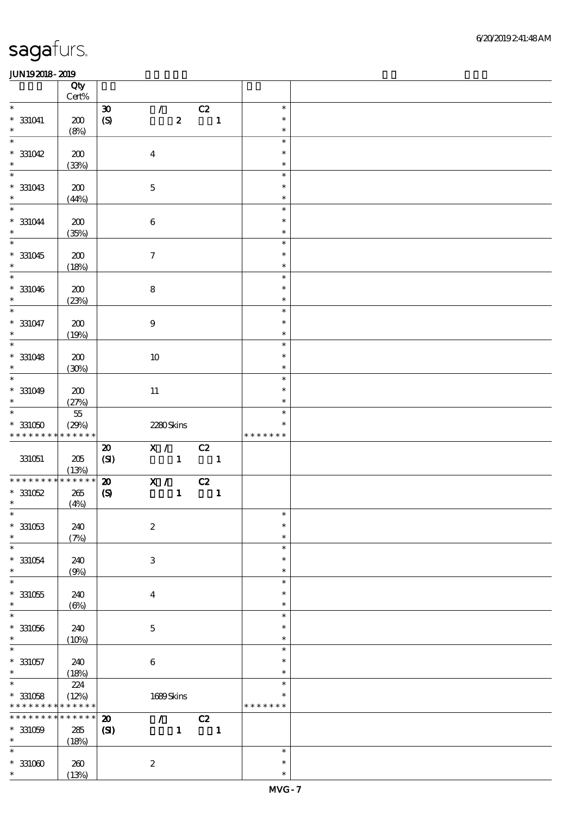|                                        | Qty<br>$Cert\%$            |                             |                           |                  |                                                |                  |  |
|----------------------------------------|----------------------------|-----------------------------|---------------------------|------------------|------------------------------------------------|------------------|--|
| $\overline{\phantom{0}}$               |                            | $\boldsymbol{\mathfrak{D}}$ |                           |                  | C2                                             | $\ast$           |  |
| $* 331041$<br>$\ast$                   | $200\,$<br>(8%)            | $\boldsymbol{S}$            | $\mathcal{T}=\mathcal{I}$ | $\boldsymbol{z}$ | $\blacksquare$                                 | $\ast$<br>$\ast$ |  |
| $\ast$                                 |                            |                             |                           |                  |                                                | $\ast$           |  |
| $* 331042$<br>$\ast$                   | 200<br>(33%)               |                             | $\boldsymbol{4}$          |                  |                                                | $\ast$<br>$\ast$ |  |
| $\ast$                                 |                            |                             |                           |                  |                                                | $\ast$           |  |
| $* 331043$<br>$\ast$                   | 200<br>(44%)               |                             | $\mathbf 5$               |                  |                                                | $\ast$<br>$\ast$ |  |
| $\overline{\ast}$                      |                            |                             |                           |                  |                                                | $\ast$           |  |
| $* 331044$<br>$\ast$                   | 200<br>(35%)               |                             | $\bf 6$                   |                  |                                                | $\ast$<br>$\ast$ |  |
| $\overline{\ast}$                      |                            |                             |                           |                  |                                                | $\ast$           |  |
| $* 331045$<br>$\ast$                   | 200<br>(18%)               |                             | $\boldsymbol{\tau}$       |                  |                                                | $\ast$<br>$\ast$ |  |
| $\overline{\ast}$                      |                            |                             |                           |                  |                                                | $\ast$           |  |
| $* 331046$<br>$\ast$                   | 200<br>(23%)               |                             | ${\bf 8}$                 |                  |                                                | $\ast$<br>$\ast$ |  |
| $\overline{\phantom{0}}$               |                            |                             |                           |                  |                                                | $\ast$           |  |
| $* 331047$<br>$\ast$                   | $200\,$<br>(19%)           |                             | $\boldsymbol{9}$          |                  |                                                | $\ast$<br>$\ast$ |  |
| $\overline{\ast}$                      |                            |                             |                           |                  |                                                | $\ast$           |  |
| $* 331048$                             | 200                        |                             | $10\,$                    |                  |                                                | $\ast$           |  |
| $\ast$                                 | (30%)                      |                             |                           |                  |                                                | $\ast$           |  |
| $\overline{\phantom{0}}$               |                            |                             |                           |                  |                                                | $\ast$           |  |
| $* 331049$                             | 200                        |                             | $11\,$                    |                  |                                                | $\ast$           |  |
| $\ast$                                 | (27%)                      |                             |                           |                  |                                                | $\ast$           |  |
| $\ast$                                 | $55\,$                     |                             |                           |                  |                                                | $\ast$           |  |
| $*331050$                              | (29%)                      |                             | 2280Skins                 |                  |                                                | $\ast$           |  |
| * * * * * * * *                        | $\ast\ast\ast\ast\ast\ast$ |                             |                           |                  |                                                | * * * * * * *    |  |
|                                        |                            | $\boldsymbol{\mathbf{z}}$   |                           | X / C2           |                                                |                  |  |
|                                        |                            |                             |                           |                  |                                                |                  |  |
| 331051                                 | 205                        | (SI)                        |                           |                  | $\begin{array}{cccc} 1 & 1 & 1 \end{array}$    |                  |  |
|                                        | (13%)                      |                             |                           |                  |                                                |                  |  |
| * * * * * * * *                        | * * * * * *                | $\boldsymbol{\mathbf{z}}$   |                           |                  | $\overline{\text{X}}$ / $\overline{\text{C2}}$ |                  |  |
| $*331052$                              | 265                        | $\boldsymbol{\mathcal{S}}$  |                           |                  | $1 \qquad \qquad 1$                            |                  |  |
| $\ast$                                 | (4%)                       |                             |                           |                  |                                                | $\rightarrow$    |  |
|                                        |                            |                             |                           |                  |                                                |                  |  |
| $* 331053$                             | 240                        |                             | $\boldsymbol{2}$          |                  |                                                | $\ast$           |  |
|                                        | (7%)                       |                             |                           |                  |                                                | $\ast$           |  |
| $\ast$<br>$\ast$                       |                            |                             |                           |                  |                                                | $\ast$           |  |
|                                        | 240                        |                             | $\,3\,$                   |                  |                                                | $\ast$           |  |
| $^\ast$ 331054<br>$\ast$               | (9%)                       |                             |                           |                  |                                                | $\ast$           |  |
| $\ast$                                 |                            |                             |                           |                  |                                                | $\ast$           |  |
| $* 331055$                             | 240                        |                             | $\boldsymbol{4}$          |                  |                                                | $\ast$           |  |
| $\ast$                                 | $(\Theta)$                 |                             |                           |                  |                                                | $\ast$           |  |
| $\ast$                                 |                            |                             |                           |                  |                                                | $\ast$           |  |
| $* 331056$                             | 240                        |                             | $\mathbf 5$               |                  |                                                | $\ast$           |  |
| $\ast$                                 | (10%)                      |                             |                           |                  |                                                | $\ast$           |  |
|                                        |                            |                             |                           |                  |                                                | $\ast$           |  |
|                                        | 240                        |                             | 6                         |                  |                                                | $\ast$           |  |
| $\ast$<br>$* 331057$<br>$\ast$         | (18%)                      |                             |                           |                  |                                                | $\ast$           |  |
| $\ast$                                 | 224                        |                             |                           |                  |                                                | $\ast$<br>∗      |  |
|                                        | (12%)                      |                             | 1689Skins                 |                  |                                                |                  |  |
| * * * * * * * *                        | * * * * * *                |                             |                           |                  |                                                | * * * * * * *    |  |
| * * * * * * * *                        | $\ast\ast\ast\ast\ast\ast$ | $\boldsymbol{\mathbf{z}}$   |                           | $\mathcal{L}$    | C2                                             |                  |  |
|                                        | ${\bf 285}$                | $\mathbf{C}$                |                           | $\mathbf{1}$     | $\overline{\mathbf{1}}$                        |                  |  |
| $^\ast$ 331058<br>$* 331059$<br>$\ast$ | (18%)                      |                             |                           |                  |                                                |                  |  |
| $\ast$                                 |                            |                             |                           |                  |                                                | $\ast$           |  |
| $^\ast$ 331060<br>$\ast$               | 260<br>(13%)               |                             | $\boldsymbol{2}$          |                  |                                                | $\ast$<br>$\ast$ |  |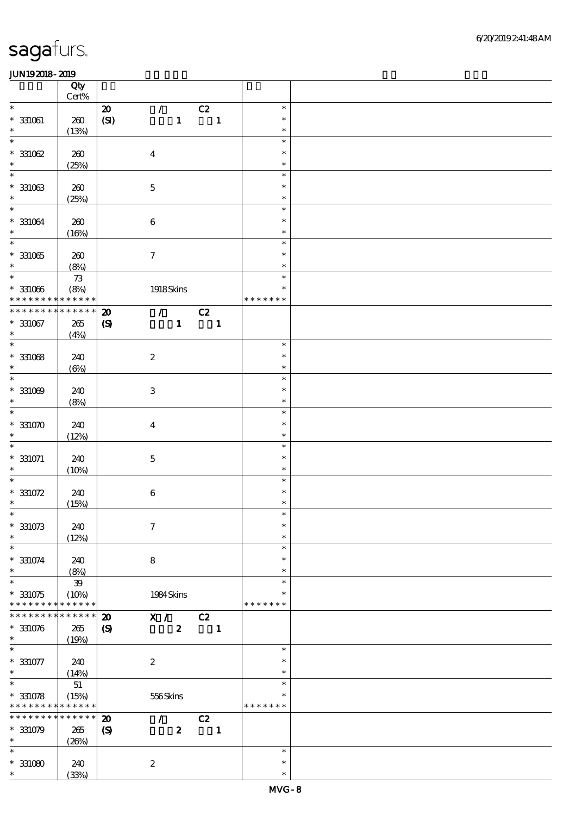|                               | Qty<br>$\mbox{Cert\%}$ |                             |                             |                         |                         |  |
|-------------------------------|------------------------|-----------------------------|-----------------------------|-------------------------|-------------------------|--|
| $\ast$                        |                        | ${\bf Z}$                   | $\mathcal{F}^{\mathcal{F}}$ | C2                      | $\ast$                  |  |
| $* 331061$<br>$\ast$          | 260<br>(13%)           | (SI)                        | $\mathbf{1}$                | $\mathbf{1}$            | $\ast$<br>$\ast$        |  |
| $\ast$                        |                        |                             |                             |                         | $\ast$                  |  |
| $*331062$<br>$\ast$           | 260<br>(25%)           |                             | $\boldsymbol{4}$            |                         | $\ast$<br>$\ast$        |  |
| $\ast$                        |                        |                             |                             |                         | $\ast$                  |  |
| $* 331063$<br>$\ast$          | 260<br>(25%)           |                             | $\mathbf 5$                 |                         | $\ast$<br>$\ast$        |  |
| $*$                           |                        |                             |                             |                         | $\ast$                  |  |
| $* 331064$<br>$\ast$          | 260<br>(16%)           |                             | $\bf 6$                     |                         | $\ast$<br>$\ast$        |  |
| $\overline{\phantom{0}}$      |                        |                             |                             |                         | $\ast$                  |  |
| $* 331065$<br>$\ast$          | 260<br>(8%)            |                             | $\tau$                      |                         | $\ast$<br>$\ast$        |  |
|                               | $7\!3$                 |                             |                             |                         | $\ast$                  |  |
| $*331066$<br>* * * * * * * *  | (8%)<br>* * * * * *    |                             | $1918$ Skins                |                         | $\ast$<br>* * * * * * * |  |
| * * * * * * * *               | * * * * * *            | $\boldsymbol{\mathfrak{D}}$ | $\mathcal{L}$               | C2                      |                         |  |
| $* 331067$<br>$\ast$          | $265\,$<br>(4%)        | $\boldsymbol{\mathrm{(S)}}$ | $\mathbf{1}$                | $\blacksquare$          |                         |  |
| $\overline{\phantom{0}}$      |                        |                             |                             |                         | $\ast$                  |  |
| $*331068$<br>$\ast$           | 240<br>$(\Theta)$      |                             | $\boldsymbol{2}$            |                         | $\ast$<br>$\ast$        |  |
| $\ast$                        |                        |                             |                             |                         | $\ast$                  |  |
| $*331009$<br>$\ast$           | 240<br>(8%)            |                             | $\ensuremath{\mathsf{3}}$   |                         | $\ast$<br>$\ast$        |  |
| $\overline{\phantom{0}}$      |                        |                             |                             |                         | $\ast$                  |  |
| $*331070$<br>$\ast$           | 240<br>(12%)           |                             | $\bf{4}$                    |                         | $\ast$<br>$\ast$        |  |
| $\ast$                        |                        |                             |                             |                         | $\ast$                  |  |
| $* 331071$<br>$\ast$          | 240<br>(10%)           |                             | $\mathbf 5$                 |                         | $\ast$<br>$\ast$        |  |
| $\ast$                        |                        |                             |                             |                         | $\ast$                  |  |
| $*331072$                     | 240                    |                             | $\bf 6$                     |                         | $\ast$                  |  |
| $\ast$                        | (15%)                  |                             |                             |                         | $\ast$                  |  |
| $*$                           |                        |                             |                             |                         | $\ast$                  |  |
| $* 331073$<br>$\ast$          | 240<br>(12%)           |                             | $\boldsymbol{\tau}$         |                         | $\ast$<br>$\ast$        |  |
| $\ast$                        |                        |                             |                             |                         | $\ast$                  |  |
| $* 331074$<br>$\ast$          | 240<br>(8%)            |                             | $\bf8$                      |                         | $\ast$<br>$\ast$        |  |
| $\ast$                        | $39\,$                 |                             |                             |                         | $\ast$                  |  |
| $* 331075$<br>* * * * * * * * | (10%)<br>* * * * * *   |                             | 1984 Skins                  |                         | $\ast$<br>* * * * * * * |  |
| * * * * * * *                 | * * * * * *            | $\boldsymbol{\mathbf{z}}$   | X /                         | C2                      |                         |  |
| $* 331076$<br>$\ast$          | 265<br>(19%)           | $\boldsymbol{\mathrm{(S)}}$ | $\boldsymbol{z}$            | $\blacksquare$          |                         |  |
| $\ast$                        |                        |                             |                             |                         | $\ast$                  |  |
| $* 331077$<br>$\ast$          | 240<br>(14%)           |                             | $\boldsymbol{z}$            |                         | $\ast$<br>$\ast$        |  |
| $\ast$                        | $5\!1$                 |                             |                             |                         | $\ast$                  |  |
| $*331078$<br>* * * * * * * *  | (15%)<br>* * * * * *   |                             | 556Skins                    |                         | $\ast$<br>* * * * * * * |  |
| * * * * * * *                 | * * * * * *            | $\boldsymbol{\mathbf{z}}$   | $\mathcal{L}$               | C2                      |                         |  |
| $*331079$                     | 265                    | $\boldsymbol{\mathrm{(S)}}$ | $\boldsymbol{2}$            | $\overline{\mathbf{1}}$ |                         |  |
| $\ast$                        | (20%)                  |                             |                             |                         |                         |  |
| $\ast$                        |                        |                             |                             |                         | $\ast$                  |  |
| $*331080$                     | 240                    |                             | $\boldsymbol{2}$            |                         | $\ast$                  |  |
| $\ast$                        | (33%)                  |                             |                             |                         | $\ast$                  |  |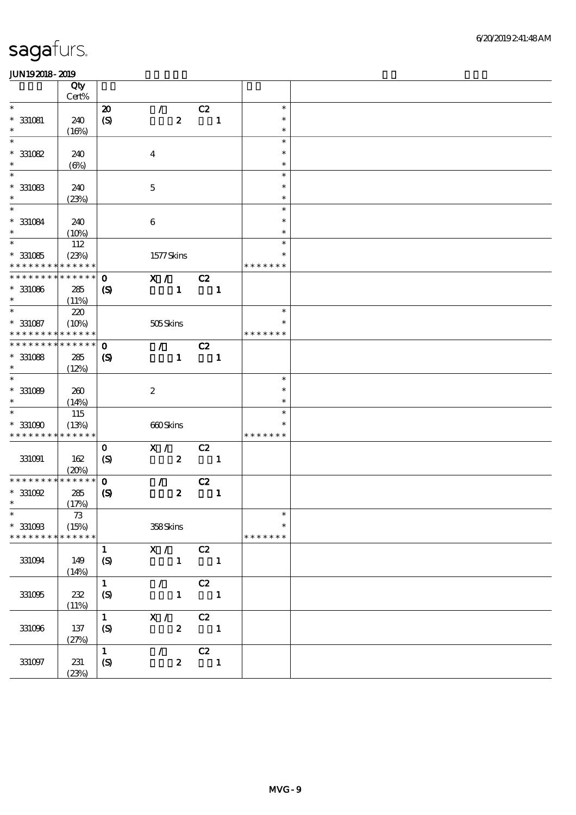|                                          | Qty         |                             |                  |               |                                 |                            |                |               |  |
|------------------------------------------|-------------|-----------------------------|------------------|---------------|---------------------------------|----------------------------|----------------|---------------|--|
|                                          | Cert%       |                             |                  |               |                                 |                            |                |               |  |
| $\ast$                                   |             | $\boldsymbol{\mathfrak{D}}$ |                  | $\mathcal{L}$ |                                 | C2                         |                | $\ast$        |  |
| $* 331081$                               | 240         | $\boldsymbol{S}$            |                  |               | $\boldsymbol{z}$                |                            | $\mathbf{1}$   | $\ast$        |  |
| $\ast$                                   | (16%)       |                             |                  |               |                                 |                            |                | $\ast$        |  |
| $\ast$                                   |             |                             |                  |               |                                 |                            |                | $\ast$        |  |
| $*331082$                                | 240         |                             | $\boldsymbol{4}$ |               |                                 |                            |                | $\ast$        |  |
| $\ast$                                   | $(\Theta)$  |                             |                  |               |                                 |                            |                | $\ast$        |  |
| $\ast$                                   |             |                             |                  |               |                                 |                            |                | $\ast$        |  |
| $*331083$                                | 240         |                             |                  |               |                                 |                            |                | $\ast$        |  |
| $\ast$                                   |             |                             | $\mathbf 5$      |               |                                 |                            |                | $\ast$        |  |
|                                          | (23%)       |                             |                  |               |                                 |                            |                |               |  |
| $\ast$                                   |             |                             |                  |               |                                 |                            |                | $\ast$        |  |
| $* 331084$                               | 240         |                             | $\boldsymbol{6}$ |               |                                 |                            |                | $\ast$        |  |
| $\ast$                                   | (10%)       |                             |                  |               |                                 |                            |                | $\ast$        |  |
| $\overline{\ast}$                        | 112         |                             |                  |               |                                 |                            |                | $\ast$        |  |
| $^\ast$ 331085                           | (23%)       |                             |                  | 1577Skins     |                                 |                            |                | $\ast$        |  |
| * * * * * * * *                          | * * * * * * |                             |                  |               |                                 |                            |                | * * * * * * * |  |
| * * * * * * * *                          | * * * * * * | $\mathbf{o}$                |                  |               |                                 | X / C2                     |                |               |  |
| $*331086$                                | 285         | $\boldsymbol{\mathcal{S}}$  |                  |               | $\mathbf{1}$                    | $\blacksquare$             |                |               |  |
| $\ast$                                   |             |                             |                  |               |                                 |                            |                |               |  |
| $\ast$                                   | (11%)       |                             |                  |               |                                 |                            |                | $\ast$        |  |
|                                          | 220         |                             |                  |               |                                 |                            |                |               |  |
| $* 331087$                               | (10%)       |                             |                  | 505Skins      |                                 |                            |                | $\ast$        |  |
| * * * * * * * *                          | * * * * * * |                             |                  |               |                                 |                            |                | * * * * * * * |  |
| * * * * * * * *                          | * * * * * * | $\mathbf 0$                 |                  | $\mathcal{L}$ |                                 | C2                         |                |               |  |
| $*$ 331088                               | 285         | $\boldsymbol{\mathcal{S}}$  |                  |               | $\mathbf{1}$                    | $\overline{\phantom{a}}$   |                |               |  |
| $\ast$                                   | (12%)       |                             |                  |               |                                 |                            |                |               |  |
| $\ast$                                   |             |                             |                  |               |                                 |                            |                | $\ast$        |  |
| $* 331089$                               | 260         |                             | $\boldsymbol{2}$ |               |                                 |                            |                | $\ast$        |  |
| $\ast$                                   | (14%)       |                             |                  |               |                                 |                            |                | $\ast$        |  |
| $\ast$                                   | 115         |                             |                  |               |                                 |                            |                | $\ast$        |  |
|                                          |             |                             |                  |               |                                 |                            |                | $\ast$        |  |
| $*331000$                                | (13%)       |                             |                  | 660Skins      |                                 |                            |                |               |  |
| * * * * * * * * <mark>* * * * * *</mark> |             |                             |                  |               |                                 |                            |                | * * * * * * * |  |
|                                          |             | $\mathbf 0$                 |                  | X /           |                                 | $\overline{C}$             |                |               |  |
| 331091                                   | 162         | $\boldsymbol{S}$            |                  |               | $\boldsymbol{2}$                | $\overline{\phantom{a}}$   |                |               |  |
|                                          | (20%)       |                             |                  |               |                                 |                            |                |               |  |
| * * * * * * * * * * * * * *              |             | $\mathbf{o}$                |                  | $\mathcal{L}$ |                                 | C2                         |                |               |  |
| $*331092$                                | 285         | $\boldsymbol{\mathcal{S}}$  |                  |               | $\boldsymbol{z}$                |                            | $\mathbf{1}$   |               |  |
| $\ast$                                   | (17%)       |                             |                  |               |                                 |                            |                |               |  |
| $\ast$                                   | $7\!3$      |                             |                  |               |                                 |                            |                | $\ast$        |  |
| $^\ast$ 331038                           | (15%)       |                             |                  | 358Skins      |                                 |                            |                | $\ast$        |  |
| * * * * * * * *                          | * * * * * * |                             |                  |               |                                 |                            |                | * * * * * * * |  |
|                                          |             |                             |                  |               |                                 |                            |                |               |  |
|                                          |             | $\mathbf{1}$                |                  |               |                                 | X / C2                     |                |               |  |
| 331094                                   | 149         | $\boldsymbol{S}$            |                  |               | $\mathbf{1}$                    | $\overline{\phantom{a}}$   |                |               |  |
|                                          | (14%)       |                             |                  |               |                                 |                            |                |               |  |
|                                          |             | $\mathbf{1}$                |                  |               | $\mathcal{L}$ and $\mathcal{L}$ | C2                         |                |               |  |
| 331095                                   | 232         | $\boldsymbol{S}$            |                  |               | $\mathbf{1}$                    | $\overline{\phantom{0}}$ 1 |                |               |  |
|                                          | (11%)       |                             |                  |               |                                 |                            |                |               |  |
|                                          |             | $\mathbf{1}$                |                  |               | $\mathbf{X}$ /                  | C2                         |                |               |  |
| 331096                                   | $137\,$     | $\boldsymbol{S}$            |                  |               | $\boldsymbol{z}$                | $\blacksquare$             |                |               |  |
|                                          |             |                             |                  |               |                                 |                            |                |               |  |
|                                          | (27%)       |                             |                  |               |                                 |                            |                |               |  |
|                                          |             | $\mathbf{1}$                |                  | $\mathcal{L}$ |                                 | C2                         |                |               |  |
| 331097                                   | 231         | $\boldsymbol{S}$            |                  |               | $\boldsymbol{z}$                |                            | $\blacksquare$ |               |  |
|                                          | (23%)       |                             |                  |               |                                 |                            |                |               |  |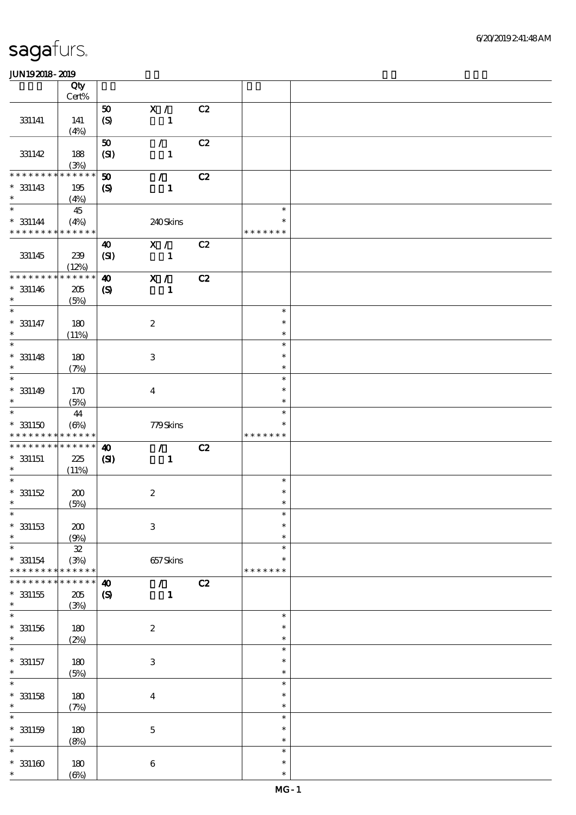|                                           | Qty<br>Cert%    |                                     |                  |    |                         |  |
|-------------------------------------------|-----------------|-------------------------------------|------------------|----|-------------------------|--|
|                                           |                 |                                     | $\mathbf{X}$ /   | C2 |                         |  |
| 331141                                    | 141<br>(4%)     | $\pmb{\mathfrak{D}}$<br>$\pmb{\in}$ | $\mathbf{1}$     |    |                         |  |
|                                           |                 | 50                                  | $\mathcal{L}$    | C2 |                         |  |
| 331142                                    | 188<br>(3%)     | (SI)                                | $\mathbf{1}$     |    |                         |  |
| * * * * * * * *                           | * * * * * *     | 50                                  | $\mathcal{L}$    | C2 |                         |  |
| $*$ 331143<br>$\ast$                      | 195<br>(4%)     | $\boldsymbol{\mathcal{S}}$          | $\mathbf{1}$     |    |                         |  |
| $\ast$                                    | 45              |                                     |                  |    | $\ast$                  |  |
| $* 331144$<br>* * * * * * * * * * * * * * | (4%)            |                                     | 240Skins         |    | $\ast$<br>* * * * * * * |  |
|                                           |                 | $\boldsymbol{\omega}$               | X /              | C2 |                         |  |
| 331145                                    | 239<br>(12%)    | (SI)                                | $\mathbf{1}$     |    |                         |  |
| * * * * * * * *                           | ******          | $\boldsymbol{\omega}$               | X /              | C2 |                         |  |
| $*$ 331146<br>$\ast$                      | $205\,$<br>(5%) | $\boldsymbol{\mathcal{S}}$          | $\mathbf{1}$     |    |                         |  |
| $\ast$                                    |                 |                                     |                  |    | $\ast$                  |  |
| $* 331147$<br>$\ast$                      | 180<br>(11%)    |                                     | $\boldsymbol{2}$ |    | $\ast$<br>$\ast$        |  |
| $\ast$                                    |                 |                                     |                  |    | $\ast$                  |  |
| $*$ 331148                                | 180             |                                     | $\,3\,$          |    | $\ast$                  |  |
| $\ast$                                    | (7%)            |                                     |                  |    | $\ast$                  |  |
| $\ast$                                    |                 |                                     |                  |    | $\ast$                  |  |
| $*$ 331149                                | 170             |                                     | $\boldsymbol{4}$ |    | $\ast$                  |  |
| $\ast$                                    | (5%)            |                                     |                  |    | $\ast$                  |  |
| $\ast$                                    | 44              |                                     |                  |    | $\ast$                  |  |
| $*331150$                                 | $(\Theta\%)$    |                                     | 779Skins         |    |                         |  |
| * * * * * * * * <mark>* * * * * *</mark>  |                 |                                     |                  |    | * * * * * * *           |  |
| * * * * * * * *                           | * * * * * *     | $\boldsymbol{\omega}$               | $\mathcal{T}$    | C2 |                         |  |
| $*$ 331151                                | 225             | $\mathbf{S}$                        | $\mathbf{1}$     |    |                         |  |
| $\ast$                                    | (11%)           |                                     |                  |    |                         |  |
| $\ast$                                    |                 |                                     |                  |    | $\ast$                  |  |
| $* 331152$                                | 200             |                                     | $\boldsymbol{2}$ |    | $\ast$                  |  |
| $\ast$                                    | (5%)            |                                     |                  |    | $\ast$                  |  |
| $*$                                       |                 |                                     |                  |    | $\ast$                  |  |
| $*$ 331153                                | 200             |                                     | $\,3$            |    | $\ast$                  |  |
| $\ast$                                    | (9%)            |                                     |                  |    | $\ast$                  |  |
| $\ast$                                    | ${\bf 3\!}$     |                                     |                  |    | $\ast$                  |  |
| $*331154$                                 | (3%)            |                                     | 657Skins         |    | $\ast$                  |  |
| * * * * * * * *                           | * * * * * *     |                                     |                  |    | * * * * * * *           |  |
| * * * * * * *                             | * * * * * *     | $\boldsymbol{\omega}$               | $\mathcal{L}$    | C2 |                         |  |
| $*331155$                                 | 205             | $\boldsymbol{S}$                    | $\mathbf{1}$     |    |                         |  |
| $\ast$                                    | (3%)            |                                     |                  |    |                         |  |
| $\ast$                                    |                 |                                     |                  |    | $\ast$                  |  |
| $* 331156$                                | 180             |                                     | $\boldsymbol{2}$ |    | $\ast$                  |  |
| $\ast$                                    | (2%)            |                                     |                  |    | $\ast$                  |  |
| $\ast$                                    |                 |                                     |                  |    | $\ast$                  |  |
| $* 331157$                                | 180             |                                     | $\,3\,$          |    | $\ast$                  |  |
| $\ast$                                    | (5%)            |                                     |                  |    | $\ast$                  |  |
| $\ast$                                    |                 |                                     |                  |    | $\ast$                  |  |
| $*$ 331158                                | 180             |                                     | $\boldsymbol{4}$ |    | $\ast$                  |  |
| $\ast$                                    | (7%)            |                                     |                  |    | $\ast$                  |  |
| $\ast$                                    |                 |                                     |                  |    | $\ast$                  |  |
| $*$ 331159                                | 180             |                                     | $\mathbf 5$      |    | $\ast$                  |  |
| $\ast$                                    | (8%)            |                                     |                  |    | $\ast$                  |  |
| $\ast$                                    |                 |                                     |                  |    | $\ast$                  |  |
| $^\ast$ 331160                            | 180             |                                     | $\bf 6$          |    | $\ast$                  |  |
| $\ast$                                    | $(\Theta\%)$    |                                     |                  |    | $\ast$                  |  |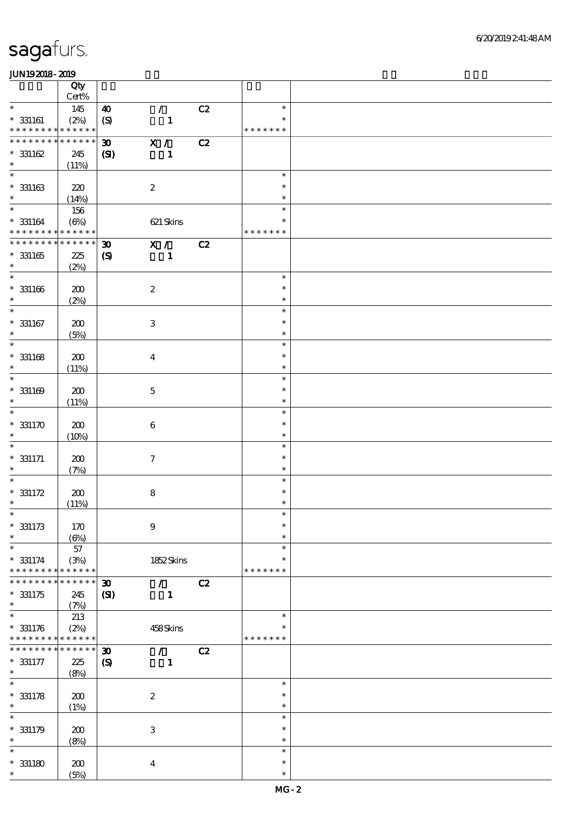6/20/2019 2:41:48 AM

#### sagafurs.

| Qty         |                                                                                                                                                                                                                                                                                                                                                                                                                                                                                                                     |                                                                                                                                                                                                                                                                                 |                                                                                                                                                                                                                                                                                                                                                                                                                |                            |                                                                                                                                                                                                                                                                                                                                                                                           |
|-------------|---------------------------------------------------------------------------------------------------------------------------------------------------------------------------------------------------------------------------------------------------------------------------------------------------------------------------------------------------------------------------------------------------------------------------------------------------------------------------------------------------------------------|---------------------------------------------------------------------------------------------------------------------------------------------------------------------------------------------------------------------------------------------------------------------------------|----------------------------------------------------------------------------------------------------------------------------------------------------------------------------------------------------------------------------------------------------------------------------------------------------------------------------------------------------------------------------------------------------------------|----------------------------|-------------------------------------------------------------------------------------------------------------------------------------------------------------------------------------------------------------------------------------------------------------------------------------------------------------------------------------------------------------------------------------------|
|             |                                                                                                                                                                                                                                                                                                                                                                                                                                                                                                                     |                                                                                                                                                                                                                                                                                 |                                                                                                                                                                                                                                                                                                                                                                                                                |                            |                                                                                                                                                                                                                                                                                                                                                                                           |
|             |                                                                                                                                                                                                                                                                                                                                                                                                                                                                                                                     |                                                                                                                                                                                                                                                                                 |                                                                                                                                                                                                                                                                                                                                                                                                                |                            |                                                                                                                                                                                                                                                                                                                                                                                           |
|             |                                                                                                                                                                                                                                                                                                                                                                                                                                                                                                                     |                                                                                                                                                                                                                                                                                 |                                                                                                                                                                                                                                                                                                                                                                                                                |                            |                                                                                                                                                                                                                                                                                                                                                                                           |
|             |                                                                                                                                                                                                                                                                                                                                                                                                                                                                                                                     |                                                                                                                                                                                                                                                                                 |                                                                                                                                                                                                                                                                                                                                                                                                                |                            |                                                                                                                                                                                                                                                                                                                                                                                           |
|             |                                                                                                                                                                                                                                                                                                                                                                                                                                                                                                                     |                                                                                                                                                                                                                                                                                 |                                                                                                                                                                                                                                                                                                                                                                                                                |                            |                                                                                                                                                                                                                                                                                                                                                                                           |
|             |                                                                                                                                                                                                                                                                                                                                                                                                                                                                                                                     |                                                                                                                                                                                                                                                                                 |                                                                                                                                                                                                                                                                                                                                                                                                                |                            |                                                                                                                                                                                                                                                                                                                                                                                           |
|             |                                                                                                                                                                                                                                                                                                                                                                                                                                                                                                                     |                                                                                                                                                                                                                                                                                 |                                                                                                                                                                                                                                                                                                                                                                                                                |                            |                                                                                                                                                                                                                                                                                                                                                                                           |
|             |                                                                                                                                                                                                                                                                                                                                                                                                                                                                                                                     |                                                                                                                                                                                                                                                                                 |                                                                                                                                                                                                                                                                                                                                                                                                                |                            |                                                                                                                                                                                                                                                                                                                                                                                           |
|             |                                                                                                                                                                                                                                                                                                                                                                                                                                                                                                                     |                                                                                                                                                                                                                                                                                 |                                                                                                                                                                                                                                                                                                                                                                                                                |                            |                                                                                                                                                                                                                                                                                                                                                                                           |
|             |                                                                                                                                                                                                                                                                                                                                                                                                                                                                                                                     |                                                                                                                                                                                                                                                                                 |                                                                                                                                                                                                                                                                                                                                                                                                                |                            |                                                                                                                                                                                                                                                                                                                                                                                           |
|             |                                                                                                                                                                                                                                                                                                                                                                                                                                                                                                                     |                                                                                                                                                                                                                                                                                 |                                                                                                                                                                                                                                                                                                                                                                                                                |                            |                                                                                                                                                                                                                                                                                                                                                                                           |
|             |                                                                                                                                                                                                                                                                                                                                                                                                                                                                                                                     |                                                                                                                                                                                                                                                                                 |                                                                                                                                                                                                                                                                                                                                                                                                                |                            |                                                                                                                                                                                                                                                                                                                                                                                           |
|             |                                                                                                                                                                                                                                                                                                                                                                                                                                                                                                                     |                                                                                                                                                                                                                                                                                 |                                                                                                                                                                                                                                                                                                                                                                                                                |                            |                                                                                                                                                                                                                                                                                                                                                                                           |
|             |                                                                                                                                                                                                                                                                                                                                                                                                                                                                                                                     |                                                                                                                                                                                                                                                                                 |                                                                                                                                                                                                                                                                                                                                                                                                                |                            |                                                                                                                                                                                                                                                                                                                                                                                           |
|             |                                                                                                                                                                                                                                                                                                                                                                                                                                                                                                                     |                                                                                                                                                                                                                                                                                 |                                                                                                                                                                                                                                                                                                                                                                                                                |                            |                                                                                                                                                                                                                                                                                                                                                                                           |
|             |                                                                                                                                                                                                                                                                                                                                                                                                                                                                                                                     |                                                                                                                                                                                                                                                                                 |                                                                                                                                                                                                                                                                                                                                                                                                                |                            |                                                                                                                                                                                                                                                                                                                                                                                           |
|             |                                                                                                                                                                                                                                                                                                                                                                                                                                                                                                                     |                                                                                                                                                                                                                                                                                 |                                                                                                                                                                                                                                                                                                                                                                                                                |                            |                                                                                                                                                                                                                                                                                                                                                                                           |
|             |                                                                                                                                                                                                                                                                                                                                                                                                                                                                                                                     |                                                                                                                                                                                                                                                                                 |                                                                                                                                                                                                                                                                                                                                                                                                                |                            |                                                                                                                                                                                                                                                                                                                                                                                           |
|             |                                                                                                                                                                                                                                                                                                                                                                                                                                                                                                                     |                                                                                                                                                                                                                                                                                 |                                                                                                                                                                                                                                                                                                                                                                                                                |                            |                                                                                                                                                                                                                                                                                                                                                                                           |
|             |                                                                                                                                                                                                                                                                                                                                                                                                                                                                                                                     |                                                                                                                                                                                                                                                                                 |                                                                                                                                                                                                                                                                                                                                                                                                                |                            |                                                                                                                                                                                                                                                                                                                                                                                           |
|             |                                                                                                                                                                                                                                                                                                                                                                                                                                                                                                                     |                                                                                                                                                                                                                                                                                 |                                                                                                                                                                                                                                                                                                                                                                                                                |                            |                                                                                                                                                                                                                                                                                                                                                                                           |
|             |                                                                                                                                                                                                                                                                                                                                                                                                                                                                                                                     |                                                                                                                                                                                                                                                                                 |                                                                                                                                                                                                                                                                                                                                                                                                                |                            |                                                                                                                                                                                                                                                                                                                                                                                           |
|             |                                                                                                                                                                                                                                                                                                                                                                                                                                                                                                                     |                                                                                                                                                                                                                                                                                 |                                                                                                                                                                                                                                                                                                                                                                                                                |                            |                                                                                                                                                                                                                                                                                                                                                                                           |
|             |                                                                                                                                                                                                                                                                                                                                                                                                                                                                                                                     |                                                                                                                                                                                                                                                                                 |                                                                                                                                                                                                                                                                                                                                                                                                                |                            |                                                                                                                                                                                                                                                                                                                                                                                           |
|             |                                                                                                                                                                                                                                                                                                                                                                                                                                                                                                                     |                                                                                                                                                                                                                                                                                 |                                                                                                                                                                                                                                                                                                                                                                                                                |                            |                                                                                                                                                                                                                                                                                                                                                                                           |
|             |                                                                                                                                                                                                                                                                                                                                                                                                                                                                                                                     |                                                                                                                                                                                                                                                                                 |                                                                                                                                                                                                                                                                                                                                                                                                                |                            |                                                                                                                                                                                                                                                                                                                                                                                           |
|             |                                                                                                                                                                                                                                                                                                                                                                                                                                                                                                                     |                                                                                                                                                                                                                                                                                 |                                                                                                                                                                                                                                                                                                                                                                                                                |                            |                                                                                                                                                                                                                                                                                                                                                                                           |
|             |                                                                                                                                                                                                                                                                                                                                                                                                                                                                                                                     |                                                                                                                                                                                                                                                                                 |                                                                                                                                                                                                                                                                                                                                                                                                                |                            |                                                                                                                                                                                                                                                                                                                                                                                           |
|             |                                                                                                                                                                                                                                                                                                                                                                                                                                                                                                                     |                                                                                                                                                                                                                                                                                 |                                                                                                                                                                                                                                                                                                                                                                                                                |                            |                                                                                                                                                                                                                                                                                                                                                                                           |
|             |                                                                                                                                                                                                                                                                                                                                                                                                                                                                                                                     |                                                                                                                                                                                                                                                                                 |                                                                                                                                                                                                                                                                                                                                                                                                                |                            |                                                                                                                                                                                                                                                                                                                                                                                           |
|             |                                                                                                                                                                                                                                                                                                                                                                                                                                                                                                                     |                                                                                                                                                                                                                                                                                 |                                                                                                                                                                                                                                                                                                                                                                                                                |                            |                                                                                                                                                                                                                                                                                                                                                                                           |
|             |                                                                                                                                                                                                                                                                                                                                                                                                                                                                                                                     |                                                                                                                                                                                                                                                                                 |                                                                                                                                                                                                                                                                                                                                                                                                                |                            |                                                                                                                                                                                                                                                                                                                                                                                           |
|             |                                                                                                                                                                                                                                                                                                                                                                                                                                                                                                                     |                                                                                                                                                                                                                                                                                 |                                                                                                                                                                                                                                                                                                                                                                                                                |                            |                                                                                                                                                                                                                                                                                                                                                                                           |
|             |                                                                                                                                                                                                                                                                                                                                                                                                                                                                                                                     |                                                                                                                                                                                                                                                                                 |                                                                                                                                                                                                                                                                                                                                                                                                                |                            |                                                                                                                                                                                                                                                                                                                                                                                           |
|             |                                                                                                                                                                                                                                                                                                                                                                                                                                                                                                                     |                                                                                                                                                                                                                                                                                 |                                                                                                                                                                                                                                                                                                                                                                                                                |                            |                                                                                                                                                                                                                                                                                                                                                                                           |
|             |                                                                                                                                                                                                                                                                                                                                                                                                                                                                                                                     |                                                                                                                                                                                                                                                                                 |                                                                                                                                                                                                                                                                                                                                                                                                                |                            |                                                                                                                                                                                                                                                                                                                                                                                           |
|             |                                                                                                                                                                                                                                                                                                                                                                                                                                                                                                                     |                                                                                                                                                                                                                                                                                 |                                                                                                                                                                                                                                                                                                                                                                                                                |                            |                                                                                                                                                                                                                                                                                                                                                                                           |
|             |                                                                                                                                                                                                                                                                                                                                                                                                                                                                                                                     |                                                                                                                                                                                                                                                                                 |                                                                                                                                                                                                                                                                                                                                                                                                                |                            |                                                                                                                                                                                                                                                                                                                                                                                           |
|             |                                                                                                                                                                                                                                                                                                                                                                                                                                                                                                                     |                                                                                                                                                                                                                                                                                 |                                                                                                                                                                                                                                                                                                                                                                                                                |                            |                                                                                                                                                                                                                                                                                                                                                                                           |
|             |                                                                                                                                                                                                                                                                                                                                                                                                                                                                                                                     |                                                                                                                                                                                                                                                                                 |                                                                                                                                                                                                                                                                                                                                                                                                                |                            |                                                                                                                                                                                                                                                                                                                                                                                           |
|             |                                                                                                                                                                                                                                                                                                                                                                                                                                                                                                                     |                                                                                                                                                                                                                                                                                 |                                                                                                                                                                                                                                                                                                                                                                                                                |                            |                                                                                                                                                                                                                                                                                                                                                                                           |
|             |                                                                                                                                                                                                                                                                                                                                                                                                                                                                                                                     |                                                                                                                                                                                                                                                                                 |                                                                                                                                                                                                                                                                                                                                                                                                                |                            |                                                                                                                                                                                                                                                                                                                                                                                           |
| * * * * * * |                                                                                                                                                                                                                                                                                                                                                                                                                                                                                                                     |                                                                                                                                                                                                                                                                                 |                                                                                                                                                                                                                                                                                                                                                                                                                |                            |                                                                                                                                                                                                                                                                                                                                                                                           |
|             |                                                                                                                                                                                                                                                                                                                                                                                                                                                                                                                     |                                                                                                                                                                                                                                                                                 |                                                                                                                                                                                                                                                                                                                                                                                                                |                            |                                                                                                                                                                                                                                                                                                                                                                                           |
|             |                                                                                                                                                                                                                                                                                                                                                                                                                                                                                                                     |                                                                                                                                                                                                                                                                                 |                                                                                                                                                                                                                                                                                                                                                                                                                |                            |                                                                                                                                                                                                                                                                                                                                                                                           |
|             |                                                                                                                                                                                                                                                                                                                                                                                                                                                                                                                     |                                                                                                                                                                                                                                                                                 |                                                                                                                                                                                                                                                                                                                                                                                                                | $\ast$                     |                                                                                                                                                                                                                                                                                                                                                                                           |
|             |                                                                                                                                                                                                                                                                                                                                                                                                                                                                                                                     |                                                                                                                                                                                                                                                                                 |                                                                                                                                                                                                                                                                                                                                                                                                                | $\ast$                     |                                                                                                                                                                                                                                                                                                                                                                                           |
|             |                                                                                                                                                                                                                                                                                                                                                                                                                                                                                                                     |                                                                                                                                                                                                                                                                                 |                                                                                                                                                                                                                                                                                                                                                                                                                | * * * * * * *              |                                                                                                                                                                                                                                                                                                                                                                                           |
| * * * * * * |                                                                                                                                                                                                                                                                                                                                                                                                                                                                                                                     |                                                                                                                                                                                                                                                                                 |                                                                                                                                                                                                                                                                                                                                                                                                                |                            |                                                                                                                                                                                                                                                                                                                                                                                           |
|             |                                                                                                                                                                                                                                                                                                                                                                                                                                                                                                                     |                                                                                                                                                                                                                                                                                 |                                                                                                                                                                                                                                                                                                                                                                                                                |                            |                                                                                                                                                                                                                                                                                                                                                                                           |
|             |                                                                                                                                                                                                                                                                                                                                                                                                                                                                                                                     |                                                                                                                                                                                                                                                                                 |                                                                                                                                                                                                                                                                                                                                                                                                                |                            |                                                                                                                                                                                                                                                                                                                                                                                           |
|             |                                                                                                                                                                                                                                                                                                                                                                                                                                                                                                                     |                                                                                                                                                                                                                                                                                 |                                                                                                                                                                                                                                                                                                                                                                                                                | $\ast$                     |                                                                                                                                                                                                                                                                                                                                                                                           |
|             |                                                                                                                                                                                                                                                                                                                                                                                                                                                                                                                     |                                                                                                                                                                                                                                                                                 |                                                                                                                                                                                                                                                                                                                                                                                                                | $\ast$                     |                                                                                                                                                                                                                                                                                                                                                                                           |
|             |                                                                                                                                                                                                                                                                                                                                                                                                                                                                                                                     |                                                                                                                                                                                                                                                                                 |                                                                                                                                                                                                                                                                                                                                                                                                                | $\ast$                     |                                                                                                                                                                                                                                                                                                                                                                                           |
|             |                                                                                                                                                                                                                                                                                                                                                                                                                                                                                                                     |                                                                                                                                                                                                                                                                                 |                                                                                                                                                                                                                                                                                                                                                                                                                | $\ast$                     |                                                                                                                                                                                                                                                                                                                                                                                           |
|             |                                                                                                                                                                                                                                                                                                                                                                                                                                                                                                                     |                                                                                                                                                                                                                                                                                 |                                                                                                                                                                                                                                                                                                                                                                                                                | $\ast$                     |                                                                                                                                                                                                                                                                                                                                                                                           |
|             |                                                                                                                                                                                                                                                                                                                                                                                                                                                                                                                     |                                                                                                                                                                                                                                                                                 |                                                                                                                                                                                                                                                                                                                                                                                                                | $\ast$                     |                                                                                                                                                                                                                                                                                                                                                                                           |
|             |                                                                                                                                                                                                                                                                                                                                                                                                                                                                                                                     |                                                                                                                                                                                                                                                                                 |                                                                                                                                                                                                                                                                                                                                                                                                                | $\ast$                     |                                                                                                                                                                                                                                                                                                                                                                                           |
|             |                                                                                                                                                                                                                                                                                                                                                                                                                                                                                                                     |                                                                                                                                                                                                                                                                                 |                                                                                                                                                                                                                                                                                                                                                                                                                | $\ast$                     |                                                                                                                                                                                                                                                                                                                                                                                           |
| (5%)        |                                                                                                                                                                                                                                                                                                                                                                                                                                                                                                                     |                                                                                                                                                                                                                                                                                 |                                                                                                                                                                                                                                                                                                                                                                                                                | $\ast$                     |                                                                                                                                                                                                                                                                                                                                                                                           |
|             | Cert%<br>145<br>(2%)<br>* * * * * * * *<br>* * * * * *<br>* * * * * *<br>* * * * * * * *<br>245<br>(11%)<br>220<br>(14%)<br>156<br>$(\Theta\%)$<br>* * * * * * * * * * * * * *<br>225<br>(2%)<br>200<br>(2%)<br>200<br>(5%)<br>200<br>(11%)<br>200<br>(11%)<br>200<br>(10%)<br>200<br>(7%)<br>200<br>(11%)<br>170<br>$(\Theta)$<br>$57\,$<br>(3%)<br>* * * * * * * *<br>* * * * * *<br>245<br>(7%)<br>213<br>(2%)<br>* * * * * * * * <mark>* * * * * *</mark> *<br>225<br>(8%)<br>200<br>(1%)<br>200<br>(8%)<br>200 | $\boldsymbol{\omega}$<br>$\boldsymbol{\mathrm{(S)}}$<br>$\boldsymbol{\mathfrak{D}}$<br>(S)<br>* * * * * * * * * * * * * *<br>$\boldsymbol{\mathfrak{D}}$<br>$\boldsymbol{S}$<br>$\boldsymbol{\mathfrak{D}}$<br>(S)<br>$\boldsymbol{\mathfrak{D}}$<br>$\boldsymbol{\mathcal{S}}$ | $\mathcal{L}$<br>$\mathbf{1}$<br>X /<br>$\mathbf{1}$<br>$\boldsymbol{2}$<br>621 Skins<br>X /<br>$\mathbf{1}$<br>$\boldsymbol{2}$<br>$\ensuremath{\mathbf{3}}$<br>$\bf{4}$<br>$\mathbf 5$<br>$\boldsymbol{6}$<br>$\boldsymbol{\tau}$<br>$\bf 8$<br>$\boldsymbol{9}$<br>1852Skins<br>$\mathcal{F}$<br>$\mathbf{1}$<br>458Skins<br>$\mathcal{L}$<br>$\mathbf{1}$<br>$\boldsymbol{2}$<br>$\,3$<br>$\boldsymbol{4}$ | C2<br>C2<br>C2<br>C2<br>C2 | $\ast$<br>$\ast$<br>* * * * * * *<br>$\ast$<br>$\ast$<br>$\ast$<br>$\ast$<br>$\ast$<br>* * * * * * *<br>$\ast$<br>$\ast$<br>$\ast$<br>$\ast$<br>$\ast$<br>$\ast$<br>$\ast$<br>$\ast$<br>$\ast$<br>$\ast$<br>$\ast$<br>$\ast$<br>$\ast$<br>$\ast$<br>$\ast$<br>$\ast$<br>$\ast$<br>$\ast$<br>$\ast$<br>$\ast$<br>$\ast$<br>$\ast$<br>$\ast$<br>$\ast$<br>$\ast$<br>$\ast$<br>* * * * * * * |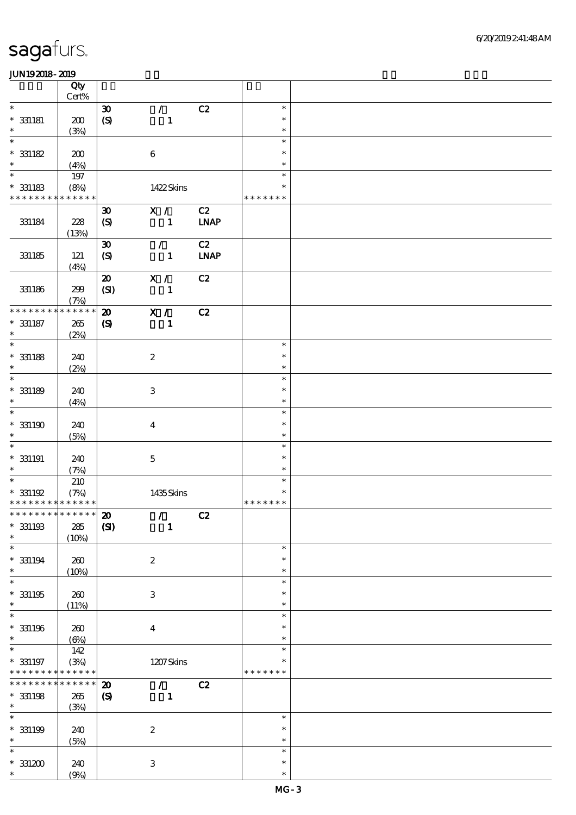|                               | Qty<br>$Cert\%$ |                             |                               |             |               |  |
|-------------------------------|-----------------|-----------------------------|-------------------------------|-------------|---------------|--|
| $\ast$                        |                 |                             |                               |             | $\ast$        |  |
|                               |                 | $\boldsymbol{\mathfrak{D}}$ | $\mathcal{L}$                 | C2          |               |  |
| $* 331181$                    | 200             | $\boldsymbol{S}$            | $\mathbf{1}$                  |             | $\ast$        |  |
| $\ast$                        | (3%)            |                             |                               |             | $\ast$        |  |
| $\ast$                        |                 |                             |                               |             | $\ast$        |  |
| $* 331182$                    | 200             |                             | $\bf 6$                       |             | $\ast$        |  |
| $\ast$                        | (4%)            |                             |                               |             | $\ast$        |  |
| $\ast$                        | 197             |                             |                               |             | $\ast$        |  |
| $^\ast$ 331183                | (8%)            |                             | 1422Skins                     |             | $\ast$        |  |
| * * * * * * * * * * * * * *   |                 |                             |                               |             | * * * * * * * |  |
|                               |                 | $\boldsymbol{\mathfrak{D}}$ | X /                           | C2          |               |  |
| 331184                        | 228             |                             |                               | <b>LNAP</b> |               |  |
|                               |                 | $\boldsymbol{\mathrm{(S)}}$ | $\mathbf{1}$                  |             |               |  |
|                               | (13%)           |                             |                               |             |               |  |
|                               |                 | $\boldsymbol{\mathfrak{D}}$ | $\mathcal{L}$                 | C2          |               |  |
| 331185                        | 121             | $\boldsymbol{\mathrm{(S)}}$ | $\blacksquare$                | <b>LNAP</b> |               |  |
|                               | (4%)            |                             |                               |             |               |  |
|                               |                 | $\boldsymbol{\mathfrak{D}}$ | X /                           | C2          |               |  |
| 331186                        | 299             | (SI)                        | $\mathbf{1}$                  |             |               |  |
|                               | (7%)            |                             |                               |             |               |  |
| * * * * * * *                 | * * * * * *     | $\boldsymbol{\mathfrak{D}}$ | X /                           | C2          |               |  |
| $* 331187$                    | 265             | $\pmb{\infty}$              | $\mathbf{1}$                  |             |               |  |
| $\ast$                        | (2%)            |                             |                               |             |               |  |
| $\ast$                        |                 |                             |                               |             | $\ast$        |  |
| $*$ 331188                    | 240             |                             | $\boldsymbol{2}$              |             | $\ast$        |  |
| $\ast$                        |                 |                             |                               |             | $\ast$        |  |
| $\ast$                        | (2%)            |                             |                               |             |               |  |
|                               |                 |                             |                               |             | $\ast$        |  |
| $* 331189$                    | 240             |                             | $\ensuremath{\mathbf{3}}$     |             | $\ast$        |  |
| $\ast$                        | (4%)            |                             |                               |             | $\ast$        |  |
| $\ast$                        |                 |                             |                               |             | $\ast$        |  |
| $*331190$                     | 240             |                             | $\boldsymbol{4}$              |             | $\ast$        |  |
| $\ast$                        | (5%)            |                             |                               |             | $\ast$        |  |
| $\ast$                        |                 |                             |                               |             | $\ast$        |  |
| $*$ 331191                    | 240             |                             | $\mathbf 5$                   |             | $\ast$        |  |
| $\ast$                        | (7%)            |                             |                               |             | $\ast$        |  |
| $\ast$                        | 210             |                             |                               |             | $\ast$        |  |
| $* 331192$                    | (7%)            |                             | 1435Skins                     |             | $\ast$        |  |
| * * * * * * * * * * * * * *   |                 |                             |                               |             | * * * * * * * |  |
| * * * * * * * * * * * * * * * |                 |                             |                               |             |               |  |
|                               |                 | $\boldsymbol{\mathfrak{D}}$ | $\overline{A}_{\overline{A}}$ | C2          |               |  |
| $^\ast$ 331193                | 285             | (S)                         | $\mathbf{1}$                  |             |               |  |
| $\ast$                        | (10%)           |                             |                               |             |               |  |
| $\ast$                        |                 |                             |                               |             | $\ast$        |  |
| $* 331194$                    | 200             |                             | $\boldsymbol{2}$              |             | $\ast$        |  |
| $\ast$                        | (10%)           |                             |                               |             | $\ast$        |  |
| $\ast$                        |                 |                             |                               |             | $\ast$        |  |
| $^\ast$ 331195                | 260             |                             | 3                             |             | $\ast$        |  |
| $\ast$                        | (11%)           |                             |                               |             | $\ast$        |  |
| $\ast$                        |                 |                             |                               |             | $\ast$        |  |
| $*$ 331196                    | 200             |                             | $\boldsymbol{4}$              |             | $\ast$        |  |
| $\ast$                        | (6%)            |                             |                               |             | $\ast$        |  |
| $\ast$                        | 142             |                             |                               |             | $\ast$        |  |
| $*$ 331197                    | (3%)            |                             | $1207$ Skins                  |             | $\ast$        |  |
| * * * * * * * * * * * * * *   |                 |                             |                               |             | * * * * * * * |  |
| * * * * * * * *               | $* * * * * * *$ | $\boldsymbol{\mathfrak{D}}$ | $\mathcal{L}$                 | C2          |               |  |
|                               |                 |                             |                               |             |               |  |
| $*$ 331198<br>$\ast$          | 265             | $\boldsymbol{\mathrm{(S)}}$ | $\mathbf{1}$                  |             |               |  |
| $\ast$                        | (3%)            |                             |                               |             |               |  |
|                               |                 |                             |                               |             | $\ast$        |  |
| $* 331199$                    | 240             |                             | $\boldsymbol{2}$              |             | $\ast$        |  |
| $\ast$                        | (5%)            |                             |                               |             | $\ast$        |  |
| $\ast$                        |                 |                             |                               |             | $\ast$        |  |
| $*331200$                     | 240             |                             | $\ensuremath{\mathbf{3}}$     |             | $\ast$        |  |
| $\ast$                        | (9%)            |                             |                               |             | $\ast$        |  |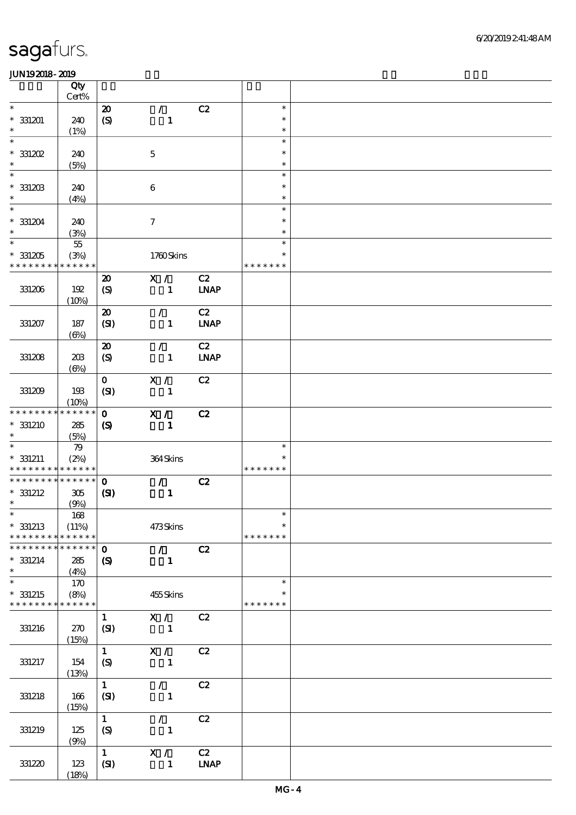|                                                                         | Qty<br>Cert%        |                             |                  |                              |                  |  |
|-------------------------------------------------------------------------|---------------------|-----------------------------|------------------|------------------------------|------------------|--|
| $\ast$                                                                  |                     | $\boldsymbol{\mathfrak{D}}$ | $\mathcal{L}$    | C2                           | $\ast$           |  |
| $*331201$                                                               | 240                 | $\boldsymbol{S}$            | $\mathbf{1}$     |                              | $\ast$           |  |
| $\ast$                                                                  | (1%)                |                             |                  |                              | $\ast$           |  |
| $\ast$                                                                  |                     |                             |                  |                              | $\ast$           |  |
| $*331202$                                                               | 240                 |                             | $\mathbf 5$      |                              | $\ast$           |  |
| $\ast$                                                                  | (5%)                |                             |                  |                              | $\ast$           |  |
| $\ast$                                                                  |                     |                             |                  |                              | $\ast$           |  |
| $*$ 331203<br>$\ast$                                                    | 240                 |                             | $\boldsymbol{6}$ |                              | $\ast$           |  |
| $\ast$                                                                  | (4%)                |                             |                  |                              | $\ast$<br>$\ast$ |  |
|                                                                         |                     |                             |                  |                              | $\ast$           |  |
| $*331204$<br>$\ast$                                                     | 240                 |                             | $\tau$           |                              | $\ast$           |  |
| $\overline{\ast}$                                                       | (3%)<br>$5\!5$      |                             |                  |                              | $\ast$           |  |
|                                                                         |                     |                             |                  |                              | $\ast$           |  |
| $*331205$<br>* * * * * * * *                                            | (3%)<br>* * * * * * |                             | 1760Skins        |                              | * * * * * * *    |  |
|                                                                         |                     | $\boldsymbol{\mathbf{z}}$   | X /              | C2                           |                  |  |
| 331206                                                                  | 192                 | $\pmb{\text{(S)}}$          | $\mathbf{1}$     | <b>LNAP</b>                  |                  |  |
|                                                                         | (10%)               |                             |                  |                              |                  |  |
|                                                                         |                     | $\boldsymbol{\mathfrak{D}}$ | $\mathcal{L}$    | C2                           |                  |  |
| 331207                                                                  | 187                 | (SI)                        | $\mathbf{1}$     | $\ensuremath{\mathbf{INAP}}$ |                  |  |
|                                                                         | $(\Theta)$          |                             |                  |                              |                  |  |
|                                                                         |                     | $\boldsymbol{\mathfrak{D}}$ | $\mathcal{L}$    | C2                           |                  |  |
| 331208                                                                  | 20B                 | $\boldsymbol{S}$            | $\mathbf{1}$     | <b>LNAP</b>                  |                  |  |
|                                                                         | $(\Theta)$          |                             |                  |                              |                  |  |
|                                                                         |                     | $\mathbf{O}$                | X /              | C2                           |                  |  |
| 331209                                                                  | 193                 | (SI)                        | $\mathbf{1}$     |                              |                  |  |
|                                                                         | (10%)               |                             |                  |                              |                  |  |
| * * * * * * * *                                                         | * * * * * *         | $\mathbf 0$                 | X /              | C2                           |                  |  |
| $*331210$                                                               | 285                 | $\boldsymbol{S}$            | $\mathbf{1}$     |                              |                  |  |
| $\ast$                                                                  | (5%)                |                             |                  |                              |                  |  |
| $\ast$                                                                  | 79                  |                             |                  |                              | $\ast$           |  |
| $* 331211$                                                              | (2%)                |                             | 364Skins         |                              | $\ast$           |  |
| * * * * * * * * <mark>* * * * * *</mark><br>* * * * * * * * * * * * * * |                     |                             |                  |                              | * * * * * * *    |  |
|                                                                         |                     | $\mathbf{o}$                | $\mathcal{L}$    | C2                           |                  |  |
| $*$ 331212<br>$\ast$                                                    | $305\,$             | (S)                         | $\mathbf{1}$     |                              |                  |  |
| $\ast$                                                                  | (9%)<br>168         |                             |                  |                              | $\ast$           |  |
| $*$ 331213                                                              | (11%)               |                             | 473Skins         |                              | $\ast$           |  |
| * * * * * * * *                                                         | * * * * * *         |                             |                  |                              | * * * * * * *    |  |
| * * * * * * *                                                           | * * * * * *         | $\mathbf 0$                 | $\mathcal{L}$    | C2                           |                  |  |
| $* 331214$                                                              | 285                 | $\boldsymbol{\mathcal{S}}$  | $\mathbf{1}$     |                              |                  |  |
| $\ast$                                                                  | (4%)                |                             |                  |                              |                  |  |
| $\ast$                                                                  | 170                 |                             |                  |                              | $\ast$           |  |
| $*331215$                                                               | (8%)                |                             | 455Skins         |                              | $\ast$           |  |
| * * * * * * * * * * * * * *                                             |                     |                             |                  |                              | * * * * * * *    |  |
|                                                                         |                     | $\mathbf{1}$                | X /              | C2                           |                  |  |
| 331216                                                                  | 270                 | (SI)                        | $\mathbf{1}$     |                              |                  |  |
|                                                                         | (15%)               |                             |                  |                              |                  |  |
|                                                                         |                     | $\mathbf{1}$                | $\mathbf{X}$ /   | C2                           |                  |  |
| 331217                                                                  | 154                 | $\boldsymbol{\mathrm{(S)}}$ | $\mathbf{1}$     |                              |                  |  |
|                                                                         | (13%)               |                             |                  |                              |                  |  |
|                                                                         |                     | $\mathbf{1}$                | $\mathcal{L}$    | C2                           |                  |  |
| 331218                                                                  | 166                 | (SI)                        | $\mathbf{1}$     |                              |                  |  |
|                                                                         | (15%)               | $\mathbf{1}$                | $\mathcal{L}$    | C2                           |                  |  |
| 331219                                                                  | 125                 | (S)                         | $\mathbf{1}$     |                              |                  |  |
|                                                                         | (9%)                |                             |                  |                              |                  |  |
|                                                                         |                     | $\mathbf{1}$                | X /              | C2                           |                  |  |
| 331220                                                                  | 123                 | (SI)                        | $\mathbf{1}$     | <b>LNAP</b>                  |                  |  |
|                                                                         | (18%)               |                             |                  |                              |                  |  |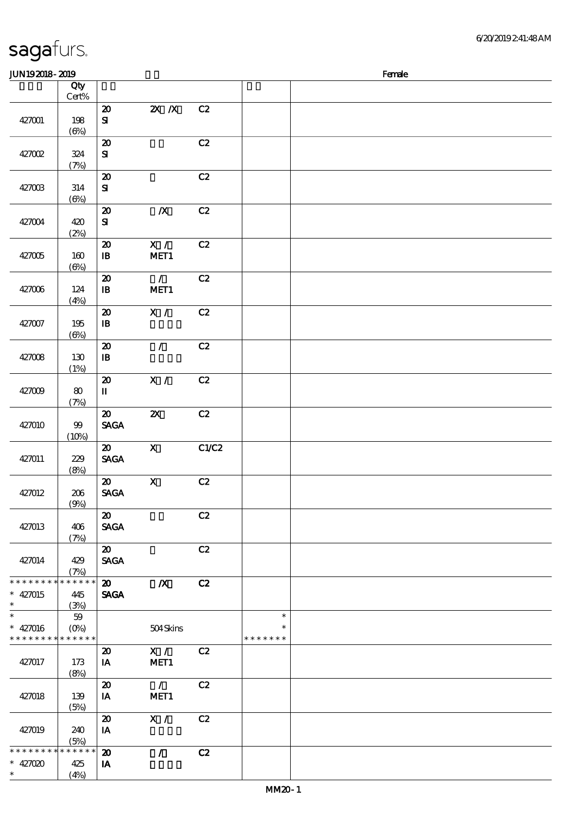|  | sagafurs. |
|--|-----------|
|  |           |

#### JUN192018-2019 Female 顺序号 Qty 说明 价格 Cert% 20 2X /X C2 427001 198 SI (6%) 20 C2 427002 324 SI (7%) 20 C2 427003 314 SI (6%) 20 *N* C2 427004 420 SI (2%) 20 X/ C2 427005 160 IB MET1 (6%) 20 / C2 427006 124 IB MET1 (4%) 20 X/ C2 427007 195  $\mathbf{B}$ (6%) 20 / C2

|                                                    | Cert%                                     |                                                                      |                           |       |                              |  |
|----------------------------------------------------|-------------------------------------------|----------------------------------------------------------------------|---------------------------|-------|------------------------------|--|
| 427001                                             | 198<br>$(\Theta)$                         | $\boldsymbol{\mathsf{20}}$<br>${\bf S\hspace{-.075ex}I}$             | $X$ $X$                   | C2    |                              |  |
| 427002                                             | 324<br>(7%)                               | $\pmb{\mathcal{Z}}$<br>${\bf S}$                                     |                           | C2    |                              |  |
| 427003                                             | 314<br>$(\Theta\% )$                      | $\pmb{\mathcal{Z}}$<br>${\bf S\hspace{-.075ex}I}$                    |                           | C2    |                              |  |
| 427004                                             | 420<br>(2%)                               | ${\bf Z}$<br>$\mathbf{S}$                                            | $\boldsymbol{X}$          | C2    |                              |  |
| 427005                                             | 160<br>$(\Theta)$                         | $\pmb{\mathcal{Z}}$<br>${\bf I\!B}$                                  | X /<br>MET1               | C2    |                              |  |
| 427006                                             | 124<br>(4%)                               | $\boldsymbol{\mathsf{20}}$<br>$\, {\bf I} \! {\bf B} \,$             | $\mathcal{L}$<br>MET1     | C2    |                              |  |
| 427007                                             | 195<br>$(\Theta)$                         | $\boldsymbol{\mathsf{20}}$<br>$\, {\bf I} \! {\bf B} \,$             | X /                       | C2    |                              |  |
| 427008                                             | 130<br>(1%)                               | $\boldsymbol{\mathfrak{D}}$<br>$\, {\bf B}$                          | $\mathcal{L}$             | C2    |                              |  |
| 427009                                             | 80<br>(7%)                                | $\boldsymbol{\mathfrak{D}}$<br>$\rm I\hspace{-.1em}I\hspace{-.1em}I$ | X /                       | C2    |                              |  |
| 427010                                             | $99$<br>(10%)                             | $\boldsymbol{\mathfrak{D}}$<br>$\ensuremath{\mathsf{SAGA}}$          | $\boldsymbol{\mathsf{z}}$ | C2    |                              |  |
| 427011                                             | 229<br>(8%)                               | $\boldsymbol{\mathfrak{D}}$<br>$\operatorname{\mathsf{SAGA}}$        | $\boldsymbol{\mathsf{X}}$ | C1/C2 |                              |  |
| 427012                                             | 206<br>(9%)                               | $\boldsymbol{\mathfrak{D}}$<br>$\operatorname{\mathsf{SAGA}}$        | $\mathbf X$               | C2    |                              |  |
| 427013                                             | 406<br>(7%)                               | $\boldsymbol{\mathfrak{D}}$<br>$\pmb{\text{SAGA}}$                   |                           | C2    |                              |  |
| 427014                                             | 429<br>(7%)                               | $\boldsymbol{\mathfrak{D}}$<br><b>SAGA</b>                           |                           | C2    |                              |  |
| * * * * * *<br>$* 427015$<br>$\ast$                | * * * * *<br>$\ast$<br>445<br>(3%)        | $\boldsymbol{\omega}$<br><b>SAGA</b>                                 | $\boldsymbol{X}$          | C2    |                              |  |
| $\overline{\ast}$<br>$* 427016$<br>* * * * * * * * | $59$<br>$(O\!/\!\!\delta)$<br>* * * * * * |                                                                      | 504Skins                  |       | $\ast$<br>∗<br>* * * * * * * |  |
| 427017                                             | 173<br>(8%)                               | $\boldsymbol{\mathfrak{D}}$<br>IA                                    | X /<br>MET1               | C2    |                              |  |
| 427018                                             | 139<br>(5%)                               | $\boldsymbol{\mathsf{20}}$<br>IA                                     | $\mathcal{L}$<br>MET1     | C2    |                              |  |
| 427019                                             | 240<br>(5%)                               | $\boldsymbol{\mathsf{20}}$<br>IA                                     | X /                       | C2    |                              |  |
| * * * * * *<br>* $427020$<br>$\ast$                | $* * * * * * *$<br>425<br>(4%)            | $\boldsymbol{\mathbf{z}}$<br>IA                                      | $\mathcal{L}$             | C2    |                              |  |

 $\overline{\phantom{a}}$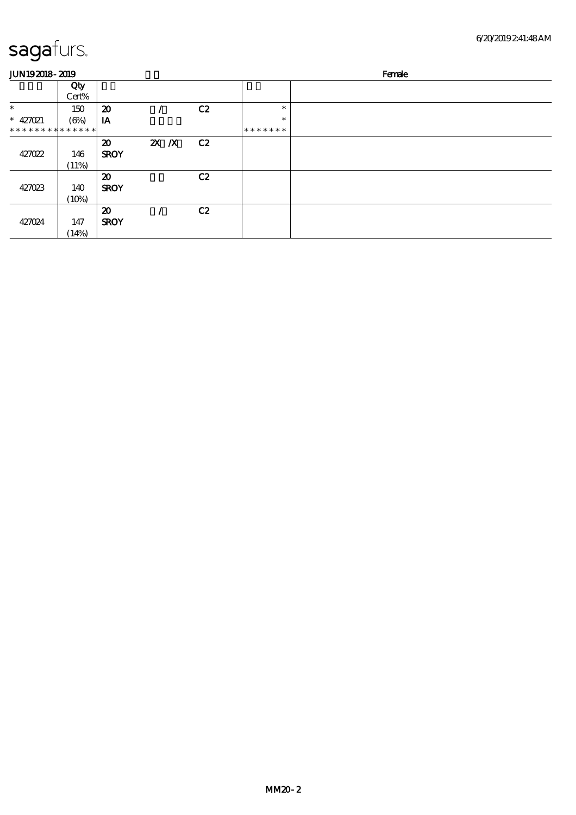| <b>JUN192018-2019</b>         |            |                             |         |    |         | Female |
|-------------------------------|------------|-----------------------------|---------|----|---------|--------|
|                               | Qty        |                             |         |    |         |        |
|                               | Cert%      |                             |         |    |         |        |
| $\ast$                        | 150        | $\boldsymbol{\mathfrak{D}}$ |         | C2 | $\ast$  |        |
| $* 427021$                    | $(\Theta)$ | IA                          |         |    | $\ast$  |        |
| * * * * * * * * * * * * * * * |            |                             |         |    | ******* |        |
|                               |            | $\boldsymbol{\mathfrak{D}}$ | $X$ $X$ | C2 |         |        |
| 427022                        | 146        | <b>SROY</b>                 |         |    |         |        |
|                               | (11%)      |                             |         |    |         |        |
|                               |            | $\boldsymbol{\mathbf{z}}$   |         | C2 |         |        |
| 427023                        | 140        | <b>SROY</b>                 |         |    |         |        |
|                               | (10%)      |                             |         |    |         |        |
|                               |            | $\boldsymbol{\mathfrak{D}}$ |         | C2 |         |        |
| 427024                        | 147        | <b>SROY</b>                 |         |    |         |        |
|                               | (14%)      |                             |         |    |         |        |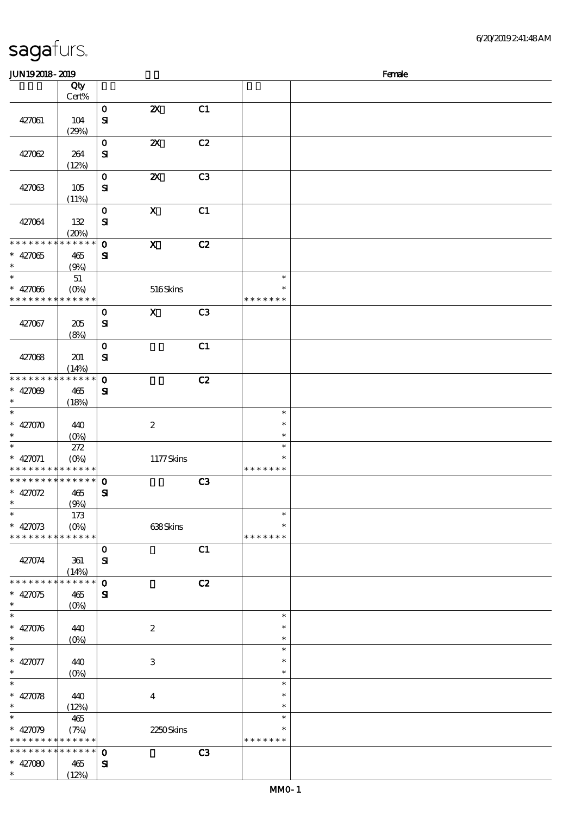|  |  | sagafurs. |
|--|--|-----------|
|--|--|-----------|

| JUN192018-2019                                                             |                                        |                              |                           |                |                                   | Female |
|----------------------------------------------------------------------------|----------------------------------------|------------------------------|---------------------------|----------------|-----------------------------------|--------|
|                                                                            | Qty<br>Cert%                           |                              |                           |                |                                   |        |
| 427061                                                                     | 104<br>(29%)                           | $\mathbf O$<br>$\mathbf{S}$  | $\boldsymbol{\mathsf{z}}$ | C1             |                                   |        |
| 427062                                                                     | 264<br>(12%)                           | $\mathbf{o}$<br>${\bf s}$    | $\boldsymbol{\mathsf{z}}$ | C2             |                                   |        |
| 427063                                                                     | 105<br>(11%)                           | $\mathbf{o}$<br>$\mathbf{S}$ | $\boldsymbol{\mathsf{z}}$ | C <sub>3</sub> |                                   |        |
| 427064                                                                     | $132$<br>(20%)                         | $\mathbf{o}$<br>$\mathbf{S}$ | $\mathbf X$               | C1             |                                   |        |
| * * * * * * * *<br>$* 427065$<br>$\ast$                                    | * * * * * *<br>465<br>(9%)             | $\mathbf 0$<br>${\bf s}$     | $\mathbf X$               | C2             |                                   |        |
| $\ast$<br>$* 427066$<br>* * * * * * * * * * * * * *                        | 51<br>$(O\%)$                          |                              | 516Skins                  |                | $\ast$<br>$\ast$<br>* * * * * * * |        |
| 427067                                                                     | 205<br>(8%)                            | $\mathbf{o}$<br>${\bf s}$    | $\mathbf X$               | C <sub>3</sub> |                                   |        |
| 427068                                                                     | 201<br>(14%)                           | $\mathbf 0$<br>${\bf s}$     |                           | C1             |                                   |        |
| * * * * * * * *<br>$* 427009$<br>$\ast$                                    | $******$<br>465<br>(18%)               | $\mathbf{o}$<br>$\mathbf{S}$ |                           | C2             |                                   |        |
| $\overline{\ast}$<br>$* 42000$<br>$\ast$                                   | 440<br>$(0\%)$                         |                              | $\boldsymbol{2}$          |                | $\ast$<br>$\ast$<br>$\ast$        |        |
| $\ast$<br>$* 427071$<br>* * * * * * * * * * * * * *                        | 272<br>$(O\%)$                         |                              | 1177Skins                 |                | $\ast$<br>$\ast$<br>* * * * * * * |        |
| * * * * * * * * * * * * * * *<br>$* 427072$<br>$\ast$<br>$\overline{\ast}$ | 465<br>(9%)                            | $\mathbf 0$<br>$\mathbf{S}$  |                           | C3             |                                   |        |
| $* 427073$<br>* * * * * * * * * * * * * *                                  | 173<br>$(0\%)$                         |                              | 638Skins                  |                | $\ast$<br>$\ast$<br>* * * * * * * |        |
| 427074                                                                     | 361<br>(14%)                           | $\mathbf 0$<br>${\bf S}$     |                           | C1             |                                   |        |
| * * * * * * * * * * * * * *<br>$* 42075$<br>$\ast$<br>$\ast$               | 465<br>$(O\%)$                         | $\mathbf 0$<br>${\bf s}$     |                           | C2             |                                   |        |
| $* 42006$<br>$\ast$                                                        | 440<br>$(0\%)$                         |                              | $\boldsymbol{2}$          |                | $\ast$<br>$\ast$<br>$\ast$        |        |
| $\ast$<br>$* 427077$<br>$\ast$                                             | 440<br>$(O\!\!\!\!\!\!\backslash\rho)$ |                              | $\ensuremath{\mathbf{3}}$ |                | $\ast$<br>$\ast$<br>$\ast$        |        |
| $\ast$<br>$* 427078$<br>$\ast$                                             | 440<br>(12%)                           |                              | $\boldsymbol{4}$          |                | $\ast$<br>$\ast$<br>$\ast$        |        |
| $\ast$<br>$* 42079$<br>* * * * * * * * * * * * * *                         | 465<br>(7%)                            |                              | 2250Skins                 |                | $\ast$<br>$\ast$<br>* * * * * * * |        |
| * * * * * * * * * * * * * * *<br>$* 427080$<br>$\ast$                      | 465<br>(12%)                           | $\mathbf{o}$<br>$\mathbf{S}$ |                           | C3             |                                   |        |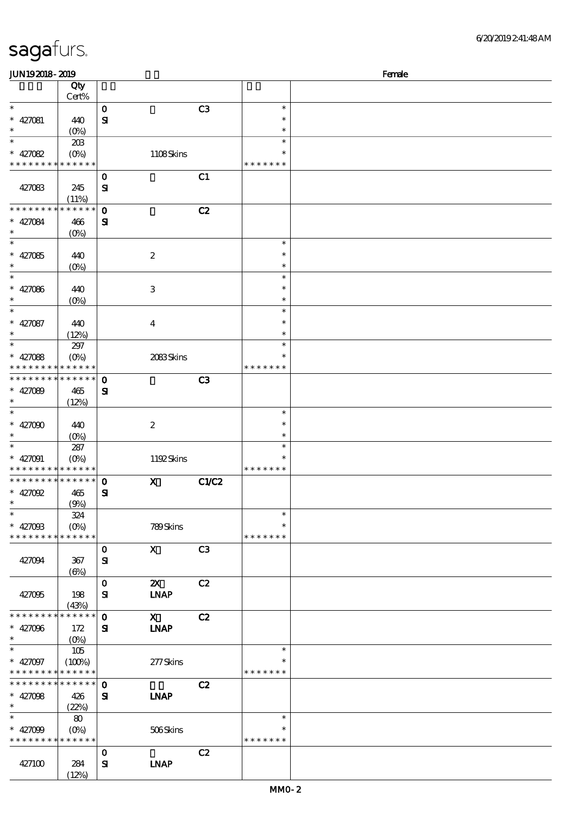| JUN192018-2019                |                       |              |                           |                |               | Female |
|-------------------------------|-----------------------|--------------|---------------------------|----------------|---------------|--------|
|                               | Qty                   |              |                           |                |               |        |
|                               | Cert%                 |              |                           |                |               |        |
| $\ast$                        |                       | $\mathbf O$  |                           | C <sub>3</sub> | $\ast$        |        |
| $* 427081$                    | 440                   | $\mathbf{S}$ |                           |                | $\ast$        |        |
| $\ast$                        | (0%)                  |              |                           |                | $\ast$        |        |
| $\ast$                        | 20B                   |              |                           |                | $\ast$        |        |
| $* 427082$                    | $(O\%)$               |              | 1108Skins                 |                | ∗             |        |
| * * * * * * * * * * * * * *   |                       |              |                           |                | * * * * * * * |        |
|                               |                       | $\mathbf 0$  |                           | C1             |               |        |
| 427083                        | 245                   | $\mathbf{S}$ |                           |                |               |        |
|                               | (11%)<br>* * * * * *  |              |                           |                |               |        |
| * * * * * * * *               |                       | $\mathbf{o}$ |                           | C2             |               |        |
| $* 427084$<br>$\ast$          | 466                   | $\mathbf{S}$ |                           |                |               |        |
| $\ast$                        | $(O\!/\!\!\delta)$    |              |                           |                | $\ast$        |        |
|                               |                       |              |                           |                | $\ast$        |        |
| $* 427085$<br>$\ast$          | 440                   |              | $\boldsymbol{2}$          |                | $\ast$        |        |
| $\ast$                        | $(0\%)$               |              |                           |                | $\ast$        |        |
|                               |                       |              |                           |                | $\ast$        |        |
| $* 427086$<br>$\ast$          | 440                   |              | $\,3$                     |                | $\ast$        |        |
| $\ast$                        | $(O\!/\!o)$           |              |                           |                | $\ast$        |        |
| $* 427087$                    | 440                   |              | $\boldsymbol{4}$          |                | $\ast$        |        |
| $\ast$                        | (12%)                 |              |                           |                | $\ast$        |        |
| $\ast$                        | 297                   |              |                           |                | $\ast$        |        |
| $* 427088$                    | $(O\%)$               |              | 2083Skins                 |                | $\ast$        |        |
| * * * * * * * *               | * * * * * *           |              |                           |                | * * * * * * * |        |
| * * * * * * * *               | * * * * * *           | $\mathbf{o}$ |                           | C3             |               |        |
| $* 427089$                    | 465                   | ${\bf s}$    |                           |                |               |        |
| $\ast$                        | (12%)                 |              |                           |                |               |        |
| $\ast$                        |                       |              |                           |                | $\ast$        |        |
| $* 427000$                    | 440                   |              | $\boldsymbol{2}$          |                | $\ast$        |        |
| $\ast$                        | $(0\%)$               |              |                           |                | $\ast$        |        |
| $\ast$                        | 287                   |              |                           |                | $\ast$        |        |
| $* 427091$                    | $(O\!/\!o)$           |              | 1192Skins                 |                | $\ast$        |        |
| * * * * * * * *               | * * * * * *           |              |                           |                | * * * * * * * |        |
| * * * * * * * *               | * * * * * *           | $\mathbf 0$  | $\mathbf x$               | C1/C2          |               |        |
| $* 427092$                    | 465                   | $\mathbf{S}$ |                           |                |               |        |
| $\ast$                        | (9%)                  |              |                           |                |               |        |
| $\overline{\ast}$             | 324                   |              |                           |                | $\ast$        |        |
| $* 427098$                    | $(O\%)$               |              | 789Skins                  |                | $\ast$        |        |
| * * * * * * * * * * * * * *   |                       |              |                           |                | * * * * * * * |        |
|                               |                       | $\mathbf 0$  | $\mathbf{X}$              | C <sub>3</sub> |               |        |
| 427094                        | 367                   | ${\bf s}$    |                           |                |               |        |
|                               | $(\Theta)$            |              |                           |                |               |        |
|                               |                       | $\mathbf{o}$ | $\boldsymbol{\mathsf{Z}}$ | C2             |               |        |
| 427095                        | 198                   | ${\bf s}$    | <b>INAP</b>               |                |               |        |
|                               | (43%)                 |              |                           |                |               |        |
| * * * * * * * *               | * * * * * *           | $\mathbf{o}$ | $\mathbf{X}$              | C2             |               |        |
| $* 427096$                    | 172                   | ${\bf s}$    | <b>INAP</b>               |                |               |        |
| $\ast$<br>$\ast$              | (O <sub>0</sub> )     |              |                           |                | $\ast$        |        |
|                               | $105$                 |              |                           |                | $\ast$        |        |
| $* 427097$<br>* * * * * * * * | (100%)<br>* * * * * * |              | 277Skins                  |                | * * * * * * * |        |
| * * * * * * * *               | * * * * * *           | $\mathbf{o}$ |                           | C2             |               |        |
| $* 427098$                    | 426                   | ${\bf s}$    | <b>INAP</b>               |                |               |        |
| $\ast$                        | (22%)                 |              |                           |                |               |        |
| $\ast$                        | 80                    |              |                           |                | $\ast$        |        |
| $* 427099$                    | $(0\%)$               |              | 506Skins                  |                | ∗             |        |
| * * * * * * * * * * * * * *   |                       |              |                           |                | * * * * * * * |        |
|                               |                       | $\mathbf 0$  |                           | C2             |               |        |
| 427100                        | 284                   | $\mathbf{S}$ | <b>LNAP</b>               |                |               |        |
|                               | (12%)                 |              |                           |                |               |        |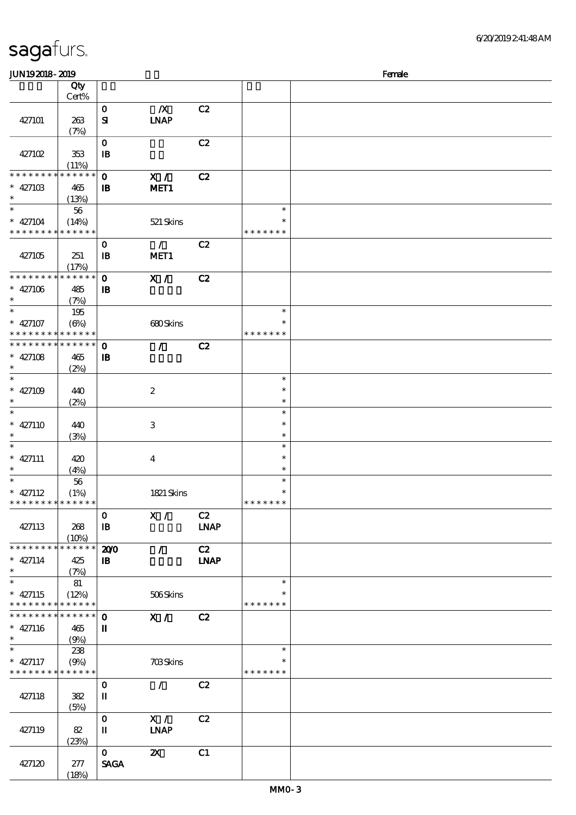| sagafurs. |
|-----------|
|           |

| <b>JUN192018-2019</b>                     |                                                               |                            |                           |             |               | Female |
|-------------------------------------------|---------------------------------------------------------------|----------------------------|---------------------------|-------------|---------------|--------|
|                                           | Qty                                                           |                            |                           |             |               |        |
|                                           | Cert%                                                         |                            |                           |             |               |        |
|                                           |                                                               | $\mathbf O$                | $\boldsymbol{X}$          | C2          |               |        |
| 427101                                    | 263                                                           | $\mathbf{S}$               | <b>INAP</b>               |             |               |        |
|                                           | (7%)                                                          |                            |                           |             |               |        |
|                                           |                                                               | $\mathbf{o}$               |                           | C2          |               |        |
| 427102                                    | 353                                                           | $\mathbf{B}$               |                           |             |               |        |
|                                           |                                                               |                            |                           |             |               |        |
| * * * * * * * *                           | (11%)<br>******                                               |                            |                           |             |               |        |
|                                           |                                                               | $\mathbf{o}$               | $\mathbf{X}$ /            | C2          |               |        |
| $* 42710B$                                | 465                                                           | $\mathbf{B}$               | MET1                      |             |               |        |
| $\ast$                                    | (13%)                                                         |                            |                           |             |               |        |
| $\ast$                                    | 56                                                            |                            |                           |             | $\ast$        |        |
| $* 427104$                                | (14%)                                                         |                            | 521 Skins                 |             | $\ast$        |        |
| * * * * * * * * * * * * * *               |                                                               |                            |                           |             | * * * * * * * |        |
|                                           |                                                               | $\mathbf{o}$               | $\mathcal{L}$             | C2          |               |        |
| 427105                                    | 251                                                           | $\mathbf{B}$               | MET <sub>1</sub>          |             |               |        |
|                                           | (17%)                                                         |                            |                           |             |               |        |
| * * * * * * * *                           | $\begin{array}{cccccccccc} * & * & * & * & * & * \end{array}$ | $\mathbf{o}$               | X /                       | C2          |               |        |
| $* 427106$                                | 485                                                           | $\mathbf{B}$               |                           |             |               |        |
| $\ast$                                    | (7%)                                                          |                            |                           |             |               |        |
| $\ast$                                    | 195                                                           |                            |                           |             | $\ast$        |        |
|                                           |                                                               |                            | 680Skins                  |             | $\ast$        |        |
| $* 427107$<br>* * * * * * * * * * * * * * | (6%)                                                          |                            |                           |             | * * * * * * * |        |
|                                           |                                                               |                            |                           |             |               |        |
| * * * * * * * * * * * * * * *             |                                                               | $\mathbf 0$                | $\mathcal{L}$             | C2          |               |        |
| $* 427108$                                | 465                                                           | $\mathbf{B}$               |                           |             |               |        |
| $\ast$                                    | (2%)                                                          |                            |                           |             |               |        |
| $\ast$                                    |                                                               |                            |                           |             | $\ast$        |        |
| $* 427109$                                | 440                                                           |                            | $\boldsymbol{z}$          |             | $\ast$        |        |
| $\ast$                                    | (2%)                                                          |                            |                           |             | $\ast$        |        |
| $\ast$                                    |                                                               |                            |                           |             | $\ast$        |        |
| $* 427110$                                | 440                                                           |                            | 3                         |             | $\ast$        |        |
| $\ast$                                    | (3%)                                                          |                            |                           |             | $\ast$        |        |
| $\ast$                                    |                                                               |                            |                           |             | $\ast$        |        |
| $* 427111$                                | 420                                                           |                            | $\boldsymbol{4}$          |             | $\ast$        |        |
| $\ast$                                    | (4%)                                                          |                            |                           |             | $\ast$        |        |
| $*$                                       | 56                                                            |                            |                           |             | $\ast$        |        |
| $* 427112$                                | (1%)                                                          |                            | 1821 Skins                |             | $\ast$        |        |
| * * * * * * * * * * * * * *               |                                                               |                            |                           |             | *******       |        |
|                                           |                                                               | $\mathbf{O}$               | X /                       | C2          |               |        |
| 427113                                    |                                                               | $\, {\bf I} \! {\bf B} \,$ |                           |             |               |        |
|                                           | 268                                                           |                            |                           | <b>LNAP</b> |               |        |
|                                           | (10%)                                                         |                            |                           |             |               |        |
| * * * * * * * *                           | * * * * * *                                                   | 200                        | $\mathcal{L}$             | C2          |               |        |
| $* 427114$                                | 425                                                           | $\mathbf{B}$               |                           | <b>INAP</b> |               |        |
| $\ast$                                    | (7%)                                                          |                            |                           |             |               |        |
| $*$                                       | 81                                                            |                            |                           |             | $\ast$        |        |
| $* 427115$                                | (12%)                                                         |                            | 506Skins                  |             |               |        |
| * * * * * * * * * * * * * *               |                                                               |                            |                           |             | * * * * * * * |        |
| * * * * * * * *                           | $\ast\ast\ast\ast\ast\ast$                                    | $\mathbf 0$                | X /                       | C2          |               |        |
| $* 427116$                                | 465                                                           | $\blacksquare$             |                           |             |               |        |
| $\ast$                                    | (9%)                                                          |                            |                           |             |               |        |
| $\ast$                                    | 238                                                           |                            |                           |             | $\ast$        |        |
| $* 427117$                                | (9%)                                                          |                            | <b>703Skins</b>           |             | ∗             |        |
| * * * * * * * * * * * * * *               |                                                               |                            |                           |             | * * * * * * * |        |
|                                           |                                                               | $\mathbf O$                | $\mathcal{L}$             | C2          |               |        |
| 427118                                    | 382                                                           | $\mathbf I$                |                           |             |               |        |
|                                           | (5%)                                                          |                            |                           |             |               |        |
|                                           |                                                               |                            |                           |             |               |        |
|                                           |                                                               | $\mathbf 0$                | X /                       | C2          |               |        |
| 427119                                    | 82                                                            | $\mathbf I$                | <b>LNAP</b>               |             |               |        |
|                                           | (23%)                                                         |                            |                           |             |               |        |
|                                           |                                                               | $\mathbf{O}$               | $\boldsymbol{\mathsf{X}}$ | C1          |               |        |
| 427120                                    | 277                                                           | <b>SAGA</b>                |                           |             |               |        |
|                                           | (18%)                                                         |                            |                           |             |               |        |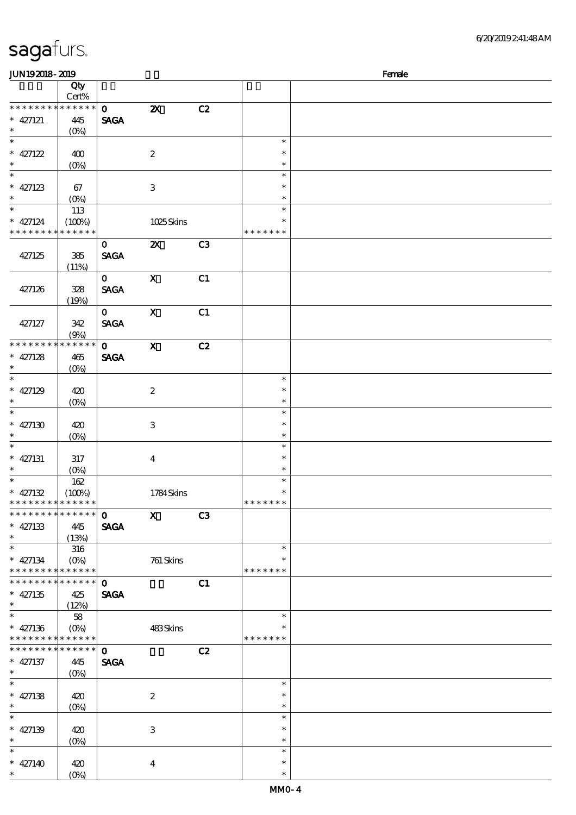| 6/20/2019241:48AM |
|-------------------|
|-------------------|

| <b>JUN192018-2019</b>                                      |                     |                             |                           |    | Female           |  |  |  |
|------------------------------------------------------------|---------------------|-----------------------------|---------------------------|----|------------------|--|--|--|
|                                                            | Qty                 |                             |                           |    |                  |  |  |  |
| * * * * * * * * * * * * * *                                | $Cert\%$            |                             |                           |    |                  |  |  |  |
| $* 427121$                                                 | 445                 | $\mathbf{O}$<br><b>SAGA</b> | $\boldsymbol{\mathsf{z}}$ | C2 |                  |  |  |  |
| $\ast$                                                     |                     |                             |                           |    |                  |  |  |  |
| $\ast$                                                     |                     |                             |                           |    | $\ast$           |  |  |  |
| $* 427122$                                                 | 400                 |                             | $\boldsymbol{z}$          |    | $\ast$           |  |  |  |
| $\ast$                                                     | $(0\%)$             |                             |                           |    | $\ast$           |  |  |  |
| $\ast$                                                     |                     |                             |                           |    | $\ast$           |  |  |  |
| * $427123$                                                 | 67                  |                             | $\ensuremath{\mathsf{3}}$ |    | $\ast$           |  |  |  |
| $\ast$<br>$\ast$                                           | $(0\%)$             |                             |                           |    | $\ast$<br>$\ast$ |  |  |  |
|                                                            | 113                 |                             |                           |    | $\ast$           |  |  |  |
| $* 427124$<br>* * * * * * * * * * * * * *                  | (100%)              |                             | 1025Skins                 |    | * * * * * * *    |  |  |  |
|                                                            |                     | $\mathbf 0$                 | $\boldsymbol{\mathsf{Z}}$ | C3 |                  |  |  |  |
| 427125                                                     | $385\,$             | <b>SAGA</b>                 |                           |    |                  |  |  |  |
|                                                            | (11%)               |                             |                           |    |                  |  |  |  |
|                                                            |                     | $\mathbf{O}$                | $\boldsymbol{\mathrm{X}}$ | C1 |                  |  |  |  |
| 427126                                                     | 328                 | <b>SAGA</b>                 |                           |    |                  |  |  |  |
|                                                            | (19%)               |                             |                           |    |                  |  |  |  |
|                                                            |                     | $\mathbf{O}$                | $\mathbf X$               | C1 |                  |  |  |  |
| 427127                                                     | 342                 | <b>SAGA</b>                 |                           |    |                  |  |  |  |
| * * * * * * * *                                            | (9%)<br>* * * * * * | $\mathbf{O}$                | $\boldsymbol{\mathrm{X}}$ | C2 |                  |  |  |  |
| $* 427128$                                                 | 465                 | <b>SAGA</b>                 |                           |    |                  |  |  |  |
| $\ast$                                                     | $(O\%)$             |                             |                           |    |                  |  |  |  |
| $\overline{\phantom{a}^*}$                                 |                     |                             |                           |    | $\ast$           |  |  |  |
| $* 427129$                                                 | 420                 |                             | $\boldsymbol{2}$          |    | $\ast$           |  |  |  |
| $\ast$                                                     | $(O\%)$             |                             |                           |    | $\ast$           |  |  |  |
| $\overline{\ast}$                                          |                     |                             |                           |    | $\ast$           |  |  |  |
| * $427130$                                                 | 420                 |                             | $\ensuremath{\mathsf{3}}$ |    | $\ast$           |  |  |  |
| $\ast$                                                     | $(0\%)$             |                             |                           |    | $\ast$           |  |  |  |
| $\ast$                                                     |                     |                             |                           |    | $\ast$           |  |  |  |
| $* 427131$<br>$\ast$                                       | 317                 |                             | $\bf{4}$                  |    | $\ast$<br>$\ast$ |  |  |  |
| $\ast$                                                     | (0%)<br>$162$       |                             |                           |    | $\ast$           |  |  |  |
| $* 427132$                                                 | (100%)              |                             | 1784Skins                 |    | $\ast$           |  |  |  |
| * * * * * * * * <mark>* * * * * *</mark>                   |                     |                             |                           |    | * * * * * * *    |  |  |  |
| * * * * * * * * * * * * * * *                              |                     | $\mathbf 0$                 | $\mathbf{X}$              | C3 |                  |  |  |  |
| $* 427133$                                                 | 445                 | <b>SAGA</b>                 |                           |    |                  |  |  |  |
| $\ast$                                                     | (13%)               |                             |                           |    |                  |  |  |  |
| $\overline{\phantom{0}}$                                   | 316                 |                             |                           |    | $\ast$           |  |  |  |
| $* 427134$                                                 | $(O\%)$             |                             | 761 Skins                 |    | $\ast$           |  |  |  |
| * * * * * * * * * * * * * *<br>* * * * * * * * * * * * * * |                     |                             |                           |    | * * * * * * *    |  |  |  |
| $* 427135$                                                 | 425                 | $\mathbf{o}$<br><b>SAGA</b> |                           | C1 |                  |  |  |  |
| $\ast$                                                     | (12%)               |                             |                           |    |                  |  |  |  |
| $\ast$                                                     | $5\!8$              |                             |                           |    | $\ast$           |  |  |  |
| $* 427136$                                                 | $(O\% )$            |                             | 483Skins                  |    | $\ast$           |  |  |  |
| * * * * * * * * * * * * * *                                |                     |                             |                           |    | * * * * * * *    |  |  |  |
| * * * * * * * * * * * * * *                                |                     | $\mathbf{o}$                |                           | C2 |                  |  |  |  |
| $* 427137$                                                 | 445                 | <b>SAGA</b>                 |                           |    |                  |  |  |  |
| $\ast$                                                     | $(O\%)$             |                             |                           |    |                  |  |  |  |
| $\ast$                                                     |                     |                             |                           |    | $\ast$           |  |  |  |
| * $427138$<br>$\ast$                                       | 420                 |                             | $\boldsymbol{z}$          |    | $\ast$<br>$\ast$ |  |  |  |
| $\overline{\phantom{0}}$                                   | $(0\%)$             |                             |                           |    | $\ast$           |  |  |  |
| $* 427139$                                                 | 420                 |                             | 3                         |    | $\ast$           |  |  |  |
| $\ast$                                                     | $(0\%)$             |                             |                           |    | $\ast$           |  |  |  |
| $\ast$                                                     |                     |                             |                           |    | $\ast$           |  |  |  |
| $* 427140$                                                 | 420                 |                             | $\bf{4}$                  |    | $\ast$           |  |  |  |
| $\ast$                                                     | $(0\%)$             |                             |                           |    | $\ast$           |  |  |  |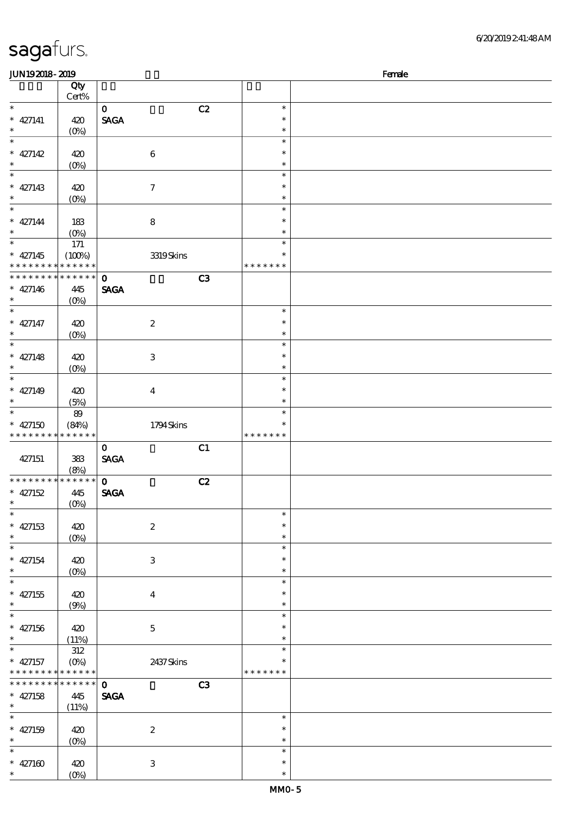| <b>JUN192018-2019</b>                      |                                   |                           |               | Female |
|--------------------------------------------|-----------------------------------|---------------------------|---------------|--------|
|                                            | Qty                               |                           |               |        |
|                                            | Cert%                             |                           |               |        |
| $\ast$                                     |                                   | C2<br>$\mathbf{O}$        | $\ast$        |        |
| $* 427141$                                 | 420                               | <b>SAGA</b>               | $\ast$        |        |
| $\ast$                                     | $(O\%)$                           |                           | $\ast$        |        |
| $\overline{\ast}$                          |                                   |                           | $\ast$        |        |
|                                            |                                   |                           | $\ast$        |        |
| $* 427142$                                 | 420                               | $\bf 6$                   |               |        |
| $\ast$                                     | $(0\%)$                           |                           | $\ast$        |        |
| $_{*}^{-}$                                 |                                   |                           | $\ast$        |        |
| $* 427143$                                 | 420                               | $\tau$                    | $\ast$        |        |
| $\ast$                                     | $(0\%)$                           |                           | $\ast$        |        |
| $_{*}$                                     |                                   |                           | $\ast$        |        |
| $* 427144$                                 | 183                               | $\bf8$                    | $\ast$        |        |
| $\ast$                                     |                                   |                           | $\ast$        |        |
| $\overline{\phantom{0}}$                   | $(0\%)$                           |                           | $\ast$        |        |
|                                            | $171$                             |                           |               |        |
| $* 427145$                                 | (100%)                            | 3319Skins                 | $\ast$        |        |
| * * * * * * * * * * * * * *                |                                   |                           | * * * * * * * |        |
| * * * * * * * * * * * * * *                |                                   | $\mathbf{o}$<br>C3        |               |        |
| $* 427146$                                 | 445                               | <b>SAGA</b>               |               |        |
| $\ast$                                     | $(O_0)$                           |                           |               |        |
| $\ast$                                     |                                   |                           | $\ast$        |        |
|                                            |                                   |                           | $\ast$        |        |
| $* 427147$                                 | 420                               | $\boldsymbol{z}$          |               |        |
| $\ast$                                     | $(O\%)$                           |                           | $\ast$        |        |
| $\overline{\phantom{0}}$                   |                                   |                           | $\ast$        |        |
| $* 427148$                                 | 420                               | $\ensuremath{\mathsf{3}}$ | $\ast$        |        |
| $\ast$                                     | $(0\%)$                           |                           | $\ast$        |        |
| $\overline{\phantom{a}^*}$                 |                                   |                           | $\ast$        |        |
| $* 427149$                                 | 420                               | $\bf{4}$                  | $\ast$        |        |
| $\ast$                                     |                                   |                           | $\ast$        |        |
|                                            | (5%)                              |                           |               |        |
| $\ast$                                     | 89                                |                           | $\ast$        |        |
| $* 427150$                                 | (84%)                             | 1794Skins                 | $\ast$        |        |
| * * * * * * * * * * * * * *                |                                   |                           | * * * * * * * |        |
|                                            |                                   | C1<br>$\mathbf{O}$        |               |        |
| 427151                                     | 383                               | <b>SAGA</b>               |               |        |
|                                            | (8%)                              |                           |               |        |
| * * * * * * * * * * * * * *                |                                   | $\mathbf{o}$<br>C2        |               |        |
|                                            |                                   |                           |               |        |
| $* 427152$                                 | 445                               | <b>SAGA</b>               |               |        |
| $*$                                        | (0%)                              |                           |               |        |
| $\ast$                                     |                                   |                           | $\ast$        |        |
| $* 427153$                                 | 420                               | $\boldsymbol{2}$          | $\ast$        |        |
| $\ast$                                     | $(0\%)$                           |                           | $\ast$        |        |
| $\ast$                                     |                                   |                           | $\ast$        |        |
| $* 427154$                                 | 420                               | 3                         | $\ast$        |        |
| $\ast$                                     |                                   |                           | $\ast$        |        |
| $\overline{\phantom{a}^*}$                 | $(0\%)$                           |                           | $\ast$        |        |
|                                            |                                   |                           |               |        |
| $^*$ 427155 $\,$                           | 420                               | $\bf{4}$                  | *             |        |
| $\ast$                                     | (9%)                              |                           | $\ast$        |        |
| $\ast$                                     |                                   |                           | $\ast$        |        |
| $* 427156$                                 | 420                               | $\mathbf{5}$              | *             |        |
| $\ast$                                     | (11%)                             |                           | $\ast$        |        |
| $\overline{\phantom{0}}$                   | 312                               |                           | $\ast$        |        |
|                                            |                                   |                           |               |        |
| $* 427157$                                 | $(O\!\!\!\!\!\!/\,\!\!\!\!\!/\,)$ | 2437Skins                 |               |        |
| * * * * * * * * <mark>* * * * * * *</mark> |                                   |                           | * * * * * * * |        |
| * * * * * * * * * * * * * *                |                                   | $\mathbf{O}$<br>C3        |               |        |
| $* 427158$                                 | 445                               | <b>SAGA</b>               |               |        |
| $\ast$                                     | (11%)                             |                           |               |        |
| $\ast$                                     |                                   |                           | $\ast$        |        |
| $* 427159$                                 | 420                               | $\boldsymbol{z}$          | $\ast$        |        |
| $\ast$                                     |                                   |                           | $\ast$        |        |
| $\ast$                                     | $(0\%)$                           |                           | $\ast$        |        |
|                                            |                                   |                           |               |        |
| $* 427160$                                 | 420                               | $\ensuremath{\mathbf{3}}$ | $\ast$        |        |
| $*$                                        | $(O\%)$                           |                           | $\ast$        |        |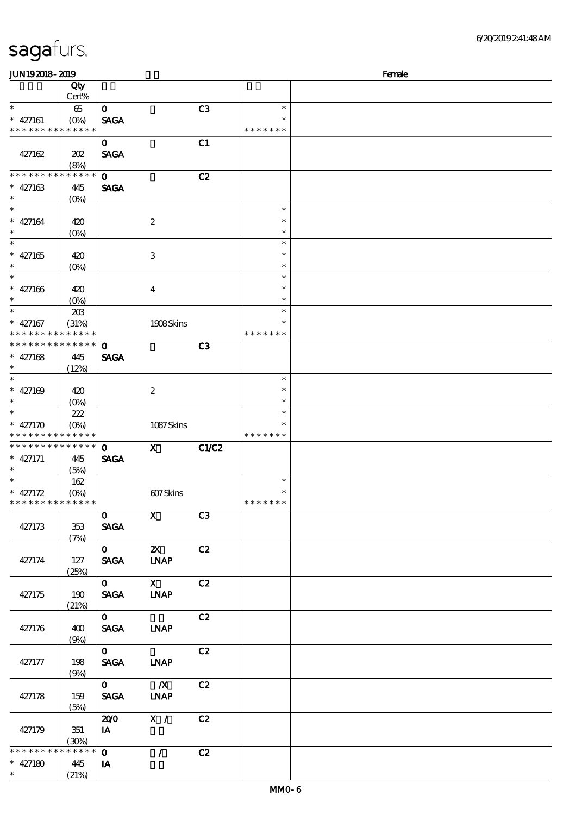| sagafurs. |
|-----------|
|-----------|

| Female<br><b>JUN192018-2019</b>                       |                               |                             |                                      |                |                                   |  |  |
|-------------------------------------------------------|-------------------------------|-----------------------------|--------------------------------------|----------------|-----------------------------------|--|--|
|                                                       | Qty<br>$Cert\%$               |                             |                                      |                |                                   |  |  |
| $\ast$<br>$* 427161$<br>* * * * * * * * * * * * * *   | $65\,$<br>$(O\%)$             | $\mathbf{o}$<br><b>SAGA</b> |                                      | C <sub>3</sub> | $\ast$<br>$\ast$<br>* * * * * * * |  |  |
| 427162                                                | 202<br>(8%)                   | $\mathbf{O}$<br><b>SAGA</b> |                                      | C1             |                                   |  |  |
| * * * * * * * *<br>$* 427163$<br>$\ast$               | * * * * * *<br>445<br>$(O\%)$ | $\mathbf 0$<br><b>SAGA</b>  |                                      | C2             |                                   |  |  |
| $\overline{\ast}$<br>$* 427164$<br>$\ast$             | 420<br>$(O\!/\!o)$            |                             | $\boldsymbol{2}$                     |                | $\ast$<br>$\ast$<br>$\ast$        |  |  |
| $\ast$<br>$* 427165$<br>$\ast$                        | 420<br>$(0\%)$                |                             | $\,3\,$                              |                | $\ast$<br>$\ast$<br>$\ast$        |  |  |
| $\ast$<br>$* 427166$<br>$\ast$                        | 420<br>$(O\%)$                |                             | $\bf{4}$                             |                | $\ast$<br>$\ast$<br>$\ast$        |  |  |
| $\overline{\ast}$<br>$* 427167$<br>* * * * * * * *    | 20B<br>(31%)<br>* * * * * *   |                             | 1908Skins                            |                | $\ast$<br>$\ast$<br>* * * * * * * |  |  |
| * * * * * * * *<br>$* 427168$<br>$\ast$               | * * * * * *<br>445<br>(12%)   | $\mathbf 0$<br><b>SAGA</b>  |                                      | C <sub>3</sub> |                                   |  |  |
| $\overline{\ast}$<br>$* 427169$<br>$\ast$             | 420<br>$(O\%)$                |                             | $\boldsymbol{2}$                     |                | $\ast$<br>$\ast$<br>$\ast$        |  |  |
| $\overline{\ast}$<br>$* 427170$<br>* * * * *<br>* * * | 222<br>$(O\%)$<br>* * * * * * |                             | 1087Skins                            |                | $\ast$<br>$\ast$<br>* * * * * * * |  |  |
| * * * * * * * *<br>$* 427171$<br>$\ast$               | * * * * * *<br>445<br>(5%)    | $\mathbf 0$<br><b>SAGA</b>  | $\boldsymbol{\mathsf{X}}$            | <b>C1/C2</b>   |                                   |  |  |
| $\ast$<br>$* 427172$<br>* * * * * * * * * * * * * * * | 162<br>$(0\%)$                |                             | 607Skins                             |                | $\ast$<br>$\ast$<br>* * * * * * * |  |  |
| 427173                                                | 353<br>(7%)                   | $\mathbf{O}$<br><b>SAGA</b> | $\mathbf{X}$                         | C3             |                                   |  |  |
| 427174                                                | 127<br>(25%)                  | $\mathbf{O}$<br><b>SAGA</b> | $\boldsymbol{\alpha}$<br><b>INAP</b> | C2             |                                   |  |  |
| 427175                                                | 190<br>(21%)                  | $\mathbf{O}$<br><b>SAGA</b> | $\mathbf{X}$<br><b>INAP</b>          | C2             |                                   |  |  |
| 427176                                                | 400<br>(9%)                   | $\mathbf{O}$<br><b>SAGA</b> | <b>INAP</b>                          | C2             |                                   |  |  |
| 427177                                                | 198<br>(9%)                   | $\mathbf{O}$<br><b>SAGA</b> | <b>LNAP</b>                          | C2             |                                   |  |  |
| 427178                                                | 159<br>(5%)                   | $\mathbf{O}$<br><b>SAGA</b> | $\mathbf{X}$<br><b>INAP</b>          | C2             |                                   |  |  |
| 427179                                                | 351<br>(30%)                  | 200<br>IA                   | X /                                  | C2             |                                   |  |  |
| * * * * * * * *<br>$* 427180$<br>$\ast$               | $******$<br>445<br>(21%)      | $\mathbf{o}$<br>IA          | $\mathcal{L}$                        | C2             |                                   |  |  |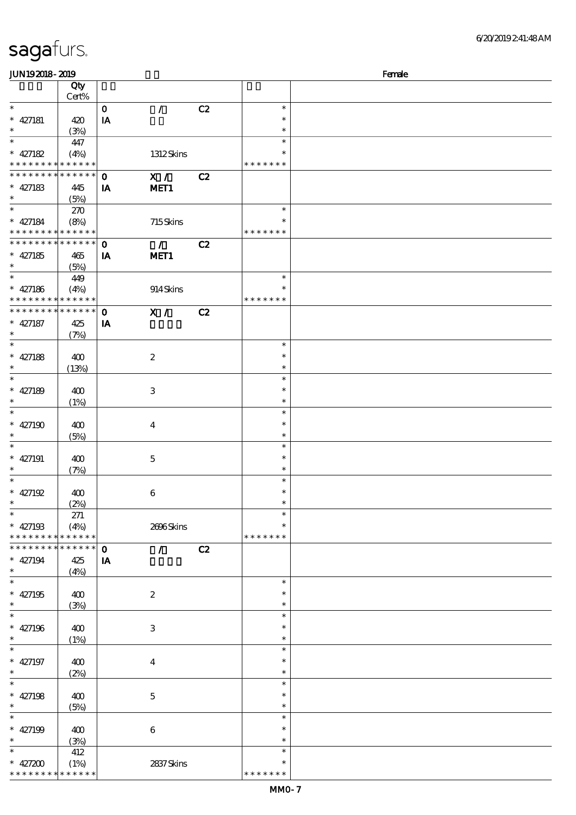| JUN192018-2019                |       |              |                               |    |               | Female |
|-------------------------------|-------|--------------|-------------------------------|----|---------------|--------|
|                               | Qty   |              |                               |    |               |        |
|                               | Cert% |              |                               |    |               |        |
| $\ast$                        |       | $\mathbf{o}$ | $\mathcal{L}$                 | C2 | $\ast$        |        |
| $* 427181$                    | 420   | IA           |                               |    | $\ast$        |        |
| $\ast$                        | (3%)  |              |                               |    | $\ast$        |        |
| $\ast$                        | 447   |              |                               |    | $\ast$        |        |
| $* 427182$                    | (4%)  |              | 1312Skins                     |    | $\ast$        |        |
| * * * * * * * * * * * * * *   |       |              |                               |    | * * * * * * * |        |
| * * * * * * * * * * * * * * * |       | $\mathbf 0$  | X /                           | C2 |               |        |
| $* 427183$                    | 445   | IA           | MET1                          |    |               |        |
| $\ast$                        | (5%)  |              |                               |    |               |        |
| $\ast$                        | 270   |              |                               |    | $\ast$        |        |
| $* 427184$                    | (8%)  |              | 715Skins                      |    | $\ast$        |        |
| * * * * * * * * * * * * * *   |       |              |                               |    | * * * * * * * |        |
| * * * * * * * * * * * * * * * |       | $\mathbf 0$  | $\mathcal{T}$                 | C2 |               |        |
| $* 427185$                    | 465   | IA           | MET1                          |    |               |        |
| $\ast$                        | (5%)  |              |                               |    |               |        |
| $\ast$                        | 449   |              |                               |    | $\ast$        |        |
| $* 427186$                    | (4%)  |              | 914Skins                      |    | $\ast$        |        |
| * * * * * * * * * * * * * *   |       |              |                               |    | * * * * * * * |        |
| * * * * * * * * * * * * * * * |       | $\mathbf 0$  | X /                           | C2 |               |        |
| $* 427187$                    | 425   | IA           |                               |    |               |        |
| $\ast$                        | (7%)  |              |                               |    |               |        |
| $\ast$                        |       |              |                               |    | $\ast$        |        |
| $* 427188$                    | 400   |              | $\boldsymbol{2}$              |    | $\ast$        |        |
|                               | (13%) |              |                               |    | $\ast$        |        |
| $\ast$                        |       |              |                               |    | $\ast$        |        |
| $* 427189$                    | 400   |              | $\ensuremath{\mathbf{3}}$     |    | $\ast$        |        |
| $\ast$                        | (1%)  |              |                               |    | $\ast$        |        |
| $\ast$                        |       |              |                               |    | $\ast$        |        |
| $* 427190$                    | 400   |              | $\bf{4}$                      |    | $\ast$        |        |
| $\ast$                        | (5%)  |              |                               |    | $\ast$        |        |
| $\ast$                        |       |              |                               |    | $\ast$        |        |
| $* 427191$                    | 400   |              | $\mathbf{5}$                  |    | $\ast$        |        |
| $\ast$                        | (7%)  |              |                               |    | $\ast$        |        |
| $\ast$                        |       |              |                               |    | $\ast$        |        |
| $* 427192$                    | 400   |              | 6                             |    | $\ast$        |        |
|                               | (2%)  |              |                               |    |               |        |
| $\ast$                        | 271   |              |                               |    | $\ast$        |        |
| $* 427193$                    | (4%)  |              | 2696Skins                     |    | $\ast$        |        |
| * * * * * * * * * * * * * *   |       |              |                               |    | * * * * * * * |        |
| ******** <mark>*******</mark> |       | $\mathbf 0$  | $\overline{7}$ C <sub>2</sub> |    |               |        |
| $* 427194$                    | 425   | IA           |                               |    |               |        |
| $\ast$                        | (4%)  |              |                               |    |               |        |
| $\ast$                        |       |              |                               |    | $\ast$        |        |
| $* 427195$                    | 400   |              | $\boldsymbol{2}$              |    | $\ast$        |        |
| $\ast$                        | (3%)  |              |                               |    | $\ast$        |        |
| $\overline{\ast}$             |       |              |                               |    | $\ast$        |        |
| $* 427196$                    | 400   |              | 3                             |    | $\ast$        |        |
| $\ast$                        | (1%)  |              |                               |    | $\ast$        |        |
| $\overline{\ast}$             |       |              |                               |    | $\ast$        |        |
| $* 427197$                    | 400   |              | $\bf{4}$                      |    | $\ast$        |        |
| $\ast$                        | (2%)  |              |                               |    | $\ast$        |        |
| $\overline{\phantom{a}^*}$    |       |              |                               |    | $\ast$        |        |
| $* 427198$                    | 400   |              | $\mathbf{5}$                  |    | $\ast$        |        |
| $\ast$                        | (5%)  |              |                               |    | $\ast$        |        |
| $\ast$                        |       |              |                               |    | $\ast$        |        |
| $* 427199$                    | 400   |              | $\boldsymbol{6}$              |    | $\ast$        |        |
| $\ast$                        | (3%)  |              |                               |    | $\ast$        |        |
| $\ast$                        | 412   |              |                               |    | $\ast$        |        |
| $* 427200$                    | (1%)  |              | 2837Skins                     |    | $\ast$        |        |
| * * * * * * * * * * * * * *   |       |              |                               |    | * * * * * * * |        |
|                               |       |              |                               |    |               |        |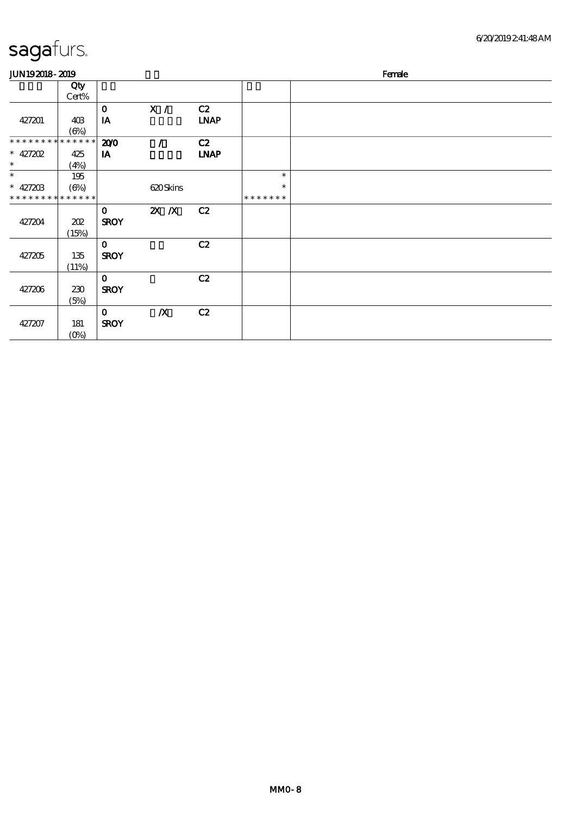| <b>saga</b> furs. |
|-------------------|
|                   |

| <b>JUN192018-2019</b>       |               |              |                  |             |               | Female |
|-----------------------------|---------------|--------------|------------------|-------------|---------------|--------|
|                             | Qty           |              |                  |             |               |        |
|                             | Cert%         |              |                  |             |               |        |
|                             |               | $\mathbf{o}$ | X /              | C2          |               |        |
| 427201                      | 40B           | IA           |                  | <b>LNAP</b> |               |        |
| * * * * * * * * * * * * * * | $(\Theta\% )$ |              | $\prime$         |             |               |        |
|                             |               | 200          |                  | C2          |               |        |
| $*$ 427202<br>$\ast$        | 425           | IA           |                  | <b>LNAP</b> |               |        |
| $\ast$                      | (4%)          |              |                  |             | $\ast$        |        |
|                             | 195           |              |                  |             |               |        |
| $* 42720B$                  | $(\Theta)$    |              | 620Skins         |             | $\ast$        |        |
| * * * * * * * * * * * * * * |               |              |                  |             | * * * * * * * |        |
|                             |               | $\mathbf 0$  | $X$ $X$          | C2          |               |        |
| 427204                      | 202           | <b>SROY</b>  |                  |             |               |        |
|                             | (15%)         |              |                  |             |               |        |
|                             |               | $\mathbf 0$  |                  | C2          |               |        |
| 427205                      | 135           | <b>SROY</b>  |                  |             |               |        |
|                             | (11%)         |              |                  |             |               |        |
|                             |               | $\mathbf 0$  |                  | C2          |               |        |
| 427206                      | 230           | <b>SROY</b>  |                  |             |               |        |
|                             | (5%)          |              |                  |             |               |        |
|                             |               | $\mathbf 0$  | $\boldsymbol{X}$ | C2          |               |        |
| 427207                      | 181           | <b>SROY</b>  |                  |             |               |        |
|                             | $(O\!/\!o)$   |              |                  |             |               |        |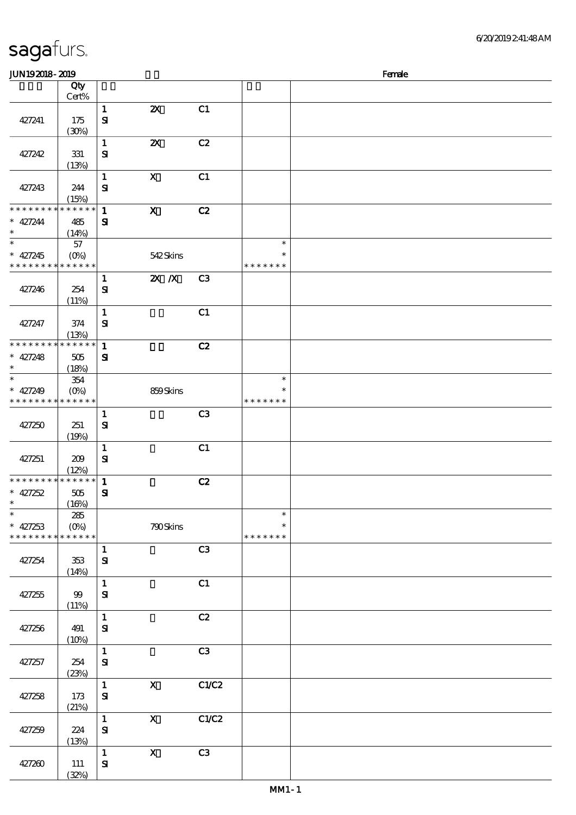| sagafurs. |  |
|-----------|--|
|           |  |

#### JUN192018-2019 Female 顺序号 Qty 说明 价格 Cert% 1 **2X** C1 427241 175 SI  $(30%)$ 1 2X C2 427242 331 SI (13%) 1 X C1 427243 244 SI  $(15%)$ \*  $\overline{1}$  X C<sub>2</sub> \* \* \* \* \* \* \* \* \* \* \* \* 427244 485 SI \*\* (14%) \*  $*$  427245  $\ast$ 57 \*\* (0%) 542 Skins  $\ddot{\textbf{r}}$ \* \* \* \* \* \* \* \* \* \* \* \* \* \* \* \* \* \* 1 2X X C3 427246 254 SI  $(11%)$  $1$  C1 427247 374 SI (13%) \* \* \* \* \* \* \* \* \* \* \* \* \*  $1$  C<sub>2</sub> SI \*\* 427248 505 (18%) \*\* <sup>427249</sup> 354  $\ast$ \*\*  $(0\%)$  859 Skins  $\ast$ \* \* \* \* \* \* \* \* \* \* \* \* \* \* \* \* \* \* \*  $1$  C3 427250 251 SI (19%) 1 **C1** 427251 209 SI (12%)  $1$  C<sub>2</sub> \* \* \* \* \* \* \* \* \* \* \* \*  $* 427252$  505 SI \*\*  $\ast$ (16%) \*<br>\* 427253  $\overline{\phantom{a}}$ 285 \*\*  $\ast$  $(0\%)$  790 Skins \* \* \* \* \* \* \* \* \* \* \* \* \* \* \* \* \* \* 1 C3 SI 427254 353 (14%) 1 C1 SI 427255 99 (11%) 1 C<sub>2</sub> 427256 491 SI  $(10%)$  $\overline{1}$  C3 427257 254 SI (23%) 1 X C1/C2 SI 427258 173 (21%)  $1$  X C1/C2 427259 224 SI (13%) 1 X C3 427260 111 SI(32%)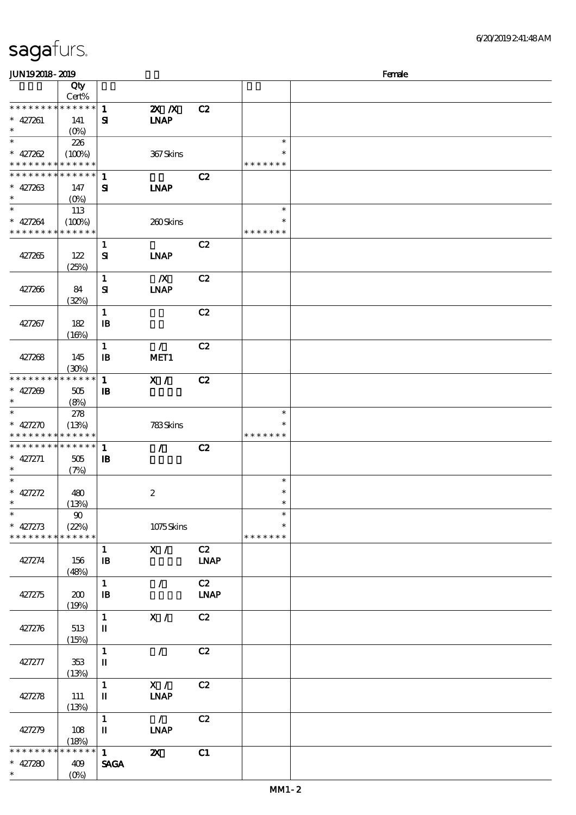| <b>JUN192018-2019</b>                      |                 |                        |                           |             |               | Female |
|--------------------------------------------|-----------------|------------------------|---------------------------|-------------|---------------|--------|
|                                            | Qty             |                        |                           |             |               |        |
|                                            | Cert%           |                        |                           |             |               |        |
| * * * * * * * * * * * * * *                |                 | $\mathbf{1}$           | $X$ $N$                   | C2          |               |        |
| $* 427261$                                 | 141             | ${\bf s}$              | <b>INAP</b>               |             |               |        |
| $\ast$                                     | $(O\%)$         |                        |                           |             |               |        |
| $\ast$                                     | 226             |                        |                           |             | $\ast$        |        |
| $* 427262$                                 | (100%)          |                        | 367Skins                  |             | $\ast$        |        |
| * * * * * * * * <mark>* * * * * * *</mark> |                 |                        |                           |             | * * * * * * * |        |
| * * * * * * * * * * * * * *                |                 | -1                     |                           | C2          |               |        |
|                                            |                 |                        |                           |             |               |        |
| $* 427263$<br>$\ast$                       | 147             | ${\bf s}$              | <b>INAP</b>               |             |               |        |
|                                            | $(O\% )$        |                        |                           |             |               |        |
| $\ast$                                     | 113             |                        |                           |             | $\ast$        |        |
| $* 427264$                                 | (100%)          |                        | 260Skins                  |             | $\ast$        |        |
| * * * * * * * * <mark>* * * * * *</mark>   |                 |                        |                           |             | * * * * * * * |        |
|                                            |                 | $\mathbf{1}$           |                           | C2          |               |        |
| 427265                                     | 122             | ${\bf S}$              | <b>LNAP</b>               |             |               |        |
|                                            | (25%)           |                        |                           |             |               |        |
|                                            |                 | $\mathbf{1}$           | $\boldsymbol{X}$          | C2          |               |        |
| 427266                                     | 84              | ${\bf s}$              | <b>INAP</b>               |             |               |        |
|                                            | (32%)           |                        |                           |             |               |        |
|                                            |                 | $\mathbf{1}$           |                           | C2          |               |        |
|                                            |                 |                        |                           |             |               |        |
| 427267                                     | 182             | $\mathbf{B}$           |                           |             |               |        |
|                                            | (16%)           |                        |                           |             |               |        |
|                                            |                 | $\mathbf{1}$           | $\mathcal{L}$             | C2          |               |        |
| 427268                                     | 145             | $\mathbf{B}$           | MET1                      |             |               |        |
|                                            | (30%)           |                        |                           |             |               |        |
| * * * * * * * *                            | $* * * * * * *$ | $\mathbf{1}$           | X /                       | C2          |               |        |
| $* 427209$                                 | 505             | $\mathbf{B}$           |                           |             |               |        |
| $\ast$                                     | (8%)            |                        |                           |             |               |        |
| $\ast$                                     | 278             |                        |                           |             | $\ast$        |        |
| $* 427270$                                 | (13%)           |                        | 783Skins                  |             | $\ast$        |        |
| * * * * * * * * <mark>* * * * * *</mark>   |                 |                        |                           |             | * * * * * * * |        |
| * * * * * * * * * * * * * * *              |                 | $\mathbf{1}$           | $\mathcal{L}$             | C2          |               |        |
| $* 427271$                                 | 505             | $\mathbf{B}$           |                           |             |               |        |
| $\ast$                                     | (7%)            |                        |                           |             |               |        |
| $\ast$                                     |                 |                        |                           |             | $\ast$        |        |
|                                            |                 |                        |                           |             | $\ast$        |        |
| $* 427272$<br>$*$                          | 480             |                        | $\boldsymbol{2}$          |             | $\ast$        |        |
|                                            | (13%)           |                        |                           |             |               |        |
| $\ast$                                     | $90^{\circ}$    |                        |                           |             | $\ast$        |        |
| $* 427273$                                 | (22%)           |                        | 1075Skins                 |             | $\ast$        |        |
| * * * * * * * *                            | * * * * * *     |                        |                           |             | * * * * * * * |        |
|                                            |                 | $\mathbf{1}$           | X /                       | C2          |               |        |
| 427274                                     | 156             | $\mathbf{B}$           |                           | <b>LNAP</b> |               |        |
|                                            | (48%)           |                        |                           |             |               |        |
|                                            |                 | $\mathbf{1}$           | $\mathcal{L}$             | C2          |               |        |
| 427275                                     | 200             | $\mathbf{B}$           |                           | <b>LNAP</b> |               |        |
|                                            | (19%)           |                        |                           |             |               |        |
|                                            |                 | $\mathbf{1}$           | X /                       | C2          |               |        |
| 427276                                     | 513             | $\rm I\hspace{-.1em}I$ |                           |             |               |        |
|                                            |                 |                        |                           |             |               |        |
|                                            | (15%)           |                        |                           |             |               |        |
|                                            |                 | $\mathbf{1}$           | $\mathcal{L}$             | C2          |               |        |
| 427277                                     | 353             | $\mathbf I$            |                           |             |               |        |
|                                            | (13%)           |                        |                           |             |               |        |
|                                            |                 | $\mathbf{1}$           | X /                       | C2          |               |        |
| 427278                                     | 111             | $\mathbf{I}$           | <b>INAP</b>               |             |               |        |
|                                            | (13%)           |                        |                           |             |               |        |
|                                            |                 | $\mathbf{1}$           | $\overline{\phantom{a}}$  | C2          |               |        |
| 427279                                     | 108             | $\mathbf{I}$           | <b>INAP</b>               |             |               |        |
|                                            | (18%)           |                        |                           |             |               |        |
| * * * * * * *                              | $* * * * * * *$ | $\mathbf{1}$           | $\boldsymbol{\mathsf{X}}$ | C1          |               |        |
| $* 427280$                                 | 409             | <b>SAGA</b>            |                           |             |               |        |
| $\ast$                                     | $(O\!/\!o)$     |                        |                           |             |               |        |
|                                            |                 |                        |                           |             |               |        |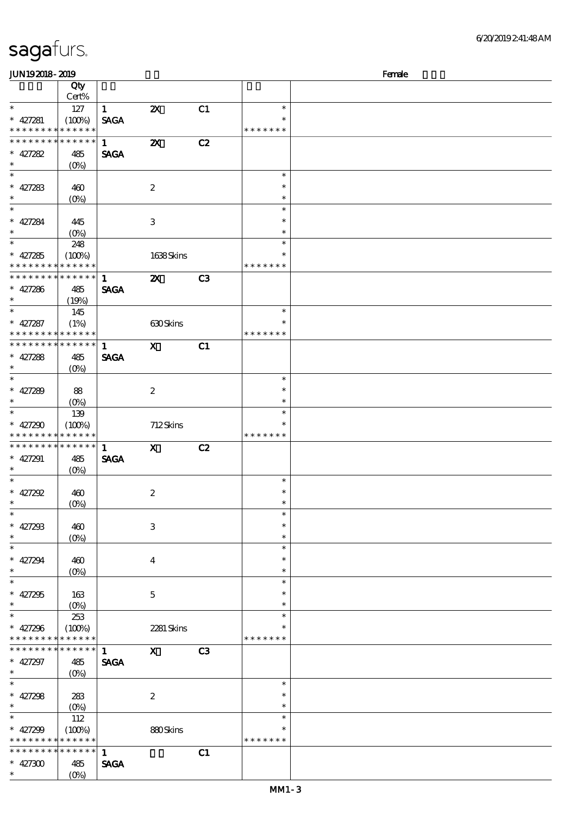| JUN192018-2019                             |                                 |              |                           |    |               | Female |
|--------------------------------------------|---------------------------------|--------------|---------------------------|----|---------------|--------|
|                                            | Qty                             |              |                           |    |               |        |
|                                            | Cert%                           |              |                           |    |               |        |
| $\ast$                                     | 127                             | $\mathbf{1}$ | $\boldsymbol{\mathsf{z}}$ | C1 | $\ast$        |        |
| $* 427281$                                 | (100%)                          | <b>SAGA</b>  |                           |    | $\ast$        |        |
| * * * * * * * *                            | $******$                        |              |                           |    | * * * * * * * |        |
| * * * * * * * *                            | $* * * * * * *$                 | $\mathbf{1}$ | $\boldsymbol{\mathsf{z}}$ | C2 |               |        |
|                                            |                                 |              |                           |    |               |        |
| $* 427282$                                 | 485                             | <b>SAGA</b>  |                           |    |               |        |
| $\ast$                                     | $(0\%)$                         |              |                           |    |               |        |
|                                            |                                 |              |                           |    | $\ast$        |        |
| * $427283$                                 | 460                             |              | $\boldsymbol{2}$          |    | $\ast$        |        |
| $\ast$                                     | $(0\%)$                         |              |                           |    | $\ast$        |        |
| $\overline{\phantom{0}}$                   |                                 |              |                           |    | $\ast$        |        |
| $* 427284$                                 | 445                             |              | 3                         |    | $\ast$        |        |
| $\ast$                                     | $(O\!/\!o)$                     |              |                           |    | $\ast$        |        |
|                                            | 248                             |              |                           |    | $\ast$        |        |
|                                            |                                 |              |                           |    | *             |        |
| * $427285$                                 | (100%)                          |              | 1638Skins                 |    |               |        |
| * * * * * * * *                            | * * * * * *                     |              |                           |    | * * * * * * * |        |
| __<br>* * * * * * * *                      | $* * * * * * *$                 | $\mathbf{1}$ | $\boldsymbol{\mathsf{z}}$ | C3 |               |        |
| $* 427286$                                 | 485                             | <b>SAGA</b>  |                           |    |               |        |
| $\ast$                                     | (19%)                           |              |                           |    |               |        |
| $\ast$                                     | 145                             |              |                           |    | $\ast$        |        |
| $* 427287$                                 | (1%)                            |              | 630Skins                  |    | $\ast$        |        |
| * * * * * * * * * * * * * *                |                                 |              |                           |    | * * * * * * * |        |
| * * * * * * * * <mark>* * * * * * *</mark> |                                 | $\mathbf{1}$ |                           |    |               |        |
|                                            |                                 |              | $\mathbf{x}$              | C1 |               |        |
| * $427288$                                 | 485                             | <b>SAGA</b>  |                           |    |               |        |
| $\ast$                                     | $(0\%)$                         |              |                           |    |               |        |
| $\overline{\ast}$                          |                                 |              |                           |    | $\ast$        |        |
| * $427289$                                 | 88                              |              | $\boldsymbol{2}$          |    | $\ast$        |        |
| $\ast$                                     | $(O\%)$                         |              |                           |    | $\ast$        |        |
| $\overline{\ast}$                          | 139                             |              |                           |    | $\ast$        |        |
| * $427290$                                 | (100%)                          |              | 712Skins                  |    |               |        |
| * * * * * * * *                            | * * * * * *                     |              |                           |    | * * * * * * * |        |
| * * * * * * * *                            | ******                          |              |                           |    |               |        |
|                                            |                                 | $\mathbf{1}$ | $\mathbf{x}$              | C2 |               |        |
| $* 427291$                                 | 485                             | <b>SAGA</b>  |                           |    |               |        |
| $\ast$                                     | $(O\%)$                         |              |                           |    |               |        |
| $\ast$                                     |                                 |              |                           |    | $\ast$        |        |
| * $427292$                                 | 460                             |              | $\boldsymbol{z}$          |    | $\ast$        |        |
| $\ast$                                     | (0%)                            |              |                           |    | $\ast$        |        |
| $\ast$                                     |                                 |              |                           |    | $\ast$        |        |
| * $427293$                                 | 460                             |              | $\ensuremath{\mathbf{3}}$ |    | $\ast$        |        |
| $\ast$                                     | $(O\%)$                         |              |                           |    | $\ast$        |        |
| $\ast$                                     |                                 |              |                           |    | $\ast$        |        |
|                                            |                                 |              |                           |    | $\ast$        |        |
| $* 427294$                                 | 460                             |              | $\bf{4}$                  |    |               |        |
| $\ast$                                     | $(O\%)$                         |              |                           |    | $\ast$        |        |
| $\overline{\ast}$                          |                                 |              |                           |    | $\ast$        |        |
| * $427295$                                 | 163                             |              | $\mathbf 5$               |    |               |        |
| $\ast$                                     | $(O\!\!\!\!\!\!\backslash\rho)$ |              |                           |    | $\ast$        |        |
| $\ast$                                     | 253                             |              |                           |    | $\ast$        |        |
| * $427296$                                 | (100%)                          |              | 2281 Skins                |    |               |        |
| * * * * * * * *                            | * * * * * *                     |              |                           |    | * * * * * * * |        |
| * * * * * * * *                            | $******$                        | $\mathbf{1}$ | $\boldsymbol{\mathsf{X}}$ | C3 |               |        |
| $* 427297$                                 |                                 |              |                           |    |               |        |
|                                            | 485                             | <b>SAGA</b>  |                           |    |               |        |
| $\ast$<br>$\overline{\ast}$                | $(O\%)$                         |              |                           |    |               |        |
|                                            |                                 |              |                           |    | $\ast$        |        |
| * $427298$                                 | 283                             |              | $\boldsymbol{2}$          |    | $\ast$        |        |
| $\ast$                                     | $(0\%)$                         |              |                           |    | $\ast$        |        |
| $\ast$                                     | 112                             |              |                           |    | $\ast$        |        |
| * $427299$                                 | (100%)                          |              | 880Skins                  |    | $\ast$        |        |
| * * * * * * * *                            | * * * * * *                     |              |                           |    | * * * * * * * |        |
| * * * * * * * *                            | ******                          | $\mathbf{1}$ |                           | C1 |               |        |
|                                            |                                 |              |                           |    |               |        |
| $* 427300$<br>$\ast$                       | 485                             | <b>SAGA</b>  |                           |    |               |        |
|                                            | (O <sub>0</sub> )               |              |                           |    |               |        |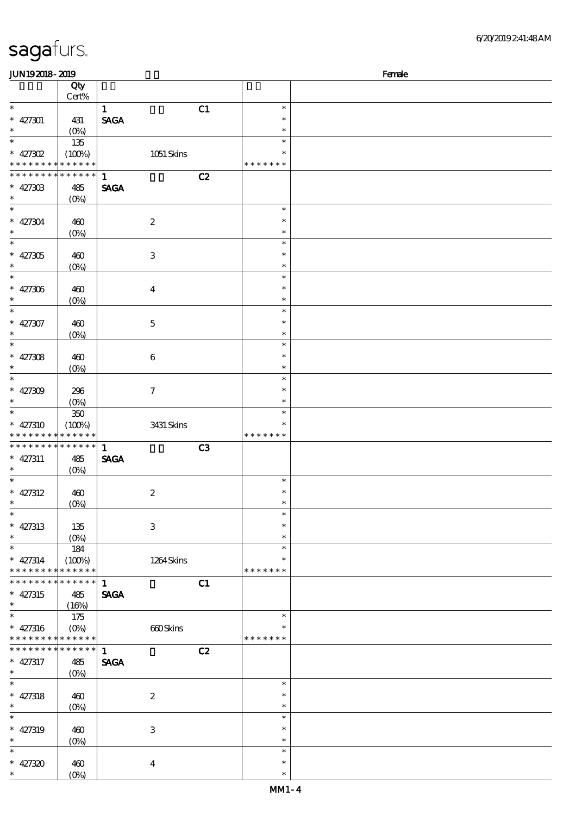| <b>JUN192018-2019</b>                      |                |                           |                        | Female |
|--------------------------------------------|----------------|---------------------------|------------------------|--------|
|                                            | Qty            |                           |                        |        |
|                                            | $Cert\%$       |                           |                        |        |
| $\ast$                                     |                | $\mathbf{1}$              | C1<br>$\ast$<br>$\ast$ |        |
| $* 427301$<br>$\ast$                       | 431<br>$(O_0)$ | <b>SAGA</b>               | $\ast$                 |        |
| $\ast$                                     | 135            |                           | $\ast$                 |        |
| $* 427302$                                 | (100%)         | $1051$ Skins              | $\ast$                 |        |
| * * * * * * * * * * * * * *                |                |                           | * * * * * * *          |        |
| * * * * *<br>* * *                         | * * * * * *    | $\mathbf{1}$              | C2                     |        |
| $* 427303$                                 | 485            | <b>SAGA</b>               |                        |        |
| $\ast$                                     | $(O\%)$        |                           |                        |        |
| $\ast$                                     |                |                           | $\ast$                 |        |
| $* 427304$<br>$\ast$                       | 460            | $\boldsymbol{2}$          | $\ast$<br>$\ast$       |        |
| $\ast$                                     | $(O\%)$        |                           | $\ast$                 |        |
| $* 427305$                                 | 460            | $\,3$                     | $\ast$                 |        |
| $\ast$                                     | $(0\%)$        |                           | $\ast$                 |        |
| $\ast$                                     |                |                           | $\ast$                 |        |
| $* 427306$                                 | 460            | $\boldsymbol{4}$          | $\ast$                 |        |
| $\ast$                                     | $(0\%)$        |                           | $\ast$                 |        |
| $\ast$                                     |                |                           | $\ast$                 |        |
| $* 427307$                                 | 460            | $\mathbf 5$               | $\ast$                 |        |
| $\ast$<br>$\overline{\phantom{a}}$         | $(0\%)$        |                           | $\ast$                 |        |
|                                            |                |                           | $\ast$                 |        |
| * $427308$<br>$\ast$                       | 460            | $\bf 6$                   | $\ast$<br>$\ast$       |        |
| $\overline{\phantom{a}}$                   | $(0\%)$        |                           | $\ast$                 |        |
| $* 427309$                                 | 296            | $\boldsymbol{7}$          | $\ast$                 |        |
| $\ast$                                     | $(0\%)$        |                           | $\ast$                 |        |
| $\ast$                                     | $350\,$        |                           | $\ast$                 |        |
| $* 427310$                                 | (100%)         | 3431 Skins                | $\ast$                 |        |
| * * *                                      | * * * * * *    |                           | * * * * * * *          |        |
| * * * * * * * *                            | $******$       | $\mathbf{1}$              | C3                     |        |
| $* 427311$                                 | 485            | <b>SAGA</b>               |                        |        |
| $\ast$<br>$\ast$                           | $(O\%)$        |                           |                        |        |
|                                            |                |                           | $\ast$<br>$\ast$       |        |
| $* 427312$<br>$\ast$                       | 460<br>$(0\%)$ | $\boldsymbol{2}$          | $\ast$                 |        |
| $\overline{\ast}$                          |                |                           | $\ast$                 |        |
| $* 427313$                                 | 135            | $\ensuremath{\mathbf{3}}$ | $\ast$                 |        |
| $\ast$                                     | $(0\%)$        |                           | $\ast$                 |        |
| $\overline{\phantom{a}^*}$                 | 184            |                           | $\ast$                 |        |
| $* 427314$                                 | (100%)         | 1264Skins                 | $\ast$                 |        |
| * * * * * * * * * * * * * *                |                |                           | * * * * * * *          |        |
| * * * * * * * *                            | * * * * * *    | $\mathbf{1}$              | C1                     |        |
| $* 427315$<br>$\ast$                       | 485<br>(16%)   | <b>SAGA</b>               |                        |        |
| $\overline{\phantom{0}}$                   | 175            |                           | $\ast$                 |        |
| $* 427316$                                 | $(O\%)$        | $600$ Skins               | $\ast$                 |        |
| * * * * * * * * <mark>* * * * * * *</mark> |                |                           | * * * * * * *          |        |
| * * * * * * * *                            | * * * * * *    | $\mathbf{1}$              | C2                     |        |
| $* 427317$                                 | 485            | <b>SAGA</b>               |                        |        |
| $\ast$                                     | $(O\%)$        |                           |                        |        |
| $\ast$                                     |                |                           | $\ast$                 |        |
| $* 427318$<br>$\ast$                       | 460            | $\boldsymbol{z}$          | $\ast$<br>$\ast$       |        |
| $\overline{\phantom{0}}$                   | $(0\%)$        |                           | $\ast$                 |        |
| $* 427319$                                 | 460            | $\,3$                     | *                      |        |
| $\ast$                                     | $(0\%)$        |                           | $\ast$                 |        |
| $\ast$                                     |                |                           | $\ast$                 |        |
| $* 427320$                                 | 460            | $\boldsymbol{4}$          | $\ast$                 |        |
| $\ast$                                     | $(0\%)$        |                           | $\ast$                 |        |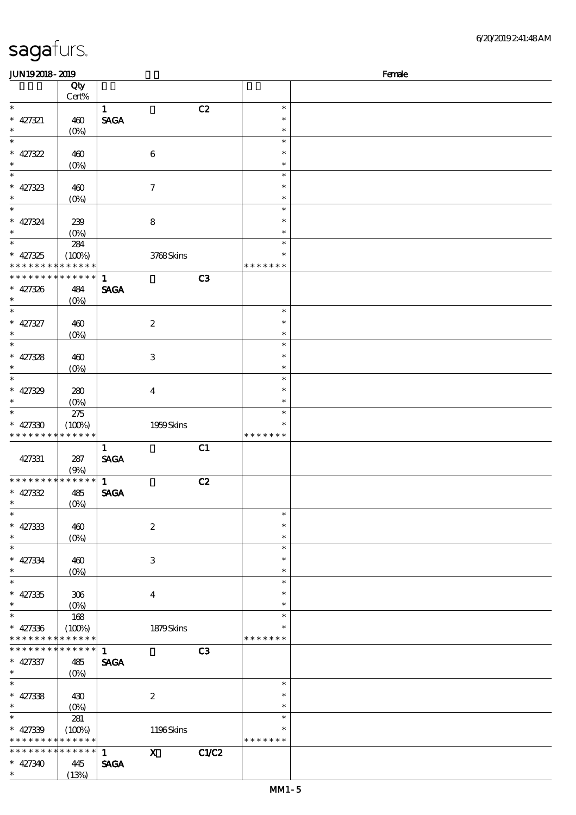| 6/20/2019241:48AM |
|-------------------|
|-------------------|

| <b>JUN192018-2019</b>                      |                                 |                              |       |               | Female |
|--------------------------------------------|---------------------------------|------------------------------|-------|---------------|--------|
|                                            | Qty                             |                              |       |               |        |
|                                            | Cert%                           |                              |       |               |        |
| $\ast$                                     |                                 | $\mathbf{1}$                 | C2    | $\ast$        |        |
| $* 427321$                                 | 460                             | <b>SAGA</b>                  |       | $\ast$        |        |
| $\ast$                                     | $(O\%)$                         |                              |       | $\ast$        |        |
| $\ast$                                     |                                 |                              |       | $\ast$        |        |
|                                            |                                 |                              |       | $\ast$        |        |
| $* 427322$                                 | 460                             | $\bf 6$                      |       |               |        |
| $\ast$                                     | $(0\%)$                         |                              |       | $\ast$        |        |
| $\overline{\phantom{a}^*}$                 |                                 |                              |       | $\ast$        |        |
| $* 427323$                                 | 460                             | $\tau$                       |       | $\ast$        |        |
| $\ast$                                     | $(O\%)$                         |                              |       | $\ast$        |        |
| $_{*}$                                     |                                 |                              |       | $\ast$        |        |
| $* 427324$                                 | 239                             | 8                            |       | $\ast$        |        |
| $\ast$                                     |                                 |                              |       | $\ast$        |        |
| $\overline{\phantom{0}}$                   | $(0\%)$                         |                              |       | $\ast$        |        |
|                                            | 284                             |                              |       |               |        |
| $* 427325$                                 | (100%)                          | 3768Skins                    |       | $\ast$        |        |
| * * * * * * * * <mark>* * * * * * *</mark> |                                 |                              |       | * * * * * * * |        |
| * * * * * * * * * * * * * *                |                                 | $\mathbf{1}$                 | C3    |               |        |
| $* 427326$                                 | 484                             | <b>SAGA</b>                  |       |               |        |
| $\ast$                                     | (O <sub>0</sub> )               |                              |       |               |        |
| $\ast$                                     |                                 |                              |       | $\ast$        |        |
|                                            |                                 |                              |       | $\ast$        |        |
| $* 427327$<br>$\ast$                       | 460                             | $\boldsymbol{2}$             |       |               |        |
| $\overline{\phantom{0}}$                   | (0%)                            |                              |       | $\ast$        |        |
|                                            |                                 |                              |       | $\ast$        |        |
| $* 427328$                                 | 460                             | $\,3$                        |       | $\ast$        |        |
| $\ast$                                     | $(0\%)$                         |                              |       | $\ast$        |        |
| $\overline{\ast}$                          |                                 |                              |       | $\ast$        |        |
| $* 427329$                                 | 280                             | $\bf{4}$                     |       | $\ast$        |        |
| $\ast$                                     | $(0\%)$                         |                              |       | $\ast$        |        |
| $\ast$                                     |                                 |                              |       | $\ast$        |        |
|                                            | 275                             |                              |       | $\ast$        |        |
| $* 427330$                                 | (100%)                          | 1959Skins                    |       |               |        |
| * * * * * * * * * * * * * *                |                                 |                              |       | * * * * * * * |        |
|                                            |                                 | $\mathbf{1}$                 | C1    |               |        |
| 427331                                     | 287                             | <b>SAGA</b>                  |       |               |        |
|                                            | (9%)                            |                              |       |               |        |
| * * * * * * * * * * * * * *                |                                 | $\mathbf{1}$                 | C2    |               |        |
| $* 427332$                                 | 485                             | <b>SAGA</b>                  |       |               |        |
| $*$                                        | (0%)                            |                              |       |               |        |
| $\ast$                                     |                                 |                              |       | $\ast$        |        |
|                                            |                                 |                              |       | $\ast$        |        |
| $* 427333$                                 | 460                             | $\boldsymbol{2}$             |       |               |        |
| $\ast$                                     | $(0\%)$                         |                              |       | $\ast$        |        |
| $\ast$                                     |                                 |                              |       | $\ast$        |        |
| $* 427334$                                 | 460                             | 3                            |       | $\ast$        |        |
| $\ast$                                     | $(O\!\!\!\!\!\!\backslash\rho)$ |                              |       | $\ast$        |        |
| $\overline{\phantom{0}}$                   |                                 |                              |       | $\ast$        |        |
| $* 427335$                                 | 306                             | $\bf{4}$                     |       |               |        |
| $\ast$                                     | $(O\!/\!\!\delta)$              |                              |       | $\ast$        |        |
| $\ast$                                     |                                 |                              |       | $\ast$        |        |
|                                            | 168                             |                              |       |               |        |
| $* 427336$                                 | (100%)                          | 1879Skins                    |       |               |        |
| * * * * * * * * * * * * * *                |                                 |                              |       | * * * * * * * |        |
| * * * * * * * *                            | $* * * * * * *$                 | $\mathbf{1}$                 | C3    |               |        |
| $* 427337$                                 | 485                             | <b>SAGA</b>                  |       |               |        |
| $\ast$                                     | $(0\%)$                         |                              |       |               |        |
| $\ast$                                     |                                 |                              |       | $\ast$        |        |
| $* 427338$                                 | 430                             | $\boldsymbol{2}$             |       | $\ast$        |        |
| $\ast$                                     |                                 |                              |       | $\ast$        |        |
| $\ast$                                     | $(O\%)$                         |                              |       | $\ast$        |        |
|                                            | 281                             |                              |       |               |        |
| $* 427339$                                 | (100%)                          | 1196Skins                    |       | $\ast$        |        |
| * * * * * * * * <mark>* * * * * * *</mark> |                                 |                              |       | * * * * * * * |        |
| * * * * * * * * * * * * * *                |                                 | $\mathbf{X}$<br>$\mathbf{1}$ | C1/C2 |               |        |
| $* 427340$                                 | 445                             | <b>SAGA</b>                  |       |               |        |
| $\ast$                                     | (13%)                           |                              |       |               |        |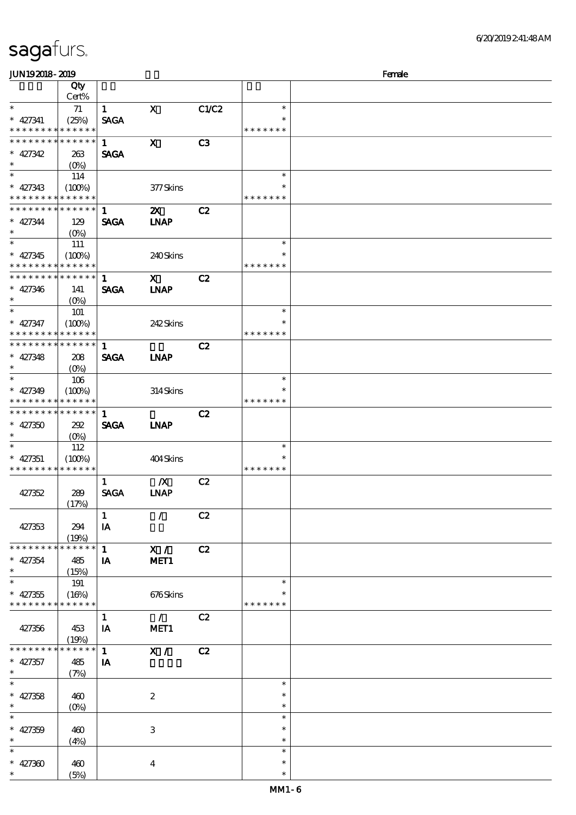|  |  | sagafurs. |
|--|--|-----------|
|--|--|-----------|

| <b>JUN192018-2019</b>                    |                                 |              |                           |                |               | Female |
|------------------------------------------|---------------------------------|--------------|---------------------------|----------------|---------------|--------|
|                                          | Qty                             |              |                           |                |               |        |
|                                          | Cert%                           |              |                           |                |               |        |
| $\ast$                                   | 71                              | $\mathbf{1}$ | $\mathbf{x}$              | C1/C2          | $\ast$        |        |
| $* 427341$                               | (25%)                           | <b>SAGA</b>  |                           |                | ∗             |        |
| * * * * * * * *                          | ******                          |              |                           |                | * * * * * * * |        |
| * * * * * * *                            | * * * * * *                     | $\mathbf{1}$ | $\mathbf{x}$              | C <sub>3</sub> |               |        |
| $* 427342$                               | 263                             | <b>SAGA</b>  |                           |                |               |        |
| $\ast$                                   | $(O\%)$                         |              |                           |                |               |        |
| $\overline{\phantom{0}}$                 | 114                             |              |                           |                | $\ast$        |        |
| $* 427343$                               | (100%)                          |              | 377Skins                  |                | ∗             |        |
| * * * * * * * *                          | * * * * * *                     |              |                           |                | * * * * * * * |        |
| * * * * * * * * * * * * * *              |                                 | $\mathbf{1}$ | $\boldsymbol{\mathsf{Z}}$ | C2             |               |        |
| $* 427344$                               | 129                             | <b>SAGA</b>  | <b>INAP</b>               |                |               |        |
| $\ast$                                   |                                 |              |                           |                |               |        |
| $\ast$                                   | 111                             |              |                           |                | $\ast$        |        |
| $* 427345$                               | (100%)                          |              | 240Skins                  |                | $\ast$        |        |
| * * * * * * * *                          | * * * * * *                     |              |                           |                | * * * * * * * |        |
| * * * * * * * * * * * * * *              |                                 | $\mathbf{1}$ | $\mathbf{x}$              | C2             |               |        |
| $* 427346$                               | 141                             | <b>SAGA</b>  | <b>INAP</b>               |                |               |        |
| $\ast$                                   |                                 |              |                           |                |               |        |
| $\overline{\ast}$                        | <b>101</b>                      |              |                           |                | $\ast$        |        |
| $* 427347$                               | (100%)                          |              | 242Skins                  |                |               |        |
| * * * * * * * * <mark>* * * * * *</mark> |                                 |              |                           |                | * * * * * * * |        |
| * * * * * * * * * * * * * *              |                                 | $\mathbf{1}$ |                           | C2             |               |        |
| $* 427348$                               | 208                             | <b>SAGA</b>  | <b>INAP</b>               |                |               |        |
| $\ast$                                   | $(O\%)$                         |              |                           |                |               |        |
| $\overline{\ast}$                        | 106                             |              |                           |                | $\ast$        |        |
| $* 427349$                               | (100%)                          |              | 314Skins                  |                | $\ast$        |        |
| * * * * * * * *                          | * * * * * *                     |              |                           |                | * * * * * * * |        |
| * * * * * * * * * * * * * *              |                                 | $\mathbf{1}$ |                           | C2             |               |        |
| $* 427350$                               | 202                             | <b>SAGA</b>  | <b>INAP</b>               |                |               |        |
| $\ast$                                   | $(O\%)$                         |              |                           |                |               |        |
| $\ast$                                   | 112                             |              |                           |                | $\ast$        |        |
| $* 427351$                               | (100%)                          |              | 404Skins                  |                | $\ast$        |        |
| * * * * * * * *                          | * * * * * *                     |              |                           |                | * * * * * * * |        |
|                                          |                                 | $\mathbf{1}$ | $\boldsymbol{X}$          | C2             |               |        |
| 427352                                   | 289                             | <b>SAGA</b>  | <b>INAP</b>               |                |               |        |
|                                          | (17%)                           |              |                           |                |               |        |
|                                          |                                 | $\mathbf{1}$ | $\mathcal{L}$             | C2             |               |        |
| 427353                                   | 294                             | IA           |                           |                |               |        |
|                                          | (19%)                           |              |                           |                |               |        |
| * * * * * * * *                          | * * * * * *                     | $\mathbf{1}$ | X /                       | C2             |               |        |
| $* 427354$                               | 485                             | IA           | MET1                      |                |               |        |
| $\ast$                                   | (15%)                           |              |                           |                |               |        |
| $\ast$                                   | 191                             |              |                           |                | $\ast$        |        |
| $* 427355$                               | (16%)                           |              | 676Skins                  |                | ∗             |        |
| * * * * * * * * * * * * * *              |                                 |              |                           |                | * * * * * * * |        |
|                                          |                                 | $\mathbf{1}$ | $\mathcal{L}$             | C2             |               |        |
| 427356                                   | 453                             | IA           | MET <sub>1</sub>          |                |               |        |
|                                          | (19%)                           |              |                           |                |               |        |
| * * * * * * * *                          | <b>******</b>                   | $\mathbf{1}$ | X /                       | C2             |               |        |
| $* 427357$                               | 485                             | IA           |                           |                |               |        |
| $\ast$                                   | (7%)                            |              |                           |                |               |        |
| $\ast$                                   |                                 |              |                           |                | $\ast$        |        |
| $* 427358$                               | 460                             |              | $\boldsymbol{2}$          |                | $\ast$        |        |
| $\ast$                                   | $(O\!\!\!\!\!\!\backslash\rho)$ |              |                           |                | $\ast$        |        |
| $\ast$                                   |                                 |              |                           |                | $\ast$        |        |
| $* 427359$                               | 460                             |              | $\,3$                     |                | $\ast$        |        |
| $\ast$                                   | (4%)                            |              |                           |                | $\ast$        |        |
| $\ast$                                   |                                 |              |                           |                | $\ast$        |        |
| $* 427360$                               | 460                             |              | $\boldsymbol{4}$          |                | $\ast$        |        |
|                                          | (5%)                            |              |                           |                | $\ast$        |        |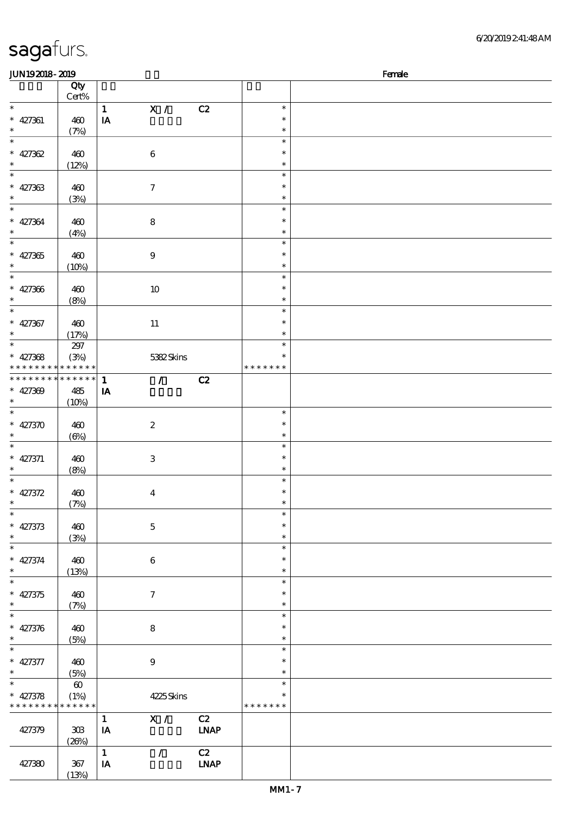| JUN192018-2019                                               |                                              |                                                     |                   |                                   | Female |
|--------------------------------------------------------------|----------------------------------------------|-----------------------------------------------------|-------------------|-----------------------------------|--------|
|                                                              | Qty<br>Cert%                                 |                                                     |                   |                                   |        |
| $\ast$<br>$* 427361$<br>$\ast$                               | 460<br>(7%)                                  | X /<br>$\mathbf{1}$<br>IA                           | C2                | $\ast$<br>$\ast$<br>$\ast$        |        |
| $\ast$<br>$* 427362$<br>$\ast$                               | 460<br>(12%)                                 | $\,6\,$                                             |                   | $\ast$<br>$\ast$<br>$\ast$        |        |
| $\ast$<br>$* 427363$<br>$\ast$                               | 460<br>(3%)                                  | $\boldsymbol{7}$                                    |                   | $\ast$<br>$\ast$<br>$\ast$        |        |
| $\ast$<br>$* 427364$<br>$\ast$                               | 460<br>(4%)                                  | ${\bf 8}$                                           |                   | $\ast$<br>$\ast$<br>$\ast$        |        |
| $\ast$<br>$* 427365$<br>$\ast$                               | 460<br>(10%)                                 | $\boldsymbol{9}$                                    |                   | $\ast$<br>$\ast$<br>$\ast$        |        |
| $\ast$<br>$* 427366$<br>$\ast$                               | 460<br>(8%)                                  | $10\,$                                              |                   | $\ast$<br>$\ast$<br>$\ast$        |        |
| $\ast$<br>$* 427367$<br>$\ast$                               | 460<br>(17%)                                 | $11\,$                                              |                   | $\ast$<br>$\ast$<br>$\ast$        |        |
| $\ast$<br>$* 427368$<br>* * * * * * * *                      | $297\,$<br>(3%)<br>* * * * * *               | 5382Skins                                           |                   | $\ast$<br>$\ast$<br>* * * * * * * |        |
| * * * * * * * *<br>$* 427309$<br>$\ast$                      | * * * * * *<br>485<br>(10%)                  | $\overline{ }$<br>$\mathbf{1}$<br>${\bf I} {\bf A}$ | C2                |                                   |        |
| $\overline{\ast}$<br>$* 427370$<br>$\ast$                    | 460<br>$(\Theta)$                            | $\boldsymbol{2}$                                    |                   | $\ast$<br>$\ast$<br>$\ast$        |        |
| $\ast$<br>$* 427371$<br>$\ast$                               | 460<br>(8%)                                  | $\,3\,$                                             |                   | $\ast$<br>$\ast$<br>$\ast$        |        |
| $\ast$<br>$* 427372$<br>$\ast$<br>$\overline{\phantom{a}^*}$ | 460<br>(7%)                                  | $\overline{\mathbf{4}}$                             |                   | $\ast$<br>$\ast$<br>$\ast$        |        |
| $* 427373$<br>$\ast$<br>$\overline{\phantom{0}}$             | 460<br>(3%)                                  | $\mathbf 5$                                         |                   | $\ast$<br>$\ast$<br>$\ast$        |        |
| $* 427374$<br>$\ast$<br>$\overline{\ast}$                    | 460<br>(13%)                                 | $\bf 6$                                             |                   | $\ast$<br>$\ast$<br>$\ast$        |        |
| $* 427375$<br>$\ast$<br>$\overline{\ast}$                    | 460<br>(7%)                                  | $\boldsymbol{\tau}$                                 |                   | $\ast$<br>$\ast$<br>$\ast$        |        |
| $* 427376$<br>$\ast$                                         | 460<br>(5%)                                  | $\bf 8$                                             |                   | $\ast$<br>$\ast$<br>$\ast$        |        |
| $\ast$<br>$* 427377$<br>$\ast$                               | 460<br>(5%)                                  | $9\,$                                               |                   | $\ast$<br>$\ast$<br>$\ast$        |        |
| $\ast$<br>$* 427378$<br>* * * * * * * *                      | $\boldsymbol{\omega}$<br>(1%)<br>* * * * * * | 4225Skins                                           |                   | $\ast$<br>$\ast$<br>* * * * * * * |        |
| 427379                                                       | 308<br>(20%)                                 | X /<br>$\mathbf{1}$<br>IA                           | C2<br><b>LNAP</b> |                                   |        |
| 427380                                                       | $367\,$<br>(13%)                             | $\mathbf{1}$<br>$\mathcal{L}$<br>IA                 | C2<br><b>LNAP</b> |                                   |        |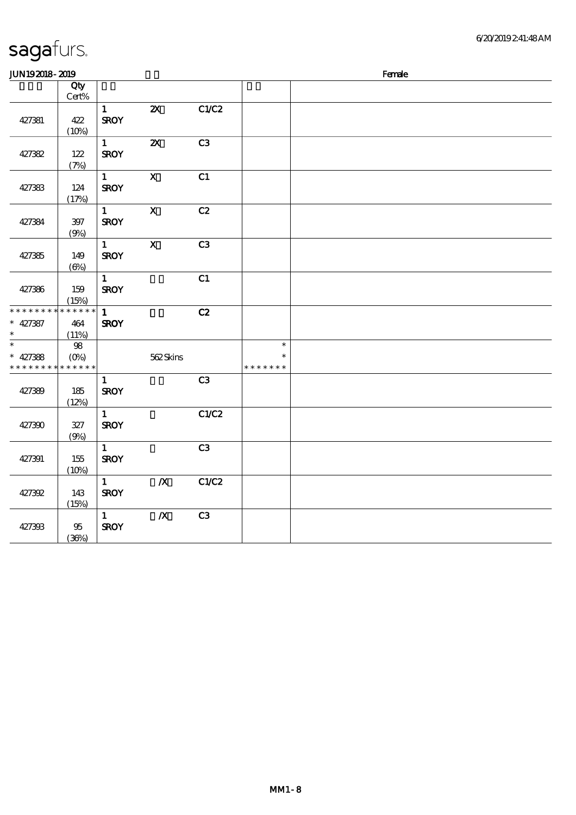| sagafurs. |
|-----------|
|           |

| <b>JUN192018-2019</b>                      |              |                             |                           |                |               | Female |
|--------------------------------------------|--------------|-----------------------------|---------------------------|----------------|---------------|--------|
|                                            | Qty          |                             |                           |                |               |        |
|                                            | Cert%        |                             |                           |                |               |        |
|                                            |              | $\mathbf{1}$                | $\boldsymbol{\mathsf{z}}$ | C1/C2          |               |        |
| 427381                                     | 422          | <b>SROY</b>                 |                           |                |               |        |
|                                            | (10%)        |                             |                           |                |               |        |
|                                            |              | $\mathbf{1}$                | $\boldsymbol{\mathsf{Z}}$ | C3             |               |        |
| 427382                                     | 122          | <b>SROY</b>                 |                           |                |               |        |
|                                            | (7%)         |                             |                           |                |               |        |
|                                            |              | 1                           | $\boldsymbol{\mathrm{X}}$ | C1             |               |        |
| 427383                                     | 124          | <b>SROY</b>                 |                           |                |               |        |
|                                            | (17%)        |                             |                           |                |               |        |
|                                            |              | $\mathbf{1}$                | $\mathbf x$               | C2             |               |        |
| 427384                                     | $397\,$      | <b>SROY</b>                 |                           |                |               |        |
|                                            | (9%)         |                             |                           |                |               |        |
|                                            |              | $\mathbf{1}$                | $\mathbf x$               | C3             |               |        |
| 427385                                     | 149          | <b>SROY</b>                 |                           |                |               |        |
|                                            | $(\Theta_0)$ |                             |                           |                |               |        |
|                                            |              | $\mathbf{1}$                |                           | C1             |               |        |
| 427386                                     | 159          | <b>SROY</b>                 |                           |                |               |        |
|                                            | (15%)        |                             |                           |                |               |        |
| * * * * * * * *                            | $******$     | $\mathbf{1}$                |                           | C2             |               |        |
| $* 427387$                                 | 464          | <b>SROY</b>                 |                           |                |               |        |
| $\ast$                                     | (11%)        |                             |                           |                |               |        |
| $\ast$                                     | $98\,$       |                             |                           |                | $\ast$        |        |
| $* 427388$                                 |              |                             | 562Skins                  |                | $\ast$        |        |
| * * * * * * * * <mark>* * * * * * *</mark> | $(0\%)$      |                             |                           |                | * * * * * * * |        |
|                                            |              | $\mathbf{1}$                |                           | C3             |               |        |
|                                            |              |                             |                           |                |               |        |
| 427389                                     | 185          | <b>SROY</b>                 |                           |                |               |        |
|                                            | (12%)        |                             |                           | C1/C2          |               |        |
| 427390                                     | $327\,$      | $\mathbf{1}$<br><b>SROY</b> |                           |                |               |        |
|                                            |              |                             |                           |                |               |        |
|                                            | (9%)         | $\mathbf{1}$                |                           | C3             |               |        |
|                                            |              |                             |                           |                |               |        |
| 427391                                     | 155          | <b>SROY</b>                 |                           |                |               |        |
|                                            | (10%)        |                             |                           |                |               |        |
|                                            |              | $\mathbf{1}$                | $\boldsymbol{X}$          | C1/C2          |               |        |
| 427392                                     | 143          | <b>SROY</b>                 |                           |                |               |        |
|                                            | (15%)        |                             |                           |                |               |        |
|                                            |              | $\mathbf{1}$                | $\boldsymbol{X}$          | C <sub>3</sub> |               |        |
| 427393                                     | $95\,$       | <b>SROY</b>                 |                           |                |               |        |
|                                            | (36%)        |                             |                           |                |               |        |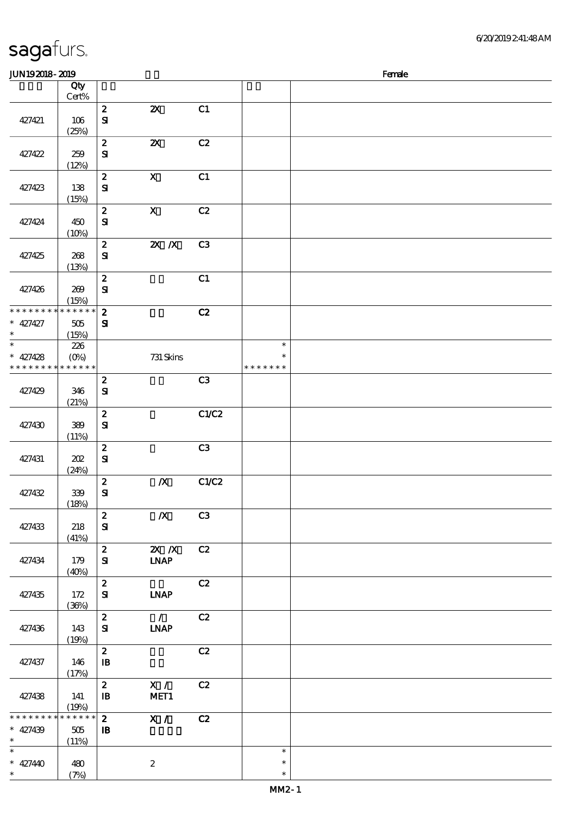| sagafurs. |
|-----------|
|-----------|

| JUN192018-2019                                      |                                 |                                  |                               |                |                                   | Female |
|-----------------------------------------------------|---------------------------------|----------------------------------|-------------------------------|----------------|-----------------------------------|--------|
|                                                     | Qty<br>Cert%                    |                                  |                               |                |                                   |        |
| 427421                                              | 106<br>(25%)                    | $\pmb{2}$<br>$\mathbf{S}$        | $\boldsymbol{\mathsf{z}}$     | C1             |                                   |        |
| 427422                                              | 259<br>(12%)                    | $\pmb{2}$<br>$\mathbf{S}$        | $\boldsymbol{\mathsf{z}}$     | C2             |                                   |        |
| 427423                                              | 138<br>(15%)                    | $\boldsymbol{2}$<br>$\mathbf{S}$ | $\boldsymbol{\mathsf{X}}$     | C1             |                                   |        |
| 427424                                              | 450<br>(10%)                    | $\pmb{2}$<br>$\mathbf{S}$        | $\mathbf X$                   | C2             |                                   |        |
| 427425                                              | 268<br>(13%)                    | $\boldsymbol{z}$<br>$\mathbf{S}$ | $X$ $X$                       | C <sub>3</sub> |                                   |        |
| 427426                                              | 269<br>(15%)                    | $\boldsymbol{z}$<br>${\bf S}$    |                               | C1             |                                   |        |
| * * * * * * * *<br>$* 427427$<br>$\ast$             | * * * * * *<br>$505\,$<br>(15%) | $\boldsymbol{z}$<br>$\mathbf{S}$ |                               | C2             |                                   |        |
| $\ast$<br>$* 427428$<br>* * * * * * * * * * * * * * | 226<br>$(O\%)$                  |                                  | 731 Skins                     |                | $\ast$<br>$\ast$<br>* * * * * * * |        |
| 427429                                              | 346<br>(21%)                    | $\boldsymbol{z}$<br>$\mathbf{S}$ |                               | C <sub>3</sub> |                                   |        |
| 427430                                              | 389<br>(11%)                    | $\boldsymbol{2}$<br>$\mathbf{S}$ |                               | C1/C2          |                                   |        |
| 427431                                              | 202<br>(24%)                    | $\boldsymbol{z}$<br>$\mathbf{S}$ |                               | C <sub>3</sub> |                                   |        |
| 427432                                              | $39\!\!$<br>(18%)               | $\pmb{2}$<br>$\mathbf{S}$        | $\boldsymbol{X}$              | C1/C2          |                                   |        |
| 427433                                              | 218<br>(41%)                    | $\boldsymbol{z}$<br>${\bf S}$    | $\boldsymbol{X}$              | C <sub>3</sub> |                                   |        |
| 427434                                              | 179<br>(40%)                    | $\boldsymbol{z}$<br>${\bf s}$    | $X$ $N$<br>INAP               | C2             |                                   |        |
| 427435                                              | 172<br>(36%)                    | $\boldsymbol{z}$<br>${\bf s}$    | <b>INAP</b>                   | C2             |                                   |        |
| 427436                                              | 143<br>(19%)                    | $\boldsymbol{z}$<br>${\bf s}$    | $\overline{1}$<br><b>LNAP</b> | C2             |                                   |        |
| 427437                                              | 146<br>(17%)                    | $\boldsymbol{z}$<br>$\mathbf{B}$ |                               | C2             |                                   |        |
| 427438                                              | 141<br>(19%)                    | $\boldsymbol{z}$<br>$\mathbf{B}$ | X /<br>MET1                   | C2             |                                   |        |
| * * * * * * * *<br>$* 427439$<br>$\ast$             | $******$<br>505<br>(11%)        | $\boldsymbol{2}$<br>$\mathbf{B}$ | X /                           | C2             |                                   |        |
| $\ast$<br>$* 42740$<br>$\ast$                       | 480<br>(7%)                     |                                  | $\boldsymbol{2}$              |                | $\ast$<br>$\ast$<br>$\ast$        |        |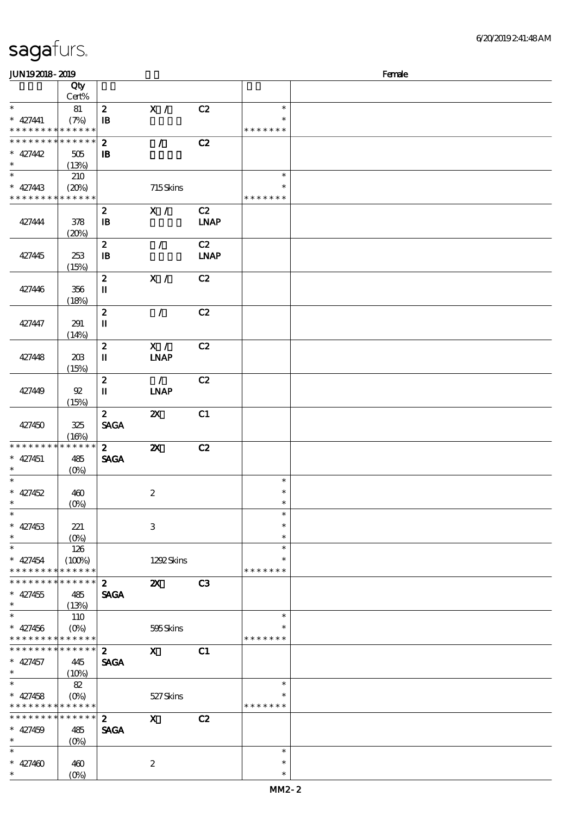(0%)

#### JUN192018-2019 Female 顺序号 Qty 说明 价格 Cert% \*\* <sup>427441</sup>  $2$  X / C2 81  $\ast$ \*\* (7%)  $\mathbf{B}$  $\ddot{\textbf{r}}$ \* \* \* \* \* \* \* \* \* \* \* \* \* \* \* \* \* \*  $2$  / C2 \* \* \* \* \* \* \* \* \* \* \* \* \*  $\mathbf{B}$  $* 427442 \mid 505$ \*\* (13%) \*  $* 427443$ 210  $\ast$ \*\* (20%) 715 Skins  $\ast$ \* \* \* \* \* \* \* \* \* \* \* \* \* \* \* \* \* \*  $\overline{\text{2}}$  X / C2 427444 378 IB 身体咬伤 LNAP  $(20%)$ 2 / C2 427445 253 IB 身体咬伤 LNAP (15%) 2 X / C2 427446 356 II  $(18%)$ 2 / C2 427447 291 II  $(14%)$  $\overline{z}$   $\overline{X}$  /  $\overline{C}$ 427448 203 II LNAP (15%)  $\overline{2}$  / C<sub>2</sub> 427449 92 II LNAP (15%) 2 2X深 C1 427450 325 SAGA  $(16%)$ 2 2X C2 \* \* \* \* \* \* \* \* \* \* \* \* \* 427451 485 SAGA \*\*  $(O\%)$  $\overline{\phantom{0}}$  $\overline{\phantom{0}}$ \*\*\* \*\*\*  $\ast$ 427452 460 2  $\ast$ (0%)  $\overline{\ast}$ \*\*\* \*\*\*  $\ast$  $\ast$ 427453 221 3 (0%)  $\ast$ \*<br>\* 427454 126  $\ast$ \*\*  $(100%)$  1292 Skins  $\ast$ \* \* \* \* \* \* \* \* \* \* \* \* \* \* \* \* \* \* 2 2X C3 \* \* \* \* \* \* \* \* \* \* \* \*  $\ast$ 427455 485 SAGA \*\* (13%) \*\* <sup>427456</sup> 110  $\ast$ \*\* (0%) 595 Skins J. \* \* \* \* \* \* \* \* \* \* \* \* \* \* \* \* \* \*  $\overline{z}$   $\overline{x}$   $\overline{c}$   $\overline{c}$   $\overline{c}$   $\overline{c}$   $\overline{c}$   $\overline{c}$   $\overline{c}$   $\overline{c}$   $\overline{c}$   $\overline{c}$   $\overline{c}$   $\overline{c}$   $\overline{c}$   $\overline{c}$   $\overline{c}$   $\overline{c}$   $\overline{c}$   $\overline{c}$   $\overline{c}$   $\overline{c}$   $\overline{c}$   $\overline{c}$   $\overline{c$ \* \* \* \* \* \* \* \* <mark>\* \* \* \* \*</mark> \* 427457 445 SAGA \*\*  $(10%)$ \*<br>\* 427458 82  $\ast$ \*\* (0%) 527 Skins  $\ast$ \* \* \* \* \* \* \* \* \* \* \* \* \* \* \* \* \* \* \*  $2$  X C2 \* \* \* \* \* \* \* \* \* \* \* \* SAGA  $\ast$ 427459 485 \*\* (0%)  $\overline{\phantom{a}}$  $\ast$ \*\*\* \*\*\* $* 427460 \mid 460$ 2  $\ast$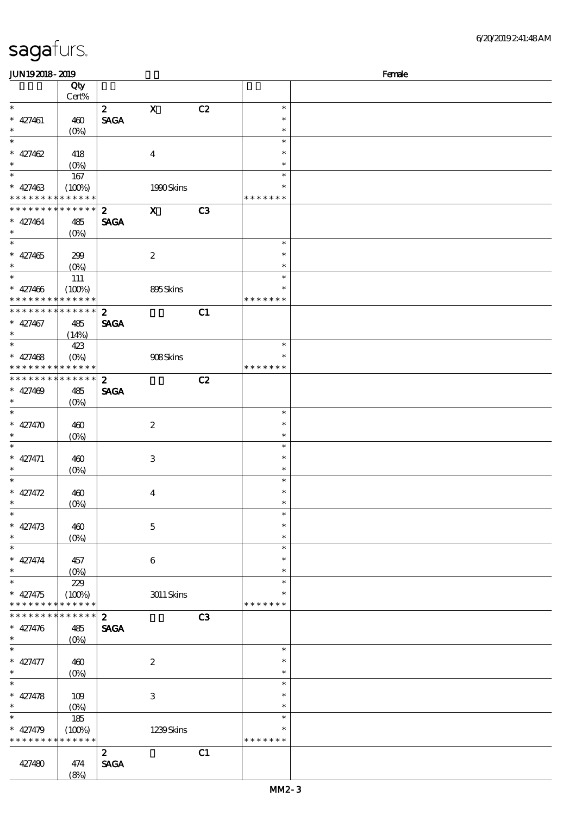| JUN192018-2019                             |                   |                                |                  |    |               | Female |
|--------------------------------------------|-------------------|--------------------------------|------------------|----|---------------|--------|
|                                            | Qty               |                                |                  |    |               |        |
|                                            | Cert%             |                                |                  |    |               |        |
| $\ast$                                     |                   | $\mathbf{2}$                   | $\mathbf{x}$     | C2 | $\ast$        |        |
| $* 427461$                                 | 460               | <b>SAGA</b>                    |                  |    | $\ast$        |        |
| $\ast$                                     | (O <sub>0</sub> ) |                                |                  |    | $\ast$        |        |
| $\ast$                                     |                   |                                |                  |    | $\ast$        |        |
| $* 427462$                                 | 418               |                                | $\boldsymbol{4}$ |    | $\ast$        |        |
| $\ast$                                     | $(O\%)$           |                                |                  |    | $\ast$        |        |
| $\ast$                                     | 167               |                                |                  |    | $\ast$        |        |
| $* 427463$                                 | (100%)            |                                | 1990Skins        |    | $\ast$        |        |
| * * * * * * * *                            | * * * * * *       |                                |                  |    | * * * * * * * |        |
| * * * * * * * *                            | * * * * * *       | $\boldsymbol{z}$               | $\mathbf X$      | C3 |               |        |
| $* 427464$                                 | 485               | <b>SAGA</b>                    |                  |    |               |        |
| $\ast$                                     | (O <sub>0</sub> ) |                                |                  |    |               |        |
| $\ast$                                     |                   |                                |                  |    | $\ast$        |        |
| $* 427465$                                 | 299               |                                | $\boldsymbol{2}$ |    | $\ast$        |        |
| $\ast$                                     | $(0\%)$           |                                |                  |    | $\ast$        |        |
| $\ast$                                     | 111               |                                |                  |    | $\ast$        |        |
| $* 427466$                                 | (100%)            |                                | 895Skins         |    | $\ast$        |        |
| * * * * * * * * <mark>* * * * * *</mark>   |                   |                                |                  |    | * * * * * * * |        |
| * * * * * * * *                            | * * * * * *       | $\boldsymbol{z}$               |                  | C1 |               |        |
| $* 427467$                                 | 485               | <b>SAGA</b>                    |                  |    |               |        |
| $\ast$                                     | (14%)             |                                |                  |    |               |        |
| $\overline{\ast}$                          | 423               |                                |                  |    | $\ast$        |        |
| $* 427468$                                 | $(O\%)$           |                                | 908Skins         |    | $\ast$        |        |
| * * * * * * * * <mark>* * * * * * *</mark> |                   |                                |                  |    | * * * * * * * |        |
| * * * * * * * *                            | $******$          | $\mathbf{z}$                   |                  | C2 |               |        |
| $* 427469$                                 | 485               | <b>SAGA</b>                    |                  |    |               |        |
| $\ast$                                     | (O <sub>0</sub> ) |                                |                  |    |               |        |
| $\ast$                                     |                   |                                |                  |    | $\ast$        |        |
| $* 427470$                                 | 460               |                                | $\boldsymbol{2}$ |    | $\ast$        |        |
| $\ast$                                     | $(0\%)$           |                                |                  |    | $\ast$        |        |
| $\ast$                                     |                   |                                |                  |    | $\ast$        |        |
| $* 427471$                                 | 460               |                                | $\,3\,$          |    | $\ast$        |        |
| $\ast$                                     | $(0\%)$           |                                |                  |    | $\ast$        |        |
| $\ast$                                     |                   |                                |                  |    | $\ast$        |        |
| $* 427472$                                 | 460               |                                | $\bf{4}$         |    | $\ast$        |        |
|                                            | (0%)              |                                |                  |    | ∗             |        |
| $\ast$                                     |                   |                                |                  |    | $\ast$        |        |
| $* 427473$                                 | 460               |                                | $\mathbf 5$      |    | $\ast$        |        |
| $\ast$                                     | $(0\%)$           |                                |                  |    | $\ast$        |        |
| $\ast$                                     |                   |                                |                  |    | $\ast$        |        |
| $* 427474$                                 | 457               |                                | $\,6\,$          |    | $\ast$        |        |
|                                            | $(O\%)$           |                                |                  |    | $\ast$        |        |
| $\ast$                                     | 229               |                                |                  |    | $\ast$        |        |
| $* 427475$                                 | (100%)            |                                | $3011$ Skins     |    | $\ast$        |        |
| * * * * * * * *                            | * * * * * *       |                                |                  |    | * * * * * * * |        |
| * * * * * * *                              | * * * * * *       | $\mathbf{z}$                   |                  | C3 |               |        |
| $* 427476$                                 | 485               | <b>SAGA</b>                    |                  |    |               |        |
| $\ast$                                     | (O <sub>0</sub> ) |                                |                  |    |               |        |
| $\ast$                                     |                   |                                |                  |    | $\ast$        |        |
| $* 427477$                                 | 460               |                                | $\boldsymbol{2}$ |    | $\ast$        |        |
| $\ast$                                     | $(O\!/\!o)$       |                                |                  |    | $\ast$        |        |
| $\ast$                                     |                   |                                |                  |    | $\ast$        |        |
| $* 427478$                                 | 109               |                                | $\,3$            |    | $\ast$        |        |
| $\ast$                                     | (O <sub>0</sub> ) |                                |                  |    | $\ast$        |        |
|                                            | 185               |                                |                  |    | $\ast$        |        |
| $* 427479$                                 | (100%)            |                                | 1239Skins        |    | $\ast$        |        |
| * * * * * * * *                            | * * * * * *       |                                |                  |    | * * * * * * * |        |
|                                            |                   | $\boldsymbol{z}$               |                  | C1 |               |        |
| 427480                                     | 474               | $\operatorname{\mathbf{SAGA}}$ |                  |    |               |        |
|                                            | (8%)              |                                |                  |    |               |        |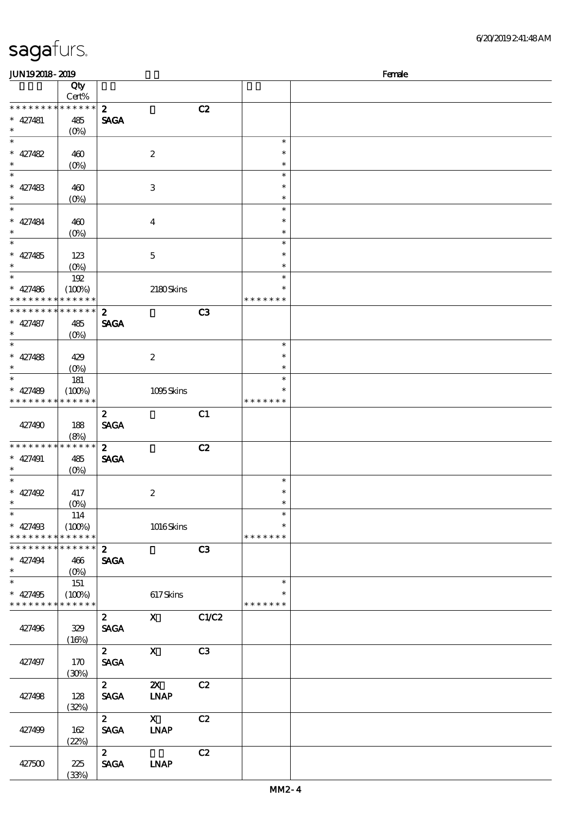| 6/20/2019241:48AM |
|-------------------|
|-------------------|

| JUN192018-2019              |                     |                                |                           |       |               | Female |
|-----------------------------|---------------------|--------------------------------|---------------------------|-------|---------------|--------|
|                             | Qty                 |                                |                           |       |               |        |
|                             | Cert%               |                                |                           |       |               |        |
| * * * * * * * * * * * * * * |                     | $\boldsymbol{z}$               |                           | C2    |               |        |
| $* 427481$                  | 485                 | <b>SAGA</b>                    |                           |       |               |        |
| $\ast$                      | $(O\%)$             |                                |                           |       |               |        |
| $\ast$                      |                     |                                |                           |       | $\ast$        |        |
| $* 427482$                  | 460                 |                                | $\boldsymbol{2}$          |       | $\ast$        |        |
| $\ast$                      | $(0\%)$             |                                |                           |       | $\ast$        |        |
| $\ast$                      |                     |                                |                           |       | $\ast$        |        |
| $* 427483$                  | 460                 |                                | $\,3$                     |       | $\ast$        |        |
| $\ast$                      | $(0\%)$             |                                |                           |       | $\ast$        |        |
| $\ast$                      |                     |                                |                           |       | $\ast$        |        |
| $* 427484$                  | 460                 |                                | $\boldsymbol{4}$          |       | $\ast$        |        |
| $\ast$                      |                     |                                |                           |       | $\ast$        |        |
| $\overline{\phantom{0}}$    | $(0\%)$             |                                |                           |       | $\ast$        |        |
|                             |                     |                                |                           |       |               |        |
| $* 427485$                  | 123                 |                                | $\mathbf 5$               |       | $\ast$        |        |
| $\ast$                      | $(O\%)$             |                                |                           |       | $\ast$        |        |
| $\ast$                      | $192$               |                                |                           |       | $\ast$        |        |
| $* 427486$                  | (100%)              |                                | 2180Skins                 |       | $\ast$        |        |
| * * * * * * * * * * * * * * |                     |                                |                           |       | * * * * * * * |        |
| * * * * * * * *             | * * * * * *         | $\boldsymbol{z}$               |                           | C3    |               |        |
| $* 427487$                  | 485                 | <b>SAGA</b>                    |                           |       |               |        |
| $\ast$                      | $(O\%)$             |                                |                           |       |               |        |
| $\overline{\ast}$           |                     |                                |                           |       | $\ast$        |        |
| $* 427488$                  | 429                 |                                | $\boldsymbol{2}$          |       | $\ast$        |        |
| $\ast$                      | $(0\%)$             |                                |                           |       | $\ast$        |        |
| $\ast$                      | 181                 |                                |                           |       | $\ast$        |        |
| $* 427489$                  | (100%)              |                                | 1095Skins                 |       |               |        |
| * * * * * * * * * * * * * * |                     |                                |                           |       | * * * * * * * |        |
|                             |                     | $\boldsymbol{z}$               |                           | C1    |               |        |
| 427490                      | 188                 | <b>SAGA</b>                    |                           |       |               |        |
|                             |                     |                                |                           |       |               |        |
| * * * * * * * *             | (8%)<br>* * * * * * |                                |                           |       |               |        |
|                             |                     | $\boldsymbol{z}$               |                           | C2    |               |        |
| $* 427491$                  | 485                 | <b>SAGA</b>                    |                           |       |               |        |
| $\ast$                      | (O <sub>0</sub> )   |                                |                           |       |               |        |
| $\ast$                      |                     |                                |                           |       | $\ast$        |        |
| $* 427492$                  | 417                 |                                | $\boldsymbol{2}$          |       | $\ast$        |        |
| $*$                         | (0%)                |                                |                           |       | $\ast$        |        |
| $\ast$                      | 114                 |                                |                           |       | $\ast$        |        |
| $* 427498$                  | (100%)              |                                | $1016$ Skins              |       | $\ast$        |        |
| * * * * * * * * * * * * * * |                     |                                |                           |       | * * * * * * * |        |
| * * * * * * * * * * * * * * |                     | $\mathbf{z}$                   |                           | C3    |               |        |
| $* 427494$                  | 466                 | <b>SAGA</b>                    |                           |       |               |        |
| $\ast$                      |                     |                                |                           |       |               |        |
| $\overline{\phantom{a}}$    | 151                 |                                |                           |       | $\ast$        |        |
| $* 427495$                  | (100%)              |                                | $617$ Skins               |       |               |        |
| * * * * * * * * * * * * * * |                     |                                |                           |       | * * * * * * * |        |
|                             |                     | $\mathbf{z}$                   | $\mathbf{X}$              | C1/C2 |               |        |
| 427496                      | 329                 | <b>SAGA</b>                    |                           |       |               |        |
|                             | (16%)               |                                |                           |       |               |        |
|                             |                     | $2^{\circ}$                    | $\mathbf{X}$              | C3    |               |        |
|                             |                     | $\operatorname{\mathsf{SAGA}}$ |                           |       |               |        |
| 427497                      | 170                 |                                |                           |       |               |        |
|                             | (30%)               |                                |                           |       |               |        |
|                             |                     | $\mathbf{z}$                   | $\boldsymbol{\mathsf{Z}}$ | C2    |               |        |
| 427498                      | 128                 | <b>SAGA</b>                    | <b>INAP</b>               |       |               |        |
|                             | (32%)               |                                |                           |       |               |        |
|                             |                     | $\mathbf{2}$                   | $\mathbf{X}$              | C2    |               |        |
| 427499                      | 162                 | <b>SAGA</b>                    | <b>INAP</b>               |       |               |        |
|                             | (22%)               |                                |                           |       |               |        |
|                             |                     | $\mathbf{2}$                   |                           | C2    |               |        |
| 427500                      | 225                 | <b>SAGA</b>                    | <b>LNAP</b>               |       |               |        |
|                             | (33%)               |                                |                           |       |               |        |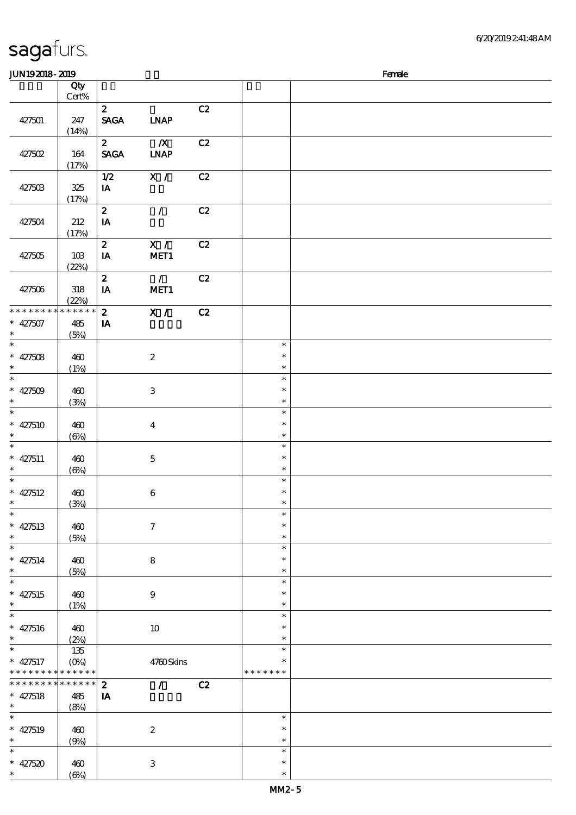| <b>JUN192018-2019</b>    |             |                         |                  |    |                  | Female |
|--------------------------|-------------|-------------------------|------------------|----|------------------|--------|
|                          | Qty         |                         |                  |    |                  |        |
|                          | $Cert\%$    |                         |                  |    |                  |        |
|                          |             | $\boldsymbol{z}$        |                  | C2 |                  |        |
| 427501                   | 247         | <b>SAGA</b>             | <b>LNAP</b>      |    |                  |        |
|                          | (14%)       |                         |                  |    |                  |        |
|                          |             | $\boldsymbol{2}$        | $\mathbf{X}$     | C2 |                  |        |
| 427502                   | 164         | <b>SAGA</b>             | <b>LNAP</b>      |    |                  |        |
|                          | (17%)       |                         |                  |    |                  |        |
|                          |             | 1/2                     | X /              | C2 |                  |        |
| 427503                   | 325         | IA                      |                  |    |                  |        |
|                          | (17%)       |                         |                  |    |                  |        |
|                          |             | $\boldsymbol{z}$        | $\mathcal{L}$    | C2 |                  |        |
| 427504                   | 212         | IA                      |                  |    |                  |        |
|                          | (17%)       |                         |                  |    |                  |        |
|                          |             | $\boldsymbol{z}$        | X /              | C2 |                  |        |
| 427505                   | 10B         | IA                      | MET1             |    |                  |        |
|                          | (22%)       |                         |                  |    |                  |        |
|                          |             | $\boldsymbol{z}$        | $\mathcal{L}$    | C2 |                  |        |
| 427506                   | $318\,$     | $\mathbf{I} \mathbf{A}$ | MET1             |    |                  |        |
|                          | (22%)       |                         |                  |    |                  |        |
| * * * * * * * *          | * * * * * * | $\boldsymbol{z}$        | X /              | C2 |                  |        |
| $* 427507$               | 485         | IA                      |                  |    |                  |        |
| $\ast$                   | (5%)        |                         |                  |    |                  |        |
| $\overline{\phantom{0}}$ |             |                         |                  |    | $\ast$           |        |
| $* 427508$               | 460         |                         | $\boldsymbol{2}$ |    | $\ast$           |        |
| $\ast$                   | (1%)        |                         |                  |    | $\ast$           |        |
| $\overline{\ast}$        |             |                         |                  |    | $\ast$           |        |
| $* 427509$               | 460         |                         | $\,3$            |    | $\ast$           |        |
| $\ast$                   | (3%)        |                         |                  |    | $\ast$           |        |
| $\ast$                   |             |                         |                  |    | $\ast$           |        |
| $* 427510$               | 460         |                         | $\boldsymbol{4}$ |    | $\ast$           |        |
| $\ast$                   | $(\Theta)$  |                         |                  |    | $\ast$           |        |
| $\ast$                   |             |                         |                  |    | $\ast$           |        |
| $* 427511$               | 460         |                         | $\mathbf 5$      |    | $\ast$           |        |
| $\ast$<br>$\ast$         | $(\Theta\%$ |                         |                  |    | $\ast$           |        |
|                          |             |                         |                  |    | $\ast$           |        |
| $* 427512$<br>$*$        | 460         |                         | $\,6\,$          |    | $\ast$<br>$\ast$ |        |
| $\ast$                   | (3%)        |                         |                  |    | $\ast$           |        |
|                          | 460         |                         |                  |    | $\ast$           |        |
| $* 427513$<br>$\ast$     |             |                         | $\boldsymbol{7}$ |    | $\ast$           |        |
| $\ast$                   | (5%)        |                         |                  |    | $\ast$           |        |
| $* 427514$               | 460         |                         | 8                |    | $\ast$           |        |
| $\ast$                   | (5%)        |                         |                  |    | $\ast$           |        |
| $\ast$                   |             |                         |                  |    | $\ast$           |        |
| $* 427515$               | 460         |                         | $\boldsymbol{9}$ |    | ∗                |        |
| $\ast$                   | (1%)        |                         |                  |    | $\ast$           |        |
| $\ast$                   |             |                         |                  |    | $\ast$           |        |
| $* 427516$               | 460         |                         | $10\,$           |    | $\ast$           |        |
| $\ast$                   | (2%)        |                         |                  |    | $\ast$           |        |
| $\ast$                   | 135         |                         |                  |    | $\ast$           |        |
| $* 427517$               | (0%)        |                         | 4780Skins        |    | ∗                |        |
| * * * * * * * *          | * * * * * * |                         |                  |    | * * * * * * *    |        |
| * * * * * * *            | * * * * * * | $\boldsymbol{z}$        | $\overline{ }$   | C2 |                  |        |
| $* 427518$               | 485         | $\mathbf{I} \mathbf{A}$ |                  |    |                  |        |
| $\ast$                   | (8%)        |                         |                  |    |                  |        |
| $\ast$                   |             |                         |                  |    | $\ast$           |        |
| $* 427519$               | 460         |                         | $\boldsymbol{2}$ |    | $\ast$           |        |
| $\ast$                   | (9%)        |                         |                  |    | $\ast$           |        |
| $\ast$                   |             |                         |                  |    | $\ast$           |        |
| $* 427520$               | 460         |                         | $\,3$            |    | $\ast$           |        |
| $\ast$                   | $(\Theta)$  |                         |                  |    | $\ast$           |        |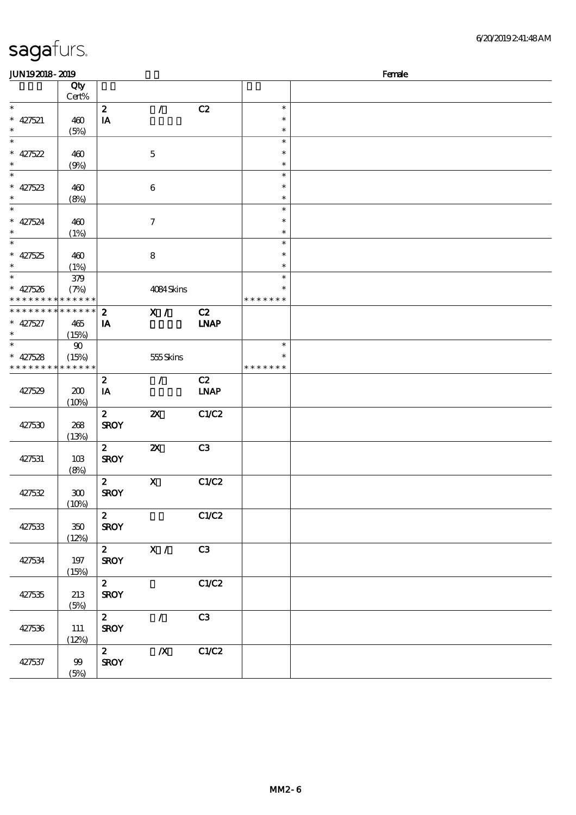| 6/20/2019241:48AM |
|-------------------|
|-------------------|

| <b>JUN192018-2019</b> |              |                                 |                                                     |             |                  | Female |
|-----------------------|--------------|---------------------------------|-----------------------------------------------------|-------------|------------------|--------|
|                       | Qty<br>Cert% |                                 |                                                     |             |                  |        |
| $\ast$                |              | $\boldsymbol{z}$                | $\mathcal{L}$                                       | C2          | $\ast$           |        |
| $* 427521$            | 460          | IA                              |                                                     |             | $\ast$           |        |
| $\ast$                | (5%)         |                                 |                                                     |             | $\ast$           |        |
| $\ast$                |              |                                 |                                                     |             | $\ast$           |        |
| $* 427522$            | 460          |                                 | $\mathbf 5$                                         |             | $\ast$           |        |
| $\ast$                | (9%)         |                                 |                                                     |             | $\ast$           |        |
| $\ast$                |              |                                 |                                                     |             | $\ast$           |        |
| $* 427523$            | 460          |                                 | $\boldsymbol{6}$                                    |             | $\ast$           |        |
| $\ast$<br>$\ast$      | (8%)         |                                 |                                                     |             | $\ast$<br>$\ast$ |        |
|                       |              |                                 |                                                     |             | $\ast$           |        |
| $* 427524$<br>$\ast$  | 460<br>(1%)  |                                 | $\tau$                                              |             | $\ast$           |        |
| $\overline{\ast}$     |              |                                 |                                                     |             | $\ast$           |        |
| $* 427525$            | 460          |                                 | $\bf 8$                                             |             | $\ast$           |        |
| $\ast$                | (1%)         |                                 |                                                     |             | $\ast$           |        |
| $\ast$                | 379          |                                 |                                                     |             | $\ast$           |        |
| $* 427526$            | (7%)         |                                 | 4084Skins                                           |             | $\ast$           |        |
| * * * * * * * *       | * * * * * *  |                                 |                                                     |             | * * * * * * *    |        |
| * * * * * * * *       | * * * * * *  | $\boldsymbol{z}$                | X /                                                 | C2          |                  |        |
| $* 427527$            | 465          | IA                              |                                                     | INAP        |                  |        |
| $\ast$                | (15%)        |                                 |                                                     |             |                  |        |
| $\ast$                | $90\,$       |                                 |                                                     |             | $\ast$           |        |
| $* 427528$            | (15%)        |                                 | 555Skins                                            |             | $\ast$           |        |
| * * * * * * * *       | * * * * * *  |                                 |                                                     |             | * * * * * * *    |        |
|                       |              | $\boldsymbol{z}$                | $\mathcal{L}$                                       | C2          |                  |        |
| 427529                | 200          | IA                              |                                                     | <b>LNAP</b> |                  |        |
|                       | (10%)        |                                 |                                                     |             |                  |        |
| 427530                | 268          | $\boldsymbol{2}$<br><b>SROY</b> | $\boldsymbol{\mathsf{z}}$                           | C1/C2       |                  |        |
|                       | (13%)        |                                 |                                                     |             |                  |        |
|                       |              | $\mathbf{2}$                    | $\boldsymbol{\mathsf{z}}$                           | C3          |                  |        |
| 427531                | 10B          | <b>SROY</b>                     |                                                     |             |                  |        |
|                       | (8%)         |                                 |                                                     |             |                  |        |
|                       |              | $\mathbf{2}$                    | $\mathbf X$                                         | C1/C2       |                  |        |
| 427532                | 300          | <b>SROY</b>                     |                                                     |             |                  |        |
|                       | (10%)        |                                 |                                                     |             |                  |        |
|                       |              | $\mathbf{2}$                    |                                                     | C1/C2       |                  |        |
| 427533                | 350          | <b>SROY</b>                     |                                                     |             |                  |        |
|                       | (12%)        |                                 |                                                     |             |                  |        |
|                       |              |                                 | $\overline{\begin{array}{ccc} 2 & & X \end{array}}$ | C3          |                  |        |
| 427534                | 197          | <b>SROY</b>                     |                                                     |             |                  |        |
|                       | (15%)        | $\mathbf{z}$                    |                                                     |             |                  |        |
|                       | 213          |                                 |                                                     | C1/C2       |                  |        |
| 427535                |              | <b>SROY</b>                     |                                                     |             |                  |        |
|                       | (5%)         | $\mathbf{2}$                    | $\mathcal{L}$                                       | C3          |                  |        |
| 427536                | 111          | <b>SROY</b>                     |                                                     |             |                  |        |
|                       | (12%)        |                                 |                                                     |             |                  |        |
|                       |              | $\mathbf{2}$                    | $\pmb{X}$                                           | C1/C2       |                  |        |
| 427537                | 99           | <b>SROY</b>                     |                                                     |             |                  |        |
|                       | (5%)         |                                 |                                                     |             |                  |        |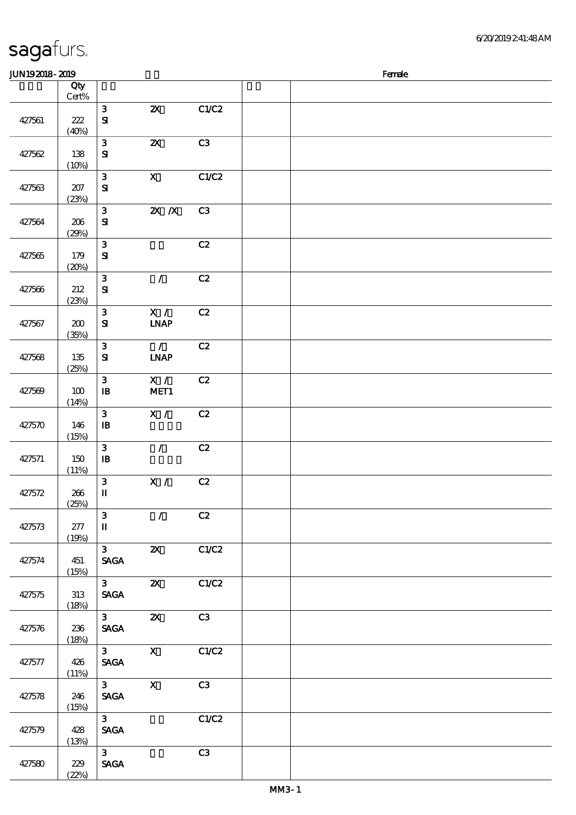$(22%)$ 

#### JUN192018-2019 Female 顺序号 Qty Cert% 说明 价格 427561 222  $(40%)$ 3 2X C1/C2 SI 427562 138  $(10%)$ 3 2X C3 SI 427563 207 (23%)  $3 \times C1/C2$ SI 427564 206 (29%)  $\overline{3}$   $\overline{2X/X}$  C3 SI 427565 179  $(20%)$  $3$  C<sub>2</sub> SI 427566 212 (23%) 3 / C2 SI 427567 | 200 (35%)  $3$  X / C2 SI LNAP 427568 135 (25%) 3 / C2 SI LNAP 427569 100 (14%)  $\overline{3}$  X / C2 IB MET1 427570 146 (15%)  $3$  X / C2  $\mathbf{B}$ 427571 150  $(11%)$ 3 / C2  $\mathbf{B}$ 427572 266 (25%)  $\overline{3}$  X / C2 II 427573 277 (19%)  $\overline{3}$  / C<sub>2</sub> II 427574 451 (15%)  $3 \quad 2X \quad \text{C1/C2}$ **SAGA** 427575 313 (18%) 3 2X C1/C2 SAGA 427576 236  $(18%)$ 3 2X C3 SAGA 427577 426 (11%)  $\overline{3}$  X C1/C2 SAGA 427578 246  $(15%)$  $3$  X C3 **SACA** 427579 428 (13%)  $\overline{3}$   $\overline{C1/C2}$ SAGA 427580 229 3 C3 SAGA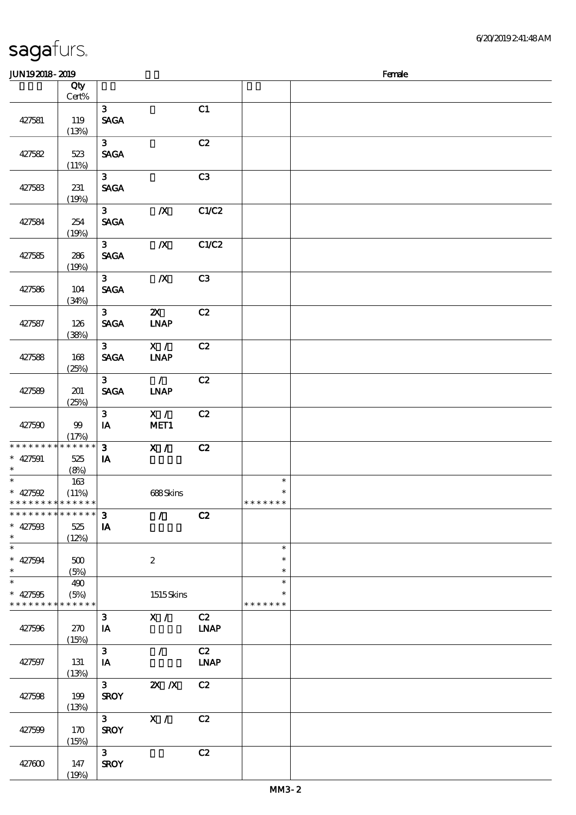| <b>JUN192018-2019</b>                                            |                            |                                          |                                          |                                    |                                   | Female |
|------------------------------------------------------------------|----------------------------|------------------------------------------|------------------------------------------|------------------------------------|-----------------------------------|--------|
|                                                                  | Qty                        |                                          |                                          |                                    |                                   |        |
|                                                                  | Cert%                      |                                          |                                          |                                    |                                   |        |
| 427581                                                           | 119<br>(13%)               | 3 <sup>1</sup><br><b>SAGA</b>            |                                          | C1                                 |                                   |        |
| 427582                                                           | 523<br>(11%)               | 3 <sup>1</sup><br><b>SAGA</b>            |                                          | C2                                 |                                   |        |
| 427583                                                           | 231<br>(19%)               | 3 <sup>1</sup><br><b>SAGA</b>            |                                          | C3                                 |                                   |        |
| 427584                                                           | 254<br>(19%)               | 3 <sub>1</sub><br><b>SAGA</b>            | $\boldsymbol{X}$                         | C1/C2                              |                                   |        |
| 427585                                                           | 286<br>(19%)               | 3 <sup>1</sup><br><b>SAGA</b>            | $\pmb{X}$                                | C1/C2                              |                                   |        |
| 427586                                                           | 104<br>(34%)               | 3 <sup>1</sup><br><b>SAGA</b>            | $\pmb{X}$                                | C3                                 |                                   |        |
| 427587                                                           | 126<br>(38%)               | 3 <sup>1</sup><br><b>SACA</b>            | $\boldsymbol{\mathsf{Z}}$<br><b>INAP</b> | C2                                 |                                   |        |
| 427588                                                           | 168<br>(25%)               | 3 <sup>1</sup><br><b>SAGA</b>            | $\mathbf{X}$ /<br><b>LNAP</b>            | C2                                 |                                   |        |
| 427589                                                           | 201<br>(25%)               | 3 <sup>1</sup><br><b>SAGA</b>            | $\mathcal{L}$<br><b>LNAP</b>             | C2                                 |                                   |        |
| 427590                                                           | 99<br>(17%)                | $\mathbf{3}$<br>$\mathbf{I}\mathbf{A}$   | $\mathbf{X}$ /<br>MET1                   | C2                                 |                                   |        |
| * * * * * * * *<br>$* 427591$<br>$\ast$                          | * * * * * *<br>525<br>(8%) | $\mathbf{3}$<br>IA                       | $\bar{x}$ /                              | C2                                 |                                   |        |
| $\ast$<br>$* 427592$<br>* * * * * * * * * * * * * * *            | 163<br>(11%)               |                                          | 688Skins                                 |                                    | $\ast$<br>$\ast$<br>* * * * * * * |        |
| * * * * * * * * * * * * * * *<br>$* 427503$<br>$\ast$            | 525<br>(12%)               | $\mathbf{3}$<br>IA                       | $\mathcal{L}$                            | C2                                 |                                   |        |
| $\overline{\phantom{0}}$<br>$* 427594$<br>$\ast$                 | 500<br>(5%)                |                                          | $\boldsymbol{2}$                         |                                    | $\ast$<br>$\ast$<br>$\ast$        |        |
| $\ast$<br>$* 427595$<br>* * * * * * * * <mark>* * * * * *</mark> | 490<br>(5%)                |                                          | 1515Skins                                |                                    | $\ast$<br>$\ast$<br>* * * * * * * |        |
| 427596                                                           | 270<br>(15%)               | 3 <sup>1</sup><br>$\mathbf{I}\mathbf{A}$ | X /                                      | C2<br><b>LNAP</b>                  |                                   |        |
| 427597                                                           | 131<br>(13%)               | $\mathbf{3}$<br>IA                       | $\mathcal{L}$                            | C2<br>$\ensuremath{\mathbf{INAP}}$ |                                   |        |
| 427598                                                           | 199<br>(13%)               | 3 <sub>1</sub><br><b>SROY</b>            | $X$ $X$                                  | C2                                 |                                   |        |
| 427599                                                           | 170<br>(15%)               | 3 <sup>7</sup><br><b>SROY</b>            | X /                                      | C2                                 |                                   |        |
| 427600                                                           | 147<br>(19%)               | 3 <sup>7</sup><br><b>SROY</b>            |                                          | C2                                 |                                   |        |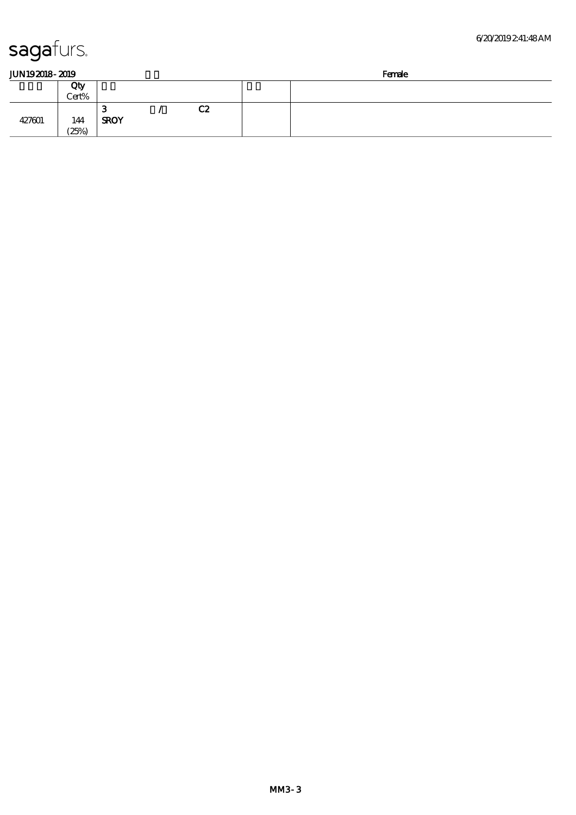| JUN192018-2019 |  |
|----------------|--|
|                |  |

| JUN192018-2019 |              |                  |    | Female |
|----------------|--------------|------------------|----|--------|
|                | Qty<br>Cert% |                  |    |        |
| 427601         | 144<br>(25%) | ت<br><b>SROY</b> | C2 |        |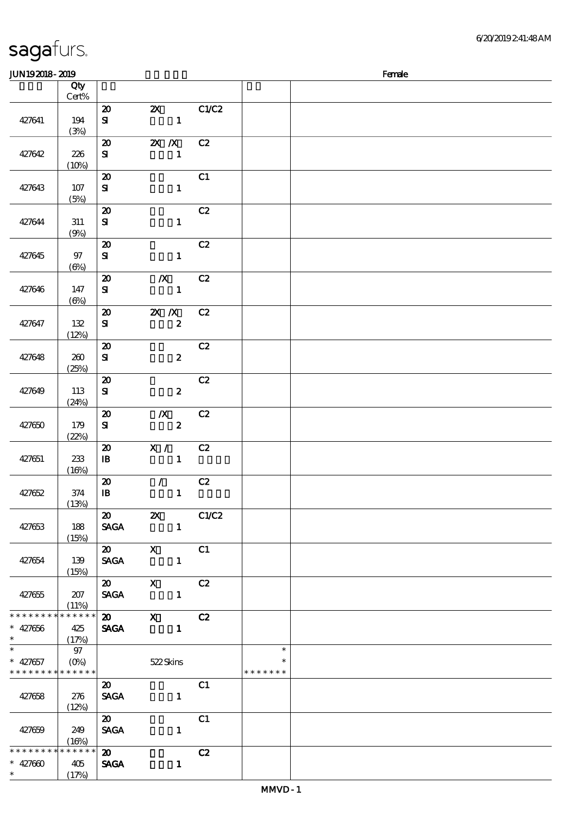| sagafurs. |  |
|-----------|--|
|           |  |

| <b>JUN192018-2019</b>                                     |                             |                                                           |                                                                |       |                                   | Female |
|-----------------------------------------------------------|-----------------------------|-----------------------------------------------------------|----------------------------------------------------------------|-------|-----------------------------------|--------|
|                                                           | Qty<br>$Cert\%$             |                                                           |                                                                |       |                                   |        |
| 427641                                                    | 194<br>(3%)                 | $\boldsymbol{\mathfrak{D}}$<br>${\bf S}$                  | $\mathbf{x}$<br>$\blacksquare$                                 | C1/C2 |                                   |        |
| 427642                                                    | 226<br>(10%)                | $\boldsymbol{\mathsf{20}}$<br>${\bf s}$                   | $X \, X$<br>$\mathbf{1}$                                       | C2    |                                   |        |
| 427643                                                    | 107<br>(5%)                 | $\boldsymbol{\mathbf{z}}$<br>${\bf S\hspace{-.075ex}I}$   | $\mathbf{1}$                                                   | C1    |                                   |        |
| 427644                                                    | 311<br>(9%)                 | $\boldsymbol{\mathbf{z}}$<br>$\mathbf{S}$                 | $\mathbf{1}$                                                   | C2    |                                   |        |
| 427645                                                    | 97<br>(6%)                  | $\boldsymbol{\mathfrak{D}}$<br>${\bf S}$                  | $\mathbf{1}$                                                   | C2    |                                   |        |
| 427646                                                    | 147<br>(6%)                 | $\boldsymbol{\mathfrak{D}}$<br>${\bf s}$                  | $\boldsymbol{X}$<br>$\mathbf{1}$                               | C2    |                                   |        |
| 427647                                                    | 132<br>(12%)                | $\boldsymbol{\mathbf{z}}$<br>${\bf s}$                    | $X \, X$<br>$\boldsymbol{z}$                                   | C2    |                                   |        |
| 427648                                                    | 260<br>(25%)                | $\boldsymbol{\mathfrak{D}}$<br>${\bf S\hspace{-.075ex}I}$ | $\boldsymbol{z}$                                               | C2    |                                   |        |
| 427649                                                    | 113<br>(24%)                | $\boldsymbol{\mathsf{20}}$<br>${\bf S\hspace{-.075ex}I}$  | $\boldsymbol{z}$                                               | C2    |                                   |        |
| 427650                                                    | 179<br>(22%)                | $\boldsymbol{\mathsf{20}}$<br>$\bf S$                     | $\boldsymbol{X}$<br>$\boldsymbol{z}$                           | C2    |                                   |        |
| 427651                                                    | 233<br>(16%)                | $\boldsymbol{\mathbf{z}}$<br>${\bf I\!B}$                 | X /<br>$\mathbf{1}$                                            | C2    |                                   |        |
| 427652                                                    | 374<br>(13%)                | $\boldsymbol{\mathbf{z}}$<br>$\, {\bf I} \! {\bf B} \,$   | $\mathcal{L}$<br>$\mathbf{1}$                                  | C2    |                                   |        |
| 427653                                                    | 188<br>(15%)                | $\boldsymbol{\mathfrak{D}}$<br><b>SAGA</b>                | $\mathbf{x}$<br>$\mathbf{1}$                                   | C1/C2 |                                   |        |
| 427654                                                    | 139<br>(15%)                | $\boldsymbol{\mathsf{20}}$                                | $X$ C1<br>SAGA 1                                               |       |                                   |        |
| 427655                                                    | 207<br>(11%)                |                                                           | $\boldsymbol{\mathsf{20}}$ $\boldsymbol{\mathsf{X}}$<br>SAGA 1 | C2    |                                   |        |
| * * * * * * * *<br>$* 427656$<br>$\ast$                   | * * * * * *<br>425<br>(17%) | <b>SAGA</b>                                               | $\overline{\text{20}}$ $\overline{\text{X}}$                   | C2    |                                   |        |
| $\overline{\phantom{0}}$<br>$* 427657$<br>* * * * * * * * | 97<br>******                |                                                           | 522Skins                                                       |       | $\ast$<br>$\ast$<br>* * * * * * * |        |
| 427658                                                    | 276<br>(12%)                | $\boldsymbol{\mathsf{20}}$<br><b>SAGA</b>                 | $\mathbf{1}$                                                   | C1    |                                   |        |
| 427659                                                    | 249<br>(16%)                | $\boldsymbol{\omega}$<br><b>SAGA</b>                      | $\mathbf{1}$                                                   | C1    |                                   |        |
| * * * * * * * *<br>$* 427600$<br>$*$                      | $******$<br>405<br>(17%)    | $\boldsymbol{\mathfrak{D}}$<br><b>SAGA</b>                | $\mathbf{1}$                                                   | C2    |                                   |        |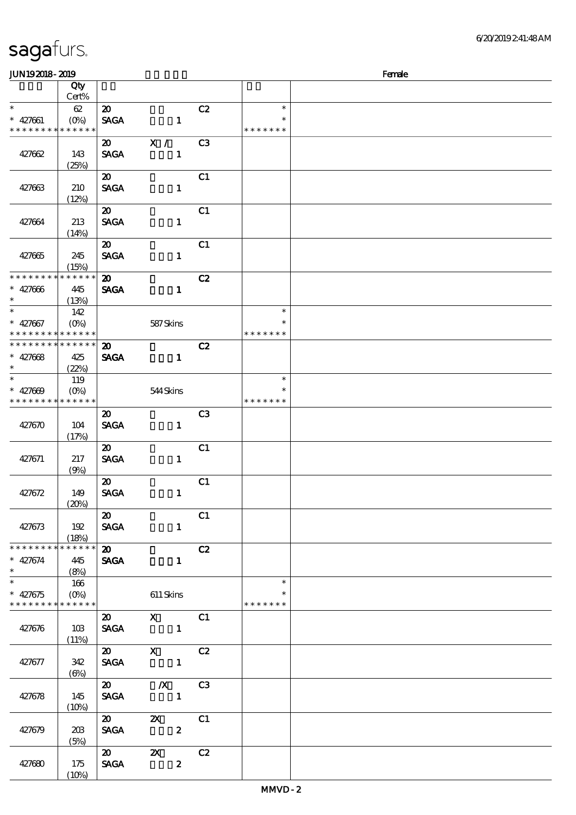| <b>JUN192018-2019</b><br>Female            |             |                             |                                                                     |                |                    |  |
|--------------------------------------------|-------------|-----------------------------|---------------------------------------------------------------------|----------------|--------------------|--|
|                                            | Qty         |                             |                                                                     |                |                    |  |
|                                            | Cert%       |                             |                                                                     |                |                    |  |
| $\ast$                                     | 62          | $\boldsymbol{\mathfrak{D}}$ |                                                                     | C2             | $\ast$             |  |
| $* 427661$                                 | $(O\% )$    | <b>SAGA</b>                 | $\mathbf{1}$                                                        |                | $\ast$             |  |
| * * * * * * * * * * * * * *                |             |                             |                                                                     |                | * * * * * * *      |  |
|                                            |             | $\boldsymbol{\mathfrak{D}}$ | X /                                                                 | C3             |                    |  |
| 427662                                     | 143         | <b>SAGA</b>                 | $\mathbf{1}$                                                        |                |                    |  |
|                                            | (25%)       |                             |                                                                     |                |                    |  |
|                                            |             | $\boldsymbol{\mathfrak{D}}$ |                                                                     | C1             |                    |  |
| 427663                                     | 210         | <b>SAGA</b>                 | $\mathbf{1}$                                                        |                |                    |  |
|                                            | (12%)       |                             |                                                                     |                |                    |  |
|                                            |             | $\boldsymbol{\mathfrak{D}}$ |                                                                     | C1             |                    |  |
| 427664                                     | 213         | <b>SAGA</b>                 | $\mathbf{1}$                                                        |                |                    |  |
|                                            | (14%)       |                             |                                                                     |                |                    |  |
|                                            |             | $\boldsymbol{\mathfrak{D}}$ |                                                                     | C1             |                    |  |
| 427665                                     | 245         | <b>SAGA</b>                 | $\mathbf{1}$                                                        |                |                    |  |
|                                            | (15%)       |                             |                                                                     |                |                    |  |
| * * * * * * * * <mark>* * * * * *</mark>   |             | $\boldsymbol{\mathsf{20}}$  |                                                                     | C2             |                    |  |
| $* 427666$                                 | 445         | <b>SAGA</b>                 | $\mathbf{1}$                                                        |                |                    |  |
| $\ast$                                     | (13%)       |                             |                                                                     |                |                    |  |
| $\ast$                                     | 142         |                             |                                                                     |                | $\ast$             |  |
| $* 427667$                                 | $(O\% )$    |                             | 587Skins                                                            |                | $\ast$             |  |
| * * * * * * * * <mark>* * * * * * *</mark> |             |                             |                                                                     |                | * * * * * * *      |  |
| * * * * * * * * * * * * * *                |             | $\boldsymbol{\mathfrak{D}}$ |                                                                     | C2             |                    |  |
| $* 427668$                                 | 425         | <b>SAGA</b>                 | $\mathbf{1}$                                                        |                |                    |  |
| $\ast$                                     | (22%)       |                             |                                                                     |                |                    |  |
| $\ast$                                     | 119         |                             |                                                                     |                | $\ast$             |  |
| $* 427000$                                 | $(O\%)$     |                             | 544Skins                                                            |                | *<br>* * * * * * * |  |
| * * * * * * * * * * * * * *                |             |                             |                                                                     |                |                    |  |
|                                            |             | $\boldsymbol{\mathfrak{D}}$ |                                                                     | C <sub>3</sub> |                    |  |
| 427670                                     | 104         | <b>SAGA</b>                 | $\mathbf{1}$                                                        |                |                    |  |
|                                            | (17%)       |                             |                                                                     |                |                    |  |
|                                            |             | $\boldsymbol{\mathfrak{D}}$ |                                                                     | C1             |                    |  |
| 427671                                     | 217<br>(9%) | <b>SAGA</b>                 | $\mathbf{1}$                                                        |                |                    |  |
|                                            |             | $\boldsymbol{\mathfrak{D}}$ |                                                                     | C1             |                    |  |
| 427672                                     | 149         | <b>SAGA</b>                 | $\mathbf{1}$                                                        |                |                    |  |
|                                            | (20%)       |                             |                                                                     |                |                    |  |
|                                            |             | $\boldsymbol{\mathfrak{D}}$ |                                                                     | C1             |                    |  |
| 427673                                     | 192         | <b>SAGA</b>                 | $\mathbf{1}$                                                        |                |                    |  |
|                                            | (18%)       |                             |                                                                     |                |                    |  |
| * * * * * * * * * * * * * *                |             | $\boldsymbol{\omega}$       |                                                                     | C2             |                    |  |
| $* 427674$                                 | 445         | <b>SAGA</b>                 | $\mathbf{1}$                                                        |                |                    |  |
| $\ast$                                     | (8%)        |                             |                                                                     |                |                    |  |
| $\ast$                                     | 166         |                             |                                                                     |                | $\ast$             |  |
| $* 427675$                                 |             |                             | 611 Skins                                                           |                | ∗                  |  |
| * * * * * * * * * * * * * * *              |             |                             |                                                                     |                | * * * * * * *      |  |
|                                            |             | $\boldsymbol{\mathsf{20}}$  | $X$ C1                                                              |                |                    |  |
| 427676                                     | 10B         |                             | SAGA 1                                                              |                |                    |  |
|                                            | (11%)       |                             |                                                                     |                |                    |  |
|                                            |             |                             | 20 X C2                                                             |                |                    |  |
| 427677                                     | 342         |                             | SAGA 1                                                              |                |                    |  |
|                                            | $(\Theta)$  |                             |                                                                     |                |                    |  |
|                                            |             |                             | $\overline{\text{20}}$ $\overline{\text{X}}$ $\overline{\text{C3}}$ |                |                    |  |
| 427678                                     | 145         | <b>SAGA</b>                 | $\mathbf{1}$                                                        |                |                    |  |
|                                            | (10%)       |                             |                                                                     |                |                    |  |
|                                            |             | $\boldsymbol{\mathsf{20}}$  | $\boldsymbol{\mathsf{Z}}$                                           | C1             |                    |  |
| 427679                                     | 203         | <b>SAGA</b>                 | $\overline{\mathbf{z}}$                                             |                |                    |  |
|                                            | (5%)        |                             |                                                                     |                |                    |  |
|                                            |             | $\overline{\mathbf{a}}$     | $\mathbf{z}$                                                        | C2             |                    |  |
| 427680                                     | 175         | <b>SAGA</b>                 | $\boldsymbol{z}$                                                    |                |                    |  |
|                                            | (10%)       |                             |                                                                     |                |                    |  |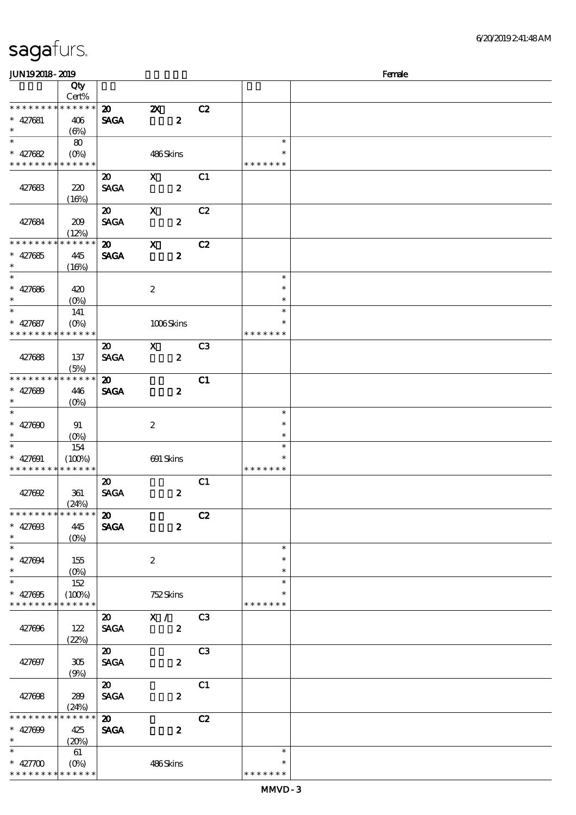| <b>JUN192018-2019</b>       |             |                             |                           |                |               | Female |
|-----------------------------|-------------|-----------------------------|---------------------------|----------------|---------------|--------|
|                             | Qty         |                             |                           |                |               |        |
|                             | Cert%       |                             |                           |                |               |        |
| * * * * * * * * * * * * * * |             | $\boldsymbol{\mathfrak{D}}$ | $\boldsymbol{\mathsf{Z}}$ | C2             |               |        |
| $* 427681$                  | 406         | <b>SAGA</b>                 | $\boldsymbol{z}$          |                |               |        |
| $\ast$                      | (6%)        |                             |                           |                |               |        |
| $\ast$                      | 80          |                             |                           |                | $\ast$        |        |
| $* 427682$                  |             |                             | 486Skins                  |                | $\ast$        |        |
| * * * * * * * * * * * * * * |             |                             |                           |                | * * * * * * * |        |
|                             |             |                             |                           |                |               |        |
|                             |             | $\boldsymbol{\mathfrak{D}}$ | $\mathbf{x}$              | C1             |               |        |
| 427683                      | 220         | <b>SAGA</b>                 | $\boldsymbol{z}$          |                |               |        |
|                             | (16%)       |                             |                           |                |               |        |
|                             |             | $\boldsymbol{\mathfrak{D}}$ | $\mathbf x$               | C2             |               |        |
| 427684                      | 209         | <b>SAGA</b>                 | $\boldsymbol{z}$          |                |               |        |
|                             | (12%)       |                             |                           |                |               |        |
| * * * * * * * *             | * * * * * * | $\boldsymbol{\mathfrak{D}}$ | $\boldsymbol{\mathrm{X}}$ | C2             |               |        |
| $* 427685$                  | 445         | <b>SAGA</b>                 | $\boldsymbol{z}$          |                |               |        |
| $\ast$                      | (16%)       |                             |                           |                |               |        |
| $\overline{\phantom{0}}$    |             |                             |                           |                | $\ast$        |        |
| $* 427686$                  | 420         |                             | $\boldsymbol{2}$          |                | $\ast$        |        |
| $\ast$                      |             |                             |                           |                | $\ast$        |        |
| $\ast$                      | $(O\%)$     |                             |                           |                | $\ast$        |        |
|                             | 141         |                             |                           |                |               |        |
| $* 427687$                  |             |                             | 1006Skins                 |                | $\ast$        |        |
| * * * * * * * *             | * * * * * * |                             |                           |                | * * * * * * * |        |
|                             |             | $\boldsymbol{\mathfrak{D}}$ | $\mathbf{X}$              | C <sub>3</sub> |               |        |
| 427688                      | 137         | <b>SAGA</b>                 | $\boldsymbol{z}$          |                |               |        |
|                             | (5%)        |                             |                           |                |               |        |
| * * * * * * * *             | * * * * * * | $\boldsymbol{\mathfrak{D}}$ |                           | C1             |               |        |
| $* 427689$                  | 446         | <b>SAGA</b>                 | $\boldsymbol{z}$          |                |               |        |
| $\ast$                      | $(O\%)$     |                             |                           |                |               |        |
| $\ast$                      |             |                             |                           |                | $\ast$        |        |
| $* 427600$                  | 91          |                             | $\boldsymbol{2}$          |                | $\ast$        |        |
| $\ast$                      | $(0\%)$     |                             |                           |                | $\ast$        |        |
| $\ast$                      | 154         |                             |                           |                | $\ast$        |        |
| $* 427001$                  |             |                             |                           |                | $\ast$        |        |
| * * * * * * * * * * * * * * | (100%)      |                             | 691 Skins                 |                | * * * * * * * |        |
|                             |             |                             |                           |                |               |        |
|                             |             | $\boldsymbol{\mathsf{20}}$  |                           | C1             |               |        |
| 427692                      | 361         | <b>SAGA</b>                 | $\pmb{2}$                 |                |               |        |
|                             | (24%)       |                             |                           |                |               |        |
| * * * * * * * * * * * * * * |             | $\boldsymbol{\mathfrak{D}}$ |                           | C2             |               |        |
| $* 42700B$                  | 445         | <b>SAGA</b>                 | $\boldsymbol{z}$          |                |               |        |
| $\ast$                      | $(0\%)$     |                             |                           |                |               |        |
| $\ast$                      |             |                             |                           |                | $\ast$        |        |
| $* 427094$                  | 155         |                             | $\boldsymbol{2}$          |                | $\ast$        |        |
| $\ast$                      |             |                             |                           |                | $\ast$        |        |
| $\ast$                      | 152         |                             |                           |                | $\ast$        |        |
| $* 427005$                  | (100%)      |                             | 752Skins                  |                |               |        |
| * * * * * * * * * * * * * * |             |                             |                           |                | * * * * * * * |        |
|                             |             | $\boldsymbol{\mathfrak{D}}$ | X /                       | C3             |               |        |
| 427696                      | 122         | <b>SAGA</b>                 | $\boldsymbol{z}$          |                |               |        |
|                             | (22%)       |                             |                           |                |               |        |
|                             |             | $\boldsymbol{\mathfrak{D}}$ |                           | C <sub>3</sub> |               |        |
|                             |             |                             |                           |                |               |        |
| 427697                      | 305         | <b>SAGA</b>                 | $\boldsymbol{z}$          |                |               |        |
|                             | (9%)        |                             |                           |                |               |        |
|                             |             | $\boldsymbol{\mathfrak{D}}$ |                           | C1             |               |        |
| 427698                      | 289         | <b>SACA</b>                 | $\boldsymbol{z}$          |                |               |        |
|                             | (24%)       |                             |                           |                |               |        |
| * * * * * * * *             | * * * * * * | $\boldsymbol{\mathsf{a}}$   |                           | C2             |               |        |
| $* 427000$                  | 425         | <b>SAGA</b>                 | $\boldsymbol{z}$          |                |               |        |
| $\ast$                      | (20%)       |                             |                           |                |               |        |
| $\ast$                      | 61          |                             |                           |                | $\ast$        |        |
| $* 427700$                  |             |                             | 486Skins                  |                | $\ast$        |        |
| * * * * * * * * * * * * * * |             |                             |                           |                | * * * * * * * |        |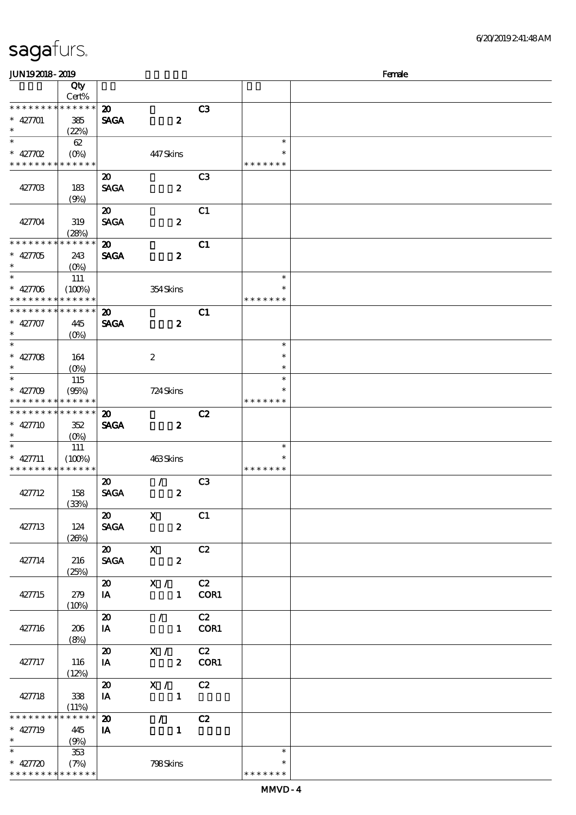| Female<br><b>JUN192018-2019</b>          |                                                   |                             |                                                 |                |               |  |
|------------------------------------------|---------------------------------------------------|-----------------------------|-------------------------------------------------|----------------|---------------|--|
|                                          | Qty                                               |                             |                                                 |                |               |  |
|                                          | Cert%                                             |                             |                                                 |                |               |  |
| * * * * * * * *                          | * * * * * *                                       | $\boldsymbol{\mathfrak{D}}$ |                                                 | C3             |               |  |
| $* 42701$                                | 385                                               | <b>SAGA</b>                 | $\boldsymbol{z}$                                |                |               |  |
| $\ast$                                   | (22%)                                             |                             |                                                 |                |               |  |
| $\ast$                                   | 62                                                |                             |                                                 |                | $\ast$        |  |
|                                          |                                                   |                             |                                                 |                | *             |  |
| $* 427702$                               | $(O\%)$                                           |                             | 447Skins                                        |                |               |  |
| * * * * * * * * * * * * * *              |                                                   |                             |                                                 |                | * * * * * * * |  |
|                                          |                                                   | $\boldsymbol{\mathfrak{D}}$ |                                                 | C <sub>3</sub> |               |  |
| 427703                                   | 183                                               | <b>SAGA</b>                 | $\boldsymbol{z}$                                |                |               |  |
|                                          | (9%)                                              |                             |                                                 |                |               |  |
|                                          |                                                   | $\boldsymbol{\mathsf{20}}$  |                                                 | C1             |               |  |
| 427704                                   | 319                                               | <b>SAGA</b>                 | $\boldsymbol{z}$                                |                |               |  |
|                                          | (28%)                                             |                             |                                                 |                |               |  |
| * * * * * * * *                          | * * * * * *                                       | $\boldsymbol{\mathfrak{D}}$ |                                                 | C1             |               |  |
| $* 42705$                                | 243                                               | <b>SAGA</b>                 | $\boldsymbol{z}$                                |                |               |  |
| $\ast$                                   |                                                   |                             |                                                 |                |               |  |
| $\ast$                                   | $(O\%)$                                           |                             |                                                 |                | $\ast$        |  |
|                                          | 111                                               |                             |                                                 |                |               |  |
| $* 427706$                               | (100%)                                            |                             | 354Skins                                        |                | $\ast$        |  |
| * * * * * * * *                          | * * * * * *                                       |                             |                                                 |                | * * * * * * * |  |
| * * * * * * * *                          | * * * * * *                                       | $\boldsymbol{\mathfrak{D}}$ |                                                 | C1             |               |  |
| $* 427707$                               | 445                                               | <b>SAGA</b>                 | $\boldsymbol{z}$                                |                |               |  |
| $\ast$                                   | $(O\!\!\!\!\!\!\!\backslash \!\!\!\!\!\backslash$ |                             |                                                 |                |               |  |
| $\overline{\phantom{0}}$                 |                                                   |                             |                                                 |                | $\ast$        |  |
| $* 427708$                               | 164                                               |                             | $\boldsymbol{z}$                                |                | $\ast$        |  |
| $\ast$                                   | $(O\%)$                                           |                             |                                                 |                | $\ast$        |  |
| $\ast$                                   | 115                                               |                             |                                                 |                | $\ast$        |  |
|                                          |                                                   |                             |                                                 |                |               |  |
| * $427709$                               | (95%)                                             |                             | 724 Skins                                       |                |               |  |
| * * * * * * * * * * * * * *              |                                                   |                             |                                                 |                | * * * * * * * |  |
| * * * * * * * * <mark>* * * * * *</mark> |                                                   | $\boldsymbol{\mathfrak{D}}$ |                                                 | C2             |               |  |
| $* 427710$                               | 352                                               | <b>SAGA</b>                 | $\boldsymbol{z}$                                |                |               |  |
| $\ast$                                   | $(O\%)$                                           |                             |                                                 |                |               |  |
| $\ast$                                   | 111                                               |                             |                                                 |                | $\ast$        |  |
| $* 427711$                               | (100%)                                            |                             | 463Skins                                        |                | ∗             |  |
| * * * * * * * *                          | * * * * * *                                       |                             |                                                 |                | * * * * * * * |  |
|                                          |                                                   | $\boldsymbol{\mathsf{20}}$  | $\mathcal{L}$                                   | C <sub>3</sub> |               |  |
| 427712                                   | 158                                               | <b>SAGA</b>                 | $\boldsymbol{z}$                                |                |               |  |
|                                          | (33%)                                             |                             |                                                 |                |               |  |
|                                          |                                                   | $\overline{20}$ X           |                                                 | C1             |               |  |
| 427713                                   | 124                                               |                             | $\mathbf{2}$                                    |                |               |  |
|                                          |                                                   | <b>SAGA</b>                 |                                                 |                |               |  |
|                                          | (20%)                                             |                             |                                                 |                |               |  |
|                                          |                                                   |                             | $\overline{\text{20}}$ x $\overline{\text{C2}}$ |                |               |  |
| 427714                                   | 216                                               |                             | SAGA 2                                          |                |               |  |
|                                          | (25%)                                             |                             |                                                 |                |               |  |
|                                          |                                                   |                             | 20 X / C2                                       |                |               |  |
| 427715                                   | 279                                               | <b>IA</b>                   |                                                 | 1 COR1         |               |  |
|                                          | (10%)                                             |                             |                                                 |                |               |  |
|                                          |                                                   |                             | $\overline{\textbf{20}}$ / C2                   |                |               |  |
| 427716                                   | 206                                               | <b>IA</b>                   | 1 COR1                                          |                |               |  |
|                                          |                                                   |                             |                                                 |                |               |  |
|                                          | (8%)                                              |                             |                                                 |                |               |  |
|                                          |                                                   |                             | 20 X / C2                                       |                |               |  |
| 427717                                   | 116                                               | $I$ A                       | 2 COR1                                          |                |               |  |
|                                          | (12%)                                             |                             |                                                 |                |               |  |
|                                          |                                                   | $\boldsymbol{\mathsf{20}}$  | $\overline{X}$ / C2                             |                |               |  |
| 427718                                   | 338                                               | <b>IA</b>                   | $\blacksquare$                                  |                |               |  |
|                                          | (11%)                                             |                             |                                                 |                |               |  |
| * * * * * * * *                          | * * * * * *                                       | $\boldsymbol{\mathfrak{D}}$ | $\mathcal{T} = \mathcal{I}$                     | C2             |               |  |
| $* 427719$                               | 445                                               | IA                          | $\blacksquare$                                  |                |               |  |
| $\ast$                                   | (9%)                                              |                             |                                                 |                |               |  |
| $\frac{1}{\ast}$                         | 353                                               |                             |                                                 |                | $\ast$        |  |
| $* 427720$                               | (7%)                                              |                             | 798Skins                                        |                | ∗             |  |
| * * * * * * * * <mark>* * * * * *</mark> |                                                   |                             |                                                 |                | * * * * * * * |  |
|                                          |                                                   |                             |                                                 |                |               |  |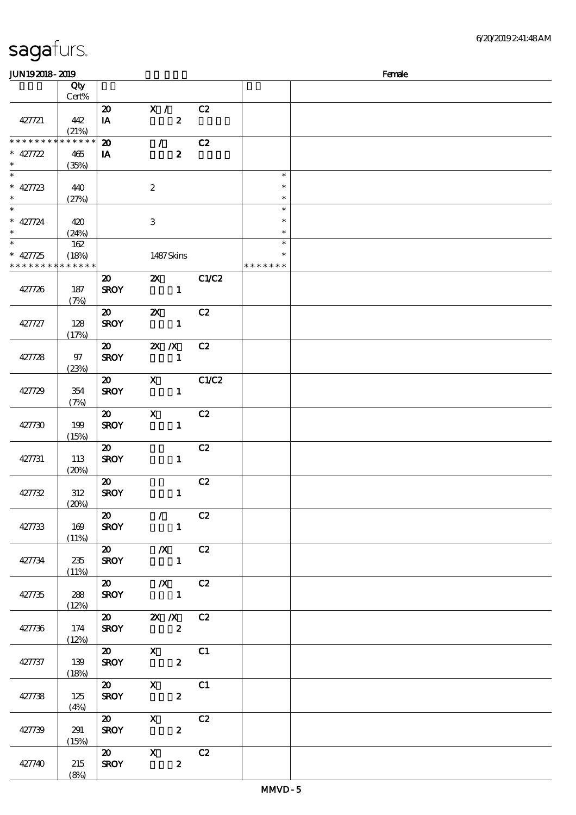| sagafurs. |
|-----------|
|           |

(8%)

#### JUN192018-2019 Female 顺序号 Qty 说明 价格 Cert% 20 X / C2 427721 442 IA  $2$  $(21%)$ \* \* 20 / C2 \* \* \* \* \* \* \* \* \* \* \* 427722 465  $\ast$ \*\* IA  $2$ (35%)  $\overline{\phantom{0}}$ \*\*\*  $\ast$ \*\*\*  $\ast$  $*$  427723 440 2  $\ast$ (27%)  $\frac{1}{2}$  $\overline{\phantom{0}}$ \*\*\* \*\*\*  $* 427724 | 420$  $\ast$ 3  $\ast$ (24%) \*  $* 427725$  $\overline{\phantom{a}}$ 162 \*\* (18%) 1487 Skins  $\ddot{\textbf{r}}$ \* \* \* \* \* \* \* \* \* \* \* \* \* \* \* \* \* \* 20 2X C1/C2 427726 187 SROY 1 (7%) 20 2X C2 427727 128 SROY 1 (17%) 20 2X X C2 SROY 1 427728 97 (23%) 20 X C1/C2 427729 354 SROY 1 (7%)  $20 \times C2$ 427730 199 SROY 1 (15%) 20 C2 427731 113 SROY 1  $(20%)$  $\overline{20}$  C<sub>2</sub> SROY 1 427732 312 (20%)  $20$  / C2 427733 169 SROY 1 (11%) 20 浅/X浅 C2 SROY 1 427734 235 (11%) 20 浅/X浅 C2 SROY 1 427735 288 (12%) 20 2X X C2 427736 174 SROY 2  $(12%)$  $\overline{\text{20}}$  X C1 427737 139 SROY 2 (18%) 20 X C1 SROY 2 427738 125 (4%) 20 X C2 427739 291 SROY 2 (15%) 20 X C2 427740 215 SROY 2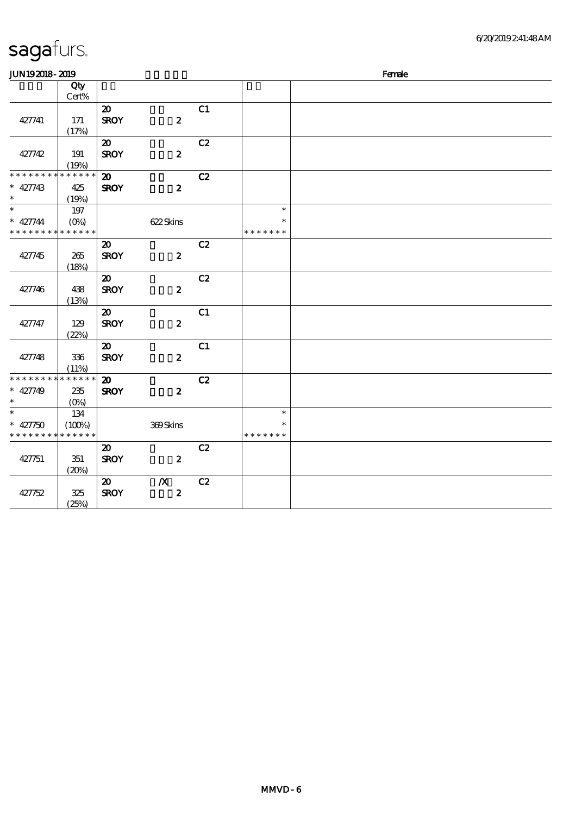| <b>JUN192018-2019</b>                      |             |                             |                  |    |               | Female |
|--------------------------------------------|-------------|-----------------------------|------------------|----|---------------|--------|
|                                            | Qty         |                             |                  |    |               |        |
|                                            | Cert%       |                             |                  |    |               |        |
|                                            |             | $\boldsymbol{\mathfrak{D}}$ |                  | C1 |               |        |
| 427741                                     | 171         | <b>SROY</b>                 | $\boldsymbol{z}$ |    |               |        |
|                                            | (17%)       |                             |                  |    |               |        |
|                                            |             | $\boldsymbol{\mathfrak{D}}$ |                  | C2 |               |        |
| 427742                                     | 191         | <b>SROY</b>                 | $\boldsymbol{z}$ |    |               |        |
|                                            | (19%)       |                             |                  |    |               |        |
| * * * * * * * *                            | * * * * * * | $\boldsymbol{\mathbf{z}}$   |                  | C2 |               |        |
| $* 427743$                                 | 425         | <b>SROY</b>                 | $\boldsymbol{z}$ |    |               |        |
| $\ast$                                     | (19%)       |                             |                  |    |               |        |
| $\ast$                                     | 197         |                             |                  |    | $\ast$        |        |
| $* 427744$                                 | $(O\% )$    |                             | 622Skins         |    | $\ast$        |        |
| * * * * * * * * * * * * * *                |             |                             |                  |    | * * * * * * * |        |
|                                            |             | $\boldsymbol{\mathfrak{D}}$ |                  | C2 |               |        |
| 427745                                     | 265         | <b>SROY</b>                 | $\boldsymbol{z}$ |    |               |        |
|                                            | (18%)       |                             |                  |    |               |        |
|                                            |             | $\boldsymbol{\mathfrak{D}}$ |                  | C2 |               |        |
| 427746                                     | 438         | <b>SROY</b>                 | $\boldsymbol{z}$ |    |               |        |
|                                            | (13%)       |                             |                  |    |               |        |
|                                            |             | $\boldsymbol{\mathfrak{D}}$ |                  | C1 |               |        |
| 427747                                     | 129         | <b>SROY</b>                 | $\boldsymbol{z}$ |    |               |        |
|                                            | (22%)       |                             |                  |    |               |        |
|                                            |             | $\boldsymbol{\mathfrak{D}}$ |                  | C1 |               |        |
| 427748                                     | 336         | <b>SROY</b>                 | $\boldsymbol{2}$ |    |               |        |
|                                            | (11%)       |                             |                  |    |               |        |
| * * * * * * * *                            | * * * * * * | $\boldsymbol{\mathsf{20}}$  |                  | C2 |               |        |
| $* 427749$                                 | 235         | <b>SROY</b>                 | $\boldsymbol{z}$ |    |               |        |
| $\ast$                                     | $(O\% )$    |                             |                  |    |               |        |
| $\ast$                                     | 134         |                             |                  |    | $\ast$        |        |
| $* 427750$                                 | (100%)      |                             | 369Skins         |    | $\ast$        |        |
| * * * * * * * * <mark>* * * * * *</mark> * |             |                             |                  |    | * * * * * * * |        |
|                                            |             | $\boldsymbol{\mathfrak{D}}$ |                  | C2 |               |        |
| 427751                                     | 351         | <b>SROY</b>                 | $\boldsymbol{z}$ |    |               |        |
|                                            | (20%)       |                             |                  |    |               |        |
|                                            |             | $\boldsymbol{\mathfrak{D}}$ | $\boldsymbol{X}$ | C2 |               |        |
| 427752                                     | 325         | <b>SROY</b>                 | $\pmb{2}$        |    |               |        |
|                                            | (25%)       |                             |                  |    |               |        |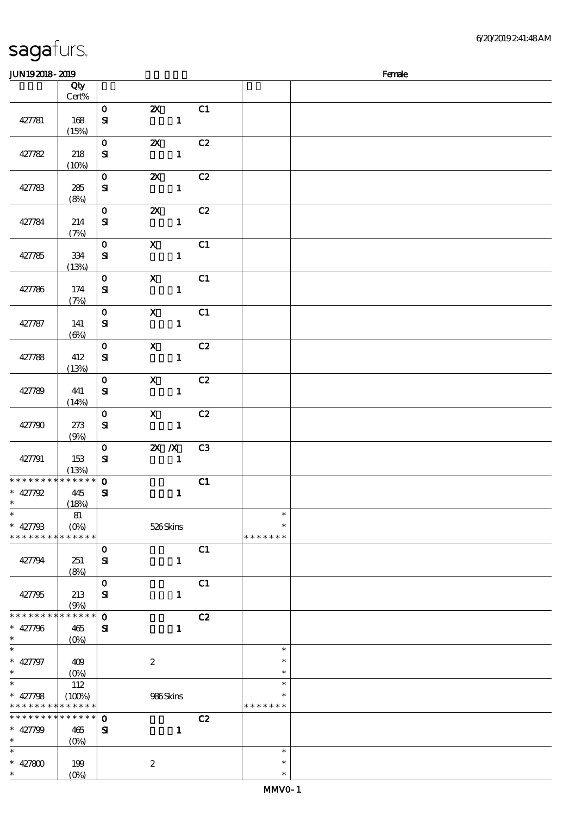(0%)

### JUN192018-2019 Female 顺序号 Qty 说明 价格 Cert% 0 2X C1 427781 168  $S\!I$  1  $(15%)$ 0 2X C2  $S1$  1 427782 218  $(10%)$  $0 \t 2X \t C2$ 427783 285  $S1$  1 (8%)  $\overline{0}$  2X  $\overline{C}$   $\overline{2}$ 427784 214  $S\!I$  1 (7%)  $\overline{0}$  X  $\overline{C1}$ 427785 334  $S1$  1  $(13%)$ 0 X C1 427786 174  $S\!I$  1 (7%)  $\overline{O}$  X C1 427787 141  $S1$  1 (6%)  $\overline{0}$  X  $\overline{C}$  $S\!I$  1 427788 412 (13%) 0 X C2 427789 441  $S1$  1  $(14%)$ 0 X C2 427790 273  $S$  1 (9%) 0 2X X C3 427791 153  $S$ **SI** 1 (13%)  $\overline{\text{O}}$  C1 \* \* \* \* \* \* \* \* \* \* \* \*  $S1$  1 427792 445 \*\*  $\ast$ (18%)  $\overline{\phantom{a}}$ 81 \*\*  $\ast$ \*\* <sup>427793</sup>  $(0\%)$  526 Skins \* \* \* \* \* \* \* \* \* \* \* \* \* \* \* \* \* \* \*  $\mathbf{0}$   $\mathbf{C1}$  $S1$  1 427794 251 (8%)  $\mathbf{0}$  C1  $S1$  1 427795 213 (9%) \* \* \* \* \* \* \* \* \* \* \* \*  $\overline{\text{C2}}$  $\ast$ 427796 465  $S1$  1 \*\*  $(0%)$  $_*$  $\overline{\phantom{a}}$ \*\*\* \*\*\*  $\ast$ 2  $\ast$ 427797 409 (0%)  $\ast$ \*\* <sup>427798</sup> 112  $\overline{\phantom{0}}$ \*\*  $(100%)$  986 Skins  $\ast$ \* \* \* \* \* \* \* \* \* \* \* \* \* \* \* \* \* \* \* \*  $\overline{O}$   $C2$ \* \* \* \* \* \* \* \* \* \* \* \* \*  $\ast$ 427799 465  $S1$   $1$ \*\* (0%)  $\overline{\phantom{0}}$  $\ast$ \*\*\* \*\*\* $* 427800$  199 2  $\ast$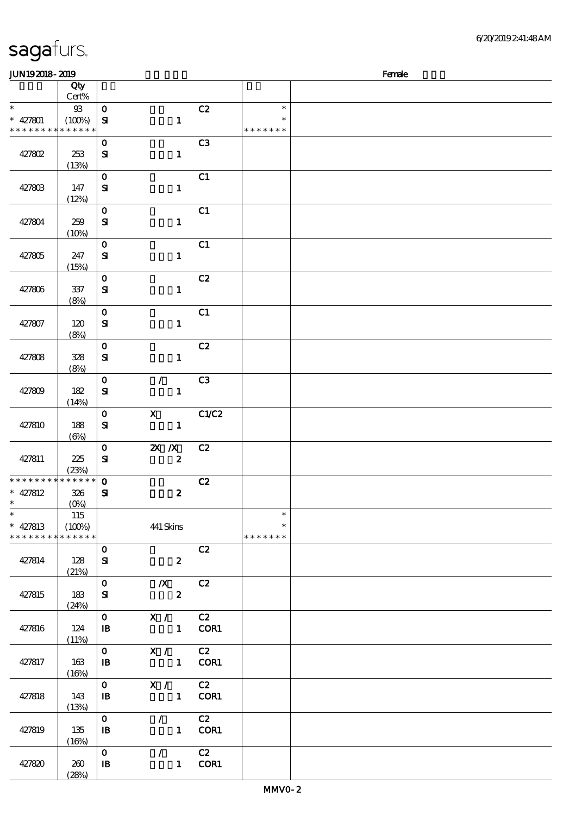| <b>saga</b> furs. |  |
|-------------------|--|
|                   |  |

(28%)

### $JUN192018-2019$  Female 顺序号 Qty 说明 价格 Cert% \*\* <sup>427801</sup>  $\ast$ 93  $\overline{C}$   $C$   $\overline{C}$ \*\*  $(100%)$  $S\!I$  1  $\ast$ \* \* \* \* \* \* \* \* \* \* \* \* \* \* \* \* \* \*  $\overline{\text{C3}}$  $S1$  1 427802 253 (13%)  $\mathbf{0}$  C1 427803 147  $S1$  1 (12%)  $\overline{0}$   $\overline{c_1}$ 427804 259  $S\!I$  1  $(10%)$  $\mathbf{0}$  C1 427805 247  $S1$  1  $(15%)$ 0 C2 427806 337  $S\!I$  1 (8%) 0 C1 427807 120  $S1$  1 (8%)  $\overline{\text{C2}}$  $S1$  1 427808 328 (8%) 0 / C3 427809 182  $S1$  1 (14%)  $0 \qquad \qquad X \qquad \qquad CLC2$ 427810 188  $S1$  1 (6%) 0 2X X C2 427811 225  $S$ **SI**  $2$ (23%)  $\overline{O}$   $C2$ \* \* \* \* \* \* \* \* <mark>\* \* \* \* \*</mark> \*  $S1$  2 427812 326 \*\*  $\ast$ (0%)  $\overline{\phantom{a}}$ 115 \*\*  $\ast$ \*\* <sup>427813</sup>  $(100\%)$  441 Skins \* \* \* \* \* \* \* \* \* \* \* \* \* \* \* \* \* \*  $\overline{\text{C2}}$ 427814 128  $S1$  2 (21%) 0 浅/X浅 C2  $S1$  2 427815 183 (24%) 0 X / C2 427816 124 IB 1 COR1  $(11%)$  $\overline{0}$  X / C2 427817 163 IB 1 COR1  $(16%)$  $\overline{0}$  X / C2 427818 143 IB 1 COR1 (13%) 0 / C2 427819 135 **IB** 1 COR1  $(16%)$  $0$  / C2 427820 260 **IB** 1 COR1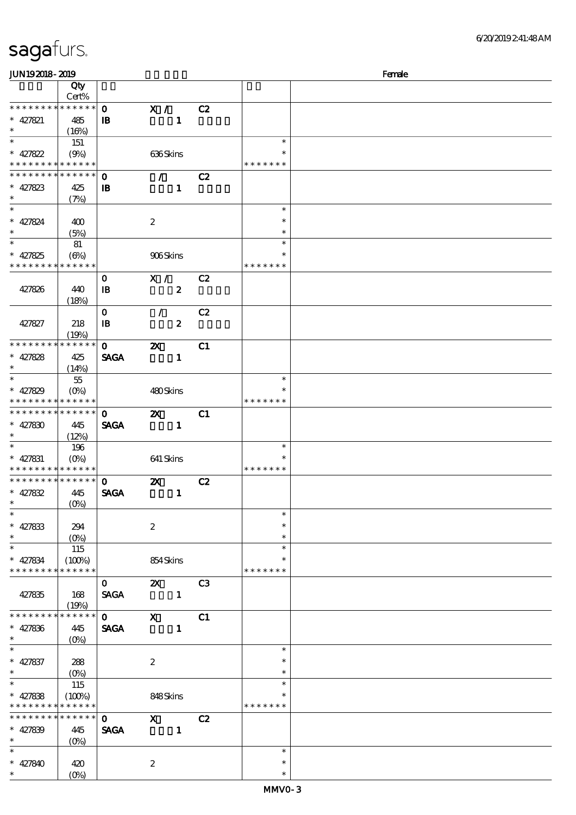| <b>JUN192018-2019</b><br>Female            |                  |                            |                                                                                                                                                                                                                                                                                                                                 |                |               |  |  |
|--------------------------------------------|------------------|----------------------------|---------------------------------------------------------------------------------------------------------------------------------------------------------------------------------------------------------------------------------------------------------------------------------------------------------------------------------|----------------|---------------|--|--|
|                                            | Qty              |                            |                                                                                                                                                                                                                                                                                                                                 |                |               |  |  |
|                                            | Cert%            |                            |                                                                                                                                                                                                                                                                                                                                 |                |               |  |  |
| * * * * * * * *                            | ******           | $\mathbf{o}$               | X /                                                                                                                                                                                                                                                                                                                             | C2             |               |  |  |
| $* 427821$                                 | 485              | $\mathbf{B}$               | $\mathbf{1}$                                                                                                                                                                                                                                                                                                                    |                |               |  |  |
| $\ast$                                     | (16%)            |                            |                                                                                                                                                                                                                                                                                                                                 |                |               |  |  |
| $\overline{\ast}$                          | 151              |                            |                                                                                                                                                                                                                                                                                                                                 |                | $\ast$        |  |  |
| $* 427822$                                 | (9%)             |                            | 636Skins                                                                                                                                                                                                                                                                                                                        |                | $\ast$        |  |  |
| * * * * * * * * <mark>* * * * * *</mark>   |                  |                            |                                                                                                                                                                                                                                                                                                                                 |                | * * * * * * * |  |  |
| * * * * * * * *                            | ******           | $\mathbf{o}$               |                                                                                                                                                                                                                                                                                                                                 |                |               |  |  |
|                                            |                  |                            | $\mathcal{F}$                                                                                                                                                                                                                                                                                                                   | C2             |               |  |  |
| $* 427823$<br>$\ast$                       | 425              | $\mathbf{B}$               | $\mathbf{1}$                                                                                                                                                                                                                                                                                                                    |                |               |  |  |
|                                            | (7%)             |                            |                                                                                                                                                                                                                                                                                                                                 |                |               |  |  |
| $\ast$                                     |                  |                            |                                                                                                                                                                                                                                                                                                                                 |                | $\ast$        |  |  |
| $* 427824$                                 | 400              |                            | $\boldsymbol{2}$                                                                                                                                                                                                                                                                                                                |                | $\ast$        |  |  |
| $\ast$                                     | (5%)             |                            |                                                                                                                                                                                                                                                                                                                                 |                | $\ast$        |  |  |
| $\overline{\phantom{0}}$                   | 81               |                            |                                                                                                                                                                                                                                                                                                                                 |                | $\ast$        |  |  |
| $* 427825$                                 | (6%)             |                            | 906Skins                                                                                                                                                                                                                                                                                                                        |                | $\ast$        |  |  |
| * * * * * * * *                            | * * * * * *      |                            |                                                                                                                                                                                                                                                                                                                                 |                | * * * * * * * |  |  |
|                                            |                  | $\mathbf{o}$               | X /                                                                                                                                                                                                                                                                                                                             | C <sub>2</sub> |               |  |  |
| 427826                                     | 440              | $\mathbf{I}$               | $\boldsymbol{z}$                                                                                                                                                                                                                                                                                                                |                |               |  |  |
|                                            | (18%)            |                            |                                                                                                                                                                                                                                                                                                                                 |                |               |  |  |
|                                            |                  |                            |                                                                                                                                                                                                                                                                                                                                 |                |               |  |  |
|                                            |                  | $\mathbf{o}$               | $\mathcal{F}$                                                                                                                                                                                                                                                                                                                   | C2             |               |  |  |
| 427827                                     | 218              | $\, {\bf I} \! {\bf B} \,$ | $\boldsymbol{z}$                                                                                                                                                                                                                                                                                                                |                |               |  |  |
|                                            | (19%)            |                            |                                                                                                                                                                                                                                                                                                                                 |                |               |  |  |
| * * * * * * * *                            | * * * * * *      | $\mathbf{o}$               | $\boldsymbol{\mathsf{z}}$                                                                                                                                                                                                                                                                                                       | C1             |               |  |  |
| $* 427828$                                 | 425              | <b>SAGA</b>                | $\mathbf{1}$                                                                                                                                                                                                                                                                                                                    |                |               |  |  |
| $\ast$                                     | (14%)            |                            |                                                                                                                                                                                                                                                                                                                                 |                |               |  |  |
| $\ast$                                     | $55\,$           |                            |                                                                                                                                                                                                                                                                                                                                 |                | $\ast$        |  |  |
| $* 427829$                                 | $(O\%)$          |                            | 480Skins                                                                                                                                                                                                                                                                                                                        |                |               |  |  |
| * * * * * * * * * * * * * *                |                  |                            |                                                                                                                                                                                                                                                                                                                                 |                | * * * * * * * |  |  |
| * * * * * * * * <mark>* * * * * * *</mark> |                  | $\mathbf 0$                | $\boldsymbol{\mathsf{X}}$                                                                                                                                                                                                                                                                                                       | C1             |               |  |  |
| $* 427830$                                 | 445              | <b>SAGA</b>                | $\mathbf{1}$                                                                                                                                                                                                                                                                                                                    |                |               |  |  |
| $\ast$                                     | (12%)            |                            |                                                                                                                                                                                                                                                                                                                                 |                |               |  |  |
| $\ast$                                     |                  |                            |                                                                                                                                                                                                                                                                                                                                 |                | $\ast$        |  |  |
|                                            | 196              |                            |                                                                                                                                                                                                                                                                                                                                 |                | $\ast$        |  |  |
| $* 427831$                                 | $(0\%)$          |                            | 641 Skins                                                                                                                                                                                                                                                                                                                       |                |               |  |  |
| * * * * * * * * * * * * * *                |                  |                            |                                                                                                                                                                                                                                                                                                                                 |                | * * * * * * * |  |  |
| * * * * * * * * * * * * * * *              |                  | $\mathbf{o}$               | $\boldsymbol{\mathsf{z}}$                                                                                                                                                                                                                                                                                                       | C2             |               |  |  |
| $* 427832$                                 | 445              | <b>SAGA</b>                | $\mathbf{1}$                                                                                                                                                                                                                                                                                                                    |                |               |  |  |
| $*$                                        | (0%)             |                            |                                                                                                                                                                                                                                                                                                                                 |                |               |  |  |
| $\ast$                                     |                  |                            |                                                                                                                                                                                                                                                                                                                                 |                | $\ast$        |  |  |
| $* 427833$                                 | 294              |                            | $\boldsymbol{2}$                                                                                                                                                                                                                                                                                                                |                | $\ast$        |  |  |
| $\ast$                                     |                  |                            |                                                                                                                                                                                                                                                                                                                                 |                | $\ast$        |  |  |
| $\ast$                                     | 115              |                            |                                                                                                                                                                                                                                                                                                                                 |                | $\ast$        |  |  |
| $* 427834$                                 | (100%)           |                            | 854Skins                                                                                                                                                                                                                                                                                                                        |                | $\ast$        |  |  |
| * * * * * * * *                            | * * * * * *      |                            |                                                                                                                                                                                                                                                                                                                                 |                | * * * * * * * |  |  |
|                                            |                  | $\mathbf{O}$               | $\mathbf{X}$                                                                                                                                                                                                                                                                                                                    | C3             |               |  |  |
|                                            |                  |                            |                                                                                                                                                                                                                                                                                                                                 |                |               |  |  |
| 427835                                     | 168              | <b>SAGA</b>                | $\mathbf{1}$                                                                                                                                                                                                                                                                                                                    |                |               |  |  |
|                                            | (19%)            |                            |                                                                                                                                                                                                                                                                                                                                 |                |               |  |  |
| * * * * * * *                              | * * * * * *      | $\mathbf{0}$               | $\mathbf x$ and $\mathbf x$ and $\mathbf x$ and $\mathbf x$ and $\mathbf x$ and $\mathbf x$ and $\mathbf x$ and $\mathbf x$ and $\mathbf x$ and $\mathbf x$ and $\mathbf x$ and $\mathbf x$ and $\mathbf x$ and $\mathbf x$ and $\mathbf x$ and $\mathbf x$ and $\mathbf x$ and $\mathbf x$ and $\mathbf x$ and $\mathbf x$ and | C1             |               |  |  |
| $* 427836$                                 | 445              | <b>SAGA</b>                | $\mathbf{1}$                                                                                                                                                                                                                                                                                                                    |                |               |  |  |
| $\ast$                                     |                  |                            |                                                                                                                                                                                                                                                                                                                                 |                |               |  |  |
| $\overline{\phantom{0}}$                   |                  |                            |                                                                                                                                                                                                                                                                                                                                 |                | $\ast$        |  |  |
| $* 427837$                                 | 288              |                            | $\boldsymbol{2}$                                                                                                                                                                                                                                                                                                                |                | $\ast$        |  |  |
| $\ast$                                     |                  |                            |                                                                                                                                                                                                                                                                                                                                 |                | $\ast$        |  |  |
| $\overline{\ast}$                          | 115              |                            |                                                                                                                                                                                                                                                                                                                                 |                | $\ast$        |  |  |
| $* 427838$                                 | (100%)           |                            | 848Skins                                                                                                                                                                                                                                                                                                                        |                |               |  |  |
| * * * * * * * *                            | * * * * * *      |                            |                                                                                                                                                                                                                                                                                                                                 |                | * * * * * * * |  |  |
| * * * * * * * *                            | $* * * * * * *$  | $\mathbf{0}$               | $\mathbf x$ and $\mathbf x$ and $\mathbf x$ and $\mathbf x$ and $\mathbf x$ and $\mathbf x$ and $\mathbf x$ and $\mathbf x$ and $\mathbf x$ and $\mathbf x$ and $\mathbf x$ and $\mathbf x$ and $\mathbf x$ and $\mathbf x$ and $\mathbf x$ and $\mathbf x$ and $\mathbf x$ and $\mathbf x$ and $\mathbf x$ and $\mathbf x$ and | C2             |               |  |  |
|                                            |                  |                            |                                                                                                                                                                                                                                                                                                                                 |                |               |  |  |
| $* 427839$                                 | 445              | <b>SAGA</b>                | $\blacksquare$                                                                                                                                                                                                                                                                                                                  |                |               |  |  |
| $\ast$                                     | $(O\% )$         |                            |                                                                                                                                                                                                                                                                                                                                 |                |               |  |  |
| $\ast$                                     |                  |                            |                                                                                                                                                                                                                                                                                                                                 |                | $\ast$        |  |  |
| $* 427840$                                 | 420              |                            | $\boldsymbol{2}$                                                                                                                                                                                                                                                                                                                |                | $\ast$        |  |  |
| $\ast$                                     | $(O\!/\!\delta)$ |                            |                                                                                                                                                                                                                                                                                                                                 |                | $\ast$        |  |  |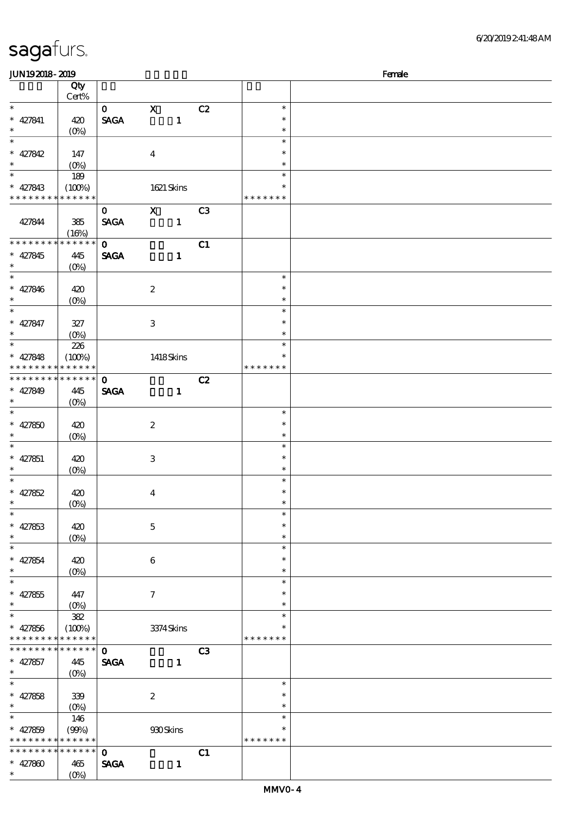| <b>JUN192018-2019</b>                    |                  |                                |                           |                |               | Female |
|------------------------------------------|------------------|--------------------------------|---------------------------|----------------|---------------|--------|
|                                          | Qty              |                                |                           |                |               |        |
|                                          | $Cert\%$         |                                |                           |                |               |        |
| $*$                                      |                  | $\mathbf{O}$                   | $\mathbf x$               | C2             | $\ast$        |        |
| $* 427841$                               | 420              | $\operatorname{\mathsf{SAGA}}$ | $\mathbf{1}$              |                | $\ast$        |        |
| $\ast$                                   |                  |                                |                           |                | $\ast$        |        |
| $\ast$                                   | $(O\%)$          |                                |                           |                |               |        |
|                                          |                  |                                |                           |                | $\ast$        |        |
| $* 427842$                               | 147              |                                | $\boldsymbol{4}$          |                | $\ast$        |        |
| $\ast$                                   | $(0\%)$          |                                |                           |                | $\ast$        |        |
| $\overline{\ast}$                        | 189              |                                |                           |                | $\ast$        |        |
| $* 427843$                               | (100%)           |                                | 1621 Skins                |                | $\ast$        |        |
| * * * * * * * * * * * * * *              |                  |                                |                           |                | * * * * * * * |        |
|                                          |                  |                                |                           |                |               |        |
|                                          |                  | $\mathbf{O}$                   | $\mathbf x$               | C <sub>3</sub> |               |        |
| 427844                                   | 385              | <b>SAGA</b>                    | $\mathbf{1}$              |                |               |        |
|                                          | (16%)            |                                |                           |                |               |        |
| * * * * * * * *                          | $******$         | $\mathbf{o}$                   |                           | C1             |               |        |
| $* 427845$                               | 445              | <b>SAGA</b>                    | $\mathbf{1}$              |                |               |        |
| $\ast$                                   | $(O\%)$          |                                |                           |                |               |        |
| $\overline{\phantom{0}}$                 |                  |                                |                           |                | $\ast$        |        |
| $* 427846$                               | 420              |                                | $\boldsymbol{2}$          |                | $\ast$        |        |
| $\ast$                                   |                  |                                |                           |                |               |        |
|                                          | $(O\!/\!o)$      |                                |                           |                | $\ast$        |        |
| $\overline{\ast}$                        |                  |                                |                           |                | $\ast$        |        |
| $* 427847$                               | $327\,$          |                                | 3                         |                | $\ast$        |        |
| $\ast$                                   | $(0\%)$          |                                |                           |                | $\ast$        |        |
| $\overline{\ast}$                        | 226              |                                |                           |                | $\ast$        |        |
| $* 427848$                               | (100%)           |                                | 1418Skins                 |                | $\ast$        |        |
| * * * * * * * *                          | * * * * * *      |                                |                           |                | * * * * * * * |        |
| * * * * * * *                            | $* * * * * * *$  |                                |                           |                |               |        |
|                                          |                  | $\mathbf{o}$                   |                           | C2             |               |        |
| $* 427849$                               | 445              | <b>SAGA</b>                    | $\mathbf{1}$              |                |               |        |
| $\ast$                                   | $(O\%)$          |                                |                           |                |               |        |
| $\ast$                                   |                  |                                |                           |                | $\ast$        |        |
| $* 427850$                               | 420              |                                | $\boldsymbol{2}$          |                | $\ast$        |        |
| $\ast$                                   | $(O\%)$          |                                |                           |                | $\ast$        |        |
| $\ast$                                   |                  |                                |                           |                | $\ast$        |        |
| $* 427851$                               | 420              |                                | $\ensuremath{\mathsf{3}}$ |                | $\ast$        |        |
| $\ast$                                   |                  |                                |                           |                | $\ast$        |        |
| $\ast$                                   | $(0\%)$          |                                |                           |                |               |        |
|                                          |                  |                                |                           |                | $\ast$        |        |
| $* 427852$                               | 420              |                                | $\boldsymbol{4}$          |                | $\ast$        |        |
| $*$                                      | (0%)             |                                |                           |                | $\ast$        |        |
| $\ast$                                   |                  |                                |                           |                | $\ast$        |        |
| $* 427853$                               | 420              |                                | $\mathbf 5$               |                | $\ast$        |        |
| $\ast$                                   | $(0\%)$          |                                |                           |                | $\ast$        |        |
| $\ast$                                   |                  |                                |                           |                | $\ast$        |        |
|                                          |                  |                                |                           |                | $\ast$        |        |
| $* 427854$<br>$\ast$                     | 420              |                                | $\bf 6$                   |                |               |        |
|                                          | $(O\%)$          |                                |                           |                | $\ast$        |        |
| $\ast$                                   |                  |                                |                           |                | $\ast$        |        |
| $* 427855$                               | 447              |                                | $\tau$                    |                | *             |        |
| $\ast$                                   | $(0\%)$          |                                |                           |                | $\ast$        |        |
| $\ast$                                   | $382\,$          |                                |                           |                | $\ast$        |        |
| $* 427856$                               | (100%)           |                                | 3374Skins                 |                | *             |        |
| * * * * * * * *                          | * * * * * *      |                                |                           |                | * * * * * * * |        |
| * * * * * * *<br>$\ast$                  | $* * * * * * *$  | $\mathbf 0$                    |                           | C3             |               |        |
|                                          |                  |                                |                           |                |               |        |
| $* 427857$                               | 445              | <b>SAGA</b>                    | $\mathbf{1}$              |                |               |        |
| $\ast$                                   | $(O\!/\!\delta)$ |                                |                           |                |               |        |
| $\overline{\ast}$                        |                  |                                |                           |                | $\ast$        |        |
| $* 427858$                               | 339              |                                | $\boldsymbol{2}$          |                | $\ast$        |        |
| $\ast$                                   | $(0\%)$          |                                |                           |                | $\ast$        |        |
| $\ast$                                   | 146              |                                |                           |                | $\ast$        |        |
| $* 427859$                               | (90%)            |                                | 930Skins                  |                | $\ast$        |        |
| * * * * * * * * <mark>* * * * * *</mark> |                  |                                |                           |                | * * * * * * * |        |
| * * * * * * * *                          | $* * * * * * *$  |                                |                           |                |               |        |
|                                          |                  | $\mathbf{O}$                   |                           | C1             |               |        |
| $* 427800$                               | 465              | <b>SAGA</b>                    | $\mathbf{1}$              |                |               |        |
| $\ast$                                   | $(O\%)$          |                                |                           |                |               |        |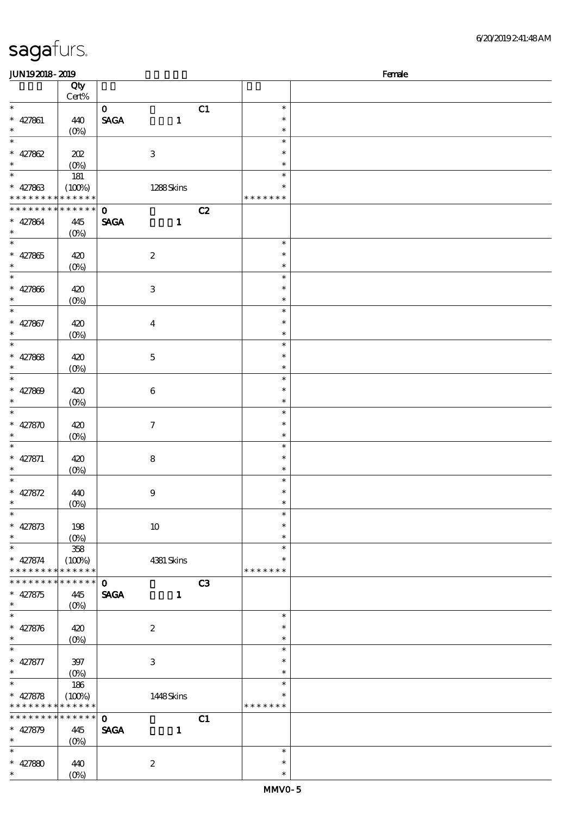| JUN192018-2019                |                 |              |                           |    |                  | Female |
|-------------------------------|-----------------|--------------|---------------------------|----|------------------|--------|
|                               | Qty             |              |                           |    |                  |        |
|                               | Cert%           |              |                           |    |                  |        |
| $\ast$                        |                 | $\mathbf{O}$ |                           | C1 | $\ast$           |        |
| $* 427861$                    | 440             | <b>SAGA</b>  | $\mathbf{1}$              |    | $\ast$           |        |
| $\ast$                        | $(0\%)$         |              |                           |    | $\ast$           |        |
| $\ast$                        |                 |              |                           |    | $\ast$           |        |
| $* 427862$                    | 202             |              | $\ensuremath{\mathbf{3}}$ |    | $\ast$           |        |
| $\ast$                        | $(O\%)$         |              |                           |    | $\ast$           |        |
| $\ast$                        | 181             |              |                           |    | $\ast$           |        |
| $* 427863$                    | (100%)          |              | 1288Skins                 |    |                  |        |
| * * * * * * * *               | * * * * * *     |              |                           |    | * * * * * * *    |        |
| * * * * * * * *               | $* * * * * * *$ | $\mathbf{o}$ |                           | C2 |                  |        |
| $* 427864$                    | 445             | <b>SAGA</b>  | $\mathbf{1}$              |    |                  |        |
| $\ast$<br>$\ast$              | $(O\%)$         |              |                           |    | $\ast$           |        |
|                               |                 |              |                           |    |                  |        |
| $* 427865$<br>$\ast$          | 420             |              | $\boldsymbol{2}$          |    | $\ast$<br>$\ast$ |        |
| $\ast$                        | $(0\%)$         |              |                           |    | $\ast$           |        |
|                               |                 |              |                           |    | $\ast$           |        |
| $* 427866$<br>$\ast$          | 420             |              | $\,3$                     |    | $\ast$           |        |
| $\ast$                        | $(O\!/\!o)$     |              |                           |    | $\ast$           |        |
| $* 427867$                    | 420             |              | $\boldsymbol{4}$          |    | $\ast$           |        |
| $\ast$                        | $(0\%)$         |              |                           |    | $\ast$           |        |
| $\ast$                        |                 |              |                           |    | $\ast$           |        |
| $* 427868$                    | 420             |              | $\mathbf 5$               |    | $\ast$           |        |
| $\ast$                        | $(0\%)$         |              |                           |    | $\ast$           |        |
| $\ast$                        |                 |              |                           |    | $\ast$           |        |
| $* 427809$                    | 420             |              | $\bf 6$                   |    | $\ast$           |        |
| $\ast$                        | (0%)            |              |                           |    | $\ast$           |        |
| $\ast$                        |                 |              |                           |    | $\ast$           |        |
| $* 427870$                    | 420             |              | $\boldsymbol{7}$          |    | $\ast$           |        |
| $\ast$                        | $(0\%)$         |              |                           |    | $\ast$           |        |
| $\ast$                        |                 |              |                           |    | $\ast$           |        |
| $* 427871$                    | 420             |              | ${\bf 8}$                 |    | $\ast$           |        |
| $\ast$                        | $(0\%)$         |              |                           |    | $\ast$           |        |
| $\ast$                        |                 |              |                           |    | $\ast$           |        |
| $* 427872$                    | 440             |              | $\boldsymbol{9}$          |    | $\ast$           |        |
| $\ast$                        | (0%)            |              |                           |    | $\ast$           |        |
| $\overline{\phantom{a}}$      |                 |              |                           |    | $\ast$           |        |
| $* 427873$                    | 198             |              | $10\,$                    |    | $\ast$           |        |
| $\ast$                        | $(0\%)$         |              |                           |    | $\ast$           |        |
| $\overline{\phantom{0}}$      | $358\,$         |              |                           |    | $\ast$           |        |
| $* 427874$                    | (100%)          |              | 4381 Skins                |    | $\ast$           |        |
| * * * * * * * * * * * * * *   |                 |              |                           |    | * * * * * * *    |        |
| * * * * * * * * * * * * * * * |                 | $\mathbf{o}$ |                           | C3 |                  |        |
| $* 427875$                    | 445             | <b>SAGA</b>  | $\mathbf{1}$              |    |                  |        |
| $\ast$<br>$\overline{\ast}$   | $(O\%)$         |              |                           |    |                  |        |
|                               |                 |              |                           |    | $\ast$           |        |
| $* 427876$<br>$\ast$          | 420             |              | $\boldsymbol{z}$          |    | $\ast$<br>$\ast$ |        |
| $\overline{\ast}$             | $(O\%)$         |              |                           |    |                  |        |
|                               |                 |              |                           |    | $\ast$<br>$\ast$ |        |
| $* 427877$<br>$\ast$          | $397\,$         |              | $\,3$                     |    | $\ast$           |        |
| $\ast$                        | $(0\%)$<br>186  |              |                           |    | $\ast$           |        |
| $* 427878$                    | (100%)          |              | 1448Skins                 |    | $\ast$           |        |
| * * * * * * * *               | * * * * * *     |              |                           |    | * * * * * * *    |        |
| * * * * * * * * * * * * * * * |                 | $\mathbf{o}$ |                           | C1 |                  |        |
| $* 427879$                    | 445             | <b>SAGA</b>  | $\mathbf{1}$              |    |                  |        |
| $\ast$                        | $(O\%)$         |              |                           |    |                  |        |
| $\ast$                        |                 |              |                           |    | $\ast$           |        |
| $* 427880$                    | 440             |              | $\boldsymbol{2}$          |    | $\ast$           |        |
| $\ast$                        | $(O\%)$         |              |                           |    | $\ast$           |        |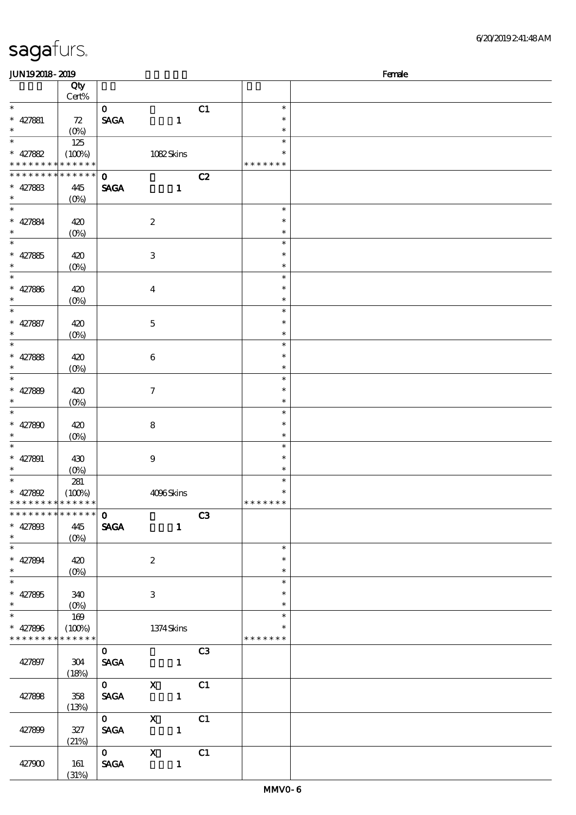| <b>JUN192018-2019</b>                                        |                    |                              |                                                           |    |                  | Female |
|--------------------------------------------------------------|--------------------|------------------------------|-----------------------------------------------------------|----|------------------|--------|
|                                                              | Qty<br>$Cert\%$    |                              |                                                           |    |                  |        |
| $\ast$                                                       |                    | $\mathbf{O}$                 |                                                           | C1 | $\ast$           |        |
| $* 427881$                                                   | 72                 | $\ensuremath{\mathsf{SAGA}}$ | $\mathbf{1}$                                              |    | $\ast$           |        |
| $\ast$                                                       | $(O_0)$            |                              |                                                           |    | $\ast$           |        |
| $\ast$                                                       | 125                |                              |                                                           |    | $\ast$           |        |
| $* 427882$                                                   | (100%)             |                              | 1082Skins                                                 |    | *                |        |
| * * * * * * * *                                              | * * * * * *        |                              |                                                           |    | * * * * * * *    |        |
| * * * * * * *                                                | $***$ * * * * *    | $\mathbf 0$                  |                                                           | C2 |                  |        |
| $* 427883$                                                   | 445                | <b>SAGA</b>                  | $\mathbf{1}$                                              |    |                  |        |
| $\ast$                                                       | $(O_0)$            |                              |                                                           |    |                  |        |
| $\ast$                                                       |                    |                              |                                                           |    | $\ast$           |        |
| $* 427884$                                                   | 420                |                              | $\boldsymbol{2}$                                          |    | $\ast$           |        |
| $\ast$                                                       | $(O\!/\!o)$        |                              |                                                           |    | $\ast$           |        |
| $\overline{\phantom{0}}$                                     |                    |                              |                                                           |    | $\ast$           |        |
| $* 427885$                                                   | 420                |                              | $\,3$                                                     |    | $\ast$           |        |
| $\ast$                                                       | $(0\%)$            |                              |                                                           |    | $\ast$           |        |
| $\ast$                                                       |                    |                              |                                                           |    | $\ast$           |        |
| $* 427886$                                                   | 420                |                              | $\boldsymbol{4}$                                          |    | $\ast$           |        |
| $\ast$                                                       | $(O\%)$            |                              |                                                           |    | $\ast$           |        |
| $\ast$                                                       |                    |                              |                                                           |    | $\ast$           |        |
| $* 427887$                                                   | 420                |                              | $\mathbf 5$                                               |    | $\ast$           |        |
| $\ast$<br>$\ast$                                             | (O <sub>0</sub> )  |                              |                                                           |    | $\ast$<br>$\ast$ |        |
| $* 427888$                                                   |                    |                              |                                                           |    | $\ast$           |        |
| $\ast$                                                       | 420<br>$(0\%)$     |                              | $\bf 6$                                                   |    | $\ast$           |        |
| $\ast$                                                       |                    |                              |                                                           |    | $\ast$           |        |
| $* 427889$                                                   | 420                |                              | $\boldsymbol{\tau}$                                       |    | $\ast$           |        |
| $\ast$                                                       | $(O\!/\!\!\delta)$ |                              |                                                           |    | $\ast$           |        |
| $\ast$                                                       |                    |                              |                                                           |    | $\ast$           |        |
| $* 427800$                                                   | 420                |                              | $\bf 8$                                                   |    | $\ast$           |        |
| $\ast$                                                       | $(O\%)$            |                              |                                                           |    | $\ast$           |        |
| $\ast$                                                       |                    |                              |                                                           |    | $\ast$           |        |
| $* 427891$                                                   | 430                |                              | $\boldsymbol{9}$                                          |    | $\ast$           |        |
| $\ast$                                                       | (0%)               |                              |                                                           |    | $\ast$           |        |
| $*$                                                          | 281                |                              |                                                           |    | $\ast$           |        |
| $* 427892$                                                   | (100%)             |                              | 4096Skins                                                 |    | $\ast$           |        |
| * * * * * * * * * * * * * *<br>* * * * * * * * * * * * * * * |                    |                              |                                                           |    | *******          |        |
|                                                              |                    | $\mathbf{O}$                 |                                                           | C3 |                  |        |
| $* 427808$<br>$\ast$                                         | 445                | <b>SAGA</b>                  | $\mathbf{1}$                                              |    |                  |        |
| $\overline{\phantom{0}}$                                     | $(O\%)$            |                              |                                                           |    | $\ast$           |        |
|                                                              | 420                |                              | $\boldsymbol{2}$                                          |    | $\ast$           |        |
| * 427894                                                     |                    |                              |                                                           |    | $\ast$           |        |
|                                                              |                    |                              |                                                           |    | $\ast$           |        |
| $* 427805$                                                   | 340                |                              | 3                                                         |    | $\ast$           |        |
| $\ast$                                                       |                    |                              |                                                           |    | $\ast$           |        |
|                                                              | 169                |                              |                                                           |    | $\ast$           |        |
| $* 427896$                                                   | (100%)             |                              | 1374Skins                                                 |    | $\ast$           |        |
| * * * * * * * * * * * * * *                                  |                    |                              |                                                           |    | * * * * * * *    |        |
|                                                              |                    | $\mathbf{O}$                 |                                                           | C3 |                  |        |
| 427897                                                       | 304                |                              | SAGA 1                                                    |    |                  |        |
|                                                              | (18%)              |                              |                                                           |    |                  |        |
| 427898                                                       | 358                |                              | $\begin{array}{ccc} 0 & X & C1 \\ SAGA & 1 & \end{array}$ |    |                  |        |
|                                                              | (13%)              |                              |                                                           |    |                  |        |
|                                                              |                    | $\overline{\textbf{0}}$ X    |                                                           | C1 |                  |        |
| 427899                                                       | 327                | <b>SAGA</b>                  |                                                           |    |                  |        |
|                                                              | (21%)              |                              |                                                           |    |                  |        |
|                                                              |                    | $0$ X                        |                                                           | C1 |                  |        |
| 427900                                                       | 161                | <b>SAGA</b>                  |                                                           |    |                  |        |
|                                                              | (31%)              |                              |                                                           |    |                  |        |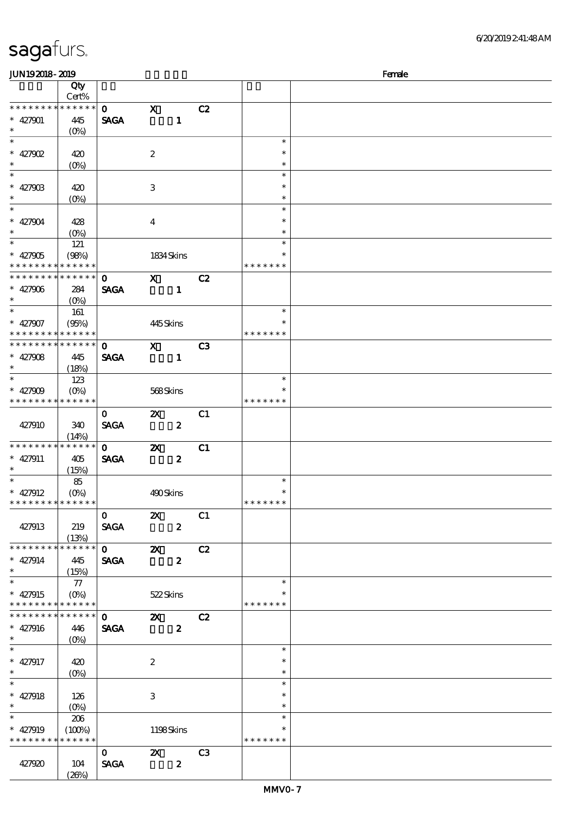| JUN192018-2019                 |                                 |                                              |                           |                |               | Female |
|--------------------------------|---------------------------------|----------------------------------------------|---------------------------|----------------|---------------|--------|
|                                | Qty                             |                                              |                           |                |               |        |
|                                | Cert%                           |                                              |                           |                |               |        |
| * * * * * * * *                | $* * * * * * *$                 | $\mathbf{o}$                                 | $\mathbf{x}$              | C2             |               |        |
| $* 427901$                     | 445                             | <b>SAGA</b>                                  | $\mathbf{1}$              |                |               |        |
| $\ast$                         | $(O\%)$                         |                                              |                           |                |               |        |
| $\overline{\phantom{0}}$       |                                 |                                              |                           |                | $\ast$        |        |
| $* 427902$                     | 420                             |                                              | $\boldsymbol{2}$          |                | $\ast$        |        |
| $\ast$                         | $(O\!\!\!\!\!\!\backslash\rho)$ |                                              |                           |                | $\ast$        |        |
|                                |                                 |                                              |                           |                | $\ast$        |        |
| $* 42790B$                     |                                 |                                              |                           |                | $\ast$        |        |
| $\ast$                         | 420                             |                                              | 3                         |                | $\ast$        |        |
| $*$                            | $(O\!\!\!\!\!\!\backslash\rho)$ |                                              |                           |                | $\ast$        |        |
|                                |                                 |                                              |                           |                |               |        |
| $* 427904$                     | 428                             |                                              | $\overline{4}$            |                | $\ast$        |        |
| $\ast$                         | $(O\!/\!o)$                     |                                              |                           |                | $\ast$        |        |
|                                | 121                             |                                              |                           |                | $\ast$        |        |
| $* 427905$                     | (98%)                           |                                              | 1834 Skins                |                | $\ast$        |        |
| * * * * * * * * <mark>*</mark> | * * * * * *                     |                                              |                           |                | * * * * * * * |        |
| * * * * * * * *                | $* * * * * * *$                 | $\mathbf{o}$                                 | $\mathbf{X}$              | C2             |               |        |
| $* 427906$                     | 284                             | <b>SAGA</b>                                  | $\mathbf{1}$              |                |               |        |
| $\ast$                         | $(O\%)$                         |                                              |                           |                |               |        |
|                                | 161                             |                                              |                           |                | $\ast$        |        |
| $* 427907$                     | (95%)                           |                                              | 445Skins                  |                | $\ast$        |        |
| * * * * * * * *                | * * * * * *                     |                                              |                           |                | * * * * * * * |        |
| * * * * * * * * * * * * * * *  |                                 | $\mathbf{o}$                                 | $\mathbf{X}$              | C <sub>3</sub> |               |        |
| $* 427908$                     | 445                             | <b>SAGA</b>                                  | $\mathbf{1}$              |                |               |        |
| $\ast$                         | (18%)                           |                                              |                           |                |               |        |
|                                | 123                             |                                              |                           |                | $\ast$        |        |
| $* 427909$                     | $(O\!\!\!\!\!\!\backslash\rho)$ |                                              | 568Skins                  |                |               |        |
| * * * * * * * *                | * * * * * *                     |                                              |                           |                | * * * * * * * |        |
|                                |                                 |                                              |                           |                |               |        |
|                                |                                 | $\mathbf{O}$                                 | $\mathbf{X}$              | C1             |               |        |
| 427910                         | 340                             | <b>SAGA</b>                                  | $\boldsymbol{z}$          |                |               |        |
|                                | (14%)                           |                                              |                           |                |               |        |
| * * * * * * * *                | $******$                        | $\mathbf{O}$                                 | $\boldsymbol{\mathsf{z}}$ | C1             |               |        |
| $* 427911$                     | 405                             | <b>SAGA</b>                                  | $\boldsymbol{z}$          |                |               |        |
| $\ast$                         | (15%)                           |                                              |                           |                |               |        |
|                                | 85                              |                                              |                           |                | $\ast$        |        |
| * $427912$                     |                                 |                                              | 490Skins                  |                | $\ast$        |        |
| * * * * * * * * * * * * * * *  |                                 |                                              |                           |                | *******       |        |
|                                |                                 | $\mathbf 0$                                  | $\boldsymbol{\mathsf{Z}}$ | C1             |               |        |
| 427913                         | 219                             | <b>SAGA</b>                                  | $\boldsymbol{z}$          |                |               |        |
|                                | (13%)                           |                                              |                           |                |               |        |
| * * * * * * * *                | * * * * * *                     | $\overline{0}$ $\overline{z}$ $\overline{z}$ |                           | C2             |               |        |
| $* 427914$                     | 445                             | <b>SAGA</b>                                  | $\boldsymbol{z}$          |                |               |        |
| $\ast$                         | (15%)                           |                                              |                           |                |               |        |
|                                | 77                              |                                              |                           |                | $\ast$        |        |
| $* 427915$                     |                                 |                                              | 522Skins                  |                | *             |        |
| * * * * * * * *                | * * * * * *                     |                                              |                           |                | * * * * * * * |        |
| * * * * * * * *                | * * * * * *                     | $\mathbf{0}$                                 | $\mathbf{x}$              | C2             |               |        |
| $* 427916$                     |                                 | <b>SAGA</b>                                  | $\boldsymbol{2}$          |                |               |        |
| $\ast$                         | 446                             |                                              |                           |                |               |        |
| $\ast$                         | $(O\%)$                         |                                              |                           |                | $\ast$        |        |
|                                |                                 |                                              |                           |                | $\ast$        |        |
| $* 427917$<br>$*$              | 420                             |                                              | $\boldsymbol{2}$          |                | $\ast$        |        |
| $\overline{\ast}$              | $(O\!\!\!\!\!\!\backslash\rho)$ |                                              |                           |                | $\ast$        |        |
|                                |                                 |                                              |                           |                |               |        |
| * $427918$                     | 126                             |                                              | 3                         |                | $\ast$        |        |
| $\ast$                         | $(O\%)$                         |                                              |                           |                | $\ast$        |        |
| $\ast$                         | 206                             |                                              |                           |                | $\ast$        |        |
| $* 427919$                     | (100%)                          |                                              | 1198Skins                 |                | $\ast$        |        |
| * * * * * * * *                | * * * * * *                     |                                              |                           |                | * * * * * * * |        |
|                                |                                 | $\mathbf{O}$                                 | $\mathbf{x}$              | C <sub>3</sub> |               |        |
| 427920                         | 104                             | <b>SAGA</b>                                  | $\boldsymbol{z}$          |                |               |        |
|                                | (20%)                           |                                              |                           |                |               |        |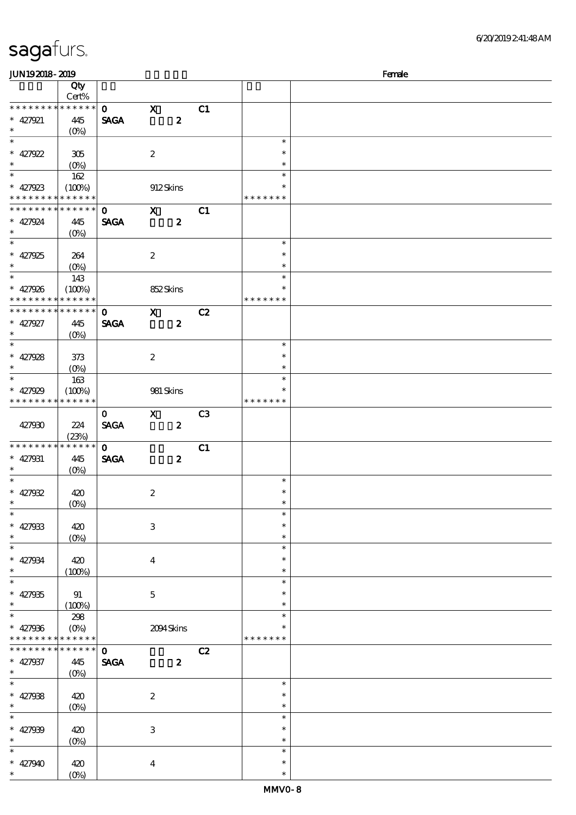| JUN192018-2019          |                            |              |                           |                |                  | Female |
|-------------------------|----------------------------|--------------|---------------------------|----------------|------------------|--------|
|                         | Qty                        |              |                           |                |                  |        |
|                         | Cert%                      |              |                           |                |                  |        |
| __<br>* * * * * * * *   | $******$                   | $\mathbf{o}$ | $\boldsymbol{\mathrm{X}}$ | C1             |                  |        |
| $* 427921$              | 445                        | <b>SAGA</b>  | $\boldsymbol{2}$          |                |                  |        |
| $*$                     | $(0\%)$                    |              |                           |                |                  |        |
|                         |                            |              |                           |                | $\ast$           |        |
| * $427922$              | 305                        |              | $\boldsymbol{2}$          |                | $\ast$           |        |
|                         | $(O\%)$                    |              |                           |                | $\ast$           |        |
|                         | 162                        |              |                           |                | $\ast$           |        |
| $* 427923$              | (100%)                     |              | 912Skins                  |                | $\ast$           |        |
| * * * * * * * *         | * * * * * *                |              |                           |                | * * * * * * *    |        |
| * * * * * * * *         | $\ast\ast\ast\ast\ast\ast$ | $\mathbf{o}$ | $\mathbf{x}$              | C1             |                  |        |
| $* 427924$              | 445                        | <b>SAGA</b>  | $\boldsymbol{z}$          |                |                  |        |
| $\ast$                  | $(O\%)$                    |              |                           |                |                  |        |
|                         |                            |              |                           |                | $\ast$           |        |
| * 427925                |                            |              |                           |                | $\ast$           |        |
| $*$                     | 264                        |              | $\boldsymbol{2}$          |                | $\ast$           |        |
|                         | $(O\%)$                    |              |                           |                | $\ast$           |        |
|                         | 143                        |              |                           |                |                  |        |
| $* 427926$              | (100%)                     |              | 852Skins                  |                | $\ast$           |        |
| * * * * * * * *         | * * * * * *                |              |                           |                | * * * * * * *    |        |
| ____<br>* * * * * * * * | $\ast\ast\ast\ast\ast\ast$ | $\mathbf{O}$ | $\mathbf{X}$              | C2             |                  |        |
| $* 427927$              | 445                        | <b>SAGA</b>  | $\boldsymbol{z}$          |                |                  |        |
| $*$                     | $(O\%)$                    |              |                           |                |                  |        |
|                         |                            |              |                           |                | $\ast$           |        |
| * $427928$              | 373                        |              | $\boldsymbol{2}$          |                | $\ast$           |        |
| $*$ $*$                 | $(O\%)$                    |              |                           |                | $\ast$           |        |
|                         | 163                        |              |                           |                | $\ast$           |        |
| $* 427929$              | (100%)                     |              | 981 Skins                 |                | ∗                |        |
| * * * * * * * *         | * * * * * *                |              |                           |                | * * * * * * *    |        |
|                         |                            | $\mathbf{O}$ | $\mathbf{x}$              | C <sub>3</sub> |                  |        |
| 427930                  | 224                        | <b>SAGA</b>  | $\boldsymbol{z}$          |                |                  |        |
|                         | (23%)                      |              |                           |                |                  |        |
| * * * * * * * *         | * * * * * *                | $\mathbf{O}$ |                           | C1             |                  |        |
| $* 427931$              | 445                        | <b>SAGA</b>  | $\boldsymbol{2}$          |                |                  |        |
| $\ast$                  | $(O\%)$                    |              |                           |                |                  |        |
|                         |                            |              |                           |                | $\ast$           |        |
| * $427932$              | 420                        |              | $\boldsymbol{z}$          |                | $\ast$           |        |
| $*$ $*$                 | (0%)                       |              |                           |                | $\ast$           |        |
| $\ast$                  |                            |              |                           |                | $\ast$           |        |
| $* 427933$              | 420                        |              | 3                         |                | $\ast$           |        |
| $\ast$                  | $(0\%)$                    |              |                           |                | $\ast$           |        |
| $\ast$                  |                            |              |                           |                | $\ast$           |        |
| $* 427934$              |                            |              |                           |                | $\ast$           |        |
| $\ast$                  | 420                        |              | $\bf{4}$                  |                | $\ast$           |        |
| $\overline{\ast}$       | (100%)                     |              |                           |                | $\ast$           |        |
|                         |                            |              |                           |                | $\ast$           |        |
| $* 427935$<br>$\ast$    | 91                         |              | $\mathbf{5}$              |                |                  |        |
| $\ast$                  | (100%)                     |              |                           |                | $\ast$<br>$\ast$ |        |
|                         | 298                        |              |                           |                |                  |        |
| $* 427936$              | $(O\%)$                    |              | 2094Skins                 |                | ∗                |        |
| * * * * * * * *         | * * * * * *                |              |                           |                | * * * * * * *    |        |
| * * * * * * * *         | * * * * * *                | $\mathbf{o}$ |                           | C2             |                  |        |
| $* 427937$              | 445                        | <b>SAGA</b>  | $\pmb{2}$                 |                |                  |        |
| $\ast$                  | $(O\%)$                    |              |                           |                |                  |        |
| $\overline{\ast}$       |                            |              |                           |                | $\ast$           |        |
| * $427938$              | 420                        |              | $\boldsymbol{2}$          |                | $\ast$           |        |
| $\ast$                  | $(O\%)$                    |              |                           |                | $\ast$           |        |
| $\ast$                  |                            |              |                           |                | $\ast$           |        |
| $* 427939$              | 420                        |              | $\,3$                     |                | $\ast$           |        |
| $\ast$                  | $(0\%)$                    |              |                           |                | $\ast$           |        |
| $\ast$                  |                            |              |                           |                | $\ast$           |        |
| $* 427940$              | 420                        |              | $\bf{4}$                  |                | $\ast$           |        |
| $\ast$                  | (O <sub>0</sub> )          |              |                           |                | $\ast$           |        |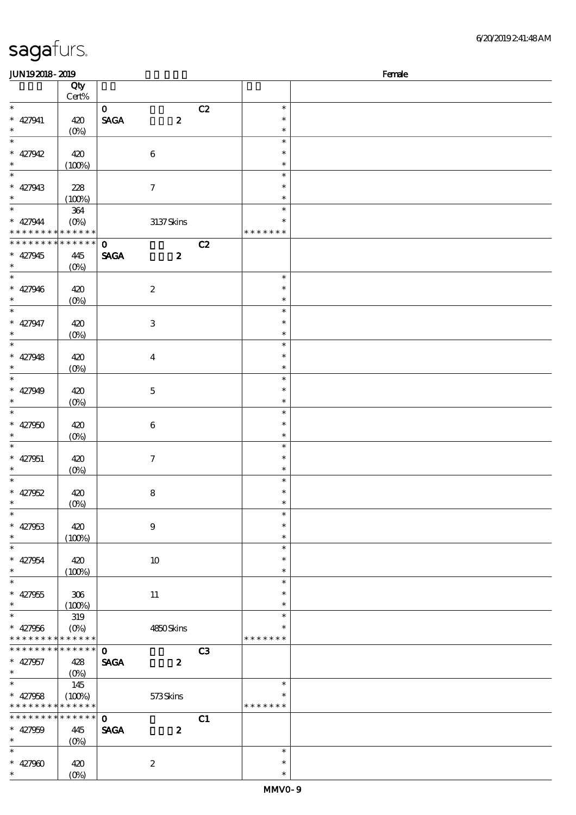| 6/20/2019241:48AM |  |
|-------------------|--|
|-------------------|--|

| <b>JUN192018-2019</b>                      |         |                                |                         |               | Female |
|--------------------------------------------|---------|--------------------------------|-------------------------|---------------|--------|
|                                            | Qty     |                                |                         |               |        |
|                                            | Cert%   |                                |                         |               |        |
| $\ast$                                     |         | $\mathbf{O}$                   | C2                      | $\ast$        |        |
| $* 427941$                                 | 420     | $\operatorname{\mathsf{SAGA}}$ | $\boldsymbol{z}$        | $\ast$        |        |
| $\ast$                                     | $(0\%)$ |                                |                         | $\ast$        |        |
| $\ast$                                     |         |                                |                         | $\ast$        |        |
|                                            |         |                                |                         | $\ast$        |        |
| $* 427942$                                 | 420     | $\bf 6$                        |                         |               |        |
| $\ast$                                     | (100%)  |                                |                         | $\ast$        |        |
| $\overline{\phantom{a}^*}$                 |         |                                |                         | $\ast$        |        |
| $* 427943$                                 | 228     | $\boldsymbol{7}$               |                         | $\ast$        |        |
| $\ast$                                     | (100%)  |                                |                         | $\ast$        |        |
| $\overline{\phantom{a}^*}$                 | 364     |                                |                         | $\ast$        |        |
| $* 427944$                                 | $(O\%)$ | 3137Skins                      |                         | $\ast$        |        |
| * * * * * * * * <mark>* * * * * * *</mark> |         |                                |                         | * * * * * * * |        |
| * * * * * * * * * * * * * *                |         |                                |                         |               |        |
|                                            |         | $\mathbf{O}$                   | C2                      |               |        |
| $* 427945$                                 | 445     | <b>SAGA</b>                    | $\boldsymbol{z}$        |               |        |
| $\ast$                                     | $(O\%)$ |                                |                         |               |        |
| $\overline{\ast}$                          |         |                                |                         | $\ast$        |        |
| $* 427946$                                 | 420     | $\boldsymbol{2}$               |                         | $\ast$        |        |
| $\ast$                                     | $(0\%)$ |                                |                         | $\ast$        |        |
| $\ast$                                     |         |                                |                         | $\ast$        |        |
| $* 427947$                                 | 420     | $\,3$                          |                         | $\ast$        |        |
| $\ast$                                     |         |                                |                         | $\ast$        |        |
| $\overline{\phantom{0}}$                   | $(0\%)$ |                                |                         |               |        |
|                                            |         |                                |                         | $\ast$        |        |
| $* 427948$                                 | 420     | $\bf{4}$                       |                         | $\ast$        |        |
| $\ast$                                     | $(0\%)$ |                                |                         | $\ast$        |        |
| $\overline{\ast}$                          |         |                                |                         | $\ast$        |        |
| $* 427949$                                 | 420     | $\mathbf{5}$                   |                         | $\ast$        |        |
| $\ast$                                     | $(O\%)$ |                                |                         | $\ast$        |        |
| $\ast$                                     |         |                                |                         | $\ast$        |        |
|                                            |         |                                |                         | $\ast$        |        |
| $* 427950$                                 | 420     | 6                              |                         |               |        |
| $\ast$                                     | $(O\%)$ |                                |                         | $\ast$        |        |
| $\ast$                                     |         |                                |                         | $\ast$        |        |
| $* 427951$                                 | 420     | $\boldsymbol{7}$               |                         | $\ast$        |        |
| $\ast$                                     | $(0\%)$ |                                |                         | $\ast$        |        |
| $\ast$                                     |         |                                |                         | $\ast$        |        |
| $* 427952$                                 | 420     | ${\bf 8}$                      |                         | $\ast$        |        |
| $\ast$                                     | (0%)    |                                |                         | $\ast$        |        |
| $\ast$                                     |         |                                |                         | $\ast$        |        |
|                                            |         |                                |                         | $\ast$        |        |
| $* 427953$                                 | 420     | $\boldsymbol{9}$               |                         |               |        |
| $\ast$                                     | (100%)  |                                |                         | $\ast$        |        |
| $\ast$                                     |         |                                |                         | $\ast$        |        |
| $* 427954$                                 | 420     | $10\,$                         |                         | $\ast$        |        |
| $\ast$                                     | (100%)  |                                |                         | $\ast$        |        |
| $\overline{\phantom{a}^*}$                 |         |                                |                         | $\ast$        |        |
| $* 427955$                                 | 306     | $11\,$                         |                         | ∗             |        |
| $\ast$                                     | (100%)  |                                |                         | $\ast$        |        |
| $\overline{\phantom{0}}$                   | 319     |                                |                         | $\ast$        |        |
|                                            |         |                                |                         |               |        |
| $* 427956$                                 | $(O\%)$ | 4850Skins                      |                         |               |        |
| * * * * * * * * * * * * * *                |         |                                |                         | * * * * * * * |        |
| * * * * * * * * * * * * * * *              |         | $\mathbf{O}$                   | C3                      |               |        |
| $* 427957$                                 | 428     | <b>SAGA</b>                    | $\overline{\mathbf{z}}$ |               |        |
| $\ast$                                     |         |                                |                         |               |        |
| $\overline{\phantom{0}}$                   | 145     |                                |                         | $\ast$        |        |
| $* 427958$                                 | (100%)  | 573Skins                       |                         |               |        |
| * * * * * * * * <mark>* * * * * * *</mark> |         |                                |                         | * * * * * * * |        |
| * * * * * * * * * * * * * *                |         | $\mathbf{O}$                   |                         |               |        |
|                                            |         |                                | C1                      |               |        |
| $* 427959$                                 | 445     | <b>SAGA</b>                    | $\boldsymbol{z}$        |               |        |
| $\ast$                                     | $(0\%)$ |                                |                         |               |        |
| $\overline{\phantom{a}}$                   |         |                                |                         | $\ast$        |        |
| $* 427900$                                 | 420     | $\boldsymbol{z}$               |                         | $\ast$        |        |
| $\ast$                                     | $(O\%)$ |                                |                         | $\ast$        |        |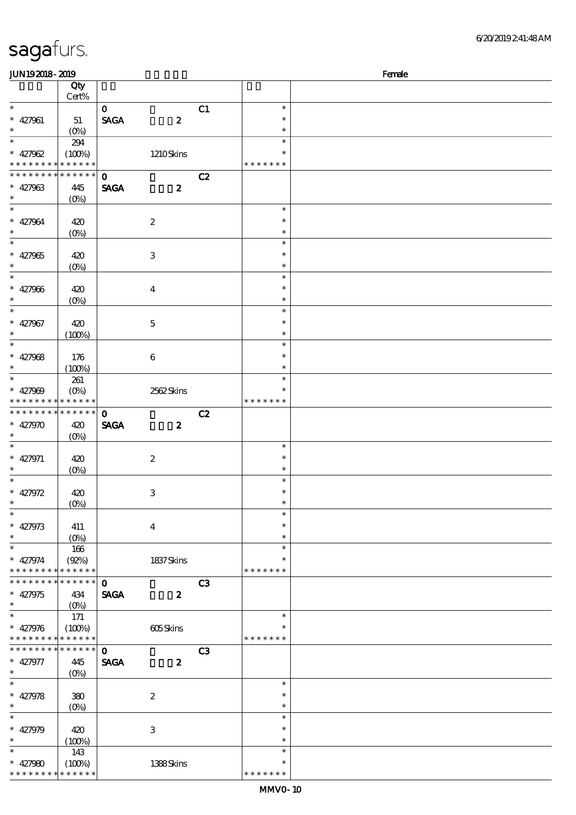| sagafurs.                   |                    |             |                  |                |               |        |
|-----------------------------|--------------------|-------------|------------------|----------------|---------------|--------|
| <b>JUN192018-2019</b>       |                    |             |                  |                |               | Female |
|                             | Qty<br>Cert%       |             |                  |                |               |        |
| $\ast$                      |                    | $\Omega$    |                  | C <sub>1</sub> | $\ast$        |        |
| $\ast$<br>427961            | 51                 | <b>SAGA</b> | $\boldsymbol{z}$ |                | $\ast$        |        |
| $\ast$                      | $(O\!/\!\!\delta)$ |             |                  |                | $\ast$        |        |
| $\ast$                      | 294                |             |                  |                | $\ast$        |        |
| 427962<br>$\ast$            | (100%)             |             | 1210Skins        |                | $\ast$        |        |
| * * * * * * * * * * * * * * |                    |             |                  |                | * * * * * * * |        |
| * * * * * * * * * * * * * * |                    | $\Omega$    |                  | C2             |               |        |
| $* 427963$<br>$\ast$        | 445<br>$(O\%)$     | <b>SAGA</b> | $\boldsymbol{z}$ |                |               |        |
| $\ast$                      |                    |             |                  |                | $\ast$        |        |
| 427964<br>$\ast$            | 420                |             | $\boldsymbol{2}$ |                | $\ast$        |        |
| $\ast$                      | $(O\%)$            |             |                  |                | $\ast$        |        |
| $\ast$                      |                    |             |                  |                | $\ast$        |        |
| 427965<br>$\ast$            | 420                |             | 3                |                | $\ast$        |        |
|                             |                    |             |                  |                |               |        |

| $\ast$                                                                                           |                       | $\mathbf{O}$ |                           | C1 | $\ast$        |  |
|--------------------------------------------------------------------------------------------------|-----------------------|--------------|---------------------------|----|---------------|--|
| $* 427961$                                                                                       | 51                    | <b>SAGA</b>  | $\boldsymbol{z}$          |    | $\ast$        |  |
| $\ast$                                                                                           | $(O\%)$               |              |                           |    | $\ast$        |  |
| $\ast$                                                                                           | 294                   |              |                           |    | $\ast$        |  |
| $* 427962$                                                                                       | (100%)                |              | 1210Skins                 |    |               |  |
| * * * * * * * *                                                                                  | * * * * * *           |              |                           |    | * * * * * * * |  |
| * * * * * * * *                                                                                  | * * * * * *           |              |                           |    |               |  |
|                                                                                                  |                       | $\mathbf 0$  |                           | C2 |               |  |
| $* 427963$                                                                                       | 445                   | <b>SAGA</b>  | $\boldsymbol{z}$          |    |               |  |
| $\ast$                                                                                           | $(O_0)$               |              |                           |    |               |  |
| $\ast$                                                                                           |                       |              |                           |    | $\ast$        |  |
| $* 427964$                                                                                       | 420                   |              | $\boldsymbol{2}$          |    | ∗             |  |
| $\ast$                                                                                           |                       |              |                           |    | $\ast$        |  |
| $\overline{\ast}$                                                                                | $(0\%)$               |              |                           |    |               |  |
|                                                                                                  |                       |              |                           |    | $\ast$        |  |
| $* 427965$                                                                                       | 420                   |              | $\ensuremath{\mathbf{3}}$ |    | $\ast$        |  |
| $\ast$                                                                                           | $(0\%)$               |              |                           |    | $\ast$        |  |
| $\ast$                                                                                           |                       |              |                           |    | $\ast$        |  |
| $* 427966$                                                                                       | 420                   |              | $\boldsymbol{4}$          |    | $\ast$        |  |
| $\ast$                                                                                           |                       |              |                           |    | $\ast$        |  |
| $\overline{\ast}$                                                                                | $(O\%)$               |              |                           |    |               |  |
|                                                                                                  |                       |              |                           |    | $\ast$        |  |
| $* 427967$                                                                                       | 420                   |              | $\mathbf{5}$              |    | ∗             |  |
| $\ast$                                                                                           | (100%)                |              |                           |    | $\ast$        |  |
|                                                                                                  |                       |              |                           |    | $\ast$        |  |
| * $427968$                                                                                       | 176                   |              | $\bf 6$                   |    | ∗             |  |
| $\ast$                                                                                           |                       |              |                           |    |               |  |
|                                                                                                  | (100%)                |              |                           |    |               |  |
|                                                                                                  | 261                   |              |                           |    | $\ast$        |  |
| * $427909$                                                                                       | $(O\%)$               |              | 2562Skins                 |    |               |  |
| * * * * * * * * <mark>* * * * * *</mark>                                                         |                       |              |                           |    | * * * * * * * |  |
| * * * * * * * * <mark>*</mark>                                                                   | * * * * * * *         | $\mathbf{o}$ |                           | C2 |               |  |
| * $427970$                                                                                       | 420                   | <b>SAGA</b>  | $\boldsymbol{z}$          |    |               |  |
| $\ast$                                                                                           |                       |              |                           |    |               |  |
|                                                                                                  | $(0\%)$               |              |                           |    |               |  |
|                                                                                                  |                       |              |                           |    | $\ast$        |  |
|                                                                                                  |                       |              |                           |    |               |  |
|                                                                                                  | 420                   |              | $\boldsymbol{2}$          |    | $\ast$        |  |
|                                                                                                  |                       |              |                           |    | $\ast$        |  |
|                                                                                                  | $(O\!/\!o)$           |              |                           |    | $\ast$        |  |
|                                                                                                  |                       |              |                           |    | $\ast$        |  |
|                                                                                                  | 420                   |              | $\,3\,$                   |    |               |  |
|                                                                                                  | $(O\%)$               |              |                           |    | $\ast$        |  |
|                                                                                                  |                       |              |                           |    | $\ast$        |  |
|                                                                                                  | 411                   |              | $\boldsymbol{4}$          |    | $\ast$        |  |
|                                                                                                  |                       |              |                           |    | $\ast$        |  |
| * $427971$<br>$\ast$<br>$\ast$<br>* 427972<br>$\ast$<br>$\ast$<br>* $427973$<br>$\ast$<br>$\ast$ | $(0\%)$               |              |                           |    | $\ast$        |  |
|                                                                                                  | 166                   |              |                           |    | ∗             |  |
| $* 427974$                                                                                       | (Q2%)                 |              | 1837Skins                 |    | * * * * * * * |  |
|                                                                                                  | * * * * * *           |              |                           |    |               |  |
| * * * * * * * *<br>* * * * * * *                                                                 | * * * * * *           | $\mathbf 0$  |                           | C3 |               |  |
|                                                                                                  | 434                   | <b>SAGA</b>  | $\boldsymbol{z}$          |    |               |  |
| * 427975<br>$\ast$                                                                               |                       |              |                           |    |               |  |
| $\ast$                                                                                           | 171                   |              |                           |    | $\ast$        |  |
|                                                                                                  |                       |              |                           |    |               |  |
| $* 427976$                                                                                       | (100%)<br>* * * * * * |              | 605Skins                  |    |               |  |
| * * * * * * * *                                                                                  |                       |              |                           |    | * * * * * * * |  |
|                                                                                                  | * * * * * *           | $\mathbf{o}$ |                           | C3 |               |  |
|                                                                                                  | 445                   | <b>SAGA</b>  | $\boldsymbol{z}$          |    |               |  |
|                                                                                                  | $(O\% )$              |              |                           |    |               |  |
| * * * * * * * *<br>* 427977<br>$\ast$<br>$\ast$                                                  |                       |              |                           |    | $\ast$        |  |
|                                                                                                  |                       |              |                           |    | $\ast$        |  |
|                                                                                                  | 380                   |              | $\boldsymbol{2}$          |    | $\ast$        |  |
|                                                                                                  | $(0\%)$               |              |                           |    | $\ast$        |  |
| $* 427978$<br>$\ast$<br>$\ast$                                                                   |                       |              |                           |    |               |  |
| * 427979                                                                                         | 420                   |              | $\ensuremath{\mathbf{3}}$ |    | $\ast$        |  |
| $\ast$                                                                                           | (100%)                |              |                           |    | $\ast$        |  |
| $\ast$                                                                                           | 143                   |              |                           |    | $\ast$        |  |
|                                                                                                  |                       |              |                           |    | ∗             |  |
| $* 427980$<br>* * * * * * * *                                                                    | (100%)<br>* * * * * * |              | 1388Skins                 |    | * * * * * * * |  |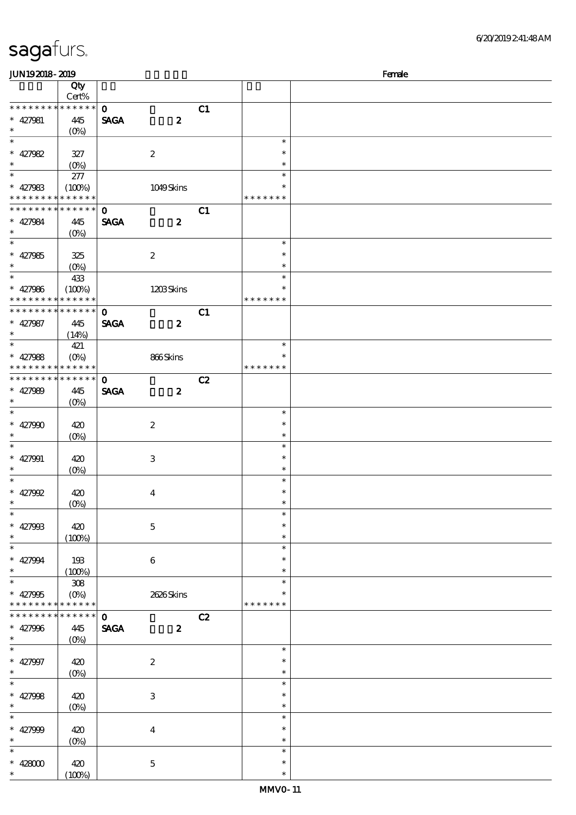| <b>JUN192018-2019</b>                                    |                   |              |                  |    |               | Female |
|----------------------------------------------------------|-------------------|--------------|------------------|----|---------------|--------|
|                                                          | Qty               |              |                  |    |               |        |
|                                                          | Cert%             |              |                  |    |               |        |
| * * * * * * * * * * * * * *                              |                   | $\mathbf{o}$ |                  | C1 |               |        |
| $* 427981$                                               | 445               | <b>SAGA</b>  | $\boldsymbol{z}$ |    |               |        |
| $\ast$                                                   | $(O\%)$           |              |                  |    |               |        |
| $\ast$                                                   |                   |              |                  |    | $\ast$        |        |
| $* 427982$                                               | 327               |              | $\boldsymbol{2}$ |    | $\ast$        |        |
| $\ast$<br>$\overline{\phantom{0}}$                       | $(O\%)$           |              |                  |    | $\ast$        |        |
|                                                          | 277               |              |                  |    | $\ast$        |        |
| $* 427983$                                               | (100%)            |              | 1049Skins        |    | $\ast$        |        |
| * * * * * * * *                                          | * * * * * *       |              |                  |    | * * * * * * * |        |
| * * * * * * * *                                          | $* * * * * * *$   | $\mathbf{o}$ |                  | C1 |               |        |
| $* 427984$<br>$\ast$                                     | 445               | <b>SAGA</b>  | $\boldsymbol{z}$ |    |               |        |
| $\ast$                                                   | $(O\!/\!o)$       |              |                  |    | $\ast$        |        |
|                                                          |                   |              |                  |    | $\ast$        |        |
| $* 427985$<br>$\ast$                                     | 325               |              | $\boldsymbol{2}$ |    | $\ast$        |        |
| $\ast$                                                   | $(0\%)$           |              |                  |    | $\ast$        |        |
| $* 427986$                                               | 433               |              |                  |    | $\ast$        |        |
| * * * * * * * *                                          | (100%)<br>******  |              | 1203Skins        |    | * * * * * * * |        |
| * * * * * * * *                                          | $* * * * * * *$   |              |                  |    |               |        |
|                                                          |                   | $\mathbf 0$  |                  | C1 |               |        |
| $* 427987$<br>$\ast$                                     | 445               | <b>SAGA</b>  | $\boldsymbol{z}$ |    |               |        |
| $\overline{\ast}$                                        | (14%)             |              |                  |    | $\ast$        |        |
|                                                          | 421               |              |                  |    | $\ast$        |        |
| $* 427988$<br>* * * * * * * * <mark>* * * * * * *</mark> | $(O\%)$           |              | 866Skins         |    | * * * * * * * |        |
| * * * * * * * * * * * * * *                              |                   | $\mathbf{o}$ |                  | C2 |               |        |
| * $427989$                                               |                   | <b>SAGA</b>  |                  |    |               |        |
| $\ast$                                                   | 445               |              | $\boldsymbol{z}$ |    |               |        |
| $\overline{\ast}$                                        | (O <sub>0</sub> ) |              |                  |    | $\ast$        |        |
| $* 427900$                                               | 420               |              | $\boldsymbol{2}$ |    | $\ast$        |        |
| $\ast$                                                   | $(0\%)$           |              |                  |    | $\ast$        |        |
| $\overline{\ast}$                                        |                   |              |                  |    | $\ast$        |        |
| $* 427991$                                               | 420               |              | $\,3\,$          |    | $\ast$        |        |
| $\ast$                                                   | $(0\%)$           |              |                  |    | $\ast$        |        |
| $\overline{\phantom{a}^*}$                               |                   |              |                  |    | $\ast$        |        |
| $* 427992$                                               | 420               |              | $\bf{4}$         |    | $\ast$        |        |
| $\ast$                                                   | $(0\%)$           |              |                  |    | $\ast$        |        |
| $\ast$                                                   |                   |              |                  |    | $\ast$        |        |
| $* 427998$                                               | 420               |              | $\mathbf 5$      |    | $\ast$        |        |
| $\ast$                                                   | (100%)            |              |                  |    | $\ast$        |        |
| $\ast$                                                   |                   |              |                  |    | $\ast$        |        |
| $* 427994$                                               | 193               |              | $\bf 6$          |    | $\ast$        |        |
| $\ast$                                                   | (100%)            |              |                  |    | $\ast$        |        |
| $\overline{\ast}$                                        | ${\bf 308}$       |              |                  |    | $\ast$        |        |
| $* 427995$                                               | $(O\%)$           |              | 2626Skins        |    | $\ast$        |        |
| * * * * * * * *                                          | * * * * * *       |              |                  |    | * * * * * * * |        |
| * * * * * * * *                                          | $******$          | $\mathbf{O}$ |                  | C2 |               |        |
| $* 427996$                                               | 445               | <b>SAGA</b>  | $\boldsymbol{z}$ |    |               |        |
| $\ast$                                                   | $(O\%)$           |              |                  |    |               |        |
| $\ast$                                                   |                   |              |                  |    | $\ast$        |        |
| $* 427997$                                               | 420               |              | $\boldsymbol{2}$ |    | $\ast$        |        |
| $\ast$                                                   | $(O\%)$           |              |                  |    | $\ast$        |        |
| $\ast$                                                   |                   |              |                  |    | $\ast$        |        |
| $* 427998$                                               | 420               |              | $\,3\,$          |    | $\ast$        |        |
| $\ast$                                                   | $(O\!/\!o)$       |              |                  |    | $\ast$        |        |
| $\overline{\ast}$                                        |                   |              |                  |    | $\ast$        |        |
| $* 427999$                                               | 420               |              | $\boldsymbol{4}$ |    | $\ast$        |        |
| $\ast$                                                   | $(0\%)$           |              |                  |    | $\ast$        |        |
| $\ast$                                                   |                   |              |                  |    | $\ast$        |        |
| $* 42800$                                                | 420               |              | $\mathbf 5$      |    | $\ast$        |        |
| $\ast$                                                   | (100%)            |              |                  |    | $\ast$        |        |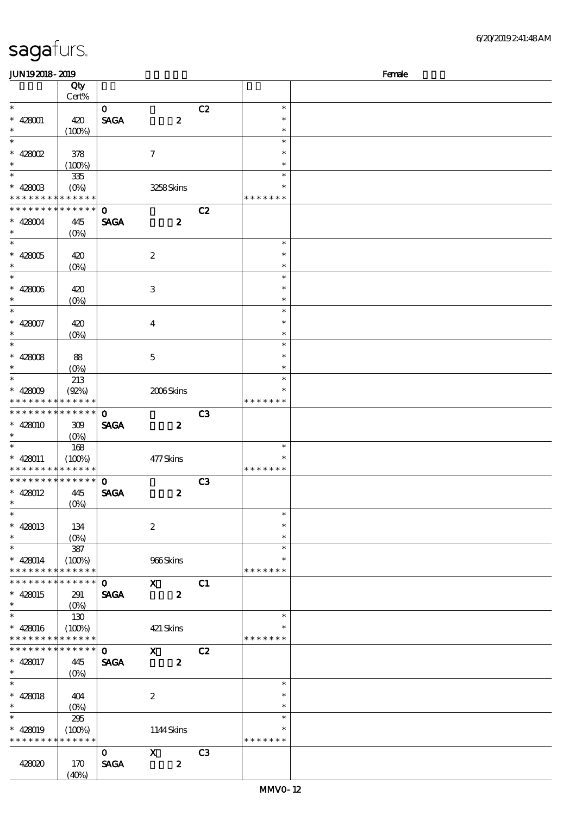$JUN192018-2019$  Female

|                                            | Qty                |              |                           |                |               |  |
|--------------------------------------------|--------------------|--------------|---------------------------|----------------|---------------|--|
|                                            | Cert%              |              |                           |                |               |  |
| $\ast$                                     |                    | $\mathbf{O}$ |                           | C2             | $\ast$        |  |
| $* 428001$                                 | 420                | <b>SAGA</b>  | $\boldsymbol{z}$          |                | $\ast$        |  |
| $\ast$<br>$\overline{\ast}$                | (100%)             |              |                           |                | $\ast$        |  |
|                                            |                    |              |                           |                | $\ast$        |  |
| $*$ 428002                                 | 378                |              | $\tau$                    |                | $\ast$        |  |
| $\ast$                                     | (100%)             |              |                           |                | $\ast$        |  |
| $\ast$                                     | $335\,$            |              |                           |                | $\ast$        |  |
| $\,^*$ 428003                              | $(O\%)$            |              | 3258Skins                 |                | $\ast$        |  |
| * * * * * * * * * * * * * *                |                    |              |                           |                | * * * * * * * |  |
| * * * * * * * * * * * * * *                |                    | $\mathbf{o}$ |                           | C2             |               |  |
| $* 428004$<br>$\ast$                       | 445                | <b>SAGA</b>  | $\boldsymbol{z}$          |                |               |  |
| $\overline{\phantom{0}}$                   | $(O\%)$            |              |                           |                | $\ast$        |  |
|                                            |                    |              |                           |                | $\ast$        |  |
| $^*$ 428005 $\,$<br>$\ast$                 | 420                |              | $\boldsymbol{2}$          |                | $\ast$        |  |
| $\overline{\ast}$                          | $(O\%)$            |              |                           |                | $\ast$        |  |
| $* 428006$                                 |                    |              | $\ensuremath{\mathbf{3}}$ |                | $\ast$        |  |
| $\ast$                                     | 420                |              |                           |                | $\ast$        |  |
| $\ast$                                     | $(O\!/\!o)$        |              |                           |                | $\ast$        |  |
| $* 428007$                                 | 420                |              | $\overline{4}$            |                | $\ast$        |  |
| $\ast$                                     | $(O\!/\!\!\delta)$ |              |                           |                | $\ast$        |  |
| $\overline{\ast}$                          |                    |              |                           |                | $\ast$        |  |
| $* 428008$                                 | 88                 |              | $\mathbf{5}$              |                | $\ast$        |  |
| $\ast$                                     | $(O\%)$            |              |                           |                | $\ast$        |  |
| $\ast$                                     | 213                |              |                           |                | $\ast$        |  |
| $* 428009$                                 | (Q2%)              |              | 2006Skins                 |                |               |  |
| * * * * * * * * * * * * * *                |                    |              |                           |                | * * * * * * * |  |
| * * * * * * * * * * * * * * *              |                    | $\mathbf 0$  |                           | C <sub>3</sub> |               |  |
| $* 428010$                                 | 309                | <b>SAGA</b>  | $\boldsymbol{z}$          |                |               |  |
| $\ast$                                     | $(O\%)$            |              |                           |                |               |  |
| $\ast$                                     | 168                |              |                           |                | $\ast$        |  |
| $* 428011$                                 | (100%)             |              | 477Skins                  |                | $\ast$        |  |
| * * * * * * * * <mark>* * * * * * *</mark> |                    |              |                           |                | * * * * * * * |  |
| * * * * * * * * * * * * * *                |                    | $\mathbf{o}$ |                           | C3             |               |  |
| $* 428012$                                 | 445                | <b>SAGA</b>  | $\boldsymbol{z}$          |                |               |  |
| $\ast$                                     | $(O_0)$            |              |                           |                |               |  |
| $\ast$                                     |                    |              |                           |                | $\ast$        |  |
| $* 428013$                                 | 134                |              | $\boldsymbol{2}$          |                | $\ast$        |  |
| $\ast$                                     | $(0\%)$            |              |                           |                | $\ast$        |  |
| $\ast$                                     | ${\bf 387}$        |              |                           |                | $\ast$        |  |
| $* 428014$                                 | (100%)             |              | 966Skins                  |                | $\ast$        |  |
| * * * * * * * *                            | * * * * * *        |              |                           |                | * * * * * * * |  |
| * * * * * * *                              | * * * * * *        | $\mathbf 0$  | $\mathbf{x}$              | C1             |               |  |
| $* 428015$<br>$\ast$                       | 291                | <b>SAGA</b>  | $\boldsymbol{z}$          |                |               |  |
| $\ast$                                     | $(O\% )$<br>130    |              |                           |                | $\ast$        |  |
| $* 428016$                                 | (100%)             |              | $421$ Skins               |                | $\ast$        |  |
| * * * * * * * *                            | * * * * * *        |              |                           |                | * * * * * * * |  |
| * * * * * * *                              | * * * * * *        | $\mathbf{o}$ | $\mathbf{x}$              | C2             |               |  |
| $* 428017$                                 | 445                | <b>SAGA</b>  | $\pmb{2}$                 |                |               |  |
| $\ast$                                     | $(O_0)$            |              |                           |                |               |  |
| $\overline{\ast}$                          |                    |              |                           |                | $\ast$        |  |
| $* 428018$                                 | 404                |              | $\boldsymbol{2}$          |                | $\ast$        |  |
| $\ast$                                     | $(O\%)$            |              |                           |                | $\ast$        |  |
| $\ast$                                     | 295                |              |                           |                | $\ast$        |  |
| $* 428019$                                 | (100%)             |              | 1144Skins                 |                | $\ast$        |  |
| * * * * * * * *                            | * * * * * *        |              |                           |                | * * * * * * * |  |
|                                            |                    | $\mathbf{O}$ | $\boldsymbol{\mathrm{X}}$ | C <sub>3</sub> |               |  |
| 428020                                     | 170                | <b>SAGA</b>  | $\boldsymbol{z}$          |                |               |  |
|                                            | (40%)              |              |                           |                |               |  |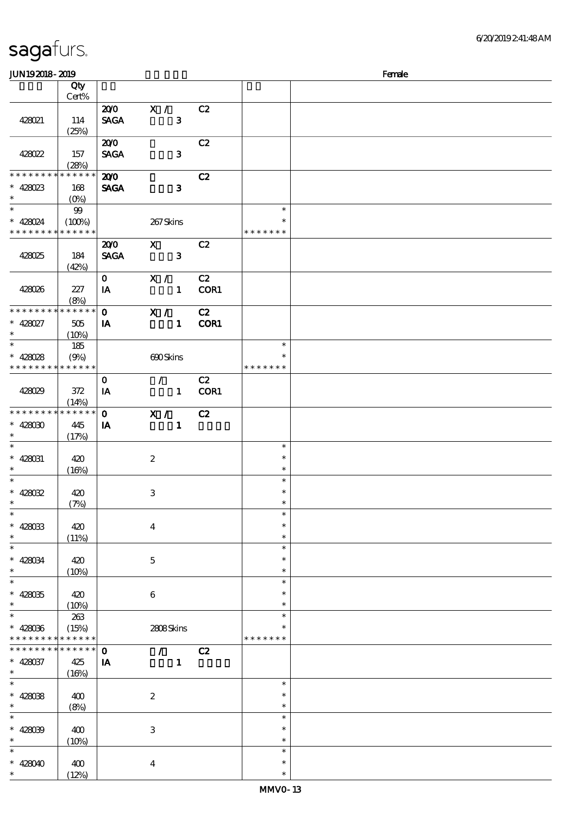| <b>JUN192018-2019</b>       |                      |              |                             |      |               | Female |
|-----------------------------|----------------------|--------------|-----------------------------|------|---------------|--------|
|                             | Qty                  |              |                             |      |               |        |
|                             | Cert%                |              |                             |      |               |        |
|                             |                      | 200          | X /                         | C2   |               |        |
| 428021                      | 114                  | <b>SAGA</b>  | $\mathbf{3}$                |      |               |        |
|                             | (25%)                |              |                             |      |               |        |
|                             |                      | 200          |                             | C2   |               |        |
| 428022                      | 157                  | <b>SAGA</b>  | $\mathbf{3}$                |      |               |        |
|                             |                      |              |                             |      |               |        |
| * * * * * * * *             | (28%)<br>* * * * * * |              |                             |      |               |        |
|                             |                      | 200          |                             | C2   |               |        |
| $* 428023$                  | 168                  | <b>SAGA</b>  | $\mathbf{3}$                |      |               |        |
| $\ast$                      | $(0\%)$              |              |                             |      |               |        |
| $\ast$                      | $99$                 |              |                             |      | $\ast$        |        |
| $* 428024$                  | (100%)               |              | 267Skins                    |      | $\ast$        |        |
| * * * * * * * * * * * * * * |                      |              |                             |      | * * * * * * * |        |
|                             |                      | 200          | $\mathbf X$                 | C2   |               |        |
| 428025                      | 184                  | <b>SAGA</b>  | $\overline{\mathbf{3}}$     |      |               |        |
|                             | (42%)                |              |                             |      |               |        |
|                             |                      | $\mathbf{O}$ | $\mathbf{X}$ /              | C2   |               |        |
| 428026                      | 227                  | IA           | $\mathbf{1}$                | COR1 |               |        |
|                             | (8%)                 |              |                             |      |               |        |
| * * * * * * * *             | * * * * * *          | $\mathbf{O}$ | $\mathbf{x}$ /              | C2   |               |        |
|                             |                      |              |                             |      |               |        |
| $* 428027$<br>$\ast$        | 505                  | IA           | $\mathbf{1}$                | COR1 |               |        |
| $\overline{\ast}$           | (10%)                |              |                             |      |               |        |
|                             | 185                  |              |                             |      | $\ast$        |        |
| $* 428028$                  | (9%)                 |              | 690Skins                    |      | $\ast$        |        |
| * * * * * * * *             | * * * * * *          |              |                             |      | * * * * * * * |        |
|                             |                      | $\mathbf{o}$ | $\mathcal{L}$               | C2   |               |        |
| 428029                      | 372                  | IA           | $\mathbf{1}$                | COR1 |               |        |
|                             | (14%)                |              |                             |      |               |        |
| * * * * * * * *             | * * * * * *          | $\mathbf{o}$ | X /                         | C2   |               |        |
| $* 428030$                  | 445                  | IA           | $\mathbf{1}$                |      |               |        |
| $\ast$                      | (17%)                |              |                             |      |               |        |
| $\ast$                      |                      |              |                             |      | $\ast$        |        |
| $* 428031$                  | 420                  |              | $\boldsymbol{2}$            |      | $\ast$        |        |
| $\ast$                      | (16%)                |              |                             |      | $\ast$        |        |
| $\ast$                      |                      |              |                             |      | $\ast$        |        |
|                             |                      |              |                             |      | $\ast$        |        |
| $* 428032$<br>$*$           | 420                  |              | $\ensuremath{\mathbf{3}}$   |      |               |        |
|                             | (7%)                 |              |                             |      | $\ast$        |        |
| $\ast$                      |                      |              |                             |      | $\ast$        |        |
| $* 428033$                  | 420                  |              | $\boldsymbol{4}$            |      | $\ast$        |        |
| $\ast$                      | (11%)                |              |                             |      | $\ast$        |        |
| $\ast$                      |                      |              |                             |      | $\ast$        |        |
| $* 428034$                  | 420                  |              | $\mathbf{5}$                |      | $\ast$        |        |
| $\ast$                      | $(10\%)$             |              |                             |      | $\ast$        |        |
| $\ast$                      |                      |              |                             |      | $\ast$        |        |
| $* 428035$                  | 420                  |              | 6                           |      | $\ast$        |        |
| $\ast$                      | $(10\%)$             |              |                             |      | $\ast$        |        |
| $\ast$                      | 263                  |              |                             |      | $\ast$        |        |
| $* 428036$                  | (15%)                |              | 2808Skins                   |      | *             |        |
| * * * * * * * * * * * * * * |                      |              |                             |      | * * * * * * * |        |
| * * * * * * *               | * * * * * *          | $\mathbf{o}$ | $\mathcal{L} = \mathcal{L}$ | C2   |               |        |
|                             |                      |              |                             |      |               |        |
| $* 428037$<br>$*$           | 425                  | IA           | $\mathbf{1}$                |      |               |        |
| $\ast$                      | (16%)                |              |                             |      |               |        |
|                             |                      |              |                             |      | $\ast$        |        |
| $* 428038$                  | 400                  |              | $\boldsymbol{2}$            |      | $\ast$        |        |
| $\ast$                      | (8%)                 |              |                             |      | $\ast$        |        |
| $\ast$                      |                      |              |                             |      | $\ast$        |        |
| $* 428039$                  | 400                  |              | $\ensuremath{\mathbf{3}}$   |      | $\ast$        |        |
| $\ast$                      | (10%)                |              |                             |      | $\ast$        |        |
| $\ast$                      |                      |              |                             |      | $\ast$        |        |
| $* 428040$                  | 400                  |              | $\boldsymbol{4}$            |      | $\ast$        |        |
| $\ast$                      | (12%)                |              |                             |      | $\ast$        |        |
|                             |                      |              |                             |      |               |        |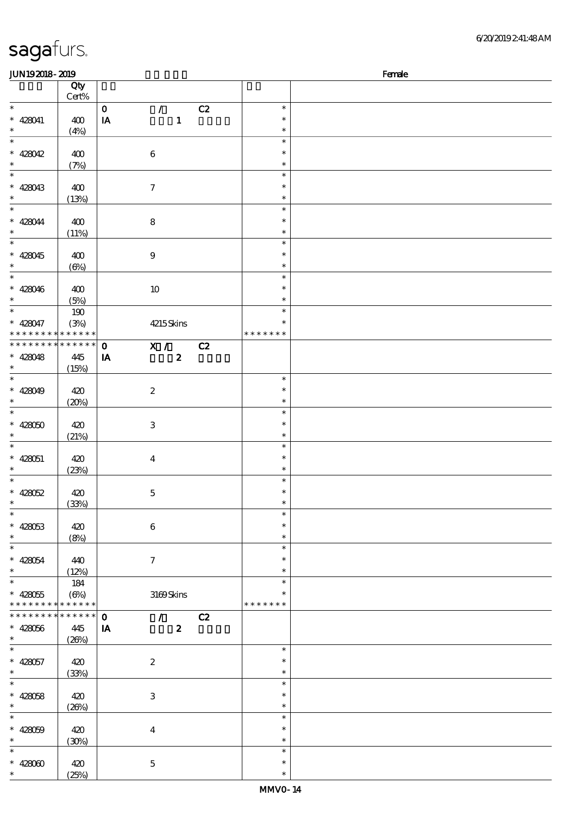| 6/20/2019241:48AM |  |
|-------------------|--|
|-------------------|--|

| <b>JUN192018-2019</b>                      |                 |                         |                                 |    |               | Female |
|--------------------------------------------|-----------------|-------------------------|---------------------------------|----|---------------|--------|
|                                            | Qty             |                         |                                 |    |               |        |
|                                            | Cert%           |                         |                                 |    |               |        |
| $\ast$                                     |                 | $\mathbf O$             | $\mathcal{L}$                   | C2 | $\ast$        |        |
| $* 428041$                                 | 400             | $\mathbf{I} \mathbf{A}$ | $\mathbf{1}$                    |    | $\ast$        |        |
| $\ast$                                     | (4%)            |                         |                                 |    | $\ast$        |        |
| $\ast$                                     |                 |                         |                                 |    | $\ast$        |        |
|                                            |                 |                         |                                 |    | $\ast$        |        |
| $* 428042$                                 | 400             |                         | $\bf 6$                         |    |               |        |
| $\ast$                                     | (7%)            |                         |                                 |    | $\ast$        |        |
| $\overline{\phantom{a}^*}$                 |                 |                         |                                 |    | $\ast$        |        |
| $* 428043$                                 | 400             |                         | $\boldsymbol{7}$                |    | $\ast$        |        |
| $\ast$                                     | (13%)           |                         |                                 |    | $\ast$        |        |
| $_{*}$                                     |                 |                         |                                 |    | $\ast$        |        |
| $* 428044$                                 | 400             |                         | 8                               |    | $\ast$        |        |
| $\ast$                                     | (11%)           |                         |                                 |    | $\ast$        |        |
| $_{*}^{-}$                                 |                 |                         |                                 |    | $\ast$        |        |
| $* 428045$                                 | 400             |                         | $\boldsymbol{9}$                |    | $\ast$        |        |
| $\ast$                                     |                 |                         |                                 |    | $\ast$        |        |
| $\overline{\phantom{0}}$                   | $(\Theta)$      |                         |                                 |    |               |        |
|                                            |                 |                         |                                 |    | $\ast$        |        |
| $* 428046$                                 | 400             |                         | $10\,$                          |    | $\ast$        |        |
| $\ast$                                     | (5%)            |                         |                                 |    | $\ast$        |        |
| $\ast$                                     | 190             |                         |                                 |    | $\ast$        |        |
| $* 428047$                                 | (3%)            |                         | 4215Skins                       |    | $\ast$        |        |
| * * * * * * * * <mark>* * * * * * *</mark> |                 |                         |                                 |    | * * * * * * * |        |
| * * * * * * * * * * * * * *                |                 | $\mathbf{o}$            | $\overline{\mathbf{x}}$ /       | C2 |               |        |
| $* 428048$                                 | 445             | IA                      | $\boldsymbol{z}$                |    |               |        |
| $\ast$                                     | (15%)           |                         |                                 |    |               |        |
| $\overline{\phantom{a}^*}$                 |                 |                         |                                 |    | $\ast$        |        |
|                                            |                 |                         |                                 |    | $\ast$        |        |
| $* 428049$<br>$\ast$                       | 420             |                         | $\boldsymbol{2}$                |    | $\ast$        |        |
|                                            | (20%)           |                         |                                 |    |               |        |
| $\ast$                                     |                 |                         |                                 |    | $\ast$        |        |
| * $428050$                                 | 420             |                         | $\,3$                           |    | $\ast$        |        |
| $\ast$                                     | (21%)           |                         |                                 |    | $\ast$        |        |
| $\ast$                                     |                 |                         |                                 |    | $\ast$        |        |
| $* 428051$                                 | 420             |                         | $\bf{4}$                        |    | $\ast$        |        |
| $\ast$                                     | (23%)           |                         |                                 |    | $\ast$        |        |
| $\ast$                                     |                 |                         |                                 |    | $\ast$        |        |
| $* 428052$                                 | 420             |                         | $\mathbf 5$                     |    | $\ast$        |        |
| $*$                                        | (33%)           |                         |                                 |    | $\ast$        |        |
| $\ast$                                     |                 |                         |                                 |    | $\ast$        |        |
| $* 428053$                                 | 420             |                         | $\bf 6$                         |    | $\ast$        |        |
| $\ast$                                     |                 |                         |                                 |    | $\ast$        |        |
| $\overline{\phantom{0}}$                   | (8%)            |                         |                                 |    | $\ast$        |        |
|                                            |                 |                         |                                 |    |               |        |
| $* 428054$                                 | 440             |                         | $\tau$                          |    | $\ast$        |        |
| $\ast$                                     | (12%)           |                         |                                 |    | $\ast$        |        |
| $\overline{\ast}$                          | 184             |                         |                                 |    | $\ast$        |        |
| $* 428055$                                 | $(\Theta_0)$    |                         | $3169$ Skins                    |    |               |        |
| * * * * * * * * * * * * * *                |                 |                         |                                 |    | * * * * * * * |        |
| * * * * * * * *                            | $* * * * * * *$ | $\mathbf 0$             | $\mathcal{L}$ and $\mathcal{L}$ | C2 |               |        |
| $* 428056$                                 | 445             | IA                      | $\boldsymbol{z}$                |    |               |        |
| $\ast$                                     | (20%)           |                         |                                 |    |               |        |
| $\overline{\phantom{0}}$                   |                 |                         |                                 |    | $\ast$        |        |
| $* 428057$                                 | 420             |                         | $\boldsymbol{2}$                |    | $\ast$        |        |
| $\ast$                                     |                 |                         |                                 |    | $\ast$        |        |
| $\overline{\phantom{a}}$                   | (33%)           |                         |                                 |    | $\ast$        |        |
|                                            |                 |                         |                                 |    |               |        |
| $* 428058$                                 | 420             |                         | $\,3$                           |    | $\ast$        |        |
| $\ast$                                     | (20%)           |                         |                                 |    | $\ast$        |        |
| $\ast$                                     |                 |                         |                                 |    | $\ast$        |        |
| $* 428059$                                 | 420             |                         | $\bf{4}$                        |    | $\ast$        |        |
| $\ast$                                     | (30%)           |                         |                                 |    | $\ast$        |        |
| $\overline{\phantom{a}}$                   |                 |                         |                                 |    | $\ast$        |        |
| $* 428000$                                 | 420             |                         | $\mathbf 5$                     |    | $\ast$        |        |
| $\ast$                                     | (25%)           |                         |                                 |    | $\ast$        |        |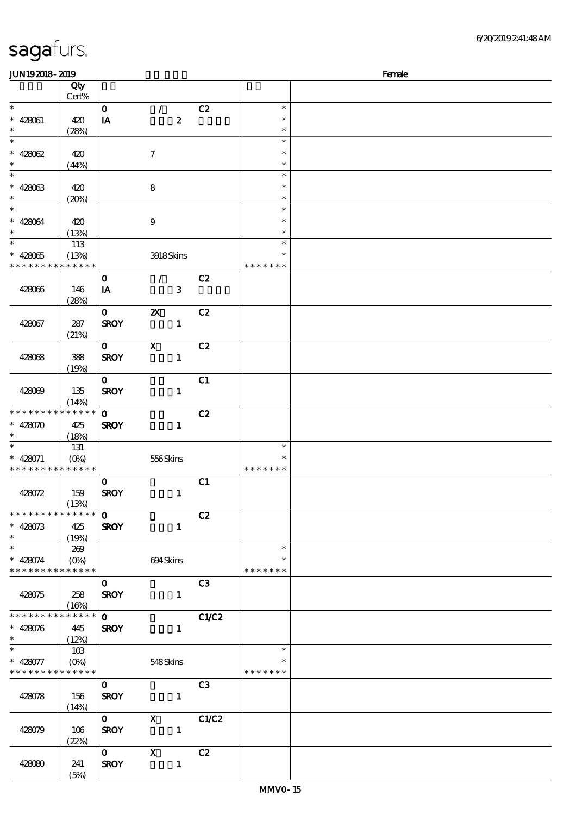$(5%)$ 

| JUN192018-2019                                                        |                               |                             |                                                |                |                                   | Female |
|-----------------------------------------------------------------------|-------------------------------|-----------------------------|------------------------------------------------|----------------|-----------------------------------|--------|
|                                                                       | Qty<br>Cert%                  |                             |                                                |                |                                   |        |
| $\ast$<br>$* 428061$                                                  | 420                           | $\mathbf{o}$<br>IA          | $\mathcal{L}_{\mathbb{R}}$<br>$\boldsymbol{z}$ | C2             | $\ast$<br>$\ast$                  |        |
| $\ast$<br>$\ast$                                                      | (28%)                         |                             |                                                |                | $\ast$<br>$\ast$                  |        |
| $* 42802$<br>$\ast$                                                   | 420<br>(44%)                  |                             | $\boldsymbol{7}$                               |                | $\ast$<br>$\ast$                  |        |
| $\ast$<br>$* 428033$<br>$\ast$                                        | 420<br>(20%)                  |                             | $\bf 8$                                        |                | $\ast$<br>$\ast$<br>$\ast$        |        |
| $\ast$<br>$* 428064$<br>$\ast$                                        | 420<br>(13%)                  |                             | $\boldsymbol{9}$                               |                | $\ast$<br>$\ast$<br>$\ast$        |        |
| $\ast$<br>$* 428065$<br>* * * * * * * *                               | 113<br>(13%)<br>* * * * * *   |                             | 3918Skins                                      |                | $\ast$<br>$\ast$<br>* * * * * * * |        |
| 428066                                                                | 146<br>(28%)                  | $\mathbf 0$<br>IA           | $\mathcal{L}$<br>$\mathbf{3}$                  | C2             |                                   |        |
| 428067                                                                | 287<br>(21%)                  | $\mathbf{O}$<br><b>SROY</b> | $\boldsymbol{\mathsf{z}}$<br>$\mathbf{1}$      | C2             |                                   |        |
| 428068                                                                | 388<br>(19%)                  | $\mathbf{O}$<br><b>SROY</b> | $\boldsymbol{\mathrm{X}}$<br>$\mathbf{1}$      | C2             |                                   |        |
| 428069                                                                | 135<br>(14%)                  | $\mathbf{O}$<br><b>SROY</b> | $\mathbf{1}$                                   | C1             |                                   |        |
| * * * * * * * *<br>$* 428070$<br>$\ast$                               | * * * * * *<br>425<br>(18%)   | $\mathbf{o}$<br><b>SROY</b> | $\mathbf{1}$                                   | C2             |                                   |        |
| $\ast$<br>$* 428071$<br>* * * * * * * *                               | 131<br>$(O\%)$<br>* * * * * * |                             | 556Skins                                       |                | $\ast$<br>$\ast$<br>* * * * * * * |        |
| 428072                                                                | 159<br>(13%)                  | $\mathbf{O}$<br><b>SROY</b> | $\mathbf{1}$                                   | C1             |                                   |        |
| * * * * * * * *<br>$* 428073$<br>$\ast$                               | * * * * * *<br>425<br>(19%)   | $\mathbf 0$<br><b>SROY</b>  | $\mathbf{1}$                                   | C2             |                                   |        |
| $\overline{\phantom{0}}$<br>$* 428074$<br>* * * * * * * * * * * * * * | 269<br>$(O\%)$                |                             | 694Skins                                       |                | $\ast$<br>$\ast$<br>* * * * * * * |        |
| 428075                                                                | 258<br>(16%)                  | $\mathbf{O}$<br><b>SROY</b> | $\mathbf{1}$                                   | C <sub>3</sub> |                                   |        |
| * * * * * * * *<br>$* 428076$<br>$\ast$<br>$\ast$                     | * * * * * *<br>445<br>(12%)   | $\mathbf{O}$<br><b>SROY</b> | $\mathbf{1}$                                   | C1/C2          |                                   |        |
| $* 428077$<br>* * * * * * * *                                         | 10B<br>$(O\%)$<br>* * * * * * |                             | 548Skins                                       |                | $\ast$<br>∗<br>* * * * * * *      |        |
| 428078                                                                | 156<br>(14%)                  | $\mathbf{O}$<br><b>SROY</b> | $\mathbf{1}$                                   | C <sub>3</sub> |                                   |        |
| 428079                                                                | 106<br>(22%)                  | $\mathbf{O}$<br><b>SROY</b> | $\mathbf{x}$<br>$\mathbf{1}$                   | C1/C2          |                                   |        |
| 428080                                                                | 241                           | $\mathbf{O}$<br><b>SROY</b> | $\mathbf{x}$<br>$\mathbf{1}$                   | C2             |                                   |        |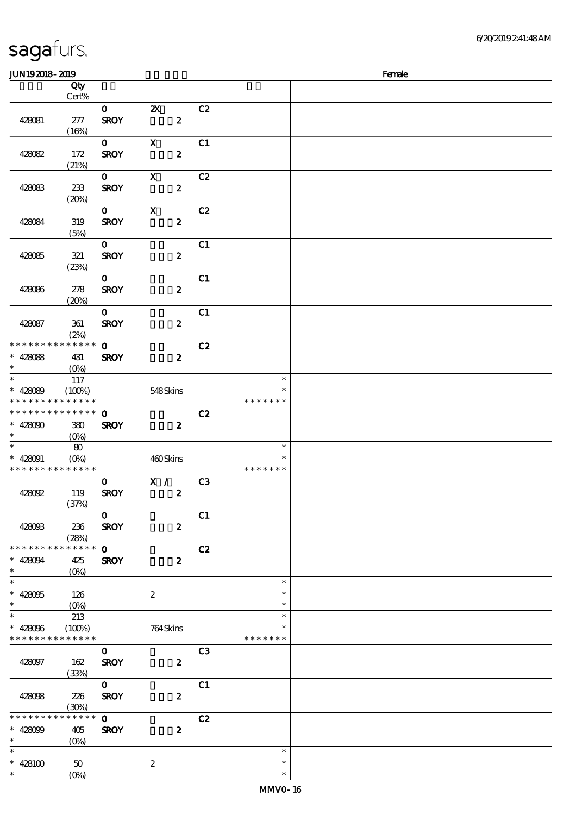| JUN192018-2019                             |                                 |              |                           |                |                  | Female |
|--------------------------------------------|---------------------------------|--------------|---------------------------|----------------|------------------|--------|
|                                            | Qty                             |              |                           |                |                  |        |
|                                            | Cert%                           |              |                           |                |                  |        |
|                                            |                                 | $\mathbf{O}$ | $\boldsymbol{\mathsf{Z}}$ | C2             |                  |        |
| 428081                                     | 277                             | <b>SROY</b>  | $\pmb{2}$                 |                |                  |        |
|                                            | (16%)                           |              |                           |                |                  |        |
|                                            |                                 | $\mathbf{O}$ | $\mathbf x$               | C1             |                  |        |
| 428082                                     | 172                             | <b>SROY</b>  | $\boldsymbol{2}$          |                |                  |        |
|                                            | (21%)                           |              |                           |                |                  |        |
|                                            |                                 | $\mathbf{O}$ | $\boldsymbol{\mathrm{X}}$ | C2             |                  |        |
| 428083                                     | 233                             | <b>SROY</b>  | $\boldsymbol{z}$          |                |                  |        |
|                                            |                                 |              |                           |                |                  |        |
|                                            | (20%)                           |              |                           |                |                  |        |
|                                            |                                 | $\mathbf{O}$ | $\boldsymbol{\mathrm{X}}$ | C2             |                  |        |
| 428084                                     | 319                             | <b>SROY</b>  | $\boldsymbol{z}$          |                |                  |        |
|                                            | (5%)                            |              |                           |                |                  |        |
|                                            |                                 | $\mathbf{O}$ |                           | C1             |                  |        |
| 428085                                     | 321                             | <b>SROY</b>  | $\boldsymbol{2}$          |                |                  |        |
|                                            | (23%)                           |              |                           |                |                  |        |
|                                            |                                 | $\mathbf{O}$ |                           | C1             |                  |        |
| 428086                                     | 278                             | <b>SROY</b>  | $\pmb{2}$                 |                |                  |        |
|                                            | (20%)                           |              |                           |                |                  |        |
|                                            |                                 | $\mathbf{O}$ |                           | C1             |                  |        |
| 428087                                     | 361                             | <b>SROY</b>  | $\boldsymbol{z}$          |                |                  |        |
|                                            | (2%)                            |              |                           |                |                  |        |
| * * * * * * * *                            | * * * * * *                     | $\mathbf 0$  |                           | C2             |                  |        |
| $* 428088$                                 | 431                             | <b>SROY</b>  | $\boldsymbol{z}$          |                |                  |        |
| $\ast$                                     | (O <sub>0</sub> )               |              |                           |                |                  |        |
| $\overline{\phantom{0}}$                   | 117                             |              |                           |                | $\ast$           |        |
| $* 428089$                                 | (100%)                          |              | 548Skins                  |                | *                |        |
| * * * * * * * *                            | $* * * * * * *$                 |              |                           |                | * * * * * * *    |        |
| * * * * * * * * <mark>* * * * * * *</mark> |                                 | $\mathbf 0$  |                           | C2             |                  |        |
| $* 428000$                                 | 380                             | <b>SROY</b>  | $\boldsymbol{z}$          |                |                  |        |
| $\ast$                                     | $(0\%)$                         |              |                           |                |                  |        |
| $\ast$                                     | 80                              |              |                           |                | $\ast$           |        |
| $* 428091$                                 | $(0\%)$                         |              | 460Skins                  |                | $\ast$           |        |
| * * * * * * * * <mark>* * * * * * *</mark> |                                 |              |                           |                | * * * * * * *    |        |
|                                            |                                 | $\mathbf{O}$ | $X / \sqrt{2}$            | C <sub>3</sub> |                  |        |
| 428092                                     | 119                             | <b>SROY</b>  | $\pmb{2}$                 |                |                  |        |
|                                            | (37%)                           |              |                           |                |                  |        |
|                                            |                                 | $\mathbf{O}$ |                           | C1             |                  |        |
|                                            |                                 |              |                           |                |                  |        |
| 428093                                     | 236                             | <b>SROY</b>  | $\boldsymbol{z}$          |                |                  |        |
| * * * * * * * *                            | (28%)<br>* * * * * *            |              |                           |                |                  |        |
|                                            |                                 | $\mathbf{O}$ |                           | C2             |                  |        |
| $* 428094$                                 | 425                             | <b>SROY</b>  | $\boldsymbol{z}$          |                |                  |        |
| $\ast$<br>$\overline{\phantom{0}}$         | $(O\!/\!\!\delta)$              |              |                           |                |                  |        |
|                                            |                                 |              |                           |                | $\ast$<br>$\ast$ |        |
| $* 428005$                                 | 126                             |              | $\boldsymbol{2}$          |                |                  |        |
| $\ast$                                     | $(O\!\!\!\!\!\!\backslash\rho)$ |              |                           |                | $\ast$           |        |
|                                            | 213                             |              |                           |                | $\ast$           |        |
| $* 428096$                                 | (100%)                          |              | 764Skins                  |                |                  |        |
| * * * * * * * *                            | * * * * * *                     |              |                           |                | * * * * * * *    |        |
|                                            |                                 | $\mathbf{O}$ |                           | C <sub>3</sub> |                  |        |
| 428097                                     | 162                             | <b>SROY</b>  | $\boldsymbol{z}$          |                |                  |        |
|                                            | (33%)                           |              |                           |                |                  |        |
|                                            |                                 | $\mathbf{0}$ |                           | C1             |                  |        |
| 428098                                     | 226                             | <b>SROY</b>  | $\boldsymbol{z}$          |                |                  |        |
|                                            | (30%)                           |              |                           |                |                  |        |
| * * * * * * * *                            | * * * * * *                     | $\mathbf{O}$ |                           | C2             |                  |        |
| $* 428099$                                 | 405                             | <b>SROY</b>  | $\boldsymbol{2}$          |                |                  |        |
| $\ast$                                     | $(O\%)$                         |              |                           |                |                  |        |
| $\ast$                                     |                                 |              |                           |                | $\ast$           |        |
| $* 428100$                                 | 50                              |              | $\boldsymbol{2}$          |                | $\ast$           |        |
| $\ast$                                     | $(0\%)$                         |              |                           |                | $\ast$           |        |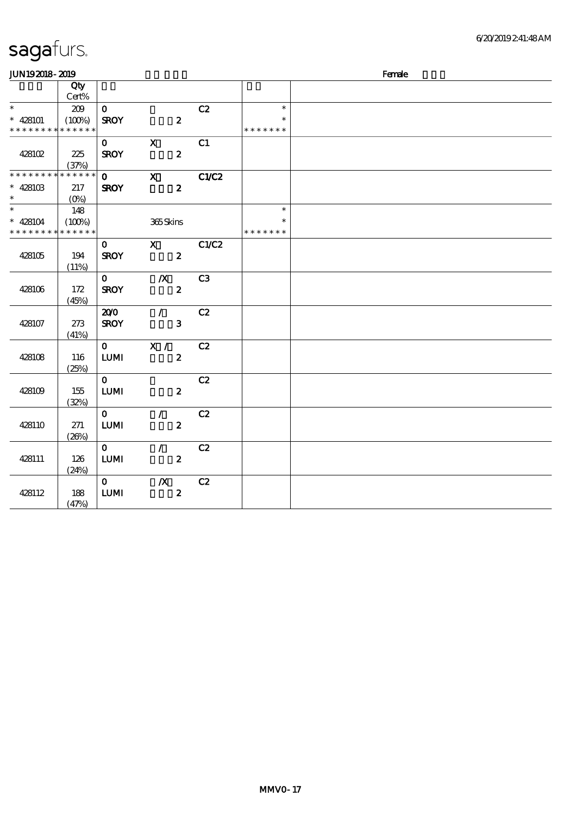| <b>JUN192018-2019</b>       |              |                |                  |                |               | Female |
|-----------------------------|--------------|----------------|------------------|----------------|---------------|--------|
|                             | Qty<br>Cert% |                |                  |                |               |        |
| $\ast$                      | 209          | $\mathbf{O}$   |                  | C2             | $\ast$        |        |
| $* 428101$                  | (100%)       | <b>SROY</b>    | $\boldsymbol{z}$ |                | $\ast$        |        |
| * * * * * * * * * * * * * * |              |                |                  |                | * * * * * * * |        |
|                             |              | $\mathbf{o}$   | $\mathbf X$      | C1             |               |        |
| 428102                      | 225          | <b>SROY</b>    | $\boldsymbol{z}$ |                |               |        |
|                             | (37%)        |                |                  |                |               |        |
| * * * * * * * *             | ******       | $\mathbf{O}$   | $\mathbf{x}$     | C1/C2          |               |        |
| $* 428103$                  | 217          | <b>SROY</b>    | $\boldsymbol{z}$ |                |               |        |
| $\ast$                      | $(O\%)$      |                |                  |                |               |        |
| $\overline{\ast}$           | 148          |                |                  |                | $\ast$        |        |
| $* 428104$                  | (100%)       |                | 365Skins         |                | $\ast$        |        |
| * * * * * * * *             | * * * * * *  |                |                  |                | * * * * * * * |        |
|                             |              | $\mathbf{O}$   | $\mathbf X$      | C1/C2          |               |        |
| 428105                      | 194          | <b>SROY</b>    | $\boldsymbol{z}$ |                |               |        |
|                             | (11%)        |                |                  |                |               |        |
|                             |              | $\mathbf{O}$   | $\boldsymbol{X}$ | C <sub>3</sub> |               |        |
| 428106                      | 172          | <b>SROY</b>    | $\boldsymbol{z}$ |                |               |        |
|                             | (45%)        |                |                  |                |               |        |
|                             |              | 200            | $\mathcal{L}$    | C2             |               |        |
| 428107                      | 273          | <b>SROY</b>    | 3                |                |               |        |
|                             | (41%)        |                |                  |                |               |        |
|                             |              | $\mathbf{O}$   | X /              | C2             |               |        |
| 428108                      | 116          | $\textbf{LUM}$ | $\boldsymbol{z}$ |                |               |        |
|                             | (25%)        |                |                  |                |               |        |
|                             |              | $\mathbf{O}$   |                  | C2             |               |        |
| 428109                      | 155          | ${\bf LUM}$    | $\boldsymbol{z}$ |                |               |        |
|                             | (32%)        |                |                  |                |               |        |
|                             |              | $\mathbf{o}$   | $\mathcal{L}$    | C2             |               |        |
| 428110                      | 271          | <b>LUMI</b>    | $\boldsymbol{z}$ |                |               |        |
|                             | (20%)        |                |                  |                |               |        |
|                             |              | $\mathbf{O}$   | $\mathcal{L}$    | C2             |               |        |
| 428111                      | 126          | $\textbf{LUM}$ | $\boldsymbol{z}$ |                |               |        |
|                             | (24%)        |                |                  |                |               |        |
|                             |              | $\mathbf{O}$   | $\boldsymbol{X}$ | C2             |               |        |
| 428112                      | 188          | ${\bf LUM}$    | $\boldsymbol{z}$ |                |               |        |
|                             | (47%)        |                |                  |                |               |        |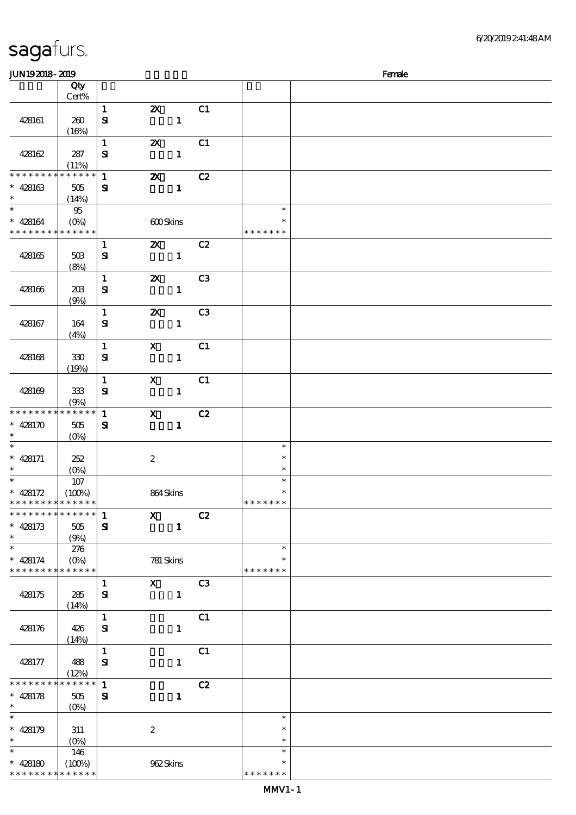| <b>JUN192018-2019</b>                                            |                                          |                              |                           |              |                |                                   | Female |
|------------------------------------------------------------------|------------------------------------------|------------------------------|---------------------------|--------------|----------------|-----------------------------------|--------|
|                                                                  | Qty<br>Cert%                             |                              |                           |              |                |                                   |        |
| 428161                                                           | 260<br>(16%)                             | $\mathbf{1}$<br>$\mathbf{S}$ | $\boldsymbol{\mathsf{z}}$ | $\mathbf{1}$ | C1             |                                   |        |
| 428162                                                           | 287<br>(11%)                             | $\mathbf 1$<br>${\bf s}$     | $\boldsymbol{\mathsf{z}}$ | $\mathbf{1}$ | C1             |                                   |        |
| * * * * *<br>428163<br>$\ast$<br>$\ast$                          | * * * * * *<br>$505\,$<br>(14%)          | $\mathbf{1}$<br>${\bf s}$    | $\boldsymbol{\mathsf{z}}$ | $\mathbf{1}$ | C2             |                                   |        |
| $\ast$<br>$* 428164$<br>* * * * * * * * <mark>* * * * * *</mark> | 95<br>$(O_0)$                            |                              | 600Skins                  |              |                | $\ast$<br>$\ast$<br>* * * * * * * |        |
| 428165                                                           | 50B<br>(8%)                              | $\mathbf{1}$<br>${\bf s}$    | $\boldsymbol{\mathsf{z}}$ | $\mathbf{1}$ | C2             |                                   |        |
| 428166                                                           | 20B<br>(9%)                              | $\mathbf{1}$<br>${\bf s}$    | $\pmb{\mathsf{z}}$        | $\mathbf{1}$ | C3             |                                   |        |
| 428167                                                           | 164<br>(4%)                              | $\mathbf{1}$<br>${\bf s}$    | $\boldsymbol{\mathsf{z}}$ | $\mathbf{1}$ | C <sub>3</sub> |                                   |        |
| 428168                                                           | 330<br>(19%)                             | $\mathbf 1$<br>${\bf s}$     | $\boldsymbol{\mathrm{X}}$ | $\mathbf{1}$ | C1             |                                   |        |
| 428169                                                           | 333<br>(9%)                              | $\mathbf{1}$<br>${\bf s}$    | $\mathbf X$               | $\mathbf{1}$ | C1             |                                   |        |
| * * * * * * * *<br>* $428170$<br>$\ast$                          | * * * * * *<br>$505$<br>$(0\%)$          | $\mathbf{1}$<br>${\bf s}$    | $\mathbf X$               | $\mathbf{1}$ | C2             |                                   |        |
| $\ast$<br>$* 428171$<br>$\ast$                                   | 252<br>(O <sub>0</sub> )                 |                              | $\boldsymbol{2}$          |              |                | $\ast$<br>$\ast$<br>$\ast$        |        |
| $\ast$<br>$* 428172$<br>* * * * * * * * * * * * * *              | $107$<br>(100%)                          |                              | 864Skins                  |              |                | $\ast$<br>$\ast$<br>* * * * * * * |        |
| **************<br>$* 428173$<br>$\ast$                           | 505<br>(9%)                              | $\mathbf{1}$<br>${\bf S}$    | $\mathbf X$               | $\mathbf{1}$ | C2             |                                   |        |
| $\ast$<br>$* 428174$<br>* * * * * * * * * * * * * *              | 276<br>$(O\%)$                           |                              | 781 Skins                 |              |                | $\ast$<br>$\ast$<br>* * * * * * * |        |
| 428175                                                           | 285<br>(14%)                             | $\mathbf{1}$<br>$\mathbf{S}$ | $\mathbf X$               | $\mathbf{1}$ | C <sub>3</sub> |                                   |        |
| 428176                                                           | 426<br>(14%)                             | $\mathbf 1$<br>${\bf S}$     |                           | $\mathbf{1}$ | C1             |                                   |        |
| 428177                                                           | 488<br>(12%)                             | $\mathbf 1$<br>${\bf s}$     |                           | $\mathbf{1}$ | C1             |                                   |        |
| * * * * * * * *<br>$* 428178$<br>$\ast$                          | * * * * * *<br>505<br>$(O\!/\!\!\delta)$ | $\mathbf{1}$<br>${\bf s}$    |                           | $\mathbf{1}$ | C2             |                                   |        |
| $\overline{\phantom{0}}$<br>* $428179$<br>$\ast$                 | 311<br>$(0\%)$                           |                              | $\boldsymbol{2}$          |              |                | $\ast$<br>$\ast$<br>$\ast$        |        |
| $\ast$<br>$* 428180$<br>* * * * * * * * <mark>* * * * * *</mark> | 146<br>(100%)                            |                              | 962Skins                  |              |                | $\ast$<br>$\ast$<br>* * * * * * * |        |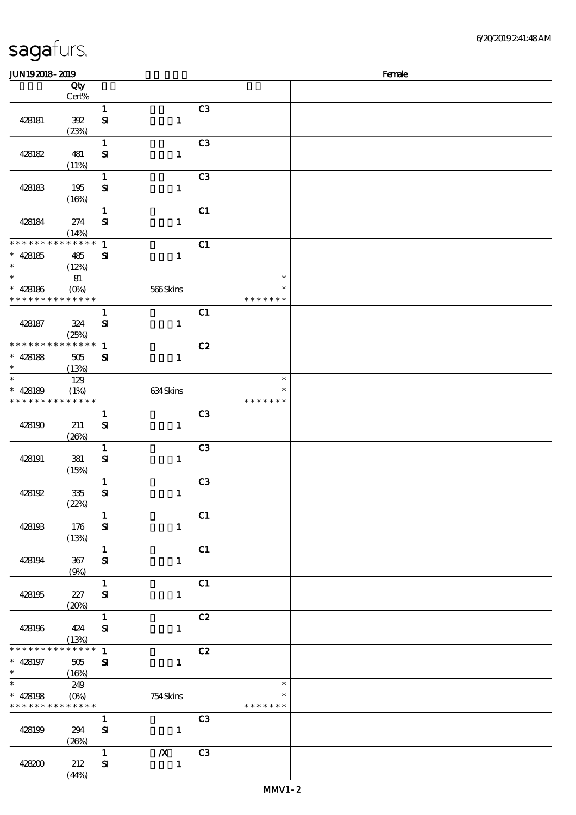| <b>JUN192018-2019</b>                                                 |                                  |                              |                        |                |                                   | Female |
|-----------------------------------------------------------------------|----------------------------------|------------------------------|------------------------|----------------|-----------------------------------|--------|
|                                                                       | Qty                              |                              |                        |                |                                   |        |
|                                                                       | Cert%                            |                              |                        |                |                                   |        |
| 428181                                                                | $392\,$<br>(23%)                 | $\mathbf{1}$<br>$\mathbf{S}$ | $\mathbf{1}$           | C3             |                                   |        |
| 428182                                                                | 481<br>(11%)                     | $\mathbf 1$<br>$\mathbf{S}$  | $\mathbf{1}$           | C <sub>3</sub> |                                   |        |
| 428183                                                                | 195<br>(16%)                     | $\mathbf{1}$<br>$\mathbf{S}$ | $\mathbf{1}$           | C <sub>3</sub> |                                   |        |
| 428184                                                                | 274<br>(14%)                     | $\mathbf 1$<br>$\mathbf{S}$  | $\mathbf{1}$           | C1             |                                   |        |
| * * * * * * * * * * * * * *<br>$* 428185$<br>$\ast$                   | 485<br>(12%)                     | $\mathbf{1}$<br>${\bf s}$    | $\mathbf{1}$           | C1             |                                   |        |
| $\ast$<br>$* 428186$<br>* * * * * * * * * * * * * *                   | 81<br>$(0\%)$                    |                              | 566Skins               |                | $\ast$<br>$\ast$<br>* * * * * * * |        |
| 428187                                                                | 324<br>(25%)                     | $\mathbf{1}$<br>$\mathbf{S}$ | $\mathbf{1}$           | C1             |                                   |        |
| * * * * * * * * * * * * * *<br>$* 428188$<br>$\ast$                   | 505<br>(13%)                     | $\mathbf{1}$<br>${\bf s}$    | $\mathbf{1}$           | C2             |                                   |        |
| $\ast$<br>$* 428189$<br>* * * * * * * * * * * * * *                   | 129<br>(1%)                      |                              | 634Skins               |                | $\ast$<br>∗<br>* * * * * * *      |        |
| 428190                                                                | 211<br>(20%)                     | $\mathbf{1}$<br>$\mathbf{S}$ | $\mathbf{1}$           | C3             |                                   |        |
| 428191                                                                | 381<br>(15%)                     | $\mathbf{1}$<br>${\bf s}$    | $\mathbf{1}$           | C3             |                                   |        |
| 428192                                                                | 335<br>(22%)                     | $\mathbf{1}$<br>$\mathbf{S}$ | $\mathbf{1}$           | C <sub>3</sub> |                                   |        |
| 428193                                                                | 176<br>(13%)                     | $\mathbf{1}$<br>${\bf S}$    | $\mathbf{1}$           | C1             |                                   |        |
| 428194                                                                | 367<br>(9%)                      | $\mathbf{1}$<br>${\bf S}$    | $\mathbf{1}$           | C1             |                                   |        |
| 428195                                                                | 227<br>(20%)                     | $\mathbf{1}$<br>${\bf s}$    | $\mathbf{1}$           | C1             |                                   |        |
| 428196                                                                | 424<br>(13%)                     | $\mathbf{1}$<br>${\bf S}$    | $\mathbf{1}$           | C2             |                                   |        |
| * * * * * * * *<br>$* 428197$<br>$\ast$<br>$\overline{\phantom{a}^*}$ | $******$<br>505<br>(16%)         | $\mathbf{1}$<br>${\bf z}$    | $\mathbf{1}$           | C2             |                                   |        |
| $* 428198$<br>* * * * * * * * * * * * * *                             | 249<br>$(O\!\!\!\!\!\!\!/\,\!o)$ |                              | 754Skins               |                | $\ast$<br>$\ast$<br>* * * * * * * |        |
| 428199                                                                | 294<br>(20%)                     | $\mathbf{1}$<br>$\mathbf{S}$ | $\mathbf{1}$           | C3             |                                   |        |
| 428200                                                                | 212<br>(44%)                     | $\mathbf{1}$<br>$\mathbf{S}$ | $X$ C3<br>$\mathbf{1}$ |                |                                   |        |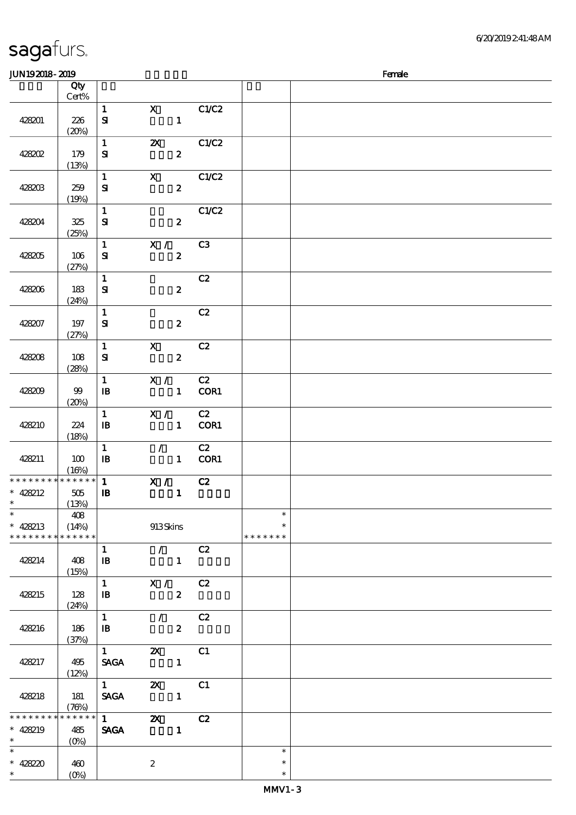| sagafurs. |  |
|-----------|--|
|           |  |

### $J/N192018$ - 2019  $F$ emale 顺序号 Qty 说明 价格 Cert% 1 X C1/C2 428201 226  $S\!I$  1  $(20%)$ 1 2X C1/C2 428202 179  $S1$  2 (13%) 1 X C1/C2 428203 259  $S$ **i**  $\overline{z}$ (19%) 1 C1/C2 428204 325 SI 2 (25%)  $1$  X / C3 428205 106  $S$ **i**  $\overline{z}$  $(27%)$ 1 C2 428206 183  $S1$  2 (24%) 1 C2 428207 197  $S1$  2  $(27%)$  $\overline{1}$  X C<sub>2</sub>  $S1$  2 428208 108 (28%) 1 X / C2  $428209$  99 IB 1 COR1  $(20%)$  $1$  X / C2 428210 224 **IB** 1 COR1 (18%) 1 / C2 428211 100 **IB** 1 COR1  $(16%)$ 1 X / C2 \* \* \* \* \* \* \* \* <mark>\* \* \* \* \*</mark> \* 428212 505 \*\*  $\mathbb B$  1 and 1 and 1 and 1 and 1 and 1 and 1 and 1 and 1 and 1 and 1 and 1 and 1 and 1 and 1 and 1 and 1 and 1 and 1 and 1 and 1 and 1 and 1 and 1 and 1 and 1 and 1 and 1 and 1 and 1 and 1 and 1 and 1 and 1 and 1 and 1 an  $\ast$ (13%)  $\overline{\phantom{a}}$ 408 \*\*  $\ast$ \*\* <sup>428213</sup>  $(14%)$  913 Skins \* \* \* \* \* \* \* \* \* \* \* \* \* \* \* \* \* \*  $1$  / C2 428214 408  $\mathbb B$  1 and 1 and 1 and 1 and 1 and 1 and 1 and 1 and 1 and 1 and 1 and 1 and 1 and 1 and 1 and 1 and 1 and 1 and 1 and 1 and 1 and 1 and 1 and 1 and 1 and 1 and 1 and 1 and 1 and 1 and 1 and 1 and 1 and 1 and 1 and 1 an (15%) 1 X / C2 428215 128  $\overline{\mathbf{B}}$   $\overline{\mathbf{C}}$   $\overline{\mathbf{C}}$   $\overline{\mathbf{C}}$   $\overline{\mathbf{C}}$ (24%)  $1$  / C2 428216 186  $\overline{\mathbf{B}}$   $\overline{\mathbf{C}}$   $\overline{\mathbf{C}}$   $\overline{\mathbf{C}}$   $\overline{\mathbf{C}}$ (37%)  $\overline{1}$  2X C1 SAGA 1 428217 495 (12%)  $1$  2X C1 428218 181 SAGA 1 (76%)  $1$   $2X$   $C2$ \* \* \* \* \* \* \* \* \* \* \* \* \*  $\ast$ 428219 485 SAGA 1 \*\* (0%)  $\overline{\phantom{0}}$  $\ast$ \*\*\* \*\*\* $* 42820$  460 2  $\ast$ (0%)  $\ddot{\phantom{0}}$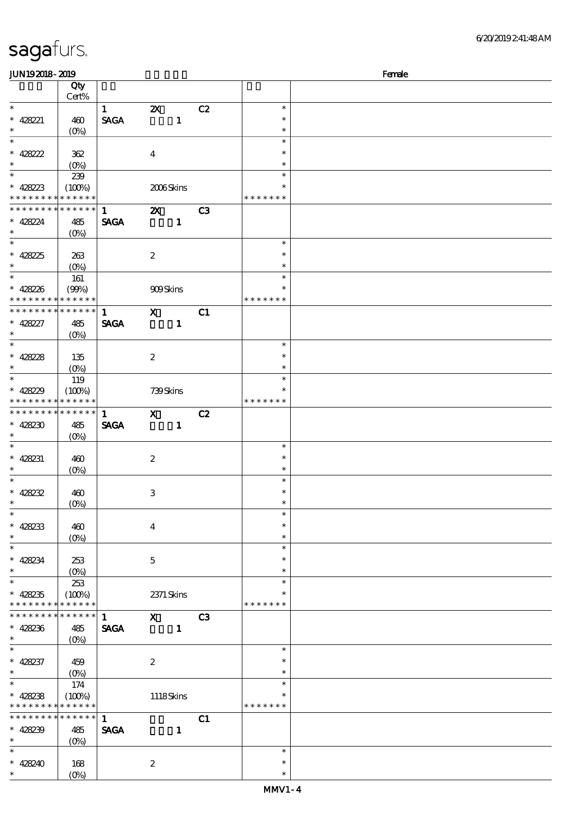| JUN192018-2019              |                 |              |                           |    |               | Female |
|-----------------------------|-----------------|--------------|---------------------------|----|---------------|--------|
|                             | Qty             |              |                           |    |               |        |
|                             | $Cert\%$        |              |                           |    |               |        |
| $\overline{\ast}$           |                 | $\mathbf{1}$ | $\boldsymbol{\mathsf{Z}}$ | C2 | $\ast$        |        |
| * 428221                    | 460             | <b>SAGA</b>  | $\mathbf{1}$              |    | $\ast$        |        |
| $\ast$                      |                 |              |                           |    | $\ast$        |        |
| $\overline{\phantom{0}}$    | $(O\%)$         |              |                           |    |               |        |
|                             |                 |              |                           |    | $\ast$        |        |
| * $428222$                  | 362             |              | $\boldsymbol{4}$          |    | $\ast$        |        |
| $\ast$                      | $(0\%)$         |              |                           |    | $\ast$        |        |
|                             | 239             |              |                           |    | $\ast$        |        |
| * $42823$                   | (100%)          |              | 2006Skins                 |    |               |        |
| * * * * * * * *             | * * * * * *     |              |                           |    | * * * * * * * |        |
| * * * * * * * *             | ******          | $\mathbf{1}$ | $\boldsymbol{\mathsf{z}}$ | C3 |               |        |
| $* 428224$                  | 485             | <b>SAGA</b>  | $\mathbf{1}$              |    |               |        |
| $\ast$                      |                 |              |                           |    |               |        |
|                             | $(O\%)$         |              |                           |    | $\ast$        |        |
|                             |                 |              |                           |    |               |        |
| * 42825                     | 263             |              | $\boldsymbol{2}$          |    | $\ast$        |        |
| $\ast$                      | $(O\%)$         |              |                           |    | $\ast$        |        |
|                             | 161             |              |                           |    | $\ast$        |        |
| * $428236$                  | (90%)           |              | <b>909Skins</b>           |    | $\ast$        |        |
| * * * * * * * *             | * * * * * *     |              |                           |    | * * * * * * * |        |
| * * * * * * * *             | $* * * * * * *$ | $\mathbf{1}$ | $\mathbf{x}$              | C1 |               |        |
| $* 428227$                  | 485             | <b>SAGA</b>  | $\mathbf{1}$              |    |               |        |
| $\ast$                      |                 |              |                           |    |               |        |
| $\overline{\phantom{0}}$    | $(O\%)$         |              |                           |    | $\ast$        |        |
|                             |                 |              |                           |    |               |        |
| * 428228                    | 135             |              | $\boldsymbol{2}$          |    | $\ast$        |        |
| $\ast$                      | $(0\%)$         |              |                           |    | $\ast$        |        |
|                             | 119             |              |                           |    | $\ast$        |        |
| * $428229$                  | (100%)          |              | 739Skins                  |    |               |        |
| * * * * * * * *             | * * * * * *     |              |                           |    | * * * * * * * |        |
| * * * * * * * *             | ******          | $\mathbf{1}$ | $\mathbf{x}$              | C2 |               |        |
| $* 428230$                  | 485             | <b>SAGA</b>  | $\mathbf{1}$              |    |               |        |
| $*$                         |                 |              |                           |    |               |        |
| $\ast$                      | $(0\%)$         |              |                           |    | $\ast$        |        |
|                             |                 |              |                           |    |               |        |
| * 428231                    | 460             |              | $\boldsymbol{2}$          |    | $\ast$        |        |
| $\ast$                      | $(O\%)$         |              |                           |    | $\ast$        |        |
| $\ast$                      |                 |              |                           |    | $\ast$        |        |
| * $42822$                   | 460             |              | $\,3$                     |    | $\ast$        |        |
| $*$ $-$                     | $(0\%)$         |              |                           |    | $\ast$        |        |
| $\ast$                      |                 |              |                           |    | $\ast$        |        |
| $* 428233$                  | 460             |              | $\boldsymbol{4}$          |    | $\ast$        |        |
| $\ast$                      | $(O\%)$         |              |                           |    | $\ast$        |        |
| $\ast$                      |                 |              |                           |    | $\ast$        |        |
|                             |                 |              |                           |    | $\ast$        |        |
| $* 428234$                  | 253             |              | $\mathbf{5}$              |    | $\ast$        |        |
| $\ast$<br>$\overline{\ast}$ |                 |              |                           |    |               |        |
|                             | 253             |              |                           |    | $\ast$        |        |
| $* 428235$                  | (100%)          |              | 2371 Skins                |    |               |        |
| * * * * * * * *             | * * * * * *     |              |                           |    | * * * * * * * |        |
| * * * * * * *               | ******          | $\mathbf{1}$ | $\mathbf{x}$              | C3 |               |        |
| $* 428236$                  | 485             | <b>SAGA</b>  | $\mathbf{1}$              |    |               |        |
| $*$                         | $(O\%)$         |              |                           |    |               |        |
| $*$                         |                 |              |                           |    | $\ast$        |        |
| $* 428237$                  | 459             |              | $\boldsymbol{2}$          |    | *             |        |
| $*$                         | $(O\%)$         |              |                           |    | $\ast$        |        |
| $\overline{\ast}$           | 174             |              |                           |    | $\ast$        |        |
|                             |                 |              |                           |    |               |        |
| $* 428238$                  | (100%)          |              | 1118Skins                 |    |               |        |
| * * * * * * * *             | * * * * * *     |              |                           |    | * * * * * * * |        |
| * * * * * * * *             | ******          | $\mathbf{1}$ |                           | C1 |               |        |
| $* 428239$                  | 485             | <b>SAGA</b>  | $\mathbf{1}$              |    |               |        |
| $\ast$                      | $(O\%)$         |              |                           |    |               |        |
| $\ast$                      |                 |              |                           |    | $\ast$        |        |
| $* 428240$                  | 168             |              | $\boldsymbol{2}$          |    | $\ast$        |        |
| $\ast$                      | $(0\%)$         |              |                           |    | $\ast$        |        |
|                             |                 |              |                           |    |               |        |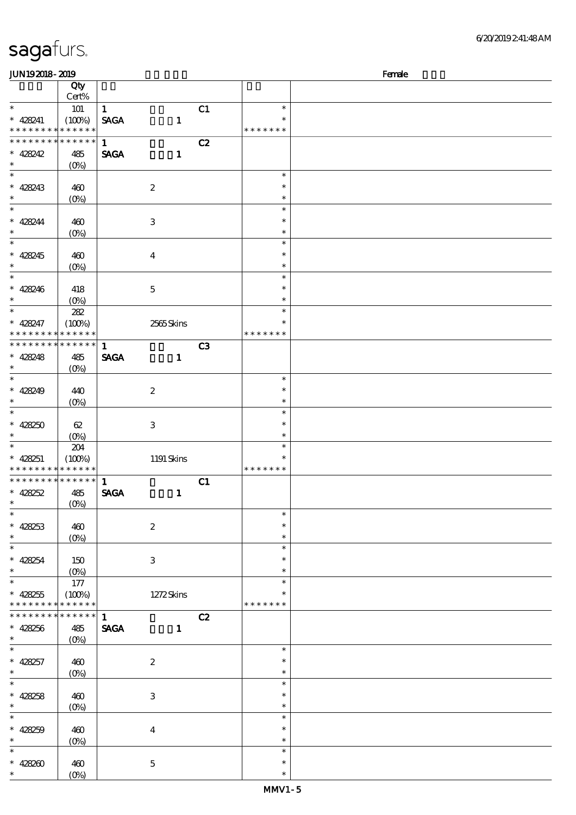| <b>saga</b> furs. |  |
|-------------------|--|
|-------------------|--|

| JUN192018-2019                |                       |              |                           |    |               | Female |
|-------------------------------|-----------------------|--------------|---------------------------|----|---------------|--------|
|                               | Qty                   |              |                           |    |               |        |
|                               | Cert%                 |              |                           |    |               |        |
| $\ast$                        | $101$                 | $\mathbf{1}$ |                           | C1 | $\ast$        |        |
| $* 428241$                    | (100%)                | <b>SAGA</b>  | $\mathbf{1}$              |    | $\ast$        |        |
| * * *                         | * * * * * * * * * *   |              |                           |    | * * * * * * * |        |
| * * * * * * * * * * * * * *   |                       | $\mathbf{1}$ |                           | C2 |               |        |
| $* 428242$                    | 485                   | <b>SAGA</b>  | $\mathbf{1}$              |    |               |        |
| $\ast$                        | $(0\%)$               |              |                           |    |               |        |
| $\ast$                        |                       |              |                           |    | $\ast$        |        |
| $* 428243$                    | 460                   |              | $\boldsymbol{2}$          |    | $\ast$        |        |
| $\ast$                        | $(0\%)$               |              |                           |    | $\ast$        |        |
| $\ast$                        |                       |              |                           |    | $\ast$        |        |
| $* 428244$                    | 460                   |              | $\ensuremath{\mathbf{3}}$ |    | $\ast$        |        |
| $\ast$                        | $(0\%)$               |              |                           |    | $\ast$        |        |
| $\ast$                        |                       |              |                           |    | $\ast$        |        |
|                               |                       |              |                           |    | $\ast$        |        |
| $* 428245$<br>$\ast$          | 460                   |              | $\boldsymbol{4}$          |    | $\ast$        |        |
| $\ast$                        | $(0\%)$               |              |                           |    | $\ast$        |        |
|                               |                       |              |                           |    | $\ast$        |        |
| $* 428246$                    | 418                   |              | $\mathbf 5$               |    |               |        |
| $\ast$<br>$\ast$              | $(O\!/\!o)$           |              |                           |    | $\ast$        |        |
|                               | $282\,$               |              |                           |    | $\ast$        |        |
| $* 428247$                    | (100%)                |              | 2565Skins                 |    | $\ast$        |        |
| * * *<br>* * * *              | * * * * * *           |              |                           |    | * * * * * * * |        |
| * * * * * * * * * * * * * *   |                       | $\mathbf{1}$ |                           | C3 |               |        |
| $* 428248$                    | 485                   | <b>SAGA</b>  | $\mathbf{1}$              |    |               |        |
| $\ast$                        | (O <sub>0</sub> )     |              |                           |    |               |        |
| $\ast$                        |                       |              |                           |    | $\ast$        |        |
| $* 428249$                    | 440                   |              | $\boldsymbol{2}$          |    | $\ast$        |        |
| $\ast$                        | $(O\!/\!o)$           |              |                           |    | $\ast$        |        |
| $\overline{\ast}$             |                       |              |                           |    | $\ast$        |        |
| $* 428250$                    | 62                    |              | $\,3$                     |    | $\ast$        |        |
| $\ast$                        | $(0\%)$               |              |                           |    | $\ast$        |        |
| $\ast$                        | 204                   |              |                           |    | $\ast$        |        |
| $* 428251$                    | (100%)                |              | 1191 Skins                |    | $\ast$        |        |
| * * * * * * * * * * * * * *   |                       |              |                           |    | * * * * * * * |        |
| * * * * * * * * * * * * * *   |                       | $\mathbf{1}$ |                           | C1 |               |        |
| $* 428252$                    | 485                   | <b>SAGA</b>  | $\mathbf{1}$              |    |               |        |
|                               | (0%)                  |              |                           |    |               |        |
| $\overline{\phantom{0}}$      |                       |              |                           |    | $\ast$        |        |
| $* 428253$                    | 460                   |              | $\boldsymbol{z}$          |    | $\ast$        |        |
| $\ast$                        | $(0\%)$               |              |                           |    | $\ast$        |        |
| $\overline{\phantom{0}}$      |                       |              |                           |    | $\ast$        |        |
| $* 428254$                    | 150                   |              | $\,3$                     |    | $\ast$        |        |
| $\ast$                        |                       |              |                           |    | $\ast$        |        |
| $\overline{\ast}$             | $(O\%)$<br>$177$      |              |                           |    | $\ast$        |        |
|                               |                       |              |                           |    | $\ast$        |        |
| $* 428255$<br>* * * * * * * * | (100%)<br>* * * * * * |              | $1272$ Skins              |    | * * * * * * * |        |
| * * * * * * * *               | * * * * * *           | $\mathbf{1}$ |                           |    |               |        |
|                               |                       |              |                           | C2 |               |        |
| $* 428256$<br>$\ast$          | 485                   | <b>SAGA</b>  | $\mathbf{1}$              |    |               |        |
| $\overline{\phantom{0}}$      | (O <sub>0</sub> )     |              |                           |    |               |        |
|                               |                       |              |                           |    | $\ast$        |        |
| $* 428257$<br>$\ast$          | 460                   |              | $\boldsymbol{2}$          |    | $\ast$        |        |
|                               | $(O\!/\!\delta)$      |              |                           |    | $\ast$        |        |
| $\ast$                        |                       |              |                           |    | $\ast$        |        |
| $* 428258$                    | 460                   |              | 3                         |    | $\ast$        |        |
| $\ast$                        | $(O\!/\!o)$           |              |                           |    | $\ast$        |        |
| $\overline{\ast}$             |                       |              |                           |    | $\ast$        |        |
| $* 428259$                    | 460                   |              | $\boldsymbol{4}$          |    | $\ast$        |        |
| $\ast$                        | $(0\%)$               |              |                           |    | $\ast$        |        |
| $\ast$                        |                       |              |                           |    | $\ast$        |        |
| $* 428200$                    | 460                   |              | $\mathbf 5$               |    | $\ast$        |        |
| $\ast$                        | $(O\!/\!o)$           |              |                           |    | $\ast$        |        |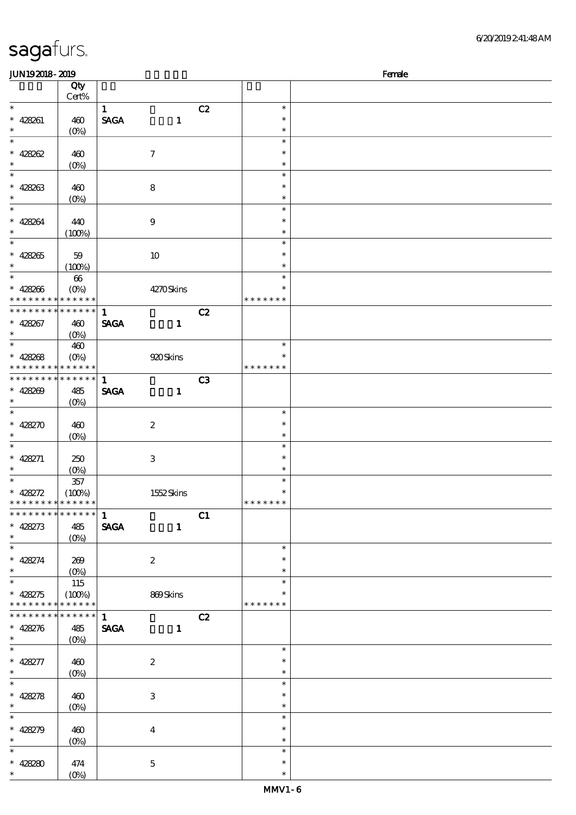| 6/20/2019241:48AM |
|-------------------|
|-------------------|

| <b>JUN192018-2019</b>              |                           |              |                           |    |               | Female |
|------------------------------------|---------------------------|--------------|---------------------------|----|---------------|--------|
|                                    | Qty                       |              |                           |    |               |        |
|                                    | Cert%                     |              |                           |    |               |        |
| $\ast$                             |                           | $\mathbf{1}$ |                           | C2 | $\ast$        |        |
| $* 428261$                         | 460                       | <b>SAGA</b>  | $\mathbf{1}$              |    | $\ast$        |        |
| $\ast$                             | $(O\%)$                   |              |                           |    | $\ast$        |        |
| $\ast$                             |                           |              |                           |    | $\ast$        |        |
|                                    |                           |              |                           |    | $\ast$        |        |
| $* 428262$                         | 460                       |              | $\boldsymbol{7}$          |    |               |        |
| $\ast$                             | $(0\%)$                   |              |                           |    | $\ast$        |        |
| $\ast$                             |                           |              |                           |    | $\ast$        |        |
| $* 428263$                         | 460                       |              | 8                         |    | $\ast$        |        |
| $\ast$                             | $(O\%)$                   |              |                           |    | $\ast$        |        |
| $\ast$                             |                           |              |                           |    | $\ast$        |        |
| $* 428264$                         | 440                       |              | $\boldsymbol{9}$          |    | $\ast$        |        |
| $\ast$                             | (100%)                    |              |                           |    | $\ast$        |        |
| $\overline{\phantom{0}}$           |                           |              |                           |    | $\ast$        |        |
| $* 428265$                         | 59                        |              | $10\,$                    |    | $\ast$        |        |
| $\ast$                             |                           |              |                           |    | $\ast$        |        |
| $\ast$                             | (100%)                    |              |                           |    | $\ast$        |        |
|                                    | $66\,$                    |              |                           |    |               |        |
| $* 428266$                         | $(O\%)$                   |              | 4270Skins                 |    | $\ast$        |        |
| * * * * * * * * * * * * * *        |                           |              |                           |    | * * * * * * * |        |
| * * * * * * * * * * * * * *        |                           | $\mathbf{1}$ |                           | C2 |               |        |
| $* 428267$                         | 460                       | <b>SAGA</b>  | $\mathbf{1}$              |    |               |        |
| $\ast$                             | $(O\!/\!o)$               |              |                           |    |               |        |
| $\overline{\phantom{0}}$           | 460                       |              |                           |    | $\ast$        |        |
| $* 428268$                         | $(O\!/\!o)$               |              | 920 Skins                 |    | $\ast$        |        |
| * * * * * * * *                    | * * * * * *               |              |                           |    | * * * * * * * |        |
| * * * * * * * *                    | * * * * * *               | $\mathbf{1}$ |                           | C3 |               |        |
| $* 428209$                         | 485                       | <b>SAGA</b>  | $\mathbf{1}$              |    |               |        |
| $\ast$                             |                           |              |                           |    |               |        |
| $\ast$                             | $(O\%)$                   |              |                           |    |               |        |
|                                    |                           |              |                           |    | $\ast$        |        |
| $* 428270$                         | 460                       |              | $\boldsymbol{2}$          |    | $\ast$        |        |
| $\ast$                             | $(0\%)$                   |              |                           |    | $\ast$        |        |
| $\ast$                             |                           |              |                           |    | $\ast$        |        |
| $* 428271$                         | 250                       |              | $\ensuremath{\mathbf{3}}$ |    | $\ast$        |        |
| $\ast$                             | $(0\%)$                   |              |                           |    | $\ast$        |        |
| $\ast$                             | $357\,$                   |              |                           |    | $\ast$        |        |
| $* 428272$                         | (100%)                    |              | 1552Skins                 |    | $\ast$        |        |
| * * * * * * * * * * * * * *        |                           |              |                           |    | * * * * * * * |        |
| ******** <mark>*******</mark>      |                           | 1            |                           | C1 |               |        |
|                                    |                           |              |                           |    |               |        |
| $* 428273$                         | 485                       | <b>SAGA</b>  | $\mathbf{1}$              |    |               |        |
| $\ast$<br>$\overline{\phantom{0}}$ | $(O\!\!\!\!\!\!\!/\,\!o)$ |              |                           |    |               |        |
|                                    |                           |              |                           |    | $\ast$        |        |
| $* 428274$                         | 269                       |              | $\boldsymbol{z}$          |    | $\ast$        |        |
| $\ast$                             |                           |              |                           |    | $\ast$        |        |
| $_{*}$                             | 115                       |              |                           |    | $\ast$        |        |
| $* 428275$                         | (100%)                    |              | 869Skins                  |    |               |        |
| * * * * * * * * * * * * * *        |                           |              |                           |    | * * * * * * * |        |
| * * * * * * * * * * * * * * *      |                           | 1            |                           | C2 |               |        |
| $* 428276$                         | 485                       |              | SAGA 1                    |    |               |        |
| $\ast$                             | $(O\!/\!\!\delta)$        |              |                           |    |               |        |
| $\overline{\phantom{0}}$           |                           |              |                           |    | $\ast$        |        |
|                                    |                           |              |                           |    |               |        |
| $* 428277$                         | 460                       |              | $\boldsymbol{2}$          |    | $\ast$        |        |
| $\ast$                             | $(O\%)$                   |              |                           |    | $\ast$        |        |
| $\overline{\phantom{0}}$           |                           |              |                           |    | $\ast$        |        |
| $* 428278$                         | 460                       |              | 3                         |    | $\ast$        |        |
| $\ast$                             | $(0\%)$                   |              |                           |    | $\ast$        |        |
| $\overline{\ast}$                  |                           |              |                           |    | $\ast$        |        |
| $* 428279$                         | 460                       |              | $\bf{4}$                  |    | $\ast$        |        |
| $\ast$                             | $(0\%)$                   |              |                           |    | $\ast$        |        |
| $\overline{\phantom{0}}$           |                           |              |                           |    | $\ast$        |        |
|                                    |                           |              |                           |    | $\ast$        |        |
| * 428280<br>$\ast$                 | 474                       |              | $\mathbf{5}$              |    |               |        |
|                                    | $(O\%)$                   |              |                           |    | $\ast$        |        |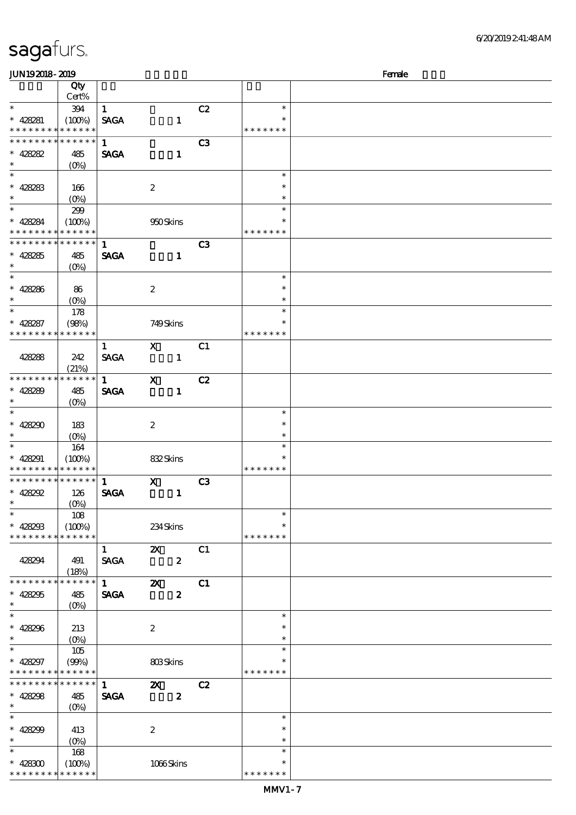| sagafurs. |
|-----------|
|-----------|

| <b>JUN192018-2019</b>                    |                                                   |              |                           |                |               | Female |
|------------------------------------------|---------------------------------------------------|--------------|---------------------------|----------------|---------------|--------|
|                                          | Qty                                               |              |                           |                |               |        |
|                                          | Cert%                                             |              |                           |                |               |        |
| $\ast$                                   | 394                                               | $\mathbf{1}$ |                           | C2             | $\ast$        |        |
| $* 428281$                               | (100%)                                            | <b>SAGA</b>  | $\mathbf{1}$              |                |               |        |
| * * * * * * * * * * * * * *              |                                                   |              |                           |                | * * * * * * * |        |
| * * * * * * * *                          | $******$                                          | $\mathbf{1}$ |                           |                |               |        |
|                                          |                                                   |              |                           | C <sub>3</sub> |               |        |
| $* 428282$                               | 485                                               | <b>SAGA</b>  | $\mathbf{1}$              |                |               |        |
| $\ast$                                   | $(0\%)$                                           |              |                           |                |               |        |
| $\overline{\ast}$                        |                                                   |              |                           |                | $\ast$        |        |
| $* 428283$                               | 166                                               |              | $\boldsymbol{2}$          |                | $\ast$        |        |
| $\ast$                                   | $(0\%)$                                           |              |                           |                | $\ast$        |        |
|                                          | 299                                               |              |                           |                | $\ast$        |        |
| $* 428284$                               | (100%)                                            |              | 950Skins                  |                | $\ast$        |        |
| * * * * * * * * * * * * * *              |                                                   |              |                           |                | * * * * * * * |        |
| * * * * * * * * * * * * * * *            |                                                   | $\mathbf{1}$ |                           |                |               |        |
|                                          |                                                   |              |                           | C <sub>3</sub> |               |        |
| $* 428285$                               | 485                                               | <b>SAGA</b>  | $\mathbf{1}$              |                |               |        |
| $\ast$                                   | $(O\%)$                                           |              |                           |                |               |        |
|                                          |                                                   |              |                           |                | $\ast$        |        |
| $* 428286$                               | 86                                                |              | $\boldsymbol{z}$          |                | $\ast$        |        |
| $\ast$                                   | $(O\%)$                                           |              |                           |                | $\ast$        |        |
| $\overline{\ast}$                        | 178                                               |              |                           |                | $\ast$        |        |
| $* 428287$                               | (98%)                                             |              | 749Skins                  |                | $\ast$        |        |
| * * * * * * * *                          | * * * * * *                                       |              |                           |                | * * * * * * * |        |
|                                          |                                                   | $\mathbf{1}$ | $\mathbf{X}$              | C1             |               |        |
|                                          |                                                   |              |                           |                |               |        |
| 428288                                   | 242                                               | <b>SAGA</b>  | $\mathbf{1}$              |                |               |        |
|                                          | (21%)                                             |              |                           |                |               |        |
| * * * * * * * *                          | * * * * * *                                       | $\mathbf{1}$ | $\mathbf{x}$              | C2             |               |        |
| $* 428289$                               | 485                                               | <b>SAGA</b>  | $\mathbf{1}$              |                |               |        |
| $\ast$                                   | $(O\% )$                                          |              |                           |                |               |        |
| $\overline{\ast}$                        |                                                   |              |                           |                | $\ast$        |        |
| $* 428200$                               | 183                                               |              | $\boldsymbol{2}$          |                | $\ast$        |        |
| $\ast$                                   | $(O\!\!\!\!\!\!\backslash\rho)$                   |              |                           |                | $\ast$        |        |
| $\overline{\phantom{0}}$                 | 164                                               |              |                           |                | $\ast$        |        |
| $* 428291$                               | (100%)                                            |              | 832Skins                  |                | $\ast$        |        |
| * * * * * * * * <mark>* * * * * *</mark> |                                                   |              |                           |                | * * * * * * * |        |
| *************** 1                        |                                                   |              | $\mathbf{X}$              | C <sub>3</sub> |               |        |
|                                          |                                                   |              |                           |                |               |        |
| $* 428292$                               | 126                                               | <b>SAGA</b>  | $\mathbf{1}$              |                |               |        |
| $*$ $*$                                  | (0%)                                              |              |                           |                |               |        |
| $\ast$                                   | 108                                               |              |                           |                | $\ast$        |        |
| $* 428293$                               | (100%)                                            |              | 234Skins                  |                | $\ast$        |        |
| * * * * * * * *                          | * * * * * *                                       |              |                           |                | * * * * * * * |        |
|                                          |                                                   | $\mathbf{1}$ | $\mathbf{X}$              | C1             |               |        |
| 428294                                   | 491                                               | <b>SAGA</b>  | $\boldsymbol{z}$          |                |               |        |
|                                          | (18%)                                             |              |                           |                |               |        |
| * * * * * * * *                          | $*******$                                         | $1 \t 2X$    |                           | C1             |               |        |
| $* 428295$                               | 485                                               | <b>SAGA</b>  | $\boldsymbol{z}$          |                |               |        |
| $\ast$                                   | $(O\!\!\!\!\!\!\backslash\rho)$                   |              |                           |                |               |        |
| $\overline{\ast}$                        |                                                   |              |                           |                | $\ast$        |        |
|                                          |                                                   |              |                           |                | $\ast$        |        |
| $* 428296$<br>$\ast$                     | 213                                               |              | $\boldsymbol{2}$          |                |               |        |
| $\overline{\phantom{0}}$                 | $(O\!\!\!\!\!\!\!\backslash \!\!\!\!\!\backslash$ |              |                           |                | $\ast$        |        |
|                                          | 105                                               |              |                           |                | $\ast$        |        |
| $* 428297$                               | (90%)                                             |              | 803Skins                  |                | $\ast$        |        |
| * * * * * * * *                          | * * * * * *                                       |              |                           |                | * * * * * * * |        |
| * * * * * * * *                          | $* * * * * * *$                                   | 1            | $\boldsymbol{\mathsf{Z}}$ | C2             |               |        |
| $* 428298$                               | 485                                               | <b>SAGA</b>  | $\boldsymbol{z}$          |                |               |        |
| $\ast$                                   | $(O\% )$                                          |              |                           |                |               |        |
| $\ast$                                   |                                                   |              |                           |                | $\ast$        |        |
| $* 428299$                               | 413                                               |              | $\boldsymbol{2}$          |                | $\ast$        |        |
| $\ast$                                   |                                                   |              |                           |                | $\ast$        |        |
| $\ast$                                   | $(O\!\!\!\!\!\!\!\backslash \!\!\!\!\!\backslash$ |              |                           |                | $\ast$        |        |
|                                          | 168                                               |              |                           |                |               |        |
| $* 428300$                               | (100%)                                            |              | 1066Skins                 |                | $\ast$        |        |
| * * * * * * * * * * * * * *              |                                                   |              |                           |                | * * * * * * * |        |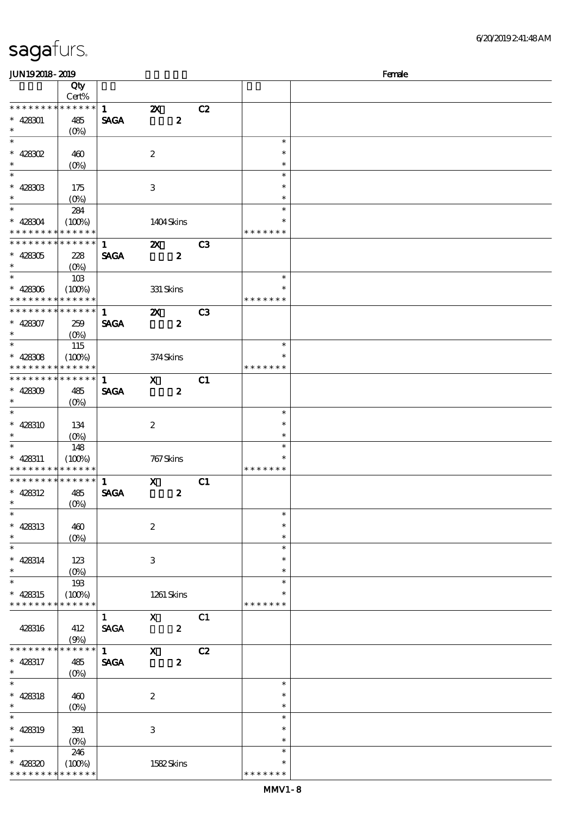| JUN192018-2019                     |                                                   |                        |                           |                |               | Female |
|------------------------------------|---------------------------------------------------|------------------------|---------------------------|----------------|---------------|--------|
|                                    | Qty                                               |                        |                           |                |               |        |
|                                    | Cert%                                             |                        |                           |                |               |        |
| * * * * * * * *                    | * * * * * *                                       | $\mathbf{1}$           | $\boldsymbol{\mathsf{z}}$ | C2             |               |        |
| $* 428001$                         | 485                                               | <b>SAGA</b>            | $\boldsymbol{2}$          |                |               |        |
| $\ast$                             | $(O\%)$                                           |                        |                           |                |               |        |
| $\overline{\phantom{0}}$           |                                                   |                        |                           |                | $\ast$        |        |
| $* 428302$                         | 460                                               |                        | $\boldsymbol{2}$          |                | $\ast$        |        |
| $\ast$                             |                                                   |                        |                           |                | $\ast$        |        |
|                                    | $(O\%)$                                           |                        |                           |                | $\ast$        |        |
|                                    |                                                   |                        |                           |                |               |        |
| $* 428303$                         | 175                                               |                        | 3                         |                | $\ast$        |        |
| $\ast$                             | $(O\%)$                                           |                        |                           |                | $\ast$        |        |
|                                    | 284                                               |                        |                           |                | $\ast$        |        |
| $* 428304$                         | (100%)                                            |                        | 1404Skins                 |                | $\ast$        |        |
| * * * * * * * *                    | * * * * * *                                       |                        |                           |                | * * * * * * * |        |
| * * * * * * * *                    | $******$                                          | $\mathbf{1}$           | $\boldsymbol{\mathsf{X}}$ | C <sub>3</sub> |               |        |
| $* 428305$                         | 228                                               | <b>SAGA</b>            | $\boldsymbol{2}$          |                |               |        |
| $\ast$                             | $(0\%)$                                           |                        |                           |                |               |        |
|                                    | 10B                                               |                        |                           |                | $\ast$        |        |
| $* 428306$                         | (100%)                                            |                        | 331 Skins                 |                | $\ast$        |        |
| * * * * * * * *                    | * * * * * *                                       |                        |                           |                | * * * * * * * |        |
| * * * * * * * *                    | $* * * * * * *$                                   |                        |                           |                |               |        |
|                                    |                                                   | $\mathbf{1}$           | $\boldsymbol{\mathsf{z}}$ | C <sub>3</sub> |               |        |
| $* 428307$                         | 259                                               | <b>SAGA</b>            | $\boldsymbol{2}$          |                |               |        |
| $\ast$<br>$\overline{\phantom{0}}$ | $(O\%)$                                           |                        |                           |                |               |        |
|                                    | 115                                               |                        |                           |                | $\ast$        |        |
| $* 428308$                         | (100%)                                            |                        | 374Skins                  |                | $\ast$        |        |
| * * * * * * * *                    | * * * * * *                                       |                        |                           |                | * * * * * * * |        |
| * * * * * * * *                    | * * * * * *                                       | $\mathbf{1}$           | $\mathbf{x}$              | C1             |               |        |
| $* 428309$                         | 485                                               | <b>SAGA</b>            | $\boldsymbol{z}$          |                |               |        |
| $\ast$                             | $(O\% )$                                          |                        |                           |                |               |        |
|                                    |                                                   |                        |                           |                | $\ast$        |        |
| $* 428310$                         | 134                                               |                        | $\boldsymbol{2}$          |                | $\ast$        |        |
| $\ast$                             | $(0\%)$                                           |                        |                           |                | $\ast$        |        |
| $\ast$                             |                                                   |                        |                           |                | $\ast$        |        |
|                                    | 148                                               |                        |                           |                | $\ast$        |        |
| $* 428311$                         | (100%)<br>* * * * * *                             |                        | 767 Skins                 |                |               |        |
| * * * * * * * *                    |                                                   |                        |                           |                | * * * * * * * |        |
| * * * * * * * *                    | $* * * * * * *$                                   | $\mathbf{1}$           | $\boldsymbol{\mathrm{X}}$ | C1             |               |        |
| $* 428312$                         | 485                                               | <b>SAGA</b>            | $\boldsymbol{2}$          |                |               |        |
| $\ast$ $\qquad$                    | (0%)                                              |                        |                           |                |               |        |
| $\ast$                             |                                                   |                        |                           |                | $\ast$        |        |
| $* 428313$                         | 460                                               |                        | $\boldsymbol{2}$          |                | $\ast$        |        |
| $\ast$                             | $(O\%)$                                           |                        |                           |                | $\ast$        |        |
| $\ast$                             |                                                   |                        |                           |                | $\ast$        |        |
| $* 428314$                         | 123                                               |                        | 3                         |                | $\ast$        |        |
| $\ast$                             | $(O\!\!\!\!\!\!\!\backslash \!\!\!\!\!\backslash$ |                        |                           |                | $\ast$        |        |
| $\overline{\ast}$                  | 193                                               |                        |                           |                | $\ast$        |        |
| $* 428315$                         | (100%)                                            |                        | 1261 Skins                |                | *             |        |
| * * * * * * * *                    | * * * * * *                                       |                        |                           |                | * * * * * * * |        |
|                                    |                                                   |                        |                           |                |               |        |
|                                    |                                                   | $\mathbf{1}$           | $\mathbf{x}$              | C1             |               |        |
| 428316                             | 412                                               | <b>SAGA</b>            | $\boldsymbol{z}$          |                |               |        |
|                                    | (9%)                                              |                        |                           |                |               |        |
| * * * * * * * *                    | $* * * * * *$<br>$\ast$                           | $1 \quad \blacksquare$ | $\boldsymbol{\mathsf{X}}$ | C2             |               |        |
| $* 428317$                         | 485                                               | <b>SAGA</b>            | $\boldsymbol{2}$          |                |               |        |
| $\ast$                             | $(O\%)$                                           |                        |                           |                |               |        |
| $\overline{\ast}$                  |                                                   |                        |                           |                | $\ast$        |        |
| $* 428318$                         | 460                                               |                        | $\boldsymbol{2}$          |                | $\ast$        |        |
| $\ast$                             | $(O\%)$                                           |                        |                           |                | $\ast$        |        |
| $\ast$                             |                                                   |                        |                           |                | $\ast$        |        |
| $* 428319$                         | 391                                               |                        | $\,3$                     |                | $\ast$        |        |
| $\ast$                             | $(0\%)$                                           |                        |                           |                | $\ast$        |        |
| $\ast$                             | 246                                               |                        |                           |                | $\ast$        |        |
|                                    |                                                   |                        |                           |                | $\ast$        |        |
| $* 428320$                         | (100%)                                            |                        | 1582Skins                 |                |               |        |
| * * * * * * * *                    | * * * * * *                                       |                        |                           |                | * * * * * * * |        |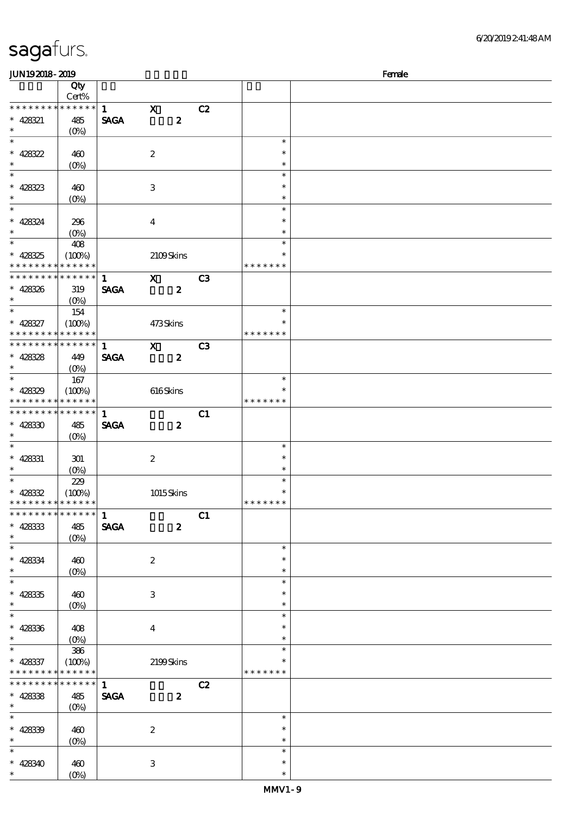| JUN192018-2019                             |                       |              |                  |                |               | Female |
|--------------------------------------------|-----------------------|--------------|------------------|----------------|---------------|--------|
|                                            | Qty                   |              |                  |                |               |        |
|                                            | Cert%                 |              |                  |                |               |        |
| * * * * * * * *                            | * * * * * * *         | $\mathbf{1}$ | $\mathbf{x}$     | C2             |               |        |
| $* 428321$                                 | 485                   | <b>SAGA</b>  | $\boldsymbol{z}$ |                |               |        |
| $\ast$                                     | $(O\%)$               |              |                  |                |               |        |
| $\overline{\ast}$                          |                       |              |                  |                | $\ast$        |        |
| $* 428322$                                 | 460                   |              | $\boldsymbol{2}$ |                | $\ast$        |        |
| $\ast$                                     | $(0\%)$               |              |                  |                | $\ast$        |        |
|                                            |                       |              |                  |                | $\ast$        |        |
|                                            |                       |              |                  |                | $\ast$        |        |
| $* 428323$<br>$\ast$                       | 460                   |              | 3                |                |               |        |
|                                            | $(O\!/\!o)$           |              |                  |                | $\ast$        |        |
| $\ast$                                     |                       |              |                  |                | $\ast$        |        |
| $* 428324$                                 | 296                   |              | $\boldsymbol{4}$ |                | $\ast$        |        |
| $\ast$                                     | $(O\!/\!o)$           |              |                  |                | $\ast$        |        |
|                                            | 408                   |              |                  |                | $\ast$        |        |
| $* 428325$                                 | (100%)                |              | 2109Skins        |                | $\ast$        |        |
| * * * * * * * *                            | * * * * * *           |              |                  |                | * * * * * * * |        |
| * * * * * * * *                            | $* * * * * * *$       | $\mathbf{1}$ | $\mathbf{x}$     | C <sub>3</sub> |               |        |
| $* 428326$                                 | 319                   | <b>SAGA</b>  | $\boldsymbol{z}$ |                |               |        |
| $\ast$                                     | $(O\%)$               |              |                  |                |               |        |
| $\overline{\ast}$                          |                       |              |                  |                | $\ast$        |        |
|                                            | 154                   |              |                  |                |               |        |
| $* 428327$                                 | (100%)                |              | 473Skins         |                | $\ast$        |        |
| * * * * * * * *                            | * * * * * *           |              |                  |                | * * * * * * * |        |
| * * * * * * * * <mark>* * * * * * *</mark> |                       | $\mathbf{1}$ | $\mathbf{x}$     | C3             |               |        |
| $* 428328$                                 | 449                   | <b>SAGA</b>  | $\boldsymbol{z}$ |                |               |        |
| $\ast$                                     | $(O\%)$               |              |                  |                |               |        |
| $\overline{\ast}$                          | 167                   |              |                  |                | $\ast$        |        |
| $* 428329$                                 | (100%)                |              | 616Skins         |                | *             |        |
| * * * * * * * *                            | * * * * * *           |              |                  |                | * * * * * * * |        |
| * * * * * * * *                            | $* * * * * * *$       |              |                  | C1             |               |        |
|                                            |                       | $\mathbf{1}$ |                  |                |               |        |
| $* 42830$                                  | 485                   | <b>SAGA</b>  | $\boldsymbol{z}$ |                |               |        |
| $\ast$                                     | $(O\%)$               |              |                  |                |               |        |
| $\ast$                                     |                       |              |                  |                | $\ast$        |        |
| $* 428331$                                 | 301                   |              | $\boldsymbol{2}$ |                | $\ast$        |        |
| $\ast$                                     | $(O\%)$               |              |                  |                | $\ast$        |        |
|                                            | 229                   |              |                  |                | $\ast$        |        |
| $* 42832$                                  | (100%)                |              | 1015Skins        |                | $\ast$        |        |
| * * * * * * * * * * * * * *                |                       |              |                  |                | *******       |        |
| * * * * * * * * <mark>* * * * * *</mark>   |                       | $\mathbf{1}$ |                  | C1             |               |        |
| $* 428333$                                 | 485                   | <b>SAGA</b>  | $\boldsymbol{z}$ |                |               |        |
| $\ast$                                     |                       |              |                  |                |               |        |
| $\ast$                                     | $(O\%)$               |              |                  |                | $\ast$        |        |
|                                            |                       |              |                  |                |               |        |
| $* 428334$                                 | 460                   |              | $\boldsymbol{2}$ |                | $\ast$        |        |
| $\ast$                                     | $(O\%)$               |              |                  |                | $\ast$        |        |
| $\overline{\ast}$                          |                       |              |                  |                | $\ast$        |        |
| $* 428335$                                 | 460                   |              | 3                |                | ∗             |        |
| $\ast$                                     | $(O\%)$               |              |                  |                | $\ast$        |        |
| $\overline{\ast}$                          |                       |              |                  |                | $\ast$        |        |
| $* 428336$                                 | 408                   |              | $\overline{4}$   |                | $\ast$        |        |
| $\ast$                                     |                       |              |                  |                | $\ast$        |        |
| $\ast$                                     | $386\,$               |              |                  |                | $\ast$        |        |
|                                            |                       |              |                  |                | *             |        |
| $* 428337$                                 | (100%)<br>* * * * * * |              | 2199Skins        |                | * * * * * * * |        |
| * * * * * * * *<br>* * * * * * * *         | $******$              |              |                  |                |               |        |
|                                            |                       | $\mathbf{1}$ |                  | C2             |               |        |
| $* 428338$                                 | 485                   | <b>SAGA</b>  | $\boldsymbol{z}$ |                |               |        |
| $\ast$                                     | $(O\%)$               |              |                  |                |               |        |
| $\overline{\ast}$                          |                       |              |                  |                | $\ast$        |        |
| $* 42839$                                  | 460                   |              | $\boldsymbol{2}$ |                | $\ast$        |        |
| $\ast$                                     | $(O\!/\!o)$           |              |                  |                | $\ast$        |        |
| $\ast$                                     |                       |              |                  |                | $\ast$        |        |
| $* 428340$                                 | 460                   |              | 3                |                | $\ast$        |        |
| $\ast$                                     |                       |              |                  |                | $\ast$        |        |
|                                            | (O <sub>0</sub> )     |              |                  |                |               |        |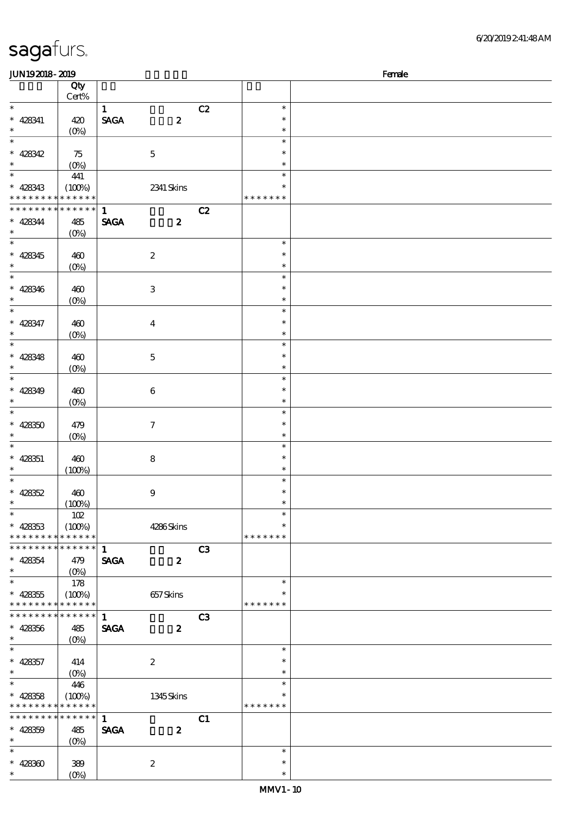| sagafurs.      |  |
|----------------|--|
| JUN192018-2019 |  |
|                |  |

| <b>JUN192018-2019</b>                    |                   |                                |                     |    |               | Female |
|------------------------------------------|-------------------|--------------------------------|---------------------|----|---------------|--------|
|                                          | Qty               |                                |                     |    |               |        |
|                                          | $Cert\%$          |                                |                     |    |               |        |
| $\ast$                                   |                   | $\mathbf{1}$                   |                     | C2 | $\ast$        |        |
| $* 428341$                               | 420               | $\operatorname{\mathsf{SAGA}}$ | $\boldsymbol{z}$    |    | $\ast$        |        |
| $\ast$                                   |                   |                                |                     |    | $\ast$        |        |
| $\ast$                                   | $(O\%)$           |                                |                     |    | $\ast$        |        |
|                                          |                   |                                |                     |    |               |        |
| $* 428342$                               | 75                |                                | $\mathbf 5$         |    | $\ast$        |        |
| $\ast$                                   | $(0\%)$           |                                |                     |    | $\ast$        |        |
| $\ast$                                   | 441               |                                |                     |    | $\ast$        |        |
| $* 428343$                               | (100%)            |                                | 2341 Skins          |    | $\ast$        |        |
| * * * * * * * * * * * * * *              |                   |                                |                     |    | * * * * * * * |        |
| * * * * * * * *                          | * * * * * *       | $\mathbf{1}$                   |                     | C2 |               |        |
| $* 428344$                               | 485               | <b>SAGA</b>                    | $\boldsymbol{z}$    |    |               |        |
| $\ast$                                   | $(O\%)$           |                                |                     |    |               |        |
| $\overline{\phantom{0}}$                 |                   |                                |                     |    | $\ast$        |        |
|                                          |                   |                                |                     |    | $\ast$        |        |
| $* 428345$<br>$\ast$                     | 460               |                                | $\boldsymbol{2}$    |    |               |        |
| $\ast$                                   | $(0\%)$           |                                |                     |    | $\ast$        |        |
|                                          |                   |                                |                     |    | $\ast$        |        |
| $* 428346$                               | 460               |                                | $\,3\,$             |    | $\ast$        |        |
| $\ast$                                   | $(O\!/\!o)$       |                                |                     |    | $\ast$        |        |
| $\ast$                                   |                   |                                |                     |    | $\ast$        |        |
| $* 428347$                               | 460               |                                | $\bf{4}$            |    | $\ast$        |        |
| $\ast$                                   | $(O\!/\!o)$       |                                |                     |    | $\ast$        |        |
| $\overline{\ast}$                        |                   |                                |                     |    | $\ast$        |        |
| $* 428348$                               | 460               |                                | $\mathbf 5$         |    | $\ast$        |        |
| $\ast$                                   | $(0\%)$           |                                |                     |    | $\ast$        |        |
| $\ast$                                   |                   |                                |                     |    | $\ast$        |        |
|                                          |                   |                                |                     |    | $\ast$        |        |
| $* 428349$                               | 460               |                                | 6                   |    |               |        |
| $\ast$                                   | $(O\!/\!o)$       |                                |                     |    | $\ast$        |        |
| $\ast$                                   |                   |                                |                     |    | $\ast$        |        |
| $* 428350$                               | 479               |                                | $\boldsymbol{\tau}$ |    | $\ast$        |        |
| $\ast$                                   | $(0\%)$           |                                |                     |    | $\ast$        |        |
| $\ast$                                   |                   |                                |                     |    | $\ast$        |        |
| $* 428351$                               | 460               |                                | $\bf 8$             |    | $\ast$        |        |
| $\ast$                                   | (100%)            |                                |                     |    | $\ast$        |        |
| $\ast$                                   |                   |                                |                     |    | $\ast$        |        |
| $* 428352$                               | 460               |                                | $\boldsymbol{9}$    |    | $\ast$        |        |
| $*$                                      | (100%)            |                                |                     |    | $\ast$        |        |
| $\ast$                                   | 102               |                                |                     |    | $\ast$        |        |
| $* 428353$                               | (100%)            |                                | 4286Skins           |    | $\ast$        |        |
| * * * * * * * *                          | $******$          |                                |                     |    | * * * * * * * |        |
| * * * * * * * * * * * * * * *            |                   | $\mathbf{1}$                   |                     |    |               |        |
|                                          |                   |                                |                     | C3 |               |        |
| $* 428354$                               | 479               | <b>SAGA</b>                    | $\boldsymbol{z}$    |    |               |        |
| $\ast$                                   |                   |                                |                     |    |               |        |
| $\overline{\phantom{0}}$                 | 178               |                                |                     |    | $\ast$        |        |
| $* 428355$                               | (100%)            |                                | 657Skins            |    |               |        |
| * * * * * * * * * * * * * *              |                   |                                |                     |    | * * * * * * * |        |
| * * * * * * * * * * * * * * *            |                   | $\mathbf{1}$                   |                     | C3 |               |        |
| $* 428356$                               | 485               | <b>SAGA</b>                    | $\boldsymbol{2}$    |    |               |        |
| $\ast$                                   | (O <sub>0</sub> ) |                                |                     |    |               |        |
| $\overline{\phantom{0}}$                 |                   |                                |                     |    | $\ast$        |        |
| $* 428357$                               | 414               |                                | $\boldsymbol{2}$    |    | $\ast$        |        |
| $\ast$                                   |                   |                                |                     |    | $\ast$        |        |
| $\overline{\phantom{0}}$                 | $(O\%)$           |                                |                     |    | $\ast$        |        |
|                                          | 446               |                                |                     |    | $\ast$        |        |
| $* 428358$                               | (100%)            |                                | 1345Skins           |    |               |        |
| * * * * * * * * <mark>* * * * * *</mark> |                   |                                |                     |    | * * * * * * * |        |
| * * * * * * * *                          | $* * * * * * *$   | $\mathbf{1}$                   |                     | C1 |               |        |
| $* 428359$                               | 485               | <b>SAGA</b>                    | $\boldsymbol{z}$    |    |               |        |
| $\ast$                                   | $(0\%)$           |                                |                     |    |               |        |
| $\ast$                                   |                   |                                |                     |    | $\ast$        |        |
| $* 42830$                                | 389               |                                | $\boldsymbol{2}$    |    | $\ast$        |        |
| $\ast$                                   | $(O\%)$           |                                |                     |    | $\ast$        |        |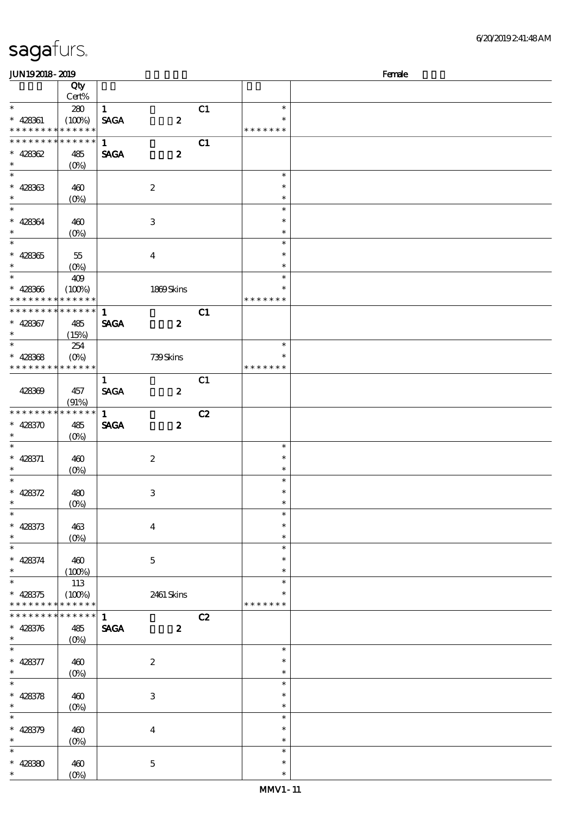| <b>saga</b> furs. |
|-------------------|
|-------------------|

| JUN192018-2019                            |                       |              |                           |    |                  | Female |
|-------------------------------------------|-----------------------|--------------|---------------------------|----|------------------|--------|
|                                           | Qty                   |              |                           |    |                  |        |
|                                           | Cert%                 |              |                           |    |                  |        |
| $\ast$                                    | 280                   | $\mathbf{1}$ |                           | C1 | $\ast$           |        |
| $* 428361$                                | (100%)                | <b>SAGA</b>  | $\boldsymbol{z}$          |    | $\ast$           |        |
| * * *                                     | * * * * * * * * * * * |              |                           |    | * * * * * * *    |        |
| * * * * * * * * * * * * * *               |                       | $\mathbf{1}$ |                           | C1 |                  |        |
| $* 428362$                                | 485                   | <b>SAGA</b>  | $\boldsymbol{2}$          |    |                  |        |
| $\ast$                                    | $(0\%)$               |              |                           |    |                  |        |
| $\ast$                                    |                       |              |                           |    | $\ast$           |        |
| $* 428363$                                | 460                   |              | $\boldsymbol{2}$          |    | $\ast$           |        |
| $\ast$                                    | $(0\%)$               |              |                           |    | $\ast$           |        |
| $\ast$                                    |                       |              |                           |    | $\ast$           |        |
| $* 428364$                                | 460                   |              | $\ensuremath{\mathbf{3}}$ |    | $\ast$           |        |
| $\ast$                                    | $(O\!/\!\delta)$      |              |                           |    | $\ast$           |        |
| $\ast$                                    |                       |              |                           |    | $\ast$           |        |
| $* 428365$                                | 55                    |              | $\boldsymbol{4}$          |    | $\ast$           |        |
| $\ast$                                    | $(0\%)$               |              |                           |    | $\ast$           |        |
| $\ast$                                    |                       |              |                           |    | $\ast$           |        |
|                                           | 409                   |              |                           |    | $\ast$           |        |
| $* 428366$<br>* * * * * * * * * * * * * * | (100%)                |              | 1869Skins                 |    | * * * * * * *    |        |
| * * * * * * * * * * * * * * *             |                       |              |                           |    |                  |        |
|                                           |                       | $\mathbf{1}$ |                           | C1 |                  |        |
| $* 428367$                                | 485                   | <b>SAGA</b>  | $\boldsymbol{z}$          |    |                  |        |
| $\ast$                                    | (15%)                 |              |                           |    |                  |        |
| $\ast$                                    | 254                   |              |                           |    | $\ast$           |        |
| $* 428368$                                | $(0\%)$               |              | 739Skins                  |    | $\ast$           |        |
| * * * * * * * * * * * * * *               |                       |              |                           |    | * * * * * * *    |        |
|                                           |                       | $\mathbf{1}$ |                           | C1 |                  |        |
| 428369                                    | 457                   | <b>SAGA</b>  | $\boldsymbol{z}$          |    |                  |        |
|                                           | (91%)                 |              |                           |    |                  |        |
| * * * * * * * * * * * * * *               |                       | $\mathbf{1}$ |                           | C2 |                  |        |
| $* 428370$                                | 485                   | <b>SAGA</b>  | $\boldsymbol{z}$          |    |                  |        |
| $\ast$                                    | $(0\%)$               |              |                           |    |                  |        |
| $\ast$                                    |                       |              |                           |    | $\ast$           |        |
| $* 428371$                                | 460                   |              | $\boldsymbol{2}$          |    | $\ast$           |        |
| $\ast$                                    | $(O\!/\!o)$           |              |                           |    | $\ast$           |        |
| $\ast$                                    |                       |              |                           |    | $\ast$           |        |
| $* 428372$                                | 480                   |              | $\,3$                     |    | $\ast$           |        |
|                                           | (0%)                  |              |                           |    |                  |        |
| $\overline{\phantom{1}}$                  |                       |              |                           |    | $\ast$           |        |
| $* 428373$                                | 463                   |              | $\boldsymbol{4}$          |    | $\ast$           |        |
| $\ast$                                    | $(0\%)$               |              |                           |    | $\ast$           |        |
| $\overline{\ast}$                         |                       |              |                           |    | $\ast$           |        |
| $* 428374$                                | 460                   |              | $\mathbf 5$               |    | $\ast$           |        |
| $\ast$                                    | (100%)                |              |                           |    | $\ast$           |        |
| $\ast$                                    | 113                   |              |                           |    | $\ast$           |        |
| $* 428375$                                | (100%)                |              | 2461 Skins                |    |                  |        |
| * * * * * * * *                           | * * * * * *           |              |                           |    | * * * * * * *    |        |
| * * * * * * * * * * * * * *               |                       | $\mathbf{1}$ |                           | C2 |                  |        |
| $* 428376$                                | 485                   | <b>SAGA</b>  | $\boldsymbol{z}$          |    |                  |        |
| $\ast$                                    | $(O\%)$               |              |                           |    |                  |        |
| $\overline{\phantom{a}^*}$                |                       |              |                           |    | $\ast$           |        |
| $* 428377$                                | 460                   |              | $\boldsymbol{2}$          |    | $\ast$           |        |
| $\ast$                                    | $(0\%)$               |              |                           |    | $\ast$           |        |
| $\ast$                                    |                       |              |                           |    | $\ast$           |        |
| $* 428378$                                | 460                   |              | $\ensuremath{\mathbf{3}}$ |    | $\ast$           |        |
| $\ast$                                    | $(O\!/\!\delta)$      |              |                           |    | $\ast$           |        |
| $\overline{\phantom{0}}$                  |                       |              |                           |    | $\ast$           |        |
|                                           |                       |              |                           |    | $\ast$           |        |
| $* 428379$<br>$\ast$                      | 460                   |              | $\bf{4}$                  |    |                  |        |
| $\ast$                                    | $(0\%)$               |              |                           |    | $\ast$<br>$\ast$ |        |
|                                           |                       |              |                           |    |                  |        |
| $* 428380$                                | 460                   |              | $\bf 5$                   |    | $\ast$           |        |
| $\ast$                                    | $(O\%)$               |              |                           |    | $\ast$           |        |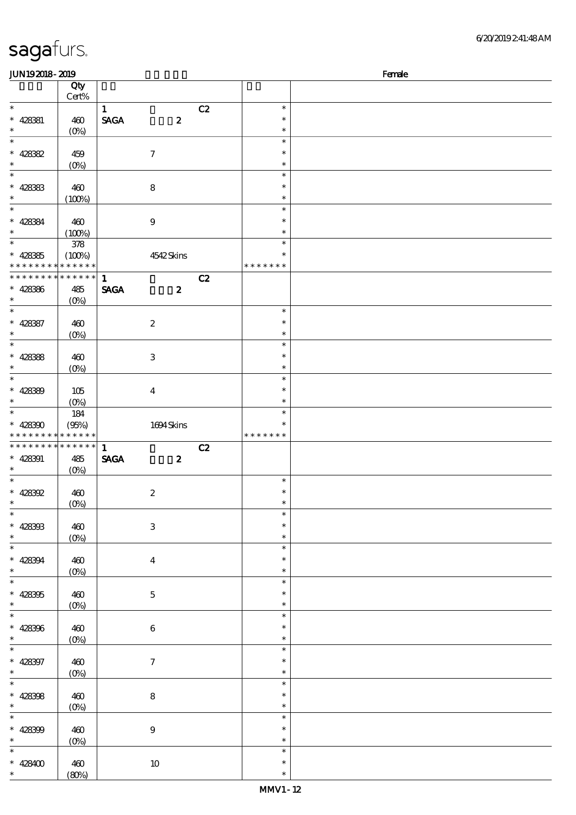| 6/20/2019241:48AM |  |
|-------------------|--|
|-------------------|--|

| <b>JUN192018-2019</b>                                    |              |                                 |               | Female |
|----------------------------------------------------------|--------------|---------------------------------|---------------|--------|
|                                                          | Qty          |                                 |               |        |
|                                                          | Cert%        |                                 |               |        |
| $\ast$                                                   |              | $\mathbf{1}$                    | C2<br>$\ast$  |        |
| $* 428381$                                               | 460          | <b>SAGA</b><br>$\pmb{2}$        | $\ast$        |        |
| $\ast$                                                   |              |                                 | $\ast$        |        |
| $\ast$                                                   | $(0\%)$      |                                 | $\ast$        |        |
|                                                          |              |                                 |               |        |
| $* 42882$                                                | 459          | $\boldsymbol{7}$                | $\ast$        |        |
| $\ast$                                                   | $(0\%)$      |                                 | $\ast$        |        |
| $\overline{\ast}$                                        |              |                                 | $\ast$        |        |
| $* 42888$                                                | 460          | $\bf 8$                         | $\ast$        |        |
| $\ast$                                                   | (100%)       |                                 | $\ast$        |        |
| $\overline{\phantom{a}^*}$                               |              |                                 | $\ast$        |        |
| $* 42884$                                                | 460          | $\boldsymbol{9}$                | $\ast$        |        |
| $\ast$                                                   | (100%)       |                                 | $\ast$        |        |
| $\overline{\phantom{0}}$                                 | $378\,$      |                                 | $\ast$        |        |
|                                                          |              |                                 | $\ast$        |        |
| $* 42835$                                                | (100%)       | 4542Skins                       |               |        |
| * * * * * * * * <mark>* * * * * * *</mark>               |              |                                 | * * * * * * * |        |
| * * * * * * * * * * * * * *                              |              | $\mathbf{1}$                    | C2            |        |
| $* 428366$                                               | 485          | <b>SAGA</b><br>$\boldsymbol{z}$ |               |        |
| $\ast$                                                   | $(O\%)$      |                                 |               |        |
| $\ast$                                                   |              |                                 | $\ast$        |        |
| $* 428387$                                               | 460          | $\boldsymbol{2}$                | $\ast$        |        |
| $\ast$                                                   | (0%)         |                                 | $\ast$        |        |
| $\overline{\ast}$                                        |              |                                 | $\ast$        |        |
| $* 428388$                                               | 460          | $\ensuremath{\mathbf{3}}$       | $\ast$        |        |
| $\ast$                                                   | $(0\%)$      |                                 | $\ast$        |        |
| $\overline{\ast}$                                        |              |                                 | $\ast$        |        |
| $* 42830$                                                |              |                                 | $\ast$        |        |
| $\ast$                                                   | 105          | $\bf{4}$                        | $\ast$        |        |
| $\ast$                                                   | $(0\%)$      |                                 | $\ast$        |        |
|                                                          | 184          |                                 |               |        |
| $* 428300$<br>* * * * * * * * <mark>* * * * * * *</mark> | (95%)        | $1694$ Skins                    | $\ast$        |        |
|                                                          |              |                                 | * * * * * * * |        |
| **************                                           |              | $\mathbf{1}$                    | C2            |        |
| $* 428391$                                               | 485          | <b>SAGA</b><br>$\boldsymbol{z}$ |               |        |
| $\ast$                                                   | $(O_0)$      |                                 |               |        |
| $\ast$                                                   |              |                                 | $\ast$        |        |
| $* 428392$                                               | 460          | $\boldsymbol{2}$                | $\ast$        |        |
| $*$                                                      | (0%)         |                                 | $\ast$        |        |
| $\ast$                                                   |              |                                 | $\ast$        |        |
| $* 428303$                                               | 460          | $\,3$                           | $\ast$        |        |
| $\ast$                                                   | $(0\%)$      |                                 | $\ast$        |        |
| $\overline{\phantom{a}}$                                 |              |                                 |               |        |
| $* 428394$                                               |              |                                 | $\ast$        |        |
|                                                          |              |                                 | $\ast$        |        |
| $\ast$                                                   | 460          | $\bf{4}$                        | $\ast$        |        |
| $\overline{\phantom{a}^*}$                               | $(0\%)$      |                                 | $\ast$        |        |
|                                                          |              |                                 | $\ast$        |        |
| $* 428305$                                               | 460          | $\mathbf 5$                     |               |        |
| $\ast$                                                   | $(0\%)$      |                                 | $\ast$        |        |
| $\overline{\phantom{a}}$                                 |              |                                 | $\ast$        |        |
| $* 428396$                                               | 460          | $\,6\,$                         | $\ast$        |        |
| $\ast$                                                   | (0%)         |                                 | $\ast$        |        |
| $\frac{1}{\ast}$                                         |              |                                 | $\ast$        |        |
| $* 428397$                                               | 460          | $\boldsymbol{7}$                | $\ast$        |        |
| $\ast$                                                   | (0%)         |                                 | $\ast$        |        |
| $\overline{\phantom{a}}$                                 |              |                                 | $\ast$        |        |
| $* 428308$                                               | 460          |                                 | $\ast$        |        |
| $\ast$                                                   |              | $\bf 8$                         | $\ast$        |        |
| $\ast$                                                   | (0%)         |                                 | $\ast$        |        |
|                                                          |              |                                 | $\ast$        |        |
| $* 428309$<br>$\ast$                                     | 460          | $\boldsymbol{9}$                | $\ast$        |        |
| $\overline{\phantom{a}}$                                 | $(0\%)$      |                                 | $\ast$        |        |
|                                                          |              |                                 | $\ast$        |        |
| * 428400 $*$                                             | 460<br>(80%) | $10\,$                          | $\ast$        |        |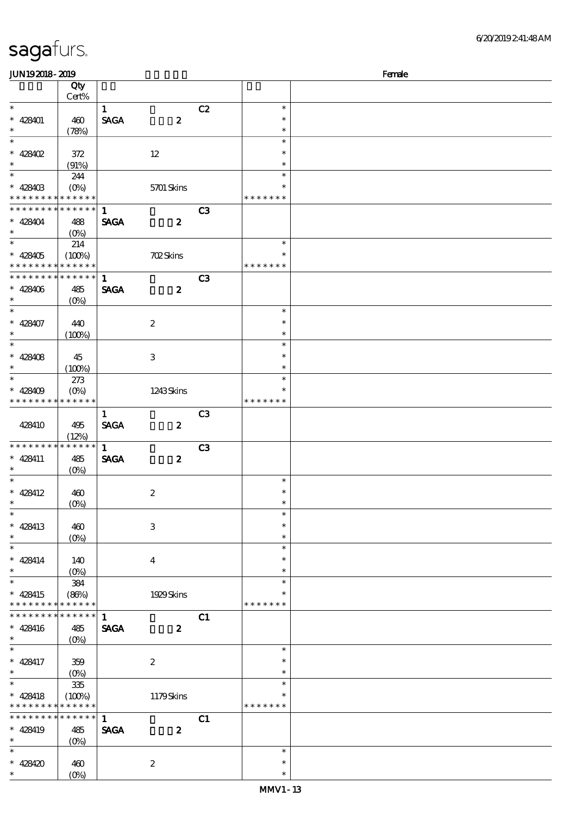| sagafurs.             |  |        |
|-----------------------|--|--------|
| <b>JUN192018-2019</b> |  | Female |
| м.,                   |  |        |

|                                            | Qty                  |                                |                           |                |               |  |
|--------------------------------------------|----------------------|--------------------------------|---------------------------|----------------|---------------|--|
|                                            | $Cert\%$             |                                |                           |                |               |  |
| $\ast$                                     |                      | $\mathbf{1}$                   |                           | C2             | $\ast$        |  |
| $* 428401$                                 | 460                  | $\operatorname{\mathsf{SAGA}}$ | $\boldsymbol{z}$          |                | $\ast$        |  |
| $\ast$                                     | (78%)                |                                |                           |                | $\ast$        |  |
| $\ast$                                     |                      |                                |                           |                | $\ast$        |  |
| $* 428402$                                 | 372                  |                                | $12\,$                    |                | $\ast$        |  |
| $\ast$                                     | (91%)                |                                |                           |                | $\ast$        |  |
| $\ast$                                     | 244                  |                                |                           |                | $\ast$        |  |
| $* 42840B$                                 | $(O\%)$              |                                | <b>5701 Skins</b>         |                | $\ast$        |  |
| * * * * * * * * <mark>* * * * * * *</mark> |                      |                                |                           |                | * * * * * * * |  |
| * * * * * * * * * * * * * *                |                      | $\mathbf{1}$                   |                           | C3             |               |  |
| $* 428404$                                 | 488                  | <b>SAGA</b>                    | $\boldsymbol{z}$          |                |               |  |
| $\ast$                                     | $(O\%)$              |                                |                           |                |               |  |
| $\ast$                                     | 214                  |                                |                           |                | $\ast$        |  |
| $* 428405$                                 | (100%)               |                                | <b>702Skins</b>           |                | $\ast$        |  |
| * * * * * * * * * * * * * *                |                      |                                |                           |                | * * * * * * * |  |
| * * * * * * * * * * * * * *                |                      | $\mathbf{1}$                   |                           | C <sub>3</sub> |               |  |
| $* 428406$                                 | 485                  | <b>SAGA</b>                    | $\boldsymbol{z}$          |                |               |  |
| $\ast$                                     | $(O\%)$              |                                |                           |                |               |  |
| $\overline{\ast}$                          |                      |                                |                           |                | $\ast$        |  |
| $* 428407$                                 | 440                  |                                | $\boldsymbol{2}$          |                | $\ast$        |  |
| $\ast$                                     | (100%)               |                                |                           |                | $\ast$        |  |
| $\ast$                                     |                      |                                |                           |                | $\ast$        |  |
| $* 428408$                                 | 45                   |                                | $\,3\,$                   |                | $\ast$        |  |
| $\ast$                                     | (100%)               |                                |                           |                | $\ast$        |  |
| $\ast$                                     | 273                  |                                |                           |                | $\ast$        |  |
| $* 428409$                                 | $(0\%)$              |                                | 1243Skins                 |                | $\ast$        |  |
| * * * * * * * *                            | * * * * * *          |                                |                           |                | * * * * * * * |  |
|                                            |                      | $\mathbf{1}$                   |                           | C <sub>3</sub> |               |  |
| 428410                                     | 495                  | <b>SAGA</b>                    | $\boldsymbol{z}$          |                |               |  |
|                                            | (12%)                |                                |                           |                |               |  |
| * * * * * * * * * * * * * *                |                      | $\mathbf{1}$                   |                           | C3             |               |  |
| $* 428411$                                 | 485                  | <b>SAGA</b>                    | $\boldsymbol{z}$          |                |               |  |
| $\ast$                                     | $(O\%)$              |                                |                           |                |               |  |
| $\ast$                                     |                      |                                |                           |                | $\ast$        |  |
| $* 428412$                                 | 460                  |                                | $\boldsymbol{2}$          |                | $\ast$        |  |
| $\ast$                                     | $(O\%)$              |                                |                           |                | $\ast$        |  |
|                                            |                      |                                |                           |                |               |  |
| $* 428413$                                 | 460                  |                                | $\ensuremath{\mathbf{3}}$ |                | $\ast$        |  |
| $\ast$                                     |                      |                                |                           |                | $\ast$        |  |
| $\overline{\phantom{0}}$                   | $(0\%)$              |                                |                           |                | $\ast$        |  |
| $* 428414$                                 |                      |                                |                           |                | $\ast$        |  |
| $\ast$                                     | 140                  |                                | $\bf{4}$                  |                | $\ast$        |  |
| $\ast$                                     | $(0\%)$              |                                |                           |                | $\ast$        |  |
|                                            | 384                  |                                |                           |                | $\ast$        |  |
| $* 428415$<br>* * * * * * * *              | (80%)<br>* * * * * * |                                | 1929Skins                 |                | * * * * * * * |  |
| * * * * * * * * * * * * * *                |                      |                                |                           |                |               |  |
|                                            |                      | $\mathbf{1}$                   |                           | C1             |               |  |
| $* 428416$<br>$\ast$                       | 485                  | <b>SAGA</b>                    | $\boldsymbol{z}$          |                |               |  |
| $\ast$                                     | $(O\%)$              |                                |                           |                |               |  |
|                                            |                      |                                |                           |                | $\ast$        |  |
| $* 428417$<br>$\ast$                       | 359                  |                                | $\boldsymbol{2}$          |                | $\ast$        |  |
| $\ast$                                     |                      |                                |                           |                | $\ast$        |  |
|                                            | $335\,$              |                                |                           |                | $\ast$        |  |
| $* 428418$                                 | (100%)               |                                | $1179$ Skins              |                | $\ast$        |  |
| * * * * * * * * * * * * * *                |                      |                                |                           |                | * * * * * * * |  |
| * * * * * * * * <mark>* * * * * * *</mark> |                      | $\mathbf{1}$                   |                           | C1             |               |  |
| $* 428419$                                 | 485                  | <b>SAGA</b>                    | $\boldsymbol{z}$          |                |               |  |
| $\ast$                                     | $(0\%)$              |                                |                           |                |               |  |
| $\ast$                                     |                      |                                |                           |                | $\ast$        |  |
| $* 428420$                                 | 460                  |                                | $\boldsymbol{2}$          |                | $\ast$        |  |
| $\ast$                                     | $(0\%)$              |                                |                           |                | $\ast$        |  |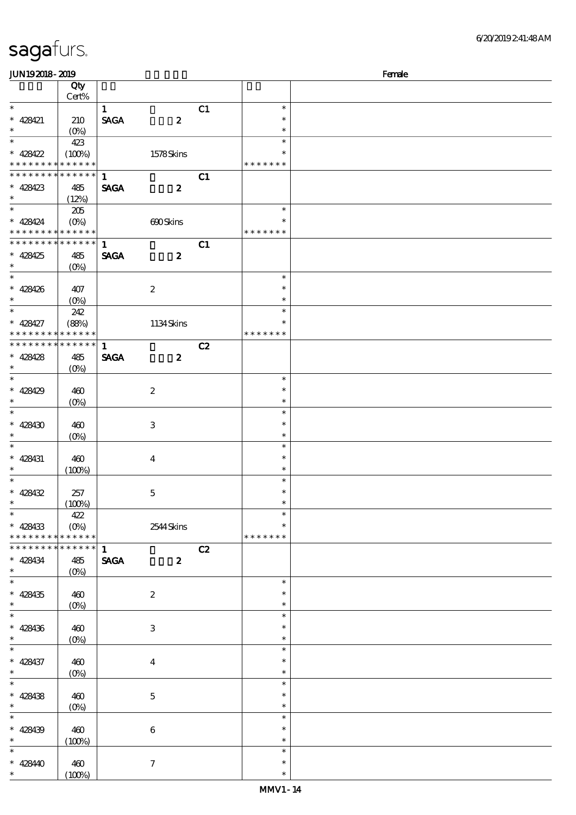| <b>Saga</b> furs.     |                   |             |   |               |        |       |
|-----------------------|-------------------|-------------|---|---------------|--------|-------|
| <b>JUN192018-2019</b> |                   |             |   |               |        | Femak |
|                       | Qty               |             |   |               |        |       |
|                       | Cert%             |             |   |               |        |       |
|                       |                   |             |   | $\mathbf{C1}$ | $\ast$ |       |
| 428421<br>∗           | 210               | <b>SAGA</b> | 2 |               | $\ast$ |       |
| $\ast$                | (O <sub>0</sub> ) |             |   |               | $\ast$ |       |
|                       |                   |             |   |               |        |       |

|                                            | Qty            |                              |                           |    |               |  |
|--------------------------------------------|----------------|------------------------------|---------------------------|----|---------------|--|
|                                            | Cert%          |                              |                           |    |               |  |
| $\ast$                                     |                | $\mathbf{1}$                 |                           | C1 | $\ast$        |  |
| $* 428421$                                 | 210            | $\ensuremath{\mathsf{SAGA}}$ | $\boldsymbol{z}$          |    | $\ast$        |  |
| $\ast$<br>$\ast$                           |                |                              |                           |    | $\ast$        |  |
|                                            | 423            |                              |                           |    | $\ast$        |  |
| $* 428422$                                 | (100%)         |                              | 1578Skins                 |    | $\ast$        |  |
| * * * * * * * * <mark>* * * * * * *</mark> |                |                              |                           |    | * * * * * * * |  |
| * * * * * * * * * * * * * * *              |                | $\mathbf{1}$                 |                           | C1 |               |  |
| $* 428423$                                 | 485            | <b>SAGA</b>                  | $\boldsymbol{z}$          |    |               |  |
| $\ast$                                     | (12%)          |                              |                           |    |               |  |
| $\ast$                                     | 205            |                              |                           |    | $\ast$        |  |
| $* 428424$                                 |                |                              | 690Skins                  |    | $\ast$        |  |
| * * * * * * * * * * * * * *                |                |                              |                           |    | * * * * * * * |  |
| * * * * * * * * * * * * * *                |                | $\mathbf{1}$                 |                           | C1 |               |  |
| $* 428425$                                 | 485            | <b>SAGA</b>                  | $\boldsymbol{2}$          |    |               |  |
| $\ast$                                     | $(0\%)$        |                              |                           |    |               |  |
| $\overline{\phantom{a}^*}$                 |                |                              |                           |    | $\ast$        |  |
| $* 428426$                                 | 407            |                              | $\boldsymbol{2}$          |    | $\ast$        |  |
| $\ast$                                     | $(O\% )$       |                              |                           |    | $\ast$        |  |
| $_{*}$                                     | 242            |                              |                           |    | $\ast$        |  |
| $* 428427$                                 | (88%)          |                              | 1134Skins                 |    | $\ast$        |  |
| * * * * * * * * <mark>* * * * * * *</mark> |                |                              |                           |    | * * * * * * * |  |
| * * * * * * * * * * * * * *                |                | $\mathbf{1}$                 |                           | C2 |               |  |
| $* 428428$                                 | 485            | <b>SAGA</b>                  | $\boldsymbol{z}$          |    |               |  |
| $\ast$                                     | $(O\%)$        |                              |                           |    |               |  |
| $\overline{\phantom{a}^*}$                 |                |                              |                           |    | $\ast$        |  |
| $* 428429$                                 | 460            |                              | $\boldsymbol{2}$          |    | $\ast$        |  |
| $\ast$                                     | $(O\!/\!o)$    |                              |                           |    | $\ast$        |  |
| $\overline{\ast}$                          |                |                              |                           |    | $\ast$        |  |
| $* 428430$                                 | 460            |                              | $\ensuremath{\mathbf{3}}$ |    | $\ast$        |  |
| $\ast$                                     | $(0\%)$        |                              |                           |    | $\ast$        |  |
| $\overline{\phantom{0}}$                   |                |                              |                           |    | $\ast$        |  |
| $* 428431$                                 | 460            |                              | $\bf{4}$                  |    | $\ast$        |  |
| $\ast$                                     | (100%)         |                              |                           |    | $\ast$        |  |
| $\overline{\ast}$                          |                |                              |                           |    | $\ast$        |  |
| $* 428432$                                 | 257            |                              | 5                         |    | $\ast$        |  |
| $\ast$                                     | (100%)         |                              |                           |    | $\ast$        |  |
| ∗                                          |                |                              |                           |    |               |  |
|                                            | 422<br>$(O\%)$ |                              |                           |    | $\ast$        |  |
| $* 428433$<br>* * * * * * * * * * * * * *  |                |                              | 2544 Skins                |    | * * * * * * * |  |
| * * * * * * * * * * * * * *                |                | $\mathbf{1}$                 |                           |    |               |  |
|                                            |                |                              |                           | C2 |               |  |
| $* 428434$<br>$\ast$                       | 485            | <b>SAGA</b>                  | $\boldsymbol{z}$          |    |               |  |
| $\overline{\phantom{a}^*}$                 | (0%)           |                              |                           |    | $\ast$        |  |
|                                            |                |                              |                           |    | $\ast$        |  |
| $* 428435$                                 | 460            |                              | $\boldsymbol{z}$          |    |               |  |
| $\ast$<br>$\overline{\ast}$                | (0%)           |                              |                           |    | $\ast$        |  |
|                                            |                |                              |                           |    | $\ast$        |  |
| $* 428436$                                 | 460            |                              | $\ensuremath{\mathbf{3}}$ |    | $\ast$        |  |
| $\ast$                                     | $(0\%)$        |                              |                           |    | $\ast$        |  |
| $\overline{\phantom{0}}$                   |                |                              |                           |    | $\ast$        |  |
| $* 428437$                                 | 460            |                              | $\boldsymbol{4}$          |    | $\ast$        |  |
| $\ast$                                     | $(0\%)$        |                              |                           |    | $\ast$        |  |
| $\overline{\ast}$                          |                |                              |                           |    | $\ast$        |  |
| $* 428438$                                 | 460            |                              | $\mathbf 5$               |    | $\ast$        |  |
| $\ast$                                     | (0%)           |                              |                           |    | $\ast$        |  |
| $\overline{\phantom{a}}$                   |                |                              |                           |    | $\ast$        |  |
| $* 428439$                                 | 460            |                              | $\boldsymbol{6}$          |    | $\ast$        |  |
| $\ast$                                     | (100%)         |                              |                           |    | $\ast$        |  |
| $\overline{\phantom{0}}$                   |                |                              |                           |    | $\ast$        |  |
| $* 428440$                                 | 460            |                              | $\boldsymbol{7}$          |    | $\ast$        |  |
| $\ast$                                     | (100%)         |                              |                           |    | $\ast$        |  |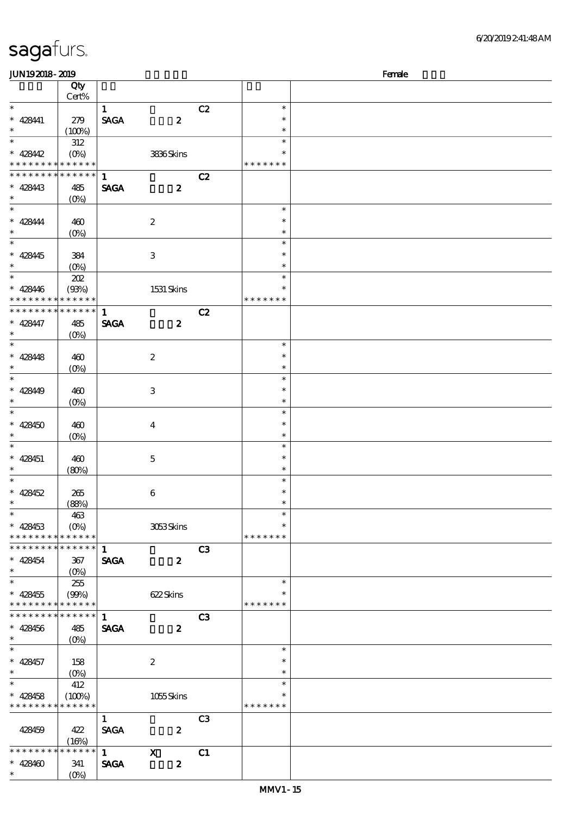| <b>JUN192018-2019</b>                      |                                                                |              |                  |                |               | Female |
|--------------------------------------------|----------------------------------------------------------------|--------------|------------------|----------------|---------------|--------|
|                                            | Qty                                                            |              |                  |                |               |        |
|                                            | Cert%                                                          |              |                  |                |               |        |
| $\ast$                                     |                                                                | $\mathbf{1}$ |                  | C2             | $\ast$        |        |
| $* 428441$                                 | 279                                                            | <b>SAGA</b>  | $\boldsymbol{z}$ |                | $\ast$        |        |
| $\ast$                                     | (100%)                                                         |              |                  |                | $\ast$        |        |
| $\ast$                                     |                                                                |              |                  |                | $\ast$        |        |
|                                            | 312                                                            |              |                  |                |               |        |
| $* 428442$                                 | $(O\%)$                                                        |              | 3836Skins        |                | $\ast$        |        |
| * * * * * * * * <mark>* * * * * *</mark> * |                                                                |              |                  |                | * * * * * * * |        |
| * * * * * * * *                            | * * * * * *                                                    | $\mathbf{1}$ |                  | C2             |               |        |
| $* 428443$                                 | 485                                                            | <b>SAGA</b>  | $\boldsymbol{z}$ |                |               |        |
| $\ast$                                     | $(O\!/\!o)$                                                    |              |                  |                |               |        |
| $\ast$                                     |                                                                |              |                  |                | $\ast$        |        |
| $* 428444$                                 | 460                                                            |              | $\boldsymbol{2}$ |                | $\ast$        |        |
| $\ast$                                     | $(O\!/\!\!\delta)$                                             |              |                  |                | $\ast$        |        |
| $\overline{\ast}$                          |                                                                |              |                  |                | $\ast$        |        |
| $* 428445$                                 |                                                                |              |                  |                | $\ast$        |        |
| $\ast$                                     | 384                                                            |              | $\,3\,$          |                | $\ast$        |        |
| $\ast$                                     | $(O\%)$                                                        |              |                  |                |               |        |
|                                            | 202                                                            |              |                  |                | $\ast$        |        |
| $* 428446$                                 | (93%)                                                          |              | 1531 Skins       |                | $\ast$        |        |
| * * * * * * * *                            | * * * * * *                                                    |              |                  |                | * * * * * * * |        |
| * * * * * * * *                            | * * * * * *                                                    | $\mathbf{1}$ |                  | C2             |               |        |
| $* 428447$                                 | 485                                                            | <b>SAGA</b>  | $\boldsymbol{z}$ |                |               |        |
| $\ast$                                     | $(O\%)$                                                        |              |                  |                |               |        |
| $\overline{\phantom{0}}$                   |                                                                |              |                  |                | $\ast$        |        |
| $* 428448$                                 | 460                                                            |              | $\boldsymbol{2}$ |                | $\ast$        |        |
| $\ast$                                     | $(0\%)$                                                        |              |                  |                | $\ast$        |        |
| $\ast$                                     |                                                                |              |                  |                | $\ast$        |        |
|                                            |                                                                |              |                  |                | $\ast$        |        |
| $* 428449$<br>$\ast$                       | 460                                                            |              | $\,3$            |                |               |        |
|                                            | $(0\%)$                                                        |              |                  |                | $\ast$        |        |
| $\ast$                                     |                                                                |              |                  |                | $\ast$        |        |
| $* 428450$                                 | 460                                                            |              | $\boldsymbol{4}$ |                | $\ast$        |        |
| $\ast$                                     | $(0\%)$                                                        |              |                  |                | $\ast$        |        |
| $\ast$                                     |                                                                |              |                  |                | $\ast$        |        |
| $* 428451$                                 | 460                                                            |              | $\mathbf 5$      |                | $\ast$        |        |
| $\ast$                                     | (80%)                                                          |              |                  |                | $\ast$        |        |
| $\ast$                                     |                                                                |              |                  |                | $\ast$        |        |
| $* 428452$                                 | 265                                                            |              | $\,6\,$          |                | $\ast$        |        |
| $*$                                        | (88%)                                                          |              |                  |                | $\ast$        |        |
| $\ast$                                     | 463                                                            |              |                  |                | $\ast$        |        |
| $* 428453$                                 | $(O\% )$                                                       |              | 3053Skins        |                | $\ast$        |        |
| * * * * * * * *                            | * * * * * *                                                    |              |                  |                | * * * * * * * |        |
| * * * * * * * *                            | * * * * * *                                                    | $\mathbf{1}$ |                  | C3             |               |        |
|                                            |                                                                |              |                  |                |               |        |
| $* 428454$<br>$\ast$                       | 367                                                            | <b>SAGA</b>  | $\boldsymbol{z}$ |                |               |        |
| $\ast$                                     | $(O\!\!\!\!\!\!\!\backslash \textrm{O}\!\!\!\!\!\!\backslash)$ |              |                  |                | $\ast$        |        |
|                                            | 255                                                            |              |                  |                |               |        |
| $* 428455$                                 | (90%)                                                          |              | 622Skins         |                | $\ast$        |        |
| * * * * * * * * * * * * * *                |                                                                |              |                  |                | * * * * * * * |        |
| * * * * * * * * * * * * * * *              |                                                                | $\mathbf{1}$ |                  | C <sub>3</sub> |               |        |
| $* 428456$                                 | 485                                                            | <b>SAGA</b>  | $\boldsymbol{2}$ |                |               |        |
| $\ast$                                     |                                                                |              |                  |                |               |        |
| $\ast$                                     |                                                                |              |                  |                | $\ast$        |        |
| $* 428457$                                 | 158                                                            |              | $\boldsymbol{2}$ |                | $\ast$        |        |
| $\ast$                                     |                                                                |              |                  |                | $\ast$        |        |
| $\overline{\phantom{a}^*}$                 | 412                                                            |              |                  |                | $\ast$        |        |
| $* 428458$                                 | (100%)                                                         |              | 1055Skins        |                | $\ast$        |        |
| * * * * * * * *                            | * * * * * *                                                    |              |                  |                | * * * * * * * |        |
|                                            |                                                                |              |                  |                |               |        |
|                                            |                                                                | $\mathbf{1}$ |                  | C <sub>3</sub> |               |        |
| 428459                                     | 422                                                            | <b>SAGA</b>  | $\boldsymbol{2}$ |                |               |        |
|                                            | (16%)                                                          |              |                  |                |               |        |
| * * * * * * * *                            | * * * * * *                                                    | $1$ X        |                  | C1             |               |        |
| $* 428460$                                 | 341                                                            | <b>SAGA</b>  | $\boldsymbol{z}$ |                |               |        |
| $\ast$                                     | $(O\%)$                                                        |              |                  |                |               |        |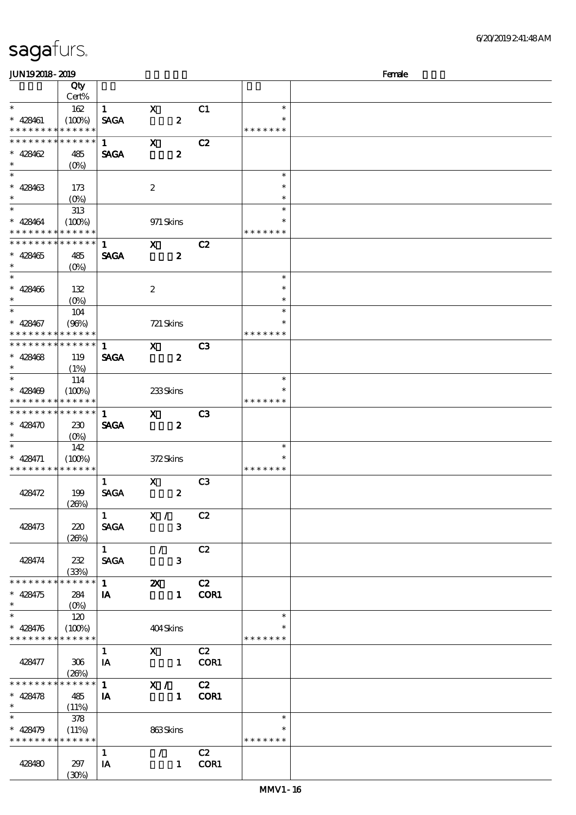|  | sagafurs. |
|--|-----------|
|  |           |

\* \*

\*

\* \*

\*

\* 428479

\* 428476

428475 284

\* \* \* \* \* \* \* \* \* \* \* \*

428477 306

**\* \* \* \* \* \* \* \* \* \* \* \* \*** 

428478 485

\* \* \* \* \* \* \* \* \* \* \* \* \*

428480 297

(0%)

120

 $(26%)$ 

 $(11%)$ 

378

(30%)

### $JUN192018 - 2019$  Female **Qty** Cert% 说明 价格 \* \* 428461 \* \* \* \* \* \* \* \* \* \* \* 162  $(100%)$ 1 X C1 SAGA 2 \* \* \* \* \* \* \* \* \* 1 X C2 SAGA 2 **\* \* \* \* \* \* \* \* \* \* \* \* \* \*** \* \* 428462 485 (0%) \* \* 428463 173 \* (0%) 2 \* \* \* \* \* 428464 \* \* \* \* \* \* \* \* \* \* \* \* \* 313  $(100%)$  971 Skins \* \* \* \* \* \* \* \* \* 1 X C2 SAGA 2 **\* \* \* \* \* \* \* \* \* \* \* \* \*** \* \* \* 428465 485 (0%) \* \* 428466 132 \* (0%) 2 \* \* \* \* \* 428467 \* \* \* \* \* \* \* \* \* \* \* \* 104 (96%) 721 Skins \* \* \* \* \* \* \* \* \* 1 X C3 SAGA 2 **\* \* \* \* \* \* \* \* \* \* \* \* \* \* \*** \* \* 428468 119 (1%) \* \* 428469 \* \* \* \* \* \* \* \* \* \* \* \* \* 114  $(100\%)$   $233$  Skins \* \* \* \* \* \* \* \* \*  $\overline{1}$   $\overline{X}$  C3 SAGA 2 \* \* \* \* \* \* \* \* \* \* \* \* \* \* 428470 230 (0%) \* \* 428471 \* \* \* \* \* \* \* \* \* \* \* \* \* 142  $(100\%)$  372 Skins \* \* \* \* \* \* \* \* \* 428472 199 (26%)  $1$  X C3  $SAGA$  2 428473 220  $(26%)$  $1$  X / C2 SAGA 3 428474 232 (33%)  $1$  / C2 SAGA 3  $1$  2X C2 \* \* \* \* \* \* \* \* \* \* \* \* \*

IA 1 COR1

 $\overline{1}$  X C<sub>2</sub> IA 1 COR1

 $1$  X / C2 IA 1 COR1

 $1$  / C2 IA 1 COR1

 $(100\%)$  404 Skins

(11%) 863 Skins

\* \* \* \* \* \* \*

\* \*

> \* \*

\* \* \* \* \* \* \*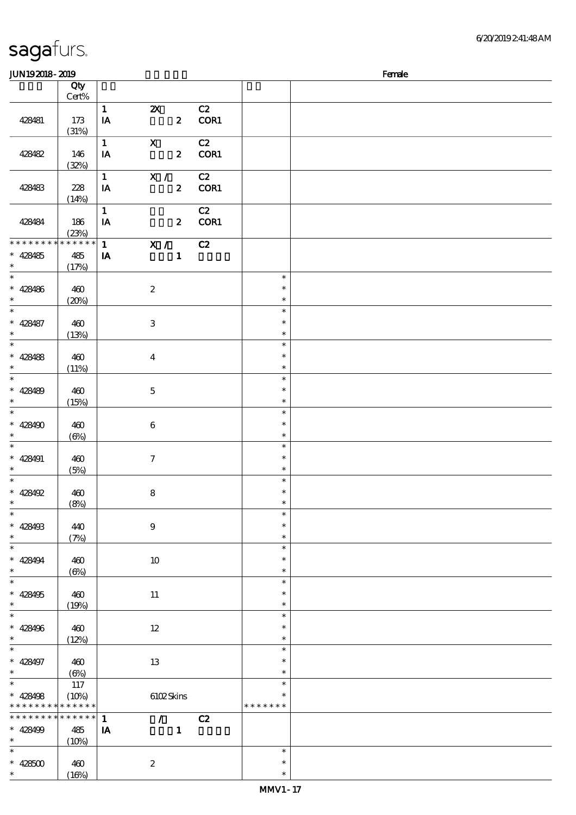\* \*

\*

\*

\*

\*

\*

\*

\*

\*

\*

\*

\*

\*

\*

\*

\*

\*

\*

\*

\*

\*

\*

 $(16%$ 

### 顺序号 Qty Cert% 说明 价格 428481 173  $(31%)$ 1 2X C2 IA 2 COR1 428482 146 (32%) 1 X C2 IA 2 COR1 428483 228  $(14%)$  $1$  X / C2 IA 2 COR1 428484 186 (23%)  $\overline{1}$  C<sub>2</sub> IA 2 COR1  $1$  X / C2 IA  $1$ **\* \* \* \* \* \* \* \* \* \* \* \* \* \*** 428485 485  $(17%)$ \* \* 428486 460  $(20%)$ 2 \* \* \* \* 428487 460  $(13%)$ 3 \* \* \* \* 428488 460 (11%) 4 \* \* \* \* 428489 460 (15%) 5 \* \* \* \* 428490 460 (6%) 6 \* \* \* \* \* 428491 460 (5%) 7 \* \* \* \* \* 428492 460 (8%) 8 \* \* \* \* 428493 440 (7%) 9 \* \* \* \* \* 428494 460 (6%) 10 \* \* \* \* 428495 460 (19%) 11 \* \* \* \* \* 428496 460  $(12%)$ 12 \* \* \* \* \* 428497 460 (6%) 13 \* \* \* \* 428498 \* \* \* \* \* \* \* \* <mark>\* \* \* \* \*</mark> 117 (10%) 6102 Skins \* \* \* \* \* \* \* \* \* 1 / C2 IA  $1$ **\* \* \* \* \* \* \* \* \* \* \* \* \*** \* 428499 485  $(10%)$ \* \* 428500 460 2 \* \*

 $JUN192018-2019$  Female

\*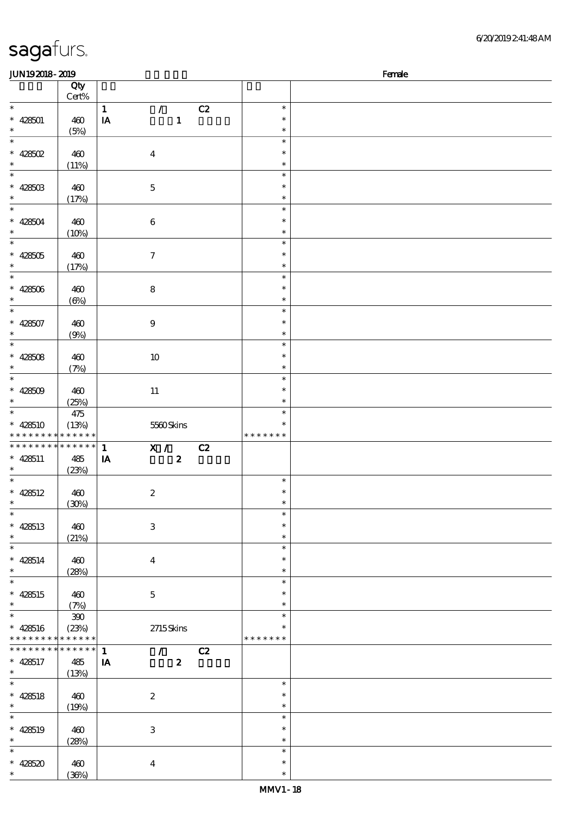| Female<br><b>JUN192018-2019</b>                                         |                             |                                                                               |                                   |  |
|-------------------------------------------------------------------------|-----------------------------|-------------------------------------------------------------------------------|-----------------------------------|--|
|                                                                         | Qty<br>$Cert\%$             |                                                                               |                                   |  |
| $\ast$<br>$* 428501$<br>$\ast$                                          | 460                         | $\mathbf 1$<br>C2<br>$\mathcal{L}$<br>$\mathbf{1}$<br>$\mathbf{I} \mathbf{A}$ | $\ast$<br>$\ast$<br>$\ast$        |  |
| $\ast$<br>* $428502$                                                    | (5%)<br>460                 | $\bf{4}$                                                                      | $\ast$<br>$\ast$                  |  |
| $\ast$<br>$\overline{\phantom{0}}$                                      | (11%)                       |                                                                               | $\ast$<br>$\ast$                  |  |
| $* 428503$<br>$\ast$<br>$\ast$                                          | 460<br>(17%)                | $\mathbf 5$                                                                   | $\ast$<br>$\ast$<br>$\ast$        |  |
| $* 428504$<br>$\ast$                                                    | 460<br>(10%)                | $\,6\,$                                                                       | $\ast$<br>$\ast$                  |  |
| $\ast$<br>$* 428505$<br>$\ast$                                          | 460<br>(17%)                | $\boldsymbol{7}$                                                              | $\ast$<br>$\ast$<br>$\ast$        |  |
| $\ast$<br>$* 428506$<br>$\ast$                                          | 460<br>$(\Theta)$           | $\bf 8$                                                                       | $\ast$<br>$\ast$<br>$\ast$        |  |
| $\ast$<br>$* 428507$<br>$\ast$                                          | 460<br>(9%)                 | $\boldsymbol{9}$                                                              | $\ast$<br>$\ast$<br>$\ast$        |  |
| $\overline{\phantom{a}}$<br>$* 428508$                                  | 460                         | $10\,$                                                                        | $\ast$<br>$\ast$                  |  |
| $\ast$<br>$\overline{\phantom{a}}$<br>$* 428509$                        | (7%)<br>460                 | $11\,$                                                                        | $\ast$<br>$\ast$<br>$\ast$        |  |
| $\ast$<br>$\ast$<br>$* 428510$                                          | (25%)<br>$475$<br>(13%)     | 5560Skins                                                                     | $\ast$<br>$\ast$<br>$\ast$        |  |
| $* *$<br>* * * * * * * *                                                | * * * * * *                 | X /<br>$\mathbf{1}$<br>C2                                                     | * * * * * * *                     |  |
| $* 428511$<br>$\ast$                                                    | 485<br>(23%)                | $\pmb{2}$<br>IA                                                               |                                   |  |
| $\ast$<br>$* 428512$<br>$\ast$                                          | 460<br>(30%)                | $\boldsymbol{2}$                                                              | $\ast$<br>$\ast$<br>$\ast$        |  |
| $\overline{\ast}$<br>$* 428513$<br>$\ast$                               | 460<br>(21%)                | $\,3$                                                                         | $\ast$<br>$\ast$<br>$\ast$        |  |
| $\overline{\phantom{0}}$<br>$* 428514$<br>$\ast$                        | 460<br>(28%)                | $\boldsymbol{4}$                                                              | $\ast$<br>$\ast$<br>$\ast$        |  |
| $_{*}$<br>$* 428515$<br>$\ast$                                          | 460<br>(7%)                 | $\mathbf 5$                                                                   | $\ast$<br>$\ast$<br>$\ast$        |  |
| $\overline{\phantom{a}^*}$<br>$* 428516$<br>* * * * * * * * * * * * * * | $300\,$<br>(23%)            | $2715$ Skins                                                                  | $\ast$<br>$\ast$<br>* * * * * * * |  |
| * * * * * * * *<br>$* 428517$<br>$\ast$                                 | * * * * * *<br>485<br>(13%) | $\mathcal{T}^{\mathcal{A}}$<br>$\mathbf{1}$<br>C2<br>$\boldsymbol{z}$<br>IA   |                                   |  |
| $\overline{\phantom{a}^*}$<br>$* 428518$<br>$\ast$                      | 460<br>(19%)                | $\boldsymbol{2}$                                                              | $\ast$<br>$\ast$<br>$\ast$        |  |
| $\overline{\phantom{a}^*}$<br>$* 428519$<br>$\ast$                      | 460<br>(28%)                | $\ensuremath{\mathbf{3}}$                                                     | $\ast$<br>$\ast$<br>$\ast$        |  |
| $\overline{\phantom{0}}$<br>$* 428520$<br>$\ast$                        | 460<br>(36%)                | $\boldsymbol{4}$                                                              | $\ast$<br>$\ast$<br>$\ast$        |  |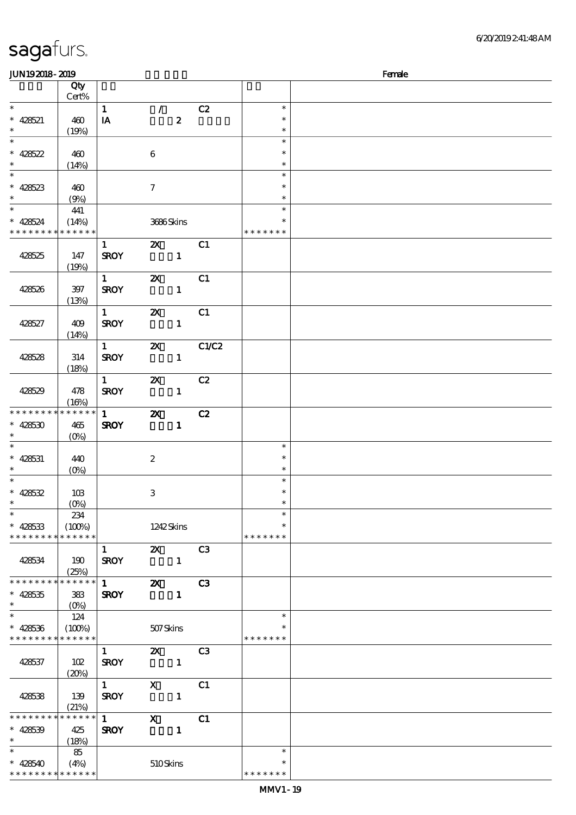| <b>JUN192018-2019</b>                    |                 |                        |                            |                  |               | Female |
|------------------------------------------|-----------------|------------------------|----------------------------|------------------|---------------|--------|
|                                          | Qty             |                        |                            |                  |               |        |
|                                          | Cert%           |                        |                            |                  |               |        |
| $\ast$                                   |                 | $\mathbf{1}$           | $\mathcal{L}$              | C2               | $\ast$        |        |
| $* 428521$                               | 460             | IA                     |                            | $\boldsymbol{z}$ | $\ast$        |        |
| $\ast$                                   | (19%)           |                        |                            |                  | $\ast$        |        |
| $\ast$                                   |                 |                        |                            |                  | $\ast$        |        |
|                                          |                 |                        |                            |                  | $\ast$        |        |
| $* 428522$                               | 460             |                        | 6                          |                  |               |        |
| $\ast$<br>$_{*}^{-}$                     | (14%)           |                        |                            |                  | $\ast$        |        |
|                                          |                 |                        |                            |                  | $\ast$        |        |
| $* 428523$                               | 460             |                        | $\tau$                     |                  | $\ast$        |        |
| $\ast$                                   | (9%)            |                        |                            |                  | $\ast$        |        |
| $_{*}$                                   | 441             |                        |                            |                  | $\ast$        |        |
| $* 428524$                               | (14%)           |                        | 3686Skins                  |                  | $\ast$        |        |
| * * * * * * * * <mark>* * * * * *</mark> |                 |                        |                            |                  | * * * * * * * |        |
|                                          |                 | $\mathbf{1}$           | $\mathbf{x}$               | C1               |               |        |
|                                          |                 |                        |                            |                  |               |        |
| 428525                                   | 147             | <b>SROY</b>            |                            | $\mathbf{1}$     |               |        |
|                                          | (19%)           |                        |                            |                  |               |        |
|                                          |                 | $1 \quad \blacksquare$ | $\boldsymbol{\mathsf{z}}$  | C1               |               |        |
| 428526                                   | 397             | <b>SROY</b>            |                            | $\mathbf{1}$     |               |        |
|                                          | (13%)           |                        |                            |                  |               |        |
|                                          |                 | $1-$                   | $\boldsymbol{\mathsf{z}}$  | C1               |               |        |
| 428527                                   | 409             | <b>SROY</b>            |                            | $\mathbf{1}$     |               |        |
|                                          | (14%)           |                        |                            |                  |               |        |
|                                          |                 | $1 \quad \blacksquare$ | $\boldsymbol{\mathsf{X}}$  | C1/C2            |               |        |
|                                          |                 |                        |                            | $\mathbf{1}$     |               |        |
| 428528                                   | 314             | <b>SROY</b>            |                            |                  |               |        |
|                                          | (18%)           |                        |                            |                  |               |        |
|                                          |                 | $1 \quad \blacksquare$ | $\boldsymbol{\mathsf{X}}$  | C2               |               |        |
| 428529                                   | 478             | <b>SROY</b>            |                            | $\mathbf{1}$     |               |        |
|                                          | (16%)           |                        |                            |                  |               |        |
| * * * * * * * *                          | $* * * * * * *$ | $1 \quad \blacksquare$ | $\boldsymbol{\mathsf{z}}$  | C2               |               |        |
| $* 428530$                               | 465             | <b>SROY</b>            |                            | $\mathbf{1}$     |               |        |
| $\ast$                                   | $(O\%)$         |                        |                            |                  |               |        |
| $\ast$                                   |                 |                        |                            |                  | $\ast$        |        |
| $* 428531$                               | 440             |                        | $\boldsymbol{2}$           |                  | $\ast$        |        |
| $\ast$                                   | $(0\%)$         |                        |                            |                  | $\ast$        |        |
| $\ast$                                   |                 |                        |                            |                  | $\ast$        |        |
|                                          |                 |                        |                            |                  |               |        |
| $* 428532$                               | 10B             |                        | $\,3$                      |                  | $\ast$        |        |
| $*$                                      | (0%)            |                        |                            |                  | $\ast$        |        |
| $\ast$                                   | 234             |                        |                            |                  | $\ast$        |        |
| $* 428533$                               | (100%)          |                        | 1242Skins                  |                  | $\ast$        |        |
| * * * * * * * *                          | * * * * * *     |                        |                            |                  | * * * * * * * |        |
|                                          |                 | $1 \quad$              |                            | <b>2X</b> C3     |               |        |
| 428534                                   | 190             | <b>SROY</b>            |                            | $\mathbf{1}$     |               |        |
|                                          | (25%)           |                        |                            |                  |               |        |
| * * * * * * * * * * * * * *              |                 | $\overline{1}$         |                            | <b>2X</b> C3     |               |        |
| $* 428535$                               | 383             | <b>SROY</b>            |                            | $\mathbf{1}$     |               |        |
| $\ast$                                   |                 |                        |                            |                  |               |        |
| $\ast$                                   |                 |                        |                            |                  | $\ast$        |        |
|                                          | 124             |                        |                            |                  |               |        |
| $* 428536$                               | (100%)          |                        | 507Skins                   |                  |               |        |
| * * * * * * * * * * * * * *              |                 |                        |                            |                  | * * * * * * * |        |
|                                          |                 | $1 \quad \blacksquare$ |                            | <b>2X</b> C3     |               |        |
| 428537                                   | 102             | <b>SROY</b>            | $\overline{\phantom{a}}$ 1 |                  |               |        |
|                                          | (20%)           |                        |                            |                  |               |        |
|                                          |                 | $1 \quad \blacksquare$ | $\mathbf{X}$               | C1               |               |        |
| 428538                                   | 139             | <b>SROY</b>            |                            | $\mathbf{1}$     |               |        |
|                                          | (21%)           |                        |                            |                  |               |        |
| * * * * * * * *                          | * * * * * *     | $1 \quad \square$      | $\mathbf{x}$               | C1               |               |        |
|                                          |                 |                        |                            |                  |               |        |
| $* 428539$                               | 425             | <b>SROY</b>            |                            | $\mathbf{1}$     |               |        |
| $\ast$                                   | (18%)           |                        |                            |                  |               |        |
| $\ast$                                   | 85              |                        |                            |                  | $\ast$        |        |
| $* 428540$                               | (4%)            |                        | 510Skins                   |                  | *             |        |
| * * * * * * * * * * * * * *              |                 |                        |                            |                  | * * * * * * * |        |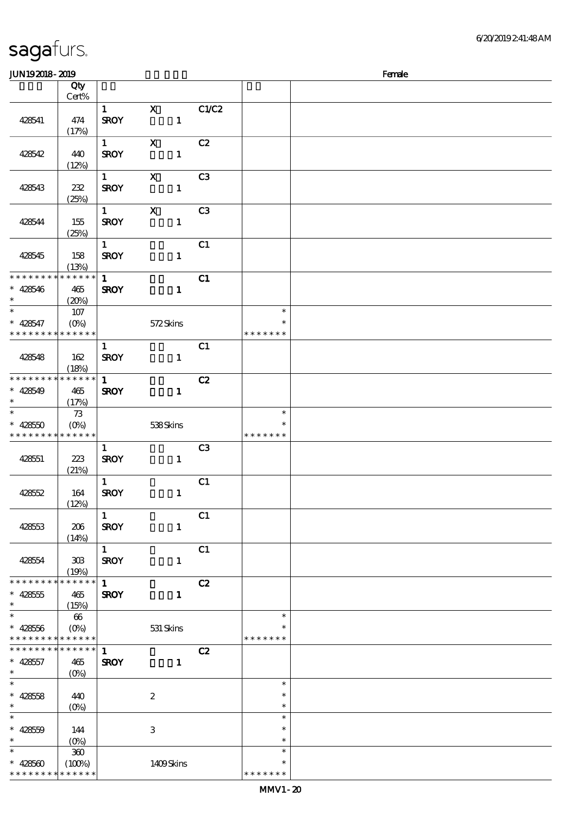JUN192018-2019

| <b>aga</b> turs.                                 |                                            |                             |              |              |        |                                   |        |  |  |
|--------------------------------------------------|--------------------------------------------|-----------------------------|--------------|--------------|--------|-----------------------------------|--------|--|--|
| N192018-2019                                     |                                            |                             |              |              |        |                                   | Female |  |  |
|                                                  | Qty<br>$\mbox{Cert}\%$                     |                             |              |              |        |                                   |        |  |  |
| 428541                                           | 474<br>(17%)                               | $\mathbf{1}$<br><b>SROY</b> | $\mathbf X$  | $\mathbf{1}$ | C1/C2  |                                   |        |  |  |
| 428542                                           | 440<br>(12%)                               | $\mathbf{1}$<br><b>SROY</b> | $\mathbf X$  | 1            | C2     |                                   |        |  |  |
| 428543                                           | $232\,$<br>(25%)                           | $\mathbf{1}$<br><b>SROY</b> | $\mathbf{x}$ | 1            | C3     |                                   |        |  |  |
| 428544                                           | 155<br>(25%)                               | $\mathbf{1}$<br><b>SROY</b> | $\mathbf X$  | 1            | C3     |                                   |        |  |  |
| 428545                                           | 158<br>(13%)                               | $\mathbf{1}$<br><b>SROY</b> |              | 1            | C1     |                                   |        |  |  |
| * * * * * * *<br>428546                          | * * * * * *<br>465<br>(20%)                | $\mathbf{1}$<br><b>SROY</b> |              | 1            | C1     |                                   |        |  |  |
| 428547<br>* * * * * * * <mark>* * * * * *</mark> | 107<br>$(0\%)$                             |                             | 572Skins     |              |        | $\ast$<br>$\ast$<br>* * * * * * * |        |  |  |
| 428548                                           | 162<br>(18%)                               | 1<br><b>SROY</b>            |              | $\mathbf{1}$ | C1     |                                   |        |  |  |
|                                                  | ا اساسیت به به به به به اسیت به به به به ب |                             |              |              | $\sim$ |                                   |        |  |  |

|                                            |                            |              |                  | ~              |                   |  |
|--------------------------------------------|----------------------------|--------------|------------------|----------------|-------------------|--|
| 428545                                     | 158                        | <b>SROY</b>  | $\mathbf{1}$     |                |                   |  |
|                                            | (13%)                      |              |                  |                |                   |  |
| * * * * * * * * * * * * * *                |                            | $\mathbf{1}$ |                  | C1             |                   |  |
| $* 428546$                                 | 465                        | <b>SROY</b>  | $\mathbf{1}$     |                |                   |  |
| $\ast$                                     |                            |              |                  |                |                   |  |
| $\ast$                                     | (20%)                      |              |                  |                |                   |  |
|                                            | 107                        |              |                  |                | $\ast$            |  |
| $* 428547$                                 | $(O\%)$                    |              | 572Skins         |                | $\ast$            |  |
| * * * * * * * * * * * * * *                |                            |              |                  |                | * * * * * * *     |  |
|                                            |                            | $\mathbf{1}$ |                  | C1             |                   |  |
| 428548                                     | 162                        | <b>SROY</b>  | $\blacksquare$   |                |                   |  |
|                                            | (18%)                      |              |                  |                |                   |  |
| * * * * * * * * <mark>* * * * * * *</mark> |                            | $\mathbf{1}$ |                  | C2             |                   |  |
|                                            |                            |              |                  |                |                   |  |
| $* 428549$                                 | 465                        | <b>SROY</b>  | $\mathbf{1}$     |                |                   |  |
| $\ast$                                     | (17%)                      |              |                  |                |                   |  |
| $\ast$                                     | $\boldsymbol{\mathcal{B}}$ |              |                  |                | $\ast$            |  |
| $* 42850$                                  |                            |              | 538Skins         |                | $\ast$            |  |
| * * * * * * * * * * * * * *                |                            |              |                  |                | * * * * * * *     |  |
|                                            |                            | $\mathbf{1}$ |                  | C <sub>3</sub> |                   |  |
| 428551                                     | 223                        | <b>SROY</b>  | $\mathbf{1}$     |                |                   |  |
|                                            |                            |              |                  |                |                   |  |
|                                            | (21%)                      |              |                  |                |                   |  |
|                                            |                            | $\mathbf{1}$ |                  | C1             |                   |  |
| 428552                                     | 164                        | <b>SROY</b>  | $\mathbf{1}$     |                |                   |  |
|                                            | (12%)                      |              |                  |                |                   |  |
|                                            |                            | $\mathbf{1}$ |                  | C1             |                   |  |
| 42853                                      | 206                        | <b>SROY</b>  | $\mathbf{1}$     |                |                   |  |
|                                            | (14%)                      |              |                  |                |                   |  |
|                                            |                            | $\mathbf{1}$ |                  | C1             |                   |  |
|                                            |                            |              |                  |                |                   |  |
| 428554                                     | 308                        | <b>SROY</b>  | $\mathbf{1}$     |                |                   |  |
|                                            | (19%)                      |              |                  |                |                   |  |
| * * * * * * * * * * * * * *                |                            | $\mathbf{1}$ |                  | C2             |                   |  |
| $* 428555$                                 | 465                        | <b>SROY</b>  | $\mathbf{1}$     |                |                   |  |
| $\ast$                                     | (15%)                      |              |                  |                |                   |  |
| $\ast$                                     | 66                         |              |                  |                | $\ast$            |  |
| $* 428556$                                 | $(0\%)$                    |              | 531 Skins        |                | $\ast$            |  |
| * * * * * * * * <mark>* * * * * * *</mark> |                            |              |                  |                | * * * * * * *     |  |
| * * * * * * * * * * * * * *                |                            | $\mathbf{1}$ |                  | C2             |                   |  |
|                                            |                            |              |                  |                |                   |  |
| $* 428557$                                 | 465                        | <b>SROY</b>  | $\mathbf{1}$     |                |                   |  |
| $\ast$                                     | $(O\%)$                    |              |                  |                |                   |  |
| $\ast$                                     |                            |              |                  |                | $\ast$            |  |
| 428558<br>$\ast$                           | 440                        |              | $\boldsymbol{2}$ |                | $\ast$            |  |
| $\ast$                                     | $(0\%)$                    |              |                  |                | $\ast$            |  |
| $\ast$                                     |                            |              |                  |                | $\ast$            |  |
| $* 428559$                                 | 144                        |              | $\,3$            |                | $\ast$            |  |
| $\ast$                                     |                            |              |                  |                | $\ast$            |  |
| $\ast$                                     | $(O\%)$                    |              |                  |                |                   |  |
|                                            | $360\,$                    |              |                  |                | $\ast$            |  |
| $* 42850$                                  | (100%)                     |              | 1409Skins        |                | $\ast$            |  |
| * * * * * * *                              | * * * * * *                |              |                  |                | * * * * * * *     |  |
|                                            |                            |              |                  |                | $AA \overline{A}$ |  |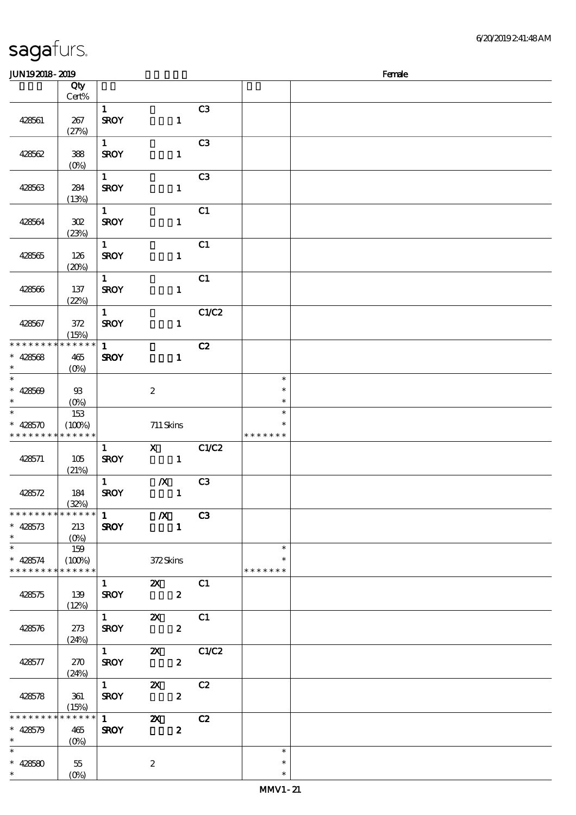| <b>JUN192018-2019</b>         |                 |              |                                              |                |               | Female |
|-------------------------------|-----------------|--------------|----------------------------------------------|----------------|---------------|--------|
|                               | Qty             |              |                                              |                |               |        |
|                               | Cert%           |              |                                              |                |               |        |
|                               |                 | $\mathbf{1}$ |                                              | C3             |               |        |
| 428561                        | 267             | <b>SROY</b>  | $\mathbf{1}$                                 |                |               |        |
|                               |                 |              |                                              |                |               |        |
|                               | (27%)           |              |                                              |                |               |        |
|                               |                 | $\mathbf{1}$ |                                              | C <sub>3</sub> |               |        |
| 428562                        | 388             | <b>SROY</b>  | $\mathbf{1}$                                 |                |               |        |
|                               | $(0\%)$         |              |                                              |                |               |        |
|                               |                 | $\mathbf{1}$ |                                              | C <sub>3</sub> |               |        |
| 428563                        | 284             | <b>SROY</b>  | $\mathbf{1}$                                 |                |               |        |
|                               | (13%)           |              |                                              |                |               |        |
|                               |                 | $\mathbf{1}$ |                                              | C1             |               |        |
| 428564                        | ${\bf 3\Omega}$ | <b>SROY</b>  | $\mathbf{1}$                                 |                |               |        |
|                               |                 |              |                                              |                |               |        |
|                               | (23%)           |              |                                              |                |               |        |
|                               |                 | $1 -$        |                                              | C1             |               |        |
| 428565                        | 126             | <b>SROY</b>  | $\mathbf{1}$                                 |                |               |        |
|                               | (20%)           |              |                                              |                |               |        |
|                               |                 | $\mathbf{1}$ |                                              | C1             |               |        |
| 428566                        | 137             | <b>SROY</b>  | $\mathbf{1}$                                 |                |               |        |
|                               | (22%)           |              |                                              |                |               |        |
|                               |                 | $\mathbf{1}$ |                                              | C1/C2          |               |        |
| 428567                        | $372$           | <b>SROY</b>  | $\mathbf{1}$                                 |                |               |        |
|                               | (15%)           |              |                                              |                |               |        |
| * * * * * * * *               | * * * * * *     | $\mathbf{1}$ |                                              | C2             |               |        |
|                               |                 |              |                                              |                |               |        |
| $* 428568$                    | 465             | <b>SROY</b>  | $\mathbf{1}$                                 |                |               |        |
| $\ast$                        | $(O\%)$         |              |                                              |                |               |        |
| $\ast$                        |                 |              |                                              |                | $\ast$        |        |
| $* 428509$                    | $93$            |              | $\boldsymbol{2}$                             |                | $\ast$        |        |
| $\ast$                        | $(O\% )$        |              |                                              |                | $\ast$        |        |
| $\ast$                        | 153             |              |                                              |                | $\ast$        |        |
| * $428570$                    | (100%)          |              | $711$ Skins                                  |                |               |        |
| * * * * * * * *               | * * * * * *     |              |                                              |                | * * * * * * * |        |
|                               |                 | $\mathbf{1}$ | $\boldsymbol{\mathrm{X}}$                    | C1/C2          |               |        |
| 428571                        | 105             | <b>SROY</b>  | $\blacksquare$                               |                |               |        |
|                               | (21%)           |              |                                              |                |               |        |
|                               |                 | $\mathbf{1}$ | $\boldsymbol{X}$                             | C <sub>3</sub> |               |        |
|                               |                 |              |                                              |                |               |        |
| 428572                        | 184             | <b>SROY</b>  | $\mathbf{1}$                                 |                |               |        |
|                               | (32%)           |              |                                              |                |               |        |
|                               |                 |              |                                              |                |               |        |
| $* 428573$                    | 213             | <b>SROY</b>  | $\sim$ 1                                     |                |               |        |
| $\ast$                        | $(0\%)$         |              |                                              |                |               |        |
| $\overline{\phantom{0}}$      | 159             |              |                                              |                | $\ast$        |        |
| $* 428574$                    | (100%)          |              | 372Skins                                     |                | ∗             |        |
| * * * * * * * * * * * * * * * |                 |              |                                              |                | * * * * * * * |        |
|                               |                 |              | $1 \t\t 2X \t\t C1$                          |                |               |        |
| 428575                        | 139             |              | $SROY$ 2                                     |                |               |        |
|                               | (12%)           |              |                                              |                |               |        |
|                               |                 |              |                                              |                |               |        |
|                               |                 |              |                                              |                |               |        |
| 428576                        | 273             | <b>SROY</b>  | $\mathbf{2}$                                 |                |               |        |
|                               | (24%)           |              |                                              |                |               |        |
|                               |                 |              | 1 $\alpha$ $\alpha$ $\alpha$                 |                |               |        |
| 428577                        | 270             | <b>SROY</b>  | $\mathbf{2}$                                 |                |               |        |
|                               | (24%)           |              |                                              |                |               |        |
|                               |                 |              | $\overline{1}$ $\overline{2X}$               | C2             |               |        |
| 428578                        | 361             | <b>SROY</b>  | $\boldsymbol{z}$                             |                |               |        |
|                               | (15%)           |              |                                              |                |               |        |
| * * * * * * * *               | $******$        |              | $\overline{1}$ $\overline{z}$ $\overline{z}$ | C2             |               |        |
| $* 428579$                    | 465             | <b>SROY</b>  | $\boldsymbol{z}$                             |                |               |        |
| $\ast$                        |                 |              |                                              |                |               |        |
| $\ast$                        |                 |              |                                              |                | $\ast$        |        |
|                               |                 |              | $\boldsymbol{2}$                             |                | $\ast$        |        |
| $*$ 428580                    | 55              |              |                                              |                | $\ast$        |        |
|                               | $(O\%)$         |              |                                              |                |               |        |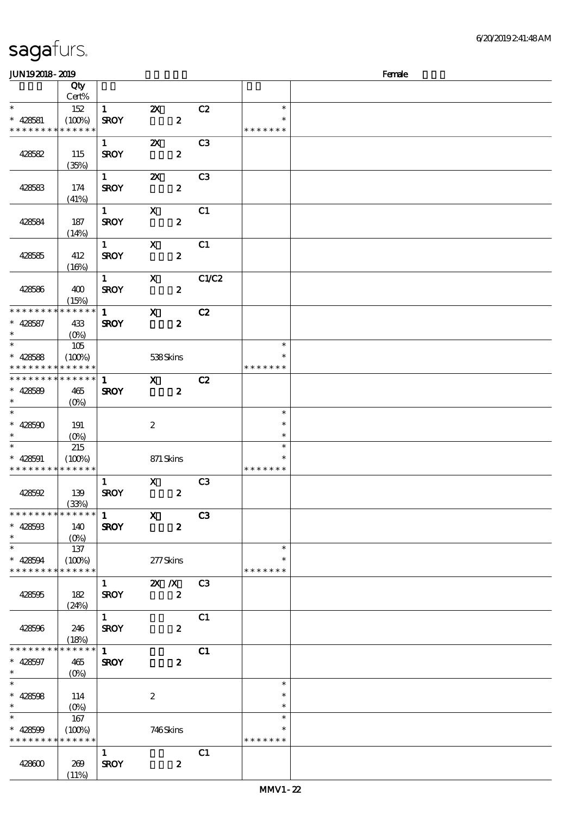| JUN192018-2019                |                                 |                             |                           |                |                         | Female |
|-------------------------------|---------------------------------|-----------------------------|---------------------------|----------------|-------------------------|--------|
|                               | Qty                             |                             |                           |                |                         |        |
|                               | Cert%                           |                             |                           |                |                         |        |
| $\ast$                        | 152                             | $\mathbf{1}$                | $\boldsymbol{\mathsf{Z}}$ | C2             | $\ast$                  |        |
| $* 428581$                    | (100%)                          | <b>SROY</b>                 | $\boldsymbol{z}$          |                |                         |        |
| * * * * * * * *               | * * * * * *                     |                             |                           |                | * * * * * * *           |        |
|                               |                                 | $1 \quad$                   | $\boldsymbol{\mathsf{X}}$ | C <sub>3</sub> |                         |        |
| 428582                        | 115                             | <b>SROY</b>                 | $\boldsymbol{z}$          |                |                         |        |
|                               | (35%)                           | $1 \quad \blacksquare$      | $\boldsymbol{\mathsf{X}}$ | C <sub>3</sub> |                         |        |
| 428583                        | 174                             | <b>SROY</b>                 | $\boldsymbol{2}$          |                |                         |        |
|                               | (41%)                           |                             |                           |                |                         |        |
|                               |                                 | $1 \quad$                   | $\mathbf x$               | C1             |                         |        |
| 428584                        | 187                             | <b>SROY</b>                 | $\boldsymbol{2}$          |                |                         |        |
|                               | (14%)                           |                             |                           |                |                         |        |
|                               |                                 | $\mathbf{1}$                | $\boldsymbol{\mathsf{X}}$ | C1             |                         |        |
| 428585                        | 412                             | <b>SROY</b>                 | $\boldsymbol{2}$          |                |                         |        |
|                               | (16%)                           |                             |                           |                |                         |        |
|                               |                                 | $\mathbf{1}$                | $\mathbf{x}$              | C1/C2          |                         |        |
| 428586                        | 400                             | <b>SROY</b>                 | $\boldsymbol{z}$          |                |                         |        |
| * * * * * * * *               | (15%)<br>* * * * * *            |                             |                           |                |                         |        |
|                               |                                 | $\mathbf{1}$<br><b>SROY</b> | $\mathbf{x}$              | C2             |                         |        |
| $* 428587$<br>$\ast$          | 433<br>$(0\%)$                  |                             | $\boldsymbol{z}$          |                |                         |        |
|                               | 105                             |                             |                           |                | $\ast$                  |        |
| $* 428588$                    | (100%)                          |                             | 538Skins                  |                | $\ast$                  |        |
| * * * * * * * *               | * * * * * *                     |                             |                           |                | * * * * * * *           |        |
| * * * * * * * *               | * * * * * * *                   | $\mathbf{1}$                | $\mathbf{x}$              | C2             |                         |        |
| $* 428589$                    | 465                             | <b>SROY</b>                 | $\boldsymbol{z}$          |                |                         |        |
| $*$                           | $(O\%)$                         |                             |                           |                |                         |        |
|                               |                                 |                             |                           |                | $\ast$                  |        |
| $* 428500$                    | 191                             |                             | $\boldsymbol{2}$          |                | $\ast$                  |        |
| $\ast$                        | $(O\!\!\!\!\!\!\backslash\rho)$ |                             |                           |                | $\ast$                  |        |
|                               | 215                             |                             |                           |                | $\ast$                  |        |
| $* 428591$<br>* * * * * * * * | (100%)<br>* * * * * *           |                             | 871 Skins                 |                | $\ast$<br>* * * * * * * |        |
|                               |                                 | $\mathbf{1}$                | $\mathbf X$               | C <sub>3</sub> |                         |        |
| 428592                        | 139                             | <b>SROY</b>                 | $\boldsymbol{z}$          |                |                         |        |
|                               | (33%)                           |                             |                           |                |                         |        |
| * * * *<br>* * * *            | * * * * * *                     | $\mathbf{1}$                | $\mathbf{x}$              | C3             |                         |        |
| $* 428503$                    | 140                             | <b>SROY</b>                 | $\boldsymbol{z}$          |                |                         |        |
| $\ast$                        | $(O\%)$                         |                             |                           |                |                         |        |
|                               | 137                             |                             |                           |                | $\ast$                  |        |
| $* 428594$                    | (100%)                          |                             | $277$ Skins               |                | $\ast$                  |        |
| * * * * * * * *               | * * * * * *                     |                             |                           |                | * * * * * * *           |        |
|                               |                                 | $\mathbf{1}$                | $X$ $N$                   | C3             |                         |        |
| 428595                        | 182                             | <b>SROY</b>                 | $\boldsymbol{z}$          |                |                         |        |
|                               | (24%)                           | $\mathbf{1}$                |                           | C1             |                         |        |
| 428596                        | 246                             | <b>SROY</b>                 | $\boldsymbol{2}$          |                |                         |        |
|                               | (18%)                           |                             |                           |                |                         |        |
| * * * * * * * *               | * * * * * *                     | $\mathbf{1}$                |                           | C1             |                         |        |
| $* 428597$                    | 465                             | <b>SROY</b>                 | $\boldsymbol{z}$          |                |                         |        |
| $\ast$                        | $(O\%)$                         |                             |                           |                |                         |        |
| $\ast$                        |                                 |                             |                           |                | $\ast$                  |        |
| $* 428508$                    | 114                             |                             | $\boldsymbol{z}$          |                | $\ast$                  |        |
| $\ast$                        | $(0\%)$                         |                             |                           |                | $\ast$                  |        |
| $\ast$                        | 167                             |                             |                           |                | $\ast$                  |        |
| $* 428509$                    | (100%)                          |                             | 746Skins                  |                |                         |        |
| * * * * * * * *               | * * * * * *                     |                             |                           |                | * * * * * * *           |        |
|                               |                                 | $\mathbf{1}$                |                           | C1             |                         |        |
| 428600                        | 269<br>(11%)                    | <b>SROY</b>                 | $\boldsymbol{z}$          |                |                         |        |
|                               |                                 |                             |                           |                |                         |        |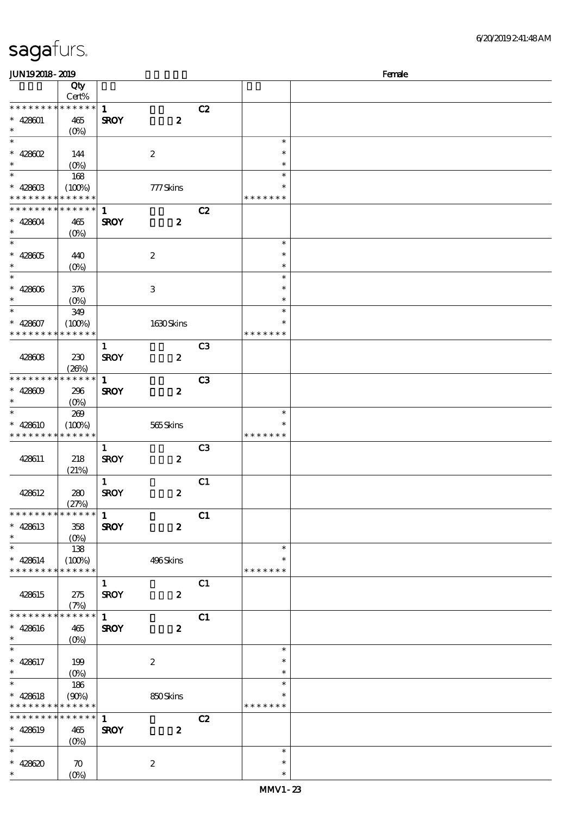| <b>JUN192018-2019</b>         |                       |              |                               |                |                  | Female |
|-------------------------------|-----------------------|--------------|-------------------------------|----------------|------------------|--------|
|                               | Qty                   |              |                               |                |                  |        |
|                               | Cert%                 |              |                               |                |                  |        |
| * * * * * * * *               | * * * * * *           | $\mathbf{1}$ |                               | C2             |                  |        |
| $* 428001$                    | 465                   | <b>SROY</b>  | $\boldsymbol{z}$              |                |                  |        |
| $\ast$                        | $(O_0)$               |              |                               |                |                  |        |
| $\ast$                        |                       |              |                               |                | $\ast$           |        |
| $*$ 428602                    | 144                   |              | $\boldsymbol{2}$              |                | $\ast$           |        |
| $\ast$                        | $(0\%)$               |              |                               |                | $\ast$           |        |
| $\ast$                        | 168                   |              |                               |                | $\ast$           |        |
| $* 42860B$                    | (100%)                |              | 777Skins                      |                | $\ast$           |        |
| * * * * * * * *               | * * * * * *           |              |                               |                | * * * * * * *    |        |
| * * * * * * * *               | * * * * * *           | $\mathbf{1}$ |                               | C2             |                  |        |
| $* 428604$                    | 465                   | <b>SROY</b>  | $\boldsymbol{z}$              |                |                  |        |
| $\ast$                        | $(O\!/\!\!\delta)$    |              |                               |                |                  |        |
| $\ast$                        |                       |              |                               |                | $\ast$           |        |
| $* 428005$                    | 440                   |              | $\boldsymbol{2}$              |                | $\ast$           |        |
| $\ast$<br>$\ast$              | $(0\%)$               |              |                               |                | $\ast$           |        |
|                               |                       |              |                               |                | $\ast$<br>$\ast$ |        |
| $* 428006$<br>$\ast$          | 376                   |              | $\,3$                         |                |                  |        |
| $\ast$                        | $(O\%)$               |              |                               |                | $\ast$<br>$\ast$ |        |
|                               | 349                   |              |                               |                | $\ast$           |        |
| $* 428607$<br>* * * * * * * * | (100%)<br>* * * * * * |              | 1630Skins                     |                | * * * * * * *    |        |
|                               |                       |              |                               |                |                  |        |
|                               |                       | $\mathbf{1}$ |                               | C <sub>3</sub> |                  |        |
| 428608                        | 230                   | <b>SROY</b>  | $\boldsymbol{z}$              |                |                  |        |
| * * * * * * * *               | (20%)<br>* * * * * *  | $\mathbf{1}$ |                               |                |                  |        |
|                               |                       |              |                               | C <sub>3</sub> |                  |        |
| $* 428009$<br>$\ast$          | 296<br>$(O\%)$        | <b>SROY</b>  | $\boldsymbol{z}$              |                |                  |        |
| $\ast$                        | 269                   |              |                               |                | $\ast$           |        |
| $* 428610$                    | (100%)                |              | $565\mathrm{S} \mathrm{kins}$ |                | $\ast$           |        |
| * * * * * * * *               | * * * * * *           |              |                               |                | * * * * * * *    |        |
|                               |                       | $\mathbf{1}$ |                               | C <sub>3</sub> |                  |        |
| 428611                        | 218                   | <b>SROY</b>  | $\boldsymbol{z}$              |                |                  |        |
|                               | (21%)                 |              |                               |                |                  |        |
|                               |                       | $\mathbf{1}$ |                               | C1             |                  |        |
| 428612                        | 280                   | <b>SROY</b>  | $\boldsymbol{2}$              |                |                  |        |
|                               | (27%)                 |              |                               |                |                  |        |
| * * * * * * * *               | * * * * * *           | $\mathbf{1}$ |                               | C1             |                  |        |
| $* 428613$                    | 358                   | <b>SROY</b>  | $\boldsymbol{z}$              |                |                  |        |
| $\ast$                        | $(0\%)$               |              |                               |                |                  |        |
| $\overline{\phantom{0}}$      | 138                   |              |                               |                | $\ast$           |        |
| $* 428614$                    | (100%)                |              | 496Skins                      |                | $\ast$           |        |
| * * * * * * * *               | * * * * * *           |              |                               |                | * * * * * * *    |        |
|                               |                       | $\mathbf{1}$ |                               | C1             |                  |        |
| 428615                        | 275                   | <b>SROY</b>  | $\boldsymbol{z}$              |                |                  |        |
|                               | (7%)                  |              |                               |                |                  |        |
| * * * * * * * *               | * * * * * *           | $\mathbf{1}$ |                               | C1             |                  |        |
| $* 428616$                    | 465                   | <b>SROY</b>  | $\boldsymbol{z}$              |                |                  |        |
| $\ast$                        | $(O\%)$               |              |                               |                |                  |        |
| $\overline{\phantom{0}}$      |                       |              |                               |                | $\ast$           |        |
| $* 428617$                    | 199                   |              | $\boldsymbol{2}$              |                | $\ast$           |        |
| $\ast$                        | $(O\%)$               |              |                               |                | $\ast$           |        |
| $\overline{\ast}$             | 186                   |              |                               |                | $\ast$           |        |
| $* 428618$                    | (90%)                 |              | 850Skins                      |                | ∗                |        |
| * * * * * * * *               | * * * * * *           |              |                               |                | * * * * * * *    |        |
| * * * * * * * *               | * * * * * *           | $\mathbf{1}$ |                               | C2             |                  |        |
| $* 428619$                    | 465                   | <b>SROY</b>  | $\boldsymbol{z}$              |                |                  |        |
| $\ast$                        | (O <sub>0</sub> )     |              |                               |                |                  |        |
| $\ast$                        |                       |              |                               |                | $\ast$           |        |
| $* 428620$                    | $\boldsymbol{\pi}$    |              | $\boldsymbol{2}$              |                | $\ast$           |        |
| $\ast$                        | $(O\%)$               |              |                               |                | $\ast$           |        |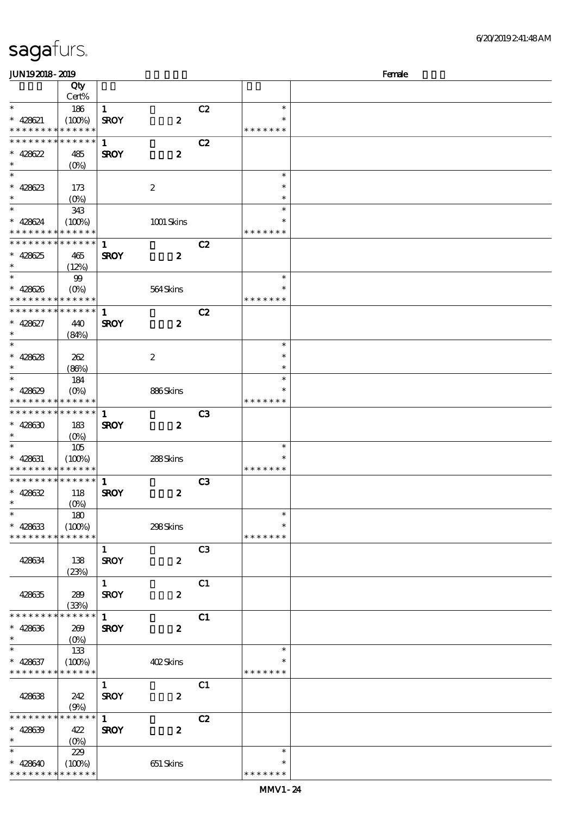| sagafurs. |  |
|-----------|--|
|-----------|--|

| <b>JUN192018-2019</b>                     |                   |              |                  |                |               | Female |
|-------------------------------------------|-------------------|--------------|------------------|----------------|---------------|--------|
|                                           | Qty               |              |                  |                |               |        |
|                                           | Cert%             |              |                  |                |               |        |
| $\ast$                                    | 186               | $\mathbf{1}$ |                  | C2             | $\ast$        |        |
| $* 428621$                                | (100%)            | <b>SROY</b>  | $\boldsymbol{z}$ |                | $\ast$        |        |
| * * * * * * * * * * * * * *               |                   |              |                  |                | * * * * * * * |        |
| * * * * * * * * * * * * * *               |                   | $\mathbf{1}$ |                  | C2             |               |        |
|                                           |                   |              |                  |                |               |        |
| $* 428622$                                | 485               | <b>SROY</b>  | $\boldsymbol{z}$ |                |               |        |
| $\ast$                                    | $(O\%)$           |              |                  |                |               |        |
| $\ast$                                    |                   |              |                  |                | $\ast$        |        |
| $* 428623$                                | 173               |              | $\boldsymbol{2}$ |                | $\ast$        |        |
| $\ast$                                    | $(O\%)$           |              |                  |                | $\ast$        |        |
| $\ast$                                    | 343               |              |                  |                | $\ast$        |        |
| $* 428624$                                | (100%)            |              | 1001 Skins       |                | $\ast$        |        |
| * * * * * * * *                           | * * * * * *       |              |                  |                | * * * * * * * |        |
| * * * * * * * * * * * * * * *             |                   | $\mathbf{1}$ |                  | C2             |               |        |
|                                           |                   |              |                  |                |               |        |
| $* 428625$                                | 465               | <b>SROY</b>  | $\boldsymbol{z}$ |                |               |        |
| $\ast$                                    | (12%)             |              |                  |                |               |        |
| $\ast$                                    | $99$              |              |                  |                | $\ast$        |        |
| $* 428626$                                | $(O\%)$           |              | 564Skins         |                | $\ast$        |        |
| * * * * * * * * * * * * * *               |                   |              |                  |                | * * * * * * * |        |
| * * * * * * * *                           | * * * * * *       | $\mathbf{1}$ |                  | C2             |               |        |
| $* 428627$                                | 440               | <b>SROY</b>  | $\boldsymbol{z}$ |                |               |        |
| $\ast$                                    | (84%)             |              |                  |                |               |        |
| $\ast$                                    |                   |              |                  |                | $\ast$        |        |
|                                           |                   |              |                  |                | $\ast$        |        |
| $* 428628$                                | 262               |              | $\boldsymbol{2}$ |                |               |        |
| $\ast$                                    | (86%)             |              |                  |                | $\ast$        |        |
| $\ast$                                    | 184               |              |                  |                | $\ast$        |        |
| $* 428629$                                | $(O\%)$           |              | 886Skins         |                |               |        |
| * * * * * * * * * * * * * *               |                   |              |                  |                | * * * * * * * |        |
| * * * * * * * * * * * * * * *             |                   | $\mathbf{1}$ |                  | C <sub>3</sub> |               |        |
| $* 428630$                                | 183               | <b>SROY</b>  | $\boldsymbol{z}$ |                |               |        |
| $\ast$                                    | $(0\%)$           |              |                  |                |               |        |
| $\ast$                                    | 105               |              |                  |                | $\ast$        |        |
|                                           |                   |              |                  |                | $\ast$        |        |
| $* 428631$<br>* * * * * * * * * * * * * * | (100%)            |              | 288Skins         |                | * * * * * * * |        |
| *************** 1                         |                   |              |                  |                |               |        |
|                                           |                   |              |                  | C3             |               |        |
| $* 428632$                                | 118               | <b>SROY</b>  | $\boldsymbol{z}$ |                |               |        |
| $*$                                       | (0%)              |              |                  |                |               |        |
| $\ast$                                    | 180               |              |                  |                | $\ast$        |        |
| $* 428633$                                | (100%)            |              | 298Skins         |                | $\ast$        |        |
| * * * * * * * *                           | * * * * * *       |              |                  |                | * * * * * * * |        |
|                                           |                   | $\mathbf{1}$ |                  | C <sub>3</sub> |               |        |
| 428634                                    | 138               | <b>SROY</b>  | $\boldsymbol{z}$ |                |               |        |
|                                           | (23%)             |              |                  |                |               |        |
|                                           |                   | 1            |                  |                |               |        |
|                                           |                   |              |                  | C1             |               |        |
| 428635                                    | 289               | <b>SROY</b>  | $\boldsymbol{z}$ |                |               |        |
|                                           | (33%)             |              |                  |                |               |        |
| * * * * * * * *                           | $***$ * * * *     | $\mathbf{1}$ |                  | C1             |               |        |
| $* 428636$                                | 269               | <b>SROY</b>  | $\boldsymbol{z}$ |                |               |        |
| $\ast$                                    | (O <sub>0</sub> ) |              |                  |                |               |        |
| $\ast$                                    | 133               |              |                  |                | $\ast$        |        |
| $* 428637$                                | (100%)            |              | 402Skins         |                | $\ast$        |        |
| * * * * * * * * * * * * * *               |                   |              |                  |                | * * * * * * * |        |
|                                           |                   | $\mathbf{1}$ |                  | C1             |               |        |
| 428638                                    | 242               | <b>SROY</b>  | $\boldsymbol{z}$ |                |               |        |
|                                           |                   |              |                  |                |               |        |
|                                           | (9%)              |              |                  |                |               |        |
| * * * * * * * *                           | * * * * * *       | $\mathbf{1}$ |                  | C2             |               |        |
| $* 428639$                                | 422               | <b>SROY</b>  | $\boldsymbol{z}$ |                |               |        |
| $\ast$                                    | $(0\%)$           |              |                  |                |               |        |
| $\ast$                                    | 229               |              |                  |                | $\ast$        |        |
| $* 428640$                                | (100%)            |              | 651 Skins        |                | $\ast$        |        |
| * * * * * * * * * * * * * *               |                   |              |                  |                | * * * * * * * |        |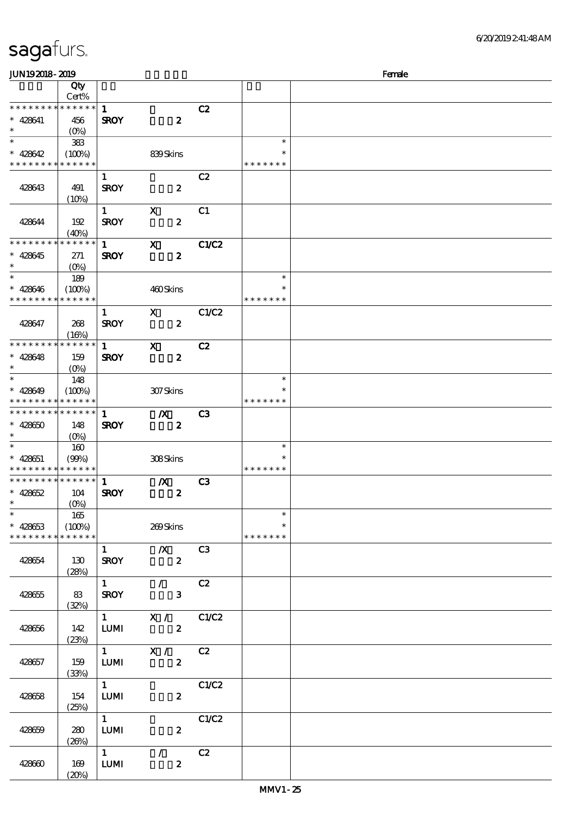| <b>saga</b> furs. |
|-------------------|
|-------------------|

| <b>JUN192018-2019</b>                                                   |                                |                                       |                                           |                |                                   | Female |
|-------------------------------------------------------------------------|--------------------------------|---------------------------------------|-------------------------------------------|----------------|-----------------------------------|--------|
|                                                                         | Qty<br>Cert%                   |                                       |                                           |                |                                   |        |
| * * * * * * * * * * * * * *<br>$* 428641$<br>$\ast$                     | 456<br>$(O_0)$                 | $\mathbf{1}$<br><b>SROY</b>           | $\boldsymbol{z}$                          | C2             |                                   |        |
| $\ast$<br>$* 428642$<br>* * * * * * * * * * * * * *                     | 383<br>(100%)                  |                                       | 839Skins                                  |                | $\ast$<br>*<br>* * * * * * *      |        |
| 428643                                                                  | 491<br>(10%)                   | $\mathbf{1}$<br><b>SROY</b>           | $\boldsymbol{z}$                          | C2             |                                   |        |
| 428644                                                                  | 192<br>(40%)                   | $\mathbf{1}$<br><b>SROY</b>           | $\mathbf x$<br>$\boldsymbol{z}$           | C1             |                                   |        |
| * * * * * * * *<br>$* 428645$<br>$\ast$                                 | * * * * * *<br>271<br>$(O\% )$ | $\mathbf{1}$<br><b>SROY</b>           | $\mathbf{x}$<br>$\boldsymbol{z}$          | <b>C1/C2</b>   |                                   |        |
| $\ast$<br>$* 428646$<br>* * * * * * * * <mark>* * * * * *</mark>        | 189<br>(100%)                  |                                       | 460Skins                                  |                | $\ast$<br>* * * * * * *           |        |
| 428647                                                                  | 268<br>(16%)                   | $\mathbf{1}$<br><b>SROY</b>           | $\mathbf{x}$<br>$\boldsymbol{z}$          | C1/C2          |                                   |        |
| * * * * * * * *<br>$* 428648$<br>$\ast$                                 | * * * * * *<br>159<br>$(O\%)$  | $\mathbf{1}$<br><b>SROY</b>           | $\mathbf{x}$<br>$\boldsymbol{z}$          | C2             |                                   |        |
| $\ast$<br>$* 428649$<br>* * * * * * * *                                 | 148<br>(100%)<br>* * * * * *   |                                       | 307Skins                                  |                | $\ast$<br>$\ast$<br>* * * * * * * |        |
| * * * * * * * * * * * * * *<br>$* 428650$<br>$\ast$                     | 148<br>$(O\%)$                 | $\mathbf{1}$<br><b>SROY</b>           | $\boldsymbol{X}$<br>$\boldsymbol{z}$      | C <sub>3</sub> |                                   |        |
| $\ast$<br>$* 428651$<br>* * * * * * * * * * * * * *                     | 160<br>(90%)                   |                                       | 308Skins                                  |                | $\ast$<br>$\ast$<br>* * * * * * * |        |
| * * * * * * * * * * * * * *<br>$* 428652$<br>$\ast$                     | 104                            | 1<br><b>SROY</b>                      | $\mathbb{X}$<br>$\boldsymbol{z}$          | C <sub>3</sub> |                                   |        |
| $\overline{\phantom{a}^*}$<br>$* 428653$<br>* * * * * * * * * * * * * * | 165<br>(100%)                  |                                       | 269Skins                                  |                | $\ast$<br>$\ast$<br>* * * * * * * |        |
| 428654                                                                  | 130<br>(28%)                   | $1 \quad$<br><b>SROY</b>              | $\boldsymbol{X}$<br>$\mathbf{2}$          | C3             |                                   |        |
| 428655                                                                  | 83<br>(32%)                    | $1 \quad \blacksquare$<br><b>SROY</b> | $\mathcal{F}$<br>$\mathbf{3}$             | C2             |                                   |        |
| 428656                                                                  | 142<br>(23%)                   | $\overline{1}$<br><b>LUMI</b>         | X / C1/C2<br>$\boldsymbol{z}$             |                |                                   |        |
| 428657                                                                  | 159<br>(33%)                   | <b>LUMI</b>                           | $\overline{1}$ X / C2<br>$\boldsymbol{2}$ |                |                                   |        |
| 428658                                                                  | 154<br>(25%)                   | $\mathbf{1}$<br><b>LUMI</b>           | $\boldsymbol{z}$                          | C1/C2          |                                   |        |
| 428659                                                                  | 280<br>(20%)                   | $1 \quad$<br><b>LUMI</b>              | $\boldsymbol{2}$                          | C1/C2          |                                   |        |
| 428660                                                                  | 169<br>(20%)                   | $1 \quad \blacksquare$<br><b>LUMI</b> | $\mathcal{L}$<br>$\boldsymbol{z}$         | C2             |                                   |        |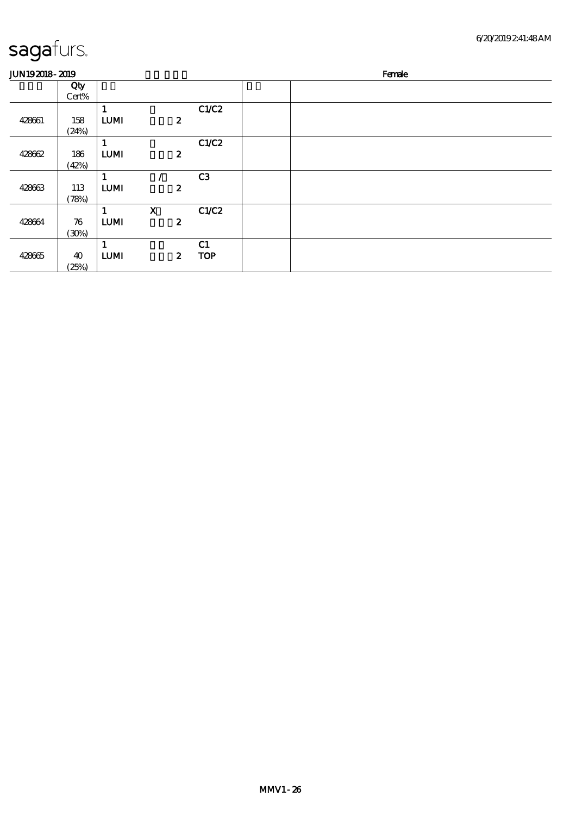| <b>JUN192018-2019</b> |              |                             |                                 |                                      | Female |  |
|-----------------------|--------------|-----------------------------|---------------------------------|--------------------------------------|--------|--|
|                       | Qty<br>Cert% |                             |                                 |                                      |        |  |
| 428661                | 158<br>(24%) | <b>LUMI</b>                 | $\boldsymbol{z}$                | C1/C2                                |        |  |
| 428662                | 186<br>(42%) | <b>LUMI</b>                 | $\boldsymbol{z}$                | C1/C2                                |        |  |
| 428663                | 113<br>(78%) | <b>LUMI</b>                 | $\boldsymbol{z}$                | C <sub>3</sub>                       |        |  |
| 428664                | 76<br>(30%)  | $\mathbf{1}$<br><b>LUMI</b> | $\mathbf X$<br>$\boldsymbol{z}$ | C1/C2                                |        |  |
| 428665                | 40<br>(25%)  | <b>LUMI</b>                 |                                 | C1<br>$\boldsymbol{z}$<br><b>TOP</b> |        |  |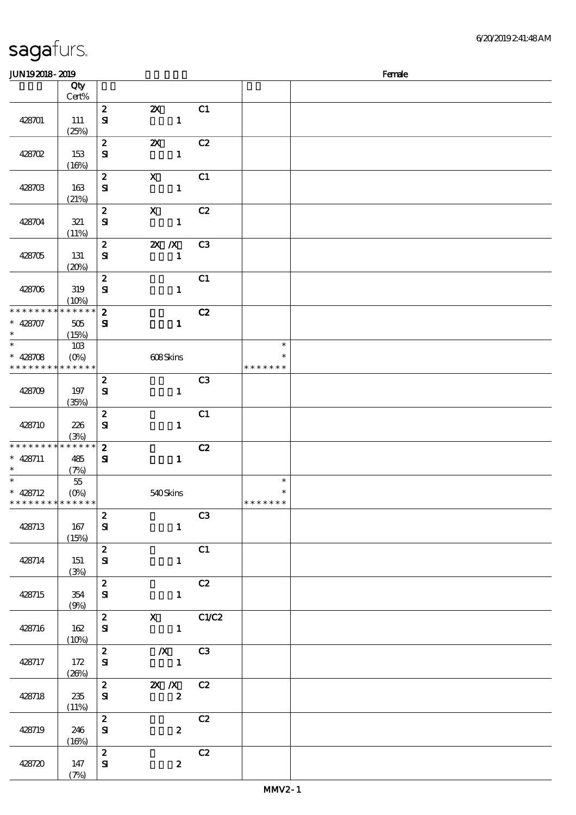| JUN192018-2019                |                   |                               |                                            |                |               | Female |
|-------------------------------|-------------------|-------------------------------|--------------------------------------------|----------------|---------------|--------|
|                               | Qty               |                               |                                            |                |               |        |
|                               | $Cert\%$          |                               |                                            |                |               |        |
|                               |                   | $\boldsymbol{z}$              | $\boldsymbol{\mathsf{Z}}$                  | C1             |               |        |
| 428701                        | 111               | $\mathbf{S}$                  | $\mathbf{1}$                               |                |               |        |
|                               | (25%)             |                               |                                            |                |               |        |
|                               |                   | $\boldsymbol{z}$              | $\boldsymbol{\mathsf{z}}$                  | C2             |               |        |
| 428702                        | 153               | ${\bf s}$                     | $\mathbf{1}$                               |                |               |        |
|                               | (16%)             |                               |                                            |                |               |        |
|                               |                   | $\boldsymbol{z}$              | $\boldsymbol{\mathrm{X}}$                  | C1             |               |        |
| 428703                        | 163               | ${\bf s}$                     | $\mathbf{1}$                               |                |               |        |
|                               | (21%)             |                               |                                            |                |               |        |
|                               |                   | $\boldsymbol{z}$              | $\mathbf X$                                | C2             |               |        |
| 428704                        | 321               | $\mathbf{S}$                  | $\mathbf{1}$                               |                |               |        |
|                               | (11%)             | $\boldsymbol{z}$              | $X$ $X$                                    | C <sub>3</sub> |               |        |
| 428705                        | 131               | ${\bf s}$                     | $\mathbf{1}$                               |                |               |        |
|                               | (20%)             |                               |                                            |                |               |        |
|                               |                   | $\boldsymbol{z}$              |                                            | C1             |               |        |
| 428706                        | 319               | ${\bf S\!I}$                  | $\mathbf{1}$                               |                |               |        |
|                               | (10%)             |                               |                                            |                |               |        |
| * * * * * * * *               | * * * * * *       | $\boldsymbol{z}$              |                                            | C2             |               |        |
| $* 428707$                    | 505               | $\mathbf{S}$                  | $\mathbf{1}$                               |                |               |        |
| $\ast$                        | (15%)             |                               |                                            |                |               |        |
| $\ast$                        | 10B               |                               |                                            |                | $\ast$        |        |
| $* 428708$                    | $(O\%)$           |                               | 608Skins                                   |                | $\ast$        |        |
| * * * * * * * *               | * * * * * *       |                               |                                            |                | * * * * * * * |        |
|                               |                   | $\boldsymbol{z}$              |                                            | C3             |               |        |
| 428709                        | 197               | $\mathbf{S}$                  | $\mathbf{1}$                               |                |               |        |
|                               | (35%)             |                               |                                            |                |               |        |
|                               |                   | $\pmb{2}$                     |                                            | C1             |               |        |
| 428710                        | 226               | ${\bf S}$                     | $\mathbf{1}$                               |                |               |        |
|                               | (3%)              |                               |                                            |                |               |        |
| * * * * * * * *               | $******$          | $\boldsymbol{z}$              |                                            | C2             |               |        |
| * 428711<br>$\ast$            | 485               | ${\bf s}$                     | $\mathbf{1}$                               |                |               |        |
| $\overline{\ast}$             | (7%)              |                               |                                            |                | $\ast$        |        |
| $* 428712$                    | $55\,$<br>$(O\%)$ |                               | 540Skins                                   |                | $\ast$        |        |
| * * * * * * * * * * * * * * * |                   |                               |                                            |                | *******       |        |
|                               |                   | $\boldsymbol{z}$              |                                            | C3             |               |        |
| 428713                        | 167               | ${\bf s}$                     | $\mathbf{1}$                               |                |               |        |
|                               | (15%)             |                               |                                            |                |               |        |
|                               |                   | $\mathbf{2}$                  |                                            | C1             |               |        |
| 428714                        | 151               | ${\bf s}$                     | $\mathbf{1}$                               |                |               |        |
|                               | (3%)              |                               |                                            |                |               |        |
|                               |                   | $\overline{z}$                |                                            | C2             |               |        |
| 428715                        | 354               | ${\bf s}$                     | $\mathbf{1}$                               |                |               |        |
|                               | (9%)              |                               |                                            |                |               |        |
|                               |                   |                               | $\mathbf{2}$<br>X C1/C2                    |                |               |        |
| 428716                        | 162               | ${\bf s}$                     | $\mathbf{1}$                               |                |               |        |
|                               | (10%)             |                               |                                            |                |               |        |
|                               |                   | $2^{\circ}$                   | $\chi$ C3                                  |                |               |        |
| 428717                        | 172               | ${\bf s}$                     | $\blacksquare$                             |                |               |        |
|                               | (20%)             |                               |                                            |                |               |        |
| 428718                        | 235               | $\boldsymbol{z}$<br>${\bf s}$ | <b>2X X</b> C <sub>2</sub><br>$\mathbf{z}$ |                |               |        |
|                               | (11%)             |                               |                                            |                |               |        |
|                               |                   | $\boldsymbol{z}$              |                                            | C2             |               |        |
| 428719                        | 246               | ${\bf s}$                     | $\mathbf{z}$                               |                |               |        |
|                               | (16%)             |                               |                                            |                |               |        |
|                               |                   | $\mathbf{z}$                  |                                            | C2             |               |        |
| 428720                        | 147               | ${\bf s}$                     | $\boldsymbol{2}$                           |                |               |        |
|                               | (7%)              |                               |                                            |                |               |        |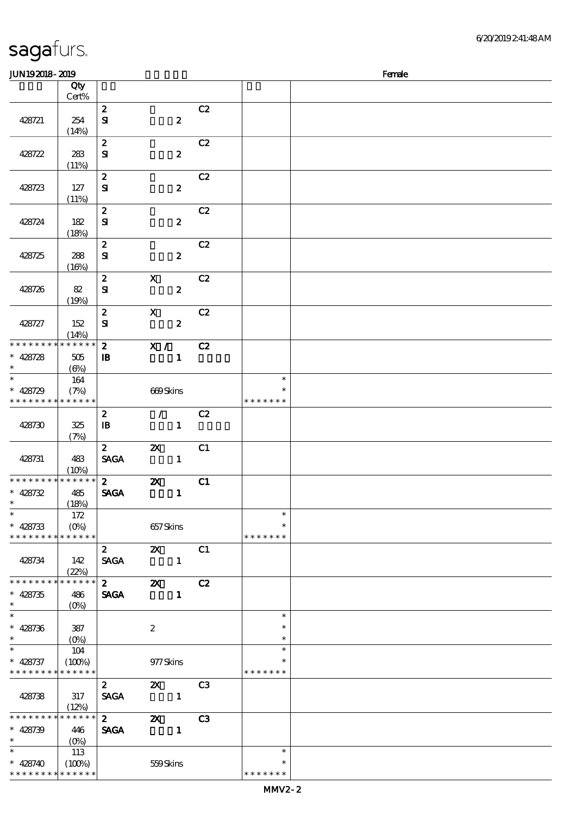| JUN192018-2019                             |             |                            |                                                                                                                                                                                                                                                                                                                                                                                                                                                                                 |                             |    |               | Female |
|--------------------------------------------|-------------|----------------------------|---------------------------------------------------------------------------------------------------------------------------------------------------------------------------------------------------------------------------------------------------------------------------------------------------------------------------------------------------------------------------------------------------------------------------------------------------------------------------------|-----------------------------|----|---------------|--------|
|                                            | Qty         |                            |                                                                                                                                                                                                                                                                                                                                                                                                                                                                                 |                             |    |               |        |
|                                            | $Cert\%$    |                            |                                                                                                                                                                                                                                                                                                                                                                                                                                                                                 |                             |    |               |        |
|                                            |             | $\boldsymbol{2}$           |                                                                                                                                                                                                                                                                                                                                                                                                                                                                                 |                             | C2 |               |        |
| 428721                                     | 254         | $\mathbf{S}$               |                                                                                                                                                                                                                                                                                                                                                                                                                                                                                 | $\pmb{2}$                   |    |               |        |
|                                            |             |                            |                                                                                                                                                                                                                                                                                                                                                                                                                                                                                 |                             |    |               |        |
|                                            | (14%)       |                            |                                                                                                                                                                                                                                                                                                                                                                                                                                                                                 |                             |    |               |        |
|                                            |             | $\pmb{2}$                  |                                                                                                                                                                                                                                                                                                                                                                                                                                                                                 |                             | C2 |               |        |
| 428722                                     | 283         | $\mathbf{S}$               |                                                                                                                                                                                                                                                                                                                                                                                                                                                                                 | $\pmb{2}$                   |    |               |        |
|                                            | (11%)       |                            |                                                                                                                                                                                                                                                                                                                                                                                                                                                                                 |                             |    |               |        |
|                                            |             | $\boldsymbol{z}$           |                                                                                                                                                                                                                                                                                                                                                                                                                                                                                 |                             | C2 |               |        |
| 428723                                     | 127         | ${\bf S}$                  |                                                                                                                                                                                                                                                                                                                                                                                                                                                                                 | $\boldsymbol{2}$            |    |               |        |
|                                            | (11%)       |                            |                                                                                                                                                                                                                                                                                                                                                                                                                                                                                 |                             |    |               |        |
|                                            |             | $\boldsymbol{z}$           |                                                                                                                                                                                                                                                                                                                                                                                                                                                                                 |                             | C2 |               |        |
| 428724                                     | 182         | ${\bf s}$                  |                                                                                                                                                                                                                                                                                                                                                                                                                                                                                 | $\boldsymbol{z}$            |    |               |        |
|                                            | (18%)       |                            |                                                                                                                                                                                                                                                                                                                                                                                                                                                                                 |                             |    |               |        |
|                                            |             |                            |                                                                                                                                                                                                                                                                                                                                                                                                                                                                                 |                             |    |               |        |
|                                            |             | $\boldsymbol{z}$           |                                                                                                                                                                                                                                                                                                                                                                                                                                                                                 |                             | C2 |               |        |
| 428725                                     | 288         | ${\bf s}$                  |                                                                                                                                                                                                                                                                                                                                                                                                                                                                                 | $\boldsymbol{z}$            |    |               |        |
|                                            | (16%)       |                            |                                                                                                                                                                                                                                                                                                                                                                                                                                                                                 |                             |    |               |        |
|                                            |             | $\boldsymbol{2}$           | $\boldsymbol{\mathrm{X}}$                                                                                                                                                                                                                                                                                                                                                                                                                                                       |                             | C2 |               |        |
| 428726                                     | 82          | $\mathbf{S}$               |                                                                                                                                                                                                                                                                                                                                                                                                                                                                                 | $\boldsymbol{z}$            |    |               |        |
|                                            | (19%)       |                            |                                                                                                                                                                                                                                                                                                                                                                                                                                                                                 |                             |    |               |        |
|                                            |             | $\pmb{2}$                  | $\mathbf X$                                                                                                                                                                                                                                                                                                                                                                                                                                                                     |                             | C2 |               |        |
| 428727                                     | 152         | $\mathbf{S}$               |                                                                                                                                                                                                                                                                                                                                                                                                                                                                                 | $\boldsymbol{z}$            |    |               |        |
|                                            | (14%)       |                            |                                                                                                                                                                                                                                                                                                                                                                                                                                                                                 |                             |    |               |        |
| * * * * * * * * * * * * * *                |             | $\boldsymbol{2}$           | X /                                                                                                                                                                                                                                                                                                                                                                                                                                                                             |                             | C2 |               |        |
|                                            |             |                            |                                                                                                                                                                                                                                                                                                                                                                                                                                                                                 |                             |    |               |        |
| $* 428728$<br>$\ast$                       | 505         | $\mathbf{B}$               |                                                                                                                                                                                                                                                                                                                                                                                                                                                                                 | $\mathbf{1}$                |    |               |        |
|                                            | $(\Theta)$  |                            |                                                                                                                                                                                                                                                                                                                                                                                                                                                                                 |                             |    |               |        |
| $\ast$                                     | 164         |                            |                                                                                                                                                                                                                                                                                                                                                                                                                                                                                 |                             |    | $\ast$        |        |
| $* 428729$                                 | (7%)        |                            | 669Skins                                                                                                                                                                                                                                                                                                                                                                                                                                                                        |                             |    | $\ast$        |        |
| * * * * * * * * * * * * * *                |             |                            |                                                                                                                                                                                                                                                                                                                                                                                                                                                                                 |                             |    | * * * * * * * |        |
|                                            |             | $\boldsymbol{z}$           |                                                                                                                                                                                                                                                                                                                                                                                                                                                                                 | $\mathcal{L} = \mathcal{L}$ | C2 |               |        |
| 428730                                     | 325         | $\, {\bf I} \! {\bf B} \,$ |                                                                                                                                                                                                                                                                                                                                                                                                                                                                                 | $\mathbf{1}$                |    |               |        |
|                                            | (7%)        |                            |                                                                                                                                                                                                                                                                                                                                                                                                                                                                                 |                             |    |               |        |
|                                            |             | $\mathbf{2}$               | $\boldsymbol{\alpha}$                                                                                                                                                                                                                                                                                                                                                                                                                                                           |                             | C1 |               |        |
| 428731                                     | 483         | <b>SAGA</b>                |                                                                                                                                                                                                                                                                                                                                                                                                                                                                                 | $\mathbf{1}$                |    |               |        |
|                                            | (10%)       |                            |                                                                                                                                                                                                                                                                                                                                                                                                                                                                                 |                             |    |               |        |
| * * * * * * * * <mark>* * * * * * *</mark> |             | $\mathbf{2}$               | $\boldsymbol{\mathsf{X}}$                                                                                                                                                                                                                                                                                                                                                                                                                                                       |                             | C1 |               |        |
| $* 428732$                                 | 485         | <b>SAGA</b>                |                                                                                                                                                                                                                                                                                                                                                                                                                                                                                 | $\mathbf{1}$                |    |               |        |
|                                            |             |                            |                                                                                                                                                                                                                                                                                                                                                                                                                                                                                 |                             |    |               |        |
| $\overline{\phantom{0}}$                   | (18%)       |                            |                                                                                                                                                                                                                                                                                                                                                                                                                                                                                 |                             |    | $\ast$        |        |
|                                            | 172         |                            |                                                                                                                                                                                                                                                                                                                                                                                                                                                                                 |                             |    |               |        |
| $* 428733$                                 | $(O\%)$     |                            | 657Skins                                                                                                                                                                                                                                                                                                                                                                                                                                                                        |                             |    | $\ast$        |        |
| * * * * * * * * * * * * * *                |             |                            |                                                                                                                                                                                                                                                                                                                                                                                                                                                                                 |                             |    | * * * * * * * |        |
|                                            |             | $\mathbf{2}$               | $\mathbf{z}$                                                                                                                                                                                                                                                                                                                                                                                                                                                                    |                             | C1 |               |        |
| 428734                                     | 142         | <b>SAGA</b>                | $\sim$ $\sim$ 1                                                                                                                                                                                                                                                                                                                                                                                                                                                                 |                             |    |               |        |
|                                            | (22%)       |                            |                                                                                                                                                                                                                                                                                                                                                                                                                                                                                 |                             |    |               |        |
| * * * * * * * *                            | * * * * * * | $\overline{z}$             | $\boldsymbol{\mathsf{Z}}$                                                                                                                                                                                                                                                                                                                                                                                                                                                       |                             | C2 |               |        |
| $* 428735$                                 | 486         | <b>SAGA</b>                |                                                                                                                                                                                                                                                                                                                                                                                                                                                                                 | $\mathbf{1}$                |    |               |        |
| $\ast$                                     | $(O\%)$     |                            |                                                                                                                                                                                                                                                                                                                                                                                                                                                                                 |                             |    |               |        |
| $\overline{\phantom{a}}$                   |             |                            |                                                                                                                                                                                                                                                                                                                                                                                                                                                                                 |                             |    | $\ast$        |        |
| $* 428736$                                 | 387         |                            | $\boldsymbol{2}$                                                                                                                                                                                                                                                                                                                                                                                                                                                                |                             |    | $\ast$        |        |
| $\ast$                                     |             |                            |                                                                                                                                                                                                                                                                                                                                                                                                                                                                                 |                             |    | $\ast$        |        |
| $\overline{\phantom{a}^*}$                 |             |                            |                                                                                                                                                                                                                                                                                                                                                                                                                                                                                 |                             |    | $\ast$        |        |
|                                            | 104         |                            |                                                                                                                                                                                                                                                                                                                                                                                                                                                                                 |                             |    |               |        |
| $* 428737$                                 | (100%)      |                            | 977Skins                                                                                                                                                                                                                                                                                                                                                                                                                                                                        |                             |    |               |        |
| * * * * * * * * * * * * * *                |             |                            |                                                                                                                                                                                                                                                                                                                                                                                                                                                                                 |                             |    | * * * * * * * |        |
|                                            |             | $\mathbf{2}$               | $\mathbf{z}$                                                                                                                                                                                                                                                                                                                                                                                                                                                                    |                             | C3 |               |        |
| 428738                                     | 317         | <b>SAGA</b>                | $\overline{\phantom{a}}$ $\overline{\phantom{a}}$ $\overline{\phantom{a}}$ $\overline{\phantom{a}}$ $\overline{\phantom{a}}$ $\overline{\phantom{a}}$ $\overline{\phantom{a}}$ $\overline{\phantom{a}}$ $\overline{\phantom{a}}$ $\overline{\phantom{a}}$ $\overline{\phantom{a}}$ $\overline{\phantom{a}}$ $\overline{\phantom{a}}$ $\overline{\phantom{a}}$ $\overline{\phantom{a}}$ $\overline{\phantom{a}}$ $\overline{\phantom{a}}$ $\overline{\phantom{a}}$ $\overline{\$ |                             |    |               |        |
|                                            | (12%)       |                            |                                                                                                                                                                                                                                                                                                                                                                                                                                                                                 |                             |    |               |        |
| * * * * * * * * * * * * * *                |             | $\mathbf{2}$               | $\mathbf{X}$                                                                                                                                                                                                                                                                                                                                                                                                                                                                    |                             | C3 |               |        |
| $* 428739$                                 | 446         | <b>SAGA</b>                | $\sim$ 1                                                                                                                                                                                                                                                                                                                                                                                                                                                                        |                             |    |               |        |
| $\ast$                                     |             |                            |                                                                                                                                                                                                                                                                                                                                                                                                                                                                                 |                             |    |               |        |
| $\ast$                                     |             |                            |                                                                                                                                                                                                                                                                                                                                                                                                                                                                                 |                             |    | $\ast$        |        |
|                                            | 113         |                            |                                                                                                                                                                                                                                                                                                                                                                                                                                                                                 |                             |    |               |        |
| $* 428740$                                 | (100%)      |                            | 559Skins                                                                                                                                                                                                                                                                                                                                                                                                                                                                        |                             |    |               |        |
| * * * * * * * * * * * * * *                |             |                            |                                                                                                                                                                                                                                                                                                                                                                                                                                                                                 |                             |    | * * * * * * * |        |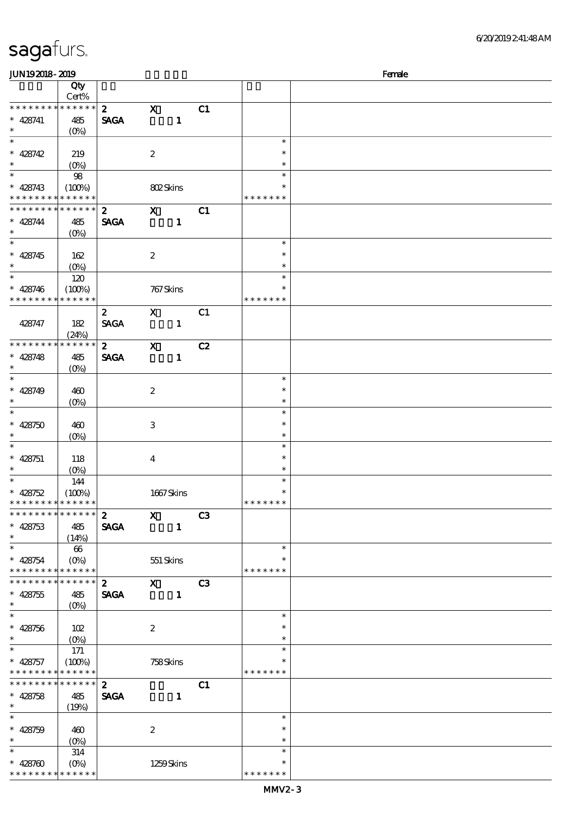| <b>JUN192018-2019</b>                    |                                                   |                               |                  |                |    |               | Female |
|------------------------------------------|---------------------------------------------------|-------------------------------|------------------|----------------|----|---------------|--------|
|                                          | Qty                                               |                               |                  |                |    |               |        |
|                                          | Cert%                                             |                               |                  |                |    |               |        |
| * * * * * * * *                          | * * * * * *                                       | $\mathbf{2}$                  | $\mathbf x$      |                | C1 |               |        |
| $* 428741$                               | 485                                               | <b>SAGA</b>                   |                  | $\mathbf{1}$   |    |               |        |
| $\ast$                                   | (O <sub>0</sub> )                                 |                               |                  |                |    |               |        |
| $\overline{\ast}$                        |                                                   |                               |                  |                |    | $\ast$        |        |
|                                          |                                                   |                               |                  |                |    |               |        |
| $* 428742$                               | 219                                               |                               | $\boldsymbol{2}$ |                |    | $\ast$        |        |
| $\ast$                                   | $(0\%)$                                           |                               |                  |                |    | $\ast$        |        |
| $\ast$                                   | 98                                                |                               |                  |                |    | $\ast$        |        |
| $* 428743$                               | (100%)                                            |                               | 802Skins         |                |    | *             |        |
| * * * * * * * * <mark>* * * * * *</mark> |                                                   |                               |                  |                |    | * * * * * * * |        |
| * * * * * * * *                          | * * * * * *                                       |                               | $\mathbf{x}$     |                | C1 |               |        |
|                                          |                                                   | $\boldsymbol{z}$              |                  |                |    |               |        |
| $* 428744$                               | 485                                               | <b>SAGA</b>                   |                  | $\mathbf{1}$   |    |               |        |
| $\ast$                                   | (O <sub>0</sub> )                                 |                               |                  |                |    |               |        |
| $\overline{\ast}$                        |                                                   |                               |                  |                |    | $\ast$        |        |
| $* 428745$                               | 162                                               |                               | $\boldsymbol{2}$ |                |    | $\ast$        |        |
| $\ast$                                   | $(O\%)$                                           |                               |                  |                |    | $\ast$        |        |
| $\ast$                                   | 120                                               |                               |                  |                |    | $\ast$        |        |
|                                          |                                                   |                               |                  |                |    | $\ast$        |        |
| $* 428746$<br>* * * * * * * *            | (100%)                                            |                               | 767 Skins        |                |    |               |        |
|                                          | * * * * * *                                       |                               |                  |                |    | * * * * * * * |        |
|                                          |                                                   | $\boldsymbol{z}$              | $\mathbf x$      |                | C1 |               |        |
| 428747                                   | 182                                               | <b>SAGA</b>                   |                  | $\mathbf{1}$   |    |               |        |
|                                          | (24%)                                             |                               |                  |                |    |               |        |
| * * * * * * * *                          | * * * * * *                                       | $\mathbf{z}$                  | $\mathbf{X}$     |                | C2 |               |        |
| $* 428748$                               | 485                                               | <b>SAGA</b>                   |                  | $\mathbf{1}$   |    |               |        |
| $\ast$                                   |                                                   |                               |                  |                |    |               |        |
| $\ast$                                   | $(O\%)$                                           |                               |                  |                |    |               |        |
|                                          |                                                   |                               |                  |                |    | $\ast$        |        |
| $* 428749$                               | 460                                               |                               | $\boldsymbol{2}$ |                |    | $\ast$        |        |
| $\ast$                                   | $(O\!/\!o)$                                       |                               |                  |                |    | $\ast$        |        |
| $\ast$                                   |                                                   |                               |                  |                |    | $\ast$        |        |
| $* 428750$                               | 460                                               |                               | 3                |                |    | $\ast$        |        |
| $\ast$                                   | $(\underline{O\%})$                               |                               |                  |                |    | $\ast$        |        |
| $\ast$                                   |                                                   |                               |                  |                |    | $\ast$        |        |
|                                          |                                                   |                               |                  |                |    |               |        |
| $* 428751$                               | 118                                               |                               | $\boldsymbol{4}$ |                |    | $\ast$        |        |
| $\ast$                                   | $(O\%)$                                           |                               |                  |                |    | $\ast$        |        |
| $\ast$                                   | 144                                               |                               |                  |                |    | $\ast$        |        |
| $* 428752$                               | (100%)                                            |                               | 1667Skins        |                |    | $\ast$        |        |
| * * * * * * * * * * * * * *              |                                                   |                               |                  |                |    | * * * * * * * |        |
| * * * * * * * * * * * * * * *            |                                                   | $\overline{z}$ $\overline{X}$ |                  |                | C3 |               |        |
| $* 428753$                               | 485                                               | <b>SAGA</b>                   |                  | $\blacksquare$ |    |               |        |
|                                          |                                                   |                               |                  |                |    |               |        |
| $\ast$<br>$\overline{\phantom{0}}$       | (14%)                                             |                               |                  |                |    |               |        |
|                                          | 66                                                |                               |                  |                |    | $\ast$        |        |
| $* 428754$                               | $(O\!\!\!\!\!\!\!\backslash \!\!\!\!\!\backslash$ |                               | 551 Skins        |                |    | $\ast$        |        |
| * * * * * * * * * * * * * *              |                                                   |                               |                  |                |    | * * * * * * * |        |
| * * * * * * * * * * * * * * *            |                                                   | 2 X C3                        |                  |                |    |               |        |
| $* 428755$                               | 485                                               | <b>SAGA</b>                   |                  | $\blacksquare$ |    |               |        |
| $\ast$                                   |                                                   |                               |                  |                |    |               |        |
| $\ast$                                   | $(O\!\!\!\!\!\!\!\!\!\!\!/\,\!o)$                 |                               |                  |                |    | $\ast$        |        |
|                                          |                                                   |                               |                  |                |    |               |        |
| $* 428756$                               | 102                                               |                               | $\boldsymbol{2}$ |                |    | $\ast$        |        |
| $\ast$                                   | $(O\!/\!\!\!\!\!\!O)$                             |                               |                  |                |    | $\ast$        |        |
| $\overline{\phantom{0}}$                 | 171                                               |                               |                  |                |    | $\ast$        |        |
| $* 428757$                               | (100%)                                            |                               | 758Skins         |                |    | $\ast$        |        |
| * * * * * * * * * * * * * *              |                                                   |                               |                  |                |    | * * * * * * * |        |
| * * * * * * * * * * * * * * *            |                                                   | $\overline{2}$                |                  |                | C1 |               |        |
|                                          |                                                   |                               |                  |                |    |               |        |
| $* 428758$                               | 485                                               | <b>SAGA</b>                   |                  | $\mathbf{1}$   |    |               |        |
| $\ast$                                   | (19%)                                             |                               |                  |                |    |               |        |
| $\ast$                                   |                                                   |                               |                  |                |    | $\ast$        |        |
| $* 428759$                               | 460                                               |                               | $\boldsymbol{2}$ |                |    | $\ast$        |        |
| $\ast$                                   | $(O\%)$                                           |                               |                  |                |    | $\ast$        |        |
| $\ast$                                   | 314                                               |                               |                  |                |    | $\ast$        |        |
| $* 428760$                               |                                                   |                               |                  |                |    | $\ast$        |        |
|                                          |                                                   |                               | 1259Skins        |                |    |               |        |
| * * * * * * * * * * * * * *              |                                                   |                               |                  |                |    | * * * * * * * |        |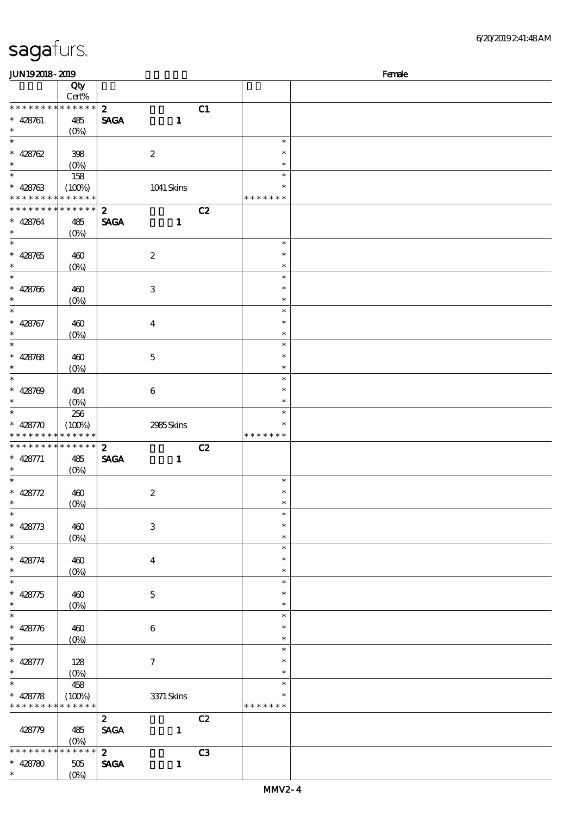| JUN192018-2019                                   |                                         |                                                |                  |    |                                   | Female |
|--------------------------------------------------|-----------------------------------------|------------------------------------------------|------------------|----|-----------------------------------|--------|
|                                                  | Qty<br>Cert%                            |                                                |                  |    |                                   |        |
| * * * * * * * *<br>$* 428761$<br>$\ast$          | * * * * * *<br>485<br>$(O\%)$           | $\boldsymbol{z}$<br><b>SAGA</b>                | $\mathbf{1}$     | C1 |                                   |        |
| $\ast$<br>$* 428762$<br>$\ast$                   | 398<br>$(0\%)$                          |                                                | $\boldsymbol{2}$ |    | $\ast$<br>$\ast$<br>$\ast$        |        |
| $\ast$<br>$* 428763$<br>* * * * * * * *          | 158<br>(100%)<br>* * * * * *            |                                                | 1041 Skins       |    | $\ast$<br>$\ast$<br>* * * * * * * |        |
| * * * * * * * *<br>$* 428764$<br>$\ast$          | * * * * * *<br>485<br>$(O\%)$           | $\boldsymbol{2}$<br><b>SAGA</b>                | $\mathbf{1}$     | C2 |                                   |        |
| $\ast$<br>$* 428765$<br>$\ast$                   | 460<br>$(0\%)$                          |                                                | $\boldsymbol{2}$ |    | $\ast$<br>$\ast$<br>$\ast$        |        |
| $\ast$<br>$* 428766$<br>$\ast$                   | 460<br>$(0\%)$                          |                                                | $\,3$            |    | $\ast$<br>$\ast$<br>$\ast$        |        |
| $\ast$<br>$* 428767$<br>$\ast$                   | 460<br>$(0\%)$                          |                                                | $\boldsymbol{4}$ |    | $\ast$<br>$\ast$<br>$\ast$        |        |
| $\ast$<br>$* 428768$<br>$\ast$                   | 460<br>$(0\%)$                          |                                                | $\mathbf 5$      |    | $\ast$<br>$\ast$<br>$\ast$        |        |
| $\ast$<br>$* 428709$<br>$\ast$                   | 404<br>$(O\%)$                          |                                                | $\,6\,$          |    | $\ast$<br>$\ast$<br>$\ast$        |        |
| $\ast$<br>$* 42870$<br>* * * * * * * *           | 256<br>(100%)<br>* * * * * *            |                                                | 2985Skins        |    | $\ast$<br>$\ast$<br>* * * * * * * |        |
| * * * * * * * *<br>$* 428771$<br>$\ast$          | * * * * * *<br>485<br>(O <sub>0</sub> ) | $\mathbf{z}$<br><b>SAGA</b>                    | $\mathbf{1}$     | C2 |                                   |        |
| $\ast$<br>$* 428772$<br>$\ast$                   | 460<br>(0%)                             |                                                | $\boldsymbol{2}$ |    | $\ast$<br>$\ast$<br>$\ast$        |        |
| $\overline{\ast}$<br>$* 428773$<br>$\ast$        | 460<br>$(O\%)$                          |                                                | 3                |    | $\ast$<br>$\ast$<br>$\ast$        |        |
| $\overline{\phantom{0}}$<br>$* 428774$<br>$\ast$ | 460<br>$(0\%)$                          |                                                | $\boldsymbol{4}$ |    | $\ast$<br>$\ast$<br>$\ast$        |        |
| $\overline{\ast}$<br>$* 428775$<br>$\ast$        | 460<br>(0%)                             |                                                | $\mathbf 5$      |    | $\ast$<br>$\ast$<br>$\ast$        |        |
| $\overline{\ast}$<br>$* 428776$<br>$\ast$        | 460<br>$(0\%)$                          |                                                | $\,6\,$          |    | $\ast$<br>$\ast$<br>$\ast$        |        |
| $\overline{\ast}$<br>$* 428777$<br>$\ast$        | 128<br>$(O\%)$                          |                                                | $\boldsymbol{7}$ |    | $\ast$<br>$\ast$<br>$\ast$        |        |
| $\ast$<br>$* 428778$<br>* * * * * * * *          | 458<br>(100%)<br>* * * * * *            |                                                | $3371\,$ Skins   |    | $\ast$<br>$\ast$<br>* * * * * * * |        |
| 428779                                           | 485<br>$(0\%)$                          | $\boldsymbol{z}$<br><b>SAGA</b>                | $\mathbf{1}$     | C2 |                                   |        |
| * * * * * * * *<br>$* 428780$<br>$\ast$          | * * * * * *<br>$505\,$<br>$(0\%)$       | $\mathbf{2}$<br>$\operatorname{\mathsf{SAGA}}$ | $\mathbf{1}$     | C3 |                                   |        |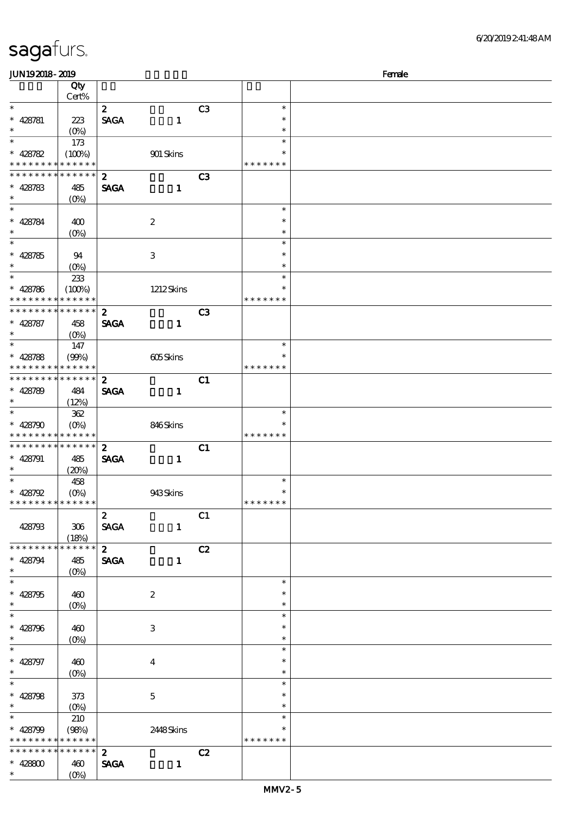| sagafurs. |
|-----------|
|-----------|

| <b>JUN192018-2019</b><br>Female            |                                 |                  |                           |                |               |  |  |  |  |
|--------------------------------------------|---------------------------------|------------------|---------------------------|----------------|---------------|--|--|--|--|
|                                            | Qty                             |                  |                           |                |               |  |  |  |  |
|                                            | Cert%                           |                  |                           |                |               |  |  |  |  |
| $\ast$                                     |                                 | $\boldsymbol{z}$ |                           | C <sub>3</sub> | $\ast$        |  |  |  |  |
| $* 428781$                                 | 223                             | <b>SAGA</b>      | $\mathbf{1}$              |                | $\ast$        |  |  |  |  |
| $\ast$                                     | (O <sub>0</sub> )               |                  |                           |                | $\ast$        |  |  |  |  |
| $\ast$                                     | 173                             |                  |                           |                | $\ast$        |  |  |  |  |
| $* 428782$                                 | (100%)                          |                  | 901 Skins                 |                | $\ast$        |  |  |  |  |
| * * * * * * * *                            | * * * * * *                     |                  |                           |                | * * * * * * * |  |  |  |  |
| * * * * * * * *                            | * * * * * *                     | $\mathbf{z}$     |                           | C3             |               |  |  |  |  |
| $* 428783$                                 |                                 | <b>SAGA</b>      | $\mathbf{1}$              |                |               |  |  |  |  |
| $\ast$                                     | 485                             |                  |                           |                |               |  |  |  |  |
| $\ast$                                     | $(O\%)$                         |                  |                           |                | $\ast$        |  |  |  |  |
|                                            |                                 |                  |                           |                |               |  |  |  |  |
| $* 428784$                                 | 400                             |                  | $\boldsymbol{2}$          |                | $\ast$        |  |  |  |  |
| $\ast$                                     | $(O\!/\!o)$                     |                  |                           |                | $\ast$        |  |  |  |  |
| $\ast$                                     |                                 |                  |                           |                | $\ast$        |  |  |  |  |
| $* 428785$                                 | 94                              |                  | $\ensuremath{\mathbf{3}}$ |                | $\ast$        |  |  |  |  |
| $\ast$                                     | $(0\%)$                         |                  |                           |                | $\ast$        |  |  |  |  |
| $\ast$                                     | 233                             |                  |                           |                | $\ast$        |  |  |  |  |
| $* 428786$                                 | (100%)                          |                  | 1212Skins                 |                |               |  |  |  |  |
| * * * * * * * *                            | * * * * * *                     |                  |                           |                | * * * * * * * |  |  |  |  |
| * * * * * * * *                            | * * * * * *                     | $\boldsymbol{z}$ |                           | C3             |               |  |  |  |  |
| $* 428787$                                 | 458                             | <b>SAGA</b>      | $\mathbf{1}$              |                |               |  |  |  |  |
| $\ast$                                     | $(O_0)$                         |                  |                           |                |               |  |  |  |  |
| $\ast$                                     | 147                             |                  |                           |                | $\ast$        |  |  |  |  |
| $* 428788$                                 | (90%)                           |                  | 605Skins                  |                | $\ast$        |  |  |  |  |
| * * * * * * * * <mark>* * * * * * *</mark> |                                 |                  |                           |                | * * * * * * * |  |  |  |  |
| * * * * * * * *                            | * * * * * *                     | $\boldsymbol{z}$ |                           | C1             |               |  |  |  |  |
| $* 428789$                                 | 484                             | <b>SAGA</b>      | $\mathbf{1}$              |                |               |  |  |  |  |
| $\ast$                                     |                                 |                  |                           |                |               |  |  |  |  |
| $\ast$                                     | (12%)                           |                  |                           |                | $\ast$        |  |  |  |  |
|                                            | 362                             |                  |                           |                | $\ast$        |  |  |  |  |
| $* 428790$                                 | $(O\%)$                         |                  | 846Skins                  |                |               |  |  |  |  |
| * * * * * * * * <mark>* * * * * *</mark>   |                                 |                  |                           |                | * * * * * * * |  |  |  |  |
| * * * * * * * *                            | * * * * * *                     | $\mathbf{z}$     |                           | C1             |               |  |  |  |  |
| $* 428791$                                 | 485                             | <b>SAGA</b>      | $\mathbf{1}$              |                |               |  |  |  |  |
| $\ast$                                     | (20%)                           |                  |                           |                |               |  |  |  |  |
| $\ast$                                     | 458                             |                  |                           |                | $\ast$        |  |  |  |  |
| $* 428792$                                 | $(O\%)$                         |                  | 943Skins                  |                | $\ast$        |  |  |  |  |
| * * * * * * * * * * * * * * *              |                                 |                  |                           |                | * * * * * * * |  |  |  |  |
|                                            |                                 | $\boldsymbol{z}$ |                           | C1             |               |  |  |  |  |
| 428793                                     | 306                             | <b>SAGA</b>      | $\mathbf{1}$              |                |               |  |  |  |  |
|                                            | (18%)                           |                  |                           |                |               |  |  |  |  |
| * * * * * * * *                            | * * * * * *                     | $\mathbf{2}$     |                           | C2             |               |  |  |  |  |
| $* 428794$                                 | 485                             | <b>SAGA</b>      | $\mathbf{1}$              |                |               |  |  |  |  |
| $\ast$                                     |                                 |                  |                           |                |               |  |  |  |  |
| $\overline{\ast}$                          |                                 |                  |                           |                | $\ast$        |  |  |  |  |
| $* 428795$                                 | 460                             |                  | $\boldsymbol{2}$          |                | $\ast$        |  |  |  |  |
| $\ast$                                     | $(0\%)$                         |                  |                           |                | $\ast$        |  |  |  |  |
| $\overline{\phantom{0}}$                   |                                 |                  |                           |                | $\ast$        |  |  |  |  |
| $* 428796$                                 | 460                             |                  | $\,3$                     |                | $\ast$        |  |  |  |  |
| $\ast$                                     | $(O\!\!\!\!\!\!\backslash\rho)$ |                  |                           |                | $\ast$        |  |  |  |  |
| $\overline{\phantom{0}}$                   |                                 |                  |                           |                | $\ast$        |  |  |  |  |
|                                            |                                 |                  |                           |                | $\ast$        |  |  |  |  |
| $* 428797$<br>$\ast$                       | 460                             |                  | $\boldsymbol{4}$          |                | $\ast$        |  |  |  |  |
| $\ast$                                     | $(O\%)$                         |                  |                           |                |               |  |  |  |  |
|                                            |                                 |                  |                           |                | $\ast$        |  |  |  |  |
| $* 428798$                                 | 373                             |                  | $\mathbf{5}$              |                | $\ast$        |  |  |  |  |
| $\ast$                                     | $(O\!\!\!\!\!\!\!\!/\,\!o)$     |                  |                           |                | $\ast$        |  |  |  |  |
| $\ast$                                     | 210                             |                  |                           |                | $\ast$        |  |  |  |  |
| $* 428799$                                 | (98%)                           |                  | 2448Skins                 |                | $\ast$        |  |  |  |  |
| * * * * * * * * * * * * * *                |                                 |                  |                           |                | * * * * * * * |  |  |  |  |
| * * * * * * * *                            | $******$                        | 2 <sup>7</sup>   |                           | C2             |               |  |  |  |  |
| $* 428800$                                 | 460                             | <b>SAGA</b>      | $\mathbf{1}$              |                |               |  |  |  |  |
| $*$                                        | $(0\%)$                         |                  |                           |                |               |  |  |  |  |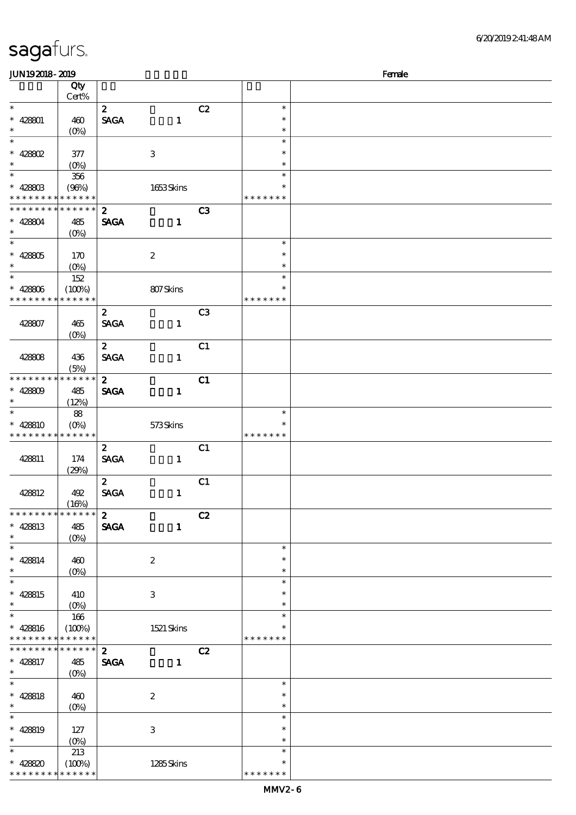| JUN192018-2019                             |                   |                  |              |                |               | Female |
|--------------------------------------------|-------------------|------------------|--------------|----------------|---------------|--------|
|                                            | Qty               |                  |              |                |               |        |
|                                            | Cert%             |                  |              |                |               |        |
| $\ast$                                     |                   | $\mathbf{z}$     |              | C2             | $\ast$        |        |
| $* 42801$                                  | 460               | <b>SAGA</b>      | $\mathbf{1}$ |                | $\ast$        |        |
| $\ast$                                     | (O <sub>0</sub> ) |                  |              |                | $\ast$        |        |
| $\ast$                                     |                   |                  |              |                | $\ast$        |        |
| $* 428802$                                 | 377               | $\,3$            |              |                | $\ast$        |        |
| $\ast$                                     | $(O\%)$           |                  |              |                | $\ast$        |        |
| $\ast$                                     | 356               |                  |              |                | $\ast$        |        |
| $* 42880B$                                 | (96%)             |                  | 1653Skins    |                | $\ast$        |        |
| * * * * * * * * * * * * * *                |                   |                  |              |                | * * * * * * * |        |
| * * * * * * * *                            | * * * * * *       | $\boldsymbol{2}$ |              | C3             |               |        |
| $* 428804$                                 | 485               | <b>SAGA</b>      | $\mathbf{1}$ |                |               |        |
| $\ast$                                     | (O <sub>0</sub> ) |                  |              |                |               |        |
| $\ast$                                     |                   |                  |              |                | $\ast$        |        |
| $* 428805$                                 | 170               | $\boldsymbol{2}$ |              |                | $\ast$        |        |
| $\ast$                                     | $(0\%)$           |                  |              |                | $\ast$        |        |
| $\ast$                                     | 152               |                  |              |                | $\ast$        |        |
| $* 428806$                                 | (100%)            |                  | 807Skins     |                | $\ast$        |        |
| * * * * * * * * <mark>* * * * * *</mark> * |                   |                  |              |                | * * * * * * * |        |
|                                            |                   | $\boldsymbol{z}$ |              | C <sub>3</sub> |               |        |
| 428807                                     | 465               | <b>SAGA</b>      | $\mathbf{1}$ |                |               |        |
|                                            | (O <sub>0</sub> ) |                  |              |                |               |        |
|                                            |                   | $\boldsymbol{z}$ |              | C1             |               |        |
| 428808                                     | 436               | <b>SAGA</b>      | $\mathbf{1}$ |                |               |        |
|                                            | (5%)              |                  |              |                |               |        |
| * * * * * * * * * * * * * *                |                   | $\boldsymbol{z}$ |              | C1             |               |        |
| $* 428809$                                 | 485               | <b>SAGA</b>      | $\mathbf{1}$ |                |               |        |
| $\ast$                                     | (12%)             |                  |              |                |               |        |
| $\ast$                                     | 88                |                  |              |                | $\ast$        |        |
| $* 428810$                                 | (O <sub>0</sub> ) |                  | 573Skins     |                | $\ast$        |        |
| * * * * * * * * * * * * * *                |                   |                  |              |                | * * * * * * * |        |
|                                            |                   | $\boldsymbol{2}$ |              | C1             |               |        |
| 428811                                     | 174               | <b>SAGA</b>      | $\mathbf{1}$ |                |               |        |
|                                            | (29%)             |                  |              |                |               |        |
|                                            |                   | $\boldsymbol{z}$ |              | C1             |               |        |
| 428812                                     | 492               | <b>SAGA</b>      | $\mathbf{1}$ |                |               |        |
| * * * * * * * * * * * * * *                | (16%)             |                  |              |                |               |        |
| $* 428813$                                 |                   | $\boldsymbol{2}$ |              | C2             |               |        |
| $\ast$                                     | 485               | <b>SAGA</b>      | $\mathbf{1}$ |                |               |        |
| $\overline{\phantom{a}}$                   | $(O\%)$           |                  |              |                | $\ast$        |        |
| $* 428814$                                 | 460               | $\boldsymbol{2}$ |              |                | $\ast$        |        |
|                                            | $(0\%)$           |                  |              |                | $\ast$        |        |
| $\ast$                                     |                   |                  |              |                | $\ast$        |        |
| $* 428815$                                 | 410               | $\,3$            |              |                | $\ast$        |        |
| $\ast$                                     | $(O\%)$           |                  |              |                | $\ast$        |        |
| $\ast$                                     | 166               |                  |              |                | $\ast$        |        |
| $* 428816$                                 | (100%)            |                  | 1521 Skins   |                | $\ast$        |        |
| * * * * * * * * * * * * * *                |                   |                  |              |                | * * * * * * * |        |
| ******** <mark>*******</mark>              |                   | $2^{\circ}$      |              | C2             |               |        |
| $* 428817$                                 | 485               | <b>SAGA</b>      | $\mathbf{1}$ |                |               |        |
| $\ast$                                     | $(O\% )$          |                  |              |                |               |        |
| $\ast$                                     |                   |                  |              |                | $\ast$        |        |
| $* 428818$                                 | 460               | $\boldsymbol{2}$ |              |                | $\ast$        |        |
| $\ast$                                     | $(0\%)$           |                  |              |                | $\ast$        |        |
| $\ast$                                     |                   |                  |              |                | $\ast$        |        |
| * $428819$                                 | 127               | $\,3$            |              |                | $\ast$        |        |
| $\ast$                                     |                   |                  |              |                | $\ast$        |        |
| $\overline{\phantom{a}}$                   | 213               |                  |              |                | $\ast$        |        |
| $* 428820$                                 | (100%)            |                  | 1285Skins    |                | $\ast$        |        |
| * * * * * * * * <mark>* * * * * *</mark>   |                   |                  |              |                | * * * * * * * |        |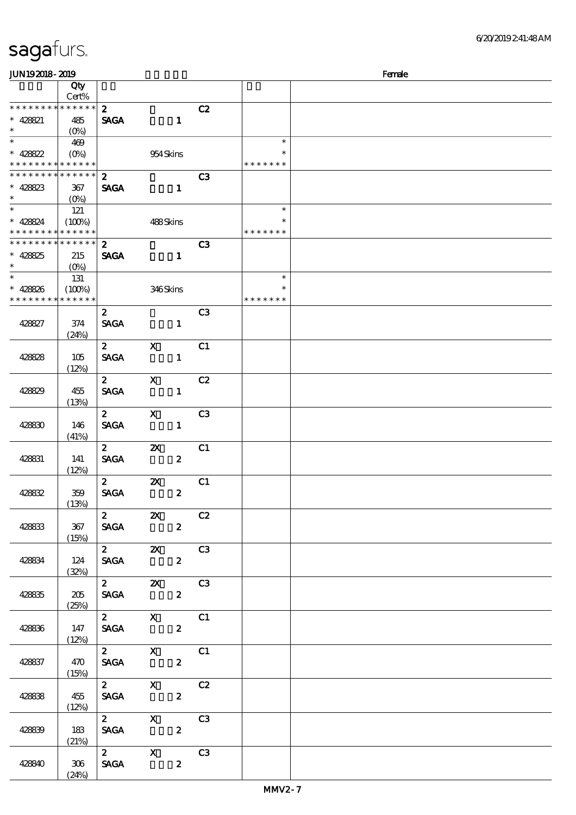| <b>JUN192018-2019</b>                                          |                              |                                 |                                                                                                                                                                                                                                                                                                                                                                                                                          |                |                                   | Female |
|----------------------------------------------------------------|------------------------------|---------------------------------|--------------------------------------------------------------------------------------------------------------------------------------------------------------------------------------------------------------------------------------------------------------------------------------------------------------------------------------------------------------------------------------------------------------------------|----------------|-----------------------------------|--------|
|                                                                | Qty<br>Cert%                 |                                 |                                                                                                                                                                                                                                                                                                                                                                                                                          |                |                                   |        |
| * * * * * * * * * * * * * *<br>$* 428821$<br>$\ast$            | 485                          | $2^{\circ}$<br><b>SAGA</b>      | $\mathbf{1}$                                                                                                                                                                                                                                                                                                                                                                                                             | C2             |                                   |        |
| $\ast$<br>$* 428822$<br>* * * * * * * * * * * * * *            | 469<br>$(O\% )$              |                                 | 954Skins                                                                                                                                                                                                                                                                                                                                                                                                                 |                | $\ast$<br>$\ast$<br>* * * * * * * |        |
| * * * * * * * * * * * * * *<br>$* 428823$<br>$\ast$            | 367                          | $\mathbf{z}$<br><b>SAGA</b>     | $\mathbf{1}$                                                                                                                                                                                                                                                                                                                                                                                                             | C <sub>3</sub> |                                   |        |
| $\overline{\ast}$<br>$* 428824$<br>* * * * * * * * * * * * * * | 121<br>(100%)                |                                 | 488Skins                                                                                                                                                                                                                                                                                                                                                                                                                 |                | $\ast$<br>$\ast$<br>* * * * * * * |        |
| * * * * * * * * * * * * * *<br>$* 428825$<br>$\ast$            | 215                          | $\mathbf{z}$<br><b>SAGA</b>     | $\mathbf{1}$                                                                                                                                                                                                                                                                                                                                                                                                             | C <sub>3</sub> |                                   |        |
| $\ast$<br>$* 428826$<br>* * * * * * * *                        | 131<br>(100%)<br>* * * * * * |                                 | 346Skins                                                                                                                                                                                                                                                                                                                                                                                                                 |                | $\ast$<br>$\ast$<br>* * * * * * * |        |
| 428827                                                         | 374<br>(24%)                 | $\boldsymbol{z}$<br><b>SAGA</b> | $\mathbf{1}$                                                                                                                                                                                                                                                                                                                                                                                                             | C <sub>3</sub> |                                   |        |
| 428828                                                         | 105<br>(12%)                 | $\mathbf{z}$<br><b>SAGA</b>     | $\mathbf{x}$<br>$\mathbf{1}$                                                                                                                                                                                                                                                                                                                                                                                             | C1             |                                   |        |
| 428829                                                         | 455<br>(13%)                 | $\mathbf{2}$<br><b>SAGA</b>     | $\mathbf x$<br>$\mathbf{1}$                                                                                                                                                                                                                                                                                                                                                                                              | C2             |                                   |        |
| 428830                                                         | 146<br>(41%)                 | $\mathbf{z}$<br><b>SAGA</b>     | $\mathbf x$<br>$\mathbf{1}$                                                                                                                                                                                                                                                                                                                                                                                              | C <sub>3</sub> |                                   |        |
| 428831                                                         | 141<br>(12%)                 | $\mathbf{2}$<br><b>SAGA</b>     | $\boldsymbol{\alpha}$<br>$\boldsymbol{z}$                                                                                                                                                                                                                                                                                                                                                                                | C1             |                                   |        |
| 428832                                                         | 359<br>(13%)                 | 2 <sup>7</sup><br><b>SAGA</b>   | $\boldsymbol{\mathsf{Z}}$<br>$\boldsymbol{z}$                                                                                                                                                                                                                                                                                                                                                                            | C1             |                                   |        |
| 428833                                                         | 367<br>(15%)                 | $\mathbf{2}$                    | <b>2X</b> C <sub>2</sub><br><b>SAGA</b><br>$\mathbf{2}$                                                                                                                                                                                                                                                                                                                                                                  |                |                                   |        |
| 428834                                                         | 124<br>(32%)                 | <b>SAGA</b>                     | 2 $\mathbb{Z}$<br>$\mathbf{2}$                                                                                                                                                                                                                                                                                                                                                                                           | C3             |                                   |        |
| 428835                                                         | 205<br>(25%)                 | $\overline{2}$                  | $\boldsymbol{\mathsf{Z}}$<br><b>SAGA</b><br>$\mathbf{2}$                                                                                                                                                                                                                                                                                                                                                                 | C3             |                                   |        |
| 428836                                                         | 147<br>(12%)                 |                                 | $\overline{\textbf{z}}$ $\overline{\textbf{x}}$ $\overline{\textbf{c}}$ $\overline{\textbf{c}}$<br><b>SAGA</b><br>$\mathbf{2}$                                                                                                                                                                                                                                                                                           |                |                                   |        |
| 428837                                                         | 470<br>(15%)                 |                                 | $\overline{z}$ $\overline{x}$ $\overline{c}$ $\overline{c}$ $\overline{c}$ $\overline{c}$ $\overline{c}$ $\overline{c}$ $\overline{c}$ $\overline{c}$ $\overline{c}$ $\overline{c}$ $\overline{c}$ $\overline{c}$ $\overline{c}$ $\overline{c}$ $\overline{c}$ $\overline{c}$ $\overline{c}$ $\overline{c}$ $\overline{c}$ $\overline{c}$ $\overline{c}$ $\overline{c}$ $\overline{c$<br><b>SAGA</b><br>$\boldsymbol{2}$ |                |                                   |        |
| 428838                                                         | 455<br>(12%)                 |                                 | $\overline{\textbf{z}}$ x $\overline{\textbf{z}}$ $\overline{\textbf{z}}$<br><b>SAGA</b><br>$\mathbf{2}$                                                                                                                                                                                                                                                                                                                 |                |                                   |        |
| 428839                                                         | 183<br>(21%)                 |                                 | 2 X C3<br><b>SAGA</b>                                                                                                                                                                                                                                                                                                                                                                                                    | $\mathbf{2}$   |                                   |        |
| 428840                                                         | 306<br>(24%)                 |                                 | 2 X C3<br><b>SAGA</b><br>$\mathbf{2}$                                                                                                                                                                                                                                                                                                                                                                                    |                |                                   |        |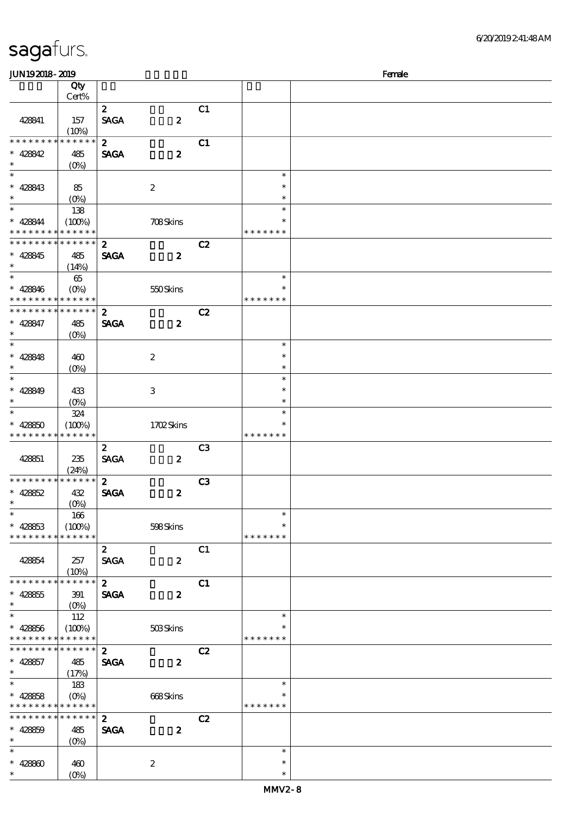\* \*

\* \*

\* \*

\* \*

\* \* \* \* \* \* \*

\* \* \* \* \* \* \*

\* \* \* \* \* \* \*

|                                          |                            |                                 |                  |                |                  | 6 <sup>2</sup> 020 |
|------------------------------------------|----------------------------|---------------------------------|------------------|----------------|------------------|--------------------|
| sagafurs.                                |                            |                                 |                  |                |                  |                    |
| JUN192018-2019                           |                            |                                 |                  |                |                  | Female             |
|                                          | Qty<br>Cert%               |                                 |                  |                |                  |                    |
|                                          |                            | $\boldsymbol{z}$                |                  | C1             |                  |                    |
| 428841                                   | 157                        | <b>SAGA</b>                     | $\boldsymbol{z}$ |                |                  |                    |
|                                          | (10%)                      |                                 |                  |                |                  |                    |
| * * * * * * * *                          | * * * * * *                | $\boldsymbol{z}$                |                  | C1             |                  |                    |
| $* 428842$                               | 485                        | <b>SAGA</b>                     | $\boldsymbol{2}$ |                |                  |                    |
| $\ast$                                   | $(0\%)$                    |                                 |                  |                |                  |                    |
| $\overline{\ast}$                        |                            |                                 |                  |                | $\ast$           |                    |
| $* 428843$<br>$\ast$                     | 85                         |                                 | $\boldsymbol{2}$ |                | $\ast$<br>$\ast$ |                    |
| $\ast$                                   | $(O\%)$<br>138             |                                 |                  |                | $\ast$           |                    |
| $* 428844$                               | (100%)                     |                                 | 708Skins         |                | $\ast$           |                    |
| * * * * * * * * <mark>* * * * * *</mark> |                            |                                 |                  |                | * * * * * * *    |                    |
| * * * * * * * *                          | * * * * * *                | $\mathbf{z}$                    |                  | C2             |                  |                    |
| $* 428845$                               | 485                        | <b>SAGA</b>                     | $\boldsymbol{2}$ |                |                  |                    |
| $\ast$                                   | (14%)                      |                                 |                  |                |                  |                    |
| $\ast$                                   | 65                         |                                 |                  |                | $\ast$           |                    |
| $* 428846$                               | $(O\% )$                   |                                 | 550Skins         |                | $\ast$           |                    |
| * * * *<br>* * * * *<br>* * *            | * * * * * *<br>* * * * * * |                                 |                  |                | * * * * * * *    |                    |
| $* 428847$                               | 485                        | $\boldsymbol{z}$<br><b>SAGA</b> | $\boldsymbol{z}$ | C2             |                  |                    |
| $\ast$                                   | $(O\%)$                    |                                 |                  |                |                  |                    |
| $\overline{\phantom{0}}$                 |                            |                                 |                  |                | $\ast$           |                    |
| $\ast$<br>428848                         | 460                        |                                 | $\boldsymbol{2}$ |                | $\ast$           |                    |
| $\ast$                                   | $(O\!/\!o)$                |                                 |                  |                | $\ast$           |                    |
| $\ast$                                   |                            |                                 |                  |                | $\ast$           |                    |
| $* 428849$                               | 433                        |                                 | 3                |                | $\ast$           |                    |
| $\ast$                                   | $(0\%)$                    |                                 |                  |                | $\ast$           |                    |
| $\ast$                                   | 324                        |                                 |                  |                | $\ast$<br>$\ast$ |                    |
| $* 42850$<br>* * * * * * * *             | (100%)<br>* * * * * *      |                                 | 1702Skins        |                | * * * * * * *    |                    |
|                                          |                            | $\boldsymbol{z}$                |                  | C <sub>3</sub> |                  |                    |
| 428851                                   | 235                        | <b>SAGA</b>                     | $\boldsymbol{z}$ |                |                  |                    |
|                                          | (24%)                      |                                 |                  |                |                  |                    |
| * * * * * * * *                          | * * * * * *                | $\boldsymbol{2}$                |                  | C3             |                  |                    |
| $* 428852$                               | 432                        | <b>SAGA</b>                     | $\boldsymbol{z}$ |                |                  |                    |
| $\ast$                                   | $(O\%)$                    |                                 |                  |                |                  |                    |

\*

\*

\*

\*

\*

\*

\*

\*

\* 428856

\* 428858

\* 428853

\* \* \* \* \* \* \* \* \* \* \* \* \*

428854 257

\* \* \* \* \* \* \* \* \* \* \* \* \* \* \* 428855 391

\* \* \* \* \* \* \* \* \* \* \* \*

**\* \* \* \* \* \* \* \* \* \* \* \* \* \* \*** \* 428857 485

\* \* \* \* \* \* \* \* \* \* \* \* \* \*

\* 428860 460

\* \* \* \* \* \* \* \* \* \* \* \* 428859 485

166

 $(10%)$ 

(0%)

112

(17%)

183

(0%)

 $(0%)$ 

 $(100\%)$  598 Skins

 $(100%)$  503 Skins

 $(0%)$  668 Skins

 $2$  C1 SAGA 2

 $\overline{c}$  2  $\overline{c}$   $\overline{c}$  1 SAGA 2

 $\overline{2}$  C<sub>2</sub>  $SAGA$  2

 $2$  C2 SAGA 2

2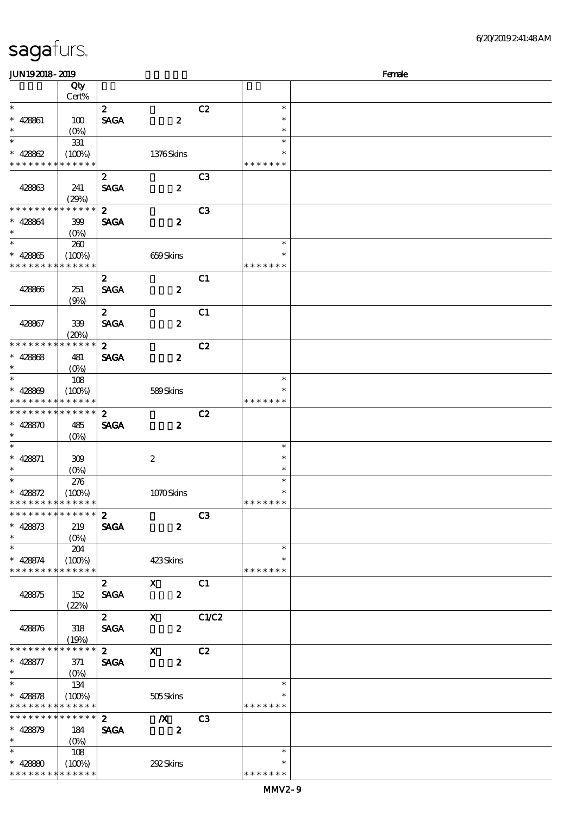| sagafurs. |
|-----------|
|-----------|

| <b>JUN192018-2019</b>                                       |                   |                  |                  |                |               | Female |
|-------------------------------------------------------------|-------------------|------------------|------------------|----------------|---------------|--------|
|                                                             | Qty               |                  |                  |                |               |        |
|                                                             | Cert%             |                  |                  |                |               |        |
| $\ast$                                                      |                   | $\mathbf{2}$     |                  | C2             | $\ast$        |        |
| $* 428861$                                                  | 100               | <b>SAGA</b>      | $\boldsymbol{z}$ |                | $\ast$        |        |
| $\ast$                                                      | $(O\%)$           |                  |                  |                | $\ast$        |        |
| $\ast$                                                      | 331               |                  |                  |                | $\ast$        |        |
| * $428862$                                                  | (100%)            |                  | 1376Skins        |                | *             |        |
| * * * * * * * *                                             | * * * * * *       |                  |                  |                | * * * * * * * |        |
|                                                             |                   | $\boldsymbol{z}$ |                  | C <sub>3</sub> |               |        |
|                                                             | 241               | <b>SAGA</b>      | $\boldsymbol{z}$ |                |               |        |
| 428863                                                      | (29%)             |                  |                  |                |               |        |
| * * * * * * * *                                             | * * * * * *       |                  |                  |                |               |        |
|                                                             |                   | $\boldsymbol{z}$ |                  | C3             |               |        |
| $* 428864$                                                  | 399               | <b>SAGA</b>      | $\boldsymbol{z}$ |                |               |        |
| $\ast$                                                      | $(O\%)$           |                  |                  |                |               |        |
| $\ast$                                                      | 260               |                  |                  |                | $\ast$        |        |
| $* 428865$                                                  | (100%)            |                  | 659Skins         |                | ∗             |        |
| * * * * * * * *                                             | * * * * * *       |                  |                  |                | * * * * * * * |        |
|                                                             |                   | $\mathbf{z}$     |                  | C1             |               |        |
| 428866                                                      | 251               | <b>SAGA</b>      | $\boldsymbol{z}$ |                |               |        |
|                                                             | (9%)              |                  |                  |                |               |        |
|                                                             |                   | $\boldsymbol{z}$ |                  | C1             |               |        |
| 428867                                                      | 339               | <b>SAGA</b>      | $\boldsymbol{z}$ |                |               |        |
|                                                             | (20%)             |                  |                  |                |               |        |
| * * * * * * * *                                             | * * * * * *       | $\mathbf{z}$     |                  | C2             |               |        |
| $* 428868$                                                  | 481               | <b>SAGA</b>      | $\boldsymbol{z}$ |                |               |        |
| $\ast$                                                      | (O <sub>0</sub> ) |                  |                  |                |               |        |
| $\ast$                                                      | 108               |                  |                  |                | $\ast$        |        |
| * $428809$                                                  | (100%)            |                  | 589Skins         |                | $\ast$        |        |
| * * *                                                       | * * * * * *       |                  |                  |                | * * * * * * * |        |
| * * * * * * * * * * * * * *                                 |                   | $\boldsymbol{2}$ |                  | C2             |               |        |
| $* 428870$                                                  | 485               | <b>SAGA</b>      | $\boldsymbol{z}$ |                |               |        |
| $\ast$                                                      | $(O\%)$           |                  |                  |                |               |        |
| $\ast$                                                      |                   |                  |                  |                | $\ast$        |        |
|                                                             |                   |                  |                  |                | $\ast$        |        |
| $* 428871$<br>$\ast$                                        | 309               |                  | $\boldsymbol{2}$ |                | $\ast$        |        |
| $\ast$                                                      | (O <sub>0</sub> ) |                  |                  |                | $\ast$        |        |
|                                                             | 276               |                  |                  |                | $\ast$        |        |
| $* 428572$                                                  | (100%)            |                  | 1070Skins        |                |               |        |
| * * * * * * * * * * * * * *<br>******** <mark>******</mark> |                   |                  |                  |                | * * * * * * * |        |
|                                                             |                   | $\boldsymbol{z}$ |                  | C3             |               |        |
| $* 428873$                                                  | 219               | <b>SAGA</b>      | $\boldsymbol{z}$ |                |               |        |
| $\ast$                                                      | $(O\%)$           |                  |                  |                |               |        |
| $\ast$                                                      | 204               |                  |                  |                | $\ast$        |        |
| $* 428874$                                                  | (100%)            |                  | 423Skins         |                | $\ast$        |        |
| * * * * * * * * * * * * * *                                 |                   |                  |                  |                | * * * * * * * |        |
|                                                             |                   | $\mathbf{z}$     | $\mathbf{X}$     | C1             |               |        |
| 428875                                                      | 152               | <b>SAGA</b>      | $\boldsymbol{z}$ |                |               |        |
|                                                             | (22%)             |                  |                  |                |               |        |
|                                                             |                   | $\mathbf{2}$     | $\mathbf{x}$     | C1/C2          |               |        |
| 428876                                                      | 318               | <b>SAGA</b>      | $\boldsymbol{z}$ |                |               |        |
|                                                             | (19%)             |                  |                  |                |               |        |
| * * * * * * * *                                             | * * * * * *       | $\mathbf{2}$     | $\mathbf{x}$     | C2             |               |        |
| $* 428877$                                                  | 371               | <b>SAGA</b>      | $\boldsymbol{z}$ |                |               |        |
| $\ast$                                                      | $(O\%)$           |                  |                  |                |               |        |
| $\ast$                                                      | 134               |                  |                  |                | $\ast$        |        |
| $* 428878$                                                  | (100%)            |                  | 505Skins         |                | ∗             |        |
| * * * * * * * * * * * * * *                                 |                   |                  |                  |                | * * * * * * * |        |
| * * * * * * * * * * * * * *                                 |                   | $2^{\circ}$      | $\boldsymbol{X}$ | C3             |               |        |
| $* 428879$                                                  | 184               | <b>SAGA</b>      | $\boldsymbol{z}$ |                |               |        |
| $\ast$                                                      | $(O\%)$           |                  |                  |                |               |        |
| $\ast$                                                      | 108               |                  |                  |                | $\ast$        |        |
|                                                             |                   |                  |                  |                | ∗             |        |
| $* 42880$<br>* * * * * * * * * * * * * *                    | (100%)            |                  | 292Skins         |                | * * * * * * * |        |
|                                                             |                   |                  |                  |                |               |        |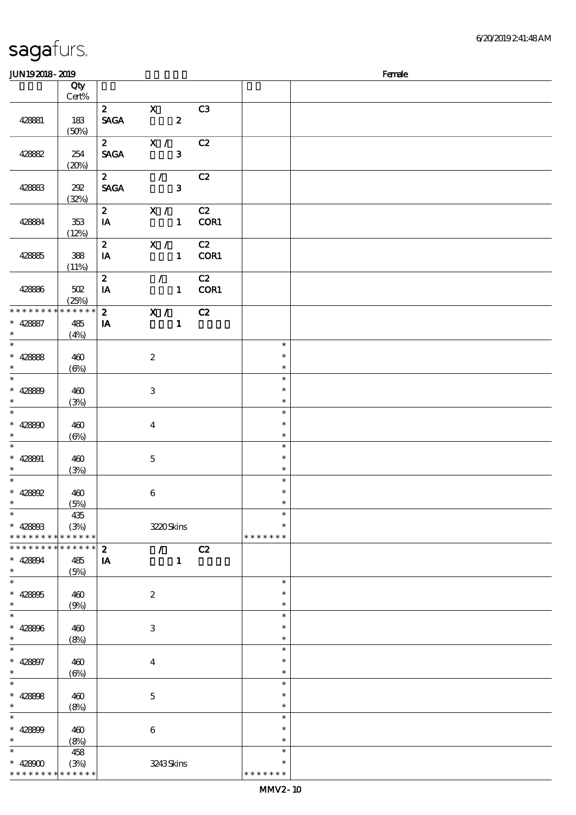#### $J\sim 109$   $Femole$

|                 |              |                                                                                                   |                             |                |        |               | $\sim$ |
|-----------------|--------------|---------------------------------------------------------------------------------------------------|-----------------------------|----------------|--------|---------------|--------|
|                 | Qty<br>Cert% |                                                                                                   |                             |                |        |               |        |
|                 |              |                                                                                                   |                             |                |        |               |        |
|                 |              | 2 X                                                                                               |                             |                | C3     |               |        |
| 428881          | 183          | SAGA 2                                                                                            |                             |                |        |               |        |
|                 | (50%)        |                                                                                                   |                             |                |        |               |        |
|                 |              | $\overline{z}$ $\overline{x}$ / $\overline{cz}$                                                   |                             |                |        |               |        |
|                 |              |                                                                                                   |                             |                |        |               |        |
| 428882          | 254          | <b>SAGA</b>                                                                                       |                             | 3 <sup>1</sup> |        |               |        |
|                 | (20%)        |                                                                                                   |                             |                |        |               |        |
|                 |              | $\overline{2}$ / $\overline{C2}$                                                                  |                             |                |        |               |        |
| 428883          | 292          | SAGA 3                                                                                            |                             |                |        |               |        |
|                 |              |                                                                                                   |                             |                |        |               |        |
|                 | (32%)        |                                                                                                   |                             |                |        |               |        |
|                 |              | 2 $X / C2$                                                                                        |                             |                |        |               |        |
| 428884          | 353          | <b>IA</b>                                                                                         |                             |                | 1 COR1 |               |        |
|                 | (12%)        |                                                                                                   |                             |                |        |               |        |
|                 |              | $\mathbf{2}$                                                                                      |                             |                |        |               |        |
|                 |              |                                                                                                   | X / C2                      |                |        |               |        |
| 428885          | 388          | IA                                                                                                |                             |                | 1 COR1 |               |        |
|                 | (11%)        |                                                                                                   |                             |                |        |               |        |
|                 |              | $\mathbf{2}$                                                                                      | $\mathcal{L} = \mathcal{L}$ |                | C2     |               |        |
| 428886          | 502          | $I$ A                                                                                             |                             |                | 1 COR1 |               |        |
|                 |              |                                                                                                   |                             |                |        |               |        |
|                 | (25%)        |                                                                                                   |                             |                |        |               |        |
| * * * * * * * * | * * * * * *  | $\overline{\textbf{z}}$ $\overline{\textbf{x}}$ / $\overline{\textbf{c}}$ $\overline{\textbf{z}}$ |                             |                |        |               |        |
| * 428887        | 485          | $\mathbf{I}$                                                                                      |                             | $\mathbf{1}$   |        |               |        |
|                 | (4%)         |                                                                                                   |                             |                |        |               |        |
|                 |              |                                                                                                   |                             |                |        | $\ast$        |        |
|                 |              |                                                                                                   |                             |                |        |               |        |
|                 | 460          |                                                                                                   | $\boldsymbol{2}$            |                |        | $\ast$        |        |
| $* 42888$       | (6%)         |                                                                                                   |                             |                |        | $\ast$        |        |
|                 |              |                                                                                                   |                             |                |        | $\ast$        |        |
| * 42889         | 460          |                                                                                                   | 3                           |                |        | $\ast$        |        |
|                 |              |                                                                                                   |                             |                |        | $\ast$        |        |
|                 | (3%)         |                                                                                                   |                             |                |        |               |        |
|                 |              |                                                                                                   |                             |                |        | $\ast$        |        |
|                 | 460          |                                                                                                   | $\bf{4}$                    |                |        | $\ast$        |        |
| * 428800        | $(\Theta)$   |                                                                                                   |                             |                |        | $\ast$        |        |
|                 |              |                                                                                                   |                             |                |        | $\ast$        |        |
|                 |              |                                                                                                   |                             |                |        | $\ast$        |        |
| * 428891        | 460          |                                                                                                   | $\mathbf 5$                 |                |        |               |        |
| $\ast$          | (3%)         |                                                                                                   |                             |                |        | $\ast$        |        |
|                 |              |                                                                                                   |                             |                |        | $\ast$        |        |
| $* 428802$      | 460          |                                                                                                   | $\,6\,$                     |                |        | $\ast$        |        |
| $\ast$          | (5%)         |                                                                                                   |                             |                |        | $\ast$        |        |
| $\ast$          |              |                                                                                                   |                             |                |        | $\ast$        |        |
|                 | 435          |                                                                                                   |                             |                |        |               |        |
| $* 428803$      | (3%)         |                                                                                                   | 3220Skins                   |                |        | $\ast$        |        |
| * * * * * * * * | * * * * * *  |                                                                                                   |                             |                |        | * * * * * * * |        |
| * * * * * * * * | * * * * * *  | $\boldsymbol{z}$                                                                                  | $\mathcal{L}$               |                | C2     |               |        |
| * 428894        | 485          | IA                                                                                                |                             | $\mathbf{1}$   |        |               |        |
| $\ast$          |              |                                                                                                   |                             |                |        |               |        |
|                 | (5%)         |                                                                                                   |                             |                |        |               |        |
| $\ast$          |              |                                                                                                   |                             |                |        | $\ast$        |        |
| $* 428805$      | 460          |                                                                                                   | $\boldsymbol{2}$            |                |        | $\ast$        |        |
| $\ast$          | (9%)         |                                                                                                   |                             |                |        | $\ast$        |        |
| $\ast$          |              |                                                                                                   |                             |                |        | $\ast$        |        |
| $* 428806$      |              |                                                                                                   |                             |                |        | $\ast$        |        |
|                 | 460          |                                                                                                   | $\,3$                       |                |        |               |        |
| $\ast$          | (8%)         |                                                                                                   |                             |                |        | $\ast$        |        |
| $\ast$          |              |                                                                                                   |                             |                |        | $\ast$        |        |
| $* 428807$      | 460          |                                                                                                   | $\boldsymbol{4}$            |                |        | $\ast$        |        |
| $\ast$          | $(\Theta\%)$ |                                                                                                   |                             |                |        | $\ast$        |        |
| $\ast$          |              |                                                                                                   |                             |                |        | $\ast$        |        |
|                 |              |                                                                                                   |                             |                |        |               |        |
| $* 428808$      | 460          |                                                                                                   | $\mathbf 5$                 |                |        | $\ast$        |        |
| $\ast$          | (8%)         |                                                                                                   |                             |                |        | $\ast$        |        |
| $\ast$          |              |                                                                                                   |                             |                |        | $\ast$        |        |
| $* 428809$      | 460          |                                                                                                   | $\boldsymbol{6}$            |                |        | $\ast$        |        |
|                 |              |                                                                                                   |                             |                |        |               |        |
| $\ast$          | (8%)         |                                                                                                   |                             |                |        | $\ast$        |        |
| $\ast$          | 458          |                                                                                                   |                             |                |        | $\ast$        |        |
| $* 42800$       | (3%)         |                                                                                                   | 3243Skins                   |                |        | $\ast$        |        |
| * * * * * * * * | * * * * * *  |                                                                                                   |                             |                |        | * * * * * * * |        |
|                 |              |                                                                                                   |                             |                |        |               |        |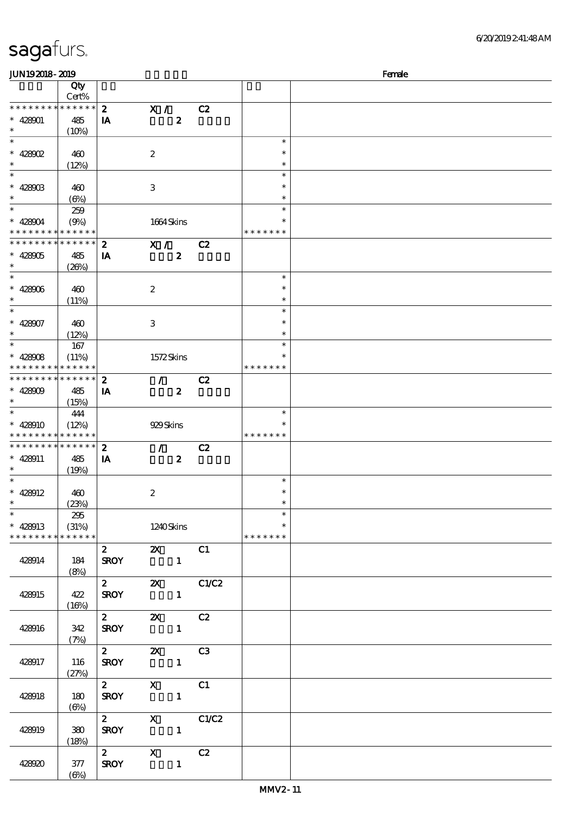| <b>JUN192018-2019</b>                      |                   |                             |                                 |                 |                  | Female |
|--------------------------------------------|-------------------|-----------------------------|---------------------------------|-----------------|------------------|--------|
|                                            | Qty               |                             |                                 |                 |                  |        |
|                                            | Cert%             |                             |                                 |                 |                  |        |
| * * * * * * * * * * * * * *                |                   | $\boldsymbol{z}$            | $X / \sqrt{2}$                  | C2              |                  |        |
| $* 428001$                                 | 485               | IA                          | $\boldsymbol{z}$                |                 |                  |        |
| $\ast$                                     | (10%)             |                             |                                 |                 |                  |        |
| $\ast$                                     |                   |                             |                                 |                 | $\ast$           |        |
| $* 428002$                                 | 460               |                             | $\boldsymbol{2}$                |                 | $\ast$           |        |
| $\ast$                                     | (12%)             |                             |                                 |                 | $\ast$           |        |
| $\ast$                                     |                   |                             |                                 |                 | $\ast$           |        |
| $* 428003$                                 | 460               |                             | 3                               |                 | $\ast$           |        |
| $\ast$                                     | $(\Theta)$        |                             |                                 |                 | $\ast$           |        |
| $\ast$                                     | 259               |                             |                                 |                 | $\ast$<br>$\ast$ |        |
| $* 428004$<br>* * * * * * * * * * * * * *  | (9%)              |                             | 1664Skins                       |                 | * * * * * * *    |        |
| * * * * * * * * * * * * * *                |                   | $\boldsymbol{z}$            | X /                             | C2              |                  |        |
| $* 428005$                                 | 485               | IA                          | $\boldsymbol{z}$                |                 |                  |        |
| $\ast$                                     | (20%)             |                             |                                 |                 |                  |        |
| $\ast$                                     |                   |                             |                                 |                 | $\ast$           |        |
| $* 428006$                                 | 460               |                             | $\boldsymbol{2}$                |                 | $\ast$           |        |
| $\ast$                                     | (11%)             |                             |                                 |                 | $\ast$           |        |
| $\ast$                                     |                   |                             |                                 |                 | $\ast$           |        |
| $* 428007$                                 | 460               |                             | 3                               |                 | $\ast$           |        |
| $\ast$                                     | (12%)             |                             |                                 |                 | $\ast$           |        |
| $\ast$                                     | 167               |                             |                                 |                 | $\ast$           |        |
| * $428008$                                 | (11%)             |                             | 1572Skins                       |                 | $\ast$           |        |
| * * * * * * * * <mark>* * * * * *</mark> * |                   |                             |                                 |                 | * * * * * * *    |        |
| * * * * * * * * * * * * * * *              |                   | $\boldsymbol{z}$            | $\mathcal{L}$                   | C2              |                  |        |
| $* 428009$<br>$\ast$                       | 485               | IA                          | $\boldsymbol{z}$                |                 |                  |        |
| $\ast$                                     | (15%)<br>444      |                             |                                 |                 | $\ast$           |        |
| $* 428910$                                 | (12%)             |                             | 929Skins                        |                 | $\ast$           |        |
| * * * * * * * * * * * * * *                |                   |                             |                                 |                 | * * * * * * *    |        |
| * * * * * * * * * * * * * *                |                   | $\boldsymbol{z}$            | $\mathcal{F}$ and $\mathcal{F}$ | C2              |                  |        |
| $* 428011$                                 | 485               | IA                          | $\boldsymbol{z}$                |                 |                  |        |
| $\ast$                                     | (19%)             |                             |                                 |                 |                  |        |
| $\ast$                                     |                   |                             |                                 |                 | $\ast$           |        |
| $* 428912$                                 | 460               |                             | $\boldsymbol{2}$                |                 | $\ast$           |        |
| $\ast$                                     | (23%)             |                             |                                 |                 | $\ast$           |        |
| $\ast$                                     | 295               |                             |                                 |                 | $\ast$           |        |
| $* 428913$                                 | (31%)             |                             | 1240Skins                       |                 | ∗                |        |
| * * * * * * * * * * * * * *                |                   |                             |                                 |                 | * * * * * * *    |        |
| 428914                                     | 184               | $\mathbf{2}$<br><b>SROY</b> | <b>2X</b> C1                    |                 |                  |        |
|                                            | (8%)              |                             |                                 |                 |                  |        |
|                                            |                   | $\mathbf{2}$                |                                 | <b>2X</b> C1/C2 |                  |        |
| 428915                                     | 422               | <b>SROY</b>                 | $\mathbf{1}$                    |                 |                  |        |
|                                            | (16%)             |                             |                                 |                 |                  |        |
|                                            |                   | $\overline{2}$              | $\mathbf{x}$                    | C2              |                  |        |
| 428916                                     | 342               | <b>SROY</b>                 | $\blacksquare$                  |                 |                  |        |
|                                            | (7%)              |                             |                                 |                 |                  |        |
|                                            |                   | $\mathbf{2}$                | <b>2X</b> C3                    |                 |                  |        |
| 428917                                     | 116               | <b>SROY</b>                 | $\mathbf{1}$                    |                 |                  |        |
|                                            | (27%)             |                             |                                 |                 |                  |        |
|                                            |                   | 2 X                         |                                 | C1              |                  |        |
| 428918                                     | 180<br>$(\Theta)$ | <b>SROY</b>                 | $\mathbf{1}$                    |                 |                  |        |
|                                            |                   | $\mathbf{2}$                |                                 | X C1/C2         |                  |        |
| 428919                                     | 380               | <b>SROY</b>                 | $\mathbf{1}$                    |                 |                  |        |
|                                            | (18%)             |                             |                                 |                 |                  |        |
|                                            |                   |                             | 2 X                             | C2              |                  |        |
| 428920                                     | $377$             | <b>SROY</b>                 | $\mathbf{1}$                    |                 |                  |        |
|                                            | $(\Theta)$        |                             |                                 |                 |                  |        |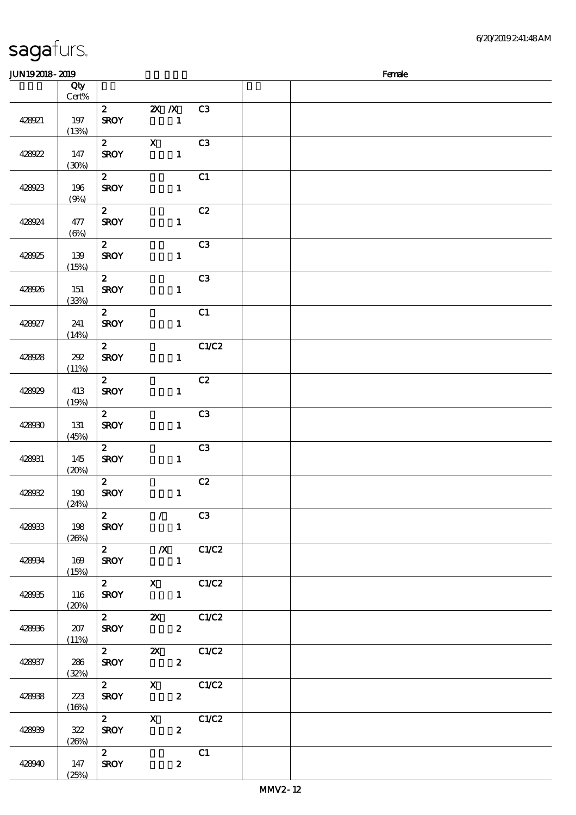428940 147

(25%)

SROY 2

#### 顺序号 Qty Cert% 说明 价格 428921 197  $(13%)$  $\overline{2}$  2X X C3 SROY 1 428922 147 (30%)  $\overline{\text{2}}$  X C3 SROY 1 428923 196 (9%)  $2$  C1 SROY 1 428924 477  $(6%)$  $\overline{c}$   $\overline{c}$   $\overline{c}$   $\overline{c}$   $\overline{c}$   $\overline{c}$   $\overline{c}$   $\overline{c}$   $\overline{c}$   $\overline{c}$   $\overline{c}$   $\overline{c}$   $\overline{c}$   $\overline{c}$   $\overline{c}$   $\overline{c}$   $\overline{c}$   $\overline{c}$   $\overline{c}$   $\overline{c}$   $\overline{c}$   $\overline{c}$   $\overline{c}$   $\overline{c}$   $\overline{$ SROY 1 428925 139  $(15%)$  $2$  C3 SROY 1 428926 151 (33%) 2 C3 SROY 1 428927 241 (14%)  $2$  C1 SROY 1 428928 292 (11%)  $\overline{c_1c_2}$ SROY 1 428929 413 (19%)  $\overline{c}$   $\overline{c}$   $\overline{c}$   $\overline{c}$   $\overline{c}$   $\overline{c}$   $\overline{c}$   $\overline{c}$   $\overline{c}$   $\overline{c}$   $\overline{c}$   $\overline{c}$   $\overline{c}$   $\overline{c}$   $\overline{c}$   $\overline{c}$   $\overline{c}$   $\overline{c}$   $\overline{c}$   $\overline{c}$   $\overline{c}$   $\overline{c}$   $\overline{c}$   $\overline{c}$   $\overline{$ SROY 1 428930 131 (45%)  $2 \hspace{1.5cm} C3$ SROY 1 428931 145  $(20%)$ 2 C3 SROY 1 428932 190 (24%)  $\overline{c}$   $\overline{c}$   $\overline{c}$   $\overline{c}$   $\overline{c}$   $\overline{c}$   $\overline{c}$   $\overline{c}$   $\overline{c}$   $\overline{c}$   $\overline{c}$   $\overline{c}$   $\overline{c}$   $\overline{c}$   $\overline{c}$   $\overline{c}$   $\overline{c}$   $\overline{c}$   $\overline{c}$   $\overline{c}$   $\overline{c}$   $\overline{c}$   $\overline{c}$   $\overline{c}$   $\overline{$ SROY 1 428933 198  $(26%)$  $2 / C3$ SROY 1 428934 169 (15%) 2  $/X$  C1/C2 SROY 1 428935 116 (20%) 2  $X$  C1/C2 SROY 1 428936 207  $(11%)$ 2 2X C1/C2 SROY 2 428937 286 (32%)  $\overline{\text{2}}$   $\overline{\text{2}}$   $\overline{\text{2}}$   $\overline{\text{2}}$   $\overline{\text{2}}$   $\overline{\text{2}}$   $\overline{\text{2}}$   $\overline{\text{2}}$   $\overline{\text{2}}$   $\overline{\text{2}}$   $\overline{\text{2}}$   $\overline{\text{2}}$   $\overline{\text{2}}$   $\overline{\text{2}}$   $\overline{\text{2}}$   $\overline{\text{2}}$   $\overline{\text{2}}$   $\overline{\text{2}}$   $\overline{\text{2}}$   $\overline{\text{2}}$  SROY 2 428938 223  $(16%)$  $\overline{2}$  X C1/C2 SROY 2 428939 322  $(20%)$  $2$  X C1/C2 SROY 2  $2 \hspace{1.5cm} C1$

JUN192018-2019 Female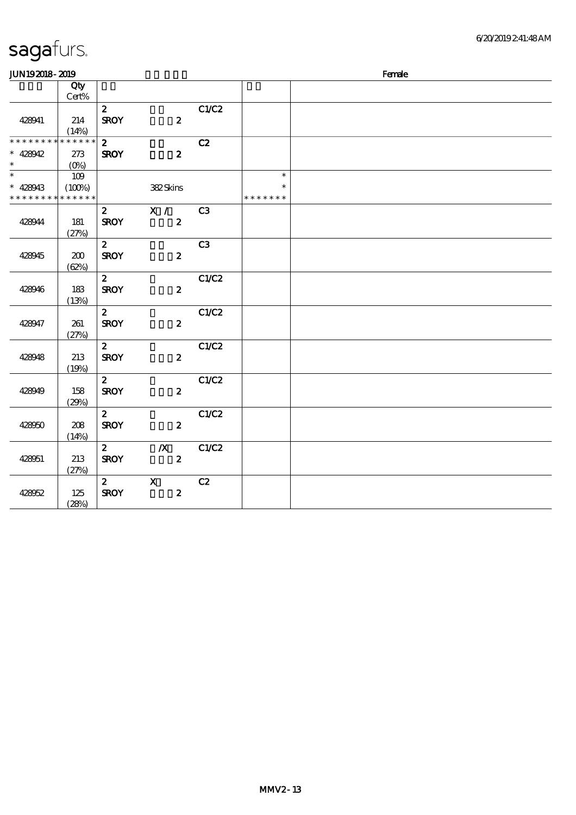| <b>JUN192018-2019</b>       |         |                |                  |                | Female        |  |  |  |  |
|-----------------------------|---------|----------------|------------------|----------------|---------------|--|--|--|--|
|                             | Qty     |                |                  |                |               |  |  |  |  |
|                             | Cert%   |                |                  |                |               |  |  |  |  |
|                             |         | $\mathbf{2}$   |                  | C1/C2          |               |  |  |  |  |
| 428941                      | 214     | <b>SROY</b>    | $\boldsymbol{z}$ |                |               |  |  |  |  |
|                             | (14%)   |                |                  |                |               |  |  |  |  |
| * * * * * * * * * * * * * * |         | $\mathbf{z}$   |                  | C2             |               |  |  |  |  |
| $* 428042$                  | 273     | <b>SROY</b>    | $\boldsymbol{z}$ |                |               |  |  |  |  |
| $\ast$                      | $(O\%)$ |                |                  |                |               |  |  |  |  |
| $\overline{\ast}$           | 109     |                |                  |                | $\ast$        |  |  |  |  |
| $* 428943$                  | (100%)  |                | 382Skins         |                | $\ast$        |  |  |  |  |
| * * * * * * * * * * * * * * |         |                |                  |                | * * * * * * * |  |  |  |  |
|                             |         | $\mathbf{z}$   | X /              | C <sub>3</sub> |               |  |  |  |  |
| 428944                      | 181     | <b>SROY</b>    | $\boldsymbol{z}$ |                |               |  |  |  |  |
|                             | (27%)   |                |                  |                |               |  |  |  |  |
|                             |         | $\mathbf{z}$   |                  | C3             |               |  |  |  |  |
| 428945                      | 200     | <b>SROY</b>    | $\boldsymbol{z}$ |                |               |  |  |  |  |
|                             | (62%)   |                |                  |                |               |  |  |  |  |
|                             |         | 2 <sup>1</sup> |                  | C1/C2          |               |  |  |  |  |
| 428946                      | 183     | <b>SROY</b>    | $\boldsymbol{z}$ |                |               |  |  |  |  |
|                             | (13%)   |                |                  |                |               |  |  |  |  |
|                             |         | $\mathbf{2}$   |                  | C1/C2          |               |  |  |  |  |
| 428947                      | 261     | <b>SROY</b>    | $\boldsymbol{z}$ |                |               |  |  |  |  |
|                             | (27%)   |                |                  |                |               |  |  |  |  |
|                             |         | $\mathbf{z}$   |                  | C1/C2          |               |  |  |  |  |
| 428948                      | 213     | <b>SROY</b>    | $\boldsymbol{2}$ |                |               |  |  |  |  |
|                             | (19%)   |                |                  |                |               |  |  |  |  |
|                             |         | $\mathbf{2}$   |                  | C1/C2          |               |  |  |  |  |
| 428949                      | 158     | <b>SROY</b>    | $\boldsymbol{z}$ |                |               |  |  |  |  |
|                             | (29%)   |                |                  |                |               |  |  |  |  |
|                             |         | $\mathbf{z}$   |                  | C1/C2          |               |  |  |  |  |
| 428950                      | 208     | <b>SROY</b>    | $\boldsymbol{z}$ |                |               |  |  |  |  |
|                             | (14%)   |                |                  |                |               |  |  |  |  |
|                             |         | $\mathbf{2}$   | $\boldsymbol{X}$ | C1/C2          |               |  |  |  |  |
| 428051                      | 213     | <b>SROY</b>    | $\boldsymbol{z}$ |                |               |  |  |  |  |
|                             | (27%)   |                |                  |                |               |  |  |  |  |
|                             |         | $\mathbf{2}$   | $\mathbf{X}$     | C2             |               |  |  |  |  |
| 428052                      | 125     | <b>SROY</b>    | $\boldsymbol{z}$ |                |               |  |  |  |  |
|                             | (28%)   |                |                  |                |               |  |  |  |  |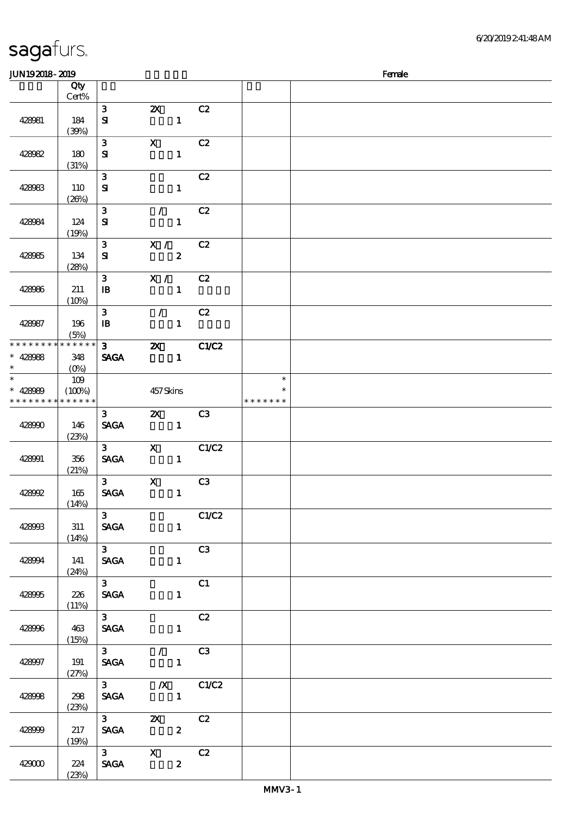| JUN192018-2019    |                 |                |                                                                                                     |                |               | Female |
|-------------------|-----------------|----------------|-----------------------------------------------------------------------------------------------------|----------------|---------------|--------|
|                   | Qty             |                |                                                                                                     |                |               |        |
|                   | $Cert\%$        |                |                                                                                                     |                |               |        |
|                   |                 | 3 <sup>1</sup> | $\mathbf{X}$                                                                                        | C2             |               |        |
| 428081            | 184             | ${\bf s}$      | $\mathbf{1}$                                                                                        |                |               |        |
|                   | (30%)           |                |                                                                                                     |                |               |        |
|                   |                 | 3 <sup>1</sup> | $\mathbf{x}$                                                                                        | C2             |               |        |
| 428082            | 180             | ${\bf s}$      | $\mathbf{1}$                                                                                        |                |               |        |
|                   | (31%)           |                |                                                                                                     |                |               |        |
|                   |                 | $\mathbf{3}$   |                                                                                                     | C2             |               |        |
| 428983            | 110             | ${\bf s}$      | $\mathbf{1}$                                                                                        |                |               |        |
|                   | (20%)           |                |                                                                                                     |                |               |        |
|                   |                 | $\mathbf{3}$   | $\mathcal{L}$                                                                                       | C2             |               |        |
| 428084            | 124             | ${\bf s}$      | $\mathbf{1}$                                                                                        |                |               |        |
|                   | (19%)           |                |                                                                                                     |                |               |        |
|                   |                 | 3 <sup>1</sup> | X /                                                                                                 | C2             |               |        |
| 428985            | 134             | ${\bf s}$      | $\boldsymbol{2}$                                                                                    |                |               |        |
|                   | (28%)           |                |                                                                                                     |                |               |        |
|                   |                 | $\mathbf{3}$   | $X / \sqrt{2}$                                                                                      | C2             |               |        |
| 428986            | 211             | ${\bf I\!B}$   | $\mathbf{1}$                                                                                        |                |               |        |
|                   | (10%)           |                |                                                                                                     |                |               |        |
|                   |                 | $\mathbf{3}$   | $\mathcal{L}$                                                                                       | C2             |               |        |
| 428987            | 196             | $\mathbf{B}$   | $\mathbf{1}$                                                                                        |                |               |        |
|                   | (5%)            |                |                                                                                                     |                |               |        |
| * * * * * * * *   | * * * * * * *   | 3 <sup>1</sup> | $\boldsymbol{\alpha}$                                                                               | C1/C2          |               |        |
| $* 428088$        | 348             | <b>SAGA</b>    | $\mathbf{1}$                                                                                        |                |               |        |
| $\ast$            | $(O\% )$        |                |                                                                                                     |                |               |        |
| $\overline{\ast}$ | 109             |                |                                                                                                     |                | $\ast$        |        |
| * $428080$        | (100%)          |                | $457\mathrm{S}$ kins                                                                                |                |               |        |
| * * * * * * * *   | $* * * * * * *$ |                |                                                                                                     |                | * * * * * * * |        |
|                   |                 | 3 <sup>1</sup> | $\mathbf{x}$                                                                                        | C3             |               |        |
| 428990            | 146             | <b>SAGA</b>    | $\sim$ 1                                                                                            |                |               |        |
|                   | (23%)           |                |                                                                                                     |                |               |        |
|                   |                 | 3 <sup>1</sup> | $\mathbf{X}$                                                                                        | C1/C2          |               |        |
| 428991            | 356             | <b>SAGA</b>    | $\blacksquare$                                                                                      |                |               |        |
|                   | (21%)           |                |                                                                                                     |                |               |        |
|                   |                 | 3 <sup>1</sup> | $\mathbf X$                                                                                         | C <sub>3</sub> |               |        |
| 428992            | 165             | <b>SAGA</b>    | $\mathbf{1}$                                                                                        |                |               |        |
|                   | (14%)           | 3 <sup>7</sup> |                                                                                                     |                |               |        |
| 428993            | 311             |                | <b>SAGA</b>                                                                                         | C1/C2          |               |        |
|                   |                 |                |                                                                                                     | $\mathbf{1}$   |               |        |
|                   | (14%)           | $\overline{3}$ |                                                                                                     | C3             |               |        |
| 428094            | 141             | <b>SAGA</b>    | $1 -$                                                                                               |                |               |        |
|                   | (24%)           |                |                                                                                                     |                |               |        |
|                   |                 | $\overline{3}$ |                                                                                                     | C1             |               |        |
| 428995            | 226             | <b>SAGA</b>    | $\mathbf{1}$                                                                                        |                |               |        |
|                   | (11%)           |                |                                                                                                     |                |               |        |
|                   |                 | $3^{\circ}$    |                                                                                                     | C2             |               |        |
| 428996            | 463             |                | <b>SAGA</b><br>$1 -$                                                                                |                |               |        |
|                   | (15%)           |                |                                                                                                     |                |               |        |
|                   |                 |                | $3$ / C3                                                                                            |                |               |        |
| 428997            | 191             |                | SAGA 1                                                                                              |                |               |        |
|                   | (27%)           |                |                                                                                                     |                |               |        |
|                   |                 |                | $\begin{array}{ccc} 3 & & \mathcal{X} & \mathcal{C1} \mathcal{C2} \\ \text{SAGA} & & 1 \end{array}$ |                |               |        |
| 428998            | 298             |                |                                                                                                     |                |               |        |
|                   | (23%)           |                |                                                                                                     |                |               |        |
|                   |                 |                | $\overline{3}$ $\overline{2X}$ $\overline{C2}$                                                      |                |               |        |
| 428999            | 217             |                | SAGA 2                                                                                              |                |               |        |
|                   | (19%)           |                |                                                                                                     |                |               |        |
|                   |                 |                | $\overline{\text{3}}$ $\overline{\text{X}}$                                                         | C2             |               |        |
| 429000            | 224             |                | <b>SAGA</b><br>$\boldsymbol{z}$                                                                     |                |               |        |
|                   | (23%)           |                |                                                                                                     |                |               |        |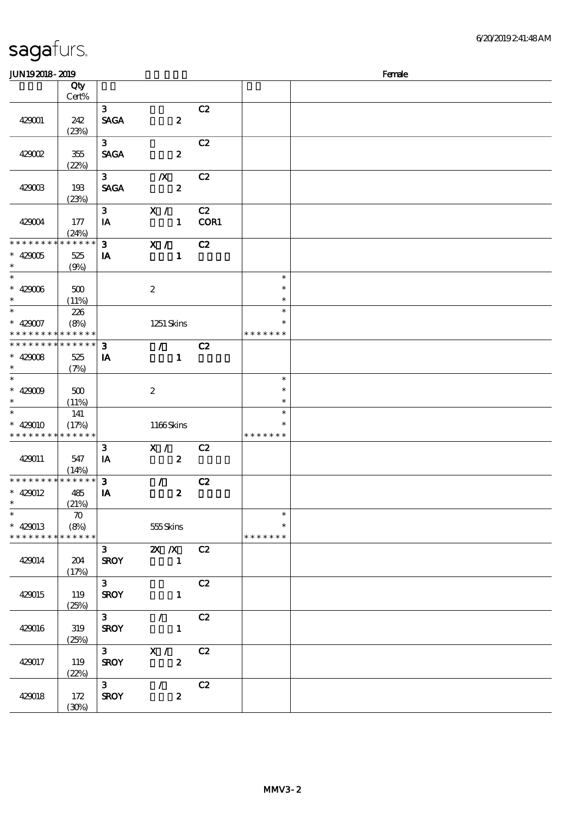| JUN192018-2019                           |                    |                   |                     |            |               | Female |
|------------------------------------------|--------------------|-------------------|---------------------|------------|---------------|--------|
|                                          | Qty                |                   |                     |            |               |        |
|                                          | Cert%              |                   |                     |            |               |        |
|                                          |                    | 3 <sup>1</sup>    |                     | C2         |               |        |
| 429001                                   | 242                | <b>SAGA</b>       | $\boldsymbol{z}$    |            |               |        |
|                                          | (23%)              |                   |                     |            |               |        |
|                                          |                    | 3 <sup>1</sup>    |                     | C2         |               |        |
| 429002                                   | 355                | <b>SAGA</b>       | $\boldsymbol{2}$    |            |               |        |
|                                          | (22%)              |                   |                     |            |               |        |
|                                          |                    | 3 <sup>1</sup>    | $\boldsymbol{X}$    | C2         |               |        |
| 429003                                   | 193                | <b>SAGA</b>       | $\boldsymbol{2}$    |            |               |        |
|                                          | (23%)              |                   |                     |            |               |        |
|                                          |                    | $\mathbf{3}$      | X /<br>$\mathbf{1}$ | C2<br>COR1 |               |        |
| 429004                                   | 177<br>(24%)       | IA                |                     |            |               |        |
| * * * * * * * *                          | * * * * * *        | 3 <sup>1</sup>    | X /                 | C2         |               |        |
| $* 429005$                               | 525                | IA                | $\mathbf{1}$        |            |               |        |
| $\ast$                                   | (9%)               |                   |                     |            |               |        |
| $\ast$                                   |                    |                   |                     |            | $\ast$        |        |
| $* 429006$                               | 500                |                   | $\boldsymbol{2}$    |            | $\ast$        |        |
| $\ast$                                   | (11%)              |                   |                     |            | $\ast$        |        |
| $\ast$                                   | 226                |                   |                     |            | $\ast$        |        |
| $* 429007$                               | (8%)               |                   | 1251 Skins          |            | $\ast$        |        |
| * * * * * * * *                          | $* * * * * * *$    |                   |                     |            | * * * * * * * |        |
| * * * * * * * *                          | $* * * * * * *$    | $\mathbf{3}$      | $\mathcal{L}$       | C2         |               |        |
| $* 429008$                               | 525                | IA                | $\mathbf{1}$        |            |               |        |
| $\ast$                                   | (7%)               |                   |                     |            |               |        |
| $\overline{\ast}$                        |                    |                   |                     |            | $\ast$        |        |
| $* 429009$                               | 500                |                   | $\boldsymbol{2}$    |            | $\ast$        |        |
| $\ast$                                   | (11%)              |                   |                     |            | $\ast$        |        |
| $\overline{\ast}$                        | 141                |                   |                     |            | $\ast$        |        |
| $* 429010$                               | (17%)              |                   | 1166Skins           |            | $\ast$        |        |
| * * * * * * * *                          | $* * * * * * *$    |                   |                     |            | * * * * * * * |        |
|                                          |                    | $\mathbf{3}$      | X /                 | C2         |               |        |
| 429011                                   | 547                | IA                | $\boldsymbol{z}$    |            |               |        |
|                                          | (14%)              |                   |                     |            |               |        |
| * * * * * * * * <mark>* * * * * *</mark> |                    | $\mathbf{3}$      | $\mathcal{L}$       | C2         |               |        |
| $* 420012$                               | 485                | ${\bf I} {\bf A}$ | $\boldsymbol{z}$    |            |               |        |
| $\ast$<br>$\ast$                         | (21%)              |                   |                     |            | $\ast$        |        |
|                                          | $\boldsymbol{\pi}$ |                   |                     |            | $\ast$        |        |
| $* 429013$<br>* * * * * * * *            | (8%)<br>******     |                   | 555Skins            |            | * * * * * * * |        |
|                                          |                    | 3 <sup>7</sup>    | $X$ $N$             | C2         |               |        |
| 429014                                   | 204                | <b>SROY</b>       | $\sim$ 1            |            |               |        |
|                                          | (17%)              |                   |                     |            |               |        |
|                                          |                    | $3^{\circ}$       |                     | C2         |               |        |
| 429015                                   | 119                | <b>SROY</b>       | $\mathbf{1}$        |            |               |        |
|                                          | (25%)              |                   |                     |            |               |        |
|                                          |                    | $3^{\circ}$       | $\mathcal{L}$       | C2         |               |        |
| 429016                                   | 319                | <b>SROY</b>       | $\mathbf{1}$        |            |               |        |
|                                          | (25%)              |                   |                     |            |               |        |
|                                          |                    | $3^{\circ}$       | X /                 | C2         |               |        |
| 429017                                   | 119                | <b>SROY</b>       | $\mathbf{2}$        |            |               |        |
|                                          | (22%)              |                   |                     |            |               |        |
|                                          |                    | $3^{\circ}$       | $\mathcal{L}$       | C2         |               |        |
| 429018                                   | 172                | <b>SROY</b>       | $\boldsymbol{z}$    |            |               |        |
|                                          | (30%)              |                   |                     |            |               |        |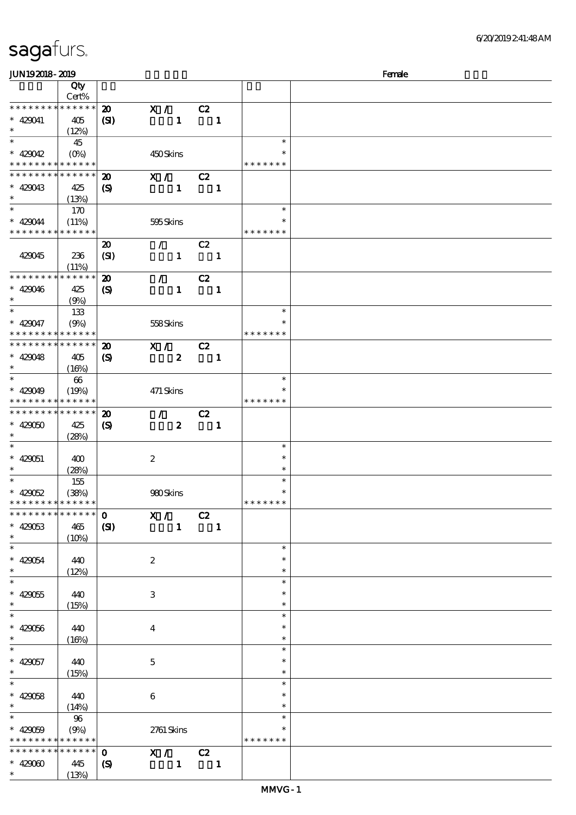| JUN192018-2019                            |                                 |                             |                                         |                          |                |               | Female |
|-------------------------------------------|---------------------------------|-----------------------------|-----------------------------------------|--------------------------|----------------|---------------|--------|
|                                           | Qty                             |                             |                                         |                          |                |               |        |
|                                           | Cert%                           |                             |                                         |                          |                |               |        |
| * * * * * * * *                           | * * * * * *                     | $\boldsymbol{\mathfrak{D}}$ | X /                                     | C2                       |                |               |        |
| $* 429041$                                | 405                             | (S)                         | $\mathbf{1}$                            |                          | $\blacksquare$ |               |        |
| $\ast$                                    | (12%)                           |                             |                                         |                          |                |               |        |
| $\overline{\ast}$                         | 45                              |                             |                                         |                          |                | $\ast$        |        |
| $* 420042$                                | $(O\!\!\!\!\!\!\backslash\rho)$ |                             | 450Skins                                |                          |                | $\ast$        |        |
| * * * * * * * *                           | $* * * * * * *$                 |                             |                                         |                          |                | * * * * * * * |        |
| * * * * * * * *                           | * * * * * *                     | $\boldsymbol{\mathbf{z}}$   |                                         |                          |                |               |        |
|                                           |                                 |                             | X /                                     | C2                       |                |               |        |
| $* 429043$                                | 425                             | $\boldsymbol{\mathcal{S}}$  | $\mathbf{1}$                            | $\blacksquare$           |                |               |        |
| $\ast$                                    | (13%)                           |                             |                                         |                          |                |               |        |
|                                           | 170                             |                             |                                         |                          |                | $\ast$        |        |
| $* 429044$                                | (11%)                           |                             | 595Skins                                |                          |                | $\ast$        |        |
| * * * * * * * * * * * * * *               |                                 |                             |                                         |                          |                | * * * * * * * |        |
|                                           |                                 | $\boldsymbol{\mathfrak{D}}$ | $\mathcal{F}$                           | C2                       |                |               |        |
| 429045                                    | 236                             | (SI)                        | $\mathbf{1}$                            | $\overline{\mathbf{1}}$  |                |               |        |
|                                           | (11%)                           |                             |                                         |                          |                |               |        |
| * * * * * * * *                           | * * * * * *                     | $\boldsymbol{\mathbf{z}}$   | $\mathcal{L}$                           | C2                       |                |               |        |
| $* 420046$                                | 425                             | $\boldsymbol{\mathcal{S}}$  | $\mathbf{1}$                            |                          | $\blacksquare$ |               |        |
| $\ast$                                    | (9%)                            |                             |                                         |                          |                |               |        |
| $\ast$                                    | 133                             |                             |                                         |                          |                | $\ast$        |        |
|                                           |                                 |                             |                                         |                          |                | $\ast$        |        |
| $* 420047$<br>* * * * * * * * * * * * * * | (9%)                            |                             | 558Skins                                |                          |                | * * * * * * * |        |
|                                           |                                 |                             |                                         |                          |                |               |        |
| * * * * * * * * * * * * * *               |                                 | $\boldsymbol{\mathbf{z}}$   | X /                                     | C2                       |                |               |        |
| $* 420048$                                | 405                             | $\boldsymbol{\mathcal{S}}$  | $\boldsymbol{z}$                        |                          | $\blacksquare$ |               |        |
| $\ast$                                    | (16%)                           |                             |                                         |                          |                |               |        |
| $\overline{\ast}$                         | 66                              |                             |                                         |                          |                | $\ast$        |        |
| $* 420049$                                | (19%)                           |                             | 471 Skins                               |                          |                |               |        |
| * * * * * * * *                           | * * * * * *                     |                             |                                         |                          |                | * * * * * * * |        |
| * * * * * * * *                           | $* * * * * * *$                 | $\boldsymbol{\mathfrak{D}}$ | $\mathcal{F}$                           | C2                       |                |               |        |
| $* 429050$                                | 425                             | $\boldsymbol{S}$            | $\boldsymbol{z}$                        | $\blacksquare$           |                |               |        |
| $\ast$                                    | (28%)                           |                             |                                         |                          |                |               |        |
| $\ast$                                    |                                 |                             |                                         |                          |                | $\ast$        |        |
| $* 429051$                                |                                 |                             |                                         |                          |                | $\ast$        |        |
| $\ast$                                    | 400                             |                             | $\boldsymbol{z}$                        |                          |                | $\ast$        |        |
|                                           | (28%)                           |                             |                                         |                          |                |               |        |
|                                           | 155                             |                             |                                         |                          |                | $\ast$        |        |
| $* 420052$                                | (38%)                           |                             | 980Skins                                |                          |                | $\ast$        |        |
| * * * * * * * * * * * * * *               |                                 |                             |                                         |                          |                | *******       |        |
| * * * * * * * * * * * * * * *             |                                 | $\mathbf{o}$                | $\overline{\mathbf{X}}$ / $\mathbf{C2}$ |                          |                |               |        |
| $* 42003$                                 | 465                             | (S)                         | $1 -$                                   | $\blacksquare$           |                |               |        |
| $\ast$                                    | (10%)                           |                             |                                         |                          |                |               |        |
| $\ast$                                    |                                 |                             |                                         |                          |                | $\ast$        |        |
| $* 420054$                                | 440                             |                             | $\boldsymbol{2}$                        |                          |                | $\ast$        |        |
| $\ast$                                    | (12%)                           |                             |                                         |                          |                | $\ast$        |        |
|                                           |                                 |                             |                                         |                          |                | $\ast$        |        |
| $* 42005$                                 | 440                             |                             | 3                                       |                          |                | $\ast$        |        |
| $\ast$                                    | (15%)                           |                             |                                         |                          |                | $\ast$        |        |
| $\ast$                                    |                                 |                             |                                         |                          |                | $\ast$        |        |
|                                           |                                 |                             |                                         |                          |                |               |        |
| $* 420066$                                | 440                             |                             | $\bf{4}$                                |                          |                | $\ast$        |        |
| $*$                                       | (16%)                           |                             |                                         |                          |                | $\ast$        |        |
| $\ast$                                    |                                 |                             |                                         |                          |                | $\ast$        |        |
| $* 429057$                                | 440                             |                             | $\mathbf{5}$                            |                          |                | $\ast$        |        |
| $*$                                       | (15%)                           |                             |                                         |                          |                | $\ast$        |        |
| $\overline{\ast}$                         |                                 |                             |                                         |                          |                | $\ast$        |        |
| $* 420058$                                | 440                             |                             | $\boldsymbol{6}$                        |                          |                | $\ast$        |        |
| $\ast$ . The set of $\ast$                | (14%)                           |                             |                                         |                          |                | $\ast$        |        |
| $\ast$                                    | 96                              |                             |                                         |                          |                | $\ast$        |        |
| $* 429059$                                | (9%)                            |                             | 2761 Skins                              |                          |                |               |        |
| * * * * * * * *                           | $* * * * * * *$                 |                             |                                         |                          |                | * * * * * * * |        |
| * * * * * * * *                           | $\ast\ast\ast\ast\ast\ast$      | $\mathbf 0$                 | X / C2                                  |                          |                |               |        |
|                                           |                                 |                             |                                         |                          |                |               |        |
| $* 42000$                                 | 445                             | $\boldsymbol{\mathcal{S}}$  | $\mathbf{1}$                            | $\overline{\phantom{a}}$ |                |               |        |
| $\ast$                                    | (13%)                           |                             |                                         |                          |                |               |        |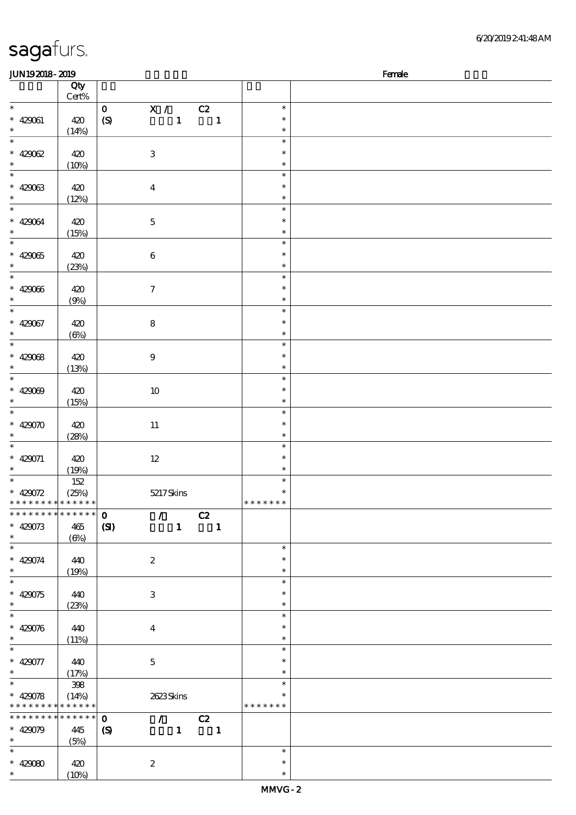| JUN192018-2019                           |                 |                  |                                 |              |                |               | Female |
|------------------------------------------|-----------------|------------------|---------------------------------|--------------|----------------|---------------|--------|
|                                          | Qty             |                  |                                 |              |                |               |        |
|                                          | $\mbox{Cert}\%$ |                  |                                 |              |                |               |        |
| $\ast$                                   |                 | $\mathbf{O}$     | $\mathbf{X}$ /                  |              | C2             | $\ast$        |        |
| $* 429061$                               | 420             | $\boldsymbol{S}$ |                                 | $\mathbf{1}$ | $\blacksquare$ | $\ast$        |        |
| $\ast$                                   | (14%)           |                  |                                 |              |                | $\ast$        |        |
| $\overline{\ast}$                        |                 |                  |                                 |              |                | $\ast$        |        |
| $* 42002$                                | 420             |                  | $\ensuremath{\mathbf{3}}$       |              |                | $\ast$        |        |
| $\ast$                                   | (10%)           |                  |                                 |              |                | $\ast$        |        |
| $\overline{\ast}$                        |                 |                  |                                 |              |                | $\ast$        |        |
| $* 42903$                                | 420             |                  | $\boldsymbol{4}$                |              |                | $\ast$        |        |
| $\ast$                                   | (12%)           |                  |                                 |              |                | $\ast$        |        |
| $\overline{\ast}$                        |                 |                  |                                 |              |                | $\ast$        |        |
| $* 429064$                               |                 |                  |                                 |              |                | $\ast$        |        |
| $\ast$                                   | 420             |                  | $\mathbf 5$                     |              |                | $\ast$        |        |
|                                          | (15%)           |                  |                                 |              |                | $\ast$        |        |
|                                          |                 |                  |                                 |              |                |               |        |
| $* 42005$                                | 420             |                  | $\,6\,$                         |              |                | $\ast$        |        |
| $\ast$<br>$\overline{\ast}$              | (23%)           |                  |                                 |              |                | $\ast$        |        |
|                                          |                 |                  |                                 |              |                | $\ast$        |        |
| $* 429066$                               | 420             |                  | $\boldsymbol{7}$                |              |                | $\ast$        |        |
| $\ast$                                   | (9%)            |                  |                                 |              |                | $\ast$        |        |
| $\ast$                                   |                 |                  |                                 |              |                | $\ast$        |        |
| $* 429067$                               | 420             |                  | $\bf8$                          |              |                | $\ast$        |        |
| $\ast$                                   | $(\Theta)$      |                  |                                 |              |                | $\ast$        |        |
| $\overline{\ast}$                        |                 |                  |                                 |              |                | $\ast$        |        |
| $* 42008$                                | 420             |                  | $\boldsymbol{9}$                |              |                | $\ast$        |        |
| $\ast$                                   | (13%)           |                  |                                 |              |                | $\ast$        |        |
| $\overline{\ast}$                        |                 |                  |                                 |              |                | $\ast$        |        |
| $* 429009$                               | 420             |                  | $10\,$                          |              |                | $\ast$        |        |
| $\ast$                                   | (15%)           |                  |                                 |              |                | $\ast$        |        |
| $\overline{\ast}$                        |                 |                  |                                 |              |                | $\ast$        |        |
| * $429070$                               | 420             |                  | $11\,$                          |              |                | $\ast$        |        |
| $\ast$                                   | (28%)           |                  |                                 |              |                | $\ast$        |        |
| $\overline{\phantom{0}}$                 |                 |                  |                                 |              |                | $\ast$        |        |
| * 429071                                 | 420             |                  | $12\,$                          |              |                | $\ast$        |        |
| $\ast$                                   | (19%)           |                  |                                 |              |                | $\ast$        |        |
| $\overline{\phantom{0}}$                 | 152             |                  |                                 |              |                | $\ast$        |        |
| * $420072$                               | (25%)           |                  | 5217Skins                       |              |                | $\ast$        |        |
| * * * * * * * * <mark>* * * * * *</mark> |                 |                  |                                 |              |                | * * * * * * * |        |
| * * * * * * * * * * * * * * *            |                 | $\mathbf{o}$     | $\mathcal{L}$                   |              | C2             |               |        |
| $* 420073$                               | 465             | (S)              |                                 | $\mathbf{1}$ | $\blacksquare$ |               |        |
| $\ast$                                   | $(\Theta)$      |                  |                                 |              |                |               |        |
| $\ast$                                   |                 |                  |                                 |              |                | $\ast$        |        |
|                                          |                 |                  |                                 |              |                | $\ast$        |        |
| $* 420074$<br>$\ast$                     | 440             |                  | $\boldsymbol{z}$                |              |                | $\ast$        |        |
| $\overline{\ast}$                        | (19%)           |                  |                                 |              |                | $\ast$        |        |
|                                          |                 |                  |                                 |              |                | $\ast$        |        |
| $* 429075$<br>$\ast$                     | 440             |                  | 3                               |              |                |               |        |
| $\ast$                                   | (23%)           |                  |                                 |              |                | $\ast$        |        |
|                                          |                 |                  |                                 |              |                | $\ast$        |        |
| $* 429076$                               | 440             |                  | $\bf{4}$                        |              |                | $\ast$        |        |
| $\ast$<br>$\ast$                         | (11%)           |                  |                                 |              |                | $\ast$        |        |
|                                          |                 |                  |                                 |              |                | $\ast$        |        |
| $* 429077$                               | 440             |                  | $\mathbf{5}$                    |              |                | $\ast$        |        |
| $\ast$                                   | (17%)           |                  |                                 |              |                | $\ast$        |        |
| $\overline{\phantom{0}}$                 | 398             |                  |                                 |              |                | $\ast$        |        |
| $* 429078$                               | (14%)           |                  | 2623Skins                       |              |                |               |        |
| * * * * * * * *                          | * * * * * *     |                  |                                 |              |                | * * * * * * * |        |
| * * * * * * * *                          | $******$        | $\mathbf{o}$     | $\mathcal{F}$ and $\mathcal{F}$ |              | C2             |               |        |
| $* 429079$                               | 445             | $\boldsymbol{S}$ |                                 |              | $1 \quad 1$    |               |        |
| $\ast$                                   | (5%)            |                  |                                 |              |                |               |        |
| $\ast$                                   |                 |                  |                                 |              |                | $\ast$        |        |
| $* 42000$                                | 420             |                  | $\boldsymbol{z}$                |              |                | $\ast$        |        |
| $\ast$                                   | (10%)           |                  |                                 |              |                | $\ast$        |        |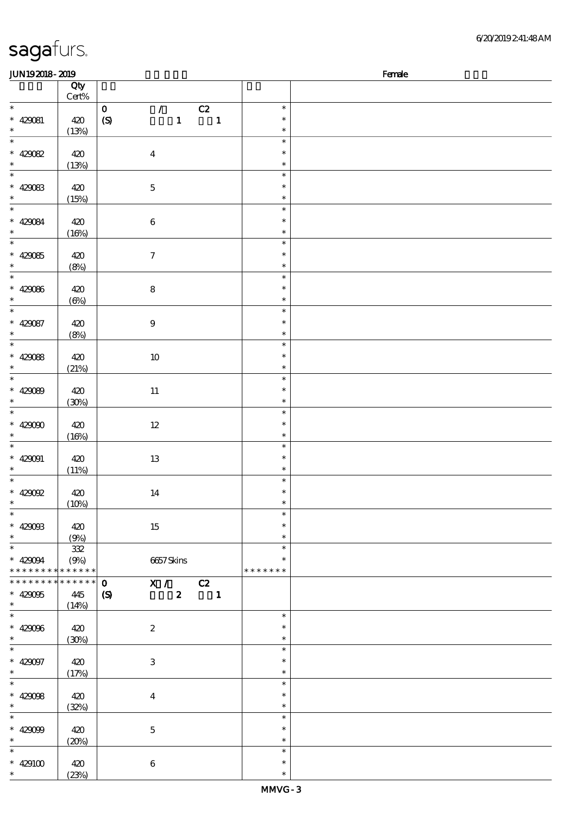\* \*

\* \* \*

> \* \* \*

429098 420

429099 420

429100 420

(32%)

(20%)

(23%)

4

5

6

#### $JUN192018-2019$  Female 顺序号 Qty Cert% 说明 价格 \* \* \* 429081 420  $(13%)$ 0 / C2  $(S)$  1 1 \* \* \* \* \* \* 429082 420 (13%) 4 \* \* \* \* \* \*  $429083$   $420$ (15%) 5 \* \* \* \* \* \* 429084 420  $(16%)$ 6 \* \* \* \* \* \* 429085 420 (8%) 7 \* \* \* \* \* \* 429086 420 (6%) 8 \* \* \* \* \* \* 429087 420 (8%) 9 \* \* \* \* \* \* 429088 420 (21%) 10 \* \* \* \* \* \* 429089 420 (30%) 11 \* \* \* \* \* \* 429090 420  $(16%)$ 12 \* \* \* \* \* \* 429091 420  $(11%)$ 13 \* \* \* \* \* \* 429092 420  $(10%)$ 14 \* \* \* \* \* \* 429093 420 (9%) 15 \* \* \* \* \* 429094 \* \* \* \* \* \* \* \* \* \* \* \* 332 (9%) 6657 Skins \* \* \* \* \* \* \* \* \* 0 X / C2  $(S)$  2 1 **\* \* \* \* \* \* \* \* \* \* \* \* \* \*** \* \* 429095 445 (14%) \* \* \* 429096 420  $(30%)$ 2 \* \* \* \* \* \* 429097 420 (17%) 3 \* \* \* \* \*

\* \*

\* \* \*

\* \*  $\ddot{\phantom{0}}$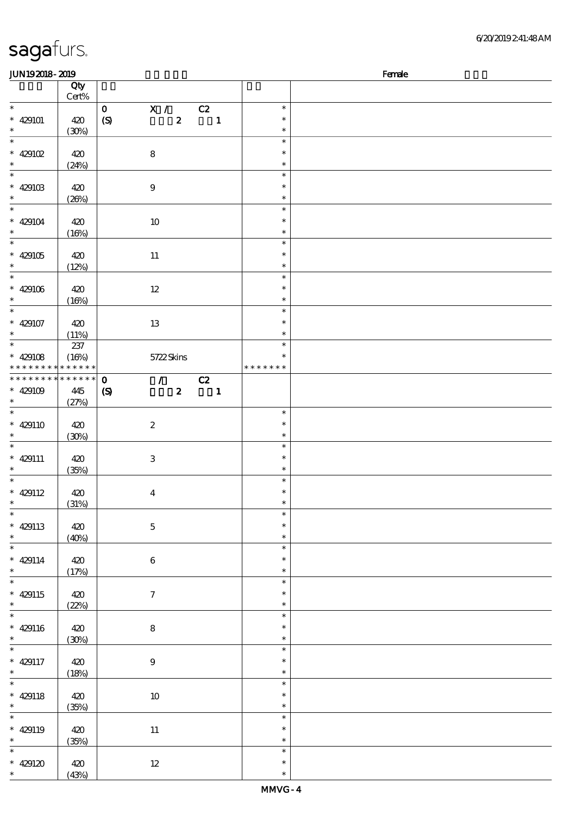\*

\*

\*

\*

\*

\*

\*

\*

\* \* \*

\*

\*

\* \* \*

\*

\*

\* \* \*

\*

\*

\* \*

\* \* \*

\* \* \*

\*

\*

\* \*

\*

\*

\*

\*

\*

\*

\* \* \*

429120 420

(43%)

12

#### 顺序号 Qty Cert% 说明 价格 \* 429101 420  $(30%)$ 0 X / C2  $(S)$  2 1 \* \* \* \* 429102 420 (24%) 8 \* \* \* \* 429103 420  $(26%)$ 9 \* \* \* \* 429104 420  $(16%)$ 10 \* \* \* 429105 420  $(12%)$ 11 \* \* \* \* 429106 420  $(16%)$ 12 \* \* \* 429107 420  $(11%)$ 13 \* \* \* \* 429108 \* \* \* \* \* \* \* \* \* \* \* \* \* 237 (16%) 5722 Skins \* \* \* \* \* \* \* \* \*  $\overline{0}$  / C2  $(S)$  2 1 **\* \* \* \* \* \* \* \* \* \* \* \* \* \*** \* 429109 445 (27%) 429110 420 (30%) 2 \* \* \* \* 429111 420 (35%) 3 \* \* \* \* 429112 420 (31%) 4 \* \* \* 429113 420 (40%) 5 \* \* \* 429114 420 (17%) 6 \* \* \* \* 429115 420 (22%) 7 \* \* \* \* 429116 420  $(30%)$ 8 \* \* \* \* 429117 420 (18%) 9 \* \* \* \* 429118 420 (35%) 10 \* \* \* \* 429119 420 (35%) 11 \* \* \* \*

 $JUN192018-2019$  Female

\*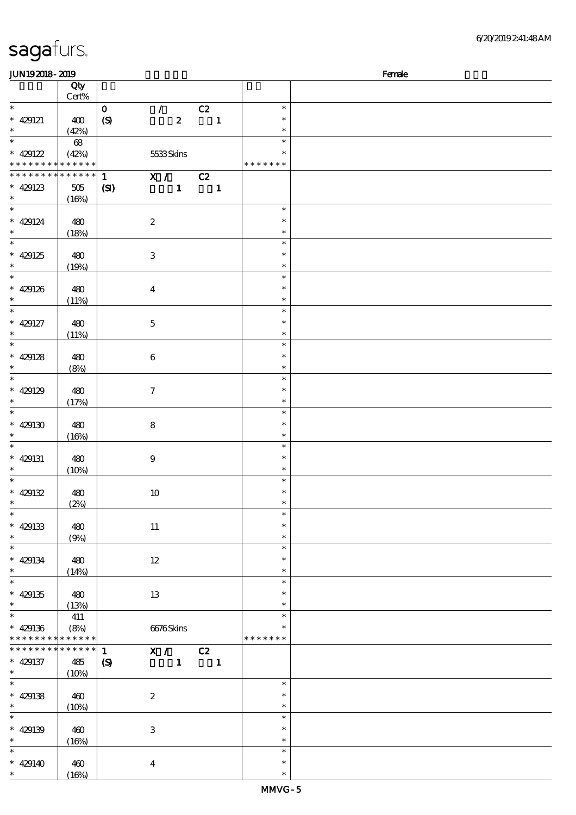| <b>JUN192018-2019</b>              |                 |                                                              |                  | Female |
|------------------------------------|-----------------|--------------------------------------------------------------|------------------|--------|
|                                    | Qty             |                                                              |                  |        |
|                                    | Cert%           |                                                              |                  |        |
| $\ast$                             |                 | $\mathcal{T}$<br>C2<br>$\mathbf{O}$                          | $\ast$           |        |
| $* 429121$                         | 400             | $\boldsymbol{z}$<br>(S)<br>$\blacksquare$                    | $\ast$           |        |
| $\ast$                             | (42%)           |                                                              | $\ast$           |        |
| $\overline{\ast}$                  | 68              |                                                              | $\ast$           |        |
| $* 429122$                         | (42%)           | 5533Skins                                                    | $\ast$           |        |
| * * * * * * * * * * * * * *        |                 |                                                              | * * * * * * *    |        |
| * * * * * * * * * * * * * * *      |                 | X / C2<br>$\mathbf{1}$                                       |                  |        |
| $* 429123$                         | $505\,$         | $\mathbf{C}$<br>$\mathbf{1}$<br>$\sim$ 1                     |                  |        |
| $\ast$<br>$\overline{\ast}$        | (16%)           |                                                              |                  |        |
|                                    |                 |                                                              | $\ast$           |        |
| $* 429124$<br>$\ast$               | 480             | $\boldsymbol{2}$                                             | $\ast$           |        |
| $\overline{\phantom{a}^*}$         | (18%)           |                                                              | $\ast$<br>$\ast$ |        |
|                                    |                 |                                                              | $\ast$           |        |
| $* 429125$<br>$\ast$               | 480             | $\ensuremath{\mathbf{3}}$                                    | $\ast$           |        |
| $\overline{\ast}$                  | (19%)           |                                                              | $\ast$           |        |
| $* 429126$                         | 480             | $\boldsymbol{4}$                                             | $\ast$           |        |
| $\ast$                             | (11%)           |                                                              | $\ast$           |        |
| $\overline{\ast}$                  |                 |                                                              | $\ast$           |        |
| $* 429127$                         | 480             | $\mathbf 5$                                                  | $\ast$           |        |
| $\ast$                             | (11%)           |                                                              | $\ast$           |        |
| $\overline{\phantom{a}^*}$         |                 |                                                              | $\ast$           |        |
| * $429128$                         | 480             | $\boldsymbol{6}$                                             | $\ast$           |        |
| $\ast$                             | (8%)            |                                                              | $\ast$           |        |
| $\overline{\phantom{0}}$           |                 |                                                              | $\ast$           |        |
| $* 429129$                         | 480             | $\tau$                                                       | $\ast$           |        |
| $\ast$                             | (17%)           |                                                              | $\ast$           |        |
| $\ast$                             |                 |                                                              | $\ast$           |        |
| $* 429130$                         | 480             | $\bf 8$                                                      | $\ast$           |        |
| $\ast$                             | (16%)           |                                                              | $\ast$           |        |
| $\ast$                             |                 |                                                              | $\ast$           |        |
| $* 429131$                         | 480             | $\boldsymbol{9}$                                             | $\ast$           |        |
| $\ast$<br>$\ast$                   | (10%)           |                                                              | $\ast$           |        |
| * $429132$                         |                 |                                                              | $\ast$<br>$\ast$ |        |
| $*$                                | 480<br>(2%)     | $10\,$                                                       | $\ast$           |        |
| $\ast$                             |                 |                                                              | $\ast$           |        |
| $* 429133$                         | 480             | $11\,$                                                       | $\ast$           |        |
| $\ast$                             | (9%)            |                                                              | $\ast$           |        |
| $\overline{\ast}$                  |                 |                                                              | $\ast$           |        |
| $* 429134$                         | 480             | $12\,$                                                       | $\ast$           |        |
| $\ast$                             | (14%)           |                                                              | $\ast$           |        |
| $\overline{\ast}$                  |                 |                                                              | $\ast$           |        |
| $* 429135$                         | 480             | 13                                                           | $\ast$           |        |
| $\ast$                             | (13%)           |                                                              | $\ast$           |        |
| $\overline{\ast}$                  | 411             |                                                              | $\ast$           |        |
| $* 429136$                         | (8%)            | 6676Skins                                                    | $\ast$           |        |
| * * * * * * * * * * * * * *        |                 |                                                              | * * * * * * *    |        |
| * * * * * * * *                    | $* * * * * * *$ | $\overline{X}$ / C <sub>2</sub><br>$\mathbf{1}$              |                  |        |
| $* 429137$                         | 485             | $\mathbf{1}$<br>$\blacksquare$<br>$\boldsymbol{\mathcal{S}}$ |                  |        |
| $\ast$<br>$\overline{\phantom{0}}$ | (10%)           |                                                              | $\ast$           |        |
| $* 429138$                         | 460             | $\boldsymbol{2}$                                             | $\ast$           |        |
| $\ast$                             | (10%)           |                                                              | $\ast$           |        |
| $\ast$                             |                 |                                                              | $\ast$           |        |
| $* 429139$                         | 460             | $\,3$                                                        | $\ast$           |        |
| $\ast$                             | (16%)           |                                                              | $\ast$           |        |
| $\ast$                             |                 |                                                              | $\ast$           |        |
| $* 429140$                         | 460             | $\boldsymbol{4}$                                             | $\ast$           |        |
| $*$                                | (16%)           |                                                              | $\ast$           |        |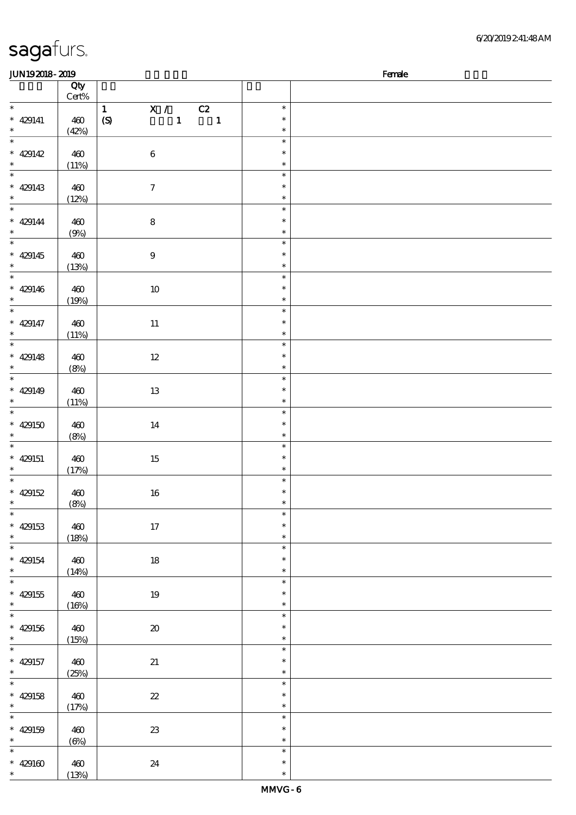| JUN192018-2019           |                 |                                                        |        | Female |
|--------------------------|-----------------|--------------------------------------------------------|--------|--------|
|                          | Qty             |                                                        |        |        |
|                          | $\mbox{Cert}\%$ |                                                        |        |        |
| $*$                      |                 | $\mathbf{1}$<br>$\mathbf{X}$ /<br>C2                   | $\ast$ |        |
| $* 429141$               | 460             | $\pmb{\in}$<br>$\mathbf 1$<br>$\overline{\phantom{a}}$ | $\ast$ |        |
| $\ast$                   | (42%)           |                                                        | $\ast$ |        |
| $\overline{\ast}$        |                 |                                                        | $\ast$ |        |
| * $429142$               | 460             | $\bf 6$                                                | $\ast$ |        |
| $\ast$                   | (11%)           |                                                        | $\ast$ |        |
|                          |                 |                                                        | $\ast$ |        |
| $* 429143$               | 460             | $\boldsymbol{7}$                                       | $\ast$ |        |
| $\ast$                   | (12%)           |                                                        | $\ast$ |        |
|                          |                 |                                                        | $\ast$ |        |
| $* 429144$               | 460             | $\bf 8$                                                | $\ast$ |        |
| $\ast$                   | (9%)            |                                                        | $\ast$ |        |
| $\overline{\ast}$        |                 |                                                        | $\ast$ |        |
| $* 429145$               |                 |                                                        | $\ast$ |        |
| $\ast$                   | 460             | $\boldsymbol{9}$                                       | $\ast$ |        |
| $\overline{\ast}$        | (13%)           |                                                        | $\ast$ |        |
|                          |                 |                                                        | $\ast$ |        |
| $* 429146$<br>$\ast$     | 460             | $10\,$                                                 | $\ast$ |        |
| $\overline{\ast}$        | (19%)           |                                                        | $\ast$ |        |
|                          |                 |                                                        | $\ast$ |        |
| $* 429147$               | 460             | $11\,$                                                 |        |        |
| $\ast$                   | (11%)           |                                                        | $\ast$ |        |
|                          |                 |                                                        | $\ast$ |        |
| $* 429148$               | 460             | $12\,$                                                 | $\ast$ |        |
| $\ast$                   | (8%)            |                                                        | $\ast$ |        |
|                          |                 |                                                        | $\ast$ |        |
| $* 429149$               | 460             | $13\,$                                                 | $\ast$ |        |
| $\ast$                   | (11%)           |                                                        | $\ast$ |        |
| $\overline{\phantom{0}}$ |                 |                                                        | $\ast$ |        |
| * 429150                 | 460             | $14\,$                                                 | $\ast$ |        |
| $\ast$                   | (8%)            |                                                        | $\ast$ |        |
|                          |                 |                                                        | $\ast$ |        |
| $* 429151$               | 460             | $15\,$                                                 | $\ast$ |        |
| $\ast$                   | (17%)           |                                                        | $\ast$ |        |
| $\overline{\ast}$        |                 |                                                        | $\ast$ |        |
| * $429152$               | 460             | $16\,$                                                 | $\ast$ |        |
| $\ast$                   | (8%)            |                                                        | $\ast$ |        |
| $\ast$                   |                 |                                                        | $\ast$ |        |
| $* 429153$               | 460             | $17\,$                                                 | $\ast$ |        |
| $\ast$                   | (18%)           |                                                        | $\ast$ |        |
| $\overline{\ast}$        |                 |                                                        | $\ast$ |        |
| $* 429154$               | 460             | $18\,$                                                 | $\ast$ |        |
| $\ast$                   | (14%)           |                                                        | $\ast$ |        |
| $\overline{\ast}$        |                 |                                                        | $\ast$ |        |
| $* 429155$               | 460             | 19                                                     | $\ast$ |        |
| $\ast$                   | (16%)           |                                                        | $\ast$ |        |
| $\ast$                   |                 |                                                        | $\ast$ |        |
| $* 429156$               | $460$           | $\pmb{\mathcal{X}}$                                    | $\ast$ |        |
| $\ast$                   | (15%)           |                                                        | $\ast$ |        |
| $\ast$                   |                 |                                                        | $\ast$ |        |
| $* 429157$               | 460             | $21\,$                                                 | $\ast$ |        |
| $\ast$                   | (25%)           |                                                        | $\ast$ |        |
| $\overline{\ast}$        |                 |                                                        | $\ast$ |        |
| $* 429158$               | 460             | $\boldsymbol{\mathit{z}}$                              | $\ast$ |        |
| $\ast$                   | (17%)           |                                                        | $\ast$ |        |
| $\ast$                   |                 |                                                        | $\ast$ |        |
| $* 429159$               | 460             | ${\bf 23}$                                             | $\ast$ |        |
| $\ast$                   | $(\Theta)$      |                                                        | $\ast$ |        |
| $\ast$                   |                 |                                                        | $\ast$ |        |
| $* 429160$               | 460             | 24                                                     | $\ast$ |        |
| $\ast$                   | (13%)           |                                                        | $\ast$ |        |
|                          |                 |                                                        |        |        |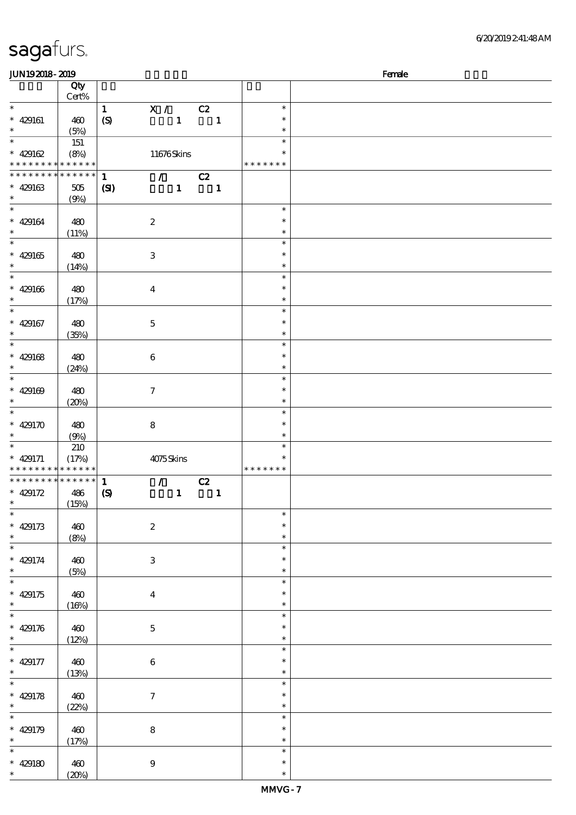| <b>JUN192018-2019</b>                                                                                                                           |                 |                     |                             |              |                |                  | Female |
|-------------------------------------------------------------------------------------------------------------------------------------------------|-----------------|---------------------|-----------------------------|--------------|----------------|------------------|--------|
|                                                                                                                                                 | Qty             |                     |                             |              |                |                  |        |
|                                                                                                                                                 | $\mbox{Cert}\%$ |                     |                             |              |                |                  |        |
| $\ast$                                                                                                                                          |                 | $\mathbf{1}$        | X /                         |              | C2             | $\ast$           |        |
| $* 429161$                                                                                                                                      | 460             | $\boldsymbol{S}$    |                             | $\mathbf{1}$ | $\blacksquare$ | $\ast$           |        |
| $\ast$                                                                                                                                          | (5%)            |                     |                             |              |                | $\ast$           |        |
| $\overline{\ast}$                                                                                                                               | 151             |                     |                             |              |                | $\ast$           |        |
|                                                                                                                                                 |                 |                     |                             |              |                | $\ast$           |        |
| $* 429162$                                                                                                                                      | (8%)            |                     | 11676Skins                  |              |                |                  |        |
| * * * * * * * * * * * * * *                                                                                                                     |                 |                     |                             |              |                | * * * * * * *    |        |
| * * * * * * * *                                                                                                                                 | * * * * * *     | $\mathbf{1}$        | $\mathcal{T} = \mathcal{I}$ |              | C2             |                  |        |
| $* 429163$                                                                                                                                      | 505             | $\mathbf{C}$        |                             | $\mathbf{1}$ | $\blacksquare$ |                  |        |
| $\ast$                                                                                                                                          | (9%)            |                     |                             |              |                |                  |        |
| $\ast$                                                                                                                                          |                 |                     |                             |              |                | $\ast$           |        |
| $* 429164$                                                                                                                                      | 480             |                     | $\boldsymbol{2}$            |              |                | $\ast$           |        |
| $\ast$                                                                                                                                          | (11%)           |                     |                             |              |                | $\ast$           |        |
| $\overline{\ast}$                                                                                                                               |                 |                     |                             |              |                | $\ast$           |        |
| $* 429165$                                                                                                                                      | 480             |                     | $\ensuremath{\mathbf{3}}$   |              |                | $\ast$           |        |
| $\ast$                                                                                                                                          | (14%)           |                     |                             |              |                | $\ast$           |        |
| $\overline{\ast}$                                                                                                                               |                 |                     |                             |              |                | $\ast$           |        |
|                                                                                                                                                 |                 |                     |                             |              |                | $\ast$           |        |
| $* 429166$                                                                                                                                      | 480             |                     | $\bf{4}$                    |              |                |                  |        |
| $\ast$                                                                                                                                          | (17%)           |                     |                             |              |                | $\ast$           |        |
| $\ast$                                                                                                                                          |                 |                     |                             |              |                | $\ast$           |        |
| $* 429167$                                                                                                                                      | 480             |                     | $\mathbf 5$                 |              |                | $\ast$           |        |
| $\ast$                                                                                                                                          | (35%)           |                     |                             |              |                | $\ast$           |        |
| $\overline{\ast}$                                                                                                                               |                 |                     |                             |              |                | $\ast$           |        |
| $* 429168$                                                                                                                                      | 480             |                     | $\boldsymbol{6}$            |              |                | $\ast$           |        |
| $\ast$                                                                                                                                          | (24%)           |                     |                             |              |                | $\ast$           |        |
| $\overline{\ast}$                                                                                                                               |                 |                     |                             |              |                | $\ast$           |        |
| $* 429169$                                                                                                                                      | 480             |                     | $\tau$                      |              |                | $\ast$           |        |
| $\ast$                                                                                                                                          |                 |                     |                             |              |                | $\ast$           |        |
| $\ast$                                                                                                                                          | (20%)           |                     |                             |              |                | $\ast$           |        |
|                                                                                                                                                 |                 |                     |                             |              |                | $\ast$           |        |
| $* 429170$                                                                                                                                      | 480             |                     | $\bf8$                      |              |                |                  |        |
| $\ast$<br>$\ast$                                                                                                                                | (9%)            |                     |                             |              |                | $\ast$           |        |
|                                                                                                                                                 | 210             |                     |                             |              |                | $\ast$           |        |
| $* 429171$                                                                                                                                      | (17%)           |                     | 4075Skins                   |              |                | $\ast$           |        |
| * * * * * * * * <mark>* * * * * *</mark> *                                                                                                      |                 |                     |                             |              |                | * * * * * * *    |        |
| * * * * * * * * * * * * * *                                                                                                                     |                 | $\mathbf{1}$        | $\mathcal{T}$               |              | C2             |                  |        |
| $* 429172$                                                                                                                                      | 486             | $\pmb{\mathcal{S}}$ |                             | $\mathbf{1}$ | $\mathbf{1}$   |                  |        |
| $*$ $*$                                                                                                                                         | (15%)           |                     |                             |              |                |                  |        |
| $\ast$                                                                                                                                          |                 |                     |                             |              |                | $\ast$           |        |
| $* 429173$                                                                                                                                      | 460             |                     | $\boldsymbol{2}$            |              |                | $\ast$           |        |
| $\ast$                                                                                                                                          | (8%)            |                     |                             |              |                | $\ast$           |        |
| $\ast$                                                                                                                                          |                 |                     |                             |              |                | $\ast$           |        |
| $* 429174$                                                                                                                                      | 460             |                     | $\ensuremath{\mathsf{3}}$   |              |                | $\ast$           |        |
| $\ast$                                                                                                                                          | (5%)            |                     |                             |              |                | $\ast$           |        |
| $\overline{\ast}$                                                                                                                               |                 |                     |                             |              |                |                  |        |
| $* 429175$                                                                                                                                      |                 |                     |                             |              |                | $\ast$           |        |
|                                                                                                                                                 |                 |                     |                             |              |                |                  |        |
|                                                                                                                                                 | $460$           |                     | $\boldsymbol{4}$            |              |                | $\ast$           |        |
|                                                                                                                                                 | (16%)           |                     |                             |              |                | $\ast$           |        |
|                                                                                                                                                 |                 |                     |                             |              |                | $\ast$           |        |
|                                                                                                                                                 | 460             |                     | $\mathbf 5$                 |              |                | $\ast$           |        |
|                                                                                                                                                 | (12%)           |                     |                             |              |                | $\ast$           |        |
|                                                                                                                                                 |                 |                     |                             |              |                | $\ast$           |        |
|                                                                                                                                                 | 460             |                     | $\,6\,$                     |              |                | $\ast$           |        |
|                                                                                                                                                 | (13%)           |                     |                             |              |                | $\ast$           |        |
|                                                                                                                                                 |                 |                     |                             |              |                | $\ast$           |        |
|                                                                                                                                                 |                 |                     |                             |              |                | $\ast$           |        |
|                                                                                                                                                 | 460             |                     | $\boldsymbol{7}$            |              |                | $\ast$           |        |
|                                                                                                                                                 | (22%)           |                     |                             |              |                | $\ast$           |        |
|                                                                                                                                                 |                 |                     |                             |              |                | $\ast$           |        |
| $\ast$<br>$\ast$<br>$* 429176$<br>$\ast$<br>$\ast$<br>$* 429177$<br>$\ast$<br>$\overline{\ast}$<br>* $429178$<br>$\ast$<br>$\ast$<br>$* 429179$ | 460             |                     | $\bf 8$                     |              |                | $\ast$           |        |
|                                                                                                                                                 | (17%)           |                     |                             |              |                | $\ast$           |        |
|                                                                                                                                                 |                 |                     |                             |              |                |                  |        |
| $\ast$<br>$\ast$<br>$* 429180$<br>$\ast$                                                                                                        | 460<br>(20%)    |                     | $\boldsymbol{9}$            |              |                | $\ast$<br>$\ast$ |        |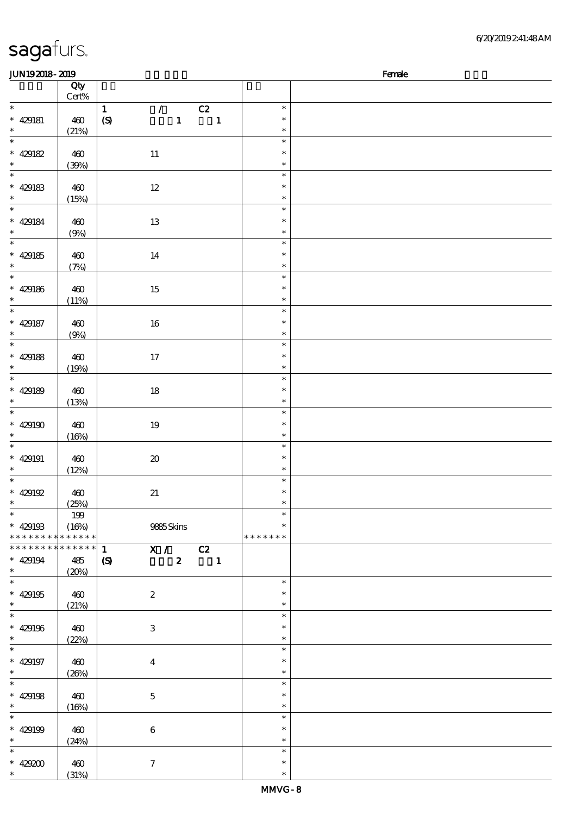\*

\*

\*

\*

\*

\*

\*

\*

\* \* \*

\*

\*

\* \* \*

\*

\*

\* \* \*

\* \* \*

\* \* \*

\* \*

\*

\* \*

\*

\*

\* \*

\*

\*

\*

\*

\*

\*

\*

\*

(31%)

#### 顺序号 Qty Cert% 说明 价格 \* 429181 460  $(21%)$ 1 / C2  $(S)$  1 1 \* \* \* \* 429182 460 (39%) 11 \* \* \* \* 429183 460  $(15%)$ 12 \* \* \* \* 429184 460 (9%) 13 \* \* \* 429185 460 (7%) 14 \* \* \* \* 429186 460  $(11%)$ 15 \* \* \* 429187 460 (9%) 16 \* \* \* \* 429188 460  $(19%)$ 17 \* \* \* 429189 460 (13%) 18 \* \* \* 429190 460  $(16%)$ 19 \* \* \* 429191 460  $(12%)$ 20 \* \* \* \* 429192 460 (25%) 21 \* \* \* \* 429193 \* \* \* \* \* \* \* \* \* \* \* \* \* 199 (16%) 9885 Skins \* \* \* \* \* \* \* \* \*  $\overline{1}$  X / C<sub>2</sub>  $(S)$  2 1 \* \* \* \* \* \* \* \* \* \* \* \* \* \* \* 429194 485 (20%) \* 429195 460 (21%) 2 \* \* \* \* 429196 460  $(22%)$ 3 \* \* \* \* 429197 460  $(26%)$ 4 \* \* \* \* 429198 460  $(16%)$ 5 \* \* \* \* 429199 460 (24%) 6 \* \* \* \* 429200 460 7 \* \*

 $JUN192018-2019$  Female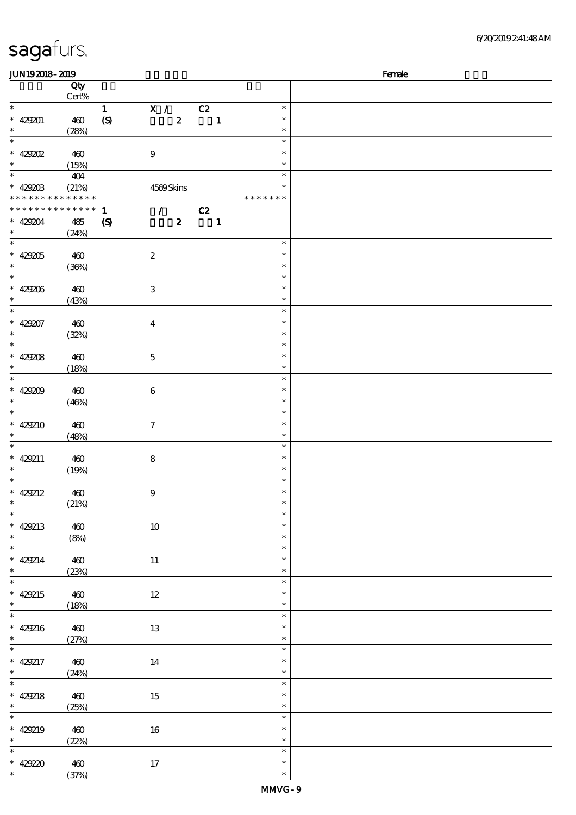\*

(37%)

| JUN192018-2019                             |              |                                                 | Female                   |                  |  |
|--------------------------------------------|--------------|-------------------------------------------------|--------------------------|------------------|--|
|                                            | Qty          |                                                 |                          |                  |  |
| $\ast$                                     | Cert%        |                                                 |                          |                  |  |
|                                            |              | X / C2<br>$\mathbf{1}$                          |                          | $\ast$<br>$\ast$ |  |
| $* 429201$<br>$\ast$                       | 460          | $\boldsymbol{z}$<br>$\boldsymbol{S}$            | $\overline{\phantom{a}}$ | $\ast$           |  |
| $\ast$                                     | (28%)        |                                                 |                          | $\ast$           |  |
| $* 42900$                                  | 460          | $\boldsymbol{9}$                                |                          | $\ast$           |  |
| $\ast$                                     | (15%)        |                                                 |                          | $\ast$           |  |
| $\ast$                                     | 404          |                                                 |                          | $\ast$           |  |
| $* 429203$                                 | (21%)        | 4569Skins                                       |                          | $\ast$           |  |
| * * * * * * * * * * * * * *                |              |                                                 |                          | * * * * * * *    |  |
| * * * * * * * * <mark>* * * * * * *</mark> |              | $\mathcal{L}$ and $\mathcal{L}$<br>$\mathbf{1}$ | C2                       |                  |  |
| $* 429204$                                 | 485          | $\boldsymbol{S}$<br>$\boldsymbol{z}$            | $\blacksquare$           |                  |  |
| $\ast$                                     | (24%)        |                                                 |                          |                  |  |
| $\ast$                                     |              |                                                 |                          | $\ast$           |  |
| $* 429205$                                 | 460          | $\boldsymbol{2}$                                |                          | $\ast$           |  |
| $\ast$<br>$\overline{\phantom{a}^*}$       | (36%)        |                                                 |                          | $\ast$           |  |
|                                            |              |                                                 |                          | $\ast$           |  |
| $* 429206$<br>$\ast$                       | 460          | $\ensuremath{\mathbf{3}}$                       |                          | $\ast$<br>$\ast$ |  |
| $\overline{\phantom{a}^*}$                 | (43%)        |                                                 |                          | $\ast$           |  |
| $* 429207$                                 | 460          | $\boldsymbol{4}$                                |                          | $\ast$           |  |
| $\ast$                                     | (32%)        |                                                 |                          | $\ast$           |  |
| $\overline{\ast}$                          |              |                                                 |                          | $\ast$           |  |
| $* 429208$                                 | 460          | $\mathbf 5$                                     |                          | $\ast$           |  |
| $\ast$                                     | (18%)        |                                                 |                          | $\ast$           |  |
| $\overline{\ast}$                          |              |                                                 |                          | $\ast$           |  |
| $* 429209$                                 | 460          | $\boldsymbol{6}$                                |                          | $\ast$           |  |
| $\ast$                                     | (46%)        |                                                 |                          | $\ast$           |  |
| $\overline{\ast}$                          |              |                                                 |                          | $\ast$           |  |
| $* 429210$                                 | 460          | $\tau$                                          |                          | $\ast$           |  |
| $\ast$                                     | (48%)        |                                                 |                          | $\ast$           |  |
| $\ast$                                     |              |                                                 |                          | $\ast$           |  |
| * $429211$<br>$\ast$                       | 460          | 8                                               |                          | $\ast$           |  |
| $\overline{\ast}$                          | (19%)        |                                                 |                          | $\ast$<br>$\ast$ |  |
| $* 429212$                                 | 460          | $\boldsymbol{9}$                                |                          | $\ast$           |  |
| $\ast$                                     | (21%)        |                                                 |                          | ∗                |  |
| $\overline{\ast}$                          |              |                                                 |                          | $\ast$           |  |
| * $429213$                                 | 460          | $10\,$                                          |                          | $\ast$           |  |
| $\ast$                                     | (8%)         |                                                 |                          | $\ast$           |  |
| $\overline{\phantom{0}}$                   |              |                                                 |                          | $\ast$           |  |
| $* 429214$                                 | 460          | $11\,$                                          |                          | $\ast$           |  |
| $\ast$                                     | (23%)        |                                                 |                          | $\ast$           |  |
| $\overline{\phantom{a}^*}$                 |              |                                                 |                          | $\ast$           |  |
| * $429215$                                 | 460          | $12\,$                                          |                          | $\ast$           |  |
| $\ast$<br>$\overline{\ast}$                | (18%)        |                                                 |                          | $\ast$<br>$\ast$ |  |
| $* 429216$                                 | 460          |                                                 |                          | $\ast$           |  |
| $\ast$                                     | (27%)        | 13                                              |                          | $\ast$           |  |
| $\overline{\phantom{a}^*}$                 |              |                                                 |                          | $\ast$           |  |
| $* 429217$                                 | 460          | 14                                              |                          | $\ast$           |  |
| $\ast$                                     | (24%)        |                                                 |                          | $\ast$           |  |
| $\overline{\phantom{0}}$                   |              |                                                 |                          | $\ast$           |  |
| $* 429218$                                 | 460          | $15\,$                                          |                          | $\ast$           |  |
| $\ast$                                     | (25%)        |                                                 |                          | $\ast$           |  |
| $\frac{1}{\ast}$                           |              |                                                 |                          | $\ast$           |  |
| $* 429219$                                 | 460          | 16                                              |                          | $\ast$           |  |
| $\ast$<br>$\overline{\phantom{a}^*}$       | (22%)        |                                                 |                          | $\ast$           |  |
|                                            |              |                                                 |                          | $\ast$           |  |
| * 429220<br>$\ast$                         | 460<br>(TPL) | $17\,$                                          |                          | $\ast$<br>$\ast$ |  |

\*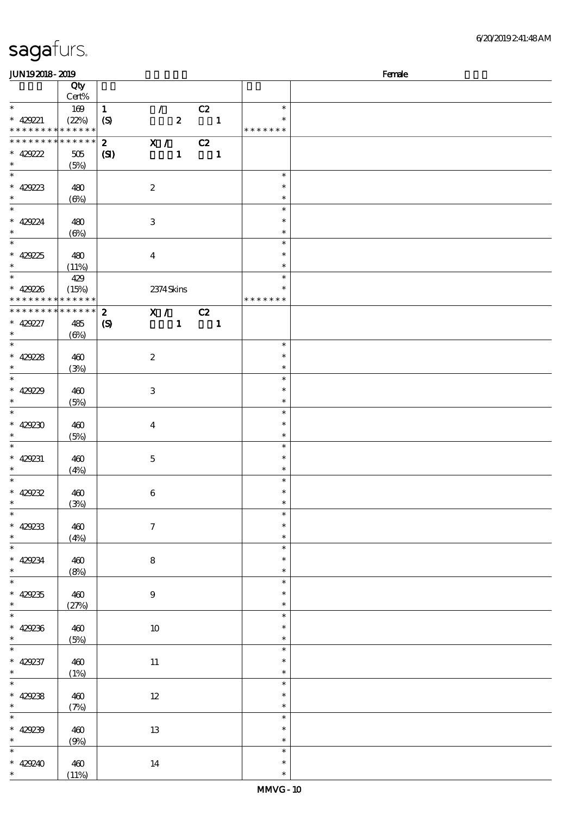|  | sagafurs. |  |
|--|-----------|--|
|  |           |  |

#### $JIN192018 - 2019$  Female

|                                            | Qty          |                  |                           |                  |                            |                  |  |
|--------------------------------------------|--------------|------------------|---------------------------|------------------|----------------------------|------------------|--|
|                                            | Cert%        |                  |                           |                  |                            |                  |  |
| $\ast$                                     | 169          | $\mathbf{1}$     | $\mathcal{L}$             |                  | C2                         | $\ast$<br>$\ast$ |  |
| $* 429221$<br>* * * * * * * * * * * * * *  | (22%)        | $\mathcal{S}$    |                           | $\boldsymbol{z}$ | $\overline{\phantom{a}}$   | * * * * * * *    |  |
| * * * * * * * * * * * * * *                |              | $\mathbf{2}$     | $\overline{\mathbf{x}}$ / |                  | C2                         |                  |  |
| $* 429222$                                 | 505          | (S)              |                           | $\mathbf{1}$     | $\overline{\phantom{a}}$ 1 |                  |  |
| $\ast$                                     | (5%)         |                  |                           |                  |                            |                  |  |
|                                            |              |                  |                           |                  |                            | $\ast$           |  |
| $* 429223$                                 | 480          |                  | $\boldsymbol{2}$          |                  |                            | $\ast$           |  |
| $*$                                        | (6%)         |                  |                           |                  |                            | $\ast$           |  |
|                                            |              |                  |                           |                  |                            | $\ast$           |  |
| * $42924$                                  | 480          |                  | $\ensuremath{\mathbf{3}}$ |                  |                            | $\ast$           |  |
| $\ast$                                     | $(\Theta\%)$ |                  |                           |                  |                            | $\ast$           |  |
|                                            |              |                  |                           |                  |                            | $\ast$           |  |
| $* 42925$                                  | 480          |                  | $\boldsymbol{4}$          |                  |                            | $\ast$           |  |
| $\ast$                                     | (11%)        |                  |                           |                  |                            | $\ast$           |  |
|                                            | 429          |                  |                           |                  |                            | $\ast$           |  |
| $* 429226$                                 | (15%)        |                  | 2374 Skins                |                  |                            | $\ast$           |  |
| * * * * * * * * <mark>* * * * * * *</mark> |              |                  |                           |                  |                            | * * * * * * *    |  |
| * * * * * * * * * * * * * * *              |              | $\boldsymbol{2}$ | $\overline{\mathbf{x}}$ / |                  | C2                         |                  |  |
| $* 429227$<br>$\ast$                       | 485          | $\boldsymbol{S}$ |                           | $\mathbf{1}$     | $\blacksquare$             |                  |  |
| $\overline{\ast}$                          | $(\Theta)$   |                  |                           |                  |                            | $\ast$           |  |
| $* 42928$                                  | 460          |                  | $\boldsymbol{2}$          |                  |                            | $\ast$           |  |
| $*$ $*$                                    | (3%)         |                  |                           |                  |                            | $\ast$           |  |
|                                            |              |                  |                           |                  |                            | $\ast$           |  |
| * $42929$                                  | 460          |                  | $\ensuremath{\mathbf{3}}$ |                  |                            | $\ast$           |  |
| $\ast$                                     | (5%)         |                  |                           |                  |                            | $\ast$           |  |
| $*$                                        |              |                  |                           |                  |                            | $\ast$           |  |
| * $429230$                                 | 460          |                  | $\overline{4}$            |                  |                            | $\ast$           |  |
| $\ast$                                     | (5%)         |                  |                           |                  |                            | $\ast$           |  |
| $\ast$                                     |              |                  |                           |                  |                            | $\ast$           |  |
| * $429231$                                 | 460          |                  | $\mathbf 5$               |                  |                            | $\ast$           |  |
| $\ast$                                     | (4%)         |                  |                           |                  |                            | $\ast$           |  |
| $\ast$                                     |              |                  |                           |                  |                            | $\ast$           |  |
| * $42922$<br>$\ast$                        | 460          |                  | $\bf 6$                   |                  |                            | $\ast$           |  |
| $*$                                        | (3%)         |                  |                           |                  |                            | $\ast$<br>$\ast$ |  |
| $* 429233$                                 | 460          |                  | $\boldsymbol{7}$          |                  |                            | $\ast$           |  |
| $\ast$                                     | (4%)         |                  |                           |                  |                            | $\ast$           |  |
| $\overline{\ast}$                          |              |                  |                           |                  |                            | $\ast$           |  |
| $* 429234$                                 | 460          |                  | $\bf8$                    |                  |                            | $\ast$           |  |
| $\ast$                                     | (8%)         |                  |                           |                  |                            | $\ast$           |  |
| $\overline{\ast}$                          |              |                  |                           |                  |                            | $\ast$           |  |
| $* 429235$                                 | 460          |                  | $\boldsymbol{9}$          |                  |                            | $\ast$           |  |
| $\ast$                                     | (27%)        |                  |                           |                  |                            | $\ast$           |  |
| $\overline{\ast}$                          |              |                  |                           |                  |                            | $\ast$           |  |
| $* 429236$                                 | 460          |                  | 10                        |                  |                            | $\ast$           |  |
| $\ast$                                     | (5%)         |                  |                           |                  |                            | $\ast$           |  |
| $\overline{\ast}$                          |              |                  |                           |                  |                            | $\ast$           |  |
| $* 429237$                                 | $460$        |                  | $11\,$                    |                  |                            | $\ast$           |  |
| $\ast$<br>$\overline{\ast}$                | (1%)         |                  |                           |                  |                            | $\ast$<br>$\ast$ |  |
| * $429238$                                 |              |                  |                           |                  |                            | $\ast$           |  |
| $*$                                        | 460<br>(7%)  |                  | $12\,$                    |                  |                            | $\ast$           |  |
| $\overline{\phantom{0}}$                   |              |                  |                           |                  |                            | $\ast$           |  |
| * $429239$                                 | 460          |                  | $13\,$                    |                  |                            | $\ast$           |  |
| $\ast$                                     | (9%)         |                  |                           |                  |                            | $\ast$           |  |
| $\ast$                                     |              |                  |                           |                  |                            | $\ast$           |  |
| $* 429240$                                 | 460          |                  | $14\,$                    |                  |                            | $\ast$           |  |
| $\ast$                                     | (11%)        |                  |                           |                  |                            | $\ast$           |  |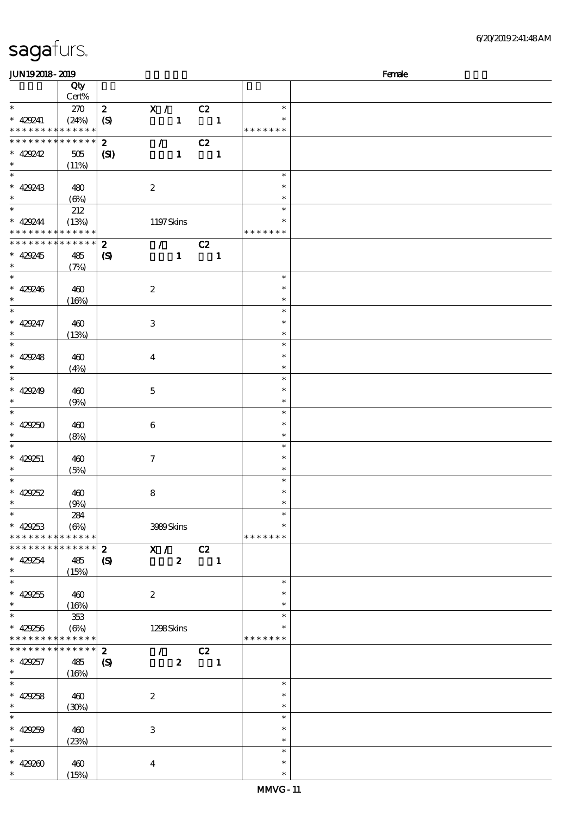$\ddot{\phantom{0}}$ 

\*

\*

\*

\*

\* \*

\* \* \*

\* \* \*

\* \* \*

\* \* \*

\* \* \*

\* \* \*

\* \* \*

\*

\* \*

\*

\*

\*

\*

\*

\*

\*

\*

\*

\*

(15%)

#### 顺序号 Qty Cert% 说明 价格 \* 429241 \* \* \* \* \* \* \* \* \* \* \* \* \* 270 (24%) 2 X / C2  $(S)$  1 1 \* \* \* \* \* \* \* \* \*  $\overline{\text{2}}$  / C2  $(SI)$  1 1 **\* \* \* \* \* \* \* \* \* \* \* \* \* \*** \* 429242 505 (11%) \* 429243 480 (6%) 2 \* \* \* \* 429244 \* \* \* \* \* \* \* \* \* \* \* \* \* 212 (13%) 1197 Skins \* \* \* \* \* \* \* \* \* 2 / C2  $(S)$  1 1 **\* \* \* \* \* \* \* \* \* \* \* \* \*** 429245 485 (7%) 429246 460  $(16%)$ 2 \* \* \* 429247 460  $(13%)$ 3 \* \* \* 429248 460 (4%) 4 \* \* \* 429249 460 (9%) 5 \* \* \*  $429250 \pm 460$ (8%) 6 \* \* \* 429251 460 (5%) 7 \* \* \* 429252 460 (9%) 8 \* \* \* \* 429253 \* \* \* \* \* \* \* \* \* \* \* \* \* 284  $(6\%)$  3989 Skins \* \* \* \* \* \* \* \* \*  $2$  X/ C2  $(S)$  2 1 \* \* \* \* \* \* \* \* \* \* \* \* \* \* \* 429254 485 (15%) \* 429255 460  $(16%)$ 2 \* \* \* \* 429256 \* \* \* \* \* \* \* \* <mark>\* \* \* \* \*</mark> 353  $(6\%)$  1298 Skins \* \* \* \* \* \* \* \* \*  $\overline{2}$  / C<sub>2</sub>  $(S)$  2 1 \* \* \* \* \* \* \* \* \* \* \* \* \* \* \* 429257 485  $(16%)$ \* 429258 460 (30%) 2 \* \* \* \* 429259 460 (23%) 3 \* \* \* \* 429260 460 4 \* \*

 $JUN192018-2019$  Female

 $\ddot{\phantom{0}}$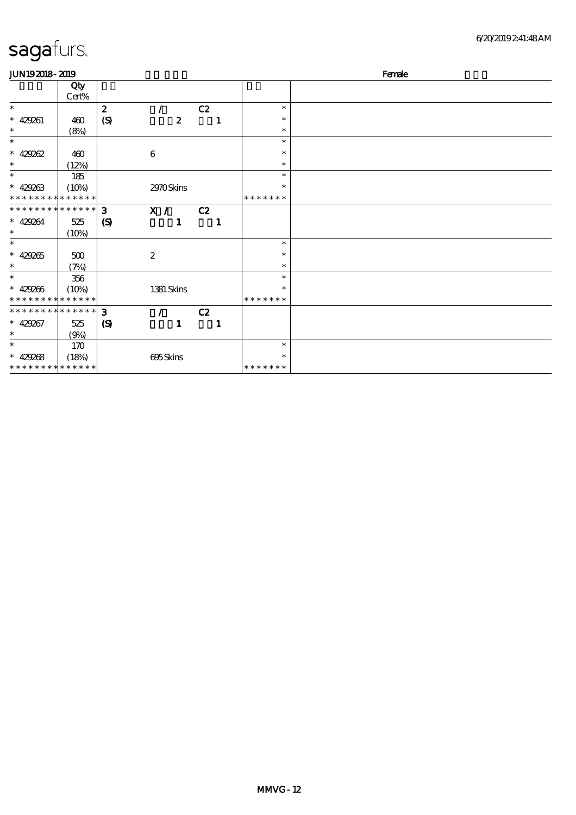| <b>JUN192018-2019</b>       |       |                  |                  |                  |    |              |               | Female |
|-----------------------------|-------|------------------|------------------|------------------|----|--------------|---------------|--------|
|                             | Qty   |                  |                  |                  |    |              |               |        |
|                             | Cert% |                  |                  |                  |    |              |               |        |
| $\ast$                      |       | $\boldsymbol{z}$ |                  |                  | C2 |              | $\ast$        |        |
| $* 429261$                  | 460   | $\boldsymbol{S}$ |                  | $\boldsymbol{z}$ |    | 1            | $\ast$        |        |
| $\ast$                      | (8%)  |                  |                  |                  |    |              | $\ast$        |        |
| $\ast$                      |       |                  |                  |                  |    |              | $\ast$        |        |
| $* 429262$                  | 460   |                  | $\boldsymbol{6}$ |                  |    |              | $\ast$        |        |
| $\ast$                      | (12%) |                  |                  |                  |    |              | $\ast$        |        |
| $\ast$                      | 185   |                  |                  |                  |    |              | $\ast$        |        |
| $* 429263$                  | (10%) |                  |                  | 2970Skins        |    |              | $\ast$        |        |
| * * * * * * * * * * * * * * |       |                  |                  |                  |    |              | * * * * * * * |        |
| **************              |       | $\mathbf{3}$     |                  | X /              | C2 |              |               |        |
| $* 429264$                  | 525   | $\boldsymbol{S}$ |                  | 1                |    | 1            |               |        |
| $\ast$                      | (10%) |                  |                  |                  |    |              |               |        |
| $\ast$                      |       |                  |                  |                  |    |              | $\ast$        |        |
| $* 429265$                  | $500$ |                  | $\boldsymbol{2}$ |                  |    |              | $\ast$        |        |
| $\ast$                      | (7%)  |                  |                  |                  |    |              | $\ast$        |        |
| $\ast$                      | 356   |                  |                  |                  |    |              | $\ast$        |        |
| $* 429266$                  | (10%) |                  |                  | 1381 Skins       |    |              | $\ast$        |        |
| * * * * * * * * * * * * * * |       |                  |                  |                  |    |              | * * * * * * * |        |
| **************              |       | 3                |                  | $\mathcal{L}$    | C2 |              |               |        |
| $* 429267$                  | 525   | $\boldsymbol{S}$ |                  | $\mathbf{1}$     |    | $\mathbf{1}$ |               |        |
| $\ast$                      | (9%)  |                  |                  |                  |    |              |               |        |
| $\ast$                      | 170   |                  |                  |                  |    |              | $\ast$        |        |
| $* 42968$                   | (18%) |                  |                  | 695Skins         |    |              | $\ast$        |        |
| * * * * * * * * * * * * * * |       |                  |                  |                  |    |              | * * * * * * * |        |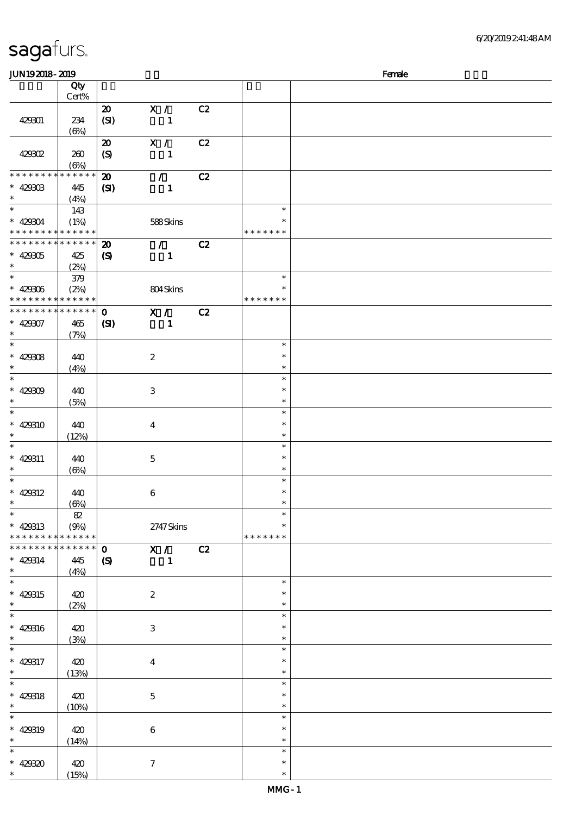| JUN192018-2019                             |                            |                             |                           |    |               | Female |
|--------------------------------------------|----------------------------|-----------------------------|---------------------------|----|---------------|--------|
|                                            | Qty                        |                             |                           |    |               |        |
|                                            | Cert%                      |                             |                           |    |               |        |
|                                            |                            | $\boldsymbol{\mathsf{20}}$  | X /                       | C2 |               |        |
| 429301                                     |                            |                             |                           |    |               |        |
|                                            | 234                        | (SI)                        | $\mathbf{1}$              |    |               |        |
|                                            | $(\Theta)$                 |                             |                           |    |               |        |
|                                            |                            | $\boldsymbol{\mathfrak{D}}$ | X /                       | C2 |               |        |
| 429302                                     | 260                        | $\boldsymbol{S}$            | $\mathbf{1}$              |    |               |        |
|                                            | $(\Theta)$                 |                             |                           |    |               |        |
| * * * * * * * *                            | * * * * * *                | $\boldsymbol{\mathsf{z}}$   | $\mathcal{T}$             | C2 |               |        |
| $* 42900$                                  | 445                        | $\mathbf{C}$                | $\mathbf{1}$              |    |               |        |
| $\ast$                                     |                            |                             |                           |    |               |        |
| $\overline{\phantom{0}}$                   | (4%)                       |                             |                           |    |               |        |
|                                            | 143                        |                             |                           |    | $\ast$        |        |
| $* 42904$                                  | (1%)                       |                             | 588Skins                  |    | $\ast$        |        |
| * * * * * * * * <mark>* * * * * * *</mark> |                            |                             |                           |    | * * * * * * * |        |
| * * * * * * * * <mark>* * * * * * *</mark> |                            | $\boldsymbol{\mathbf{z}}$   | $\mathcal{L}$             | C2 |               |        |
| $* 429005$                                 | 425                        | $\boldsymbol{\mathcal{S}}$  | $\mathbf{1}$              |    |               |        |
| $\ast$                                     |                            |                             |                           |    |               |        |
| $*$                                        | (2%)                       |                             |                           |    | $\ast$        |        |
|                                            | 379                        |                             |                           |    |               |        |
| $* 429006$                                 | (2%)                       |                             | 804Skins                  |    | $\ast$        |        |
| * * * * * * * *                            | * * * * * *                |                             |                           |    | * * * * * * * |        |
| * * * * * * * *                            | $\ast\ast\ast\ast\ast\ast$ | $\mathbf{o}$                | X /                       | C2 |               |        |
| $* 429007$                                 | 465                        | (S)                         | $\mathbf{1}$              |    |               |        |
| $\ast$                                     | (7%)                       |                             |                           |    |               |        |
| $\overline{\ast}$                          |                            |                             |                           |    | $\ast$        |        |
|                                            |                            |                             |                           |    |               |        |
| * $42908$                                  | 440                        |                             | $\boldsymbol{2}$          |    | $\ast$        |        |
| $\ast$                                     | (4%)                       |                             |                           |    | $\ast$        |        |
| $\overline{\ast}$                          |                            |                             |                           |    | $\ast$        |        |
| * $42900$                                  | 440                        |                             | 3                         |    | $\ast$        |        |
| $\ast$                                     | (5%)                       |                             |                           |    | $\ast$        |        |
| $\ast$                                     |                            |                             |                           |    | $\ast$        |        |
|                                            |                            |                             |                           |    |               |        |
| $* 429310$                                 | 440                        |                             | $\boldsymbol{4}$          |    | $\ast$        |        |
| $\ast$                                     | (12%)                      |                             |                           |    | $\ast$        |        |
| $\ast$                                     |                            |                             |                           |    | $\ast$        |        |
| * 429311                                   | 440                        |                             | $\mathbf 5$               |    | $\ast$        |        |
| $\ast$                                     | $(\Theta)$                 |                             |                           |    | $\ast$        |        |
| $\ast$                                     |                            |                             |                           |    | $\ast$        |        |
|                                            |                            |                             |                           |    |               |        |
| $* 429312$                                 | 440                        |                             | $\bf 6$                   |    | $\ast$        |        |
| $*$ $-$                                    | $(\Theta)$                 |                             |                           |    | $\ast$        |        |
| $\ast$                                     | 82                         |                             |                           |    | $\ast$        |        |
| $* 429313$                                 | (9%)                       |                             | $2747$ Skins              |    | $\ast$        |        |
| * * * * * * * *                            | * * * * * *                |                             |                           |    | * * * * * * * |        |
| * * * * * * * *                            | $\ast\ast\ast\ast\ast\ast$ | $\mathbf 0$                 | X /                       | C2 |               |        |
|                                            |                            |                             |                           |    |               |        |
| $* 429314$                                 | 445                        | $\boldsymbol{\mathcal{S}}$  | 1                         |    |               |        |
| $\ast$                                     | (4%)                       |                             |                           |    |               |        |
| $\overline{\ast}$                          |                            |                             |                           |    | $\ast$        |        |
| $* 429315$                                 | 420                        |                             | $\boldsymbol{z}$          |    | ∗             |        |
| $\ast$                                     | (2%)                       |                             |                           |    | $\ast$        |        |
| $\ast$                                     |                            |                             |                           |    | $\ast$        |        |
|                                            |                            |                             |                           |    |               |        |
| $* 429316$                                 | 420                        |                             | $\ensuremath{\mathbf{3}}$ |    | $\ast$        |        |
| $\ast$                                     | (3%)                       |                             |                           |    | $\ast$        |        |
| $\ast$                                     |                            |                             |                           |    | $\ast$        |        |
| $* 429317$                                 | 420                        |                             | $\bf{4}$                  |    | $\ast$        |        |
| $\ast$                                     | (13%)                      |                             |                           |    | $\ast$        |        |
| $\overline{\ast}$                          |                            |                             |                           |    | $\ast$        |        |
|                                            |                            |                             |                           |    |               |        |
| $* 429318$                                 | 420                        |                             | $\mathbf 5$               |    | $\ast$        |        |
| $\ast$                                     | (10%)                      |                             |                           |    | $\ast$        |        |
| $\ast$                                     |                            |                             |                           |    | $\ast$        |        |
| $* 429319$                                 | 420                        |                             | $\bf 6$                   |    | $\ast$        |        |
| $\ast$                                     | (14%)                      |                             |                           |    | $\ast$        |        |
| $\ast$                                     |                            |                             |                           |    | $\ast$        |        |
|                                            |                            |                             |                           |    |               |        |
| $* 42930$                                  | 420                        |                             | $\tau$                    |    | $\ast$        |        |
| $\ast$                                     | (15%)                      |                             |                           |    | $\ast$        |        |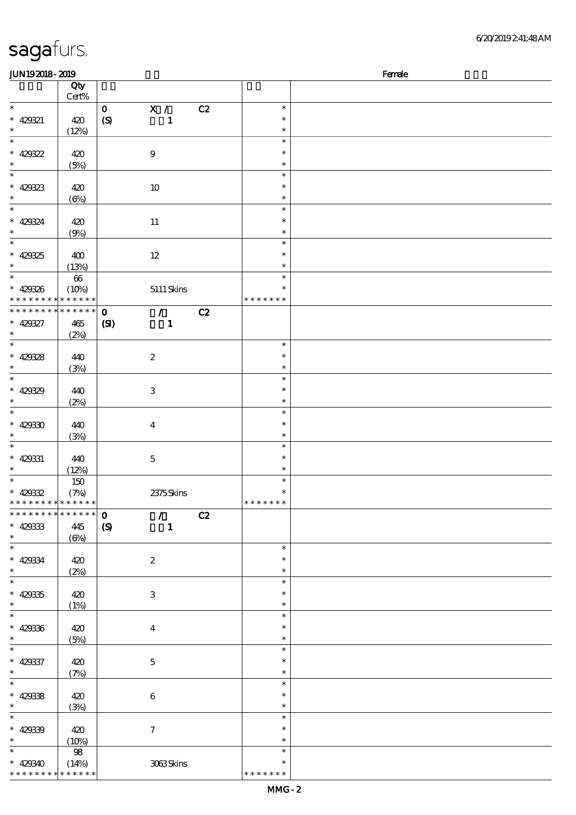#### 6/20/2019 2:41:48 AM

| <b>JUN192018-2019</b>              |                       |                  |                           |    |               | Female |
|------------------------------------|-----------------------|------------------|---------------------------|----|---------------|--------|
|                                    | Qty                   |                  |                           |    |               |        |
|                                    | $Cert\%$              |                  |                           |    |               |        |
| $\ast$                             |                       | $\mathbf O$      | X /                       | C2 | $\ast$        |        |
| $* 429321$                         | 420                   | (S)              | $\mathbf{1}$              |    | $\ast$        |        |
| $\ast$                             |                       |                  |                           |    | $\ast$        |        |
| $\ast$                             | (12%)                 |                  |                           |    | $\ast$        |        |
|                                    |                       |                  |                           |    |               |        |
| $* 429322$                         | 420                   |                  | $\boldsymbol{9}$          |    | $\ast$        |        |
| $\ast$                             | (5%)                  |                  |                           |    | $\ast$        |        |
| $\ast$                             |                       |                  |                           |    | $\ast$        |        |
| $* 429323$                         | 420                   |                  | $10\,$                    |    | $\ast$        |        |
| $\ast$                             | $(\Theta)$            |                  |                           |    | $\ast$        |        |
| $\ast$                             |                       |                  |                           |    | $\ast$        |        |
| $* 429324$                         | 420                   |                  | $11\,$                    |    | $\ast$        |        |
| $\ast$                             |                       |                  |                           |    | $\ast$        |        |
| $\overline{\phantom{0}}$           | (9%)                  |                  |                           |    |               |        |
|                                    |                       |                  |                           |    | $\ast$        |        |
| $* 429325$                         | 400                   |                  | $12\,$                    |    | $\ast$        |        |
| $\ast$                             | (13%)                 |                  |                           |    | $\ast$        |        |
| $\ast$                             | $\pmb{\infty}$        |                  |                           |    | $\ast$        |        |
| $* 429326$                         | (10%)                 |                  | $5111$ Skins              |    | $\ast$        |        |
| * * *                              | * * * * * * * * * * * |                  |                           |    | * * * * * * * |        |
| * * * * * * * *                    | * * * * * *           | $\mathbf{o}$     | $\mathcal{L}$             | C2 |               |        |
| $* 429327$                         |                       |                  |                           |    |               |        |
| $\ast$                             | 465                   | (S)              | $\mathbf{1}$              |    |               |        |
| $\overline{\phantom{0}}$           | (2%)                  |                  |                           |    |               |        |
|                                    |                       |                  |                           |    | $\ast$        |        |
| $* 429328$                         | 440                   |                  | $\boldsymbol{2}$          |    | $\ast$        |        |
| $\ast$                             | (3%)                  |                  |                           |    | $\ast$        |        |
| $\ast$                             |                       |                  |                           |    | $\ast$        |        |
| $* 429329$                         | 440                   |                  | $\ensuremath{\mathsf{3}}$ |    | $\ast$        |        |
| $\ast$                             | (2%)                  |                  |                           |    | $\ast$        |        |
| $\ast$                             |                       |                  |                           |    | $\ast$        |        |
|                                    |                       |                  |                           |    | $\ast$        |        |
| $* 42930$                          | 440                   |                  | $\boldsymbol{4}$          |    |               |        |
| $\ast$                             | (3%)                  |                  |                           |    | $\ast$        |        |
| $\ast$                             |                       |                  |                           |    | $\ast$        |        |
| $* 429331$                         | 440                   |                  | $\bf 5$                   |    | $\ast$        |        |
| $\ast$                             | (12%)                 |                  |                           |    | $\ast$        |        |
| $\ast$                             | 150                   |                  |                           |    | $\ast$        |        |
| $* 42932$                          | (7%)                  |                  | 2375Skins                 |    | $\ast$        |        |
| * * * * * * * * * * * * * *        |                       |                  |                           |    | *******       |        |
| * * * * * * * * * * * * * *        |                       | $\mathbf 0$      | $\mathcal{L}$             | C2 |               |        |
|                                    |                       |                  |                           |    |               |        |
| $* 429333$                         | 445                   | $\boldsymbol{S}$ | $\mathbf{1}$              |    |               |        |
| $\ast$<br>$\overline{\phantom{0}}$ | (6%)                  |                  |                           |    |               |        |
|                                    |                       |                  |                           |    | $\ast$        |        |
| $* 429334$                         | 420                   |                  | $\boldsymbol{z}$          |    | $\ast$        |        |
| $\ast$                             | (2%)                  |                  |                           |    | $\ast$        |        |
| $\overline{\ast}$                  |                       |                  |                           |    | $\ast$        |        |
| $* 429335$                         | 420                   |                  | 3                         |    | $\ast$        |        |
| $\ast$                             | (1%)                  |                  |                           |    | $\ast$        |        |
| $\ast$                             |                       |                  |                           |    | $\ast$        |        |
| $* 429336$                         | 420                   |                  |                           |    | $\ast$        |        |
| $\ast$                             |                       |                  | $\boldsymbol{4}$          |    | $\ast$        |        |
| $\overline{\phantom{0}}$           | (5%)                  |                  |                           |    |               |        |
|                                    |                       |                  |                           |    | $\ast$        |        |
| $* 429337$                         | 420                   |                  | $\mathbf 5$               |    | $\ast$        |        |
| $\ast$                             | (7%)                  |                  |                           |    | $\ast$        |        |
| $\ast$                             |                       |                  |                           |    | $\ast$        |        |
| $* 429338$                         | 420                   |                  | $\bf 6$                   |    | $\ast$        |        |
| $\ast$                             | (3%)                  |                  |                           |    | $\ast$        |        |
| $\ast$                             |                       |                  |                           |    | $\ast$        |        |
| $* 42939$                          | 420                   |                  | $\tau$                    |    | $\ast$        |        |
| $\ast$                             |                       |                  |                           |    | $\ast$        |        |
|                                    | (10%)                 |                  |                           |    |               |        |
| $\ast$                             | 98                    |                  |                           |    | $\ast$        |        |
| $* 429340$                         | (14%)                 |                  | 3063Skins                 |    | $\ast$        |        |
| * * * * * * * * * * * * * *        |                       |                  |                           |    | * * * * * * * |        |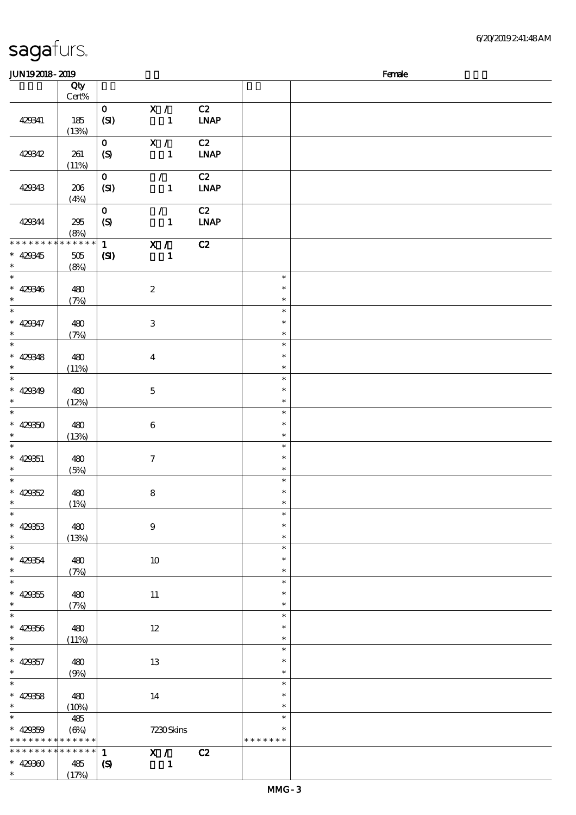#### $J/N192018 - 2019$  Female

|                          | Qty<br>Cert% |                            |                           |             |               |  |
|--------------------------|--------------|----------------------------|---------------------------|-------------|---------------|--|
|                          |              |                            |                           |             |               |  |
|                          |              | $\mathbf{O}$               | X /                       | C2          |               |  |
| 429341                   | 185          | (SI)                       | $\mathbf{1}$              | <b>LNAP</b> |               |  |
|                          |              |                            |                           |             |               |  |
|                          | (13%)        |                            |                           |             |               |  |
|                          |              | $\mathbf{O}$               | X /                       | C2          |               |  |
| 429342                   | 261          | (S)                        | $\mathbf{1}$              | <b>LNAP</b> |               |  |
|                          |              |                            |                           |             |               |  |
|                          | (11%)        |                            |                           |             |               |  |
|                          |              | $\mathbf{O}$               | $\mathcal{L}$             | C2          |               |  |
|                          |              |                            |                           |             |               |  |
| 429343                   | 206          | (SI)                       | $\mathbf{1}$              | <b>LNAP</b> |               |  |
|                          | (4%)         |                            |                           |             |               |  |
|                          |              |                            |                           |             |               |  |
|                          |              | $\mathbf{O}$               | $\mathcal{L}$             | C2          |               |  |
| 429344                   | 295          | (S)                        | $\mathbf{1}$              | <b>LNAP</b> |               |  |
|                          |              |                            |                           |             |               |  |
|                          | (8%)         |                            |                           |             |               |  |
| * * * * * * * *          | * * * * * *  | $\mathbf{1}$               | X /                       | C2          |               |  |
| $* 429345$               | $505\,$      | (S)                        | $\mathbf{1}$              |             |               |  |
|                          |              |                            |                           |             |               |  |
| $\ast$                   | (8%)         |                            |                           |             |               |  |
| $\overline{\ast}$        |              |                            |                           |             | $\ast$        |  |
|                          | 480          |                            | $\boldsymbol{2}$          |             | $\ast$        |  |
| * 429346 $*$             |              |                            |                           |             |               |  |
|                          | (7%)         |                            |                           |             | $\ast$        |  |
|                          |              |                            |                           |             | $\ast$        |  |
|                          |              |                            |                           |             | $\ast$        |  |
| $* 429347$               | 480          |                            | $\ensuremath{\mathbf{3}}$ |             |               |  |
| $\ast$                   | (7%)         |                            |                           |             | $\ast$        |  |
| $\overline{\phantom{0}}$ |              |                            |                           |             | $\ast$        |  |
|                          |              |                            |                           |             |               |  |
| $* 429348$               | 480          |                            | $\boldsymbol{4}$          |             | $\ast$        |  |
| $\ast$                   | (11%)        |                            |                           |             | $\ast$        |  |
| $\overline{\ast}$        |              |                            |                           |             |               |  |
|                          |              |                            |                           |             | $\ast$        |  |
| $* 429349$               | 480          |                            | $\mathbf 5$               |             | $\ast$        |  |
| $\ast$                   |              |                            |                           |             | $\ast$        |  |
|                          | (12%)        |                            |                           |             |               |  |
|                          |              |                            |                           |             | $\ast$        |  |
| $* 42930$                | 480          |                            | $\bf 6$                   |             | $\ast$        |  |
|                          |              |                            |                           |             |               |  |
| $\ast$                   | (13%)        |                            |                           |             | $\ast$        |  |
| $\overline{\ast}$        |              |                            |                           |             | $\ast$        |  |
| $* 429351$               | 480          |                            | $\tau$                    |             | $\ast$        |  |
|                          |              |                            |                           |             |               |  |
| $\ast$                   | (5%)         |                            |                           |             | $\ast$        |  |
| $\overline{\ast}$        |              |                            |                           |             | $\ast$        |  |
|                          |              |                            |                           |             | $\ast$        |  |
| $* 429352$               | 480          |                            | $\bf8$                    |             |               |  |
| $\ast$                   | (1%)         |                            |                           |             | $\ast$        |  |
| $\ast$                   |              |                            |                           |             | $\ast$        |  |
|                          |              |                            |                           |             |               |  |
| $* 429333$               | 480          |                            | $\boldsymbol{9}$          |             | $\ast$        |  |
| $\ast$                   | (13%)        |                            |                           |             | $\ast$        |  |
| $\ast$                   |              |                            |                           |             | $\ast$        |  |
|                          |              |                            |                           |             |               |  |
| $* 42954$                | 480          |                            | $10\,$                    |             | $\ast$        |  |
| $\ast$                   | (7%)         |                            |                           |             | $\ast$        |  |
| $\overline{\ast}$        |              |                            |                           |             |               |  |
|                          |              |                            |                           |             | $\ast$        |  |
| $* 429355$               | 480          |                            | $11\,$                    |             | $\ast$        |  |
| $\ast$                   |              |                            |                           |             | $\ast$        |  |
|                          | (7%)         |                            |                           |             |               |  |
| $\ast$                   |              |                            |                           |             | $\ast$        |  |
| $* 429356$               | 480          |                            | $12\,$                    |             | $\ast$        |  |
| $\ast$                   |              |                            |                           |             | $\ast$        |  |
|                          | (11%)        |                            |                           |             |               |  |
| $\ast$                   |              |                            |                           |             | $\ast$        |  |
| $* 429357$               | 480          |                            | 13                        |             | $\ast$        |  |
|                          |              |                            |                           |             |               |  |
| $\ast$                   | (9%)         |                            |                           |             | $\ast$        |  |
| $\ast$                   |              |                            |                           |             | $\ast$        |  |
|                          |              |                            |                           |             | $\ast$        |  |
| $* 42958$                | 480          |                            | 14                        |             |               |  |
| $\ast$                   | (10%)        |                            |                           |             | $\ast$        |  |
| $\ast$                   | 485          |                            |                           |             | $\ast$        |  |
|                          |              |                            |                           |             |               |  |
| $* 429359$               | $(\Theta\%)$ |                            | 7230Skins                 |             | $\ast$        |  |
| * * * * * * * *          | * * * * * *  |                            |                           |             | * * * * * * * |  |
| * * * * *<br>* * *       | * * * * * *  | $\mathbf 1$                | X /                       | C2          |               |  |
|                          |              |                            |                           |             |               |  |
| $* 42930$                | $485\,$      | $\boldsymbol{\mathcal{S}}$ | $\mathbf{1}$              |             |               |  |
| $\ast$                   | (17%)        |                            |                           |             |               |  |
|                          |              |                            |                           |             |               |  |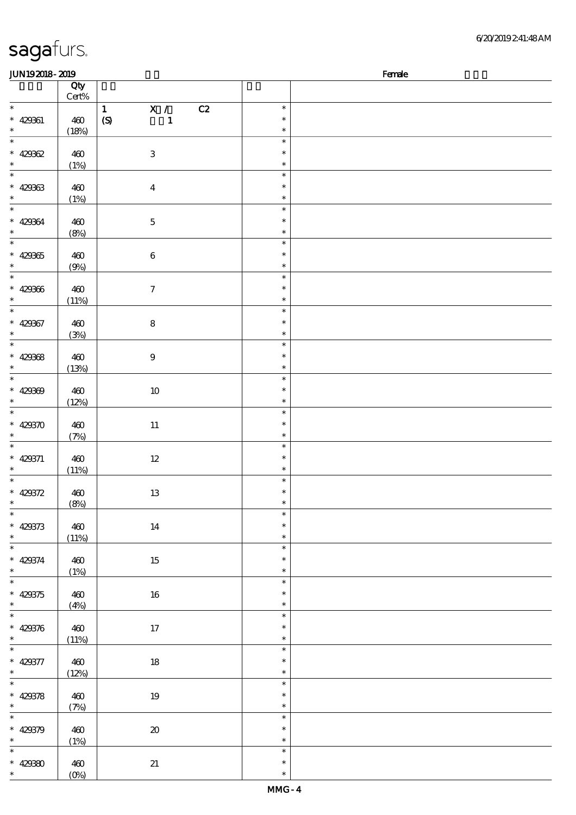#### $J/N192018 - 2019$  Female

|                               | Qty<br>$\mbox{Cert}\%$ |                                                 |                            |  |
|-------------------------------|------------------------|-------------------------------------------------|----------------------------|--|
| $\overline{\ast}$             |                        | $\overline{\mathbf{X}}$ /<br>$\mathbf{1}$<br>C2 | $\ast$                     |  |
| $* 42961$<br>$\ast$           | 460<br>(18%)           | $\boldsymbol{S}$<br>$\mathbf{1}$                | $\ast$<br>$\ast$           |  |
| $\overline{\ast}$             |                        |                                                 | $\ast$                     |  |
| $* 429362$<br>$\ast$          | 460<br>(1%)            | $\,3$                                           | $\ast$<br>$\ast$           |  |
|                               |                        |                                                 |                            |  |
| $\ast$<br>$* 42963$<br>$\ast$ | 460<br>(1%)            | $\boldsymbol{4}$                                | $\ast$<br>$\ast$<br>$\ast$ |  |
| $\ast$                        |                        |                                                 | $\ast$                     |  |
| * 42964 *                     | 460<br>(8%)            | $\mathbf 5$                                     | $\ast$<br>$\ast$           |  |
| $\overline{\ast}$             |                        |                                                 | $\ast$                     |  |
| $* 429365$<br>$\ast$          | 460<br>(9%)            | $\,6\,$                                         | $\ast$<br>$\ast$           |  |
| $\ast$                        |                        |                                                 | $\ast$                     |  |
| $* 429366$<br>$\ast$          | 460<br>(11%)           | $\boldsymbol{7}$                                | $\ast$<br>$\ast$           |  |
| $\overline{\phantom{0}}$      |                        |                                                 | $\ast$                     |  |
| $* 429367$<br>$\ast$          | 460<br>(3%)            | $\bf 8$                                         | $\ast$<br>$\ast$           |  |
| $\overline{\ast}$             |                        |                                                 | $\ast$                     |  |
| $* 42968$<br>$\ast$           | $460$<br>(13%)         | $\boldsymbol{9}$                                | $\ast$<br>$\ast$           |  |
| $\overline{\phantom{0}}$      |                        |                                                 | $\ast$                     |  |
| $* 429309$<br>$\ast$          | 460<br>(12%)           | $10\,$                                          | $\ast$<br>$\ast$           |  |
| $\overline{\ast}$             |                        |                                                 | $\ast$                     |  |
| $* 429370$<br>$\ast$          | 460<br>(7%)            | $11\,$                                          | $\ast$<br>$\ast$           |  |
| $\overline{\phantom{0}}$      |                        |                                                 | $\ast$                     |  |
| $* 429371$<br>$\ast$          | 460<br>(11%)           | $12\,$                                          | $\ast$<br>$\ast$           |  |
| $\ast$                        |                        |                                                 | $\ast$                     |  |
| $* 429372$<br>$\ast$          | $460$<br>(8%)          | 13                                              | $\ast$<br>$\ast$           |  |
|                               |                        |                                                 | 주                          |  |
| $* 429373$<br>$\ast$          | $460$<br>(11%)         | $14\,$                                          | $\ast$<br>$\ast$           |  |
| $\overline{\phantom{0}}$      |                        |                                                 | $\ast$                     |  |
| $* 429374$<br>$\ast$          | $460$<br>(1%)          | $15\,$                                          | $\ast$<br>$\ast$           |  |
| $\overline{\ast}$             |                        |                                                 | $\ast$                     |  |
| $* 429375$<br>$\ast$          | $460$<br>(4%)          | $16\,$                                          | $\ast$<br>$\ast$           |  |
| $\overline{\phantom{0}}$      |                        |                                                 | $\ast$                     |  |
| * 429376                      | $460$<br>(11%)         | $17\,$                                          | $\ast$<br>$\ast$           |  |
| $\overline{\phantom{0}}$      |                        |                                                 | $\ast$                     |  |
| $* 429377$<br>$\ast$          | 460<br>(12%)           | $18\,$                                          | $\ast$<br>$\ast$           |  |
| $\overline{\ast}$             |                        |                                                 | $\ast$                     |  |
| $* 429378$<br>$\ast$          | $460$<br>(7%)          | $19\,$                                          | $\ast$<br>$\ast$           |  |
| $\ast$                        |                        |                                                 | $\ast$                     |  |
| $* 429379$<br>$\ast$          | $460$<br>(1%)          | ${\bf 20}$                                      | $\ast$<br>$\ast$           |  |
| $\overline{\ast}$             |                        |                                                 | $\ast$                     |  |
| $* 42980$<br>$\ast$           | $460$<br>(0%)          | 21                                              | $\ast$<br>$\ast$           |  |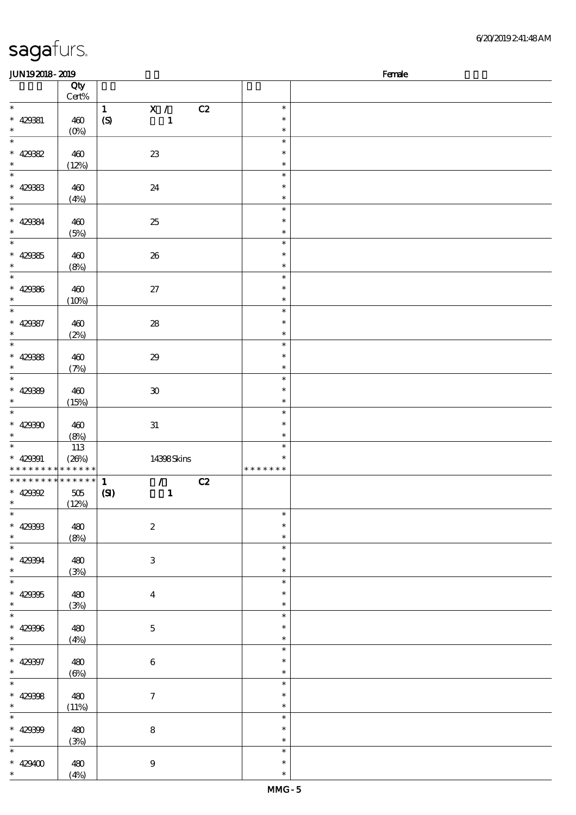| 6/20/2019241:48AM |  |
|-------------------|--|
|-------------------|--|

| JUN192018-2019                     |            |                                    |               | Female |
|------------------------------------|------------|------------------------------------|---------------|--------|
|                                    | Qty        |                                    |               |        |
|                                    | Cert%      |                                    |               |        |
| $\ast$                             |            | X /<br>$\mathbf{1}$                | C2<br>$\ast$  |        |
| $* 429381$                         | 460        | $\pmb{\text{(S)}}$<br>$\mathbf{1}$ | $\ast$        |        |
| $\ast$                             | $(0\%)$    |                                    | $\ast$        |        |
| $\ast$                             |            |                                    | $\ast$        |        |
| $* 42982$                          | 460        | $23\,$                             | $\ast$        |        |
| $\ast$                             | (12%)      |                                    | $\ast$        |        |
| $\overline{\ast}$                  |            |                                    | $\ast$        |        |
|                                    |            |                                    | $\ast$        |        |
| $* 429883$                         | 460        | 24                                 |               |        |
| $\ast$                             | (4%)       |                                    | $\ast$        |        |
| $\ast$                             |            |                                    | $\ast$        |        |
| $* 42984$                          | 460        | $25\,$                             | $\ast$        |        |
| $\ast$                             | (5%)       |                                    | $\ast$        |        |
| $\overline{\phantom{a}}$           |            |                                    | $\ast$        |        |
| $* 42935$                          | 460        | ${\bf 26}$                         | $\ast$        |        |
| $\ast$                             | (8%)       |                                    | $\ast$        |        |
| $\ast$                             |            |                                    | $\ast$        |        |
| $* 42936$                          | 460        | $27\,$                             | $\ast$        |        |
| $\ast$                             | (10%)      |                                    | $\ast$        |        |
| $\ast$                             |            |                                    | $\ast$        |        |
|                                    |            |                                    |               |        |
| $* 42987$                          | 460        | ${\bf 28}$                         | $\ast$        |        |
| $\ast$                             | (2%)       |                                    | $\ast$        |        |
| $\overline{\phantom{0}}$           |            |                                    | $\ast$        |        |
| $* 429888$                         | 460        | $29\,$                             | $\ast$        |        |
| $\ast$                             | (7%)       |                                    | $\ast$        |        |
| $\overline{\ast}$                  |            |                                    | $\ast$        |        |
| $* 42989$                          | 460        | $\pmb{\mathfrak{D}}$               | $\ast$        |        |
| $\ast$                             | (15%)      |                                    | $\ast$        |        |
| $\ast$                             |            |                                    | $\ast$        |        |
| $* 429300$                         | 460        | $3\!1$                             | $\ast$        |        |
| $\ast$                             |            |                                    | $\ast$        |        |
| $\ast$                             | (8%)       |                                    | $\ast$        |        |
|                                    | 113        |                                    |               |        |
| $* 429991$                         | (20%)      | 14398Skins                         | $\ast$        |        |
| * * * * * * * * * * * * * *        |            |                                    | * * * * * * * |        |
| * * * * * * * * * * * * * *        |            | $\mathbf{1}$<br>$\mathcal{L}$      | C2            |        |
| $* 429392$                         | 505        | $\bf{(S)}$<br>$\mathbf{1}$         |               |        |
| $*$                                | (12%)      |                                    |               |        |
| $\ast$                             |            |                                    | $\ast$        |        |
| $* 429303$                         | 480        | $\boldsymbol{2}$                   | $\ast$        |        |
| $\ast$                             | (8%)       |                                    | $\ast$        |        |
| $\overline{\phantom{0}}$           |            |                                    | $\ast$        |        |
| $* 429394$                         | 480        | $\mathbf{3}$                       | $\ast$        |        |
| $\ast$                             | (3%)       |                                    | $\ast$        |        |
| $\overline{\phantom{0}}$           |            |                                    | $\ast$        |        |
| $* 429305$                         |            |                                    | $\ast$        |        |
|                                    | 480        | $\bf{4}$                           |               |        |
| $\ast$<br>$\overline{\phantom{a}}$ | (3%)       |                                    | $\ast$        |        |
|                                    |            |                                    | $\ast$        |        |
| $* 429306$                         | 480        | $\bf 5$                            | $\ast$        |        |
| $\ast$                             | (4%)       |                                    | $\ast$        |        |
| $\overline{\phantom{a}}$           |            |                                    | $\ast$        |        |
| $* 429997$                         | 480        | $\bf 6$                            | $\ast$        |        |
| $\ast$                             | $(\Theta)$ |                                    | $\ast$        |        |
| $\overline{\ast}$                  |            |                                    | $\ast$        |        |
| * $429308$                         | 480        | $\tau$                             | $\ast$        |        |
| $\ast$                             | (11%)      |                                    | $\ast$        |        |
| $\overline{\ast}$                  |            |                                    | $\ast$        |        |
|                                    |            |                                    | $\ast$        |        |
| $* 429399$                         | 480        | ${\bf 8}$                          |               |        |
| $\ast$                             | (3%)       |                                    | $\ast$        |        |
| $\ast$                             |            |                                    | $\ast$        |        |
| $* 429400$                         | 480        | $\boldsymbol{9}$                   | $\ast$        |        |
| $\ast$                             | (4%)       |                                    | $\ast$        |        |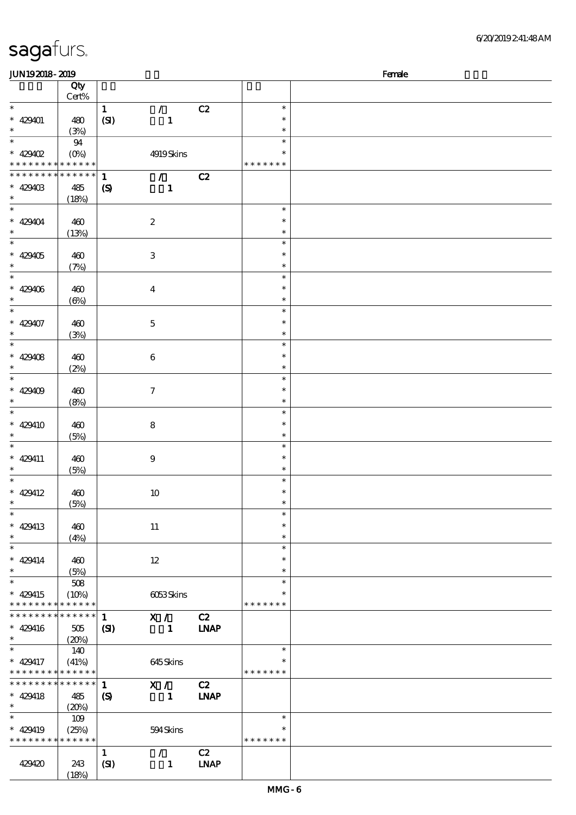| <b>saga</b> furs. |  |
|-------------------|--|
|                   |  |

| JUN192018-2019                            |                           |                  |                  |                              |                         | Female |
|-------------------------------------------|---------------------------|------------------|------------------|------------------------------|-------------------------|--------|
|                                           | Qty                       |                  |                  |                              |                         |        |
|                                           | $\mbox{Cert}\%$           |                  |                  |                              |                         |        |
| $\ast$                                    |                           | $\mathbf{1}$     | $\mathcal{L}$    | C2                           | $\ast$                  |        |
| $* 429401$                                | 480                       | (SI)             | $\mathbf{1}$     |                              | $\ast$                  |        |
| $\ast$                                    | (3%)                      |                  |                  |                              | $\ast$                  |        |
| $\ast$                                    | 94                        |                  |                  |                              | $\ast$                  |        |
| $* 429402$                                | $(O\!\!\!\!\!\!\!/\,\!o)$ |                  | 4919Skins        |                              | $\ast$                  |        |
| * * *                                     | * * * * * * * * * *       |                  |                  |                              | * * * * * * *           |        |
| * * * * * * * *                           | * * * * * *               | $\mathbf{1}$     | $\mathcal{L}$    | C2                           |                         |        |
| $* 42940B$                                | 485                       | $\pmb{\infty}$   | $\mathbf{1}$     |                              |                         |        |
| $\ast$<br>$\ast$                          | (18%)                     |                  |                  |                              | $\ast$                  |        |
|                                           |                           |                  |                  |                              | $\ast$                  |        |
| $* 429404$<br>$\ast$                      | 460                       |                  | $\boldsymbol{2}$ |                              | $\ast$                  |        |
| $\ast$                                    | (13%)                     |                  |                  |                              | $\ast$                  |        |
| $* 429405$                                | 460                       |                  | $\,3$            |                              | $\ast$                  |        |
| $\ast$                                    | (7%)                      |                  |                  |                              | $\ast$                  |        |
| $\ast$                                    |                           |                  |                  |                              | $\ast$                  |        |
| $* 429406$                                | 460                       |                  | $\boldsymbol{4}$ |                              | $\ast$                  |        |
| $\ast$                                    | $(\Theta)$                |                  |                  |                              | $\ast$                  |        |
| $\ast$                                    |                           |                  |                  |                              | $\ast$                  |        |
| $* 429407$                                | 460                       |                  | $\mathbf 5$      |                              | $\ast$                  |        |
| $\ast$                                    | (3%)                      |                  |                  |                              | $\ast$                  |        |
| $\ast$                                    |                           |                  |                  |                              | $\ast$                  |        |
| $* 429408$                                | 460                       |                  | $\,6\,$          |                              | $\ast$                  |        |
|                                           | (2%)                      |                  |                  |                              | $\ast$                  |        |
| $\ast$                                    |                           |                  |                  |                              | $\ast$                  |        |
| $* 429409$                                | 460                       |                  | $\boldsymbol{7}$ |                              | $\ast$                  |        |
| $\ast$                                    | (8%)                      |                  |                  |                              | $\ast$                  |        |
| $\ast$                                    |                           |                  |                  |                              | $\ast$                  |        |
| $* 429410$                                | 460                       |                  | 8                |                              | $\ast$                  |        |
| $\ast$                                    | (5%)                      |                  |                  |                              | $\ast$                  |        |
| $\ast$                                    |                           |                  |                  |                              | $\ast$                  |        |
| $* 429411$<br>$\ast$                      | 460                       |                  | $\boldsymbol{9}$ |                              | $\ast$                  |        |
| $\ast$                                    | (5%)                      |                  |                  |                              | $\ast$<br>$\ast$        |        |
| $* 429412$                                | 460                       |                  |                  |                              | $\ast$                  |        |
| ∗                                         |                           |                  | $10\,$           |                              | ∗                       |        |
| $\ast$                                    | (5%)                      |                  |                  |                              | $\ast$                  |        |
| $* 429413$                                | 460                       |                  | $11\,$           |                              | $\ast$                  |        |
| $\ast$                                    | (4%)                      |                  |                  |                              | $\ast$                  |        |
| $\overline{\phantom{a}}$                  |                           |                  |                  |                              | $\ast$                  |        |
| $* 429414$                                | 460                       |                  | $12\,$           |                              | $\ast$                  |        |
| $\ast$                                    | (5%)                      |                  |                  |                              | $\ast$                  |        |
| $\ast$                                    | $508\,$                   |                  |                  |                              | $\ast$                  |        |
| $* 429415$                                | (10%)                     |                  | 6053Skins        |                              | $\ast$                  |        |
| * * * * * * * * * * * * * *               |                           |                  |                  |                              | * * * * * * *           |        |
| * * * * * * * *                           | ******                    | $\mathbf{1}$     | $\mathbf{X}$ /   | C2                           |                         |        |
| $* 429416$                                | 505                       | (S)              | $\mathbf{1}$     | <b>LNAP</b>                  |                         |        |
| $\ast$                                    | (20%)                     |                  |                  |                              |                         |        |
| $\ast$                                    | 140                       |                  |                  |                              | $\ast$                  |        |
| $* 429417$<br>* * * * * * * * * * * * * * | (41%)                     |                  | 645Skins         |                              | $\ast$<br>* * * * * * * |        |
| * * * * * * * *                           | * * * * * *               | $\mathbf{1}$     | X /              | C2                           |                         |        |
| $* 429418$                                |                           |                  |                  |                              |                         |        |
| $\ast$                                    | 485<br>(20%)              | $\boldsymbol{S}$ | $\mathbf{1}$     | <b>LNAP</b>                  |                         |        |
| $\ast$                                    | 109                       |                  |                  |                              | $\ast$                  |        |
| $* 429419$                                | (25%)                     |                  | 594Skins         |                              | $\ast$                  |        |
| * * * * * * * * * * * * * *               |                           |                  |                  |                              | * * * * * * *           |        |
|                                           |                           | $\mathbf{1}$     | $\mathcal{L}$    | C2                           |                         |        |
| 429420                                    | 243                       | (SI)             | $\mathbf{1}$     | $\ensuremath{\mathbf{INAP}}$ |                         |        |
|                                           | (18%)                     |                  |                  |                              |                         |        |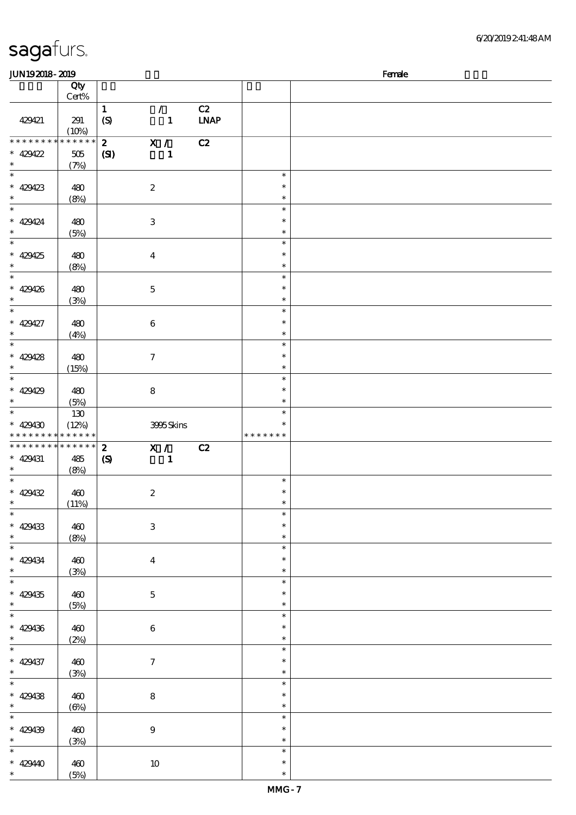| <b>saga</b> furs. |  |
|-------------------|--|
|-------------------|--|

|                                                                             | Qty             |                                  |                                 |                                    |                  |  |
|-----------------------------------------------------------------------------|-----------------|----------------------------------|---------------------------------|------------------------------------|------------------|--|
|                                                                             | Cert%           |                                  |                                 |                                    |                  |  |
| 429421                                                                      | 291<br>(10%)    | $\mathbf{1}$<br>$\boldsymbol{S}$ | $\mathcal{T}$<br>$\blacksquare$ | C2<br>$\ensuremath{\mathbf{INAP}}$ |                  |  |
| * * * * * * * *                                                             | * * * * * *     | $\mathbf{2}$                     | $\overline{\mathbf{x}}$ /       | C2                                 |                  |  |
| $* 429422$                                                                  | 505             | (S)                              | $\blacksquare$                  |                                    |                  |  |
| $\ast$                                                                      | (7%)            |                                  |                                 |                                    |                  |  |
| $\ast$                                                                      |                 |                                  |                                 |                                    | $\ast$           |  |
| $* 429423$<br>$\ast$                                                        | 480             | $\boldsymbol{2}$                 |                                 |                                    | $\ast$<br>$\ast$ |  |
| $\ast$                                                                      | (8%)            |                                  |                                 |                                    | $\ast$           |  |
| $* 429424$                                                                  | 480             | $\,3\,$                          |                                 |                                    | $\ast$           |  |
| $\ast$                                                                      | (5%)            |                                  |                                 |                                    | $\ast$           |  |
| $\overline{\ast}$                                                           |                 |                                  |                                 |                                    | $\ast$           |  |
| $* 429425$                                                                  | 480             | $\boldsymbol{4}$                 |                                 |                                    | $\ast$           |  |
| $\ast$<br>$\overline{\phantom{a}^*}$                                        | (8%)            |                                  |                                 |                                    | $\ast$           |  |
|                                                                             |                 |                                  |                                 |                                    | $\ast$           |  |
| $* 429426$<br>$\ast$                                                        | 480<br>(3%)     | $\mathbf 5$                      |                                 |                                    | $\ast$<br>$\ast$ |  |
| $\overline{\phantom{a}^*}$                                                  |                 |                                  |                                 |                                    | $\ast$           |  |
| $* 429427$                                                                  | 480             | $\bf 6$                          |                                 |                                    | $\ast$           |  |
| $\ast$                                                                      | (4%)            |                                  |                                 |                                    | $\ast$           |  |
| $\overline{\phantom{a}}$                                                    |                 |                                  |                                 |                                    | $\ast$           |  |
| $* 429428$                                                                  | 480             | $\boldsymbol{\tau}$              |                                 |                                    | $\ast$           |  |
| $\ast$<br>$\ast$                                                            | (15%)           |                                  |                                 |                                    | $\ast$           |  |
|                                                                             |                 |                                  |                                 |                                    | $\ast$<br>$\ast$ |  |
| $* 429429$<br>$\ast$                                                        | 480<br>(5%)     | $\bf8$                           |                                 |                                    | $\ast$           |  |
| $\overline{\phantom{a}^*}$                                                  | 130             |                                  |                                 |                                    | $\ast$           |  |
| $* 429430$                                                                  | (12%)           |                                  | 3995Skins                       |                                    | $\ast$           |  |
|                                                                             | * * * * * *     |                                  |                                 |                                    | * * * * * * *    |  |
| * * * * * * * *                                                             |                 |                                  |                                 |                                    |                  |  |
| * * * * * * * *                                                             | $* * * * * * *$ | $\boldsymbol{z}$                 | $\mathbf{X}$ /                  | C2                                 |                  |  |
| $* 429431$                                                                  | 485             | $\boldsymbol{\mathcal{S}}$       | $\mathbf{1}$                    |                                    |                  |  |
| $\ast$<br>$\ast$                                                            | (8%)            |                                  |                                 |                                    | $\ast$           |  |
|                                                                             |                 |                                  |                                 |                                    | *                |  |
| $* 429432$<br>$\ast$                                                        | 460             | $\boldsymbol{2}$                 |                                 |                                    | *                |  |
|                                                                             | (11%)           |                                  |                                 |                                    |                  |  |
|                                                                             | 460             | $\,3$                            |                                 |                                    | $\ast$           |  |
| $\ast$                                                                      | (8%)            |                                  |                                 |                                    | $\ast$           |  |
|                                                                             |                 |                                  |                                 |                                    | $\ast$           |  |
| $\ast$                                                                      | 460             | $\boldsymbol{4}$                 |                                 |                                    | $\ast$<br>$\ast$ |  |
| $* 429433$<br>$\overline{\phantom{a}^*}$<br>$* 429434$<br>$\overline{\ast}$ | (3%)            |                                  |                                 |                                    | $\ast$           |  |
|                                                                             | 460             | $\bf 5$                          |                                 |                                    | $\ast$           |  |
| $* 429435$<br>$\ast$                                                        | (5%)            |                                  |                                 |                                    | $\ast$           |  |
| $\overline{\phantom{0}}$                                                    |                 |                                  |                                 |                                    | $\ast$           |  |
|                                                                             | 460             | $\boldsymbol{6}$                 |                                 |                                    | $\ast$           |  |
| $* 429436$<br>$\ast$                                                        | (2%)            |                                  |                                 |                                    | $\ast$<br>$\ast$ |  |
| $\overline{\phantom{0}}$                                                    |                 |                                  |                                 |                                    | ∗                |  |
| $\ast$                                                                      | 460<br>(3%)     | $\mathcal I$                     |                                 |                                    | $\ast$           |  |
| $* 429437$<br>$\overline{\phantom{a}^*}$                                    |                 |                                  |                                 |                                    | $\ast$           |  |
|                                                                             | 460             | $\bf 8$                          |                                 |                                    | $\ast$           |  |
| $\ast$                                                                      | $(\Theta)$      |                                  |                                 |                                    | $\ast$           |  |
| $* 429438$<br>$\overline{\phantom{a}}$                                      |                 |                                  |                                 |                                    | $\ast$           |  |
|                                                                             | 460             | $\boldsymbol{9}$                 |                                 |                                    | $\ast$<br>$\ast$ |  |
| $* 429439$<br>$\ast$<br>$\ast$                                              | (3%)            |                                  |                                 |                                    | $\ast$           |  |
| $* 429440$                                                                  | 460             | $10\,$                           |                                 |                                    | $\ast$           |  |

 $JUN192018 - 2019$  Female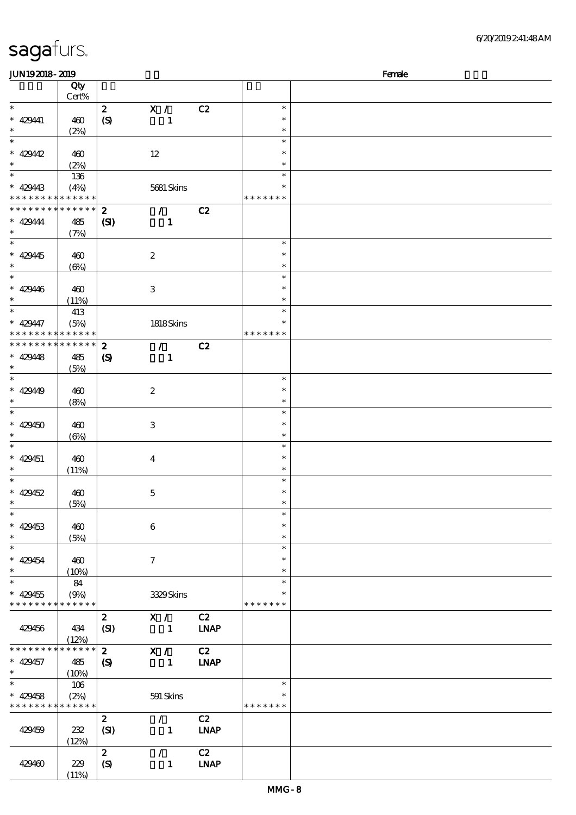| JUN192018-2019                             |                     |                            |                           |             |               | Female |
|--------------------------------------------|---------------------|----------------------------|---------------------------|-------------|---------------|--------|
|                                            | Qty                 |                            |                           |             |               |        |
|                                            | Cert%               |                            |                           |             |               |        |
| $\ast$                                     |                     | $\mathbf{z}$               | X /                       | C2          | $\ast$        |        |
|                                            |                     |                            |                           |             | $\ast$        |        |
| $* 42941$                                  | 460                 | (S)                        | $\mathbf{1}$              |             |               |        |
| $\ast$                                     | (2%)                |                            |                           |             | $\ast$        |        |
| $\overline{\ast}$                          |                     |                            |                           |             | $\ast$        |        |
| $* 429442$                                 | 460                 |                            | $12\,$                    |             | $\ast$        |        |
| $\ast$                                     | (2%)                |                            |                           |             | $\ast$        |        |
| $\overline{\ast}$                          | 136                 |                            |                           |             | $\ast$        |        |
| $* 429413$                                 |                     |                            |                           |             |               |        |
| * * * * * * * *                            | (4%)<br>* * * * * * |                            | 5681 Skins                |             | * * * * * * * |        |
|                                            |                     |                            |                           |             |               |        |
| * * * * * * * *                            | * * * * * *         | $\boldsymbol{z}$           | $\mathcal{F}$             | C2          |               |        |
| $* 429444$                                 | 485                 | $\mathbf{C}$               | $\mathbf{1}$              |             |               |        |
| $\ast$                                     | (7%)                |                            |                           |             |               |        |
| $\overline{\ast}$                          |                     |                            |                           |             | $\ast$        |        |
| $* 429445$                                 | 460                 |                            | $\boldsymbol{2}$          |             | $\ast$        |        |
| $\ast$                                     |                     |                            |                           |             | $\ast$        |        |
| $\overline{\ast}$                          | $(\Theta)$          |                            |                           |             | $\ast$        |        |
|                                            |                     |                            |                           |             |               |        |
| $* 429446$                                 | 460                 |                            | $\ensuremath{\mathbf{3}}$ |             | $\ast$        |        |
| $\ast$                                     | (11%)               |                            |                           |             | $\ast$        |        |
| $\ast$                                     | 413                 |                            |                           |             | $\ast$        |        |
| $* 429447$                                 | (5%)                |                            | 1818Skins                 |             | $\ast$        |        |
| * * * * * * * *                            | * * * * * *         |                            |                           |             | * * * * * * * |        |
| * * * * * * * *                            | $* * * * * * *$     | $\boldsymbol{z}$           | $\mathcal{T}$             |             |               |        |
|                                            |                     |                            |                           | C2          |               |        |
| $* 429448$                                 | 485                 | $\boldsymbol{\mathcal{S}}$ | $\mathbf{1}$              |             |               |        |
| $\ast$                                     | (5%)                |                            |                           |             |               |        |
| $\overline{\ast}$                          |                     |                            |                           |             | $\ast$        |        |
| $* 429449$                                 | 460                 |                            | $\boldsymbol{2}$          |             | $\ast$        |        |
| $\ast$                                     | (8%)                |                            |                           |             | $\ast$        |        |
| $\ast$                                     |                     |                            |                           |             | $\ast$        |        |
| $* 429450$                                 | 460                 |                            | $\ensuremath{\mathbf{3}}$ |             | $\ast$        |        |
| $\ast$                                     |                     |                            |                           |             | $\ast$        |        |
|                                            | $(\Theta)$          |                            |                           |             |               |        |
| $\ast$                                     |                     |                            |                           |             | $\ast$        |        |
| $* 429451$                                 | 460                 |                            | $\boldsymbol{4}$          |             | $\ast$        |        |
| $\ast$                                     | (11%)               |                            |                           |             | $\ast$        |        |
| $\ast$                                     |                     |                            |                           |             | $\ast$        |        |
| $* 429452$                                 | 460                 |                            | $\mathbf 5$               |             | $\ast$        |        |
| $\ast$                                     | (5%)                |                            |                           |             | $\ast$        |        |
| $\ast$                                     |                     |                            |                           |             | $\ast$        |        |
|                                            |                     |                            |                           |             | $\ast$        |        |
| $* 429453$                                 | 460                 |                            | 6                         |             |               |        |
| $\ast$                                     | (5%)                |                            |                           |             | $\ast$        |        |
| $\ast$                                     |                     |                            |                           |             | $\ast$        |        |
| $* 429454$                                 | 460                 |                            | $\tau$                    |             | $\ast$        |        |
| $\ast$                                     | $(10\%)$            |                            |                           |             | $\ast$        |        |
| $\ast$                                     | 84                  |                            |                           |             | $\ast$        |        |
| $* 429455$                                 |                     |                            | 3329Skins                 |             |               |        |
| * * * * * * * * <mark>* * * * * * *</mark> | (9%)                |                            |                           |             | * * * * * * * |        |
|                                            |                     |                            |                           |             |               |        |
|                                            |                     | $\boldsymbol{z}$           | X /                       | C2          |               |        |
| 429456                                     | 434                 | (SI)                       | $\mathbf{1}$              | <b>LNAP</b> |               |        |
|                                            | (12%)               |                            |                           |             |               |        |
| * * * * * * * *                            | $******$            | $\mathbf{2}$               | X /                       | C2          |               |        |
| $* 429457$                                 | 485                 | $\boldsymbol{\mathcal{S}}$ | $\mathbf{1}$              | <b>LNAP</b> |               |        |
| $\ast$                                     | (10%)               |                            |                           |             |               |        |
| $\overline{\ast}$                          |                     |                            |                           |             | $\ast$        |        |
|                                            | 106                 |                            |                           |             |               |        |
| $* 429458$                                 | (2%)                |                            | 591 Skins                 |             |               |        |
| * * * * * * * * * * * * * *                |                     |                            |                           |             | * * * * * * * |        |
|                                            |                     | $\boldsymbol{z}$           | $\mathcal{L}$             | C2          |               |        |
| 429459                                     | $232\,$             | (SI)                       | $\mathbf{1}$              | <b>LNAP</b> |               |        |
|                                            | (12%)               |                            |                           |             |               |        |
|                                            |                     | $\boldsymbol{z}$           | $\mathcal{L}$             | C2          |               |        |
|                                            |                     |                            |                           |             |               |        |
| 429460                                     | 229                 | $\boldsymbol{S}$           | $\mathbf{1}$              | <b>LNAP</b> |               |        |
|                                            | (11%)               |                            |                           |             |               |        |